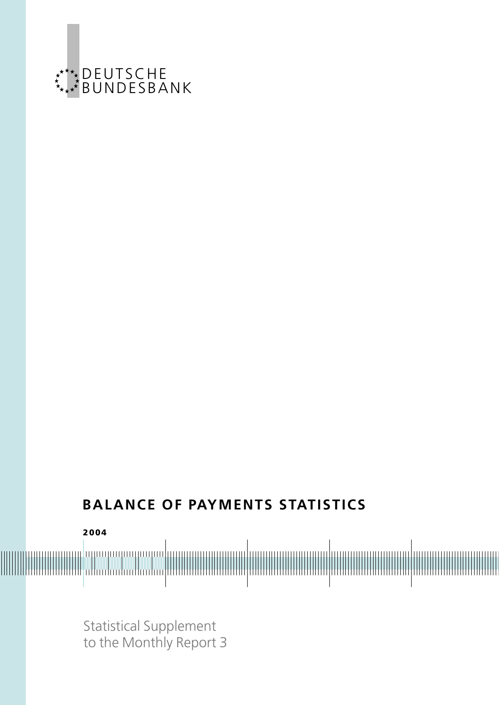

# **BALANCE OF PAYMENTS STATISTICS**



Statistical Supplement to the Monthly Report 3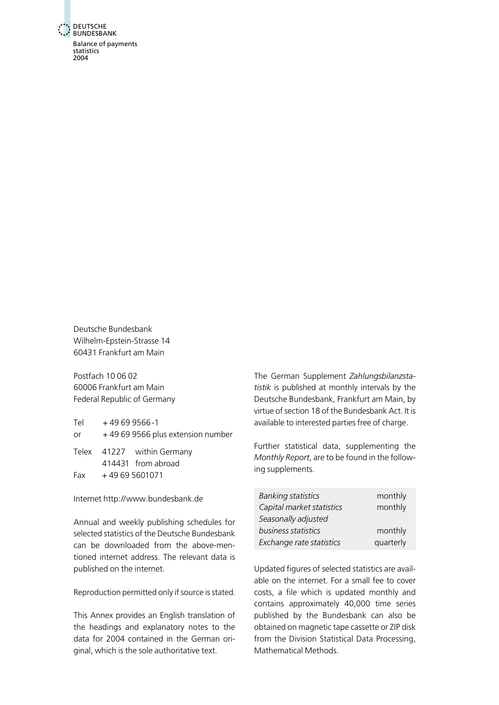DEUTSCHE BUNDESBANK Balance of payments statistics 2004

> Deutsche Bundesbank Wilhelm-Epstein-Strasse 14 60431 Frankfurt am Main

Postfach 10 06 02 60006 Frankfurt am Main Federal Republic of Germany

 $Tel + 49699566-1$ or + 49 69 9566 plus extension number Telex 41227 within Germany 414431 from abroad  $Fax + 49695601071$ 

Internet http://www.bundesbank.de

Annual and weekly publishing schedules for selected statistics of the Deutsche Bundesbank can be downloaded from the above-mentioned internet address. The relevant data is published on the internet.

Reproduction permitted only if source is stated.

This Annex provides an English translation of the headings and explanatory notes to the data for 2004 contained in the German original, which is the sole authoritative text.

The German Supplement *Zahlungsbilanzstatistik* is published at monthly intervals by the Deutsche Bundesbank, Frankfurt am Main, by virtue of section 18 of the Bundesbank Act. It is available to interested parties free of charge.

Further statistical data, supplementing the *Monthly Report*, are to be found in the following supplements.

| <b>Banking statistics</b> | monthly   |
|---------------------------|-----------|
| Capital market statistics | monthly   |
| Seasonally adjusted       |           |
| business statistics       | monthly   |
| Exchange rate statistics  | quarterly |

Updated figures of selected statistics are available on the internet. For a small fee to cover costs, a file which is updated monthly and contains approximately 40,000 time series published by the Bundesbank can also be obtained on magnetic tape cassette or ZIP disk from the Division Statistical Data Processing, Mathematical Methods.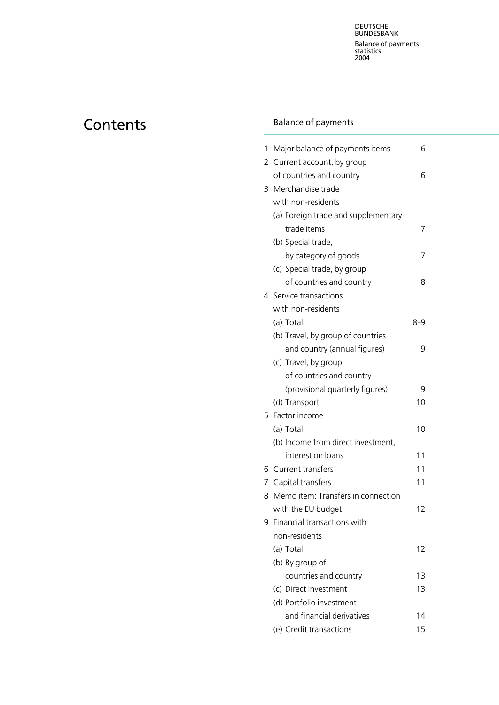DEUTSCHE BUNDESBANK Balance of payments statistics 2004

# <span id="page-2-0"></span>**Contents**

# I Balance of payments

| 1 | Major balance of payments items     | 6   |
|---|-------------------------------------|-----|
| 2 | Current account, by group           |     |
|   | of countries and country            | 6   |
| 3 | Merchandise trade                   |     |
|   | with non-residents                  |     |
|   | (a) Foreign trade and supplementary |     |
|   | trade items                         | 7   |
|   | (b) Special trade,                  |     |
|   | by category of goods                |     |
|   | (c) Special trade, by group         |     |
|   | of countries and country            | 8   |
|   | 4 Service transactions              |     |
|   | with non-residents                  |     |
|   | (a) Total                           | 8-9 |
|   | (b) Travel, by group of countries   |     |
|   | and country (annual figures)        | 9   |
|   | (c) Travel, by group                |     |
|   | of countries and country            |     |
|   | (provisional quarterly figures)     | 9   |
|   | (d) Transport                       | 10  |
| 5 | Factor income                       |     |
|   | (a) Total                           | 10  |
|   | (b) Income from direct investment,  |     |
|   | interest on loans                   | 11  |
| 6 | Current transfers                   | 11  |
| 7 | Capital transfers                   | 11  |
| 8 | Memo item: Transfers in connection  |     |
|   | with the EU budget                  | 12  |
| 9 | Financial transactions with         |     |
|   | non-residents                       |     |
|   | (a) Total                           | 12  |
|   | (b) By group of                     |     |
|   | countries and country               | 13  |
|   | (c) Direct investment               | 13  |
|   | (d) Portfolio investment            |     |
|   | and financial derivatives           | 14  |
|   | (e) Credit transactions             | 15  |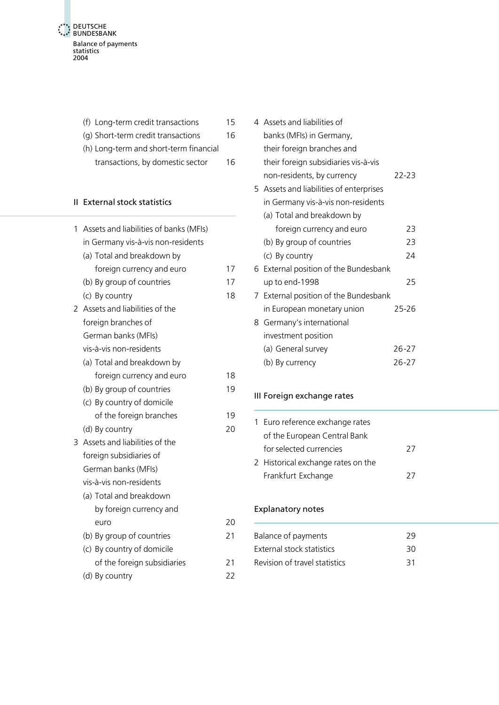<span id="page-3-3"></span><span id="page-3-2"></span><span id="page-3-1"></span><span id="page-3-0"></span>

- [\(f\) Long-term credit transactions 15](#page-14-0)
- [\(g\) Short-term credit transactions 16](#page-15-0)
- (h) Long-term and short-term financial transactions, by domestic sector 16

# II External stock statistics

| 1  | Assets and liabilities of banks (MFIs) |    |
|----|----------------------------------------|----|
|    | in Germany vis-à-vis non-residents     |    |
|    | (a) Total and breakdown by             |    |
|    | foreign currency and euro              | 17 |
|    | (b) By group of countries              | 17 |
|    | (c) By country                         | 18 |
| 2  | Assets and liabilities of the          |    |
|    | foreign branches of                    |    |
|    | German banks (MFIs)                    |    |
|    | vis-à-vis non-residents                |    |
|    | (a) Total and breakdown by             |    |
|    | foreign currency and euro              | 18 |
|    | (b) By group of countries              | 19 |
|    | (c) By country of domicile             |    |
|    | of the foreign branches                | 19 |
|    | (d) By country                         | 20 |
| 3. | Assets and liabilities of the          |    |
|    | foreign subsidiaries of                |    |
|    | German banks (MFIs)                    |    |
|    | vis-à-vis non-residents                |    |
|    | (a) Total and breakdown                |    |
|    | by foreign currency and                |    |
|    | euro                                   | 20 |
|    | (b) By group of countries              | 21 |
|    | (c) By country of domicile             |    |
|    | of the foreign subsidiaries            | 21 |
|    | (d) By country                         | 22 |
|    |                                        |    |

|   | 4 Assets and liabilities of             |       |
|---|-----------------------------------------|-------|
|   | banks (MFIs) in Germany,                |       |
|   | their foreign branches and              |       |
|   | their foreign subsidiaries vis-à-vis    |       |
|   | non-residents, by currency              | 22-23 |
|   | 5 Assets and liabilities of enterprises |       |
|   | in Germany vis-à-vis non-residents      |       |
|   | (a) Total and breakdown by              |       |
|   | foreign currency and euro               | 23    |
|   | (b) By group of countries               | 23    |
|   | (c) By country                          | 24    |
|   | 6 External position of the Bundesbank   |       |
|   | up to end-1998                          | 25    |
| 7 | External position of the Bundesbank     |       |
|   | in European monetary union              | 25-26 |
|   | 8 Germany's international               |       |
|   | investment position                     |       |
|   | (a) General survey                      | 26-27 |
|   | (b) By currency                         | 26-27 |
|   |                                         |       |

# III Foreign exchange rates

| 1 Euro reference exchange rates    |    |
|------------------------------------|----|
| of the European Central Bank       |    |
| for selected currencies            | 27 |
| 2 Historical exchange rates on the |    |
| Frankfurt Exchange                 |    |

# Explanatory notes

| Balance of payments           | 29  |
|-------------------------------|-----|
| External stock statistics     | 30. |
| Revision of travel statistics | -31 |
|                               |     |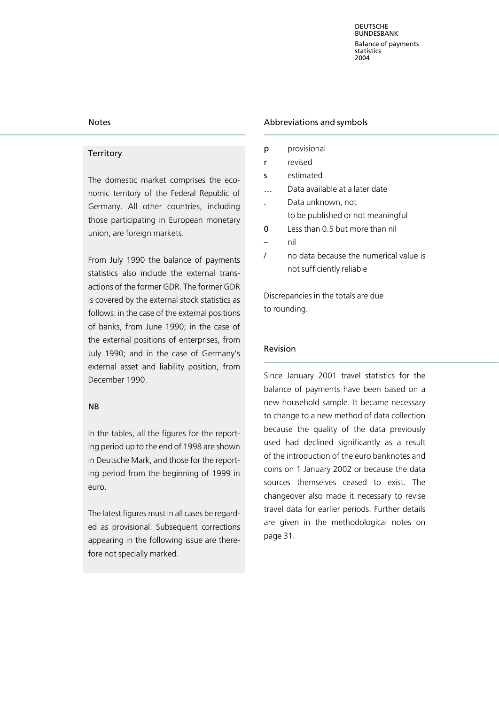### Notes

# **Territory**

The domestic market comprises the economic territory of the Federal Republic of Germany. All other countries, including those participating in European monetary union, are foreign markets.

From July 1990 the balance of payments statistics also include the external transactions of the former GDR. The former GDR is covered by the external stock statistics as follows: in the case of the external positions of banks, from June 1990; in the case of the external positions of enterprises, from July 1990; and in the case of Germany's external asset and liability position, from December 1990.

# NB

In the tables, all the figures for the reporting period up to the end of 1998 are shown in Deutsche Mark, and those for the reporting period from the beginning of 1999 in euro.

The latest figures must in all cases be regarded as provisional. Subsequent corrections appearing in the following issue are therefore not specially marked.

#### Abbreviations and symbols

- p provisional
- r revised
- s estimated
- … Data available at a later date . Data unknown, not
- to be published or not meaningful
- 0 Less than 0.5 but more than nil
- nil
- / no data because the numerical value is not sufficiently reliable

Discrepancies in the totals are due to rounding.

## Revision

Since January 2001 travel statistics for the balance of payments have been based on a new household sample. It became necessary to change to a new method of data collection because the quality of the data previously used had declined significantly as a result of the introduction of the euro banknotes and coins on 1 January 2002 or because the data sources themselves ceased to exist. The changeover also made it necessary to revise travel data for earlier periods. Further details are given in the methodological notes on page 31.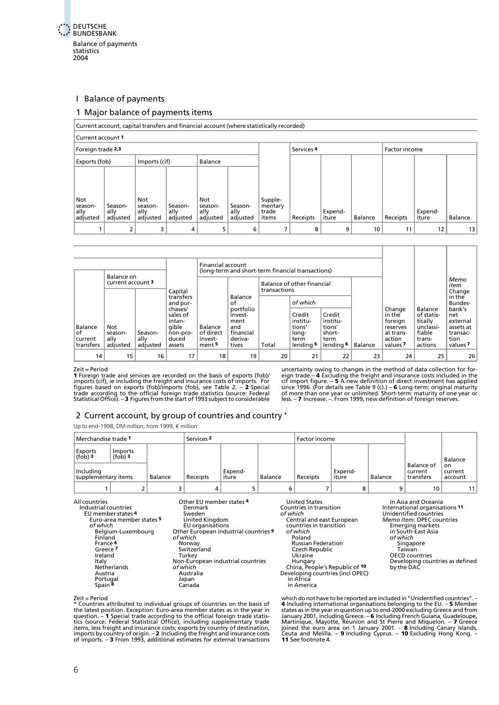<span id="page-5-1"></span><span id="page-5-0"></span>

#### I Balance of payments

#### 1 Major balance of payments items

|                                    |                             |                                    | Current account, capital transfers and financial account (where statistically recorded) |                                    |                             |                                      |                       |                  |                |               |                  |         |
|------------------------------------|-----------------------------|------------------------------------|-----------------------------------------------------------------------------------------|------------------------------------|-----------------------------|--------------------------------------|-----------------------|------------------|----------------|---------------|------------------|---------|
| Current account 1                  |                             |                                    |                                                                                         |                                    |                             |                                      |                       |                  |                |               |                  |         |
| Foreign trade 2,3                  |                             |                                    |                                                                                         |                                    |                             |                                      | Services <sup>4</sup> |                  |                | Factor income |                  |         |
| Exports (fob)                      |                             | Imports (cif)                      |                                                                                         | Balance                            |                             |                                      |                       |                  |                |               |                  |         |
| Not<br>season-<br>ally<br>adjusted | Season-<br>ally<br>adjusted | Not<br>season-<br>ally<br>adjusted | Season-<br>ally<br>adjusted                                                             | Not<br>season-<br>ally<br>adjusted | Season-<br>ally<br>adjusted | Supple-<br>mentary<br>trade<br>items | Receipts              | Expend-<br>iture | <b>Balance</b> | Receipts      | Expend-<br>iture | Balance |
|                                    | 2                           |                                    | 4                                                                                       |                                    | 6                           |                                      | 8                     | 9                | 10             | 11            | 12               | 13      |

|                             |                                 |                 |                               | <b>Financial account</b>        | (long-term and short-term financial transactions) |       |                                            |                         |                          |         |                                 |                                  |                               |
|-----------------------------|---------------------------------|-----------------|-------------------------------|---------------------------------|---------------------------------------------------|-------|--------------------------------------------|-------------------------|--------------------------|---------|---------------------------------|----------------------------------|-------------------------------|
|                             | Balance on<br>current account 3 |                 | Capital                       |                                 |                                                   |       | Balance of other financial<br>transactions |                         |                          |         |                                 |                                  | Memo<br>item<br>Change        |
|                             |                                 |                 | transfers<br>and pur-         |                                 | Balance<br>of                                     |       |                                            | of which                |                          |         |                                 |                                  | in the<br>Bundes-             |
|                             |                                 |                 | chases/<br>sales of<br>intan- |                                 | portfolio<br>invest-<br>ment                      |       |                                            | Credit<br>institu-      | Credit<br>institu-       |         | Change<br>in the<br>foreign     | Balance<br>of statis-<br>tically | bank's<br>net<br>external     |
| Balance<br>∣of<br>  current | Not<br>season-<br>ally          | Season-<br>ally | gible<br>non-pro-<br>duced    | Balance<br>of direct<br>invest- | and<br>financial<br>deriva-                       |       |                                            | tions'<br>long-<br>term | tions'<br>short-<br>term |         | reserves<br>at trans-<br>action | unclassi-<br>fiable<br>trans-    | assets at<br>transac-<br>tion |
| transfers                   | adjusted                        | adjusted        | assets                        | ment <sup>5</sup>               | tives                                             | Total |                                            | lending 6               | lending 6                | Balance | values 7                        | actions                          | values 7                      |
| 14                          | 15                              | 16              | 17                            | 18                              | 19                                                |       | 20                                         | 21                      | 22                       | 23      | 24                              | 25                               | 26                            |

Zeit = Period

**1** Foreign trade and services are recorded on the basis of exports (fob)/<br>imports (cif), ie including the freight and insurance costs of imports. For<br>figures based on exports (fob)/imports (fob), see Table 2. – **2** Speci

uncertainty owing to changes in the method of data collection for foreign trade.**– 4** Excluding the freight and insurance costs included in the<br>cif import figure. **– 5** A new definition of direct investment has applied<br>since 1996. (For details see Table 9 (c.). **– 6** Long-term: original mat

#### 2 Current account, by group of countries and country \*

Up to end-1998, DM million; from 1999, € million

| Merchandise trade 1                                                                                                                                              |                                                                                             |         | Services <sub>2</sub>                                                                                                                                                                                                                                        |                  |          | Factor income                                                                                                                                                                                                                                                                                       |                  |          |                                                                                                                                                                                                                                                                        |                          |
|------------------------------------------------------------------------------------------------------------------------------------------------------------------|---------------------------------------------------------------------------------------------|---------|--------------------------------------------------------------------------------------------------------------------------------------------------------------------------------------------------------------------------------------------------------------|------------------|----------|-----------------------------------------------------------------------------------------------------------------------------------------------------------------------------------------------------------------------------------------------------------------------------------------------------|------------------|----------|------------------------------------------------------------------------------------------------------------------------------------------------------------------------------------------------------------------------------------------------------------------------|--------------------------|
| Exports<br>$(fob)$ 3                                                                                                                                             | Imports<br>$(fob)$ 3                                                                        |         |                                                                                                                                                                                                                                                              |                  |          |                                                                                                                                                                                                                                                                                                     |                  |          |                                                                                                                                                                                                                                                                        | Balance                  |
| Including<br>supplementary items                                                                                                                                 |                                                                                             | Balance | Receipts                                                                                                                                                                                                                                                     | Expend-<br>iture | Balance  | Receipts                                                                                                                                                                                                                                                                                            | Expend-<br>iture | Balance  | Balance of<br>current<br>transfers                                                                                                                                                                                                                                     | on<br>current<br>account |
|                                                                                                                                                                  | 2                                                                                           | 3       | 4                                                                                                                                                                                                                                                            | 5                | 6        |                                                                                                                                                                                                                                                                                                     | 8                | 9        | 10                                                                                                                                                                                                                                                                     | 11                       |
| All countries<br>Industrial countries<br>of which<br>Finland<br>France 6<br>Greece <sub>7</sub><br>Ireland<br>Italy<br>Austria<br>Portugal<br>Spain <sup>8</sup> | EU member states 4<br>Euro-area member states 5<br>Belgium-Luxembourg<br><b>Netherlands</b> |         | Other EU member states 4<br>Denmark<br>Sweden<br>United Kingdom<br>EU organisations<br>Other European industrial countries 9<br>of which<br>Norway<br>Switzerland<br>Turkey<br>Non-European industrial countries<br>of which<br>Australia<br>Japan<br>Canada |                  | of which | <b>United States</b><br>Countries in transition<br>Central and east European<br>countries in transition<br>of which<br>Poland<br><b>Russian Federation</b><br>Czech Republic<br>Ukraine<br>Hungary<br>China, People's Republic of 10<br>Developing countries (incl OPEC)<br>in Africa<br>in America |                  | of which | in Asia and Oceania<br>International organisations 11<br>Unidentified countries<br>Memo <i>item</i> : OPEC countries<br><b>Emerging markets</b><br>in South-East Asia<br>Singapore<br>Taiwan<br><b>OECD</b> countries<br>Developing countries as defined<br>by the DAC |                          |

Zeit = Period \* Countries attributed to individual groups of countries on the basis of the latest position. Exception: Euro-area member states as in the year in question. - **1** Special trade according to the official foreign trade statistics (source: Federal Statistical Office), including supplementary trade which do not have to be reported are included in "Unidentified countries". –<br>4 Including international organisations belonging to the EU. – 5 Member<br>states as in the year in question up to end-2000 excluding Greece and fro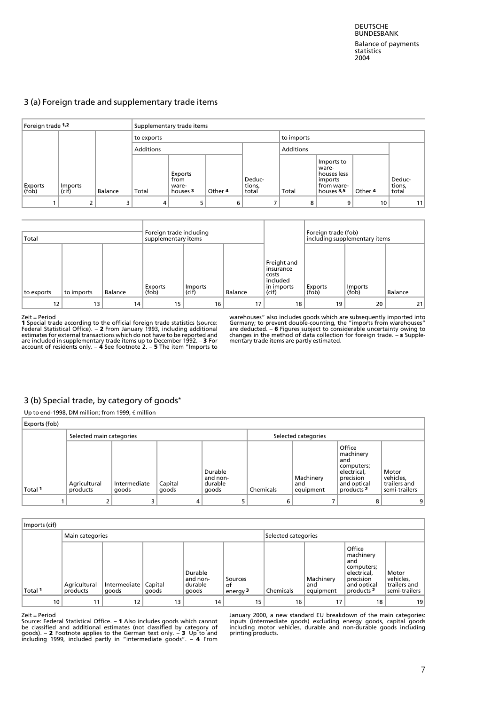### <span id="page-6-0"></span>3 (a) Foreign trade and supplementary trade items

| Foreign trade 1,2 |                  |         | Supplementary trade items |                                                 |                    |   |                           |            |                  |                                                                           |                    |    |                           |    |
|-------------------|------------------|---------|---------------------------|-------------------------------------------------|--------------------|---|---------------------------|------------|------------------|---------------------------------------------------------------------------|--------------------|----|---------------------------|----|
|                   |                  |         | to exports                |                                                 |                    |   |                           | to imports |                  |                                                                           |                    |    |                           |    |
|                   |                  |         | Additions                 |                                                 |                    |   |                           |            | <b>Additions</b> |                                                                           |                    |    |                           |    |
| Exports<br>(fob)  | Imports<br>(cif) | Balance | Total                     | Exports<br>from<br>ware-<br>houses <sup>3</sup> | Other <sup>4</sup> |   | Deduc-<br>tions,<br>total |            | Total            | Imports to<br>ware-<br>houses less<br>imports<br>from ware-<br>houses 3,5 | Other <sup>4</sup> |    | Deduc-<br>tions,<br>total |    |
|                   |                  |         | 4                         |                                                 |                    | 6 |                           |            | 8                | 9                                                                         |                    | 10 |                           | 11 |

| Total      |             |         | Foreign trade including<br>supplementary items |                  |         |                                                                      | Foreign trade (fob)<br>including supplementary items |                  |         |     |
|------------|-------------|---------|------------------------------------------------|------------------|---------|----------------------------------------------------------------------|------------------------------------------------------|------------------|---------|-----|
| to exports | ⊧to imports | Balance | Exports<br>(fob)                               | Imports<br>(cif) | Balance | Freight and<br>insurance<br>costs<br>included<br>in imports<br>(cif) | Exports<br>(fob)                                     | Imports<br>(fob) | Balance |     |
| 12         | 13          | 14      | 15                                             | 16               | 17      | 18                                                                   | 19                                                   | 20               |         | 211 |

Zeit = Period<br>**1** Special trade according to the official foreign trade statistics (source:<br>Federal Statistical Office). – **2** From January 1993, including additional<br>estimates for external transactions which do not have t

warehouses" also includes goods which are subsequently imported into<br>Germany; to prevent double-counting, the "imports from warehouses"<br>are deducted. – **6** Figures subject to considerable uncertainty owing to<br>changes in th

## 3 (b) Special trade, by category of goods\*

Up to end-1998, DM million; from 1999, € million

| Exports (fob) |                          |                       |                  |                                         |                     |                               |                                                                                                              |                                                     |  |  |
|---------------|--------------------------|-----------------------|------------------|-----------------------------------------|---------------------|-------------------------------|--------------------------------------------------------------------------------------------------------------|-----------------------------------------------------|--|--|
|               | Selected main categories |                       |                  |                                         | Selected categories |                               |                                                                                                              |                                                     |  |  |
| Total 1       | Agricultural<br>products | Intermediate<br>goods | Capital<br>goods | Durable<br>and non-<br>durable<br>goods | Chemicals           | Machinery<br>and<br>equipment | Office<br>machinery<br>and<br>computers;<br>electrical,<br>precision<br>and optical<br>products <sup>2</sup> | Motor<br>vehicles,<br>trailers and<br>semi-trailers |  |  |
|               |                          |                       |                  |                                         |                     |                               |                                                                                                              | 9  <br>8                                            |  |  |

| Imports (cif) |                                        |                       |                  |                                         |                                      |           |                               |                                                                                                              |                                                     |  |  |  |  |  |
|---------------|----------------------------------------|-----------------------|------------------|-----------------------------------------|--------------------------------------|-----------|-------------------------------|--------------------------------------------------------------------------------------------------------------|-----------------------------------------------------|--|--|--|--|--|
|               | Selected categories<br>Main categories |                       |                  |                                         |                                      |           |                               |                                                                                                              |                                                     |  |  |  |  |  |
| Total 1       | Agricultural<br>products               | Intermediate<br>goods | Capital<br>qoods | Durable<br>and non-<br>durable<br>goods | Sources<br>of<br>energy <sup>3</sup> | Chemicals | Machinery<br>and<br>equipment | Office<br>machinery<br>and<br>computers;<br>electrical,<br>precision<br>and optical<br>products <sup>2</sup> | Motor<br>vehicles,<br>trailers and<br>semi-trailers |  |  |  |  |  |
| 10            | 11                                     | 12                    | 13               | 14                                      | 15                                   | 16        | 17                            | 18                                                                                                           | 19                                                  |  |  |  |  |  |

Zeit = Period<br>Source: Federal Statistical Office. – **1** Also includes goods which cannot<br>be classified and additional estimates (not classified by category of<br>goods). – **2** Footnote applies to the German text only. – **3** U

January 2000, a new standard EU breakdown of the main categories: inputs (intermediate goods) excluding energy goods, capital goods including motor vehicles, durable and non-durable goods including printing products.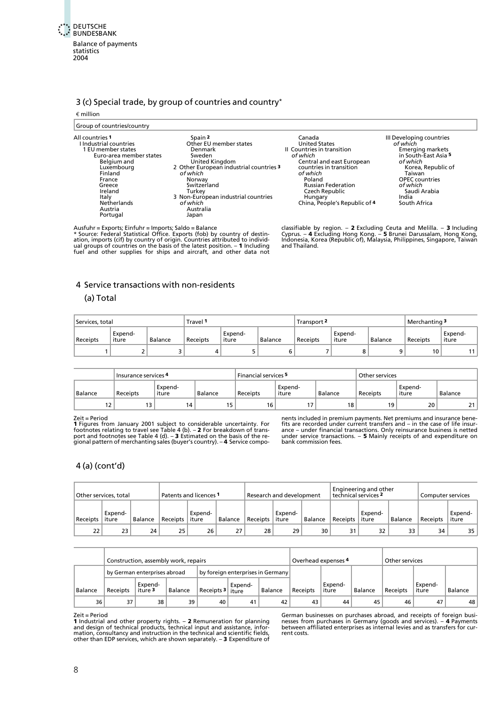<span id="page-7-0"></span>

#### [3 \(c\) Special trade, by group of countries and country\\*](#page-43-0)

#### € million

| Group of countries/country                                                                                                                                                                                              |                                                                                                                                                                                                                                             |                                                                                                                                                                                                                                                   |                                                                                                                                                                                                                   |
|-------------------------------------------------------------------------------------------------------------------------------------------------------------------------------------------------------------------------|---------------------------------------------------------------------------------------------------------------------------------------------------------------------------------------------------------------------------------------------|---------------------------------------------------------------------------------------------------------------------------------------------------------------------------------------------------------------------------------------------------|-------------------------------------------------------------------------------------------------------------------------------------------------------------------------------------------------------------------|
| All countries 1<br>I Industrial countries<br>1 EU member states<br>Euro-area member states<br>Belgium and<br>Luxembourg<br>Finland<br>France<br>Greece<br>Ireland<br>Italy<br><b>Netherlands</b><br>Austria<br>Portugal | Spain 2<br>Other EU member states<br>Denmark<br>Sweden<br>United Kingdom<br>2 Other European industrial countries 3<br>of which<br>Norway<br>Switzerland<br>Turkey<br>3 Non-European industrial countries<br>of which<br>Australia<br>Japan | Canada<br><b>United States</b><br>II Countries in transition<br>of which<br>Central and east European<br>countries in transition<br>of which<br>Poland<br><b>Russian Federation</b><br>Czech Republic<br>Hungary<br>China, People's Republic of 4 | III Developing countries<br>of which<br><b>Emerging markets</b><br>in South-East Asia 5<br>of which<br>Korea, Republic of<br>Taiwan<br><b>OPEC</b> countries<br>of which<br>Saudi Arabia<br>India<br>South Africa |

Ausfuhr = Exports; Einfuhr = Imports; Saldo = Balance \* Source: Federal Statistical Office. Exports (fob) by country of destin-ation, imports (cif) by country of origin. Countries attributed to individual groups of countries on the basis of the latest position. – **1** Including fuel and other supplies for ships and aircraft, and other data not

classifiable by region. – **2** Excluding Ceuta and Melilla. – **3** Including<br>Cyprus. – **4** Excluding Hong Kong. – **5** Brunei Darussalam, Hong Kong,<br>Indonesia, Korea (Republic of), Malaysia, Philippines, Singapore, Taiwan and Thailand.

# 4 Service transactions with non-residents

#### (a) Total

|          | Services, total  |         |          |                  |         | Transport 2 |                  |         | Merchanting 3   |                  |  |
|----------|------------------|---------|----------|------------------|---------|-------------|------------------|---------|-----------------|------------------|--|
| Receipts | Expend-<br>iture | Balance | Receipts | Expend-<br>iture | Balance | Receipts    | Expend-<br>iture | Balance | Receipts        | Expend-<br>iture |  |
|          |                  |         | 4        |                  |         |             | 8                |         | 10 <sub>1</sub> |                  |  |

|           |    |          | Insurance services 4 |                  |         |  | <b>Financial services 5</b> |    |                  |         |                              | Other services |    |         |    |
|-----------|----|----------|----------------------|------------------|---------|--|-----------------------------|----|------------------|---------|------------------------------|----------------|----|---------|----|
| l Balance |    | Receipts |                      | Expend-<br>iture | Balance |  | Receipts                    |    | Expend-<br>iture | Balance | Expend-<br>Receipts<br>iture |                |    | Balance |    |
|           | 12 |          | 13                   | 14               |         |  |                             | 16 |                  | 18      | 10.<br>יי                    |                | 20 |         | 21 |

Zeit = Period<br>**1** Figures from January 2001 subject to considerable uncertainty. For<br>footnotes relating to travel see Table 4 (b). – **2** For breakdown of trans-<br>port and footnotes see Table 4 (d). – **3** Estimated on the ba

nents included in premium payments. Net premiums and insurance bene-fits are recorded under current transfers and – in the case of life insur-ance – under financial transactions. Only reinsurance business is netted under service transactions. – **5** Mainly receipts of and expenditure on bank commission fees.

#### 4 (a) (cont'd)

|          | Patents and licences 1<br>Other services, total |                  |         |          | Research and development |         |          | technical services 2 | Engineering and other | <b>Computer services</b> |                    |         |          |                  |
|----------|-------------------------------------------------|------------------|---------|----------|--------------------------|---------|----------|----------------------|-----------------------|--------------------------|--------------------|---------|----------|------------------|
| Receipts |                                                 | Expend-<br>iture | Balance | Receipts | Expend-<br>iture         | Balance | Receipts | Expend-<br>iture     | Balance               | Receipts                 | Expend-<br>l iture | Balance | Receipts | Expend-<br>iture |
|          | 22                                              | 23               | 24      | 25       | 26                       | 27      | 28       | 29                   | 30                    | 31<br>ا ب                | 32                 | 33      | 34       | 35               |

|         |          | Construction, assembly work, repairs                              |         |                       |                  |         |          | Overhead expenses 4 |         | Other services |                  |         |
|---------|----------|-------------------------------------------------------------------|---------|-----------------------|------------------|---------|----------|---------------------|---------|----------------|------------------|---------|
|         |          | by foreign enterprises in Germany<br>by German enterprises abroad |         |                       |                  |         |          |                     |         |                |                  |         |
| Balance | Receipts | Expend-<br>iture 3                                                | Balance | Receipts <sup>3</sup> | Expend-<br>iture | Balance | Receipts | Expend-<br>iture    | Balance | Receipts       | Expend-<br>iture | Balance |
| 36      | 37       | 38                                                                | 39      | 40                    | 41               | 42      | 43       | 44                  | 45      | 46             | 47               | 48      |

Zeit = Period **1** Industrial and other property rights. – **2** Remuneration for planning and design of technical products, technical input and assistance, infor-<br>mation, consultancy and instruction in the technical and scientific fields,<br>other than EDP services, which are shown separately. – **3** Expenditure of

German businesses on purchases abroad, and receipts of foreign busi-nesses from purchases in Germany (goods and services). – **4** Payments between affiliated enterprises as internal levies and as transfers for current costs.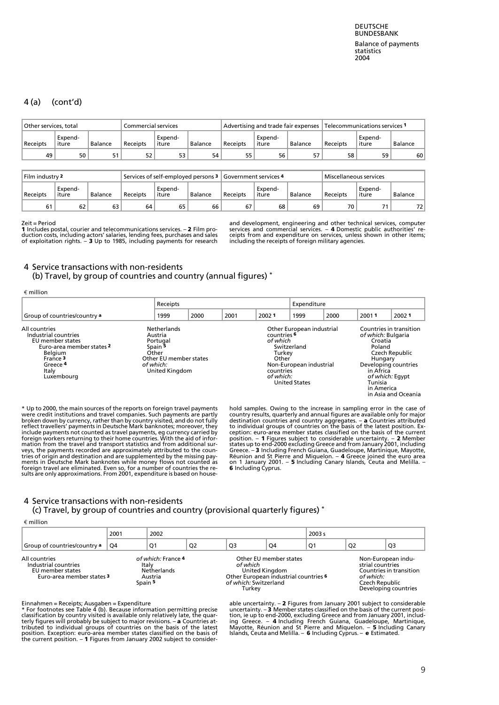## <span id="page-8-0"></span>4 (a) (cont'd)

| Other services, total |                  |         | <b>Commercial services</b> |                  |         |          |                  | Advertising and trade fair expenses | Telecommunications services <b>1</b> |                  |                 |  |
|-----------------------|------------------|---------|----------------------------|------------------|---------|----------|------------------|-------------------------------------|--------------------------------------|------------------|-----------------|--|
| Receipts              | Expend-<br>iture | Balance | Receipts                   | Expend-<br>iture | Balance | Receipts | Expend-<br>iture | Balance                             | Receipts                             | Expend-<br>iture | Balance         |  |
| 49                    | 50               |         | 52                         | 53               | 54      | 55       | 56               | 57                                  | 58                                   | 59               | 60 <sub>1</sub> |  |

| Film industry 2 |                  |                                                                |    |    | Services of self-employed persons 3 Government services 4 |                  |         |          | Miscellaneous services |         |    |  |
|-----------------|------------------|----------------------------------------------------------------|----|----|-----------------------------------------------------------|------------------|---------|----------|------------------------|---------|----|--|
| Receipts        | Expend-<br>iture | Expend-<br>iture<br>Receipts<br>Receipts<br>Balance<br>Balance |    |    |                                                           | Expend-<br>iture | Balance | Receipts | Expend-<br>iture       | Balance |    |  |
| 61              | 62               | 63                                                             | 64 | 65 | 66                                                        | 67               | 68      | 69       | 70                     |         | 72 |  |

Zeit = Period

€ million

**1** Includes postal, courier and telecommunications services. – **2** Film production costs, including actors' salaries, lending fees, purchases and sales of exploitation rights. – **3** Up to 1985, including payments for research

and development, engineering and other technical services, computer<br>services and commercial services. – **4** Domestic public authorities' re-<br>ceipts from and expenditure on services, unless shown in other items; including the receipts of foreign military agencies.

#### 4 Service transactions with non-residents [\(b\) Travel, by group of countries and country \(annual figures\) \\*](#page-51-0)

|                                                                                                                                                                               | Receipts                                                                                                                   |      |      |                                                                      | Expenditure                                                                                 |      |                                                                                          |                                                                                                             |  |
|-------------------------------------------------------------------------------------------------------------------------------------------------------------------------------|----------------------------------------------------------------------------------------------------------------------------|------|------|----------------------------------------------------------------------|---------------------------------------------------------------------------------------------|------|------------------------------------------------------------------------------------------|-------------------------------------------------------------------------------------------------------------|--|
| Group of countries/country a                                                                                                                                                  | 1999                                                                                                                       | 2000 | 2001 | 20021                                                                | 1999                                                                                        | 2000 | 20011                                                                                    | 20021                                                                                                       |  |
| All countries<br>Industrial countries<br>EU member states<br>Euro-area member states 2<br><b>Belgium</b><br>France <sup>3</sup><br>Greece <sup>4</sup><br>Italy<br>Luxembourg | Netherlands<br>Austria<br>Portugal<br>Spain <sup>5</sup><br>Other<br>Other EU member states<br>of which:<br>United Kingdom |      |      | countries 6<br>of which<br>Turkev<br>Other<br>countries<br>of which: | Other European industrial<br>Switzerland<br>Non-European industrial<br><b>United States</b> |      | of which: Bulgaria<br>Croatia<br>Poland<br>Hungary<br>in Africa<br>Tunisia<br>in America | Countries in transition<br>Czech Republic<br>Developing countries<br>of which: Eqypt<br>in Asia and Oceania |  |

\* Up to 2000, the main sources of the reports on foreign travel payments were credit institutions and travel companies. Such payments are partly<br>broken down by currency, rather than by country visited, and do not fully<br>reflect travellers' payments in Deutsche Mark banknotes; moreover, they<br>incl veys, the payments recorded are approximately attributed to the coun-tries of origin and destination and are supplemented by the missing payments in Deutsche Mark banknotes while money flows not counted as foreign travel are eliminated. Even so, for a number of countries the results are only approximations. From 2001, expenditure is based on house-

hold samples. Owing to the increase in sampling error in the case of<br>country results, quarterly and annual figures are available only for major<br>destination countries and country aggregates. – **a** Countries attributed<br>to in Greece. – **3** Including French Guiana, Guadeloupe, Martinique, Mayotte,<br>Réunion and St Pierre and Miquelon. – **4** Greece joined the euro area<br>on 1 January 2001. – **5** Including Canary Islands, Ceuta and Melilla. –<br>**6** Incl

#### 4 Service transactions with non-residents [\(c\) Travel, by group of countries and country \(provisional quarterly figures\) \\*](#page-52-0)

|  | $\epsilon$ million |
|--|--------------------|
|  |                    |

|                                                                                        | 2001    | 2002                                                         |                |                                                                                                        |                        | 2003 s         |                                                 |                                                                       |
|----------------------------------------------------------------------------------------|---------|--------------------------------------------------------------|----------------|--------------------------------------------------------------------------------------------------------|------------------------|----------------|-------------------------------------------------|-----------------------------------------------------------------------|
| Group of countries/country a                                                           | O4      | Q1                                                           | Q <sub>2</sub> | Q3                                                                                                     | Q4                     | Q <sub>1</sub> | Q <sub>2</sub>                                  | Q3                                                                    |
| All countries<br>Industrial countries<br>EU member states<br>Euro-area member states 3 | Spain 5 | of which: France 4<br>Italy<br><b>Netherlands</b><br>Austria |                | of which<br>United Kingdom<br>Other European industrial countries 6<br>of which: Switzerland<br>Turkey | Other EU member states |                | strial countries<br>of which:<br>Czech Republic | Non-European indu-<br>Countries in transition<br>Developing countries |

Einnahmen = Receipts; Ausgaben = Expenditure \* For footnotes see Table 4 (b). Because information permitting precise classification by country visited is available only relatively late, the quar-<br>terly figures will probably be subject to major revisions. **– a** Countries at-<br>tributed to individual groups of countries on the basis of the l able uncertainty. – **2** Figures from January 2001 subject to considerable uncertainty. – **3** Member states classified on the basis of the current position, ie up to end-2000, excluding Greece and from January 2001, includ-<br>ing Greece. – 4 Including French Guiana, Guadeloupe, Martinique,<br>Mayotte, Réunion and St Pierre and Miquelon. – 5 Including Canary<br>Islands, Ceuta an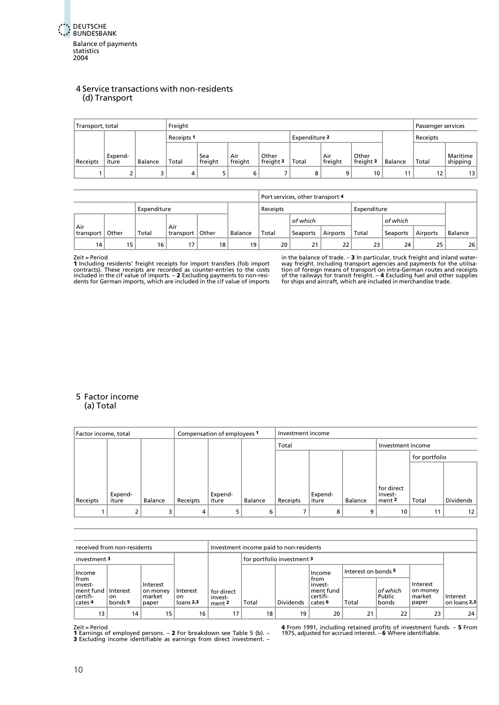<span id="page-9-0"></span>

#### 4 Service transactions with non-residents (d) Transport

| Transport, total | Freight          |         |                       |                                                                   |  |  |               |                |                               |         | <b>Passenger services</b> |                      |
|------------------|------------------|---------|-----------------------|-------------------------------------------------------------------|--|--|---------------|----------------|-------------------------------|---------|---------------------------|----------------------|
|                  |                  |         | Receipts <sup>1</sup> |                                                                   |  |  | Expenditure 2 |                |                               |         | Receipts                  |                      |
| Receipts         | Expend-<br>iture | Balance | Total                 | Other<br>Air<br>Sea<br>freight <sup>3</sup><br>freight<br>freight |  |  |               | Air<br>freight | Other<br>freight <sup>3</sup> | Balance | Total                     | Maritime<br>shipping |
|                  |                  | ے       | 4                     |                                                                   |  |  |               | a              | 10                            |         | 12                        | 13 <sup>1</sup>      |

|                      |       |    |                 |                          |    |         |          |    | Port services, other transport 4 |          |             |          |          |         |
|----------------------|-------|----|-----------------|--------------------------|----|---------|----------|----|----------------------------------|----------|-------------|----------|----------|---------|
|                      |       |    | Expenditure     |                          |    |         | Receipts |    |                                  |          | Expenditure |          |          |         |
|                      |       |    |                 |                          |    |         |          |    | of which                         |          |             | of which |          |         |
| l Air<br>I transport | Other |    | Total           | Air<br>transport   Other |    | Balance | Total    |    | Seaports                         | Airports | Total       | Seaports | Airports | Balance |
| 14                   |       | 15 | 16 <sub>1</sub> |                          | 18 | 19      |          | 20 | 21                               | 22       | 23          | 24       | 25       | 26      |

Zeit = Period<br>**1** Including residents' freight receipts for import transfers (fob import<br>contracts). These receipts are recorded as counter-entries to the costs<br>included in the cif value of imports. – **2** Excluding payment

in the balance of trade.  $-$  3 In particular, truck freight and inland water-<br>way freight. Including transport agencies and payments for the utilisa-<br>tion of foreign means of transport on intra-German routes and receipts<br>

#### 5 Factor income (a) Total

| Factor income, total |         |         |          | Compensation of employees 1 |         | Investment income |         |         |                       |               |                 |
|----------------------|---------|---------|----------|-----------------------------|---------|-------------------|---------|---------|-----------------------|---------------|-----------------|
|                      |         |         |          |                             |         | Total             |         |         | Investment income     |               |                 |
|                      |         |         |          |                             |         |                   |         |         |                       | for portfolio |                 |
|                      |         |         |          |                             |         |                   |         |         |                       |               |                 |
|                      |         |         |          |                             |         |                   |         |         |                       |               |                 |
|                      | Expend- |         |          | Expend-                     |         |                   | Expend- |         | for direct<br>invest- |               |                 |
| Receipts             | iture   | Balance | Receipts | iture                       | Balance | Receipts          | iture   | Balance | ment <sup>2</sup>     | Total         | Dividends       |
|                      |         |         | 4        | 5                           | 6       |                   | 8       | q       | 10                    | 11            | 12 <sup>2</sup> |

|                                              | received from non-residents                 |                             |                                        |                       |       | Investment income paid to non-residents |                                             |                     |                             |                             |                          |
|----------------------------------------------|---------------------------------------------|-----------------------------|----------------------------------------|-----------------------|-------|-----------------------------------------|---------------------------------------------|---------------------|-----------------------------|-----------------------------|--------------------------|
| investment 3                                 |                                             |                             |                                        |                       |       | for portfolio investment 3              |                                             |                     |                             |                             |                          |
| Income                                       |                                             |                             |                                        |                       |       |                                         | Income                                      | Interest on bonds 5 |                             |                             |                          |
| from<br>invest-                              |                                             | Interest                    |                                        |                       |       |                                         | from<br>invest-                             |                     |                             | Interest                    |                          |
| ment fund<br> certifi-<br>cates <sup>4</sup> | Interest<br><b>on</b><br>bonds <sup>5</sup> | on money<br>market<br>paper | Interest<br>on<br>loans <sub>2,3</sub> | for direct<br>invest- | Total | <b>Dividends</b>                        | ment fund<br>certifi-<br>cates <sup>6</sup> | Total               | of which<br>Public<br>bonds | on money<br>market<br>paper | Interest<br>on loans 2,3 |
|                                              |                                             |                             |                                        | ment <sup>2</sup>     |       |                                         |                                             |                     |                             |                             |                          |
| 13                                           | 14                                          | 15                          | 16                                     | 17                    | 18    | 19                                      | 20                                          | 21                  | 22                          | 23                          | 24                       |

Zeit = Period **1** Earnings of employed persons. – **2** For breakdown see Table 5 (b). – **3** Excluding income identifiable as earnings from direct investment. –

**4** From 1991, including retained profits of investment funds. – **5** From 1975, adjusted for accrued interest. – **6** Where identifiable.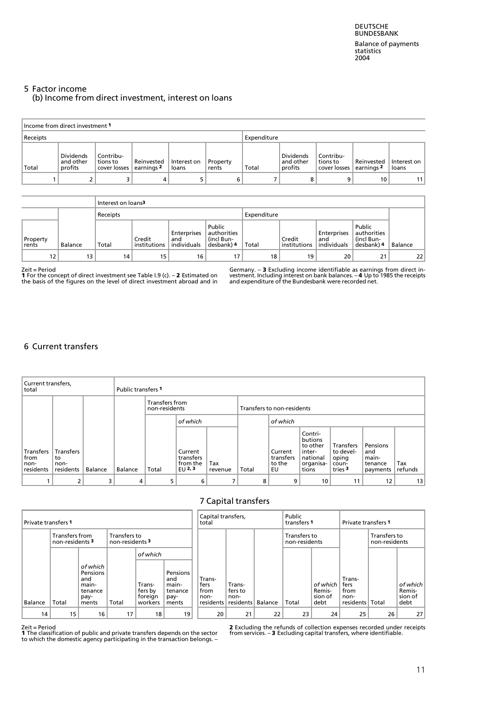# <span id="page-10-0"></span>5 Factor income (b) Income from direct investment, interest on loans

|          | Income from direct investment 1          |                                       |                           |                      |                   |             |                                          |                                       |                          |                      |
|----------|------------------------------------------|---------------------------------------|---------------------------|----------------------|-------------------|-------------|------------------------------------------|---------------------------------------|--------------------------|----------------------|
| Receipts |                                          |                                       |                           |                      |                   | Expenditure |                                          |                                       |                          |                      |
| Total    | <b>Dividends</b><br>and other<br>profits | Contribu-<br>tions to<br>cover losses | ⊩Reinvested<br>earnings 2 | Interest on<br>loans | Property<br>rents | Total       | <b>Dividends</b><br>and other<br>profits | Contribu-<br>tions to<br>cover losses | Reinvested<br>earnings 2 | Interest on<br>loans |
|          |                                          |                                       | 4                         |                      | ь                 |             | 8                                        |                                       | 10 <sub>1</sub>          | 11 I                 |

|                   |         | Interest on loans <sup>3</sup> |                        |                                     |                                                   |             |                        |                                   |                                                   |         |    |
|-------------------|---------|--------------------------------|------------------------|-------------------------------------|---------------------------------------------------|-------------|------------------------|-----------------------------------|---------------------------------------------------|---------|----|
|                   |         | Receipts                       |                        |                                     |                                                   | Expenditure |                        |                                   |                                                   |         |    |
| Property<br>rents | Balance | Total                          | Credit<br>institutions | Enterprises  <br>and<br>individuals | Public<br>authorities<br>(incl Bun-<br>desbank) 4 | Total       | Credit<br>institutions | Enterprises<br>and<br>individuals | Public<br>authorities<br>(incl Bun-<br>desbank) 4 | Balance |    |
| 12                | 13      | 14                             | 15                     | 16                                  |                                                   | 18          | 19                     | 20                                | ا ٤                                               |         | 22 |

Zeit = Period **1** For the concept of direct investment see Table I.9 (c). – **2** Estimated on the basis of the figures on the level of direct investment abroad and in

Germany. – **3** Excluding income identifiable as earnings from direct in-vestment. Including interest on bank balances. – **4** Up to 1985 the receipts and expenditure of the Bundesbank were recorded net.

# 6 Current transfers

| Current transfers,<br>total              |                                      |         | <b>Public transfers 1</b> |                                 |                                                   |                |       |                                      |                                                                            |                                                                |                                                 |                |
|------------------------------------------|--------------------------------------|---------|---------------------------|---------------------------------|---------------------------------------------------|----------------|-------|--------------------------------------|----------------------------------------------------------------------------|----------------------------------------------------------------|-------------------------------------------------|----------------|
|                                          |                                      |         |                           | Transfers from<br>non-residents |                                                   |                |       | Transfers to non-residents           |                                                                            |                                                                |                                                 |                |
|                                          | of which                             |         |                           |                                 |                                                   |                |       | of which                             |                                                                            |                                                                |                                                 |                |
| Transfers<br>  from<br>non-<br>residents | Transfers<br>to<br>non-<br>residents | Balance | Balance                   | Total                           | Current<br>transfers<br>from the<br>$E \cup 2, 3$ | Tax<br>revenue | Total | Current<br>transfers<br>to the<br>EU | Contri-<br>butions<br>to other<br>inter-<br>national<br>organisa-<br>tions | Transfers<br>to devel-<br>oping<br>coun-<br>tries <sup>3</sup> | Pensions<br>and<br>main-<br>tenance<br>payments | Tax<br>refunds |
|                                          | ∠                                    | 3       | 4                         |                                 | 6                                                 |                | 8     | 9                                    | 10                                                                         | 11                                                             | 12                                              | 13             |

### 7 Capital transfers

|         | <b>Private transfers 1</b>                                                                                                                            |    |                                            |          |                                     | Capital transfers,<br>  total                   |                                                  |    | Public<br>transfers <sup>1</sup> |                                              | <b>Private transfers 1</b>          |                               |                                       |
|---------|-------------------------------------------------------------------------------------------------------------------------------------------------------|----|--------------------------------------------|----------|-------------------------------------|-------------------------------------------------|--------------------------------------------------|----|----------------------------------|----------------------------------------------|-------------------------------------|-------------------------------|---------------------------------------|
|         | Transfers from<br>non-residents <sup>3</sup>                                                                                                          |    | Transfers to<br>non-residents <sup>3</sup> |          |                                     |                                                 |                                                  |    | Transfers to<br>non-residents    |                                              |                                     | Transfers to<br>non-residents |                                       |
|         |                                                                                                                                                       |    |                                            | of which |                                     |                                                 |                                                  |    |                                  |                                              |                                     |                               |                                       |
| Balance | of which<br>Pensions<br>and<br>and<br>main-<br>Trans-<br>main-<br>fers by<br>tenance<br>foreign<br>pay-<br>pay-<br>Total<br>Total<br>workers<br>ments |    |                                            |          | <b>Pensions</b><br>tenance<br>ments | Trans-<br>fers<br>  from<br>non-<br>  residents | Trans-<br>fers to<br>non-<br>residents   Balance |    | Total                            | of which   fers<br>Remis-<br>sion of<br>debt | Trans-<br>from<br>non-<br>residents | Total                         | of which<br>Remis-<br>sion of<br>debt |
| 14      | 15                                                                                                                                                    | 16 | 17                                         | 18       | 19                                  | 20                                              | 21                                               | 22 | 23                               | 24                                           | 25                                  | 26                            | 27                                    |

Zeit = Period<br>**1** [The classification of public and private transfers depends on t](#page-60-0)he sector<br>to which the domestic agency participating in the transaction belongs. –

**2** Excluding the refunds of collection expenses recorded under receipts from services. – **3** Excluding capital transfers, where identifiable.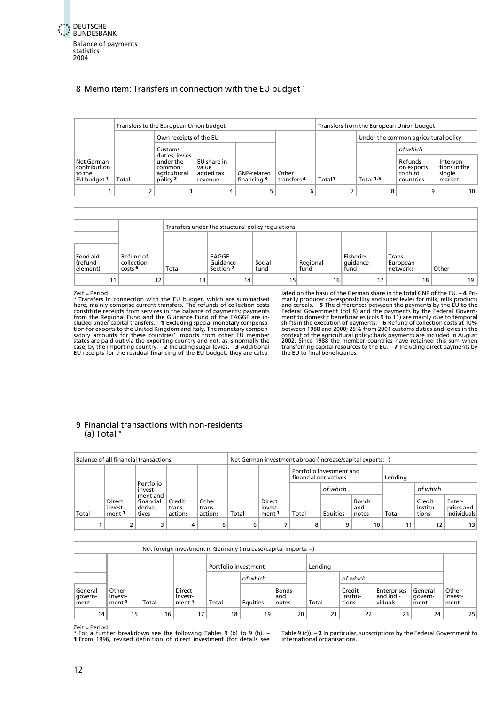<span id="page-11-0"></span>

## 8 Memo item: Transfers in connection with the EU budget \*

|                                                       |       | Transfers to the European Union budget                            |                                              |                            |                                 |                    | Transfers from the European Union budget |                                                |                                               |
|-------------------------------------------------------|-------|-------------------------------------------------------------------|----------------------------------------------|----------------------------|---------------------------------|--------------------|------------------------------------------|------------------------------------------------|-----------------------------------------------|
|                                                       |       | Own receipts of the EU                                            |                                              |                            |                                 |                    |                                          | Under the common agricultural policy           |                                               |
|                                                       |       | Customs                                                           |                                              |                            |                                 |                    |                                          | of which                                       |                                               |
| Net German<br>contribution<br>l to the<br>EU budget 1 | Total | duties, levies<br>under the<br>common<br>agricultural<br>policy 2 | EU share in<br>value<br>added tax<br>revenue | GNP-related<br>financing 3 | Other<br>transfers <sup>4</sup> | Total <sup>1</sup> | Total $1.5$                              | Refunds<br>on exports<br>to third<br>countries | Interven-<br>tions in the<br>single<br>market |
|                                                       |       |                                                                   |                                              |                            |                                 |                    |                                          |                                                | 10                                            |

|                                 |                       |           |       |                                |    | Transfers under the structural policy regulations |                  |                                      |                                |       |    |
|---------------------------------|-----------------------|-----------|-------|--------------------------------|----|---------------------------------------------------|------------------|--------------------------------------|--------------------------------|-------|----|
| Food aid<br>(refund<br>element) | collection<br>costs 6 | Refund of | Total | EAGGF<br>Guidance<br>Section 7 |    | Social<br>fund                                    | Regional<br>fund | <b>Fisheries</b><br>quidance<br>fund | Trans-<br>European<br>networks | Other |    |
|                                 |                       |           |       |                                |    |                                                   |                  |                                      |                                |       |    |
|                                 |                       | 12        | 13    |                                | 14 | 15                                                | 16               |                                      | 18                             |       | 19 |

# Zeit = Period

\* Transfers in connection with the EU budget, which are summarised here, mainly comprise current transfers. The refunds of collection costs constitute receipts from services in the balance of payments; payments<br>from the Regional Fund and the Guidance Fund of the EAGGF are in-<br>cluded under capital transfers. **- 1** Excluding special monetary compensa-<br>tion for e lated on the basis of the German share in the total GNP of the EU. – **4** Primarily producer co-responsibility and super levies for milk, milk products and cereals. – **5** The differences between the payments by the EU to the Federal Government (col 8) and the payments by the Federal Government to domestic beneficiaries (cols 9 to 11) are mainly due to temporal<br>shifts in the execution of payments. – **6** Refund of collection costs at 10%<br>betwee

#### 9 Financial transactions with non-residents (a) Total \*

|       |                             | Balance of all financial transactions     |                             |                            |       |   |                             |       |                                                   | Net German investment abroad (increase/capital exports: -) |         |    |                             |                                     |
|-------|-----------------------------|-------------------------------------------|-----------------------------|----------------------------|-------|---|-----------------------------|-------|---------------------------------------------------|------------------------------------------------------------|---------|----|-----------------------------|-------------------------------------|
|       |                             |                                           |                             |                            |       |   |                             |       | Portfolio investment and<br>financial derivatives |                                                            | Lending |    |                             |                                     |
|       |                             | Portfolio<br>invest-                      |                             |                            |       |   |                             |       | of which                                          |                                                            |         |    | of which                    |                                     |
| Total | Direct<br>invest-<br>ment 1 | ment and<br>financial<br>deriva-<br>tives | Credit<br>trans-<br>actions | Other<br>trans-<br>actions | Total |   | Direct<br>invest-<br>ment 1 | Total | Equities                                          | <b>Bonds</b><br>and<br>notes                               | Total   |    | Credit<br>institu-<br>tions | Enter-<br>prises and<br>individuals |
|       |                             | з                                         | 4                           |                            |       | 6 |                             |       | Q                                                 | 10                                                         |         | 11 | 12                          | 13                                  |

|                            |                                       |       |    |                             |    |                                  |    | Net foreign investment in Germany (increase/capital imports: $+$ ) |                              |    |         |          |                             |                                     |                            |                          |    |
|----------------------------|---------------------------------------|-------|----|-----------------------------|----|----------------------------------|----|--------------------------------------------------------------------|------------------------------|----|---------|----------|-----------------------------|-------------------------------------|----------------------------|--------------------------|----|
|                            |                                       |       |    |                             |    |                                  |    |                                                                    |                              |    | Lending |          |                             |                                     |                            |                          |    |
|                            |                                       |       |    |                             |    | Portfolio investment<br>of which |    |                                                                    |                              |    |         | of which |                             |                                     |                            |                          |    |
| General<br>govern-<br>ment | Other<br>invest-<br>ment <sup>2</sup> | Total |    | Direct<br>invest-<br>ment 1 |    | Total                            |    | Equities                                                           | <b>Bonds</b><br>and<br>notes |    | Total   |          | Credit<br>institu-<br>tions | Enterprises<br>and indi-<br>viduals | General<br>govern-<br>ment | Other<br>invest-<br>ment |    |
| 14                         | 15                                    |       | 16 |                             | 17 |                                  | 18 | 19                                                                 |                              | 20 |         | 21       | 22                          | 23                                  | 24                         |                          | 25 |

Zeit = Period \* For a further breakdown see the following Tables 9 (b) to 9 (h). – **1** From 1996, revised definition of direct investment (for details see

Table 9 (c)). – **2** In particular, subscriptions by the Federal Government to international organisations.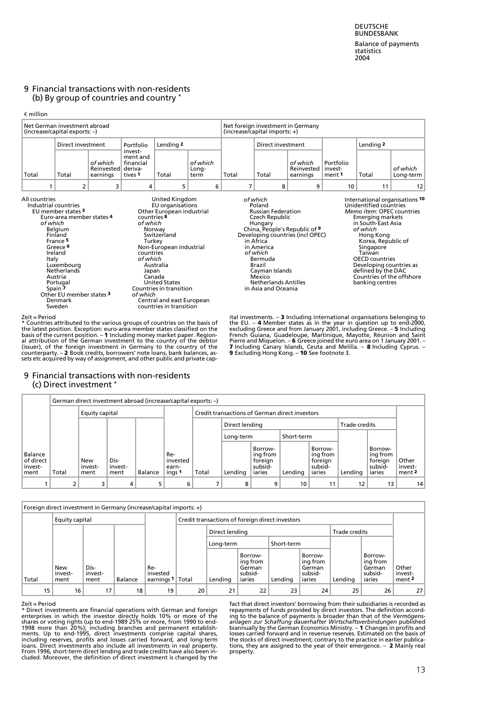#### <span id="page-12-0"></span>9 Financial transactions with non-residents (b) By group of countries and country \*

| €INIIION                                                   |                                                                                                                                                                                                                                     |                                            |                                                                                                                |                                                                                                                                                                                                                                          |                           |       |                                                                                                                                                                                                                                                                    |                                    |                                           |                                                                                                                                                                                                                                                                                                              |                                |
|------------------------------------------------------------|-------------------------------------------------------------------------------------------------------------------------------------------------------------------------------------------------------------------------------------|--------------------------------------------|----------------------------------------------------------------------------------------------------------------|------------------------------------------------------------------------------------------------------------------------------------------------------------------------------------------------------------------------------------------|---------------------------|-------|--------------------------------------------------------------------------------------------------------------------------------------------------------------------------------------------------------------------------------------------------------------------|------------------------------------|-------------------------------------------|--------------------------------------------------------------------------------------------------------------------------------------------------------------------------------------------------------------------------------------------------------------------------------------------------------------|--------------------------------|
|                                                            | Net German investment abroad<br>(increase/capital exports: -)                                                                                                                                                                       |                                            |                                                                                                                |                                                                                                                                                                                                                                          |                           |       | Net foreign investment in Germany<br>(increase/capital imports: +)                                                                                                                                                                                                 |                                    |                                           |                                                                                                                                                                                                                                                                                                              |                                |
|                                                            | Direct investment                                                                                                                                                                                                                   |                                            | Portfolio                                                                                                      | Lending <sub>2</sub>                                                                                                                                                                                                                     |                           |       | Direct investment                                                                                                                                                                                                                                                  |                                    |                                           | Lending <sub>2</sub>                                                                                                                                                                                                                                                                                         |                                |
| Total                                                      | Total                                                                                                                                                                                                                               | of which<br>Reinvested deriva-<br>earnings | invest-<br>ment and<br>financial<br>tives 1                                                                    | Total                                                                                                                                                                                                                                    | of which<br>Long-<br>term | Total | Total                                                                                                                                                                                                                                                              | of which<br>Reinvested<br>earnings | Portfolio<br>invest-<br>ment <sup>1</sup> | Total                                                                                                                                                                                                                                                                                                        | of which<br>Long-term          |
|                                                            | 2                                                                                                                                                                                                                                   | 3                                          | 4                                                                                                              | 5                                                                                                                                                                                                                                        | 6                         | 7     | 8                                                                                                                                                                                                                                                                  | 9                                  | 10                                        | 11                                                                                                                                                                                                                                                                                                           | 12 <sup>1</sup>                |
| All countries<br>Industrial countries<br>of which<br>Italy | EU member states 3<br>Euro-area member states 4<br>Belgium<br>Finland<br>France 5<br>Greece <sup>6</sup><br>Ireland<br>Luxembourg<br>Netherlands<br>Austria<br>Portugal<br>Spain 7<br>Other EU member states 3<br>Denmark<br>Sweden |                                            | countries <sup>8</sup><br>of which<br>Norway<br>Turkey<br>countries<br>of which<br>Japan<br>Canada<br>of which | <b>United Kingdom</b><br>EU organisations<br>Other European industrial<br>Switzerland<br>Non-European industrial<br>Australia<br><b>United States</b><br>Countries in transition<br>Central and east European<br>countries in transition |                           |       | of which<br>Poland<br><b>Russian Federation</b><br>Czech Republic<br>Hungary<br>China, People's Republic of 9<br>in Africa<br>in America<br>of which<br>Bermuda<br><b>Brazil</b><br>Cayman Islands<br>Mexico<br><b>Netherlands Antilles</b><br>in Asia and Oceania | Developing countries (incl OPEC)   |                                           | Unidentified countries<br>Memo <i>item</i> : OPEC countries<br><b>Emerging markets</b><br>in South-East Asia<br>of which<br>Hong Kong<br>Korea, Republic of<br>Singapore<br>Taiwan<br><b>OECD</b> countries<br>Developing countries as<br>defined by the DAC<br>Countries of the offshore<br>banking centres | International organisations 10 |

Zeit = Period

 $\sim$ 

\* Countries attributed to the various groups of countries on the basis of<br>the latest position. Exception: euro-are member states classified on the<br>basis of the current position. – 1 Including money market paper. Region-<br>al

#### 9 Financial transactions with non-residents (c) Direct investment \*

| $\cdot$ $\cdot$                         |       |                        |                         |   |                                                               |                                    |       |                |                                                     |            |                                                     |               |                                                     |                                       |
|-----------------------------------------|-------|------------------------|-------------------------|---|---------------------------------------------------------------|------------------------------------|-------|----------------|-----------------------------------------------------|------------|-----------------------------------------------------|---------------|-----------------------------------------------------|---------------------------------------|
|                                         |       |                        |                         |   | German direct investment abroad (increase/capital exports: -) |                                    |       |                |                                                     |            |                                                     |               |                                                     |                                       |
|                                         |       | Equity capital         |                         |   |                                                               |                                    |       |                | Credit transactions of German direct investors      |            |                                                     |               |                                                     |                                       |
|                                         |       |                        |                         |   |                                                               |                                    |       | Direct lending |                                                     |            |                                                     | Trade credits |                                                     |                                       |
|                                         |       |                        |                         |   |                                                               |                                    |       | Long-term      |                                                     | Short-term |                                                     |               |                                                     |                                       |
| Balance<br>of direct<br>invest-<br>ment | Total | New<br>invest-<br>ment | Dis-<br>invest-<br>ment |   | Balance                                                       | Re-<br>invested<br>earn-<br>ings 1 | Total | Lending        | Borrow-<br>ing from<br>foreign<br>subsid-<br>iaries | Lending    | Borrow-<br>ing from<br>foreign<br>subsid-<br>jaries | Lending       | Borrow-<br>ing from<br>foreign<br>subsid-<br>iaries | Other<br>invest-<br>ment <sup>2</sup> |
|                                         |       |                        |                         | 4 |                                                               | 6                                  |       | 8              |                                                     | 10         | 11                                                  | 12            | 13                                                  | 14                                    |

|       |    |                |                 | Foreign direct investment in Germany (increase/capital imports: +) |                                            |       |    |                |                                                 |         |                   |                     |                   |                   |
|-------|----|----------------|-----------------|--------------------------------------------------------------------|--------------------------------------------|-------|----|----------------|-------------------------------------------------|---------|-------------------|---------------------|-------------------|-------------------|
|       |    | Equity capital |                 |                                                                    |                                            |       |    |                | Credit transactions of foreign direct investors |         |                   |                     |                   |                   |
|       |    |                |                 |                                                                    |                                            |       |    | Direct lending |                                                 |         |                   | Trade credits       |                   |                   |
|       |    |                |                 |                                                                    | Short-term<br>Long-term                    |       |    |                |                                                 |         |                   |                     |                   |                   |
|       |    |                |                 |                                                                    | Borrow-<br>Borrow-<br>ing from<br>ing from |       |    |                |                                                 |         |                   | Borrow-<br>ing from |                   |                   |
|       |    | New<br>invest- | Dis-<br>invest- |                                                                    | Re-<br>invested                            |       |    |                | German<br>subsid-                               |         | German<br>subsid- |                     | German<br>subsid- | Other<br>invest-  |
| Total |    | ment           | ment            | Balance                                                            | earnings <sup>1</sup>                      | Total |    | Lending        | iaries                                          | Lending | iaries            | Lending             | jaries            | ment <sub>2</sub> |
|       | 15 | 16             | 17              | 18                                                                 | 19                                         |       | 20 | 21             | 22                                              | 23      | 24                | 25                  | 26                | 27                |

Zeit = Period<br>
\* Direct investments are financial operations with German and foreign<br>
\* Direct investments are financial operations with German and foreign<br>
enterprises in which the investor directly holds 10% or more of t

fact that direct investors' borrowing from their subsidiaries is recorded as<br>repayments of funds provided by direct investors. The definition accord-<br>ing to the balance of payments is broader than that of the *Vermögens-*<br>

ital investments. – **3** Including international organisations belonging to

the EU. – 4 Member states as in the year in question up to end-2000, excluding Greece and from January 2001, including Greece. – 5 Including Piench Guiana, Guadeloupe, Martinique, Mayotte, Réunion and Saint Pierre and Miqu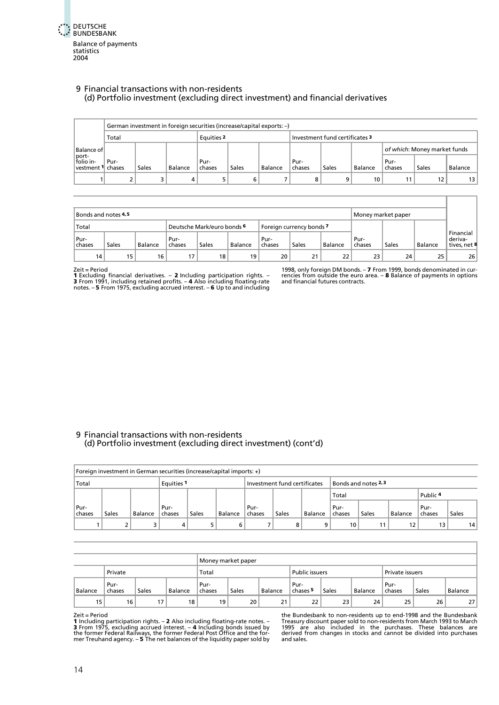<span id="page-13-0"></span>

#### 9 Financial transactions with non-residents [\(d\) Portfolio investment \(excluding direct investment\) and financial derivatives](#page-75-0)

|                    |                              |   |       |   | German investment in foreign securities (increase/capital exports: -) |            |  |       |  |         |        |  |                                |         |        |       |                   |         |
|--------------------|------------------------------|---|-------|---|-----------------------------------------------------------------------|------------|--|-------|--|---------|--------|--|--------------------------------|---------|--------|-------|-------------------|---------|
|                    | Total                        |   |       |   |                                                                       | Equities 2 |  |       |  |         |        |  | Investment fund certificates 3 |         |        |       |                   |         |
| Balance of         | of which: Money market funds |   |       |   |                                                                       |            |  |       |  |         |        |  |                                |         |        |       |                   |         |
| port-<br>folio in- | Pur-                         |   |       |   |                                                                       | Pur-       |  |       |  |         | Pur-   |  |                                |         | Pur-   |       |                   |         |
| vestment 1 chases  |                              |   | Sales |   | Balance                                                               | chases     |  | Sales |  | Balance | chases |  | Sales                          | Balance | chases | Sales |                   | Balance |
|                    |                              | ے |       | 3 | 4                                                                     |            |  | ь     |  |         |        |  | 9                              | 10      | 11     |       | $12 \overline{ }$ | 13      |

| Bonds and notes 4,5 |       |    |         |                 |                            |         |                |                          |         | Money market paper |       |         |                                      |
|---------------------|-------|----|---------|-----------------|----------------------------|---------|----------------|--------------------------|---------|--------------------|-------|---------|--------------------------------------|
| Total               |       |    |         |                 | Deutsche Mark/euro bonds 6 |         |                | Foreign currency bonds 7 |         |                    |       |         |                                      |
| Pur-<br>chases      | Sales |    | Balance | Pur-<br>chases  | Sales                      | Balance | Pur-<br>chases | Sales                    | Balance | Pur-<br>chases     | Sales | Balance | Financial<br>deriva-<br>tives, net 8 |
| 14                  |       | 15 | 16      | 17 <sub>1</sub> | 18                         | 19      | 20             | 21                       | 22      | 23                 | 24    | 25      | 26                                   |

Zeit = Period

**1** Excluding financial derivatives. – **2** Including participation rights. –<br>**3** From 1991, including retained profits. – **4** Also including floating-rate<br>notes. – **5** From 1975, excluding accrued interest. – **6** Up

1998, only foreign DM bonds. – **7** From 1999, bonds denominated in cur-rencies from outside the euro area. – **8** Balance of payments in options and financial futures contracts.

## 9 Financial transactions with non-residents (d) Portfolio investment (excluding direct investment) (cont'd)

|                |                   |       |  |         |                |              |  | Foreign investment in German securities (increase/capital imports: +) |                              |       |   |         |                 |                     |         |                |              |    |
|----------------|-------------------|-------|--|---------|----------------|--------------|--|-----------------------------------------------------------------------|------------------------------|-------|---|---------|-----------------|---------------------|---------|----------------|--------------|----|
| Total          |                   |       |  |         | Equities 1     |              |  |                                                                       | Investment fund certificates |       |   |         |                 | Bonds and notes 2,3 |         |                |              |    |
|                | Public 4<br>Total |       |  |         |                |              |  |                                                                       |                              |       |   |         |                 |                     |         |                |              |    |
| Pur-<br>chases |                   | Sales |  | Balance | Pur-<br>chases | <b>Sales</b> |  | Balance                                                               | Pur-<br>chases               | Sales |   | Balance | Pur-<br>chases  | Sales               | Balance | Pur-<br>chases | <b>Sales</b> |    |
|                |                   |       |  |         | 4              |              |  |                                                                       |                              |       | 8 |         | 10 <sub>1</sub> | 11                  | 12      | 13             |              | 14 |

|         |                |       |         | Money market paper |       |         |                             |       |         |                 |       |         |
|---------|----------------|-------|---------|--------------------|-------|---------|-----------------------------|-------|---------|-----------------|-------|---------|
|         | Private        |       |         | Total              |       |         | <b>Public issuers</b>       |       |         | Private issuers |       |         |
| Balance | Pur-<br>chases | Sales | Balance | Pur-<br>chases     | Sales | Balance | Pur-<br>chases <sup>5</sup> | Sales | Balance | Pur-<br>chases  | Sales | Balance |
| 15      | 16             | 17    | 18      | 19                 | 20    | 21      | 22                          | 23    | 24      | 25              | 26    | 27      |

Zeit = Period<br>**1** Including participation rights. – **2** Also including floating-rate notes. –<br>**3** From 1975, excluding accrued interest. – **4** Including bonds issued by<br>the former Federal Railways, the former Federal Post

the Bundesbank to non-residents up to end-1998 and the Bundesbank<br>Treasury discount paper sold to non-residents from March 1993 to March<br>1995 are also included in the purchases. These balances are<br>derived and sales.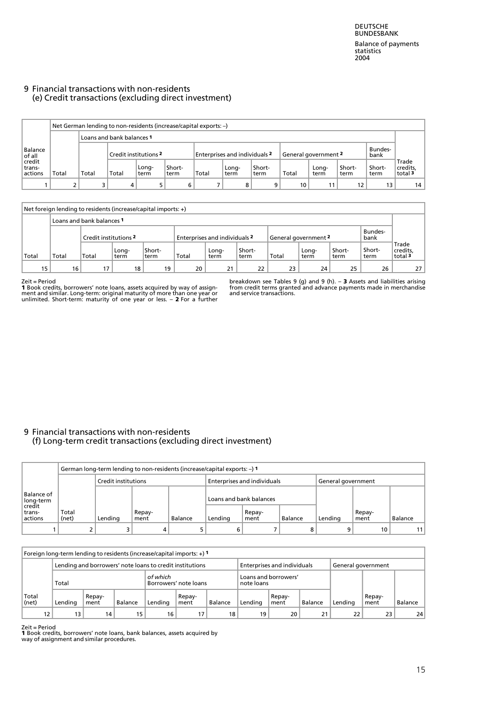## <span id="page-14-0"></span>9 Financial transactions with non-residents (e) Credit transactions (excluding direct investment)

|                               |       |                           |       |   |                       |                |   | Net German lending to non-residents (increase/capital exports: -) |               |   |                |   |       |                                 |                |                 |    |                                         |
|-------------------------------|-------|---------------------------|-------|---|-----------------------|----------------|---|-------------------------------------------------------------------|---------------|---|----------------|---|-------|---------------------------------|----------------|-----------------|----|-----------------------------------------|
|                               |       | Loans and bank balances 1 |       |   |                       |                |   |                                                                   |               |   |                |   |       |                                 |                |                 |    |                                         |
| Balance<br>l of all           |       |                           |       |   | Credit institutions 2 |                |   | Enterprises and individuals 2                                     |               |   |                |   |       | General government <sup>2</sup> |                | Bundes-<br>bank |    |                                         |
| credit<br>  trans-<br>actions | Total | Total                     | Total |   | Long-<br>∣term        | Short-<br>term |   | <b>Total</b>                                                      | Long-<br>term |   | Short-<br>term |   | Total | Long-<br>term                   | Short-<br>term | Short-<br>term  |    | Trade<br>credits,<br>total <sup>3</sup> |
|                               |       |                           |       | 4 |                       |                | 6 |                                                                   |               | 8 |                | Q | 10    | 11                              | 12             |                 | 13 | 14                                      |

|       |                                                                                                   |                           |    |       |    | Net foreign lending to residents (increase/capital imports: +) |    |                |    |       |    |               |    |                |       |    |               |                |                |                                         |  |
|-------|---------------------------------------------------------------------------------------------------|---------------------------|----|-------|----|----------------------------------------------------------------|----|----------------|----|-------|----|---------------|----|----------------|-------|----|---------------|----------------|----------------|-----------------------------------------|--|
|       |                                                                                                   | Loans and bank balances 1 |    |       |    |                                                                |    |                |    |       |    |               |    |                |       |    |               |                |                |                                         |  |
|       | Bundes-<br>Enterprises and individuals 2<br>Credit institutions 2<br>General government 2<br>bank |                           |    |       |    |                                                                |    |                |    |       |    |               |    |                |       |    |               |                |                |                                         |  |
| Total |                                                                                                   | Total                     |    | Total |    | Long-<br>term                                                  |    | Short-<br>term |    | Total |    | Long-<br>term |    | Short-<br>term | Total |    | Long-<br>term | Short-<br>term | Short-<br>term | Trade<br>credits,<br>total <sup>3</sup> |  |
|       | 15                                                                                                |                           | 16 |       | 17 |                                                                | 18 |                | 19 |       | 20 |               | 21 | 22             |       | 23 | 24            | 25             | 26             | 27                                      |  |

Zeit = Period<br>¶ Book credits, borrowers' note loans, assets acquired by way of assign-<br>ment and similar. Long-term: original maturity of more than one year or<br>unlimited. Short-term: maturity of one year or less. – 2 For a

breakdown see Tables 9 (g) and 9 (h). – **3** Assets and liabilities arising from credit terms granted and advance payments made in merchandise and service transactions.

#### 9 Financial transactions with non-residents [\(f\) Long-term credit transactions \(excluding direct investment\)](#page-81-0)

|                               |                |                     |                         |         | German long-term lending to non-residents (increase/capital exports: $-$ ) 1 |                                    |         |                    |                |         |  |  |  |
|-------------------------------|----------------|---------------------|-------------------------|---------|------------------------------------------------------------------------------|------------------------------------|---------|--------------------|----------------|---------|--|--|--|
|                               |                | Credit institutions |                         |         |                                                                              | <b>Enterprises and individuals</b> |         | General government |                |         |  |  |  |
| Balance of<br>long-term       |                |                     | Loans and bank balances |         |                                                                              |                                    |         |                    |                |         |  |  |  |
| credit<br>  trans-<br>actions | Total<br>(net) | Lending             | Repay-<br>ment          | Balance | Lending                                                                      | Repay-<br>ment                     | Balance | Lending            | Repay-<br>ment | Balance |  |  |  |
|                               |                |                     | 4                       |         |                                                                              |                                    | 8       |                    | 10             |         |  |  |  |

|                |    |         |                | Foreign long-term lending to residents (increase/capital imports: $+$ ) 1 |          |                       |         |            |                             |         |                    |                |         |
|----------------|----|---------|----------------|---------------------------------------------------------------------------|----------|-----------------------|---------|------------|-----------------------------|---------|--------------------|----------------|---------|
|                |    |         |                | Lending and borrowers' note loans to credit institutions                  |          |                       |         |            | Enterprises and individuals |         | General government |                |         |
|                |    | Total   |                |                                                                           | of which | Borrowers' note loans |         | note loans | Loans and borrowers'        |         |                    |                |         |
| Total<br>(net) |    | Lending | Repay-<br>ment | Balance                                                                   | Lendina  | Repay-<br>ment        | Balance | Lendina    | Repay-<br>ment              | Balance | Lendina            | Repay-<br>ment | Balance |
|                | 12 | 13      | 14             | 15                                                                        | 16       | 17                    | 18      | 19         | 20                          | 21      | 22                 | 23             | 24      |

Zeit = Period<br>**1** Book credits, borrowers' note loans, bank balances, assets acquired by<br>way of assignment and similar procedures.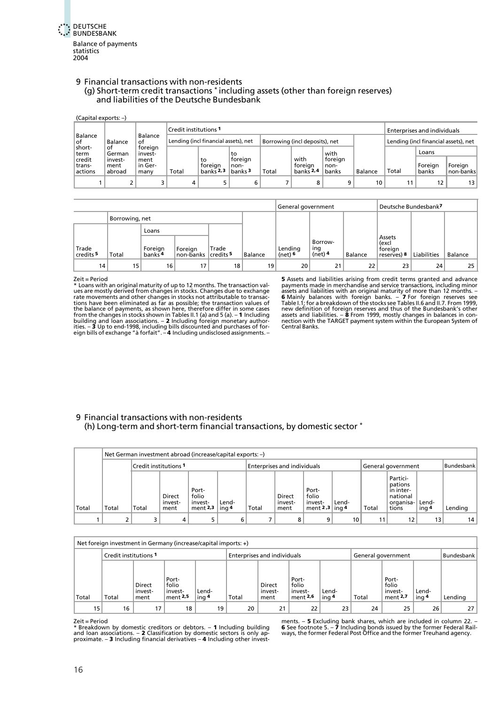<span id="page-15-0"></span>

#### 9 Financial transactions with non-residents (g) Short-term credit transactions \* including assets (other than foreign reserves) and liabilities of the Deutsche Bundesbank

| $(Capital exports: -)$        |                           |                         |                       |                                      |                                       |       |                                |                          |         |       |                                      |                      |
|-------------------------------|---------------------------|-------------------------|-----------------------|--------------------------------------|---------------------------------------|-------|--------------------------------|--------------------------|---------|-------|--------------------------------------|----------------------|
|                               |                           |                         | Credit institutions 1 |                                      |                                       |       |                                |                          |         |       | <b>Enterprises and individuals</b>   |                      |
| Balance<br>∣of                | Balance                   | Balance<br>of           |                       | Lending (incl financial assets), net |                                       |       | Borrowing (incl deposits), net |                          |         |       | Lending (incl financial assets), net |                      |
| short-<br>l term              | of<br>German              | foreign<br>invest-      |                       |                                      | l to                                  |       |                                | with                     |         |       | Loans                                |                      |
| credit<br>  trans-<br>actions | invest-<br>ment<br>abroad | ment<br>in Ger-<br>many | Total                 | to<br>foreign<br>banks $2,3$         | foreign<br>non-<br>banks <sup>3</sup> | Total | with<br>foreign<br>banks 2,4   | foreign<br>non-<br>banks | Balance | Total | Foreign<br>banks                     | Foreign<br>non-banks |
|                               |                           |                         | 4                     |                                      | 6                                     |       | 8                              |                          | 10      | 11    | 12                                   | 13                   |

|                               |    |                |    |                               |                      |                    |         | General government   |                             |         | Deutsche Bundesbank <sup>7</sup> |             |         |
|-------------------------------|----|----------------|----|-------------------------------|----------------------|--------------------|---------|----------------------|-----------------------------|---------|----------------------------------|-------------|---------|
|                               |    | Borrowing, net |    |                               |                      |                    |         |                      |                             |         |                                  |             |         |
|                               |    |                |    | Loans                         |                      |                    |         |                      |                             |         |                                  |             |         |
|                               |    |                |    |                               |                      |                    |         |                      | Borrow-                     |         | Assets<br>(excl                  |             |         |
| Trade<br>credits <sup>5</sup> |    | Total          |    | Foreign<br>banks <sup>4</sup> | Foreign<br>non-banks | Trade<br>credits 5 | Balance | Lending<br>$(net)$ 6 | ing<br>$(net)$ <sup>4</sup> | Balance | foreign<br>reserves) 8           | Liabilities | Balance |
|                               | 14 |                | 15 | 16 <sub>1</sub>               | 17                   | 18                 | 19      | 20                   | 21                          | 22      | 23                               | 24          | 25      |

Zeit = Period<br>
\* Loans with an original maturity of up to 12 months. The transaction val-<br>
\* Loans with an original maturity of up to 12 months. The transaction val-<br>
ues are mostly derived from changes in stocks not attri

**5** Assets and liabilities arising from credit terms granted and advance payments made in merchandise and service transactions, including minor assets and liabilities with an original maturity of more than 12 months. –<br>**6 M**ainly balances with foreign banks. – **7** For foreign reserves see<br>Table I.1; for a breakdown of the stocks see Tables II.6 and II.7. Fr new definition of foreign reserves and thus of the Bundesbank's other<br>assets and liabilities. – **8** From 1999, mostly changes in balances in con-<br>nection with the TARGET payment system within the European System of<br>Central

## 9 Financial transactions with non-residents (h) Long-term and short-term financial transactions, by domestic sector \*

|       |       |       | Net German investment abroad (increase/capital exports: -) |                                         |                           |   |                                    |                           |                                         |                |       |                                                                    |                |                   |
|-------|-------|-------|------------------------------------------------------------|-----------------------------------------|---------------------------|---|------------------------------------|---------------------------|-----------------------------------------|----------------|-------|--------------------------------------------------------------------|----------------|-------------------|
|       |       |       | Credit institutions 1                                      |                                         |                           |   | <b>Enterprises and individuals</b> |                           |                                         |                |       | General government                                                 |                | <b>Bundesbank</b> |
| Total | Total | Total | Direct<br>invest-<br>ment                                  | Port-<br>folio<br>invest-<br>ment $2,3$ | Lend-<br>ina <sub>4</sub> |   | Total                              | Direct<br>invest-<br>ment | Port-<br>folio<br>invest-<br>ment $2,3$ | Lend-<br>ing 4 | Total | Partici-<br>pations<br>in inter-<br>national<br>organisa-<br>tions | Lend-<br>ing 4 | Lending           |
|       |       |       | 4                                                          |                                         |                           | 6 |                                    | 8                         |                                         | 10             |       | 12                                                                 | 13             | 14                |

Net foreign investment in Germany (increase/capital imports: +)

|       |    | Credit institutions 1 |                                  |                                         |                  |       | <b>Enterprises and individuals</b> |                                         |                |       | General government                      |                  | <b>Bundesbank</b> |
|-------|----|-----------------------|----------------------------------|-----------------------------------------|------------------|-------|------------------------------------|-----------------------------------------|----------------|-------|-----------------------------------------|------------------|-------------------|
| Total |    | Total                 | <b>Direct</b><br>invest-<br>ment | Port-<br>folio<br>invest-<br>ment $2.5$ | Lend-<br>l ina 4 | Total | <b>Direct</b><br>invest-<br>ment   | Port-<br>folio<br>invest-<br>ment $2,6$ | Lend-<br>ing 4 | Total | Port-<br>folio<br>invest-<br>ment $2,7$ | Lend-<br>ing $4$ | Lending           |
|       | 15 | 16                    | 17                               | 18                                      | 19               | 20    | 21                                 | 22                                      | 23             | 24    | 25                                      | 26 <sup>1</sup>  | 27 <sup>2</sup>   |

Zeit = Period

\* Breakdown by domestic creditors or debtors. – **1** Including building<br>and loan associations. – **2** Classification by domestic sectors is only ap-<br>proximate. – **3** Including financial derivatives – **4** Including other inve

ments. – **5** Excluding bank shares, which are included in column 22. –<br>**6** See footnote 5. – **7** Including bonds issued by the former Federal Rail-<br>ways, the former Federal Post Office and the former Treuhand agency.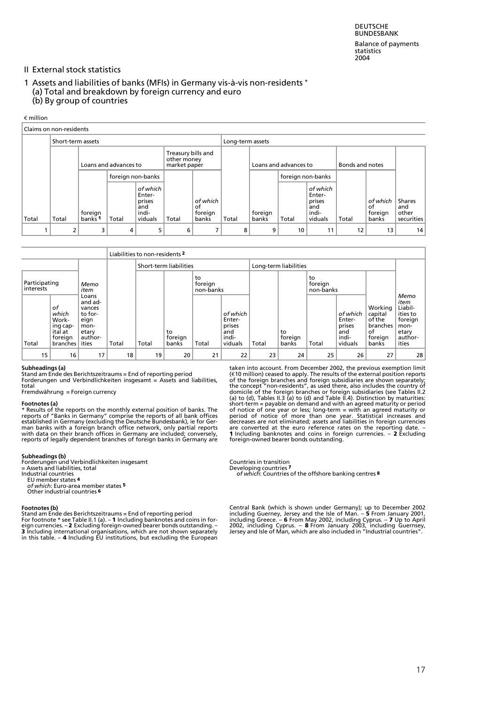#### <span id="page-16-0"></span>II External stock statistics

1 Assets and liabilities of banks (MFIs) in Germany vis-à-vis non-residents \* (a) Total and breakdown by foreign currency and euro (b) By group of countries

#### € million

| l Claims on non-residents |       |                               |       |                                                         |                                                   |                                    |                  |                  |                       |                                                         |                 |                                    |                                             |
|---------------------------|-------|-------------------------------|-------|---------------------------------------------------------|---------------------------------------------------|------------------------------------|------------------|------------------|-----------------------|---------------------------------------------------------|-----------------|------------------------------------|---------------------------------------------|
|                           |       | Short-term assets             |       |                                                         |                                                   |                                    | Long-term assets |                  |                       |                                                         |                 |                                    |                                             |
|                           |       | Loans and advances to         |       |                                                         | Treasury bills and<br>other money<br>market paper |                                    |                  |                  | Loans and advances to |                                                         | Bonds and notes |                                    |                                             |
|                           |       |                               |       | foreign non-banks                                       |                                                   |                                    |                  |                  | foreign non-banks     |                                                         |                 |                                    |                                             |
| Total                     | Total | foreign<br>banks <sup>1</sup> | Total | of which<br>Enter-<br>prises<br>and<br>indi-<br>viduals | Total                                             | of which<br>of<br>foreign<br>banks | Total            | foreign<br>banks | Total                 | of which<br>Enter-<br>prises<br>and<br>indi-<br>viduals | Total           | of which<br>of<br>foreign<br>banks | <b>Shares</b><br>and<br>other<br>securities |
|                           |       | 3                             | 4     | 5                                                       | 6                                                 |                                    | 8                | 9                | 10                    | 11                                                      | 12              | 13                                 | 14                                          |

|                                                                             |    |                                                                                    | Liabilities to non-residents 2 |       |    |                        |                            |                                                         |       |                        |                            |                                                         |                                                                    |                                                                                     |
|-----------------------------------------------------------------------------|----|------------------------------------------------------------------------------------|--------------------------------|-------|----|------------------------|----------------------------|---------------------------------------------------------|-------|------------------------|----------------------------|---------------------------------------------------------|--------------------------------------------------------------------|-------------------------------------------------------------------------------------|
|                                                                             |    |                                                                                    |                                |       |    | Short-term liabilities |                            |                                                         |       | Long-term liabilities  |                            |                                                         |                                                                    |                                                                                     |
| Participating<br>interests                                                  |    | Memo<br>item                                                                       |                                |       |    |                        | to<br>foreign<br>non-banks |                                                         |       |                        | to<br>foreign<br>non-banks |                                                         |                                                                    |                                                                                     |
| оf<br>which<br>Work-<br>ing cap-<br>ital at<br>foreign<br>Total<br>branches |    | Loans<br>and ad-<br>vances<br>to for-<br>eign<br>mon-<br>etary<br>author-<br>ities | Total                          | Total |    | to<br>foreign<br>banks | Total                      | of which<br>Enter-<br>prises<br>and<br>indi-<br>viduals | Total | to<br>foreign<br>banks | Total                      | of which<br>Enter-<br>prises<br>and<br>indi-<br>viduals | Workina<br>capital<br>of the<br>branches<br>оf<br>foreign<br>banks | Memo<br>item<br>Liabil-<br>ities to<br>foreign<br>mon-<br>etary<br>author-<br>ities |
| 15                                                                          | 16 | 17                                                                                 | 18                             |       | 19 | 20                     | 21                         | 22                                                      | 23    | 24                     | 25                         | 26                                                      | 27                                                                 | 28                                                                                  |

**Subheadings (a)**<br>Stand am Ende des Berichtszeitraums = End of reporting period<br>Forderungen und Verbindlichkeiten insgesamt = Assets and liabilities, total

Fremdwährung = Foreign currency

#### **Footnotes (a)**

\* Results of the reports on the monthly external position of banks. The reports of "Banks in Germany" comprise the reports of all bank offices established in Germany (excluding the Deutsche Bundesbank), ie for German banks

#### **Subheadings (b)**

Forderungen und Verbindlichkeiten insgesamt = Assets and liabilities, total

Industrial countries EU member states **4**

*of which*: Euro-area member states **5** Other industrial countries **6**

**Footnotes (b)**<br>Stand am Ende des Berichtszeitraums = End of reporting period<br>For footnote \* see Table II.1 (a). – **1** Including banknotes and coins in foreign currencies.–2 Excluding foreign-owned bearer bonds outstanding.–<br>3 Including international organisations, which are not shown separately<br>in this table. – 4 Including EU institutions, but excluding the European taken into account. From December 2002, the previous exemption limit ( $\epsilon$ [10 million) ceased to apply. The results of the external position reports of the foreign branches and foreign subsidiaries are shown separately; th are converted at the euro reference rates on the reporting date. – **1** Including banknotes and coins in foreign currencies. – **2** Excluding foreign-owned bearer bonds outstanding.

Countries in transition Developing countries **7**

*of which*: Countries of the offshore banking centres **8**

[Central Bank \(which is shown under Germany\); up to December 2002](#page-89-0)<br>includingGuerney, Jersey and the Isle of Man. – **5** From January 2001,<br>including Greece. – **6** From May 2002, including Cyprus. – 7 Up to April<br>2002, includ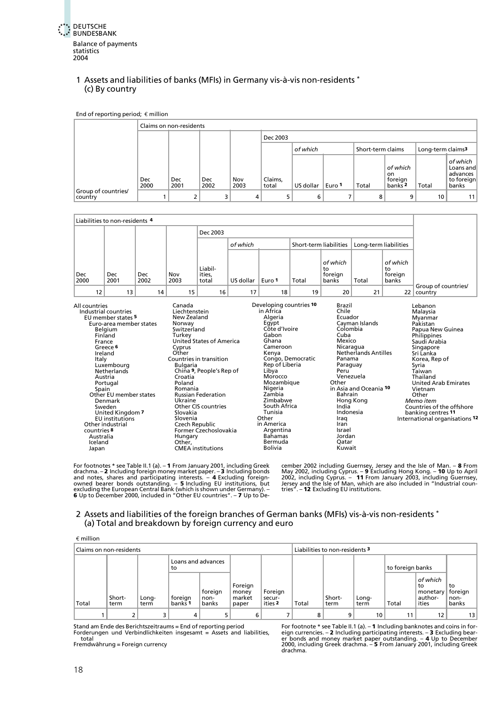<span id="page-17-0"></span>

### 1 Assets and liabilities of banks (MFIs) in Germany vis-à-vis non-residents \* (c) By country

| End of reporting period; $\epsilon$ million |  |  |
|---------------------------------------------|--|--|
|---------------------------------------------|--|--|

|                                  |             | Claims on non-residents |             |             |   |                  |           |                   |                   |                                                 |                               |    |                                                          |
|----------------------------------|-------------|-------------------------|-------------|-------------|---|------------------|-----------|-------------------|-------------------|-------------------------------------------------|-------------------------------|----|----------------------------------------------------------|
|                                  |             |                         |             |             |   | Dec 2003         |           |                   |                   |                                                 |                               |    |                                                          |
|                                  |             |                         |             |             |   |                  | of which  |                   | Short-term claims |                                                 | Long-term claims <sup>3</sup> |    |                                                          |
|                                  | Dec<br>2000 | Dec<br>2001             | Dec<br>2002 | Nov<br>2003 |   | Claims,<br>total | US dollar | Euro <sup>1</sup> | Total             | of which<br>on<br>foreign<br>banks <sup>2</sup> | Total                         |    | of which<br>Loans and<br>advances<br>to foreign<br>banks |
| Group of countries/<br>  country |             | ∽<br>۷                  |             |             | 4 |                  | 6         |                   | 8                 | 9                                               |                               | 10 | 11                                                       |

| Liabilities to non-residents 4                                                                                                                                                                                                                                                                                                                                                                  |             |                                                                                                                                                                                                                    |                                                                                                                                                                                                 |           |                                                                                                                                                                                                                                                                                                                                          |                        |                                                                                                                                                                                                                                 |                                                                                      |                                    |                                                                                                                                                                                                                                                                                                                              |
|-------------------------------------------------------------------------------------------------------------------------------------------------------------------------------------------------------------------------------------------------------------------------------------------------------------------------------------------------------------------------------------------------|-------------|--------------------------------------------------------------------------------------------------------------------------------------------------------------------------------------------------------------------|-------------------------------------------------------------------------------------------------------------------------------------------------------------------------------------------------|-----------|------------------------------------------------------------------------------------------------------------------------------------------------------------------------------------------------------------------------------------------------------------------------------------------------------------------------------------------|------------------------|---------------------------------------------------------------------------------------------------------------------------------------------------------------------------------------------------------------------------------|--------------------------------------------------------------------------------------|------------------------------------|------------------------------------------------------------------------------------------------------------------------------------------------------------------------------------------------------------------------------------------------------------------------------------------------------------------------------|
|                                                                                                                                                                                                                                                                                                                                                                                                 |             |                                                                                                                                                                                                                    | Dec 2003                                                                                                                                                                                        |           |                                                                                                                                                                                                                                                                                                                                          |                        |                                                                                                                                                                                                                                 |                                                                                      |                                    |                                                                                                                                                                                                                                                                                                                              |
|                                                                                                                                                                                                                                                                                                                                                                                                 |             |                                                                                                                                                                                                                    |                                                                                                                                                                                                 | of which  |                                                                                                                                                                                                                                                                                                                                          | Short-term liabilities |                                                                                                                                                                                                                                 | Long-term liabilities                                                                |                                    |                                                                                                                                                                                                                                                                                                                              |
| Dec<br>Dec<br>2000<br>2001                                                                                                                                                                                                                                                                                                                                                                      | Dec<br>2002 | Nov<br>2003                                                                                                                                                                                                        | Liabil-<br>ities,<br>total                                                                                                                                                                      | US dollar | Euro <sup>1</sup>                                                                                                                                                                                                                                                                                                                        | Total                  | of which<br>to<br>foreign<br>banks                                                                                                                                                                                              | Total                                                                                | of which<br>to<br>foreign<br>banks | Group of countries/                                                                                                                                                                                                                                                                                                          |
| 12<br>13                                                                                                                                                                                                                                                                                                                                                                                        | 14          | 15                                                                                                                                                                                                                 | 16                                                                                                                                                                                              | 17        | 18                                                                                                                                                                                                                                                                                                                                       | 19                     | 20                                                                                                                                                                                                                              | 21                                                                                   |                                    | $22$ country                                                                                                                                                                                                                                                                                                                 |
| All countries<br>Industrial countries<br>EU member states 5<br>Euro-area member states<br>Belgium<br>Finland<br>France<br>Greece <sup>6</sup><br>Ireland<br>Italy<br>Luxembourg<br><b>Netherlands</b><br>Austria<br>Portugal<br>Spain<br>Other EU member states<br>Denmark<br>Sweden<br>United Kingdom 7<br>EU institutions<br>Other industrial<br>countries 8<br>Australia<br>Iceland<br>Japan |             | Canada<br>Liechtenstein<br>New Zealand<br>Norway<br>Switzerland<br>Turkev<br>Cyprus<br>Other<br>Bulgaria<br>Croatia<br>Poland<br>Romania<br>Ukraine<br>Slovakia<br>Slovenia<br>Czech Republic<br>Hungary<br>Other, | United States of America<br>Countries in transition<br>China 9, People's Rep of<br><b>Russian Federation</b><br><b>Other CIS countries</b><br>Former Czechoslovakia<br><b>CMEA</b> institutions |           | Developing countries 10<br>in Africa<br>Algeria<br>Eqypt<br>Côte d'Ivoire<br>Gabon<br>Ghana<br>Cameroon<br>Kenya<br>Congo, Democratic<br>Rep of Liberia<br>Libya<br>Morocco<br>Mozambique<br>Nigeria<br>Zambia<br>Zimbabwe<br>South Africa<br>Tunisia<br>Other<br>in America<br>Argentina<br><b>Bahamas</b><br>Bermuda<br><b>Bolivia</b> |                        | <b>Brazil</b><br>Chile<br>Ecuador<br>Colombia<br>Cuba<br>Mexico<br>Nicaragua<br>Panama<br>Paraguay<br>Peru<br>Venezuela<br>Other<br><b>Bahrain</b><br>India<br>Indonesia<br>Iraq<br>Iran<br>Israel<br>Jordan<br>Oatar<br>Kuwait | Cayman Islands<br><b>Netherlands Antilles</b><br>in Asia and Oceania 10<br>Hong Kong |                                    | Lebanon<br>Malaysia<br>Mvanmar<br>Pakistan<br>Papua New Guinea<br>Philippines<br>Saudi Arabia<br>Singapore<br>Sri Lanka<br>Korea, Rep of<br>Syria<br>Taiwan<br>Thailand<br><b>United Arab Emirates</b><br>Vietnam<br>Other<br>Memo item<br>Countries of the offshore<br>banking centres 11<br>International organisations 12 |

For footnotes \* see Table II.1 (a). – **1** From January 2001, including Greek drachma. – 2 Including foreign money market paper. – 3 Including bonds<br>and notes, shares and participating interests. – 4 Excluding foreign-<br>owned bearer bonds outstanding. – 5 Including EU institutions, but<br>excluding the

cember 2002 including Guernsey, Jersey and the Isle of Man. – **8** From<br>May 2002, including Cyprus. – **9** Excluding Hong Kong. – **10** Up to April<br>2002, including Cyprus. – **11** From January 2003, including Guernsey,<br>Jersey

#### [2 Assets and liabilities of the foreign branches of German banks \(MFIs\) vis-à-vis non-residents \\*](#page-95-0) (a) Total and breakdown by foreign currency and euro

| $\epsilon$ million      |                          |                |  |                 |  |                               |                          |                                     |   |                              |                                |   |                |   |               |                  |    |                                                |                                |
|-------------------------|--------------------------|----------------|--|-----------------|--|-------------------------------|--------------------------|-------------------------------------|---|------------------------------|--------------------------------|---|----------------|---|---------------|------------------|----|------------------------------------------------|--------------------------------|
| Claims on non-residents |                          |                |  |                 |  |                               |                          |                                     |   |                              | Liabilities to non-residents 3 |   |                |   |               |                  |    |                                                |                                |
|                         | Loans and advances<br>to |                |  |                 |  |                               |                          |                                     |   |                              |                                |   |                |   |               | to foreign banks |    |                                                |                                |
| Total                   |                          | Short-<br>term |  | , Long-<br>term |  | foreign<br>banks <sup>1</sup> | foreign<br>non-<br>banks | Foreign<br>money<br>market<br>paper |   | Foreign<br>secur-<br>ities 2 | Total                          |   | Short-<br>term |   | Long-<br>term | Total            |    | of which<br>to<br>monetary<br>author-<br>ities | to<br>foreign<br>non-<br>banks |
|                         |                          |                |  |                 |  | 4                             | 5                        |                                     | 6 |                              |                                | 8 |                | 9 | 10            |                  | 11 | 12                                             | 13                             |

Stand am Ende des Berichtszeitraums = End of reporting period Forderungen und Verbindlichkeiten insgesamt = Assets and liabilities, total Fremdwährung = Foreign currency

For footnote \* see Table II.1 (a). – 1 Including banknotes and coins in for-<br>eign currencies. – 2 Including participating interests. – 3 Excluding bear-<br>er bonds and money market paper outstanding. – 4 Up to December<br>2000,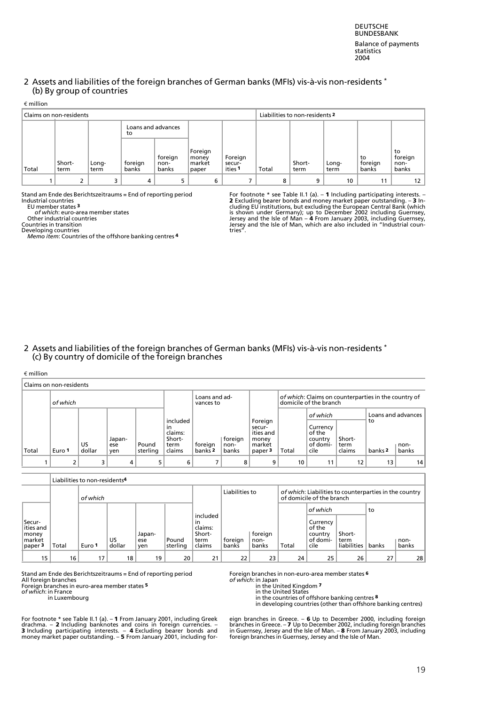## <span id="page-18-0"></span>[2 Assets and liabilities of the foreign branches of German banks \(MFIs\) vis-à-vis non-residents \\*](#page-97-0) (b) By group of countries

| $\epsilon$ million      |                |               |                  |                          |    |                                     |   |                              |       |   |                                |   |               |    |                        |                                |
|-------------------------|----------------|---------------|------------------|--------------------------|----|-------------------------------------|---|------------------------------|-------|---|--------------------------------|---|---------------|----|------------------------|--------------------------------|
| Claims on non-residents |                |               |                  |                          |    |                                     |   |                              |       |   | Liabilities to non-residents 2 |   |               |    |                        |                                |
|                         |                |               | to               | Loans and advances       |    |                                     |   |                              |       |   |                                |   |               |    |                        |                                |
| Total                   | Short-<br>term | Long-<br>term | foreign<br>banks | foreign<br>non-<br>banks |    | Foreign<br>money<br>market<br>paper |   | Foreign<br>secur-<br>ities 1 | Total |   | Short-<br>term                 |   | Long-<br>term |    | to<br>foreign<br>banks | to<br>foreign<br>non-<br>banks |
|                         |                |               | 4                |                          | 5. |                                     | 6 |                              |       | 8 |                                | 9 |               | 10 | 11                     | 12                             |

Stand am Ende des Berichtszeitraums = End of reporting period Industrial countries

EU member states **3**

*of which*: euro-area member states Other industrial countries

Countries in transition Developing countries

*Memo item*: Countries of the offshore banking centres **4**

For footnote \* see Table II.1 (a). – **1** Including participating interests. – **2**Excluding bearer bonds and money market paper outstanding. – **3** In-<br>cluding EU institutions, but excluding the European Central Bank (which<br>is shown under Germany); up to December 2002 including Guernsey,<br>Jersey and t Jersey and the Isle of Man, which are also included in "Industrial coun-tries".

## 2 Assets and liabilities of the foreign branches of German banks (MFIs) vis-à-vis non-residents \* (c) By country of domicile of the foreign branches

#### € million

|       | Claims on non-residents |              |            |   |                   |                   |                               |               |                              |       |                                                                                |                |                    |               |
|-------|-------------------------|--------------|------------|---|-------------------|-------------------|-------------------------------|---------------|------------------------------|-------|--------------------------------------------------------------------------------|----------------|--------------------|---------------|
|       | of which                |              |            |   |                   |                   | Loans and ad-<br>vances to    |               |                              |       | of which: Claims on counterparties in the country of<br>domicile of the branch |                |                    |               |
|       |                         |              |            |   |                   |                   |                               |               |                              |       | of which                                                                       |                | Loans and advances |               |
|       |                         |              |            |   |                   | included<br>in    |                               |               | Foreign<br>secur-            |       | Currency                                                                       |                | to                 |               |
|       |                         |              | Japan-     |   |                   | claims:<br>Short- |                               | foreign       | ities and<br>money           |       | of the<br>country                                                              | Short-         |                    |               |
| Total | Euro <sup>1</sup>       | US<br>dollar | ese<br>ven |   | Pound<br>sterling | term<br>claims    | foreign<br>banks <sup>2</sup> | non-<br>banks | market<br>paper <sup>3</sup> | Total | of domi-<br>cile                                                               | term<br>claims | banks <sup>2</sup> | non-<br>banks |
|       | ے                       |              |            | 4 | 5                 | 6                 |                               | 8             | 9                            | 10    | 11                                                                             | 12             | 13                 | 14            |

| Liabilities to non-residents <sup>4</sup> |  |
|-------------------------------------------|--|
|-------------------------------------------|--|

|                                                                |       |    | of which |              |                      |                   |                                                       | Liabilities to   |                          |       | of which: Liabilities to counterparties in the country<br>of domicile of the branch |                               |       |               |
|----------------------------------------------------------------|-------|----|----------|--------------|----------------------|-------------------|-------------------------------------------------------|------------------|--------------------------|-------|-------------------------------------------------------------------------------------|-------------------------------|-------|---------------|
|                                                                |       |    |          |              |                      |                   |                                                       |                  |                          |       | of which                                                                            |                               | to    |               |
| Secur-<br>lities and<br>money<br>∣market<br>paper <sup>3</sup> | Total |    | Euro 1   | US<br>dollar | Japan-<br>ese<br>ven | Pound<br>sterling | included<br>in<br>claims:<br>Short-<br>term<br>claims | foreign<br>banks | foreign<br>non-<br>banks | Total | Currency<br>of the<br>country<br>of domi-<br>cile                                   | Short-<br>term<br>liabilities | banks | non-<br>banks |
| 15                                                             |       | 16 | 17       | 18           | 19                   | 20                | 21                                                    | 22               | 23                       | 24    | 25                                                                                  | 26                            | 27    | 28            |

Stand am Ende des Berichtszeitraums = End of reporting period

All foreign branches Foreign branches in euro-area member states **5**

*of which*: in France

in Luxembourg

Foreign branches in non-euro-area member states **6** *of which*: in Japan

in the United Kingdom **7**

in the United States<br>in the countries of offshore banking centres **8**<br>in developing countries (other than offshore banking centres)

For footnote \* see Table II.1 (a). – 1 From January 2001, including Greek<br>drachma. – 2 Including banknotes and coins in foreign currencies.<br>3 Including participating interests. – 4 Excluding bearer bonds and<br>money market p

eign branches in Greece. – **6** Up to December 2000, including foreign<br>branches in Greece. – **7** Up to December 2002, including foreign branches<br>in Guernsey, Jersey and the Isle of Man. – **8** From January 2003, including<br>fo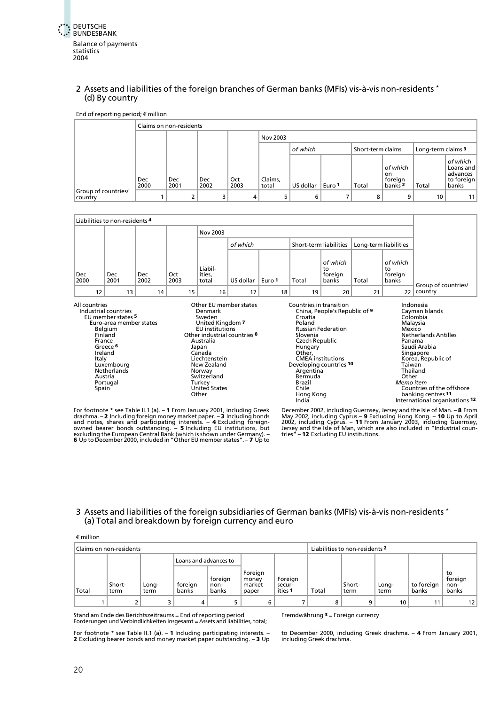<span id="page-19-0"></span>

#### [2 Assets and liabilities of the foreign branches of German banks \(MFIs\) vis-à-vis non-residents \\*](#page-102-0) (d) By country

End of reporting period; € million

**Luxembourg Netherlands** Austria Portugal **Spain** 

|                                  |                    | Claims on non-residents |                    |             |   |                  |           |                   |                   |                                                 |                    |                                                            |
|----------------------------------|--------------------|-------------------------|--------------------|-------------|---|------------------|-----------|-------------------|-------------------|-------------------------------------------------|--------------------|------------------------------------------------------------|
|                                  |                    |                         |                    |             |   | Nov 2003         |           |                   |                   |                                                 |                    |                                                            |
|                                  |                    |                         |                    |             |   |                  | of which  |                   | Short-term claims |                                                 | Long-term claims 3 |                                                            |
|                                  | <b>Dec</b><br>2000 | <b>Dec</b><br>2001      | <b>Dec</b><br>2002 | Oct<br>2003 |   | Claims,<br>total | US dollar | Euro <sup>1</sup> | Total             | of which<br>on<br>foreign<br>banks <sup>2</sup> | Total              | of which<br>Loans and<br>advances  <br>to foreign<br>banks |
| Group of countries/<br>  country |                    |                         |                    |             | 4 |                  | 6         |                   | 8                 | 9                                               | 10                 | 11                                                         |

| Liabilities to non-residents 4                                                                                                                                                                                                                                                            |                                                                                                                    |  |  |  |                                                                                                                                                 |          |  |                                                            |                                                                                       |                       |                              |                                                                                        |
|-------------------------------------------------------------------------------------------------------------------------------------------------------------------------------------------------------------------------------------------------------------------------------------------|--------------------------------------------------------------------------------------------------------------------|--|--|--|-------------------------------------------------------------------------------------------------------------------------------------------------|----------|--|------------------------------------------------------------|---------------------------------------------------------------------------------------|-----------------------|------------------------------|----------------------------------------------------------------------------------------|
|                                                                                                                                                                                                                                                                                           |                                                                                                                    |  |  |  | Nov 2003                                                                                                                                        |          |  |                                                            |                                                                                       |                       |                              |                                                                                        |
|                                                                                                                                                                                                                                                                                           |                                                                                                                    |  |  |  |                                                                                                                                                 | of which |  |                                                            | Short-term liabilities                                                                | Long-term liabilities |                              |                                                                                        |
| of which<br>of which<br>Liabil-<br>to<br>to<br>ities,<br>Dec<br>foreign<br>foreign<br><b>Dec</b><br>Dec<br>Oct<br>US dollar<br>Euro <sup>1</sup><br>2000<br>2001<br>2002<br>2003<br>Total<br>banks<br>Total<br>total<br>banks<br>16<br>13<br>15<br>17<br>18<br>19<br>21<br>12<br>14<br>20 |                                                                                                                    |  |  |  |                                                                                                                                                 |          |  |                                                            |                                                                                       |                       |                              | Group of countries/                                                                    |
|                                                                                                                                                                                                                                                                                           |                                                                                                                    |  |  |  |                                                                                                                                                 |          |  |                                                            |                                                                                       |                       |                              | $22$   country                                                                         |
| All countries<br>France                                                                                                                                                                                                                                                                   | Industrial countries<br>EU member states 5<br>Euro-area member states<br>Belgium<br>Finland<br>Greece <sup>6</sup> |  |  |  | Other EU member states<br>Denmark<br>Sweden<br>United Kingdom 7<br><b>EU</b> institutions<br>Other industrial countries 8<br>Australia<br>Japan |          |  | Croatia<br>Poland<br>Slovenia<br>Czech Republic<br>Hungary | Countries in transition<br>China, People's Republic of 9<br><b>Russian Federation</b> |                       | Malaysia<br>Mexico<br>Panama | Indonesia<br>Cayman Islands<br>Colombia<br><b>Netherlands Antilles</b><br>Saudi Arabia |
| Ireland<br>Italy                                                                                                                                                                                                                                                                          |                                                                                                                    |  |  |  | Canada<br>Liechtenstein                                                                                                                         |          |  | Other,                                                     | <b>CMEA</b> institutions                                                              |                       |                              | Singapore<br>Korea, Republic of                                                        |

For footnote \* see Table II.1 (a). – 1 From January 2001, including Greek<br>drachma. – 2 Including foreign money market paper. – 3 Including bonds<br>and notes, shares and participating interests. – 4 Excluding foreign-<br>owned

New Zealand Norway Switzerland Turkey United States Other

December 2002, including Guernsey, Jersey and the Isle of Man. – **8** From<br>May 2002, including Cyprus.– **9** Excluding Hong Kong. – **10** Up to April<br>2002, including Cyprus. – **11** From January 2003, including Guernsey,<br>Jerse

Taiwan Thailand **Other** *Memo item*

Countries of the offshore banking centres **11** International organisations **12**

#### [3 Assets and liabilities of the foreign subsidiaries of German banks \(MFIs\) vis-à-vis non-residents \\*](#page-103-0) (a) Total and breakdown by foreign currency and euro

| $\epsilon$ million |                         |               |                       |                          |                                     |   |                              |                                |                |               |    |                     |                                |    |
|--------------------|-------------------------|---------------|-----------------------|--------------------------|-------------------------------------|---|------------------------------|--------------------------------|----------------|---------------|----|---------------------|--------------------------------|----|
|                    | Claims on non-residents |               |                       |                          |                                     |   |                              | Liabilities to non-residents 2 |                |               |    |                     |                                |    |
|                    |                         |               | Loans and advances to |                          |                                     |   |                              |                                |                |               |    |                     |                                |    |
| Total              | Short-<br>term          | Long-<br>term | foreign<br>banks      | foreign<br>non-<br>banks | Foreign<br>money<br>market<br>paper |   | Foreign<br>secur-<br>ities 1 | Total                          | Short-<br>term | Long-<br>term |    | to foreign<br>banks | to<br>foreign<br>non-<br>banks |    |
|                    |                         |               | 4                     |                          |                                     | 6 |                              | 8                              |                |               | 10 | 11                  |                                | 12 |

Stand am Ende des Berichtszeitraums = End of reporting period Forderungen und Verbindlichkeiten insgesamt = Assets and liabilities, total;

Fremdwährung **3** = Foreign currency

Developing countries **10** Argentina Bermuda

Brazil Chile Hong Kong India

For footnote \* see Table II.1 (a). – **1** Including participating interests. – **2** Excluding bearer bonds and money market paper outstanding. – **3** Up

to December 2000, including Greek drachma. – **4** From January 2001, including Greek drachma.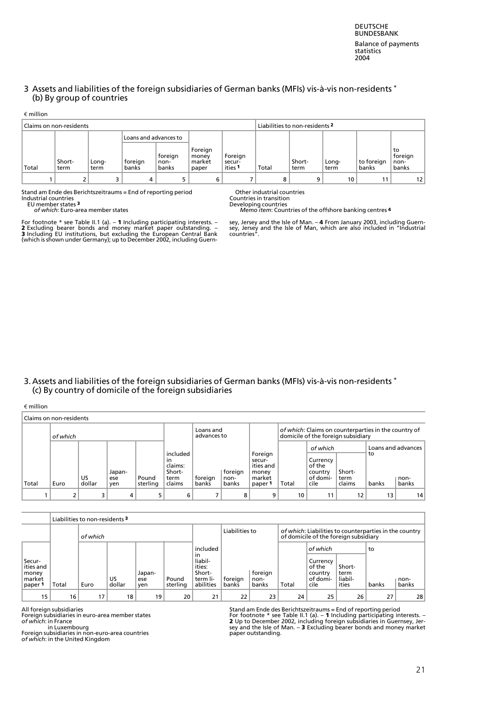## <span id="page-20-0"></span>[3 Assets and liabilities of the foreign subsidiaries of German banks \(MFIs\) vis-à-vis non-residents \\*](#page-105-0) (b) By group of countries

| $\epsilon$ million |                           |               |                       |                          |                                     |                              |       |                                |                 |                     |                                |
|--------------------|---------------------------|---------------|-----------------------|--------------------------|-------------------------------------|------------------------------|-------|--------------------------------|-----------------|---------------------|--------------------------------|
|                    | l Claims on non-residents |               |                       |                          |                                     |                              |       | Liabilities to non-residents 2 |                 |                     |                                |
|                    |                           |               | Loans and advances to |                          |                                     |                              |       |                                |                 |                     |                                |
| Total              | Short-<br>term            | Long-<br>term | foreign<br>banks      | foreign<br>non-<br>banks | Foreign<br>money<br>market<br>paper | Foreign<br>secur-<br>ities 1 | Total | Short-<br>term                 | Long-<br>term   | to foreign<br>banks | to<br>foreign<br>non-<br>banks |
|                    |                           |               | 4                     |                          | 6                                   |                              | 8     |                                | 10 <sub>1</sub> | 11                  | 12                             |

Stand am Ende des Berichtszeitraums = End of reporting period

Industrial countries EU member states **3**

#### *of which*: Euro-area member states

For footnote \* see Table II.1 (a). – **1** Including participating interests. –<br>**2** Excluding bearer bonds and money market paper outstanding. –<br>**3** Including EU institutions, but excluding the European Central Bank<br>(which i

Other industrial countries

Countries in transition Developing countries

*Memo item*: Countries of the offshore banking centres **4**

sey, Jersey and the Isle of Man. – **4** From January 2003, including Guern-sey, Jersey and the Isle of Man, which are also included in "Industrial countries".

#### [3. Assets and liabilities of the foreign subsidiaries of German banks \(MFIs\) vis-à-vis non-residents \\*](#page-107-0) (c) By country of domicile of the foreign subsidiaries

| $\epsilon$ million      |          |              |                      |                   |                                                       |                          |                          |                                                                         |       |                                                   |                                    |                                                      |                    |
|-------------------------|----------|--------------|----------------------|-------------------|-------------------------------------------------------|--------------------------|--------------------------|-------------------------------------------------------------------------|-------|---------------------------------------------------|------------------------------------|------------------------------------------------------|--------------------|
| Claims on non-residents |          |              |                      |                   |                                                       |                          |                          |                                                                         |       |                                                   |                                    |                                                      |                    |
|                         | of which |              |                      |                   |                                                       | Loans and<br>advances to |                          |                                                                         |       |                                                   | domicile of the foreign subsidiary | of which: Claims on counterparties in the country of |                    |
|                         |          |              |                      |                   |                                                       |                          |                          |                                                                         |       | of which                                          |                                    |                                                      | Loans and advances |
| Total                   | Euro     | US<br>dollar | Japan-<br>ese<br>ven | Pound<br>sterling | included<br>in<br>claims:<br>Short-<br>term<br>claims | foreign<br>banks         | foreign<br>non-<br>banks | Foreign<br>secur-<br>ities and<br>money<br>market<br>paper <sup>1</sup> | Total | Currency<br>of the<br>country<br>of domi-<br>cile | Short-<br>term<br>claims           | to<br>banks                                          | non-<br>banks      |
|                         |          |              | 4                    |                   | 6                                                     |                          | 8                        | 9                                                                       | 10    | 11                                                | 12                                 | 13                                                   | 14                 |

|                                                              |       |    | Liabilities to non-residents 3 |              |                      |    |                   |                                                            |                  |                          |       |                                                   |                                                                                                 |       |               |
|--------------------------------------------------------------|-------|----|--------------------------------|--------------|----------------------|----|-------------------|------------------------------------------------------------|------------------|--------------------------|-------|---------------------------------------------------|-------------------------------------------------------------------------------------------------|-------|---------------|
|                                                              |       |    | of which                       |              |                      |    |                   |                                                            | Liabilities to   |                          |       |                                                   | of which: Liabilities to counterparties in the country<br>of domicile of the foreign subsidiary |       |               |
|                                                              |       |    |                                |              |                      |    |                   | included                                                   |                  |                          |       | of which                                          |                                                                                                 | to    |               |
| Secur-<br>ities and<br>money<br>market<br>paper <sup>1</sup> | Total |    | Euro                           | US<br>dollar | Japan-<br>ese<br>ven |    | Pound<br>sterling | in<br>liabil-<br>ities:<br>Short-<br>term li-<br>abilities | foreign<br>banks | foreign<br>non-<br>banks | Total | Currency<br>of the<br>country<br>of domi-<br>cile | Short-<br>term<br>liabil-<br>ities                                                              | banks | non-<br>banks |
| 15                                                           |       | 16 | 17                             |              | 18                   | 19 | 20                | 21                                                         | 22               | 23                       | 24    | 25                                                | 26                                                                                              | 27    | 28            |

All foreign subsidiaries

Foreign subsidiaries in euro-area member states *of which*: in France in Luxembourg

Foreign subsidiaries in non-euro-area countries *of which*: in the United Kingdom

Stand am Ende des Berichtszeitraums = End of reporting period For footnote \* see Table II.1 (a). – **1** Including participating interests. –<br>**2** Up to December 2002, including foreign subsidiaries in Guernsey, Jer-<br>sey and the Isle of Man. – **3** Excluding bearer bonds and money market paper outstanding.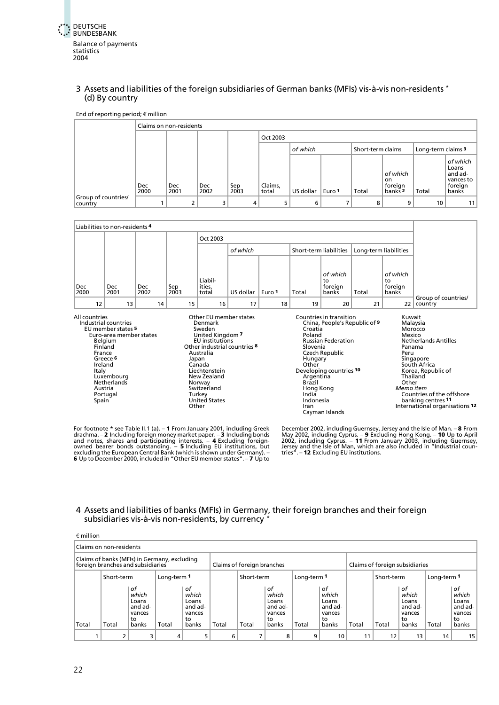<span id="page-21-0"></span>

### 3 Assets and liabilities of the foreign subsidiaries of German banks (MFIs) vis-à-vis non-residents \* (d) By country

End of reporting period; € million

|                                  |             | Claims on non-residents |             |             |   |                  |           |                   |                   |                                                 |                    |                                                               |
|----------------------------------|-------------|-------------------------|-------------|-------------|---|------------------|-----------|-------------------|-------------------|-------------------------------------------------|--------------------|---------------------------------------------------------------|
|                                  |             |                         |             |             |   | Oct 2003         |           |                   |                   |                                                 |                    |                                                               |
|                                  |             |                         |             |             |   |                  | of which  |                   | Short-term claims |                                                 | Long-term claims 3 |                                                               |
|                                  | Dec<br>2000 | <b>Dec</b><br>2001      | Dec<br>2002 | Sep<br>2003 |   | Claims,<br>total | US dollar | Euro <sup>1</sup> | Total             | of which<br>on<br>foreign<br>banks <sup>2</sup> | Total              | of which<br>Loans<br>and ad-<br>vances to<br>foreign<br>banks |
| Group of countries/<br>  country |             |                         |             |             | 4 |                  | 6         |                   | 8                 | 9                                               | 10                 | 11                                                            |

|                                 | Liabilities to non-residents 4                                                                                                                                                              |                    |    |             |       |                                                                                                                                                                                     |                                                        |        |                                                                                                                     |                                                                                                                                    |                       |                                                          |                                                                                                                                                                                                        |
|---------------------------------|---------------------------------------------------------------------------------------------------------------------------------------------------------------------------------------------|--------------------|----|-------------|-------|-------------------------------------------------------------------------------------------------------------------------------------------------------------------------------------|--------------------------------------------------------|--------|---------------------------------------------------------------------------------------------------------------------|------------------------------------------------------------------------------------------------------------------------------------|-----------------------|----------------------------------------------------------|--------------------------------------------------------------------------------------------------------------------------------------------------------------------------------------------------------|
|                                 |                                                                                                                                                                                             |                    |    |             |       | Oct 2003                                                                                                                                                                            |                                                        |        |                                                                                                                     |                                                                                                                                    |                       |                                                          |                                                                                                                                                                                                        |
|                                 |                                                                                                                                                                                             |                    |    |             |       |                                                                                                                                                                                     | of which                                               |        |                                                                                                                     | Short-term liabilities                                                                                                             | Long-term liabilities |                                                          |                                                                                                                                                                                                        |
| Dec<br>2000                     | Dec<br>2001                                                                                                                                                                                 | <b>Dec</b><br>2002 |    | Sep<br>2003 |       | Liabil-<br>ities,<br>total                                                                                                                                                          | US dollar                                              | Euro 1 | Total                                                                                                               | of which<br>to<br>foreign<br>banks                                                                                                 | Total                 | of which<br>to<br>foreign<br>banks                       | Group of countries/                                                                                                                                                                                    |
| 12                              | 13                                                                                                                                                                                          |                    | 14 |             | 15    | 16                                                                                                                                                                                  | 17                                                     | 18     | 19                                                                                                                  | 20                                                                                                                                 | 21                    | 22 <sub>1</sub>                                          | country                                                                                                                                                                                                |
| All countries<br>Italy<br>Spain | Industrial countries<br>EU member states 5<br>Euro-area member states<br>Belgium<br>Finland<br>France<br>Greece <sup>6</sup><br>Ireland<br>Luxembourg<br>Netherlands<br>Austria<br>Portugal |                    |    |             | Other | Denmark<br>Sweden<br>United Kingdom 7<br>EU institutions<br>Australia<br>Japan<br>Canada<br>Liechtenstein<br>New Zealand<br>Norway<br>Switzerland<br>Turkey<br><b>United States</b> | Other EU member states<br>Other industrial countries 8 |        | Croatia<br>Poland<br>Slovenia<br>Hungary<br>Other<br>Argentina<br>Brazil<br>Hong Kong<br>India<br>Indonesia<br>Iran | Countries in transition<br>China, People's Republic of 9<br><b>Russian Federation</b><br>Czech Republic<br>Developing countries 10 |                       | Kuwait<br>Mexico<br>Panama<br>Peru<br>Other<br>Memo item | Malaysia<br>Morocco<br><b>Netherlands Antilles</b><br>Singapore<br>South Africa<br>Korea, Republic of<br>Thailand<br>Countries of the offshore<br>banking centres 11<br>International organisations 12 |

For footnote \* see Table II.1 (a). – 1 From January 2001, including Greek<br>drachma. – 2 Including foreign money market paper. – 3 Including bonds<br>and notes, shares and participating interests. – 4 Excluding foreign-<br>owned

December 2002, including Guernsey, Jersey and the Isle of Man. – **8** From<br>May 2002, including Cyprus. – **9** Excluding Hong Kong. – **10** Up to April<br>2002, including Cyprus. – **11** From January 2003, including Guernsey,<br>Jers tries". – **12** Excluding EU institutions.

Iran Cayman Islands

#### [4 Assets and liabilities of banks \(MFIs\) in Germany, their foreign branches and their foreign](#page-109-0) subsidiaries vis-à-vis non-residents, by currency \*

| $\epsilon$ million |                                                                                   |                                                          |             |                                                          |                            |            |                                                          |             |                                                          |       |                                |                                                          |             |                                                             |
|--------------------|-----------------------------------------------------------------------------------|----------------------------------------------------------|-------------|----------------------------------------------------------|----------------------------|------------|----------------------------------------------------------|-------------|----------------------------------------------------------|-------|--------------------------------|----------------------------------------------------------|-------------|-------------------------------------------------------------|
|                    | <b>Claims on non-residents</b>                                                    |                                                          |             |                                                          |                            |            |                                                          |             |                                                          |       |                                |                                                          |             |                                                             |
|                    | Claims of banks (MFIs) in Germany, excluding<br>foreign branches and subsidiaries |                                                          |             |                                                          | Claims of foreign branches |            |                                                          |             |                                                          |       | Claims of foreign subsidiaries |                                                          |             |                                                             |
|                    | Short-term                                                                        |                                                          | Long-term 1 |                                                          |                            | Short-term |                                                          | Long-term 1 |                                                          |       | Short-term                     |                                                          | Long-term 1 |                                                             |
| Total              | Total                                                                             | оf<br>which<br>Loans<br>and ad-<br>vances<br>to<br>banks | Total       | оf<br>which<br>Loans<br>and ad-<br>vances<br>to<br>banks | Total                      | Total      | оf<br>which<br>Loans<br>and ad-<br>vances<br>to<br>banks | Total       | of<br>which<br>Loans<br>and ad-<br>vances<br>to<br>banks | Total | Total                          | of<br>which<br>Loans<br>and ad-<br>vances<br>to<br>banks | Total       | оf<br>which<br>Loans<br>and $ad -$<br>vances<br>to<br>banks |
|                    |                                                                                   | 3                                                        | 4           | 5                                                        | 6                          |            | 8                                                        | 9           | 10                                                       | 11    | 12                             | 13                                                       | 14          | 15                                                          |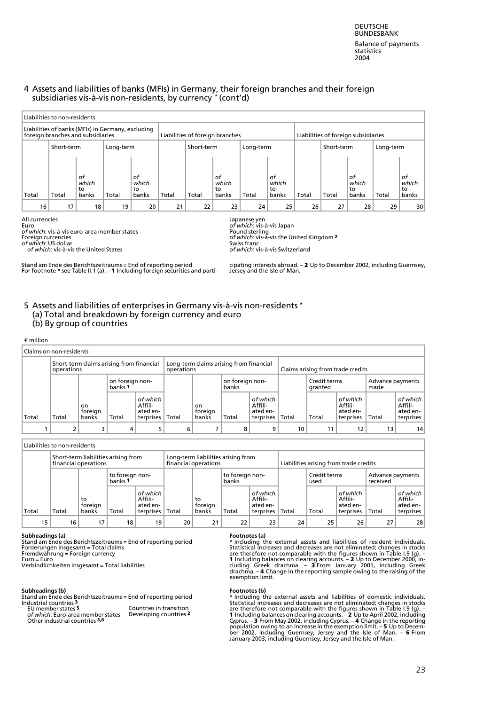### <span id="page-22-1"></span><span id="page-22-0"></span>4 Assets and liabilities of banks (MFIs) in Germany, their foreign branches and their foreign subsidiaries vis-à-vis non-residents, by currency \* (cont'd)

|       | Liabilities to non-residents                                                           |                            |           |                            |       |                                 |                            |           |                            |       |                                     |                            |           |                            |
|-------|----------------------------------------------------------------------------------------|----------------------------|-----------|----------------------------|-------|---------------------------------|----------------------------|-----------|----------------------------|-------|-------------------------------------|----------------------------|-----------|----------------------------|
|       | Liabilities of banks (MFIs) in Germany, excluding<br>foreign branches and subsidiaries |                            |           |                            |       | Liabilities of foreign branches |                            |           |                            |       | Liabilities of foreign subsidiaries |                            |           |                            |
|       | Short-term                                                                             |                            | Long-term |                            |       | Short-term                      |                            | Long-term |                            |       | Short-term                          |                            | Long-term |                            |
|       |                                                                                        |                            |           |                            |       |                                 |                            |           |                            |       |                                     |                            |           |                            |
| Total | Total                                                                                  | of<br>which<br>to<br>banks | Total     | оf<br>which<br>to<br>banks | Total | Total                           | оf<br>which<br>to<br>banks | Total     | оf<br>which<br>to<br>banks | Total | Total                               | оf<br>which<br>to<br>banks | Total     | оf<br>which<br>to<br>banks |
| 16    | 17                                                                                     | 18                         | 19        | 20                         | 21    | 22                              | 23                         | 24        | 25                         | 26    | 27                                  | 28                         | 29        | 30                         |

All currencies Euro *of which*: vis-à-vis euro-area member states Foreign currencies *of which*: US dollar *of which*: vis-à-vis the United States

Japanese yen *of which*: vis-à-vis Japan Pound sterling *of which*: vis-à-vis the United Kingdom **2** Swiss franc *of which*: vis-à-vis Switzerland

Stand am Ende des Berichtszeitraums = End of reporting period For footnote \* see Table II.1 (a). – **1** Including foreign securities and parti-

cipating interests abroad. – **2** Up to December 2002, including Guernsey, Jersey and the Isle of Man.

#### [5 Assets and liabilities of enterprises in Germany vis-à-vis non-residents \\*](#page-111-0) (a) Total and breakdown by foreign currency and euro (b) By group of countries

| $\epsilon$ million        |       |            |                        |                                       |                                              |            |                                         |                          |                                              |       |                         |                                              |                          |                                              |
|---------------------------|-------|------------|------------------------|---------------------------------------|----------------------------------------------|------------|-----------------------------------------|--------------------------|----------------------------------------------|-------|-------------------------|----------------------------------------------|--------------------------|----------------------------------------------|
| l Claims on non-residents |       |            |                        |                                       |                                              |            |                                         |                          |                                              |       |                         |                                              |                          |                                              |
|                           |       | operations |                        |                                       | Short-term claims arising from financial     | operations | Long-term claims arising from financial |                          |                                              |       |                         | Claims arising from trade credits            |                          |                                              |
|                           |       |            |                        | on foreign non-<br>banks <sup>1</sup> |                                              |            |                                         | on foreign non-<br>banks |                                              |       | Credit terms<br>granted |                                              | Advance payments<br>made |                                              |
| Total                     | Total |            | on<br>foreign<br>banks | Total                                 | of which<br>Affili-<br>ated en-<br>terprises | Total      | on<br>foreign<br>banks                  | Total                    | of which<br>Affili-<br>ated en-<br>terprises | Total | Total                   | of which<br>Affili-<br>ated en-<br>terprises | Total                    | of which<br>Affili-<br>ated en-<br>terprises |
|                           |       |            |                        |                                       | 5<br>4                                       | 6          |                                         | 8                        | 9                                            | 10    | 11                      | 12                                           | 13                       | 14 <sub>1</sub>                              |

|       |    | Liabilities to non-residents |                                                             |                                       |                                              |       |                        |                                    |                                                      |    |                      |                                              |                              |                                              |
|-------|----|------------------------------|-------------------------------------------------------------|---------------------------------------|----------------------------------------------|-------|------------------------|------------------------------------|------------------------------------------------------|----|----------------------|----------------------------------------------|------------------------------|----------------------------------------------|
|       |    |                              | Short-term liabilities arising from<br>financial operations |                                       |                                              |       | financial operations   | Long-term liabilities arising from |                                                      |    |                      | Liabilities arising from trade credits       |                              |                                              |
|       |    |                              |                                                             | to foreign non-<br>banks <sup>1</sup> |                                              |       |                        | to foreign non-<br>banks           |                                                      |    | Credit terms<br>used |                                              | Advance payments<br>received |                                              |
| Total |    | Total                        | to<br>foreign<br>banks                                      | Total                                 | of which<br>Affili-<br>ated en-<br>terprises | Total | to<br>foreign<br>banks | Total                              | of which<br>Affili-<br>ated en-<br>terprises   Total |    | Total                | of which<br>Affili-<br>ated en-<br>terprises | Total                        | of which<br>Affili-<br>ated en-<br>terprises |
|       | 15 | 16                           | 17                                                          | 18                                    | 19                                           | 20    | 21                     | 22                                 | 23                                                   | 24 | 25                   | 26                                           | 27                           | 28                                           |

**Subheadings (a)**<br>Stand am Ende des Berichtszeitraums = End of reporting period<br>Forderungen insgesamt = Total claims<br>Fremdwährung = Foreign currency

Euro = Euro Verbindlichkeiten insgesamt = Total liabilities

**Subheadings (b)** Stand am Ende des Berichtszeitraums = End of reporting period Industrial countries **3** EU member states **5**

*of which*: Euro-area member states Other industrial countries **3,6**

Countries in transition Developing countries **2** 

**Footnotes (a)**<br>  $*$  Including the external assets and liabilities of resident individuals.<br>  $*$  Including the external assets are not eliminated; changes in stocks<br>
start therefore not comparable with the figures shown i

#### **Footnotes (b)**

\* Including the external assets and liabilities of domestic individuals.<br>Statistical increases and decreases are not eliminated; changes in stocks<br>[are therefore not comparable with the figures shown in Table I.9 \(g\). –](#page-115-0)<br>1 I January 2003, including Guernsey, Jersey and the Isle of Man.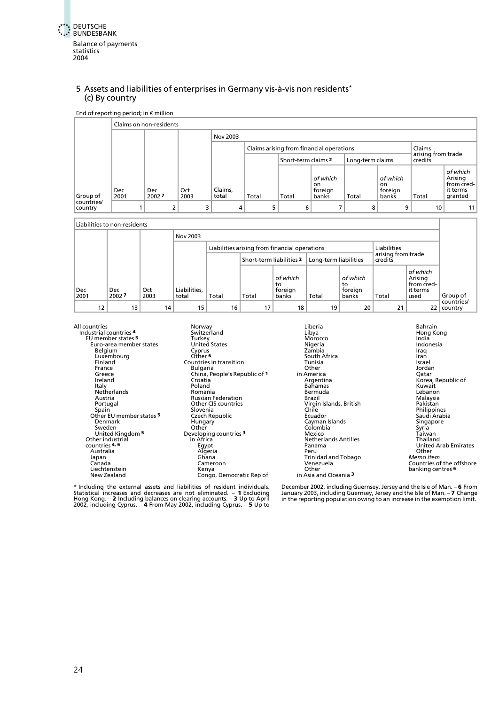<span id="page-23-0"></span>

#### [5 Assets and liabilities of enterprises in Germany vis-à-vis non residents\\*](#page-111-1) (c) By country

End of reporting period; in  $\epsilon$  million

|                       |                    | Claims on non-residents |             |                                                    |   |       |                     |                                    |                  |                                    |                               |                                                          |  |  |
|-----------------------|--------------------|-------------------------|-------------|----------------------------------------------------|---|-------|---------------------|------------------------------------|------------------|------------------------------------|-------------------------------|----------------------------------------------------------|--|--|
|                       |                    |                         |             | Nov 2003                                           |   |       |                     |                                    |                  |                                    |                               |                                                          |  |  |
|                       |                    |                         |             | Claims arising from financial operations<br>Claims |   |       |                     |                                    |                  |                                    |                               |                                                          |  |  |
|                       |                    |                         |             |                                                    |   |       | Short-term claims 2 |                                    | Long-term claims |                                    | arising from trade<br>credits |                                                          |  |  |
| Group of              | <b>Dec</b><br>2001 | <b>Dec</b><br>20027     | Oct<br>2003 | Claims,<br>total                                   |   | Total | Total               | of which<br>on<br>foreign<br>banks | Total            | of which<br>on<br>foreign<br>banks | Total                         | of which<br>Arising<br>from cred-<br>it terms<br>granted |  |  |
| countries/<br>country |                    |                         |             |                                                    | 4 |       | 6                   |                                    | 8                | 9                                  | 10                            | 11                                                       |  |  |

|             |    | Liabilities to non-residents |    |              |    |                                                                                    |       |       |    |                                               |       |                           |             |                                               |            |  |  |
|-------------|----|------------------------------|----|--------------|----|------------------------------------------------------------------------------------|-------|-------|----|-----------------------------------------------|-------|---------------------------|-------------|-----------------------------------------------|------------|--|--|
|             |    |                              |    |              |    | Nov 2003                                                                           |       |       |    |                                               |       |                           |             |                                               |            |  |  |
|             |    |                              |    |              |    |                                                                                    |       |       |    | Liabilities arising from financial operations |       |                           | Liabilities |                                               |            |  |  |
|             |    |                              |    |              |    | arising from trade<br>Long-term liabilities<br>Short-term liabilities 2<br>credits |       |       |    |                                               |       |                           |             |                                               |            |  |  |
| Dec<br>2001 |    | Dec<br>20027                 |    | Oct.<br>2003 |    | Liabilities.<br>total                                                              | Total | Total |    | of which<br>to<br>foreign                     | Total | of which<br>to<br>foreign | Total       | of which<br>Arising<br>from cred-<br>it terms | Group of   |  |  |
|             |    |                              |    |              |    |                                                                                    |       |       |    | banks                                         |       | banks                     |             | used                                          | countries/ |  |  |
|             | 12 |                              | 13 |              | 14 | 15                                                                                 | 16    |       | 17 | 18                                            | 19    | 20                        | 21          | 22                                            | country    |  |  |

All countries Industrial countries **4** EU member states **5** Euro-area member states Belgium **Luxembourg** Finland France Greece Ireland Italy Netherlands Austria Portugal Spain Other EU member states **5** Denmark Sweden United Kingdom **5** Other industrial countries **4, 6** Australia Japan Canada Liechtenstein New Zealand

Norway Switzerland Turkey United States Cyprus Other **6** Countries in transition Bulgaria China, People's Republic of **1** Croatia Poland Romania Russian Federation Other CIS countries Slovenia Czech Republic Hungary Other Developing countries **3** in Africa Egypt Algeria Ghana Cameroon Kenya Congo, Democratic Rep of

Liberia Libya Morocco Nigeria Zambia South Africa Tunisia **Other** in America Argentina Bahamas Bermuda Brazil Virgin Islands, British Chile Ecuador Cayman Islands Colombia Mexico Netherlands Antilles Panama Peru Trinidad and Tobago Venezuela **Other** in Asia and Oceania **3**

Bahrain Hong Kong India Indonesia Iraq Iran Israel Jordan Qatar Korea, Republic of Kuwait Lebanon Malaysia Pakistan Philippines Saudi Arabia Singapore Syria Taiwan Thailand United Arab Emirates **Other** *Memo item* Countries of the offshore banking centres **6**

\* Including the external assets and liabilities of resident individuals. Statistical increases and decreases are not eliminated. – **1** Excluding<br>Hong Kong. – **2** Including balances on clearing accounts. – **3** Up to April<br>2002, including Cyprus. – **4** From May 2002, including Cyprus. –

December 2002, including Guernsey, Jersey and the Isle of Man. – **6** From January 2003, including Guernsey, Jersey and the Isle of Man. – **7** Change in the reporting population owing to an increase in the exemption limit.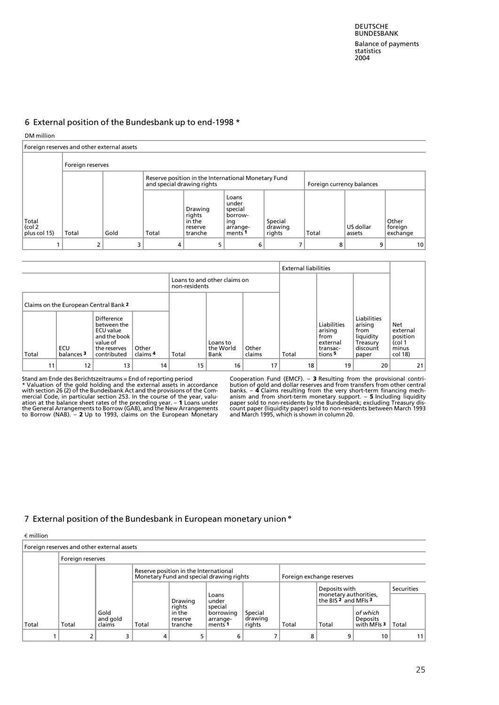DEUTSCHE **BUNDESBANK** Balance of payments statistics 2004

#### <span id="page-24-1"></span><span id="page-24-0"></span>6 External position of the Bundesbank up to end-1998 \*

#### DM million

|                                                       | Foreign reserves and other external assets |                                                                                                                |       |                                                   |                                                                    |                              |       |                     |                              |    |  |  |  |  |  |
|-------------------------------------------------------|--------------------------------------------|----------------------------------------------------------------------------------------------------------------|-------|---------------------------------------------------|--------------------------------------------------------------------|------------------------------|-------|---------------------|------------------------------|----|--|--|--|--|--|
|                                                       | Foreign reserves                           |                                                                                                                |       |                                                   |                                                                    |                              |       |                     |                              |    |  |  |  |  |  |
|                                                       |                                            | Reserve position in the International Monetary Fund<br>and special drawing rights<br>Foreign currency balances |       |                                                   |                                                                    |                              |       |                     |                              |    |  |  |  |  |  |
| Total<br>$\left(\text{col } 2\right)$<br>plus col 15) | Total                                      | Gold                                                                                                           | Total | Drawing<br>rights<br>in the<br>reserve<br>tranche | Loans<br>under<br>special<br>borrow-<br>ing<br>arrange-<br>ments 1 | Special<br>drawing<br>rights | Total | US dollar<br>assets | Other<br>foreign<br>exchange |    |  |  |  |  |  |
|                                                       |                                            |                                                                                                                |       |                                                   | 6                                                                  |                              | 8     | 9                   |                              | 10 |  |  |  |  |  |

|                                                                                                                                                                            |               |                               |                 | <b>External liabilities</b> |                                                                              |                                                                              |                                                           |
|----------------------------------------------------------------------------------------------------------------------------------------------------------------------------|---------------|-------------------------------|-----------------|-----------------------------|------------------------------------------------------------------------------|------------------------------------------------------------------------------|-----------------------------------------------------------|
|                                                                                                                                                                            | non-residents | Loans to and other claims on  |                 |                             |                                                                              |                                                                              |                                                           |
| Claims on the European Central Bank 2                                                                                                                                      |               |                               |                 |                             |                                                                              |                                                                              |                                                           |
| Difference<br>between the<br>ECU value<br>and the book<br>value of<br>ECU<br>Other<br>the reserves<br>claims <sup>4</sup><br>Total<br>balances <sup>3</sup><br>contributed | Total         | Loans to<br>the World<br>Bank | Other<br>claims | Total                       | Liabilities<br>arising<br>from<br>external<br>transac-<br>tions <sup>5</sup> | Liabilities<br>arising<br>from<br>liquidity<br>Treasury<br>discount<br>paper | Net<br>external<br>position<br>(col 1<br>minus<br>col 18) |
| 12<br>13<br>14<br>11                                                                                                                                                       | 15            | 16                            | 17              | 18                          | 19                                                                           | 20                                                                           | 21                                                        |

Stand am Ende des Berichtszeitraums = End of reporting period<br>\* Valuation of the gold holding and the external assets in accordance<br>with section 26 (2) of the Bundesbank Act and the provisions of the Com-<br>mercial Code, in

Cooperation Fund (EMCF).  $-$  [3](#page-3-0) Resulting from the provisional contribution of gold and dollar reserves and from transfers from other central<br>banks.  $-$  4 Claims resulting from the very short-term financing mech-<br>anism and

#### [7 External position of the Bundesbank in European monetary union](#page-121-0) **<sup>o</sup>**

| $\epsilon$ million |                  |                                            |       |                                                                                   |                                                        |                              |       |                                                                            |                                     |                 |
|--------------------|------------------|--------------------------------------------|-------|-----------------------------------------------------------------------------------|--------------------------------------------------------|------------------------------|-------|----------------------------------------------------------------------------|-------------------------------------|-----------------|
|                    |                  | Foreign reserves and other external assets |       |                                                                                   |                                                        |                              |       |                                                                            |                                     |                 |
|                    | Foreign reserves |                                            |       |                                                                                   |                                                        |                              |       |                                                                            |                                     |                 |
|                    |                  |                                            |       | Reserve position in the International<br>Monetary Fund and special drawing rights |                                                        |                              |       |                                                                            |                                     |                 |
|                    |                  |                                            |       | Drawing                                                                           | Loans<br>under                                         |                              |       | Deposits with<br>monetary authorities,<br>the BIS $2^{\circ}$ and MFIs $3$ |                                     | Securities      |
| Total              | Total            | Gold<br>and gold<br>claims                 | Total | rights<br>in the<br>reserve<br>tranche                                            | special<br>borrowing<br>arrange-<br>ments <sup>1</sup> | Special<br>drawing<br>rights | Total | Total                                                                      | of which<br>Deposits<br>with MFIs 3 | Total           |
|                    |                  |                                            | 4     |                                                                                   | 6                                                      |                              | 8     |                                                                            | 10                                  | 11 <sub>1</sub> |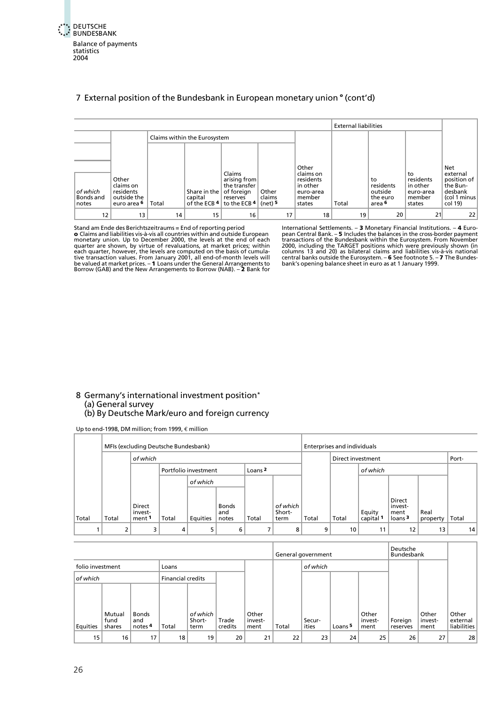<span id="page-25-0"></span>

|                                |                                                               |       |                                         |                                                                                  |                              |    |                                                                              | <b>External liabilities</b> |                                                             |                                                              |                                                                                         |
|--------------------------------|---------------------------------------------------------------|-------|-----------------------------------------|----------------------------------------------------------------------------------|------------------------------|----|------------------------------------------------------------------------------|-----------------------------|-------------------------------------------------------------|--------------------------------------------------------------|-----------------------------------------------------------------------------------------|
|                                |                                                               |       | Claims within the Eurosystem            |                                                                                  |                              |    |                                                                              |                             |                                                             |                                                              |                                                                                         |
|                                |                                                               |       |                                         |                                                                                  |                              |    |                                                                              |                             |                                                             |                                                              |                                                                                         |
| of which<br>Bonds and<br>notes | Other<br>claims on<br>residents<br>outside the<br>euro area 6 | Total | Share in the<br>capital<br>of the ECB 4 | Claims<br>arising from<br>the transfer<br>of foreign<br>reserves<br>to the ECB 4 | Other<br>claims<br>$(net)$ 5 |    | Other<br>claims on<br>residents<br>in other<br>euro-area<br>member<br>states | Total                       | to<br>residents<br>outside<br>the euro<br>area <sup>6</sup> | to<br>residents<br>in other<br>euro-area<br>member<br>states | <b>Net</b><br>external<br>position of<br>the Bun-<br>desbank<br>(col 1 minus<br>col 19) |
| 12                             | 13                                                            | 14    | 15                                      | 16                                                                               |                              | 17 | 18                                                                           | 19                          | 20                                                          | 21                                                           | 22                                                                                      |

# [7 External position of the Bundesbank in European monetary union](#page-122-0) **<sup>o</sup>** (cont'd)

Stand am Ende des Berichtszeitraums = End of reporting period **o** Claims and liabilities vis-à-vis all countries within and outside European monetary union. Up to December 2000, the levels at the end of each quarter are shown, by virtue of revaluations, at market prices; within each International Settlements. – **3** Monetary Financial Institutions. – **4** European Central Bank. – **5** Includes the balances in the cross-border payment<br>transactions of the Bundesbank within the Eurosystem. From November<br>2000, including the TARGET positions which were previously shown (in<br>columns 13

#### 8 Germany's international investment position\* (a) General survey [\(b\) By Deutsche Mark/euro and foreign currency](#page-121-1)

Up to end-1998, DM million; from 1999, € million

|       |       | MFIs (excluding Deutsche Bundesbank)   |       |          |                      |                              |   |                    |  |                            | Enterprises and individuals |   |                   |                     |                                                 |                  |       |    |
|-------|-------|----------------------------------------|-------|----------|----------------------|------------------------------|---|--------------------|--|----------------------------|-----------------------------|---|-------------------|---------------------|-------------------------------------------------|------------------|-------|----|
|       |       | of which                               |       |          |                      |                              |   |                    |  |                            |                             |   | Direct investment |                     |                                                 |                  | Port- |    |
|       |       |                                        |       |          | Portfolio investment |                              |   | Loans <sub>2</sub> |  |                            |                             |   |                   | of which            |                                                 |                  |       |    |
|       |       |                                        |       | of which |                      |                              |   |                    |  |                            |                             |   |                   |                     |                                                 |                  |       |    |
| Total | Total | Direct<br>invest-<br>ment <sup>1</sup> | Total |          | Equities             | <b>Bonds</b><br>and<br>notes |   | Total              |  | of which<br>Short-<br>term | Total                       |   | Total             | Equity<br>capital 1 | Direct<br>invest-<br>ment<br>loans <sup>3</sup> | Real<br>property | Total |    |
|       |       |                                        |       | 4        | 5                    |                              | 6 |                    |  | 8                          |                             | 9 | 10                | 11                  | 12                                              | 13               |       | 14 |

|          |                           |                                    |                          |                            |                  |                          |       | General government |                    |                          | Deutsche<br><b>Bundesbank</b> |                          |                                  |
|----------|---------------------------|------------------------------------|--------------------------|----------------------------|------------------|--------------------------|-------|--------------------|--------------------|--------------------------|-------------------------------|--------------------------|----------------------------------|
|          | folio investment<br>Loans |                                    |                          |                            |                  |                          |       | of which           |                    |                          |                               |                          |                                  |
| of which |                           |                                    | <b>Financial credits</b> |                            |                  |                          |       |                    |                    |                          |                               |                          |                                  |
|          |                           |                                    |                          |                            |                  |                          |       |                    |                    |                          |                               |                          |                                  |
|          |                           |                                    |                          |                            |                  |                          |       |                    |                    |                          |                               |                          |                                  |
| Equities | Mutual<br>fund<br>shares  | Bonds<br>and<br>notes <sup>4</sup> | Total                    | of which<br>Short-<br>term | Trade<br>credits | Other<br>invest-<br>ment | Total | Secur-<br>ities    | Loans <sup>5</sup> | Other<br>invest-<br>ment | Foreign<br>reserves           | Other<br>invest-<br>ment | Other<br>external<br>liabilities |
| 15       | 16                        | 17                                 | 18                       | 19                         | 20               | 21                       | 22    | 23                 | 24                 | 25                       | 26                            | 27                       | 28                               |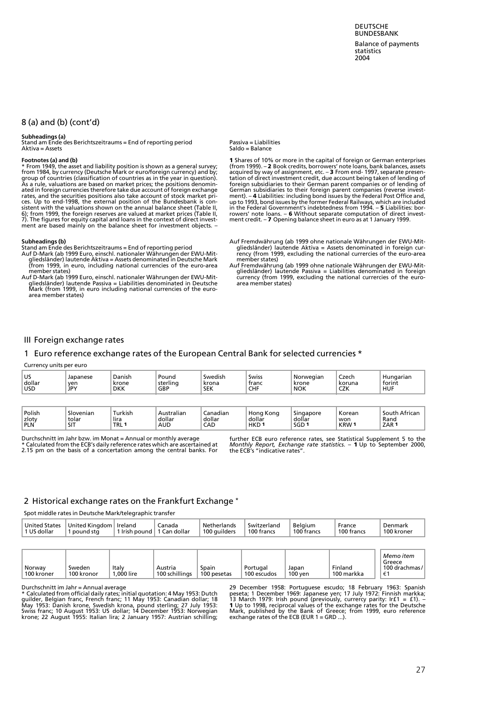DEUTSCHE **BUNDESBANK** Balance of payments statistics 2004

#### <span id="page-26-0"></span>8 (a) and (b) (cont'd)

**Subheadings (a)** Stand am Ende des Berichtszeitraums = End of reporting period Aktiva = Assets

#### **Footnotes (a) and (b)**

\* From 1949, the asset and liability position is shown as a general survey; from 1984, by currency (Deutsche Mark or euro/foreign currency) and by; group of countries (classification of countries as in the year in question). As a rule, valuations are based on market prices; the positions denominated in foreign currencies therefore take due account of foreign exchange rates, and the securities positions also take account of stock market prices. Up to end-1998, the external position of the Bundesbank is consistent with the valuations shown on the annual balance sheet (Table II, 6); from 1999, the foreign reserves are valued at market prices (Table II, 7). The figures for equity capital and loans in the context of direct invest-ment are based mainly on the balance sheet for investment objects. –

- **Subheadings (b)**<br>Stand am Ende des Berichtszeitraums = End of reporting period
- Auf D-Mark (ab 1999 Euro, einschl. nationaler Währungen der EWU-Mit-gliedsländer) lautende Aktiva = Assets denominated in Deutsche Mark (from 1999, in euro, including national currencies of the euro-area member states)
- Auf D-Mark (ab 1999 Euro, einschl. nationaler Währungen der EWU-Mitgliedsländer) lautende Passiva = Liabilities denominated in Deutsche Mark (from 1999, in euro including national currencies of the euroarea member states)

#### Passiva = Liabilities Saldo = Balance

**1** Shares of 10% or more in the capital of foreign or German enterprises (from 1999). – **2** Book credits, borrowers' note loans, bank balances, assets<br>acquired by way of assignment, etc. – **3** From end- 1997, separate presen-<br>tation of direct investment credit, due account being taken of lendin German subsidiaries to their foreign parent companies (reverse invest-<br>ment). – 4 Liabilities: including bond issues by the Federal Post Office and,<br>up to 1993, bond issues by the former Federal Railways, which are include rowers' note loans. – **6** Without separate computation of direct investment credit. – **7** Opening balance sheet in euro as at 1 January 1999.

- Auf Fremdwährung (ab 1999 ohne nationale Währungen der EWU-Mit-gliedsländer) lautende Aktiva = Assets denominated in foreign currency (from 1999, excluding the national currercies of the euro-area member states)
- Auf Fremdwährung (ab 1999 ohne nationale Währungen der EWU-Mitgliedsländer) lautende Passiva = Liabilities denominated in foreign currency (from 1999, excluding the national currercies of the euroarea member states)

#### III Foreign exchange rates

#### 1 Euro reference exchange rates of the European Central Bank for selected currencies \*

#### [Currency units per euro](#page-127-0)

| US         | Japanese   | Danish     | Pound      | Swedish    | <b>Swiss</b> | Norwegian  | Czech      | Hungarian  |
|------------|------------|------------|------------|------------|--------------|------------|------------|------------|
| dollar     | ven        | krone      | sterlina   | krona      | franc        | krone      | koruna     | forint     |
| <b>USD</b> | <b>JPY</b> | <b>DKK</b> | <b>GBP</b> | <b>SEK</b> | <b>CHF</b>   | <b>NOK</b> | <b>CZK</b> | <b>HUF</b> |
|            |            |            |            |            |              |            |            |            |

| Polish<br>Turkish<br>Australian<br>Slovenian<br>dollar<br>dollar<br>$\cdots$<br>dollar<br>dollar<br>  zlotv<br>tolar<br>lira<br>won<br><b>TRL</b><br>KRW <sup>1</sup><br>SGD <sup>-</sup><br><b>HKD</b><br>AUD<br><b>PLN</b><br>SIT<br>CAD | Korean<br>Hong Kong<br>South African<br>Canadian<br>Singapore<br>Rand<br>ZAR <sup>'</sup> |
|--------------------------------------------------------------------------------------------------------------------------------------------------------------------------------------------------------------------------------------------|-------------------------------------------------------------------------------------------|
|--------------------------------------------------------------------------------------------------------------------------------------------------------------------------------------------------------------------------------------------|-------------------------------------------------------------------------------------------|

Durchschnitt im Jahr bzw. im Monat = Annual or monthly average \* Calculated from the ECB's daily reference rates which are ascertained at 2.15 pm on the basis of a concertation among the central banks. For

further ECB euro reference rates, see Statistical Supplement 5 to the *Monthly Report, Exchange rate statistics*. – **1** Up to September 2000, the ECB's "indicative rates".

#### 2 Historical exchange rates on the Frankfurt Exchange \*

[Spot middle rates in Deutsche Mark/telegraphic transfer](#page-127-1)

| <b>United States</b><br>1 US dollar | United Kingdom   Ireland<br>1 pound sta | 1 Irish pound   1 Can dollar | Canada                    | Netherlands<br>100 quilders | Switzerland<br>100 francs | <b>Belaium</b><br>100 francs | France<br>100 francs  | Denmark<br>100 kroner                      |
|-------------------------------------|-----------------------------------------|------------------------------|---------------------------|-----------------------------|---------------------------|------------------------------|-----------------------|--------------------------------------------|
|                                     |                                         |                              |                           |                             |                           |                              |                       |                                            |
| Norway<br>100 kroner                | Sweden<br>100 kronor                    | Italy<br>1.000 lire          | Austria<br>100 schillings | Spain<br>100 pesetas        | Portugal<br>100 escudos   | Japan<br>100 ven             | Finland<br>100 markka | Memo item<br>Greece<br>100 drachmas/<br>€1 |

Durchschnitt im Jahr = Annual average

\* Calculated from official daily rates; initial quotation: 4 May 1953: Dutch<br>guilder, Belgian franc, French franc; 11 May 1953: Canadian dollar; 18<br>May 1953: Danish krone, Swedish krona, pound sterling; 27 July 1953:<br>Swiss krone; 22 August 1955: Italian lira; 2 January 1957: Austrian schilling; 29 December 1958: Portuguese escudo; 18 February 1963: Spanish<br>peseta; 1 December 1969: Japanese yen; 17 July 1972: Finnish markka;<br>13 March 1979: Irish pound (previously, currercy parity: Ir£1 = £1). – **1** Up to 1998, reciprocal values of the exchange rates for the Deutsche<br>Mark, published by the Bank of Greece; from 1999, euro reference<br>exchange rates of the ECB (EUR 1 = GRD ...).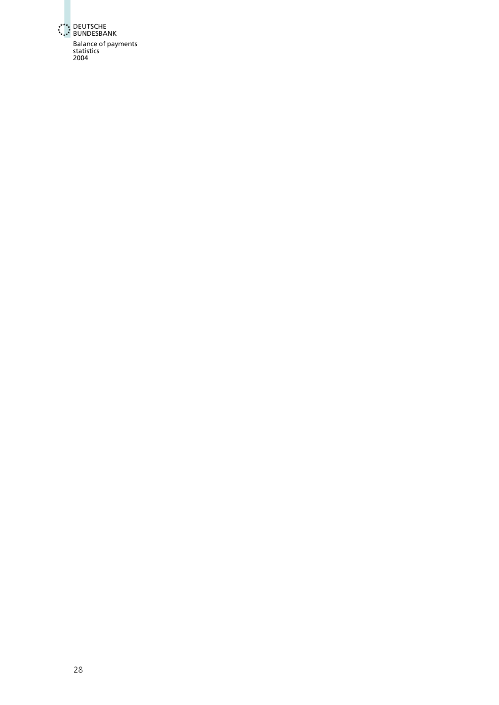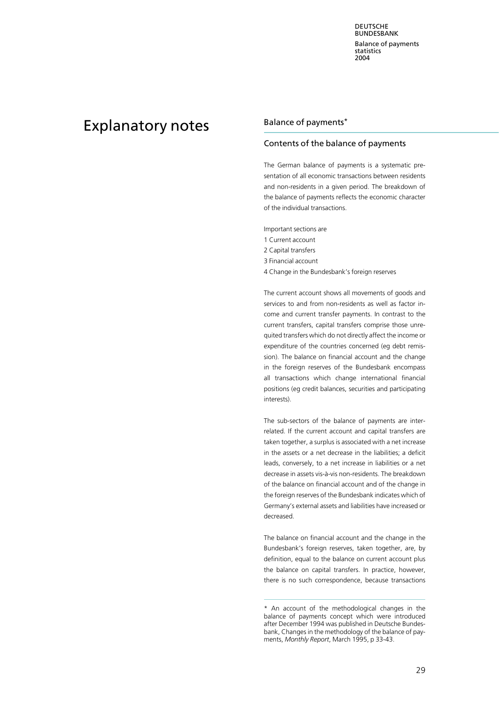# <span id="page-28-0"></span>Explanatory notes

#### Balance of payments\*

#### Contents of the balance of payments

The German balance of payments is a systematic presentation of all economic transactions between residents and non-residents in a given period. The breakdown of the balance of payments reflects the economic character of the individual transactions.

Important sections are 1 Current account 2 Capital transfers 3 Financial account 4 Change in the Bundesbank's foreign reserves

The current account shows all movements of goods and services to and from non-residents as well as factor income and current transfer payments. In contrast to the current transfers, capital transfers comprise those unrequited transfers which do not directly affect the income or expenditure of the countries concerned (eg debt remission). The balance on financial account and the change in the foreign reserves of the Bundesbank encompass all transactions which change international financial positions (eg credit balances, securities and participating interests).

The sub-sectors of the balance of payments are interrelated. If the current account and capital transfers are taken together, a surplus is associated with a net increase in the assets or a net decrease in the liabilities; a deficit leads, conversely, to a net increase in liabilities or a net decrease in assets vis-à-vis non-residents. The breakdown of the balance on financial account and of the change in the foreign reserves of the Bundesbank indicates which of Germany's external assets and liabilities have increased or decreased.

The balance on financial account and the change in the Bundesbank's foreign reserves, taken together, are, by definition, equal to the balance on current account plus the balance on capital transfers. In practice, however, there is no such correspondence, because transactions

<sup>\*</sup> An account of the methodological changes in the balance of payments concept which were introduced after December 1994 was published in Deutsche Bundesbank, Changes in the methodology of the balance of payments, *Monthly Report*, March 1995, p 33-43.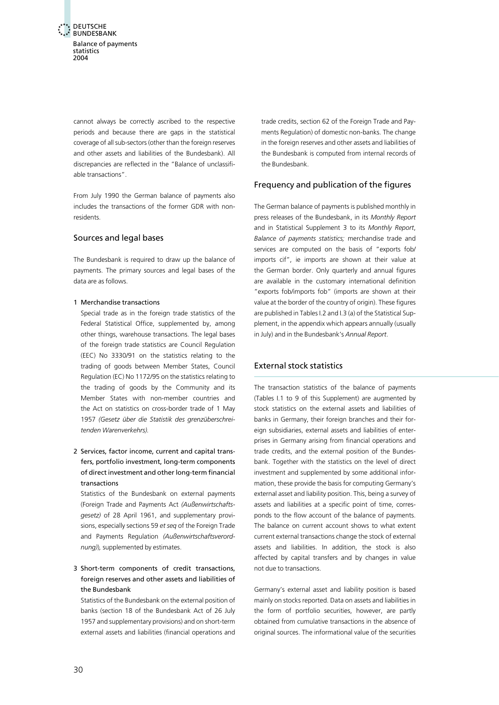<span id="page-29-0"></span>

cannot always be correctly ascribed to the respective periods and because there are gaps in the statistical coverage of all sub-sectors (other than the foreign reserves and other assets and liabilities of the Bundesbank). All discrepancies are reflected in the "Balance of unclassifiable transactions".

From July 1990 the German balance of payments also includes the transactions of the former GDR with nonresidents.

#### Sources and legal bases

The Bundesbank is required to draw up the balance of payments. The primary sources and legal bases of the data are as follows.

#### 1 Merchandise transactions

Special trade as in the foreign trade statistics of the Federal Statistical Office, supplemented by, among other things, warehouse transactions. The legal bases of the foreign trade statistics are Council Regulation (EEC) No 3330/91 on the statistics relating to the trading of goods between Member States, Council Regulation (EC) No 1172/95 on the statistics relating to the trading of goods by the Community and its Member States with non-member countries and the Act on statistics on cross-border trade of 1 May 1957 *(Gesetz über die Statistik des grenzüberschreitenden Warenverkehrs).*

2 Services, factor income, current and capital transfers, portfolio investment, long-term components of direct investment and other long-term financial transactions

Statistics of the Bundesbank on external payments (Foreign Trade and Payments Act *(Außenwirtschaftsgesetz)* of 28 April 1961, and supplementary provisions, especially sections 59 *et seq* of the Foreign Trade and Payments Regulation *(Außenwirtschaftsverordnung)*)*,* supplemented by estimates.

### 3 Short-term components of credit transactions, foreign reserves and other assets and liabilities of the Bundesbank

Statistics of the Bundesbank on the external position of banks (section 18 of the Bundesbank Act of 26 July 1957 and supplementary provisions) and on short-term external assets and liabilities (financial operations and trade credits, section 62 of the Foreign Trade and Payments Regulation) of domestic non-banks. The change in the foreign reserves and other assets and liabilities of the Bundesbank is computed from internal records of the Bundesbank.

#### Frequency and publication of the figures

The German balance of payments is published monthly in press releases of the Bundesbank, in its *Monthly Report* and in Statistical Supplement 3 to its *Monthly Report*, *Balance of payments statistics;* merchandise trade and services are computed on the basis of "exports fob/ imports cif", ie imports are shown at their value at the German border. Only quarterly and annual figures are available in the customary international definition "exports fob/imports fob" (imports are shown at their value at the border of the country of origin). These figures are published in Tables I.2 and I.3 (a) of the Statistical Supplement, in the appendix which appears annually (usually in July) and in the Bundesbank's *Annual Report*.

#### External stock statistics

The transaction statistics of the balance of payments (Tables I.1 to 9 of this Supplement) are augmented by stock statistics on the external assets and liabilities of banks in Germany, their foreign branches and their foreign subsidiaries, external assets and liabilities of enterprises in Germany arising from financial operations and trade credits, and the external position of the Bundesbank. Together with the statistics on the level of direct investment and supplemented by some additional information, these provide the basis for computing Germany's external asset and liability position. This, being a survey of assets and liabilities at a specific point of time, corresponds to the flow account of the balance of payments. The balance on current account shows to what extent current external transactions change the stock of external assets and liabilities. In addition, the stock is also affected by capital transfers and by changes in value not due to transactions.

Germany's external asset and liability position is based mainly on stocks reported. Data on assets and liabilities in the form of portfolio securities, however, are partly obtained from cumulative transactions in the absence of original sources. The informational value of the securities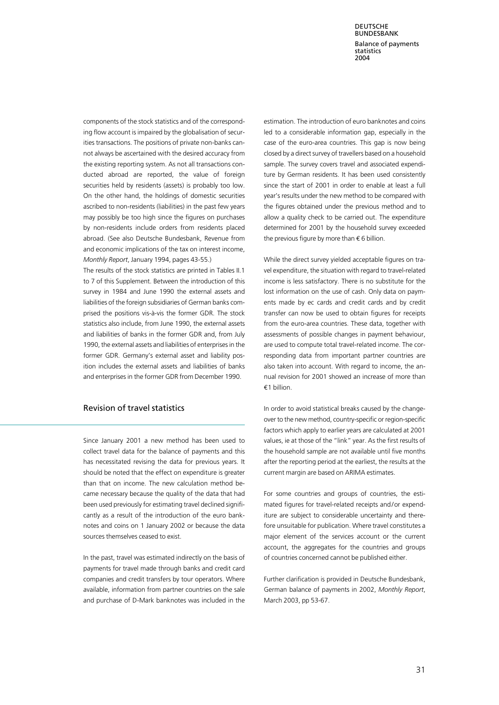DEUTSCHE **BUNDESBANK** [Balance of payments](#page-3-3) statistics 2004

<span id="page-30-0"></span>components of the stock statistics and of the corresponding flow account is impaired by the globalisation of securities transactions. The positions of private non-banks cannot always be ascertained with the desired accuracy from the existing reporting system. As not all transactions conducted abroad are reported, the value of foreign securities held by residents (assets) is probably too low. On the other hand, the holdings of domestic securities ascribed to non-residents (liabilities) in the past few years may possibly be too high since the figures on purchases by non-residents include orders from residents placed abroad. (See also Deutsche Bundesbank, Revenue from and economic implications of the tax on interest income, *Monthly Report*, January 1994, pages 43-55.)

The results of the stock statistics are printed in Tables II.1 to 7 of this Supplement. Between the introduction of this survey in 1984 and June 1990 the external assets and liabilities of the foreign subsidiaries of German banks comprised the positions vis-à-vis the former GDR. The stock statistics also include, from June 1990, the external assets and liabilities of banks in the former GDR and, from July 1990, the external assets and liabilities of enterprises in the former GDR. Germany's external asset and liability position includes the external assets and liabilities of banks and enterprises in the former GDR from December 1990.

#### Revision of travel statistics

Since January 2001 a new method has been used to collect travel data for the balance of payments and this has necessitated revising the data for previous years. It should be noted that the effect on expenditure is greater than that on income. The new calculation method became necessary because the quality of the data that had been used previously for estimating travel declined significantly as a result of the introduction of the euro banknotes and coins on 1 January 2002 or because the data sources themselves ceased to exist.

In the past, travel was estimated indirectly on the basis of payments for travel made through banks and credit card companies and credit transfers by tour operators. Where available, information from partner countries on the sale and purchase of D-Mark banknotes was included in the estimation. The introduction of euro banknotes and coins led to a considerable information gap, especially in the case of the euro-area countries. This gap is now being closed by a direct survey of travellers based on a household sample. The survey covers travel and associated expenditure by German residents. It has been used consistently since the start of 2001 in order to enable at least a full year's results under the new method to be compared with the figures obtained under the previous method and to allow a quality check to be carried out. The expenditure determined for 2001 by the household survey exceeded the previous figure by more than  $\epsilon$  6 billion.

While the direct survey yielded acceptable figures on travel expenditure, the situation with regard to travel-related income is less satisfactory. There is no substitute for the lost information on the use of cash. Only data on payments made by ec cards and credit cards and by credit transfer can now be used to obtain figures for receipts from the euro-area countries. These data, together with assessments of possible changes in payment behaviour, are used to compute total travel-related income. The corresponding data from important partner countries are also taken into account. With regard to income, the annual revision for 2001 showed an increase of more than €1 billion.

In order to avoid statistical breaks caused by the changeover to the new method, country-specific or region-specific factors which apply to earlier years are calculated at 2001 values, ie at those of the "link" year. As the first results of the household sample are not available until five months after the reporting period at the earliest, the results at the current margin are based on ARIMA estimates.

For some countries and groups of countries, the estimated figures for travel-related receipts and/or expenditure are subject to considerable uncertainty and therefore unsuitable for publication. Where travel constitutes a major element of the services account or the current account, the aggregates for the countries and groups of countries concerned cannot be published either.

Further clarification is provided in Deutsche Bundesbank, German balance of payments in 2002, *Monthly Report*, March 2003, pp 53-67.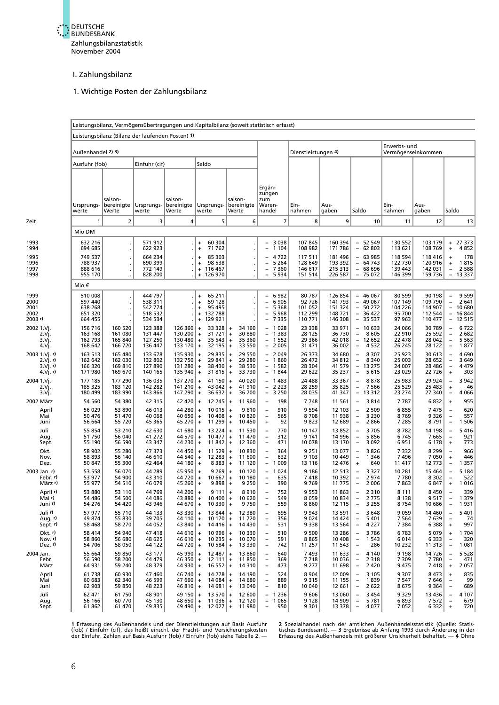<span id="page-31-0"></span>

#### I. Zahlungsbilanz

#### 1. Wichtige Posten der Zahlungsbilanz

|                                               |                                                     |                                          | Leistungsbilanz, Vermögensübertragungen und Kapitalbilanz (soweit statistisch erfasst) |                                             |                                                               |                                                  |                                                                       |                                                                                                            |                                               |                                                   |                                                     |                                                                                  |                                                          |                                                  |                                                    |                                                                                                       |                                               |
|-----------------------------------------------|-----------------------------------------------------|------------------------------------------|----------------------------------------------------------------------------------------|---------------------------------------------|---------------------------------------------------------------|--------------------------------------------------|-----------------------------------------------------------------------|------------------------------------------------------------------------------------------------------------|-----------------------------------------------|---------------------------------------------------|-----------------------------------------------------|----------------------------------------------------------------------------------|----------------------------------------------------------|--------------------------------------------------|----------------------------------------------------|-------------------------------------------------------------------------------------------------------|-----------------------------------------------|
|                                               |                                                     |                                          | Leistungsbilanz (Bilanz der laufenden Posten) 1)                                       |                                             |                                                               |                                                  |                                                                       |                                                                                                            |                                               |                                                   |                                                     |                                                                                  |                                                          |                                                  |                                                    |                                                                                                       |                                               |
|                                               | Außenhandel 2) 3)                                   |                                          |                                                                                        |                                             |                                                               |                                                  |                                                                       |                                                                                                            |                                               | Dienstleistungen 4)                               |                                                     |                                                                                  |                                                          | Erwerbs- und                                     | Vermögenseinkommen                                 |                                                                                                       |                                               |
|                                               | Ausfuhr (fob)                                       |                                          | Einfuhr (cif)                                                                          |                                             |                                                               | Saldo                                            |                                                                       |                                                                                                            |                                               |                                                   |                                                     |                                                                                  |                                                          |                                                  |                                                    |                                                                                                       |                                               |
|                                               |                                                     |                                          |                                                                                        |                                             |                                                               |                                                  |                                                                       | Ergän-                                                                                                     |                                               |                                                   |                                                     |                                                                                  |                                                          |                                                  |                                                    |                                                                                                       |                                               |
|                                               | Ursprungs-<br>werte                                 | saison-<br>bereinigte<br>Werte           | Ursprungs-<br>werte                                                                    | saison-<br>bereinigte<br>Werte              |                                                               | Ursprungs-<br>werte                              | saison-<br>bereinigte<br>Werte                                        | zungen<br>zum<br>Waren-<br>handel                                                                          |                                               | Ein-<br>nahmen                                    | Aus-<br>gaben                                       | Saldo                                                                            |                                                          | Ein-<br>nahmen                                   | Aus-<br>gaben                                      | Saldo                                                                                                 |                                               |
| Zeit                                          | 1                                                   | 2                                        | 3                                                                                      | $\overline{4}$                              |                                                               | 5                                                | 6                                                                     |                                                                                                            | $\overline{7}$                                | 8                                                 | 9                                                   |                                                                                  | 10                                                       | 11                                               | 12                                                 |                                                                                                       | 13                                            |
|                                               | Mio DM                                              |                                          |                                                                                        |                                             |                                                               |                                                  |                                                                       |                                                                                                            |                                               |                                                   |                                                     |                                                                                  |                                                          |                                                  |                                                    |                                                                                                       |                                               |
| 1993<br>1994                                  | 632 216<br>694 685                                  |                                          | 571912<br>622 923                                                                      |                                             | $\ddot{}$<br>$\ddot{}$                                        | 60 304<br>71 762                                 |                                                                       | $\overline{\phantom{0}}$                                                                                   | $-3038$<br>1 1 0 4                            | 107 845<br>108 982                                | 160 394<br>171 786                                  |                                                                                  | $-52549$<br>$-62803$                                     | 130 552<br>113 621                               | 103 179<br>108 769                                 | $\begin{array}{c} + \end{array}$                                                                      | $+ 27373$<br>4852                             |
| 1995<br>1996<br>1997<br>1998                  | 749 537<br>788 937<br>888 616<br>955 170            |                                          | 664 234<br>690 399<br>772 149<br>828 200                                               |                                             | $\ddot{}$<br>$\ddot{}$<br>$\ddot{}$                           | 85 303<br>98 538<br>+ 116 467<br>126 970         |                                                                       | $\overline{\phantom{0}}$<br>$\overline{\phantom{0}}$                                                       | 4 7 2 2<br>5 2 6 4<br>7 3 6 0<br>5934         | 117 511<br>128 649<br>146 617<br>151 514          | 181 496<br>193 392<br>215 313<br>226 587            |                                                                                  | $-63985$<br>$-64743$<br>$-68696$<br>$-75072$             | 118 594<br>122 730<br>139 443<br>146 399         | 118 416<br>120 916<br>142 031<br>159 736           | $\ddot{}$<br>$\begin{array}{c} + \end{array}$<br>$\overline{\phantom{a}}$<br>$\overline{\phantom{a}}$ | 178<br>1815<br>2 5 8 8<br>13 337              |
|                                               | Mio €                                               |                                          |                                                                                        |                                             |                                                               |                                                  |                                                                       |                                                                                                            |                                               |                                                   |                                                     |                                                                                  |                                                          |                                                  |                                                    |                                                                                                       |                                               |
| 1999<br>2000<br>2001<br>2002<br>2003 r)       | 510 008<br>597 440<br>638 268<br>651 320<br>664 455 |                                          | 444 797<br>538 311<br>542 774<br>518 532<br>534 534                                    |                                             | $\ddot{}$<br>$\ddot{}$<br>$\ddot{}$<br>$\ddot{}$<br>$\ddot{}$ | 65 211<br>59 128<br>95 495<br>132 788<br>129 921 |                                                                       | -<br>$\overline{\phantom{0}}$<br>$\overline{\phantom{0}}$<br>$\overline{\phantom{0}}$<br>$\qquad \qquad -$ | 6982<br>6 9 0 5<br>5 3 6 8<br>5968<br>7 3 3 5 | 80 787<br>92 726<br>101 052<br>112 299<br>110 771 | 126 854<br>141 793<br>151 324<br>148 721<br>146 308 |                                                                                  | $-46067$<br>$-49067$<br>$-50272$<br>$-36422$<br>$-35537$ | 80 599<br>107 149<br>104 226<br>95 700<br>97 963 | 90 198<br>109 790<br>114 907<br>112 544<br>110 477 | $\overline{\phantom{a}}$<br>$\overline{\phantom{a}}$<br>$\overline{\phantom{a}}$                      | 9 5 9 9<br>2641<br>10 680<br>16844<br>12 5 15 |
| 2002 1.Vj.<br>2.Vj.<br>3.Vi.<br>4.Vj.         | 156 716<br>163 168<br>162 793<br>168 642            | 160 520<br>161 080<br>165 840<br>166 720 | 123 388<br>131 447<br>127 250<br>136 447                                               | 126 360<br>130 200<br>130 480<br>$133170 +$ | $+$<br>$\ddot{}$<br>$\ddot{}$                                 | 33 328<br>31721<br>35 543<br>$32195$ +           | 34 160<br>$+$<br>30 880<br>$\ddot{}$<br>35 360<br>$\ddot{}$<br>33 550 |                                                                                                            | $-1028$<br>$-1383$<br>$-1552$<br>$-2005$      | 23 3 38<br>28 125<br>29 3 66<br>31 471            | 33 971<br>36 730<br>42 018<br>36 002                | $\qquad \qquad -$<br>$\overline{\phantom{a}}$                                    | $-10633$<br>8605<br>$-12652$<br>4 5 3 2                  | 24 066<br>22 910<br>22 478<br>26 245             | 30 789<br>25 592<br>28 042<br>28 122               | $\overline{\phantom{a}}$<br>$\overline{\phantom{a}}$<br>$\overline{\phantom{a}}$                      | 6722<br>2682<br>5 5 6 3<br>1877               |
| 2003 1.Vi. r)<br>2.Vj. r)<br>3.Vj.n<br>4.Vj.n | 163 513<br>162 642<br>166 320<br>171 980            | 165 480<br>162 030<br>169 810<br>169 670 | 133 678<br>132 802<br>127 890<br>140 165                                               | 135 930<br>132 750<br>131 280<br>135 940    | $\ddot{}$<br>$\ddot{}$<br>$\ddot{}$<br>$+$                    | $29835$ +<br>29 841<br>$38430 +$<br>$31815$ +    | 29 550<br>29 280<br>$\ddot{}$<br>38 530<br>33 730                     |                                                                                                            | $-2049$<br>$-1860$<br>$-1582$<br>$-1844$      | 26 373<br>26 472<br>28 304<br>29 622              | 34 680<br>34 812<br>41 579<br>35 237                | $\overline{\phantom{a}}$<br>$\overline{\phantom{0}}$<br>$\overline{\phantom{0}}$ | 8 3 0 7<br>8 3 4 0<br>$-13275$<br>5615                   | 25 923<br>25 003<br>24 007<br>23 0 29            | 30 613<br>28 652<br>28 4 86<br>22 7 26             | $\qquad \qquad -$<br>$\overline{\phantom{a}}$<br>$\bf{+}$                                             | 4690<br>3649<br>4479<br>303                   |
| 2004 1.Vj.<br>2.Vj.<br>3.Vj.                  | 177 185<br>185 325<br>180 499                       | 177 290<br>183 120<br>183 990            | 136 035<br>142 282<br>143 866                                                          | 137 270<br>141 210<br>147 290               | $+$<br>$\ddot{}$<br>$+$                                       | 41 150 +<br>43 042<br>36 632                     | 40 0 20<br>41 910<br>$\ddot{}$<br>36 700<br>$\ddot{}$                 |                                                                                                            | $-1483$<br>$-2223$<br>$-3250$                 | 24 488<br>28 259<br>28 0 35                       | 33 367<br>35 825<br>41 347                          | $\overline{\phantom{a}}$<br>$\overline{\phantom{0}}$                             | 8878<br>7 5 6 6<br>$-13312$                              | 25 983<br>25 529<br>23 274                       | 29 9 24<br>25 483<br>27 340                        | $\overline{\phantom{a}}$<br>$\ddot{}$<br>$\overline{\phantom{a}}$                                     | 3 9 4 2<br>46<br>4 0 6 6                      |
| 2002 März                                     | 54 560                                              | 54 380                                   | 42 315                                                                                 | 42 420                                      | $+$                                                           | $12245$ +                                        | 11 960                                                                |                                                                                                            | 198                                           | 7748                                              | 11 561                                              | $\overline{\phantom{a}}$                                                         | 3814                                                     | 7787                                             | 6832                                               | $\overline{+}$                                                                                        | 955                                           |
| April<br>Mai<br>Juni                          | 56 029<br>50 476<br>56 664                          | 53 890<br>51 470<br>55 720               | 46 013<br>40 068<br>45 365                                                             | 44 280<br>40 650<br>45 270                  | $\ddot{}$<br>$\ddot{}$<br>$\ddot{}$                           | 10015<br>10 408<br>11 299                        | 9610<br>$\ddot{}$<br>10820<br>$\ddot{}$<br>10 450<br>$\ddot{}$        | $\qquad \qquad -$<br>$\qquad \qquad -$<br>$\ddot{}$                                                        | 910<br>565<br>92                              | 9 5 9 4<br>8708<br>9823                           | 12 103<br>11 938<br>12 689                          | $\overline{\phantom{a}}$<br>$\qquad \qquad -$<br>$\overline{a}$                  | 2 5 0 9<br>3 2 3 0<br>2866                               | 6855<br>8769<br>7 2 8 5                          | 7475<br>9 3 2 6<br>8791                            | $\overline{\phantom{0}}$<br>$\overline{\phantom{0}}$                                                  | 620<br>557<br>1 5 0 6                         |
| Juli<br>Aug.<br>Sept.                         | 55 854<br>51 750<br>55 190                          | 53 210<br>56 040<br>56 590               | 42 630<br>41 272<br>43 347                                                             | 41 680<br>44 570<br>44 230                  | $\ddot{}$<br>$\ddot{}$<br>$\ddot{}$                           | $13224$ +<br>10 477<br>11842                     | 11 530<br>11 470<br>$\ddot{}$<br>12 3 60<br>$+$                       | $\overline{\phantom{0}}$<br>$\overline{\phantom{0}}$<br>$\overline{a}$                                     | 770<br>312<br>471                             | 10 147<br>9 1 4 1<br>10 078                       | 13 852<br>14 996<br>13 170                          | $\qquad \qquad -$<br>$\qquad \qquad -$<br>$\overline{a}$                         | 3705<br>5856<br>3 0 9 2                                  | 8782<br>6745<br>6951                             | 14 198<br>7665<br>6 1 7 8                          | $\qquad \qquad -$<br>$\pm$                                                                            | 5416<br>921<br>773                            |
| Okt.<br>Nov.<br>Dez.                          | 58 902<br>58 893<br>50 847                          | 55 280<br>56 140<br>55 300               | 47 373<br>46 610<br>42 464                                                             | 44 450 $+$<br>44 540<br>44 180              | $\pm$<br>$\ddot{}$                                            | 11 529<br>12 2 8 3<br>8 3 8 3                    | 10830<br>$+$<br>11 600<br>$\ddot{}$<br>11 120<br>$\bf{+}$             | $\overline{\phantom{0}}$<br>$\frac{1}{2}$                                                                  | 364<br>632<br>1 0 0 9                         | 9 2 5 1<br>9 1 0 3<br>13 116                      | 13 077<br>10 449<br>12 476                          | $\overline{\phantom{a}}$<br>$\overline{\phantom{0}}$<br>$\ddot{}$                | 3826<br>1 3 4 6<br>640                                   | 7332<br>7496<br>11 417                           | 8 2 9 9<br>7 0 5 0<br>12 773                       | $\overline{\phantom{a}}$<br>$\ddot{}$                                                                 | 966<br>446<br>1 3 5 7                         |
| 2003 Jan. r)<br>Febr. r)<br>März r)           | 53 558<br>53 977<br>55 977                          | 56 070<br>54 900<br>54 510               | 44 289<br>43 310<br>46 079                                                             | 45 950 +<br>44 720<br>$45260 +$             | $+$                                                           | $9269 +$<br>10 667<br>$9898$ +                   | 10 120<br>10 180<br>$\ddot{}$<br>9 2 5 0                              | $\overline{\phantom{0}}$<br>$\equiv$                                                                       | $-1024$<br>635<br>390                         | 9 1 8 6<br>7418<br>9769                           | 12 5 13<br>10 392<br>11 775                         | $\qquad \qquad -$<br>$\overline{a}$<br>$\qquad \qquad -$                         | 3 3 2 7<br>2 9 7 4<br>2 0 0 6                            | 10 281<br>7780<br>7863                           | 15 4 64<br>8 3 0 2<br>6847                         | $\ddot{}$                                                                                             | 5 1 8 4<br>522<br>1016                        |
| April r)<br>Mai r)<br>Juni r)                 | 53 880<br>54 486<br>54 276                          | 53 110<br>54 500<br>54 420               | 44 769<br>44 086<br>43 946                                                             | 44 200 +<br>43 880 $ +$<br>44 670 +         |                                                               | $9111 +$<br>$10400$ +<br>$10330 +$               | 8910<br>10 620<br>9 7 5 0                                             | $\overline{\phantom{0}}$<br>-<br>$\overline{a}$                                                            | 752<br>549<br>559                             | 9 5 5 3<br>8059<br>8860                           | 11 863<br>10 834<br>12 115                          | $\overline{\phantom{a}}$<br>$\overline{\phantom{a}}$<br>$\qquad \qquad -$        | 2 3 1 0<br>2775<br>3 2 5 5                               | 8 1 1 1<br>8 1 3 8<br>8754                       | 8 4 5 0<br>9 5 1 7<br>10 686                       | $\overline{\phantom{a}}$<br>$\overline{\phantom{0}}$                                                  | 339<br>1 3 7 9<br>1931                        |
| Juli r)<br>Aug. r)<br>Sept. r)                | 57 977<br>49 874<br>58 4 68                         | 55 710<br>55 830<br>58 270               | 44 133<br>39 705<br>44 052                                                             | $43330 +$<br>44 110 +<br>43 840 +           |                                                               | $13844$ +<br>$10170$ +<br>$14416$ +              | 12 380<br>11 720<br>14 430                                            | $\overline{a}$<br>$\overline{\phantom{0}}$                                                                 | 695<br>356<br>531                             | 9943<br>9 0 2 4<br>9338                           | 13 591<br>14 4 24<br>13 5 64                        | $\qquad \qquad -$<br>$\qquad \qquad -$<br>$\overline{\phantom{a}}$               | 3 6 4 8<br>5 4 0 1<br>4 2 2 7                            | 9059<br>7 5 6 4<br>7 3 8 4                       | 14 4 60<br>7639<br>6 3 8 8                         | $\overline{\phantom{a}}$<br>$\overline{\phantom{a}}$<br>$\pm$                                         | 5 4 0 1<br>74<br>997                          |
| Okt. r<br>Nov. r)<br>Dez. r)                  | 58 414<br>58 860<br>54 706                          | 54 940<br>56 680<br>58 050               | 47 418<br>48 625<br>44 122                                                             | $44610 +$<br>$46610$ +<br>$44720 +$         |                                                               | $10996$ +<br>$10235$ +<br>$10584$ +              | 10 330<br>10 070<br>13 3 3 0                                          | $\overline{\phantom{0}}$<br>$\overline{\phantom{0}}$<br>$\overline{\phantom{0}}$                           | 510<br>591<br>742                             | 9 500<br>8865<br>11 257                           | 13 286<br>10 408<br>11 543                          | $\overline{\phantom{a}}$<br>$\qquad \qquad -$<br>$\qquad \qquad -$               | 3786<br>1 5 4 3<br>286                                   | 6783<br>6014<br>10 232                           | 5 0 7 9<br>6 3 3 3<br>11 313                       | $\ddot{}$<br>$\overline{\phantom{0}}$<br>$\overline{\phantom{a}}$                                     | 1704<br>320<br>1081                           |
| 2004 Jan.<br>Febr.<br>März                    | 55 664<br>56 590<br>64 931                          | 59 850<br>58 200<br>59 240               | 43 177<br>44 479<br>48 379                                                             | $45990 +$<br>$46350 +$<br>44 930 +          |                                                               | $12487 +$<br>$12 111$ +<br>$16552$ +             | 13 860<br>11 850<br>14 310                                            | <sup>-</sup><br>$\overline{\phantom{0}}$<br>$\overline{a}$                                                 | 640<br>369<br>473                             | 7493<br>7718<br>9 2 7 7                           | 11 633<br>10 0 36<br>11 698                         | $\overline{\phantom{a}}$<br>$\qquad \qquad -$<br>$\overline{\phantom{a}}$        | 4 1 4 0<br>2 3 1 8<br>2 4 2 0                            | 9 1 9 8<br>7 3 0 9<br>9475                       | 14 726<br>7780<br>7418                             | $\overline{\phantom{a}}$<br>$\overline{\phantom{a}}$<br>$+$                                           | 5 5 2 8<br>471<br>2057                        |
| April<br>Mai<br>Juni                          | 61738<br>60 683<br>62 903                           | 60 930<br>62 340<br>59 850               | 47 460<br>46 599<br>48 223                                                             | $46740 +$<br>47 660 $ +$<br>$46810 +$       |                                                               | $14278$ +<br>$14084$ +<br>$14681 +$              | 14 190<br>14 680<br>13 040                                            | $\overline{\phantom{0}}$<br>-<br>$\overline{a}$                                                            | 524<br>889<br>810                             | 8 9 0 4<br>9315<br>10 040                         | 12 009<br>11 155<br>12 661                          | $\overline{\phantom{a}}$<br>$\qquad \qquad -$<br>$\overline{\phantom{a}}$        | 3 1 0 5<br>1839<br>2 6 2 2                               | 9 3 0 7<br>7 5 4 7<br>8675                       | 8473<br>7646<br>9 3 6 4                            | $\overline{+}$<br>$\overline{\phantom{a}}$                                                            | 835<br>99<br>689                              |
| Juli<br>Aug.<br>Sept.                         | 62 471<br>56 166<br>61862                           | 61750<br>60 770<br>61 470                | 48 901<br>45 130<br>49 835                                                             | 49 150 $ +$                                 |                                                               | $13570 +$<br>$48650$ + 11 036 +                  | 12 600<br>12 120<br>$49\,490$ + 12 027 + 11 980                       | $\overline{\phantom{a}}$                                                                                   | $-1236$<br>$-1065$<br>950                     | 9606<br>9 1 2 8<br>9 3 0 1                        | 13 060<br>14 909<br>13 378                          | $\overline{\phantom{a}}$<br>$\qquad \qquad -$<br>$\overline{\phantom{a}}$        | 3 4 5 4<br>5781<br>4 0 7 7                               | 9 3 2 9<br>6893<br>7052                          | 13 4 36<br>7 5 7 2<br>6332                         | $\overline{\phantom{a}}$<br>$\overline{\phantom{a}}$<br>$+$                                           | 4 107<br>679<br>720                           |

1 Erfassung des Außenhandels und der Dienstleistungen auf Basis Ausfuhr — 2 Spezialhandel nach der amtlichen Außenhandelsstatistik (Quelle: Statis-<br>(fob) / Einfuhr (cif), das heißt einschl. der Fracht- und Versicherungskos

6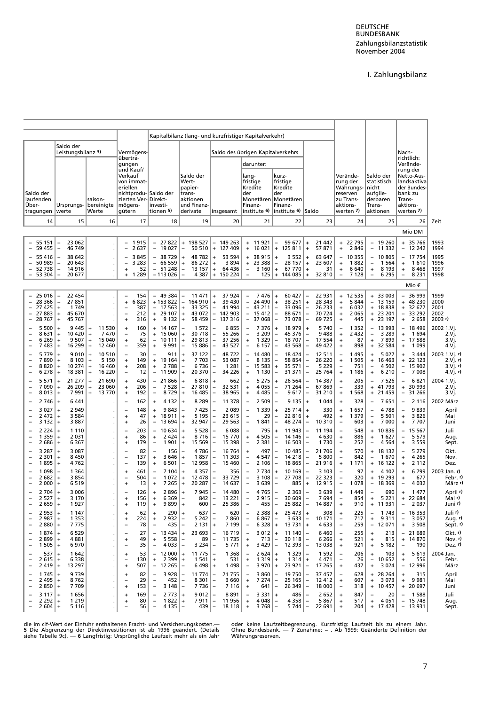#### DEUTSCHE BUNDESBANK Zahlungsbilanzstatistik November 2004

### I. Zahlungsbilanz

<span id="page-32-0"></span>

|                    | Kapitalbilanz (lang- und kurzfristiger Kapitalverkehr) |                      |                                                      |                    |                             |                   |                                                                      |                       |                                                              |                       |                                                                      |                       |                                                              |                                   |                                                              |                      |                                                      |                                     |                                                      |                    |                                                              |                       |                                                                      |                          |                                                              |                           |                 |                        |
|--------------------|--------------------------------------------------------|----------------------|------------------------------------------------------|--------------------|-----------------------------|-------------------|----------------------------------------------------------------------|-----------------------|--------------------------------------------------------------|-----------------------|----------------------------------------------------------------------|-----------------------|--------------------------------------------------------------|-----------------------------------|--------------------------------------------------------------|----------------------|------------------------------------------------------|-------------------------------------|------------------------------------------------------|--------------------|--------------------------------------------------------------|-----------------------|----------------------------------------------------------------------|--------------------------|--------------------------------------------------------------|---------------------------|-----------------|------------------------|
| Saldo der          |                                                        |                      |                                                      |                    |                             |                   |                                                                      |                       |                                                              |                       |                                                                      |                       |                                                              |                                   |                                                              |                      |                                                      |                                     |                                                      |                    |                                                              |                       |                                                                      |                          |                                                              |                           |                 |                        |
|                    |                                                        |                      | Leistungsbilanz 3)                                   |                    |                             | übertra-          | Vermögens-                                                           |                       |                                                              |                       |                                                                      |                       |                                                              | Saldo des übrigen Kapitalverkehrs |                                                              |                      |                                                      |                                     |                                                      |                    |                                                              |                       |                                                                      | Nach-                    | richtlich:                                                   |                           |                 |                        |
|                    |                                                        |                      |                                                      |                    |                             |                   | gungen                                                               | und Kauf/             |                                                              |                       |                                                                      |                       |                                                              |                                   |                                                              | darunter:            |                                                      |                                     |                                                      |                    |                                                              |                       |                                                                      |                          |                                                              | Verände-<br>rung der      |                 |                        |
|                    |                                                        |                      |                                                      |                    |                             |                   | Verkauf                                                              | von immat-            |                                                              |                       |                                                                      | Saldo der<br>Wert-    |                                                              |                                   | lang-<br>fristige                                            |                      |                                                      | kurz-<br>fristige                   |                                                      |                    |                                                              | Verände-<br>rung der  |                                                                      | Saldo der<br>statistisch |                                                              | Netto-Aus-<br>landsaktiva |                 |                        |
|                    |                                                        | Saldo der            |                                                      |                    |                             |                   | eriellen                                                             | nichtprodu- Saldo der |                                                              |                       | trans-                                                               | papier-               |                                                              |                                   | der                                                          | Kredite              | der                                                  | Kredite                             |                                                      |                    |                                                              | Währungs-<br>reserven | nicht                                                                | aufglie-                 |                                                              | der Bundes-<br>bank zu    |                 |                        |
| laufenden<br>Uber- |                                                        |                      | Ursprungs-                                           | saison-            | bereinigte                  | mögens-           | zierten Ver-                                                         | Direkt-               | investi-                                                     |                       | aktionen<br>und Finanz-                                              |                       |                                                              | Finanz-                           | Monetären                                                    |                      | Monetären<br>Finanz-                                 |                                     |                                                      |                    | zu Trans-<br>aktions-                                        | Trans-                | derbaren                                                             | Trans-                   | aktions-                                                     |                           |                 |                        |
|                    |                                                        | tragungen            | werte                                                |                    | Werte                       |                   | gütern                                                               |                       |                                                              | tionen 5)             |                                                                      | derivate              |                                                              | insgesamt                         |                                                              |                      |                                                      | institute 6)   institute 6)   Saldo |                                                      |                    |                                                              | werten 7)             |                                                                      | aktionen                 |                                                              | werten 7)                 |                 |                        |
| 14                 |                                                        | 15                   |                                                      | 16                 |                             | 17                |                                                                      | 18                    |                                                              | 19                    |                                                                      |                       | 20                                                           |                                   | 21                                                           |                      | 22                                                   |                                     | 23                                                   |                    | 24                                                           |                       | 25                                                                   | 26                       |                                                              | Zeit                      |                 |                        |
|                    |                                                        |                      |                                                      |                    |                             |                   |                                                                      |                       |                                                              |                       |                                                                      |                       |                                                              |                                   |                                                              |                      |                                                      |                                     |                                                      |                    |                                                              |                       |                                                                      |                          |                                                              | Mio DM                    |                 |                        |
|                    | $\overline{\phantom{0}}$                               | 55 151<br>59 455     | $\qquad \qquad -$<br>$\overline{a}$                  | 23 062<br>46 749   |                             |                   | $\overline{\phantom{0}}$                                             | 1915<br>2 6 3 7       | $\qquad \qquad -$                                            | 27 822<br>19 0 27     | $\overline{\phantom{a}}$                                             | $+ 198527$<br>50 510  | $-$<br>$\ddot{}$                                             | 149 263<br>127 409                | $\ddot{}$                                                    | $+ 11921$<br>16 021  | $\qquad \qquad -$<br>$+$                             | 99 677<br>125 811                   | $+$<br>$+$                                           | 21 4 42<br>57 871  | $\ddot{}$                                                    | $+ 22795$<br>2846     | $\overline{\phantom{a}}$<br>$\overline{\phantom{a}}$                 | 19 260<br>11 3 32        |                                                              | $+ 35766$<br>$-12242$     | 1993<br>1994    |                        |
|                    |                                                        | 55 416<br>50 989     | $\overline{\phantom{a}}$<br>$\overline{\phantom{0}}$ | 38 642<br>20 643   |                             |                   | $\qquad \qquad -$<br>$\overline{\phantom{0}}$                        | 3845<br>3 2 8 3       | $\overline{\phantom{0}}$<br>$\qquad \qquad -$                | 38729<br>66 559       | $\begin{array}{c} + \end{array}$<br>$\ddot{}$                        | 48782<br>86 272       | $\begin{array}{c} + \end{array}$<br>$\ddot{}$                | 53 594<br>3894                    | $\ddot{}$<br>$+$                                             | 38 915<br>23 388     | $\ddot{}$<br>$\overline{a}$                          | 3 5 5 2<br>28 157                   | $\ddot{}$<br>$\ddot{}$                               | 63 647<br>23 607   | $\ddot{}$                                                    | $-10355$<br>1882      | $\overline{\phantom{a}}$<br>$\qquad \qquad -$                        | 10 805<br>1 5 6 4        | $\ddot{}$                                                    | $-17754$<br>1610          | 1995<br>1996    |                        |
|                    |                                                        | 52 738<br>$-53304$   | $\overline{\phantom{a}}$<br>$\qquad \qquad -$        | 14 916<br>20 677   |                             |                   | $\ddot{}$<br>+                                                       | 52<br>1 2 8 9         |                                                              | $-51248$<br>$-113026$ | $\overline{\phantom{a}}$<br>$\equiv$                                 | 13 157<br>4 3 8 7     | $\ddot{}$                                                    | 64 436<br>$+ 150224$              | $\overline{\phantom{a}}$<br>$\overline{\phantom{a}}$         | 3 1 6 0<br>125       | $+$                                                  | 67770<br>+ 144 085                  | $+$<br>$\ddot{}$                                     | 31<br>32 810       | $\ddot{}$<br>$\overline{\phantom{0}}$                        | 6 6 4 0<br>7 1 2 8    | $\ddot{}$<br>$\overline{\phantom{0}}$                                | 8 1 9 3<br>6 2 9 5       | $\ddot{}$<br>$\overline{\phantom{a}}$                        | 8468<br>8 2 3 1           | 1997<br>1998    |                        |
|                    |                                                        |                      |                                                      |                    |                             |                   |                                                                      |                       |                                                              |                       |                                                                      |                       |                                                              |                                   |                                                              |                      |                                                      |                                     |                                                      |                    |                                                              |                       |                                                                      |                          |                                                              | Mio €                     |                 |                        |
|                    |                                                        | $-25016$             | $\overline{\phantom{a}}$                             | 22 454             |                             |                   |                                                                      | 154                   |                                                              | 49 384                |                                                                      | 11471                 | $\ddot{}$                                                    | 37 924                            |                                                              | 7476                 | $\ddot{}$                                            | 60 427                              |                                                      | 22 931             |                                                              | + 12 535              |                                                                      | $+ 33003$                |                                                              | $-36999$                  | 1999            |                        |
|                    |                                                        | 28 3 66<br>27 425    | $\qquad \qquad -$<br>$\ddot{}$                       | 27 851<br>1749     |                             |                   | $\ddot{}$<br>$\overline{\phantom{0}}$                                | 6823<br>387           |                                                              | +153822<br>$-17563$   | $\qquad \qquad -$<br>$\begin{array}{c} + \end{array}$                | 164 910<br>33 325     | $\begin{array}{c} + \end{array}$<br>$\overline{\phantom{a}}$ | 39 430<br>41 994                  |                                                              | $-24490$<br>$-43211$ | $\ddot{}$<br>$\overline{\phantom{0}}$                | 38 251<br>33 096                    | $\ddot{}$<br>$\overline{\phantom{a}}$                | 28 343<br>26 233   | $\ddot{}$<br>$\ddot{}$                                       | 5844<br>6032          | $+$                                                                  | 13 159<br>18838          |                                                              | $+ 48230$<br>+ 32 677     | 2000<br>2001    |                        |
|                    |                                                        | 27 883<br>28 767     | $\bf{+}$<br>$\ddot{}$                                | 45 670<br>45 767   |                             |                   | $\overline{\phantom{0}}$<br>$\ddot{}$                                | 212<br>316            | $\ddot{}$<br>$\ddot{}$                                       | 29 107<br>9 132       | $\begin{array}{c} + \end{array}$<br>$\ddot{}$                        | 43 072<br>58 459      | $\overline{\phantom{a}}$                                     | 142 903<br>$-137316$              |                                                              | $-15412$<br>$-37068$ | $\overline{\phantom{0}}$<br>$\overline{\phantom{a}}$ | 88 671<br>73 078                    | $\overline{\phantom{a}}$<br>$\overline{a}$           | 70 724<br>69 725   | $\begin{array}{c} + \end{array}$<br>$\ddot{}$                | 2 0 6 5<br>445        | $\ddot{}$<br>$+$                                                     | 23 201<br>23 197         | $-$<br>$\ddot{}$                                             | 33 292<br>2 658           | 2002<br>2003 r) |                        |
|                    |                                                        | 5 500                | $\ddot{}$                                            | 9445               | $\ddot{}$                   | 11 530            | $\ddot{}$                                                            | 160                   | $\ddot{}$                                                    | 14 167                |                                                                      | 1572                  | $\qquad \qquad -$                                            | 6855                              |                                                              | 7376                 | $\ddot{}$                                            | 18 979                              | $\ddot{}$                                            | 5740               | $\qquad \qquad -$                                            | 1 3 5 2               |                                                                      | 13 993                   | $\overline{\phantom{a}}$                                     | 18 4 9 6                  |                 | 2002 1.Vj.             |
|                    |                                                        | 8 631<br>6 2 6 9     | $\ddot{}$<br>$\ddot{}$                               | 10 4 20<br>9 5 0 7 | $\ddot{}$<br>$\ddot{}$      | 7470<br>15 040    | $\qquad \qquad -$<br>$\ddot{}$                                       | 75<br>62              | $\ddot{}$                                                    | 15 060<br>10 111      | $\ddot{}$<br>$\ddot{}$                                               | 30718<br>29 813       | $\overline{\phantom{a}}$<br>$\overline{\phantom{a}}$         | 55 266<br>37 256                  | $\overline{\phantom{a}}$<br>$\ddot{}$                        | 3 2 0 9<br>1 3 2 9   | $\overline{\phantom{0}}$<br>$\overline{\phantom{0}}$ | 45 376<br>18707                     | $\overline{\phantom{0}}$<br>$\overline{\phantom{a}}$ | 9488<br>17 554     | $\begin{array}{c} + \end{array}$<br>$\ddot{}$                | 2432<br>87            | $\overline{\phantom{0}}$<br>$\ddot{}$                                | 3 2 8 9<br>7899          | $\ddot{}$<br>$-$                                             | 1694<br>17 588            |                 | 2.Vj.<br>3.Vj.         |
|                    |                                                        | 7483<br>5779         | $\ddot{}$<br>$\ddot{}$                               | 16 299<br>9010     | $\overline{+}$<br>$\ddot{}$ | 12 4 60<br>10 510 | $\qquad \qquad -$<br>$\qquad \qquad -$                               | 359<br>30             | $\ddot{}$                                                    | 9991<br>911           | $\overline{\phantom{a}}$<br>$\ddot{}$                                | 15886<br>37 122       | $\overline{a}$<br>$\overline{\phantom{a}}$                   | 43 527<br>48722                   |                                                              | 6 1 5 7<br>$-14480$  | $\overline{\phantom{0}}$<br>L,                       | 43 5 68<br>18 4 24                  |                                                      | 49 422<br>12 5 11  | $\ddot{}$<br>$\qquad \qquad -$                               | 898<br>1 4 9 5        | $\ddot{}$<br>$\ddot{}$                                               | 32 584<br>5 0 2 7        | $\ddot{}$<br>$\ddot{}$                                       | 1 0 9 9<br>3 4 4 4        |                 | 4.Vj.<br>2003 1.Vj. r) |
|                    | $\overline{\phantom{0}}$                               | 7890<br>8820         | $\ddot{}$<br>$\ddot{}$                               | 8 1 0 3<br>10 274  | $\ddot{}$<br>$\ddot{}$      | 5 1 5 0<br>16 460 | $\ddot{}$<br>$\begin{array}{c} + \end{array}$                        | 149<br>208            | $\ddot{}$                                                    | 19 164<br>2 7 8 8     | $\ddot{}$<br>$\overline{\phantom{a}}$                                | 7703<br>6736          | $\overline{a}$<br>$\overline{a}$                             | 53 087<br>1 2 8 1                 | $\overline{\phantom{a}}$                                     | 8 1 3 5<br>$-15583$  | $\overline{a}$<br>$\bf{+}$                           | 58 854<br>35 571                    | $\overline{\phantom{a}}$<br>$\overline{\phantom{0}}$ | 26 220<br>5 2 2 9  | $\ddot{}$<br>$\overline{\phantom{0}}$                        | 1 5 0 5<br>751        | $\ddot{}$                                                            | 16 4 63<br>4 5 0 2       | $+$<br>$\overline{\phantom{a}}$                              | 22 123<br>15 902          |                 | 2.Vj. r<br>3.Vj. r     |
|                    |                                                        | 6 278                | $\ddot{}$                                            | 18 381             | $\ddot{}$                   | 16 2 20           | $\overline{\phantom{0}}$                                             | 12                    |                                                              | 11 909                | $\ddot{}$                                                            | 20 370                | $\overline{\phantom{a}}$                                     | 34 226                            | $\ddot{}$                                                    | 1 1 3 0              | $\overline{a}$                                       | 31 371                              |                                                      | 25 7 64            | $\ddot{}$                                                    | 1 1 8 6               | $\ddot{}$                                                            | 6 2 1 0                  | $\overline{\phantom{0}}$                                     | 7 0 0 8                   |                 | 4.Vj. r)               |
|                    | $\overline{\phantom{0}}$                               | 5 5 7 1<br>7090      | $\ddot{}$<br>$\bf{+}$                                | 21 277<br>26 209   | $\ddot{}$<br>$\ddot{}$      | 21 690<br>23 060  | $\ddot{}$<br>$\ddot{}$                                               | 430<br>206            | $\overline{\phantom{0}}$<br>$\overline{\phantom{0}}$         | 21866<br>7 5 2 8      | $\ddot{}$<br>$\overline{\phantom{a}}$                                | 6818<br>27810         | $+$<br>$\overline{\phantom{a}}$                              | 662<br>32 531                     | $\overline{\phantom{a}}$<br>$\ddot{}$                        | 5 2 7 5<br>4055      | $\ddot{}$<br>$\overline{a}$                          | 26 5 64<br>71 264                   | $\qquad \qquad -$<br>$\overline{\phantom{a}}$        | 14 387<br>67869    | $\ddot{}$<br>$\qquad \qquad -$                               | 205<br>339            | $\overline{\phantom{0}}$<br>$\ddot{}$                                | 7 5 2 6<br>41 793        | $\overline{\phantom{a}}$<br>$\ddot{}$                        | 6821<br>30 993            |                 | 2004 1.Vi.<br>2.Vj.    |
|                    |                                                        | 8 0 1 3<br>2746      | $\ddot{}$<br>$\ddot{}$                               | 7991<br>6441       | $\ddot{}$                   | 13770             | $\begin{array}{c} + \end{array}$<br>$\overline{\phantom{0}}$         | 192<br>162            | $\overline{\phantom{0}}$<br>$\ddot{}$                        | 8729<br>4 1 3 2       | $\ddot{}$<br>$\ddot{}$                                               | 16 485<br>8 2 8 9     | $\overline{\phantom{a}}$<br>$\overline{\phantom{a}}$         | 38 965<br>11 378                  | $\ddot{}$<br>$\overline{\phantom{0}}$                        | 4485<br>2 5 0 9      | $\overline{a}$<br>$\overline{\phantom{0}}$           | 9617<br>9 1 3 5                     | $\overline{\phantom{a}}$<br>l +                      | 31 210<br>1 0 4 4  | $\begin{array}{c} + \end{array}$<br>$\ddot{}$                | 1 5 6 8<br>328        | $\ddot{}$<br>$\overline{\phantom{0}}$                                | 21 4 5 9<br>7651         | $\overline{\phantom{a}}$<br>$\overline{\phantom{0}}$         | 31 266<br>2 1 1 6         |                 | 3.Vj.<br>2002 März     |
|                    |                                                        | 3 0 2 7              | $\ddot{}$                                            | 2 9 4 9            |                             |                   | $\overline{\phantom{0}}$                                             | 148                   | $\ddot{}$                                                    | 9843                  | $\overline{\phantom{0}}$                                             | 7425                  | $\overline{\phantom{0}}$                                     | 2 0 8 9                           | $\overline{\phantom{a}}$                                     | 1 3 3 9              | $\ddot{}$                                            | 25 7 14                             | l +                                                  | 330                | $\ddot{}$                                                    | 1657                  | $\overline{\phantom{0}}$                                             | 4788                     | $\overline{\phantom{0}}$                                     | 9839                      |                 | April                  |
|                    |                                                        | 2472<br>3 1 3 2      | $\ddot{}$<br>$\ddot{}$                               | 3 5 8 4<br>3887    |                             |                   | $\ddot{}$<br>+                                                       | 47<br>26              | $\ddot{}$<br>$\overline{\phantom{0}}$                        | 18 911<br>13 694      | $\ddot{}$<br>$\begin{array}{c} + \end{array}$                        | 5 1 9 5<br>32 947     | $\overline{\phantom{0}}$<br>$\overline{\phantom{0}}$         | 23 615<br>29 5 63                 | $\overline{\phantom{a}}$<br>$\overline{\phantom{0}}$         | 29<br>1841           | $\overline{a}$<br>$\overline{\phantom{0}}$           | 22816<br>48 274                     | $\ddot{}$                                            | 492<br>10 310      | $\ddot{}$<br>$\overline{\phantom{0}}$                        | 1 3 7 9<br>603        | $\overline{\phantom{0}}$<br>$\ddot{}$                                | 5 5 0 1<br>7 0 0 0       | $\begin{array}{c} + \end{array}$<br>$\ddot{}$                | 3826<br>7 707             |                 | Mai<br>Juni            |
|                    |                                                        | 2 2 2 4<br>1 3 5 9   | $\ddot{}$<br>$\ddot{}$                               | 1 1 1 0<br>2 0 3 1 |                             |                   | $\overline{\phantom{0}}$<br>$\ddot{}$                                | 203<br>86             | $\qquad \qquad -$<br>$\ddot{}$                               | 10 634<br>2424        | $\begin{array}{c} + \end{array}$<br>$\begin{array}{c} + \end{array}$ | 5 5 2 8<br>8716       | $\overline{\phantom{a}}$<br>$\overline{\phantom{a}}$         | 6 0 8 8<br>15 770                 | $\qquad \qquad -$<br>$\ddot{}$                               | 795<br>4 5 0 5       | $\ddot{}$<br>$\overline{a}$                          | 11 943<br>14 14 6                   | $\overline{\phantom{0}}$                             | 11 194<br>4 630    | $\qquad \qquad -$<br>$\ddot{}$                               | 548<br>886            | $\ddot{}$<br>$\ddot{}$                                               | 10836<br>1627            | $\overline{\phantom{a}}$<br>$\overline{\phantom{a}}$         | 15 5 67<br>5 5 7 9        |                 | Juli<br>Aug.           |
|                    |                                                        | 2 686                | $\ddot{}$                                            | 6 3 6 7            |                             |                   | $\ddot{}$                                                            | 179                   |                                                              | 1901                  | $\ddot{}$                                                            | 15 5 69               | $\overline{\phantom{a}}$                                     | 15 3 98                           | $\overline{\phantom{0}}$                                     | 2 3 8 1              | $\overline{\phantom{0}}$                             | 16 503                              |                                                      | 1730               |                                                              | 252                   |                                                                      | 4 5 6 4                  | $\begin{array}{c} + \end{array}$                             | 3 5 5 9                   |                 | Sept.                  |
|                    |                                                        | 3 2 8 7<br>2 3 0 1   | $\ddot{}$<br>$\ddot{}$                               | 3 0 8 7<br>8450    |                             |                   | $\overline{\phantom{0}}$<br>$\overline{\phantom{0}}$                 | 82<br>137             | $\overline{\phantom{0}}$<br>$\ddot{}$                        | 156<br>3 6 4 6        | $\qquad \qquad -$<br>$\ddot{}$                                       | 4786<br>1857          | $\overline{\phantom{a}}$<br>$\overline{\phantom{a}}$         | 16 764<br>11 303                  | $\ddot{}$<br>$\overline{\phantom{a}}$                        | 497<br>4547          | $\qquad \qquad -$<br>$\qquad \qquad -$               | 10 485<br>14 218                    | $\overline{\phantom{a}}$<br>$\overline{\phantom{0}}$ | 21 706<br>5 800    | $\ddot{}$<br>$\overline{\phantom{0}}$                        | 570<br>842            | $\ddot{}$                                                            | 18 132<br>1670           | $\overline{\phantom{0}}$<br>$\begin{array}{c} + \end{array}$ | 5 2 7 9<br>4 2 6 5        |                 | Okt.<br>Nov.           |
|                    |                                                        | 1895                 | $\ddot{}$                                            | 4762               |                             |                   | $\overline{\phantom{0}}$                                             | 139                   | $\ddot{}$<br>$\overline{\phantom{0}}$                        | 6 501<br>7 104        | $\overline{\phantom{a}}$                                             | $12958$ -             | $\overline{\phantom{0}}$                                     | 15 4 60                           | $\overline{\phantom{a}}$                                     | 2 1 0 6<br>7 7 3 4   | $\qquad \qquad -$                                    | 18865                               | $\overline{\phantom{a}}$<br>$\overline{\phantom{a}}$ | 21916<br>3 1 0 3   | $\begin{array}{c} + \end{array}$                             | 1 1 7 1<br>97         | $\ddot{}$                                                            | 16 122                   | $\ddot{}$                                                    | 2 1 1 2                   |                 | Dez.<br>2003 Jan. r)   |
|                    |                                                        | 1098<br>2 6 8 2      | $\qquad \qquad -$<br>$\ddot{}$                       | 1 3 6 4<br>3854    |                             |                   | $\begin{array}{c} + \end{array}$                                     | 461<br>504            |                                                              | 1072                  | $\ddot{}$<br>$\begin{array}{c} + \end{array}$                        | 4 3 5 7<br>12 478     | $\qquad \qquad -$                                            | 356<br>33 7 29                    | $\overline{\phantom{a}}$<br>$\overline{\phantom{a}}$         | 3 1 0 8              | $\ddot{}$<br>$\qquad \qquad -$                       | 10 169<br>27 708                    | $\qquad \qquad -$                                    | 22 3 23            | $\qquad \qquad -$<br>$\overline{a}$                          | 320                   | $\ddot{}$<br>$\ddot{}$                                               | 4 102<br>19 293          | $\ddot{}$<br>$\ddot{}$                                       | 6799<br>677               |                 | Febr. r)               |
|                    | $\overline{\phantom{0}}$                               | 2 000<br>2704        | $\ddot{}$<br>$\ddot{}$                               | 6519<br>3 0 0 6    |                             |                   | $\ddot{}$                                                            | 13<br>126             | $\ddot{}$<br>$\ddot{}$                                       | 7 2 6 5<br>2896       | $\ddot{}$<br>$\ddot{}$                                               | 20 287<br>7945        | $\overline{\phantom{a}}$<br>$\overline{\phantom{m}}$         | 14 637<br>14 480                  | $\overline{\phantom{a}}$<br>$-$                              | 3639<br>4765         | $\overline{a}$<br>$\qquad \qquad -$                  | 885<br>2 3 6 3                      | $+$<br>$\overline{\phantom{a}}$                      | 12 915<br>3 6 3 9  | $\overline{\phantom{0}}$<br>$\ddot{}$                        | 1078<br>1449          | $\qquad \qquad -$<br>$\overline{\phantom{0}}$                        | 18 3 69<br>690           | $\overline{\phantom{a}}$<br>$\ddot{}$                        | 4 0 32<br>1477            |                 | März r<br>April r)     |
|                    |                                                        | 2 527<br>$2659 +$    |                                                      | 3 1 7 0<br>1927    |                             |                   | $\begin{array}{c} + \end{array}$                                     | 156<br>119            | $\ddot{}$                                                    | 6 3 6 9<br>$9899$ +   |                                                                      | 842<br>$600$   $-$    |                                                              | 13 2 21<br>25 386                 | $\overline{\phantom{m}}$                                     | 2915<br>$455$   $-$  |                                                      | 30 609<br>$25882$ -                 |                                                      | 7694<br>14 887     | $\ddot{}$                                                    | 854<br>910            |                                                                      | 5 2 2 1<br>$+ 11931$     |                                                              | 22 684<br>$-2037$         |                 | Mai r)<br>Juni r)      |
|                    |                                                        | $2953$ +             |                                                      | 1 1 4 7            |                             |                   | $\begin{array}{c} + \end{array}$                                     | 62                    | $\ddot{}$                                                    | $290$ +               |                                                                      | $637$   $-$           |                                                              | 620                               | $\overline{\phantom{a}}$                                     | $2388 +$             |                                                      | $25473$ +                           |                                                      | 308                | $\ddot{}$                                                    | 225                   | $\overline{\phantom{0}}$                                             | 1743                     |                                                              | $-16353$                  |                 | Juli r)                |
|                    |                                                        | $2987 +$<br>$2880 +$ |                                                      | 1 3 5 3<br>7775    |                             |                   | $\begin{array}{c} + \end{array}$<br>$\overline{\phantom{0}}$         | 224<br>78             | $\ddot{}$                                                    | 2 9 3 2<br>435        | $\overline{\phantom{0}}$<br>$\qquad \qquad -$                        | $5242$ -<br>$2131 +$  |                                                              | 7860<br>7 1 9 9                   | $\overline{\phantom{a}}$<br>$\overline{\phantom{a}}$         | 6867<br>$6328$ +     | $\overline{a}$                                       | 3 6 3 3<br>$13731$ +                | $\vert$ –                                            | 10 171<br>4 6 3 3  | $\overline{a}$<br>$\overline{\phantom{0}}$                   | 717<br>259            | $\begin{array}{c} + \end{array}$<br>$\overline{\phantom{a}}$         | 9 3 1 1<br>12 071        | $\overline{\phantom{a}}$<br>$+$                              | 3 0 5 7<br>3 5 0 8        |                 | Aug. $r$<br>Sept. r)   |
|                    | $\qquad \qquad -$                                      | $1874$ +<br>$2899 +$ |                                                      | 6 5 2 9<br>4881    |                             |                   | $\overline{\phantom{0}}$<br>$\begin{array}{c} + \end{array}$         | 27<br>49              | $\overline{\phantom{0}}$<br>$\ddot{}$                        | $13434 +$<br>5 5 5 8  | $\qquad \qquad -$                                                    | $23693$ -<br>$89 -$   |                                                              | 16 719<br>11 7 35                 | $\overline{\phantom{a}}$<br>$\begin{array}{c} + \end{array}$ | $3012$ +<br>713      | $\qquad \qquad -$                                    | 11 140<br>$30118$ -                 |                                                      | 6 4 6 0<br>6 2 6 6 | $\overline{\phantom{0}}$<br>$\ddot{}$                        | 255<br>521            | $\begin{array}{c} + \end{array}$<br>$\begin{array}{c} + \end{array}$ | 213<br>815               |                                                              | $-21689$<br>+ 14 870      |                 | Okt. r)<br>Nov. r)     |
|                    |                                                        | $1505$ +             |                                                      | 6970               |                             |                   | $\overline{\phantom{0}}$                                             | 35                    | $\qquad \qquad -$                                            | 4 0 3 3               | $\overline{\phantom{a}}$                                             | $3234 -$              |                                                              | 5 7 7 1                           | $\pmb{+}$                                                    | $3429$ -             |                                                      | $12393$ -                           |                                                      | 13 038             | $\ddot{}$                                                    | 921                   | $\begin{array}{c} + \end{array}$                                     | 5 1 8 2                  | $\overline{\phantom{a}}$                                     | 190                       |                 | Dez. r)                |
|                    | -                                                      | $537$ +<br>$2615$ +  |                                                      | 1642<br>6 3 3 8    |                             |                   | $\begin{array}{c} + \end{array}$<br>$\overline{\phantom{0}}$         | 53<br>130             | $\overline{\phantom{a}}$<br>$\begin{array}{c} + \end{array}$ | 12 000<br>2 3 9 9     | $\pmb{+}$<br>$\pmb{+}$                                               | $11775$ -<br>$1541 +$ |                                                              | 1 3 6 8<br>531                    | $\overline{\phantom{a}}$<br>$\ddot{}$                        | $2624$ +<br>$1319$ + |                                                      | 1 3 2 9<br>$1314$ +                 |                                                      | 1 5 9 2<br>4 4 7 1 | $\overline{\phantom{0}}$<br>$\overline{a}$                   | 206<br>26             | $\begin{array}{c} + \end{array}$<br>$\overline{\phantom{a}}$         | 103<br>10 652            | $\pmb{+}$<br>$\begin{array}{c} + \end{array}$                | 5 6 1 9<br>556            |                 | 2004 Jan.<br>Febr.     |
|                    | $\qquad \qquad -$                                      | $2419$ +<br>$1745 +$ |                                                      | 13 297<br>9739     |                             |                   | $\begin{array}{c} + \end{array}$<br>$\begin{array}{c} + \end{array}$ | 507<br>82             | $\overline{\phantom{0}}$                                     | $-12265$<br>3 9 2 8   | $\overline{\phantom{a}}$                                             | $6498$ +<br>$11774$ – |                                                              | 1498<br>21 755                    | $\overline{\phantom{a}}$<br>$\overline{\phantom{a}}$         | $3970$ +<br>3860     | $\overline{\phantom{0}}$                             | $23921$ -<br>$19750$ -              |                                                      | 17 265<br>37 457   | $\begin{array}{c} + \end{array}$<br>$\overline{\phantom{0}}$ | 437<br>628            | $\ddot{}$<br>$\begin{array}{c} + \end{array}$                        | 3 0 2 4<br>28 264        | $\begin{array}{c} + \end{array}$                             | $-12996$<br>315           |                 | März<br>April          |
|                    |                                                        | $2495$ +<br>$2850 +$ |                                                      | 8762<br>7709       |                             |                   | $\begin{array}{c} + \end{array}$                                     | 29<br>153             | $\overline{\phantom{0}}$<br>$\overline{\phantom{a}}$         | 452<br>3148           | $\bar{a}$<br>$\qquad \qquad -$                                       | $8301$ -<br>$7736$ -  |                                                              | 3 6 6 0<br>7 1 1 6                | $\pmb{+}$<br>$\ddot{}$                                       | $7274$ -<br>$641 -$  |                                                      | 25 165<br>$26349$ -                 | $\vert -$                                            | 12 412<br>18 000   | $\begin{array}{c} + \end{array}$<br>$\overline{\phantom{0}}$ | 607<br>318            | $\ddot{}$<br>$+$                                                     | 3073<br>10 457           | $+$                                                          | 9 9 8 1<br>$+ 20697$      |                 | Mai<br>Juni            |
|                    | $\overline{\phantom{0}}$                               | $3117$ +             |                                                      | 1656               |                             |                   | $\ddot{}$                                                            | 169                   | $\overline{\phantom{0}}$                                     | 2 7 7 3               | $\ddot{}$                                                            | $9012$ -              |                                                              | 8891                              | $\overline{\phantom{a}}$                                     | $3331 +$             |                                                      | $486$ -                             |                                                      | 2652               | $\bf{+}$                                                     | 847                   | $\overline{\phantom{0}}$                                             | 20                       | $\overline{\phantom{a}}$                                     | 1 5 8 8                   |                 | Juli                   |
|                    |                                                        | $2292$ +<br>$2604$ + |                                                      | 1 2 1 9<br>5 1 1 6 |                             |                   | $\ddot{}$                                                            | 80<br>56              | $\overline{\phantom{a}}$<br>$\qquad \qquad -$                | $1822$ +<br>4 1 3 5   | $\overline{\phantom{a}}$                                             | $7911 -$<br>439       | $\overline{\phantom{a}}$                                     | 11 956<br>18 118                  | $\pmb{+}$<br>$+$                                             | $4048$ –<br>$3768$ - |                                                      | $4358 -$<br>$5744 -$                |                                                      | 5 8 6 7<br>22 691  | $\bf{+}$<br>$\ddot{}$                                        | 517<br>204            | $\begin{array}{c} + \end{array}$                                     | 4051<br>$+ 17428$        |                                                              | $-15748$<br>$-13931$      |                 | Aug.<br>Sept.          |

die im cif-Wert der Einfuhr enthaltenen Fracht- und Versicherungskosten.— oder keine Laufzeitbegrenzung. Kurzfristig: Laufzeit bis zu einem Jahr.<br>5 Die Abgrenzung der Direktinvestitionen ist ab 1996 geändert. (Details – O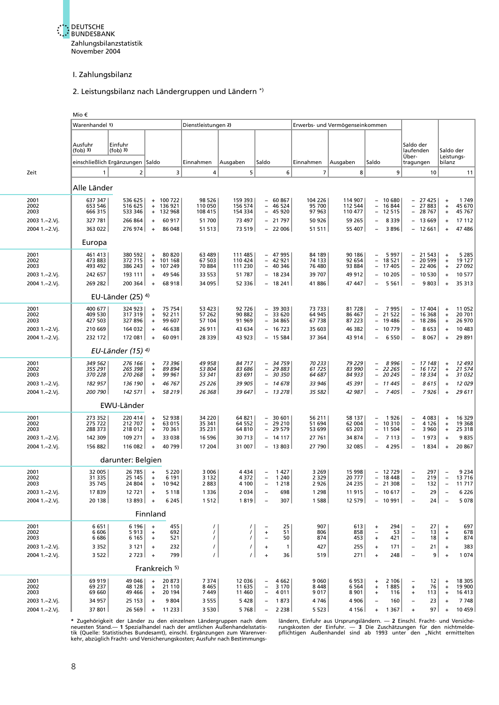

#### I. Zahlungsbilanz

#### 2. Leistungsbilanz nach Ländergruppen und Ländern \*)

<span id="page-33-0"></span>

|                           | Mio €                         |                                                     |                                  |                               |                                                        |                               |                                                      |                                  |                             |                               |                                                                    |                             |                                                      |                               |                                                            |                          |
|---------------------------|-------------------------------|-----------------------------------------------------|----------------------------------|-------------------------------|--------------------------------------------------------|-------------------------------|------------------------------------------------------|----------------------------------|-----------------------------|-------------------------------|--------------------------------------------------------------------|-----------------------------|------------------------------------------------------|-------------------------------|------------------------------------------------------------|--------------------------|
| Warenhandel 1)            |                               |                                                     |                                  |                               | Dienstleistungen 2)<br>Erwerbs- und Vermögenseinkommen |                               |                                                      |                                  |                             |                               |                                                                    |                             |                                                      |                               |                                                            |                          |
|                           | Ausfuhr<br>$(fob)$ 3)         | Einfuhr<br>$(fob)$ 3)                               |                                  |                               |                                                        |                               |                                                      |                                  |                             |                               |                                                                    |                             | Saldo der<br>laufenden<br>Über-                      |                               | Saldo der                                                  | Leistungs-               |
|                           |                               | einschließlich Ergänzungen Saldo                    |                                  |                               | Einnahmen                                              | Ausgaben                      | Saldo                                                |                                  | Einnahmen                   | Ausgaben                      | Saldo                                                              |                             | tragungen                                            |                               | bilanz                                                     |                          |
| Zeit                      | $\mathbf{1}$                  | 2                                                   |                                  | 3                             | 4                                                      | 5                             |                                                      | 6                                | 7 <sup>1</sup>              | 8 <sup>1</sup>                |                                                                    | 9 <sup>1</sup>              |                                                      | 10                            |                                                            | 11                       |
|                           | Alle Länder                   |                                                     |                                  |                               |                                                        |                               |                                                      |                                  |                             |                               |                                                                    |                             |                                                      |                               |                                                            |                          |
| 2001<br>2002<br>2003      | 637 347<br>653 546<br>666 315 | 536 625<br>516 625<br>533 346                       | $+$<br>$+$<br>$+$                | 100 722<br>136 921<br>132 968 | 98 526<br>110 050<br>108 415                           | 159 393<br>156 574<br>154 334 |                                                      | $-60867$<br>$-46524$<br>$-45920$ | 104 226<br>95 700<br>97 963 | 114 907<br>112 544<br>110 477 | $\qquad \qquad -$<br>$\overline{\phantom{a}}$<br>$\qquad \qquad -$ | 10 680<br>16 844<br>12 5 15 | $\overline{\phantom{a}}$                             | $-27425$<br>27883<br>$-28767$ | $\begin{array}{c} + \end{array}$<br>$\ddot{}$<br>$\ddot{}$ | 1749<br>45 670<br>45 767 |
| 2003 1.-2.Vj.             | 327 781                       | 266 864                                             | $+$                              | 60 917                        | 51 700                                                 | 73 497                        |                                                      | - 21 797                         | 50 926                      | 59 265                        |                                                                    | 8 3 3 9                     |                                                      | $-13669$                      | $\ddot{}$                                                  | 17 112                   |
| 2004 1 - 2 Vi.            | 363 022                       | 276 974                                             | $+$                              | 86 048                        | 51 513                                                 | 73 519                        |                                                      | $-22006$                         | 51 511                      | 55 407                        |                                                                    | 3896                        |                                                      | $-12661$                      | $+$                                                        | 47 48 6                  |
|                           | Europa                        |                                                     |                                  |                               |                                                        |                               |                                                      |                                  |                             |                               |                                                                    |                             |                                                      |                               |                                                            |                          |
| 2001<br>2002              | 461 413<br>473 883            | 380 592<br>372 715                                  | $\ddot{}$<br>$+$                 | 80 820<br>101 168             | 63 489<br>67 503                                       | 111 485<br>110 424            | $-$                                                  | - 47 995<br>42 921               | 84 189<br>74 133            | 90 186<br>92 654              | $\overline{\phantom{a}}$<br>$\overline{\phantom{0}}$               | 5997<br>18 5 21             | $\overline{\phantom{a}}$                             | $-21543$<br>20 599            | $\begin{array}{c} + \end{array}$<br>$\ddot{}$              | 5 2 8 5<br>19 127        |
| 2003                      | 493 492                       | 386 243                                             | $+$                              | 107 249                       | 70 884                                                 | 111 230                       |                                                      | $-40346$                         | 76 480                      | 93 884                        |                                                                    | $-17405$                    |                                                      | $-22406$                      | $+$                                                        | 27 092                   |
| 2003 1.-2.Vj.             | 242 657                       | 193 111                                             | $\ddot{}$                        | 49 546                        | 33 553                                                 | 51 787                        |                                                      | $-18234$                         | 39 707                      | 49 912                        | $\overline{\phantom{a}}$                                           | 10 205                      |                                                      | $-10530$                      | $+$                                                        | 10 577                   |
| 2004 1 .- 2 . Vj.         | 269 282                       | 200 364                                             | $\ddot{}$                        | 68918                         | 34 095                                                 | 52 336                        |                                                      | 18 241                           | 41886                       | 47 447                        |                                                                    | 5 5 6 1                     |                                                      | 9803                          | $\ddot{}$                                                  | 35 313                   |
|                           | 400 677                       | EU-Länder $(25)$ <sup>4)</sup>                      |                                  |                               |                                                        |                               |                                                      |                                  |                             |                               |                                                                    | 7995                        |                                                      |                               |                                                            |                          |
| 2001<br>2002              | 409 530                       | 324 923<br>317 319                                  | $\ddot{}$<br>$\ddot{}$           | 75 754<br>92 211              | 53 423<br>57 262                                       | 92 726<br>90 882<br>91 969    |                                                      | $-39303$<br>$-33620$             | 73 733<br>64 945            | 81728<br>86 467               | $\overline{\phantom{a}}$                                           | $-21522$                    |                                                      | $-17404$<br>$-16368$          | $\ddot{}$<br>$\ddot{}$                                     | 11 052<br>20 701         |
| 2003<br>2003 1.-2.Vj.     | 427 503<br>210 669            | 327 896<br>164 032                                  | $+$<br>$\ddot{}$                 | 99 607<br>46 638              | 57 104<br>26 911                                       | 43 634                        |                                                      | $-34865$<br>$-16723$             | 67 738<br>35 603            | 87 223<br>46 382              |                                                                    | $-19486$<br>$-10779$        | $\overline{\phantom{a}}$                             | $-18286$<br>8653              | $\ddot{}$<br>$\ddot{}$                                     | 26 970<br>10 4 83        |
| 2004 1.-2.Vj.             | 232 172                       | 172 081                                             | $\ddot{}$                        | 60 091                        | 28 3 39                                                | 43 923                        |                                                      | $-15584$                         | 37 364                      | 43 914                        |                                                                    | 6 5 5 0                     |                                                      | 8 0 67                        | $+$                                                        | 29 891                   |
|                           |                               | EU-Länder $(15)$ <sup>4)</sup>                      |                                  |                               |                                                        |                               |                                                      |                                  |                             |                               |                                                                    |                             |                                                      |                               |                                                            |                          |
| 2001                      | 349 562                       | 276 166                                             | $\ddot{}$                        | 73 396<br>89894               | 49 958                                                 | 84 717                        | $-$                                                  | - 34 759                         | 70 233                      | 79 229                        | $\overline{\phantom{a}}$                                           | 8996                        |                                                      | $-17148$                      | $\ddot{}$                                                  | 12 493                   |
| 2002<br>2003              | 355 291<br>370 228            | 265 398<br>270 268                                  | $\ddot{}$<br>$\ddot{}$           | 99 961                        | 53 804<br>53 341                                       | 83 686<br>83 691              |                                                      | 29 883<br>$-30350$               | 61 725<br>64 687            | 83 990<br>84 933              | $\overline{\phantom{a}}$                                           | 22 265<br>$-20245$          | $\overline{\phantom{a}}$                             | 16 172<br>$-18334$            | $+$<br>$\ddot{}$                                           | 21 574<br>31 032         |
| 2003 1.-2.Vj.             | 182 957                       | 136 190                                             | $\ddot{}$                        | 46 767                        | 25 2 26                                                | 39 905                        |                                                      | $-14678$                         | 33 946                      | 45 391                        |                                                                    | 11 445                      |                                                      | 8615                          | $\ddot{}$                                                  | 12 029                   |
| 2004 1.-2.Vj.             | 200 790                       | 142 571                                             | $\ddot{}$                        | 58 219                        | 26 368                                                 | 39 647                        |                                                      | $-13278$                         | 35 582                      | 42 987                        |                                                                    | 7405                        |                                                      | 7926                          | $\ddot{}$                                                  | 29 611                   |
|                           |                               | EWU-Länder                                          |                                  |                               |                                                        |                               |                                                      |                                  |                             |                               |                                                                    |                             |                                                      |                               |                                                            |                          |
| 2001<br>2002              | 273 352<br>275 722            | 220 414<br>212 707                                  | $\ddot{}$<br>$\ddot{}$           | 52 938<br>63 015              | 34 220<br>35 341                                       | 64 821<br>64 552              | $-$<br>$\overline{\phantom{0}}$                      | 30 601<br>29 210                 | 56 211<br>51 694            | 58 137<br>62 004              | $\overline{\phantom{a}}$                                           | 1926<br>10 310              | $\overline{\phantom{a}}$<br>$\overline{\phantom{a}}$ | 4 0 8 3<br>4 1 2 6            | $\begin{array}{c} + \end{array}$<br>$\ddot{}$              | 16 329<br>19 3 68        |
| 2003                      | 288 373                       | 218 012                                             | $\ddot{}$                        | 70 361                        | 35 231                                                 | 64 810                        | $-$                                                  | 29 579                           | 53 699                      | 65 203                        | $\overline{\phantom{a}}$                                           | 11 504                      | $\overline{\phantom{a}}$                             | 3 9 6 0                       | $\ddot{}$                                                  | 25 318                   |
| 2003 1.–2.Vj.             | 142 309                       | 109 271                                             | $\ddot{}$                        | 33 038                        | 16 596                                                 | 30 713                        |                                                      | $-14117$                         | 27 761                      | 34 874                        |                                                                    | 7 1 1 3                     |                                                      | 1973                          | $\ddot{}$                                                  | 9835                     |
| $2004$ 1.–2.Vj.           | 156 882                       | 116 082                                             | $\ddot{}$                        | 40 799                        | 17 204                                                 | 31 007                        |                                                      | $-13803$                         | 27 790                      | 32 085                        |                                                                    | 4 2 9 5                     |                                                      | 1834                          | $\ddot{}$                                                  | 20 867                   |
|                           |                               | darunter: Belgien                                   |                                  |                               |                                                        |                               |                                                      |                                  |                             |                               |                                                                    |                             |                                                      |                               |                                                            |                          |
| 2001<br>2002              | 32 005<br>31 335              | 26 785<br>25 145                                    | $\ddot{}$                        | 5 2 2 0<br>6 1 9 1            | 3 0 0 6<br>3 1 3 2                                     | 4 4 3 4<br>4 3 7 2            |                                                      | 1427<br>1 2 4 0                  | 3 2 6 9<br>2 3 2 9          | 15 998<br>20 777              | $\overline{\phantom{a}}$<br>$\overline{\phantom{a}}$               | 12 729<br>18 448            | $\overline{\phantom{0}}$<br>$\overline{\phantom{a}}$ | 297<br>219                    | $\qquad \qquad -$                                          | 9 2 3 4<br>13716         |
| 2003                      | 35 745                        | 24 804                                              | $\ddot{}$                        | 10 942                        | 2883                                                   | 4 100                         | $\overline{\phantom{0}}$                             | 1 2 1 8                          | 2926                        | 24 235                        | $\overline{\phantom{0}}$                                           | 21 308                      | $\overline{\phantom{a}}$                             | 132                           | $\overline{\phantom{a}}$                                   | 11 7 17                  |
| 2003 1 .- 2. Vj.          | 17839                         | 12721                                               | $\ddot{}$                        | 5 1 1 8                       | 1 3 3 6                                                | 2 0 3 4                       |                                                      | 698                              | 1 2 9 8                     | 11915                         |                                                                    | $-10617$                    |                                                      | 29                            |                                                            | 6 2 2 6                  |
| 2004 1 - 2 Vi.            | 20 138                        | 13 893                                              | $\ddot{}$<br>Finnland            | 6 2 4 5                       | 1512                                                   | 1819                          |                                                      | 307                              | 1 588                       | 12 579                        |                                                                    | $-10991$                    |                                                      | 24                            |                                                            | 5 0 78                   |
| 2001                      | 6651                          |                                                     | $\pmb{+}$                        |                               |                                                        |                               |                                                      |                                  | 907                         | 613                           | $\ddot{}$                                                          | 294                         |                                                      | 27                            | $\begin{array}{c} + \end{array}$                           | 697                      |
| 2002                      | 6 606                         | $\begin{array}{c c} 6 & 196 \\ 5 & 913 \end{array}$ | $\ddot{}$                        | 455<br>692                    |                                                        |                               | $\ddot{}$                                            | 25<br>51                         | 806                         | 858                           | $\overline{\phantom{a}}$                                           | 53                          | $\overline{\phantom{a}}$                             | 13                            | $\ddot{}$                                                  | 678                      |
| 2003<br>2003 1 .- 2 . Vj. | 6686<br>3 3 5 2               | 6 1 6 5<br>3 1 2 1                                  | $\ddot{}$<br>$\ddot{}$           | 521<br>232                    | $\prime$                                               |                               | $\ddot{}$                                            | 50<br>$\mathbf{1}$               | 874<br>427                  | 453<br>255                    | $\pm$                                                              | 421<br>171                  | $\overline{\phantom{0}}$<br>$\overline{\phantom{0}}$ | 18<br>21                      | $\ddot{}$                                                  | 874<br>383               |
| 2004 1 .- 2 Vj.           | 3 5 2 2                       | 2723                                                | $\ddot{}$                        | 799                           |                                                        |                               | $\ddotmark$                                          | 36                               | 519                         | 271                           | $\overline{+}$<br>$\ddot{}$                                        | 248                         |                                                      | 9 <sup>1</sup>                | $\ddot{}$<br>$\ddot{}$                                     | 1074                     |
|                           |                               |                                                     |                                  | Frankreich <sup>5)</sup>      |                                                        |                               |                                                      |                                  |                             |                               |                                                                    |                             |                                                      |                               |                                                            |                          |
| 2001                      | 69 919                        | 49 046                                              | $\ddot{}$                        | 20 873                        | 7374                                                   | 12 036                        | $\overline{\phantom{a}}$                             | 4 6 6 2                          | 9 0 6 0                     | 6953                          | $\ddot{}$                                                          | 2 1 0 6                     | $\overline{\phantom{0}}$                             | 12                            | $\begin{array}{c} + \end{array}$                           | 18 305<br>19 900         |
| 2002<br>2003              | 69 237<br>69 660              | 48 128<br>49 4 66                                   | $\ddot{}$<br>$+$                 | 21 110<br>20 194              | 8 4 6 5<br>7449                                        | 11 635<br>11 460              | $\overline{\phantom{a}}$<br>$\overline{\phantom{a}}$ | 3 1 7 0<br>4011                  | 8448<br>9017                | 6 5 6 4<br>8901               | $\begin{array}{c} + \end{array}$<br>$\pm$                          | 1885<br>116                 | $\ddot{}$<br>$\ddot{}$                               | 76<br>113                     | $\ddot{}$<br>$\ddot{}$                                     | 16 4 13                  |
| 2003 1.-2.Vj.             | 34 957                        | 25 153                                              | $\begin{array}{c} + \end{array}$ | 9 8 0 4                       | 3 5 5 5                                                | 5428                          | $\overline{\phantom{0}}$                             | 1873                             | 4746                        | 4 9 0 6                       | $\overline{\phantom{0}}$                                           | 160                         | $\overline{\phantom{0}}$                             | 23                            | $\begin{array}{c} + \end{array}$                           | 7748                     |
| 2004 1.-2.Vj.             | 37 801                        | 26 569                                              | $+$                              | 11 2 33                       | 3530                                                   | 5768                          | $\overline{\phantom{a}}$                             | 2238                             | 5523                        | 4 1 5 6                       | $\ddot{}$                                                          | 1367                        | $\begin{array}{c} + \end{array}$                     | 97                            | $\ddot{}$                                                  | 10 459                   |

\* Zugehörigkeit der Länder zu den einzelnen Ländergruppen nach dem kändern, Einfuhr aus Ursprungsländern. — 2 Einschl. Fracht- und Versiche-<br>neuesten Stand.— 1 Spezialhandel nach der amtlichen Außenhandelsstatis-küngskoste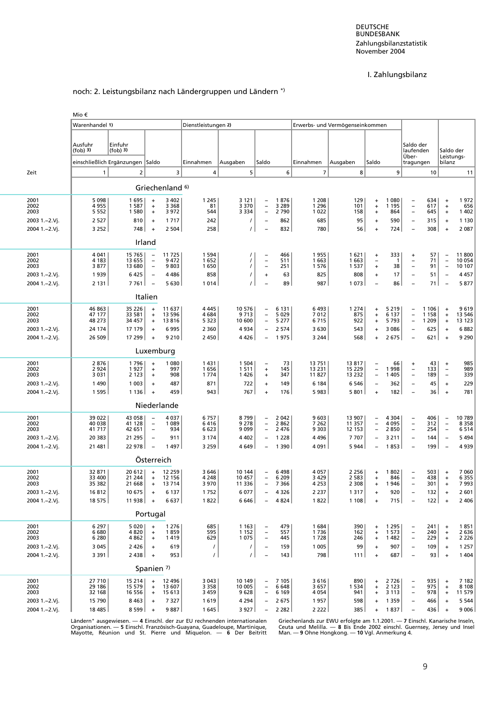#### DEUTSCHE BUNDESBANK Zahlungsbilanzstatistik November 2004

#### I. Zahlungsbilanz

#### noch: 2. Leistungsbilanz nach Ländergruppen und Ländern \*)

| Warenhandel 1)<br>Dienstleistungen 2)<br>Erwerbs- und Vermögenseinkommen<br>Ausfuhr<br>Einfuhr<br>$(fob)$ 3)<br>$(fob)$ 3)<br>einschließlich Ergänzungen   Saldo<br>Einnahmen<br>Ausgaben<br>Saldo<br>Einnahmen<br>Ausgaben<br>Saldo<br>3<br>5<br>6<br>$\overline{7}$<br>8<br>9<br>$\mathbf{1}$<br>$\overline{2}$<br>4<br>Zeit<br>Griechenland <sup>6)</sup><br>5 0 9 8<br>1 695<br>1 587<br>3 4 0 2<br>1 2 4 5<br>2001<br>3 1 2 1<br>1876<br>1 2 0 8<br>129<br>1 0 8 0<br>$\ddot{}$<br>$\pmb{+}$<br>$\overline{\phantom{a}}$<br>3 3 6 8<br>3 2 8 9<br>2002<br>4955<br>3 3 7 0<br>1 2 9 6<br>1 1 9 5<br>$\ddot{}$<br>81<br>$\bar{a}$<br>101<br>$\begin{array}{c} + \end{array}$<br>2003<br>1 5 8 0<br>3 9 7 2<br>3 3 3 4<br>2790<br>1 0 2 2<br>158<br>864<br>5 5 5 2<br>544<br>$+$<br>$\ddot{}$<br>2003 1 .- 2. Vj.<br>242<br>862<br>685<br>95<br>590<br>2 5 2 7<br>810<br>1717<br>$\ddot{}$<br>$+$<br>$\overline{\phantom{a}}$<br>3 2 5 2<br>748<br>2 5 0 4<br>258<br>832<br>780<br>56<br>724<br>2004 1.-2.Vj.<br>$\prime$<br>$\ddot{}$<br>$+$<br>$\overline{a}$<br>Irland<br>2001<br>4 0 4 1<br>15 765<br>11725<br>1 5 9 4<br>466<br>1955<br>1621<br>333<br>$\overline{\phantom{a}}$<br>$\bf{+}$<br>$\overline{\phantom{a}}$<br>2002<br>4 1 8 3<br>13 655<br>9 4 7 2<br>1652<br>$\qquad \qquad -$<br>511<br>$\overline{\phantom{a}}$<br>1 6 6 3<br>1663<br>$\overline{\phantom{a}}$<br>$\mathbf{1}$<br>38<br>2003<br>3877<br>13 680<br>9803<br>1650<br>$\overline{\phantom{a}}$<br>251<br>1 5 7 6<br>1 5 3 7<br>$\overline{\phantom{a}}$<br>$\prime$<br>$\ddot{}$<br>825<br>6425<br>858<br>63<br>17<br>2003 1.-2.Vj.<br>1939<br>4 4 8 6<br>$\prime$<br>808<br>$\begin{array}{c} + \end{array}$<br>$\ddot{}$<br>$\overline{\phantom{a}}$<br>89<br>2 1 3 1<br>7 7 6 1<br>5 6 3 0<br>1014<br>987<br>1073<br>86<br>2004 1.-2.Vj.<br>$\prime$<br>$\overline{\phantom{a}}$<br>$\overline{\phantom{a}}$<br>$\overline{\phantom{a}}$<br>Italien<br>2001<br>46 863<br>35 226<br>11 637<br>4 4 4 5<br>10 576<br>6 1 3 1<br>6493<br>1 2 7 4<br>5 2 1 9<br>$\ddot{}$<br>$\bf{+}$<br>$\overline{\phantom{a}}$<br>33 581<br>4684<br>$\overline{\phantom{0}}$<br>5 0 2 9<br>2002<br>47 177<br>13 5 96<br>9713<br>7012<br>875<br>6 1 3 7<br>$\ddot{}$<br>$\ddot{}$<br>2003<br>48 273<br>34 457<br>13816<br>5 3 2 3<br>10 600<br>$\overline{\phantom{a}}$<br>5 2 7 7<br>6715<br>922<br>5793<br>$\ddot{}$<br>$\ddot{}$<br>2003 1 .- 2. Vj.<br>24 174<br>17 179<br>6995<br>2 3 6 0<br>4934<br>2 5 7 4<br>3 6 3 0<br>543<br>3 0 8 6<br>$\ddot{}$<br>$\overline{\phantom{a}}$<br>$\ddot{}$<br>26 509<br>17 299<br>9 2 1 0<br>2 4 5 0<br>4 4 2 6<br>1975<br>3 2 4 4<br>568<br>2675<br>2004 1.-2.Vj.<br>$\ddot{+}$<br>$\overline{\phantom{a}}$<br>$\ddot{}$<br>Luxemburg | Saldo der<br>laufenden<br>Über-<br>tragungen                                          | Saldo der<br>Leistungs-                                                     |
|-----------------------------------------------------------------------------------------------------------------------------------------------------------------------------------------------------------------------------------------------------------------------------------------------------------------------------------------------------------------------------------------------------------------------------------------------------------------------------------------------------------------------------------------------------------------------------------------------------------------------------------------------------------------------------------------------------------------------------------------------------------------------------------------------------------------------------------------------------------------------------------------------------------------------------------------------------------------------------------------------------------------------------------------------------------------------------------------------------------------------------------------------------------------------------------------------------------------------------------------------------------------------------------------------------------------------------------------------------------------------------------------------------------------------------------------------------------------------------------------------------------------------------------------------------------------------------------------------------------------------------------------------------------------------------------------------------------------------------------------------------------------------------------------------------------------------------------------------------------------------------------------------------------------------------------------------------------------------------------------------------------------------------------------------------------------------------------------------------------------------------------------------------------------------------------------------------------------------------------------------------------------------------------------------------------------------------------------------------------------------------------------------------------------------------------------------------------------------------------------------------------------------------------------------------------------------------------------------------------------------------------------------------------------------------------------------------------------------------------------------------|---------------------------------------------------------------------------------------|-----------------------------------------------------------------------------|
|                                                                                                                                                                                                                                                                                                                                                                                                                                                                                                                                                                                                                                                                                                                                                                                                                                                                                                                                                                                                                                                                                                                                                                                                                                                                                                                                                                                                                                                                                                                                                                                                                                                                                                                                                                                                                                                                                                                                                                                                                                                                                                                                                                                                                                                                                                                                                                                                                                                                                                                                                                                                                                                                                                                                                     |                                                                                       |                                                                             |
|                                                                                                                                                                                                                                                                                                                                                                                                                                                                                                                                                                                                                                                                                                                                                                                                                                                                                                                                                                                                                                                                                                                                                                                                                                                                                                                                                                                                                                                                                                                                                                                                                                                                                                                                                                                                                                                                                                                                                                                                                                                                                                                                                                                                                                                                                                                                                                                                                                                                                                                                                                                                                                                                                                                                                     |                                                                                       | bilanz                                                                      |
|                                                                                                                                                                                                                                                                                                                                                                                                                                                                                                                                                                                                                                                                                                                                                                                                                                                                                                                                                                                                                                                                                                                                                                                                                                                                                                                                                                                                                                                                                                                                                                                                                                                                                                                                                                                                                                                                                                                                                                                                                                                                                                                                                                                                                                                                                                                                                                                                                                                                                                                                                                                                                                                                                                                                                     | 10                                                                                    | 11                                                                          |
|                                                                                                                                                                                                                                                                                                                                                                                                                                                                                                                                                                                                                                                                                                                                                                                                                                                                                                                                                                                                                                                                                                                                                                                                                                                                                                                                                                                                                                                                                                                                                                                                                                                                                                                                                                                                                                                                                                                                                                                                                                                                                                                                                                                                                                                                                                                                                                                                                                                                                                                                                                                                                                                                                                                                                     |                                                                                       |                                                                             |
|                                                                                                                                                                                                                                                                                                                                                                                                                                                                                                                                                                                                                                                                                                                                                                                                                                                                                                                                                                                                                                                                                                                                                                                                                                                                                                                                                                                                                                                                                                                                                                                                                                                                                                                                                                                                                                                                                                                                                                                                                                                                                                                                                                                                                                                                                                                                                                                                                                                                                                                                                                                                                                                                                                                                                     | 634<br>$\overline{\phantom{a}}$                                                       | 1972                                                                        |
|                                                                                                                                                                                                                                                                                                                                                                                                                                                                                                                                                                                                                                                                                                                                                                                                                                                                                                                                                                                                                                                                                                                                                                                                                                                                                                                                                                                                                                                                                                                                                                                                                                                                                                                                                                                                                                                                                                                                                                                                                                                                                                                                                                                                                                                                                                                                                                                                                                                                                                                                                                                                                                                                                                                                                     | 617<br>$\overline{\phantom{a}}$<br>$\overline{\phantom{a}}$<br>645                    | $\begin{array}{c} + \end{array}$<br>656<br>$\bf{+}$<br>1 4 0 2<br>$\ddot{}$ |
|                                                                                                                                                                                                                                                                                                                                                                                                                                                                                                                                                                                                                                                                                                                                                                                                                                                                                                                                                                                                                                                                                                                                                                                                                                                                                                                                                                                                                                                                                                                                                                                                                                                                                                                                                                                                                                                                                                                                                                                                                                                                                                                                                                                                                                                                                                                                                                                                                                                                                                                                                                                                                                                                                                                                                     | 315<br>$\overline{\phantom{0}}$                                                       | 1 1 3 0<br>$\ddot{}$                                                        |
|                                                                                                                                                                                                                                                                                                                                                                                                                                                                                                                                                                                                                                                                                                                                                                                                                                                                                                                                                                                                                                                                                                                                                                                                                                                                                                                                                                                                                                                                                                                                                                                                                                                                                                                                                                                                                                                                                                                                                                                                                                                                                                                                                                                                                                                                                                                                                                                                                                                                                                                                                                                                                                                                                                                                                     | 308<br>$\overline{\phantom{a}}$                                                       | 2 0 8 7<br>$\ddot{}$                                                        |
|                                                                                                                                                                                                                                                                                                                                                                                                                                                                                                                                                                                                                                                                                                                                                                                                                                                                                                                                                                                                                                                                                                                                                                                                                                                                                                                                                                                                                                                                                                                                                                                                                                                                                                                                                                                                                                                                                                                                                                                                                                                                                                                                                                                                                                                                                                                                                                                                                                                                                                                                                                                                                                                                                                                                                     |                                                                                       |                                                                             |
|                                                                                                                                                                                                                                                                                                                                                                                                                                                                                                                                                                                                                                                                                                                                                                                                                                                                                                                                                                                                                                                                                                                                                                                                                                                                                                                                                                                                                                                                                                                                                                                                                                                                                                                                                                                                                                                                                                                                                                                                                                                                                                                                                                                                                                                                                                                                                                                                                                                                                                                                                                                                                                                                                                                                                     | 57<br>$\ddot{}$<br>71<br>$\overline{\phantom{a}}$                                     | 11800<br>$\overline{\phantom{a}}$<br>10 0 54<br>$\qquad \qquad -$           |
|                                                                                                                                                                                                                                                                                                                                                                                                                                                                                                                                                                                                                                                                                                                                                                                                                                                                                                                                                                                                                                                                                                                                                                                                                                                                                                                                                                                                                                                                                                                                                                                                                                                                                                                                                                                                                                                                                                                                                                                                                                                                                                                                                                                                                                                                                                                                                                                                                                                                                                                                                                                                                                                                                                                                                     | 91<br>$\overline{\phantom{a}}$                                                        | 10 107<br>$\overline{\phantom{a}}$                                          |
|                                                                                                                                                                                                                                                                                                                                                                                                                                                                                                                                                                                                                                                                                                                                                                                                                                                                                                                                                                                                                                                                                                                                                                                                                                                                                                                                                                                                                                                                                                                                                                                                                                                                                                                                                                                                                                                                                                                                                                                                                                                                                                                                                                                                                                                                                                                                                                                                                                                                                                                                                                                                                                                                                                                                                     | 51<br>$\qquad \qquad -$<br>71<br>$\overline{\phantom{0}}$                             | 4 4 5 7<br>$\overline{\phantom{a}}$<br>5877<br>$\overline{\phantom{a}}$     |
|                                                                                                                                                                                                                                                                                                                                                                                                                                                                                                                                                                                                                                                                                                                                                                                                                                                                                                                                                                                                                                                                                                                                                                                                                                                                                                                                                                                                                                                                                                                                                                                                                                                                                                                                                                                                                                                                                                                                                                                                                                                                                                                                                                                                                                                                                                                                                                                                                                                                                                                                                                                                                                                                                                                                                     |                                                                                       |                                                                             |
|                                                                                                                                                                                                                                                                                                                                                                                                                                                                                                                                                                                                                                                                                                                                                                                                                                                                                                                                                                                                                                                                                                                                                                                                                                                                                                                                                                                                                                                                                                                                                                                                                                                                                                                                                                                                                                                                                                                                                                                                                                                                                                                                                                                                                                                                                                                                                                                                                                                                                                                                                                                                                                                                                                                                                     | 1 1 0 6<br>$\overline{\phantom{a}}$                                                   | 9619<br>$\begin{array}{c} + \end{array}$                                    |
|                                                                                                                                                                                                                                                                                                                                                                                                                                                                                                                                                                                                                                                                                                                                                                                                                                                                                                                                                                                                                                                                                                                                                                                                                                                                                                                                                                                                                                                                                                                                                                                                                                                                                                                                                                                                                                                                                                                                                                                                                                                                                                                                                                                                                                                                                                                                                                                                                                                                                                                                                                                                                                                                                                                                                     | 1 1 5 8<br>$\qquad \qquad -$<br>1 2 0 9<br>$\overline{\phantom{a}}$                   | 13 546<br>$\ddot{}$<br>13 123<br>$\ddot{}$                                  |
|                                                                                                                                                                                                                                                                                                                                                                                                                                                                                                                                                                                                                                                                                                                                                                                                                                                                                                                                                                                                                                                                                                                                                                                                                                                                                                                                                                                                                                                                                                                                                                                                                                                                                                                                                                                                                                                                                                                                                                                                                                                                                                                                                                                                                                                                                                                                                                                                                                                                                                                                                                                                                                                                                                                                                     | 625<br>$\overline{\phantom{a}}$<br>621<br>$\overline{\phantom{0}}$                    | 6882<br>$\bf{+}$<br>9 2 9 0                                                 |
|                                                                                                                                                                                                                                                                                                                                                                                                                                                                                                                                                                                                                                                                                                                                                                                                                                                                                                                                                                                                                                                                                                                                                                                                                                                                                                                                                                                                                                                                                                                                                                                                                                                                                                                                                                                                                                                                                                                                                                                                                                                                                                                                                                                                                                                                                                                                                                                                                                                                                                                                                                                                                                                                                                                                                     |                                                                                       | $\ddot{}$                                                                   |
|                                                                                                                                                                                                                                                                                                                                                                                                                                                                                                                                                                                                                                                                                                                                                                                                                                                                                                                                                                                                                                                                                                                                                                                                                                                                                                                                                                                                                                                                                                                                                                                                                                                                                                                                                                                                                                                                                                                                                                                                                                                                                                                                                                                                                                                                                                                                                                                                                                                                                                                                                                                                                                                                                                                                                     |                                                                                       |                                                                             |
| 2001<br>2876<br>1 0 8 0<br>1796<br>1431<br>1504<br>73<br>13 751<br>13817<br>$\ddot{}$<br>66<br>$\qquad \qquad -$<br><sup>-</sup><br>1998<br>2002<br>1511<br>145<br>15 2 29<br>2924<br>1927<br>997<br>1656<br>$\pmb{+}$<br>13 2 31<br>$\overline{\phantom{a}}$<br>$\ddot{}$<br>$\qquad \qquad -$                                                                                                                                                                                                                                                                                                                                                                                                                                                                                                                                                                                                                                                                                                                                                                                                                                                                                                                                                                                                                                                                                                                                                                                                                                                                                                                                                                                                                                                                                                                                                                                                                                                                                                                                                                                                                                                                                                                                                                                                                                                                                                                                                                                                                                                                                                                                                                                                                                                     | 43<br>$\ddot{}$<br>133<br>$\overline{\phantom{a}}$<br>189<br>$\overline{\phantom{a}}$ | 985<br>$\ddot{}$<br>989<br>$\overline{\phantom{a}}$                         |
| 1774<br>1 4 0 5<br>2003<br>3 0 3 1<br>2 1 2 3<br>908<br>1426<br>11827<br>13 2 32<br>$\begin{array}{c} + \end{array}$<br>347<br>$\ddot{}$<br>1 0 0 3<br>487<br>871<br>722<br>6 184<br>6 5 4 6<br>2003 1.-2.Vj.<br>1490<br>149<br>362<br>$\begin{array}{c} + \end{array}$<br>$\overline{\phantom{a}}$<br>$\ddot{}$                                                                                                                                                                                                                                                                                                                                                                                                                                                                                                                                                                                                                                                                                                                                                                                                                                                                                                                                                                                                                                                                                                                                                                                                                                                                                                                                                                                                                                                                                                                                                                                                                                                                                                                                                                                                                                                                                                                                                                                                                                                                                                                                                                                                                                                                                                                                                                                                                                    | 45<br>$\overline{\phantom{a}}$                                                        | 339<br>$\overline{\phantom{a}}$<br>229<br>$\ddot{}$                         |
| 1 5 9 5<br>459<br>943<br>767<br>176<br>5983<br>5801<br>2004 1.-2.Vj.<br>1136<br>182<br>$\ddot{}$<br>$\ddot{}$<br>$\ddot{}$                                                                                                                                                                                                                                                                                                                                                                                                                                                                                                                                                                                                                                                                                                                                                                                                                                                                                                                                                                                                                                                                                                                                                                                                                                                                                                                                                                                                                                                                                                                                                                                                                                                                                                                                                                                                                                                                                                                                                                                                                                                                                                                                                                                                                                                                                                                                                                                                                                                                                                                                                                                                                          | 36<br>L.                                                                              | 781<br>$\ddot{}$                                                            |
| Niederlande                                                                                                                                                                                                                                                                                                                                                                                                                                                                                                                                                                                                                                                                                                                                                                                                                                                                                                                                                                                                                                                                                                                                                                                                                                                                                                                                                                                                                                                                                                                                                                                                                                                                                                                                                                                                                                                                                                                                                                                                                                                                                                                                                                                                                                                                                                                                                                                                                                                                                                                                                                                                                                                                                                                                         |                                                                                       |                                                                             |
| 2001<br>43 058<br>6757<br>39 022<br>4037<br>8799<br>2 0 4 2<br>9 603<br>13 907<br>4 3 0 4<br>$\overline{\phantom{a}}$<br>$\overline{\phantom{a}}$<br>$\overline{\phantom{a}}$<br>2002<br>40 038<br>41 128<br>1 0 8 9<br>6416<br>2 8 6 2<br>4095<br>$\overline{\phantom{a}}$<br>9 2 7 8<br>$\qquad \qquad -$<br>7 2 6 2<br>11 357<br>$\qquad \qquad -$                                                                                                                                                                                                                                                                                                                                                                                                                                                                                                                                                                                                                                                                                                                                                                                                                                                                                                                                                                                                                                                                                                                                                                                                                                                                                                                                                                                                                                                                                                                                                                                                                                                                                                                                                                                                                                                                                                                                                                                                                                                                                                                                                                                                                                                                                                                                                                                               | 406<br>$\overline{\phantom{a}}$<br>312<br>$\overline{\phantom{a}}$                    | 10789<br>$\overline{\phantom{a}}$<br>8 3 5 8<br>$\overline{\phantom{a}}$    |
| 2003<br>42 651<br>934<br>6623<br>9 0 9 9<br>2 4 7 6<br>2850<br>41 717<br>$\overline{\phantom{a}}$<br>$\overline{\phantom{a}}$<br>9 3 0 3<br>12 153<br>$\overline{\phantom{a}}$                                                                                                                                                                                                                                                                                                                                                                                                                                                                                                                                                                                                                                                                                                                                                                                                                                                                                                                                                                                                                                                                                                                                                                                                                                                                                                                                                                                                                                                                                                                                                                                                                                                                                                                                                                                                                                                                                                                                                                                                                                                                                                                                                                                                                                                                                                                                                                                                                                                                                                                                                                      | 254<br>$\overline{\phantom{a}}$                                                       | 6514<br>$\overline{\phantom{a}}$                                            |
| 2003 1 .- 2. Vj.<br>911<br>3 1 7 4<br>4 4 0 2<br>7707<br>20 383<br>21 295<br>1 2 2 8<br>4 4 9 6<br>3 2 1 1<br>$\overline{\phantom{a}}$<br>$\overline{\phantom{a}}$<br>$\overline{\phantom{a}}$<br>22 978<br>1497<br>21 481<br>3 2 5 9<br>4 6 4 9<br>1 3 9 0<br>4 0 9 1<br>5944<br>1853<br>2004 1.-2.Vj.<br>$\overline{\phantom{a}}$<br>$\overline{\phantom{a}}$<br>$\overline{\phantom{0}}$                                                                                                                                                                                                                                                                                                                                                                                                                                                                                                                                                                                                                                                                                                                                                                                                                                                                                                                                                                                                                                                                                                                                                                                                                                                                                                                                                                                                                                                                                                                                                                                                                                                                                                                                                                                                                                                                                                                                                                                                                                                                                                                                                                                                                                                                                                                                                         | 144<br>$\overline{\phantom{a}}$<br>199<br>$\overline{\phantom{0}}$                    | 5 4 9 4<br>$\overline{\phantom{0}}$<br>4939<br>$\overline{\phantom{a}}$     |
| Österreich                                                                                                                                                                                                                                                                                                                                                                                                                                                                                                                                                                                                                                                                                                                                                                                                                                                                                                                                                                                                                                                                                                                                                                                                                                                                                                                                                                                                                                                                                                                                                                                                                                                                                                                                                                                                                                                                                                                                                                                                                                                                                                                                                                                                                                                                                                                                                                                                                                                                                                                                                                                                                                                                                                                                          |                                                                                       |                                                                             |
| 2001<br>32 871<br>20 612<br>12 259<br>3646<br>10144<br>6498<br>4 0 5 7<br>2 2 5 6<br>1802<br>$+$<br>$\overline{\phantom{a}}$<br>$\begin{array}{c} + \end{array}$                                                                                                                                                                                                                                                                                                                                                                                                                                                                                                                                                                                                                                                                                                                                                                                                                                                                                                                                                                                                                                                                                                                                                                                                                                                                                                                                                                                                                                                                                                                                                                                                                                                                                                                                                                                                                                                                                                                                                                                                                                                                                                                                                                                                                                                                                                                                                                                                                                                                                                                                                                                    | 503<br>$\overline{\phantom{a}}$                                                       | 7 0 6 0<br>$\begin{array}{c} + \end{array}$                                 |
| $\overline{\phantom{a}}$<br>2002<br>33 400<br>21 244<br>4 2 4 8<br>10 457<br>6 2 0 9<br>3 4 2 9<br>2 5 8 3<br>846<br>12 15 6<br>$\ddot{}$<br>$+$<br>2003<br>35 382<br>21 668<br>3970<br>4 2 5 3<br>2 3 0 8<br>1946<br>$+$ 13714<br>11 336<br>$\overline{\phantom{a}}$<br>7 366<br>$\ddot{}$                                                                                                                                                                                                                                                                                                                                                                                                                                                                                                                                                                                                                                                                                                                                                                                                                                                                                                                                                                                                                                                                                                                                                                                                                                                                                                                                                                                                                                                                                                                                                                                                                                                                                                                                                                                                                                                                                                                                                                                                                                                                                                                                                                                                                                                                                                                                                                                                                                                         | $\overline{\phantom{a}}$<br>438<br>301                                                | 6 3 5 5<br>$\ddot{}$<br>7993<br>$\ddot{}$                                   |
| 16812<br>1752<br>6 0 7 7<br>2 2 3 7<br>920<br>2003 1.-2.Vj.<br>10 675<br>6 137<br>4 3 2 6<br>1317<br>$\ddot{}$<br>$\ddot{}$                                                                                                                                                                                                                                                                                                                                                                                                                                                                                                                                                                                                                                                                                                                                                                                                                                                                                                                                                                                                                                                                                                                                                                                                                                                                                                                                                                                                                                                                                                                                                                                                                                                                                                                                                                                                                                                                                                                                                                                                                                                                                                                                                                                                                                                                                                                                                                                                                                                                                                                                                                                                                         | 132                                                                                   | 2 601<br>$\begin{array}{c} + \end{array}$                                   |
| 18 575<br>6637<br>1822<br>6646<br>4824<br>1822<br>715<br>2004 1.-2.Vj.<br>11 938<br>1108<br>$+$<br>$\overline{\phantom{a}}$<br>$+$                                                                                                                                                                                                                                                                                                                                                                                                                                                                                                                                                                                                                                                                                                                                                                                                                                                                                                                                                                                                                                                                                                                                                                                                                                                                                                                                                                                                                                                                                                                                                                                                                                                                                                                                                                                                                                                                                                                                                                                                                                                                                                                                                                                                                                                                                                                                                                                                                                                                                                                                                                                                                  | 122                                                                                   | 2 4 0 6<br>$\ddot{}$                                                        |
| Portugal                                                                                                                                                                                                                                                                                                                                                                                                                                                                                                                                                                                                                                                                                                                                                                                                                                                                                                                                                                                                                                                                                                                                                                                                                                                                                                                                                                                                                                                                                                                                                                                                                                                                                                                                                                                                                                                                                                                                                                                                                                                                                                                                                                                                                                                                                                                                                                                                                                                                                                                                                                                                                                                                                                                                            |                                                                                       |                                                                             |
| 479<br>2001<br>6 2 9 7<br>5020<br>1 2 7 6<br>685<br>1 1 6 3<br>1684<br>390<br>1 2 9 5<br>$\pm$<br>$\begin{array}{c} + \end{array}$<br>$\overline{\phantom{a}}$<br>2002<br>6680<br>4820<br>1859<br>1736<br>595<br>1 1 5 2<br>557<br>1573<br>162<br>$\qquad \qquad -$<br>$\boldsymbol{+}$<br>$\begin{array}{c} + \end{array}$                                                                                                                                                                                                                                                                                                                                                                                                                                                                                                                                                                                                                                                                                                                                                                                                                                                                                                                                                                                                                                                                                                                                                                                                                                                                                                                                                                                                                                                                                                                                                                                                                                                                                                                                                                                                                                                                                                                                                                                                                                                                                                                                                                                                                                                                                                                                                                                                                         | 241<br>$\overline{\phantom{a}}$<br>240<br>$\overline{\phantom{a}}$                    | 1851<br>$\ddot{}$<br>2636<br>$\ddot{}$                                      |
| 2003<br>6 2 8 0<br>4 8 6 2<br>629<br>1 0 7 5<br>$\qquad \qquad -$<br>1728<br>1419<br>445<br>246<br>1482<br>$\ddot{}$<br>$\begin{array}{c} + \end{array}$<br>159<br>1 0 0 5<br>99<br>2003 1.-2.Vj.<br>3 0 4 5<br>2426<br>619<br>$\prime$<br>907<br>$\ddot{}$<br>$\overline{\phantom{a}}$<br>$\ddot{}$                                                                                                                                                                                                                                                                                                                                                                                                                                                                                                                                                                                                                                                                                                                                                                                                                                                                                                                                                                                                                                                                                                                                                                                                                                                                                                                                                                                                                                                                                                                                                                                                                                                                                                                                                                                                                                                                                                                                                                                                                                                                                                                                                                                                                                                                                                                                                                                                                                                | 229<br>$\overline{\phantom{a}}$<br>109<br>$\overline{\phantom{0}}$                    | 2 2 2 6<br>$\ddot{}$<br>1 2 5 7<br>$\begin{array}{c} + \end{array}$         |
| 798<br>3 3 9 1<br>2 4 3 8<br>953<br>$\prime$<br>143<br>687<br>2004 1.-2.Vj.<br>$\prime$<br>111 <br>$+$<br>$\overline{\phantom{0}}$<br>$\bf{+}$                                                                                                                                                                                                                                                                                                                                                                                                                                                                                                                                                                                                                                                                                                                                                                                                                                                                                                                                                                                                                                                                                                                                                                                                                                                                                                                                                                                                                                                                                                                                                                                                                                                                                                                                                                                                                                                                                                                                                                                                                                                                                                                                                                                                                                                                                                                                                                                                                                                                                                                                                                                                      | 93<br>$\overline{\phantom{0}}$                                                        | 1 4 0 4<br>$\ddot{}$                                                        |
| Spanien <sup>7)</sup>                                                                                                                                                                                                                                                                                                                                                                                                                                                                                                                                                                                                                                                                                                                                                                                                                                                                                                                                                                                                                                                                                                                                                                                                                                                                                                                                                                                                                                                                                                                                                                                                                                                                                                                                                                                                                                                                                                                                                                                                                                                                                                                                                                                                                                                                                                                                                                                                                                                                                                                                                                                                                                                                                                                               |                                                                                       |                                                                             |
| 2001<br>12 4 9 6<br>7 1 0 5<br>890<br>2 7 2 6<br>2 1 2 3<br>27 710<br>29 186<br>15214<br>3 043<br>3 358<br>10 149<br>3616<br>$\ddot{}$<br>$\overline{\phantom{a}}$<br>$\pmb{+}$<br>15 579<br>2002<br>1 5 3 4<br>13 607<br>10 005<br>6 6 4 8<br>$\qquad \qquad -$<br>3 6 5 7<br>$+$<br>$\ddot{}$                                                                                                                                                                                                                                                                                                                                                                                                                                                                                                                                                                                                                                                                                                                                                                                                                                                                                                                                                                                                                                                                                                                                                                                                                                                                                                                                                                                                                                                                                                                                                                                                                                                                                                                                                                                                                                                                                                                                                                                                                                                                                                                                                                                                                                                                                                                                                                                                                                                     | 935<br>$\overline{\phantom{a}}$<br>975<br>$\overline{\phantom{a}}$                    | 7 182<br>8 108<br>$\begin{array}{c} + \end{array}$<br>$\pmb{+}$             |
| 32 168<br>3 4 5 9<br>6 1 6 9<br>2003<br>16 556<br>15 613<br>9628<br>4 0 5 4<br>941<br>3 1 1 3<br>$\overline{\phantom{a}}$<br>$+$<br>$\ddot{}$                                                                                                                                                                                                                                                                                                                                                                                                                                                                                                                                                                                                                                                                                                                                                                                                                                                                                                                                                                                                                                                                                                                                                                                                                                                                                                                                                                                                                                                                                                                                                                                                                                                                                                                                                                                                                                                                                                                                                                                                                                                                                                                                                                                                                                                                                                                                                                                                                                                                                                                                                                                                       |                                                                                       |                                                                             |
| 15 790<br>1619<br>4 2 9 4<br>2675<br>1957<br>2003 1.-2.Vj.<br>8463<br>7 3 2 7<br>598<br>1 3 5 9<br>$\overline{\phantom{a}}$<br>$\ddot{}$<br>$\ddot{}$<br>2 2 8 2<br>2004 1.-2.Vj.<br>18 4 85<br>8 5 9  <br>9887<br>1645<br>3 9 27<br>2 2 2 2<br>385<br>1837<br>$\ddot{}$<br>$\overline{\phantom{a}}$<br>$\ddot{}$                                                                                                                                                                                                                                                                                                                                                                                                                                                                                                                                                                                                                                                                                                                                                                                                                                                                                                                                                                                                                                                                                                                                                                                                                                                                                                                                                                                                                                                                                                                                                                                                                                                                                                                                                                                                                                                                                                                                                                                                                                                                                                                                                                                                                                                                                                                                                                                                                                   | 978<br>$\overline{\phantom{a}}$<br>466<br>$\qquad \qquad -$                           | 11 579<br>$\ddot{}$<br>5 5 4 4<br>$\ddot{}$                                 |

Ländern" ausgewiesen. — 4 Einschl. der zur EU rechnenden internationalen<br>Organisationen. — 5 Einschl. Französisch-Guayana, Guadeloupe, Martinique,<br>Mayotte, Réunion und St. Pierre und Miquelon. — 6 Der Beitritt

Ländern" ausgewiesen. — 4 Einschl. der zur EU rechnenden internationalen — Griechenlands zur EWU erfolgte am 1.1.2001. — 7 Einschl. Kanarische Inseln,<br>Organisationen. — 5 Einschl. Französisch-Guayana, Guadeloupe, Martiniqu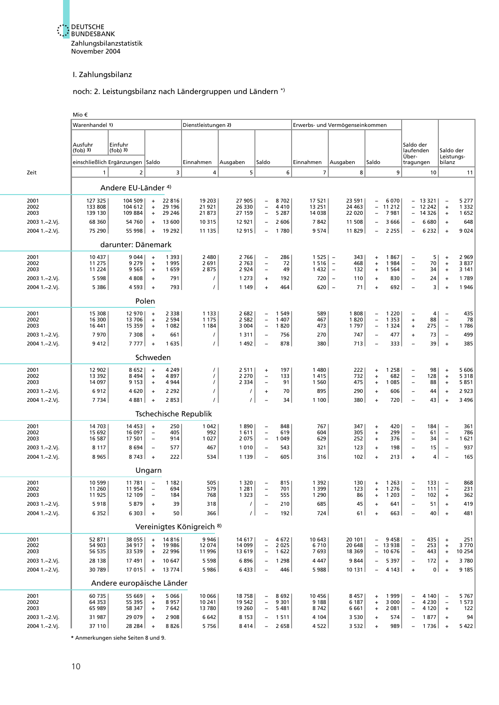

### I. Zahlungsbilanz

# noch: 2. Leistungsbilanz nach Ländergruppen und Ländern \*)

|                       | Mio €                                 |                                                           |                                                      |                       |                                             |                     |                                                       |                    |                   |                                        |                                                      |                    |                                                      |                                 |                                                      |                    |
|-----------------------|---------------------------------------|-----------------------------------------------------------|------------------------------------------------------|-----------------------|---------------------------------------------|---------------------|-------------------------------------------------------|--------------------|-------------------|----------------------------------------|------------------------------------------------------|--------------------|------------------------------------------------------|---------------------------------|------------------------------------------------------|--------------------|
|                       | Warenhandel 1)                        |                                                           |                                                      | Dienstleistungen 2)   |                                             |                     | Erwerbs- und Vermögenseinkommen                       |                    |                   |                                        |                                                      |                    |                                                      |                                 |                                                      |                    |
|                       | Ausfuhr<br>$(fob)$ 3)                 | Einfuhr<br>$(fob)$ 3)<br>einschließlich Ergänzungen Saldo |                                                      |                       | Einnahmen                                   | Ausgaben            | Saldo                                                 |                    | Einnahmen         | Ausgaben                               | Saldo                                                |                    | Saldo der<br>laufenden<br>Über-<br>tragungen         |                                 | Saldo der<br>Leistungs-<br>bilanz                    |                    |
| Zeit                  | $\mathbf{1}$                          | $\overline{2}$                                            |                                                      | 3                     | 4                                           | 5                   |                                                       | 6                  | $\overline{7}$    | 8                                      |                                                      | 9                  |                                                      | 10                              |                                                      | 11                 |
|                       |                                       | Andere EU-Länder <sup>4)</sup>                            |                                                      |                       |                                             |                     |                                                       |                    |                   |                                        |                                                      |                    |                                                      |                                 |                                                      |                    |
| 2001                  | 127 325                               | 104 509                                                   | $\ddot{}$                                            | 22 816                | 19 203                                      | 27 905              | $\qquad \qquad -$                                     | 8702               | 17 521            | 23 591                                 |                                                      | 6070               |                                                      | $-13321$                        | $\overline{\phantom{a}}$                             | 5 2 7 7            |
| 2002<br>2003          | 133 808<br>139 130                    | 104 612<br>109 884                                        | $+$                                                  | 29 196<br>29 24 6     | 21 9 21<br>21873                            | 26 330<br>27 159    | $\qquad \qquad -$<br>$\overline{\phantom{a}}$         | 4410<br>5 2 8 7    | 13 251<br>14 0 38 | 24 4 63<br>22 0 20                     | $\overline{\phantom{0}}$<br>$\overline{\phantom{a}}$ | 11 212<br>7981     | $\overline{\phantom{0}}$                             | $-12242$<br>14 3 26             | $\pm$                                                | 1 3 3 2<br>1652    |
| 2003 1.-2.Vj.         | 68 360                                | 54 760                                                    | $\ddot{}$<br>$+$                                     | 13 600                | 10 315                                      | 12 9 21             | $\qquad \qquad -$                                     | 2 6 0 6            | 7842              | 11 508                                 | $\overline{\phantom{a}}$                             | 3 6 6 6            | $\overline{\phantom{a}}$                             | 6680                            | $+$<br>$\overline{+}$                                | 648                |
| 2004 1.-2.Vj.         | 75 290                                | 55 998                                                    | $\ddot{}$                                            | 19 29 2               | 11 135                                      | 12 915              | $\overline{\phantom{0}}$                              | 1780               | 9 5 7 4           | 11829                                  |                                                      | 2 2 5 5            |                                                      | 6232                            | $\overline{+}$                                       | 9 0 2 4            |
|                       |                                       | darunter: Dänemark                                        |                                                      |                       |                                             |                     |                                                       |                    |                   |                                        |                                                      |                    |                                                      |                                 |                                                      |                    |
| 2001                  | 10 437                                | 9044                                                      | $\ddot{}$                                            | 1 3 9 3               | 2 4 8 0                                     | 2766                | $\overline{\phantom{a}}$                              | 286                | $1525$ –          | 343                                    | $\ddot{}$                                            | 1867               |                                                      | 5                               | $\ddot{}$                                            | 2 9 6 9            |
| 2002<br>2003          | 11 275<br>11 2 2 4                    | 9 2 7 9<br>9 5 6 5                                        | $\ddot{}$<br>$+$                                     | 1995<br>1659          | 2 6 9 1<br>2875                             | 2 7 6 3<br>2 9 2 4  | $\qquad \qquad -$<br>$\overline{\phantom{a}}$         | 72<br>49           | 1516<br>$1432$ –  | 468<br>$\overline{\phantom{a}}$<br>132 | $\ddot{}$<br>$\ddot{}$                               | 1984<br>1 5 6 4    | $\overline{\phantom{0}}$<br>$\overline{\phantom{a}}$ | 70<br>34                        | $\ddot{}$<br>$\ddot{}$                               | 3837<br>3 14 1     |
| 2003 1 .- 2 . Vj.     | 5 5 9 8                               | 4808                                                      | $\ddot{}$                                            | 791                   | $\prime$                                    | 1 2 7 3             | $\begin{array}{c} + \end{array}$                      | 192                | 720               | 110<br>$\overline{ }$ $\overline{ }$   | $\ddot{}$                                            | 830                | $\overline{\phantom{a}}$                             | 24                              | $\ddot{}$                                            | 1789               |
| 2004 1.-2.Vj.         | 5 3 8 6                               | 4 5 9 3                                                   | $+$                                                  | 793                   | $\prime$                                    | 1149                | $\ddot{}$                                             | 464                | $620$ -           | 71                                     | $\ddot{}$                                            | 692                | $\overline{\phantom{0}}$                             | 3                               | $\overline{+}$                                       | 1946               |
|                       |                                       |                                                           | Polen                                                |                       |                                             |                     |                                                       |                    |                   |                                        |                                                      |                    |                                                      |                                 |                                                      |                    |
| 2001<br>2002          | 15 308<br>16 300                      | 12 970<br>13 706                                          | $\ddot{}$<br>$\ddot{}$                               | 2 3 3 8<br>2 5 9 4    | 1 1 3 3<br>1 1 7 5                          | 2 6 8 2<br>2 5 8 2  | $\overline{\phantom{a}}$<br>$\overline{\phantom{a}}$  | 1 5 4 9<br>1 4 0 7 | 589<br>467        | 1808<br>1820                           | $\overline{\phantom{a}}$<br>$\overline{\phantom{a}}$ | 1 2 2 0<br>1 3 5 3 | $\ddot{}$                                            | 4 <br>88                        | $\overline{\phantom{a}}$                             | 435<br>78          |
| 2003                  | 16 441                                | 15 3 5 9                                                  | $\ddot{}$                                            | 1 0 8 2               | 1 1 8 4                                     | 3 0 0 4             | $\overline{\phantom{a}}$                              | 1820               | 473               | 1797                                   | $\overline{\phantom{a}}$                             | 1 3 2 4            | $\ddot{}$                                            | 275                             | $\overline{\phantom{a}}$                             | 1786               |
| 2003 1 .- 2. Vj.      | 7970                                  | 7 3 0 8<br>7777                                           | $+$                                                  | 661                   | $\prime$<br>$\prime$                        | 1 3 1 1             | $\overline{\phantom{a}}$                              | 756<br>878         | 270               | 747                                    | $\overline{\phantom{0}}$                             | 477                | $\ddot{}$                                            | 73<br>39                        | $\overline{\phantom{a}}$                             | 499                |
| 2004 1 - 2 Vi.        | 9412                                  |                                                           | $+$                                                  | 1635                  |                                             | 1492                | $\overline{\phantom{0}}$                              |                    | 380               | 713                                    | $\overline{\phantom{0}}$                             | 333                | $\overline{\phantom{0}}$                             |                                 | $+$                                                  | 385                |
|                       | Schweden<br>2001<br>12 902<br>8 6 5 2 |                                                           |                                                      |                       |                                             |                     |                                                       |                    |                   |                                        |                                                      |                    |                                                      |                                 |                                                      |                    |
| 2002                  | 13 3 9 2                              | 8 4 9 4                                                   | $\ddot{}$<br>$\ddot{}$                               | 4 2 4 9<br>4897       |                                             | 2511<br>2 2 7 0     | $\begin{array}{c} + \end{array}$<br>$\qquad \qquad -$ | 197<br>133         | 1480<br>1415      | 222<br>732                             | $\ddot{}$<br>$\begin{array}{c} + \end{array}$        | 1 2 5 8<br>682     | $\overline{\phantom{0}}$<br>$\overline{\phantom{a}}$ | 98<br>128                       | $\ddot{}$<br>$\ddot{}$                               | 5 6 0 6<br>5 3 1 8 |
| 2003<br>2003 1.-2.Vj. | 14 097<br>6912                        | 9 1 5 3<br>4 6 20                                         | $\ddot{}$                                            | 4944<br>2 2 9 2       | $\prime$<br>$\prime$                        | 2 3 3 4<br>$\prime$ | $\overline{\phantom{a}}$                              | 91<br>70           | 1 5 6 0<br>895    | 475<br>290                             | $\ddot{}$                                            | 1 0 8 5<br>606     | $\overline{\phantom{a}}$<br>$\overline{\phantom{0}}$ | 88<br>44                        | $\ddot{}$<br>$\ddot{}$                               | 5851<br>2923       |
| 2004 1.-2.Vj.         | 7 7 3 4                               | 4881                                                      | $\ddot{}$<br>$\ddot{}$                               | 2853                  | $\prime$                                    | $\prime$            | $\begin{array}{c} + \end{array}$                      | 34                 | 1 100             | 380                                    | $\ddot{}$<br>$\ddot{}$                               | 720                |                                                      | 43                              | $\ddot{}$                                            | 3 4 9 6            |
|                       | Tschechische Republik                 |                                                           |                                                      |                       |                                             |                     |                                                       |                    |                   |                                        |                                                      |                    |                                                      |                                 |                                                      |                    |
| 2001                  | 14 703                                | 14 453                                                    | $\ddot{}$                                            | 250                   | 1 0 4 2                                     | 1890                | -                                                     | 848                | 767               | 347                                    | $\ddot{}$                                            | 420                |                                                      | 184                             | $\overline{\phantom{a}}$                             | 361                |
| 2002<br>2003          | 15 692<br>16 587                      | 16 097<br>17 501                                          | $\overline{\phantom{a}}$<br>$\overline{\phantom{a}}$ | 405<br>914            | 992<br>1 0 2 7                              | 1611<br>2 0 7 5     | $\overline{\phantom{a}}$<br>$\overline{\phantom{a}}$  | 619<br>1 0 4 9     | 604<br>629        | 305<br>252                             | $\ddot{}$<br>$\ddot{}$                               | 299<br>376         | $\overline{\phantom{a}}$<br>$\overline{\phantom{a}}$ | 61<br>34                        | $\overline{\phantom{a}}$<br>$\overline{\phantom{a}}$ | 786<br>1621        |
| 2003 1 .- 2 Vi.       | 8 1 1 7                               | 8694                                                      | $\overline{\phantom{a}}$                             | 577                   | 467                                         | 1 0 1 0             | $\overline{\phantom{a}}$                              | 543                | 321               | 123                                    | $\ddot{}$                                            | 198                | $\overline{\phantom{a}}$                             | 15                              | $\overline{\phantom{a}}$                             | 937                |
| 2004 1 - 2 Vi.        | 8 9 6 5                               | $8743$ +                                                  |                                                      | 222                   | 534                                         | 1139                | $\overline{\phantom{a}}$                              | 605                | 316               | 102                                    | $\ddot{}$                                            | 213                | $\ddot{}$                                            | 4                               | $\overline{\phantom{a}}$                             | 165                |
|                       |                                       |                                                           | Ungarn                                               |                       |                                             |                     |                                                       |                    |                   |                                        |                                                      |                    |                                                      |                                 |                                                      |                    |
| 2001<br>2002          | 10 599<br>11 260                      | 11 954                                                    | $\qquad \qquad -$                                    | $11781$ – 1182<br>694 | 505<br>579                                  | 1 2 8 1             | $1320$ $-$<br><sup>-</sup>                            | 815<br>701         | 1392<br>1 3 9 9   | 123                                    | $\ddot{}$                                            | 1 2 7 6            |                                                      | $130$ + $1263$ - $133$ -<br>111 | $\qquad \qquad -$                                    | 868<br>231         |
| 2003                  | 11 925                                | 12 109                                                    | $\overline{\phantom{a}}$                             | 184                   | 768                                         | 1 3 2 3             | $\overline{a}$                                        | 555                | 1 2 9 0           | 86                                     | $\ddot{}$                                            | 1 2 0 3            | $\overline{\phantom{0}}$                             | 102                             | $\bf{+}$                                             | 362                |
| 2003 1.-2.Vj.         | 5918                                  | 5 8 7 9                                                   | $\ddot{}$                                            | 39                    | 318                                         | $\prime$            | $\overline{\phantom{0}}$                              | 210                | 685               | 45                                     | $\ddot{}$                                            | 641                |                                                      | 51                              | $\ddot{}$                                            | 419                |
| 2004 1 - 2 Vi.        | 6 3 5 2                               | $6303$ +                                                  |                                                      | 50                    | 366<br>Vereinigtes Königreich <sup>8)</sup> | $\left  \right $    | $\overline{\phantom{0}}$                              | 192                | 724               | 61                                     | $\ddot{}$                                            | 663                | $\overline{\phantom{0}}$                             | 40                              | $\ddot{}$                                            | 481                |
| 2001                  | 52 871                                | 38 055                                                    |                                                      | 14816                 | 9946                                        | 14 617              |                                                       | 4672               | 10 643            | 20 101                                 | $\overline{\phantom{a}}$                             | 9458               |                                                      | 435                             |                                                      | 251                |
| 2002                  | 54 903                                | 34 917                                                    | $\ddot{}$<br>$\ddot{}$                               | 19 986                | 12 074                                      | 14 099              | -<br>$\overline{\phantom{a}}$                         | 2 0 2 5            | 6710              | 20 648                                 | $\overline{\phantom{0}}$                             | 13 938             | $\overline{\phantom{0}}$<br>$\overline{\phantom{a}}$ | 253                             | $\ddot{}$<br>$\ddot{}$                               | 3770               |
| 2003<br>2003 1.-2.Vj. | 56 535<br>28 138                      | 33 539<br>17 491                                          | $\ddot{}$<br>$\ddot{}$                               | 22 996<br>10 647      | 11 996<br>5 5 9 8                           | 13 619<br>6896      | $\overline{\phantom{a}}$<br>$\qquad \qquad -$         | 1622<br>1 2 9 8    | 7693<br>4 4 4 7   | 18 3 69<br>9844                        | $\qquad \qquad -$<br>$\overline{\phantom{0}}$        | 10 676<br>5 3 9 7  | $\overline{\phantom{a}}$<br>$\overline{\phantom{0}}$ | 443<br>172                      | $\ddot{}$<br>$\ddot{}$                               | 10 254<br>3780     |
| 2004 1.-2.Vj.         | 30 789                                | 17015                                                     | $+$                                                  | 13 774                | 5986                                        | 6433                | $\overline{\phantom{0}}$                              | 446                | 5988              | 10 131                                 | $\overline{\phantom{a}}$                             | 4 1 4 3            | $\ddot{}$                                            | 0 <sup>1</sup>                  | $\ddot{}$                                            | 9 1 8 5            |
|                       |                                       | Andere europäische Länder                                 |                                                      |                       |                                             |                     |                                                       |                    |                   |                                        |                                                      |                    |                                                      |                                 |                                                      |                    |
| 2001                  | 60735                                 | 55 669                                                    | $\ddot{}$                                            | 5 0 6 6               | 10 066                                      | 18758               | $\overline{\phantom{a}}$                              | 8692               | 10 45 6           | 8457                                   | $\ddot{}$                                            | 1999               |                                                      | 4 1 4 0                         | $\overline{\phantom{a}}$                             | 5767               |
| 2002<br>2003          | 64 3 53<br>65 989                     | 55 395<br>58 347                                          | $\begin{array}{c} + \end{array}$<br>$\ddot{}$        | 8957<br>7642          | 10 241<br>13780                             | 19 542<br>19 260    | $\overline{\phantom{0}}$<br>$\overline{\phantom{0}}$  | 9 3 0 1<br>5 4 8 1 | 9 1 8 8<br>8742   | 6 187<br>6 6 6 1                       | $\ddot{}$<br>$\ddot{}$                               | 3 0 0 0<br>2 0 8 1 | $\overline{\phantom{0}}$<br>$\qquad \qquad -$        | 4 2 3 0<br>4 1 2 0              | $\overline{\phantom{a}}$<br>$\ddot{}$                | 1 5 7 3<br>122     |
| 2003 1.-2.Vj.         | 31 987                                | 29 079                                                    | $\ddot{}$                                            | 2 9 0 8               | 6 6 4 2                                     | 8 1 5 3             | $\overline{\phantom{0}}$                              | 1511               | 4 1 0 4           | 3 5 3 0                                | $\ddot{}$                                            | 574                |                                                      | 1877                            | $\ddot{}$                                            | 94                 |
| 2004 1.-2.Vj.         | 37 110                                | 28 284                                                    | $\overline{+}$                                       | 8826                  | 5756                                        | 8414                | $\qquad \qquad -$                                     | 2658               | 4 5 2 2           | 3 5 3 2                                | $+$                                                  | 989                |                                                      | 1736                            | $\ddot{}$                                            | 5422               |

**\*** Anmerkungen siehe Seiten 8 und 9.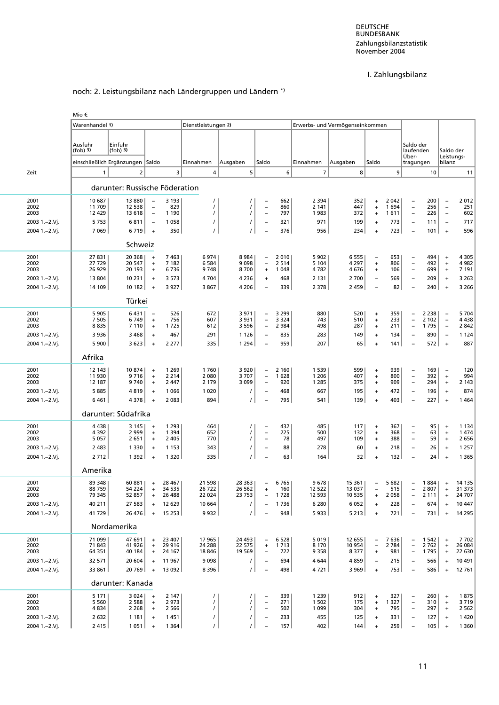# I. Zahlungsbilanz

# noch: 2. Leistungsbilanz nach Ländergruppen und Ländern \*)

|                       | Mio €                 |                                                           |                                                      |                    |                      |                      |                                               |                    |                    |                                 |                                               |                 |                                                      |                 |                                                      |                  |
|-----------------------|-----------------------|-----------------------------------------------------------|------------------------------------------------------|--------------------|----------------------|----------------------|-----------------------------------------------|--------------------|--------------------|---------------------------------|-----------------------------------------------|-----------------|------------------------------------------------------|-----------------|------------------------------------------------------|------------------|
|                       | Warenhandel 1)        |                                                           |                                                      |                    | Dienstleistungen 2)  |                      |                                               |                    |                    | Erwerbs- und Vermögenseinkommen |                                               |                 |                                                      |                 |                                                      |                  |
|                       | Ausfuhr<br>$(fob)$ 3) | Einfuhr<br>$(fob)$ 3)<br>einschließlich Ergänzungen Saldo |                                                      |                    | Einnahmen            | Ausgaben             | Saldo                                         |                    | Einnahmen          | Ausgaben                        | Saldo                                         |                 | Saldo der<br>laufenden<br>Über-<br>tragungen         |                 | Saldo der<br>Leistungs-<br>bilanz                    |                  |
| Zeit                  | $\mathbf{1}$          | $\overline{2}$                                            |                                                      | 3                  | 4 <sup>1</sup>       | 5                    |                                               | 6                  | $\overline{7}$     | 8                               |                                               | 9               |                                                      | 10              |                                                      | 11               |
|                       |                       | darunter: Russische Föderation                            |                                                      |                    |                      |                      |                                               |                    |                    |                                 |                                               |                 |                                                      |                 |                                                      |                  |
|                       |                       |                                                           |                                                      |                    |                      |                      |                                               |                    |                    |                                 |                                               |                 |                                                      |                 |                                                      |                  |
| 2001<br>2002          | 10 687<br>11 709      | 13 880<br>12 538                                          | $\overline{\phantom{a}}$<br>$\overline{\phantom{a}}$ | 3 1 9 3<br>829     | $\prime$             | $\prime$             | -<br>$\overline{a}$                           | 662<br>860         | 2 3 9 4<br>2 1 4 1 | 352<br>447                      | $\ddot{}$<br>$\begin{array}{c} + \end{array}$ | 2 0 4 2<br>1694 | $\overline{\phantom{0}}$<br>$\overline{\phantom{a}}$ | 200<br>256      | $\overline{\phantom{a}}$<br>$\overline{\phantom{a}}$ | 2012<br>251      |
| 2003                  | 12 4 29               | 13 618                                                    | $\equiv$                                             | 1 1 9 0            | $\prime$             | $\prime$             | $\overline{\phantom{0}}$                      | 797                | 1983               | 372                             | $\ddot{}$                                     | 1611            | $\overline{\phantom{a}}$                             | 226             | $\overline{\phantom{a}}$                             | 602              |
| 2003 1.-2.Vj.         | 5753                  | 6811                                                      | $\overline{\phantom{a}}$                             | 1058               | $\prime$             | $\prime$             | $\overline{\phantom{0}}$                      | 321                | 971                | 199                             | $\ddot{}$                                     | 773             | $\overline{\phantom{0}}$                             | 111             | $\overline{\phantom{a}}$                             | 717              |
| 2004 1.-2.Vj.         | 7 0 69                | $6719$ +                                                  |                                                      | 350                | $\prime$             |                      | $\overline{\phantom{0}}$                      | 376                | 956                | 234                             | $+$                                           | 723             | $\overline{\phantom{0}}$                             | 101             | $\ddot{}$                                            | 596              |
|                       |                       | Schweiz                                                   |                                                      |                    |                      |                      |                                               |                    |                    |                                 |                                               |                 |                                                      |                 |                                                      |                  |
| 2001                  | 27 831                | 20 368                                                    | $\ddot{}$                                            | 7463               | 6974                 | 8984                 | $\overline{\phantom{a}}$                      | 2010               | 5 9 0 2            | 6 5 5 5                         | $\overline{\phantom{a}}$                      | 653             | $\overline{\phantom{a}}$                             | 494             | $\pm$                                                | 4 3 0 5          |
| 2002<br>2003          | 27 729<br>26 929      | 20 547<br>20 193                                          | $+$<br>$\ddot{}$                                     | 7 1 8 2<br>6736    | 6 5 8 4<br>9748      | 9 0 9 8<br>8700      | $\overline{a}$<br>$\ddot{}$                   | 2 5 1 4<br>1 0 4 8 | 5 1 0 4<br>4782    | 4 2 9 7<br>4676                 | $\ddot{}$<br>$\ddot{}$                        | 806<br>106      | $\overline{\phantom{a}}$<br>$\overline{\phantom{a}}$ | 492<br>699      | $\bf{+}$<br>$\ddot{}$                                | 4982<br>7 1 9 1  |
| 2003 1.-2.Vj.         | 13 804                | 10 231                                                    | $+$                                                  | 3 5 7 3            | 4704                 | 4 2 3 6              | $\ddot{}$                                     | 468                | 2 1 3 1            | 2 700                           | $\overline{\phantom{0}}$                      | 569             | $\overline{\phantom{0}}$                             | 209             | $\pm$                                                | 3 2 6 3          |
| 2004 1 - 2 Vi.        | 14 109                | 10 182                                                    | $+$                                                  | 3 9 2 7            | 3867                 | 4 2 0 6              | $\overline{\phantom{a}}$                      | 339                | 2 3 7 8            | 2459                            | $\overline{\phantom{0}}$                      | 82              |                                                      | 240             | $\ddot{}$                                            | 3 2 6 6          |
|                       |                       | Türkei                                                    |                                                      |                    |                      |                      |                                               |                    |                    |                                 |                                               |                 |                                                      |                 |                                                      |                  |
| 2001                  | 5905                  | 6431                                                      | $\overline{\phantom{a}}$                             | 526                | 672                  | 3 9 7 1              |                                               | 3 2 9 9            | 880                | 520                             | $\begin{array}{c} + \end{array}$              | 359             | $\overline{\phantom{a}}$                             | 2 2 3 8         | $\qquad \qquad -$                                    | 5 7 0 4          |
| 2002<br>2003          | 7 5 0 5<br>8835       | 6749<br>7 1 1 0                                           | $\ddot{}$<br>$+$                                     | 756<br>1725        | 607<br>612           | 3 9 3 1<br>3 5 9 6   | $\frac{1}{1}$<br>$\overline{a}$               | 3 3 2 4<br>2 9 8 4 | 743<br>498         | 510<br>287                      | $\begin{array}{c} + \end{array}$<br>$\ddot{}$ | 233<br>211      | $\qquad \qquad -$<br>$\overline{\phantom{a}}$        | 2 1 0 2<br>1795 | $\overline{\phantom{a}}$<br>$\overline{\phantom{a}}$ | 4438<br>2842     |
| 2003 1 .- 2 Vi.       | 3 9 3 6               | 3 4 6 8                                                   | $+$                                                  | 467                | 291                  | 1 1 2 6              | $\overline{\phantom{0}}$                      | 835                | 283                | 149                             | $\ddot{}$                                     | 134             |                                                      | 890             | $\overline{\phantom{a}}$                             | 1 1 2 4          |
| 2004 1.-2.Vj.         | 5 9 0 0               | 3623                                                      | $+$                                                  | 2 2 7 7            | 335                  | 1 2 9 4              | $\overline{\phantom{0}}$                      | 959                | 207                | 65                              | $\ddot{}$                                     | 141             | $\overline{\phantom{0}}$                             | 572             | $\ddot{}$                                            | 887              |
|                       | Afrika                |                                                           |                                                      |                    |                      |                      |                                               |                    |                    |                                 |                                               |                 |                                                      |                 |                                                      |                  |
| 2001                  | 12 143                | 10 874                                                    | $\overline{+}$                                       | 1 2 6 9            | 1760                 | 3 9 2 0              | $\overline{\phantom{a}}$                      | 2 1 6 0            | 1 5 3 9            | 599                             | $\ddot{}$                                     | 939             | $\overline{\phantom{0}}$                             | 169             | $\overline{\phantom{a}}$                             | 120              |
| 2002                  | 11 930                | 9716                                                      | $\ddot{}$                                            | 2 2 1 4            | 2 0 8 0              | 3707                 | $\overline{a}$                                | 1628               | 1 2 0 6            | 407                             | $\begin{array}{c} + \end{array}$              | 800             | $\overline{\phantom{a}}$                             | 392             | $\pm$                                                | 994              |
| 2003                  | 12 187                | 9 740                                                     | $+$                                                  | 2 4 4 7            | 2 1 7 9              | 3 0 9 9              | $\overline{a}$                                | 920                | 1 2 8 5            | 375                             | $\ddot{}$                                     | 909             | $\overline{\phantom{a}}$                             | 294             | $\begin{array}{c} + \end{array}$                     | 2 1 4 3          |
| 2003 1.-2.Vj.         | 5885<br>6461          | 4819<br>4 3 7 8                                           | $+$                                                  | 1066<br>2 0 8 3    | 1 0 2 0<br>894       | $\prime$<br>$\prime$ | $\qquad \qquad -$<br>$\overline{a}$           | 468<br>795         | 667<br>541         | 195<br>139                      | $\ddot{}$                                     | 472<br>403      | $\overline{\phantom{0}}$<br>$\overline{\phantom{0}}$ | 196             | $\ddot{}$                                            | 874<br>1464      |
| 2004 1.-2.Vj.         |                       |                                                           | $+$                                                  |                    |                      |                      |                                               |                    |                    |                                 | $\ddot{}$                                     |                 |                                                      | 227             | $\ddot{}$                                            |                  |
|                       |                       | darunter: Südafrika                                       |                                                      |                    |                      |                      |                                               |                    |                    |                                 |                                               |                 |                                                      |                 |                                                      |                  |
| 2001<br>2002          | 4438<br>4 3 9 2       | 3145<br>2 9 9 9                                           | $\ddot{}$<br>$\ddot{}$                               | 1 2 9 3<br>1 3 9 4 | 464<br>652           | $\prime$             | $\qquad \qquad -$<br>$\overline{\phantom{0}}$ | 432<br>225         | 485<br>500         | 117<br>132                      | $\ddot{}$<br>$\ddot{}$                        | 367<br>368      | $\overline{\phantom{0}}$<br>$\overline{\phantom{a}}$ | 95<br>63        | $\ddot{}$<br>$\ddot{}$                               | 1 1 3 4<br>1474  |
| 2003                  | 5 0 5 7               | 2651                                                      | $+$                                                  | 2 4 0 5            | 770                  | $\prime$             | $\overline{a}$                                | 78                 | 497                | 109                             | $\ddot{}$                                     | 388             | $\overline{\phantom{a}}$                             | 59              | $\ddot{}$                                            | 2656             |
| 2003 1.-2.Vj.         | 2 4 8 3               | 1 3 3 0                                                   | $+$                                                  | 1 1 5 3            | 343                  | $\prime$             | $\overline{\phantom{0}}$                      | 88                 | 278                | 60                              | $\ddot{}$                                     | 218             | $\overline{\phantom{0}}$                             | 26              | $\ddot{}$                                            | 1 2 5 7          |
| 2004 1.-2.Vj.         | 2712                  | 1392                                                      | $+$                                                  | 1 3 2 0            | 335                  | $\prime$             |                                               | 63                 | 164                | 32                              | $\ddot{}$                                     | 132             | $\overline{\phantom{0}}$                             | 24              | $\ddot{}$                                            | 1 3 6 5          |
|                       | Amerika               |                                                           |                                                      |                    |                      |                      |                                               |                    |                    |                                 |                                               |                 |                                                      |                 |                                                      |                  |
| 2001                  | 89 348                | 60881<br>54 224                                           | $+$                                                  | 28 4 67            | 21 598               | 28 363               | $\overline{\phantom{0}}$                      | 6765               | 9678               | 15 361                          |                                               | 5682            |                                                      | 1884            | $\ddot{}$                                            | 14 135<br>31 373 |
| 2002<br>2003          | 88759<br>79 345       | 52 857                                                    | $\ddot{}$<br>$\ddot{}$                               | 34 535<br>26 488   | 26722<br>22 0 24     | 26 562<br>23 753     | $\ddot{}$<br>$\qquad \qquad -$                | 160<br>1728        | 12 522<br>12 593   | 13 037<br>10 535                | $\qquad \qquad -$<br>$\ddot{}$                | 515<br>2058     | $\qquad \qquad -$<br>$\qquad \qquad -$               | 2807<br>2 1 1 1 | $\ddot{}$<br>$\ddot{}$                               | 24 707           |
| 2003 1.-2.Vj.         | 40 211                | 27 583                                                    | $\ddot{}$                                            | 12 629             | 10 664               |                      | $\qquad \qquad -$                             | 1736               | 6 2 8 0            | 6 0 5 2                         | $\ddot{}$                                     | 228             |                                                      | 674             | $\ddot{}$                                            | 10 447           |
| 2004 1.-2.Vj.         | 41729                 | 26 476                                                    | $+$                                                  | 15 253             | 9932                 | $\prime$             |                                               | 948                | 5933               | 5213                            | $+$                                           | 721             |                                                      | 731             | $+$                                                  | 14 2 95          |
|                       |                       | Nordamerika                                               |                                                      |                    |                      |                      |                                               |                    |                    |                                 |                                               |                 |                                                      |                 |                                                      |                  |
| 2001                  | 71 099                | 47 691                                                    | $+$                                                  | 23 407             | 17965                | 24 4 93              | $\qquad \qquad -$                             | 6 5 2 8            | 5 0 1 9            | 12 655                          | $\overline{\phantom{a}}$                      | 7636            | $\overline{\phantom{a}}$                             | 1 5 4 2         | $\ddot{}$                                            | 7702             |
| 2002<br>2003          | 71843<br>64 351       | 41 926<br>40 184                                          | $+$<br>$+$                                           | 29 9 16<br>24 167  | 24 288<br>18 8 46    | 22 575<br>19 5 69    | $\ddot{}$<br>$\qquad \qquad -$                | 1713<br>722        | 8 1 7 0<br>9 3 5 8 | 10 954<br>8 3 7 7               | $\overline{\phantom{a}}$<br>$\ddot{}$         | 2 7 8 4<br>981  | $\overline{\phantom{a}}$<br>$\overline{\phantom{a}}$ | 2762<br>1795    | $\ddot{}$<br>$+$                                     | 26 084<br>22 630 |
| 2003 1.-2.Vj.         | 32 571                | 20 604                                                    | $\overline{+}$                                       | 11 967             | 9098                 |                      | $\qquad \qquad -$                             | 694                | 4 6 4 4            | 4859                            | $\overline{\phantom{0}}$                      | 215             | $\overline{\phantom{0}}$                             | 566             | $\ddot{}$                                            | 10 491           |
| 2004 1 .- 2. Vj.      | 33 861                | 20 769                                                    | $+$                                                  | 13 092             | 8 3 9 6              | $\prime$             | $\qquad \qquad -$                             | 498                | 4721               | 3 9 6 9                         | $\ddot{}$                                     | 753             |                                                      | 586             | $+$                                                  | 12761            |
|                       |                       | darunter: Kanada                                          |                                                      |                    |                      |                      |                                               |                    |                    |                                 |                                               |                 |                                                      |                 |                                                      |                  |
| 2001                  | 5 1 7 1               | 3024                                                      | $\ddot{}$                                            | 2 1 4 7            | $\prime$             | $\prime$             | $\overline{a}$                                | 339                | 1 2 3 9            | 912                             | $\ddot{}$                                     | 327             |                                                      | 260             | $\begin{array}{c} + \end{array}$                     | 1875             |
| 2002                  | 5 5 6 0               | 2 5 8 8                                                   | $+$                                                  | 2973               | $\prime$             | $\prime$             | $\overline{a}$                                | 271                | 1 5 0 2            | 175                             | $\ddot{}$                                     | 1 3 2 7         | $\qquad \qquad -$                                    | 310             | $\ddot{}$                                            | 3719             |
| 2003<br>2003 1.-2.Vj. | 4834<br>2632          | 2268<br>1181                                              | $+$<br>$\overline{+}$                                | 2 5 6 6<br>1451    | $\prime$<br>$\prime$ | $\prime$<br>$\prime$ | $\overline{a}$<br>$\qquad \qquad -$           | 502<br>233         | 1 0 9 9<br>455     | 304<br>125                      | $\ddot{}$<br>$\ddot{}$                        | 795<br>331      | $\overline{\phantom{a}}$                             | 297<br>127      | $\ddot{}$<br>$\begin{array}{c} + \end{array}$        | 2 5 6 2<br>1420  |
| 2004 1.-2.Vj.         | 2 4 1 5               | 1051                                                      | $+$                                                  | 1 3 6 4            | $\prime$             | $\prime$             |                                               | 157                | 402                | 144                             | $\ddot{}$                                     | 259             | $\overline{\phantom{a}}$                             | 105             | $\ddot{}$                                            | 1 3 6 0          |
|                       |                       |                                                           |                                                      |                    |                      |                      |                                               |                    |                    |                                 |                                               |                 |                                                      |                 |                                                      |                  |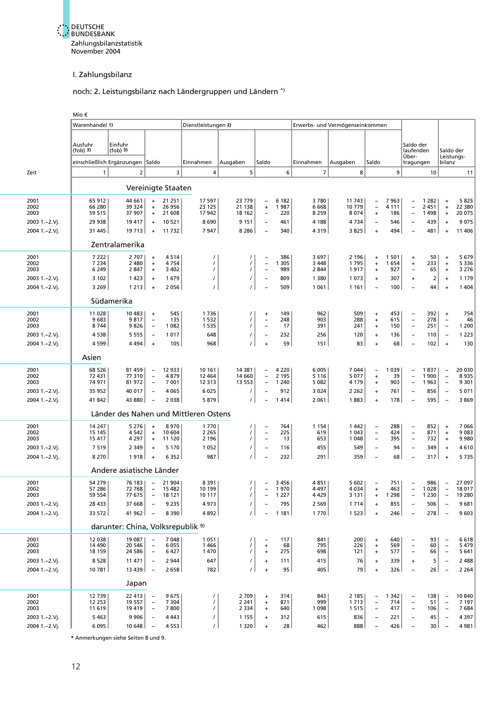

# noch: 2. Leistungsbilanz nach Ländergruppen und Ländern \*)

|                                   | Mio €                 |                                                             |                                                      |                    |                      |                      |                                                      |                    |                    |                                 |                                                      |                |                                                      |                 |                                               |                    |
|-----------------------------------|-----------------------|-------------------------------------------------------------|------------------------------------------------------|--------------------|----------------------|----------------------|------------------------------------------------------|--------------------|--------------------|---------------------------------|------------------------------------------------------|----------------|------------------------------------------------------|-----------------|-----------------------------------------------|--------------------|
|                                   | Warenhandel 1)        |                                                             |                                                      |                    | Dienstleistungen 2)  |                      |                                                      |                    |                    | Erwerbs- und Vermögenseinkommen |                                                      |                |                                                      |                 |                                               |                    |
|                                   | Ausfuhr<br>$(fob)$ 3) | Einfuhr<br>$(fob)$ 3)<br>einschließlich Ergänzungen   Saldo |                                                      |                    | Einnahmen            | Ausgaben             | Saldo                                                |                    | Einnahmen          | Ausgaben                        | Saldo                                                |                | Saldo der<br>laufenden<br>Über-<br>tragungen         |                 | Saldo der<br>Leistunas-<br>bilanz             |                    |
| Zeit                              | $\mathbf{1}$          | $\overline{2}$                                              |                                                      | 3                  | 4                    | 5                    |                                                      | 6                  | $\overline{7}$     | 8 <sup>1</sup>                  |                                                      | 9              |                                                      | 10              |                                               | 11                 |
|                                   |                       |                                                             |                                                      | Vereinigte Staaten |                      |                      |                                                      |                    |                    |                                 |                                                      |                |                                                      |                 |                                               |                    |
| 2001                              | 65 912                | 44 661                                                      | $\ddot{}$                                            | 21 251             | 17 597               | 23 779               | $\overline{\phantom{a}}$                             | 6 182              | 3780               | 11 743                          | $\overline{\phantom{a}}$                             | 7963           | $\overline{\phantom{a}}$                             | 1 2 8 2         | $\begin{array}{c} + \end{array}$              | 5825               |
| 2002<br>2003                      | 66 280<br>59 515      | 39 324<br>37 907                                            | $+$<br>$+$                                           | 26 956<br>21 608   | 23 125<br>17942      | 21 138<br>18 162     | $\ddot{}$<br>$\overline{\phantom{a}}$                | 1987<br>220        | 6668<br>8 2 5 9    | 10779<br>8 0 7 4                | $\overline{\phantom{a}}$<br>$\ddot{}$                | 4 1 1 1<br>186 | $\overline{\phantom{m}}$<br>$\overline{\phantom{a}}$ | 2 4 5 1<br>1498 | $\pmb{+}$<br>$\ddot{}$                        | 22 380<br>20 075   |
| 2003 1.-2.Vj.                     | 29 938                | 19 417                                                      | $\begin{array}{c} + \end{array}$                     | 10 5 21            | 8690                 | 9 1 5 1              | $\overline{\phantom{a}}$                             | 461                | 4 1 8 8            | 4734                            | $\overline{\phantom{a}}$                             | 546            | $\overline{\phantom{a}}$                             | 439             | $\ddot{}$                                     | 9 0 7 5            |
| 2004 1.-2.Vj.                     | 31 445                | 19 713                                                      | $\overline{+}$                                       | 11 7 32            | 7947                 | 8 2 8 6              | $\overline{\phantom{a}}$                             | 340                | 4 3 1 9            | 3825                            | $\ddot{}$                                            | 494            |                                                      | 481             | $\begin{array}{c} + \end{array}$              | 11 40 6            |
|                                   |                       | Zentralamerika                                              |                                                      |                    |                      |                      |                                                      |                    |                    |                                 |                                                      |                |                                                      |                 |                                               |                    |
| 2001                              | 7 2 2 2               | 2 7 0 7                                                     | $\bf{+}$                                             | 4514               | $\prime$             | $\prime$             |                                                      | 386                | 3 6 9 7            | 2 1 9 6                         | $\ddot{}$                                            | 1 501          | $\ddot{}$                                            | 50              | $\begin{array}{c} + \end{array}$              | 5679               |
| 2002<br>2003                      | 7 2 3 4<br>6 2 4 9    | 2 4 8 0<br>2 8 4 7                                          | $\pmb{+}$<br>$+$                                     | 4754<br>3 4 0 2    | $\prime$<br>$\prime$ | $\prime$<br>$\prime$ | $\overline{\phantom{a}}$<br>$\overline{\phantom{0}}$ | 1 3 0 5<br>989     | 3 4 4 8<br>2 8 4 4 | 1795<br>1917                    | $\begin{array}{c} + \end{array}$<br>$\ddot{}$        | 1654<br>927    | $\ddot{}$<br>$\overline{\phantom{a}}$                | 233<br>65       | $\begin{array}{c} + \end{array}$<br>$\ddot{}$ | 5 3 3 6<br>3 2 7 6 |
| 2003 1.-2.Vj.                     | 3 1 0 2               | 1 4 2 3                                                     | $\overline{+}$                                       | 1679               | $\prime$             | $\prime$             | $\overline{\phantom{0}}$                             | 809                | 1 3 8 0            | 1073                            | $\begin{array}{c} + \end{array}$                     | 307            | $\ddot{}$                                            | $\overline{2}$  | $\begin{array}{c} + \end{array}$              | 1 1 7 9            |
| 2004 1.-2.Vj.                     | 3 2 6 9               | 1213                                                        | $+$                                                  | 2 0 5 6            | $\prime$             | $\prime$             |                                                      | 509                | 1 0 6 1            | 1 1 6 1                         | $\overline{\phantom{0}}$                             | 100            | $\overline{\phantom{0}}$                             | 44              | $\overline{+}$                                | 1 4 0 4            |
|                                   |                       | Südamerika                                                  |                                                      |                    |                      |                      |                                                      |                    |                    |                                 |                                                      |                |                                                      |                 |                                               |                    |
| 2001<br>2002                      | 11 0 28<br>9683       | 10 483<br>9817                                              | $\pmb{+}$<br>$\overline{\phantom{a}}$                | 545<br>135         | 1736<br>1 5 3 2      | $\prime$<br>$\prime$ | $\ddot{}$<br>$\overline{\phantom{a}}$                | 149<br>248         | 962<br>903         | 509<br>288                      | $\bf{+}$<br>$\ddot{}$                                | 453<br>615     | $\overline{\phantom{a}}$<br>$\overline{\phantom{a}}$ | 392<br>278      | $\bf{+}$<br>$\overline{\phantom{a}}$          | 754<br>46          |
| 2003                              | 8744                  | 9826                                                        | $\overline{\phantom{a}}$                             | 1 0 8 2            | 1 5 3 5              | $\prime$             | $\overline{\phantom{a}}$                             | 17                 | 391                | 241                             | $\ddot{}$                                            | 150            | $\overline{\phantom{a}}$                             | 251             | $\overline{\phantom{a}}$                      | 1 200              |
| 2003 1 .- 2. Vj.                  | 4538                  | 5 5 5 5 5                                                   | $\overline{\phantom{a}}$                             | 1017               | 648                  | $\prime$             | $\overline{\phantom{0}}$                             | 232                | 256                | 120                             | $\begin{array}{c} + \end{array}$                     | 136            | $\overline{\phantom{a}}$                             | 110             | $\overline{\phantom{a}}$                      | 1 2 2 3            |
| 2004 1.-2.Vj.                     | 4 5 9 9               | $4494$ +                                                    |                                                      | 105                | 968                  | $\prime$             | $\ddot{}$                                            | 59                 | 151                | 83                              | $\ddot{}$                                            | 68             |                                                      | 102             | $\ddot{+}$                                    | 130                |
|                                   | Asien                 |                                                             |                                                      |                    |                      |                      |                                                      |                    |                    |                                 |                                                      |                |                                                      |                 |                                               |                    |
| 2001<br>2002                      | 68 526<br>72 431      | 81 459<br>77 310                                            | $\overline{\phantom{a}}$<br>$\overline{\phantom{a}}$ | 12 933<br>4879     | 10 161<br>12 4 64    | 14 381<br>14 660     | $\overline{\phantom{a}}$<br>$\overline{\phantom{a}}$ | 4 2 2 0<br>2 1 9 5 | 6 0 0 5<br>5 1 1 6 | 7044<br>5 0 7 7                 | $\qquad \qquad -$<br>$\pmb{+}$                       | 1 0 3 9<br>39  | $\overline{\phantom{a}}$<br>$\overline{\phantom{a}}$ | 1837<br>1 900   | $\overline{\phantom{a}}$<br>$\qquad \qquad -$ | 20 030<br>8935     |
| 2003                              | 74 971                | 81 972                                                      | $\overline{\phantom{a}}$                             | 7 0 0 1            | 12 3 13              | 13 5 53              | $\overline{\phantom{a}}$                             | 1 2 4 0            | 5 0 8 2            | 4 1 7 9                         | $\pm$                                                | 903            | $\overline{\phantom{a}}$                             | 1963            | $\overline{\phantom{a}}$                      | 9 3 0 1            |
| 2003 1.-2.Vj.                     | 35 952                | 40 017                                                      | $\overline{\phantom{0}}$                             | 4 0 6 5            | 6 0 2 5              | $\prime$             |                                                      | 912                | 3 0 2 4            | 2 2 6 2                         | $\begin{array}{c} + \end{array}$                     | 761            | $\overline{\phantom{a}}$                             | 856             | $\overline{\phantom{a}}$                      | 5071               |
| 2004 1.-2.Vj.                     | 41842                 | 43 880                                                      |                                                      | 2 0 3 8            | 5879                 | $\prime$             |                                                      | 1414               | 2 0 6 1            | 1883                            | $\ddot{}$                                            | 178            |                                                      | 595             |                                               | 3869               |
|                                   |                       | Länder des Nahen und Mittleren Ostens                       |                                                      |                    |                      |                      |                                                      |                    |                    |                                 |                                                      |                |                                                      |                 |                                               |                    |
| 2001<br>2002                      | 14 247<br>15 145      | 5276<br>4 5 4 2                                             | $\ddot{}$<br>$\ddot{}$                               | 8970<br>10 604     | 1770<br>2 2 6 5      | $\prime$<br>$\prime$ | $\overline{\phantom{a}}$                             | 764<br>225         | 1 1 5 4<br>619     | 1442<br>1 0 4 3                 | $\qquad \qquad -$<br>$\overline{\phantom{a}}$        | 288<br>424     | $\overline{\phantom{a}}$<br>$\overline{\phantom{a}}$ | 852 <br>871     | $\ddot{}$<br>$\pmb{+}$                        | 7066<br>9083       |
| 2003                              | 15417                 | 4 2 9 7                                                     | $+$                                                  | 11 120             | 2 1 9 6              | $\prime$             | $\overline{\phantom{0}}$                             | 13                 | 653                | 1 0 4 8                         | $\overline{\phantom{a}}$                             | 395            | $\overline{\phantom{a}}$                             | 732             | $\ddot{}$                                     | 9980               |
| 2003 1.-2.Vj.                     | 7519                  | 2 3 4 9                                                     | $\begin{array}{c} + \end{array}$                     | 5 1 7 0            | 1 0 5 2              | $\prime$             | $\overline{\phantom{a}}$                             | 116                | 455                | 549                             | $\overline{\phantom{a}}$                             | 94             | $\overline{\phantom{a}}$                             | 349             | $\ddot{}$                                     | 4610               |
| 2004 1.-2.Vj.                     | 8 2 7 0               | 1918<br>Andere asiatische Länder                            | $+$                                                  | 6 3 5 2            | 987                  | $\prime$             |                                                      | 232                | 291                | 359                             | $\qquad \qquad -$                                    | 68             | $\overline{\phantom{a}}$                             | 317             | $\ddot{}$                                     | 5735               |
| 2001                              | 54 279                |                                                             |                                                      | $76183$ - 21904    | 8 3 9 1              |                      |                                                      | $1 = 3456$         | 4851               |                                 | $5602$ -                                             | 751            |                                                      |                 | $986$ $-$                                     | 27 097             |
| 2002                              | 57 286                | 72 768                                                      | $\qquad \qquad -$                                    | 15 4 82            | 10 199               | $\prime$             |                                                      | 1970               | 4 4 9 7            | 4 0 3 4                         | $\begin{array}{c} + \end{array}$                     | 463            | $\sim$ $-$<br>$\qquad \qquad -$                      | 1028            | $\overline{\phantom{a}}$                      | 18 017             |
| 2003                              | 59 554                | 77 675                                                      | $\overline{\phantom{a}}$                             | 18 121             | 10 117               | $\prime$             | $\overline{a}$                                       | 1 2 2 7            | 4 4 2 9            | 3 1 3 1                         | $\ddot{}$                                            | 1 2 9 8        | $\overline{\phantom{a}}$                             | 1 2 3 0         | $\overline{\phantom{a}}$                      | 19 280             |
| 2003 1 .- 2. Vj.<br>2004 1.-2.Vj. | 28 4 33<br>33 572     | 37 668<br>41 962                                            | $\overline{\phantom{a}}$<br>$\overline{\phantom{a}}$ | 9 2 3 5<br>8 3 9 0 | 4973<br>4892         | $\prime$<br>$\prime$ | $\overline{\phantom{0}}$                             | 795<br>1 1 8 1     | 2 5 6 9<br>1770    | 1714<br>1523                    | $\ddot{}$<br>$\ddot{}$                               | 855<br>246     | $\overline{\phantom{a}}$                             | 506<br>278      | $\qquad \qquad -$<br>$\overline{\phantom{a}}$ | 9681<br>9603       |
|                                   |                       | darunter: China, Volksrepublik <sup>9)</sup>                |                                                      |                    |                      |                      |                                                      |                    |                    |                                 |                                                      |                |                                                      |                 |                                               |                    |
| 2001                              | 12 038                | 19 087                                                      | $\qquad \qquad -$                                    | 7 0 48             | 1051                 | $\prime$             |                                                      | 117                | 841                | 200                             | $\begin{array}{c} + \end{array}$                     | 640            |                                                      | 93              |                                               | 6618               |
| 2002                              | 14 4 9 0              | 20 546                                                      | $\overline{\phantom{a}}$                             | 6 0 5 5            | 1466                 | $\prime$             | $\pmb{+}$                                            | 68                 | 795                | 226                             | $\begin{array}{c} + \end{array}$                     | 569            | $\overline{\phantom{a}}$                             | 60              | $\qquad \qquad -$                             | 5479               |
| 2003<br>2003 1 .- 2. Vj.          | 18 159<br>8528        | 24 586<br>11 471                                            | $\overline{\phantom{a}}$<br>$\overline{\phantom{a}}$ | 6427<br>2 9 4 4    | 1470<br>647          | $\prime$<br>$\prime$ | $\bf{+}$<br>$\begin{array}{c} + \end{array}$         | 275<br>111         | 698<br>415         | 121<br>76                       | $\ddot{}$<br>$\ddot{}$                               | 577<br>339     | $\overline{\phantom{a}}$<br>$\ddot{}$                | 66<br>5         | $\qquad \qquad -$<br>$\overline{\phantom{0}}$ | 5641<br>2 4 8 8    |
| 2004 1.-2.Vj.                     |                       |                                                             | $\overline{\phantom{a}}$                             | 2658               | 782                  | $\left  \right $     | $\begin{array}{c} + \end{array}$                     | 95                 | 405                | 79                              | $\ddot{}$                                            | 326            | $\overline{\phantom{a}}$                             | 26              | $\overline{\phantom{a}}$                      | 2264               |
|                                   |                       | 10 781<br>13 4 39<br>Japan                                  |                                                      |                    |                      |                      |                                                      |                    |                    |                                 |                                                      |                |                                                      |                 |                                               |                    |
| 2001                              | 12739                 | 22 413                                                      | $\overline{\phantom{a}}$                             | 9675               | $\prime$             | 2 7 0 9              | $\begin{array}{c} + \end{array}$                     | 314                | 843                | 2 1 8 5                         | $\overline{\phantom{a}}$                             | 1 3 4 2        |                                                      | 138             | $\overline{\phantom{a}}$                      | 10 840             |
| 2002<br>2003                      | 12 253<br>11 619      | 19 557<br>19 4 19                                           | $\overline{a}$<br>$\overline{\phantom{a}}$           | 7 3 0 4<br>7800    | $\prime$<br>$\prime$ | 2 2 4 1<br>2 3 3 4   | $\ddot{}$<br>$\ddot{}$                               | 871<br>640         | 999<br>1 0 9 8     | 1713<br>1515                    | $\overline{\phantom{a}}$<br>$\overline{\phantom{a}}$ | 714<br>417     | $\overline{\phantom{a}}$<br>$\overline{\phantom{a}}$ | 51<br>106       | $\qquad \qquad -$<br>$\overline{\phantom{a}}$ | 7 197<br>7684      |
| 2003 1.-2.Vj.                     | 5463                  | 9 9 0 6                                                     | $\overline{\phantom{0}}$                             | 4 4 4 3            | $\prime$             | 1 1 5 5              | $\ddot{}$                                            | 312                | 615                | 836                             | $\overline{\phantom{0}}$                             | 221            | $\overline{\phantom{0}}$                             | 45              |                                               | 4 3 9 7            |
| 2004 1.-2.Vj.                     | 6095                  | 10 648                                                      | $\overline{\phantom{a}}$                             | 4 5 5 3            | $\prime$             | 1320                 | $\ddot{}$                                            | 28                 | 462                | 888                             |                                                      | 426            |                                                      | 30 <sup>1</sup> |                                               | 4 981              |

**\*** Anmerkungen siehe Seiten 8 und 9.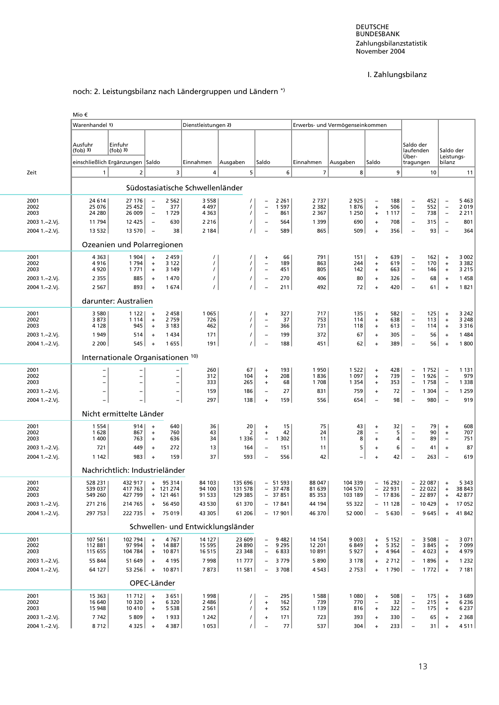# I. Zahlungsbilanz

# noch: 2. Leistungsbilanz nach Ländergruppen und Ländern \*)

|                                | Mio €                                         |                                                      |                                                      |                                                      |                                  |                                   |                                               |                      |                  |                                 |                                                                      |                      |                                                      |                      |                                                      |                    |
|--------------------------------|-----------------------------------------------|------------------------------------------------------|------------------------------------------------------|------------------------------------------------------|----------------------------------|-----------------------------------|-----------------------------------------------|----------------------|------------------|---------------------------------|----------------------------------------------------------------------|----------------------|------------------------------------------------------|----------------------|------------------------------------------------------|--------------------|
|                                | Warenhandel 1)                                |                                                      |                                                      |                                                      | Dienstleistungen 2)              |                                   |                                               |                      |                  | Erwerbs- und Vermögenseinkommen |                                                                      |                      |                                                      |                      |                                                      |                    |
|                                | Ausfuhr<br>$(fob)$ 3)                         | Einfuhr<br>$(fob)$ 3)                                |                                                      |                                                      |                                  |                                   |                                               |                      |                  |                                 |                                                                      |                      | Saldo der<br>laufenden<br>Über-                      |                      | Saldo der<br>Leistungs-                              |                    |
|                                |                                               | einschließlich Ergänzungen Saldo                     |                                                      |                                                      | Einnahmen                        | Ausgaben                          | Saldo                                         |                      | Einnahmen        | Ausgaben                        | Saldo                                                                |                      | tragungen                                            |                      | bilanz                                               |                    |
| Zeit                           | 1                                             | 2                                                    |                                                      | 3                                                    | $\overline{4}$                   | 5                                 |                                               | 6                    | $\overline{7}$   | 8                               |                                                                      | 9                    |                                                      | 10                   |                                                      | 11                 |
|                                |                                               |                                                      |                                                      |                                                      | Südostasiatische Schwellenländer |                                   |                                               |                      |                  |                                 |                                                                      |                      |                                                      |                      |                                                      |                    |
| 2001<br>2002                   | 24 6 14<br>25 0 76                            | 27 176<br>25 4 52                                    | $\overline{\phantom{a}}$<br>$\overline{\phantom{a}}$ | 2 5 6 2<br>377                                       | 3 5 5 8<br>4 4 9 7               | $\prime$<br>$\prime$              | $\overline{\phantom{0}}$                      | 2 2 6 1<br>1 5 9 7   | 2737<br>2 3 8 2  | 2925<br>1876                    | $\overline{\phantom{0}}$<br>$\ddot{}$                                | 188<br>506           | $\overline{\phantom{0}}$<br>$\overline{\phantom{a}}$ | 452<br>552           | $\overline{\phantom{a}}$<br>$\overline{\phantom{a}}$ | 5 4 6 3<br>2019    |
| 2003                           | 24 280                                        | 26 009                                               | $\overline{\phantom{a}}$                             | 1729                                                 | 4 3 6 3                          | $\prime$                          | $\qquad \qquad -$                             | 861                  | 2 3 6 7          | 1 2 5 0                         | $\overline{+}$                                                       | 1 1 1 7              | $\overline{\phantom{a}}$                             | 738                  | $\overline{\phantom{a}}$                             | 2 2 1 1            |
| 2003 1 .- 2 . Vj.              | 11 794                                        | 12 4 25                                              | $\overline{\phantom{a}}$                             | 630                                                  | 2 2 1 6                          | $\prime$                          | $\overline{\phantom{0}}$                      | 564                  | 1 3 9 9          | 690                             | $\ddot{}$                                                            | 708                  | $\overline{\phantom{0}}$                             | 315                  | $\overline{\phantom{a}}$                             | 801                |
| 2004 1.-2.Vj.                  | 13 5 32                                       | 13 570                                               | $\overline{\phantom{a}}$                             | 38                                                   | 2184                             | $\prime$                          |                                               | 589                  | 865              | 509                             | $\ddot{}$                                                            | 356                  | $\overline{\phantom{a}}$                             | 93                   | $\overline{\phantom{a}}$                             | 364                |
|                                |                                               | Ozeanien und Polarregionen                           |                                                      |                                                      |                                  |                                   |                                               |                      |                  |                                 |                                                                      |                      |                                                      |                      |                                                      |                    |
| 2001                           | 4 3 6 3                                       | 1904                                                 | $\ddot{}$                                            | 2459                                                 |                                  | $\prime$                          | ÷                                             | 66                   | 791              | 151                             | $\ddot{}$                                                            | 639                  | $\overline{\phantom{a}}$                             | 162                  | $\begin{array}{c} + \end{array}$                     | 3 0 0 2            |
| 2002<br>2003                   | 4916<br>4920                                  | 1794<br>1771                                         | $\ddot{}$<br>$\ddot{}$                               | 3 1 2 2<br>3 1 4 9                                   |                                  | $\prime$<br>$\prime$              | $\overline{\phantom{0}}$<br>$\equiv$          | 189<br>451           | 863<br>805       | 244<br>142                      | $\ddot{}$<br>$\ddot{}$                                               | 619<br>663           | $\overline{\phantom{a}}$<br>$\overline{\phantom{a}}$ | 170<br>146           | $\begin{array}{c} + \end{array}$<br>$\pmb{+}$        | 3 3 8 2<br>3 2 1 5 |
| 2003 1.-2.Vj.                  | 2 3 5 5                                       | 885                                                  | $\overline{+}$                                       | 1 4 7 0                                              | $\prime$                         | $\prime$                          | $\overline{\phantom{0}}$                      | 270                  | 406              | 80                              | $\ddot{}$                                                            | 326                  | $\overline{\phantom{a}}$                             | 68                   | $\ddot{}$                                            | 1458               |
| 2004 1.-2.Vj.                  | 2 5 6 7                                       | 893                                                  | $+$                                                  | 1674                                                 | $\prime$                         |                                   |                                               | 211                  | 492              | 72                              | $\ddot{}$                                                            | 420                  | L.                                                   | 61                   | $\ddot{}$                                            | 1821               |
|                                |                                               | darunter: Australien                                 |                                                      |                                                      |                                  |                                   |                                               |                      |                  |                                 |                                                                      |                      |                                                      |                      |                                                      |                    |
| 2001                           | 3 5 8 0                                       | 1122                                                 | $+$                                                  | 2 4 5 8                                              | 1 0 6 5                          | $\prime$                          | $\ddot{}$                                     | 327                  | 717              | 135                             | $\ddot{}$                                                            | 582                  | $\qquad \qquad -$                                    | 125                  | $\ddot{}$                                            | 3 2 4 2            |
| 2002<br>2003                   | 3873<br>4 1 2 8                               | 1 1 1 4<br>945                                       | $\pm$<br>$\ddot{}$                                   | 2759<br>3 1 8 3                                      | 726<br>462                       | $\prime$<br>$\prime$              | $\overline{\phantom{0}}$<br>$\equiv$          | 37<br>366            | 753<br>731       | 114<br>118                      | $\begin{array}{c} + \end{array}$<br>$\begin{array}{c} + \end{array}$ | 638<br>613           | $\overline{\phantom{0}}$<br>$\overline{\phantom{a}}$ | 113<br>114           | $\bf{+}$<br>$\ddot{}$                                | 3 2 4 8<br>3 3 1 6 |
| 2003 1.-2.Vj.                  | 1949                                          | 514                                                  | $\overline{+}$                                       | 1434                                                 | 171                              | $\prime$                          | $\overline{\phantom{a}}$                      | 199                  | 372              | 67                              | $\ddot{}$                                                            | 305                  | $\overline{\phantom{0}}$                             | 56                   | $\begin{array}{c} + \end{array}$                     | 1484               |
| 2004 1 .- 2. Vj.               | 2 2 0 0                                       | 545                                                  | $+$                                                  | 1655                                                 | 191                              | $\prime$                          | $\overline{\phantom{0}}$                      | 188                  | 451              | 62                              | $\ddot{}$                                                            | 389                  | $\overline{\phantom{0}}$                             | 56                   | $\begin{array}{c} + \end{array}$                     | 1800               |
|                                |                                               | Internationale Organisationen 10)                    |                                                      |                                                      |                                  |                                   |                                               |                      |                  |                                 |                                                                      |                      |                                                      |                      |                                                      |                    |
| 2001                           |                                               |                                                      |                                                      | $\overline{\phantom{a}}$                             | 260                              | 67                                | +                                             | 193                  | 1950             | 1 5 2 2                         | $\ddot{}$                                                            | 428                  | $\qquad \qquad -$                                    | 1752                 | $\overline{\phantom{a}}$                             | 1 1 3 1            |
| 2002<br>2003                   | $\qquad \qquad -$<br>$\overline{\phantom{m}}$ | $\overline{\phantom{0}}$<br>$\overline{\phantom{0}}$ |                                                      | $\overline{\phantom{a}}$<br>$\overline{\phantom{a}}$ | 312<br>333                       | 104<br>265                        | $\ddot{}$<br>$\ddot{}$                        | 208<br>68            | 1836<br>1708     | 1 0 9 7<br>1 3 5 4              | $\ddot{}$<br>$\ddot{}$                                               | 739<br>353           | $\overline{\phantom{0}}$<br>$\overline{\phantom{a}}$ | 1926<br>1758         | $\overline{\phantom{a}}$<br>$\overline{\phantom{a}}$ | 979<br>1 3 3 8     |
| 2003 1.-2.Vj.                  |                                               | $\qquad \qquad -$                                    |                                                      | $\overline{\phantom{a}}$                             | 159                              | 186                               | $\overline{\phantom{0}}$                      | 27                   | 831              | 759                             | $\ddot{}$                                                            | 72                   | $\overline{\phantom{0}}$                             | 1 3 0 4              | $\overline{\phantom{a}}$                             | 1 2 5 9            |
| 2004 1 .- 2. Vj.               |                                               |                                                      |                                                      |                                                      | 297                              | 138                               | $+$                                           | 159                  | 556              | 654                             | $\overline{\phantom{0}}$                                             | 98                   |                                                      | 980                  | $\overline{\phantom{a}}$                             | 919                |
|                                |                                               | Nicht ermittelte Länder                              |                                                      |                                                      |                                  |                                   |                                               |                      |                  |                                 |                                                                      |                      |                                                      |                      |                                                      |                    |
| 2001                           | 1 5 5 4                                       | 914                                                  | $\ddot{}$                                            | 640                                                  | 36                               | 20                                | $\ddot{}$                                     | 15                   | 75               | 43                              |                                                                      | 32                   |                                                      | 79                   | $\ddot{}$                                            | 608                |
| 2002<br>2003                   | 1628<br>1 4 0 0                               | 867<br>763                                           | $\ddot{}$<br>$\ddot{}$                               | 760<br>636                                           | 43<br>34                         | $\overline{2}$<br>1 3 3 6         | $\ddot{}$<br>$\overline{a}$                   | 42<br>1 3 0 2        | 24<br>11         | 28<br>8                         | $\ddot{}$                                                            | 5<br>4               | $\overline{\phantom{a}}$                             | 90<br>89             | $\ddot{}$<br>$\overline{\phantom{a}}$                | 707<br>751         |
| 2003 1.-2.Vj.                  | 721                                           | 449                                                  | $\overline{+}$                                       | 272                                                  | 13                               | 164                               | $\overline{\phantom{0}}$                      | 151                  | 11               | 5                               | $\ddot{}$                                                            | 6                    | $\overline{\phantom{0}}$                             | 41                   | $\ddot{}$                                            | 87                 |
| 2004 1.-2.Vj.                  | 1 1 4 2                                       | 983                                                  | $+$                                                  | 159                                                  | 37                               | 593                               | $\overline{\phantom{0}}$                      | 556                  | 42               |                                 | ÷                                                                    | 42                   | $\overline{\phantom{0}}$                             | 263                  | $\overline{\phantom{a}}$                             | 619                |
|                                |                                               | Nachrichtlich: Industrieländer                       |                                                      |                                                      |                                  |                                   |                                               |                      |                  |                                 |                                                                      |                      |                                                      |                      |                                                      |                    |
| 2001                           | 528 231                                       | 432 917 +                                            |                                                      | 95314                                                | 84 103                           | 135 696                           |                                               | - 51 593             | 88 047           | 104 339                         |                                                                      | $-16292$             |                                                      | $-22087$             | $\overline{1}$                                       | 5 3 4 3            |
| 2002<br>2003                   | 539 037<br>549 260                            | 417 763<br>427 799                                   |                                                      | + 121 274<br>$+ 121461$                              | 94 100<br>91 533                 | 131 578<br>129 385                |                                               | $-37478$<br>$-37851$ | 81 639<br>85 353 | 104 570<br>103 189              |                                                                      | $-22931$<br>$-17836$ |                                                      | $-22022$<br>$-22897$ | $\ddot{}$<br>$\ddot{}$                               | 38 843<br>42 877   |
| 2003 1.-2.Vj.                  | 271 216                                       | 214 765                                              | $\begin{array}{c} + \end{array}$                     | 56 450                                               | 43 530                           | 61 370                            |                                               | $-17841$             | 44 194           | 55 322                          |                                                                      | $-11128$             |                                                      | $-10429$             | $\ddot{}$                                            | 17 052             |
| 2004 1.-2.Vj.                  | 297 753                                       | 222 735                                              | $\ddot{+}$                                           | 75 019                                               | 43 305                           | 61 206                            |                                               | $-17901$             | 46 370           | 52 000                          | $\overline{\phantom{0}}$                                             | 5 6 3 0              | $\overline{\phantom{0}}$                             | 9645                 | $+$                                                  | 41 842             |
|                                |                                               |                                                      |                                                      |                                                      |                                  | Schwellen- und Entwicklungsländer |                                               |                      |                  |                                 |                                                                      |                      |                                                      |                      |                                                      |                    |
| 2001                           | 107 561                                       | 102 794                                              | $\ddot{}$                                            | 4767                                                 | 14 127                           | 23 609                            | $\qquad \qquad -$                             | 9482                 | 14 154           | 9 0 0 3                         | $\ddot{}$                                                            | 5 1 5 2              | $\overline{\phantom{a}}$                             | 3 5 0 8              | $\overline{\phantom{a}}$                             | 3071               |
| 2002                           | 112 881                                       | 97 994                                               | $+$                                                  | 14 8 87                                              | 15 5 95                          | 24 890                            | $\overline{\phantom{0}}$                      | 9 2 9 5              | 12 201           | 6849                            | $+$                                                                  | 5 3 5 2              | $\overline{\phantom{a}}$                             | 3845                 | $\bf{+}$                                             | 7 0 9 9            |
| 2003<br>2003 1.-2.Vj.          | 115 655<br>55 844                             | 104 784<br>51 649                                    | $+$<br>$\ddot{}$                                     | 10871<br>4 1 9 5                                     | 16 5 15<br>7998                  | 23 348<br>11 777                  | $\qquad \qquad -$<br>$\overline{\phantom{a}}$ | 6833<br>3779         | 10891<br>5890    | 5927<br>3 1 7 8                 | $\ddot{}$<br>$\ddot{}$                                               | 4964<br>2712         | $\overline{\phantom{m}}$<br>$\overline{\phantom{0}}$ | 4 0 23<br>1896       | $\ddot{}$<br>$\ddot{}$                               | 4 9 7 9<br>1232    |
| 2004 1.-2.Vj.                  |                                               |                                                      |                                                      | 10 871                                               | 7873                             | 11 581                            | $\qquad \qquad -$                             | 3708                 | 4 5 4 3          | 2 7 5 3                         | $\ddot{}$                                                            | 1790                 |                                                      | 1772                 | $+$                                                  | 7181               |
|                                |                                               | 64 127<br>$53256$ +<br>OPEC-Länder                   |                                                      |                                                      |                                  |                                   |                                               |                      |                  |                                 |                                                                      |                      |                                                      |                      |                                                      |                    |
|                                |                                               |                                                      |                                                      |                                                      |                                  |                                   |                                               |                      |                  |                                 |                                                                      |                      |                                                      |                      |                                                      |                    |
| 2001<br>2002                   | 15 3 63<br>16 640                             | 11712<br>10320                                       | $\pm$<br>$\ddot{}$                                   | 3651<br>6 3 2 0                                      | 1998<br>2 4 8 6                  | $\prime$                          | $\qquad \qquad -$<br>$\ddot{}$                | 295<br>162           | 1588<br>739      | 1 0 8 0<br>770                  | $\ddot{}$<br>$\overline{\phantom{0}}$                                | 508<br>32            | $\overline{\phantom{a}}$<br>$\overline{\phantom{a}}$ | 175<br>215           | $\ddot{}$<br>$\ddot{}$                               | 3689<br>6236       |
| 2003                           | 15 948                                        | 10410                                                | $\,$ + $\,$                                          | 5 5 3 8                                              | 2 5 6 1                          | $\prime$                          | $\ddot{}$                                     | 552                  | 1 1 3 9          | 816                             | $\begin{array}{c} + \end{array}$                                     | 322                  | $\overline{\phantom{a}}$                             | 175                  | $\ddot{}$                                            | 6 2 3 7            |
| 2003 1.-2.Vj.<br>2004 1.-2.Vj. | 7742<br>8712                                  | 5809<br>4 3 2 5                                      | $\ddot{}$                                            | 1933<br>4 3 8 7                                      | 1 2 4 2<br>1 0 5 3               | $\prime$                          | $\ddot{}$<br>$\overline{\phantom{0}}$         | 171<br>77            | 723<br>537       | 393<br>304                      | $\ddot{}$                                                            | 330                  | $\overline{\phantom{0}}$<br>$\overline{\phantom{0}}$ | 65                   | $\ddot{}$                                            | 2368<br>4 5 1 1    |
|                                |                                               |                                                      | $\overline{+}$                                       |                                                      |                                  |                                   |                                               |                      |                  |                                 | ÷                                                                    | 233                  |                                                      | 31                   | $\ddot{}$                                            |                    |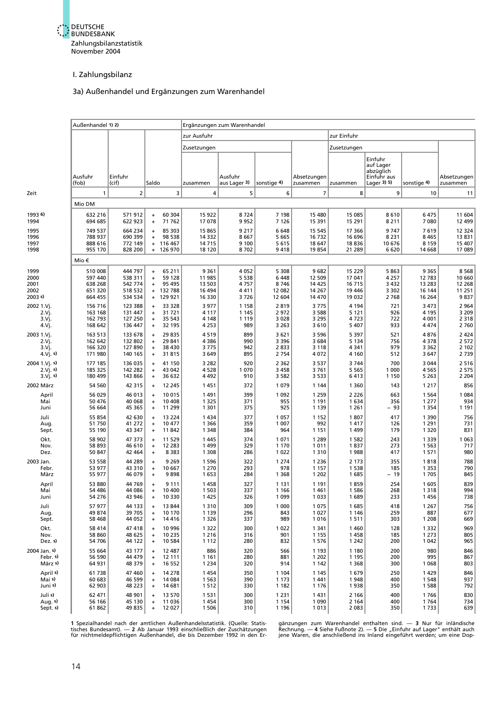

## 3a) Außenhandel und Ergänzungen zum Warenhandel

|                                                  | Außenhandel 1) 2)                                   |                                                     |                                                                                           |                                                  | Ergänzungen zum Warenhandel                   |                                             |                                               |                                                   |                                                                   |                                                 |                                                |
|--------------------------------------------------|-----------------------------------------------------|-----------------------------------------------------|-------------------------------------------------------------------------------------------|--------------------------------------------------|-----------------------------------------------|---------------------------------------------|-----------------------------------------------|---------------------------------------------------|-------------------------------------------------------------------|-------------------------------------------------|------------------------------------------------|
|                                                  |                                                     |                                                     |                                                                                           | zur Ausfuhr                                      |                                               |                                             |                                               | zur Einfuhr                                       |                                                                   |                                                 |                                                |
|                                                  |                                                     |                                                     |                                                                                           | Zusetzungen                                      |                                               |                                             |                                               | Zusetzungen                                       |                                                                   |                                                 |                                                |
|                                                  | Ausfuhr<br>(fob)                                    | Einfuhr<br>(cif)                                    | Saldo                                                                                     | zusammen                                         | Ausfuhr<br>aus Lager 3)                       | sonstige 4)                                 | Absetzungen<br>zusammen                       | zusammen                                          | Einfuhr<br>auf Lager<br>abzüglich<br>Einfuhr aus<br>Lager $3)$ 5) | sonstige 4)                                     | Absetzungen<br>zusammen                        |
| Zeit                                             | $\mathbf{1}$                                        | $\overline{2}$                                      | 3                                                                                         | 4                                                | 5                                             | 6                                           | $\overline{7}$                                | 8                                                 | 9                                                                 | 10                                              | 11                                             |
|                                                  | Mio DM                                              |                                                     |                                                                                           |                                                  |                                               |                                             |                                               |                                                   |                                                                   |                                                 |                                                |
| 1993 6)<br>1994                                  | 632 216<br>694 685                                  | 571912<br>622 923                                   | 60 304<br>$+$<br>71 762<br>$\begin{array}{c} + \end{array}$                               | 15 922<br>17 078                                 | 8724<br>9952                                  | 7 1 9 8<br>7 1 2 6                          | 15 480<br>15 391                              | 15 085<br>15 291                                  | 8610<br>8 2 1 1                                                   | 6 475<br>7 0 8 0                                | 11 604<br>12 499                               |
| 1995<br>1996<br>1997<br>1998                     | 749 537<br>788 937<br>888 616<br>955 170            | 664 234<br>690 399<br>772 149<br>828 200            | 85 303<br>$\ddot{}$<br>98 538<br>$+$<br>+ 116 467<br>126 970<br>$+$                       | 15 865<br>14 3 32<br>14715<br>18 120             | 9 2 1 7<br>8 6 6 7<br>9 100<br>8702           | 6 6 4 8<br>5 6 6 5<br>5615<br>9418          | 15 545<br>16 7 32<br>18 647<br>19854          | 17 366<br>16 696<br>18836<br>21 289               | 9747<br>8 2 3 1<br>10 676<br>6620                                 | 7619<br>8 4 6 5<br>8 1 5 9<br>14 668            | 12 3 24<br>13831<br>15 407<br>17 089           |
|                                                  | Mio €                                               |                                                     |                                                                                           |                                                  |                                               |                                             |                                               |                                                   |                                                                   |                                                 |                                                |
| 1999<br>2000<br>2001<br>2002<br>2003 s)          | 510 008<br>597 440<br>638 268<br>651 320<br>664 455 | 444 797<br>538 311<br>542 774<br>518 532<br>534 534 | 65 211<br>$+$<br>59 128<br>$+$<br>95 495<br>$+$<br>132 788<br>$+$<br>+ 129 921            | 9 3 6 1<br>11 985<br>13 503<br>16 494<br>16 3 30 | 4 0 5 2<br>5 5 3 8<br>4757<br>4 4 1 1<br>3726 | 5 3 0 8<br>6448<br>8746<br>12 082<br>12 604 | 9682<br>12 509<br>14 4 25<br>14 267<br>14 470 | 15 2 29<br>17 041<br>16 715<br>19 4 46<br>19 0 32 | 5863<br>4 2 5 7<br>3 4 3 2<br>3 3 0 2<br>2768                     | 9 3 6 5<br>12 783<br>13 283<br>16 144<br>16 264 | 8 5 6 8<br>10 660<br>12 2 68<br>11 251<br>9837 |
| 2002 1.Vj.<br>2.V <sub>i</sub><br>3.Vj.<br>4.Vj. | 156 716<br>163 168<br>162 793<br>168 642            | 123 388<br>131 447<br>127 250<br>136 447            | 33 328<br>$\ddot{}$<br>31 7 21<br>$+$<br>35 543<br>$+$<br>32 195<br>$\ddot{}$             | 3977<br>4 1 1 7<br>4 1 4 8<br>4 2 5 3            | 1 1 5 8<br>1 1 4 5<br>1 1 1 9<br>989          | 2819<br>2972<br>3 0 2 8<br>3 2 6 3          | 3775<br>3 5 8 8<br>3 2 9 5<br>3 6 1 0         | 4 1 9 4<br>5 1 2 1<br>4723<br>5 4 0 7             | 721<br>926<br>722<br>933                                          | 3 4 7 3<br>4 1 9 5<br>4 0 0 1<br>4 4 7 4        | 2 9 6 4<br>3 2 0 9<br>2 3 1 8<br>2760          |
| 2003 1.Vj.<br>2.Vj.<br>3.Vj.<br>4.Vj. s)         | 163 513<br>162 642<br>166 320<br>171 980            | 133 678<br>132 802<br>127 890<br>140 165            | 29 835<br>$\ddot{}$<br>29 841<br>$\ddot{}$<br>38 4 30<br>$+$<br>31815<br>$\ddot{}$        | 4519<br>4 3 8 6<br>3775<br>3 6 4 9               | 899<br>990<br>942<br>895                      | 3621<br>3 3 9 6<br>2833<br>2 7 5 4          | 3 5 9 6<br>3 6 8 4<br>3 1 1 8<br>4 0 7 2      | 5 3 9 7<br>5 1 3 4<br>4 3 4 1<br>4 1 6 0          | 521<br>756<br>979<br>512                                          | 4876<br>4 3 7 8<br>3 3 6 2<br>3 6 4 7           | 2 4 2 4<br>2 5 7 2<br>2 1 0 2<br>2739          |
| 2004 1.Vj. s)<br>2.Vj. s)<br>3.Vj. s)            | 177 185<br>185 325<br>180 499                       | 136 035<br>142 282<br>143 866                       | 41 150<br>$\begin{array}{c} + \end{array}$<br>43 042<br>$\ddot{}$<br>36 632<br>$\ddot{}$  | 3 2 8 2<br>4528<br>4 4 9 2                       | 920<br>1 0 7 0<br>910                         | 2 3 6 2<br>3 4 5 8<br>3 5 8 2               | 3 5 3 7<br>3761<br>3 5 3 3                    | 3744<br>5 5 6 5<br>6413                           | 700<br>1 0 0 0<br>1 1 5 0                                         | 3 0 4 4<br>4 5 6 5<br>5 2 6 3                   | 2 5 1 6<br>2 5 7 5<br>2 2 0 4                  |
| 2002 März                                        | 54 560                                              | 42 315                                              | 12 245<br>$\ddot{}$                                                                       | 1451                                             | 372                                           | 1079                                        | 1 1 4 4                                       | 1 3 6 0                                           | 143                                                               | 1 2 1 7                                         | 856                                            |
| April<br>Mai<br>Juni                             | 56 029<br>50 476<br>56 664                          | 46 013<br>40 068<br>45 365                          | 10 015<br>$\ddot{}$<br>10 408<br>$\ddot{}$<br>11 299<br>$\ddot{}$                         | 1491<br>1 3 2 5<br>1 3 0 1                       | 399<br>371<br>375                             | 1 0 9 2<br>955<br>925                       | 1 2 5 9<br>1 1 9 1<br>1 1 3 9                 | 2 2 2 6<br>1634<br>1 2 6 1                        | 663<br>356<br>$-93$                                               | 1 5 6 4<br>1 2 7 7<br>1 3 5 4                   | 1 0 8 4<br>934<br>1 1 9 1                      |
| Juli<br>Aug.<br>Sept.                            | 55 854<br>51 750<br>55 190                          | 42 630<br>41 272<br>43 347                          | 13 2 24<br>$\ddot{}$<br>10 477<br>$\ddot{}$<br>11842<br>$\pmb{+}$                         | 1434<br>1 3 6 6<br>1 3 4 8                       | 377<br>359<br>384                             | 1057<br>1 0 0 7<br>964                      | 1 1 5 2<br>992<br>1 1 5 1                     | 1807<br>1417<br>1499                              | 417<br>126<br>179                                                 | 1 3 9 0<br>1 2 9 1<br>1 3 2 0                   | 756<br>731<br>831                              |
| Okt.<br>Nov.<br>Dez.                             | 58 902<br>58 893<br>50 847                          | 47 373<br>46 610<br>42 464                          | 11 529<br>$\begin{array}{c} + \end{array}$<br>12 283<br>$\ddot{}$<br>8 3 8 3<br>$\pmb{+}$ | 1 4 4 5<br>1 4 9 9<br>1 3 0 8                    | 374<br>329<br>286                             | 1071<br>1 1 7 0<br>1 0 2 2                  | 1 2 8 9<br>1011<br>1 3 1 0                    | 1 5 8 2<br>1837<br>1988                           | 243<br>273<br>417                                                 | 1 3 3 9<br>1 5 6 3<br>1 5 7 1                   | 1 0 6 3<br>717<br>980                          |
| 2003 Jan.<br>Febr.<br>März                       | 53 558<br>53 977<br>55 977                          | 44 289<br>43 310<br>46 079                          | 9 2 6 9<br>$\ddot{}$<br>10 667<br>$\ddot{}$<br>9898<br>$\ddot{}$                          | 1 5 9 6<br>1 2 7 0<br>1653                       | 322<br>293<br>284                             | 1 2 7 4<br>978<br>1 3 6 8                   | 1 2 3 6<br>1 1 5 7<br>1 2 0 2                 | 2 1 7 3<br>1 5 3 8<br>1685                        | 355<br>185<br>$-19$                                               | 1818<br>1 3 5 3<br>1705                         | 788<br>790<br>845                              |
| April<br>Mai<br>Juni                             | 53 880<br>54 486<br>54 276                          | 44 769<br>44 086<br>43 946                          | 9 1 1 1<br>$+$<br>10 400<br>$\ddot{}$<br>10 330                                           | 1458<br>1 5 0 3<br>1 425                         | 327<br>337<br>326                             | 1 1 3 1<br>1 1 6 6<br>1 099                 | 1 1 9 1<br>1461<br>1 033                      | 1859<br>1586<br>1 689                             | 254<br>268<br>233                                                 | 1 605<br>1 3 1 8<br>1456                        | 839<br>994<br>738                              |
| Juli<br>Aug.<br>Sept.                            | 57 977<br>49 874<br>58 4 68                         | 44 133<br>39 705<br>44 052                          | 13 844<br>$\pmb{+}$<br>10 170<br>$\pmb{+}$<br>14 4 16<br>$\bf{+}$                         | 1 3 1 0<br>1 1 3 9<br>1 3 2 6                    | 309<br>296<br>337                             | 1 0 0 0<br>843<br>989                       | 1 0 7 5<br>1 0 2 7<br>1016                    | 1685<br>1 1 4 6<br>1511                           | 418<br>259<br>303                                                 | 1 2 6 7<br>887<br>1 2 0 8                       | 756<br>677<br>669                              |
| Okt.<br>Nov.<br>Dez. s)                          | 58 414<br>58 860<br>54 706                          | 47 418<br>48 625<br>44 122                          | 10 996<br>$\ddot{}$<br>10 235<br>$\pmb{+}$<br>10 5 84<br>$\begin{array}{c} + \end{array}$ | 1 3 2 2<br>1 2 1 6<br>1 1 1 2                    | 300<br>316<br>280                             | 1 0 2 2<br>901<br>832                       | 1 3 4 1<br>1 1 5 5<br>1576                    | 1460<br>1458<br>1 2 4 2                           | 128<br>185<br>200                                                 | 1 3 3 2<br>1 2 7 3<br>1 0 4 2                   | 969<br>805<br>965                              |
| 2004 Jan. s)<br>Febr. s)<br>März s)              | 55 664<br>56 590<br>64 931                          | 43 177<br>44 479<br>48 379                          | 12 487<br>$\ddot{}$<br>12 111<br>$\ddot{}$<br>16 552<br>$\ddot{}$                         | 886<br>1 1 6 1<br>1 2 3 4                        | 320<br>280<br>320                             | 566<br>881<br>914                           | 1 1 9 3<br>1 2 0 2<br>1 1 4 2                 | 1 1 8 0<br>1 1 9 5<br>1 3 6 8                     | 200<br>200<br>300                                                 | 980<br>995<br>1 0 6 8                           | 846<br>867<br>803                              |
| April s)<br>Mai s)<br>Juni s)                    | 61738<br>60 683<br>62 903                           | 47 460<br>46 599<br>48 223                          | 14 278<br>$\begin{array}{c} + \end{array}$<br>14 0 84<br>$\pmb{+}$<br>14 681<br>$\ddot{}$ | 1454<br>1 5 6 3<br>1512                          | 350<br>390<br>330                             | 1 1 0 4<br>1 1 7 3<br>1 1 8 2               | 1 1 4 5<br>1441<br>1 1 7 6                    | 1679<br>1948<br>1938                              | 250<br>400<br>350                                                 | 1 4 2 9<br>1 5 4 8<br>1 5 8 8                   | 846<br>937<br>792                              |
| Juli s)<br>Aug. s)<br>Sept. s)                   | 62 471<br>56 166<br>61862                           | 48 901<br>45 130<br>49 835                          | 13 570<br>$\begin{array}{c} + \end{array}$<br>11 0 36<br>$\bf{+}$<br>12 0 27<br>$\pmb{+}$ | 1531<br>1454<br>1 5 0 6                          | 300<br>300<br>310                             | 1 2 3 1<br>1 1 5 4<br>1 1 9 6               | 1431<br>1 0 9 0<br>1 0 1 3                    | 2 1 6 6<br>2 1 6 4<br>2 0 8 3                     | 400<br>400<br>350                                                 | 1766<br>1764<br>1733                            | 830<br>734<br>639                              |

1 Spezialhandel nach der amtlichen Außenhandelsstatistik. (Quelle: Statis- gänzungen zum Warenhandel enthalten sind. — 3 Nur für inländische<br>tisches Bundesamt). — 2 Ab Januar 1993 einschließlich der Zuschätzungen — Reicher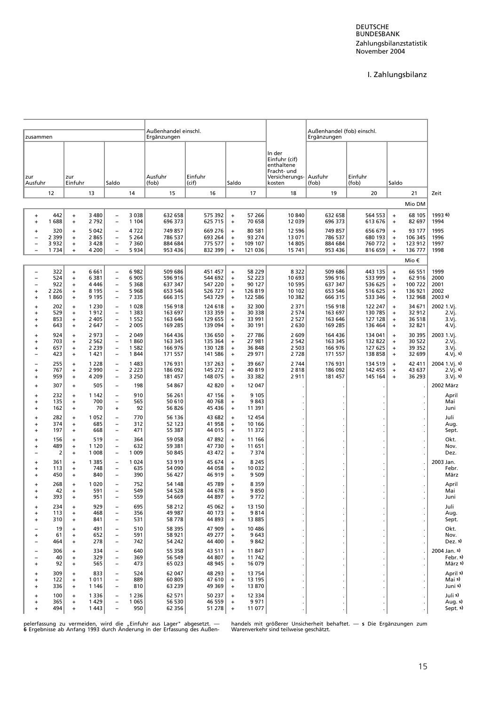## I. Zahlungsbilanz

| zusammen                                                                                                 |                                      |                                                                                                                                          |                                                                                                                                   |                                            | Außenhandel einschl.<br>Ergänzungen                 |                                                     |                                                                         |                                                  |                                                                                            | Außenhandel (fob) einschl.<br>Ergänzungen           |                                                     |                                                                                                             |                                                   |                                                    |
|----------------------------------------------------------------------------------------------------------|--------------------------------------|------------------------------------------------------------------------------------------------------------------------------------------|-----------------------------------------------------------------------------------------------------------------------------------|--------------------------------------------|-----------------------------------------------------|-----------------------------------------------------|-------------------------------------------------------------------------|--------------------------------------------------|--------------------------------------------------------------------------------------------|-----------------------------------------------------|-----------------------------------------------------|-------------------------------------------------------------------------------------------------------------|---------------------------------------------------|----------------------------------------------------|
| zur<br>Ausfuhr                                                                                           |                                      | zur<br>Einfuhr                                                                                                                           | Saldo                                                                                                                             |                                            | Ausfuhr<br>(fob)                                    | Einfuhr<br>(cif)                                    | Saldo                                                                   |                                                  | In der<br>Einfuhr (cif)<br>enthaltene<br>Fracht- und<br>Versicherungs-   Ausfuhr<br>kosten | (fob)                                               | Einfuhr<br>(fob)                                    | Saldo                                                                                                       |                                                   |                                                    |
|                                                                                                          | 12                                   | 13                                                                                                                                       |                                                                                                                                   | 14                                         | 15                                                  | 16                                                  |                                                                         | 17                                               | 18                                                                                         | 19                                                  | 20                                                  |                                                                                                             | 21                                                | Zeit                                               |
|                                                                                                          |                                      |                                                                                                                                          |                                                                                                                                   |                                            |                                                     |                                                     |                                                                         |                                                  |                                                                                            |                                                     |                                                     |                                                                                                             | Mio DM                                            |                                                    |
| $\ddot{}$<br>$\ddot{}$                                                                                   | 442<br>1688                          | 3 4 8 0<br>$\ddot{}$<br>2792<br>$\ddot{}$                                                                                                | $\qquad \qquad -$<br>$\overline{\phantom{0}}$                                                                                     | 3 0 3 8<br>1 1 0 4                         | 632 658<br>696 373                                  | 575 392<br>625 715                                  | $\ddot{}$<br>$\ddot{}$                                                  | 57 266<br>70 658                                 | 10840<br>12 039                                                                            | 632 658<br>696 373                                  | 564 553<br>613 676                                  | $\ddot{}$<br>$\ddot{}$                                                                                      | 68 105<br>82 697                                  | 1993 6)<br>1994                                    |
| $\ddot{}$<br>$\overline{\phantom{0}}$                                                                    | 320<br>2 3 9 9<br>3 9 3 2<br>1 7 3 4 | 5 0 4 2<br>$\ddot{}$<br>2865<br>$\ddot{}$<br>3 4 2 8<br>$\ddot{}$<br>4 200<br>$\ddot{}$                                                  | $\overline{\phantom{0}}$<br>L.<br>$\overline{\phantom{0}}$<br>$\overline{\phantom{0}}$                                            | 4722<br>5 2 6 4<br>7 3 6 0<br>5934         | 749 857<br>786 537<br>884 684<br>953 436            | 669 276<br>693 264<br>775 577<br>832 399            | $\ddot{}$<br>$\ddot{}$<br>$\ddot{}$<br>$\ddot{}$                        | 80 581<br>93 274<br>109 107<br>121 036           | 12 5 9 6<br>13 071<br>14 805<br>15 741                                                     | 749 857<br>786 537<br>884 684<br>953 436            | 656 679<br>680 193<br>760 772<br>816 659            | $\ddot{}$<br>$\begin{array}{c} + \end{array}$<br>$\bf{+}$<br>$\ddot{}$                                      | 93 177<br>106 345<br>123 912<br>136 777           | 1995<br>1996<br>1997<br>1998                       |
|                                                                                                          |                                      |                                                                                                                                          |                                                                                                                                   |                                            |                                                     |                                                     |                                                                         |                                                  |                                                                                            |                                                     |                                                     |                                                                                                             | Mio €                                             |                                                    |
| Ĭ.<br>$\overline{\phantom{0}}$<br>$\begin{array}{c} + \end{array}$<br>$\ddot{}$                          | 322<br>524<br>922<br>2 2 2 6<br>1860 | 6661<br>$\ddot{}$<br>6 3 8 1<br>$\ddot{}$<br>4 4 4 6<br>$\ddot{}$<br>8 1 9 5<br>$\begin{array}{c} + \end{array}$<br>9 1 9 5<br>$\ddot{}$ | $\qquad \qquad -$<br>$\overline{\phantom{0}}$<br>$\overline{\phantom{a}}$<br>$\overline{\phantom{a}}$<br>$\overline{\phantom{0}}$ | 6982<br>6905<br>5 3 6 8<br>5968<br>7 3 3 5 | 509 686<br>596 916<br>637 347<br>653 546<br>666 315 | 451 457<br>544 692<br>547 220<br>526 727<br>543 729 | $\ddot{}$<br>$\ddot{}$<br>$\ddot{}$<br>$\ddot{}$<br>$\ddot{}$           | 58 229<br>52 223<br>90 127<br>126 819<br>122 586 | 8 3 2 2<br>10 693<br>10 595<br>10 102<br>10 3 82                                           | 509 686<br>596 916<br>637 347<br>653 546<br>666 315 | 443 135<br>533 999<br>536 625<br>516 625<br>533 346 | $\ddot{}$<br>$\ddot{}$<br>$\begin{array}{c} + \end{array}$<br>$\begin{array}{c} + \end{array}$<br>$\ddot{}$ | 66 551<br>62 916<br>100 722<br>136 921<br>132 968 | 1999<br>2000<br>2001<br>2002<br>2003 s)            |
| $\overline{ }$<br>$\ddot{}$<br>$\ddot{}$<br>$\ddot{}$                                                    | 202<br>529<br>853<br>643             | 1 2 3 0<br>$\ddot{}$<br>1912<br>$\ddot{}$<br>2 4 0 5<br>$\begin{array}{c} + \end{array}$<br>2 6 4 7<br>$\ddot{}$                         | $\qquad \qquad -$<br>$\overline{\phantom{0}}$<br>$\qquad \qquad -$<br>$\overline{\phantom{a}}$                                    | 1 0 2 8<br>1 3 8 3<br>1 5 5 2<br>2 0 0 5   | 156 918<br>163 697<br>163 646<br>169 285            | 124 618<br>133 359<br>129 655<br>139 094            | $\ddot{}$<br>$\ddot{}$<br>$\begin{array}{c} + \end{array}$<br>$\ddot{}$ | 32 300<br>30 338<br>33 991<br>30 191             | 2 3 7 1<br>2 5 7 4<br>2 5 2 7<br>2 6 3 0                                                   | 156 918<br>163 697<br>163 646<br>169 285            | 122 247<br>130 785<br>127 128<br>136 464            | $\ddot{}$<br>$\begin{array}{c} + \end{array}$<br>$\ddot{}$<br>$\ddot{}$                                     | 34 671<br>32 912<br>36 518<br>32 821              | 2002 1.Vj.<br>2.Vj.<br>3.Vj.<br>4.Vj.              |
| $\begin{array}{c} + \end{array}$<br>$\ddot{}$<br>$\begin{array}{c} + \end{array}$<br>۰                   | 924<br>703<br>657<br>423             | 2973<br>$\ddot{}$<br>2 5 6 2<br>$\begin{array}{c} + \end{array}$<br>2 2 3 9<br>$\ddot{}$<br>1421<br>$\ddot{}$                            | $\overline{\phantom{0}}$<br>$\overline{\phantom{a}}$<br>$\overline{\phantom{0}}$<br>$\overline{\phantom{0}}$                      | 2 0 4 9<br>1860<br>1 5 8 2<br>1844         | 164 436<br>163 345<br>166 976<br>171 557            | 136 650<br>135 364<br>130 128<br>141 586            | $\ddot{}$<br>$\begin{array}{c} + \end{array}$<br>$\ddot{}$<br>$\ddot{}$ | 27 786<br>27 981<br>36 848<br>29 971             | 2 609<br>2 5 4 2<br>2 5 0 3<br>2728                                                        | 164 436<br>163 345<br>166 976<br>171 557            | 134 041<br>132 822<br>127 625<br>138 858            | $\ddot{}$<br>$\ddot{}$<br>$\begin{array}{c} + \end{array}$<br>$\ddot{}$                                     | 30 395<br>30 522<br>39 352<br>32 699              | 2003 1.Vj.<br>2.Vi.<br>3.Vj.<br>4.Vj. s)           |
| $\ddot{}$<br>$\ddot{}$                                                                                   | 255<br>767<br>959                    | 1 2 2 8<br>$\ddot{}$<br>2 9 9 0<br>$\ddot{}$<br>4 2 0 9<br>$\ddot{}$                                                                     | $\overline{\phantom{0}}$<br>$\overline{\phantom{a}}$<br>$\overline{\phantom{0}}$                                                  | 1 4 8 3<br>2 2 2 3<br>3 2 5 0              | 176 931<br>186 092<br>181 457                       | 137 263<br>145 272<br>148 075                       | $\ddot{}$<br>$\ddot{}$<br>$\ddot{}$                                     | 39 667<br>40 819<br>33 382                       | 2 7 4 4<br>2818<br>2911                                                                    | 176 931<br>186 092<br>181 457                       | 134 519<br>142 455<br>145 164                       | $\ddot{}$<br>$\ddot{}$<br>$\ddot{}$                                                                         | 42 411<br>43 637<br>36 293                        | 2004 1.V <sub>i</sub> . s)<br>2.Vj. s)<br>3.Vj. s) |
| $\ddot{}$                                                                                                | 307                                  | 505<br>$\ddot{}$                                                                                                                         | $\overline{\phantom{0}}$                                                                                                          | 198                                        | 54 867                                              | 42 820                                              | $\ddot{}$                                                               | 12 047                                           |                                                                                            |                                                     |                                                     |                                                                                                             |                                                   | 2002 März                                          |
| $\ddot{}$<br>$\ddot{}$<br>$\ddot{}$                                                                      | 232<br>135<br>162                    | 1 1 4 2<br>$\ddot{}$<br>700<br>$\begin{array}{c} + \end{array}$<br>70<br>$\ddot{}$                                                       | $\qquad \qquad -$<br>$\overline{\phantom{a}}$<br>$\begin{array}{c} + \end{array}$                                                 | 910<br>565<br>92                           | 56 261<br>50 610<br>56 826                          | 47 156<br>40 768<br>45 436                          | $\ddot{}$<br>$\begin{array}{c} + \end{array}$<br>$\ddot{}$              | 9 1 0 5<br>9843<br>11 391                        |                                                                                            |                                                     |                                                     |                                                                                                             |                                                   | April<br>Mai<br>Juni                               |
| $\ddot{}$<br>$\ddot{}$<br>$\begin{array}{c} + \end{array}$                                               | 282<br>374<br>197                    | 1 0 5 2<br>$\ddot{}$<br>685<br>$\ddot{}$<br>668<br>$\ddot{}$                                                                             | $\qquad \qquad -$<br>$\qquad \qquad -$<br>$\overline{\phantom{a}}$                                                                | 770<br>312<br>471                          | 56 136<br>52 123<br>55 387                          | 43 682<br>41 958<br>44 015                          | $\ddot{}$<br>$\ddot{}$<br>$\ddot{}$                                     | 12 4 5 4<br>10 16 6<br>11 372                    |                                                                                            |                                                     |                                                     |                                                                                                             |                                                   | Juli<br>Aug.<br>Sept.                              |
| $\ddot{}$<br>$\ddot{}$<br>$\overline{\phantom{a}}$                                                       | 156<br>489<br>2                      | 519<br>$\ddot{}$<br>1 1 2 0<br>$\ddot{}$<br>1 0 0 8<br>$\ddot{}$                                                                         | $\overline{\phantom{0}}$<br>$\overline{\phantom{a}}$<br>$\overline{\phantom{0}}$                                                  | 364<br>632<br>1 0 0 9                      | 59 058<br>59 381<br>50 845                          | 47892<br>47730<br>43 472                            | $\begin{array}{c} + \end{array}$<br>$\ddot{}$<br>$\ddot{}$              | 11 166<br>11 651<br>7 3 7 4                      |                                                                                            |                                                     |                                                     |                                                                                                             |                                                   | Okt.<br>Nov.<br>Dez.                               |
| $\ddot{}$<br>$\ddot{}$<br>$\ddot{}$                                                                      | 361<br>113<br>450                    | 1 3 8 5<br>$\ddot{}$<br>748<br>$\ddot{}$<br>840<br>$\ddot{}$                                                                             | $\overline{\phantom{0}}$<br>$\overline{\phantom{0}}$<br>$\overline{\phantom{0}}$                                                  | 1 0 2 4<br>635<br>390                      | 53 919<br>54 090<br>56 427                          | 45 674<br>44 058<br>46 919                          | $\ddot{}$<br>$\ddot{}$<br>$\ddot{}$                                     | 8 2 4 5<br>10 032<br>9 5 0 9                     |                                                                                            |                                                     |                                                     |                                                                                                             |                                                   | 2003 Jan.<br>Febr.<br>März                         |
| $\ddot{}$<br>$\overline{ }$                                                                              | 268<br>42                            | 1 0 2 0<br>$\ddot{}$<br>591<br>$\ddot{}$                                                                                                 |                                                                                                                                   | 752<br>549                                 | 54 148<br>54 528                                    | 45 789<br>44 678                                    | $\ddot{}$<br>$\ddot{}$                                                  | 8 3 5 9<br>9850                                  |                                                                                            |                                                     |                                                     |                                                                                                             |                                                   | April<br>Mai                                       |
| +<br>$\ddot{}$<br>$\ddot{}$                                                                              | 393<br>234<br>113                    | 951<br>$\ddot{}$<br>929<br>$\ddot{}$<br>468<br>$\ddot{}$                                                                                 | $\overline{\phantom{0}}$<br>$\qquad \qquad -$<br>$\overline{\phantom{a}}$                                                         | 559<br>695<br>356                          | 54 669<br>58 212<br>49 987                          | 44 897<br>45 062<br>40 173                          | $\ddot{}$<br>$\ddot{}$<br>$\ddot{+}$                                    | 9772<br>13 150<br>9814                           |                                                                                            |                                                     |                                                     |                                                                                                             |                                                   | Juni<br>Juli<br>Aug.                               |
| $\begin{array}{c} + \end{array}$<br>۰<br>$\ddot{}$                                                       | 310<br>19<br>61                      | 841<br>$\begin{array}{c} + \end{array}$<br>491<br>$\ddot{}$<br>652<br>$\ddot{}$                                                          | $\overline{\phantom{a}}$<br>$\overline{\phantom{a}}$<br>$\overline{\phantom{a}}$                                                  | 531<br>510<br>591                          | 58 778<br>58 395<br>58 921                          | 44 893<br>47 909<br>49 277                          | $+$<br>$\overline{+}$<br>$\ddot{}$                                      | 13 885<br>10 486<br>9 6 43                       |                                                                                            |                                                     |                                                     |                                                                                                             |                                                   | Sept.<br>Okt.<br>Nov.                              |
| $\overline{\phantom{0}}$<br>۰                                                                            | 464<br>306                           | 278<br>$\ddot{}$<br>334<br>$\ddot{}$                                                                                                     | $\overline{\phantom{a}}$<br>$\overline{\phantom{0}}$                                                                              | 742<br>640                                 | 54 242<br>55 358                                    | 44 400<br>43 511                                    | $\ddot{}$<br>$\ddot{}$                                                  | 9842<br>11 847                                   |                                                                                            |                                                     |                                                     |                                                                                                             |                                                   | Dez. s)<br>2004 Jan. s)                            |
| $\overline{\phantom{0}}$<br>$\ddot{}$                                                                    | 40<br>92                             | 329<br>$\begin{array}{c} + \end{array}$<br>565<br>$\ddot{}$                                                                              | $\overline{\phantom{a}}$<br>$\equiv$                                                                                              | 369<br>473                                 | 56 549<br>65 023                                    | 44 807<br>48 945                                    | $\bf{+}$<br>$\ddot{}$                                                   | 11 742<br>16 079                                 |                                                                                            |                                                     |                                                     |                                                                                                             |                                                   | Febr. s)<br>März s                                 |
| $\begin{array}{c} + \end{array}$<br>$\begin{array}{c} + \end{array}$<br>$\begin{array}{c} + \end{array}$ | 309<br>122<br>336                    | 833<br>$\ddot{}$<br>1011<br>$\begin{array}{c} + \end{array}$<br>1 1 4 6<br>$\ddot{}$                                                     | $\overline{\phantom{a}}$<br>$\overline{\phantom{a}}$<br>$\overline{\phantom{a}}$                                                  | 524<br>889<br>810                          | 62 047<br>60 805<br>63 239                          | 48 293<br>47 610<br>49 369                          | $\ddot{+}$<br>$\ddot{}$<br>$\ddot{+}$                                   | 13 7 54<br>13 195<br>13 870                      |                                                                                            |                                                     |                                                     |                                                                                                             |                                                   | April s)<br>Mai s)<br>Juni s)                      |
| $\ddot{}$<br>$\ddot{}$<br>$\ddot{}$                                                                      | 100<br>365<br>494                    | 1 3 3 6<br>$\ddot{}$<br>1429<br>$\ddot{}$<br>1443<br>$\ddot{}$                                                                           | $\overline{\phantom{a}}$<br>$\qquad \qquad -$<br>$\qquad \qquad -$                                                                | 1 2 3 6<br>1 0 6 5<br>950                  | 62 571<br>56 530<br>62 356                          | 50 237<br>46 559<br>51 278                          | $\overline{+}$<br>$\ddot{}$<br>$\bf{+}$                                 | 12 3 34<br>9 9 7 1<br>11 077                     |                                                                                            |                                                     |                                                     |                                                                                                             |                                                   | Juli s)<br>Aug. s)<br>Sept. s)                     |

pelerfassung zu vermeiden, wird die "Einfuhr aus Lager" abgesetzt. —<br>6 Ergebnisse ab Anfang 1993 durch Änderung in der Erfassung des Außen-

handels mit größerer Unsicherheit behaftet. — **s** Die Ergänzungen zum Warenverkehr sind teilweise geschätzt.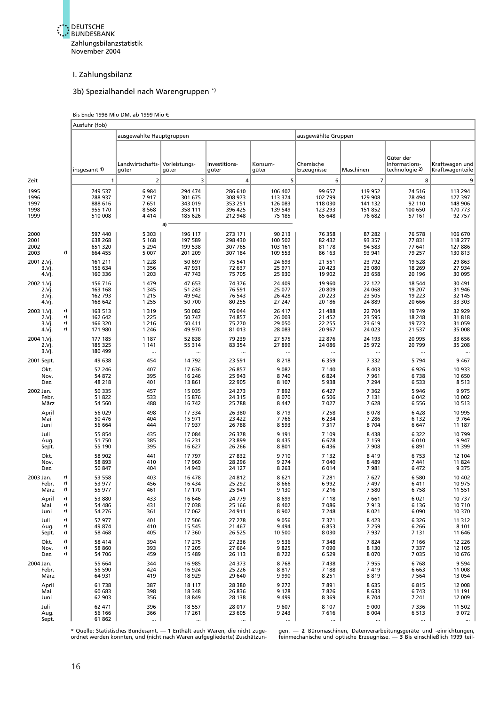

## 3b) Spezialhandel nach Warengruppen \*)

Bis Ende 1998 Mio DM, ab 1999 Mio €

|                                      |    | Ausfuhr (fob)                                       |                                      |                                                           |                                                     |                                                    |                                                   |                                                   |                                                 |                                                    |
|--------------------------------------|----|-----------------------------------------------------|--------------------------------------|-----------------------------------------------------------|-----------------------------------------------------|----------------------------------------------------|---------------------------------------------------|---------------------------------------------------|-------------------------------------------------|----------------------------------------------------|
|                                      |    |                                                     | ausgewählte Hauptgruppen             |                                                           |                                                     |                                                    | ausgewählte Gruppen                               |                                                   |                                                 |                                                    |
|                                      |    | insgesamt 1)                                        | Landwirtschafts-<br>güter            | Vorleistungs-<br>güter                                    | Investitions-<br>güter                              | Konsum-<br>güter                                   | Chemische<br>Erzeugnisse                          | Maschinen                                         | Güter der<br>Informations-<br>technologie 2)    | Kraftwagen und<br>Kraftwagenteile                  |
| Zeit                                 |    | $\mathbf{1}$                                        | $\overline{2}$                       | 3                                                         | 4                                                   | 5                                                  | 6                                                 | $\overline{7}$                                    | 8                                               | 9                                                  |
| 1995<br>1996<br>1997<br>1998<br>1999 |    | 749 537<br>788 937<br>888 616<br>955 170<br>510 008 | 6984<br>7917<br>7651<br>8568<br>4414 | 294 474<br>301 675<br>343 019<br>358 111<br>185 626<br>4) | 286 610<br>308 973<br>353 251<br>396 425<br>212 948 | 106 402<br>113 374<br>126 083<br>139 549<br>75 185 | 99 657<br>102 799<br>118 030<br>123 293<br>65 648 | 119 952<br>129 908<br>141 132<br>151852<br>76 682 | 74 516<br>78 494<br>92 110<br>100 650<br>57 161 | 113 294<br>127 397<br>148 906<br>170 773<br>92 757 |
| 2000                                 | r) | 597 440                                             | 5 3 0 3                              | 196 117                                                   | 273 171                                             | 90 213                                             | 76 358                                            | 87 282                                            | 76 578                                          | 106 670                                            |
| 2001                                 |    | 638 268                                             | 5 1 6 8                              | 197 589                                                   | 298 430                                             | 100 502                                            | 82 432                                            | 93 357                                            | 77831                                           | 118 277                                            |
| 2002                                 |    | 651 320                                             | 5 2 9 4                              | 199 538                                                   | 307 765                                             | 103 161                                            | 81 178                                            | 94 583                                            | 77 641                                          | 127886                                             |
| 2003                                 |    | 664 455                                             | 5 0 0 7                              | 201 209                                                   | 307 184                                             | 109 553                                            | 86 163                                            | 93 941                                            | 79 257                                          | 130 813                                            |
| 2001 2.Vj.                           |    | 161 211                                             | 1 2 2 8                              | 50 697                                                    | 75 541                                              | 24 693                                             | 21 551                                            | 23 792                                            | 19 5 28                                         | 29 863                                             |
| 3.Vj.                                |    | 156 634                                             | 1 3 5 6                              | 47 931                                                    | 72 637                                              | 25 971                                             | 20 423                                            | 23 080                                            | 18 269                                          | 27 934                                             |
| 4.Vj.                                |    | 160 336                                             | 1 2 0 3                              | 47 743                                                    | 75 705                                              | 25 930                                             | 19 902                                            | 23 658                                            | 20 196                                          | 30 095                                             |
| 2002 1.Vj.                           |    | 156 716                                             | 1479                                 | 47 653                                                    | 74 376                                              | 24 409                                             | 19 960                                            | 22 122                                            | 18 544                                          | 30 491                                             |
| 2.Vi.                                |    | 163 168                                             | 1 3 4 5                              | 51 243                                                    | 76 591                                              | 25 077                                             | 20 809                                            | 24 068                                            | 19 207                                          | 31 946                                             |
| 3.Vi.                                |    | 162 793                                             | 1 2 1 5                              | 49 942                                                    | 76 543                                              | 26 4 28                                            | 20 223                                            | 23 505                                            | 19 223                                          | 32 145                                             |
| 4.Vj.                                |    | 168 642                                             | 1 2 5 5                              | 50 700                                                    | 80 255                                              | 27 247                                             | 20 18 6                                           | 24 889                                            | 20 666                                          | 33 303                                             |
| 2003 1.Vi.                           | r) | 163 513                                             | 1319                                 | 50 082                                                    | 76 044                                              | 26 417                                             | 21 488                                            | 22 704                                            | 19 749                                          | 32 929                                             |
| 2.Vi.                                | r) | 162 642                                             | 1 2 2 5                              | 50 747                                                    | 74 857                                              | 26 003                                             | 21 4 52                                           | 23 595                                            | 18 248                                          | 31818                                              |
| 3.Vj.                                | r) | 166 320                                             | 1 2 1 6                              | 50 411                                                    | 75 270                                              | 29 050                                             | 22 255                                            | 23 619                                            | 19723                                           | 31 059                                             |
| 4.Vj.                                | r) | 171 980                                             | 1 2 4 6                              | 49 970                                                    | 81 013                                              | 28 083                                             | 20 967                                            | 24 0 23                                           | 21 537                                          | 35 008                                             |
| 2004 1.Vj.                           |    | 177 185                                             | 1 1 8 7                              | 52 838                                                    | 79 239                                              | 27 575                                             | 22 876                                            | 24 193                                            | 20 995                                          | 33 656                                             |
| 2.Vi.                                |    | 185 325                                             | 1 1 4 1                              | 55 314                                                    | 83 354                                              | 27899                                              | 24 086                                            | 25 972                                            | 20799                                           | 35 208                                             |
| 3.Vj.                                |    | 180 499                                             | $\cdots$                             | $\cdots$                                                  | $\cdots$                                            | $\cdots$                                           | $\cdots$                                          | $\ddotsc$                                         | $\cdots$                                        | $\cdots$                                           |
| 2001 Sept.                           |    | 49 638                                              | 454                                  | 14 792                                                    | 23 591                                              | 8 2 1 8                                            | 6 3 5 9                                           | 7332                                              | 5794                                            | 9 4 6 7                                            |
| Okt.                                 |    | 57 246                                              | 407                                  | 17 636                                                    | 26 857                                              | 9082                                               | 7 140                                             | 8 4 0 3                                           | 6926                                            | 10 933                                             |
| Nov.                                 |    | 54 872                                              | 395                                  | 16 24 6                                                   | 25 943                                              | 8740                                               | 6824                                              | 7961                                              | 6738                                            | 10 650                                             |
| Dez.                                 |    | 48 218                                              | 401                                  | 13 861                                                    | 22 905                                              | 8 1 0 7                                            | 5938                                              | 7 2 9 4                                           | 6 5 3 3                                         | 8513                                               |
| 2002 Jan.                            |    | 50 335                                              | 457                                  | 15 035                                                    | 24 273                                              | 7892                                               | 6427                                              | 7 3 6 2                                           | 5946                                            | 9975                                               |
| Febr.                                |    | 51 822                                              | 533                                  | 15 876                                                    | 24 3 15                                             | 8 0 7 0                                            | 6 5 0 6                                           | 7 1 3 1                                           | 6042                                            | 10 002                                             |
| März                                 |    | 54 560                                              | 488                                  | 16 742                                                    | 25 788                                              | 8 4 4 7                                            | 7027                                              | 7628                                              | 6 5 5 6                                         | 10 513                                             |
| April                                |    | 56 029                                              | 498                                  | 17 334                                                    | 26 380                                              | 8719                                               | 7 2 5 8                                           | 8078                                              | 6428                                            | 10 995                                             |
| Mai                                  |    | 50 476                                              | 404                                  | 15 971                                                    | 23 4 22                                             | 7766                                               | 6 2 3 4                                           | 7 2 8 6                                           | 6 1 3 2                                         | 9764                                               |
| Juni                                 |    | 56 664                                              | 444                                  | 17 937                                                    | 26 788                                              | 8 5 9 3                                            | 7317                                              | 8704                                              | 6647                                            | 11 187                                             |
| Juli                                 |    | 55 854                                              | 435                                  | 17 084                                                    | 26 378                                              | 9 1 9 1                                            | 7 109                                             | 8438                                              | 6322                                            | 10799                                              |
| Aug.                                 |    | 51 750                                              | 385                                  | 16 231                                                    | 23 899                                              | 8 4 3 5                                            | 6678                                              | 7 1 5 9                                           | 6010                                            | 9 9 4 7                                            |
| Sept.                                |    | 55 190                                              | 395                                  | 16 627                                                    | 26 26 6                                             | 8801                                               | 6436                                              | 7908                                              | 6891                                            | 11 399                                             |
| Okt.                                 |    | 58 902                                              | 441                                  | 17 797                                                    | 27832                                               | 9710                                               | 7 1 3 2                                           | 8419                                              | 6753                                            | 12 104                                             |
| Nov.                                 |    | 58 893                                              | 410                                  | 17 960                                                    | 28 29 6                                             | 9 2 7 4                                            | 7 0 4 0                                           | 8 4 8 9                                           | 7441                                            | 11824                                              |
| Dez.                                 |    | 50 847                                              | 404                                  | 14 943                                                    | 24 127                                              | 8 2 6 3                                            | 6014                                              | 7981                                              | 6472                                            | 9 3 7 5                                            |
| 2003 Jan.                            | r) | 53 558                                              | 403                                  | 16 478                                                    | 24 812                                              | 8621                                               | 7 2 8 1                                           | 7627                                              | 6 5 8 0                                         | 10 402                                             |
| Febr.                                | r) | 53 977                                              | 456                                  | 16 434                                                    | 25 29 2                                             | 8666                                               | 6992                                              | 7497                                              | 6411                                            | 10 975                                             |
| März                                 | r) | 55 977                                              | 461                                  | 17 170                                                    | 25 941                                              | 9 1 3 0                                            | 7 2 1 6                                           | 7580                                              | 6758                                            | 11 551                                             |
| April                                | r) | 53 880                                              | 433                                  | 16 646                                                    | 24 779                                              | 8699                                               | 7 1 1 8                                           | 7 661                                             | 6021                                            | 10737                                              |
| Mai                                  | r) | 54 486                                              | 431                                  | 17 038                                                    | 25 166                                              | 8 4 0 2                                            | 7086                                              | 7913                                              | 6 1 3 6                                         | 10710                                              |
| Juni                                 | r) | 54 276                                              | 361                                  | 17 062                                                    | 24 911                                              | 8 9 0 2                                            | 7 2 4 8                                           | 8 0 2 1                                           | 6 0 9 0                                         | 10 370                                             |
| Juli                                 | r) | 57 977                                              | 401                                  | 17 506                                                    | 27 278                                              | 9 0 5 6                                            | 7371                                              | 8 4 2 3                                           | 6 3 2 6                                         | 11 312                                             |
| Aug.                                 | r) | 49 874                                              | 410                                  | 15 545                                                    | 21 4 67                                             | 9 4 9 4                                            | 6853                                              | 7 2 5 9                                           | 6 2 6 6                                         | 8 1 0 1                                            |
| Sept.                                | r) | 58 4 68                                             | 405                                  | 17 360                                                    | 26 5 25                                             | 10 500                                             | 8 0 3 0                                           | 7937                                              | 7 1 3 1                                         | 11 646                                             |
| Okt.                                 | r) | 58 414                                              | 394                                  | 17 275                                                    | 27 236                                              | 9 5 3 6                                            | 7 3 4 8                                           | 7824                                              | 7 1 6 6                                         | 12 2 2 6                                           |
| Nov.                                 | r) | 58 860                                              | 393                                  | 17 205                                                    | 27 664                                              | 9825                                               | 7 0 9 0                                           | 8 1 3 0                                           | 7 3 3 7                                         | 12 105                                             |
| Dez.                                 | r) | 54 706                                              | 459                                  | 15 4 89                                                   | 26 113                                              | 8722                                               | 6 5 2 9                                           | 8070                                              | 7035                                            | 10 676                                             |
| 2004 Jan.                            |    | 55 664                                              | 344                                  | 16 985                                                    | 24 373                                              | 8768                                               | 7438                                              | 7955                                              | 6768                                            | 9 5 9 4                                            |
| Febr.                                |    | 56 590                                              | 424                                  | 16 924                                                    | 25 2 26                                             | 8817                                               | 7 1 8 8                                           | 7419                                              | 6 6 6 3                                         | 11 008                                             |
| März                                 |    | 64 931                                              | 419                                  | 18 9 29                                                   | 29 640                                              | 9990                                               | 8 2 5 1                                           | 8819                                              | 7 5 6 4                                         | 13 0 54                                            |
| April                                |    | 61738                                               | 387                                  | 18 117                                                    | 28 3 80                                             | 9 2 7 2                                            | 7891                                              | 8635                                              | 6815                                            | 12 008                                             |
| Mai                                  |    | 60 683                                              | 398                                  | 18 348                                                    | 26 836                                              | 9 1 2 8                                            | 7826                                              | 8633                                              | 6743                                            | 11 191                                             |
| Juni                                 |    | 62 903                                              | 356                                  | 18 849                                                    | 28 138                                              | 9499                                               | 8 3 6 9                                           | 8704                                              | 7 2 4 1                                         | 12 009                                             |
| Juli                                 |    | 62 471                                              | 396                                  | 18 5 57                                                   | 28 017                                              | 9 607                                              | 8 1 0 7                                           | 9 0 0 0                                           | 7 3 3 6                                         | 11 502                                             |
| Aug.                                 |    | 56 166                                              | 366                                  | 17 261                                                    | 23 605                                              | 9 2 4 3                                            | 7616                                              | 8 0 0 4                                           | 6513                                            | 9 0 7 2                                            |
| Sept.                                |    | 61862                                               | $\ldots$                             | $\ldots$                                                  | $\cdots$                                            | $\ldots$                                           | $\cdots$                                          | $\cdots$                                          | $\cdots$                                        | $\cdots$                                           |

\* Quelle: Statistisches Bundesamt. — 1 Enthält auch Waren, die nicht zuge-ogen. — 2 Büromaschinen, Datenverarbeitungsgeräte und -einrichtungen,<br>ordnet werden konnten, und (nicht nach Waren aufgegliederte) Zuschätzun-feinme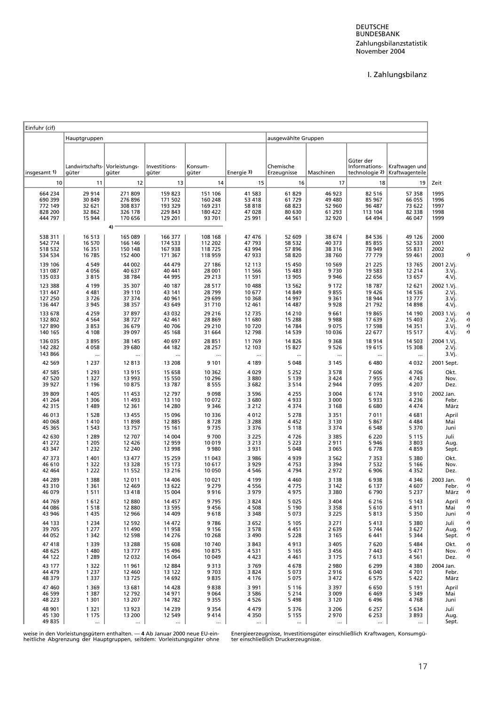## I. Zahlungsbilanz

| Einfuhr (cif)                                       |                                                |                                                          |                                                     |                                                    |                                                |                                              |                                                |                                                 |                                                |                                      |          |
|-----------------------------------------------------|------------------------------------------------|----------------------------------------------------------|-----------------------------------------------------|----------------------------------------------------|------------------------------------------------|----------------------------------------------|------------------------------------------------|-------------------------------------------------|------------------------------------------------|--------------------------------------|----------|
|                                                     | Hauptgruppen                                   |                                                          |                                                     |                                                    |                                                | ausgewählte Gruppen                          |                                                |                                                 |                                                |                                      |          |
| insgesamt 1)                                        | Landwirtschafts- Vorleistungs-<br>güter        | güter                                                    | Investitions-<br>güter                              | Konsum-<br>güter                                   | Energie 3)                                     | Chemische<br>Erzeugnisse                     | Maschinen                                      | Güter der<br>Informations-<br>technologie 2)    | Kraftwagen und<br>Kraftwagenteile              |                                      |          |
| 10                                                  | 11                                             | 12                                                       | 13                                                  | 14                                                 | 15                                             | 16                                           | 17                                             | 18                                              | 19                                             | Zeit                                 |          |
| 664 234<br>690 399<br>772 149<br>828 200<br>444 797 | 29 914<br>30 849<br>32 621<br>32 862<br>15 944 | 271809<br>276 896<br>308 837<br>326 178<br>170 656<br>4) | 159 823<br>171 502<br>193 329<br>229 843<br>129 201 | 151 106<br>160 248<br>169 231<br>180 422<br>93 701 | 41 583<br>53 418<br>58 818<br>47 028<br>25 991 | 61829<br>61729<br>68 823<br>80 630<br>44 561 | 46 923<br>49 480<br>52 960<br>61 293<br>32 920 | 82 516<br>85 967<br>96 487<br>113 104<br>64 494 | 57 358<br>66 055<br>73 622<br>82 338<br>46 047 | 1995<br>1996<br>1997<br>1998<br>1999 |          |
| 538 311                                             | 16 513                                         | 165 089                                                  | 166 377                                             | 108 168                                            | 47 476                                         | 52 609                                       | 38 674                                         | 84 536                                          | 49 126                                         | 2000                                 | r)       |
| 542 774                                             | 16 570                                         | 166 146                                                  | 174 533                                             | 112 202                                            | 47 793                                         | 58 532                                       | 40 373                                         | 85 855                                          | 52 533                                         | 2001                                 |          |
| 518 532                                             | 16 351                                         | 150 148                                                  | 167 938                                             | 118 725                                            | 43 994                                         | 57896                                        | 38 316                                         | 78 949                                          | 55 831                                         | 2002                                 |          |
| 534 534                                             | 16 785                                         | 152 400                                                  | 171 367                                             | 118 959                                            | 47 933                                         | 58 820                                       | 38 760                                         | 77 779                                          | 59 461                                         | 2003                                 |          |
| 139 106                                             | 4 5 4 9                                        | 44 002                                                   | 44 479                                              | 27 186                                             | 12 113                                         | 15 4 50                                      | 10 569                                         | 21 225                                          | 13765                                          | 2001 2.Vj.                           |          |
| 131 087                                             | 4 0 5 6                                        | 40 637                                                   | 40 441                                              | 28 001                                             | 11 566                                         | 15 4 83                                      | 9730                                           | 19 583                                          | 12 2 14                                        | 3.Vj.                                |          |
| 135 033                                             | 3815                                           | 38784                                                    | 44 995                                              | 29 213                                             | 11 591                                         | 13 905                                       | 9946                                           | 22 656                                          | 13 657                                         | 4.Vj.                                |          |
| 123 388                                             | 4 1 9 9                                        | 35 307                                                   | 40 187                                              | 28 517                                             | 10 488                                         | 13 562                                       | 9 1 7 2                                        | 18787                                           | 12 621                                         | 2002 1.Vj.                           |          |
| 131 447                                             | 4 4 8 1                                        | 39 110                                                   | 43 141                                              | 28 799                                             | 10 677                                         | 14 8 49                                      | 9855                                           | 19 4 26                                         | 14 5 36                                        | 2.Vj.                                |          |
| 127 250                                             | 3726                                           | 37 374                                                   | 40 961                                              | 29 699                                             | 10 3 68                                        | 14 997                                       | 9 3 6 1                                        | 18 944                                          | 13777                                          | 3.Vj.                                |          |
| 136 447                                             | 3 9 4 5                                        | 38 357                                                   | 43 649                                              | 31 710                                             | 12 4 61                                        | 14 487                                       | 9928                                           | 21 7 9 2                                        | 14 8 98                                        | 4.Vj.                                |          |
| 133 678                                             | 4 2 5 9                                        | 37897                                                    | 43 032                                              | 29 216                                             | 12735                                          | 14 210                                       | 9661                                           | 19865                                           | 14 190                                         | 2003 1.Vj.                           | r)       |
| 132 802                                             | 4 5 6 4                                        | 38727                                                    | 42 461                                              | 28 869                                             | 11 680                                         | 15 288                                       | 9988                                           | 17 639                                          | 15 403                                         | 2.Vi.                                | r)       |
| 127890                                              | 3853                                           | 36 679                                                   | 40 706                                              | 29 210                                             | 10720                                          | 14 784                                       | 9 0 7 5                                        | 17 598                                          | 14 3 5 1                                       | 3.Vj.                                | r)       |
| 140 165                                             | 4 1 0 8                                        | 39 097                                                   | 45 168                                              | 31 664                                             | 12798                                          | 14 539                                       | 10 0 36                                        | 22 677                                          | 15 5 17                                        | 4.Vj.                                | r)       |
| 136 035                                             | 3895                                           | 38 145                                                   | 40 697                                              | 28 851                                             | 11 769                                         | 14826                                        | 9 3 6 8                                        | 18914                                           | 14 503                                         | 2004 1.Vj.                           |          |
| 142 282                                             | 4 0 5 8                                        | 39 680                                                   | 44 182                                              | 28 257                                             | 12 103                                         | 15827                                        | 9 5 2 6                                        | 19615                                           | 15 308                                         | 2.Vj.                                |          |
| 143 866                                             | $\ldots$                                       | $\cdots$                                                 |                                                     |                                                    | $\cdots$                                       | $\cdots$                                     |                                                |                                                 |                                                | 3.Vj.                                |          |
| 42 5 69                                             | 1 2 3 7                                        | 12813                                                    | 13 208                                              | 9 1 0 1                                            | 4 1 8 9                                        | 5 0 4 8                                      | 3 1 4 5                                        | 6480                                            | 4 0 3 2                                        | 2001 Sept.                           |          |
| 47 585                                              | 1 2 9 3                                        | 13 915                                                   | 15 658                                              | 10 362                                             | 4 0 2 9                                        | 5 2 5 2                                      | 3 5 7 8                                        | 7606                                            | 4706                                           | Okt.                                 |          |
| 47 520                                              | 1 3 2 7                                        | 13 993                                                   | 15 550                                              | 10 296                                             | 3880                                           | 5 1 3 9                                      | 3 4 2 4                                        | 7955                                            | 4743                                           | Nov.                                 |          |
| 39 927                                              | 1 1 9 6                                        | 10875                                                    | 13787                                               | 8 5 5 5                                            | 3682                                           | 3514                                         | 2 9 4 4                                        | 7 0 9 5                                         | 4 2 0 7                                        | Dez.                                 |          |
| 39 809                                              | 1 4 0 5                                        | 11 453                                                   | 12797                                               | 9 0 9 8                                            | 3 5 9 6                                        | 4 2 5 5                                      | 3 0 0 4                                        | 6 1 7 4                                         | 3910                                           | 2002 Jan.                            |          |
| 41 264                                              | 1 3 0 6                                        | 11 493                                                   | 13 110                                              | 10 072                                             | 3 6 8 0                                        | 4933                                         | 3 000                                          | 5933                                            | 4 2 3 6                                        | Febr.                                |          |
| 42 315                                              | 1 4 8 9                                        | 12 3 61                                                  | 14 280                                              | 9 3 4 6                                            | 3 2 1 2                                        | 4374                                         | 3 1 6 8                                        | 6680                                            | 4474                                           | März                                 |          |
| 46 013                                              | 1 5 2 8                                        | 13 4 55                                                  | 15 0 96                                             | 10 336                                             | 4012                                           | 5 2 7 8                                      | 3 3 5 1                                        | 7011                                            | 4681                                           | April                                |          |
| 40 068                                              | 1410                                           | 11898                                                    | 12 885                                              | 8728                                               | 3 2 8 8                                        | 4452                                         | 3 1 3 0                                        | 5867                                            | 4 4 8 4                                        | Mai                                  |          |
| 45 365                                              | 1 5 4 3                                        | 13757                                                    | 15 161                                              | 9735                                               | 3 3 7 6                                        | 5 1 1 8                                      | 3 3 7 4                                        | 6 5 4 8                                         | 5 3 7 0                                        | Juni                                 |          |
| 42 630                                              | 1 2 8 9                                        | 12 707                                                   | 14 004                                              | 9700                                               | 3 2 2 5                                        | 4726                                         | 3 3 8 5                                        | 6 2 2 0                                         | 5 1 1 5                                        | Juli                                 |          |
| 41 272                                              | 1 2 0 5                                        | 12 4 26                                                  | 12 959                                              | 10 019                                             | 3 2 1 3                                        | 5 2 2 3                                      | 2911                                           | 5946                                            | 3 8 0 3                                        | Aug.                                 |          |
| 43 347                                              | 1 2 3 2                                        | 12 240                                                   | 13 998                                              | 9980                                               | 3 9 3 1                                        | 5 0 4 8                                      | 3 0 6 5                                        | 6778                                            | 4859                                           | Sept.                                |          |
| 47 373                                              | 1 4 0 1                                        | 13 477                                                   | 15 259                                              | 11 043                                             | 3 9 8 6                                        | 4939                                         | 3 5 6 2                                        | 7 3 5 3                                         | 5 3 8 0                                        | Okt.                                 |          |
| 46 610                                              | 1 3 2 2                                        | 13 3 28                                                  | 15 173                                              | 10 617                                             | 3 9 2 9                                        | 4753                                         | 3 3 9 4                                        | 7532                                            | 5 1 6 6                                        | Nov.                                 |          |
| 42 4 64                                             | 1 2 2 2                                        | 11 552                                                   | 13 216                                              | 10 050                                             | 4546                                           | 4794                                         | 2972                                           | 6906                                            | 4 3 5 2                                        | Dez.                                 |          |
| 44 289                                              | 1 3 8 8                                        | 12 011                                                   | 14 4 06                                             | 10 021                                             | 4 1 9 9                                        | 4 4 6 0                                      | 3 1 3 8                                        | 6938                                            | 4 3 4 6                                        | 2003 Jan.                            | r)       |
| 43 310                                              | 1 3 6 1                                        | 12 4 6 9                                                 | 13 622                                              | 9 2 7 9                                            | 4556                                           | 4775                                         | 3 1 4 2                                        | 6 1 3 7                                         | 4607                                           | Febr.                                | r)       |
| 46 079                                              | 1511                                           | 13418                                                    | 15 004                                              | 9916                                               | 3 9 7 9                                        | 4975                                         | 3 3 8 0                                        | 6790                                            | 5 2 3 7                                        | März                                 | r)       |
| 44 769<br>44 086<br>43 946                          | 1612<br>1518<br>1 4 3 5                        | 12 8 8 0<br>12 880<br>12 966                             | 14 4 57<br>13 5 95<br>14 409                        | 9795<br>9456<br>9618                               | 3824<br>4508<br>3 3 4 8                        | 5 0 2 5<br>5 1 9 0<br>5 0 7 3                | 3 4 0 4<br>3 3 5 8<br>3 2 2 5                  | 6 2 1 6<br>5610<br>5813                         | 5 1 4 3<br>4911<br>5 3 5 0                     | April<br>Mai<br>Juni                 | r)<br>r) |
| 44 133<br>39 705<br>44 052                          | 1 2 3 4<br>1 2 7 7<br>1 3 4 2                  | 12 5 9 2<br>11 490<br>12 5 98                            | 14 472<br>11958<br>14 276                           | 9786<br>9 1 5 6<br>10 268                          | 3652<br>3 5 7 8<br>3 4 9 0                     | 5 1 0 5<br>4451<br>5 2 2 8                   | 3 2 7 1<br>2 6 3 9<br>3 1 6 5                  | 5 4 1 3<br>5744<br>6441                         | 5 3 8 0<br>3627<br>5 3 4 4                     | Juli<br>Aug.<br>Sept.                | r)<br>r) |
| 47 418<br>48 625<br>44 122                          | 1 3 3 9<br>1 4 8 0<br>1 2 8 9                  | 13 2 88<br>13777<br>12 0 32                              | 15 608<br>15 4 96<br>14 0 64                        | 10 740<br>10875<br>10 049                          | 3843<br>4531<br>4 4 2 3                        | 4913<br>5 1 6 5<br>4461                      | 3 4 0 5<br>3 4 5 6<br>3 1 7 5                  | 7620<br>7443<br>7613                            | 5 4 8 4<br>5 4 7 1<br>4561                     | Okt.<br>Nov.<br>Dez.                 | r)<br>r) |
| 43 177                                              | 1 3 2 2                                        | 11 961                                                   | 12 8 84                                             | 9313                                               | 3769                                           | 4678                                         | 2 9 8 0                                        | 6 2 9 9                                         | 4 3 8 0                                        | 2004 Jan.                            |          |
| 44 479                                              | 1 2 3 7                                        | 12 460                                                   | 13 122                                              | 9703                                               | 3824                                           | 5073                                         | 2916                                           | 6 0 4 0                                         | 4701                                           | Febr.                                |          |
| 48 379                                              | 1 3 3 7                                        | 13725                                                    | 14 692                                              | 9835                                               | 4 1 7 6                                        | 5 0 7 5                                      | 3 4 7 2                                        | 6 5 7 5                                         | 5422                                           | März                                 |          |
| 47 460                                              | 1 3 6 9                                        | 13 681                                                   | 14 4 28                                             | 9838                                               | 3 9 9 1                                        | 5 1 1 6                                      | 3 3 9 7                                        | 6650                                            | 5 1 9 1                                        | April                                |          |
| 46 599                                              | 1 3 8 7                                        | 12792                                                    | 14 971                                              | 9 0 6 4                                            | 3 5 8 6                                        | 5 2 1 4                                      | 3 0 0 9                                        | 6469                                            | 5 3 4 9                                        | Mai                                  |          |
| 48 223                                              | 1 3 0 1                                        | 13 207                                                   | 14782                                               | 9 3 5 5                                            | 4 5 2 6                                        | 5498                                         | 3 1 2 0                                        | 6496                                            | 4768                                           | Juni                                 |          |
| 48 901                                              | 1 3 2 1                                        | 13 923                                                   | 14 2 39                                             | 9 3 5 4                                            | 4479                                           | 5 3 7 6                                      | 3 2 0 6                                        | 6 2 5 7                                         | 5 6 3 4                                        | Juli                                 |          |
| 45 130                                              | 1 1 7 5                                        | 13 200                                                   | 12 549                                              | 9414                                               | 4 3 5 0                                        | 5 1 5 5                                      | 2 970                                          | 6 2 5 3                                         | 3893                                           | Aug.                                 |          |
| 49 835                                              | $\ldots$                                       | $\ldots$                                                 | $\ddotsc$                                           |                                                    |                                                | $\sim$                                       |                                                | $\sim$                                          |                                                | Sept.                                |          |

weise in den Vorleistungsgütern enthalten. -- 4 Ab Januar 2000 neue EU-einheitliche Abgrenzung der Hauptgruppen, seitdem: Vorleistungsgüter ohne

Energieerzeugnisse, Investitionsgüter einschließlich Kraftwagen, Konsumgü-<br>ter einschließlich Druckerzeugnisse.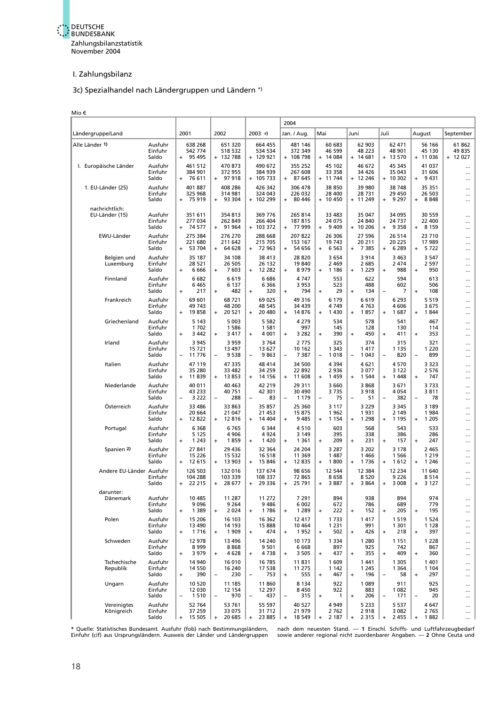

## 3c) Spezialhandel nach Ländergruppen und Ländern \*)

#### Mio €

|                                  |                             |                                                                  |                                                                 |                                                    | 2004                                                  |                                                             |                                                           |                                                            |                                                   |                                   |
|----------------------------------|-----------------------------|------------------------------------------------------------------|-----------------------------------------------------------------|----------------------------------------------------|-------------------------------------------------------|-------------------------------------------------------------|-----------------------------------------------------------|------------------------------------------------------------|---------------------------------------------------|-----------------------------------|
| Ländergruppe/Land                |                             | 2001                                                             | 2002                                                            | 2003 r)                                            | Jan. / Aug.                                           | Mai                                                         | Juni                                                      | Juli                                                       | August                                            | September                         |
| Alle Länder 1)                   | Ausfuhr<br>Einfuhr<br>Saldo | 638 268<br>542 774<br>+ 95 495                                   | 651 320<br>518 532<br>+ 132 788                                 | 664 455<br>534 534<br>+ 129 921                    | 481 146<br>372 349<br>+ 108 798                       | 60 683<br>46 599<br>$+ 14084$                               | 62 903<br>48 223<br>$+ 14681$                             | 62 471<br>48 901<br>+ 13 570                               | 56 166<br>45 130<br>+ 11 036                      | 61862<br>49 835<br>$+ 12027$      |
| I. Europäische Länder            | Ausfuhr<br>Einfuhr<br>Saldo | 461 512<br>384 901<br>$+ 76611$                                  | 470 873<br>372 955<br>+ 97 918                                  | 490 672<br>384 939<br>+ 105 733                    | 355 252<br>267 608<br>87 645<br>$+$                   | 45 102<br>33 358<br>+ 11 744                                | 46 672<br>34 4 26<br>$+ 12246$                            | 45 345<br>35 043<br>$+ 10302$                              | 41 037<br>31 606<br>$+ 9431$                      | $\ddotsc$<br>$\cdots$<br>$\cdots$ |
| 1. EU-Länder (25)                | Ausfuhr<br>Einfuhr<br>Saldo | 401 887<br>325 968<br>+ 75 919                                   | 408 286<br>314 981<br>+ 93 304                                  | 426 342<br>324 043<br>+ 102 299                    | 306 478<br>226 032<br>$+ 80446$                       | 38 850<br>28 400<br>$+ 10450$                               | 39 980<br>28 7 31<br>+ 11 249                             | 38 748<br>29 450<br>+ 9 297                                | 35 351<br>26 503<br>$+ 8848$                      | $\cdots$<br>$\ddotsc$<br>$\cdots$ |
| nachrichtlich:<br>EU-Länder (15) | Ausfuhr<br>Einfuhr<br>Saldo | 351 611<br>277 034<br>74 577<br>$+$                              | 354 813<br>262 849<br>91 964<br>$\ddot{}$                       | 369 776<br>266 404<br>+ 103 372                    | 265 814<br>187815<br>77 999<br>$+$                    | 33 483<br>24 075<br>9 4 0 9<br>$+$                          | 35 047<br>24 840<br>$+ 10206$                             | 34 095<br>24 7 37<br>9 3 5 8<br>$+$                        | 30 559<br>22 400<br>8 1 5 9<br>$+$                | <br><br>$\cdots$                  |
| EWU-Länder                       | Ausfuhr<br>Einfuhr<br>Saldo | 275 384<br>221 680<br>+ 53 704                                   | 276 270<br>211 642<br>$+ 64628$                                 | 288 668<br>215 705<br>$+ 72963$                    | 207 822<br>153 167<br>$+ 54656$                       | 26 306<br>19 743<br>$+ 6563$                                | 27 596<br>20 211<br>$+ 7385$                              | 26 5 14<br>20 225<br>$+ 6289$                              | 23 710<br>17 989<br>$+ 5722$                      | $\cdots$<br><br>$\cdots$          |
| Belgien und<br>Luxemburg         | Ausfuhr<br>Einfuhr<br>Saldo | 35 187<br>28 521<br>6666<br>$+$                                  | 34 108<br>26 505<br>7 603<br>$+$                                | 38 413<br>26 132<br>12 282<br>$+$                  | 28 8 20<br>19 840<br>8979<br>$+$                      | 3 6 5 4<br>2 4 6 9<br>$+ 1186$                              | 3914<br>2 6 8 5<br>1 2 2 9<br>$+$                         | 3 4 6 3<br>2 4 7 4<br>988<br>$\ddot{}$                     | 3 5 4 7<br>2 5 9 7<br>950<br>$\ddot{}$            | $\ddotsc$<br>$\ddotsc$<br>        |
| Finnland                         | Ausfuhr<br>Einfuhr<br>Saldo | 6 6 8 2<br>6465<br>217<br>$\ddot{}$                              | 6619<br>6 137<br>482<br>$\ddot{}$                               | 6686<br>6 3 6 6<br>320<br>$+$                      | 4747<br>3 9 5 3<br>794<br>$\ddot{}$                   | 553<br>523<br>29<br>$\ddot{}$                               | 622<br>488<br>$\ddot{}$<br>134                            | 594<br>602<br>$\equiv$<br>7                                | 613<br>506<br>108<br>$+$                          | $\cdots$<br><br>$\cdots$          |
| Frankreich                       | Ausfuhr<br>Einfuhr<br>Saldo | 69 601<br>49 743<br>19858<br>$+$                                 | 68 721<br>48 200<br>20 521<br>$+$                               | 69 025<br>48 545<br>20 480<br>$+$                  | 49 316<br>34 439<br>14 876<br>$+$                     | 6 179<br>4749<br>1430<br>$+$                                | 6619<br>4763<br>1857<br>$+$                               | 6 2 9 3<br>4606<br>1687<br>$+$                             | 5519<br>3675<br>1844<br>$+$                       | <br><br>$\cdots$                  |
| Griechenland                     | Ausfuhr<br>Einfuhr<br>Saldo | 5 1 4 3<br>1702<br>3 4 4 2<br>$\ddot{}$                          | 5 0 03<br>1 5 8 6<br>3 4 1 7<br>$+$                             | 5 5 8 2<br>1581<br>4 0 0 1<br>$+$                  | 4 2 7 9<br>997<br>3 2 8 2<br>$\ddot{}$                | 534<br>145<br>390<br>$\ddot{}$                              | 578<br>128<br>$\ddot{}$<br>450                            | 541<br>130<br>411<br>$\ddot{}$                             | 467<br>114<br>353<br>$+$                          | $\cdots$<br><br>$\cdots$          |
| Irland                           | Ausfuhr<br>Einfuhr<br>Saldo | 3 9 4 5<br>15 7 21<br>11 776<br>$-$                              | 3 9 5 9<br>13 497<br>9 5 3 8<br>$\qquad \qquad -$               | 3764<br>13 627<br>9863<br>$\overline{\phantom{0}}$ | 2775<br>10 162<br>7 3 8 7<br>$\overline{\phantom{0}}$ | 325<br>1 3 4 3<br>1018<br>$\overline{\phantom{a}}$          | 374<br>1417<br>1 0 4 3<br>$\overline{\phantom{0}}$        | 315<br>1 1 3 5<br>820<br>$\overline{\phantom{0}}$          | 321<br>1 2 2 0<br>899<br>$\overline{\phantom{0}}$ | <br><br>$\cdots$                  |
| Italien                          | Ausfuhr<br>Einfuhr<br>Saldo | 47 119<br>35 280<br>11839<br>$+$                                 | 47 335<br>33 482<br>13 853<br>$+$                               | 48 414<br>34 259<br>14 15 6<br>$+$                 | 34 500<br>22 892<br>11 608<br>$+$                     | 4 3 9 4<br>2 9 3 6<br>1459<br>$+$                           | 4621<br>3 0 7 7<br>1 544<br>$+$                           | 4570<br>3 1 2 2<br>1448<br>$+$                             | 3 3 2 3<br>2 5 7 6<br>747<br>$+$                  | $\ddotsc$<br><br>$\cdots$         |
| Niederlande                      | Ausfuhr<br>Einfuhr<br>Saldo | 40 011<br>43 233<br>3 2 2 2<br>$\qquad \qquad -$                 | 40 463<br>40 751<br>288<br>$\qquad \qquad -$                    | 42 219<br>42 301<br>83<br>$\qquad \qquad -$        | 29 311<br>30 490<br>1 1 7 9<br>$\qquad \qquad -$      | 3 6 6 0<br>3735<br>75<br>$\overline{\phantom{a}}$           | 3868<br>3918<br>$\overline{\phantom{0}}$<br>51            | 3 6 7 1<br>4054<br>382                                     | 3733<br>3811<br>78                                | <br><br>$\cdots$                  |
| Österreich                       | Ausfuhr<br>Einfuhr<br>Saldo | 33 486<br>20 664<br>$+ 12822$                                    | 33 863<br>21 047<br>12816<br>$+$                                | 35 857<br>21 453<br>14 404<br>$+$                  | 25 360<br>15875<br>9 4 8 5<br>$+$                     | 3 1 1 7<br>1962<br>1 1 5 4<br>$+$                           | 3 2 2 9<br>1931<br>1 2 9 8<br>$+$                         | 3 3 4 5<br>2 1 4 9<br>1 1 9 5<br>$+$                       | 3 1 8 9<br>1984<br>1 2 0 5<br>$+$                 | $\cdots$<br><br>$\cdots$          |
| Portugal                         | Ausfuhr<br>Einfuhr<br>Saldo | 6 3 6 8<br>5 1 2 5<br>1 2 4 3<br>$\ddot{}$                       | 6765<br>4 906<br>1859<br>$\ddot{}$                              | 6 3 4 4<br>4924<br>1420<br>$\ddot{}$               | 4510<br>3 1 4 9<br>1 3 6 1<br>$\ddot{}$               | 603<br>395<br>209<br>$\ddot{}$                              | 568<br>338<br>231<br>$\ddot{}$                            | 543<br>386<br>157<br>$\ddot{}$                             | 533<br>286<br>247<br>$+$                          | $\cdots$<br><br>$\cdots$          |
| Spanien 2)                       | Ausfuhr<br>Einfuhr<br>Saldo | 27 841<br>15 2 26<br>12 615<br>$\ddot{}$                         | 29 4 36<br>15 532<br>13 903<br>$+$                              | 32 364<br>16 518<br>15 846<br>$+$                  | 24 204<br>11 369<br>12 835<br>$+$                     | 3 2 8 7<br>1 4 8 7<br>1800<br>$+$                           | 3 2 0 2<br>1466<br>$+ 1736$                               | 3 1 7 8<br>1566<br>$+ 1612$                                | 2 4 6 5<br>1 2 1 9<br>$+ 1246$                    | $\cdots$<br><br>$\cdots$          |
| Andere EU-Länder Ausfuhr         | Einfuhr<br>Saldo            | 126 503<br>104 288<br>22 215<br>$+$                              | 132 016<br>103 339<br>28 677<br>$+$                             | 137 674<br>108 337<br>29 336<br>$+$                | 98 656<br>72 865<br>25 7 9 1<br>$\ddot{}$             | 12 544<br>8658<br>3887<br>$+$                               | 12 3 84<br>8 5 20<br>3864<br>$+$                          | 12 2 34<br>9 2 2 6<br>3 0 0 8<br>$+$                       | 11 640<br>8514<br>3 1 2 7<br>$+$                  | <br><br>                          |
| darunter:<br>Dänemark            | Ausfuhr                     | 10 485                                                           | 11 287                                                          | 11 272                                             | 7 2 9 1                                               | 894                                                         | 938                                                       | 894                                                        | 974                                               |                                   |
|                                  | Einfuhr<br>Saldo            | 9 0 9 6<br>1 3 8 9<br>$\ddot{}$                                  | 9 2 6 4<br>2 0 2 4<br>$\ddot{}$                                 | 9486<br>1786<br>$\ddot{}$                          | 6 0 0 2<br>1 2 8 9<br>$\ddot{}$                       | 672<br>222<br>$\begin{array}{c} + \end{array}$              | 786<br>152<br>$\begin{array}{c} + \end{array}$            | 689<br>205<br>$\ddot{}$                                    | 779<br>195<br>$\ddot{}$                           | <br><br>                          |
| Polen                            | Ausfuhr<br>Einfuhr<br>Saldo | 15 206<br>13 4 90<br>1716<br>$\ddot{}$                           | 16 103<br>14 193<br>1 9 0 9<br>$\begin{array}{c} + \end{array}$ | 16 362<br>15 8 88<br>474<br>$\ddot{}$              | 12 417<br>10 4 64<br>1952<br>$\ddot{}$                | 1733<br>1 2 3 1<br>502<br>$\bf{+}$                          | 1 4 1 7<br>991<br>426<br>$\begin{array}{c} + \end{array}$ | 1519<br>1 3 0 1<br>218<br>$\begin{array}{c} + \end{array}$ | 1 5 2 4<br>1 1 2 8<br>397<br>$\ddot{}$            | <br><br>$\cdots$                  |
| Schweden                         | Ausfuhr<br>Einfuhr<br>Saldo | 12 978<br>8 9 9 9<br>3 9 7 9<br>$\begin{array}{c} + \end{array}$ | 13 4 96<br>8868<br>4 6 28<br>$\ddot{}$                          | 14 240<br>9 5 0 1<br>4738<br>$\ddot{}$             | 10 173<br>6668<br>3 5 0 5<br>$\ddot{}$                | 1 3 3 4<br>897<br>437<br>$\bf{+}$                           | 1 2 8 0<br>925<br>355<br>$\begin{array}{c} + \end{array}$ | 1 1 5 1<br>742<br>409<br>$\begin{array}{c} + \end{array}$  | 1 2 2 8<br>867<br>360<br>$\ddot{}$                | <br>$\cdots$<br>$\cdots$          |
| Tschechische<br>Republik         | Ausfuhr<br>Einfuhr<br>Saldo | 14 940<br>14 550<br>390<br>$\begin{array}{c} + \end{array}$      | 16 010<br>16 240<br>230<br>$\qquad \qquad -$                    | 16 785<br>17 538<br>753<br>$\qquad \qquad -$       | 11831<br>11 275<br>555<br>$\ddot{}$                   | 1 609<br>1 1 4 2<br>467<br>$\begin{array}{c} + \end{array}$ | 1 4 4 1<br>1 2 4 5<br>196<br>$\ddot{}$                    | 1 3 0 5<br>1 3 6 4<br>58<br>$\overline{\phantom{a}}$       | 1401<br>1 1 0 4<br>297<br>$\ddot{}$               | $\cdots$<br><br>$\cdots$          |
| Ungarn                           | Ausfuhr<br>Einfuhr<br>Saldo | 10 520<br>12 030<br>1 5 1 0<br>$\overline{\phantom{a}}$          | 11 185<br>12 154<br>970<br>$\qquad \qquad -$                    | 11 860<br>12 297<br>437<br>-                       | 8 1 3 4<br>8450<br>315<br>$\qquad \qquad -$           | 922<br>922<br>$\bf{+}$<br>1                                 | 1 0 8 9<br>883<br>206<br>$\ddot{}$                        | 911<br>1 0 8 2<br>171<br>$\overline{\phantom{0}}$          | 925<br>945<br>20<br>$\overline{\phantom{a}}$      | <br>$\cdots$<br>$\cdots$          |
| Vereinigtes<br>Königreich        | Ausfuhr<br>Einfuhr<br>Saldo | 52 764<br>37 259<br>15 505<br>$+$                                | 53 761<br>33 075<br>20 685<br>$+$                               | 55 597<br>31712<br>23 885<br>$\ddot{}$             | 40 527<br>21 979<br>18 549<br>$\ddot{}$               | 4 9 4 9<br>2 7 6 2<br>2 1 8 7<br>$\ddot{}$                  | 5 2 3 3<br>2918<br>2 3 1 5<br>$\ddot{}$                   | 5 5 3 7<br>3 0 8 2<br>2 4 5 5<br>$+$                       | 4647<br>2765<br>1882<br>$\ddot{}$                 | $\cdots$<br>$\cdots$              |

\* Quelle: Statistisches Bundesamt. Ausfuhr (fob) nach Bestimmungsländern, kach dem neuesten Stand. — 1 Einschl. Schiffs- und Luftfahrzeugbedarf<br>Einfuhr (cif) aus Ursprungsländern. Ausweis der Länder und Ländergruppen ksowi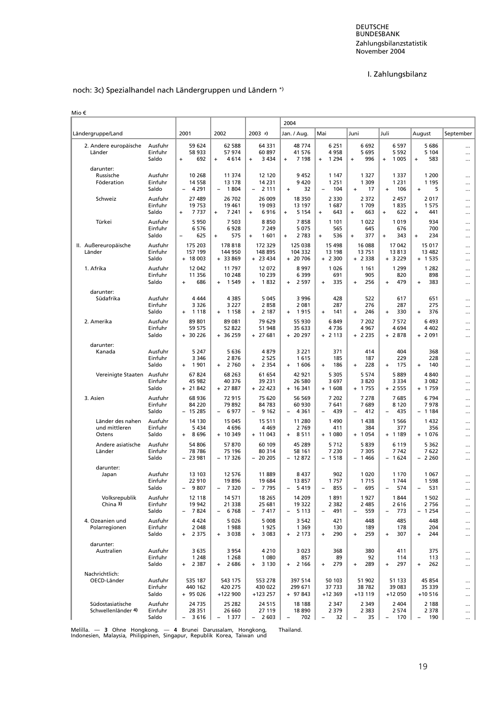I. Zahlungsbilanz

# noch: 3c) Spezialhandel nach Ländergruppen und Ländern \*)

| Mio €                                       |                             |                                                          |                                                          |                                                           |                                                         |                                                       |                                                              |                                                       |                                                |                          |
|---------------------------------------------|-----------------------------|----------------------------------------------------------|----------------------------------------------------------|-----------------------------------------------------------|---------------------------------------------------------|-------------------------------------------------------|--------------------------------------------------------------|-------------------------------------------------------|------------------------------------------------|--------------------------|
|                                             |                             |                                                          |                                                          |                                                           | 2004                                                    |                                                       |                                                              |                                                       |                                                |                          |
| Ländergruppe/Land                           |                             | 2001                                                     | 2002                                                     | 2003 r                                                    | Jan. / Aug.                                             | Mai                                                   | Juni                                                         | Juli                                                  | August                                         | September                |
| 2. Andere europäische<br>Länder             | Ausfuhr<br>Einfuhr<br>Saldo | 59 624<br>58 933<br>692<br>$\ddot{}$                     | 62 588<br>57 974<br>4614<br>$\ddot{}$                    | 64 331<br>60 897<br>3 4 3 4<br>$\ddot{}$                  | 48774<br>41 576<br>7 1 9 8<br>$+$                       | 6 2 5 1<br>4958<br>1 2 9 4<br>$+$                     | 6 6 9 2<br>5 6 9 5<br>996<br>$\ddot{}$                       | 6 5 9 7<br>5 5 9 2<br>1 0 0 5<br>$\ddot{}$            | 5686<br>5 1 0 4<br>583<br>$\ddot{}$            | <br>$\cdots$             |
| darunter:<br>Russische<br>Föderation        | Ausfuhr<br>Einfuhr<br>Saldo | 10 268<br>14 5 58<br>4 2 9 1<br>$\overline{\phantom{a}}$ | 11 374<br>13 178<br>1804<br>$\overline{\phantom{a}}$     | 12 120<br>14 2 31<br>2 1 1 1<br>$\overline{\phantom{a}}$  | 9452<br>9420<br>32<br>$\ddot{}$                         | 1 1 4 7<br>1 2 5 1<br>104<br>$\overline{\phantom{a}}$ | 1 3 2 7<br>1 3 0 9<br>17<br>$\begin{array}{c} + \end{array}$ | 1 3 3 7<br>1 2 3 1<br>106<br>$\ddot{}$                | 1 200<br>1 1 9 5<br>$\ddot{}$<br>5             | <br><br>                 |
| Schweiz                                     | Ausfuhr<br>Einfuhr<br>Saldo | 27 489<br>19 753<br>7737<br>$\ddot{}$                    | 26 702<br>19 4 61<br>7 241<br>$\ddot{}$                  | 26 009<br>19 093<br>6916<br>$\ddot{}$                     | 18 3 50<br>13 197<br>5 1 5 4<br>$+$                     | 2 3 3 0<br>1687<br>643<br>$\ddot{}$                   | 2 3 7 2<br>1709<br>663<br>$\ddot{}$                          | 2457<br>1835<br>622<br>$\ddot{}$                      | 2017<br>1575<br>441<br>$\ddot{}$               | <br><br>                 |
| Türkei                                      | Ausfuhr<br>Einfuhr<br>Saldo | 5 9 5 0<br>6 5 7 6<br>625<br>$\overline{\phantom{0}}$    | 7 5 0 3<br>6928<br>575<br>$\ddot{}$                      | 8850<br>7 2 4 9<br>1 601<br>$\ddot{}$                     | 7858<br>5 0 7 5<br>2 7 8 3<br>$+$                       | 1 1 0 1<br>565<br>536<br>$+$                          | 1 0 2 2<br>645<br>377<br>$\ddot{}$                           | 1019<br>676<br>343<br>$\ddot{}$                       | 934<br>700<br>234<br>$\ddot{}$                 | <br><br>                 |
| II. Außereuropäische<br>Länder              | Ausfuhr<br>Einfuhr<br>Saldo | 175 203<br>157 199<br>$+ 18003$                          | 178 818<br>144 950<br>+ 33 869                           | 172 329<br>148 895<br>$+ 23434$                           | 125 038<br>104 332<br>+ 20 706                          | 15 4 98<br>13 198<br>$+ 2300$                         | 16 088<br>13 7 51<br>$+ 2338$                                | 17 042<br>13813<br>$+ 3229$                           | 15 017<br>13 4 82<br>$+ 1535$                  | <br>$\cdots$<br>         |
| 1. Afrika                                   | Ausfuhr<br>Einfuhr<br>Saldo | 12 042<br>11 356<br>686<br>$+$                           | 11 797<br>10 248<br>1 5 4 9<br>$\ddot{}$                 | 12 072<br>10 239<br>1832<br>$\ddot{}$                     | 8997<br>6 3 9 9<br>2 5 9 7<br>$\ddot{}$                 | 1 0 2 6<br>691<br>335<br>$+$                          | 1 1 6 1<br>905<br>256<br>$\ddot{}$                           | 1 2 9 9<br>820<br>479<br>$\ddot{}$                    | 1 2 8 2<br>898<br>383<br>$\ddot{}$             | $\cdots$<br><br>         |
| darunter:<br>Südafrika                      | Ausfuhr<br>Einfuhr<br>Saldo | 4 4 4 4<br>3 3 2 6<br>$+$<br>1 1 1 8                     | 4 3 8 5<br>3 2 2 7<br>1 1 5 8<br>$\ddot{}$               | 5 0 4 5<br>2858<br>2 1 8 7<br>$+$                         | 3 9 9 6<br>2 0 8 1<br>1915<br>$\ddot{}$                 | 428<br>287<br>141<br>$\ddot{}$                        | 522<br>276<br>246<br>$+$                                     | 617<br>287<br>330<br>$\ddot{}$                        | 651<br>275<br>376<br>$\ddot{}$                 | <br><br>                 |
| 2. Amerika                                  | Ausfuhr<br>Einfuhr<br>Saldo | 89 801<br>59 575<br>$+ 30226$                            | 89 081<br>52 822<br>$+ 36259$                            | 79 629<br>51 948<br>$+ 27681$                             | 55 930<br>35 633<br>$+ 20297$                           | 6849<br>4736<br>$+ 2113$                              | 7 202<br>4967<br>$+ 2235$                                    | 7572<br>4694<br>$+ 2878$                              | 6493<br>4 4 0 2<br>$+ 2091$                    | <br><br>                 |
| darunter:<br>Kanada                         | Ausfuhr<br>Einfuhr<br>Saldo | 5 2 4 7<br>3 3 4 6<br>1901<br>$+$                        | 5 6 3 6<br>2876<br>$+ 2760$                              | 4879<br>2 5 2 5<br>$+ 2354$                               | 3 2 2 1<br>1615<br>+ 1606                               | 371<br>185<br>186<br>$+$                              | 414<br>187<br>228<br>$+$                                     | 404<br>229<br>175<br>$\ddot{}$                        | 368<br>228<br>140<br>$\ddot{}$                 | <br><br>$\cdots$         |
| Vereinigte Staaten                          | Ausfuhr<br>Einfuhr<br>Saldo | 67824<br>45 982<br>$+ 21842$                             | 68 263<br>40 376<br>+ 27 887                             | 61 654<br>39 231<br>$+ 22423$                             | 42 921<br>26 580<br>+ 16 341                            | 5 3 0 5<br>3 6 9 7<br>$+ 1608$                        | 5 5 7 4<br>3820<br>+ 1755                                    | 5889<br>3 3 3 4<br>$+ 2555$                           | 4840<br>3 0 8 2<br>+ 1759                      | <br><br>                 |
| 3. Asien                                    | Ausfuhr<br>Einfuhr<br>Saldo | 68 936<br>84 220<br>$-15285$                             | 72 915<br>79 892<br>6977<br>$\qquad \qquad -$            | 75 620<br>84 783<br>$-9162$                               | 56 569<br>60 930<br>$-4361$                             | 7 202<br>7641<br>439<br>$\overline{\phantom{0}}$      | 7 278<br>7689<br>412<br>$\overline{\phantom{a}}$             | 7685<br>8 1 2 0<br>435<br>$\overline{\phantom{a}}$    | 6794<br>7978<br>$-1184$                        | <br><br>$\cdots$         |
| Länder des nahen<br>und mittleren<br>Ostens | Ausfuhr<br>Einfuhr<br>Saldo | 14 130<br>5 4 3 4<br>8 6 9 6<br>$+$                      | 15 045<br>4696<br>$+ 10349$                              | 15 5 11<br>4469<br>+ 11 043                               | 11 280<br>2769<br>+ 8511                                | 1 4 9 0<br>411<br>$+ 1080$                            | 1 4 3 8<br>384<br>$+ 1054$                                   | 1566<br>377<br>$+ 1189$                               | 1432<br>356<br>$+ 1076$                        | <br><br>                 |
| Andere asiatische<br>Länder                 | Ausfuhr<br>Einfuhr<br>Saldo | 54 806<br>78 786<br>$-23981$                             | 57 870<br>75 196<br>$-17326$                             | 60 109<br>80 314<br>$-20205$                              | 45 289<br>58 161<br>$-12872$                            | 5712<br>7 230<br>$-1518$                              | 5839<br>7 3 0 5<br>$-1466$                                   | 6 1 1 9<br>7742<br>$-1624$                            | 5 3 6 2<br>7622<br>$-2260$                     | <br><br>$\cdots$         |
| darunter:<br>Japan                          | Ausfuhr<br>Einfuhr<br>Saldo | 13 103<br>22 910<br>9807<br>$\overline{\phantom{a}}$     | 12 576<br>19896<br>7 3 2 0<br>$\overline{\phantom{a}}$   | 11889<br>19 684<br>7795<br>$\overline{\phantom{a}}$       | 8437<br>13857<br>5419<br>$\overline{\phantom{0}}$       | 902<br>1757<br>855<br>$\overline{\phantom{0}}$        | 1 0 2 0<br>1715<br>695                                       | 1 1 7 0<br>1744<br>574<br>$\qquad \qquad -$           | 1 0 6 7<br>1 5 9 8<br>531<br>$\overline{a}$    | <br>$\cdots$             |
| Volksrepublik<br>China 3)                   | Ausfuhr<br>Einfuhr<br>Saldo | 12 118<br>19 942<br>$-7824$                              | 14 571<br>21 3 38<br>6768<br>$\overline{\phantom{a}}$    | 18 2 65<br>25 681<br>$-7417$                              | 14 209<br>19 322<br>5 1 1 3<br>$\overline{\phantom{0}}$ | 1891<br>2 3 8 2<br>491<br>$\overline{\phantom{a}}$    | 1927<br>2 4 8 5<br>559<br>$\overline{\phantom{a}}$           | 1844<br>2616<br>773<br>$\overline{\phantom{a}}$       | 1 5 0 2<br>2756<br>$-1254$                     | $\cdots$<br>$\cdots$<br> |
| 4. Ozeanien und<br>Polarregionen            | Ausfuhr<br>Einfuhr<br>Saldo | 4 4 2 4<br>2 0 4 8<br>2 3 7 5<br>$+$                     | 5026<br>1988<br>3 0 3 8<br>$\ddot{}$                     | 5 0 0 8<br>1925<br>3 0 8 3<br>$\ddot{}$                   | 3 5 4 2<br>1 3 6 9<br>2 1 7 3<br>$+$                    | 421<br>130<br>290<br>$\ddot{}$                        | 448<br>189<br>259<br>$\ddot{}$                               | 485<br>178<br>307<br>$\begin{array}{c} + \end{array}$ | 448<br>204<br>244<br>$\ddot{}$                 | <br><br>$\cdots$         |
| darunter:<br>Australien                     | Ausfuhr<br>Einfuhr<br>Saldo | 3 6 3 5<br>1 2 4 8<br>2 3 8 7<br>$+$                     | 3 9 5 4<br>1 2 6 8<br>2 6 8 6<br>$\ddot{}$               | 4 2 1 0<br>1 0 8 0<br>3 1 3 0<br>$\ddot{}$                | 3 0 2 3<br>857<br>2 1 6 6<br>$\ddot{}$                  | 368<br>89<br>279<br>$\ddot{}$                         | 380<br>92<br>289<br>$\ddot{}$                                | 411<br>114<br>297<br>$\ddot{}$                        | 375<br>113<br>262<br>$\ddot{}$                 | $\cdots$<br><br>         |
| Nachrichtlich:<br>OECD-Länder               | Ausfuhr<br>Einfuhr<br>Saldo | 535 187<br>440 162<br>$+ 95026$                          | 543 175<br>420 275<br>+122 900                           | 553 278<br>430 022<br>+123 257                            | 397 514<br>299 671<br>+ 97843                           | 50 103<br>37 733<br>+12 369                           | 51 902<br>38 782<br>+13 119                                  | 51 133<br>39 083<br>+12 050                           | 45 854<br>35 339<br>$+10516$                   | <br><br>                 |
| Südostasiatische<br>Schwellenländer 4)      | Ausfuhr<br>Einfuhr<br>Saldo | 24 7 35<br>28 351<br>3616<br>$\qquad \qquad -$           | 25 28 2<br>26 660<br>1 3 7 7<br>$\overline{\phantom{a}}$ | 24 5 1 5<br>27 119<br>2 6 0 3<br>$\overline{\phantom{a}}$ | 18 188<br>18890<br>702<br>$\qquad \qquad -$             | 2 3 4 7<br>2 3 7 9<br>32<br>$\overline{\phantom{a}}$  | 2 3 4 9<br>2 3 8 3<br>35<br>$\overline{\phantom{a}}$         | 2 4 0 4<br>2 5 7 4<br>170<br>$\overline{\phantom{a}}$ | 2 1 8 8<br>2 3 7 8<br>190<br>$\qquad \qquad -$ | $\cdots$<br>$\cdots$<br> |

Melilla. — **3** Ohne Hongkong. — **4** Brunei Darussalam, Hongkong, Thailand. Indonesien, Malaysia, Philippinen, Singapur, Republik Korea, Taiwan und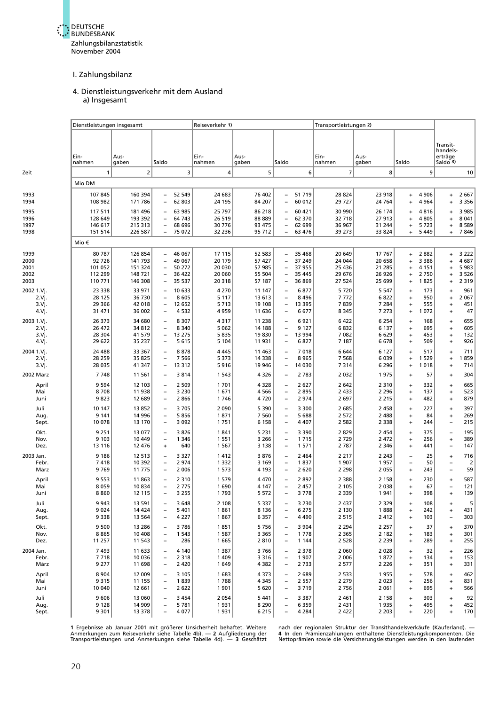## I. Zahlungsbilanz

## 4. Dienstleistungsverkehr mit dem Ausland a) Insgesamt

|                     | Dienstleistungen insgesamt |                    |                                                      |                    | Reiseverkehr 1)    |                    |                                                      |                   | Transportleistungen 2) |                    |                                               |                    |                                  |                       |
|---------------------|----------------------------|--------------------|------------------------------------------------------|--------------------|--------------------|--------------------|------------------------------------------------------|-------------------|------------------------|--------------------|-----------------------------------------------|--------------------|----------------------------------|-----------------------|
|                     |                            |                    |                                                      |                    |                    |                    |                                                      |                   |                        |                    |                                               |                    |                                  |                       |
|                     |                            |                    |                                                      |                    |                    |                    |                                                      |                   |                        |                    |                                               |                    | Transit-                         |                       |
|                     | Ein-                       | Aus-               |                                                      |                    | Ein-               | Aus-               |                                                      |                   | Ein-                   | Aus-               |                                               |                    | handels-<br>erträge              |                       |
|                     | nahmen                     | gaben              | Saldo                                                |                    | nahmen             | gaben              | Saldo                                                |                   | nahmen                 | gaben              | Saldo                                         |                    | Saldo 3)                         |                       |
| Zeit                | $\mathbf{1}$               | $\overline{2}$     |                                                      | 3                  | 4                  | 5                  |                                                      | 6                 | $\overline{7}$         | 8                  |                                               | 9                  |                                  | 10                    |
|                     | Mio DM                     |                    |                                                      |                    |                    |                    |                                                      |                   |                        |                    |                                               |                    |                                  |                       |
|                     |                            |                    |                                                      |                    |                    |                    |                                                      |                   |                        |                    |                                               |                    |                                  |                       |
| 1993<br>1994        | 107 845<br>108 982         | 160 394<br>171 786 | $\overline{\phantom{0}}$<br>$\qquad \qquad -$        | 52 549<br>62 803   | 24 683<br>24 195   | 76 402<br>84 207   | $\overline{\phantom{0}}$<br>$\overline{\phantom{0}}$ | 51 719<br>60 012  | 28 8 24<br>29 7 27     | 23 918<br>24 764   | $+$<br>$\ddot{}$                              | 4 9 0 6<br>4 9 6 4 | $+$<br>$\ddot{}$                 | 2 6 6 7<br>3 3 5 6    |
| 1995                | 117 511                    | 181 496            |                                                      | 63 985             | 25 797             | 86 218             |                                                      | 60 421            | 30 990                 |                    |                                               |                    |                                  | 3 9 8 5               |
| 1996                | 128 649                    | 193 392            | $\overline{\phantom{a}}$<br>$\qquad \qquad -$        | 64 743             | 26 519             | 88 889             | $\qquad \qquad -$<br>$\qquad \qquad -$               | 62 370            | 32718                  | 26 174<br>27 913   | $\ddot{}$<br>$\ddot{}$                        | 4816<br>4 8 0 5    | $\ddot{}$<br>$\ddot{}$           | 8 0 4 1               |
| 1997                | 146 617                    | 215 313            | $\overline{\phantom{a}}$                             | 68 696             | 30 776             | 93 475             | $\overline{\phantom{0}}$                             | 62 699            | 36 967                 | 31 244             | $\ddot{}$                                     | 5723               | $\ddot{}$                        | 8589                  |
| 1998                | 151 514                    | 226 587            |                                                      | 75 072             | 32 236             | 95 712             | $\overline{a}$                                       | 63 476            | 39 273                 | 33 824             | $\ddot{}$                                     | 5 4 4 9            |                                  | 7846                  |
|                     | Mio €                      |                    |                                                      |                    |                    |                    |                                                      |                   |                        |                    |                                               |                    |                                  |                       |
| 1999                | 80 787                     | 126 854            | $\overline{\phantom{0}}$                             | 46 067             | 17 115             | 52 583             |                                                      | 35 4 68           | 20 649                 | 17 767             | $\ddot{}$                                     | 2882               | $\ddot{}$                        | 3 2 2 2               |
| 2000                | 92 726                     | 141 793            | $\qquad \qquad -$                                    | 49 067             | 20 179             | 57 427             | $\overline{\phantom{0}}$                             | 37 249            | 24 044                 | 20 658             | $\ddot{}$                                     | 3 3 8 6            | $\ddot{}$                        | 4687                  |
| 2001                | 101 052                    | 151 324            | $\overline{\phantom{a}}$                             | 50 272             | 20 030             | 57 985             | $\overline{\phantom{0}}$                             | 37 955            | 25 4 36                | 21 285             | $\ddot{}$                                     | 4 1 5 1            | $\ddot{}$                        | 5983                  |
| 2002<br>2003        | 112 299<br>110 771         | 148721<br>146 308  | $\qquad \qquad -$                                    | 36 422<br>35 537   | 20 060<br>20 318   | 55 504<br>57 187   | $\overline{\phantom{0}}$                             | 35 4 45<br>36 869 | 29 676<br>27 524       | 26 926<br>25 699   | ÷<br>$\ddot{}$                                | 2 7 5 0<br>1825    | $\ddot{}$<br>$\ddot{}$           | 3 5 2 6<br>2 3 1 9    |
|                     |                            |                    |                                                      |                    |                    |                    |                                                      |                   |                        |                    |                                               |                    |                                  |                       |
| 2002 1.Vj.<br>2.Vj. | 23 338<br>28 125           | 33 971<br>36 730   | $\overline{\phantom{0}}$                             | 10 633<br>8 6 0 5  | 4 2 7 0<br>5 1 1 7 | 11 147<br>13 613   | $\overline{\phantom{0}}$<br>$\overline{\phantom{0}}$ | 6877<br>8 4 9 6   | 5720<br>7772           | 5 5 4 7<br>6822    | $\ddot{}$<br>$\ddot{}$                        | 173<br>950         | $\ddot{}$<br>$\ddot{}$           | 961<br>2067           |
| 3.Vj.               | 29 3 66                    | 42 018             | $\overline{\phantom{a}}$                             | 12 652             | 5713               | 19 108             |                                                      | 13 395            | 7839                   | 7 2 8 4            | $\ddot{}$                                     | 555                | $\ddot{}$                        | 451                   |
| 4.Vj.               | 31 471                     | 36 002             | $\overline{\phantom{a}}$                             | 4 5 3 2            | 4959               | 11 636             | $\overline{\phantom{0}}$                             | 6677              | 8 3 4 5                | 7 2 7 3            | $\ddot{}$                                     | 072<br>1           | $\ddot{}$                        | 47                    |
| 2003 1.Vi.          | 26 373                     | 34 680             | $\overline{\phantom{0}}$                             | 8 3 0 7            | 4317               | 11 238             | $\qquad \qquad -$                                    | 6921              | 6 4 2 2                | 6 2 5 4            | $\ddot{}$                                     | 168                | $\ddot{}$                        | 655                   |
| 2.Vj.               | 26 472                     | 34 812             | $\overline{\phantom{a}}$                             | 8 3 4 0            | 5 0 6 2            | 14 188             | $\overline{\phantom{0}}$                             | 9 1 2 7           | 6832                   | 6 1 3 7            | $\ddot{}$                                     | 695                | $\ddot{}$                        | 605                   |
| 3.Vj.               | 28 304<br>29 622           | 41 579<br>35 237   | $\overline{\phantom{a}}$                             | 13 275<br>5 6 1 5  | 5835<br>5 1 0 4    | 19830<br>11931     | $\qquad \qquad -$<br>$\overline{\phantom{0}}$        | 13 994<br>6827    | 7082<br>7 187          | 6629<br>6678       | $\ddot{}$                                     | 453<br>509         | $\ddot{}$                        | 132<br>926            |
| 4.Vj.               |                            |                    | $\overline{\phantom{a}}$                             |                    |                    |                    |                                                      |                   |                        |                    | $\ddot{}$                                     |                    | $\ddot{}$                        |                       |
| 2004 1.Vj.<br>2.Vj. | 24 488<br>28 259           | 33 367<br>35 825   | $\overline{\phantom{0}}$<br>$\overline{\phantom{a}}$ | 8878<br>7 5 6 6    | 4 4 4 5<br>5 3 7 3 | 11 4 63<br>14 3 38 | $\overline{\phantom{0}}$<br>$\qquad \qquad -$        | 7018<br>8 9 6 5   | 6 6 4 4<br>7 5 6 8     | 6 1 2 7<br>6039    | $\ddot{}$<br>$\ddot{}$                        | 517<br>1 5 2 9     | $\ddot{}$                        | 711<br>1859           |
| 3.Vj.               | 28 035                     | 41 347             | $\overline{\phantom{a}}$                             | 13 3 12            | 5916               | 19 946             | $\qquad \qquad -$                                    | 14 030            | 7314                   | 6 2 9 6            | $\ddot{}$                                     | 1018               | $\ddot{}$<br>$\ddot{}$           | 714                   |
| 2002 März           | 7748                       | 11 561             | $\overline{\phantom{0}}$                             | 3814               | 1 5 4 3            | 4 3 2 6            | $\qquad \qquad -$                                    | 2 7 8 3           | 2 0 3 2                | 1975               | $\ddot{}$                                     | 57                 | $\ddot{}$                        | 304                   |
| April               | 9 5 9 4                    | 12 103             | $\overline{\phantom{0}}$                             | 2 5 0 9            | 1701               | 4 3 2 8            | $\overline{\phantom{0}}$                             | 2 6 2 7           | 2 6 4 2                | 2 3 1 0            |                                               | 332                |                                  | 665                   |
| Mai                 | 8708                       | 11938              | $\overline{\phantom{a}}$                             | 3 2 3 0            | 1671               | 4566               | $\overline{\phantom{0}}$                             | 2895              | 2 4 3 3                | 2 2 9 6            | $\ddot{}$<br>$\ddot{}$                        | 137                | $\ddot{}$<br>$\ddot{}$           | 523                   |
| Juni                | 9823                       | 12 689             | $\qquad \qquad -$                                    | 2866               | 1746               | 4720               | $\qquad \qquad -$                                    | 2 9 7 4           | 2697                   | 2 2 1 5            | $\ddot{}$                                     | 482                | $\ddot{}$                        | 879                   |
| Juli                | 10 147                     | 13852              | $\overline{\phantom{0}}$                             | 3705               | 2090               | 5 3 9 0            | $\qquad \qquad -$                                    | 3 3 0 0           | 2 6 8 5                | 2 4 5 8            | $\ddot{}$                                     | 227                | $\ddot{}$                        | 397                   |
| Aug.                | 9 1 4 1                    | 14 996             | $\qquad \qquad -$                                    | 5856               | 1871               | 7 5 6 0            | $\qquad \qquad -$                                    | 5 6 8 8           | 2 5 7 2                | 2 4 8 8            | $\ddot{}$                                     | 84                 | $\ddot{}$                        | 269                   |
| Sept.               | 10 078                     | 13 170             | $\overline{\phantom{0}}$                             | 3 0 9 2            | 1751               | 6 1 5 8            | $\overline{\phantom{0}}$                             | 4 4 0 7           | 2 5 8 2                | 2 3 3 8            | $\ddot{}$                                     | 244                | $\overline{\phantom{0}}$         | 215                   |
| Okt.                | 9 2 5 1                    | 13 077             | $\overline{\phantom{a}}$                             | 3826               | 1841               | 5 2 3 1            | $\qquad \qquad -$                                    | 3 3 9 0           | 2829                   | 2 4 5 4            | $\ddot{}$                                     | 375                | $\overline{\phantom{0}}$         | 195                   |
| Nov.                | 9 1 0 3                    | 10 449             | $\qquad \qquad -$                                    | 1 3 4 6            | 1 5 5 1            | 3 2 6 6            | $\qquad \qquad -$                                    | 1715              | 2729                   | 2 4 7 2            | $\ddot{}$                                     | 256                | $\ddot{}$                        | 389                   |
| Dez.                | 13 116                     | 12 476             | $\ddot{}$                                            | 640                | 1 5 6 7            | 3 1 3 8            | $\overline{\phantom{a}}$                             | 1 5 7 1           | 2787                   | 2 3 4 6            | $\ddot{}$                                     | 441                | $\overline{\phantom{0}}$         | 147                   |
| 2003 Jan.<br>Febr.  | 9 1 8 6<br>7418            | 12 5 13<br>10 392  | $\overline{\phantom{0}}$<br>$\overline{\phantom{a}}$ | 3 3 2 7<br>2 9 7 4 | 1412<br>1 3 3 2    | 3876<br>3 1 6 9    | $\overline{\phantom{0}}$<br>$\overline{\phantom{a}}$ | 2 4 6 4<br>1837   | 2 2 1 7<br>1 907       | 2 2 4 3<br>1957    | $\overline{\phantom{0}}$<br>$\qquad \qquad -$ | 25<br>50           | $\ddot{}$<br>$\qquad \qquad -$   | 716<br>$\overline{2}$ |
| März                | 9769                       | 11 775             | $\overline{\phantom{a}}$                             | 2 0 0 6            | 1573               | 4 1 9 3            | $\qquad \qquad -$                                    | 2 6 2 0           | 2 2 9 8                | 2055               | $\ddot{}$                                     | 243                | $\qquad \qquad -$                | 59                    |
| April               | 9 5 5 3                    | 11863              |                                                      | 2 3 1 0            | 1579               | 4470               |                                                      | 2892              | 2 3 8 8                | 2 1 5 8            | $\ddot{}$                                     | 230                | $\ddot{}$                        | 587                   |
| Mai                 | 8059                       | 10834              | $\overline{\phantom{a}}$                             | 2775               | 1690               | 4 1 4 7            | $\overline{\phantom{0}}$                             | 2 4 5 7           | 2 1 0 5                | 2 0 3 8            | $\ddot{}$                                     | 67                 | $\overline{\phantom{a}}$         | 121                   |
| Juni                | 8860                       | 12 115             | $\overline{\phantom{a}}$                             | 3 2 5 5            | 1793               | 5 5 7 2            |                                                      | 3778              | 2 3 3 9                | 1941               |                                               | 398                | $\ddotmark$                      | 139                   |
| Juli                | 9943                       | 13 591             | $\qquad \qquad -$                                    | 3 6 4 8            | 2 1 0 8            | 5 3 3 7            | -                                                    | 3 2 3 0           | 2 4 3 7                | 2 3 2 9            | +                                             | 108                | $\ddot{}$                        | 5                     |
| Aug.                | 9024                       | 14 4 24            |                                                      | 5 4 0 1            | 1861               | 8 1 3 6            |                                                      | 6 2 7 5           | 2 1 3 0                | 1888               | $\ddot{}$                                     | 242                | $\ddot{}$                        | 431                   |
| Sept.               | 9 3 3 8                    | 13 5 64            | $\overline{\phantom{0}}$                             | 4 2 2 7            | 1867               | 6 3 5 7            | $\overline{\phantom{0}}$                             | 4 4 9 0           | 2 5 1 5                | 2412               | $\pmb{+}$                                     | 103                |                                  | 303                   |
| Okt.                | 9 500                      | 13 28 6            |                                                      | 3786               | 1851               | 5756               |                                                      | 3 9 0 4           | 2 2 9 4                | 2 2 5 7            | $\ddot{}$                                     | 37                 | $\ddot{}$                        | 370                   |
| Nov.<br>Dez.        | 8865<br>11 257             | 10 408<br>11 543   | $\qquad \qquad -$<br>$\qquad \qquad -$               | 1 5 4 3<br>286     | 1 5 8 7<br>1665    | 3 3 6 5<br>2810    | $\overline{\phantom{0}}$<br>$\overline{\phantom{0}}$ | 1778<br>1 1 4 4   | 2 3 6 5<br>2 5 2 8     | 2 1 8 2<br>2 2 3 9 | $\ddot{}$<br>$\ddot{}$                        | 183<br>289         | $\ddot{}$                        | 301<br>255            |
|                     |                            |                    |                                                      |                    |                    |                    |                                                      |                   |                        |                    |                                               |                    | $\ddot{}$                        |                       |
| 2004 Jan.<br>Febr.  | 7493<br>7718               | 11 633<br>10 0 36  | $\overline{\phantom{a}}$                             | 4 1 4 0<br>2 3 1 8 | 1 3 8 7<br>1 4 0 9 | 3766<br>3 3 1 6    | $\overline{\phantom{0}}$                             | 2 3 7 8<br>1 907  | 2 0 6 0<br>2 0 0 6     | 2 0 2 8<br>1872    | $\ddot{}$<br>$\ddot{}$                        | 32<br>134          | $\ddot{}$<br>$\ddot{}$           | 226<br>153            |
| März                | 9 2 7 7                    | 11 698             | $\qquad \qquad -$                                    | 2 4 2 0            | 1649               | 4 3 8 2            | -                                                    | 2 7 3 3           | 2 5 7 7                | 2 2 2 6            | $\ddot{}$                                     | 351                | $\ddot{}$                        | 331                   |
| April               | 8 9 0 4                    | 12 009             | $\qquad \qquad -$                                    | 3 1 0 5            | 1683               | 4 3 7 3            | $\overline{a}$                                       | 2 6 8 9           | 2 5 3 3                | 1955               | $\ddot{}$                                     | 578                | $\ddot{}$                        | 462                   |
| Mai                 | 9315                       | 11 155             | $\qquad \qquad -$                                    | 1839               | 1788               | 4 3 4 5            | -                                                    | 2 5 5 7           | 2 2 7 9                | 2 0 2 3            | $\ddot{}$                                     | 256                | $\begin{array}{c} + \end{array}$ | 831                   |
| Juni                | 10 040                     | 12 661             | $\overline{\phantom{0}}$                             | 2 6 2 2            | 1901               | 5 6 20             | $\qquad \qquad -$                                    | 3719              | 2756                   | 2 0 6 1            | $\ddot{}$                                     | 695                | $\ddot{}$                        | 566                   |
| Juli                | 9606                       | 13 060             |                                                      | 3 4 5 4            | 2054               | 5 4 4 1            |                                                      | 3 3 8 7           | 2 4 6 1                | 2 1 5 8            | $\ddot{}$                                     | 303                | $\ddot{}$                        | 92                    |
| Aug.                | 9 1 2 8                    | 14 909             | $\overline{\phantom{0}}$                             | 5 7 8 1            | 1931               | 8 2 9 0            | -                                                    | 6 3 5 9           | 2 4 3 1                | 1935               | $\ddot{}$                                     | 495                | $\ddot{}$                        | 452                   |
| Sept.               | 9 3 0 1                    | 13 378             |                                                      | 4 0 7 7            | 1931               | 6 2 1 5            |                                                      | 4 2 8 4           | 2422                   | 2 2 0 3            | $\ddot{}$                                     | 220                | $\ddot{}$                        | 170                   |

1 Ergebnisse ab Januar 2001 mit größerer Unsicherheit behaftet. Weitere benach der regionalen Struktur der Transithandelsverkäufe (Käuferland). —<br>Anmerkungen zum Reiseverkehr siehe Tabelle 4b). — 2 Aufgliederung der Pamien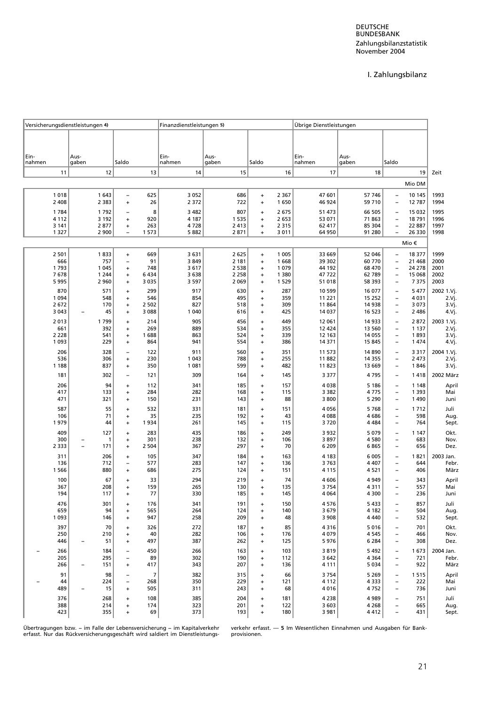## I. Zahlungsbilanz

| Versicherungsdienstleistungen 4) |                                      |                                                                     | Finanzdienstleistungen 5)    |                    |                                                                      |                    | Übrige Dienstleistungen |                     |                                                      |                    |                     |
|----------------------------------|--------------------------------------|---------------------------------------------------------------------|------------------------------|--------------------|----------------------------------------------------------------------|--------------------|-------------------------|---------------------|------------------------------------------------------|--------------------|---------------------|
|                                  |                                      |                                                                     |                              |                    |                                                                      |                    |                         |                     |                                                      |                    |                     |
|                                  |                                      |                                                                     |                              |                    |                                                                      |                    |                         |                     |                                                      |                    |                     |
| Ein-<br>nahmen                   | Aus-<br>gaben                        | Saldo                                                               | Ein-<br>nahmen               | Aus-<br>gaben      | Saldo                                                                |                    | Ein-<br>nahmen          | Aus-<br>gaben       | Saldo                                                |                    |                     |
| 11                               | 12                                   | 13                                                                  | 14                           | 15                 |                                                                      | 16                 | 17                      | 18                  |                                                      | 19                 | Zeit                |
|                                  |                                      |                                                                     |                              |                    |                                                                      |                    |                         |                     |                                                      | Mio DM             |                     |
| 1 0 1 8                          | 1 6 4 3                              | 625<br>$\overline{\phantom{0}}$                                     | 3 0 5 2                      | 686                | $\ddot{}$                                                            | 2 3 6 7            | 47 601                  | 57 746              | $\overline{\phantom{a}}$                             | 10 145             | 1993                |
| 2 4 0 8                          | 2 3 8 3                              | 26<br>$\ddot{}$                                                     | 2 3 7 2                      | 722                | $\ddot{}$                                                            | 1650               | 46 924                  | 59 710              | $\overline{\phantom{0}}$                             | 12 787             | 1994                |
| 1 7 8 4                          | 1792                                 | $\overline{\phantom{0}}$                                            | 8<br>3 4 8 2                 | 807                | $\ddot{}$                                                            | 2675               | 51 473                  | 66 505              | $\overline{\phantom{0}}$                             | 15 0 32            | 1995                |
| 4 1 1 2<br>3 1 4 1               | 3 1 9 2<br>2877                      | 920<br>$\ddot{}$<br>263<br>$\bf{+}$                                 | 4 1 8 7<br>4728              | 1 5 3 5<br>2 4 1 3 | $\begin{array}{c} + \end{array}$<br>$\begin{array}{c} + \end{array}$ | 2 6 5 3<br>2 3 1 5 | 53 071<br>62 417        | 71863<br>85 304     | $\qquad \qquad -$<br>$\qquad \qquad -$               | 18791<br>22 887    | 1996<br>1997        |
| 1 3 2 7                          | 2 9 0 0                              | 1 5 7 3                                                             | 5882                         | 2871               | $+$                                                                  | 3 0 1 1            | 64 950                  | 91 280              |                                                      | 26 330             | 1998                |
|                                  |                                      |                                                                     |                              |                    |                                                                      |                    |                         |                     |                                                      | Mio €              |                     |
| 2 5 0 1                          | 1833                                 | 669<br>$\begin{array}{c} + \end{array}$                             | 3631                         | 2625               | $\ddot{}$                                                            | 1 0 0 5            | 33 669                  | 52 046              | $\equiv$                                             | 18 377             | 1999                |
| 666                              | 757                                  | 91<br>$\overline{\phantom{a}}$                                      | 3849                         | 2 1 8 1            | $\ddot{}$                                                            | 1668               | 39 302                  | 60 770              | $\qquad \qquad -$                                    | 21 4 68            | 2000                |
| 1793<br>7678                     | 1 0 4 5<br>1 2 4 4                   | 748<br>$\ddot{}$<br>6434<br>$\ddot{}$                               | 3617<br>3 6 3 8              | 2 5 3 8<br>2 2 5 8 | $\begin{array}{c} + \end{array}$<br>$\begin{array}{c} + \end{array}$ | 1 0 7 9<br>1 3 8 0 | 44 192<br>47722         | 68 470<br>62 789    | $\overline{\phantom{a}}$<br>$\overline{\phantom{a}}$ | 24 278<br>15 0 68  | 2001<br>2002        |
| 5 9 9 5                          | 2 9 6 0                              | 3 0 3 5<br>$\ddot{}$                                                | 3 5 9 7                      | 2 0 6 9            | $\ddot{}$                                                            | 1 5 2 9            | 51 018                  | 58 393              | $\overline{\phantom{a}}$                             | 7375               | 2003                |
| 870                              | 571                                  | 299<br>$\ddot{}$                                                    | 917                          | 630                | $\ddot{}$                                                            | 287                | 10 599                  | 16 077              | $\overline{\phantom{a}}$                             | 5 4 7 7            | 2002 1.Vj.          |
| 1 0 9 4                          | 548                                  | 546<br>$\ddot{}$                                                    | 854                          | 495                | $\ddot{}$                                                            | 359                | 11 221                  | 15 2 5 2            | $\overline{\phantom{a}}$                             | 4 0 3 1            | 2.Vj.               |
| 2672<br>3 0 4 3                  | 170<br>45                            | 2 5 0 2<br>$\begin{array}{c} + \end{array}$<br>3 0 8 8<br>$\ddot{}$ | 827<br>1 0 4 0               | 518<br>616         | $\ddot{}$<br>$\ddot{}$                                               | 309<br>425         | 11864<br>14 037         | 14 938<br>16 523    | $\overline{\phantom{a}}$<br>$\overline{\phantom{a}}$ | 3 0 7 3<br>2 4 8 6 | 3.Vj.<br>4.Vj.      |
| 2 0 1 3                          | 1799                                 | 214<br>$\ddot{}$                                                    | 905                          | 456                | $\ddot{}$                                                            | 449                | 12 061                  | 14 933              | $\overline{\phantom{a}}$                             | 2872               | 2003 1.Vj.          |
| 661                              | 392                                  | 269<br>$\begin{array}{c} + \end{array}$                             | 889                          | 534                | $\ddot{}$                                                            | 355                | 12 4 24                 | 13 560              | $\overline{\phantom{a}}$                             | 1 1 3 7            | 2.Vj.               |
| 2 2 2 8                          | 541                                  | 1688<br>$\ddot{}$                                                   | 863                          | 524                | $\ddot{}$                                                            | 339                | 12 163                  | 14 055              | $\overline{\phantom{a}}$                             | 1893               | 3.Vj.               |
| 1 0 9 3                          | 229                                  | 864<br>$\ddot{}$                                                    | 941                          | 554                | $\ddot{}$                                                            | 386                | 14 371                  | 15 845              | $\overline{\phantom{a}}$                             | 1474               | 4.Vj.               |
| 206<br>536                       | 328<br>306                           | 122<br>$\qquad \qquad -$<br>230<br>$\begin{array}{c} + \end{array}$ | 911<br>1 0 4 3               | 560<br>788         | $\ddot{}$<br>+                                                       | 351<br>255         | 11 573<br>11882         | 14 8 90<br>14 3 5 5 | $\overline{\phantom{a}}$<br>$\overline{\phantom{a}}$ | 3 3 1 7<br>2 4 7 3 | 2004 1.Vj.<br>2.Vj. |
| 1 1 8 8                          | 837                                  | 350<br>$\begin{array}{c} + \end{array}$                             | 1 0 8 1                      | 599                | $\ddot{}$                                                            | 482                | 11823                   | 13 669              | $\overline{\phantom{a}}$                             | 1846               | 3.Vj.               |
| 181                              | 302                                  | 121<br>$\qquad \qquad -$                                            | 309                          | 164                | $\ddot{}$                                                            | 145                | 3 3 7 7                 | 4795                | $\overline{\phantom{a}}$                             | 1418               | 2002 März           |
| 206                              | 94                                   | 112<br>$\ddot{}$                                                    | 341                          | 185                | $\ddot{}$                                                            | 157                | 4038                    | 5 1 8 6             | $\overline{\phantom{a}}$                             | 1 1 4 8            | April               |
| 417<br>471                       | 133<br>321                           | 284<br>$\ddot{}$<br>150<br>$\ddot{}$                                | 282<br>231                   | 168<br>143         | $\ddot{}$<br>$\ddot{}$                                               | 115<br>88          | 3 3 8 2<br>3 8 0 0      | 4775<br>5 2 9 0     | $\overline{\phantom{a}}$<br>$\overline{\phantom{a}}$ | 1 3 9 3<br>1490    | Mai<br>Juni         |
|                                  |                                      |                                                                     |                              |                    |                                                                      |                    |                         |                     |                                                      |                    |                     |
| 587<br>106                       | 55<br>71                             | 532<br>$\ddot{}$<br>35<br>$\begin{array}{c} + \end{array}$          | 331<br>235                   | 181<br>192         | $\ddot{}$<br>$\ddot{}$                                               | 151<br>43          | 4056<br>4 0 8 8         | 5768<br>4686        | $\overline{\phantom{a}}$<br>$\overline{\phantom{a}}$ | 1712<br>598        | Juli<br>Aug.        |
| 1979                             | 44                                   | 1934<br>$\ddot{}$                                                   | 261                          | 145                | $\ddot{}$                                                            | 115                | 3720                    | 4 4 8 4             | $\overline{\phantom{a}}$                             | 764                | Sept.               |
| 409                              | 127                                  | 283<br>$\begin{array}{c} + \end{array}$                             | 435                          | 186                | $\ddot{}$                                                            | 249                | 3 9 3 2                 | 5 0 7 9             | $\overline{\phantom{a}}$                             | 1 1 4 7            | Okt.                |
| 300<br>2 3 3 3                   | 1<br>171<br>$\overline{\phantom{0}}$ | 301<br>$\ddot{}$<br>2 5 0 4<br>$\ddot{}$                            | 238<br>367                   | 132<br>297         | $\ddot{}$<br>$\ddot{}$                                               | 106<br>70          | 3897<br>6 2 0 9         | 4580<br>6865        | $\overline{\phantom{a}}$<br>$\overline{\phantom{a}}$ | 683<br>656         | Nov.<br>Dez.        |
| 311                              | 206                                  | 105<br>$\begin{array}{c} + \end{array}$                             | 347                          | 184                | $\ddot{}$                                                            | 163                | 4 1 8 3                 | 6 0 0 5             | $\overline{\phantom{a}}$                             | 1821               | 2003 Jan.           |
| 136                              | 712                                  | 577<br>$\overline{\phantom{0}}$                                     | 283                          | 147                | $\ddot{}$                                                            | 136                | 3763                    | 4 4 0 7             | $\overline{\phantom{0}}$                             | 644                | Febr.               |
| 1 5 6 6                          | 880                                  | 686<br>$\ddot{}$                                                    | 275                          | 124                | $\ddot{}$                                                            | 151                | 4 1 1 5                 | 4 5 2 1             | $\overline{\phantom{a}}$                             | 406                | März                |
| 100                              | 67                                   | 33<br>$\ddot{}$                                                     | 294                          | 219                | $\ddot{}$                                                            | 74                 | 4606                    | 4 9 4 9             |                                                      | 343                | April               |
| 367<br>194                       | 208<br>117                           | 159<br>$\ddot{}$<br>77                                              | 265<br>330                   | 130<br>185         | $\ddot{}$                                                            | 135<br>145         | 3754<br>4 0 6 4         | 4311<br>4 3 0 0     | $\overline{\phantom{a}}$                             | 557<br>236         | Mai<br>Juni         |
| 476                              | 301                                  | 176<br>$\begin{array}{c} + \end{array}$                             | 341                          | 191                | $\ddot{}$                                                            | 150                | 4576                    | 5 4 3 3             | $\overline{\phantom{0}}$                             | 857                | Juli                |
| 659                              | 94                                   | 565<br>$\begin{array}{c} + \end{array}$                             | 264                          | 124                | $\ddot{}$                                                            | 140                | 3679                    | 4 1 8 2             | $\qquad \qquad -$                                    | 504                | Aug.                |
| 1 0 9 3                          | 146                                  | 947<br>$\begin{array}{c} + \end{array}$                             | 258                          | 209                | $\ddot{}$                                                            | 48                 | 3 9 0 8                 | 4 4 4 0             | $\overline{\phantom{0}}$                             | 532                | Sept.               |
| 397<br>250                       | 70                                   | 326<br>$\begin{array}{c} + \end{array}$                             | 272                          | 187                | $\ddot{}$                                                            | 85                 | 4316                    | 5 0 1 6             | $\overline{\phantom{a}}$                             | 701                | Okt.                |
| 446                              | 210<br>51                            | 40<br>$\ddot{}$<br>497<br>$\ddot{}$                                 | 282<br>387                   | 106<br>262         | $\ddot{}$<br>$\ddot{}$                                               | 176<br>125         | 4 0 7 9<br>5976         | 4 5 4 5<br>6 2 8 4  | $\qquad \qquad -$<br>$\overline{\phantom{a}}$        | 466<br>308         | Nov.<br>Dez.        |
| 266                              | 184                                  | 450<br>-                                                            | 266                          | 163                | $\ddot{}$                                                            | 103                | 3819                    | 5 4 9 2             | $\overline{\phantom{0}}$                             | 1673               | 2004 Jan.           |
| 205                              | 295                                  | 89<br>$\overline{\phantom{a}}$                                      | 302                          | 190                | $\ddot{}$                                                            | 112                | 3 6 4 2                 | 4 3 6 4             | $\overline{\phantom{a}}$                             | 721                | Febr.               |
| 266                              | 151                                  | 417<br>$\begin{array}{c} + \end{array}$                             | 343                          | 207                | $\ddot{}$                                                            | 136                | 4 1 1 1                 | 5 0 3 4             | $\overline{\phantom{a}}$                             | 922                | März                |
| 91                               | 98                                   | $\qquad \qquad -$                                                   | $\overline{7}$<br>382<br>350 | 315                | $\ddot{}$                                                            | 66                 | 3754<br>4 1 1 2         | 5 2 6 9             | $\overline{\phantom{a}}$                             | 1515               | April               |
| 44<br>489                        | 224<br>15                            | 268<br>$\qquad \qquad -$<br>505<br>$\begin{array}{c} + \end{array}$ | 311                          | 229<br>243         | $\ddot{}$<br>$\ddot{}$                                               | 121<br>68          | 4016                    | 4 3 3 3<br>4752     | $\qquad \qquad -$<br>$\overline{\phantom{a}}$        | 222<br>736         | Mai<br>Juni         |
| 376                              | 268                                  | 108<br>$\begin{array}{c} + \end{array}$                             | 385                          | 204                | $\ddot{}$                                                            | 181                | 4 2 3 8                 | 4 9 8 9             | $\overline{\phantom{a}}$                             | 751                | Juli                |
| 388                              | 214                                  | 174<br>$\ddot{}$                                                    | 323                          | 201                | $\ddot{}$                                                            | 122                | 3 6 0 3                 | 4 2 6 8             | $\qquad \qquad -$                                    | 665                | Aug.                |
| 423                              | 355                                  | 69<br>$\ddot{}$                                                     | 373                          | 193                | $\begin{array}{c} + \end{array}$                                     | 180                | 3 9 8 1                 | 4412                | $\qquad \qquad -$                                    | 431                | Sept.               |

Übertragungen bzw. – im Falle der Lebensversicherung – im Kapitalverkehr<br>erfasst. Nur das Rückversicherungsgeschäft wird saldiert im Dienstleistungs-

verkehr erfasst. − 5 Im Wesentlichen Einnahmen und Ausgaben für Bank-<br>provisionen.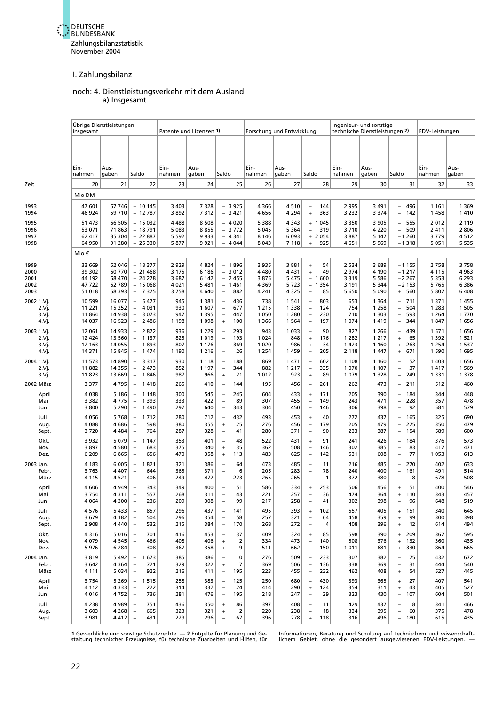

## noch: 4. Dienstleistungsverkehr mit dem Ausland a) Insgesamt

|                    |                   | Übrige Dienstleistungen |                                                                            |                 |                         |                                                                    |                    |                           |                                                             |                 | Ingenieur- und sonstige        |                                                                    |                    |                    |
|--------------------|-------------------|-------------------------|----------------------------------------------------------------------------|-----------------|-------------------------|--------------------------------------------------------------------|--------------------|---------------------------|-------------------------------------------------------------|-----------------|--------------------------------|--------------------------------------------------------------------|--------------------|--------------------|
|                    | insgesamt         |                         |                                                                            |                 | Patente und Lizenzen 1) |                                                                    |                    | Forschung und Entwicklung |                                                             |                 | technische Dienstleistungen 2) |                                                                    | EDV-Leistungen     |                    |
|                    |                   |                         |                                                                            |                 |                         |                                                                    |                    |                           |                                                             |                 |                                |                                                                    |                    |                    |
|                    |                   |                         |                                                                            |                 |                         |                                                                    |                    |                           |                                                             |                 |                                |                                                                    |                    |                    |
|                    |                   |                         |                                                                            |                 |                         |                                                                    |                    |                           |                                                             |                 |                                |                                                                    |                    |                    |
|                    | Ein-<br>nahmen    | Aus-<br>gaben           | Saldo                                                                      | Ein-<br>nahmen  | Aus-<br>gaben           | Saldo                                                              | Ein-<br>nahmen     | Aus-<br>gaben             | Saldo                                                       | Ein-<br>nahmen  | Aus-<br>gaben                  | Saldo                                                              | Ein-<br>nahmen     | Aus-<br>gaben      |
| Zeit               | 20                | 21                      | 22                                                                         | 23              | 24                      | 25                                                                 | 26                 | 27                        | 28                                                          | 29              | 30                             | 31                                                                 | 32                 | 33                 |
|                    | Mio DM            |                         |                                                                            |                 |                         |                                                                    |                    |                           |                                                             |                 |                                |                                                                    |                    |                    |
|                    |                   |                         |                                                                            |                 |                         |                                                                    |                    |                           |                                                             |                 |                                |                                                                    |                    |                    |
| 1993               | 47 601            | 57 746                  | $-10145$                                                                   | 3 4 0 3         | 7 3 2 8                 | $-3925$                                                            | 4 3 6 6            | 4510                      | 144<br>$\qquad \qquad -$                                    | 2 9 9 5         | 3491                           | 496<br>$-$                                                         | 1 1 6 1            | 1 3 6 9            |
| 1994               | 46 924            | 59 710                  | $-12787$                                                                   | 3892            | 7312                    | $-3421$                                                            | 4656               | 4 2 9 4                   | 363<br>$\ddot{}$                                            | 3 2 3 2         | 3 3 7 4                        | 142<br>$\overline{\phantom{a}}$                                    | 1458               | 1410               |
| 1995<br>1996       | 51 473<br>53 071  | 66 505<br>71863         | $-15032$<br>$-18791$                                                       | 4488<br>5 0 8 3 | 8 5 0 8<br>8855         | $-4020$<br>$-3772$                                                 | 5 3 8 8<br>5 0 4 5 | 4 3 4 3<br>5 3 6 4        | 1 0 4 5<br>$+$<br>319<br>$\overline{\phantom{0}}$           | 3 3 5 0<br>3710 | 3 9 0 5<br>4 220               | 555<br>$\overline{\phantom{a}}$<br>509<br>$\overline{\phantom{a}}$ | 2012<br>2411       | 2 1 1 9<br>2806    |
| 1997               | 62 417            | 85 304                  | $-22887$                                                                   | 5 5 9 2         | 9933                    | $-4341$                                                            | 8 1 4 6            | 6093                      | 2 0 5 4<br>$+$                                              | 3887            | 5 147                          | $-1260$                                                            | 3779               | 4512               |
| 1998               | 64 950            | 91 280                  | $-26330$                                                                   | 5877            | 9921                    | $-4044$                                                            | 8 0 4 3            | 7 1 1 8                   | 925<br>$\ddot{}$                                            | 4651            | 5 969                          | $-1318$                                                            | 5051               | 5 5 3 5            |
|                    | Mio €             |                         |                                                                            |                 |                         |                                                                    |                    |                           |                                                             |                 |                                |                                                                    |                    |                    |
| 1999               | 33 669            | 52 046                  | $-18377$                                                                   | 2929            | 4824                    | $-1896$                                                            | 3 9 3 5            | 3881                      | 54<br>$\ddot{}$                                             | 2 5 3 4         | 3 689                          | $-1155$                                                            | 2758               | 3758               |
| 2000               | 39 302            | 60 770                  | $-21468$                                                                   | 3 1 7 5         | 6 18 6                  | $-3012$                                                            | 4 4 8 0            | 4431                      | 49<br>$\ddot{}$                                             | 2974            | 4 1 9 0                        | $-1217$                                                            | 4 1 1 5            | 4 9 63             |
| 2001               | 44 192            | 68 470                  | $-24278$                                                                   | 3 687           | 6 1 4 2                 | $-2455$                                                            | 3875               | 5 4 7 5                   | 600<br>-<br>-1                                              | 3 3 1 9         | 5 586                          | $-2267$                                                            | 5 3 5 3            | 6 2 9 3            |
| 2002               | 47722             | 62789                   | $-15068$                                                                   | 4 0 2 1         | 5 4 8 1                 | $-1461$                                                            | 4 3 6 9            | 5723                      | 1 3 5 4<br>$\overline{\phantom{0}}$                         | 3 1 9 1         | 5 344                          | $-2153$                                                            | 5765               | 6 3 8 6            |
| 2003               | 51 018            | 58 393                  | $-7375$                                                                    | 3758            | 4640                    | 882<br>$\overline{\phantom{a}}$                                    | 4 2 4 1            | 4 3 2 5                   | 85<br>$\overline{\phantom{0}}$                              | 5 6 5 0         | 5090                           | + 560                                                              | 5807               | 6 4 0 8            |
| 2002 1.Vi.         | 10 599            | 16 077                  | 5477<br>$\qquad \qquad -$                                                  | 945             | 1 3 8 1                 | 436<br>$\qquad \qquad -$                                           | 738                | 1 5 4 1                   | 803<br>$\overline{\phantom{0}}$                             | 653             | 1 3 6 4                        | 711<br>$\overline{\phantom{a}}$                                    | 1 3 7 1            | 1 4 5 5            |
| 2.Vj.<br>3.Vj.     | 11 2 2 1<br>11864 | 15 252<br>14 938        | 4 0 3 1<br>$\overline{\phantom{a}}$<br>3 0 7 3<br>$\overline{\phantom{a}}$ | 930<br>947      | 1607<br>1 3 9 5         | 677<br>$\overline{\phantom{a}}$<br>447<br>$\overline{\phantom{a}}$ | 1 2 1 5<br>1 0 5 0 | 1 3 3 8<br>1 2 8 0        | 124<br>$\qquad \qquad -$<br>230<br>$\qquad \qquad -$        | 754<br>710      | 1 2 5 8<br>1 3 0 3             | 504<br>$\overline{\phantom{a}}$<br>593<br>$\overline{\phantom{a}}$ | 1 2 8 3<br>1 2 6 4 | 1 5 0 5<br>1770    |
| 4.Vj.              | 14 037            | 16 523                  | 2 4 8 6<br>$\overline{\phantom{0}}$                                        | 1 1 9 8         | 1098                    | 100<br>$\ddot{}$                                                   | 1 3 6 6            | 1 5 6 4                   | 197<br>$\overline{\phantom{0}}$                             | 1074            | 1419                           | 344<br>$\overline{\phantom{a}}$                                    | 1847               | 1656               |
| 2003 1.Vi.         | 12 061            | 14 933                  | 2872<br>$\qquad \qquad -$                                                  | 936             | 1 2 2 9                 | 293                                                                | 943                | 1 0 3 3                   | 90<br>$\overline{\phantom{0}}$                              | 827             | 1 2 6 6                        | 439                                                                | 1571               | 1656               |
| 2.Vj.              | 12 4 24           | 13 560                  | $\equiv$<br>1 1 3 7                                                        | 825             | 1019                    | $\overline{\phantom{a}}$<br>193                                    | 1 0 2 4            | 848                       | 176<br>$\ddot{}$                                            | 1 2 8 2         | 1 2 1 7                        | 65<br>$\begin{array}{c} + \end{array}$                             | 1 3 9 2            | 1 5 2 1            |
| 3.Vj.              | 12 163            | 14 055                  | 1893<br>$\qquad \qquad -$                                                  | 807             | 1 1 7 6                 | 369<br>$\overline{\phantom{0}}$                                    | 1 0 2 0            | 986                       | 34<br>$\ddot{}$                                             | 1423            | 1 1 6 0                        | 263<br>$\ddot{}$                                                   | 1 2 5 4            | 1 5 3 7            |
| 4.Vj.              | 14 371            | 15 845                  | 1474<br>$\overline{\phantom{0}}$                                           | 1 1 9 0         | 1 2 1 6                 | 26<br>$\overline{\phantom{0}}$                                     | 1 2 5 4            | 1459                      | 205<br>$\overline{\phantom{0}}$                             | 2 1 1 8         | 1447                           | 671<br>$\ddot{}$                                                   | 1 5 9 0            | 1695               |
| 2004 1 Vi.         | 11 573            | 14 890                  | 3 3 1 7<br>$\qquad \qquad -$                                               | 930             | 1 1 1 8                 | 188<br>$\qquad \qquad -$                                           | 869                | 1471                      | 602<br>$\overline{\phantom{0}}$                             | 1 1 0 8         | 1 1 6 0                        | 52<br>$\overline{\phantom{a}}$                                     | 1 4 0 3            | 1656               |
| 2.Vj.              | 11882<br>11823    | 14 3 5 5<br>13 669      | $\overline{\phantom{a}}$<br>2 4 7 3<br>1846<br>$\overline{\phantom{a}}$    | 852<br>987      | 1 1 9 7<br>966          | 344<br>$\overline{\phantom{a}}$<br>21                              | 882<br>1012        | 1 2 1 7<br>923            | 335<br>$\equiv$<br>89<br>$\ddot{}$                          | 1070<br>1079    | 1 1 0 7<br>1 3 2 8             | $\overline{a}$<br>37<br>249<br>$\overline{\phantom{a}}$            | 1417<br>1 3 3 1    | 1 5 6 9<br>1 3 7 8 |
| 3.Vj.              |                   |                         |                                                                            |                 |                         | $\ddot{}$                                                          |                    |                           |                                                             |                 |                                |                                                                    |                    |                    |
| 2002 März          | 3 3 7 7           | 4795                    | 1418<br>$\overline{\phantom{a}}$                                           | 265             | 410                     | 144<br>$\overline{\phantom{a}}$                                    | 195                | 456                       | 261<br>$\overline{\phantom{0}}$                             | 262             | 473                            | 211<br>$\overline{\phantom{0}}$                                    | 512                | 460                |
| April<br>Mai       | 4038<br>3 3 8 2   | 5 1 8 6<br>4775         | 1 1 4 8<br>$\overline{\phantom{0}}$<br>1 3 9 3<br>$\overline{\phantom{a}}$ | 300<br>333      | 545<br>422              | 245<br>$\overline{\phantom{a}}$<br>89<br>$\overline{\phantom{a}}$  | 604<br>307         | 433<br>455                | 171<br>$\ddot{}$<br>149                                     | 205<br>243      | 390<br>471                     | 184<br>$\overline{\phantom{a}}$<br>228<br>$\overline{\phantom{a}}$ | 344<br>357         | 448<br>478         |
| Juni               | 3800              | 5 2 9 0                 | 1490<br>$\overline{\phantom{a}}$                                           | 297             | 640                     | 343<br>$\overline{\phantom{0}}$                                    | 304                | 450                       | 146<br>$\overline{\phantom{0}}$                             | 306             | 398                            | 92<br>$\overline{\phantom{a}}$                                     | 581                | 579                |
| Juli               | 4056              | 5768                    | 1712<br>$\overline{\phantom{a}}$                                           | 280             | 712                     | 432<br>$\overline{\phantom{a}}$                                    | 493                | 453                       | 40<br>$\ddot{}$                                             | 272             | 437                            | 165<br>$\overline{\phantom{a}}$                                    | 325                | 690                |
| Aug                | 4088              | 4 686                   | 598<br>$\overline{\phantom{a}}$                                            | 380             | 355                     | 25<br>$\bf{+}$                                                     | 276                | 456                       | 179<br>$\qquad \qquad -$                                    | 205             | 479                            | 275<br>$\overline{\phantom{a}}$                                    | 350                | 479                |
| Sept.              | 3720              | 4 484                   | $\overline{a}$<br>764                                                      | 287             | 328                     | 41<br>$\overline{\phantom{a}}$                                     | 280                | 371                       | 90<br>$\overline{\phantom{0}}$                              | 233             | 387                            | 154<br>$\overline{\phantom{a}}$                                    | 589                | 600                |
| Okt.               | 3932              | 5079                    | 1 1 4 7<br>$\overline{\phantom{a}}$                                        | 353             | 401                     | 48<br>$\overline{\phantom{0}}$                                     | 522                | 431                       | 91<br>$\ddot{}$                                             | 241             | 426                            | 184<br>$\overline{\phantom{0}}$                                    | 376                | 573                |
| Nov.               | 3897              | 4580                    | 683<br>$\overline{\phantom{0}}$                                            | 375<br>470      | 340<br>358              | 35<br>$\ddot{}$                                                    | 362<br>483         | 508                       | 146<br>$\qquad \qquad -$                                    | 302             | 385                            | 83<br>$\overline{\phantom{a}}$<br>77                               | 417                | 471                |
| Dez.               | 6 209             | 6865                    | 656<br>$\overline{\phantom{a}}$                                            |                 |                         | 113<br>$\ddot{}$                                                   |                    | 625                       | 142<br>$\qquad \qquad -$                                    | 531             | 608                            | $\overline{\phantom{a}}$                                           | 1053               | 613                |
| 2003 Jan.<br>Febr. | 4 183<br>3763     | 6 005<br>4 407          | 1821<br>$\overline{\phantom{a}}$<br>644<br>$\overline{\phantom{0}}$        | 321<br>365      | 386<br>371              | 64<br>$\overline{\phantom{0}}$<br>6<br>$\overline{\phantom{0}}$    | 473<br>205         | 485<br>283                | 11<br>$\qquad \qquad -$<br>78<br>$\overline{\phantom{0}}$   | 216<br>240      | 485<br>400                     | 270<br>$\overline{\phantom{a}}$<br>161<br>$\overline{\phantom{a}}$ | 402<br>491         | 633<br>514         |
| März               | 4 1 1 5           | 4 5 2 1                 | 406<br>$\overline{\phantom{0}}$                                            | 249             | 472                     | 223<br>۳                                                           | 265                | 265                       | 1<br>$\overline{\phantom{0}}$                               | 372             | 380                            | 8<br>$\overline{\phantom{0}}$                                      | 678                | 508                |
| April              | 4 606             | 4949                    | 343<br>$\overline{\phantom{0}}$                                            | 349             | 400                     | 51<br>۰                                                            | 586                | 334                       | 253<br>÷                                                    | 506             | 456                            | 51<br>+                                                            | 400                | 546                |
| Mai                | 3754              | 4311                    | 557                                                                        | 268             | 311                     | 43                                                                 | 221                | 257                       | 36                                                          | 474             | 364                            | 110                                                                | 343                | 457                |
| Juni               | 4064              | 4 300                   | 236<br>$\overline{\phantom{0}}$                                            | 209             | 308                     | 99                                                                 | 217                | 258                       | 41                                                          | 302             | 398                            | 96                                                                 | 648                | 519                |
| Juli               | 4576              | 5433                    | 857<br>$\overline{\phantom{0}}$                                            | 296             | 437                     | 141<br>$\overline{\phantom{0}}$                                    | 495                | 393                       | 102<br>$\ddot{}$                                            | 557             | 405                            | 151<br>$\ddot{}$                                                   | 340                | 645                |
| Aug.               | 3679              | 4 1 8 2                 | 504<br>$\overline{\phantom{0}}$                                            | 296             | 354                     | 58<br>$\qquad \qquad -$                                            | 257                | 321                       | 64<br><b>-</b>                                              | 458             | 359                            | 99<br>$\ddot{}$                                                    | 300                | 398                |
| Sept.              | 3 9 0 8           | 4 4 4 0                 | $\overline{\phantom{0}}$<br>532                                            | 215             | 384                     | $\qquad \qquad -$<br>170                                           | 268                | 272                       | 4<br>$\overline{\phantom{0}}$                               | 408             | 396                            | 12<br>$\ddot{}$                                                    | 614                | 494                |
| Okt.               | 4316<br>4079      | 5 0 1 6                 | 701<br>$\overline{\phantom{0}}$<br>$\overline{\phantom{0}}$                | 416             | 453                     | 37                                                                 | 409                | 324<br>473                | 85<br>$\begin{array}{c} + \end{array}$                      | 598             | 390                            | 209<br>$\ddot{}$                                                   | 367                | 595                |
| Nov.<br>Dez.       | 5976              | 4 5 4 5<br>6 2 8 4      | 466<br>$\qquad \qquad -$<br>308                                            | 408<br>367      | 406<br>358              | 2<br>$\begin{array}{c} + \end{array}$<br>9<br>$\bf{+}$             | 334<br>511         | 662                       | 140<br>$\qquad \qquad -$<br>150<br>$\overline{\phantom{0}}$ | 508<br>1011     | 376<br>681                     | 132<br>$\ddot{}$<br>330<br>$\begin{array}{c} + \end{array}$        | 360<br>864         | 435<br>665         |
| 2004 Jan.          | 3819              | 5 4 9 2                 | 1673<br>$\overline{\phantom{a}}$                                           | 385             | 386                     | 0                                                                  | 276                | 509                       | 233<br>$\overline{\phantom{0}}$                             | 307             | 382                            | 75                                                                 | 432                | 672                |
| Febr.              | 3642              | 4 3 6 4                 | $\overline{\phantom{0}}$<br>721                                            | 329             | 322                     | 7<br>$\ddot{}$                                                     | 369                | 506                       | 136<br>$\overline{\phantom{0}}$                             | 338             | 369                            | $\overline{\phantom{0}}$<br>$\overline{\phantom{0}}$<br>31         | 444                | 540                |
| März               | 4 111             | 5 0 3 4                 | $\overline{a}$<br>922                                                      | 216             | 411                     | 195<br>$\overline{\phantom{a}}$                                    | 223                | 455                       | 232<br>$\overline{\phantom{0}}$                             | 462             | 408                            | 54<br>$\ddot{}$                                                    | 527                | 445                |
| April              | 3754              | 5 2 6 9                 | 1515<br>$\overline{\phantom{a}}$                                           | 258             | 383                     | 125<br>$\overline{\phantom{a}}$                                    | 250                | 680                       | 430<br>$\overline{\phantom{0}}$                             | 393             | 365                            | 27<br>$\ddot{}$                                                    | 407                | 541                |
| Mai                | 4 1 1 2           | 4 3 3 3                 | 222<br>$\qquad \qquad -$                                                   | 314             | 337                     | $\qquad \qquad -$<br>24                                            | 414                | 290                       | 124<br>$\boldsymbol{+}$                                     | 354             | 311                            | 43<br>$\ddot{}$                                                    | 405                | 527                |
| Juni               | 4016              | 4752                    | $\qquad \qquad -$<br>736                                                   | 281             | 476                     | 195<br>$\overline{\phantom{a}}$                                    | 218                | 247                       | 29<br>$\overline{\phantom{0}}$                              | 323             | 430                            | 107<br>$\qquad \qquad -$                                           | 604                | 501                |
| Juli               | 4 2 3 8           | 4 9 8 9                 | 751<br>$\overline{\phantom{0}}$                                            | 436             | 350                     | 86<br>$\ddot{}$                                                    | 397                | 408                       | 11<br>$\overline{\phantom{0}}$                              | 429             | 437                            | 8<br>$\overline{\phantom{0}}$                                      | 341                | 466                |
| Aug.<br>Sept.      | 3 603<br>3981     | 4 2 6 8<br>4412         | $\qquad \qquad -$<br>665<br>$\overline{\phantom{0}}$<br>431                | 323<br>229      | 321<br>296              | $\overline{2}$<br>$\ddot{}$<br>67<br>$\overline{\phantom{0}}$      | 220<br>396         | 238<br>278                | 18<br>$\qquad \qquad -$<br>$\ddot{}$<br>118                 | 334<br>316      | 395<br>496                     | 60<br>$\overline{\phantom{0}}$<br>$\overline{\phantom{a}}$<br>180  | 375<br>615         | 478<br>435         |
|                    |                   |                         |                                                                            |                 |                         |                                                                    |                    |                           |                                                             |                 |                                |                                                                    |                    |                    |

1 Gewerbliche und sonstige Schutzrechte. — 2 Entgelte für Planung und Ge- Informationen, Beratung und Schulung auf technischem und wissenschaft-<br>staltung technischer Erzeugnisse, für technische Zuarbeiten und Hilfen, für I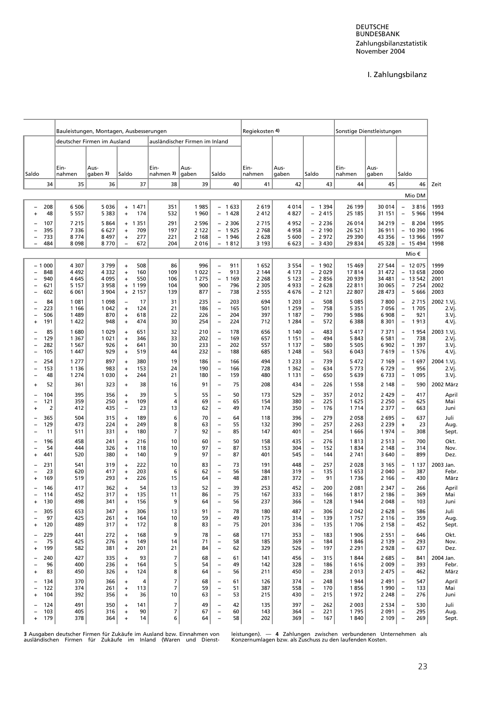## I. Zahlungsbilanz

|                                                      |                |                    | Bauleistungen, Montagen, Ausbesserungen |                                                                      |                    |                   |                                | Regiekosten 4)                                       |                    |                    |                    |                                                      | Sonstige Dienstleistungen |                  |                    |                                                      |                    |                     |
|------------------------------------------------------|----------------|--------------------|-----------------------------------------|----------------------------------------------------------------------|--------------------|-------------------|--------------------------------|------------------------------------------------------|--------------------|--------------------|--------------------|------------------------------------------------------|---------------------------|------------------|--------------------|------------------------------------------------------|--------------------|---------------------|
|                                                      |                |                    | deutscher Firmen im Ausland             |                                                                      |                    |                   | ausländischer Firmen im Inland |                                                      |                    |                    |                    |                                                      |                           |                  |                    |                                                      |                    |                     |
|                                                      |                |                    |                                         |                                                                      |                    |                   |                                |                                                      |                    |                    |                    |                                                      |                           |                  |                    |                                                      |                    |                     |
| Saldo                                                |                | Ein-<br>nahmen     | Aus-<br>gaben 3)                        | Saldo                                                                |                    | Ein-<br>nahmen 3) | Aus-<br>gaben                  | Saldo                                                |                    | Ein-<br>nahmen     | Aus-<br>gaben      | Saldo                                                |                           | Ein-<br>nahmen   | Aus-<br>gaben      | Saldo                                                |                    |                     |
|                                                      | 34             | 35                 | 36                                      |                                                                      | 37                 | 38                | 39                             |                                                      | 40                 | 41                 | 42                 |                                                      | 43                        | 44               | 45                 |                                                      | 46                 | Zeit                |
|                                                      |                |                    |                                         |                                                                      |                    |                   |                                |                                                      |                    |                    |                    |                                                      |                           |                  |                    |                                                      | Mio DM             |                     |
| $\ddot{}$                                            | 208<br>48      | 6 506<br>5 5 5 7   | 5036<br>5 3 8 3                         | $+$                                                                  | $+ 1471$<br>174    | 351<br>532        | 1985<br>1960                   |                                                      | $-1633$<br>$-1428$ | 2619<br>2412       | 4014<br>4827       |                                                      | $-1394$<br>$-2415$        | 26 199<br>25 185 | 30 014<br>31 151   | $\overline{\phantom{0}}$                             | 3816<br>5 9 6 6    | 1993<br>1994        |
|                                                      | 107            | 7 2 1 5            | 5864                                    | $+$                                                                  | 1 3 5 1            | 291               | 2 5 9 6                        | $\overline{\phantom{0}}$                             | 2 3 0 6            | 2715               | 4952               |                                                      | $-2236$                   | 26 014           | 34 219             | $\overline{\phantom{a}}$                             | 8 2 0 4            | 1995                |
|                                                      | 395<br>733     | 7 3 3 6<br>8774    | 6627<br>8 4 9 7                         | $\ddot{}$<br>$\ddot{}$                                               | 709<br>277         | 197<br>221        | 2 1 2 2<br>2 1 6 8             |                                                      | $-1925$<br>$-1946$ | 2768<br>2 6 2 8    | 4958<br>5 600      | $\equiv$<br>$\overline{\phantom{0}}$                 | 2 1 9 0<br>2 9 7 2        | 26 521<br>29 390 | 36 911<br>43 356   | $\overline{\phantom{a}}$                             | $-10390$<br>13 966 | 1996<br>1997        |
|                                                      | 484            | 8098               | 8770                                    | $\qquad \qquad -$                                                    | 672                | 204               | 2016                           |                                                      | $-1812$            | 3 1 9 3            | 6 6 23             |                                                      | $-3430$                   | 29 834           | 45 328             |                                                      | $-15494$           | 1998                |
|                                                      |                |                    |                                         |                                                                      |                    |                   |                                |                                                      |                    |                    |                    |                                                      |                           |                  |                    |                                                      | Mio €              |                     |
| $\qquad \qquad -$                                    | $-1000$<br>848 | 4 3 0 7<br>4 4 9 2 | 3799<br>4332                            | $\ddot{}$<br>$\ddot{}$                                               | 508<br>160         | 86<br>109         | 996<br>1 0 2 2                 | $\overline{\phantom{0}}$<br>$\overline{\phantom{0}}$ | 911<br>913         | 1652<br>2 1 4 4    | 3 5 5 4<br>4 1 7 3 | $\overline{\phantom{0}}$                             | $-1902$<br>2 0 2 9        | 15 4 69<br>17814 | 27 544<br>31 472   | $\overline{\phantom{a}}$                             | $-12075$<br>13 658 | 1999<br>2000        |
|                                                      | 940            | 4645               | 4 0 9 5                                 | $\begin{array}{c} + \end{array}$                                     | 550                | 106               | 1 2 7 5                        | $\overline{\phantom{0}}$                             | 1 1 6 9            | 2 2 6 8            | 5 1 2 3            | $\overline{\phantom{0}}$                             | 2856                      | 20 939           | 34 481             |                                                      | $-13542$           | 2001                |
| $\overline{\phantom{0}}$                             | 621<br>602     | 5 1 5 7<br>6061    | 3 9 5 8<br>3 9 0 4                      | $\ddot{}$<br>$+$                                                     | 1 1 9 9<br>2 1 5 7 | 104<br>139        | 900<br>877                     | $\overline{\phantom{a}}$<br>$\overline{\phantom{a}}$ | 796<br>738         | 2 3 0 5<br>2 5 5 5 | 4933<br>4676       | $\overline{\phantom{0}}$<br>$\overline{\phantom{0}}$ | 2 6 2 8<br>2 1 2 1        | 22 811<br>22 807 | 30 065<br>28 473   | $\overline{\phantom{m}}$<br>$\overline{\phantom{a}}$ | 7 2 5 4<br>5 6 6 6 | 2002<br>2003        |
|                                                      | 84             | 1 0 8 1            | 1 0 9 8                                 | $\overline{\phantom{0}}$                                             | 17                 | 31                | 235                            | $\qquad \qquad -$                                    | 203                | 694                | 1 2 0 3            | $\overline{\phantom{0}}$                             | 508                       | 5 0 8 5          | 7800               | $\overline{\phantom{a}}$                             | 2 7 1 5            | 2002 1.Vj.          |
| $\overline{\phantom{0}}$<br>$\overline{\phantom{0}}$ | 223<br>506     | 1 1 6 6<br>1 4 8 9 | 1 0 4 2<br>870                          | $\ddot{}$<br>$\begin{array}{c} + \end{array}$                        | 124<br>618         | 21<br>22          | 186<br>226                     | $\overline{\phantom{0}}$<br>$\overline{\phantom{0}}$ | 165<br>204         | 501<br>397         | 1 2 5 9<br>1 1 8 7 | $\overline{\phantom{0}}$<br>$\overline{a}$           | 758<br>790                | 5 3 5 1<br>5986  | 7056<br>6908       | $\overline{\phantom{m}}$<br>$\overline{\phantom{0}}$ | 1705<br>921        | 2.Vj.<br>3.Vj.      |
| $\ddot{}$                                            | 191            | 1422               | 948                                     | $\ddot{}$                                                            | 474                | 30                | 254                            | $\equiv$                                             | 224                | 712                | 1 2 8 4            | $\equiv$                                             | 572                       | 6 3 8 8          | 8 3 0 1            | $\overline{\phantom{a}}$                             | 1913               | 4.Vj.               |
| ۳                                                    | 85<br>129      | 1680<br>1 3 6 7    | 1 0 2 9<br>1 0 2 1                      | $\begin{array}{c} + \end{array}$<br>$\ddot{}$                        | 651<br>346         | 32<br>33          | 210<br>202                     | $\overline{\phantom{a}}$<br>$\overline{\phantom{a}}$ | 178<br>169         | 656<br>657         | 1 1 4 0<br>1 1 5 1 | $\overline{\phantom{0}}$<br>$\overline{\phantom{a}}$ | 483<br>494                | 5417<br>5843     | 7371<br>6 5 8 1    | $\overline{\phantom{a}}$<br>$\overline{\phantom{0}}$ | 1954<br>738        | 2003 1.Vj.<br>2.Vj. |
|                                                      | 282            | 1 5 6 7            | 926                                     | $\begin{array}{c} + \end{array}$                                     | 641                | 30                | 233                            | $\overline{\phantom{a}}$                             | 202                | 557                | 1 1 3 7            | $\overline{a}$                                       | 580                       | 5 5 0 5          | 6 9 0 2            | $\overline{\phantom{a}}$                             | 1 3 9 7            | 3.Vj.               |
| $\overline{\phantom{0}}$                             | 105            | 1 4 4 7            | 929                                     | $\ddot{}$                                                            | 519                | 44                | 232                            | $\equiv$                                             | 188                | 685                | 1 2 4 8            | $\equiv$                                             | 563                       | 6 0 43           | 7619               | $\overline{\phantom{a}}$                             | 1 5 7 6            | 4.Vj.               |
| $\overline{\phantom{0}}$                             | 254<br>153     | 1 2 7 7<br>1 1 3 6 | 897<br>983                              | $\begin{array}{c} + \end{array}$<br>$\begin{array}{c} + \end{array}$ | 380<br>153         | 19<br>24          | 186<br>190                     | $\overline{\phantom{a}}$<br>$\overline{\phantom{a}}$ | 166<br>166         | 494<br>728         | 1 2 3 3<br>1 3 6 2 | $\overline{\phantom{0}}$<br>$\overline{\phantom{a}}$ | 739<br>634                | 5 4 7 2<br>5773  | 7 1 6 9<br>6729    | $\overline{\phantom{a}}$<br>$\overline{\phantom{a}}$ | 1697<br>956        | 2004 1.Vj.<br>2.Vj. |
|                                                      | 48             | 1 2 7 4            | 1 0 3 0                                 | $\begin{array}{c} + \end{array}$                                     | 244                | 21                | 180                            | $\overline{\phantom{a}}$                             | 159                | 480                | 1 1 3 1            | $\overline{\phantom{a}}$                             | 650                       | 5 6 3 9          | 6733               | $\overline{\phantom{m}}$                             | 1 0 9 5            | 3.Vj.               |
| ÷                                                    | 52<br>104      | 361<br>395         | 323<br>356                              | $\ddot{}$<br>$\ddot{}$                                               | 38<br>39           | 16<br>5           | 91<br>55                       | $\overline{\phantom{0}}$<br>$\overline{\phantom{0}}$ | 75<br>50           | 208<br>173         | 434<br>529         | $\overline{\phantom{0}}$<br>$\overline{\phantom{0}}$ | 226<br>357                | 1 5 5 8<br>2012  | 2 1 4 8<br>2 4 2 9 | $\overline{\phantom{a}}$<br>$\overline{\phantom{0}}$ | 590<br>417         | 2002 März<br>April  |
| $\overline{\phantom{0}}$                             | 121            | 359                | 250                                     | $\begin{array}{c} + \end{array}$                                     | 109                | 4                 | 69                             | $\overline{\phantom{0}}$                             | 65                 | 154                | 380                | $\overline{\phantom{a}}$                             | 225                       | 1625             | 2 2 5 0            | $\overline{\phantom{m}}$                             | 625                | Mai                 |
| $\ddot{}$                                            | 2<br>365       | 412<br>504         | 435<br>315                              | $\qquad \qquad -$                                                    | 23<br>189          | 13<br>6           | 62<br>70                       | $\overline{\phantom{a}}$<br>$\overline{\phantom{0}}$ | 49<br>64           | 174                | 350                | $\overline{\phantom{a}}$                             | 176<br>279                | 1714             | 2 3 7 7            | $\overline{\phantom{a}}$                             | 663<br>637         | Juni<br>Juli        |
| $\overline{\phantom{0}}$                             | 129            | 473                | 224                                     | $\ddot{}$<br>$\begin{array}{c} + \end{array}$                        | 249                | 8                 | 63                             | $\overline{\phantom{a}}$                             | 55                 | 118<br>132         | 396<br>390         | $\overline{\phantom{0}}$<br>$\overline{\phantom{0}}$ | 257                       | 2058<br>2 2 6 3  | 2695<br>2 2 3 9    | $\overline{\phantom{a}}$<br>$\ddot{}$                | 23                 | Aug.                |
|                                                      | 11             | 511                | 331                                     | $\ddot{}$                                                            | 180                | 7                 | 92                             | $\overline{\phantom{0}}$                             | 85                 | 147                | 401                | $\overline{\phantom{a}}$                             | 254                       | 1666             | 1974               | $\overline{\phantom{a}}$                             | 308                | Sept.               |
| $\overline{\phantom{0}}$                             | 196<br>54      | 458<br>444         | 241<br>326                              | $\ddot{}$<br>$\begin{array}{c} + \end{array}$                        | 216<br>118         | 10<br>10          | 60<br>97                       | $\overline{\phantom{a}}$<br>$\overline{\phantom{a}}$ | 50<br>87           | 158<br>153         | 435<br>304         | $\overline{\phantom{a}}$<br>$\overline{\phantom{a}}$ | 276<br>152                | 1813<br>1834     | 2 5 1 3<br>2 1 4 8 | $\overline{\phantom{a}}$<br>$\overline{\phantom{a}}$ | 700<br>314         | Okt.<br>Nov.        |
| $\ddot{}$                                            | 441            | 520                | 380                                     | $\ddot{}$                                                            | 140                | 9                 | 97                             | $\overline{\phantom{a}}$                             | 87                 | 401                | 545                | $\overline{\phantom{a}}$                             | 144                       | 2741             | 3 6 4 0            | $\overline{\phantom{a}}$                             | 899                | Dez.                |
| ۰                                                    | 231<br>23      | 541<br>620         | 319<br>417                              | $\begin{array}{c} + \end{array}$<br>$\begin{array}{c} + \end{array}$ | 222<br>203         | 10<br>6           | 83<br>62                       | $\overline{\phantom{a}}$<br>$\overline{\phantom{a}}$ | 73<br>56           | 191<br>184         | 448<br>319         | $\overline{\phantom{a}}$<br>$\overline{\phantom{a}}$ | 257<br>135                | 2028<br>1653     | 3 1 6 5<br>2 0 4 0 | $\overline{\phantom{a}}$<br>$\overline{\phantom{a}}$ | 1 1 3 7<br>387     | 2003 Jan.<br>Febr.  |
| $\ddot{}$                                            | 169            | 519                | 293                                     | $\ddot{}$                                                            | 226                | 15                | 64                             | $\overline{\phantom{0}}$                             | 48                 | 281                | 372                | $\overline{a}$                                       | 91                        | 1736             | 2 1 6 6            | $\overline{\phantom{a}}$                             | 430                | März                |
|                                                      | 146<br>114     | 417<br>452         | 362<br>317                              | $\ddot{}$<br>$\boldsymbol{+}$                                        | 54<br>135          | 13<br>11          | 52<br>86                       | L,<br>$\overline{\phantom{0}}$                       | 39<br>75           | 253<br>167         | 452<br>333         | $\overline{\phantom{0}}$                             | 200<br>166                | 2 0 8 1<br>1817  | 2 3 4 7<br>2 186   | $\overline{\phantom{a}}$<br>$\overline{\phantom{0}}$ | 266<br>369         | April<br>Mai        |
|                                                      | 130            | 498                | 341                                     | $\begin{array}{c} + \end{array}$                                     | 156                | 9                 | 64                             | $\overline{\phantom{0}}$                             | 56                 | 237                | 366                | $\overline{\phantom{0}}$                             | 128                       | 1944             | 2 0 4 8            | $\overline{\phantom{a}}$                             | 103                | Juni                |
|                                                      | 305            | 653                | 347                                     | $\ddot{}$                                                            | 306                | 13                | 91                             | $\qquad \qquad -$                                    | 78                 | 180                | 487                |                                                      | 306                       | 2 0 4 2          | 2 6 2 8            | $\overline{\phantom{a}}$                             | 586                | Juli                |
| $\ddot{}$                                            | 97<br>120      | 425<br>489         | 261<br>317                              | $\begin{array}{c} + \end{array}$<br>$\begin{array}{c} + \end{array}$ | 164<br>172         | 10<br>8           | 59<br>83                       | $\qquad \qquad -$<br>$\overline{\phantom{a}}$        | 49<br>75           | 175<br>201         | 314<br>336         | $\overline{\phantom{a}}$                             | 139<br>135                | 1757<br>1706     | 2116<br>2158       | $\overline{\phantom{a}}$<br>$\overline{\phantom{a}}$ | 359<br>452         | Aug.<br>Sept.       |
|                                                      | 229            | 441                | 272                                     | $\begin{array}{c} + \end{array}$                                     | 168                | 9                 | 78                             | $\overline{\phantom{a}}$                             | 68                 | 171                | 353                | $\overline{\phantom{a}}$                             | 183                       | 1 9 0 6          | 2 5 5 1            | $\overline{\phantom{a}}$                             | 646                | Okt.                |
| $\qquad \qquad -$<br>$\ddot{}$                       | 75<br>199      | 425<br>582         | 276<br>381                              | $\ddot{}$<br>$\ddot{}$                                               | 149<br>201         | 14<br>21          | 71<br>84                       | $\overline{\phantom{0}}$<br>$\overline{\phantom{a}}$ | 58<br>62           | 185<br>329         | 369<br>526         | $\qquad \qquad -$<br>$\overline{\phantom{a}}$        | 184<br>197                | 1846<br>2 2 9 1  | 2 1 3 9<br>2 9 2 8 | $\overline{\phantom{a}}$<br>$\overline{\phantom{a}}$ | 293<br>637         | Nov.<br>Dez.        |
|                                                      | 240            | 427                | 335                                     | $\ddot{}$                                                            | 93                 | $\overline{7}$    | 68                             | $\overline{\phantom{a}}$                             | 61                 | 141                | 456                | $\overline{\phantom{a}}$                             | 315                       | 1844             | 2685               | $\overline{\phantom{a}}$                             | 841                | 2004 Jan.           |
| $\ddot{}$                                            | 96<br>83       | 400<br>450         | 236<br>326                              | $\ddot{}$<br>$\ddot{}$                                               | 164<br>124         | 5<br>8            | 54<br>64                       | $\overline{\phantom{a}}$<br>$\overline{\phantom{a}}$ | 49<br>56           | 142<br>211         | 328<br>450         | $\overline{\phantom{0}}$<br>$\overline{\phantom{a}}$ | 186<br>238                | 1616<br>2013     | 2 0 0 9<br>2475    | $\overline{\phantom{a}}$<br>$\overline{\phantom{a}}$ | 393<br>462         | Febr.<br>März       |
| $\overline{\phantom{0}}$                             | 134            | 370                | 366                                     | $\begin{array}{c} + \end{array}$                                     | 4                  | $\overline{7}$    | 68                             | $\overline{\phantom{a}}$                             | 61                 | 126                | 374                | $\overline{\phantom{a}}$                             | 248                       | 1944             | 2 4 9 1            | $\overline{\phantom{a}}$                             | 547                | April               |
|                                                      | 122<br>104     | 374<br>392         | 261<br>356                              | $\ddot{}$                                                            | 113<br>36          | 7<br>10           | 59<br>63                       | $\overline{\phantom{a}}$<br>$\overline{\phantom{a}}$ | 51<br>53           | 387                | 558<br>430         | $\overline{a}$<br>$\overline{\phantom{a}}$           | 170                       | 1856             | 1990<br>2 2 4 8    | $\overline{\phantom{a}}$<br>$\overline{\phantom{a}}$ | 133<br>276         | Mai                 |
|                                                      | 124            | 491                | 350                                     | $\ddot{}$<br>$\ddot{}$                                               | 141                | $\overline{7}$    | 49                             | $\overline{\phantom{a}}$                             | 42                 | 215<br>135         | 397                | $\overline{\phantom{a}}$                             | 215<br>262                | 1972<br>2 0 0 3  | 2534               | $\hspace{0.1mm}-\hspace{0.1mm}$                      | 530                | Juni<br>Juli        |
| $\qquad \qquad -$                                    | 103            | 405                | 316                                     | $\ddot{}$                                                            | 90                 | 7                 | 67                             | $\bar{ }$                                            | 60                 | 143                | 364                | $\overline{\phantom{a}}$                             | 221                       | 1795             | 2 0 9 1            | $\overline{\phantom{a}}$                             | 295                | Aug.                |
| $\ddot{}$                                            | 179            | 378                | 364                                     | $\ddot{}$                                                            | 14                 | 6                 | 64                             | $\overline{\phantom{0}}$                             | 58                 | 202                | 369                | $\overline{\phantom{a}}$                             | 167                       | 1840             | 2109               | $\overline{\phantom{a}}$                             | 269                | Sept.               |

3 Ausgaben deutscher Firmen für Zukäufe im Ausland bzw. Einnahmen von<br>ausländischen Firmen für Zukäufe im Inland (Waren und Dienst-

**1** Ausgaben deutscher Firmen deutschen deutschen Unternehmen als<br>19 Ausland Baufen bzw. als Zuschuss zu den laufenden Kosten.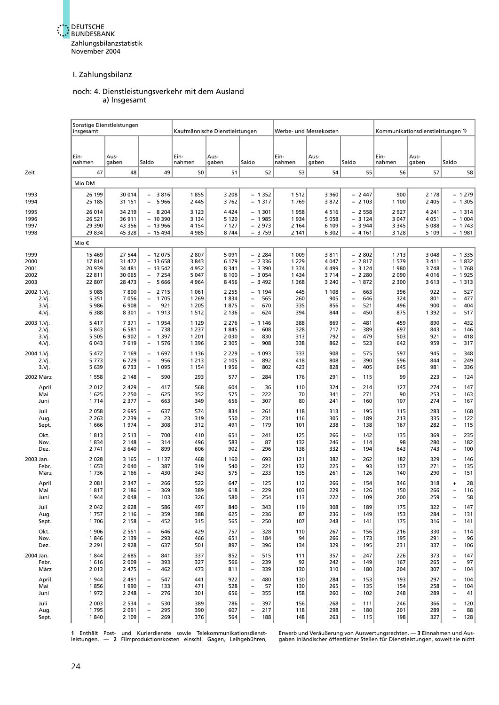

## noch: 4. Dienstleistungsverkehr mit dem Ausland a) Insgesamt

|                     | Sonstige Dienstleistungen<br>insgesamt |                    |                                                      |             |                    | Kaufmännische Dienstleistungen |                                                                    |            | Werbe- und Messekosten |                                                             |            | Kommunikationsdienstleistungen 1) |                                                      |            |
|---------------------|----------------------------------------|--------------------|------------------------------------------------------|-------------|--------------------|--------------------------------|--------------------------------------------------------------------|------------|------------------------|-------------------------------------------------------------|------------|-----------------------------------|------------------------------------------------------|------------|
|                     |                                        |                    |                                                      |             |                    |                                |                                                                    |            |                        |                                                             |            |                                   |                                                      |            |
|                     |                                        |                    |                                                      |             |                    |                                |                                                                    |            |                        |                                                             |            |                                   |                                                      |            |
|                     | Ein-                                   | Aus-               |                                                      |             | Ein-               | Aus-                           |                                                                    | Ein-       | Aus-                   |                                                             | Ein-       | Aus-                              |                                                      |            |
|                     | nahmen                                 | gaben              | Saldo                                                |             | nahmen             | gaben                          | Saldo                                                              | nahmen     | qaben                  | Saldo                                                       | nahmen     | gaben                             | Saldo                                                |            |
| Zeit                | 47                                     | 48                 |                                                      | 49          | 50                 | 51                             | 52                                                                 | 53         | 54                     | 55                                                          | 56         | 57                                |                                                      | 58         |
|                     | Mio DM                                 |                    |                                                      |             |                    |                                |                                                                    |            |                        |                                                             |            |                                   |                                                      |            |
| 1993                | 26 199                                 | 30 014             | $\overline{\phantom{a}}$                             | 3816        | 1855               | 3 2 0 8                        | $-1352$                                                            | 1512       | 3 9 6 0                | $-2447$                                                     | 900        | 2 1 7 8                           |                                                      | $-1279$    |
| 1994                | 25 185                                 | 31 151             | $\overline{\phantom{a}}$                             | 5966        | 2 4 4 5            | 3762                           | $-1317$                                                            | 1769       | 3872                   | $-2103$                                                     | 1 1 0 0    | 2 4 0 5                           |                                                      | $-1305$    |
| 1995                | 26 014                                 | 34 219             |                                                      | $-8204$     | 3 1 2 3            | 4 4 2 4                        | $-1301$                                                            | 1958       | 4516                   | $-2558$                                                     | 2927       | 4 2 4 1                           |                                                      | $-1314$    |
| 1996                | 26 521                                 | 36 911             |                                                      | $-10390$    | 3 1 3 4            | 5 1 2 0                        | $-1985$                                                            | 1934       | 5 0 5 8                | $-3124$                                                     | 3 0 4 7    | 4 0 5 1                           |                                                      | $-1004$    |
| 1997                | 29 390                                 | 43 356             |                                                      | $-13966$    | 4 1 5 4            | 7 127                          | $-2973$                                                            | 2 1 6 4    | 6 109                  | $-3944$                                                     | 3 3 4 5    | 5 0 8 8                           |                                                      | $-1743$    |
| 1998                | 29 834                                 | 45 328             |                                                      | $-15494$    | 4985               | 8744                           | $-3759$                                                            | 2 1 4 1    | 6 3 0 2                | $-4161$                                                     | 3 1 2 8    | 5 1 0 9                           |                                                      | $-1981$    |
|                     | Mio €                                  |                    |                                                      |             |                    |                                |                                                                    |            |                        |                                                             |            |                                   |                                                      |            |
| 1999                | 15 4 69                                | 27 544             |                                                      | $-12075$    | 2807               | 5 0 9 1                        | $-2284$                                                            | 1 0 0 9    | 3811                   | $-2802$                                                     | 1713       | 3 0 4 8                           |                                                      | $-1335$    |
| 2000                | 17814                                  | 31 472             |                                                      | $-13658$    | 3843               | 6 179                          | $-2336$                                                            | 1 2 2 9    | 4 0 4 7                | $-2817$                                                     | 1579       | 3 4 1 1                           |                                                      | $-1832$    |
| 2001                | 20 939                                 | 34 481             |                                                      | $-13542$    | 4952               | 8 3 4 1                        | 3 3 9 0<br>$\overline{\phantom{0}}$                                | 1 3 7 4    | 4 4 9 9                | $-3124$                                                     | 1980       | 3748                              | $\overline{\phantom{0}}$                             | 1768       |
| 2002                | 22 811                                 | 30 065             | $-$                                                  | 7 254       | 5 0 4 7            | 8 100                          | $-3054$                                                            | 1434       | 3714                   | $-2280$                                                     | 2 0 9 0    | 4016                              |                                                      | $-1925$    |
| 2003                | 22 807                                 | 28 473             | $\qquad \qquad -$                                    | 5 6 6 6     | 4964               | 8456                           | 3 4 9 2<br>$\overline{\phantom{0}}$                                | 1 3 6 8    | 3 2 4 0                | $-1872$                                                     | 2 3 0 0    | 3613                              |                                                      | $-1313$    |
| 2002 1.Vj.          | 5 0 8 5                                | 7800               | $\qquad \qquad -$                                    | 2 7 1 5     | 1 0 6 1            | 2 2 5 5                        | 1 1 9 4<br>$\overline{\phantom{a}}$                                | 445        | 1 1 0 8                | 663<br>$\overline{\phantom{a}}$                             | 396        | 922                               | $\overline{\phantom{0}}$                             | 527        |
| 2.Vi.               | 5 3 5 1<br>5986                        | 7056               | $\overline{\phantom{a}}$<br>$\overline{\phantom{0}}$ | 1705        | 1 2 6 9            | 1834<br>1875                   | 565<br>$\overline{\phantom{0}}$<br>670<br>$\overline{\phantom{0}}$ | 260<br>335 | 905<br>856             | 646<br>$\qquad \qquad -$<br>$\overline{\phantom{a}}$        | 324        | 801<br>900                        | $\overline{\phantom{0}}$<br>$\overline{\phantom{0}}$ | 477<br>404 |
| 3.Vj.<br>4.Vj.      | 6 3 8 8                                | 6908<br>8 3 0 1    | $\overline{\phantom{0}}$                             | 921<br>1913 | 1 2 0 5<br>1512    | 2 1 3 6                        | 624<br>$\overline{\phantom{0}}$                                    | 394        | 844                    | 521<br>450<br>$\overline{\phantom{a}}$                      | 496<br>875 | 1 3 9 2                           | $\overline{\phantom{a}}$                             | 517        |
|                     |                                        |                    |                                                      |             |                    |                                |                                                                    |            |                        |                                                             |            |                                   |                                                      |            |
| 2003 1.Vi.<br>2.Vj. | 5417<br>5843                           | 7371<br>6581       | $\overline{\phantom{0}}$<br>$\overline{\phantom{a}}$ | 1954<br>738 | 1 1 2 9<br>1 2 3 7 | 2 2 7 6<br>1845                | 1 1 4 6<br>$\qquad \qquad -$<br>608<br>$\overline{\phantom{0}}$    | 388<br>328 | 869<br>717             | 481<br>$\qquad \qquad -$<br>389<br>$\overline{\phantom{a}}$ | 459<br>697 | 890<br>843                        | $\overline{\phantom{0}}$<br>$\overline{\phantom{a}}$ | 432<br>146 |
| 3.Vi.               | 5 5 0 5                                | 6902               | $\overline{\phantom{0}}$                             | 1 3 9 7     | 1 2 0 1            | 2 0 3 0                        | 830<br>$\overline{a}$                                              | 313        | 792                    | 479<br>$\overline{\phantom{a}}$                             | 503        | 921                               | $\qquad \qquad -$                                    | 418        |
| 4.Vj.               | 6 0 43                                 | 7619               | $-$                                                  | 1 5 7 6     | 1 3 9 6            | 2 3 0 5                        | 908<br>$\overline{\phantom{0}}$                                    | 338        | 862                    | 523<br>$\overline{\phantom{a}}$                             | 642        | 959                               | $\overline{\phantom{0}}$                             | 317        |
| 2004 1.Vj.          | 5472                                   | 7 1 6 9            | $\overline{\phantom{0}}$                             | 1697        | 1 1 3 6            | 2 2 2 9                        | 1 0 9 3<br>$\overline{\phantom{a}}$                                | 333        | 908                    | 575<br>$\qquad \qquad -$                                    | 597        | 945                               | $\overline{\phantom{0}}$                             | 348        |
| 2.Vj.               | 5773                                   | 6729               | $\overline{\phantom{0}}$                             | 956         | 1 2 1 3            | 2 1 0 5                        | 892<br>$\overline{\phantom{0}}$                                    | 418        | 808                    | 390<br>$\qquad \qquad -$                                    | 596        | 844                               | $\overline{\phantom{0}}$                             | 249        |
| 3.Vj.               | 5 6 3 9                                | 6733               | $\qquad \qquad -$                                    | 1 0 9 5     | 1 1 5 4            | 1956                           | 802<br>$\overline{\phantom{0}}$                                    | 423        | 828                    | 405<br>$\qquad \qquad -$                                    | 645        | 981                               | $\overline{\phantom{a}}$                             | 336        |
| 2002 März           | 1 5 5 8                                | 2 1 4 8            | $\overline{\phantom{0}}$                             | 590         | 293                | 577                            | 284<br>$\overline{\phantom{0}}$                                    | 176        | 291                    | 115<br>$\overline{\phantom{0}}$                             | 99         | 223                               | $\overline{\phantom{0}}$                             | 124        |
| April               | 2012                                   | 2 4 2 9            | $\overline{\phantom{a}}$                             | 417         | 568                | 604                            | 36<br>$\qquad \qquad -$                                            | 110        | 324                    | 214<br>$\qquad \qquad -$                                    | 127        | 274                               | $\overline{\phantom{a}}$                             | 147        |
| Mai                 | 1625                                   | 2 2 5 0            | $\overline{\phantom{a}}$                             | 625         | 352                | 575                            | 222<br>$\overline{\phantom{0}}$                                    | 70         | 341                    | 271<br>$\overline{\phantom{a}}$                             | 90         | 253                               |                                                      | 163        |
| Juni                | 1714                                   | 2 3 7 7            | $\overline{\phantom{a}}$                             | 663         | 349                | 656                            | 307<br>$\overline{a}$                                              | 80         | 241                    | $\overline{\phantom{a}}$<br>160                             | 107        | 274                               | $\overline{\phantom{0}}$                             | 167        |
| Juli                | 2058                                   | 2695               | $\overline{\phantom{a}}$                             | 637         | 574                | 834                            | 261<br>$\overline{\phantom{0}}$                                    | 118        | 313                    | 195<br>$\qquad \qquad -$                                    | 115        | 283                               | $\overline{\phantom{a}}$                             | 168        |
| Aug.                | 2 2 6 3                                | 2 2 3 9            | $\ddot{}$                                            | 23          | 319                | 550                            | 231<br>$\overline{a}$                                              | 116        | 305                    | 189<br>$\qquad \qquad -$                                    | 213        | 335                               | $\overline{\phantom{0}}$                             | 122        |
| Sept.               | 1666                                   | 1974               | $\overline{\phantom{a}}$                             | 308         | 312                | 491                            | 179<br>$\overline{\phantom{0}}$                                    | 101        | 238                    | 138<br>$\overline{\phantom{a}}$                             | 167        | 282                               | $\overline{\phantom{0}}$                             | 115        |
| Okt.                | 1813                                   | 2513               | $\overline{\phantom{a}}$                             | 700         | 410                | 651                            | 241<br>$\overline{\phantom{0}}$                                    | 125        | 266                    | 142<br>$\overline{\phantom{a}}$                             | 135        | 369                               | $\overline{\phantom{0}}$                             | 235        |
| Nov.                | 1834                                   | 2 1 4 8            | $\overline{\phantom{a}}$                             | 314         | 496                | 583                            | 87<br>$\overline{\phantom{0}}$                                     | 132        | 246                    | 114<br>$\overline{\phantom{a}}$                             | 98         | 280                               | $\overline{\phantom{0}}$                             | 182        |
| Dez.                | 2741                                   | 3 6 4 0            | $\overline{\phantom{a}}$                             | 899         | 606                | 902                            | 296<br>$\overline{\phantom{0}}$                                    | 138        | 332                    | 194<br>$\overline{\phantom{a}}$                             | 643        | 743                               | $\overline{\phantom{0}}$                             | 100        |
| 2003 Jan.           | 2028                                   | 3 1 6 5            | $\overline{\phantom{a}}$                             | 1 1 3 7     | 468                | 1 1 6 0                        | 693<br>$\overline{\phantom{0}}$                                    | 121        | 382                    | 262<br>$\qquad \qquad -$                                    | 182        | 329                               | $\overline{\phantom{0}}$                             | 146        |
| Febr.<br>März       | 1653<br>1736                           | 2 0 4 0<br>2 1 6 6 | $\overline{\phantom{a}}$<br>$\overline{\phantom{a}}$ | 387<br>430  | 319<br>343         | 540<br>575                     | 221<br>$\overline{\phantom{0}}$<br>233<br>$\overline{\phantom{a}}$ | 132<br>135 | 225<br>261             | 93<br>$\overline{\phantom{a}}$<br>126<br>$\qquad \qquad -$  | 137<br>140 | 271<br>290                        | $\overline{\phantom{0}}$<br>$\overline{\phantom{0}}$ | 135<br>151 |
|                     |                                        |                    |                                                      |             |                    |                                |                                                                    |            |                        |                                                             |            |                                   |                                                      |            |
| April<br>Mai        | 2 0 8 1<br>1817                        | 2 3 4 7<br>2 186   | $\overline{\phantom{a}}$<br>$\overline{\phantom{m}}$ | 266<br>369  | 522<br>389         | 647<br>618                     | 125<br>$\overline{\phantom{a}}$<br>229                             | 112<br>103 | 266<br>229             | 154<br>$\qquad \qquad -$<br>126<br>$\overline{\phantom{0}}$ | 346<br>150 | 318<br>266                        | $\ddot{}$                                            | 28<br>116  |
| Juni                | 1944                                   | 2 0 4 8            |                                                      | 103         | 326                | 580                            | 254                                                                | 113        | 222                    | 109                                                         | 200        | 259                               |                                                      | 58         |
| Juli                | 2 0 4 2                                | 2628               | $\overline{\phantom{a}}$                             | 586         | 497                | 840                            | 343<br>$\overline{\phantom{0}}$                                    | 119        | 308                    | 189<br>$\overline{\phantom{0}}$                             | 175        | 322                               |                                                      | 147        |
| Aug.                | 1757                                   | 2 1 1 6            | $\overline{\phantom{a}}$                             | 359         | 388                | 625                            | 236<br>$\overline{a}$                                              | 87         | 236                    | 149<br>$\overline{\phantom{0}}$                             | 153        | 284                               | $\overline{\phantom{0}}$                             | 131        |
| Sept.               | 1706                                   | 2 1 5 8            | $\overline{\phantom{a}}$                             | 452         | 315                | 565                            | 250<br>$\overline{a}$                                              | 107        | 248                    | 141<br>$\overline{\phantom{0}}$                             | 175        | 316                               | $\overline{a}$                                       | 141        |
| Okt.                | 1906                                   | 2 5 5 1            | $\overline{\phantom{a}}$                             | 646         | 429                | 757                            | 328<br>$\overline{\phantom{0}}$                                    | 110        | 267                    | 156<br>$\qquad \qquad -$                                    | 216        | 330                               |                                                      | 114        |
| Nov.                | 1846                                   | 2 1 3 9            | $\overline{\phantom{a}}$                             | 293         | 466                | 651                            | 184<br>$\overline{a}$                                              | 94         | 266                    | 173<br>$\qquad \qquad -$                                    | 195        | 291                               | $\overline{\phantom{0}}$                             | 96         |
| Dez.                | 2 2 9 1                                | 2928               | $\overline{\phantom{a}}$                             | 637         | 501                | 897                            | 396<br>$\overline{a}$                                              | 134        | 329                    | 195<br>$\qquad \qquad -$                                    | 231        | 337                               | $\qquad \qquad -$                                    | 106        |
| 2004 Jan.           | 1844                                   | 2685               | $\overline{\phantom{a}}$                             | 841         | 337                | 852                            | 515<br>$\overline{\phantom{0}}$                                    | 111        | 357                    | 247<br>$\overline{\phantom{a}}$                             | 226        | 373                               | $\qquad \qquad -$                                    | 147        |
| Febr.               | 1616                                   | 2 0 0 9            | $\overline{\phantom{a}}$                             | 393         | 327                | 566                            | 239<br>$\overline{\phantom{0}}$                                    | 92         | 242                    | 149<br>$\qquad \qquad -$                                    | 167        | 265                               | $\overline{a}$                                       | 97         |
| März                | 2013                                   | 2475               | $\overline{\phantom{a}}$                             | 462         | 473                | 811                            | 339<br>$\overline{a}$                                              | 130        | 310                    | $\qquad \qquad -$<br>180                                    | 204        | 307                               | $\overline{\phantom{0}}$                             | 104        |
| April               | 1944                                   | 2 4 9 1            | $\overline{\phantom{a}}$                             | 547         | 441                | 922                            | 480<br>$\overline{a}$                                              | 130        | 284                    | 153<br>$\overline{\phantom{a}}$                             | 193        | 297                               | $\overline{\phantom{0}}$                             | 104        |
| Mai                 | 1856                                   | 1990               | $\overline{\phantom{a}}$                             | 133         | 471                | 528                            | 57<br>$\overline{\phantom{0}}$                                     | 130        | 265                    | 135<br>$\overline{\phantom{a}}$                             | 154        | 258                               |                                                      | 104        |
| Juni                | 1972                                   | 2 2 4 8            | $\overline{\phantom{a}}$                             | 276         | 301                | 656                            | 355<br>$\overline{a}$                                              | 158        | 260                    | 102<br>$\qquad \qquad -$                                    | 248        | 289                               |                                                      | 41         |
| Juli                | 2 0 0 3                                | 2 5 3 4            | $\overline{\phantom{a}}$                             | 530         | 389                | 786                            | 397<br>$\overline{a}$                                              | 156        | 268                    | 111<br>$\qquad \qquad -$                                    | 246        | 366                               |                                                      | 120        |
| Aug.                | 1795                                   | 2 0 9 1            | $\overline{\phantom{a}}$                             | 295         | 390                | 607                            | 217<br>$\overline{\phantom{0}}$                                    | 118        | 298                    | 180<br>$\qquad \qquad -$                                    | 201        | 289                               |                                                      | 88         |
| Sept.               | 1840                                   | 2 1 0 9            | $\overline{\phantom{a}}$                             | 269         | 376                | 564                            | $\overline{a}$<br>188                                              | 148        | 263                    | $\qquad \qquad -$<br>115                                    | 198        | 327                               | $\qquad \qquad -$                                    | 128        |

1 Enthält Post- und Kurierdienste sowie Telekommunikationsdienst- Erwerbund-Veräußerung-von-Auswertungsrechten. — 3 Einnahmen-und-Aus-<br>leistungen. — 2 Filmproduktionskosten einschl. Gagen, Leihgebühren, gaben-inländischer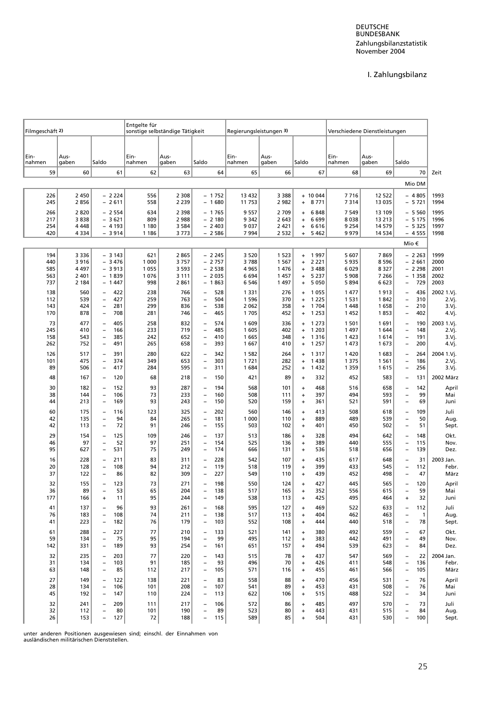## I. Zahlungsbilanz

| Filmgeschäft 2) |                 |                                                                    | Entgelte für   | sonstige selbständige Tätigkeit |                                                                    | Regierungsleistungen 3) |                    |                                                                                    | Verschiedene Dienstleistungen |                    |                                                                    |                     |
|-----------------|-----------------|--------------------------------------------------------------------|----------------|---------------------------------|--------------------------------------------------------------------|-------------------------|--------------------|------------------------------------------------------------------------------------|-------------------------------|--------------------|--------------------------------------------------------------------|---------------------|
|                 |                 |                                                                    |                |                                 |                                                                    |                         |                    |                                                                                    |                               |                    |                                                                    |                     |
| Ein-<br>nahmen  | Aus-<br>gaben   | Saldo                                                              | Ein-<br>nahmen | Aus-<br>gaben                   | Saldo                                                              | Ein-<br>nahmen          | Aus-<br>gaben      | Saldo                                                                              | Ein-<br>nahmen                | Aus-<br>gaben      | Saldo                                                              |                     |
| 59              | 60              | 61                                                                 | 62             | 63                              | 64                                                                 | 65                      | 66                 | 67                                                                                 | 68                            | 69                 | 70                                                                 | Zeit                |
|                 |                 |                                                                    |                |                                 |                                                                    |                         |                    |                                                                                    |                               |                    | Mio DM                                                             |                     |
| 226<br>245      | 2 4 5 0<br>2856 | $-2224$<br>$-2611$                                                 | 556<br>558     | 2 3 0 8<br>2 2 3 9              | $-1752$<br>$-1680$                                                 | 13 4 32<br>11 753       | 3 3 8 8<br>2982    | + 10 044<br>8771<br>$\ddot{}$                                                      | 7716<br>7314                  | 12 5 22<br>13 0 35 | $-4805$<br>$-5721$                                                 | 1993<br>1994        |
| 266<br>217      | 2820<br>3838    | $-2554$<br>$-3621$                                                 | 634<br>809     | 2 3 9 8<br>2 9 8 8              | $-1765$<br>2 1 8 0                                                 | 9 5 5 7<br>9 3 4 2      | 2709               | 6848<br>÷<br>6699                                                                  | 7 5 4 9<br>8038               | 13 109<br>13 213   | $-5560$<br>$-5175$                                                 | 1995<br>1996        |
| 254             | 4 4 4 8         | $-4193$                                                            | 1 1 8 0        | 3 5 8 4                         | $\overline{\phantom{a}}$<br>$-2403$                                | 9 0 3 7                 | 2 6 4 3<br>2421    | $\ddot{}$<br>6616<br>$\ddot{}$                                                     | 9 2 5 4                       | 14 579             | $-5325$                                                            | 1997                |
| 420             | 4 3 3 4         | $-3914$                                                            | 1 1 8 6        | 3773                            | $-2586$                                                            | 7 9 9 4                 | 2 5 3 2            | 5 4 6 2<br>$\ddot{}$                                                               | 9979                          | 14 5 34            | $-4555$                                                            | 1998                |
|                 |                 |                                                                    |                |                                 |                                                                    |                         |                    |                                                                                    |                               |                    | Mio €                                                              |                     |
| 194<br>440      | 3 3 3 6<br>3916 | $-3143$<br>$-3476$                                                 | 621<br>1 0 0 0 | 2865<br>3757                    | $-2245$<br>2757<br>$\overline{\phantom{a}}$                        | 3 5 2 0<br>3788         | 1 5 2 3<br>1 5 6 7 | 1997<br>$+$<br>2 2 2 1<br>$+$                                                      | 5 607<br>5935                 | 7869<br>8596       | $-2263$<br>$-2661$                                                 | 1999<br>2000        |
| 585             | 4 4 9 7         | $-3913$                                                            | 1055           | 3 5 9 3                         | 2 5 3 8<br>$\overline{\phantom{a}}$                                | 4 9 6 5                 | 1476               | 3 4 8 8<br>$\ddot{}$                                                               | 6029                          | 8 3 2 7            | $-2298$                                                            | 2001                |
| 563             | 2 4 0 1         | $-1839$                                                            | 1076           | 3 1 1 1                         | 2 0 3 5<br>$\overline{\phantom{a}}$                                | 6 6 9 4                 | 1457               | 5 2 3 7<br>$\ddot{}$                                                               | 5 9 0 8                       | 7 2 6 6            | $-1358$                                                            | 2002                |
| 737             | 2 1 8 4         | $-1447$                                                            | 998            | 2861                            | 1863<br>$\overline{\phantom{0}}$                                   | 6 5 4 6                 | 1497               | 5 0 5 0<br>$\ddot{}$                                                               | 5894                          | 6623               | 729<br>$\qquad \qquad -$                                           | 2003                |
| 138<br>112      | 560<br>539      | 422<br>$\overline{\phantom{0}}$<br>427                             | 238            | 766<br>763                      | 528<br>$\overline{\phantom{0}}$<br>504                             | 1 3 3 1<br>1 5 9 6      | 276<br>370         | 1 0 5 5<br>$\ddot{}$                                                               | 1 4 7 7                       | 1913<br>1842       | 436<br>$\qquad \qquad -$<br>310                                    | 2002 1.Vj.          |
| 143             | 424             | $\qquad \qquad -$<br>281<br>$\overline{\phantom{0}}$               | 259<br>299     | 836                             | $\overline{\phantom{a}}$<br>538<br>$\overline{\phantom{a}}$        | 2 0 6 2                 | 358                | 1 2 2 5<br>$\ddot{}$<br>1704<br>$\ddot{}$                                          | 1 5 3 1<br>1448               | 1658               | $\qquad \qquad -$<br>210<br>$\overline{\phantom{0}}$               | 2.Vj.<br>3.Vj.      |
| 170             | 878             | 708<br>$\qquad \qquad -$                                           | 281            | 746                             | 465<br>$\overline{\phantom{a}}$                                    | 1705                    | 452                | 1 2 5 3<br>$\ddot{}$                                                               | 1452                          | 1853               | 402<br>$\qquad \qquad -$                                           | 4.Vj.               |
| 73              | 477             | 405<br>$\overline{\phantom{0}}$                                    | 258            | 832                             | 574                                                                | 1 609                   | 336                | 1 2 7 3<br>$\ddot{}$                                                               | 1 501                         | 1691               | 190<br>$\overline{\phantom{0}}$                                    | 2003 1.Vj.          |
| 245             | 410             | 166<br>$\qquad \qquad -$                                           | 233            | 719                             | 485<br>$\overline{\phantom{a}}$                                    | 1 605                   | 402                | 1 2 0 3<br>$+$                                                                     | 1 4 9 7                       | 1644               | 148<br>$\overline{\phantom{0}}$                                    | 2.Vj.               |
| 158             | 543             | 385<br>$\qquad \qquad -$                                           | 242            | 652                             | 410<br>$\overline{\phantom{a}}$                                    | 1 6 6 5                 | 348                | 1 3 1 6<br>$\ddot{}$                                                               | 1 4 2 3                       | 1614               | 191<br>$\overline{\phantom{0}}$                                    | 3.Vj.               |
| 262             | 752             | 491<br>$\qquad \qquad -$                                           | 265            | 658                             | 393<br>$\overline{\phantom{a}}$                                    | 1667                    | 410                | 1 2 5 7<br>$\ddot{}$                                                               | 1 4 7 3                       | 1673               | 200<br>$\qquad \qquad -$                                           | 4.Vj.               |
| 126<br>101      | 517<br>475      | 391<br>$\overline{\phantom{0}}$<br>374<br>$\overline{\phantom{0}}$ | 280<br>349     | 622<br>653                      | 342<br>$\overline{\phantom{a}}$<br>303<br>$\overline{\phantom{a}}$ | 1 5 8 2<br>1721         | 264<br>282         | 1 3 1 7<br>$+$<br>1438<br>$\ddot{}$                                                | 1420<br>1 3 7 5               | 1683<br>1 5 6 1    | 264<br>$\qquad \qquad -$<br>186<br>$\overline{\phantom{0}}$        | 2004 1.Vj.<br>2.Vj. |
| 89              | 506             | 417<br>$\overline{\phantom{0}}$                                    | 284            | 595                             | 311<br>$\overline{\phantom{0}}$                                    | 1684                    | 252                | 1432<br>$\ddot{}$                                                                  | 1 3 5 9                       | 1615               | 256<br>$\overline{\phantom{0}}$                                    | 3.Vj.               |
| 48              | 167             | 120                                                                | 68             | 218                             | 150<br>$\qquad \qquad -$                                           | 421                     | 89                 | 332<br>$\ddot{}$                                                                   | 452                           | 583                | 131<br>$\overline{\phantom{0}}$                                    | 2002 März           |
| 30              | 182             | 152<br>$\qquad \qquad -$                                           | 93             | 287                             | 194<br>$\overline{\phantom{a}}$                                    | 568                     | 101                | 468<br>$\ddot{}$                                                                   | 516                           | 658                | 142<br>$\overline{\phantom{0}}$                                    | April               |
| 38              | 144             | 106<br>$\overline{\phantom{0}}$                                    | 73             | 233                             | 160<br>$\qquad \qquad -$                                           | 508                     | 111                | 397<br>$\ddot{}$                                                                   | 494                           | 593                | 99<br>$\overline{\phantom{0}}$                                     | Mai                 |
| 44              | 213             | 169<br>$\qquad \qquad -$                                           | 93             | 243                             | 150<br>$\overline{\phantom{a}}$                                    | 520                     | 159                | 361<br>$\ddot{}$                                                                   | 521                           | 591                | 69<br>$\overline{a}$                                               | Juni                |
| 60              | 175             | 116<br>$\overline{\phantom{0}}$                                    | 123            | 325                             | 202<br>$\overline{\phantom{a}}$                                    | 560                     | 146                | 413<br>$\bf{+}$                                                                    | 508                           | 618                | 109<br>$\overline{\phantom{0}}$                                    | Juli                |
| 42<br>42        | 135<br>113      | 94<br>Ē,<br>72<br>Ē,                                               | 84<br>91       | 265<br>246                      | 181<br>$\overline{\phantom{a}}$<br>155<br>$\overline{\phantom{a}}$ | 1 000<br>503            | 110<br>102         | 889<br>$\begin{array}{c} + \end{array}$<br>401<br>$\begin{array}{c} + \end{array}$ | 489<br>450                    | 539<br>502         | 50<br>$\overline{\phantom{0}}$<br>51<br>$\overline{a}$             | Aug.<br>Sept.       |
|                 |                 |                                                                    |                |                                 |                                                                    |                         |                    |                                                                                    |                               |                    |                                                                    |                     |
| 29<br>46        | 154<br>97       | 125<br>$\overline{\phantom{0}}$<br>52<br>$\overline{\phantom{0}}$  | 109<br>97      | 246<br>251                      | 137<br>$\overline{\phantom{a}}$<br>154<br>$\overline{\phantom{a}}$ | 513<br>525              | 186<br>136         | 328<br>$\bf{+}$<br>389<br>$\ddot{}$                                                | 494<br>440                    | 642<br>555         | 148<br>$\overline{\phantom{0}}$<br>115<br>$\overline{\phantom{0}}$ | Okt.<br>Nov.        |
| 95              | 627             | 531<br>$\overline{\phantom{0}}$                                    | 75             | 249                             | 174<br>$\overline{\phantom{a}}$                                    | 666                     | 131                | 536<br>$\bf{+}$                                                                    | 518                           | 656                | 139<br>$\overline{\phantom{0}}$                                    | Dez.                |
| 16              | 228             | 211                                                                | 83             | 311                             | 228<br>$\overline{\phantom{a}}$                                    | 542                     | 107                | 435<br>$\ddot{}$                                                                   | 617                           | 648                | 31<br>$\overline{\phantom{0}}$                                     | 2003 Jan.           |
| 20              | 128             | 108<br>$\overline{\phantom{0}}$                                    | 94             | 212                             | 119<br>$\overline{\phantom{a}}$                                    | 518                     | 119                | 399<br>$\begin{array}{c} + \end{array}$                                            | 433                           | 545                | 112<br>$\overline{\phantom{0}}$                                    | Febr.               |
| 37              | 122             | 86<br>$\overline{\phantom{0}}$                                     | 82             | 309                             | 227<br>$\overline{\phantom{0}}$                                    | 549                     | 110                | 439<br>$\ddot{}$                                                                   | 452                           | 498                | 47<br>$\overline{a}$                                               | März                |
| 32              | 155             | 123<br>$\overline{\phantom{0}}$                                    | 73             | 271                             | 198<br>$\overline{\phantom{0}}$                                    | 550                     | 124                | 427<br>$\ddot{}$                                                                   | 445                           | 565                | 120<br>$\overline{\phantom{0}}$                                    | April               |
| 36<br>177       | 89<br>166       | 53<br>11<br>+                                                      | 65<br>95       | 204<br>244                      | 138<br>149<br>$\overline{\phantom{0}}$                             | 517<br>538              | 165<br>113         | 352<br>$\ddot{}$<br>425<br>+                                                       | 556<br>495                    | 615<br>464         | 59<br>32                                                           | Mai<br>Juni         |
| 41              | 137             | 96<br>Ē,                                                           | 93             | 261                             | 168<br>$\overline{\phantom{a}}$                                    | 595                     | 127                | 469                                                                                | 522                           | 633                | 112<br>$\overline{\phantom{0}}$                                    | Juli                |
| 76              | 183             | 108<br>$\overline{\phantom{0}}$                                    | 74             | 211                             | 138<br>$\overline{\phantom{a}}$                                    | 517                     | 113                | $\bf{+}$<br>404<br>$\pmb{+}$                                                       | 462                           | 463                | 1<br>$\overline{\phantom{0}}$                                      | Aug.                |
| 41              | 223             | 182<br>$\overline{\phantom{0}}$                                    | 76             | 179                             | 103<br>$\qquad \qquad -$                                           | 552                     | 108                | $\pmb{+}$<br>444                                                                   | 440                           | 518                | 78<br>$\overline{\phantom{0}}$                                     | Sept.               |
| 61              | 288             | 227<br>$\overline{\phantom{0}}$                                    | 77             | 210                             | 133<br>$\qquad \qquad -$                                           | 521                     | 141                | 380<br>$\pmb{+}$                                                                   | 492                           | 559                | 67<br>$\overline{\phantom{0}}$                                     | Okt.                |
| 59              | 134             | 75<br>$\overline{a}$                                               | 95             | 194                             | 99<br>$\overline{\phantom{0}}$                                     | 495                     | 112                | $\bf{+}$<br>383                                                                    | 442                           | 491                | 49<br>$\overline{\phantom{0}}$                                     | Nov.                |
| 142             | 331             | 189<br>$\overline{\phantom{0}}$                                    | 93             | 254                             | 161<br>$\overline{\phantom{a}}$                                    | 651                     | 157                | 494<br>$\pmb{+}$                                                                   | 539                           | 623                | 84<br>$\overline{\phantom{0}}$                                     | Dez.                |
| 32<br>31        | 235             | 203<br>$\overline{\phantom{0}}$                                    | 77<br>91       | 220<br>185                      | 143<br>$\overline{\phantom{a}}$<br>93                              | 515<br>496              | 78                 | $\bf{+}$<br>437                                                                    | 547                           | 569<br>548         | 22<br>$\overline{\phantom{0}}$                                     | 2004 Jan.           |
| 63              | 134<br>148      | 103<br>$\overline{\phantom{0}}$<br>85<br>$\overline{\phantom{0}}$  | 112            | 217                             | $\qquad \qquad -$<br>105<br>$\overline{\phantom{a}}$               | 571                     | 70<br>116          | $\pmb{+}$<br>426<br>455<br>$\pmb{+}$                                               | 411<br>461                    | 566                | 136<br>$\overline{\phantom{0}}$<br>105<br>$\overline{\phantom{0}}$ | Febr.<br>März       |
| 27              | 149             | 122<br>$\qquad \qquad -$                                           | 138            | 221                             | 83<br>$\overline{\phantom{a}}$                                     | 558                     | 88                 | 470<br>$\bf{+}$                                                                    | 456                           | 531                | 76<br>$\qquad \qquad -$                                            | April               |
| 28              | 134             | 106<br>$\overline{\phantom{0}}$                                    | 101            | 208                             | 107<br>$\overline{\phantom{a}}$                                    | 541                     | 89                 | 453<br>$\pmb{+}$                                                                   | 431                           | 508                | 76<br>$\overline{\phantom{0}}$                                     | Mai                 |
| 45              | 192             | 147<br>$\overline{\phantom{0}}$                                    | 110            | 224                             | 113<br>$\overline{\phantom{a}}$                                    | 622                     | 106                | 515<br>$\pmb{+}$                                                                   | 488                           | 522                | 34<br>$\overline{\phantom{0}}$                                     | Juni                |
| 32              | 241             | 209<br>$\overline{\phantom{0}}$                                    | 111            | 217                             | 106<br>$\overline{\phantom{a}}$                                    | 572                     | 86                 | 485<br>$\bf{+}$                                                                    | 497                           | 570                | 73<br>$\overline{\phantom{0}}$                                     | Juli                |
| 32              | 112             | 80<br>$\overline{\phantom{0}}$                                     | 101            | 190                             | 89<br>$\qquad \qquad -$                                            | 523                     | 80                 | 443<br>$\bf{+}$                                                                    | 431                           | 515                | 84<br>$\overline{\phantom{0}}$                                     | Aug.                |
| 26              | 153             | $\overline{\phantom{0}}$<br>127                                    | 72             | 188                             | 115<br>$\overline{\phantom{a}}$                                    | 589                     | 85                 | 504<br>$\ddot{}$                                                                   | 431                           | 530                | 100<br>$\overline{\phantom{0}}$                                    | Sept.               |

unter anderen Positionen ausgewiesen sind; einschl. der Einnahmen von ausländischen militärischen Dienststellen.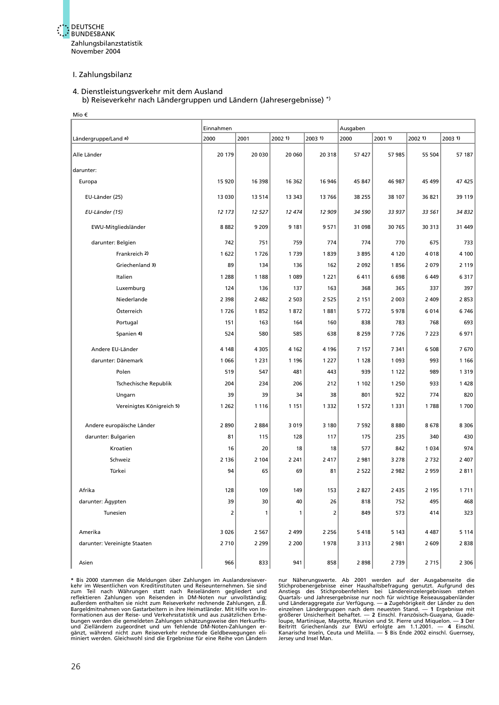

# 4. Dienstleistungsverkehr mit dem Ausland

b) Reiseverkehr nach Ländergruppen und Ländern (Jahresergebnisse) \*)

Mio €

|                              | Einnahmen |         |         |                | Ausgaben |         |         |          |
|------------------------------|-----------|---------|---------|----------------|----------|---------|---------|----------|
| Ländergruppe/Land a)         | 2000      | 2001    | 2002 1) | 2003 1)        | 2000     | 20011   | 2002 1) | 2003 1)  |
| Alle Länder                  | 20 179    | 20 030  | 20 060  | 20 318         | 57 427   | 57 985  | 55 504  | 57 187   |
| darunter:                    |           |         |         |                |          |         |         |          |
| Europa                       | 15 9 20   | 16 398  | 16 362  | 16 946         | 45 847   | 46 987  | 45 499  | 47 425   |
| EU-Länder (25)               | 13 0 30   | 13 5 14 | 13 343  | 13 766         | 38 255   | 38 107  | 36 821  | 39 119   |
| EU-Länder (15)               | 12 173    | 12 5 27 | 12 474  | 12 909         | 34 590   | 33 937  | 33 561  | 34 832   |
| EWU-Mitgliedsländer          | 8882      | 9 2 0 9 | 9 1 8 1 | 9 5 7 1        | 31 098   | 30 765  | 30 313  | 31 4 4 9 |
| darunter: Belgien            | 742       | 751     | 759     | 774            | 774      | 770     | 675     | 733      |
| Frankreich 2)                | 1622      | 1726    | 1739    | 1839           | 3895     | 4 1 2 0 | 4018    | 4 100    |
| Griechenland 3)              | 89        | 134     | 136     | 162            | 2 0 9 2  | 1856    | 2 0 7 9 | 2 1 1 9  |
| Italien                      | 1 2 8 8   | 1 1 8 8 | 1 0 8 9 | 1 2 2 1        | 6411     | 6698    | 6 4 4 9 | 6317     |
| Luxemburg                    | 124       | 136     | 137     | 163            | 368      | 365     | 337     | 397      |
| Niederlande                  | 2 3 9 8   | 2 4 8 2 | 2 5 0 3 | 2 5 2 5        | 2 1 5 1  | 2 0 0 3 | 2 4 0 9 | 2853     |
| Österreich                   | 1726      | 1852    | 1872    | 1881           | 5772     | 5978    | 6014    | 6746     |
| Portugal                     | 151       | 163     | 164     | 160            | 838      | 783     | 768     | 693      |
| Spanien 4)                   | 524       | 580     | 585     | 638            | 8 2 5 9  | 7726    | 7 2 2 3 | 6971     |
| Andere EU-Länder             | 4 1 4 8   | 4 3 0 5 | 4 1 6 2 | 4 1 9 6        | 7 1 5 7  | 7 3 4 1 | 6 5 0 8 | 7670     |
| darunter: Dänemark           | 1066      | 1 2 3 1 | 1 1 9 6 | 1 2 2 7        | 1 1 2 8  | 1 0 9 3 | 993     | 1 1 6 6  |
| Polen                        | 519       | 547     | 481     | 443            | 939      | 1 1 2 2 | 989     | 1 3 1 9  |
| Tschechische Republik        | 204       | 234     | 206     | 212            | 1 1 0 2  | 1 2 5 0 | 933     | 1428     |
| Ungarn                       | 39        | 39      | 34      | 38             | 801      | 922     | 774     | 820      |
| Vereinigtes Königreich 5)    | 1 2 6 2   | 1 1 1 6 | 1 1 5 1 | 1 3 3 2        | 1572     | 1 3 3 1 | 1788    | 1700     |
| Andere europäische Länder    | 2890      | 2884    | 3 0 1 9 | 3 1 8 0        | 7 5 9 2  | 8880    | 8678    | 8 3 0 6  |
| darunter: Bulgarien          | 81        | 115     | 128     | 117            | 175      | 235     | 340     | 430      |
| Kroatien                     | 16        | 20      | 18      | 18             | 577      | 842     | 1 0 3 4 | 974      |
| Schweiz                      | 2 1 3 6   | 2 1 0 4 | 2 2 4 1 | 2417           | 2981     | 3 2 7 8 | 2 7 3 2 | 2 4 0 7  |
| Türkei                       | 94        | 65      | 69      | 81             | 2 5 2 2  | 2982    | 2959    | 2811     |
| Afrika                       | 128       | 109     | 149     | 153            | 2827     | 2 4 3 5 | 2 1 9 5 | 1711     |
| darunter: Ägypten            | 39        | 30      | 40      | 26             | 818      | 752     | 495     | 468      |
| Tunesien                     | 2         | 1       | 1       | $\overline{2}$ | 849      | 573     | 414     | 323      |
| Amerika                      | 3 0 2 6   | 2 5 6 7 | 2 4 9 9 | 2 2 5 6        | 5418     | 5 1 4 3 | 4 4 8 7 | 5 1 1 4  |
| darunter: Vereinigte Staaten | 2710      | 2 2 9 9 | 2 2 0 0 | 1978           | 3 3 1 3  | 2981    | 2 609   | 2838     |
| Asien                        | 966       | 833     | 941     | 858            | 2898     | 2739    | 2715    | 2 3 0 6  |

\* Bis 2000 stammen die Meldungen über Zahlungen im Auslandsreiseverneuten. Ab 2001 werden auf der Ausgabenseite die<br>kehr im Wesentlichen von Kreditinstituten und Reiseunternehmen. Sie sind Stichprobenergebnisse einer Hausa Bargelominialmen von uastarbeiteren in inte Heimatiander. Mit Hille von Insel formationen aus der Reise- und Verkehrststitist und aus zusätzlichen Erhebrungen werden die gemeldeten Zahlungen schätzungsweise den Herkunfts-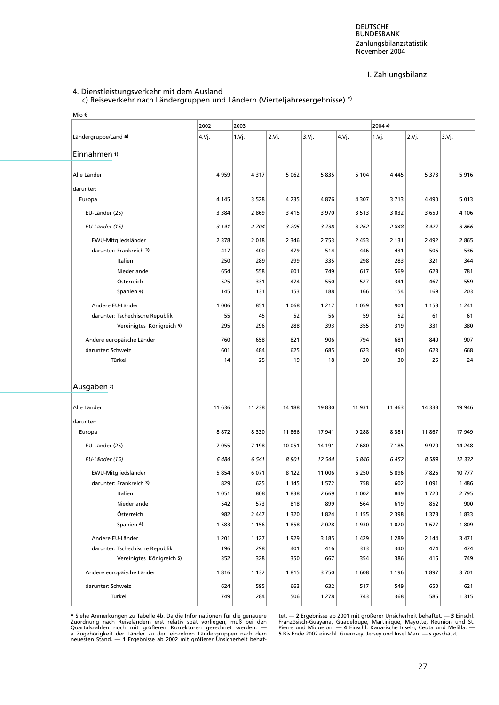# 4. Dienstleistungsverkehr mit dem Ausland

c) Reiseverkehr nach Ländergruppen und Ländern (Vierteljahresergebnisse) \*)

|                                 | 2002       | 2003           |                |             |                | 2004 s         |                |             |
|---------------------------------|------------|----------------|----------------|-------------|----------------|----------------|----------------|-------------|
| Ländergruppe/Land a)            | 4.Vj.      | 1.Vj.          | 2.Vj.          | 3.Vj.       | 4.Vj.          | 1.Vj.          | 2.Vj.          | 3.Vj.       |
|                                 |            |                |                |             |                |                |                |             |
| Einnahmen 1)                    |            |                |                |             |                |                |                |             |
|                                 |            |                |                |             |                |                |                |             |
| Alle Länder                     | 4959       | 4317           | 5 0 6 2        | 5835        | 5 104          | 4 4 4 5        | 5 3 7 3        | 5916        |
| darunter:                       |            |                |                |             |                |                |                |             |
| Europa                          | 4 1 4 5    | 3 5 2 8        | 4 2 3 5        | 4876        | 4 3 0 7        | 3713           | 4 4 9 0        | 5013        |
| EU-Länder (25)                  | 3 3 8 4    | 2869           | 3 4 1 5        | 3970        | 3 5 1 3        | 3 0 3 2        | 3 6 5 0        | 4 1 0 6     |
| EU-Länder (15)                  | 3 1 4 1    | 2 704          | 3 2 0 5        | 3738        | 3 2 6 2        | 2848           | 3 4 2 7        | 3866        |
| EWU-Mitgliedsländer             | 2 3 7 8    | 2 0 1 8        | 2 3 4 6        | 2753        | 2 4 5 3        | 2 1 3 1        | 2 4 9 2        | 2865        |
| darunter: Frankreich 3)         | 417        | 400            | 479            | 514         | 446            | 431            | 506            | 536         |
| Italien                         | 250        | 289            | 299            | 335         | 298            | 283            | 321            | 344         |
| Niederlande                     | 654        | 558            | 601            | 749         | 617            | 569            | 628            | 781         |
| Österreich                      | 525        | 331            | 474            | 550         | 527            | 341            | 467            | 559         |
| Spanien 4)                      | 145        | 131            | 153            | 188         | 166            | 154            | 169            | 203         |
| Andere EU-Länder                | 1 0 0 6    | 851            | 1 0 6 8        | 1 2 1 7     | 1 0 5 9        | 901            | 1 1 5 8        | 1241        |
| darunter: Tschechische Republik | 55         | 45             | 52             | 56          | 59             | 52             | 61             | 61          |
| Vereinigtes Königreich 5)       | 295        | 296            | 288            | 393         | 355            | 319            | 331            | 380         |
| Andere europäische Länder       | 760        | 658            | 821            | 906         | 794            | 681            | 840            | 907         |
| darunter: Schweiz               | 601        | 484            | 625            | 685         | 623            | 490            | 623            | 668         |
| Türkei                          | 14         | 25             | 19             | 18          | 20             | 30             | 25             | 24          |
|                                 |            |                |                |             |                |                |                |             |
| Ausgaben 2)                     |            |                |                |             |                |                |                |             |
|                                 |            |                |                |             |                |                |                |             |
| Alle Länder                     | 11 636     | 11 238         | 14 188         | 19830       | 11 931         | 11 4 63        | 14 3 38        | 19 946      |
| darunter:                       |            |                |                |             |                |                |                |             |
| Europa                          | 8872       | 8 3 3 0        | 11866          | 17 941      | 9 2 8 8        | 8 3 8 1        | 11 867         | 17 949      |
| EU-Länder (25)                  | 7055       | 7 1 9 8        | 10 051         | 14 191      | 7680           | 7 185          | 9970           | 14 248      |
|                                 |            |                |                |             |                |                |                |             |
| EU-Länder (15)                  | 6484       | 6 5 41         | 8 9 0 1        | 12 544      | 6846           | 6452           | 8 5 8 9        | 12 332      |
| EWU-Mitgliedsländer             | 5854       | 6 0 7 1        | 8 1 2 2        | 11 006      | 6 2 5 0        | 5896           | 7826           | 10777       |
| darunter: Frankreich 3)         | 829        | 625            | 1 1 4 5        | 1 5 7 2     | 758            | 602            | 1 0 9 1        | 1486        |
| Italien                         | 1 051      | 808            | 1 838          | 2 669       | 1 002          | 849            | 1720           | 2 795       |
| Niederlande<br>Österreich       | 542<br>982 | 573<br>2 4 4 7 | 818<br>1 3 2 0 | 899<br>1824 | 564<br>1 1 5 5 | 619<br>2 3 9 8 | 852<br>1 3 7 8 | 900<br>1833 |
| Spanien 4)                      | 1583       | 1 1 5 6        | 1858           | 2 0 2 8     | 1930           | 1 0 2 0        | 1677           | 1809        |
|                                 |            |                |                |             |                |                |                |             |
| Andere EU-Länder                | 1 2 0 1    | 1 1 2 7        | 1929           | 3 1 8 5     | 1429           | 1 2 8 9        | 2 144          | 3471        |
| darunter: Tschechische Republik | 196        | 298            | 401            | 416         | 313            | 340            | 474            | 474         |
| Vereinigtes Königreich 5)       | 352        | 328            | 350            | 667         | 354            | 386            | 416            | 749         |
| Andere europäische Länder       | 1816       | 1 1 3 2        | 1815           | 3750        | 1608           | 1 1 9 6        | 1897           | 3701        |
| darunter: Schweiz               | 624        | 595            | 663            | 632         | 517            | 549            | 650            | 621         |
| Türkei                          | 749        | 284            | 506            | 1 2 7 8     | 743            | 368            | 586            | 1315        |

**\*** Siehe Anmerkungen zu Tabelle 4b. Da die Informationen für die genauere tet. — **2** Ergebnisse ab 2001 mit größerer Unsicherheit behaftet. — **3** Einschl. Zuordnung nach Reiseländern erst relativ spät vorliegen, muß bei den kranzösisch-Guayana, Guadeloupe, Martinique, Mayotte, Réunion und St.<br>Quartalszahlen noch mit größeren Korrekturen gerechnet werden. — Pierre und Miquelo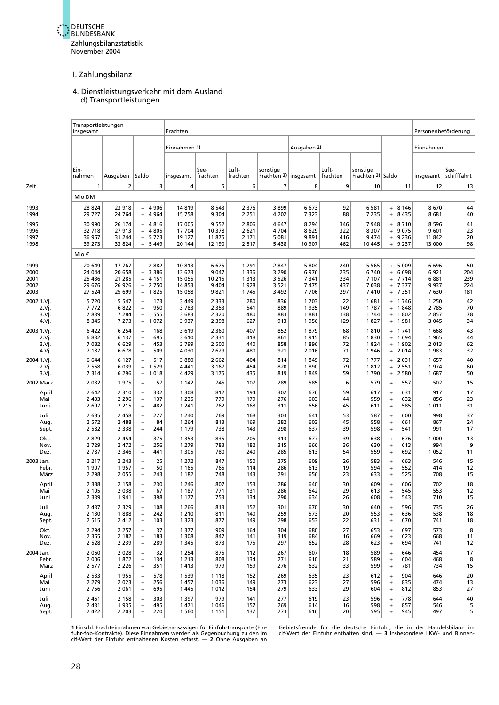

## 4. Dienstleistungsverkehr mit dem Ausland d) Transportleistungen

|                | Transportleistungen<br>insgesamt |                    |                                                                      |                    | Frachten           |                    |                    |                                   |                 |                    |                                 |                        |                    | Personenbeförderung |                     |
|----------------|----------------------------------|--------------------|----------------------------------------------------------------------|--------------------|--------------------|--------------------|--------------------|-----------------------------------|-----------------|--------------------|---------------------------------|------------------------|--------------------|---------------------|---------------------|
|                |                                  |                    |                                                                      |                    | Einnahmen 1)       |                    |                    |                                   | Ausgaben 2)     |                    |                                 |                        |                    | Einnahmen           |                     |
|                |                                  |                    |                                                                      |                    |                    |                    |                    |                                   |                 |                    |                                 |                        |                    |                     |                     |
|                | Ein-<br>nahmen                   | Ausgaben           | Saldo                                                                |                    | insgesamt          | See-<br>frachten   | Luft-<br>frachten  | sonstige<br>Frachten 3) insgesamt |                 | Luft-<br>∣frachten | sonstige<br>Frachten 3)   Saldo |                        |                    | insgesamt           | See-<br>schifffahrt |
| Zeit           | 1                                | 2                  |                                                                      | 3                  | 4                  | 5                  | 6                  | $\overline{7}$                    | 8               | 9                  | 10                              |                        | 11                 | 12                  | 13                  |
|                | Mio DM                           |                    |                                                                      |                    |                    |                    |                    |                                   |                 |                    |                                 |                        |                    |                     |                     |
| 1993<br>1994   | 28 8 24<br>29 7 27               | 23 918<br>24 7 64  | $+$<br>$+$                                                           | 4 9 0 6<br>4 9 6 4 | 14819<br>15 7 58   | 8 5 4 3<br>9 3 0 4 | 2 3 7 6<br>2 2 5 1 | 3899<br>4 2 0 2                   | 6673<br>7 3 2 3 | 92<br>88           | 6581<br>7 2 3 5                 | $+ 8146$<br>$+ 8435$   |                    | 8670<br>8681        | 44<br>40            |
| 1995           | 30 990                           | 26 174             | $+ 4816$                                                             |                    | 17 005             | 9 5 5 2            | 2806               | 4647                              | 8 2 9 4         | 346                | 7948                            | $+ 8710$               |                    | 8 5 9 6             | 41                  |
| 1996<br>1997   | 32718<br>36 967                  | 27913<br>31 244    | $\ddot{}$<br>$+$                                                     | 4 8 0 5<br>5723    | 17 704<br>19 127   | 10 378<br>11875    | 2 6 2 1<br>2 1 7 1 | 4704<br>5 0 8 1                   | 8629<br>9891    | 322<br>416         | 8 3 0 7<br>9474                 | $+$<br>$+$             | 9 0 7 5<br>9 2 3 6 | 9 601<br>11842      | 23<br>20            |
| 1998           | 39 273                           | 33 824             | $+ 5449$                                                             |                    | 20 144             | 12 190             | 2 5 1 7            | 5438                              | 10 907          | 462                | 10 445                          | $+ 9237$               |                    | 13 000              | 98                  |
|                | Mio €                            |                    |                                                                      |                    |                    |                    |                    |                                   |                 |                    |                                 |                        |                    |                     |                     |
| 1999           | 20 649                           | 17 767             | $+ 2882$                                                             |                    | 10813              | 6675               | 1 2 9 1            | 2847                              | 5 8 0 4         | 240                | 5 5 6 5                         | $+ 5009$               |                    | 6696                | 50                  |
| 2000           | 24 044                           | 20 658             | $+$                                                                  | 3 3 8 6            | 13 673             | 9 0 4 7            | 1 3 3 6            | 3 2 9 0                           | 6976            | 235                | 6740                            | $+$                    | 6698               | 6921                | 204                 |
| 2001<br>2002   | 25 4 36<br>29 676                | 21 285<br>26 926   | $+ 4151$<br>$+ 2750$                                                 |                    | 15 0 55<br>14853   | 10 215<br>9 4 0 4  | 1 3 1 3<br>1928    | 3 5 2 6<br>3 5 2 1                | 7 3 4 1<br>7475 | 234<br>437         | 7 107<br>7038                   | $+ 7714$               | 7 377              | 6881<br>9 9 3 7     | 239<br>224          |
| 2003           | 27 524                           | 25 699             | $\ddot{}$                                                            | 1825               | 15 0 58            | 9821               | 1745               | 3 4 9 2                           | 7706            | 297                | 7410                            | $+$<br>$\ddot{}$       | 7 3 5 1            | 7630                | 181                 |
| 2002 1.Vj.     | 5720                             | 5 5 4 7            | $\ddot{}$                                                            | 173                | 3 4 4 9            | 2 3 3 3            | 280                | 836                               | 1703            | 22                 | 1681                            | $\ddot{}$              | 1746               | 1 2 5 0             | 42                  |
| 2.Vj.          | 7772                             | 6822               | $\ddot{}$                                                            | 950                | 3783               | 2 3 5 3            | 541                | 889                               | 1935            | 149                | 1787                            | $\ddot{}$              | 1848               | 2 7 8 5             | 70                  |
| 3.Vi.          | 7839                             | 7 2 8 4            | $\ddot{}$                                                            | 555                | 3 683              | 2 3 2 0            | 480                | 883                               | 1881            | 138                | 1744                            | $\ddot{}$              | 1802               | 2857                | 78                  |
| 4.Vj.          | 8 3 4 5                          | 7 2 7 3            | $\ddot{}$                                                            | 072                | 3937               | 2 3 9 8            | 627                | 913                               | 1956            | 129                | 1827                            | $\ddot{}$              | 1981               | 3 0 4 5             | 34                  |
| 2003 1.Vi.     | 6 4 2 2                          | 6 2 5 4            | $\begin{array}{c} + \end{array}$                                     | 168                | 3619               | 2 3 6 0            | 407                | 852                               | 1879            | 68                 | 1810                            | $\ddot{}$              | 1 7 4 1            | 1 6 6 8             | 43                  |
| 2.Vi.<br>3.Vj. | 6832<br>7 0 8 2                  | 6 1 3 7<br>6629    | $\ddot{}$<br>$\begin{array}{c} + \end{array}$                        | 695<br>453         | 3610<br>3799       | 2 3 3 1<br>2 500   | 418<br>440         | 861<br>858                        | 1915<br>1896    | 85<br>72           | 1830<br>1824                    | $\ddot{}$<br>$\ddot{}$ | 1694<br>1902       | 1 9 6 5<br>2 0 1 3  | 44<br>62            |
| 4.Vj.          | 7 187                            | 6678               | $\ddot{}$                                                            | 509                | 4 0 3 0            | 2629               | 480                | 921                               | 2016            | 71                 | 1946                            | $+ 2014$               |                    | 1 9 8 3             | 32                  |
| 2004 1.Vi      | 6 6 4 4                          | 6 1 2 7            | $\ddot{}$                                                            | 517                | 3880               | 2 6 6 2            | 404                | 814                               | 1849            | 72                 | 1777                            | $\ddot{}$              | 2 0 3 1            | 1657                | 40                  |
| 2.Vj.          | 7 5 6 8                          | 6039               | $\ddot{}$                                                            | 1 5 2 9            | 4 4 4 1            | 3 1 6 7            | 454                | 820                               | 1890            | 79                 | 1812                            | $\ddot{}$              | 2 5 5 1            | 1974                | 60                  |
| 3.Vj.          | 7314                             | 6 2 9 6            | $\ddot{}$                                                            | 1018               | 4 4 2 9            | 3 1 7 5            | 435                | 819                               | 1849            | 59                 | 1790                            | $\ddot{}$              | 2 5 8 0            | 1687                | 50                  |
| 2002 März      | 2 0 3 2                          | 1975               | $\ddot{}$                                                            | 57                 | 1 1 4 2            | 745                | 107                | 289                               | 585             | 6                  | 579                             | $\ddot{}$              | 557                | 502                 | 15                  |
| April          | 2 6 4 2                          | 2 3 1 0            | $\ddot{}$                                                            | 332                | 1 3 0 8            | 812                | 194                | 302                               | 676             | 59                 | 617                             | $\ddot{}$              | 631                | 917                 | 17                  |
| Mai            | 2 4 3 3                          | 2 2 9 6            | $\begin{array}{c} + \end{array}$                                     | 137                | 1 2 3 5            | 779                | 179                | 276                               | 603             | 44                 | 559                             | $\ddot{}$              | 632                | 856                 | 23                  |
| Juni           | 2 6 9 7                          | 2 2 1 5            | $\ddot{}$                                                            | 482                | 1 2 4 1            | 762                | 168                | 311                               | 656             | 45                 | 611                             | $\bf{+}$               | 585                | 1 0 1 1             | 31                  |
| Juli           | 2 6 8 5                          | 2 4 5 8            | $\begin{array}{c} + \end{array}$                                     | 227                | 1 2 4 0            | 769                | 168                | 303                               | 641             | 53                 | 587                             | $\ddot{}$              | 600                | 998                 | 37                  |
| Aug.           | 2 5 7 2<br>2 5 8 2               | 2 4 8 8            | $\begin{array}{c} + \end{array}$                                     | 84                 | 1 2 6 4<br>1 1 7 9 | 813                | 169<br>143         | 282<br>298                        | 603<br>637      | 45<br>39           | 558<br>598                      | $\bf{+}$               | 661<br>541         | 867<br>991          | 24<br>17            |
| Sept.          |                                  | 2 3 3 8            | $\ddot{}$                                                            | 244                |                    | 738                |                    |                                   |                 |                    |                                 | $\ddot{}$              |                    |                     |                     |
| Okt.<br>Nov.   | 2829<br>2729                     | 2 4 5 4<br>2 4 7 2 | $\begin{array}{c} + \end{array}$<br>$\ddot{}$                        | 375<br>256         | 1 3 5 3<br>1 2 7 9 | 835<br>783         | 205<br>182         | 313<br>315                        | 677<br>666      | 39<br>36           | 638<br>630                      | $\ddot{}$<br>$\ddot{}$ | 676<br>613         | 1 000<br>994        | 13<br>9             |
| Dez.           | 2 7 8 7                          | 2 3 4 6            | $\ddot{}$                                                            | 441                | 1 3 0 5            | 780                | 240                | 285                               | 613             | 54                 | 559                             | $\ddot{}$              | 692                | 1 0 5 2             | 11                  |
| 2003 Jan.      | 2 2 1 7                          | 2 2 4 3            | $\overline{\phantom{m}}$                                             | 25                 | 1 2 7 2            | 847                | 150                | 275                               | 609             | 26                 | 583                             | $\ddot{}$              | 663                | 546                 | 15                  |
| Febr.          | 1 9 0 7                          | 1957               | $\qquad \qquad -$                                                    | 50                 | 1 1 6 5            | 765                | 114                | 286                               | 613             | 19                 | 594                             | $\ddot{}$              | 552                | 414                 | 12                  |
| März           | 2 2 9 8                          | 2 0 5 5            | $\ddot{}$                                                            | 243                | 1 1 8 2            | 748                | 143                | 291                               | 656             | 23                 | 633                             | $\ddot{}$              | 525                | 708                 | 15                  |
| April          | 2 3 8 8                          | 2 1 5 8            | $\begin{array}{c} + \end{array}$                                     | 230                | 1 2 4 6            | 807                | 153                | 286                               | 640             | 30                 | 609                             | $\ddot{}$              | 606                | 702                 | 18                  |
| Mai            | 2 1 0 5                          | 2038               | $\ddot{}$                                                            | 67                 | 1 1 8 7            | 771                | 131                | 286                               | 642             | 29                 | 613                             | $\ddot{}$              | 545                | 553                 | 12                  |
| Juni           | 2 3 3 9                          | 1941               | $\begin{array}{c} + \end{array}$                                     | 398                | 1 1 7 7            | 753                | 134                | 290                               | 634             | 26                 | 608                             | $\ddot{}$              | 543                | 710                 | 15                  |
| Juli           | 2 4 3 7                          | 2 3 2 9<br>1888    | $\begin{array}{c} + \end{array}$                                     | 108                | 1 2 6 6            | 813<br>811         | 152                | 301<br>259                        | 670<br>573      | 30                 | 640<br>553                      | $\ddot{}$              | 596                | 735<br>538          | 26                  |
| Aug.<br>Sept.  | 2 1 3 0<br>2515                  | 2412               | $\begin{array}{c} + \end{array}$<br>$\begin{array}{c} + \end{array}$ | 242<br>103         | 1 2 1 0<br>1 3 2 3 | 877                | 140<br>149         | 298                               | 653             | 20<br>22           | 631                             | $\ddot{}$<br>$\ddot{}$ | 636<br>670         | 741                 | 18<br>18            |
| Okt.           | 2 2 9 4                          | 2 2 5 7            | $\begin{array}{c} + \end{array}$                                     | 37                 | 1 3 7 7            | 909                | 164                | 304                               | 680             | 27                 | 653                             | $\ddot{}$              | 697                | 573                 | 8                   |
| Nov.           | 2 3 6 5                          | 2 1 8 2            | $\ddot{}$                                                            | 183                | 1 3 0 8            | 847                | 141                | 319                               | 684             | 16                 | 669                             | $\ddot{}$              | 623                | 668                 | 11                  |
| Dez.           | 2 5 2 8                          | 2 2 3 9            | $\ddot{}$                                                            | 289                | 1 3 4 5            | 873                | 175                | 297                               | 652             | 28                 | 623                             | $\ddot{}$              | 694                | 741                 | 12                  |
| 2004 Jan.      | 2 0 6 0                          | 2 0 2 8            | $\ddot{}$                                                            | 32                 | 1 2 5 4            | 875                | 112                | 267                               | 607             | 18                 | 589                             | $\ddot{}$              | 646                | 454                 | 17                  |
| Febr.          | 2 0 0 6                          | 1872               | $\begin{array}{c} + \end{array}$                                     | 134                | 1 2 1 3            | 808                | 134                | 271                               | 610             | 21                 | 589                             | $\ddot{}$              | 604                | 468                 | 8                   |
| März           | 2577                             | 2 2 2 6            | $\begin{array}{c} + \end{array}$                                     | 351                | 1413               | 979                | 159                | 276                               | 632             | 33                 | 599                             | $\ddot{}$              | 781                | 734                 | 15                  |
| April          | 2 5 3 3                          | 1955               | $\ddot{}$                                                            | 578                | 1 5 3 9            | 1 1 1 8            | 152                | 269                               | 635             | 23                 | 612                             | $\ddot{}$              | 904                | 646                 | 20                  |
| Mai<br>Juni    | 2 2 7 9<br>2756                  | 2 0 2 3<br>2 0 6 1 | $\begin{array}{c} + \end{array}$<br>$\bf{+}$                         | 256<br>695         | 1457<br>1445       | 1036<br>1012       | 149<br>154         | 273<br>279                        | 623<br>633      | 27<br>29           | 596<br>604                      | $\bf{+}$<br>$\bf{+}$   | 835<br>812         | 474<br>853          | 13<br>27            |
|                |                                  |                    |                                                                      |                    |                    |                    |                    |                                   |                 |                    |                                 |                        |                    |                     |                     |
| Juli<br>Aug.   | 2 4 6 1<br>2 4 3 1               | 2 1 5 8<br>1935    | $\begin{array}{c} + \end{array}$<br>$\bf{+}$                         | 303<br>495         | 1 3 9 7<br>1471    | 979<br>1 0 4 6     | 141<br>157         | 277<br>269                        | 619<br>614      | 23<br>16           | 596<br>598                      | $\bf{+}$<br>$\ddot{}$  | 778<br>857         | 644<br>546          | 40<br>5             |
| Sept.          | 2 4 2 2                          | 2 2 0 3            | $\ddot{}$                                                            | 220                | 1 5 6 0            | 1 1 5 1            | 137                | 273                               | 616             | 20                 | 595                             | $\ddot{}$              | 945                | 497                 | 5                   |

1 Einschl. Frachteinnahmen von Gebietsansässigen für Einfuhrtransporte (Ein-Sebietsfremde) für die deutsche Einfuhr, die in der Handelsbilanz im<br>fuhr-fob-Kontrakte). Diese Einnahmen werden als Gegenbuchung zu den im Sif-We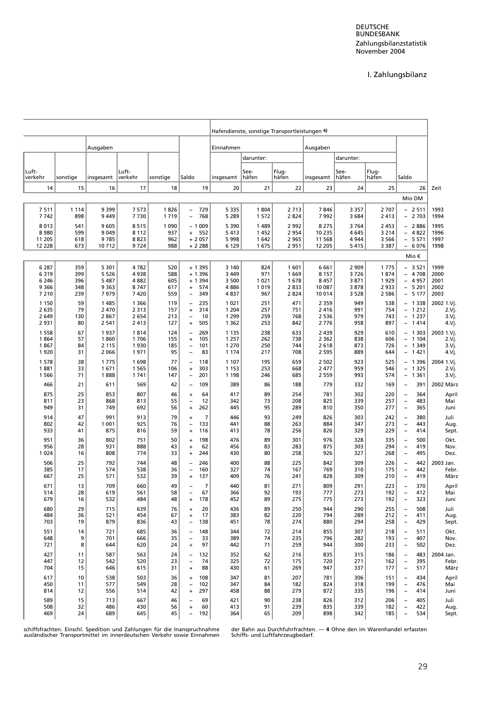## I. Zahlungsbilanz

|                    |                |                    |                    |                |                                                                    |                    | Hafendienste, sonstige Transportleistungen 4) |                    |                    |                 |                    |                                                                         |                   |
|--------------------|----------------|--------------------|--------------------|----------------|--------------------------------------------------------------------|--------------------|-----------------------------------------------|--------------------|--------------------|-----------------|--------------------|-------------------------------------------------------------------------|-------------------|
|                    |                | Ausgaben           |                    |                |                                                                    | Einnahmen          |                                               |                    | Ausgaben           |                 |                    |                                                                         |                   |
|                    |                |                    |                    |                |                                                                    |                    | darunter:                                     |                    |                    | darunter:       |                    |                                                                         |                   |
| Luft-<br>verkehr   | sonstige       | insgesamt          | Luft-<br>verkehr   | sonstige       | Saldo                                                              | insgesamt          | See-<br>häfen                                 | Flug-<br>häfen     | insgesamt          | See-<br>häfen   | Flug-<br>häfen     | Saldo                                                                   |                   |
| 14                 | 15             | 16                 | 17                 | 18             | 19                                                                 | 20                 | 21                                            | 22                 | 23                 | 24              | 25                 | 26                                                                      | Zeit              |
|                    |                |                    |                    |                |                                                                    |                    |                                               |                    |                    |                 |                    | Mio DM                                                                  |                   |
| 7511<br>7742       | 1 1 1 4<br>898 | 9 3 9 9<br>9 4 4 9 | 7 5 7 3<br>7730    | 1826<br>1719   | 729<br>$\overline{\phantom{0}}$<br>$\overline{\phantom{0}}$<br>768 | 5 3 3 5<br>5 2 8 9 | 1804<br>1572                                  | 2713<br>2824       | 7846<br>7992       | 3 3 5 7<br>3684 | 2 7 0 7<br>2 4 1 3 | $-2511$<br>$-2703$                                                      | 1993<br>1994      |
| 8 0 1 3<br>8 9 8 0 | 541<br>599     | 9605<br>9 0 4 9    | 8515<br>8 1 1 2    | 1 0 9 0<br>937 | $-1009$<br>552<br>$+$                                              | 5 3 9 0<br>5 4 1 3 | 1489<br>1452                                  | 2 9 9 2<br>2 9 5 4 | 8 2 7 5<br>10 235  | 3764<br>4645    | 2 4 5 3<br>3 2 1 4 | $-2886$<br>$-4822$                                                      | 1995<br>1996      |
| 11 205             | 618            | 9785               | 8823               | 962            | $+2057$                                                            | 5 9 9 8            | 1642                                          | 2 9 6 5            | 11 568             | 4944            | 3 5 6 6            | 5 5 7 1<br>$\overline{\phantom{0}}$                                     | 1997              |
| 12 2 2 8           | 673            | 10712              | 9724               | 988            | $+2288$                                                            | 6 1 2 9            | 1675                                          | 2951               | 12 205             | 5415            | 3 3 8 7            | $-6076$<br>Mio€                                                         | 1998              |
| 6 2 8 7            | 359            | 5 3 0 1            | 4782               | 520            | $+ 1395$                                                           | 3 1 4 0            | 824                                           | 1601               | 6 6 6 1            | 2 9 0 9         | 1775               | $-3521$                                                                 | 1999              |
| 6319               | 399            | 5 5 2 6            | 4938               | 588            | $+ 1396$                                                           | 3 4 4 9            | 971                                           | 1 6 6 9            | 8 1 5 7            | 3726            | 1874               | 4708                                                                    | 2000              |
| 6 2 4 6<br>9 3 6 6 | 396<br>348     | 5 4 8 7<br>9 3 6 3 | 4882<br>8 7 4 7    | 605<br>617     | $+ 1394$<br>574<br>$+$                                             | 3 500<br>4886      | 1 0 2 1<br>1019                               | 1678<br>2833       | 8 4 5 7<br>10 087  | 3871<br>3878    | 1929<br>2 9 3 3    | 4957<br>$\overline{\phantom{0}}$<br>5 2 0 1<br>$\overline{\phantom{0}}$ | 2001<br>2002      |
| 7 2 1 0            | 239            | 7979               | 7420               | 559            | 349<br>$\qquad \qquad -$                                           | 4837               | 967                                           | 2824               | 10 014             | 3 5 2 8         | 2 5 8 6            | 5 1 7 7<br>$-$                                                          | 2003              |
| 1 1 5 0            | 59             | 1 4 8 5            | 1 3 6 6            | 119            | 235<br>$\qquad \qquad -$                                           | 1 0 2 1            | 251                                           | 471                | 2 3 5 9            | 949             | 538                | $-1338$                                                                 | 2002 1.Vj.        |
| 2 6 3 5<br>2 6 4 9 | 79<br>130      | 2 4 7 0<br>2867    | 2 3 1 3<br>2 6 5 4 | 157<br>213     | 314<br>$\ddot{}$<br>10<br>$\qquad \qquad -$                        | 1 204<br>1 2 9 9   | 257<br>259                                    | 751<br>768         | 2 4 1 6<br>2 5 3 6 | 991<br>979      | 754<br>743         | $-1212$<br>$-1237$                                                      | 2.Vj.<br>3.Vj.    |
| 2 9 3 1            | 80             | 2 5 4 1            | 2 4 1 3            | 127            | 505<br>$\ddot{}$                                                   | 1 3 6 2            | 253                                           | 842                | 2 7 7 6            | 958             | 897                | 1414                                                                    | 4.Vj.             |
| 1 5 5 8            | 67             | 1937               | 1814               | 124            | 269<br>$\qquad \qquad -$                                           | 1 1 3 5            | 238                                           | 633                | 2 4 3 9            | 929             | 610                | $-1303$                                                                 | 2003 1.Vj.        |
| 1864<br>1867       | 57<br>84       | 1860<br>2 1 1 5    | 1706<br>1930       | 155<br>185     | 105<br>$\ddot{}$<br>101<br>$\overline{\phantom{a}}$                | 1 2 5 7<br>1 2 7 0 | 262<br>250                                    | 738<br>744         | 2 3 6 2<br>2 6 1 8 | 838<br>873      | 606<br>726         | 1 1 0 4<br>$\overline{\phantom{0}}$<br>- 1349                           | $2.V$ j.<br>3.Vj. |
| 1920               | 31             | 2 0 6 6            | 1971               | 95             | $\equiv$<br>83                                                     | 1 1 7 4            | 217                                           | 708                | 2 5 9 5            | 889             | 644                | $-1421$                                                                 | 4.Vj.             |
| 1578               | 38             | 1775               | 1698               | 77             | 118<br>$\overline{\phantom{0}}$                                    | 1 107              | 195                                           | 659                | 2 5 0 2            | 923             | 525                | - 1396                                                                  | 2004 1.Vj.        |
| 1881<br>1 5 6 6    | 33<br>71       | 1671<br>1888       | 1 5 6 5<br>1741    | 106<br>147     | 303<br>$+$<br>201<br>$\overline{\phantom{a}}$                      | 1 1 5 3<br>1 1 9 8 | 253<br>246                                    | 668<br>685         | 2 477<br>2 5 5 9   | 959<br>993      | 546<br>574         | 1 3 2 5<br>$-$<br>1 3 6 1<br>$\overline{\phantom{a}}$                   | 2.Vj.<br>3.Vj.    |
| 466                | 21             | 611                | 569                | 42             | 109<br>$\overline{\phantom{0}}$                                    | 389                | 86                                            | 188                | 779                | 332             | 169                | 391<br>$\overline{\phantom{0}}$                                         | 2002 März         |
| 875                | 25             | 853                | 807                | 46             | 64<br>$\ddot{}$                                                    | 417                | 89                                            | 254                | 781                | 302             | 220                | 364<br>$\qquad \qquad -$                                                | April             |
| 811<br>949         | 23<br>31       | 868<br>749         | 813<br>692         | 55<br>56       | 12<br>$\qquad \qquad -$<br>262<br>$\ddot{}$                        | 342<br>445         | 73<br>95                                      | 208<br>289         | 825<br>810         | 339<br>350      | 257<br>277         | 483<br>$\equiv$<br>365<br>$\equiv$                                      | Mai<br>Juni       |
| 914                | 47             | 991                | 913                | 79             | $\overline{7}$<br>$\bf{+}$                                         | 446                | 93                                            | 249                | 826                | 303             | 242                | 380<br>$\overline{\phantom{0}}$                                         | Juli              |
| 802                | 42             | 1 0 0 1            | 925                | 76             | 133<br>$\overline{\phantom{0}}$                                    | 441                | 88                                            | 263                | 884                | 347             | 273                | 443<br>$\equiv$                                                         | Aug.              |
| 933                | 41             | 875                | 816                | 59             | 116<br>$\ddot{}$                                                   | 413                | 78                                            | 256                | 826                | 329             | 229                | 414<br>$\equiv$                                                         | Sept.             |
| 951<br>956         | 36<br>28       | 802<br>931         | 751<br>888         | 50<br>43       | 198<br>$\ddot{}$<br>62<br>$\ddot{}$                                | 476<br>456         | 89<br>83                                      | 301<br>283         | 976<br>875         | 328<br>303      | 335<br>294         | 500<br>$\overline{\phantom{0}}$<br>419<br>$\overline{\phantom{a}}$      | Okt.<br>Nov.      |
| 1 0 2 4            | 16             | 808                | 774                | 33             | 244<br>$\ddot{}$                                                   | 430                | 80                                            | 258                | 926                | 327             | 268                | 495<br>$\overline{a}$                                                   | Dez.              |
| 506                | 25             | 792                | 744                | 48             | 246<br>$\qquad \qquad -$                                           | 400                | 88                                            | 225                | 842                | 309             | 226                | 442<br>$\overline{\phantom{a}}$                                         | 2003 Jan.         |
| 385<br>667         | 17<br>25       | 574<br>571         | 538<br>532         | 36<br>39       | 160<br>$\qquad \qquad -$<br>137<br>$\ddot{}$                       | 327<br>409         | 74<br>76                                      | 167<br>241         | 769<br>828         | 310<br>309      | 175<br>210         | 442<br>$\overline{a}$<br>419<br>$\overline{\phantom{0}}$                | Febr.<br>März     |
| 671                | 13             | 709                | 660                | 49             | $\overline{7}$                                                     | 440                | 81                                            | 271                | 809                | 291             | 223                | 370                                                                     | April             |
| 514                | 28             | 619                | 561                | 58             | 67<br>-                                                            | 366                | 92                                            | 193                | 777                | 273             | 192                | 412<br>-                                                                | Mai               |
| 679                | 16             | 532                | 484                | 48             | 178<br>$\ddot{}$                                                   | 452                | 89                                            | 275                | 775                | 273             | 192                | 323                                                                     | Juni              |
| 680<br>484         | 29<br>36       | 715<br>521         | 639<br>454         | 76<br>67       | 20<br>$+$<br>17<br>$\pmb{+}$                                       | 436<br>383         | 89<br>82                                      | 250<br>220         | 944<br>794         | 290<br>289      | 255<br>212         | 508<br>411                                                              | Juli<br>Aug.      |
| 703                | 19             | 879                | 836                | 43             | 138<br>$\overline{\phantom{a}}$                                    | 451                | 78                                            | 274                | 880                | 294             | 258                | 429<br>$\overline{\phantom{a}}$                                         | Sept.             |
| 551                | 14             | 721                | 685                | 36             | 148<br>-                                                           | 344                | 72                                            | 214                | 855                | 307             | 218                | 511<br>$\qquad \qquad -$                                                | Okt.              |
| 648<br>721         | 9<br>8         | 701<br>644         | 666<br>620         | 35<br>24       | $\overline{a}$<br>33<br>97<br>$+$                                  | 389<br>442         | 74<br>71                                      | 235<br>259         | 796<br>944         | 282<br>300      | 193<br>233         | $\qquad \qquad -$<br>407<br>$\overline{\phantom{0}}$<br>502             | Nov.<br>Dez.      |
| 427                | 11             | 587                | 563                | 24             | 132<br>-                                                           | 352                | 62                                            | 216                | 835                | 315             | 186                | 483<br>$\overline{\phantom{a}}$                                         | 2004 Jan.         |
| 447                | 12             | 542                | 520                | 23             | 74<br>$\overline{\phantom{0}}$                                     | 325                | 72                                            | 175                | 720                | 271             | 162                | $\qquad \qquad -$<br>395                                                | Febr.             |
| 704                | 15             | 646                | 615                | 31             | 88<br>$\pmb{+}$                                                    | 430                | 61                                            | 269                | 947                | 337             | 177                | $\qquad \qquad -$<br>517                                                | März              |
| 617<br>450         | 10<br>11       | 538<br>577         | 503<br>549         | 36<br>28       | 108<br>$\ddot{}$<br>102<br>$\qquad \qquad -$                       | 347<br>347         | 81<br>84                                      | 207<br>182         | 781<br>824         | 306<br>318      | 151<br>199         | 434<br>$\overline{\phantom{a}}$<br>476<br>$\overline{a}$                | April<br>Mai      |
| 814                | 12             | 556                | 514                | 42             | 297<br>$\pmb{+}$                                                   | 458                | 88                                            | 279                | 872                | 335             | 196                | $\overline{\phantom{0}}$<br>414                                         | Juni              |
| 589                | 15             | 713                | 667                | 46             | 69<br>$\overline{\phantom{0}}$                                     | 421                | 90                                            | 238                | 826                | 312             | 206                | 405                                                                     | Juli              |
| 508<br>469         | 32<br>24       | 486<br>689         | 430<br>645         | 56<br>45       | 60<br>$\ddot{}$<br>192<br>$\qquad \qquad -$                        | 413<br>364         | 91<br>65                                      | 239<br>209         | 835<br>898         | 339<br>342      | 182<br>185         | 422<br>$\qquad \qquad -$<br>534<br>$\overline{\phantom{a}}$             | Aug.<br>Sept.     |
|                    |                |                    |                    |                |                                                                    |                    |                                               |                    |                    |                 |                    |                                                                         |                   |

schiffsfrachten. Einschl. Spedition und Zahlungen für die Inanspruchnahme ber Bahn aus Durchfuhrfrachten. — 4 Ohne den im Warenhandel erfassten<br>ausländischer Transportmittel im innerdeutschen Verkehr sowie Einnahmen bichif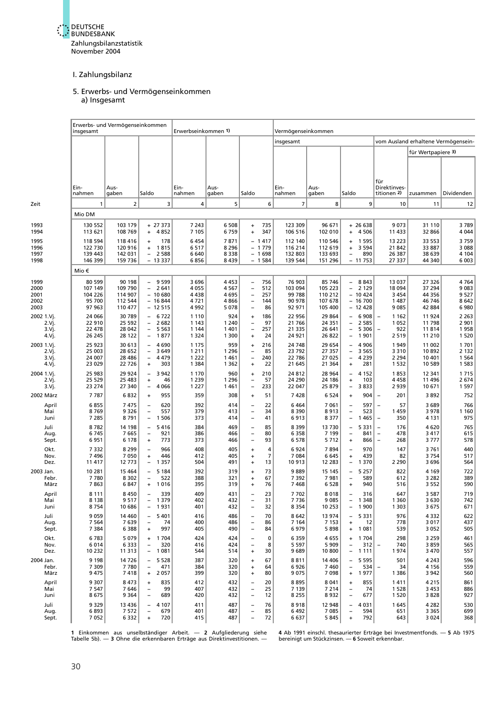

### 5. Erwerbs- und Vermögenseinkommen a) Insgesamt

|                     | insgesamt          | Erwerbs- und Vermögenseinkommen |                                                                         | Erwerbseinkommen 1) |                    |                                                              |                      | Vermögenseinkommen |                    |                                                                         |                                                                    |                                     |                    |
|---------------------|--------------------|---------------------------------|-------------------------------------------------------------------------|---------------------|--------------------|--------------------------------------------------------------|----------------------|--------------------|--------------------|-------------------------------------------------------------------------|--------------------------------------------------------------------|-------------------------------------|--------------------|
|                     |                    |                                 |                                                                         |                     |                    |                                                              |                      | insgesamt          |                    |                                                                         |                                                                    | vom Ausland erhaltene Vermögensein- |                    |
|                     |                    |                                 |                                                                         |                     |                    |                                                              |                      |                    |                    |                                                                         |                                                                    | für Wertpapiere 3)                  |                    |
|                     | Ein-<br>nahmen     | Aus-<br>gaben                   | Saldo                                                                   | Ein-<br>nahmen      | Aus-<br>gaben      | Saldo                                                        |                      | Ein-<br>nahmen     | Aus-<br>gaben      | Saldo                                                                   | für<br>Direktinves-<br>titionen 2)                                 | zusammen                            | Dividenden         |
| Zeit                | $\mathbf{1}$       | $\overline{2}$                  | $\overline{\mathbf{3}}$                                                 | 4                   | 5                  |                                                              | 6                    | $\overline{7}$     | 8                  | 9 <sup>1</sup>                                                          | 10                                                                 | 11                                  | 12                 |
|                     | Mio DM             |                                 |                                                                         |                     |                    |                                                              |                      |                    |                    |                                                                         |                                                                    |                                     |                    |
| 1993                | 130 552            | 103 179                         | + 27 373                                                                | 7 2 4 3             | 6 5 0 8            | $\ddot{}$                                                    | 735                  | 123 309            | 96 671             | + 26 638                                                                | 9073                                                               | 31 110                              | 3789               |
| 1994                | 113 621            | 108 769                         | 4852<br>$\ddot{}$                                                       | 7 1 0 5             | 6759               | $\ddot{}$                                                    | 347                  | 106 516            | 102 010            | 4 5 0 6<br>$+$                                                          | 11 433                                                             | 32 866                              | 4 0 4 4            |
| 1995<br>1996        | 118 594<br>122 730 | 118 416<br>120 916              | 178<br>$\ddot{}$<br>1815<br>$\ddot{}$                                   | 6454<br>6517        | 7871<br>8 2 9 6    |                                                              | $-1417$<br>$-1779$   | 112 140<br>116 214 | 110 546<br>112 619 | 1 5 9 5<br>$\ddot{}$<br>3 5 9 4<br>$\ddot{}$                            | 13 2 23<br>21 842                                                  | 33 553<br>33 887                    | 3759<br>3 0 8 8    |
| 1997                | 139 443            | 142 031                         | 2 5 8 8<br>$\overline{\phantom{a}}$                                     | 6640                | 8 3 3 8            |                                                              | $-1698$              | 132 803            | 133 693            | 890<br>$\overline{\phantom{a}}$                                         | 26 387                                                             | 38 639                              | 4 104              |
| 1998                | 146 399            | 159 736                         | $-13337$                                                                | 6856                | 8 4 3 9            |                                                              | $-1584$              | 139 544            | 151 296            | $-11753$                                                                | 27 337                                                             | 44 340                              | 6 0 03             |
|                     | Mio €              |                                 |                                                                         |                     |                    |                                                              |                      |                    |                    |                                                                         |                                                                    |                                     |                    |
| 1999<br>2000        | 80 599<br>107 149  | 90 198<br>109 790               | 9 5 9 9<br>$\qquad \qquad -$<br>$\overline{\phantom{0}}$<br>2 641       | 3696<br>4055        | 4 4 5 3<br>4 5 6 7 | $\overline{\phantom{a}}$<br>$\overline{\phantom{0}}$         | 756<br>512           | 76 903<br>103 094  | 85 746<br>105 223  | 8843<br>$\overline{\phantom{0}}$<br>$\overline{\phantom{0}}$<br>2 1 2 9 | 13 0 37<br>18 0 94                                                 | 27 326<br>37 294                    | 4764<br>9083       |
| 2001<br>2002        | 104 226<br>95 700  | 114 907<br>112 544              | $-10680$<br>$-16844$                                                    | 4438<br>4721        | 4 6 9 5<br>4866    | $\overline{\phantom{0}}$<br>$\overline{\phantom{a}}$         | 257<br>144           | 99 788<br>90 978   | 110 212<br>107 678 | $-10424$<br>$-16700$                                                    | 3 4 5 4<br>1 4 8 7                                                 | 44 3 5 6<br>46 746                  | 9 5 2 7<br>8 6 4 2 |
| 2003                | 97 963             | 110 477                         | $-12515$                                                                | 4992                | 5 0 7 8            | $\overline{\phantom{a}}$                                     | 86                   | 92 971             | 105 400            | $-12428$                                                                | 9085                                                               | 42 884                              | 6980               |
| 2002 1.Vj.          | 24 066             | 30 789                          | 6722<br>$\overline{\phantom{a}}$                                        | 1 1 1 0             | 924                | $\ddot{}$                                                    | 186                  | 22 956             | 29 864             | 6908                                                                    | 1 1 6 2<br>$\overline{\phantom{a}}$                                | 11 924                              | 2 2 6 3            |
| 2.Vj.<br>3.Vj.      | 22 910<br>22 478   | 25 592<br>28 042                | $\equiv$<br>2 6 8 2<br>$\overline{\phantom{a}}$<br>5 5 6 3              | 1 1 4 3<br>1 1 4 4  | 1 2 4 0<br>1 4 0 1 | $\overline{\phantom{a}}$<br>$\overline{\phantom{a}}$         | 97<br>257            | 21766<br>21 3 3 5  | 24 3 51<br>26 641  | 2 5 8 5<br>$\overline{\phantom{0}}$<br>$\equiv$<br>5 3 0 6              | 1052<br>922<br>$\overline{\phantom{a}}$                            | 11 798<br>11814                     | 2 9 0 1<br>1958    |
| 4.Vj.               | 26 245             | 28 122                          | 1877<br>$\overline{\phantom{a}}$                                        | 1 3 2 4             | 1 300              | $\ddot{}$                                                    | 24                   | 24 921             | 26 822             | 1901<br>$\overline{\phantom{0}}$                                        | 2 5 1 9                                                            | 11 210                              | 1 5 2 0            |
| 2003 1.Vj.          | 25 9 23<br>25 003  | 30 613<br>28 652                | 4690<br>$\overline{\phantom{a}}$<br>3 6 4 9<br>$\overline{\phantom{a}}$ | 1 1 7 5<br>1 2 1 1  | 959<br>1 2 9 6     | $\ddot{}$                                                    | 216<br>85            | 24 748<br>23 792   | 29 654<br>27 357   | 4 9 0 6<br>$\overline{\phantom{0}}$<br>3 5 6 5                          | 1949<br>3 3 1 0                                                    | 11 002<br>10892                     | 1701<br>2 1 3 2    |
| 2.Vj.<br>3.Vj.      | 24 007             | 28 4 86                         | $\equiv$<br>4 4 7 9                                                     | 1 2 2 2             | 1 4 6 1            | $\overline{\phantom{a}}$<br>$\overline{\phantom{a}}$         | 240                  | 22 786             | 27 025             | $\qquad \qquad -$<br>4 2 3 9<br>$\overline{\phantom{0}}$                | 2 2 9 4                                                            | 10 401                              | 1 5 6 4            |
| 4.Vj.               | 23 0 29            | 22726                           | 303<br>$\ddot{}$                                                        | 1 3 8 4             | 1 3 6 2            | $\ddot{}$                                                    | 22                   | 21 645             | 21 3 64            | 281<br>$\ddot{}$                                                        | 1 5 3 2                                                            | 10 589                              | 1583               |
| 2004 1.Vj.<br>2.Vj. | 25 983<br>25 5 29  | 29 9 24<br>25 483               | 3 9 4 2<br>$\overline{\phantom{a}}$<br>$\ddot{}$<br>46                  | 1 1 7 0<br>1 2 3 9  | 960<br>1 2 9 6     | $\ddot{}$<br>$\overline{\phantom{a}}$                        | 210<br>57            | 24 812<br>24 290   | 28 9 64<br>24 186  | 4 1 5 2<br>$\qquad \qquad -$<br>$\ddot{}$<br>103                        | 1853<br>4458                                                       | 12 341<br>11 4 96                   | 1715<br>2674       |
| 3.Vj.               | 23 274             | 27 340                          | 4 0 6 6<br>$\overline{\phantom{a}}$                                     | 1 2 2 7             | 1 4 6 1            | $\overline{\phantom{a}}$                                     | 233                  | 22 047             | 25 879             | 3833                                                                    | 2939                                                               | 10 671                              | 1 5 9 7            |
| 2002 März           | 7787               | 6832                            | 955<br>$\ddot{}$                                                        | 359                 | 308                | $\ddot{}$                                                    | 51                   | 7428               | 6 5 2 4            | 904<br>$\ddot{}$                                                        | 201<br>$\overline{\phantom{a}}$                                    | 3892                                | 752                |
| April<br>Mai        | 6855<br>8769       | 7475<br>9 3 2 6                 | 620<br>$\overline{\phantom{a}}$<br>557<br>$\overline{\phantom{a}}$      | 392<br>379          | 414<br>413         | $\overline{\phantom{a}}$<br>$\overline{\phantom{a}}$         | 22<br>34             | 6464<br>8 3 9 0    | 7 0 61<br>8913     | 597<br>$\qquad \qquad -$<br>523<br>$\overline{\phantom{0}}$             | 57<br>$\overline{\phantom{a}}$<br>1459                             | 3 6 8 9<br>3 9 7 8                  | 766<br>1 1 6 0     |
| Juni                | 7 2 8 5            | 8791                            | $\overline{\phantom{a}}$<br>1 5 0 6                                     | 373                 | 414                | $\overline{\phantom{a}}$                                     | 41                   | 6913               | 8 3 7 7            | 1465<br>$\overline{\phantom{a}}$                                        | 350<br>$\overline{\phantom{a}}$                                    | 4 1 3 1                             | 975                |
| Juli                | 8782               | 14 198                          | 5416<br>$\overline{\phantom{a}}$                                        | 384                 | 469                | $\overline{\phantom{a}}$                                     | 85                   | 8 3 9 9            | 13 7 30            | 5 3 3 1<br>$\overline{\phantom{0}}$                                     | 176<br>$\overline{\phantom{a}}$                                    | 4 6 20                              | 765                |
| Aug.<br>Sept.       | 6745<br>6951       | 7665<br>6 1 7 8                 | 921<br>$\overline{\phantom{a}}$<br>773<br>$\ddot{}$                     | 386<br>373          | 466<br>466         | $\overline{\phantom{a}}$<br>$\overline{\phantom{a}}$         | 80<br>93             | 6358<br>6578       | 7 1 9 9<br>5712    | 841<br>$\overline{\phantom{0}}$<br>866<br>$\ddot{}$                     | 478<br>$\overline{\phantom{a}}$<br>$\overline{\phantom{a}}$<br>268 | 3 4 1 7<br>3777                     | 615<br>578         |
| Okt.                | 7332               | 8 2 9 9                         | 966<br>$\overline{\phantom{a}}$                                         | 408                 | 405                | $\ddot{}$                                                    | 4                    | 6924               | 7894               | 970<br>$\qquad \qquad -$                                                | 147                                                                | 3761                                | 440                |
| Nov.<br>Dez.        | 7496<br>11 417     | 7050<br>12773                   | $\ddot{}$<br>446<br>1 3 5 7<br>$\overline{\phantom{a}}$                 | 412                 | 405<br>491         | $\begin{array}{c} + \end{array}$                             | $\overline{7}$<br>13 | 7 0 8 4<br>10913   | 6 6 4 5<br>12 283  | 439<br>$\ddot{}$<br>1 3 7 0<br>$\overline{\phantom{0}}$                 | 82                                                                 | 3754<br>3696                        | 517<br>564         |
| 2003 Jan.           | 10 281             | 15 4 64                         | 5 1 8 4<br>$\overline{\phantom{a}}$                                     | 504<br>392          | 319                | $\ddot{}$<br>$\ddot{}$                                       | 73                   | 9889               | 15 145             | 5 2 5 7<br>$\qquad \qquad -$                                            | 2 2 9 0<br>822                                                     | 4 1 6 9                             | 722                |
| Febr.               | 7780               | 8 3 0 2                         | 522<br>$\overline{\phantom{a}}$                                         | 388                 | 321                | $\begin{array}{c} + \end{array}$                             | 67                   | 7392               | 7981               | 589<br>$\qquad \qquad -$                                                | 612                                                                | 3 2 8 2                             | 389                |
| März                | 7863               | 6847                            | 1016<br>$\ddot{}$                                                       | 395                 | 319                | $\ddot{}$                                                    | 76                   | 7468               | 6 5 28             | 940<br>$\ddot{}$                                                        | 516                                                                | 3 5 5 2                             | 590                |
| April<br>Mai        | 8 1 1 1<br>8 1 3 8 | 8450<br>9517                    | 339<br>$\overline{\phantom{a}}$<br>$\overline{\phantom{0}}$<br>1 3 7 9  | 409<br>402          | 431<br>432         | $\overline{\phantom{0}}$<br>$\qquad \qquad -$                | 23<br>31             | 7702<br>7736       | 8018<br>9 0 8 5    | 316<br>$\overline{\phantom{0}}$<br>1 3 4 8                              | 647<br>1 3 6 0                                                     | 3 5 8 7<br>3 6 3 0                  | 719<br>742         |
| Juni                | 8754               | 10 686                          | 1931<br>$\overline{\phantom{a}}$                                        | 401                 | 432                | $\qquad \qquad -$                                            | 32                   | 8 3 5 4            | 10 253             | 1 900                                                                   | 1 3 0 3                                                            | 3675                                | 671                |
| Juli<br>Aug.        | 9059<br>7 5 6 4    | 14 4 60<br>7639                 | 5 4 0 1<br>$\overline{\phantom{a}}$<br>74<br>$\overline{\phantom{a}}$   | 416<br>400          | 486<br>486         | $\qquad \qquad -$                                            | 70<br>86             | 8642<br>7 1 6 4    | 13 974<br>7 1 5 3  | 5 3 3 1<br>12                                                           | 976<br>778                                                         | 4 3 3 2<br>3 0 1 7                  | 622<br>437         |
| Sept.               | 7 3 8 4            | 6 3 8 8                         | 997<br>$\begin{array}{c} + \end{array}$                                 | 405                 | 490                | $\overline{\phantom{a}}$<br>$\overline{\phantom{a}}$         | 84                   | 6979               | 5898               | $\ddot{}$<br>1 0 8 1<br>$\ddot{}$                                       | 539                                                                | 3 0 5 2                             | 505                |
| Okt.                | 6783               | 5 0 7 9                         | 1 7 0 4<br>$\begin{array}{c} + \end{array}$                             | 424                 | 424                | $\overline{\phantom{a}}$                                     | 0                    | 6 3 5 9            | 4655               | 1704<br>$\ddot{}$                                                       | 298                                                                | 3 2 5 9                             | 461                |
| Nov.<br>Dez.        | 6014<br>10 232     | 6 3 3 3<br>11 313               | 320<br>$\qquad \qquad -$<br>1 0 8 1<br>$\overline{\phantom{a}}$         | 416<br>544          | 424<br>514         | $\overline{\phantom{a}}$<br>$\begin{array}{c} + \end{array}$ | 8<br>30              | 5 5 9 7<br>9689    | 5 9 0 9<br>10 800  | 312<br>1 1 1 1                                                          | 740<br>1974                                                        | 3859<br>3 4 7 0                     | 565<br>557         |
| 2004 Jan.           | 9 1 9 8            | 14726                           | 5 5 2 8<br>$\overline{\phantom{a}}$                                     | 387                 | 320                | $\ddot{}$                                                    | 67                   | 8811               | 14 4 06            | 5 5 9 5<br>$\overline{\phantom{0}}$                                     | 501                                                                | 4 2 4 3                             | 596                |
| Febr.               | 7 3 0 9            | 7780                            | 471<br>$\qquad \qquad -$                                                | 384                 | 320                | $\ddot{}$                                                    | 64                   | 6926               | 7 4 6 0            | 534                                                                     | 34                                                                 | 4 1 5 6                             | 559                |
| März                | 9475               | 7418                            | 2 0 5 7<br>$\begin{array}{c} + \end{array}$                             | 399                 | 320                | $\ddot{}$                                                    | 80                   | 9075               | 7 0 9 8            | 1977<br>$\ddot{}$                                                       | 1 3 8 6                                                            | 3 9 4 2                             | 560                |
| April<br>Mai        | 9 3 0 7<br>7547    | 8 4 7 3<br>7646                 | 835<br>$\begin{array}{c} + \end{array}$<br>99<br>$\qquad \qquad -$      | 412<br>407          | 432<br>432         | $\qquad \qquad -$<br>$\overline{\phantom{a}}$                | 20<br>25             | 8895<br>7 1 3 9    | 8 0 4 1<br>7 2 1 4 | 855<br>$\ddot{}$<br>74<br>$\overline{\phantom{0}}$                      | 1411<br>1 5 2 8                                                    | 4 2 1 5<br>3 4 5 3                  | 861<br>886         |
| Juni                | 8675               | 9 3 6 4                         | $\overline{\phantom{a}}$<br>689                                         | 420                 | 432                | $\overline{\phantom{a}}$                                     | 12                   | 8 2 5 5            | 8932               | 677<br>$\overline{\phantom{0}}$                                         | 1520                                                               | 3828                                | 927                |
| Juli<br>Aug.        | 9 3 2 9<br>6893    | 13 4 36<br>7572                 | 4 107<br>$\overline{\phantom{a}}$<br>679<br>$\overline{\phantom{a}}$    | 411<br>401          | 487<br>487         | $\qquad \qquad -$<br>$\overline{\phantom{0}}$                | 76<br>85             | 8918<br>6492       | 12 948<br>7 0 8 5  | 4031<br>$\qquad \qquad -$<br>594<br>$\overline{\phantom{0}}$            | 1645<br>651                                                        | 4 2 8 2<br>3 3 6 5                  | 530<br>699         |
| Sept.               | 7052               | 6 3 3 2                         | 720<br>$\begin{array}{c} + \end{array}$                                 | 415                 | 487                | $\overline{\phantom{a}}$                                     | 72                   | 6637               | 5 8 4 5            | 792<br>$\ddot{}$                                                        | 643                                                                | 3 0 2 4                             | 368                |

1 Einkommen aus unselbständiger Arbeit. — 2 Aufgliederung siehe<br>Tabelle 5b). — 3 Ohne die erkennbaren Erträge aus Direktinvestitionen. —

**4** Ab 1991 einschl. thesaurierter Erträge bei Investmentfonds. — **5** Ab 1975 bereinigt um Stückzinsen. — **6** Soweit erkennbar.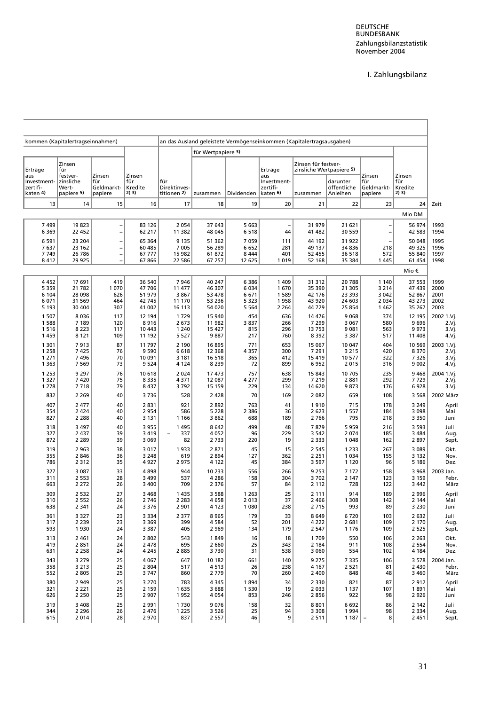٦

|                                                       | kommen (Kapitalertragseinnahmen)                              |                                                                                |                                      |                                                  |                                     |                                         |                                                       | an das Ausland geleistete Vermögenseinkommen (Kapitalertragsausgaben) |                                      |                                        |                                      |                              |
|-------------------------------------------------------|---------------------------------------------------------------|--------------------------------------------------------------------------------|--------------------------------------|--------------------------------------------------|-------------------------------------|-----------------------------------------|-------------------------------------------------------|-----------------------------------------------------------------------|--------------------------------------|----------------------------------------|--------------------------------------|------------------------------|
| Erträge<br>aus<br>Investment-<br>zertifi-<br>katen 4) | Zinsen<br>für<br>festver-<br>zinsliche<br>Wert-<br>papiere 5) | Zinsen<br>für<br>Geldmarkt-<br>papiere                                         | Zinsen<br>für<br>Kredite<br>2) 3)    | für<br>Direktinves-<br>titionen 2)               | für Wertpapiere 3)<br>zusammen      | Dividenden                              | Erträge<br>aus<br>Investment-<br>zertifi-<br>katen 6) | Zinsen für festver-<br>zinsliche Wertpapiere 5)<br>zusammen           | darunter<br>öffentliche<br>Anleihen  | Zinsen<br>für<br>Geldmarkt-<br>papiere | Zinsen<br>für<br>Kredite<br>2) 3)    |                              |
| 13                                                    | 14                                                            | 15                                                                             | 16                                   | 17                                               | 18                                  | 19                                      | 20                                                    | 21                                                                    | 22                                   | 23                                     | 24                                   | Zeit                         |
|                                                       |                                                               |                                                                                |                                      |                                                  |                                     |                                         |                                                       |                                                                       |                                      |                                        | Mio DM                               |                              |
| 7499<br>6 3 6 9                                       | 19823<br>22 452                                               | -                                                                              | 83 126<br>62 217                     | 2 0 5 4<br>11 382                                | 37 643<br>48 045                    | 5 6 63<br>6 5 1 8                       | 44                                                    | 31 979<br>41 482                                                      | 21 621<br>30 559                     | $\overline{a}$                         | 56 974<br>42 583                     | 1993<br>1994                 |
| 6 5 9 1<br>7637<br>7749<br>8412                       | 23 204<br>23 162<br>26 786<br>29 925                          | -<br>$\overline{\phantom{0}}$<br>$\qquad \qquad -$<br>$\overline{\phantom{0}}$ | 65 3 64<br>60 485<br>67 777<br>67866 | 9 1 3 5<br>7 0 0 5<br>15 982<br>22 586           | 51 362<br>56 289<br>61872<br>67 257 | 7 0 5 9<br>6 6 5 2<br>8 4 4 4<br>12 625 | 111<br>281<br>401<br>1019                             | 44 192<br>49 137<br>52 455<br>52 168                                  | 31 922<br>34 836<br>36 518<br>35 384 | 218<br>572<br>1445                     | 50 048<br>49 325<br>55 840<br>61 454 | 1995<br>1996<br>1997<br>1998 |
|                                                       |                                                               |                                                                                |                                      |                                                  |                                     |                                         |                                                       |                                                                       |                                      |                                        | Mio €                                |                              |
| 4 4 5 2                                               | 17 691                                                        | 419                                                                            | 36 540                               | 7946                                             | 40 247                              | 6 386                                   | 1 4 0 9                                               | 31 312                                                                | 20 788                               | 1 1 4 0                                | 37 553                               | 1999                         |
| 5 3 5 9                                               | 21 782                                                        | 1070                                                                           | 47 706                               | 11 477                                           | 46 307                              | 6 0 3 4                                 | 1670                                                  | 35 390                                                                | 21 305                               | 3 2 1 4                                | 47 439                               | 2000                         |
| 6 104                                                 | 28 098                                                        | 626                                                                            | 51 979                               | 3 8 6 7                                          | 53 478                              | 6671                                    | 1 5 8 9                                               | 42 176                                                                | 23 393                               | 3 0 4 2                                | 52 867                               | 2001                         |
| 6071                                                  | 31 569                                                        | 464                                                                            | 42 745                               | 11 170                                           | 53 236                              | 5 3 2 3                                 | 1958                                                  | 43 920                                                                | 24 603                               | 2 0 3 4                                | 43 273                               | 2002                         |
| 5 1 9 3                                               | 30 404                                                        | 307                                                                            | 41 002                               | 16 113                                           | 54 020                              | 5 5 6 4                                 | 2 2 6 4                                               | 44 729                                                                | 25 854                               | 1462                                   | 35 267                               | 2003                         |
| 1 507                                                 | 8 0 3 6                                                       | 117                                                                            | 12 194                               | 1729                                             | 15 940                              | 454                                     | 636                                                   | 14 4 7 6                                                              | 9 0 6 8                              | 374                                    | 12 195                               | 2002 1.Vj.                   |
| 1588                                                  | 7 189                                                         | 120                                                                            | 8916                                 | 2 6 7 3                                          | 11 982                              | 3837                                    | 266                                                   | 7 2 9 9                                                               | 3 0 6 7                              | 580                                    | 9696                                 | 2.Vj.                        |
| 1516                                                  | 8 2 2 3                                                       | 117                                                                            | 10 443                               | 1 2 4 0                                          | 15 4 27                             | 815                                     | 296                                                   | 13753                                                                 | 9 0 8 1                              | 563                                    | 9973                                 | 3.Vj.                        |
| 1459                                                  | 8 1 2 1                                                       | 109                                                                            | 11 192                               | 5 5 2 7                                          | 9887                                | 217                                     | 760                                                   | 8 3 9 2                                                               | 3 3 8 7                              | 517                                    | 11 408                               | 4.Vj.                        |
| 1 3 0 1                                               | 7913                                                          | 87                                                                             | 11 797                               | 2 1 9 0                                          | 16895                               | 771                                     | 653                                                   | 15 067                                                                | 10 047                               | 404                                    | 10 569                               | 2003 1.Vj.                   |
| 1 2 5 8                                               | 7425                                                          | 76                                                                             | 9 5 9 0                              | 6618                                             | 12 3 68                             | 4 3 5 7                                 | 300                                                   | 7 2 9 1                                                               | 3 2 1 5                              | 420                                    | 8 3 7 0                              | 2.Vj.                        |
| 1 2 7 1                                               | 7496                                                          | 70                                                                             | 10 091                               | 3 1 8 1                                          | 16 5 18                             | 365                                     | 412                                                   | 15 4 19                                                               | 10 577                               | 322                                    | 7 3 2 6                              | 3.Vj.                        |
| 1 3 6 3                                               | 7 5 6 9                                                       | 73                                                                             | 9 5 2 4                              | 4 1 2 4                                          | 8 2 3 9                             | 72                                      | 899                                                   | 6952                                                                  | 2 0 1 5                              | 316                                    | 9 0 0 2                              | 4.Vj.                        |
| 1 2 5 3                                               | 9 2 9 7                                                       | 76                                                                             | 10618                                | 2 0 2 4                                          | 17 473                              | 757                                     | 638                                                   | 15 843                                                                | 10 705                               | 235                                    | 9468                                 | 2004 1.Vj.                   |
| 1 3 2 7                                               | 7420                                                          | 75                                                                             | 8 3 3 5                              | 4 3 7 1                                          | 12 087                              | 4 2 7 7                                 | 299                                                   | 7 2 1 9                                                               | 2881                                 | 292                                    | 7729                                 | 2.Vj.                        |
| 1 2 7 8                                               | 7718                                                          | 79                                                                             | 8437                                 | 3792                                             | 15 15 9                             | 229                                     | 134                                                   | 14 620                                                                | 9873                                 | 176                                    | 6928                                 | 3.Vj.                        |
| 832                                                   | 2 2 6 9                                                       | 40                                                                             | 3736                                 | 528                                              | 2 4 2 8                             | 70                                      | 169                                                   | 2 0 8 2                                                               | 659                                  | 108                                    | 3 5 6 8                              | 2002 März                    |
| 407                                                   | 2 4 7 7                                                       | 40                                                                             | 2831                                 | 921                                              | 2892                                | 763                                     | 41                                                    | 1910                                                                  | 715                                  | 178                                    | 3 2 4 9                              | April                        |
| 354                                                   | 2 4 2 4                                                       | 40                                                                             | 2 9 5 4                              | 586                                              | 5 2 2 8                             | 2 3 8 6                                 | 36                                                    | 2 6 2 3                                                               | 1 5 5 7                              | 184                                    | 3 0 9 8                              | Mai                          |
| 827                                                   | 2 2 8 8                                                       | 40                                                                             | 3 1 3 1                              | 1 1 6 6                                          | 3862                                | 688                                     | 189                                                   | 2766                                                                  | 795                                  | 218                                    | 3 3 5 0                              | Juni                         |
| 318<br>327<br>872                                     | 3 4 9 7<br>2 4 3 7<br>2 2 8 9                                 | 40<br>39<br>39                                                                 | 3 9 5 5<br>3419<br>3 0 6 9           | 1 4 9 5<br>337<br>$\overline{\phantom{a}}$<br>82 | 8642<br>4 0 5 2<br>2733             | 499<br>96<br>220                        | 48<br>229<br>19                                       | 7879<br>3 5 4 2<br>2 3 3 3                                            | 5959<br>2 0 7 4<br>1 0 4 8           | 216<br>185<br>162                      | 3 5 9 3<br>3 4 8 4<br>2897           | Juli<br>Aug.<br>Sept.        |
| 319                                                   | 2 9 63                                                        | 38                                                                             | 3017                                 | 1933                                             | 2871                                | 45                                      | 15                                                    | 2 5 4 5                                                               | 1 2 3 3                              | 267                                    | 3 0 8 9                              | Okt.                         |
| 355                                                   | 2 8 4 6                                                       | 36                                                                             | 3 2 4 8                              | 619                                              | 2894                                | 127                                     | 362                                                   | 2 2 5 1                                                               | 1 0 3 4                              | 155                                    | 3 1 3 2                              | Nov.                         |
| 786                                                   | 2 3 1 2                                                       | 35                                                                             | 4927                                 | 2975                                             | 4 1 2 2                             | 45                                      | 384                                                   | 3 5 9 7                                                               | 1 1 2 0                              | 96                                     | 5 1 8 6                              | Dez.                         |
| 327                                                   | 3 0 8 7                                                       | 33                                                                             | 4898                                 | 944                                              | 10 233                              | 556                                     | 266                                                   | 9 2 5 3                                                               | 7 1 7 2                              | 158                                    | 3 9 6 8                              | 2003 Jan.                    |
| 311                                                   | 2 5 5 3                                                       | 28                                                                             | 3 4 9 9                              | 537                                              | 4 2 8 6                             | 158                                     | 304                                                   | 3702                                                                  | 2 1 4 7                              | 123                                    | 3 1 5 9                              | Febr.                        |
| 663                                                   | 2 2 7 2                                                       | 26                                                                             | 3 4 0 0                              | 709                                              | 2 3 7 6                             | 57                                      | 84                                                    | 2 1 1 2                                                               | 728                                  | 122                                    | 3 4 4 2                              | März                         |
| 309                                                   | 2 5 3 2                                                       | 27                                                                             | 3 4 6 8                              | 1435                                             | 3 5 8 8                             | 1 2 6 3                                 | 25                                                    | 2 1 1 1                                                               | 914                                  | 189                                    | 2 9 9 6                              | April                        |
| 310                                                   | 2 5 5 2                                                       | 26                                                                             | 2 7 4 6                              | 2 2 8 3                                          | 4658                                | 2 0 1 3                                 | 37                                                    | 2 4 6 6                                                               | 1 3 0 8                              | 142                                    | 2 1 4 4                              | Mai                          |
| 638                                                   | 2 3 4 1                                                       | 24                                                                             | 3 3 7 6                              | 2 9 0 1                                          | 4 1 2 3                             | 1 0 8 0                                 | 238                                                   | 2715                                                                  | 993                                  | 89                                     | 3 2 3 0                              | Juni                         |
| 361                                                   | 3 3 2 7                                                       | 23                                                                             | 3 3 3 4                              | 2 3 7 7                                          | 8965                                | 179                                     | 33                                                    | 8649                                                                  | 6720                                 | 103                                    | 2632                                 | Juli                         |
| 317                                                   | 2 2 3 9                                                       | 23                                                                             | 3 3 6 9                              | 399                                              | 4584                                | 52                                      | 201                                                   | 4 2 2 2                                                               | 2681                                 | 109                                    | 2 1 7 0                              | Aug.                         |
| 593                                                   | 1930                                                          | 24                                                                             | 3 3 8 7                              | 405                                              | 2 9 6 9                             | 134                                     | 179                                                   | 2 5 4 7                                                               | 1 1 7 6                              | 109                                    | 2 5 2 5                              | Sept.                        |
| 313                                                   | 2 4 6 1                                                       | 24                                                                             | 2802                                 | 543                                              | 1849                                | 16                                      | 18                                                    | 1709                                                                  | 550                                  | 106                                    | 2 2 6 3                              | Okt.                         |
| 419                                                   | 2851                                                          | 24                                                                             | 2 4 7 8                              | 695                                              | 2 6 6 0                             | 25                                      | 343                                                   | 2 1 8 4                                                               | 911                                  | 108                                    | 2 5 5 4                              | Nov.                         |
| 631                                                   | 2 2 5 8                                                       | 24                                                                             | 4 2 4 5                              | 2 8 8 5                                          | 3730                                | 31                                      | 538                                                   | 3 0 6 0                                                               | 554                                  | 102                                    | 4 1 8 4                              | Dez.                         |
| 343                                                   | 3 2 7 9                                                       | 25                                                                             | 4 0 6 7                              | 647                                              | 10 182                              | 661                                     | 140                                                   | 9 2 7 5                                                               | 7 3 3 5                              | 106                                    | 3 5 7 8                              | 2004 Jan.                    |
| 358                                                   | 3 2 1 3                                                       | 25                                                                             | 2 8 0 4                              | 517                                              | 4513                                | 26                                      | 238                                                   | 4 1 6 7                                                               | 2 5 2 1                              | 81                                     | 2 4 3 0                              | Febr.                        |
| 552                                                   | 2 8 0 5                                                       | 25                                                                             | 3747                                 | 860                                              | 2779                                | 70                                      | 260                                                   | 2 4 0 0                                                               | 848                                  | 48                                     | 3 4 6 0                              | März                         |
| 380                                                   | 2 9 4 9                                                       | 25                                                                             | 3 2 7 0                              | 783                                              | 4 3 4 5                             | 1894                                    | 34                                                    | 2 3 3 0                                                               | 821                                  | 87                                     | 2912                                 | April                        |
| 321                                                   | 2 2 2 1                                                       | 25                                                                             | 2 1 5 9                              | 1635                                             | 3688                                | 1 5 3 0                                 | 19                                                    | 2 0 3 3                                                               | 1 1 3 7                              | 107                                    | 1891                                 | Mai                          |
| 626                                                   | 2 2 5 0                                                       | 25                                                                             | 2 9 0 7                              | 1952                                             | 4 0 5 4                             | 853                                     | 246                                                   | 2856                                                                  | 922                                  | 98                                     | 2926                                 | Juni                         |
| 319                                                   | 3 4 0 8                                                       | 25                                                                             | 2 9 9 1                              | 1730                                             | 9076                                | 158                                     | 32                                                    | 8801                                                                  | 6 6 9 2                              | 86                                     | 2 1 4 2                              | Juli                         |
| 344                                                   | 2 2 9 6                                                       | 26                                                                             | 2 4 7 6                              | 1 2 2 5                                          | 3 5 2 6                             | 25                                      | 94                                                    | 3 3 0 8                                                               | 1994                                 | 98                                     | 2 3 3 4                              | Aug.                         |
| 615                                                   | 2014                                                          | 28                                                                             | 2970                                 | 837                                              | 2 5 5 7                             | 46                                      | 9                                                     | 2511                                                                  | $1187$ -                             | 8                                      | 2451                                 | Sept.                        |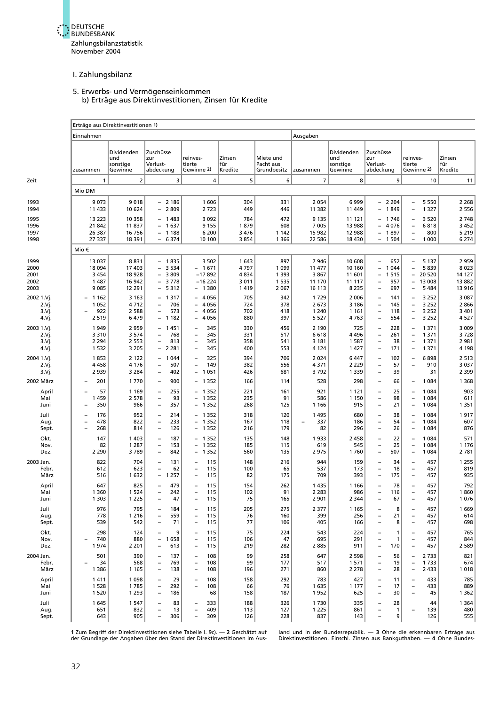

### 5. Erwerbs- und Vermögenseinkommen b) Erträge aus Direktinvestitionen, Zinsen für Kredite

|                        |                                        | Erträge aus Direktinvestitionen 1)       |                                                                     |                                                                            |                          |                                       |                    |                                          |                                                                         |                                                                            |                          |
|------------------------|----------------------------------------|------------------------------------------|---------------------------------------------------------------------|----------------------------------------------------------------------------|--------------------------|---------------------------------------|--------------------|------------------------------------------|-------------------------------------------------------------------------|----------------------------------------------------------------------------|--------------------------|
|                        | Einnahmen                              |                                          |                                                                     |                                                                            |                          |                                       | Ausgaben           |                                          |                                                                         |                                                                            |                          |
|                        | zusammen                               | Dividenden<br>und<br>sonstige<br>Gewinne | Zuschüsse<br>zur<br>Verlust-<br>abdeckung                           | reinves-<br>tierte<br>Gewinne 2)                                           | Zinsen<br>für<br>Kredite | Miete und<br>Pacht aus<br>Grundbesitz | zusammen           | Dividenden<br>und<br>sonstige<br>Gewinne | Zuschüsse<br>zur<br>Verlust-<br>abdeckung                               | reinves-<br>tierte<br>Gewinne 2)                                           | Zinsen<br>für<br>Kredite |
| Zeit                   | $\mathbf{1}$                           | 2                                        | 3                                                                   | 4                                                                          | 5                        | 6                                     | $\overline{7}$     | 8                                        | 9                                                                       | 10                                                                         | 11                       |
|                        | Mio DM                                 |                                          |                                                                     |                                                                            |                          |                                       |                    |                                          |                                                                         |                                                                            |                          |
| 1993                   | 9073                                   | 9018                                     | $-2186$                                                             | 1606                                                                       | 304                      | 331                                   | 2 0 5 4            | 6999                                     | $-2204$                                                                 | 5 5 5 0<br>$\qquad \qquad -$                                               | 2 2 6 8                  |
| 1994                   | 11 4 33                                | 10 624                                   | 2 8 0 9<br>$\equiv$                                                 | 2723                                                                       | 449                      | 446                                   | 11 382             | 11 449                                   | $-1849$                                                                 | 1 3 2 7<br>$\overline{\phantom{a}}$                                        | 2 5 5 6                  |
| 1995                   | 13 2 23                                | 10 358                                   | 1483<br>$\overline{\phantom{0}}$                                    | 3 0 9 2                                                                    | 784                      | 472                                   | 9 1 3 5            | 11 121                                   | $-1746$                                                                 | 3 5 2 0<br>$\overline{\phantom{a}}$                                        | 2 7 4 8                  |
| 1996                   | 21 842                                 | 11837                                    | 1637                                                                | 9 1 5 5                                                                    | 1879                     | 608                                   | 7 0 0 5            | 13 988                                   | 4076                                                                    | 6818<br>$\qquad \qquad -$                                                  | 3 4 5 2                  |
| 1997                   | 26 387                                 | 16 756                                   | 1 1 8 8<br>$\overline{\phantom{0}}$                                 | 6 200                                                                      | 3 4 7 6                  | 1 1 4 2                               | 15 982             | 12 988                                   | - 1897                                                                  | 800<br>$\qquad \qquad -$                                                   | 5 2 1 9                  |
| 1998                   | 27 337                                 | 18 391                                   | $-6374$                                                             | 10 100                                                                     | 3854                     | 1 3 6 6                               | 22 586             | 18 4 30                                  | $-1504$                                                                 | 1 0 0 0<br>$\overline{\phantom{a}}$                                        | 6274                     |
|                        | Mio €                                  |                                          |                                                                     |                                                                            |                          |                                       |                    |                                          |                                                                         |                                                                            |                          |
| 1999                   | 13 037                                 | 8831                                     | 1835                                                                | 3 5 0 2                                                                    | 1 643                    | 897                                   | 7946               | 10 608                                   | 652                                                                     | 5 1 3 7<br>$\qquad \qquad -$                                               | 2959                     |
| 2000<br>2001           | 18 094<br>3 4 5 4                      | 17 403<br>18 9 28                        | 3 5 3 4<br>$\equiv$<br>3809<br>$\overline{\phantom{0}}$             | $-1671$<br>$-17892$                                                        | 4797<br>4834             | 1 0 9 9<br>1 3 9 3                    | 11 477<br>3 8 6 7  | 10 160<br>11 601                         | $\overline{\phantom{0}}$<br>1 0 4 4<br>1515<br>$\overline{\phantom{a}}$ | 5 8 3 9<br>$\equiv$<br>20 5 20<br>$\overline{\phantom{a}}$                 | 8 0 2 3<br>14 127        |
| 2002                   | 1 4 8 7                                | 16 942                                   | 3778                                                                | $-16224$                                                                   | 3 0 1 1                  | 1 5 3 5                               | 11 170             | 11 117                                   | 957<br>$\qquad \qquad -$                                                | 13 008<br>$\qquad \qquad -$                                                | 13 882                   |
| 2003                   | 9085                                   | 12 291                                   | 5312<br>$\overline{\phantom{0}}$                                    | $-1380$                                                                    | 1419                     | 2 0 6 7                               | 16 113             | 8 2 3 5                                  | 697<br>$\overline{\phantom{a}}$                                         | 5 4 8 4<br>$\overline{\phantom{a}}$                                        | 13 916                   |
| 2002 1.Vj.             | 1 1 6 2                                | 3 1 6 3                                  | 1 3 1 7                                                             | 4 0 5 6                                                                    | 705                      | 342                                   | 1729               | 2 0 0 6                                  | 141                                                                     | 3 2 5 2<br>$\qquad \qquad -$                                               | 3 0 8 7                  |
| $2.V$ j.<br>3.Vj.      | 1052<br>922                            | 4712<br>2 5 8 8                          | 706<br>$\qquad \qquad -$<br>573                                     | 4 0 5 6<br>$\overline{\phantom{0}}$<br>4 0 5 6<br>$\overline{\phantom{a}}$ | 724<br>702               | 378<br>418                            | 2 6 7 3<br>1 2 4 0 | 3 1 8 6<br>1 1 6 1                       | 145<br>$\overline{\phantom{a}}$<br>118<br>$\qquad \qquad -$             | 3 2 5 2<br>$\overline{\phantom{a}}$<br>3 2 5 2<br>$\overline{\phantom{0}}$ | 2866<br>3 4 0 1          |
| 4.Vj.                  | 2519                                   | 6479                                     | 1 1 8 2<br>$\overline{\phantom{0}}$                                 | 4056<br>$\overline{\phantom{a}}$                                           | 880                      | 397                                   | 5 5 2 7            | 4763                                     | 554<br>$\overline{\phantom{a}}$                                         | 3 2 5 2<br>$\overline{\phantom{a}}$                                        | 4 5 27                   |
| 2003 1.Vj.             | 1949                                   | 2 9 5 9                                  | 1451                                                                | 345                                                                        | 330                      | 456                                   | 2 190              | 725                                      | 228<br>$\qquad \qquad -$                                                | 1 3 7 1<br>$\overline{\phantom{a}}$                                        | 3 0 0 9                  |
| 2.Vj.                  | 3 3 1 0                                | 3 5 7 4                                  | 768<br>$\overline{\phantom{0}}$                                     | 345<br>$\overline{\phantom{a}}$                                            | 331                      | 517                                   | 6618               | 4496                                     | 261<br>$\overline{\phantom{a}}$                                         | 1 3 7 1<br>$\qquad \qquad -$                                               | 3728                     |
| 3.Vj.                  | 2 2 9 4                                | 2 5 5 3<br>3 2 0 5                       | 813<br>$\overline{\phantom{0}}$                                     | 345<br>$\overline{\phantom{0}}$<br>345<br>$\overline{\phantom{a}}$         | 358<br>400               | 541<br>553                            | 3 1 8 1            | 1 5 8 7                                  | 38<br>$\qquad \qquad -$<br>171<br>$\overline{\phantom{a}}$              | 1 3 7 1<br>$\qquad \qquad -$<br>$\overline{\phantom{a}}$                   | 2 9 8 1<br>4 1 9 8       |
| 4.Vj.                  | 1 5 3 2                                |                                          | 2 2 8 1                                                             |                                                                            |                          |                                       | 4 1 2 4            | 1427                                     |                                                                         | 1 3 7 1                                                                    |                          |
| 2004 1.Vj.<br>$2.V$ j. | 1853<br>4458                           | 2 1 2 2<br>4 1 7 6                       | 1044<br>$\overline{\phantom{0}}$<br>507<br>$\overline{\phantom{a}}$ | 325<br>149<br>$\overline{a}$                                               | 394<br>382               | 706<br>556                            | 2 0 2 4<br>4 3 7 1 | 6447<br>2 2 2 9                          | 102<br>$\overline{\phantom{0}}$<br>57<br>$\overline{\phantom{a}}$       | 6898<br>$\overline{\phantom{a}}$<br>910<br>$\overline{\phantom{a}}$        | 2513<br>3 0 3 7          |
| 3.Vj.                  | 2939                                   | 3 2 8 4                                  | 402<br>$\qquad \qquad -$                                            | 1 0 5 1<br>$\overline{\phantom{a}}$                                        | 426                      | 681                                   | 3792               | 1 3 3 9                                  | 39<br>$\qquad \qquad -$                                                 | 31                                                                         | 2 3 9 9                  |
| 2002 März              | 201                                    | 1770                                     | 900<br>$\overline{\phantom{0}}$                                     | 1 3 5 2                                                                    | 166                      | 114                                   | 528                | 298                                      | 66<br>$\overline{\phantom{0}}$                                          | 1 0 8 4<br>$\overline{\phantom{a}}$                                        | 1 3 6 8                  |
| April                  | 57                                     | 1 1 6 9                                  | 255<br>$\overline{\phantom{0}}$                                     | 1 3 5 2                                                                    | 221                      | 161                                   | 921                | 1 1 2 1                                  | 25<br>$\overline{\phantom{0}}$                                          | 1 0 8 4<br>$\overline{\phantom{0}}$                                        | 903                      |
| Mai                    | 1459                                   | 2 5 7 8                                  | 93<br>$\overline{\phantom{0}}$                                      | 1 3 5 2                                                                    | 235                      | 91                                    | 586                | 1 1 5 0                                  | 98<br>$\qquad \qquad -$                                                 | 1 0 8 4<br>$\overline{\phantom{a}}$                                        | 611                      |
| Juni                   | 350<br>$\overline{\phantom{0}}$        | 966                                      | 357<br>$\overline{\phantom{0}}$                                     | 1 3 5 2<br>$\overline{\phantom{0}}$                                        | 268                      | 125                                   | 1 1 6 6            | 915                                      | 21<br>$\qquad \qquad -$                                                 | 1 0 8 4<br>$\overline{\phantom{a}}$                                        | 1351                     |
| Juli                   | 176<br>$\overline{\phantom{a}}$        | 952                                      | 214<br>$\overline{\phantom{0}}$                                     | $-1352$                                                                    | 318                      | 120                                   | 1 4 9 5            | 680                                      | 38<br>$\overline{\phantom{0}}$                                          | 1 0 8 4<br>$\overline{\phantom{a}}$                                        | 1917                     |
| Aug.<br>Sept.          | 478<br>$\overline{\phantom{0}}$<br>268 | 822<br>814                               | 233<br>$\overline{\phantom{0}}$<br>126                              | 1 3 5 2<br>$\overline{\phantom{0}}$<br>$-1352$                             | 167<br>216               | 118<br>179                            | 337<br>82          | 186<br>296                               | 54<br>$\qquad \qquad -$<br>26<br>$\overline{\phantom{a}}$               | 1 0 8 4<br>$\overline{\phantom{a}}$<br>1 0 8 4<br>$\overline{\phantom{a}}$ | 607<br>876               |
| Okt.                   | 147                                    | 1 4 0 3                                  | 187                                                                 | 1 3 5 2                                                                    | 135                      | 148                                   | 1933               | 2 4 5 8                                  | 22<br>$\overline{\phantom{0}}$                                          | 1 0 8 4<br>$\overline{\phantom{a}}$                                        | 571                      |
| Nov.                   | 82                                     | 1 2 8 7                                  | 153<br>$\overline{\phantom{a}}$                                     | $-1352$                                                                    | 185                      | 115                                   | 619                | 545                                      | 25<br>$\overline{\phantom{a}}$                                          | 1 0 8 4<br>$\overline{\phantom{a}}$                                        | 1 1 7 6                  |
| Dez.                   | 2 2 9 0                                | 3789                                     | 842                                                                 | 1 3 5 2<br>$\qquad \qquad -$                                               | 560                      | 135                                   | 2 9 7 5            | 1760                                     | 507<br>$\qquad \qquad -$                                                | 1 0 8 4<br>$\overline{\phantom{a}}$                                        | 2 7 8 1                  |
| 2003 Jan.              | 822                                    | 704                                      | 131                                                                 | 115                                                                        | 148                      | 216                                   | 944                | 159                                      | 34<br>$\qquad \qquad -$                                                 | 457<br>$\overline{\phantom{a}}$                                            | 1 2 5 5                  |
| Febr.<br>März          | 612<br>516                             | 623<br>1 6 3 2                           | 62<br>1 2 5 7<br>$\overline{\phantom{0}}$                           | 115<br>115<br>$\overline{\phantom{0}}$                                     | 100<br>82                | 65<br>175                             | 537<br>709         | 173<br>393                               | 18<br>$\overline{\phantom{0}}$<br>175<br>$\qquad \qquad -$              | 457<br>$\overline{\phantom{a}}$<br>457<br>$\overline{\phantom{a}}$         | 819<br>935               |
| April                  | 647                                    | 825                                      | 479                                                                 | 115<br>$\overline{\phantom{0}}$                                            | 154                      | 262                                   | 1 4 3 5            | 1 1 6 6                                  | 78<br>$\overline{\phantom{0}}$                                          | 457<br>$\overline{\phantom{a}}$                                            | 792                      |
| Mai                    | 1 3 6 0                                | 1 5 2 4                                  | 242                                                                 | 115<br>$\overline{\phantom{0}}$                                            | 102                      | 91                                    | 2 2 8 3            | 986                                      | 116<br>$\overline{\phantom{0}}$                                         | 457<br>$\overline{\phantom{0}}$                                            | 1860                     |
| Juni                   | 1 3 0 3                                | 1 2 2 5                                  | 47                                                                  | 115                                                                        | 75                       | 165                                   | 2 901              | 2 344                                    | 67                                                                      | 457                                                                        | 1076                     |
| Juli                   | 976                                    | 795                                      | 184                                                                 | 115                                                                        | 205                      | 275                                   | 2 3 7 7            | 1 1 6 5                                  | 8<br>$\qquad \qquad -$                                                  | 457<br>$\qquad \qquad -$                                                   | 1669                     |
| Aug.                   | 778                                    | 1 2 1 6                                  | 559<br>$\overline{\phantom{0}}$                                     | 115                                                                        | 76                       | 160                                   | 399                | 256                                      | 21<br>$\qquad \qquad -$                                                 | 457<br>$\overline{\phantom{a}}$                                            | 614<br>698               |
| Sept.                  | 539                                    | 542                                      | 71                                                                  | 115                                                                        | 77                       | 106                                   | 405                | 166                                      | 8<br>$\qquad \qquad -$                                                  | 457<br>$\overline{\phantom{a}}$                                            |                          |
| Okt.<br>Nov.           | 298<br>740                             | 124<br>880                               | 9<br>1658<br>$\overline{\phantom{0}}$                               | 115<br>115                                                                 | 75<br>106                | 224<br>47                             | 543<br>695         | 224<br>291                               | 1<br>$\overline{\phantom{a}}$<br>$\mathbf{1}$                           | 457<br>$\overline{\phantom{a}}$<br>457<br>$\overline{\phantom{a}}$         | 765<br>844               |
| Dez.                   | 1974                                   | 2 2 0 1                                  | 613<br>$\overline{\phantom{0}}$                                     | 115                                                                        | 219                      | 282                                   | 2885               | 911                                      | 170<br>$\qquad \qquad -$                                                | 457<br>$\qquad \qquad -$                                                   | 2589                     |
| 2004 Jan.              | 501                                    | 390                                      | 137                                                                 | 108<br>$\overline{\phantom{0}}$                                            | 99                       | 258                                   | 647                | 2 5 9 8                                  | 56<br>$\qquad \qquad -$                                                 | 2 7 3 3<br>$\qquad \qquad -$                                               | 821                      |
| Febr.                  | 34                                     | 568                                      | 769                                                                 | 108<br>$\overline{\phantom{a}}$                                            | 99                       | 177                                   | 517                | 1571                                     | 19<br>$\overline{\phantom{a}}$                                          | 1733<br>$\qquad \qquad -$                                                  | 674                      |
| März                   | 1 3 8 6                                | 1 1 6 5                                  | 138                                                                 | 108<br>$\overline{a}$                                                      | 196                      | 271                                   | 860                | 2 2 7 8                                  | 28<br>$\overline{\phantom{a}}$                                          | 2 433<br>$\qquad \qquad -$                                                 | 1018                     |
| April                  | 1411<br>1528                           | 1 0 9 8<br>1785                          | 29<br>$\overline{\phantom{0}}$                                      | 108<br>$\overline{\phantom{0}}$                                            | 158                      | 292                                   | 783                | 427                                      | 11<br>$\qquad \qquad -$                                                 | 433<br>$\overline{\phantom{a}}$                                            | 785<br>889               |
| Mai<br>Juni            | 1520                                   | 1 2 9 3                                  | 292<br>$\overline{\phantom{a}}$<br>186<br>$\qquad \qquad -$         | 108<br>$\overline{\phantom{0}}$<br>68                                      | 66<br>158                | 76<br>187                             | 1 6 3 5<br>1952    | 1 1 7 7<br>625                           | 17<br>$\overline{\phantom{a}}$<br>30<br>$\overline{\phantom{a}}$        | 433<br>$\overline{\phantom{a}}$<br>45<br>$\overline{\phantom{a}}$          | 1362                     |
| Juli                   | 1645                                   | 1 5 4 7                                  | 83                                                                  | 333<br>$\overline{\phantom{0}}$                                            | 188                      | 326                                   | 1730               | 335                                      | 28<br>$\qquad \qquad -$                                                 | 44                                                                         | 1364                     |
| Aug.                   | 651                                    | 832                                      | 13<br>$\qquad \qquad -$                                             | 409                                                                        | 113                      | 127                                   | 1 2 2 5            | 861                                      | 1<br>$\qquad \qquad -$                                                  | 139                                                                        | 480                      |
| Sept.                  | 643                                    | 905                                      | 306<br>$\qquad \qquad -$                                            | 309<br>$\overline{\phantom{0}}$                                            | 126                      | 228                                   | 837                | 143                                      | 9<br>$\overline{\phantom{0}}$                                           | 126                                                                        | 555                      |

1 Zum Begriff der Direktinvestitionen siehe Tabelle I. 9c). — 2 Geschätzt auf kand und in der Bundesrepublik. — 3 Ohne die erkennbaren Erträge aus<br>der Grundlage der Angaben über den Stand der Direktinvestitionen im Aus-kan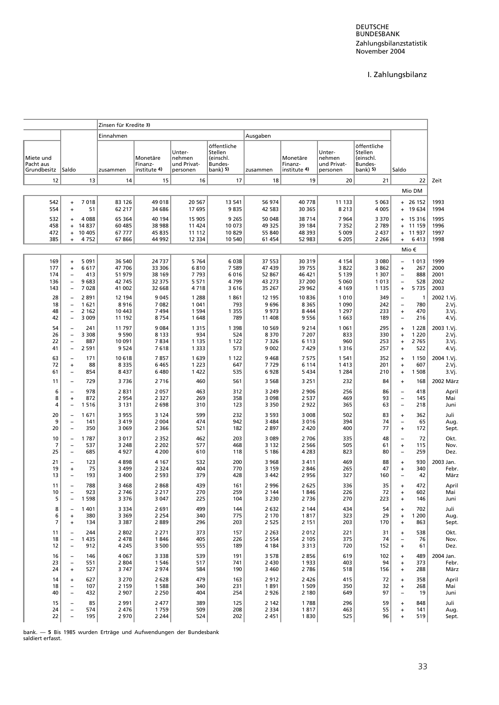# I. Zahlungsbilanz

| Zinsen für Kredite 3)                 |                                                              |                 |                    |                                     |                                             |                                                              |                    |                                     |                                             |                                                               |                                                       |                     |                    |
|---------------------------------------|--------------------------------------------------------------|-----------------|--------------------|-------------------------------------|---------------------------------------------|--------------------------------------------------------------|--------------------|-------------------------------------|---------------------------------------------|---------------------------------------------------------------|-------------------------------------------------------|---------------------|--------------------|
|                                       |                                                              |                 | Einnahmen          |                                     |                                             |                                                              | Ausgaben           |                                     |                                             |                                                               |                                                       |                     |                    |
| Miete und<br>Pacht aus<br>Grundbesitz | Saldo                                                        |                 | zusammen           | Monetäre<br>Finanz-<br>institute 4) | Unter-<br>nehmen<br>und Privat-<br>personen | öffentliche<br>Stellen<br>(einschl.<br>Bundes-<br>$bank)$ 5) | zusammen           | Monetäre<br>Finanz-<br>institute 4) | Unter-<br>nehmen<br>und Privat-<br>personen | öffentliche<br>Stellen<br>(einschl.<br>Bundes-<br>bank $)$ 5) | Saldo                                                 |                     |                    |
| 12                                    |                                                              | 13              | 14                 | 15                                  | 16                                          | 17                                                           | 18                 | 19                                  | 20                                          | 21                                                            |                                                       | 22                  | Zeit               |
|                                       |                                                              |                 |                    |                                     |                                             |                                                              |                    |                                     |                                             |                                                               |                                                       |                     |                    |
|                                       |                                                              |                 |                    |                                     |                                             |                                                              |                    |                                     |                                             |                                                               |                                                       | Mio DM              |                    |
| 542<br>554                            | $\ddot{}$<br>$\begin{array}{c} + \end{array}$                | 7018<br>51      | 83 126<br>62 217   | 49 018<br>34 686                    | 20 567<br>17 695                            | 13 541<br>9835                                               | 56 974<br>42 583   | 40 778<br>30 365                    | 11 133<br>8 2 1 3                           | 5 0 63<br>4 0 0 5                                             | $+$                                                   | $+ 26152$<br>19 634 | 1993<br>1994       |
| 532                                   | $\ddot{}$                                                    | 4088            | 65 364             | 40 194                              | 15 905                                      | 9 2 6 5                                                      | 50 048             | 38 714                              | 7964                                        | 3 3 7 0                                                       | $+$                                                   | 15 3 16             | 1995               |
| 458                                   | $+$                                                          | 14 8 37         | 60 485             | 38 988                              | 11 4 24                                     | 10 073                                                       | 49 325             | 39 184                              | 7 3 5 2                                     | 2789                                                          | $+$                                                   | 11 159              | 1996               |
| 472<br>385                            | $\ddot{}$<br>$+$                                             | 10 4 05<br>4752 | 67 777<br>67 866   | 45 835<br>44 992                    | 11 112<br>12 3 34                           | 10829<br>10 540                                              | 55 840<br>61 454   | 48 393<br>52 983                    | 5 0 0 9<br>6 2 0 5                          | 2 4 3 7<br>2 2 6 6                                            | $\ddot{}$<br>$\ddot{}$                                | 11937<br>6413       | 1997<br>1998       |
|                                       |                                                              |                 |                    |                                     |                                             |                                                              |                    |                                     |                                             |                                                               |                                                       |                     |                    |
|                                       |                                                              |                 |                    |                                     |                                             |                                                              |                    |                                     |                                             |                                                               |                                                       | Mio €               |                    |
| 169                                   | $\ddot{}$                                                    | 5 0 9 1         | 36 540             | 24 7 37                             | 5764                                        | 6 0 38                                                       | 37 553             | 30 319                              | 4 1 5 4                                     | 3 0 8 0                                                       | $\overline{\phantom{a}}$                              | 1013                | 1999               |
| 177                                   | $\begin{array}{c} + \end{array}$                             | 6617            | 47 706             | 33 306                              | 6810                                        | 7 5 8 9                                                      | 47 439             | 39 755                              | 3822                                        | 3862                                                          | $\ddot{}$                                             | 267                 | 2000               |
| 174                                   | $\overline{\phantom{a}}$                                     | 413             | 51 979             | 38 169                              | 7793                                        | 6016                                                         | 52 867             | 46 421                              | 5 1 3 9                                     | 1 3 0 7                                                       | $\overline{\phantom{a}}$                              | 888                 | 2001               |
| 136<br>143                            | $\overline{a}$<br>$\overline{\phantom{a}}$                   | 9683<br>7028    | 42 745<br>41 002   | 32 375<br>32 668                    | 5 5 7 1<br>4718                             | 4799<br>3 6 1 6                                              | 43 273<br>35 267   | 37 200<br>29 962                    | 5 0 6 0<br>4 1 6 9                          | 1013<br>1 1 3 5                                               | $\overline{\phantom{0}}$<br>$\ddot{}$                 | 528<br>5735         | 2002<br>2003       |
|                                       |                                                              |                 |                    |                                     |                                             |                                                              |                    |                                     |                                             |                                                               |                                                       |                     |                    |
| 28                                    | $\qquad \qquad -$                                            | 2891            | 12 194             | 9 0 4 5                             | 1 2 8 8                                     | 1861                                                         | 12 195             | 10836                               | 1010                                        | 349                                                           | $\overline{\phantom{0}}$                              | $\mathbf{1}$        | 2002 1.Vj.         |
| 18<br>48                              | $\overline{\phantom{a}}$<br>$\equiv$                         | 1621<br>2 1 6 2 | 8916<br>10 443     | 7082<br>7494                        | 1 0 4 1<br>1 5 9 4                          | 793<br>1 3 5 5                                               | 9696<br>9973       | 8 3 6 5<br>8 4 4 4                  | 1 0 9 0<br>1 2 9 7                          | 242<br>233                                                    | $\overline{\phantom{a}}$<br>$\ddot{}$                 | 780<br>470          | 2.Vj.<br>3.Vj.     |
| 42                                    | $\overline{\phantom{a}}$                                     | 3 0 0 9         | 11 192             | 8754                                | 1648                                        | 789                                                          | 11 408             | 9 5 5 6                             | 1 6 6 3                                     | 189                                                           | $\overline{\phantom{0}}$                              | 216                 | 4.Vj.              |
| 54                                    | $\overline{\phantom{0}}$                                     | 241             | 11 797             | 9084                                | 1 3 1 5                                     | 1 3 9 8                                                      | 10 569             | 9 2 1 4                             | 1 0 6 1                                     | 295                                                           | $\ddot{}$                                             | 1 2 2 8             | 2003 1.Vj.         |
| 26                                    | $\overline{\phantom{a}}$                                     | 3 3 0 8         | 9 5 9 0            | 8 1 3 3                             | 934                                         | 524                                                          | 8 3 7 0            | 7 207                               | 833                                         | 330                                                           | $\ddot{}$                                             | 1 2 2 0             | 2.Vj.              |
| 22                                    | $\equiv$                                                     | 887             | 10 091             | 7834                                | 1 1 3 5                                     | 1 1 2 2                                                      | 7 3 2 6            | 6 1 1 3                             | 960                                         | 253                                                           | $\ddot{}$                                             | 2765                | 3.Vj.              |
| 41                                    | $\overline{\phantom{a}}$                                     | 2 5 9 1         | 9 5 2 4            | 7618                                | 1 3 3 3                                     | 573                                                          | 9 0 0 2            | 7429                                | 1316                                        | 257                                                           | $\ddot{}$                                             | 522                 | 4.Vj.              |
| 63                                    | $\overline{\phantom{a}}$                                     | 171             | 10 618             | 7857                                | 1639                                        | 1 1 2 2                                                      | 9468               | 7 5 7 5                             | 1 5 4 1                                     | 352                                                           | $\ddot{}$                                             | 1 1 5 0             | 2004 1.Vj.         |
| 72                                    | $\bf{+}$                                                     | 88              | 8 3 3 5            | 6465                                | 1 2 2 3                                     | 647                                                          | 7729               | 6 1 1 4                             | 1413                                        | 201                                                           | $\ddot{}$                                             | 607                 | 2.Vj.              |
| 61                                    | $\overline{\phantom{a}}$                                     | 854             | 8 4 3 7            | 6 4 8 0                             | 1 4 2 2                                     | 535                                                          | 6928               | 5 4 3 4                             | 1 2 8 4                                     | 210                                                           | $\ddot{}$                                             | 1 5 0 8             | 3.Vj.              |
| 11                                    | $\qquad \qquad -$                                            | 729             | 3736               | 2 7 1 6                             | 460                                         | 561                                                          | 3 5 6 8            | 3 2 5 1                             | 232                                         | 84                                                            | $\ddot{}$                                             | 168                 | 2002 März          |
| 6                                     | $\qquad \qquad -$                                            | 978             | 2831               | 2 0 5 7                             | 463                                         | 312                                                          | 3 2 4 9            | 2 9 0 6                             | 256                                         | 86                                                            | $\overline{\phantom{a}}$                              | 418                 | April              |
| 8                                     | +                                                            | 872             | 2 9 5 4            | 2 3 2 7                             | 269                                         | 358                                                          | 3 0 9 8            | 2 5 3 7                             | 469                                         | 93                                                            | $\overline{\phantom{a}}$                              | 145                 | Mai                |
| 4                                     | $\overline{\phantom{a}}$                                     | 1516            | 3 1 3 1            | 2698                                | 310                                         | 123                                                          | 3 3 5 0            | 2 9 2 2                             | 365                                         | 63                                                            | $\overline{\phantom{a}}$                              | 218                 | Juni               |
| 20                                    | $\overline{\phantom{a}}$                                     | 1671            | 3 9 5 5            | 3 1 2 4                             | 599                                         | 232                                                          | 3 5 9 3            | 3 0 0 8                             | 502                                         | 83                                                            | $\ddot{}$                                             | 362                 | Juli               |
| 9                                     | $\overline{\phantom{0}}$                                     | 141             | 3 4 1 9            | 2 0 0 4                             | 474                                         | 942                                                          | 3 4 8 4            | 3 0 1 6                             | 394                                         | 74                                                            | $\overline{\phantom{a}}$                              | 65                  | Aug.               |
| 20                                    | $\overline{\phantom{0}}$                                     | 350             | 3 0 6 9            | 2 3 6 6                             | 521                                         | 182                                                          | 2897               | 2 4 2 0                             | 400                                         | 77                                                            | $\ddot{}$                                             | 172                 | Sept.              |
| 10                                    | $\qquad \qquad -$                                            | 1787            | 3 0 1 7            | 2 3 5 2                             | 462                                         | 203                                                          | 3 0 8 9            | 2 7 0 6                             | 335                                         | 48                                                            | $\overline{\phantom{0}}$                              | 72                  | Okt.               |
| 7                                     | $\qquad \qquad -$                                            | 537             | 3 2 4 8            | 2 2 0 2                             | 577                                         | 468                                                          | 3 1 3 2            | 2 5 6 6                             | 505                                         | 61                                                            | $\ddot{}$                                             | 115                 | Nov.               |
| 25                                    | $\overline{\phantom{0}}$                                     | 685             | 4927               | 4 200                               | 610                                         | 118                                                          | 5 1 8 6            | 4 2 8 3                             | 823                                         | 80                                                            | $\overline{\phantom{a}}$                              | 259                 | Dez.               |
| 21                                    | $\overline{\phantom{0}}$                                     | 123             | 4898               | 4 1 6 7                             | 532                                         | 200                                                          | 3 9 6 8            | 3 4 1 1                             | 469                                         | 88                                                            | $\ddot{}$                                             | 930                 | 2003 Jan.          |
| 19                                    | $\ddot{}$                                                    | 75              | 3 4 9 9            | 2 3 2 4                             | 404                                         | 770                                                          | 3 1 5 9            | 2 8 4 6                             | 265                                         | 47                                                            | $\ddot{}$                                             | 340                 | Febr.              |
| 13                                    | $\overline{\phantom{0}}$                                     | 193             | 3 4 0 0            | 2 5 9 3                             | 379                                         | 428                                                          | 3 4 4 2            | 2 9 5 6                             | 327                                         | 160                                                           |                                                       | 42                  | März               |
| 11                                    | $\qquad \qquad -$                                            | 788             | 3 4 6 8            | 2868                                | 439                                         | 161                                                          | 2 9 9 6            | 2 6 2 5                             | 336                                         | 35                                                            | $\ddot{}$                                             | 472                 | April              |
| 10                                    |                                                              | 923             | 2746               | 2 2 1 7                             | 270                                         | 259                                                          | 2 1 4 4            | 1846                                | 226                                         | 72                                                            |                                                       | 602                 | Mai                |
| 5                                     |                                                              | 1 5 9 8         | 3 3 7 6            | 3 0 4 7                             | 225                                         | 104                                                          | 3 2 3 0            | 2 7 3 6                             | 270                                         | 223                                                           | $\ddot{}$                                             | 146                 | Juni               |
| 8                                     |                                                              | 1401            | 3 3 3 4            | 2 6 9 1                             | 499                                         | 144                                                          | 2 6 3 2            | 2 1 4 4                             | 434                                         | 54                                                            | $\ddot{}$                                             | 702                 | Juli               |
| 6<br>$\overline{7}$                   | $\ddot{}$<br>$\ddot{}$                                       | 380<br>134      | 3 3 6 9<br>3 3 8 7 | 2 2 5 4<br>2889                     | 340<br>296                                  | 775<br>203                                                   | 2 1 7 0<br>2 5 2 5 | 1817<br>2 1 5 1                     | 323<br>203                                  | 29<br>170                                                     | $\begin{array}{c} + \end{array}$<br>$\ddot{}$         | 1 200<br>863        | Aug.<br>Sept.      |
|                                       |                                                              |                 |                    |                                     |                                             |                                                              |                    |                                     |                                             |                                                               |                                                       |                     |                    |
| 11<br>18                              | $\overline{\phantom{0}}$                                     | 244<br>1435     | 2 8 0 2<br>2 4 7 8 | 2 2 7 1<br>1846                     | 373<br>405                                  | 157<br>226                                                   | 2 2 6 3<br>2 5 5 4 | 2012<br>2 1 0 5                     | 221<br>375                                  | 31<br>74                                                      | $\ddot{}$                                             | 538<br>76           | Okt.               |
| 12                                    | $\overline{\phantom{0}}$<br>$\overline{\phantom{0}}$         | 912             | 4 2 4 5            | 3 5 0 0                             | 555                                         | 189                                                          | 4 1 8 4            | 3 3 1 3                             | 720                                         | 152                                                           | $\qquad \qquad -$<br>$\begin{array}{c} + \end{array}$ | 61                  | Nov.<br>Dez.       |
|                                       |                                                              |                 |                    |                                     |                                             |                                                              |                    |                                     |                                             |                                                               |                                                       |                     |                    |
| 16<br>23                              | $\qquad \qquad -$<br>$\overline{\phantom{0}}$                | 146<br>551      | 4 0 67<br>2 8 0 4  | 3 3 3 8<br>1 5 4 6                  | 539<br>517                                  | 191<br>741                                                   | 3 5 7 8<br>2 4 3 0 | 2856<br>1933                        | 619<br>403                                  | 102<br>94                                                     | $\ddot{}$<br>$\ddot{}$                                | 489<br>373          | 2004 Jan.<br>Febr. |
| 24                                    | $\begin{array}{c} + \end{array}$                             | 527             | 3747               | 2974                                | 584                                         | 190                                                          | 3 4 6 0            | 2 7 8 6                             | 518                                         | 156                                                           | $\bf{+}$                                              | 288                 | März               |
|                                       |                                                              |                 |                    |                                     | 479                                         |                                                              |                    |                                     |                                             |                                                               |                                                       |                     |                    |
| 14<br>18                              | $\begin{array}{c} + \end{array}$<br>$\overline{\phantom{a}}$ | 627<br>107      | 3 2 7 0<br>2 1 5 9 | 2 6 2 8<br>1588                     | 340                                         | 163<br>231                                                   | 2912<br>1891       | 2 4 2 6<br>1 5 0 9                  | 415<br>350                                  | 72<br>32                                                      | $\begin{array}{c} + \end{array}$<br>$\pmb{+}$         | 358<br>268          | April<br>Mai       |
| 40                                    | $\qquad \qquad -$                                            | 432             | 2 9 0 7            | 2 2 5 0                             | 404                                         | 254                                                          | 2926               | 2 180                               | 649                                         | 97                                                            | $\qquad \qquad -$                                     | 19                  | Juni               |
| 15                                    | $\qquad \qquad -$                                            | 85              | 2 9 9 1            | 2 4 7 7                             | 389                                         | 125                                                          | 2 1 4 2            | 1788                                | 296                                         | 59                                                            | $\ddot{}$                                             | 848                 | Juli               |
| 24                                    | $\overline{\phantom{0}}$                                     | 574             | 2 4 7 6            | 1759                                | 509                                         | 208                                                          | 2 3 3 4            | 1817                                | 463                                         | 55                                                            | $\begin{array}{c} + \end{array}$                      | 141                 | Aug.               |
| 22                                    | $\overline{a}$                                               | 195             | 2 9 7 0            | 2 2 4 4                             | 524                                         | 202                                                          | 2 4 5 1            | 1830                                | 525                                         | 96                                                            | $\begin{array}{c} + \end{array}$                      | 519                 | Sept.              |

bank. — **5** Bis 1985 wurden Erträge und Aufwendungen der Bundesbank saldiert erfasst.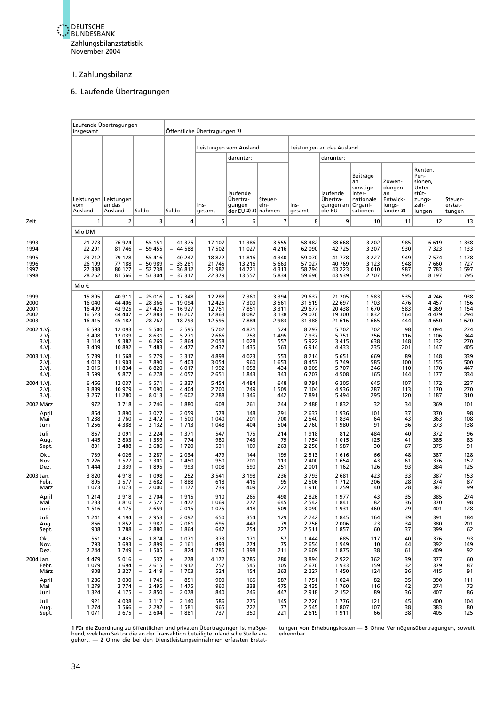

## 6. Laufende Übertragungen

|                                       | insgesamt                                       | Laufende Übertragungen                          |                                                                                                                                                     |                                                                                                                                                    | Öffentliche Übertragungen 1)                    |                                                       |                                                     |                                                 |                                                |                                                                          |                                                           |                                                                           |                                              |
|---------------------------------------|-------------------------------------------------|-------------------------------------------------|-----------------------------------------------------------------------------------------------------------------------------------------------------|----------------------------------------------------------------------------------------------------------------------------------------------------|-------------------------------------------------|-------------------------------------------------------|-----------------------------------------------------|-------------------------------------------------|------------------------------------------------|--------------------------------------------------------------------------|-----------------------------------------------------------|---------------------------------------------------------------------------|----------------------------------------------|
|                                       |                                                 |                                                 |                                                                                                                                                     |                                                                                                                                                    |                                                 | Leistungen vom Ausland                                |                                                     |                                                 | Leistungen an das Ausland                      |                                                                          |                                                           |                                                                           |                                              |
|                                       |                                                 |                                                 |                                                                                                                                                     |                                                                                                                                                    |                                                 | darunter:                                             |                                                     |                                                 | darunter:                                      |                                                                          |                                                           |                                                                           |                                              |
|                                       | vom<br>Ausland                                  | Leistungen   Leistungen<br>an das<br>Ausland    | Saldo                                                                                                                                               | Saldo                                                                                                                                              | ins-<br>gesamt                                  | laufende<br>Übertra-<br>gungen<br>der EU 2) 3) nahmen | Steuer-<br>ein-                                     | ins-<br>gesamt                                  | laufende<br>Übertra-<br>qungen an<br>die EU    | Beiträge<br>an<br>sonstige<br>inter-<br>nationale<br>Organi-<br>sationen | Zuwen-<br>dungen<br>an<br>Entwick-<br>lungs-<br>länder 3) | Renten,<br>Pen-<br>sionen,<br>Unter-<br>stüt-<br>zungs-<br>zah-<br>lungen | Steuer-<br>erstat-<br>tungen                 |
| Zeit                                  | $\mathbf{1}$                                    | $\overline{2}$                                  | 3                                                                                                                                                   | 4                                                                                                                                                  | 5                                               | 6                                                     | $\overline{7}$                                      | 8                                               | 9                                              | 10                                                                       | 11                                                        | 12                                                                        | 13                                           |
|                                       | Mio DM                                          |                                                 |                                                                                                                                                     |                                                                                                                                                    |                                                 |                                                       |                                                     |                                                 |                                                |                                                                          |                                                           |                                                                           |                                              |
| 1993<br>1994                          | 21 7 7 3<br>22 291                              | 76 924<br>81746                                 | 55 151<br>$-59455$                                                                                                                                  | $-41375$<br>$-44588$                                                                                                                               | 17 107<br>17 502                                | 11 386<br>11 027                                      | 3 5 5 5<br>4 2 1 6                                  | 58 482<br>62 090                                | 38 668<br>42 725                               | 3 2 0 2<br>3 2 0 7                                                       | 985<br>930                                                | 6619<br>7 3 2 3                                                           | 1 3 3 8<br>1 1 3 3                           |
| 1995<br>1996<br>1997<br>1998          | 23 7 12<br>26 199<br>27 388<br>28 26 2          | 79 128<br>77 188<br>80 127<br>81 566            | $-55416$<br>$-50989$<br>$-52738$<br>$-53304$                                                                                                        | $-40247$<br>$-35281$<br>$\overline{\phantom{a}}$<br>36812<br>$-37317$                                                                              | 18822<br>21 745<br>21 982<br>22 379             | 11816<br>13 216<br>14 7 21<br>13 557                  | 4 3 4 0<br>5 6 63<br>4313<br>5834                   | 59 070<br>57 027<br>58 794<br>59 696            | 41 778<br>40 769<br>43 223<br>43 939           | 3 2 2 7<br>3 1 2 3<br>3 0 1 0<br>2707                                    | 949<br>948<br>987<br>995                                  | 7 5 7 4<br>7 6 6 0<br>7783<br>8 1 9 7                                     | 1 1 7 8<br>1727<br>1 5 9 7<br>1795           |
|                                       | Mio €                                           |                                                 |                                                                                                                                                     |                                                                                                                                                    |                                                 |                                                       |                                                     |                                                 |                                                |                                                                          |                                                           |                                                                           |                                              |
| 1999<br>2000<br>2001<br>2002<br>2003  | 15 895<br>16 040<br>16 499<br>16 523<br>16 4 15 | 40 911<br>44 40 6<br>43 925<br>44 407<br>45 182 | 25 016<br>28 3 66<br>$\overline{\phantom{a}}$<br>$-27425$<br>$-27883$<br>$-28767$                                                                   | $-17348$<br>$-19094$<br>$-16927$<br>$-16207$<br>$-18793$                                                                                           | 12 288<br>12 4 25<br>12751<br>12 863<br>12 5 95 | 7 3 6 0<br>7 300<br>7851<br>8 0 8 7<br>7884           | 3 3 9 4<br>3 5 6 1<br>3 3 1 1<br>3 1 3 8<br>2 9 8 3 | 29 637<br>31 519<br>29 677<br>29 0 70<br>31 388 | 21 205<br>22 697<br>20 438<br>19 300<br>21 616 | 1 5 8 3<br>1703<br>1670<br>1832<br>1665                                  | 535<br>476<br>583<br>564<br>444                           | 4 2 4 6<br>4 4 5 7<br>4 3 6 9<br>4 4 7 9<br>4 6 5 0                       | 938<br>1 1 5 6<br>1 1 5 4<br>1 2 9 4<br>1620 |
| 2002 1.Vi.<br>2.Vi.<br>3.Vi.<br>4.Vj. | 6 5 9 3<br>3 4 0 8<br>3 1 1 4<br>3 4 0 9        | 12 093<br>12 039<br>9 3 8 2<br>10892            | 5 500<br>$\overline{\phantom{a}}$<br>8631<br>$\overline{\phantom{a}}$<br>6 2 6 9<br>$\overline{\phantom{a}}$<br>$\overline{\phantom{0}}$<br>7 4 8 3 | 2 5 9 5<br>$\overline{\phantom{a}}$<br>5 2 7 1<br>$\overline{\phantom{a}}$<br>$\overline{\phantom{a}}$<br>3864<br>$\overline{\phantom{a}}$<br>4477 | 5702<br>2 6 6 6<br>2058<br>2 4 3 7              | 4871<br>753<br>1 0 2 8<br>1 4 3 5                     | 524<br>1 4 9 5<br>557<br>563                        | 8 2 9 7<br>7937<br>5922<br>6914                 | 5 7 0 2<br>5 7 5 1<br>3 4 1 5<br>4 4 3 3       | 702<br>256<br>638<br>235                                                 | 98<br>116<br>148<br>201                                   | 1 0 9 4<br>1 1 0 6<br>1 1 3 2<br>1 1 4 7                                  | 274<br>344<br>270<br>405                     |
| 2003 1.Vj.<br>2.Vi.<br>3.Vj.<br>4.Vj. | 5789<br>4013<br>3 0 1 5<br>3 5 9 9              | 11 568<br>11 903<br>11834<br>9877               | 5779<br>$\overline{\phantom{a}}$<br>7890<br>$\overline{\phantom{a}}$<br>8820<br>$\overline{\phantom{a}}$<br>$\overline{\phantom{a}}$<br>6 2 7 8     | 3 3 1 7<br>$\qquad \qquad -$<br>$\overline{\phantom{a}}$<br>5 4 0 3<br>$\overline{\phantom{a}}$<br>6017<br>$\overline{\phantom{a}}$<br>4 0 5 7     | 4898<br>3 0 5 4<br>1992<br>2651                 | 4 0 2 3<br>960<br>1 0 5 8<br>1843                     | 553<br>1653<br>434<br>343                           | 8 2 1 4<br>8 4 5 7<br>8 0 0 9<br>6707           | 5 6 5 1<br>5 7 4 9<br>5 7 0 7<br>4 5 0 8       | 669<br>585<br>246<br>165                                                 | 89<br>100<br>110<br>144                                   | 1 1 4 8<br>1 1 5 5<br>1 1 7 0<br>1 1 7 7                                  | 339<br>500<br>447<br>334                     |
| 2004 1.Vj.<br>2.Vj.<br>3.Vj.          | 6466<br>3889<br>3 2 6 7                         | 12 037<br>10 979<br>11 280                      | 5 5 7 1<br>$\overline{\phantom{a}}$<br>7 0 9 0<br>$\overline{\phantom{a}}$<br>$\overline{\phantom{a}}$<br>8 0 1 3                                   | 3 3 3 7<br>$\overline{\phantom{a}}$<br>$\overline{\phantom{a}}$<br>4 4 0 4<br>$\overline{\phantom{a}}$<br>5 6 0 2                                  | 5 4 5 4<br>2 700<br>2 2 8 8                     | 4 4 8 4<br>749<br>1 3 4 6                             | 648<br>1 5 0 9<br>442                               | 8791<br>7 104<br>7891                           | 6 3 0 5<br>4936<br>5 4 9 4                     | 645<br>287<br>295                                                        | 107<br>113<br>120                                         | 1 1 7 2<br>1 1 7 0<br>1 1 8 7                                             | 237<br>270<br>310                            |
| 2002 März                             | 972                                             | 3718                                            | 2 7 4 6<br>$\overline{\phantom{a}}$                                                                                                                 | 1880<br>$\overline{\phantom{a}}$                                                                                                                   | 608                                             | 261                                                   | 244                                                 | 2 4 8 8                                         | 1832                                           | 32                                                                       | 34                                                        | 369                                                                       | 101                                          |
| April<br>Mai<br>Juni                  | 864<br>1 2 8 8<br>1 2 5 6                       | 3890<br>3760<br>4 3 8 8                         | 3 0 2 7<br>$\qquad \qquad -$<br>2 4 7 2<br>$\overline{\phantom{a}}$<br>3 1 3 2<br>$\overline{\phantom{a}}$                                          | 2059<br>$\overline{\phantom{a}}$<br>$\qquad \qquad -$<br>1 500<br>$\overline{\phantom{a}}$<br>1 7 1 3                                              | 578<br>1 0 4 0<br>1 0 4 8                       | 148<br>201<br>404                                     | 291<br>700<br>504                                   | 2 6 3 7<br>2 5 4 0<br>2 7 6 0                   | 1936<br>1834<br>1980                           | 101<br>64<br>91                                                          | 37<br>43<br>36                                            | 370<br>363<br>373                                                         | 98<br>108<br>138                             |
| Juli<br>Aug.<br>Sept.                 | 867<br>1 4 4 5<br>801                           | 3 0 9 1<br>2 8 0 3<br>3 4 8 8                   | 2 2 2 4<br>$\overline{\phantom{a}}$<br>1 3 5 9<br>$\overline{\phantom{0}}$<br>2 6 8 6<br>$\overline{\phantom{a}}$                                   | 1 3 7 1<br>$\overline{\phantom{a}}$<br>$\overline{\phantom{a}}$<br>774<br>1720<br>$\overline{\phantom{a}}$                                         | 547<br>980<br>531                               | 175<br>743<br>109                                     | 214<br>79<br>263                                    | 1918<br>1754<br>2 2 5 0                         | 812<br>1015<br>1 5 8 7                         | 484<br>125<br>30                                                         | 40<br>41<br>67                                            | 372<br>385<br>375                                                         | 96<br>83<br>91                               |
| Okt.<br>Nov.<br>Dez.                  | 739<br>1 2 2 6<br>1 4 4 4                       | 4 0 2 6<br>3 5 2 7<br>3 3 3 9                   | 3 2 8 7<br>$\overline{\phantom{a}}$<br>2 3 0 1<br>$\overline{\phantom{0}}$<br>$\overline{\phantom{a}}$<br>1895                                      | 2 0 3 4<br>$\overline{\phantom{a}}$<br>$\overline{\phantom{a}}$<br>1450<br>993<br>$\overline{\phantom{a}}$                                         | 479<br>950<br>1 0 0 8                           | 144<br>701<br>590                                     | 199<br>113<br>251                                   | 2 5 1 3<br>2 4 0 0<br>2 0 0 1                   | 1616<br>1654<br>1 1 6 2                        | 66<br>43<br>126                                                          | 48<br>61<br>93                                            | 387<br>376<br>384                                                         | 128<br>152<br>125                            |
| 2003 Jan.<br>Febr.<br>März            | 3820<br>895<br>1073                             | 4918<br>3 5 7 7<br>3 0 7 3                      | 1 0 9 8<br>$\overline{\phantom{0}}$<br>$\overline{\phantom{0}}$<br>2 6 8 2<br>2 0 0 0<br>$\overline{\phantom{a}}$                                   | 252<br>$\overline{\phantom{a}}$<br>1888<br>$\overline{\phantom{a}}$<br>$\overline{\phantom{a}}$<br>1 1 7 7                                         | 3 5 4 1<br>618<br>739                           | 3 1 9 8<br>416<br>409                                 | 236<br>95<br>222                                    | 3793<br>2 5 0 6<br>1916                         | 2 681<br>1712<br>1 2 5 9                       | 423<br>206<br>40                                                         | 33<br>28<br>28                                            | 387<br>374<br>387                                                         | 153<br>87<br>99                              |
| April<br>Mai<br>Juni                  | 1 2 1 4<br>1 2 8 3<br>1516                      | 3918<br>3810<br>4 1 7 5                         | 2 7 0 4<br>$\overline{\phantom{a}}$<br>$\overline{\phantom{0}}$<br>2 5 2 7<br>2 6 5 9<br>$\overline{\phantom{0}}$                                   | 1915<br>$\overline{\phantom{0}}$<br>$\overline{\phantom{0}}$<br>1472<br>$\overline{\phantom{a}}$<br>2015                                           | 910<br>1 0 6 9<br>1075                          | 265<br>277<br>418                                     | 498<br>645<br>509                                   | 2826<br>2 5 4 2<br>3 0 9 0                      | 1977<br>1841<br>1931                           | 43<br>82<br>460                                                          | 35<br>36<br>29                                            | 385<br>370<br>401                                                         | 274<br>98<br>128                             |
| Juli<br>Aug.<br>Sept.                 | 1 2 4 1<br>866<br>908                           | 4 1 9 4<br>3852<br>3788                         | 2 9 5 3<br>$\qquad \qquad -$<br>$\overline{\phantom{m}}$<br>2 9 8 7<br>2880<br>$\overline{\phantom{a}}$                                             | 2 0 9 2<br>$\qquad \qquad -$<br>$\qquad \qquad -$<br>2 0 6 1<br>$\overline{\phantom{a}}$<br>1864                                                   | 650<br>695<br>647                               | 354<br>449<br>254                                     | 129<br>79<br>227                                    | 2742<br>2756<br>2511                            | 1845<br>2 0 0 6<br>1857                        | 164<br>23<br>60                                                          | 39<br>34<br>37                                            | 391<br>380<br>399                                                         | 184<br>201<br>62                             |
| Okt.<br>Nov.<br>Dez.                  | 561<br>793<br>2 2 4 4                           | 2 4 3 5<br>3 6 9 3<br>3749                      | 1874<br>$\qquad \qquad -$<br>2899<br>$\overline{\phantom{0}}$<br>$\overline{\phantom{0}}$<br>1 5 0 5                                                | 1 0 7 1<br>$\overline{\phantom{0}}$<br>$\qquad \qquad -$<br>2 1 6 1<br>$\overline{\phantom{0}}$<br>824                                             | 373<br>493<br>1785                              | 171<br>274<br>1 3 9 8                                 | 57<br>75<br>211                                     | 1444<br>2 6 5 4<br>2 6 0 9                      | 685<br>1949<br>1875                            | 117<br>10<br>38                                                          | 40<br>44<br>61                                            | 376<br>392<br>409                                                         | 93<br>149<br>92                              |
| 2004 Jan.<br>Febr.<br>März            | 4 4 7 9<br>1079<br>908                          | 5 0 1 6<br>3 6 9 4<br>3 3 2 7                   | 537<br>$\overline{\phantom{0}}$<br>2615<br>$\qquad \qquad -$<br>$\overline{\phantom{a}}$<br>2 4 1 9                                                 | 278<br>$\ddot{}$<br>1912<br>$\bar{a}$<br>1703                                                                                                      | 4 1 7 2<br>757<br>524                           | 3785<br>545<br>154                                    | 280<br>105<br>263                                   | 3894<br>2670<br>2 2 2 7                         | 2922<br>1933<br>1 4 5 0                        | 362<br>159<br>124                                                        | 39<br>32<br>36                                            | 377<br>379<br>415                                                         | 60<br>87<br>91                               |
| April<br>Mai<br>Juni                  | 1 2 8 6<br>1 2 7 9<br>1 3 2 4                   | 3 0 3 0<br>3774<br>4 1 7 5                      | 1745<br>$\qquad \qquad -$<br>2 4 9 5<br>$\overline{\phantom{a}}$<br>$\overline{\phantom{a}}$<br>2850                                                | 851<br>$\overline{\phantom{a}}$<br>$\overline{\phantom{a}}$<br>1475<br>$\overline{\phantom{a}}$<br>2078                                            | 900<br>960<br>840                               | 165<br>338<br>246                                     | 587<br>475<br>447                                   | 1751<br>2 4 3 5<br>2918                         | 1 0 2 4<br>1760<br>2 1 5 2                     | 82<br>116<br>89                                                          | 35<br>42<br>36                                            | 390<br>374<br>407                                                         | 111<br>73<br>86                              |
| Juli<br>Aug.<br>Sept.                 | 921<br>1 2 7 4<br>1 0 7 1                       | 4038<br>3 5 6 6<br>3675                         | 3 1 1 7<br>$\qquad \qquad -$<br>2 2 9 2<br>$\qquad \qquad -$<br>$\overline{\phantom{a}}$<br>2604                                                    | 2 140<br>$\overline{\phantom{a}}$<br>$\qquad \qquad -$<br>1 5 8 1<br>$\overline{\phantom{a}}$<br>1881                                              | 586<br>965<br>737                               | 275<br>722<br>350                                     | 145<br>77<br>221                                    | 2726<br>2 5 4 5<br>2619                         | 1776<br>1807<br>1911                           | 121<br>107<br>66                                                         | 45<br>38<br>38                                            | 400<br>383<br>405                                                         | 104<br>80<br>125                             |

bend, welchem Sektor die an der Transaktion beteiligte inländische Stelle an- erkennbar. gehört. — **2** Ohne die bei den Dienstleistungseinnahmen erfassten Erstat-

**1** tungen von Erhebungskosten.— 3 Ohne Vermögensübertragungen, soweit erkennbar.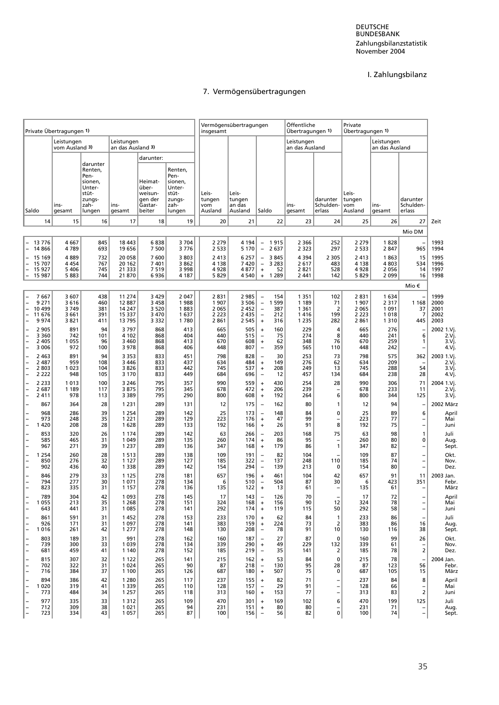## 7. Vermögensübertragungen

|                                                                                  |                                                                               | Private Übertragungen 1)                 |                                                                                       |                                                  |                                                                          |                                                                           | insgesamt                                   | Vermögensübertragungen                           |                                                                                       |                                     | Öffentliche<br>Übertragungen 1)                  |                                           | Private<br>Übertragungen 1)                   |                                                  |                                                           |                                                  |
|----------------------------------------------------------------------------------|-------------------------------------------------------------------------------|------------------------------------------|---------------------------------------------------------------------------------------|--------------------------------------------------|--------------------------------------------------------------------------|---------------------------------------------------------------------------|---------------------------------------------|--------------------------------------------------|---------------------------------------------------------------------------------------|-------------------------------------|--------------------------------------------------|-------------------------------------------|-----------------------------------------------|--------------------------------------------------|-----------------------------------------------------------|--------------------------------------------------|
|                                                                                  |                                                                               | Leistungen<br>vom Ausland 3)             |                                                                                       | Leistungen<br>an das Ausland 3)                  |                                                                          |                                                                           |                                             |                                                  |                                                                                       |                                     | Leistungen<br>an das Ausland                     |                                           |                                               | Leistungen<br>an das Ausland                     |                                                           |                                                  |
|                                                                                  | Saldo                                                                         | ins-<br>gesamt                           | darunter<br>Renten.<br>Pen-<br>sionen,<br>Unter-<br>stüt-<br>zungs-<br>zah-<br>lungen | ins-<br>gesamt                                   | darunter:<br>Heimat-<br>über-<br>weisun-<br>gen der<br>Gastar-<br>beiter | Renten,<br>Pen-<br>sionen,<br>Unter-<br>stüt-<br>zungs-<br>zah-<br>lungen | Leis-<br>tungen<br>vom<br>Ausland           | Leis-<br>tungen<br>an das<br>Ausland             | Saldo                                                                                 |                                     | ins-<br>gesamt                                   | darunter<br>Schulden-<br>erlass           | Leis-<br>tungen<br>vom<br>Ausland             | ins-<br>gesamt                                   | darunter<br>Schulden-<br>erlass                           |                                                  |
|                                                                                  | 14                                                                            | 15                                       | 16                                                                                    | 17                                               | 18                                                                       | 19                                                                        | 20                                          | 21                                               |                                                                                       | 22                                  | 23                                               | 24                                        | 25                                            | 26                                               | 27                                                        | Zeit                                             |
|                                                                                  |                                                                               |                                          |                                                                                       |                                                  |                                                                          |                                                                           |                                             |                                                  |                                                                                       |                                     |                                                  |                                           |                                               |                                                  | Mio DM                                                    |                                                  |
|                                                                                  | 13776<br>14 8 66                                                              | 4667<br>4789                             | 845<br>693                                                                            | 18 4 43<br>19 656                                | 6838<br>7500                                                             | 3704<br>3776                                                              | 2 2 7 9<br>2 5 3 3                          | 4 1 9 4<br>5 1 7 0                               | $\qquad \qquad -$<br>$\qquad \qquad -$                                                | 1915<br>2 6 3 7                     | 2 3 6 6<br>2 3 2 3                               | 252<br>297                                | 2 2 7 9<br>2 5 3 3                            | 1828<br>2847                                     | 965                                                       | 1993<br>1994                                     |
| $\overline{\phantom{0}}$                                                         | 15 169<br>15 707<br>$\equiv$<br>$\overline{\phantom{0}}$<br>15 9 27<br>15 987 | 4889<br>4454<br>5 4 0 6<br>5883          | 732<br>767<br>745<br>744                                                              | 20 058<br>20 162<br>21 3 3 3<br>21 870           | 7600<br>7 4 0 1<br>7519<br>6936                                          | 3 8 0 3<br>3862<br>3 9 9 8<br>4 1 8 7                                     | 2 4 1 3<br>4 1 3 8<br>4928<br>5829          | 6 2 5 7<br>7420<br>4877<br>4 5 4 0               | $\equiv$<br>$\overline{\phantom{m}}$<br>$\ddot{}$<br>$\ddot{}$                        | 3845<br>3 2 8 3<br>52<br>1 2 8 9    | 4 3 9 4<br>2617<br>2821<br>2 4 4 1               | 2 3 0 5<br>483<br>528<br>142              | 2413<br>4 1 3 8<br>4928<br>5829               | 1863<br>4803<br>2056<br>2 0 9 9                  | 15<br>534<br>14<br>16                                     | 1995<br>1996<br>1997<br>1998                     |
|                                                                                  |                                                                               |                                          |                                                                                       |                                                  |                                                                          |                                                                           |                                             |                                                  |                                                                                       |                                     |                                                  |                                           |                                               |                                                  | Mio €                                                     |                                                  |
| $\equiv$<br>$\overline{\phantom{0}}$<br>$\equiv$                                 | 7667<br>9 2 7 1<br>10 499<br>11 676<br>9974                                   | 3 607<br>3616<br>3749<br>3 6 6 1<br>3821 | 438<br>460<br>381<br>391<br>411                                                       | 11 274<br>12 887<br>14 247<br>15 3 3 7<br>13 795 | 3 4 2 9<br>3 4 5 8<br>3 5 2 0<br>3 4 7 0<br>3 3 3 2                      | 2 0 4 7<br>1988<br>1883<br>1637<br>1780                                   | 2831<br>1 907<br>2 0 6 5<br>2 2 2 3<br>2861 | 2985<br>3 5 0 6<br>2 4 5 2<br>2 4 3 5<br>2 5 4 5 | $\bar{a}$<br>$\frac{1}{2}$<br>$\frac{1}{2}$<br>$\ddot{}$                              | 154<br>1 5 9 9<br>387<br>212<br>316 | 1 3 5 1<br>1 1 8 9<br>1 3 6 1<br>1416<br>1 2 3 5 | 102<br>71<br>$\overline{2}$<br>199<br>282 | 2831<br>1 9 0 7<br>2 0 6 5<br>2 2 2 3<br>2861 | 1 6 3 4<br>2 3 1 7<br>1 0 9 1<br>1018<br>1 3 1 0 | 1 1 6 8<br>37<br>7<br>445                                 | 1999<br>2000<br>2001<br>2002<br>2003             |
| $\overline{\phantom{0}}$<br>$\overline{\phantom{0}}$<br>$\overline{\phantom{0}}$ | 2 9 0 5<br>3 3 6 0<br>2 4 0 5<br>3 0 0 6                                      | 891<br>742<br>1055<br>972                | 94<br>101<br>96<br>100                                                                | 3797<br>4 102<br>3 4 6 0<br>3 9 7 8              | 868<br>868<br>868<br>868                                                 | 413<br>404<br>413<br>406                                                  | 665<br>440<br>670<br>448                    | 505<br>515<br>608<br>807                         | $\ddot{}$<br>$\overline{\phantom{a}}$<br>$\bf{+}$<br>$\overline{\phantom{a}}$         | 160<br>75<br>62<br>359              | 229<br>274<br>348<br>565                         | 4<br>8<br>76<br>110                       | 665<br>440<br>670<br>448                      | 276<br>241<br>259<br>242                         | 6<br>1                                                    | 2002 1.Vj.<br>2.Vj.<br>3.V <sub>i</sub><br>4.Vj. |
| $\overline{\phantom{0}}$<br>$\overline{\phantom{0}}$<br>$\equiv$                 | 2 4 6 3<br>2 4 8 7<br>2 8 0 3<br>2 2 2 2                                      | 891<br>959<br>1 0 2 3<br>948             | 94<br>108<br>104<br>105                                                               | 3 3 5 3<br>3 4 4 6<br>3826<br>3 1 7 0            | 833<br>833<br>833<br>833                                                 | 451<br>437<br>442<br>449                                                  | 798<br>634<br>745<br>684                    | 828<br>484<br>537<br>696                         | $\overline{\phantom{a}}$<br>$\ddot{}$<br>$\bf{+}$<br>$\overline{\phantom{a}}$         | 30<br>149<br>208<br>12              | 253<br>276<br>249<br>457                         | 73<br>62<br>13<br>134                     | 798<br>634<br>745<br>684                      | 575<br>209<br>288<br>238                         | 362<br>54<br>28                                           | 2003 1.Vj.<br>2.Vj.<br>3.V <sub>i</sub><br>4 Vj. |
| $\overline{\phantom{0}}$                                                         | 2 2 3 3<br>2 687<br>2411<br>$\overline{\phantom{0}}$                          | 1013<br>1 1 8 9<br>978                   | 100<br>117<br>113                                                                     | 3 2 4 6<br>3875<br>3 3 8 9                       | 795<br>795<br>795                                                        | 357<br>345<br>290                                                         | 990<br>678<br>800                           | 559<br>472<br>608                                | $\ddot{}$<br>$\ddot{}$<br>$\ddot{}$                                                   | 430<br>206<br>192                   | 254<br>239<br>264                                | 28<br>$\overline{\phantom{a}}$<br>6       | 990<br>678<br>800                             | 306<br>233<br>344                                | 71<br>11<br>125                                           | 2004 1.Vj.<br>2.Vj.<br>3.Vj.                     |
|                                                                                  | 867                                                                           | 364                                      | 28                                                                                    | 1 2 3 1                                          | 289                                                                      | 131                                                                       | 12                                          | 175                                              | $\overline{\phantom{a}}$                                                              | 162                                 | 80                                               | 1                                         | 12                                            | 94                                               |                                                           | 2002 März                                        |
| $\overline{a}$                                                                   | 968<br>973<br>420                                                             | 286<br>248<br>208                        | 39<br>35<br>28                                                                        | 1 2 5 4<br>1 2 2 1<br>1628                       | 289<br>289<br>289                                                        | 142<br>129<br>133                                                         | 25<br>223<br>192                            | 173<br>176<br>166                                | $\overline{\phantom{a}}$<br>$\ddot{}$<br>$\ddot{}$                                    | 148<br>47<br>26                     | 84<br>99<br>91                                   | 0<br>$\overline{\phantom{0}}$<br>8        | 25<br>223<br>192                              | 89<br>77<br>75                                   | 6<br>$\overline{\phantom{0}}$<br>$\overline{\phantom{0}}$ | April<br>Mai<br>Juni                             |
| $\overline{\phantom{0}}$<br>$\overline{a}$                                       | 853<br>585<br>967                                                             | 320<br>465<br>271                        | 26<br>31<br>39                                                                        | 1 1 7 4<br>1 0 4 9<br>1 2 3 7                    | 289<br>289<br>289                                                        | 142<br>135<br>136                                                         | 63<br>260<br>347                            | 266<br>174<br>168                                | $\overline{\phantom{a}}$<br>$\ddot{}$<br>$\ddot{}$                                    | 203<br>86<br>179                    | 168<br>95<br>86                                  | 75<br>$\overline{\phantom{0}}$<br>1       | 63<br>260<br>347                              | 98<br>80<br>82                                   | 1<br>0<br>$\qquad \qquad -$                               | Juli<br>Aug.<br>Sept.                            |
| $\overline{\phantom{0}}$<br>$\overline{a}$                                       | 1 2 5 4<br>850<br>902                                                         | 260<br>276<br>436                        | 28<br>32<br>40                                                                        | 1 5 1 3<br>1 1 2 7<br>1 3 3 8                    | 289<br>289<br>289                                                        | 138<br>127<br>142                                                         | 109<br>185<br>154                           | 191<br>322<br>294                                | $\overline{\phantom{a}}$<br>$\overline{\phantom{a}}$<br>$\frac{1}{2}$                 | 82<br>137<br>139                    | 104<br>248<br>213                                | 110<br>0                                  | 109<br>185<br>154                             | 87<br>74<br>80                                   | -<br>$\overline{\phantom{0}}$<br>$\overline{\phantom{0}}$ | Okt.<br>Nov.<br>Dez.                             |
| $\overline{\phantom{0}}$                                                         | 846<br>794<br>823                                                             | 279<br>277<br>335                        | 33<br>30<br>31                                                                        | 1 1 2 5<br>1 0 7 1<br>1 1 5 7                    | 278<br>278<br>278                                                        | 181<br>134<br>136                                                         | 657<br>6<br>135                             | 196<br>510<br>122                                | $\ddot{}$<br>$\overline{\phantom{a}}$<br>$\ddot{}$                                    | 461<br>504<br>13                    | 104<br>87<br>61                                  | 42<br>30<br>$\overline{\phantom{0}}$      | 657<br>6<br>135                               | 91<br>423<br>61                                  | 11<br>351<br>$\overline{\phantom{0}}$                     | 2003 Jan.<br>Febr.<br>März                       |
| $\equiv$                                                                         | 789<br>1055<br>643                                                            | 304<br>213<br>441                        | 42<br>35<br>31                                                                        | 1 0 9 3<br>1 2 6 8<br>1 0 8 5                    | 278<br>278<br>278                                                        | 145<br>151<br>141                                                         | 17<br>324<br>292                            | 143<br>168<br>174                                | $\qquad \qquad -$<br>$\ddot{}$<br>$\ddot{}$                                           | 126<br>156<br>119                   | 70<br>90<br>115                                  | 12<br>50                                  | 17<br>324<br>292                              | 72<br>78<br>58                                   | -<br>$\overline{\phantom{0}}$                             | April<br>Mai<br>Juni                             |
| $\overline{\phantom{0}}$                                                         | 861<br>926                                                                    | 591<br>171<br>261                        | 31<br>31<br>42                                                                        | 1 4 5 2<br>1 0 9 7<br>1 277                      | 278<br>278<br>278                                                        | 153<br>141<br>148                                                         | 233<br>383<br>130                           | 170<br>159<br>208                                | $\ddot{}$<br>$\begin{array}{c} + \end{array}$                                         | 62<br>224<br>78                     | 84<br>73<br>91                                   | 1<br>2                                    | 233<br>383<br>130                             | 86<br>86<br>116                                  | $\overline{\phantom{m}}$<br>16<br>38                      | Juli<br>Aug.<br>Sept.                            |
| $\overline{a}$                                                                   | 1016<br>803<br>739                                                            | 189<br>300                               | 31<br>33                                                                              | 991<br>1 0 3 9<br>1 1 4 0                        | 278<br>278                                                               | 162<br>134                                                                | 160<br>339<br>185                           | 187<br>290<br>219                                | $\overline{\phantom{a}}$<br>$\overline{\phantom{a}}$<br>$\bf{+}$                      | 27<br>49                            | 87<br>229                                        | 10<br>$\pmb{0}$<br>132                    | 160<br>339                                    | 99<br>61                                         | 26<br>$\frac{1}{2}$                                       | Okt.<br>Nov.                                     |
| $\overline{\phantom{0}}$                                                         | 681<br>815<br>702                                                             | 459<br>307<br>322                        | 41<br>32<br>31                                                                        | 1 1 2 2<br>1 0 2 4                               | 278<br>265<br>265                                                        | 152<br>141<br>90                                                          | 215<br>87                                   | 162<br>218                                       | $\overline{\phantom{a}}$<br>$\bf{+}$<br>$\qquad \qquad -$                             | 35<br>53<br>130                     | 141<br>84<br>95                                  | 2<br>0<br>28                              | 185<br>215<br>87                              | 78<br>78<br>123                                  | 56                                                        | Dez.<br>2004 Jan.<br>Febr.                       |
| $\overline{\phantom{0}}$<br>$\qquad \qquad -$                                    | 716<br>894<br>1020                                                            | 384<br>386<br>319                        | 37<br>42<br>41                                                                        | 1 100<br>1 2 8 0<br>1 3 3 9                      | 265<br>265<br>265                                                        | 126<br>117<br>110                                                         | 687<br>237<br>128                           | 180<br>155<br>157                                | $\ddot{}$<br>$\begin{array}{c} + \end{array}$<br>$\overline{\phantom{a}}$             | 507<br>82<br>29                     | 75<br>71<br>91                                   | 0<br>-<br><sup>-</sup>                    | 687<br>237<br>128                             | 105<br>84<br>66                                  | 15<br>8<br>$\overline{\phantom{0}}$                       | März<br>April<br>Mai                             |
| $\overline{\phantom{0}}$                                                         | 773<br>977<br>712<br>723                                                      | 484<br>335<br>309<br>334                 | 34<br>33<br>38<br>43                                                                  | 1 2 5 7<br>1 3 1 2<br>1 0 2 1<br>1 0 5 7         | 265<br>265<br>265<br>265                                                 | 118<br>109<br>94<br>87                                                    | 313<br>470<br>231<br>100                    | 160<br>301<br>151<br>156                         | $\bf{+}$<br>$\begin{array}{c} + \end{array}$<br>$\ddot{}$<br>$\overline{\phantom{0}}$ | 153<br>169<br>80<br>56              | 77<br>102<br>80<br>82                            | 6<br>$\qquad \qquad -$<br>0               | 313<br>470<br>231<br>100                      | 83<br>199<br>71<br>74                            | $\mathbf 2$<br>125<br>-<br>$\overline{a}$                 | Juni<br>Juli<br>Aug.<br>Sept.                    |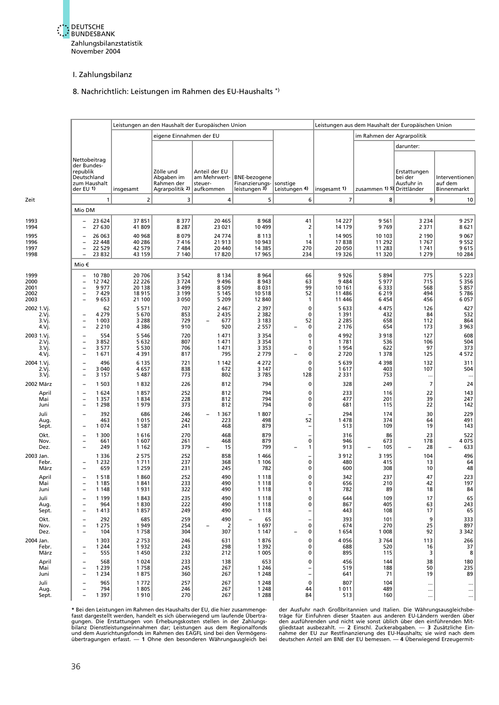

## 8. Nachrichtlich: Leistungen im Rahmen des EU-Haushalts \*)

|                                       |                                                                                                                                                                    |                                                   | Leistungen an den Haushalt der Europäischen Union        |                                                       |                                                        |                                                 |                                               |                                            | Leistungen aus dem Haushalt der Europäischen Union |                                            |
|---------------------------------------|--------------------------------------------------------------------------------------------------------------------------------------------------------------------|---------------------------------------------------|----------------------------------------------------------|-------------------------------------------------------|--------------------------------------------------------|-------------------------------------------------|-----------------------------------------------|--------------------------------------------|----------------------------------------------------|--------------------------------------------|
|                                       |                                                                                                                                                                    |                                                   | eigene Einnahmen der EU                                  |                                                       |                                                        |                                                 |                                               | im Rahmen der Agrarpolitik                 |                                                    |                                            |
|                                       |                                                                                                                                                                    |                                                   |                                                          |                                                       |                                                        |                                                 |                                               |                                            | darunter:                                          |                                            |
|                                       | Nettobeitrag<br>der Bundes-<br>republik<br>Deutschland<br>zum Haushalt<br>der EU 1)                                                                                | insgesamt                                         | Zölle und<br>Abgaben im<br>Rahmen der<br>Agrarpolitik 2) | Anteil der EU<br>am Mehrwert-<br>steuer-<br>aufkommen | <b>BNE-bezogene</b><br>Finanzierungs-<br>leistungen 3) | sonstige<br>Leistungen 4)                       | insgesamt 1)                                  | zusammen 1) 5) Drittländer                 | Erstattungen<br>bei der<br>Ausfuhr in              | Interventionen<br>auf dem<br>Binnenmarkt   |
| Zeit                                  | $\mathbf{1}$                                                                                                                                                       | $\overline{2}$                                    | 3                                                        | 4                                                     | 5                                                      | 6                                               | $\overline{7}$                                | 8                                          | 9                                                  | 10                                         |
|                                       | Mio DM                                                                                                                                                             |                                                   |                                                          |                                                       |                                                        |                                                 |                                               |                                            |                                                    |                                            |
| 1993<br>1994                          | 23 624<br>27 630<br>$\qquad \qquad -$                                                                                                                              | 37851<br>41809                                    | 8 3 7 7<br>8 2 8 7                                       | 20 4 65<br>23 0 21                                    | 8968<br>10 499                                         | 41<br>$\overline{2}$                            | 14 2 27<br>14 179                             | 9561<br>9769                               | 3 2 3 4<br>2 3 7 1                                 | 9 2 5 7<br>8621                            |
| 1995<br>1996<br>1997<br>1998          | 26 063<br>$\overline{\phantom{0}}$<br>22 448<br>$\overline{\phantom{0}}$<br>22 5 29<br>$\overline{\phantom{0}}$<br>23 832<br>$\overline{\phantom{0}}$              | 40 968<br>40 286<br>42 579<br>43 159              | 8 0 7 9<br>7416<br>7 4 8 4<br>7 140                      | 24 7 7 4<br>21913<br>20 440<br>17820                  | 8 1 1 3<br>10 943<br>14 3 8 5<br>17 965                | 1<br>14<br>270<br>234                           | 14 905<br>17838<br>20 050<br>19 3 26          | 10 103<br>11 292<br>11 283<br>11 3 20      | 2 1 9 0<br>1767<br>1741<br>1 2 7 9                 | 9 0 67<br>9 5 5 2<br>9615<br>10 284        |
|                                       | Mio €                                                                                                                                                              |                                                   |                                                          |                                                       |                                                        |                                                 |                                               |                                            |                                                    |                                            |
| 1999<br>2000<br>2001<br>2002<br>2003  | 10 780<br>$\overline{\phantom{0}}$<br>12742<br>$\overline{a}$<br>9977<br>$\overline{\phantom{0}}$<br>7429<br>$\qquad \qquad -$<br>9653<br>$\overline{\phantom{0}}$ | 20 706<br>22 2 2 6<br>20 138<br>18 9 15<br>21 100 | 3 5 4 2<br>3724<br>3 4 9 9<br>3 1 9 9<br>3 0 5 0         | 8 1 3 4<br>9 4 9 6<br>8 5 0 9<br>5 1 4 5<br>5 2 0 9   | 8964<br>8 9 4 3<br>8 0 3 1<br>10518<br>12 840          | 66<br>63<br>99<br>52<br>$\mathbf{1}$            | 9926<br>9 4 8 4<br>10 161<br>11 486<br>11 446 | 5894<br>5977<br>6 3 3 3<br>6 2 1 9<br>6454 | 775<br>715<br>568<br>494<br>456                    | 5 2 2 3<br>5 3 5 6<br>5857<br>5786<br>6057 |
| 2002 1.Vi.<br>2.Vi.<br>3.Vi.<br>4.Vj. | 62<br>4 2 7 9<br>$\overline{\phantom{0}}$<br>1 0 0 3<br>$\overline{\phantom{0}}$<br>2 2 1 0<br>$\overline{\phantom{0}}$                                            | 5 5 7 1<br>5670<br>3 2 8 8<br>4 3 8 6             | 707<br>853<br>729<br>910                                 | 2 4 6 7<br>2 4 3 5<br>677<br>920                      | 2 3 9 7<br>2 3 8 2<br>3 1 8 3<br>2 5 5 7               | $\mathbf 0$<br>$\mathbf 0$<br>52<br>$\mathbf 0$ | 5 6 3 3<br>1 3 9 1<br>2 2 8 5<br>2 1 7 6      | 4 4 7 5<br>432<br>658<br>654               | 126<br>84<br>112<br>173                            | 427<br>532<br>864<br>3 9 6 3               |
| 2003 1.Vi.<br>2.Vj.<br>3.Vj.<br>4.Vj. | 554<br>3852<br>$\overline{\phantom{0}}$<br>3 5 7 7<br>$\overline{\phantom{0}}$<br>1671<br>$\overline{\phantom{0}}$                                                 | 5 5 4 6<br>5 6 3 2<br>5 5 3 0<br>4 3 9 1          | 720<br>807<br>706<br>817                                 | 1 4 7 1<br>1 471<br>1 4 7 1<br>795                    | 3 3 5 4<br>3 3 5 4<br>3 3 5 3<br>2779                  | $\mathbf 0$<br>1<br>0<br>0                      | 4 9 9 2<br>1781<br>1954<br>2720               | 3918<br>536<br>622<br>1 3 7 8              | 127<br>106<br>97<br>125                            | 608<br>504<br>373<br>4572                  |
| 2004 1.Vj.<br>2.Vj.<br>3.Vj.          | 496<br>3 0 4 0<br>$\overline{\phantom{0}}$<br>3 1 5 7<br>$\overline{\phantom{0}}$                                                                                  | 6 1 3 5<br>4657<br>5 4 8 7                        | 721<br>838<br>773                                        | 1 1 4 2<br>672<br>802                                 | 4 2 7 2<br>3 1 4 7<br>3785                             | 0<br>$\mathbf 0$<br>128                         | 5 6 3 9<br>1617<br>2 3 3 1                    | 4 3 9 8<br>403<br>753                      | 132<br>107<br>$\ldots$                             | 311<br>504<br>$\cdots$                     |
| 2002 März                             | 1 5 0 3<br>$\overline{\phantom{0}}$                                                                                                                                | 1832                                              | 226                                                      | 812                                                   | 794                                                    | $\mathbf 0$                                     | 328                                           | 249                                        | $\overline{7}$                                     | 24                                         |
| April<br>Mai<br>Juni                  | 1624<br>$\overline{\phantom{0}}$<br>1 3 5 7<br>$\qquad \qquad -$<br>1 2 9 8<br>$\overline{\phantom{0}}$                                                            | 1857<br>1834<br>1979                              | 252<br>228<br>373                                        | 812<br>812<br>812                                     | 794<br>794<br>794                                      | $\mathbf 0$<br>0<br>$\mathbf 0$                 | 233<br>477<br>681                             | 116<br>201<br>115                          | 22<br>39<br>22                                     | 143<br>247<br>142                          |
| Juli<br>Aug.<br>Sept.                 | 392<br>$\overline{\phantom{0}}$<br>463<br>1 0 7 4<br>$\overline{\phantom{0}}$                                                                                      | 686<br>1015<br>1 5 8 7                            | 246<br>242<br>241                                        | 1 3 6 7<br>223<br>468                                 | 1807<br>498<br>879                                     | 52<br>$\overline{\phantom{a}}$                  | 294<br>1478<br>513                            | 174<br>374<br>109                          | 30<br>64<br>19                                     | 229<br>491<br>143                          |
| Okt.<br>Nov.<br>Dez.                  | 1 300<br>$\overline{\phantom{0}}$<br>661<br>$\overline{\phantom{0}}$<br>249                                                                                        | 1616<br>1607<br>1 1 6 2                           | 270<br>261<br>379                                        | 468<br>468<br>15                                      | 879<br>879<br>799                                      | $\qquad \qquad -$<br>$\mathbf 0$<br>1           | 316<br>946<br>913                             | 86<br>673<br>105                           | 23<br>178<br>28                                    | 522<br>4075<br>633                         |
| 2003 Jan.<br>Febr.<br>März            | 1 3 3 6<br>1 2 3 2<br>$\overline{\phantom{0}}$<br>659                                                                                                              | 2 5 7 5<br>1711<br>1 2 5 9                        | 252<br>237<br>231                                        | 858<br>368<br>245                                     | 1466<br>1 1 0 6<br>782                                 | $\overline{\phantom{m}}$<br>$\mathbf 0$<br>0    | 3912<br>480<br>600                            | 3 1 9 5<br>415<br>308                      | 104<br>13<br>10                                    | 496<br>64<br>48                            |
| April<br>Mai<br>Juni                  | 1518<br>$\overline{\phantom{0}}$<br>1 1 8 5<br>1 1 4 8<br>$\overline{\phantom{0}}$                                                                                 | 1860<br>1841<br>1931                              | 252<br>233<br>322                                        | 490<br>490<br>490                                     | 1 1 1 8<br>1 1 1 8<br>1 1 1 8                          | 0<br>0<br>1                                     | 342<br>656<br>782                             | 237<br>210<br>89                           | 47<br>42<br>18                                     | 223<br>197<br>84                           |
| Juli<br>Aug.<br>Sept.                 | 1 1 9 9<br>964<br>$\overline{\phantom{0}}$<br>1413<br>$\overline{\phantom{0}}$                                                                                     | 1843<br>1830<br>1857                              | 235<br>222<br>249                                        | 490<br>490<br>490                                     | 1 1 1 8<br>1 1 1 8<br>1 1 1 8                          | 0<br>0                                          | 644<br>867<br>443                             | 109<br>405<br>108                          | 17<br>63<br>17                                     | 65<br>243<br>65                            |
| Okt.<br>Nov.<br>Dez.                  | 292<br>$\overline{a}$<br>1 2 7 5<br>$\overline{\phantom{0}}$<br>104<br>$\overline{\phantom{0}}$                                                                    | 685<br>1949<br>1758                               | 259<br>254<br>304                                        | 490<br>2<br>307                                       | 65<br>1697<br>1 1 4 7                                  | $\qquad \qquad -$<br>$\mathbf 0$<br>0           | 393<br>674<br>1654                            | 101<br>270<br>1 0 0 8                      | 9<br>25<br>92                                      | 333<br>897<br>3 3 4 2                      |
| 2004 Jan.<br>Febr.<br>März            | 1 3 0 3<br>1 2 4 4<br><b>-</b><br>555<br>$\overline{\phantom{0}}$                                                                                                  | 2753<br>1932<br>1450                              | 246<br>243<br>232                                        | 631<br>298<br>212                                     | 1876<br>1 3 9 2<br>1 0 0 5                             | 0<br>0<br>0                                     | 4056<br>688<br>895                            | 3764<br>520<br>115                         | 113<br>16<br>3                                     | 266<br>$\frac{1}{37}$<br>$\bf 8$           |
| April<br>Mai<br>Juni                  | 568<br>1 2 3 9<br>$\overline{\phantom{0}}$<br>1 2 3 4<br>$\qquad \qquad -$                                                                                         | 1 0 2 4<br>1758<br>1875                           | 233<br>245<br>360                                        | 138<br>267<br>267                                     | 653<br>1 2 4 6<br>1 2 4 8                              | 0<br>$\overline{\phantom{0}}$                   | 456<br>519<br>641                             | 144<br>188<br>71                           | 38<br>50<br>19                                     | 180<br>235<br>89                           |
| Juli<br>Aug.<br>Sept.                 | 965<br>$\overline{\phantom{0}}$<br>794<br>$\overline{\phantom{0}}$<br>1 3 9 7<br>$\overline{\phantom{0}}$                                                          | 1772<br>1805<br>1910                              | 257<br>246<br>270                                        | 267<br>267<br>267                                     | 1 2 4 8<br>1 2 4 8<br>1 2 8 8                          | $\pmb{0}$<br>44<br>84                           | 807<br>1011<br>513                            | 104<br>489<br>160                          | $\cdots$<br>                                       | $\cdots$<br>$\ddotsc$                      |

\* Bei den Leistungen im Rahmen des Haushalts der EU, die hier zusammenge-aler Ausfuhr nach Großbritannien und Italien. Die Währungsausgleichsbe-<br>fasst dargestellt werden, handelt es sich überwiegend um laufende Übertra-ale

36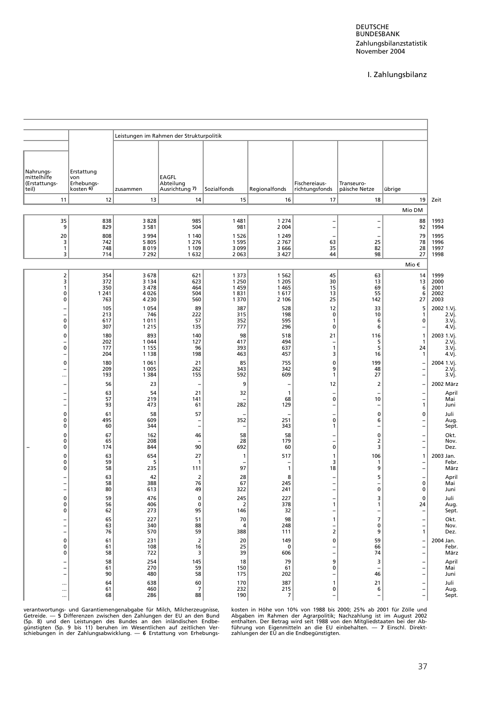I. Zahlungsbilanz

|                                     |                   |                    | Leistungen im Rahmen der Strukturpolitik |                               |                                         |                                          |                                          |                                                      |                     |
|-------------------------------------|-------------------|--------------------|------------------------------------------|-------------------------------|-----------------------------------------|------------------------------------------|------------------------------------------|------------------------------------------------------|---------------------|
|                                     |                   |                    |                                          |                               |                                         |                                          |                                          |                                                      |                     |
|                                     |                   |                    |                                          |                               |                                         |                                          |                                          |                                                      |                     |
| Nahrungs-                           | Erstattung        |                    |                                          |                               |                                         |                                          |                                          |                                                      |                     |
| mittelhilfe<br>(Erstattungs-        | von<br>Erhebungs- |                    | <b>EAGFL</b><br>Abteilung                |                               |                                         | Fischereiaus-                            | Transeuro-                               |                                                      |                     |
| teil)                               | kosten 6)         | zusammen           | Ausrichtung 7)                           | Sozialfonds                   | Regionalfonds                           | richtungsfonds                           | päische Netze                            | übrige                                               |                     |
| 11                                  | 12                | 13                 | 14                                       | 15                            | 16                                      | 17                                       | 18                                       | 19                                                   | Zeit                |
|                                     |                   |                    |                                          |                               |                                         |                                          |                                          | Mio DM                                               |                     |
| 35<br>9                             | 838<br>829        | 3828<br>3 5 8 1    | 985<br>504                               | 1 4 8 1<br>981                | 1 2 7 4<br>2 0 0 4                      | $\overline{\phantom{0}}$                 | <sup>-</sup><br>$\overline{\phantom{a}}$ | 88<br>92                                             | 1993<br>1994        |
| 20                                  | 808               | 3 9 9 4            | 1 1 4 0                                  | 1 5 2 6                       | 1 2 4 9                                 |                                          | $\overline{\phantom{0}}$                 | 79                                                   | 1995                |
| 3<br>$\mathbf{1}$                   | 742<br>748        | 5805<br>8019       | 1 2 7 6<br>1 1 0 9                       | 1 5 9 5<br>3 0 9 9            | 2 7 6 7<br>3 6 6 6                      | 63<br>35                                 | 25<br>82                                 | 78<br>28                                             | 1996<br>1997        |
| 3                                   | 714               | 7 2 9 2            | 1632                                     | 2 0 6 3                       | 3 4 2 7                                 | 44                                       | 98                                       | 27                                                   | 1998                |
|                                     |                   |                    |                                          |                               |                                         |                                          |                                          | Mio €                                                |                     |
| $\frac{2}{3}$                       | 354<br>372        | 3678<br>3 1 3 4    | 621<br>623                               | 1 3 7 3<br>1 2 5 0            | 1 5 6 2<br>1 2 0 5                      | 45<br>30                                 | 63<br>13                                 | 14<br>13                                             | 1999<br>2000        |
| $\mathbf{1}$<br>$\pmb{0}$           | 350<br>1 2 4 1    | 3 4 7 8<br>4026    | 464<br>504                               | 1459<br>1831                  | 1 4 6 5<br>1617                         | 15<br>13                                 | 69<br>55                                 | 6<br>6                                               | 2001<br>2002        |
| 0                                   | 763               | 4 2 3 0            | 560                                      | 1 3 7 0                       | 2 10 6                                  | 25                                       | 142                                      | 27                                                   | 2003                |
| $\overline{a}$<br>$\qquad \qquad -$ | 105<br>213        | 1 0 5 4<br>746     | 89<br>222                                | 387<br>315                    | 528<br>198                              | 12<br>$\mathbf 0$                        | 33<br>10                                 | 5<br>1                                               | 2002 1.Vj.<br>2.Vj. |
| $\pmb{0}$<br>0                      | 617<br>307        | 1011<br>1 2 1 5    | 57<br>135                                | 352<br>777                    | 595<br>296                              | $\mathbf{1}$<br>0                        | 6<br>6                                   | 0<br>$\qquad \qquad -$                               | 3.Vj.<br>4.Vj.      |
| $\pmb{0}$                           | 180               | 893                | 140                                      | 98                            | 518                                     | 21                                       | 116                                      | $\mathbf{1}$                                         | 2003 1.Vj.          |
| $\overline{a}$<br>$\mathbf 0$       | 202<br>177        | 1 0 4 4<br>1 1 5 5 | 127<br>96                                | 417<br>393                    | 494<br>637                              | $\overline{\phantom{0}}$<br>$\mathbf{1}$ | 5<br>5                                   | 1<br>24                                              | 2.Vj.<br>3.Vj.      |
| $\overline{a}$                      | 204               | 1 1 3 8            | 198                                      | 463                           | 457                                     | 3                                        | 16                                       | 1                                                    | 4.Vj.               |
| $\pmb{0}$<br>$\overline{a}$         | 180<br>209        | 1 0 6 1<br>1 0 0 5 | 21<br>262                                | 85<br>343                     | 755<br>342                              | 0<br>9                                   | 199<br>48                                | $\qquad \qquad$<br>$\overline{\phantom{0}}$          | 2004 1.Vj.<br>2.Vj. |
|                                     | 193               | 1 3 8 4            | 155                                      | 592                           | 609                                     | 1                                        | 27                                       | $\overline{\phantom{a}}$                             | 3.Vj.               |
| $\overline{\phantom{0}}$            | 56                | 23                 | -                                        | 9                             |                                         | 12                                       | $\mathbf 2$                              |                                                      | 2002 März           |
| -<br>$\overline{a}$                 | 63<br>57          | 54<br>219          | 21<br>141                                | 32                            | $\mathbf{1}$<br>68                      | $\qquad \qquad -$<br>$\pmb{0}$           | $\overline{\phantom{0}}$<br>10           | $\qquad \qquad -$<br>$\overline{\phantom{0}}$        | April<br>Mai        |
| $\overline{\phantom{0}}$            | 93                | 473                | 61                                       | 282                           | 129                                     | $\overline{\phantom{0}}$                 | $\overline{\phantom{0}}$                 | $\mathbf{1}$                                         | Juni                |
| $\pmb{0}$<br>$\pmb{0}$              | 61<br>495         | 58<br>609          | 57<br>$\overline{\phantom{0}}$           | 352                           | 251                                     | -<br>0                                   | 0<br>6                                   | $\pmb{0}$<br>$\overline{\phantom{a}}$                | Juli<br>Aug.        |
| $\pmb{0}$                           | 60                | 344                | $\overline{\phantom{0}}$                 | $\overline{\phantom{0}}$      | 343                                     | 1                                        | $\overline{\phantom{0}}$                 | $\overline{\phantom{0}}$                             | Sept.               |
| $\pmb{0}$<br>$\pmb{0}$              | 67<br>65          | 162<br>208         | 46<br>$\overline{\phantom{0}}$           | 58<br>28                      | 58<br>179                               | -<br>$\overline{a}$                      | 0<br>2                                   | $\overline{\phantom{m}}$<br>$\overline{\phantom{0}}$ | Okt.<br>Nov.        |
| 0                                   | 174               | 844                | 90                                       | 692                           | 60                                      | $\pmb{0}$                                | 3                                        | $\overline{\phantom{a}}$                             | Dez.                |
| $\pmb{0}$<br>0                      | 63<br>59          | 654<br>5           | 27<br>1                                  | 1<br>$\overline{\phantom{0}}$ | 517                                     | 1<br>3                                   | 106<br>1                                 | 1<br><sup>-</sup>                                    | 2003 Jan.<br>Febr.  |
| $\mathbf 0$                         | 58                | 235                | 111                                      | 97                            | 1                                       | 18                                       | 9                                        | $\overline{\phantom{a}}$                             | März                |
| -                                   | 63<br>58          | 42<br>388          | $\overline{2}$<br>76                     | 28<br>67                      | 8<br>245                                | -<br>$\overline{\phantom{0}}$            | 5<br>$\overline{\phantom{0}}$            | $\qquad \qquad -$<br>$\mathbf 0$                     | April<br>Mai        |
| $\qquad \qquad -$                   | 80                | 613                | 49                                       | 322                           | 241                                     | $\overline{\phantom{0}}$                 | 0                                        | 0                                                    | Juni                |
| 0<br>$\pmb{0}$                      | 59<br>56          | 476<br>406         | 0<br>0                                   | 245<br>$\mathbf 2$            | 227<br>378                              | -<br>$\mathbf{1}$                        | 3<br>1                                   | 0<br>24                                              | Juli                |
| $\pmb{0}$                           | 62                | 273                | 95                                       | 146                           | 32                                      | -                                        | $\overline{\phantom{0}}$                 | $\overline{\phantom{a}}$                             | Aug.<br>Sept.       |
| $\overline{a}$<br>-                 | 65<br>63          | 227<br>340         | 51<br>88                                 | $70\,$<br>4                   | 98<br>248                               | 1<br>$\qquad \qquad -$                   | $\overline{\phantom{a}}$<br>0            | -<br>$\overline{\phantom{a}}$                        | Okt.<br>Nov.        |
| $\qquad \qquad -$                   | 76                | 570                | 59                                       | 388                           | 111                                     |                                          | 9                                        | $\mathbf{1}$                                         | Dez.                |
| $\pmb{0}$<br>0                      | 61<br>61          | 231<br>108         | $\mathbf 2$<br>16                        | 20<br>25                      | 149<br>0                                | $\pmb{0}$<br>-                           | 59<br>66                                 | $\overline{\phantom{a}}$<br>$\qquad \qquad -$        | 2004 Jan.<br>Febr.  |
| 0                                   | 58                | 722                | 3                                        | 39                            | 606                                     | <sup>-</sup>                             | 74                                       | $\qquad \qquad -$                                    | März                |
| -<br>$\overline{a}$                 | 58<br>61          | 254<br>270         | 145<br>59                                | 18<br>150                     | 79<br>61                                | 9<br>0                                   | 3<br>$\overline{\phantom{0}}$            | -<br>$\qquad \qquad -$                               | April<br>Mai        |
| $\overline{a}$                      | 90                | 480                | 58                                       | 175                           | 202                                     | -                                        | 46                                       | $\overline{\phantom{a}}$                             | Juni                |
| $\cdots$<br>$\cdots$                | 64<br>61          | 638<br>460         | 60<br>$\overline{7}$                     | 170<br>232                    | 387                                     | 1<br>0                                   | 21<br>6                                  | $\qquad \qquad -$<br>$\qquad \qquad -$               | Juli                |
| $\cdots$                            | 68                | 286                | 88                                       | 190                           | $\begin{array}{c} 215 \\ 7 \end{array}$ | <sup>-</sup>                             | $\overline{a}$                           |                                                      | Aug.<br>Sept.       |

verantwortungs- und Garantiemengenabgabe für Milch, Milcherzeugnisse, kosten in Höhe von 10% von 1988 bis 2000; 25% ab 2001 für Zölle und Getreide. — 5 Differenzen zwischen den Zahlungen der EU an den Bund Abgaben im Rahme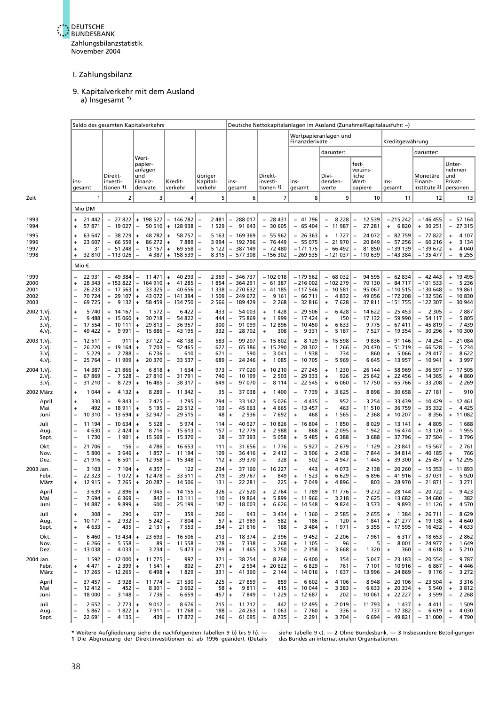

## 9. Kapitalverkehr mit dem Ausland a) Insgesamt \*)

|                    |                                               | Saldo des gesamten Kapitalverkehrs                                              |                                                                                  |                                                                                |                                                                            |                                                                           | Deutsche Nettokapitalanlagen im Ausland (Zunahme/Kapitalausfuhr: -)    |                                                                                 |                                                                                            |                                                                           |                                                                          |                                                                  |                                                                         |
|--------------------|-----------------------------------------------|---------------------------------------------------------------------------------|----------------------------------------------------------------------------------|--------------------------------------------------------------------------------|----------------------------------------------------------------------------|---------------------------------------------------------------------------|------------------------------------------------------------------------|---------------------------------------------------------------------------------|--------------------------------------------------------------------------------------------|---------------------------------------------------------------------------|--------------------------------------------------------------------------|------------------------------------------------------------------|-------------------------------------------------------------------------|
|                    |                                               |                                                                                 |                                                                                  |                                                                                |                                                                            |                                                                           |                                                                        | Finanzderivate                                                                  | Wertpapieranlagen und                                                                      |                                                                           | Kreditgewährung                                                          |                                                                  |                                                                         |
|                    |                                               |                                                                                 |                                                                                  |                                                                                |                                                                            |                                                                           |                                                                        |                                                                                 | darunter:                                                                                  |                                                                           |                                                                          | darunter:                                                        |                                                                         |
|                    | ins-                                          | Direkt-<br>investi-                                                             | Wert-<br>papier-<br>anlagen<br>und<br>Finanz-                                    | Kredit-                                                                        | übriger<br>Kapital-                                                        | ins-                                                                      | Direkt-<br>investi-                                                    | ins-                                                                            | Divi-<br>denden-                                                                           | fest-<br>verzins-<br>liche<br>Wert-                                       | ins-                                                                     | Monetäre<br>Finanz-                                              | Unter-<br>nehmen<br>und<br>Privat-                                      |
|                    | gesamt                                        | tionen 1)                                                                       | derivate                                                                         | verkehr                                                                        | verkehr                                                                    | gesamt                                                                    | tionen 1)                                                              | gesamt                                                                          | werte                                                                                      | papiere                                                                   | gesamt                                                                   | institute 2)                                                     | personen                                                                |
| Zeit               | 1                                             | 2                                                                               | 3                                                                                | 4                                                                              | 5                                                                          | 6                                                                         | $\overline{7}$                                                         | 8                                                                               | 9                                                                                          | 10                                                                        | 11                                                                       | 12                                                               | 13                                                                      |
|                    | Mio DM                                        |                                                                                 |                                                                                  |                                                                                |                                                                            |                                                                           |                                                                        |                                                                                 |                                                                                            |                                                                           |                                                                          |                                                                  |                                                                         |
| 1993<br>1994       | 21 4 42<br>+<br>57871<br>$\ddot{}$            | 27822<br>19 0 27<br>$\overline{\phantom{a}}$                                    | 198 527<br>$+$<br>50 510<br>$\overline{\phantom{0}}$                             | 146 782<br>$\overline{\phantom{0}}$<br>128 938<br>$\ddot{}$                    | 2 4 8 1<br>1 5 2 9<br>$\overline{\phantom{0}}$                             | 288 017<br>$\overline{\phantom{0}}$<br>91 643<br>$\overline{\phantom{0}}$ | 28 4 31<br>$-30605$                                                    | $-41796$<br>$-65404$                                                            | 8 2 2 8<br>$-11987$                                                                        | 12 539<br>$\overline{\phantom{0}}$<br>27 281<br>$\qquad \qquad -$         | $-215242$<br>$+ 6820$                                                    | $-146455$<br>$+ 30251$                                           | 57 164<br>27 315<br>$\overline{\phantom{0}}$                            |
| 1995               | 63 647<br>÷                                   | $-38729$                                                                        | 48782<br>$\begin{array}{c} + \end{array}$                                        | 58 757<br>$\ddot{}$                                                            | 5 1 6 3<br>$\overline{\phantom{0}}$                                        | $-169369$                                                                 | $-55962$                                                               | 26 363<br>$\overline{\phantom{0}}$                                              | 1 7 2 7<br>÷                                                                               | 24 072<br>$\overline{\phantom{a}}$                                        | $-82759$                                                                 | $-77822$                                                         | 4 107<br>$\ddot{}$                                                      |
| 1996<br>1997       | 23 607<br>÷<br>31<br>÷                        | $-66559$<br>$-51248$                                                            | 86 272<br>$\begin{array}{c} + \end{array}$<br>13 157<br>$\overline{\phantom{a}}$ | 7889<br>$\bf{+}$<br>69 558<br>$\bf{+}$                                         | 3 9 9 4<br>$\overline{\phantom{a}}$<br>5 1 2 2<br>$\overline{\phantom{a}}$ | $-192796$<br>387 149<br>$\overline{\phantom{0}}$                          | $-76449$<br>$-72480$                                                   | $-55075$<br>$-171175$                                                           | $-21970$<br>$-66492$                                                                       | 20 849<br>$\overline{\phantom{a}}$<br>81850<br>$\overline{\phantom{a}}$   | $-57256$<br>$-139139$                                                    | $-60216$<br>$-139672$                                            | 3 1 3 4<br>$\ddot{}$<br>4 0 4 0<br>$\begin{array}{c} + \end{array}$     |
| 1998               | 32 810<br>$\ddot{}$                           | $-113026$                                                                       | 4 3 8 7<br>$\overline{\phantom{a}}$                                              | + 158 539                                                                      | 8315                                                                       | $-577308$                                                                 | $-156302$                                                              | $-269535$                                                                       | $-121037$                                                                                  | $-$<br>110 639                                                            | $-143384$                                                                | $-135477$                                                        | 6 2 5 5<br>$\overline{\phantom{0}}$                                     |
|                    | Mio €                                         |                                                                                 |                                                                                  |                                                                                |                                                                            |                                                                           |                                                                        |                                                                                 |                                                                                            |                                                                           |                                                                          |                                                                  |                                                                         |
| 1999               | 22 931                                        | $-49384$                                                                        | 11 471                                                                           | 40 293<br>$\ddot{}$                                                            | 2 3 6 9                                                                    | 346 737<br>$\qquad \qquad -$                                              | $-102018$                                                              | $-179562$                                                                       | $-68032$                                                                                   | 94 595                                                                    | $-62834$                                                                 | $-4243$                                                          | + 19 495                                                                |
| 2000               | 28 343<br>$\ddot{}$                           | $+153822$                                                                       | 164 910                                                                          | 41 285<br>$\bf{+}$                                                             | 1854                                                                       | 364 291<br>$\overline{\phantom{a}}$                                       | $-61387$                                                               | $-216002$                                                                       | $-102279$                                                                                  | 70 130<br>$\overline{\phantom{a}}$                                        | $-84717$                                                                 | $-101533$                                                        | 5 2 3 6                                                                 |
| 2001<br>2002       | 26 233<br>70 724<br>$\overline{a}$            | $-17563$<br>$+ 29107$                                                           | 33 325<br>$\ddot{}$<br>43 072<br>$\ddot{}$                                       | 40 656<br>$\overline{\phantom{a}}$<br>$-141394$                                | 1 3 3 8<br>1 5 0 9<br>$\overline{\phantom{0}}$                             | 270 632<br>$\overline{\phantom{a}}$<br>249 672<br>$-$                     | $-41185$<br>9 1 6 1<br>$\qquad \qquad -$                               | $-117546$<br>$-66711$                                                           | $-10581$<br>4 8 3 2<br>$\qquad \qquad -$                                                   | 95 067<br>$\overline{\phantom{m}}$<br>49 0 56<br>$\overline{\phantom{a}}$ | $-110515$<br>$-172208$                                                   | $-130648$<br>$-132536$                                           | 19861<br>10830<br>$\overline{\phantom{a}}$                              |
| 2003               | 69 725<br>$\overline{\phantom{0}}$            | 9 1 3 2<br>$\begin{array}{c} + \end{array}$                                     | 58 459<br>$\ddot{}$                                                              | $-134750$                                                                      | 2 5 6 6<br>$\overline{\phantom{0}}$                                        | $-189429$                                                                 | 2 2 6 8<br>$\overline{\phantom{a}}$                                    | $-32816$                                                                        | 7628<br>$\ddot{}$                                                                          | 37811<br>$\overline{\phantom{a}}$                                         | $-151755$                                                                | $-122307$                                                        | 30 944<br>$\overline{\phantom{0}}$                                      |
| 2002 1.Vj.         | 5740<br>+                                     | 14 167<br>$+$                                                                   | 1 572                                                                            | 6422                                                                           | 433                                                                        | 54 003<br>$\overline{\phantom{0}}$                                        | 1428<br>$\ddot{}$                                                      | 29 506                                                                          | 6428<br>$\qquad \qquad -$                                                                  | 14 622<br>$\overline{\phantom{0}}$                                        | $-25453$                                                                 | 2 3 0 5                                                          | 7887                                                                    |
| 2.Vj.<br>3.Vj.     | 9488<br>17 554                                | 15 060<br>$+$<br>10 111                                                         | 30 718<br>$\ddot{}$<br>29 813<br>$\ddot{}$                                       | 54 822<br>36 957                                                               | 444<br>300                                                                 | 75 869<br>$\overline{\phantom{a}}$<br>91 099<br>$\qquad \qquad -$         | 1999<br>$\ddot{}$<br>12896<br>$\overline{\phantom{0}}$                 | 17 424<br>$\overline{\phantom{a}}$<br>10 450<br>$\overline{\phantom{a}}$        | 150<br>$\begin{array}{c} + \end{array}$<br>6 6 33<br>$\begin{array}{c} + \end{array}$      | 17 132<br>$\qquad \qquad -$<br>9775<br>$\overline{\phantom{0}}$           | $-5990$<br>$-67411$                                                      | 54 117<br>$-$<br>$-45819$                                        | 5 8 0 5<br>7439                                                         |
| 4.Vj.              | 49 422                                        | 9991<br>$\ddot{}$                                                               | 15 8 86<br>$\overline{\phantom{0}}$                                              | $\overline{\phantom{a}}$<br>43 195                                             | 332<br>$\overline{\phantom{0}}$                                            | $\overline{\phantom{0}}$<br>28 702                                        | 308<br>$\ddot{}$                                                       | 9 3 3 1<br>$\overline{\phantom{a}}$                                             | 5 1 8 7                                                                                    | 7 5 2 7<br>$\overline{\phantom{0}}$                                       | $-19354$                                                                 | $-30296$                                                         | 10 300<br>$+$                                                           |
| 2003 1.Vj.         | 12 5 11                                       | 911                                                                             | 37 122<br>$\ddot{}$                                                              | 48 138<br>$\qquad \qquad -$                                                    | 583                                                                        | 99 207<br>$\qquad \qquad -$                                               | 15 602                                                                 | 8 1 2 9<br>$\ddot{}$                                                            | $+ 15598$                                                                                  | 9836                                                                      | 91 146<br>$\qquad \qquad -$                                              | - 74 254                                                         | 21 084                                                                  |
| 2.Vi.<br>3.Vj.     | 26 220<br>$\overline{\phantom{0}}$<br>5 2 2 9 | $+ 19164$<br>2788<br>$\ddot{}$                                                  | 7703<br>$\ddot{}$<br>6736                                                        | $\overline{a}$<br>52 465<br>$\overline{a}$<br>610                              | 622<br>$\overline{\phantom{0}}$<br>671                                     | $\overline{a}$<br>65 386<br>590<br>$\overline{\phantom{0}}$               | 15 290<br>$\ddot{}$<br>3 0 4 1<br>$\overline{\phantom{0}}$             | 28 302<br>$\qquad \qquad -$<br>1938<br>$\overline{\phantom{0}}$                 | 1 2 6 6<br>$\overline{\phantom{a}}$<br>$\overline{\phantom{a}}$<br>734                     | 20 470<br>$\overline{\phantom{a}}$<br>860                                 | 51719<br>$-$<br>5 0 6 6<br>$\ddot{}$                                     | $-66528$<br>$+ 29417$                                            | 5 2 3 4<br>$\overline{\phantom{a}}$<br>8622<br>$\overline{\phantom{0}}$ |
| 4.Vj.              | 25 7 64<br>$\overline{\phantom{0}}$           | 11 909<br>$\overline{\phantom{m}}$                                              | 20 370<br>$\overline{+}$                                                         | 33 537<br>$\overline{\phantom{0}}$                                             | 689<br>$\overline{\phantom{0}}$                                            | 24 246<br>$\qquad \qquad -$                                               | 1 0 8 5<br>$\ddot{}$                                                   | 10 705<br>$\overline{\phantom{a}}$                                              | 5969<br>$\overline{\phantom{a}}$                                                           | 6645<br>$\overline{\phantom{0}}$                                          | $-13957$                                                                 | 10 941<br>$\overline{\phantom{a}}$                               | 3 9 9 7<br>$\ddot{}$                                                    |
| 2004 1.Vj.         | 14 387                                        | 21866                                                                           | 6818<br>$\ddot{}$                                                                | 1 6 3 4<br>$\ddot{}$                                                           | 973<br>$\overline{\phantom{0}}$                                            | 77 020<br>$\qquad \qquad -$                                               | 10 210<br>$\ddot{}$                                                    | 27 245                                                                          | 1 2 3 0<br>$\begin{array}{c} + \end{array}$                                                | 26 144<br>$\overline{\phantom{a}}$                                        | 58 969<br>$\overline{\phantom{a}}$                                       | - 36 597                                                         | 17 505                                                                  |
| 2.Vj.              | 67869                                         | 7528<br>$\overline{\phantom{0}}$                                                | 27810<br>$\overline{\phantom{a}}$                                                | 31 791<br>$\overline{\phantom{0}}$<br>$\overline{a}$                           | 740<br>$\overline{\phantom{0}}$                                            | $\overline{\phantom{0}}$<br>10 199                                        | 2 5 0 3                                                                | 29 3 33<br>$\overline{\phantom{0}}$                                             | 926<br>$\begin{array}{c} + \end{array}$                                                    | 25 642<br>$\overline{\phantom{0}}$                                        | $+ 22456$                                                                | $-14365$                                                         | 4860<br>$\ddot{}$                                                       |
| 3.Vj.              | 31 210<br>$\overline{\phantom{0}}$            | 8729<br>$\overline{\phantom{a}}$                                                | 16 485<br>$\ddot{}$                                                              | 38 317<br>$\overline{\phantom{a}}$                                             | 649<br>$\overline{\phantom{0}}$                                            | $\overline{\phantom{0}}$<br>97 070                                        | 8 1 1 4<br>$\overline{\phantom{0}}$                                    | 22 545<br>$\overline{\phantom{a}}$                                              | 6 0 6 0<br>$\ddot{}$                                                                       | 17750<br>$\qquad \qquad -$                                                | 65 7 66<br>$\qquad \qquad -$                                             | $-33208$                                                         | 2 2 6 9<br>$\overline{\phantom{0}}$                                     |
| 2002 März          | 1044<br>÷                                     | 4 1 3 2<br>$\ddot{}$                                                            | 8 2 8 9<br>$\overline{+}$                                                        | 11 342                                                                         | 35                                                                         | 37 038<br>$\overline{\phantom{0}}$                                        | 1400<br>$\overline{1}$                                                 | 7739                                                                            | 3 6 2 5<br>$\ddot{}$                                                                       | 8898                                                                      | $-30658$                                                                 | $-27181$                                                         | 910                                                                     |
| April<br>Mai       | 330<br>÷<br>492<br>÷                          | 9843<br>$\ddot{}$<br>18911<br>$\ddot{}$                                         | 7425<br>$\overline{\phantom{0}}$<br>5 1 9 5<br>$\ddot{}$                         | 1795<br>$\overline{\phantom{a}}$<br>23 512<br>$\overline{\phantom{0}}$         | 294<br>$\overline{\phantom{0}}$<br>103<br>$\overline{\phantom{0}}$         | 33 142<br>$\qquad \qquad -$<br>45 663<br>$\overline{\phantom{a}}$         | 5 0 2 6<br>$\ddot{}$<br>4665<br>$\ddot{}$                              | 4 4 3 5<br>$\overline{\phantom{0}}$<br>13 457<br>$\overline{\phantom{a}}$       | 952<br>$\overline{\phantom{0}}$<br>463<br>$\overline{\phantom{a}}$                         | 3 2 5 4<br>$\overline{\phantom{0}}$<br>11 510<br>$\overline{\phantom{a}}$ | $-33439$<br>$-36759$                                                     | $-10429$<br>$-3532$                                              | 12 4 61<br>$\overline{\phantom{a}}$<br>4 4 2 5<br>$\qquad \qquad -$     |
| Juni               | 10 310<br>$\overline{\phantom{0}}$            | $13694$ +<br>$\overline{\phantom{a}}$                                           | 32 947                                                                           | 29 5 15<br>$\overline{\phantom{a}}$                                            | 48<br>$\overline{\phantom{0}}$                                             | 2 9 3 6<br>$\ddot{\phantom{1}}$                                           | 7692<br>$\overline{\phantom{a}}$                                       | $\ddot{}$<br>468                                                                | 1 5 6 5<br>$\ddot{}$                                                                       | 2 3 6 8<br>$\overline{\phantom{a}}$                                       | $+ 10207$                                                                | 8 3 5 6<br>$\overline{\phantom{a}}$                              | 11 082<br>$\ddot{}$                                                     |
| Juli               | 11 194                                        | 10634                                                                           | 5 5 2 8<br>$\ddot{}$                                                             | 5974                                                                           | 114<br>$\overline{\phantom{0}}$                                            | 40 927<br>$\qquad \qquad -$                                               | 10826<br>$\overline{\phantom{0}}$                                      | 16 804<br>$\qquad \qquad -$                                                     | 1850<br>$\overline{\phantom{a}}$                                                           | 8029<br>$\overline{\phantom{0}}$                                          | $-13141$                                                                 | 4 8 0 5<br>$\ddot{}$                                             | 1688                                                                    |
| Aug.<br>Sept.      | 4630<br>1730                                  | 2 4 2 4<br>$\begin{array}{c} + \end{array}$<br>1901<br>$\overline{\phantom{0}}$ | 8716<br>$\ddot{}$<br>15 5 69<br>$\overline{+}$                                   | 15 613<br>$\overline{\phantom{0}}$<br>$\overline{\phantom{0}}$<br>15 370       | 157<br>$\overline{\phantom{0}}$<br>28<br>$\overline{\phantom{0}}$          | 12 779<br>$\overline{\phantom{0}}$<br>$\overline{\phantom{0}}$<br>37 393  | 2988<br>$\ddot{}$<br>5 0 5 8                                           | 868<br>$\ddot{}$<br>5 4 8 5<br>$\ddot{}$                                        | 2 0 9 5<br>$\begin{array}{c} + \end{array}$<br>6 3 8 8<br>$\begin{array}{c} + \end{array}$ | 1942<br>∣ +<br>3688                                                       | 16 474<br>$\overline{\phantom{a}}$<br>37 796<br>$\overline{\phantom{a}}$ | 13 120<br>$\overline{\phantom{a}}$<br>$-37504$                   | 1955<br>3796                                                            |
| Okt.               | 21 706                                        | 156                                                                             | 4786<br>$\overline{\phantom{0}}$                                                 | 16 653<br>$\overline{\phantom{0}}$                                             | 111<br>$\overline{\phantom{0}}$                                            | 31 656<br>$\qquad \qquad -$                                               | 1776<br>$\overline{\phantom{0}}$                                       | 5927<br>$\overline{\phantom{0}}$                                                | 2679<br>$\overline{\phantom{0}}$                                                           | 1 1 2 9<br>$\overline{\phantom{0}}$                                       | $-23841$                                                                 | $-15567$                                                         | 2761                                                                    |
| Nov.               | 5800<br>$\overline{\phantom{0}}$              | 3 6 4 6<br>$\ddot{}$                                                            | 1857<br>$\ddot{}$                                                                | $\overline{\phantom{a}}$<br>11 194                                             | 109<br>$\overline{\phantom{a}}$                                            | 36 416<br>$\qquad \qquad -$                                               | 2412<br>$\begin{array}{c} + \end{array}$                               | 3 9 0 6<br>$\qquad \qquad -$                                                    | 2 4 3 8<br>$\ddot{}$                                                                       | 7844<br>$\qquad \qquad -$                                                 | 34 814<br>$\overline{\phantom{a}}$                                       | $-40185$                                                         | 766<br>$\ddot{}$                                                        |
| Dez.               | 21916                                         | 6 5 0 1<br>$\ddot{}$                                                            | 12 958<br>$\overline{\phantom{a}}$                                               | $\overline{\phantom{a}}$<br>15 348                                             | 112<br>$\overline{\phantom{0}}$                                            | 39 370<br>$\ddot{\phantom{1}}$                                            | 328<br>$\overline{\phantom{0}}$                                        | 502<br>$\ddot{}$                                                                | 4947<br>$\overline{\phantom{a}}$                                                           | 1445<br>$+$                                                               | $+ 39300$                                                                | $+ 25457$                                                        | 12 295<br>$\ddot{}$                                                     |
| 2003 Jan.<br>Febr. | 3 1 0 3<br>22 3 23                            | 7 104<br>1072<br>$\overline{\phantom{a}}$                                       | 4 3 5 7<br>$\ddot{}$<br>12 478<br>$\ddot{}$                                      | 122<br>33 511<br>$\overline{\phantom{0}}$                                      | 234<br>219<br>$\overline{\phantom{0}}$                                     | 37 160<br>$\qquad \qquad -$<br>39 767<br>$\qquad \qquad -$                | $-16227$<br>849<br>$\ddot{}$                                           | 443<br>1 5 2 3<br>$\ddot{}$                                                     | 4 0 7 3<br>$\begin{array}{c} + \end{array}$<br>6629<br>$\begin{array}{c} + \end{array}$    | 2 1 3 8<br>6896<br><u>  —</u>                                             | $-20260$<br>41916<br>$\overline{\phantom{a}}$                            | $-15353$<br>37 031<br>$\overline{\phantom{a}}$                   | 11893<br>5920                                                           |
| März               | 12915<br>$\ddot{}$                            | 7 2 6 5<br>$\overline{+}$                                                       | 20 287<br>$\overline{+}$                                                         | $\overline{\phantom{a}}$<br>14 506                                             | $\overline{\phantom{a}}$<br>131                                            | 22 281<br>$\overline{\phantom{a}}$                                        | 225                                                                    | 7 0 4 9<br>$\ddot{}$                                                            | 4896<br>$\begin{array}{c} + \end{array}$                                                   | 803<br>l –                                                                | $-28970$                                                                 | $-21871$                                                         | 3 2 7 1<br>$\overline{\phantom{0}}$                                     |
| April              | 3639<br>$\overline{\phantom{0}}$              | $2896$ +<br>$+$                                                                 | 7945                                                                             | $\overline{\phantom{m}}$<br>14 155                                             | $326 -$                                                                    | 27 520                                                                    | 2764<br>$\ddot{}$                                                      | 1789<br>$\overline{\phantom{0}}$                                                | $+ 11776$ -                                                                                | 9 2 7 2                                                                   | $-28144$                                                                 | $-20722$                                                         | 9423                                                                    |
| Mai<br>Juni        | 7 6 9 4<br>-<br>14 887<br>-                   | $6369$ -<br>$\begin{array}{c} + \end{array}$<br>$9899 +$<br>$\bf{+}$            | 842<br>600                                                                       | $13111 -$<br>$\overline{\phantom{a}}$<br>$\overline{\phantom{a}}$<br>$25199$ – | $187 -$                                                                    | $110$ – 19 864<br>18 003                                                  | 5 8 9 9<br>$\ddot{}$<br>$\bf{+}$<br>6 6 2 6                            | $-11966$<br>$-14548$                                                            | $3218$ -<br>$\qquad \qquad -$<br>$\qquad \qquad -$<br>$9824$ -                             | 7625<br>3 5 7 3                                                           | $-13682$<br>$\overline{\phantom{a}}$<br>9893                             | $-34680$<br>$-11126$                                             | 382<br>$\qquad \qquad -$<br>4570<br>$\ddot{}$                           |
| Juli               | 308<br>÷                                      | 290<br>$\ddot{}$                                                                | 637<br>$+$                                                                       | $359$   $-$                                                                    | 260                                                                        | 943<br>$\overline{\phantom{0}}$                                           | 3 4 3 4                                                                | 1 3 6 0<br>$\pmb{+}$                                                            | $2585 +$<br>-                                                                              | 2655                                                                      | 1 3 8 4<br>$\ddot{}$                                                     | $+ 26711$                                                        | 8629                                                                    |
| Aug.               | 10 171                                        | $2932$ -<br>$\bf{+}$                                                            | $5242$ -                                                                         | $7804$ -                                                                       | $57$ +                                                                     | 21 969                                                                    | 582<br>$\begin{array}{c} + \end{array}$                                | 186<br>$\begin{array}{c} + \end{array}$                                         | $120$ +<br>$\overline{a}$                                                                  | 1841                                                                      | + 21 277                                                                 | $+ 19138$                                                        | 4640<br>$\ddot{}$                                                       |
| Sept.              | 4 6 3 3<br>÷                                  | 435                                                                             | $\overline{\phantom{a}}$<br>$2131$ +                                             | $7553$ $-$                                                                     | $354 -$                                                                    | 21 616                                                                    | 188                                                                    | $\overline{a}$<br>3 4 8 4                                                       | 1971 -<br>$\begin{array}{c} + \end{array}$                                                 | 5 3 5 5                                                                   | $-17595$                                                                 | $-16432$                                                         | 4633                                                                    |
| Okt.<br>Nov.       | 6460<br>6 2 6 6                               | $13434 +$<br>$-$<br>$\bf{+}$<br>5558                                            | $23693$ -<br>89<br>$\overline{\phantom{a}}$                                      | $16506$ -<br>$\overline{\phantom{a}}$<br>$11558$ -                             | $213$ –<br>$178$ –                                                         | 18 374<br>7 3 3 8                                                         | 2 3 9 6<br>$\overline{\phantom{a}}$<br>$\overline{\phantom{0}}$<br>268 | 9452<br>$\overline{\phantom{a}}$<br>1 1 0 5<br>$\begin{array}{c} + \end{array}$ | $2206$ -<br>$\qquad \qquad -$<br>$96$   $-$<br>$\qquad \qquad -$                           | 7961<br>5                                                                 | 6317<br>$\overline{\phantom{a}}$<br>$\overline{\phantom{a}}$<br>8 0 0 1  | $+ 18653$<br>$-24977$                                            | 2862<br>$\qquad \qquad -$<br>$\pmb{+}$<br>1649                          |
| Dez.               | 13 0 38                                       | $\overline{\phantom{a}}$<br>$4033$ -                                            | $3234$ -                                                                         | $5473$ –                                                                       | $299$ +                                                                    | 1465                                                                      | 3750<br>$\begin{array}{c} + \end{array}$                               | 2 3 5 8<br>$\overline{\phantom{a}}$                                             | $3668$ +<br>$\overline{\phantom{a}}$                                                       | 1 3 2 0                                                                   | 360<br>$\bf{+}$                                                          | $\overline{\phantom{a}}$<br>4 6 18                               | 5 2 1 0<br>$\ddot{}$                                                    |
| 2004 Jan.          | 1 5 9 2                                       | $12000$ +<br>$\overline{\phantom{m}}$                                           | $11775$ –                                                                        | 997                                                                            | $371 -$                                                                    | 38 254                                                                    | 8 2 6 8                                                                | 6400                                                                            | 354<br>$\ddot{}$                                                                           | 5 0 4 7                                                                   | $-23183$                                                                 | 20 554<br>$\overline{\phantom{a}}$                               | 9787                                                                    |
| Febr.<br>März      | 4471<br>÷<br>17 265                           | $2399$ +<br>$\bf{+}$<br>$12265$ -<br>$-$                                        | $1541 +$<br>$6498$ +                                                             | $802$ -<br>$1829 -$                                                            | $271$ +<br>$331 -$                                                         | 2 5 9 4<br>41 360                                                         | 20 622<br>$\ddot{}$<br>2 144<br>$\overline{\phantom{a}}$               | 6829<br>$\overline{\phantom{a}}$<br>$-14016$                                    | 761<br>$\overline{\phantom{0}}$<br>$1637 -$<br>$\begin{array}{c} + \end{array}$            | 7 101<br>13 996                                                           | $-10916$<br>$-24869$                                                     | 6867<br>$\overline{\phantom{0}}$<br>$\qquad \qquad -$<br>9 1 7 6 | 4 4 4 6<br>3 2 7 2<br>$\overline{\phantom{a}}$                          |
| April              | 37 457                                        | $3928$ -<br>$\overline{\phantom{a}}$                                            | $11774$ –                                                                        | $21530$ -                                                                      | $225$   $-$                                                                | 27 859                                                                    | 859                                                                    | 6 6 0 2<br>$\overline{\phantom{a}}$                                             | $4106$ –<br>$\begin{array}{c} + \end{array}$                                               | 8948                                                                      | $-20106$                                                                 | $-23504$                                                         | 3 3 1 6<br>$\begin{array}{c} + \end{array}$                             |
| Mai                | 12 412<br>$\overline{\phantom{0}}$            | $\overline{\phantom{a}}$<br>452                                                 | 8 3 0 1<br>$\overline{\phantom{a}}$                                              | $\qquad \qquad -$<br>3602                                                      | $58$ +                                                                     | 9811                                                                      | 415<br>$\overline{\phantom{0}}$                                        | $-10044$                                                                        | $3383 -$<br>$\qquad \qquad -$                                                              | 6633                                                                      | $+ 20334$                                                                | $\pmb{+}$<br>5 5 4 0                                             | 3812<br>$\bf{+}$                                                        |
| Juni               | 18 000<br>$\overline{\phantom{0}}$            | $\overline{\phantom{a}}$<br>$3148$ –                                            | $7736$ -                                                                         | $6659$ –                                                                       | 457   +                                                                    | 7849                                                                      | $\overline{\phantom{a}}$<br>1 2 2 9                                    | $-12687$                                                                        | $202$ –<br>$\begin{array}{c} + \end{array}$                                                | 10 061                                                                    | + 22 227                                                                 | 3 5 9 9<br>$\begin{array}{c} + \end{array}$                      | 2 2 6 8<br>$\overline{\phantom{a}}$                                     |
| Juli<br>Aug.       | 2652<br>5867                                  | $2773$ +<br>$1822 +$<br>$\overline{\phantom{a}}$                                | 9012<br>$7911 -$                                                                 | $8676$ -<br>$\overline{\phantom{a}}$<br>$11768$ –                              | $215$ –<br>188   –                                                         | 11 7 12<br>24 263                                                         | 442<br>1 0 6 3<br>$\ddot{}$                                            | $-12495$<br>7 760<br>$\overline{\phantom{a}}$                                   | $2019$ –<br>$\ddot{}$<br>$336$ +<br>$\ddot{}$                                              | 11 793<br>737                                                             | $+ 1437$<br>$-17382$                                                     | 4411<br>$\ddot{}$<br>6619<br>$\overline{\phantom{a}}$            | 1 5 0 9<br>4 0 3 0<br>$\ddot{}$                                         |
| Sept.              | 22 691                                        | $4135$ -<br>$\overline{\phantom{a}}$                                            | $439 -$                                                                          | $17872$ -                                                                      | $246$ –                                                                    | 61095                                                                     | 8735<br>$\overline{\phantom{a}}$                                       | $-2291$                                                                         | $3704$ -<br>$\pmb{+}$                                                                      | 6 6 9 4                                                                   | $-49821$                                                                 | $-31000$                                                         | 4790                                                                    |

\* Weitere Aufgliederung siehe die nachfolgenden Tabellen 9 b) bis 9 h). — siehe Tabelle 9 c). — 2 Ohne Bundesbank. — 3 Insbesondere Beteiligungen<br>1 Die Abgrenzung der Direktinvestitionen ist ab 1996 geändert (Details kes B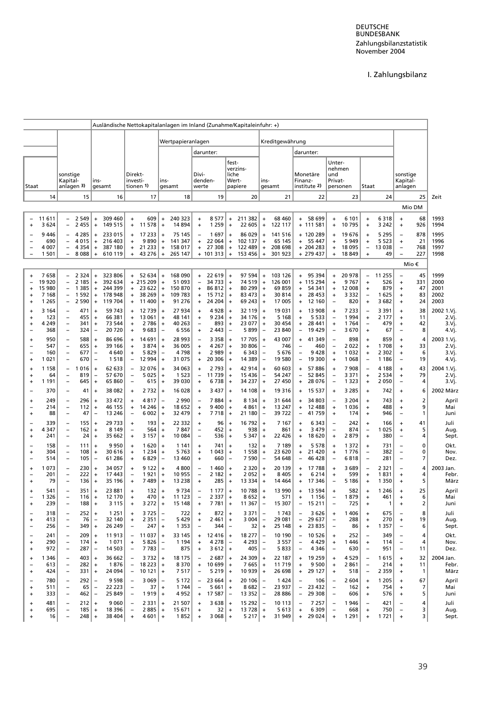# I. Zahlungsbilanz

|                                                                                   |                                                 |                                                                                                                                |                                                   |                                                                                  | Ausländische Nettokapitalanlagen im Inland (Zunahme/Kapitaleinfuhr: +) |                                                                   |                                                      |                                                                                      |                                                   |                                                                                          |                                                |                                                                                      |                                                |                                                                                  |                                                 |                                                                           |                                                      |                                                                                              |                                               |                                                                                   |                                      |                                                                                                     |                                 |                                       |
|-----------------------------------------------------------------------------------|-------------------------------------------------|--------------------------------------------------------------------------------------------------------------------------------|---------------------------------------------------|----------------------------------------------------------------------------------|------------------------------------------------------------------------|-------------------------------------------------------------------|------------------------------------------------------|--------------------------------------------------------------------------------------|---------------------------------------------------|------------------------------------------------------------------------------------------|------------------------------------------------|--------------------------------------------------------------------------------------|------------------------------------------------|----------------------------------------------------------------------------------|-------------------------------------------------|---------------------------------------------------------------------------|------------------------------------------------------|----------------------------------------------------------------------------------------------|-----------------------------------------------|-----------------------------------------------------------------------------------|--------------------------------------|-----------------------------------------------------------------------------------------------------|---------------------------------|---------------------------------------|
|                                                                                   |                                                 |                                                                                                                                |                                                   |                                                                                  |                                                                        |                                                                   |                                                      |                                                                                      | Wertpapieranlagen                                 |                                                                                          |                                                |                                                                                      |                                                |                                                                                  | Kreditgewährung                                 |                                                                           |                                                      |                                                                                              |                                               |                                                                                   |                                      |                                                                                                     |                                 |                                       |
|                                                                                   |                                                 |                                                                                                                                |                                                   |                                                                                  |                                                                        |                                                                   |                                                      |                                                                                      |                                                   |                                                                                          | darunter:                                      |                                                                                      |                                                |                                                                                  |                                                 |                                                                           | darunter:                                            |                                                                                              |                                               |                                                                                   |                                      |                                                                                                     |                                 |                                       |
| Staat                                                                             |                                                 | sonstige<br>Kapital-                                                                                                           | anlagen 3)                                        | ins-                                                                             | gesamt                                                                 | Direkt-<br>investi-                                               | tionen 1)                                            | ins-                                                                                 | gesamt                                            | Divi-<br>werte                                                                           | denden-                                        | fest-<br>liche                                                                       | verzins-<br>Wert-<br>papiere                   |                                                                                  | ins-<br>gesamt                                  |                                                                           | Monetäre<br>Finanz-<br>institute 2)                  | Unter-<br>nehmen<br>und<br>Privat-                                                           | personen                                      | Staat                                                                             |                                      | sonstiae<br>Kapital-<br>anlagen                                                                     |                                 |                                       |
|                                                                                   | 14                                              |                                                                                                                                | 15                                                |                                                                                  | 16                                                                     |                                                                   | 17                                                   |                                                                                      | 18                                                |                                                                                          | 19                                             |                                                                                      | 20                                             |                                                                                  | 21                                              |                                                                           | 22                                                   |                                                                                              | 23                                            |                                                                                   | 24                                   |                                                                                                     | 25                              | Zeit                                  |
|                                                                                   |                                                 |                                                                                                                                |                                                   |                                                                                  |                                                                        |                                                                   |                                                      |                                                                                      |                                                   |                                                                                          |                                                |                                                                                      |                                                |                                                                                  |                                                 |                                                                           |                                                      |                                                                                              |                                               |                                                                                   |                                      |                                                                                                     | Mio DM                          |                                       |
| $\ddot{}$                                                                         | 11 611<br>3 6 2 4                               | $\overline{\phantom{0}}$                                                                                                       | 2 5 4 9<br>2 4 5 5                                | $\ddot{}$<br>$\ddot{}$                                                           | 309 460<br>149 515                                                     | $\ddot{}$<br>$\ddot{}$                                            | 609<br>11 578                                        | $\ddot{}$<br>$\ddot{}$                                                               | 240 323<br>14 8 94                                | $\ddot{}$<br>$\ddot{}$                                                                   | 8577<br>1 2 5 9                                | $\ddot{}$<br>$\ddot{}$                                                               | 211 382<br>22 605                              | $\ddot{}$<br>$\ddot{}$                                                           | 68 4 60<br>122 117                              | $\ddot{}$                                                                 | 58 699<br>+ 111 581                                  | $\ddot{}$<br>$\ddot{}$                                                                       | 6 101<br>10 795                               | $\ddot{}$<br>$\ddot{}$                                                            | 6318<br>3 2 4 2                      | $\ddot{}$<br>$\ddot{}$                                                                              | 68<br>926                       | 1993<br>1994                          |
|                                                                                   | 9446<br>690                                     | $\overline{\phantom{0}}$<br>$\overline{\phantom{0}}$                                                                           | 4 2 8 5<br>4015                                   | $\ddot{}$<br>$+$                                                                 | 233 015<br>216 403                                                     | +<br>$\ddot{}$                                                    | 17 233<br>9890                                       | $\ddot{}$<br>$\ddot{}$                                                               | 75 145<br>141 347                                 | $\overline{\phantom{a}}$<br>$\ddot{}$                                                    | 1697<br>22 064                                 | $\ddot{}$<br>$+$                                                                     | 86 029<br>102 137                              | $\ddot{}$<br>$\ddot{}$                                                           | 141 516<br>65 145                               |                                                                           | + 120 289<br>$+ 55447$                               | $\ddot{}$<br>$\ddot{}$                                                                       | 19 676<br>5 9 4 9                             | $\ddot{}$<br>$\ddot{}$                                                            | 5 2 9 5<br>5 5 2 3                   | $\overline{\phantom{a}}$<br>$\ddot{}$                                                               | 878<br>21                       | 1995<br>1996                          |
| $\qquad \qquad -$                                                                 | 4 0 0 7<br>1 5 0 1                              | $\overline{\phantom{0}}$<br>$\overline{\phantom{0}}$                                                                           | 4 3 5 4<br>8 0 8 8                                | $\ddot{}$<br>$\bf{+}$                                                            | 387 180<br>610 119                                                     | $\begin{array}{c} + \end{array}$<br>$\ddot{}$                     | 21 233<br>43 276                                     | $\begin{array}{c} + \end{array}$<br>$\ddot{}$                                        | 158 017<br>265 147                                | $\ddot{}$                                                                                | 27 308<br>$+ 101313$                           | $\bf{+}$<br>$\bf{+}$                                                                 | 122 489<br>153 456                             | $\ddot{}$<br>$\ddot{}$                                                           | 208 698<br>301 923                              |                                                                           | + 204 283<br>+ 279 437                               | $\ddot{}$<br>$\ddot{}$                                                                       | 18 095<br>18 849                              | $\qquad \qquad -$<br>$\ddot{}$                                                    | 13 038<br>49                         | $\overline{\phantom{a}}$<br>$\overline{\phantom{0}}$                                                | 768<br>227                      | 1997<br>1998                          |
|                                                                                   |                                                 |                                                                                                                                |                                                   |                                                                                  |                                                                        |                                                                   |                                                      |                                                                                      |                                                   |                                                                                          |                                                |                                                                                      |                                                |                                                                                  |                                                 |                                                                           |                                                      |                                                                                              |                                               |                                                                                   |                                      |                                                                                                     | Mio €                           |                                       |
| $\ddot{}$<br>L.<br>$\ddot{}$<br>$\ddot{}$<br>$\ddot{}$                            | 7658<br>19 9 20<br>15 980<br>7 1 6 8<br>1 2 6 5 | $\overline{\phantom{0}}$<br>$\overline{a}$<br>$\overline{\phantom{0}}$<br>$\overline{\phantom{0}}$<br>$\overline{\phantom{0}}$ | 2 3 2 4<br>2 185<br>1 3 8 5<br>1 5 9 2<br>2 5 9 0 | $+$<br>$+$<br>$+$<br>$\ddot{}$<br>$+$                                            | 323 806<br>392 634<br>244 399<br>178 948<br>119 704                    | $\ddot{}$<br>$\ddot{}$<br>$\ddot{}$                               | $+ 52634$<br>+ 215 209<br>23 622<br>38 269<br>11 400 | $\ddot{}$<br>$\ddot{}$<br>$\begin{array}{c} + \end{array}$<br>$\ddot{}$<br>$\ddot{}$ | 168 090<br>51 093<br>150 870<br>109 783<br>91 276 | $+$<br>$\overline{\phantom{a}}$<br>$\ddot{}$<br>$\ddot{}$<br>$\ddot{}$                   | 22 619<br>34 7 33<br>86 812<br>15712<br>24 204 | $\ddot{}$<br>$\ddot{}$<br>$\bf{+}$<br>$\ddot{}$<br>$\ddot{}$                         | 97 594<br>74 519<br>80 299<br>83 473<br>69 243 | $\ddot{}$<br>$\ddot{}$<br>$\ddot{}$<br>$\ddot{}$<br>$\ddot{}$                    | 103 126<br>126 001<br>69859<br>30 814<br>17 005 | +<br>$\ddot{}$<br>$\ddot{}$                                               | + 95 394<br>+ 115 294<br>54 341<br>28 4 53<br>12 160 | $\ddot{}$<br>$\ddot{}$<br>$\ddot{}$<br>$\begin{array}{c} + \end{array}$<br>$\qquad \qquad -$ | 20 978<br>9 7 6 7<br>12 008<br>3 3 3 2<br>820 | $\overline{\phantom{0}}$<br>$\ddot{}$<br>$\ddot{}$<br>$\qquad \qquad -$<br>$+$    | 11 255<br>526<br>879<br>1625<br>3682 | $\overline{\phantom{0}}$<br>$\ddot{}$<br>$\ddot{}$<br>$\ddot{}$<br>$\begin{array}{c} + \end{array}$ | 45<br>331<br>47<br>83<br>24     | 1999<br>2000<br>2001<br>2002<br>2003  |
| ÷<br>$\ddot{}$<br>$\ddot{}$                                                       | 3 1 6 4<br>123<br>4 2 4 9<br>368                | $\overline{\phantom{0}}$<br>$\qquad \qquad -$<br>$\overline{\phantom{0}}$<br>$\overline{\phantom{0}}$                          | 471<br>455<br>341<br>324                          | $\ddot{}$<br>$\ddot{}$<br>$\ddot{}$<br>$\overline{\phantom{a}}$                  | 59 743<br>66 381<br>73 544<br>20720                                    | $\ddot{}$<br>$\ddot{}$<br>$\ddot{}$<br>$\ddot{}$                  | 12 739<br>13 061<br>2 7 8 6<br>9683                  | $\ddot{}$<br>$\ddot{}$<br>$\ddot{}$<br>$\overline{\phantom{a}}$                      | 27 934<br>48 141<br>40 263<br>6 5 5 6             | $\ddot{}$<br>$\ddot{}$<br>$\overline{\phantom{0}}$<br>$\ddot{}$                          | 4928<br>9 2 3 4<br>893<br>2 4 4 3              | $\ddot{}$<br>$\ddot{}$<br>$\ddot{}$<br>$\overline{\phantom{a}}$                      | 32 119<br>34 176<br>23 077<br>5899             | $\ddot{}$<br>$\ddot{}$<br>$\ddot{}$<br>$\overline{\phantom{a}}$                  | 19 031<br>5 1 6 8<br>30 454<br>23 840           | +<br>$\ddot{}$<br>$\ddot{}$<br>$\overline{\phantom{0}}$                   | 13 908<br>5 5 3 3<br>28 441<br>19 429                | $\ddot{}$<br>$\overline{\phantom{0}}$<br>$\ddot{}$<br>$\overline{\phantom{a}}$               | 7 2 3 3<br>1 9 9 4<br>1764<br>3 6 7 0         | $\overline{\phantom{0}}$<br>$\ddot{}$<br>$\overline{\phantom{0}}$<br>$\ddot{}$    | 3 3 9 1<br>2 1 7 7<br>479<br>67      | $\ddot{}$<br>$\ddot{}$<br>$\ddot{}$<br>$\overline{\phantom{0}}$                                     | 38<br>11<br>42<br>8             | 2002 1.Vj.<br>2.Vj.<br>3.Vj.<br>4.Vj. |
| ÷<br>۰<br>۰<br>$\ddot{}$                                                          | 950<br>547<br>160<br>1021                       | $\overline{\phantom{0}}$<br>$\overline{\phantom{0}}$<br>L,<br>$\overline{a}$                                                   | 588<br>655<br>677<br>670                          | $\ddot{}$<br>$\ddot{}$<br>$\overline{\phantom{0}}$<br>$\overline{\phantom{a}}$   | 86 696<br>39 166<br>4640<br>1518                                       | $+$<br>$\ddot{}$<br>$\ddot{}$<br>$\qquad \qquad -$                | 14 691<br>3 8 7 4<br>5 8 2 9<br>12 994               | $\ddot{}$<br>$\ddot{}$<br>$\overline{\phantom{0}}$<br>$\ddot{}$                      | 28 993<br>36 005<br>4798<br>31 075                | $\overline{\phantom{0}}$<br>$\ddot{}$<br>$\ddot{}$<br>$\ddot{}$                          | 3 3 5 8<br>4 2 6 7<br>2 9 8 9<br>20 306        | $\bf{+}$<br>$\ddot{}$<br>$\ddot{}$<br>$\ddot{}$                                      | 17 705<br>30 806<br>6 3 4 3<br>14 3 89         | $\ddot{}$<br>$\equiv$<br>$\overline{a}$<br>$\overline{\phantom{0}}$              | 43 007<br>746<br>5 6 7 6<br>19 580              | ÷.<br>$\overline{\phantom{0}}$<br>$\overline{\phantom{0}}$                | 41 349<br>460<br>9428<br>19 300                      | $\overline{\phantom{0}}$<br>$\overline{\phantom{a}}$<br>$\ddot{}$<br>$\ddot{}$               | 898<br>2 0 2 2<br>1 0 3 2<br>1 0 6 8          | $\ddot{}$<br>$\ddot{}$<br>$\ddot{}$<br>$\qquad \qquad -$                          | 859<br>1708<br>2 3 0 2<br>1 1 8 6    | $\begin{array}{c} + \end{array}$<br>$\ddot{}$<br>$\ddot{}$<br>$\overline{\phantom{0}}$              | $\overline{4}$<br>33<br>6<br>19 | 2003 1.Vj.<br>2.Vj.<br>3.Vj.<br>4.Vj. |
| ÷<br>$\ddot{}$<br>$\ddot{}$                                                       | 1 1 5 8<br>64<br>1 1 9 1                        | $\overline{\phantom{0}}$<br>$\overline{\phantom{0}}$<br>L,                                                                     | 1016<br>819<br>645                                | $\ddot{}$<br>$\overline{\phantom{0}}$<br>$\ddot{}$                               | 62 633<br>57 670<br>65 860                                             | -<br>$\overline{\phantom{a}}$<br>$\overline{\phantom{0}}$         | 32 076<br>5 0 2 5<br>615                             | $+$<br>$\ddot{}$<br>$\ddot{}$                                                        | 34 063<br>1 5 2 3<br>39 030                       | $\ddot{}$<br>$\overline{\phantom{a}}$<br>$\ddot{}$                                       | 2793<br>11739<br>6738                          | $\ddot{}$<br>$\ddot{}$<br>$\ddot{}$                                                  | 42 914<br>15 4 36<br>34 237                    | $\ddot{}$<br>$\qquad \qquad -$<br>$\ddot{}$                                      | 60 603<br>54 247<br>27 450                      | $\ddot{}$<br>L.<br>$\ddot{}$                                              | 57886<br>52 845<br>28 0 76                           | $\ddot{}$<br>$\qquad \qquad -$<br>$\overline{\phantom{0}}$                                   | 7 9 0 8<br>3 3 7 1<br>1 3 2 3                 | $\overline{\phantom{0}}$<br>$\begin{array}{c} + \end{array}$<br>$\ddot{}$         | 4 188<br>2 5 3 4<br>2050             | $\ddot{}$<br>$\ddot{}$<br>$\overline{\phantom{a}}$                                                  | 43<br>79<br>4                   | 2004 1.Vj.<br>2.Vj.<br>3.Vj.          |
|                                                                                   | 370                                             | $\overline{\phantom{0}}$                                                                                                       | 41                                                | $\overline{+}$                                                                   | 38 082                                                                 | $\ddot{}$                                                         | 2732                                                 | $\ddot{}$                                                                            | 16 028                                            | $\ddot{}$                                                                                | 3 4 3 7                                        | $\ddot{}$                                                                            | 14 108                                         | $\ddot{}$                                                                        | 19 316                                          | ÷                                                                         | 15 5 37                                              | $\ddot{}$                                                                                    | 3 2 8 5                                       | $\ddot{}$                                                                         | 742                                  | $\ddot{}$                                                                                           | 6                               | 2002 März                             |
| ÷<br>$\overline{\phantom{0}}$<br>$\ddot{}$                                        | 249<br>214<br>88                                | L,<br>$\overline{\phantom{0}}$<br>$\overline{a}$                                                                               | 296<br>112<br>47                                  | $\ddot{}$<br>$\ddot{}$                                                           | 33 472<br>46 155<br>13 246                                             | $\ddot{}$<br>$\ddot{}$<br>$\overline{a}$                          | 4817<br>14 246<br>6 0 0 2                            | $\overline{\phantom{a}}$<br>$\ddot{}$<br>$\ddot{}$                                   | 2 9 9 0<br>18 652<br>32 479                       | $\overline{\phantom{a}}$<br>$\ddot{}$<br>$\ddot{}$                                       | 7884<br>9400<br>7718                           | $\ddot{}$<br>$\ddot{}$<br>$\ddot{}$                                                  | 8 1 3 4<br>4861<br>21 180                      | $\ddot{}$<br>$\ddot{}$<br>$\overline{\phantom{a}}$                               | 31 644<br>13 247<br>39 722                      | $\ddot{}$<br>$+$                                                          | 34 803<br>12 488<br>41759                            | $\qquad \qquad -$<br>$\ddot{}$<br>$\ddot{}$                                                  | 3 2 0 4<br>1 0 3 6<br>174                     | $\ddot{}$<br>$\ddot{}$<br>$\ddot{}$                                               | 743<br>488<br>946                    | $\ddot{}$<br>$\ddot{}$<br>$\overline{\phantom{0}}$                                                  | $\overline{2}$<br>9<br>1        | April<br>Mai<br>Juni                  |
| $\overline{\phantom{0}}$<br>$\ddot{}$<br>$\ddot{}$                                | 339<br>4 3 4 7<br>241                           | $\overline{\phantom{0}}$<br>$\overline{\phantom{0}}$<br>$\overline{a}$                                                         | 155<br>162<br>24                                  | $\ddot{}$<br>$\ddot{}$<br>$+$                                                    | 29 733<br>8 1 4 9<br>35 662                                            | $\ddot{}$<br>$\qquad \qquad -$<br>$\ddot{}$                       | 193<br>564<br>3 1 5 7                                | $\ddot{}$<br>$\ddot{}$<br>$+$                                                        | 22 332<br>7847<br>10 084                          | $\ddot{}$<br>$\overline{\phantom{0}}$<br>$\overline{\phantom{a}}$                        | 96<br>452<br>536                               | $\ddot{}$<br>$\ddot{}$<br>$\overline{+}$                                             | 16 792<br>938<br>5 3 4 7                       | $\ddot{}$<br>$\ddot{}$<br>$\ddot{}$                                              | 7 1 6 7<br>861<br>22 4 26                       | $\ddot{}$<br>$\ddot{}$<br>$\ddot{}$                                       | 6 3 4 3<br>3 4 7 9<br>18 620                         | $\qquad \qquad -$<br>$\overline{\phantom{0}}$<br>$\ddot{}$                                   | 242<br>874<br>2879                            | $\ddot{}$<br>$\qquad \qquad -$<br>$\ddot{}$                                       | 166<br>025<br>380                    | $\begin{array}{c} + \end{array}$<br>$\begin{array}{c} + \end{array}$<br>$\overline{\phantom{0}}$    | 41<br>5<br>4                    | Juli<br>Aug.<br>Sept.                 |
| $\ddot{}$                                                                         | 158<br>304<br>514                               | -<br>$\overline{a}$<br>$\overline{a}$                                                                                          | 111<br>108<br>105                                 | $\ddot{}$<br>$\ddot{}$<br>$\overline{\phantom{0}}$                               | 9950<br>30 616<br>61 286                                               | $\ddot{}$<br>$\ddot{}$<br>$\ddot{}$                               | 1620<br>1 2 3 4<br>6829                              | $\ddot{}$<br>$\ddot{}$<br>$\overline{\phantom{a}}$                                   | 1 1 4 1<br>5763<br>13 460                         | $\ddot{}$<br>$\ddot{}$<br>$\ddot{}$                                                      | 741<br>1 0 4 3<br>660                          | $\ddot{}$<br>$\ddot{}$<br>$\overline{\phantom{0}}$                                   | 132<br>1 5 5 8<br>7 5 9 0                      | $\ddot{}$<br>$\ddot{}$<br>$\overline{\phantom{0}}$                               | 7 189<br>23 620<br>54 648                       | ÷<br>$\ddot{}$                                                            | 5 5 7 8<br>21 4 20<br>46 428                         | $\ddot{}$<br>$\ddot{}$<br>$\overline{\phantom{0}}$                                           | 1 3 7 2<br>1776<br>6818                       | $\ddot{}$<br>$\qquad \qquad -$                                                    | 731<br>382<br>281                    | -<br>$\overline{\phantom{a}}$                                                                       | 0<br>0<br>7                     | Okt.<br>Nov.<br>Dez.                  |
| $\ddot{}$<br>$\ddot{}$                                                            | 1073<br>201<br>79                               | -<br>-<br>L,                                                                                                                   | 230<br>222<br>136                                 | $\ddot{}$<br>$\ddot{}$<br>$\overline{+}$                                         | 34 057<br>17 443<br>35 196                                             | $\ddot{}$<br>-<br>$\ddot{}$                                       | 9 1 2 2<br>1921<br>7489                              | $\ddot{}$<br>$\ddot{}$<br>$+$                                                        | 4800<br>10 955<br>13 2 38                         | $\overline{\phantom{a}}$<br>$\overline{\phantom{a}}$<br>$\ddot{}$                        | 1460<br>2 1 8 2<br>285                         | $\ddot{}$<br>$\ddot{}$<br>$\ddot{}$                                                  | 2 3 2 0<br>2 0 5 2<br>13 3 34                  | $\ddot{}$<br>$\ddot{}$<br>$\ddot{}$                                              | 20 139<br>8 4 0 5<br>14 4 64                    | $\ddot{}$<br>$\ddot{}$<br>$\ddot{}$                                       | 17788<br>6 2 1 4<br>17 346                           | $\ddot{}$<br>$\ddot{}$<br>$\qquad \qquad -$                                                  | 3 6 8 9<br>599<br>5 186                       | $\qquad \qquad -$<br>$\ddot{}$<br>$\ddot{}$                                       | 2 3 2 1<br>1831<br>1 3 5 0           | -<br>$\ddot{}$<br>$\begin{array}{c} + \end{array}$                                                  | 4<br>4<br>5                     | 2003 Jan.<br>Febr.<br>März            |
| ÷<br>$\ddot{}$                                                                    | 541<br>1 3 2 6<br>239                           | $\overline{\phantom{0}}$<br>-<br>$\overline{a}$                                                                                | 351<br>$116$ +<br>188                             | $\overline{+}$<br>$+$                                                            | 23 881<br>12 170<br>3 1 1 5                                            | $\ddot{}$<br>$\ddot{}$<br>$\ddot{}$                               | 132<br>470<br>3272                                   | $\overline{+}$<br>$+$<br>$+$                                                         | 9734<br>11 123<br>15 148                          | $\overline{\phantom{0}}$<br><sup>-</sup><br>$\ddot{}$                                    | 1 1 7 7<br>2337<br>7 781                       | $\ddot{}$<br>$\overline{+}$<br>$\ddot{\phantom{1}}$                                  | 10 788<br>8652<br>11 367                       | $\ddot{}$<br>$\ddot{}$<br>$\overline{\phantom{0}}$                               | 13 990<br>571<br>15 307                         | +<br>$\ddot{}$                                                            | 13 594<br>1 1 5 6<br>15 211                          | $\ddot{}$<br>$\overline{\phantom{0}}$                                                        | 582<br>1879<br>725                            | $\ddot{}$<br>$\ddot{}$<br>$\ddot{}$                                               | 1 2 4 6<br>461<br>1                  | $\ddot{}$<br>$\ddot{}$<br>$\ddot{}$                                                                 | 25<br>6<br>2                    | April<br>Mai<br>Juni                  |
| $\overline{\phantom{0}}$<br>$\ddot{}$<br>$\qquad \qquad -$                        | 318<br>413<br>256                               | -<br>$\overline{\phantom{0}}$<br>$\overline{a}$                                                                                | 252<br>76<br>349                                  | $+$<br>$\overline{\phantom{0}}$<br>$+$                                           | 1 2 5 1<br>32 140<br>26 249                                            | $\pmb{+}$<br>$\ddot{}$<br>$\overline{a}$                          | 3725<br>2 3 5 1<br>247                               | $\overline{\phantom{0}}$<br>$\overline{\phantom{0}}$<br>$+$                          | 722<br>5429<br>1 3 5 3                            | $\ddot{}$<br>$\ddot{}$<br>$\overline{\phantom{0}}$                                       | 872<br>2461<br>344                             | $\ddot{\phantom{1}}$<br>$\begin{array}{c} + \end{array}$<br>$\overline{\phantom{0}}$ | 3 3 7 1<br>3004<br>32                          | $\overline{\phantom{0}}$<br>$\ddot{\phantom{1}}$                                 | 1743<br>29 081<br>25 148                        | $\ddot{}$                                                                 | 3 6 2 6<br>29 637<br>23 835                          | $\ddot{}$<br>$\qquad \qquad -$<br>$\overline{\phantom{0}}$                                   | 1 4 0 6<br>288<br>86                          | $\ddot{}$<br>$\ddot{}$<br>$\begin{array}{c} + \end{array}$                        | 675<br>270<br>1 357                  | $\qquad \qquad -$<br>$\begin{array}{c} + \end{array}$<br>$\qquad \qquad -$                          | 8<br>19<br>6                    | Juli<br>Aug.<br>Sept.                 |
| $\overline{\phantom{0}}$<br>$\ddot{}$<br>$\ddot{}$                                | 241<br>290<br>972                               | -<br>-<br>$\overline{\phantom{0}}$                                                                                             | $209$ +<br>174<br>287                             | $+$<br>$\overline{\phantom{0}}$                                                  | 11913<br>1071<br>14 503                                                | $\qquad \qquad -$<br>$\ddot{}$<br>$\qquad \qquad -$               | 11 037<br>5826<br>7783                               | $+$<br>$\overline{\phantom{0}}$<br>$\overline{\phantom{a}}$                          | 33 145<br>1 1 9 4<br>875                          | $\ddot{}$<br>$\ddot{}$<br>$\ddot{}$                                                      | 12416<br>4 2 7 8<br>$3612$ +                   | $\pm$<br>$\overline{\phantom{0}}$                                                    | 18 277<br>4 2 9 3<br>405                       | $\overline{\phantom{a}}$<br>$\overline{\phantom{0}}$<br>$\overline{\phantom{0}}$ | 10 190<br>3 5 5 7<br>5833                       | $\overline{\phantom{a}}$<br>$\overline{\phantom{0}}$<br>$\qquad \qquad -$ | 10 5 26<br>4 4 2 9<br>4 3 4 6                        | $\begin{array}{c} + \end{array}$<br>$\begin{array}{c} + \end{array}$<br>$\qquad \qquad -$    | 252<br>1446<br>630                            | $\qquad \qquad -$<br>$\begin{array}{c} + \end{array}$<br>$\qquad \qquad -$        | 349<br>114<br>951                    | -<br>$\overline{\phantom{0}}$<br>$\overline{\phantom{0}}$                                           | 4<br>4<br>11                    | Okt.<br>Nov.<br>Dez.                  |
| $\ddot{}$<br>$\overline{\phantom{0}}$<br>$\ddot{}$                                | 1 3 4 6<br>613<br>424                           | -<br>-<br>-                                                                                                                    | 403<br>282<br>331   +                             | $\ddot{}$<br>$\ddot{}$                                                           | 36 662<br>1876<br>24 094                                               | -<br>$\overline{\phantom{0}}$<br>$\qquad \qquad -$                | 3732<br>18 2 23<br>10121                             | $+$<br>$\overline{+}$<br>$+$                                                         | 18 175<br>8 3 7 0<br>7517                         | $\overline{\phantom{a}}$<br>$\begin{array}{c} + \end{array}$<br>$\overline{\phantom{a}}$ | 2687<br>10 699<br>5219                         | $\ddot{}$<br>$\pmb{+}$<br>$+$                                                        | 24 309<br>7665<br>10 939                       | $\ddot{}$<br>$\ddot{}$<br>$+$                                                    | 22 187<br>11 7 19<br>26 698                     | $\ddot{}$<br>$\ddot{}$<br>$\pmb{+}$                                       | 19 259<br>9 500<br>29 127                            | $\begin{array}{c} + \end{array}$<br>$\begin{array}{c} + \end{array}$<br>$\pm$                | 4 5 2 9<br>2861<br>518                        | -<br>$\overline{\phantom{a}}$<br>$\overline{\phantom{a}}$                         | 1615<br>214<br>2 3 5 9               | $\ddot{}$<br>$\ddot{}$<br>$\ddot{}$                                                                 | 32<br>11<br>$\mathbf{1}$        | 2004 Jan.<br>Febr.<br>März            |
| $\ddot{}$<br>$\ddot{}$                                                            | 780<br>511<br>333                               | -<br>-<br>$\overline{\phantom{0}}$                                                                                             | 292<br>65<br>462                                  | $\overline{\phantom{0}}$<br>$\overline{\phantom{a}}$<br>$\overline{\phantom{a}}$ | 9 5 9 8<br>22 223<br>25 849                                            | $\overline{\phantom{0}}$<br>-<br>$\overline{\phantom{0}}$         | 3 0 6 9<br>37<br>1919                                | $\qquad \qquad -$<br>$\ddot{}$<br>$+$                                                | 5 1 7 2<br>1744<br>4952                           | $\overline{\phantom{0}}$<br>$\qquad \qquad -$<br>$\begin{array}{c} + \end{array}$        | 23 664<br>5 661<br>17 587                      | $\pm$<br>$\ddot{}$<br>$\overline{a}$                                                 | 20 106<br>8682<br>13 352                       | $\overline{\phantom{a}}$<br>$\overline{a}$<br>$\overline{\phantom{0}}$           | 1424<br>23 937<br>28 8 86                       | $\qquad \qquad -$<br>$\overline{\phantom{a}}$<br>$\overline{\phantom{0}}$ | 106<br>23 4 32<br>29 308                             | $\overline{\phantom{a}}$<br>$\qquad \qquad -$<br>$\overline{\phantom{0}}$                    | 2 604<br>162<br>606                           | $\begin{array}{c} + \end{array}$<br>$\begin{array}{c} + \end{array}$<br>$\ddot{}$ | 1 2 0 5<br>754<br>576                | $\ddot{}$<br>$\ddot{}$<br>$\ddot{}$                                                                 | 67<br>7<br>5                    | April<br>Mai<br>Juni                  |
| $\begin{array}{c} + \end{array}$<br>$\begin{array}{c} + \end{array}$<br>$\ddot{}$ | 481<br>695<br>16                                | -<br>-<br>L,                                                                                                                   | $212$ +<br>185<br>$248$ +                         | $+$                                                                              | 9 0 6 0<br>18 3 96<br>38 404                                           | $\overline{\phantom{0}}$<br>$\overline{\phantom{0}}$<br>$\ddot{}$ | 2331<br>2 8 8 5<br>$4601$ +                          | $+$<br>$+$                                                                           | 21 507<br>15 671<br>1852                          | $\ddot{}$<br>$\ddot{}$<br>$\ddot{}$                                                      | 3638<br>32<br>$3068$ +                         | $\bf{+}$<br>$\pm$                                                                    | 15 292<br>13 728<br>$5217$ +                   | $\overline{\phantom{0}}$<br>$\ddot{}$                                            | 10 113<br>5 6 1 3<br>31 949                     | $\qquad \qquad -$<br>$\ddot{}$<br>$\pmb{+}$                               | 7 2 5 7<br>6 3 0 9<br>29 0 24                        | $\qquad \qquad -$<br>$\overline{a}$<br>$\ddot{}$                                             | 1946<br>668<br>1 2 9 1                        | $\qquad \qquad -$<br>$\bf{+}$<br>$\ddot{}$                                        | 421<br>750<br>1721                   | $\overline{\phantom{a}}$<br>$\ddot{}$                                                               | 4<br>3<br>3                     | Juli<br>Aug.<br>Sept.                 |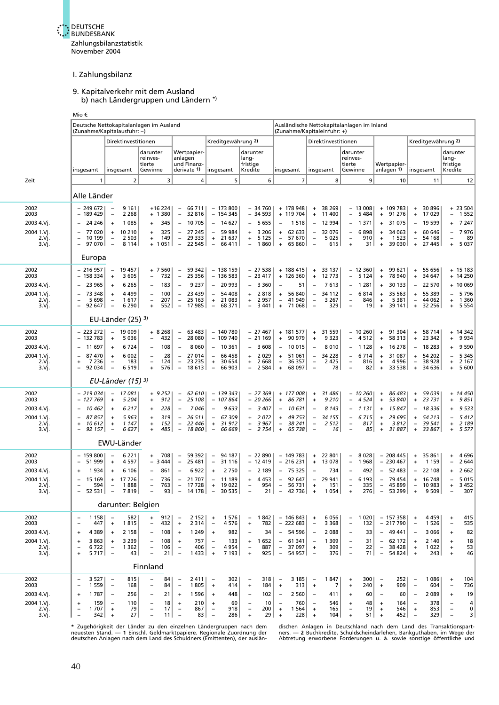### I. Zahlungsbilanz

## 9. Kapitalverkehr mit dem Ausland b) nach Ländergruppen und Ländern \*)

|                          | Mio €                                     |                                                                            |                                                          |                                                                            |                                                                                  |                                                             |                                                                                  |                                                                                          |                                                                         |                                                                            |                                                                                  |                                                                        |
|--------------------------|-------------------------------------------|----------------------------------------------------------------------------|----------------------------------------------------------|----------------------------------------------------------------------------|----------------------------------------------------------------------------------|-------------------------------------------------------------|----------------------------------------------------------------------------------|------------------------------------------------------------------------------------------|-------------------------------------------------------------------------|----------------------------------------------------------------------------|----------------------------------------------------------------------------------|------------------------------------------------------------------------|
|                          | (Zunahme/Kapitalausfuhr: –)               |                                                                            | Deutsche Nettokapitalanlagen im Ausland                  |                                                                            |                                                                                  |                                                             |                                                                                  | Ausländische Nettokapitalanlagen im Inland<br>(Zunahme/Kapitaleinfuhr: +)                |                                                                         |                                                                            |                                                                                  |                                                                        |
|                          |                                           | Direktinvestitionen                                                        |                                                          |                                                                            | Kreditgewährung 2)                                                               |                                                             |                                                                                  | Direktinvestitionen                                                                      |                                                                         |                                                                            | Kreditgewährung 2)                                                               |                                                                        |
|                          |                                           |                                                                            | darunter<br>reinves-<br>tierte                           | Wertpapier-<br>anlagen<br>und Finanz-                                      |                                                                                  | darunter<br>lang-<br>fristige                               |                                                                                  |                                                                                          | darunter<br>reinves-<br>tierte                                          | Wertpapier-                                                                |                                                                                  | darunter<br>lang-<br>fristige                                          |
|                          | insgesamt                                 | insgesamt                                                                  | Gewinne                                                  | derivate 1)                                                                | insgesamt                                                                        | Kredite                                                     | insgesamt                                                                        | insgesamt                                                                                | Gewinne                                                                 | anlagen 1)                                                                 | insgesamt                                                                        | Kredite                                                                |
| Zeit                     | 1                                         | 2                                                                          | 3                                                        | 4                                                                          | 5                                                                                | 6                                                           | 7                                                                                | 8                                                                                        | 9                                                                       | 10                                                                         | 11                                                                               | 12                                                                     |
|                          | Alle Länder                               |                                                                            |                                                          |                                                                            |                                                                                  |                                                             |                                                                                  |                                                                                          |                                                                         |                                                                            |                                                                                  |                                                                        |
| 2002<br>2003             | $-249672$<br>$-189429$                    | 9 1 6 1<br>$\overline{\phantom{a}}$<br>2 2 6 8<br>$\overline{\phantom{a}}$ | +16 224<br>$+ 1380$                                      | 66 711<br>$\overline{\phantom{a}}$<br>32 816<br>$\overline{\phantom{a}}$   | $-173800$<br>$-154345$                                                           | $-34760$<br>$-34593$                                        | + 178 948<br>+ 119 704                                                           | 38 269<br>$\ddot{}$<br>11 400<br>$\ddot{}$                                               | $-13008$<br>5484<br>$\qquad \qquad -$                                   | + 109 783<br>91 276<br>$\ddot{}$                                           | 30 896<br>$\ddot{}$<br>17 029<br>$\ddot{}$                                       | $+23504$<br>1 5 5 2<br>$\overline{\phantom{0}}$                        |
| 2003 4.Vj.               | 24 24 6                                   | 1 0 8 5<br>$\ddot{}$                                                       | 345<br>$\ddot{}$                                         | 10 705<br>$\overline{\phantom{a}}$                                         | 14 627<br>$\overline{\phantom{a}}$                                               | 5 6 5 5                                                     | 1518<br>$\overline{\phantom{a}}$                                                 | 12 994<br>$\overline{\phantom{a}}$                                                       | 1 3 7 1<br>$\qquad \qquad -$                                            | 31 0 75<br>$\ddot{}$                                                       | 19 599<br>$\qquad \qquad -$                                                      | 7 2 4 7<br>$+$                                                         |
| 2004 1.Vj.               | 77 020<br>10 199                          | 10 210<br>$\ddot{}$<br>2 5 0 3<br>$\overline{\phantom{a}}$                 | 325<br>$\ddot{}$<br>149                                  | 27 245<br>$\overline{\phantom{a}}$<br>29 3 33<br>$\overline{\phantom{a}}$  | 59 984<br>$\overline{\phantom{a}}$<br>21 637                                     | 3 2 0 6<br>$\ddot{}$<br>5 1 2 5                             | 62 633<br>$\ddot{}$<br>$\overline{\phantom{a}}$<br>57 670                        | 32 076<br>$\overline{\phantom{a}}$<br>5 0 2 5<br>$\overline{\phantom{a}}$                | 6898<br>$\overline{\phantom{0}}$<br>910<br>$\overline{\phantom{0}}$     | 34 063<br>$\ddot{}$<br>1 5 2 3                                             | 60 646<br>$\ddot{}$<br>54 168<br>$\overline{\phantom{a}}$                        | 7976<br>$\overline{\phantom{0}}$<br>89                                 |
| 2.Vj.<br>3.Vj.           | 97 070<br>$\overline{\phantom{a}}$        | 8 1 1 4<br>$\overline{\phantom{a}}$                                        | $\ddot{}$<br>051<br>$+$<br>-1                            | 22 545<br>$\overline{\phantom{a}}$                                         | $\bf{+}$<br>66 411<br>$\overline{\phantom{a}}$                                   | $\ddot{}$<br>1860<br>$\qquad \qquad -$                      | $\ddot{}$<br>65 860                                                              | 615<br>$\overline{\phantom{0}}$                                                          | 31<br>$\ddot{}$                                                         | $\ddot{}$<br>39 030<br>$\ddot{}$                                           | 27 445<br>$\ddot{}$                                                              | 5 0 3 7<br>$\ddot{}$                                                   |
|                          | Europa                                    |                                                                            |                                                          |                                                                            |                                                                                  |                                                             |                                                                                  |                                                                                          |                                                                         |                                                                            |                                                                                  |                                                                        |
| 2002<br>2003             | $-216957$<br>$-158334$                    | 19 457<br>$\overline{\phantom{a}}$<br>$\ddot{}$<br>3 6 0 5                 | $+ 7560$<br>732                                          | 59 342<br>$\overline{\phantom{a}}$<br>$\overline{\phantom{a}}$<br>25 3 5 6 | $-138159$<br>$-13653$                                                            | $-27538$<br>$-23417$                                        | + 188 415<br>$+ 126360$                                                          | 33 137<br>$\ddot{}$<br>12 773<br>$\ddot{}$                                               | $-12360$<br>5 1 2 4<br>$\qquad \qquad -$                                | 99 621<br>$\ddot{}$<br>78 940<br>$\ddot{}$                                 | 55 656<br>$\ddot{}$<br>34 647<br>$\ddot{}$                                       | + 15 183<br>$+ 14250$                                                  |
| 2003 4.Vj.               | 23 965                                    | 6 2 6 5<br>$\overline{1}$                                                  | 183                                                      | 9 2 3 7                                                                    | 20 993<br>$-$                                                                    | 3 3 6 0                                                     | 51                                                                               | 7613                                                                                     | 1 2 8 1<br>$\overline{\phantom{0}}$                                     | 30 133<br>$\ddot{}$                                                        | 22 570<br>$\overline{\phantom{0}}$                                               | + 10 069                                                               |
| 2004 1.Vj.               | 73 348                                    | 4 4 9 9<br>$\ddot{}$                                                       | 100<br>$\overline{\phantom{0}}$                          | 23 4 39<br>$\overline{\phantom{0}}$                                        | 54 408<br>$\overline{\phantom{a}}$                                               | 2818<br>+                                                   | 56 840<br>$\ddot{}$                                                              | 34 112<br>$\overline{\phantom{a}}$                                                       | 6814<br>$\overline{\phantom{0}}$                                        | 35 563<br>$\ddot{}$                                                        | 55 389<br>$\begin{array}{c} + \end{array}$                                       | 5796<br>$\overline{\phantom{0}}$                                       |
| 2.Vj.<br>3.Vj.           | 5698<br>92647                             | 1617<br>$\overline{\phantom{a}}$<br>6 2 9 0<br>$\overline{\phantom{a}}$    | 207<br>$\overline{a}$<br>$\ddot{}$<br>552                | 25 163<br>$\overline{\phantom{a}}$<br>$\equiv$<br>17 985                   | 21 083<br>$\begin{array}{c} + \end{array}$<br>68 371<br>$\overline{\phantom{a}}$ | 2957<br>$\ddot{}$<br>3441<br>$\overline{\phantom{0}}$       | 41 949<br>$\overline{\phantom{a}}$<br>71 068<br>$\ddot{}$                        | 3 2 6 7<br>$\overline{\phantom{a}}$<br>329<br>$\overline{\phantom{0}}$                   | 846<br>$\overline{\phantom{0}}$<br>$\equiv$<br>19                       | 5 3 8 1<br>$\begin{array}{c} + \end{array}$<br>39 141<br>$\ddot{}$         | $\qquad \qquad -$<br>44 062<br>$\ddot{}$<br>32 256                               | 1 3 6 0<br>$\ddot{}$<br>5 5 5 4<br>$\ddot{}$                           |
|                          |                                           | EU-Länder $(25)$ <sup>3)</sup>                                             |                                                          |                                                                            |                                                                                  |                                                             |                                                                                  |                                                                                          |                                                                         |                                                                            |                                                                                  |                                                                        |
| 2002                     | $-223272$                                 | 19 009                                                                     | $+8268$                                                  | 63 483<br>$\overline{\phantom{a}}$                                         | $-140780$                                                                        | - 27 467                                                    | + 181 577                                                                        | 31 559<br>$\begin{array}{c} + \end{array}$                                               | $-10260$                                                                | 91 304<br>$\begin{array}{c} + \end{array}$                                 | 58 714<br>$\ddot{}$                                                              | + 14 342                                                               |
| 2003<br>2003 4.Vj.       | $-132783$<br>11 697                       | 5 0 3 6<br>$\ddot{}$<br>6724<br>$\overline{1}$                             | 432<br>108                                               | 28 080<br>$\overline{\phantom{a}}$<br>8 0 6 0<br>$\overline{\phantom{a}}$  | $-109740$<br>10 361<br>$\overline{\phantom{a}}$                                  | $-21169$<br>3 608                                           | 90 979<br>$\ddot{}$<br>10 015<br>$\overline{\phantom{a}}$                        | 9 3 2 3<br>$\ddot{}$<br>8010<br>$\overline{\phantom{0}}$                                 | 4512<br>$\overline{\phantom{0}}$<br>1 1 2 8<br>$\overline{\phantom{0}}$ | 58 313<br>$\ddot{}$<br>16 278<br>$\ddot{}$                                 | 23 342<br>$\begin{array}{c} + \end{array}$<br>18 283<br>$\overline{\phantom{0}}$ | 9934<br>$\ddot{}$<br>9 5 9 0<br>÷                                      |
| 2004 1.Vj.               | 87 470                                    | 6 0 0 2<br>$\ddot{}$                                                       | 28                                                       | 27 014<br>$\overline{\phantom{a}}$                                         | 66 458<br>$\overline{\phantom{a}}$                                               | 2029<br>$\ddot{}$                                           | 51 061<br>$\ddot{}$                                                              | 34 228<br>$\overline{\phantom{a}}$                                                       | 6714<br>$\qquad \qquad -$                                               | 31 087<br>$\ddot{}$                                                        | 54 202<br>$\ddot{}$                                                              | 5 3 4 5                                                                |
| 2.Vj.<br>3.Vj.           | 7 2 3 6<br>$\ddot{}$<br>92034             | 183<br>$\overline{\phantom{a}}$<br>6519<br>$\overline{\phantom{a}}$        | 124<br>$\overline{a}$<br>576<br>$\ddot{}$                | 23 235<br>$\overline{\phantom{a}}$<br>$\equiv$<br>18 613                   | 30 654<br>$\bf{+}$<br>66 903<br>$\overline{\phantom{a}}$                         | 2 6 6 8<br>$\pmb{+}$<br>2 5 8 4<br>$\overline{\phantom{0}}$ | 36 357<br>$\overline{\phantom{a}}$<br>$\ddot{}$<br>68 097                        | 2 4 2 5<br>$\overline{\phantom{a}}$<br>78<br>$\overline{\phantom{0}}$                    | 816<br>$\overline{\phantom{0}}$<br>82<br>$\overline{\phantom{0}}$       | 4996<br>$\ddot{}$<br>33 538<br>$\ddot{}$                                   | 38 928<br>$\overline{\phantom{a}}$<br>$\ddot{}$<br>34 636                        | 2 1 6 7<br>$\ddot{}$<br>5 600<br>$\ddot{}$                             |
|                          |                                           | EU-Länder (15) 3)                                                          |                                                          |                                                                            |                                                                                  |                                                             |                                                                                  |                                                                                          |                                                                         |                                                                            |                                                                                  |                                                                        |
| 2002                     | - 219 034                                 | 17 081                                                                     | $+9252$                                                  | 62 610<br>$\overline{\phantom{a}}$                                         | $-139343$                                                                        | - 27369                                                     | + 177 008                                                                        | 31 486<br>$\ddot{}$                                                                      | - 10 260                                                                | 86 483<br>$\ddot{}$                                                        | 59 039<br>$\ddot{}$                                                              | + 14 450                                                               |
| 2003                     | - 127 769                                 | 5 2 0 4<br>$\ddot{}$                                                       | 912<br>$\ddot{}$                                         | 25 108<br>$\overline{\phantom{a}}$                                         | $-107864$                                                                        | $-20266$                                                    | 86 781<br>$\ddot{}$                                                              | 9210<br>$\ddot{}$                                                                        | 4 524<br>$\qquad \qquad -$                                              | 53 840<br>$\ddot{}$                                                        | 23 731<br>$+$                                                                    | 9851<br>$\ddot{}$                                                      |
| 2003 4.Vj.               | 10462                                     | 6217<br>$\ddot{}$                                                          | 228<br>$\ddot{}$                                         | 7046<br>$\overline{\phantom{a}}$                                           | 9 633<br>$\qquad \qquad -$                                                       | 3 407                                                       | 10 631<br>$\overline{\phantom{a}}$                                               | 8 1 4 3<br>$\overline{\phantom{0}}$                                                      | 1 1 3 1<br>$\overline{\phantom{0}}$                                     | 15 847<br>$\ddot{}$                                                        | 18 336                                                                           | 9533<br>$\ddot{}$                                                      |
| 2004 1.Vi.<br>2.Vj.      | 87857<br>10 612<br>$\ddot{}$              | 5 9 63<br>$\overline{+}$<br>1 1 4 7<br>$\ddot{}$                           | 319<br>$\ddot{}$<br>152<br>$\ddot{}$                     | 26 511<br>$\overline{\phantom{a}}$<br>22 446<br>$\overline{\phantom{a}}$   | 67 309<br>$\qquad \qquad -$<br>31 912<br>$\begin{array}{c} + \end{array}$        | 2072<br>$\ddot{}$<br>3 9 6 7<br>$\ddot{}$                   | 49 753<br>$\begin{array}{c} + \end{array}$<br>38 241<br>$\overline{\phantom{a}}$ | 34 155<br>$\overline{\phantom{a}}$<br>2 5 1 2                                            | 6715<br>$\qquad \qquad -$<br>817<br>$\overline{\phantom{0}}$            | 29 695<br>$\ddot{}$<br>3812<br>$\ddot{}$                                   | 54 213<br>$\ddot{}$<br>39 541<br>$\overline{\phantom{0}}$                        | 5412<br><u>.</u><br>2 1 8 9<br>$\ddot{}$                               |
| 3.Vj.                    | 92157                                     | 6 6 2 7<br>$\overline{\phantom{0}}$                                        | 485<br>$\ddot{}$                                         | 18 860<br>$\overline{\phantom{0}}$                                         | 66 669<br>$\overline{\phantom{a}}$                                               | 2 7 5 4<br>$\overline{\phantom{0}}$                         | $\ddot{}$<br>65 738                                                              | 16<br>$\overline{\phantom{a}}$                                                           | 85<br>$\overline{a}$                                                    | 31887<br>$\ddot{}$                                                         | $\ddot{}$<br>33 867                                                              | 5 5 7 7<br>+                                                           |
|                          |                                           | EWU-Länder                                                                 |                                                          |                                                                            |                                                                                  |                                                             |                                                                                  |                                                                                          |                                                                         |                                                                            |                                                                                  |                                                                        |
| 2002<br>2003             | $-159800$<br>51 999                       | 6 2 2 1<br>4 5 9 7<br>$\ddot{}$                                            | 708<br>$\ddot{}$<br>3 4 4 4<br>$\overline{\phantom{0}}$  | 59 392<br>$\overline{\phantom{0}}$<br>25 481<br>$\overline{\phantom{a}}$   | 94 187<br>$\overline{\phantom{a}}$<br>$\overline{\phantom{a}}$<br>31 116         | $-22890$<br>- 12 419                                        | $-149783$<br>$-216231$                                                           | 22 801<br>$\begin{array}{c} + \end{array}$<br>13 078<br>$\begin{array}{c} + \end{array}$ | 8028<br>$\qquad \qquad -$<br>1968<br>$\qquad \qquad -$                  | 208 445<br>$\overline{\phantom{a}}$<br>230 467<br>$\overline{\phantom{a}}$ | 35 861<br>$\ddot{}$<br>$\ddot{}$<br>1 1 5 9                                      | 4696<br>$\ddot{}$<br>2 6 4 4<br>$\qquad \qquad -$                      |
| 2003 4.Vj.               | 1934                                      | 6 10 6<br>$\overline{1}$                                                   | 861                                                      | 6922                                                                       | 2 7 5 0<br>$\ddot{}$                                                             | 2 1 8 9                                                     | 75 325<br>$\overline{\phantom{a}}$                                               | 734<br>$\overline{\phantom{a}}$                                                          | 492                                                                     | 52 483<br>$\overline{\phantom{a}}$                                         | 22 108<br>$\overline{\phantom{a}}$                                               | 2 6 6 2<br>$\ddot{}$                                                   |
| 2004 1.Vi.               | 15 169                                    | 17726<br>$\ddot{}$                                                         | 736<br>$\overline{\phantom{0}}$                          | 21 707<br>$\overline{\phantom{a}}$                                         | 11 189<br>$\overline{\phantom{a}}$                                               | 4 4 5 3<br>$\ddot{}$                                        | 92 647<br>$\overline{\phantom{0}}$                                               | 29 941<br>$\overline{\phantom{0}}$                                                       | 6 1 9 3<br>$\overline{\phantom{0}}$                                     | 79 454<br>$\overline{\phantom{0}}$                                         | 16 748<br>$+$                                                                    | 5015                                                                   |
| 2.Vj.<br>3.Vj.           | 594<br>$52531$ -                          | 1888<br>7819 –                                                             | 763                                                      | 17 728<br>$\overline{\phantom{a}}$                                         | $\ddot{}$<br>19 022<br>$93$ - 14 178 - 30 535 -                                  | 954                                                         | 56 731<br>$\overline{\phantom{a}}$<br>$21$ – 42 736 +                            | 151<br>$\ddot{}$<br>$1054$ +                                                             | 335<br>$\overline{\phantom{0}}$                                         | 45 899<br>$\overline{\phantom{a}}$<br>$276$ - 53 299 +                     | 10 983<br>$\overline{\phantom{a}}$<br>9509                                       | 3452<br>$+$<br>307                                                     |
|                          |                                           | darunter: Belgien                                                          |                                                          |                                                                            |                                                                                  |                                                             |                                                                                  |                                                                                          |                                                                         |                                                                            |                                                                                  |                                                                        |
| 2002                     | 1 1 5 8<br>$\overline{\phantom{a}}$       | 582<br>$\overline{\phantom{a}}$                                            | 912<br>$+$                                               | 2 1 5 2  <br>$\overline{\phantom{a}}$                                      | $\pmb{+}$<br>1 576                                                               | $-1842$                                                     | $-146843$                                                                        | 6056<br>$\ddot{}$                                                                        | 1020<br>$\overline{\phantom{a}}$                                        | $-157358$                                                                  | $+$<br>4 4 5 9                                                                   | 415<br>$\ddot{}$                                                       |
| 2003                     | 447<br>$\overline{\phantom{0}}$           | 1815<br>$\ddot{}$                                                          | 432<br>$\overline{\phantom{0}}$                          | 2314<br>$\bf{+}$                                                           | 4 5 7 6<br>$\overline{\phantom{a}}$                                              | 782<br>$\begin{array}{c} + \end{array}$                     | $-222683$                                                                        | 3 3 6 8<br>$\overline{\phantom{a}}$                                                      | $\overline{\phantom{a}}$<br>132                                         | $-217790$                                                                  | 1 5 2 6<br>$\overline{\phantom{a}}$                                              | 535<br>$\overline{\phantom{a}}$                                        |
| 2003 4.Vj.<br>2004 1.Vj. | 4 3 8 9<br>$\ddot{}$<br>3863<br>$\ddot{}$ | 2 1 5 8<br>$\ddot{}$<br>3 2 3 9<br>$\ddot{}$                               | 108<br>$\overline{\phantom{a}}$<br>108<br>$\overline{a}$ | 1 2 4 9<br>$+$<br>757<br>$\ddot{}$                                         | 982<br>$\ddot{}$<br>133<br>$\overline{\phantom{a}}$                              | 34<br>1652<br>$\bf{+}$                                      | 54 596<br>$ \,$<br>61 341<br>$\equiv$                                            | 2 0 8 8<br>$\overline{\phantom{a}}$<br>1 3 0 9<br>$\overline{\phantom{a}}$               | 33<br>$\overline{\phantom{a}}$<br>31<br>$\overline{\phantom{a}}$        | 49 441<br>$\overline{\phantom{a}}$<br>62 172                               | 3 0 6 6<br>$\overline{\phantom{0}}$<br>2 140<br>$\ddot{}$                        | 82<br>$\ddot{}$<br>18<br>$\ddot{}$                                     |
| 2.Vj.                    | 6722<br>$\qquad \qquad -$                 | 1 3 6 2<br>$\overline{\phantom{a}}$                                        | 106<br>$\overline{\phantom{0}}$                          | 406<br>$\overline{\phantom{a}}$                                            | $\overline{\phantom{a}}$<br>4 9 5 4                                              | 887<br>$\overline{\phantom{a}}$                             | $\Box$<br>37 097                                                                 | 309<br>$\ddot{}$                                                                         | $\qquad \qquad -$<br>22                                                 | $\bar{a}$<br>38 4 28                                                       | 1 0 2 2<br>$\left. +\right.$                                                     | 53<br>$\bf{+}$                                                         |
| 3.Vj.                    | $5717$ -<br>$\ddot{}$                     | 43                                                                         | $\overline{a}$<br>21<br>Finnland                         | $\equiv$<br>1433                                                           | $\ddot{}$<br>7 193                                                               | $\ddot{}$                                                   | $925$ –<br>54 957                                                                | 376<br>$\overline{\phantom{a}}$                                                          | 71<br>$\overline{\phantom{a}}$                                          | $\overline{\phantom{0}}$<br>54 824                                         | 243<br>$+$                                                                       | 46<br>$\ddot{}$                                                        |
| 2002                     | 3 5 2 7                                   | 815<br>$\overline{\phantom{a}}$                                            | 84<br>$\overline{a}$                                     | 2411<br>$\overline{\phantom{a}}$                                           | 302<br>$\overline{\phantom{a}}$                                                  | 318<br>$\overline{\phantom{a}}$                             | 3 1 8 5<br>$\overline{\phantom{a}}$                                              | 1847<br>$\overline{\phantom{a}}$                                                         | 300<br>$\ddot{}$                                                        | 252<br>$\overline{\phantom{a}}$                                            | 1086<br>$\overline{\phantom{a}}$                                                 | 104<br>$\ddot{}$                                                       |
| 2003                     | 1 5 5 9<br>$\overline{\phantom{a}}$       | 168<br>$\overline{\phantom{a}}$                                            | 84<br>$\overline{\phantom{0}}$                           | 1805<br>$\overline{\phantom{a}}$                                           | 414<br>$\bf{+}$                                                                  | $\ddot{}$<br>184                                            | $\bf{+}$<br>313                                                                  | 7<br>$\ddot{+}$                                                                          | 240<br>$\bf{+}$                                                         | 909<br>$\ddot{}$                                                           | $\overline{\phantom{a}}$<br>604                                                  | 736<br>$\overline{\phantom{a}}$                                        |
| 2003 4.Vj.               | 1787<br>$\ddot{}$                         | 256<br>$\overline{\phantom{a}}$                                            | 21                                                       | 1 5 9 6<br>$^{+}$                                                          | 448<br>$\ddot{}$                                                                 | 102                                                         | 2 5 6 0<br>$\overline{\phantom{a}}$                                              | 411<br>$\overline{\phantom{a}}$                                                          | 60<br>$\ddot{}$                                                         | 60                                                                         | 2 0 8 9<br>$\overline{\phantom{a}}$                                              | 19<br>$\ddot{}$                                                        |
| 2004 1.Vj.<br>2.Vj.      | 159<br>$\overline{1}$<br>1707             | 110<br>$\overline{\phantom{a}}$<br>79<br>$\ddot{}$                         | 18<br>$\overline{a}$<br>17<br>$\overline{\phantom{0}}$   | 210<br>$\overline{1}$<br>867<br>$\overline{\phantom{0}}$                   | 60<br>$\ddot{}$<br>918<br>$\qquad \qquad -$                                      | 10<br>200                                                   | 760<br>$\overline{\phantom{a}}$<br>1564<br>$\pm$                                 | 546<br>$\overline{\phantom{0}}$<br>165<br>$\pm$                                          | 48<br>+<br>19<br>$\overline{\phantom{0}}$                               | 164<br>$\ddot{}$<br>546<br>$\ddot{}$                                       | 378<br>$\qquad \qquad -$<br>$\ddot{}$<br>853                                     | 4<br>$\overline{\phantom{0}}$<br>$\pmb{0}$<br>$\overline{\phantom{a}}$ |
| 3.Vj.                    | 342                                       | 27<br>$+$                                                                  | 11                                                       | 83 <br>$\overline{\phantom{a}}$                                            | 286                                                                              | 29                                                          | 228<br>$\ddot{}$                                                                 | 104<br>$+$                                                                               | 51 <br>$\ddot{}$                                                        | 452 <br>$+$                                                                | 329<br>$\overline{\phantom{a}}$                                                  | 3                                                                      |

\* Zugehörigkeit der Länder zu den einzelnen Ländergruppen nach dem dischen Anlagen in Deutschland nach dem Land des Transaktionspart-<br>neuesten Stand. — 1 Einschl. Geldmarktpapiere. Regionaler Zuordnung der der – 2 Buchkred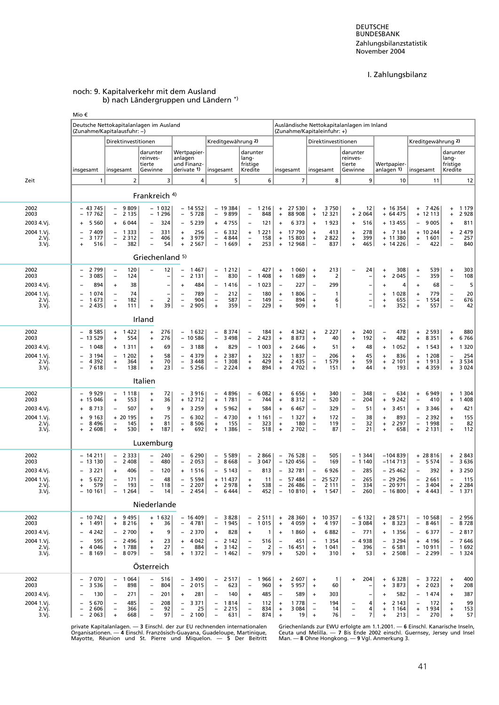|                          | Mio €                                                                              |                                                                        |                                                               |                                                                         |                                                                            |                                                                            |                                                                           |                                                                   |                                                                      |                                             |                                                             |                                                                         |
|--------------------------|------------------------------------------------------------------------------------|------------------------------------------------------------------------|---------------------------------------------------------------|-------------------------------------------------------------------------|----------------------------------------------------------------------------|----------------------------------------------------------------------------|---------------------------------------------------------------------------|-------------------------------------------------------------------|----------------------------------------------------------------------|---------------------------------------------|-------------------------------------------------------------|-------------------------------------------------------------------------|
|                          |                                                                                    | Deutsche Nettokapitalanlagen im Ausland<br>(Zunahme/Kapitalausfuhr: -) |                                                               |                                                                         |                                                                            |                                                                            |                                                                           | (Zunahme/Kapitaleinfuhr: +)                                       | Ausländische Nettokapitalanlagen im Inland                           |                                             |                                                             |                                                                         |
|                          |                                                                                    | Direktinvestitionen                                                    |                                                               |                                                                         | Kreditgewährung 2)                                                         |                                                                            |                                                                           | Direktinvestitionen                                               |                                                                      |                                             | Kreditgewährung 2)                                          |                                                                         |
|                          | insgesamt                                                                          | insgesamt                                                              | darunter<br>reinves-<br>tierte<br>Gewinne                     | Wertpapier-<br>anlagen<br>und Finanz-<br>derivate 1)                    | insgesamt                                                                  | darunter<br>lang-<br>fristige<br>Kredite                                   | insgesamt                                                                 | insgesamt                                                         | darunter<br>reinves-<br>tierte<br>Gewinne                            | Wertpapier-<br>anlagen 1)                   | insgesamt                                                   | darunter<br>lang-<br>fristige<br>Kredite                                |
| Zeit                     | $\mathbf{1}$                                                                       | $\overline{2}$                                                         | 3                                                             | 4                                                                       | 5                                                                          | 6                                                                          | 7                                                                         | 8                                                                 | 9                                                                    | 10                                          | 11                                                          | 12                                                                      |
|                          |                                                                                    |                                                                        | Frankreich <sup>4)</sup>                                      |                                                                         |                                                                            |                                                                            |                                                                           |                                                                   |                                                                      |                                             |                                                             |                                                                         |
| 2002                     | - 43 745                                                                           | 9809<br>$\overline{\phantom{a}}$                                       | $-1032$                                                       | $-14552$                                                                | $-19384$                                                                   | 1 2 1 6                                                                    | 27 530<br>$\begin{array}{c} + \end{array}$                                | 3750<br>$\ddot{}$                                                 | 12<br>$\ddot{}$                                                      | $+ 16354$                                   | 7 426<br>$\ddot{}$                                          | 1 1 7 9<br>$\ddot{}$                                                    |
| 2003<br>2003 4.Vj.       | $-17762$<br>5 5 6 0<br>$\ddot{}$                                                   | $\overline{\phantom{a}}$<br>2 1 3 5<br>6044<br>$+$                     | $-1296$<br>324<br>$\qquad \qquad -$                           | $\overline{\phantom{a}}$<br>5728<br>5 2 3 9<br>$\overline{\phantom{a}}$ | 9899<br>$\overline{\phantom{0}}$<br>4755<br>$\ddot{}$                      | 848<br>$\overline{\phantom{a}}$<br>121<br>$\qquad \qquad -$                | 88 908<br>$\ddot{}$<br>6 3 7 3<br>$\ddot{}$                               | 12 3 21<br>$\ddot{}$<br>1923<br>$\ddot{}$                         | 2 0 6 4<br>$+$<br>516<br>$\ddot{}$                                   | $+64475$<br>+ 13 455                        | $\ddot{}$<br>12 113<br>9 0 0 5<br>$\overline{\phantom{0}}$  | 2928<br>$\ddot{}$<br>811<br>$\ddot{}$                                   |
| 2004 1.Vj.               | 7409                                                                               | 1 3 3 3                                                                | 331<br>$\overline{\phantom{0}}$                               | 256<br>$\ddot{}$                                                        | 6 3 3 2<br>$\overline{\phantom{0}}$                                        | $\ddot{}$<br>1 2 2 1                                                       | 17790<br>$\ddot{}$                                                        | 413<br>$\ddot{}$                                                  | 278<br>$\ddot{}$                                                     | 7 134<br>$\ddot{}$                          | 10 244<br>$\ddot{}$                                         | 2 4 7 9<br>$\ddot{}$                                                    |
| 2.Vj.<br>3.Vj.           | 3 1 7 7<br>$\overline{\phantom{0}}$<br>516<br>$+$                                  | 2 3 1 2<br>$\overline{\phantom{a}}$<br>382<br>$\overline{\phantom{0}}$ | 406<br>$\overline{\phantom{0}}$<br>54<br>$\overline{a}$       | 3 9 7 9<br>$\begin{array}{c} + \end{array}$<br>2 5 6 7<br>$\ddot{}$     | 4 8 4 4<br>$\overline{\phantom{0}}$<br>1 6 6 9<br>$\overline{\phantom{0}}$ | 158<br>$\overline{\phantom{a}}$<br>253 <br>$+$                             | $\ddot{}$<br>15 803<br>12 968<br>$+$                                      | 2822<br>$\ddot{}$<br>837<br>$\overline{\phantom{0}}$              | 399<br>$\boldsymbol{+}$<br>465<br>$\ddot{}$                          | + 11 380<br>$+ 14226$                       | 1 601<br>$\ddot{}$<br>422<br>$\overline{\phantom{a}}$       | 257<br>$\overline{\phantom{a}}$<br>840<br>$\overline{\phantom{0}}$      |
|                          |                                                                                    |                                                                        | Griechenland <sup>5)</sup>                                    |                                                                         |                                                                            |                                                                            |                                                                           |                                                                   |                                                                      |                                             |                                                             |                                                                         |
| 2002<br>2003             | 2799<br>$\overline{\phantom{a}}$<br>3 0 8 5                                        | 120<br>$\overline{\phantom{a}}$<br>124<br>$\overline{\phantom{a}}$     | 12                                                            | 1467<br>$\overline{\phantom{0}}$<br>2 1 3 1<br>$\overline{\phantom{0}}$ | 1 2 1 2<br>-<br>830<br>$\overline{\phantom{0}}$                            | 427<br>$\overline{\phantom{a}}$<br>1408<br>$\overline{\phantom{a}}$        | 1 0 6 0<br>$\ddot{}$<br>1689<br>$\ddot{}$                                 | 213<br>$\ddot{}$<br>2<br>$\ddot{}$                                | 24                                                                   | 308<br>÷<br>2 0 4 5<br>$\ddot{}$            | 539<br>$\ddot{}$<br>359<br>$\overline{\phantom{0}}$         | 303<br>$\ddot{}$<br>108<br>$\overline{\phantom{0}}$                     |
| 2003 4.Vj.               | 894<br>$\overline{\phantom{0}}$                                                    | 38<br>$\ddot{}$                                                        | $\overline{\phantom{0}}$                                      | 484<br>$\ddot{}$                                                        | 416<br>$\overline{\phantom{0}}$                                            | 1 0 2 3<br>$\qquad \qquad -$                                               | 227<br>$\overline{\phantom{a}}$                                           | 299<br>$\overline{\phantom{0}}$                                   |                                                                      | 4<br>÷                                      | 68<br>$\ddot{}$                                             | 5<br>$\overline{\phantom{0}}$                                           |
| 2004 1.Vi.               | 1074<br>-                                                                          | 74<br>$\overline{\phantom{0}}$                                         |                                                               | 789<br>-                                                                | 212                                                                        | 180<br>$\qquad \qquad -$                                                   | 1806<br>$\ddot{}$                                                         | $\mathbf{1}$<br>$\overline{\phantom{0}}$                          |                                                                      | 1028<br>÷                                   | 779<br>+                                                    | 20                                                                      |
| 2.Vj.<br>3.Vj.           | 673<br>$\overline{\phantom{0}}$<br>1<br>2 4 3 5<br>$\overline{\phantom{0}}$        | 182<br>$\overline{\phantom{a}}$<br>111<br>$\ddot{}$                    | $\overline{2}$<br>$\overline{\phantom{0}}$<br>39<br>$\ddot{}$ | 904<br>$\overline{a}$<br>2 9 0 5<br>$\overline{\phantom{0}}$            | 587<br>$\overline{\phantom{a}}$<br>359<br>$\ddot{}$                        | 149<br>$\overline{\phantom{a}}$<br>229                                     | 894<br>$\overline{\phantom{a}}$<br>909<br>$\ddot{}$                       | 6<br>$\ddot{}$<br>1<br>$\ddot{}$                                  | $\overline{\phantom{0}}$                                             | 655<br>$\ddot{}$<br>352<br>$\ddot{}$        | 554<br>$\overline{\phantom{a}}$<br>1<br>557<br>$+$          | 676<br>$\overline{\phantom{0}}$<br>42                                   |
|                          |                                                                                    |                                                                        | Irland                                                        |                                                                         |                                                                            |                                                                            |                                                                           |                                                                   |                                                                      |                                             |                                                             |                                                                         |
| 2002                     | 8585                                                                               | 422<br>$\ddot{}$<br>-1                                                 | 276<br>$\ddot{}$                                              | 1632<br>$\overline{\phantom{0}}$                                        | 8 3 7 4<br>$\overline{\phantom{a}}$                                        | 184<br>$\qquad \qquad -$                                                   | 4 3 4 2<br>$\ddot{}$                                                      | 2 2 2 7<br>$\ddot{}$                                              | 240<br>$\ddot{}$                                                     | 478<br>$\overline{\phantom{0}}$             | 2 5 9 3<br>$\ddot{}$                                        | 880<br>$\ddot{}$                                                        |
| 2003<br>2003 4.Vj.       | 13 5 29<br>$-$<br>1048                                                             | 554<br>$\ddot{}$<br>1311<br>$\ddot{}$                                  | 276<br>$\ddot{}$<br>69<br>$\ddot{}$                           | 10 586<br>$\qquad \qquad -$<br>3 1 8 8<br>$\overline{\phantom{0}}$      | 3 4 9 8<br>$\overline{\phantom{a}}$<br>829<br>$\ddot{}$                    | 2 4 2 3<br>$\overline{\phantom{a}}$<br>1 0 0 3<br>$\overline{\phantom{m}}$ | 8873<br>$\ddot{}$<br>2 6 4 6<br>$\ddot{}$                                 | 40<br>$\ddot{}$<br>51<br>$\ddot{}$                                | 192<br>$\ddot{}$<br>48<br>$\overline{1}$                             | 482<br>$\ddot{}$<br>1052<br>÷               | 8 3 5 1<br>$\ddot{}$<br>1 5 4 3<br>$\ddot{}$                | 6766<br>$\ddot{}$<br>1 3 2 0<br>+                                       |
| 2004 1.Vi.               | 3 1 9 4<br>$\overline{\phantom{0}}$                                                | 1 2 0 2<br>$\overline{\phantom{a}}$                                    | 58<br>$\ddot{}$                                               | 4 3 7 9<br>$\overline{\phantom{a}}$                                     | 2 3 8 7<br>$\ddot{}$                                                       | 322<br>$\begin{array}{c} + \end{array}$                                    | 1837<br>$\ddot{}$                                                         | 206<br>$\overline{\phantom{0}}$                                   | 45<br>$\ddot{}$                                                      | 836<br>$\ddot{}$                            | 1 2 0 8<br>$\ddot{}$                                        | 254<br>$\overline{\phantom{0}}$                                         |
| 2.Vj.<br>3.Vj.           | 4 3 9 2<br>$\overline{\phantom{0}}$<br>7618<br>$\overline{\phantom{0}}$            | 364<br>$\ddot{}$<br>138<br>$\overline{\phantom{0}}$                    | 70<br>$\ddot{}$<br>23<br>$\ddot{}$                            | 3 4 4 8<br>-<br>5 2 5 6<br>$\overline{\phantom{0}}$                     | 1 3 0 8<br>$\overline{\phantom{a}}$<br>$\overline{\phantom{a}}$<br>2 2 2 4 | 429<br>$\ddot{}$<br>894<br>$\ddot{}$                                       | 2 4 3 5<br>$\ddot{}$<br>4702<br>$\ddot{}$                                 | 579<br>$\qquad \qquad -$<br>1<br>151<br>$\ddot{}$                 | 59<br>$\ddot{}$<br>44<br>$\ddot{}$                                   | 2 1 0 1<br>$\ddot{}$<br>193<br>$\ddot{}$    | 1913<br>+<br>4 3 5 9<br>$\ddot{}$                           | 3 5 3 4<br>$\ddot{}$<br>3 0 2 4<br>$\ddot{}$                            |
|                          |                                                                                    |                                                                        | Italien                                                       |                                                                         |                                                                            |                                                                            |                                                                           |                                                                   |                                                                      |                                             |                                                             |                                                                         |
| 2002                     | 9929                                                                               | 1 1 1 8<br>$\overline{\phantom{a}}$                                    | 72<br>$\ddot{}$                                               | 3916<br>$\overline{\phantom{0}}$                                        | 4896<br>$\overline{\phantom{0}}$                                           | 6 0 8 2<br>$\overline{\phantom{a}}$                                        | 6 6 5 6<br>$\ddot{}$                                                      | 340<br>$\overline{+}$                                             | 348<br>$\qquad \qquad -$                                             | 634<br>$\overline{\phantom{0}}$             | 6949<br>$\ddot{}$                                           | 1 3 0 4<br>$\ddot{}$                                                    |
| 2003                     | $+ 15046$                                                                          | 553<br>$\ddot{}$                                                       | 36<br>$\ddot{}$                                               | 12712<br>$+$                                                            | 1781<br>$\ddot{}$                                                          | $\overline{\phantom{a}}$<br>744                                            | 8312<br>$\ddot{}$                                                         | 520<br>$\qquad \qquad -$                                          | 204<br>$\overline{\phantom{0}}$                                      | $\ddot{}$<br>9 2 4 2                        | 410<br>$\overline{\phantom{0}}$                             | 1 4 0 8<br>$\ddot{}$                                                    |
| 2003 4.Vj.<br>2004 1.Vi. | 8713<br>$\ddot{}$<br>9 1 6 3<br>$\ddot{}$                                          | 507<br>$\overline{\phantom{0}}$<br>$+20195$                            | 9<br>$\ddot{}$<br>75<br>$\ddot{}$                             | 3 2 5 9<br>$\ddot{}$<br>6 3 0 2<br>$\overline{\phantom{0}}$             | 5 9 6 2<br>$\ddot{}$<br>4730<br>$\qquad \qquad -$                          | 584<br>$\ddot{}$<br>1 1 6 1<br>$\ddot{}$                                   | 6467<br>$\ddot{}$<br>1 3 2 7<br>$\overline{\phantom{0}}$                  | 329<br>$\overline{\phantom{0}}$<br>172<br>$\ddot{}$               | 51<br>۰<br>38<br>$\qquad \qquad -$                                   | 3 4 5 1<br>$\ddot{}$<br>893<br>$\ddot{}$    | 3 3 4 6<br>$\ddot{}$<br>2 3 9 2<br>$\overline{\phantom{0}}$ | 421<br>$\ddot{}$<br>155<br>$\ddot{}$                                    |
| 2.Vj.<br>3.Vj.           | 8496<br>2 6 0 8<br>$\ddot{}$                                                       | 145<br>$\overline{\phantom{0}}$<br>530<br>$\ddot{}$                    | 81<br>$\ddot{}$<br>187<br>$\ddot{}$                           | 8 5 0 6<br>$\overline{a}$<br>$\ddot{}$<br>692                           | 155<br>$\ddot{}$<br>1 3 8 6<br>$\ddot{}$                                   | 323<br>$\overline{\phantom{a}}$<br>518<br>$\overline{\phantom{0}}$         | 180<br>$\ddot{}$<br>2702<br>$\begin{array}{c} + \end{array}$              | 119<br>$\overline{\phantom{a}}$<br>87<br>$\overline{\phantom{a}}$ | 32<br>$\overline{\phantom{0}}$<br>21<br>$\overline{\phantom{a}}$     | 2 2 9 7<br>$\ddot{}$<br>658<br>$\ddot{}$    | 1998<br>$\qquad \qquad -$<br>$\ddot{}$<br>2 1 3 1           | 82<br>$\overline{\phantom{0}}$<br>112<br>$\ddot{}$                      |
|                          |                                                                                    |                                                                        | Luxemburg                                                     |                                                                         |                                                                            |                                                                            |                                                                           |                                                                   |                                                                      |                                             |                                                             |                                                                         |
| 2002                     | - 14 211                                                                           | 2 3 3 3<br>$\overline{\phantom{a}}$                                    | 240                                                           | 6 2 9 0<br>$\overline{\phantom{a}}$                                     | 5 5 8 9<br>$\overline{\phantom{0}}$                                        | 2866<br>$\overline{\phantom{m}}$                                           | 76 528<br>$\qquad \qquad -$                                               | 505<br>$\overline{\phantom{a}}$                                   | 344<br>- 1                                                           | -104839                                     | 28 816<br>$\ddot{}$                                         | 2 8 4 3<br>$\ddot{}$                                                    |
| 2003<br>2003 4.Vi.       | - 13 130<br>3 2 2 1<br>$\overline{\phantom{0}}$                                    | 2 4 0 8<br>$\overline{\phantom{0}}$<br>406<br>$\ddot{}$                | 480<br>120<br>$\overline{\phantom{0}}$                        | 2053<br>$\overline{\phantom{0}}$<br>1516<br>$\ddot{}$                   | 8 6 6 8<br>$\overline{\phantom{0}}$<br>5 1 4 3<br>$\overline{\phantom{0}}$ | 3 0 4 7<br>$\qquad \qquad -$<br>813<br>$\overline{\phantom{0}}$            | 120 456<br>$\overline{\phantom{0}}$<br>32 781<br>$\overline{\phantom{a}}$ | 169<br>6926                                                       | 1 140<br>$\overline{\phantom{0}}$<br>285<br>$\overline{\phantom{0}}$ | $-114713$<br>$-25462$                       | 5 5 7 4<br>-<br>392<br>$\overline{\phantom{0}}$             | 3636<br>$\overline{\phantom{0}}$<br>3 2 5 0<br>+                        |
| 2004 1.Vi.               | 5672<br>$\ddot{}$                                                                  | 171                                                                    | 48                                                            | 5 5 9 4<br>$\overline{\phantom{0}}$                                     | + 11 437                                                                   | 11<br>$\ddot{}$                                                            | 57 484<br>$\overline{\phantom{0}}$                                        | 25 527<br>$\overline{\phantom{0}}$                                | 265                                                                  | $-29296$                                    | 2 6 6 1<br>$\overline{\phantom{0}}$                         | 115                                                                     |
| 2.Vj.<br>3.Vj.           | 579<br>$\ddot{}$<br>$-10161$                                                       | $\overline{\phantom{a}}$<br>193<br>$-1264$                             | 118<br>$\bar{\mathbb{Z}}^+$<br>14                             | 2 2 0 7<br>$\bar{\mathbb{I}}$<br>2454                                   | 2 9 7 8<br>$+$<br>6444<br>$\overline{\phantom{a}}$                         | 538<br>$\ddot{}$<br>$\overline{\phantom{a}}$                               | $-26486$<br>$452$ - 10 810 +                                              | 2 1 1 1<br>$\overline{\phantom{a}}$<br>1 547                      | 334<br>$\overline{\phantom{a}}$<br>$\bar{ }$<br>260                  | $-20971$<br>$-16800$                        | 3 4 0 4<br>$\overline{\phantom{a}}$<br>$+$<br>4 4 4 3       | $+ 2284$<br>1 3 7 1<br>$\overline{\phantom{0}}$                         |
|                          |                                                                                    |                                                                        | Niederlande                                                   |                                                                         |                                                                            |                                                                            |                                                                           |                                                                   |                                                                      |                                             |                                                             |                                                                         |
| 2002<br>2003             | $-10742$<br>1491<br>$+$                                                            | $+ 9495$<br>$+ 8216$                                                   | $+ 1632$<br>36<br>$\ddot{}$                                   | $-16409$<br>4 7 8 1<br>$\overline{\phantom{a}}$                         | $-3828$<br>1945<br>$ \,$                                                   | $-2511$<br>$\overline{\phantom{a}}$<br>1015                                | $+$<br>4 0 5 9<br>$\ddot{}$                                               | 28 360 + 10 357<br>4 1 9 7<br>$+$                                 | $-6132$<br>$-3084$                                                   | $+28571$<br>$+ 8323$                        | $-10568$<br>8461<br>$\overline{\phantom{a}}$                | 2956<br>$ \,$<br>8728<br>$\overline{\phantom{0}}$                       |
| 2003 4.Vj.               | 4 2 4 2                                                                            | 2 700<br>$\overline{\phantom{0}}$                                      | 9<br>$\ddot{}$                                                | 2 3 7 0<br>$\overline{\phantom{a}}$                                     | 828<br>$\ddot{}$                                                           | $\ddot{}$<br>1                                                             | 1860<br>$\ddot{}$                                                         | 6882<br>$\ddot{}$                                                 | $\equiv$<br>771                                                      | $+$<br>1 3 5 6                              | 6 3 7 7<br>$\overline{\phantom{0}}$                         | 2817<br>$-$                                                             |
| 2004 1.Vj.               | 595                                                                                | 2 4 9 6                                                                | 23<br>$\ddot{}$                                               | 4 0 4 2<br>$\ddot{}$                                                    | 2 1 4 2<br>$\overline{\phantom{a}}$                                        | 516<br>$\qquad \qquad -$                                                   | 451<br>$\overline{\phantom{a}}$                                           | 1 3 5 4<br>$\overline{\phantom{0}}$                               | $-4938$                                                              | 3 2 9 4<br>$\overline{\phantom{0}}$         | 4 196<br>$\ddot{}$                                          | 7646                                                                    |
| 2.Vj.<br>3.Vj.           | 4 0 4 6<br>$\begin{array}{c} + \end{array}$<br>8 1 6 9<br>$\overline{\phantom{a}}$ | 1788<br>$+$<br>8079<br>$\overline{\phantom{a}}$                        | 27<br>$\ddot{}$<br>58<br>$\overline{\phantom{a}}$             | 884<br>$\overline{\phantom{0}}$<br>$+$<br>1372                          | 3 1 4 2<br>$\ddot{}$<br>1462<br>$\overline{\phantom{a}}$                   | 2<br>$\overline{\phantom{a}}$<br>979<br>$\overline{\phantom{m}}$           | 16 451<br>$\overline{\phantom{a}}$<br>$+$<br>$520$ +                      | 1 0 4 1<br>$\pm$<br>310                                           | 396<br>$\qquad \qquad -$<br>53 <br>$\ddot{}$                         | 6 5 8 1<br>$\qquad \qquad -$<br>$+$<br>2508 | $-10911$<br>2299<br>$\overline{\phantom{a}}$                | 1692<br>$\overline{\phantom{0}}$<br>1 3 2 4<br>$\overline{\phantom{m}}$ |
|                          |                                                                                    |                                                                        | Österreich                                                    |                                                                         |                                                                            |                                                                            |                                                                           |                                                                   |                                                                      |                                             |                                                             |                                                                         |
| 2002<br>2003             | $-7070$<br>$\overline{\phantom{a}}$<br>3 5 3 6                                     | $-1064$<br>$\equiv$<br>898                                             | 516<br>$\qquad \qquad -$<br>$\overline{\phantom{0}}$<br>804   | 3 4 9 0<br>$\qquad \qquad -$<br>$\overline{\phantom{a}}$<br>2015        | $-2517$<br>$\overline{\phantom{0}}$<br>623                                 | $-1966$<br>$\equiv$<br>960                                                 | $2607$ +<br>$\ddot{}$<br>5957<br>$\ddot{}$                                | $\mathbf{1}$<br>60<br>$\begin{array}{c} + \end{array}$            | 204<br>$\ddot{}$                                                     | 6 3 2 8<br>$+$<br>3873<br>$+$               | 3 722  <br>$\overline{\phantom{a}}$<br>$+$<br>2 0 2 3       | 400<br>$\ddot{}$<br>208<br>$\ddot{}$                                    |
| 2003 4.Vj.               | 130                                                                                | 271                                                                    | 201<br>$\qquad \qquad -$                                      | 281<br>$\ddot{}$                                                        | 140<br>$\overline{\phantom{0}}$                                            | 485<br>$\ddot{}$                                                           | 589<br>$\overline{\phantom{0}}$                                           | 303<br>$\overline{+}$                                             |                                                                      | 582                                         | 1474<br>$\overline{\phantom{a}}$                            | 387<br>$\ddot{}$                                                        |
| 2004 1.Vj.               | 5 6 7 0<br>$\overline{\phantom{a}}$                                                | 485<br>$\overline{\phantom{0}}$                                        | 208<br>$\overline{a}$                                         | 3 3 7 1<br>$\overline{\phantom{0}}$                                     | 1814<br>$\overline{\phantom{a}}$                                           | 112                                                                        | 1778<br>$\ddot{}$                                                         | 194<br>$\overline{\phantom{a}}$                                   | 4                                                                    | 2 1 4 3<br>$\ddot{}$                        | 172<br>$\overline{\phantom{0}}$                             | 99<br>$\ddot{}$                                                         |
| 2.Vj.<br>3.Vj.           | 2 6 0 6<br>$\overline{\phantom{a}}$<br>2 0 6 3<br>$\overline{\phantom{0}}$         | 366<br>668                                                             | 92<br>$\overline{a}$<br>97                                    | 25<br>$\overline{\phantom{a}}$<br>2 100<br>$\overline{\phantom{a}}$     | 2 2 1 5<br>$\overline{\phantom{a}}$<br>631                                 | 834<br>$\overline{\phantom{a}}$<br>874                                     | 3 0 8 4<br>$\ddot{}$<br>19 <br>$\ddot{}$                                  | 14<br>$\qquad \qquad -$<br>76<br>$\ddot{}$                        | 4<br>$\overline{\phantom{0}}$<br>7 <sup>1</sup>                      | 1 1 6 4<br>213<br>$\ddot{}$                 | 1934<br>$\ddot{}$<br>270<br>$\overline{\phantom{a}}$        | 153<br>$\ddot{}$<br>57 <br>$\ddot{}$                                    |

### noch: 9. Kapitalverkehr mit dem Ausland b) nach Ländergruppen und Ländern \*)

private Kapitalanlagen. — 3 Einschl. der zur EU rechnenden internationalen — Griechenlands zur EWU erfolgte am 1.1.2001. — 6 Einschl. Kanarische Inseln,<br>Organisationen. — 4 Einschl. Französisch-Guare, Moadeloupe, Martiniqu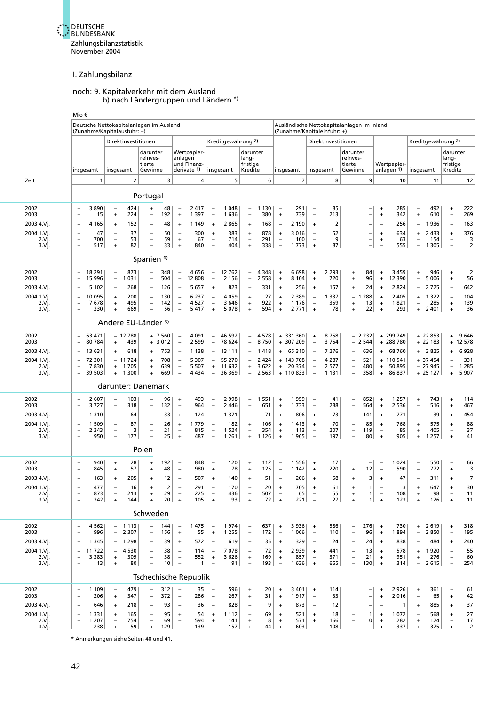

### noch: 9. Kapitalverkehr mit dem Ausland b) nach Ländergruppen und Ländern \*)

|                          | Mio €                                                                  |                                                                    |                                                                                    |                                                                                 |                                                                          |                                                                            |                                                                                           |                                                                            |                                                                    |                                                                     |                                                                     |                                                                                  |
|--------------------------|------------------------------------------------------------------------|--------------------------------------------------------------------|------------------------------------------------------------------------------------|---------------------------------------------------------------------------------|--------------------------------------------------------------------------|----------------------------------------------------------------------------|-------------------------------------------------------------------------------------------|----------------------------------------------------------------------------|--------------------------------------------------------------------|---------------------------------------------------------------------|---------------------------------------------------------------------|----------------------------------------------------------------------------------|
|                          |                                                                        | (Zunahme/Kapitalausfuhr: -)                                        | Deutsche Nettokapitalanlagen im Ausland                                            |                                                                                 |                                                                          |                                                                            |                                                                                           | Ausländische Nettokapitalanlagen im Inland<br>(Zunahme/Kapitaleinfuhr: +)  |                                                                    |                                                                     |                                                                     |                                                                                  |
|                          |                                                                        | Direktinvestitionen                                                |                                                                                    |                                                                                 | Kreditgewährung 2)                                                       |                                                                            |                                                                                           | Direktinvestitionen                                                        |                                                                    |                                                                     | Kreditgewährung 2)                                                  |                                                                                  |
|                          |                                                                        |                                                                    | darunter<br>reinves-<br>tierte                                                     | Wertpapier-<br>anlagen<br>und Finanz-                                           |                                                                          | darunter<br>lang-<br>fristige                                              |                                                                                           |                                                                            | darunter<br>reinves-<br>tierte                                     | Wertpapier-                                                         |                                                                     | darunter<br>lang-<br>fristige                                                    |
|                          | insgesamt                                                              | insgesamt                                                          | Gewinne                                                                            | derivate 1)                                                                     | insgesamt                                                                | Kredite                                                                    | insgesamt                                                                                 | insgesamt                                                                  | Gewinne                                                            | anlagen 1)                                                          | insgesamt                                                           | Kredite                                                                          |
| Zeit                     | 1                                                                      | $\overline{2}$                                                     | 3<br>Portugal                                                                      | 4                                                                               | 5                                                                        | 6                                                                          | 7                                                                                         | 8                                                                          | 9                                                                  | 10                                                                  | 11                                                                  | 12                                                                               |
| 2002<br>2003             | 3890<br>$\overline{\phantom{0}}$<br>15                                 | 424<br>$\overline{\phantom{0}}$<br>224<br>$\ddot{}$                | 48<br>$\begin{array}{c} + \end{array}$<br>192<br>$\overline{\phantom{0}}$          | 2417<br>$\overline{\phantom{a}}$<br>1 3 9 7<br>$\begin{array}{c} + \end{array}$ | 1 0 4 8<br>$\overline{\phantom{0}}$<br>1636<br>$\overline{\phantom{a}}$  | 1 1 3 0<br>$\overline{\phantom{a}}$<br>380<br>$\overline{\phantom{a}}$     | 291<br>$\overline{\phantom{0}}$<br>739<br>$\ddot{}$                                       | 85<br>$\qquad \qquad -$<br>213<br>$\overline{\phantom{a}}$                 |                                                                    | 285<br>$\overline{1}$<br>342<br>$\ddot{}$                           | 492<br>$\overline{a}$<br>610<br>$\ddot{}$                           | 222<br>$\ddot{}$<br>269<br>$\overline{\phantom{a}}$                              |
| 2003 4.Vj.               | 4 1 6 5<br>$\ddot{}$                                                   | 152<br>$\ddot{}$                                                   | 48                                                                                 | 1 1 4 9<br>$\ddot{}$                                                            | 2865<br>$\overline{+}$                                                   | 168<br>$\ddot{}$                                                           | 2 1 9 0<br>$\overline{\phantom{0}}$                                                       | 2<br>$\ddot{}$                                                             |                                                                    | 256<br>$\overline{\phantom{a}}$                                     | 1936<br>$\overline{\phantom{a}}$                                    | 163<br>$\overline{\phantom{0}}$                                                  |
| 2004 1.Vj.               | 47<br>$\ddot{}$                                                        | 37<br>$\overline{\phantom{a}}$                                     | 50<br>$\overline{\phantom{a}}$                                                     | 300<br>$\overline{\phantom{0}}$                                                 | 383<br>$\ddot{}$                                                         | 878<br>$\begin{array}{c} + \end{array}$                                    | 3016<br>$\ddot{}$                                                                         | 52<br>$\overline{\phantom{a}}$                                             | $\overline{\phantom{0}}$                                           | 634<br>$\ddot{}$                                                    | 2 4 3 3<br>$\ddot{}$                                                | 376<br>$\begin{array}{c} + \end{array}$                                          |
| 2.Vj.<br>3.Vj.           | 700<br>$\overline{\phantom{0}}$<br>517<br>$\ddot{}$                    | 53<br>$\overline{\phantom{a}}$<br>82<br>$\ddot{}$                  | 59<br>$\overline{a}$<br>33<br>$\overline{\phantom{a}}$                             | 67<br>$\ddot{}$<br>840<br>$\ddot{}$                                             | 714<br>$\overline{\phantom{0}}$<br>404<br>$\overline{\phantom{a}}$       | 291<br>$\overline{\phantom{a}}$<br>338<br>$+$                              | 100<br>$\overline{\phantom{a}}$<br>$\overline{\phantom{a}}$<br>1773                       | 9<br>$\qquad \qquad -$<br>87<br>$+$                                        | $\qquad \qquad -$                                                  | 63<br>$\ddot{}$<br>555                                              | 154<br>$\overline{\phantom{0}}$<br>1305<br>$\overline{\phantom{a}}$ | 3<br>$\overline{\phantom{0}}$<br>$\overline{2}$<br>$\overline{\phantom{0}}$      |
|                          |                                                                        |                                                                    | Spanien <sup>6)</sup>                                                              |                                                                                 |                                                                          |                                                                            |                                                                                           |                                                                            |                                                                    |                                                                     |                                                                     |                                                                                  |
| 2002<br>2003             | 18 291<br>15 996<br>$\overline{\phantom{a}}$                           | 873<br>$\overline{\phantom{0}}$<br>031<br>$\overline{\phantom{a}}$ | 348<br>$\qquad \qquad -$<br>504                                                    | 4656<br>$\overline{\phantom{0}}$<br>12 808<br>$\overline{\phantom{a}}$          | 12762<br>$\overline{\phantom{a}}$<br>2 1 5 6<br>$\overline{\phantom{a}}$ | 4 3 4 8<br>$\overline{\phantom{a}}$<br>2 5 5 8<br>$\overline{\phantom{0}}$ | 6 6 9 8<br>$\ddot{}$<br>8 1 0 4<br>$\ddot{}$                                              | 2 2 9 3<br>$\ddot{}$<br>720<br>$\ddot{}$                                   | 84<br>$\ddot{}$<br>96<br>$\ddot{}$                                 | 3 4 5 9<br>$\ddot{}$<br>12 390<br>$\ddot{}$                         | 946<br>$\ddot{}$<br>5 0 0 6<br>$\overline{\phantom{a}}$             | 2<br>$\begin{array}{c} + \end{array}$<br>56<br>$\bf{+}$                          |
| 2003 4.Vj.               | 5 1 0 2                                                                | 268<br>$\overline{\phantom{a}}$                                    | 126<br>$\overline{\phantom{a}}$                                                    | 5 6 5 7<br>$\overline{\phantom{a}}$                                             | 823<br>$\overline{+}$                                                    | 331<br>$\overline{\phantom{0}}$                                            | 256<br>$\ddot{}$                                                                          | 157<br>$\ddot{}$                                                           | 24<br>$\ddot{}$                                                    | 2824<br>$\ddot{}$                                                   | 2725<br>$\overline{\phantom{a}}$                                    | 642<br>$\overline{\phantom{0}}$                                                  |
| 2004 1.Vj.               | 10 095                                                                 | 200<br>$\begin{array}{c} + \end{array}$                            | 130<br>$\qquad \qquad -$                                                           | 6 2 3 7<br>$\qquad \qquad -$                                                    | 4 0 5 9<br>$\overline{a}$                                                | 27<br>$\ddot{}$                                                            | 2 3 8 9<br>$\ddot{}$                                                                      | 1 3 3 7<br>$\qquad \qquad -$                                               | 288<br>$\qquad \qquad -$                                           | 2 4 0 5<br>$\ddot{}$                                                | 1 3 2 2<br>$\ddot{}$                                                | 104<br>$\overline{\phantom{a}}$                                                  |
| 2.Vj.<br>3.Vj.           | 7678<br>$\overline{\phantom{0}}$<br>330<br>$\ddot{}$                   | 495<br>$\begin{array}{c} + \end{array}$<br>669<br>$\ddot{}$        | $\qquad \qquad -$<br>142<br>$\frac{1}{2}$<br>56                                    | $\overline{\phantom{0}}$<br>4 5 2 7<br>5417<br>$\frac{1}{2}$                    | $\overline{\phantom{a}}$<br>3 6 4 6<br>5 0 7 8<br>$\ddot{}$              | 922<br>$\ddot{}$<br>594<br>$\ddot{}$                                       | 1 1 7 6<br>$\ddot{}$<br>2771<br>$\ddot{}$                                                 | $\overline{\phantom{a}}$<br>359<br>78<br>$\overline{+}$                    | 13<br>$\begin{array}{c} + \end{array}$<br>22<br>$\ddot{}$          | 1821<br>$\ddot{}$<br>293<br>$\ddot{}$                               | 285<br>$\overline{\phantom{a}}$<br>2 4 0 1<br>$\ddot{}$             | 139<br>$\pmb{+}$<br>36<br>$\ddot{}$                                              |
|                          |                                                                        | Andere EU-Länder 3)                                                |                                                                                    |                                                                                 |                                                                          |                                                                            |                                                                                           |                                                                            |                                                                    |                                                                     |                                                                     |                                                                                  |
| 2002                     | 63 471<br>$\overline{\phantom{0}}$                                     | $-12788$                                                           | $+ 7560$                                                                           | 4 0 9 1<br>$\qquad \qquad -$                                                    | 46 592<br>$\qquad \qquad -$                                              | 4 5 7 8<br>$\overline{\phantom{a}}$                                        | 331 360<br>$+$                                                                            | 8758<br>$\begin{array}{c} + \end{array}$                                   | $-2232$                                                            | + 299 749                                                           | $+22853$                                                            | 9646<br>$+$                                                                      |
| 2003                     | 80 784<br>$\overline{\phantom{0}}$                                     | 439<br>$\ddot{}$                                                   | $+3012$                                                                            | 2 5 9 9<br>$\overline{\phantom{a}}$                                             | 78 624<br>$\overline{\phantom{a}}$                                       | 8750<br>$\overline{\phantom{a}}$                                           | 307 209<br>$+$                                                                            | 3 7 5 4<br>$\overline{\phantom{a}}$                                        | 2 5 4 4<br>$\overline{\phantom{a}}$                                | + 288 780                                                           | $+22183$                                                            | $+ 12578$                                                                        |
| 2003 4.Vj.<br>2004 1.Vj. | 13 631<br>72 301                                                       | 618<br>$\ddot{}$<br>$-11724$                                       | 753<br>$\begin{array}{c} + \end{array}$<br>708<br>$\begin{array}{c} + \end{array}$ | 1 1 3 8<br>$\overline{\phantom{a}}$<br>5 3 0 7<br>$\overline{\phantom{a}}$      | 13 111<br>$\overline{\phantom{a}}$<br>55 270<br>$\overline{\phantom{a}}$ | 1418<br>$\overline{\phantom{a}}$<br>2 4 2 4<br>$\overline{\phantom{0}}$    | 65 310<br>$\ddot{}$<br>+ 143 708                                                          | 7 2 7 6<br>$\overline{\phantom{a}}$<br>4 2 8 7<br>$\overline{\phantom{a}}$ | 636<br>$\overline{\phantom{a}}$<br>521<br>$\overline{\phantom{a}}$ | 68760<br>$\ddot{}$<br>+ 110 541                                     | 3825<br>$\ddot{}$<br>+ 37 454                                       | 6928<br>$\ddot{}$<br>331<br>$\overline{\phantom{a}}$                             |
| 2.Vj.                    | 7830<br>$\ddot{}$                                                      | 705<br>$\overline{1}$<br>$\ddot{}$                                 | 639<br>$\begin{array}{c} + \end{array}$                                            | 5 5 0 7<br>$\overline{\phantom{a}}$                                             | 11 632<br>$\bf{+}$                                                       | 3622<br>$+$                                                                | 20 374<br>$+$                                                                             | 2 5 7 7<br>$\overline{\phantom{a}}$                                        | 480<br>$\overline{\phantom{a}}$                                    | 50 895<br>$\begin{array}{c} + \end{array}$                          | 27 945<br>$\overline{\phantom{a}}$                                  | 1 2 8 5<br>$\overline{\phantom{a}}$                                              |
| 3.Vj.                    | 39 503                                                                 | 1 3 0 0<br>$\ddot{}$<br>darunter: Dänemark                         | 669<br>$\ddot{}$                                                                   | $\overline{a}$<br>4434                                                          | 36 369<br>$\overline{\phantom{0}}$                                       | 2563<br>$\overline{\phantom{a}}$                                           | $+ 110833$                                                                                | $\overline{\phantom{a}}$<br>1 1 3 1                                        | 358<br>$\overline{\phantom{a}}$                                    | 86 837<br>$\ddot{}$                                                 | $+ 25127$                                                           | 5 9 0 7<br>$\ddot{}$                                                             |
|                          |                                                                        |                                                                    |                                                                                    |                                                                                 |                                                                          |                                                                            |                                                                                           |                                                                            |                                                                    |                                                                     |                                                                     |                                                                                  |
| 2002<br>2003             | 2 607<br>$\overline{\phantom{0}}$<br>3727                              | 103<br>318<br>$\overline{\phantom{a}}$                             | 96<br>132<br>$\overline{\phantom{0}}$                                              | 493<br>$\ddot{}$<br>964<br>$\overline{\phantom{0}}$                             | 2 9 9 8<br>$\qquad \qquad -$<br>2 4 4 6<br>$\overline{\phantom{a}}$      | 1 5 5 1<br>$\overline{\phantom{a}}$<br>651                                 | 1959<br>$\ddot{}$<br>1733<br>$\ddot{}$                                                    | 41<br>288<br>$\overline{\phantom{0}}$                                      | 852<br>$\overline{\phantom{0}}$<br>564<br>$\overline{\phantom{a}}$ | 1 2 5 7<br>$\begin{array}{c} + \end{array}$<br>2 5 3 6<br>$\ddot{}$ | 743<br>$\ddot{}$<br>516<br>$\overline{\phantom{a}}$                 | $\bf{+}$<br>114<br>467<br>$\ddot{}$                                              |
| 2003 4.Vj.               | 1310<br>۰                                                              | 64<br>$\overline{\phantom{a}}$                                     | 33<br>$\overline{\phantom{0}}$                                                     | 124<br>$\ddot{}$                                                                | 1 3 7 1<br>$\overline{\phantom{0}}$                                      | 71<br>$\overline{\phantom{0}}$                                             | 806<br>$\ddot{}$                                                                          | 73<br>$\ddot{}$                                                            | 141<br>$\overline{\phantom{0}}$                                    | 771<br>$\ddot{}$                                                    | 39<br>$\overline{\phantom{0}}$                                      | 454<br>$\ddot{}$                                                                 |
| 2004 1.Vj.               | 1 5 0 9<br>$\ddot{}$                                                   | 87<br>$\overline{\phantom{a}}$                                     | 26<br>$\qquad \qquad -$                                                            | 1779<br>$\ddot{}$                                                               | 182<br>$\overline{\phantom{0}}$                                          | 106<br>$\ddot{}$                                                           | 1413<br>$\ddot{}$                                                                         | 70<br>$\ddot{}$                                                            | 85<br>$\overline{\phantom{0}}$                                     | 768<br>$\ddot{}$                                                    | 575<br>$\ddot{}$                                                    | 88<br>$\ddot{}$                                                                  |
| 2.Vj.<br>3.Vj.           | 2 3 4 3<br>$\overline{\phantom{0}}$<br>950<br>$\overline{\phantom{0}}$ | 3<br>$\overline{\phantom{a}}$<br>177<br>$\overline{\phantom{a}}$   | 21<br>$\overline{\phantom{a}}$<br>25<br>$\overline{\phantom{0}}$                   | 815<br>$\overline{\phantom{0}}$<br>487<br>$\overline{+}$                        | 1 5 2 4<br>$\qquad \qquad -$<br>1 2 6 1<br>$\overline{\phantom{a}}$      | 354<br>$\overline{\phantom{0}}$<br>126<br>$\ddot{}$<br>-1                  | 113<br>$\ddot{}$<br>1965<br>$\ddot{}$                                                     | 207<br>$\qquad \qquad -$<br>197<br>$\overline{\phantom{a}}$                | 119<br>$\overline{a}$<br>80<br>$\overline{\phantom{a}}$            | 85<br>$\overline{\phantom{0}}$<br>905<br>$\ddot{}$                  | 405<br>$\ddot{}$<br>257<br>$\begin{array}{c} + \end{array}$<br>1    | 37<br>$\overline{\phantom{a}}$<br>41<br>$\ddot{}$                                |
|                          |                                                                        |                                                                    | Polen                                                                              |                                                                                 |                                                                          |                                                                            |                                                                                           |                                                                            |                                                                    |                                                                     |                                                                     |                                                                                  |
| 2002<br>2003             | 940<br>845<br>$\overline{\phantom{0}}$                                 | 28<br>$\begin{array}{c} + \end{array}$<br>57<br>$\ddot{}$          | 192<br>$\ddot{}$<br>48<br>$\ddot{}$                                                | 848<br>$\overline{\phantom{a}}$<br>980<br>$\overline{\phantom{0}}$              | 120<br>$\overline{\phantom{a}}$<br>78<br>$\ddot{}$                       | 112<br>+<br>125<br>$\ddot{}$                                               | 1 5 5 6<br>$\overline{\phantom{a}}$<br>1 1 4 2<br>$\overline{\phantom{0}}$                | 17<br>$\overline{+}$<br>220<br>$\begin{array}{c} + \end{array}$            | 12<br>$\ddot{}$                                                    | 1 0 2 4<br>590<br>$\overline{\phantom{a}}$                          | 550<br>$\overline{\phantom{0}}$<br>772                              | 66<br>$\overline{\phantom{a}}$<br>3<br>$\ddot{}$                                 |
| 2003 4.Vj.               | 163                                                                    | 205<br>$\ddot{}$                                                   | 12<br>$\begin{array}{c} + \end{array}$                                             | 507<br>$\overline{\phantom{0}}$                                                 | 140<br>$\overline{+}$                                                    | 51<br>$\ddot{}$                                                            | 206<br>$\overline{\phantom{a}}$                                                           | 58<br>$\ddot{}$                                                            | 3<br>$\ddot{}$                                                     | 47<br>$\ddot{}$                                                     | 311<br>$\overline{\phantom{0}}$                                     | $\overline{7}$<br>$\begin{array}{c} + \end{array}$                               |
| 2004 1.Vj.               | 477                                                                    | 16<br>$\overline{\phantom{a}}$                                     | +<br>$\mathbf{z}$                                                                  | 291<br>$\overline{\phantom{0}}$                                                 | 170<br>-                                                                 | 20                                                                         | 705<br>$\ddot{}$                                                                          | 61<br>$\ddot{}$                                                            | +<br>ı                                                             | 3                                                                   | 647                                                                 | 30<br>$\ddot{}$                                                                  |
| 2.Vj.<br>3.Vj.           | 873<br>$\overline{\phantom{0}}$<br>342 <br>$\ddot{}$                   | 213<br>$\qquad \qquad -$<br>$\ddot{}$<br>144                       | 29<br>$\ddot{}$<br>20<br>$\ddot{}$                                                 | 225<br>$\frac{1}{4}$<br>105                                                     | 436<br>$\overline{\phantom{0}}$<br>93 <br>$+$                            | 507<br>$\overline{\phantom{0}}$<br>72<br>$\ddot{}$                         | 65<br>$\frac{1}{4}$                                                                       | 55<br>$\begin{array}{c} 65 \\ 221 \end{array}$ -<br>27                     | $\mathbf{1}$<br>$\ddot{}$<br>1 <br>$\ddot{}$                       | 108<br>$\frac{1}{1}$<br>123                                         | 98<br>$\ddot{}$<br>126<br>$\ddot{}$                                 | 11<br>$\qquad \qquad -$<br>$\bf{+}$<br>11                                        |
|                          |                                                                        |                                                                    | Schweden                                                                           |                                                                                 |                                                                          |                                                                            |                                                                                           |                                                                            |                                                                    |                                                                     |                                                                     |                                                                                  |
| 2002<br>2003             | 4 5 6 2<br>996<br>$\overline{\phantom{0}}$                             | $-1113$<br>2 3 0 7<br>$ \,$                                        | $\overline{\phantom{a}}$<br>144<br>156                                             | 1475<br>$\overline{\phantom{a}}$<br>55                                          | 1974<br>$\overline{\phantom{a}}$<br>1 2 5 5                              | 637<br>$\overline{\phantom{a}}$<br>172                                     | $\begin{array}{c c} 3936 & + \\ 1066 & - \end{array}$<br>$\begin{array}{c} + \end{array}$ | 586<br>110                                                                 | 276<br>$\overline{\phantom{a}}$<br>96<br>$\overline{\phantom{0}}$  | 730<br>$\overline{+}$<br>1894                                       | 2619<br>$\ddot{}$<br>2850<br>$\overline{\phantom{a}}$               | 318<br>195<br>$\pmb{+}$                                                          |
| 2003 4.Vj.               | 1 3 4 5                                                                | 1 2 9 8<br>$\overline{\phantom{a}}$                                | $\overline{\phantom{a}}$<br>39                                                     | $\bf{+}$<br>572<br>$\ddot{}$                                                    | $+$<br>619<br>$\overline{\phantom{a}}$                                   | $\overline{\phantom{a}}$<br>35                                             | $\overline{\phantom{a}}$<br>329<br>$\ddot{}$                                              | 24                                                                         | 24                                                                 | $\ddot{+}$<br>838<br>$\overline{+}$                                 | 484                                                                 | $\overline{\phantom{a}}$<br>240<br>$\ddot{}$                                     |
| 2004 1.Vj.               | 11722                                                                  | 4530                                                               | 38<br>$\overline{\phantom{a}}$                                                     | 114<br>$\overline{\phantom{a}}$                                                 | 7078<br>$\overline{\phantom{0}}$                                         | 72                                                                         | 2939<br>$\ddot{}$                                                                         | 441<br>$\ddot{}$                                                           | 13<br>$\overline{\phantom{0}}$                                     | 578<br>$\overline{+}$                                               | 1920<br>$\ddot{}$                                                   | 55                                                                               |
| 2.Vj.                    | 3 3 8 3<br>$\begin{array}{c} + \end{array}$                            | 309<br>$\begin{array}{c} + \end{array}$                            | 38<br>$\overline{\phantom{a}}$                                                     | 552<br>$\overline{\phantom{0}}$                                                 | 3 6 2 6<br>$+$                                                           | 169<br>$\begin{array}{c} + \end{array}$                                    | 857<br>$\overline{+}$                                                                     | 371                                                                        | 21<br>$\qquad \qquad -$                                            | 951<br>$\overline{+}$                                               | 276<br>$\ddot{}$                                                    | 60<br>$\overline{\phantom{a}}$                                                   |
| $3.V$ j.                 | 13                                                                     | 80<br>$\ddot{}$                                                    | 10 <sup>1</sup><br>$\overline{\phantom{a}}$                                        | $\overline{\phantom{a}}$<br>1<br>Tschechische Republik                          | 91                                                                       | 193                                                                        | $1636$ +<br>$\overline{\phantom{a}}$                                                      | 665                                                                        | $\overline{a}$<br>130                                              | 314<br>$+$                                                          | 2615<br>$\qquad \qquad -$                                           | 254<br>$\overline{\phantom{a}}$                                                  |
| 2002                     | 1 1 0 9<br>$\overline{\phantom{a}}$                                    | 479                                                                | 312<br>$\overline{\phantom{a}}$                                                    | 35<br>$\overline{\phantom{a}}$                                                  | $\overline{\phantom{0}}$<br>596                                          | 20<br>$\ddot{}$                                                            | 3401<br>$\bf{+}$                                                                          | 114<br>$+$                                                                 |                                                                    | 2926<br>$\ddot{}$                                                   | 361<br>$\ddot{}$                                                    | 61<br>$\overline{\phantom{m}}$                                                   |
| 2003                     | 206<br>$\overline{\phantom{0}}$                                        | 347<br>$\begin{array}{c} + \end{array}$                            | 372<br>$\qquad \qquad -$                                                           | $\overline{\phantom{a}}$<br>286                                                 | 267<br>$\overline{\phantom{a}}$                                          | 31<br>$\ddot{}$                                                            | 1917<br>$\pmb{+}$                                                                         | 33<br>$\qquad \qquad -$                                                    |                                                                    | 2016<br>$\ddot{}$                                                   | 65<br>$\overline{\phantom{a}}$                                      | 42<br>$\ddot{}$                                                                  |
| 2003 4.Vj.               | 646<br>$\overline{\phantom{a}}$                                        | 218<br>$\ddot{}$                                                   | 93                                                                                 | 36<br>$\overline{\phantom{a}}$                                                  | 828<br>$\overline{\phantom{0}}$                                          | 9<br>$\overline{\phantom{0}}$                                              | 873<br>$\ddot{}$                                                                          | 12                                                                         |                                                                    | 1                                                                   | 885<br>$\ddot{}$                                                    | 37<br>$\begin{array}{c} + \end{array}$                                           |
| 2004 1.Vj.               | 1 3 3 1<br>$\ddot{}$<br>1 207                                          | 165<br>$\begin{array}{c} + \end{array}$<br>754                     | 95<br>69                                                                           | 54<br>$\ddot{}$<br>594<br>$\qquad \qquad -$                                     | 1 1 1 2<br>$\overline{+}$                                                | 69<br>8                                                                    | 521<br>$\overline{+}$<br>571                                                              | 18<br>$\begin{array}{c} + \end{array}$<br>166                              | 1<br>0                                                             | 1072<br>$\ddot{}$<br>282                                            | 568                                                                 | 27<br>$\ddot{}$                                                                  |
| 2.Vj.<br>3.Vj.           | $\qquad \qquad -$<br>238<br>$\qquad \qquad -$                          | 59<br>$\ddot{}$                                                    | 129<br>$\ddot{}$                                                                   | 139 <br>$\overline{\phantom{a}}$                                                | 141<br>$^{+}$<br>157<br>$\overline{\phantom{0}}$                         | $\ddot{}$<br>44  <br>$\ddot{}$                                             | $\ddot{}$<br>603<br>$+$                                                                   | $\ddot{}$<br>108<br>$\overline{\phantom{a}}$                               | $\overline{a}$                                                     | $\ddot{}$<br>337<br>$\ddot{}$                                       | 124<br>$\ddot{}$<br>375<br>$\ddot{}$                                | $\begin{bmatrix} 17 \\ 2 \end{bmatrix}$<br>$\overline{\phantom{a}}$<br>$\pmb{+}$ |

**\*** Anmerkungen siehe Seiten 40 und 41.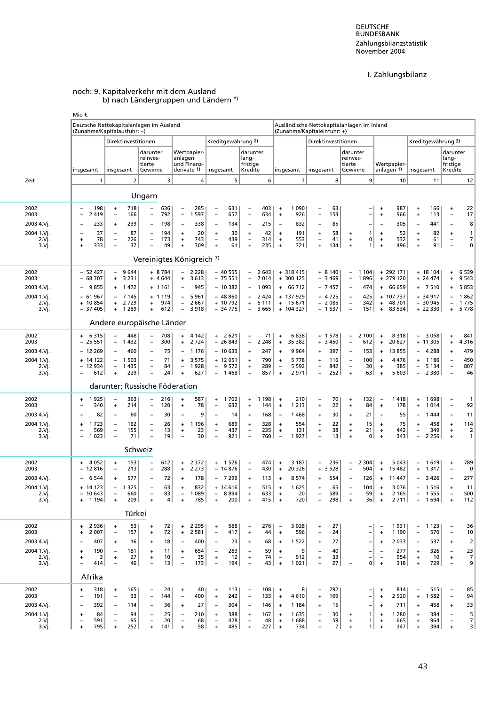|                     | Mio €                                                                   |                                                                   |                                                                    |                                                                         |                                                                         |                                                                         |                                                                 |                                                                          |                                                                                        |                                                                                    |                                                                            |                                                                                                    |
|---------------------|-------------------------------------------------------------------------|-------------------------------------------------------------------|--------------------------------------------------------------------|-------------------------------------------------------------------------|-------------------------------------------------------------------------|-------------------------------------------------------------------------|-----------------------------------------------------------------|--------------------------------------------------------------------------|----------------------------------------------------------------------------------------|------------------------------------------------------------------------------------|----------------------------------------------------------------------------|----------------------------------------------------------------------------------------------------|
|                     |                                                                         | (Zunahme/Kapitalausfuhr: -)                                       | Deutsche Nettokapitalanlagen im Ausland                            |                                                                         |                                                                         |                                                                         |                                                                 | (Zunahme/Kapitaleinfuhr: +)                                              | Ausländische Nettokapitalanlagen im Inland                                             |                                                                                    |                                                                            |                                                                                                    |
|                     |                                                                         | Direktinvestitionen                                               |                                                                    |                                                                         | Kreditgewährung 2)                                                      |                                                                         |                                                                 | Direktinvestitionen                                                      |                                                                                        |                                                                                    | Kreditgewährung 2)                                                         |                                                                                                    |
|                     | insgesamt                                                               | insgesamt                                                         | darunter<br>reinves-<br>tierte<br>Gewinne                          | Wertpapier-<br>anlagen<br>und Finanz-<br>derivate 1)                    | insgesamt                                                               | darunter<br>lang-<br>fristige<br>Kredite                                | insgesamt                                                       | insgesamt                                                                | darunter<br>reinves-<br>tierte<br>Gewinne                                              | Wertpapier-<br>anlagen 1)                                                          | insgesamt                                                                  | darunter<br>lang-<br>fristige<br>Kredite                                                           |
| Zeit                | 1                                                                       | $\overline{2}$                                                    | 3                                                                  | $\overline{4}$                                                          | 5                                                                       | 6                                                                       | $\overline{7}$                                                  | 8                                                                        | 9                                                                                      | 10                                                                                 | 11                                                                         | 12                                                                                                 |
|                     |                                                                         |                                                                   | Ungarn                                                             |                                                                         |                                                                         |                                                                         |                                                                 |                                                                          |                                                                                        |                                                                                    |                                                                            |                                                                                                    |
| 2002<br>2003        | 198<br>2 4 1 9<br>$\overline{\phantom{0}}$                              | 718<br>$\ddot{}$<br>166<br>$\overline{\phantom{a}}$               | 636<br>$\qquad \qquad -$<br>$\overline{a}$<br>792                  | 285<br>$\overline{\phantom{0}}$<br>$\qquad \qquad -$<br>597<br>1        | 631<br>$\qquad \qquad -$<br>657<br>$\overline{\phantom{0}}$             | 403<br>$\overline{\phantom{0}}$<br>634<br>$\overline{a}$                | 1 0 9 0<br>$\ddot{}$<br>926<br>$\ddot{}$                        | 63<br>$\overline{\phantom{0}}$<br>153<br>$\overline{a}$                  |                                                                                        | 987<br>$\begin{array}{c} + \end{array}$<br>966<br>$\begin{array}{c} + \end{array}$ | 166<br>$\ddot{}$<br>113<br>$\ddot{}$                                       | 22<br>$\ddot{}$<br>17<br>$\qquad \qquad -$                                                         |
| 2003 4.Vj.          | 233<br>۰                                                                | 239<br>$\ddot{}$                                                  | 198                                                                | 338<br>$\overline{\phantom{a}}$                                         | 134                                                                     | 215<br>$\overline{\phantom{0}}$                                         | 832<br>$\overline{\phantom{a}}$                                 | 85<br>$\overline{\phantom{0}}$                                           |                                                                                        | 305<br>$\overline{\phantom{a}}$                                                    | 441<br>$\overline{\phantom{0}}$                                            | 8<br>$\overline{\phantom{0}}$                                                                      |
| 2004 1.Vj.<br>2.Vj. | 37<br>$\overline{\phantom{0}}$<br>78<br>+                               | 87<br>$\overline{\phantom{0}}$<br>226<br>$\overline{\phantom{a}}$ | 194<br>173<br>$\overline{\phantom{0}}$                             | 20<br>$\ddot{}$<br>743<br>$\ddot{}$                                     | 30<br>$\ddot{}$<br>439<br>$\overline{\phantom{a}}$                      | 42<br>$\ddot{}$<br>314<br>$\overline{\phantom{a}}$                      | 191<br>$\ddot{}$<br>553<br>$\ddot{}$                            | 58<br>$\ddot{}$<br>41<br>$\overline{\phantom{0}}$                        | $\mathbf{1}$<br>$\ddot{}$<br>0<br>$\ddot{}$                                            | 52<br>$\ddot{}$<br>532<br>$\begin{array}{c} + \end{array}$                         | 82<br>$\ddot{}$<br>61<br>$\begin{array}{c} + \end{array}$                  | 1<br>$\ddot{}$<br>$\overline{7}$                                                                   |
| 3.Vj.               | 333<br>$\ddot{}$                                                        | 37<br>$\overline{\phantom{a}}$                                    | 49<br>$\overline{a}$                                               | 309<br>$\ddot{}$                                                        | 61<br>$\ddot{}$                                                         | 235                                                                     | 721<br>$\ddot{}$                                                | 134<br>$\ddot{}$                                                         | 1 <sup>1</sup><br>$\ddot{}$                                                            | 496<br>$\ddot{}$                                                                   | 91<br>$\ddot{}$                                                            | 0<br>$\overline{\phantom{a}}$                                                                      |
|                     |                                                                         |                                                                   |                                                                    | Vereinigtes Königreich <sup>7)</sup>                                    |                                                                         |                                                                         |                                                                 |                                                                          |                                                                                        |                                                                                    |                                                                            |                                                                                                    |
| 2002<br>2003        | - 52 427<br>$-68707$                                                    | 9644<br>$\overline{\phantom{m}}$<br>3 2 3 1<br>$\ddot{}$          | + 8 7 8 4<br>$+ 4644$                                              | 2 2 2 8<br>$\overline{\phantom{0}}$<br>3613<br>$\ddot{}$                | $-40555$<br>$-7551$                                                     | 2 6 4 3<br>$\overline{\phantom{a}}$<br>7014<br>$\overline{\phantom{0}}$ | $+318415$<br>$+300125$                                          | 8 1 4 0<br>$+$<br>3 4 6 9<br>$\overline{\phantom{a}}$                    | 1 1 0 4<br>$\overline{\phantom{a}}$<br>896<br>$\overline{\phantom{a}}$<br>$\mathbf{1}$ | $+292171$<br>+ 279 120                                                             | 18 104<br>$+$<br>24 474<br>$+$                                             | 6 5 3 9<br>$\ddot{}$<br>9 5 4 3<br>$\ddot{}$                                                       |
| 2003 4.Vj.          | 9855<br>$\qquad \qquad -$                                               | 472<br>$\mathbf{1}$<br>$\ddot{}$                                  | + 1 161                                                            | 945<br>$\qquad \qquad -$                                                | $-10382$                                                                | 1 0 9 3<br>$\qquad \qquad -$                                            | 66 712<br>$\ddot{}$                                             | 7457<br>$\qquad \qquad -$                                                | 474<br>$\overline{\phantom{0}}$                                                        | 66 659<br>$\ddot{}$                                                                | 7 5 1 0<br>$\ddot{}$                                                       | 5853<br>$\ddot{}$                                                                                  |
| 2004 1.Vj.<br>2.Vj. | $-61967$<br>10854<br>$+$                                                | 7 1 4 5<br>$\overline{\phantom{a}}$<br>2729<br>$\ddot{}$          | + 1 1 1 9<br>974<br>$\ddot{}$                                      | 5961<br>$\overline{\phantom{0}}$<br>2 6 6 7<br>$\overline{\phantom{0}}$ | $-48860$<br>$+ 10792$                                                   | 2424<br>$\overline{\phantom{0}}$<br>5 1 1 1<br>$\ddot{}$                | + 137 929<br>15 671<br>$\ddot{}$                                | $-4725$<br>2 0 8 5<br>$\overline{\phantom{a}}$                           | 425<br>$\qquad \qquad -$<br>342<br>$\overline{\phantom{a}}$                            | + 107 737<br>48 701<br>$\ddot{}$                                                   | 34 917<br>$+$<br>30 945<br>$\qquad \qquad -$                               | 1862<br>$\overline{\phantom{0}}$<br>1775<br>$\overline{\phantom{0}}$                               |
| 3.Vj.               | - 37 405                                                                | 1 2 8 9<br>$\ddot{}$                                              | 612<br>$\ddot{}$                                                   | 3918<br>$\overline{\phantom{0}}$                                        | $-34775$                                                                | 3665<br>$\overline{\phantom{0}}$                                        | + 104 327                                                       | 1 5 3 7<br>$\overline{\phantom{a}}$                                      | 151 <br>$\qquad \qquad -$                                                              | 83 534<br>$\ddot{}$                                                                | $+ 22330$                                                                  | 5778<br>$+$                                                                                        |
|                     |                                                                         |                                                                   | Andere europäische Länder                                          |                                                                         |                                                                         |                                                                         |                                                                 |                                                                          |                                                                                        |                                                                                    |                                                                            |                                                                                                    |
| 2002<br>2003        | 6 3 1 5<br>$\ddot{}$<br>$-25551$                                        | 448<br>432<br>$\mathbf{1}$                                        | 708<br>$\overline{\phantom{0}}$<br>300<br>$\overline{\phantom{0}}$ | $\ddot{}$<br>4 142<br>2 7 2 4<br>$\ddot{}$                              | $+ 2621$<br>$-26843$                                                    | 71<br>$\qquad \qquad -$<br>2 2 4 8<br>$\overline{\phantom{0}}$          | 6838<br>$\ddot{}$<br>35 382<br>$\ddot{}$                        | 1 5 7 8<br>$+$<br>3 4 5 0<br>$\ddot{}$                                   | 2<br>100<br>$\overline{\phantom{a}}$<br>612<br>$\overline{a}$                          | $\ddot{}$<br>8318<br>20 627<br>$\ddot{}$                                           | 3058<br>$\overline{\phantom{a}}$<br>11 305<br>$+$                          | 841<br>$\ddot{}$<br>4316<br>$\ddot{}$                                                              |
| 2003 4.Vj.          | $-12269$                                                                | 460<br>$\overline{\phantom{a}}$                                   | 75                                                                 | 1 1 7 6<br>$\overline{\phantom{0}}$                                     | $-10633$                                                                | 247<br>+                                                                | 9964<br>$\ddot{}$                                               | 397<br>$\ddot{}$                                                         | 153<br>$\overline{\phantom{0}}$                                                        | 13855<br>$\ddot{}$                                                                 | 4 2 8 8<br>$\overline{\phantom{0}}$                                        | 479<br>$\ddot{}$                                                                                   |
| 2004 1.Vj.          | $+ 14122$                                                               | 503<br>-1<br>$\overline{\phantom{m}}$                             | 71<br>$\overline{a}$                                               | 3 5 7 5<br>$\ddot{}$                                                    | $+ 12051$                                                               | 790<br>$\ddot{}$                                                        | 5778<br>$\ddot{}$                                               | 116<br>$\ddot{}$                                                         | 100<br>$\qquad \qquad -$                                                               | 4476<br>$\ddot{}$                                                                  | 1 1 8 6<br>$\begin{array}{c} + \end{array}$                                | 450                                                                                                |
| 2.Vj.<br>3.Vj.      | - 12 934<br>612                                                         | 435<br>$\overline{\phantom{a}}$<br>-1<br>229<br>$\ddot{}$         | 84<br>$\overline{\phantom{0}}$<br>24<br>$\overline{\phantom{0}}$   | 1928<br>$\qquad \qquad -$<br>627<br>$\ddot{}$                           | 9 5 7 2<br>$\overline{\phantom{0}}$<br>1468<br>$\overline{\phantom{a}}$ | 289<br>$\ddot{}$<br>857<br>$\overline{\phantom{0}}$                     | 5 5 9 2<br>$\overline{\phantom{0}}$<br>2971<br>$+$              | 842<br>$\overline{\phantom{0}}$<br>252<br>$\overline{\phantom{0}}$       | 30<br>$\qquad \qquad -$<br>63 <br>$+$                                                  | 385<br>$\begin{array}{c} + \end{array}$<br>5 603<br>$\ddot{}$                      | 5 1 3 4<br>$\overline{\phantom{0}}$<br>2 3 8 0<br>$\overline{\phantom{a}}$ | 807<br>$\qquad \qquad -$<br>46<br>$\overline{\phantom{0}}$                                         |
|                     |                                                                         |                                                                   | darunter: Russische Föderation                                     |                                                                         |                                                                         |                                                                         |                                                                 |                                                                          |                                                                                        |                                                                                    |                                                                            |                                                                                                    |
| 2002                | 1925<br>÷                                                               | 363                                                               | 216                                                                | 587<br>$\ddot{}$                                                        | 1702<br>$\ddot{}$                                                       | 1 1 9 8<br>+                                                            | 210<br>$\ddot{}$                                                | 70                                                                       | 132<br>$\ddot{}$                                                                       | 1418<br>$\overline{\phantom{a}}$                                                   | 1698<br>$\ddot{}$                                                          | 1<br>$\overline{\phantom{0}}$                                                                      |
| 2003<br>2003 4.Vj.  | 340<br>$\overline{\phantom{0}}$<br>82                                   | 214<br>$\bf{+}$<br>60<br>$\overline{\phantom{a}}$                 | $\overline{a}$<br>120<br>30                                        | 78<br>$\ddot{}$<br>9<br>$\overline{\phantom{0}}$                        | 632<br>$\overline{\phantom{0}}$<br>14                                   | 144<br>$\ddot{}$<br>168<br>$\ddot{}$                                    | 1 2 1 3<br>$\ddot{}$<br>1468<br>$\overline{\phantom{a}}$        | 22<br>$\ddot{}$<br>30<br>$\ddot{}$                                       | 84<br>$\ddot{}$<br>21<br>$\ddot{}$                                                     | 178<br>$\ddot{}$<br>55<br>$\overline{\phantom{a}}$                                 | 1014<br>$\ddot{}$<br>1444<br>$\overline{\phantom{0}}$                      | 92<br>$\overline{\phantom{0}}$<br>11<br>$\overline{\phantom{0}}$                                   |
| 2004 1.Vj.          | 1723<br>÷                                                               | 162<br>$\overline{\phantom{a}}$                                   | 26<br>$\qquad \qquad -$                                            | 1 1 9 6<br>$\begin{array}{c} + \end{array}$                             | 689<br>$\ddot{}$                                                        | 328<br>$\ddot{}$                                                        | 554<br>$\ddot{}$                                                | 22<br>$\ddot{}$                                                          | 15<br>$\ddot{}$                                                                        | 75<br>$\ddot{}$                                                                    | 458<br>$\ddot{}$                                                           | 114<br>+                                                                                           |
| 2.Vj.<br>3.Vj.      | 569<br>$\overline{\phantom{0}}$<br>023<br>$\overline{\phantom{0}}$<br>1 | 155<br>$\overline{\phantom{a}}$<br>$\equiv$<br>71                 | $\overline{a}$<br>13<br>$\overline{a}$<br>19                       | 23<br>$\ddot{}$<br>30<br>$\overline{\phantom{0}}$                       | 437<br>$\overline{\phantom{a}}$<br>921                                  | 235<br>$\overline{\phantom{0}}$<br>760                                  | 131<br>$\ddot{}$<br>927<br>$\overline{\phantom{0}}$<br>1        | 38<br>$\ddot{}$<br>13<br>$\overline{\phantom{0}}$                        | 21<br>$\begin{array}{c} + \end{array}$<br>$\mathbf{0}$<br>$\ddot{}$                    | 442<br>$\bf{+}$<br>343<br>$\ddot{}$                                                | 349<br>$\overline{\phantom{0}}$<br>2 2 5 6<br>$\overline{a}$               | 2<br>$\ddot{}$<br>$\mathbf{1}$<br>$\ddot{}$                                                        |
|                     |                                                                         |                                                                   | Schweiz                                                            |                                                                         |                                                                         |                                                                         |                                                                 |                                                                          |                                                                                        |                                                                                    |                                                                            |                                                                                                    |
| 2002                | 4 0 5 2<br>$\ddot{}$                                                    | 153<br>$\ddot{}$                                                  | 612<br>$\overline{\phantom{0}}$                                    | 2 3 7 2<br>$\begin{array}{c} + \end{array}$                             | 1 5 2 6<br>$\ddot{}$                                                    | 474                                                                     | 3 1 8 7<br>$\ddot{}$                                            | 236<br>$\overline{\phantom{0}}$                                          | 2 3 0 4<br>$\overline{\phantom{0}}$                                                    | 5 0 4 3<br>$\begin{array}{c} + \end{array}$                                        | 1619<br>$\overline{\phantom{0}}$                                           | 789<br>+                                                                                           |
| 2003<br>2003 4.Vj.  | $-12816$<br>6 5 4 4                                                     | 213<br>$\overline{\phantom{a}}$<br>577<br>$\ddot{}$               | 288<br>$\overline{\phantom{0}}$<br>72<br>$\overline{\phantom{0}}$  | 2 2 7 3<br>$\ddot{}$<br>178<br>÷                                        | $-14876$<br>7 2 9 9<br>$\overline{\phantom{0}}$                         | 430<br>$\overline{\phantom{0}}$<br>113<br>$\ddot{}$                     | 20 326<br>$\ddot{}$<br>8574<br>$\ddot{}$                        | 3 5 28<br>$\ddot{}$<br>554<br>$\ddot{}$                                  | 504<br>$\overline{\phantom{0}}$<br>126                                                 | 15 4 82<br>$\ddot{}$<br>11 447<br>+                                                | 1 3 1 7<br>$\ddot{}$<br>3 4 2 6                                            | 0<br>$\overline{\phantom{0}}$<br>277<br>-                                                          |
| 2004 1.Vj.          | + 14 123                                                                | 325<br>$\overline{\phantom{a}}$<br>1                              | 63<br>$\overline{\phantom{0}}$                                     | 832<br>$\ddot{}$                                                        | $+ 14616$                                                               | 515<br>$\ddot{}$                                                        | 1625<br>$\ddot{}$                                               | 65<br>$\begin{array}{c} + \end{array}$                                   | 104<br>$\overline{\phantom{0}}$                                                        | 3076<br>$\ddot{}$                                                                  | 1516<br>$\overline{\phantom{a}}$                                           | 11<br>$\begin{array}{c} + \end{array}$                                                             |
| 2.Vj.<br>3.Vj.      | $-10643$<br>$+ 1194$                                                    | 660<br>$\overline{\phantom{a}}$<br>209<br>$\ddot{}$               | 83<br>$\overline{a}$<br>4 <br>$\ddot{}$                            | 1 0 8 9<br>$\overline{\phantom{a}}$<br>$\ddot{}$<br>785                 | 8894<br>$\overline{\phantom{a}}$<br>200<br>$\ddot{}$                    | 633<br>$\ddot{}$<br>415<br>$\ddot{}$                                    | 20<br>$\ddot{}$<br>720<br>$+$                                   | 589<br>$\overline{a}$<br>298<br>$\overline{a}$                           | $\overline{a}$<br>59<br>36 <br>$\ddot{}$                                               | 2 1 6 5<br>$\begin{array}{c} + \end{array}$<br>2711<br>$\ddot{}$                   | $\overline{\phantom{a}}$<br>1 5 5 5<br>$\overline{\phantom{a}}$<br>1694    | 500<br>$\overline{\phantom{a}}$<br>$\ddot{}$<br>112                                                |
|                     |                                                                         | Türkei                                                            |                                                                    |                                                                         |                                                                         |                                                                         |                                                                 |                                                                          |                                                                                        |                                                                                    |                                                                            |                                                                                                    |
| 2002                | 2936<br>$\ddot{}$                                                       | 53<br>$\ddot{}$                                                   | $\begin{array}{c} + \end{array}$<br>72                             | 2 2 9 5<br>$\pmb{+}$                                                    | 588<br>$\ddot{}$                                                        | 276<br>$\overline{\phantom{a}}$                                         | 3 0 2 8<br>$\overline{\phantom{a}}$                             | 27<br>$\ddot{}$                                                          | $\overline{\phantom{a}}$                                                               | 1931<br>$\overline{\phantom{a}}$                                                   | 1123<br>$\overline{\phantom{a}}$                                           | 36<br>$\overline{\phantom{a}}$                                                                     |
| 2003<br>2003 4.Vj.  | 2 0 0 7<br>$\ddot{}$<br>407                                             | 157<br>$\overline{\phantom{a}}$<br>16<br>$\ddot{}$                | 72<br>$\ddot{}$<br>18<br>$\ddot{}$                                 | 2 5 8 1<br>$\ddot{}$<br>400<br>$\overline{\phantom{a}}$                 | 417<br>$\overline{\phantom{a}}$<br>23<br>$\qquad \qquad -$              | 44<br>$\ddot{}$<br>68<br>$\pmb{+}$                                      | 596<br>$\ddot{}$<br>1 5 2 2<br>$\begin{array}{c} + \end{array}$ | 24<br>$\qquad \qquad -$<br>27<br>$\ddot{}$                               | $\overline{\phantom{a}}$<br>$\overline{\phantom{m}}$                                   | $\ddot{}$<br>1 1 9 0<br>2 0 3 3<br>$\ddot{}$                                       | $\overline{\phantom{0}}$<br>570<br>537<br>$\overline{\phantom{a}}$         | 10<br>$\overline{\phantom{0}}$<br>2<br>$\ddot{}$                                                   |
| 2004 1.Vj.          | 190<br>+                                                                | 181<br>$\overline{\phantom{a}}$                                   | 11<br>$\ddot{}$                                                    | 654<br>$\ddot{}$                                                        | 283<br>$\overline{\phantom{0}}$                                         | 59                                                                      | 9<br>$\ddot{}$                                                  | 40<br>$\overline{\phantom{0}}$                                           |                                                                                        | 277<br>$\overline{\phantom{a}}$                                                    | 326<br>$\begin{array}{c} + \end{array}$                                    |                                                                                                    |
| 2.Vj.<br>3.Vj.      | 3<br>+<br>414<br>$\overline{\phantom{0}}$                               | 27<br>$\ddot{}$<br>46<br>$\overline{\phantom{a}}$                 | 10<br>$\ddot{}$<br>13 <br>$\overline{\phantom{0}}$                 | 35<br>-<br>173 <br>$\overline{\phantom{m}}$                             | 12<br>$\bf{+}$<br>194 <br>$\overline{\phantom{a}}$                      | 74<br>$\ddot{}$<br>43<br>$\overline{\phantom{0}}$                       | 912<br>$\qquad \qquad -$<br>1 0 2 1<br>$\ddot{}$                | 33<br>$\ddot{}$<br>27<br>$\overline{\phantom{0}}$                        | $\overline{\phantom{a}}$<br>0 <sup>1</sup><br>$\qquad \qquad -$                        | 954<br>$\overline{\phantom{a}}$<br>318<br>$\ddot{}$                                | 10<br>$\begin{array}{c} + \end{array}$<br>729<br>$\ddot{}$                 | 23<br>7<br>9<br>$\ddot{}$<br>$\overline{\phantom{a}}$                                              |
|                     | Afrika                                                                  |                                                                   |                                                                    |                                                                         |                                                                         |                                                                         |                                                                 |                                                                          |                                                                                        |                                                                                    |                                                                            |                                                                                                    |
| 2002                | 318<br>$\ddot{}$                                                        | 165<br>$\ddot{}$                                                  | 24<br>$\qquad \qquad -$                                            | 40 <br>$\ddot{}$                                                        | 113<br>$\ddot{}$                                                        | 108<br>$\qquad \qquad -$                                                | 8<br>$\ddot{}$                                                  | 292<br>$\qquad \qquad -$                                                 | $\overline{\phantom{a}}$                                                               | 814<br>$\ddot{}$                                                                   | 515<br>$\overline{\phantom{a}}$                                            | 85<br>$\overline{\phantom{a}}$                                                                     |
| 2003                | 191<br>$\qquad \qquad -$                                                | 33<br>$\overline{\phantom{a}}$                                    | 144<br>$\qquad \qquad -$                                           | 400<br>$\overline{\phantom{a}}$                                         | 242<br>$\begin{array}{c} + \end{array}$                                 | 133<br>$\overline{\phantom{a}}$                                         | 4610<br>$\ddot{}$                                               | 109<br>$\ddot{}$                                                         | $\overline{\phantom{a}}$                                                               | 2 9 2 0<br>$\ddot{}$                                                               | 1 5 8 2<br>$\ddot{}$                                                       | 94<br>$\overline{\phantom{a}}$                                                                     |
| 2003 4.Vj.          | 392<br>$\qquad \qquad -$                                                | 114<br>$\overline{\phantom{a}}$                                   | 36                                                                 | 27<br>$\begin{array}{c} + \end{array}$                                  | 304<br>$\overline{\phantom{0}}$                                         | 146<br>$\overline{\phantom{a}}$                                         | 1 1 8 4<br>$\begin{array}{c} + \end{array}$                     | 15<br>$\ddot{}$                                                          | $\overline{\phantom{a}}$                                                               | 711<br>$\overline{+}$                                                              | 458<br>$\ddot{}$                                                           | 33<br>$\ddot{}$                                                                                    |
| 2004 1.Vj.<br>2.Vj. | 84<br>$\ddot{}$<br>591<br>$\qquad \qquad -$                             | 94<br>$\overline{\phantom{a}}$<br>95<br>$\overline{\phantom{a}}$  | 25<br>-<br>20<br>$\overline{\phantom{0}}$                          | 210<br>$\overline{\phantom{a}}$<br>68<br>$\overline{\phantom{a}}$       | 388<br>$\ddot{}$<br>428<br>$\overline{\phantom{a}}$                     | 167<br>$\ddot{}$<br>48<br>$\overline{\phantom{0}}$                      | 1635<br>$\ddot{}$<br>1688<br>$\begin{array}{c} + \end{array}$   | 30<br>$\overline{\phantom{0}}$<br>59<br>$\begin{array}{c} + \end{array}$ | $\mathbf{1}$<br>$\ddot{}$<br>1<br>$\ddot{}$                                            | 1 2 8 0<br>$\overline{+}$<br>665<br>$\begin{array}{c} + \end{array}$               | $\ddot{}$<br>384<br>964<br>$\pmb{+}$                                       | 5<br>$\overline{\phantom{0}}$<br>$\begin{array}{c} 7 \\ 3 \end{array}$<br>$\overline{\phantom{0}}$ |
| 3.Vj.               | 795<br>$\ddot{}$                                                        | 252<br>$\ddot{}$                                                  | 141<br>$\ddot{}$                                                   | 58 <br>$\ddot{}$                                                        | 485<br>$\begin{array}{c} + \end{array}$                                 | 227<br>$\begin{array}{c} + \end{array}$                                 | 734<br>$\ddot{}$                                                | 7 <br>$\qquad \qquad -$                                                  | 1 <br>$\ddot{}$                                                                        | 347<br>$\ddot{}$                                                                   | 394 <br>$\begin{array}{c} + \end{array}$                                   | $\ddot{}$                                                                                          |

#### noch: 9. Kapitalverkehr mit dem Ausland b) nach Ländergruppen und Ländern \*)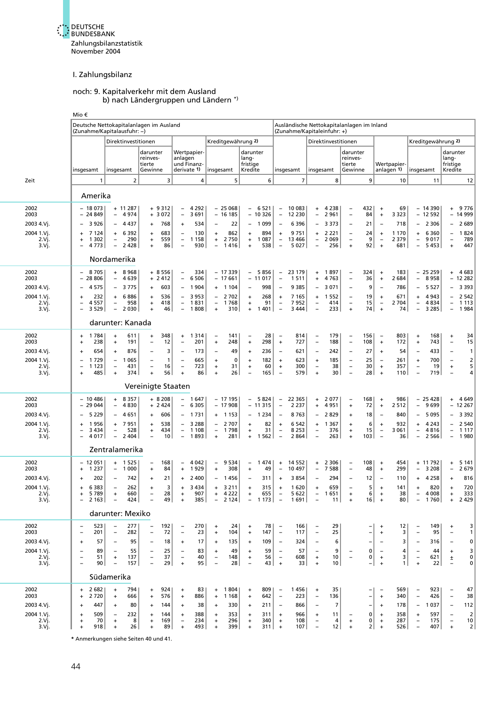

### noch: 9. Kapitalverkehr mit dem Ausland b) nach Ländergruppen und Ländern \*)

|                | Mio €                                                                      |                                                                    |                                                                   |                                                                                |                                                                 |                                                                                   |                                                                           |                                                                           |                                                                    |                                                                |                                                                    |                                                                                  |
|----------------|----------------------------------------------------------------------------|--------------------------------------------------------------------|-------------------------------------------------------------------|--------------------------------------------------------------------------------|-----------------------------------------------------------------|-----------------------------------------------------------------------------------|---------------------------------------------------------------------------|---------------------------------------------------------------------------|--------------------------------------------------------------------|----------------------------------------------------------------|--------------------------------------------------------------------|----------------------------------------------------------------------------------|
|                |                                                                            | (Zunahme/Kapitalausfuhr: -)                                        | Deutsche Nettokapitalanlagen im Ausland                           |                                                                                |                                                                 |                                                                                   |                                                                           | Ausländische Nettokapitalanlagen im Inland<br>(Zunahme/Kapitaleinfuhr: +) |                                                                    |                                                                |                                                                    |                                                                                  |
|                |                                                                            | Direktinvestitionen                                                |                                                                   |                                                                                | Kreditgewährung 2)                                              |                                                                                   |                                                                           | Direktinvestitionen                                                       |                                                                    |                                                                | Kreditgewährung 2)                                                 |                                                                                  |
|                |                                                                            |                                                                    | darunter<br>reinves-<br>tierte                                    | Wertpapier-<br>anlagen<br>und Finanz-                                          |                                                                 | darunter<br>lang-<br>fristige                                                     |                                                                           |                                                                           | darunter<br>reinves-<br>tierte                                     | Wertpapier-                                                    |                                                                    | darunter<br>lang-<br>fristige                                                    |
|                | insgesamt                                                                  | insgesamt                                                          | Gewinne                                                           | derivate 1)                                                                    | insgesamt                                                       | Kredite                                                                           | insgesamt                                                                 | insgesamt                                                                 | Gewinne                                                            | anlagen 1)                                                     | insgesamt                                                          | Kredite                                                                          |
| Zeit           | 1<br>Amerika                                                               | $\overline{2}$                                                     | 3                                                                 | 4                                                                              | 5                                                               | 6                                                                                 | 7                                                                         | 8                                                                         | 9                                                                  | 10                                                             | 11                                                                 | 12                                                                               |
| 2002<br>2003   | $-18073$<br>$-24849$                                                       | + 11 287<br>4974                                                   | $+9312$<br>3 0 7 2<br>$+$                                         | 4 2 9 2<br>$\overline{\phantom{a}}$<br>3691<br>$\overline{\phantom{a}}$        | $-25068$<br>$-16185$                                            | - 6521<br>$-10326$                                                                | 10 083<br>$\overline{\phantom{a}}$<br>12 2 30<br>$\overline{\phantom{0}}$ | $\pmb{+}$<br>4 2 3 8<br>2 9 6 1<br>$\qquad \qquad -$                      | 432<br>$\overline{\phantom{0}}$<br>84<br>$\overline{a}$            | 69<br>$\ddot{}$<br>3 3 2 3<br>$\ddot{}$                        | 14 390<br>$\qquad \qquad -$<br>12 592<br>-                         | 9776<br>$+$<br>14 999<br>$\overline{\phantom{0}}$                                |
| 2003 4.Vj.     | 3 9 2 6<br>$\overline{\phantom{a}}$                                        | 4 4 3 7<br>$\overline{\phantom{0}}$                                | 768<br>$\ddot{}$                                                  | 534<br>$\ddot{}$                                                               | 22                                                              | 1099<br>$\overline{\phantom{0}}$                                                  | 6 3 9 6<br>$\overline{\phantom{0}}$                                       | 3 3 7 3<br>$\overline{\phantom{a}}$                                       | 21<br>$\overline{\phantom{0}}$                                     | 718<br>$\overline{\phantom{a}}$                                | 2 3 0 6<br>-                                                       | 2689<br>$\overline{\phantom{0}}$                                                 |
| 2004 1.Vj.     | 7 1 2 4<br>$\ddot{}$<br>1 3 0 2                                            | 392<br>6<br>$\ddot{}$<br>290                                       | 683<br>$\ddot{}$<br>559                                           | 130<br>$\overline{\phantom{a}}$<br>1 1 5 8<br>$\overline{\phantom{a}}$         | 862<br>$\ddot{}$<br>2 7 5 0                                     | 894<br>$\ddot{}$<br>1 0 8 7                                                       | 9751<br>$\ddot{}$<br>13 4 66                                              | 2 2 2 1<br>$\ddot{}$<br>2 0 6 9                                           | 24<br>$\overline{\phantom{0}}$<br>9<br>$\overline{a}$              | 1 1 7 0<br>$\ddot{}$<br>2 3 7 9                                | 6 3 6 0<br>$\ddot{}$<br>9 0 1 7<br>$\overline{\phantom{0}}$        | 1824<br>$\overline{\phantom{0}}$<br>789<br>$\overline{\phantom{a}}$              |
| 2.Vj.<br>3.Vj. | $\ddot{}$<br>4773<br>$\overline{\phantom{0}}$                              | $\qquad \qquad -$<br>428<br>2<br>$\qquad \qquad -$                 | +<br>86<br>$\ddot{}$                                              | 930<br>$\overline{\phantom{a}}$                                                | $\ddot{}$<br>1416<br>$\overline{\phantom{0}}$                   | $\ddot{}$<br>538<br>$\ddot{}$                                                     | $\qquad \qquad -$<br>5 0 2 7<br>$\overline{\phantom{a}}$                  | $\overline{\phantom{a}}$<br>256<br>$\overline{\phantom{0}}$               | 92<br>$\ddot{}$                                                    | $\qquad \qquad -$<br>681<br>$\ddot{}$                          | 5453<br>$\overline{\phantom{a}}$                                   | 447<br>$\ddot{}$                                                                 |
|                |                                                                            | Nordamerika                                                        |                                                                   |                                                                                |                                                                 |                                                                                   |                                                                           |                                                                           |                                                                    |                                                                |                                                                    |                                                                                  |
| 2002<br>2003   | 8705<br>$\overline{\phantom{a}}$<br>$-28806$                               | 8968<br>$+$<br>4 6 3 9<br>$\overline{\phantom{a}}$                 | $+8556$<br>$+ 2412$                                               | 334<br>$\overline{\phantom{a}}$<br>6 5 0 6<br>$\overline{\phantom{a}}$         | $-17339$<br>$-17661$                                            | 5856<br>$\overline{\phantom{0}}$<br>$-11017$                                      | 23 179<br>$\overline{\phantom{0}}$<br>1511<br>$\overline{\phantom{0}}$    | 1897<br>$\ddot{}$<br>4763<br>$\ddot{}$                                    | 324<br>36<br>$\overline{\phantom{0}}$                              | 183<br>$\ddot{}$<br>2684<br>$\ddot{}$                          | 25 25 9<br>$\overline{\phantom{a}}$<br>8958<br>$\equiv$            | 4 6 8 3<br>$+$<br>$-12282$                                                       |
| 2003 4.Vi.     | 4575<br>$\qquad \qquad -$                                                  | 3775<br>$\qquad \qquad -$                                          | 603<br>$\ddot{}$                                                  | 1904<br>$\overline{\phantom{a}}$                                               | 1 104<br>$+$                                                    | 998<br>$\overline{\phantom{0}}$                                                   | 9 3 8 5<br>$\overline{\phantom{0}}$                                       | 3 0 7 1<br>$\overline{\phantom{a}}$                                       | 9<br>$\overline{\phantom{0}}$                                      | 786<br>$\overline{\phantom{a}}$                                | 5 5 2 7<br>$\overline{\phantom{0}}$                                | 3 3 9 3<br>$\overline{\phantom{0}}$                                              |
| 2004 1.Vj.     | 232<br>÷                                                                   | 6886<br>+                                                          | 536<br>$\ddot{}$                                                  | 3 9 5 3<br>$\overline{\phantom{a}}$<br>$\overline{\phantom{a}}$                | 2 7 0 2<br>$\overline{\phantom{0}}$<br>$\overline{\phantom{a}}$ | 268<br>÷                                                                          | 7 1 6 5<br>÷                                                              | 1 5 5 2<br>$\ddot{}$<br>$\overline{\phantom{0}}$                          | 19<br>$\overline{\phantom{0}}$<br>$\overline{\phantom{0}}$         | 671<br>$\ddot{}$                                               | 4 9 4 3<br>$\ddot{}$<br>-                                          | 2 5 4 2<br>$\overline{\phantom{a}}$<br>$-$                                       |
| 2.Vj.<br>3.Vj. | 4 5 5 7<br>$\overline{\phantom{0}}$<br>3 5 2 9<br>$\overline{\phantom{a}}$ | 958<br>$\qquad \qquad -$<br>2 0 3 0<br>$\overline{\phantom{0}}$    | 418<br>$\begin{array}{c} + \end{array}$<br>46<br>$\ddot{}$        | 1831<br>1808<br>$\overline{\phantom{0}}$                                       | 1768<br>310<br>$\ddot{}$                                        | 91<br>$\ddot{}$<br>401<br>$\ddot{}$<br>-1                                         | 7952<br>$\overline{\phantom{0}}$<br>3 4 4 4<br>$\overline{\phantom{0}}$   | 414<br>$\frac{1}{2}$<br>233                                               | 15<br>74 <br>$\ddot{}$                                             | 2 704<br>$\overline{\phantom{a}}$<br>$\ddot{}$<br>74           | 4834<br>3 2 8 5<br>$\overline{a}$                                  | 1 1 1 3<br>1984<br>$\overline{\phantom{a}}$                                      |
|                |                                                                            | darunter: Kanada                                                   |                                                                   |                                                                                |                                                                 |                                                                                   |                                                                           |                                                                           |                                                                    |                                                                |                                                                    |                                                                                  |
| 2002<br>2003   | 1784<br>$\ddot{}$<br>238<br>$\ddot{}$                                      | 611<br>$\ddot{}$<br>191<br>$\ddot{}$                               | 348<br>$\ddot{}$<br>12<br>$\overline{\phantom{0}}$                | 1 3 1 4<br>$\begin{array}{c} + \end{array}$<br>201<br>$\overline{\phantom{a}}$ | 141<br>$\overline{\phantom{0}}$<br>248<br>$\ddot{}$             | 28<br>$\overline{\phantom{0}}$<br>298<br>$\ddot{}$                                | 814<br>$\overline{\phantom{a}}$<br>727<br>$\ddot{}$                       | 179<br>$\overline{\phantom{0}}$<br>188<br>$\overline{\phantom{a}}$        | 156<br>$\overline{\phantom{0}}$<br>108<br>$\overline{\phantom{0}}$ | 803<br>$\overline{a}$<br>172<br>$\ddot{}$                      | 168<br>$\ddot{}$<br>743<br>$\,$ + $\,$                             | 34<br>$\ddot{}$<br>15<br>$\overline{\phantom{0}}$                                |
| 2003 4.Vj.     | 654<br>$\ddot{}$                                                           | 876<br>$\ddot{}$                                                   | 3                                                                 | 173<br>$\overline{\phantom{0}}$                                                | 49                                                              | 236<br>$\ddot{}$                                                                  | 621<br>$\qquad \qquad -$                                                  | 242<br>$\overline{\phantom{0}}$                                           | 27<br>$\overline{\phantom{0}}$                                     | 54<br>$\ddot{}$                                                | 433<br>$\overline{\phantom{a}}$                                    | $\mathbf{1}$<br>$\overline{\phantom{0}}$                                         |
| 2004 1.Vj.     | 1729<br>$\overline{\phantom{a}}$                                           | 065<br>$\qquad \qquad -$<br>1                                      | $\mathbf{1}$<br>$\qquad \qquad -$                                 | 665<br>$\overline{\phantom{a}}$                                                | 0<br>$\ddot{}$                                                  | 182<br>$\ddot{}$                                                                  | 623<br>$\ddot{}$                                                          | 185<br>$\ddot{}$                                                          | 25<br>$\overline{\phantom{0}}$                                     | 261<br>$\overline{\phantom{0}}$                                | 700<br>$\begin{array}{c} + \end{array}$                            | 2<br>$\overline{\phantom{a}}$                                                    |
| 2.Vj.<br>3.Vj. | 1 1 2 3<br>$\overline{\phantom{0}}$<br>485<br>$\ddot{}$                    | 431<br>$\qquad \qquad -$<br>374<br>$\ddot{}$                       | 16<br>$\overline{\phantom{0}}$<br>56<br>$\ddot{}$                 | 723<br>$\overline{\phantom{a}}$<br>86<br>$\ddot{}$                             | 31<br>$\ddot{}$<br>26<br>$\ddot{}$                              | 60<br>$\ddot{}$<br>165                                                            | 300<br>$\ddot{}$<br>579<br>$\overline{\phantom{0}}$                       | 38<br>$\overline{\phantom{0}}$<br>30<br>$\ddot{}$                         | 30<br>$\overline{a}$<br>28<br>$\overline{a}$                       | 357<br>$\ddot{}$<br>$\ddot{}$<br>110                           | 19<br>$\overline{\phantom{0}}$<br>719<br>$\overline{\phantom{a}}$  | 5<br>$\begin{array}{c} + \end{array}$<br>4                                       |
|                |                                                                            |                                                                    | Vereinigte Staaten                                                |                                                                                |                                                                 |                                                                                   |                                                                           |                                                                           |                                                                    |                                                                |                                                                    |                                                                                  |
| 2002<br>2003   | $-10486$<br>29 044<br>$\overline{\phantom{0}}$                             | 8 3 5 7<br>$\ddot{}$<br>4830                                       | $+8208$<br>$+ 2424$                                               | $\overline{\phantom{a}}$<br>1 647<br>6 3 0 5<br>$\overline{\phantom{0}}$       | - 17 195<br>$-17908$                                            | - 5824<br>- 11 315                                                                | 22 3 65<br>$\qquad \qquad -$<br>2 2 3 7<br>$\overline{\phantom{0}}$       | 2077<br>$\begin{array}{c} + \end{array}$<br>4951<br>$\ddot{}$             | 168<br>$\overline{\phantom{0}}$<br>72<br>$\ddot{}$                 | 986<br>$\ddot{}$<br>2512<br>$\ddot{}$                          | 25 4 28<br>$\overline{\phantom{a}}$<br>9699<br>-                   | 4 6 4 9<br>$+$<br>$-12267$                                                       |
| 2003 4.Vj.     | 5 2 2 9<br>$\overline{\phantom{a}}$                                        | 4 651<br>$\qquad \qquad -$                                         | 606<br>$\ddot{}$                                                  | 1731<br>$\overline{\phantom{a}}$                                               | 1 1 5 3<br>$+$                                                  | 1 2 3 4<br>$\overline{\phantom{0}}$                                               | 8763<br>$\overline{\phantom{0}}$                                          | 2829<br>$\overline{\phantom{a}}$                                          | 18<br>$\ddot{}$                                                    | 840<br>$\overline{\phantom{a}}$                                | 5 0 9 5<br>-                                                       | 3 3 9 2                                                                          |
| 2004 1.Vj.     | 1956<br>$\ddot{}$                                                          | 7951<br>$\ddot{}$                                                  | 538<br>$\ddot{}$                                                  | 3 2 8 8<br>$\overline{\phantom{a}}$                                            | 2 707<br>$\overline{\phantom{a}}$                               | 82<br>$\ddot{}$                                                                   | 6 5 4 2<br>$\ddot{}$                                                      | 1 3 6 7<br>$\begin{array}{c} + \end{array}$                               | 6<br>$\ddot{}$                                                     | 932<br>$\ddot{}$                                               | 4 2 4 3<br>$\ddot{}$                                               | 2 5 4 0<br>$\overline{\phantom{0}}$                                              |
| 2.Vj.<br>3.Vj. | 3 4 3 4<br>$\overline{\phantom{a}}$<br>4017<br>$\overline{\phantom{0}}$    | 528<br>$\qquad \qquad -$<br>2 4 0 4<br>$\qquad \qquad -$           | 434<br>+<br>10<br>$\overline{\phantom{0}}$                        | 1 1 0 8<br>$\overline{\phantom{a}}$<br>1893<br>$\overline{\phantom{0}}$        | 1798<br>$\overline{\phantom{a}}$<br>281<br>$\ddot{}$            | 31<br>$\ddot{}$<br>1 5 6 2<br>$\ddot{}$                                           | 8 2 5 3<br>$\overline{\phantom{0}}$<br>2864<br>$\overline{a}$             | 376<br>$\overline{\phantom{0}}$<br>263<br>$\overline{\phantom{a}}$        | 15<br>$\ddot{}$<br>103<br>$\ddot{}$                                | 3 0 6 1<br>$\qquad \qquad -$<br>36<br>$\overline{\phantom{0}}$ | 4816<br>-<br>2 5 6 6<br>$\overline{\phantom{a}}$                   | 1 1 1 7<br>$\overline{\phantom{0}}$<br>1980<br>$\overline{\phantom{0}}$          |
|                |                                                                            | Zentralamerika                                                     |                                                                   |                                                                                |                                                                 |                                                                                   |                                                                           |                                                                           |                                                                    |                                                                |                                                                    |                                                                                  |
| 2002<br>2003   | $-12051$<br>1 2 3 7                                                        | 525<br>$\overline{1}$<br>$\ddot{}$<br>1 0 0 0                      | 168<br>$\overline{\phantom{0}}$<br>84                             | 4 0 4 2<br>1929                                                                | 9 5 3 4<br>308                                                  | 1474<br>49                                                                        | 14 552<br>$\ddot{}$<br>10 497<br>$\overline{\phantom{0}}$                 | 2 3 0 6<br>$\ddot{}$<br>7 5 8 8<br>$\overline{\phantom{0}}$               | 108<br>$\overline{\phantom{0}}$                                    | 454<br>$\overline{1}$<br>299                                   | 11 792<br>+<br>3 2 0 8<br>-                                        | 5 1 4 1<br>$+$<br>$\overline{\phantom{0}}$                                       |
| 2003 4.Vj.     | $\ddot{}$<br>202<br>$\ddot{}$                                              | $\overline{\phantom{a}}$<br>742                                    | $\begin{array}{c} + \end{array}$<br>21<br>$\ddot{}$               | $\ddot{}$<br>2 4 0 0<br>+                                                      | $\ddot{}$<br>1456                                               | ÷<br>311                                                                          | 3854<br>$\ddot{}$                                                         | 294                                                                       | 48<br>12                                                           | $\ddot{}$<br>110<br>$\overline{\phantom{a}}$                   | 4 2 5 8<br>$\ddot{}$                                               | 2679<br>816<br>$\ddot{}$                                                         |
| 2004 1.Vj.     | 6 3 8 3<br>$\ddot{}$                                                       | 262                                                                | 3                                                                 | 434<br>3                                                                       | 3 2 1 1                                                         | 315                                                                               | 1620                                                                      | 659                                                                       | 5                                                                  | 141<br>$\cdot$                                                 | 820                                                                | 720                                                                              |
| 2.Vj.<br>3.Vj. | 5789<br>$\ddot{}$<br>2163<br>$\overline{\phantom{a}}$                      | 660<br>$\pmb{+}$<br>424<br>$\overline{\phantom{a}}$                | 28<br>$\bar{a}$<br>49                                             | 907<br>$\bf{+}$<br>385<br>$\ddot{}$                                            | 4 2 2 2<br>$\ddot{}$<br>2124<br>$\overline{\phantom{a}}$        | 655<br>$\ddot{}$<br>1 173<br>$-$                                                  | 5 6 2 2<br>$\bar{z}$<br>1691                                              | 1651<br>$\bar{a}$<br>11                                                   | 6<br>$\ddot{}$<br>16<br>$\ddot{}$                                  | 38<br>$+$<br>80 <br>$+$                                        | 4 0 0 8<br>$\qquad \qquad -$<br>$\frac{1}{2}$<br>1760              | 333<br>$\pmb{+}$<br>2 4 2 9<br>$\ddot{}$                                         |
|                |                                                                            | darunter: Mexiko                                                   |                                                                   |                                                                                |                                                                 |                                                                                   |                                                                           |                                                                           |                                                                    |                                                                |                                                                    |                                                                                  |
| 2002<br>2003   | 523<br>201<br>$\overline{\phantom{a}}$                                     | 277<br>$\overline{\phantom{0}}$<br>282<br>$\overline{\phantom{a}}$ | 192<br>$\overline{\phantom{0}}$<br>72<br>$\overline{\phantom{a}}$ | 270<br>$\overline{\phantom{a}}$<br>23<br>$\overline{\phantom{a}}$              | 24<br>$\ddot{}$<br>104<br>$\ddot{}$                             | 78<br>$\begin{array}{c} + \end{array}$<br>147<br>$\begin{array}{c} + \end{array}$ | 166<br>$\overline{\phantom{a}}$<br>117<br>$\overline{\phantom{a}}$        | 29<br>$\overline{\phantom{a}}$<br>25<br>$\overline{\phantom{a}}$          |                                                                    | 12<br>$\ddot{}$<br>3<br>$\ddot{}$                              | 149<br>95                                                          | 3<br>$\begin{array}{c} + \end{array}$<br>1<br>$\overline{\phantom{a}}$           |
| 2003 4.Vj.     | 57<br>$\ddot{}$                                                            | 95                                                                 | 18                                                                | 17<br>$\ddot{}$                                                                | 135<br>$\ddot{}$                                                | 109<br>$\ddot{}$                                                                  | 324<br>$\overline{\phantom{a}}$                                           | 6                                                                         |                                                                    | 3                                                              | 316                                                                | $\pmb{0}$<br>$\overline{\phantom{0}}$                                            |
| 2004 1.Vj.     | 89<br>$\overline{\phantom{a}}$                                             | 55                                                                 | 25                                                                | 83                                                                             | 49<br>$\ddot{}$                                                 | 59                                                                                | 57<br>$\overline{\phantom{a}}$                                            | 9<br>$\overline{\phantom{0}}$                                             | 0                                                                  | 4                                                              | 44                                                                 | 3<br>$\ddot{}$                                                                   |
| 2.Vj.<br>3.Vj. | 51<br>$\overline{\phantom{0}}$<br>90<br>$\overline{\phantom{0}}$           | 137<br>$\ddot{}$<br>157<br>$\overline{\phantom{0}}$                | 37<br>$\qquad \qquad -$<br>29<br>$\equiv$                         | 40<br>$\overline{\phantom{a}}$<br>95 <br>$\ddot{}$                             | 148<br>28                                                       | 56<br>+<br>43                                                                     | 608<br>$\overline{\phantom{a}}$<br>$+$<br>33                              | 10<br>$\bf{+}$<br>10 <sup>1</sup><br>$\ddot{}$                            | 0<br>$\overline{\phantom{0}}$                                      | 3<br>$\ddot{}$<br>1 <br>$\overline{+}$                         | 621<br>22<br>$\ddot{}$                                             | 0<br>Ŧ<br>$\pmb{0}$<br>$\overline{\phantom{a}}$                                  |
|                |                                                                            | Südamerika                                                         |                                                                   |                                                                                |                                                                 |                                                                                   |                                                                           |                                                                           |                                                                    |                                                                |                                                                    |                                                                                  |
| 2002<br>2003   | 2 6 8 2<br>$+$<br>2720<br>$\begin{array}{c} + \end{array}$                 | 794<br>$\ddot{}$<br>666<br>$\ddot{}$                               | 924<br>$+$<br>576<br>$\ddot{}$                                    | 83<br>$\begin{array}{c} + \end{array}$<br>886<br>$\ddot{}$                     | 1804<br>$+$<br>1 1 6 8<br>$+$                                   | 809<br>$\ddot{}$<br>642<br>$\ddot{}$                                              | 1456<br>$\overline{\phantom{a}}$<br>223<br>$\overline{\phantom{a}}$       | 35<br>$\ddot{}$<br>136<br>$\overline{\phantom{a}}$                        |                                                                    | 569<br>340<br>$\ddot{}$                                        | 923<br>$\overline{\phantom{a}}$<br>426<br>$\overline{\phantom{a}}$ | 47<br>$\overline{\phantom{a}}$<br>38<br>$\overline{\phantom{a}}$                 |
| 2003 4.Vj.     | 447<br>$\ddot{}$                                                           | 80<br>$\ddot{}$                                                    | 144<br>$\ddot{}$                                                  | 38<br>$\begin{array}{c} + \end{array}$                                         | 330<br>$\ddot{}$                                                | 211<br>$\ddot{}$                                                                  | 866<br>$\overline{\phantom{a}}$                                           | 7<br>$\qquad \qquad -$                                                    |                                                                    | 178<br>$\overline{1}$                                          | 1 0 3 7<br>$\overline{\phantom{a}}$                                | 112                                                                              |
| 2004 1.Vj.     | 509<br>$\ddot{}$                                                           | 232<br>$\overline{a}$                                              | 144<br>$\ddot{}$                                                  | 388<br>$\ddot{}$                                                               | 353<br>$\ddot{}$                                                | 311<br>+                                                                          | 966<br>$\ddot{}$                                                          | 11<br>$\ddot{}$                                                           | 0                                                                  | 358<br>$\overline{+}$                                          | 597<br>+                                                           | $\overline{2}$                                                                   |
| 2.Vj.<br>3.Vj. | 70<br>$\ddot{}$<br>918<br>$\bf{+}$                                         | 8<br>$\ddot{}$<br>26 <br>$\ddot{}$                                 | 169<br>$\ddot{}$<br>89 <br>$\ddot{}$                              | 234<br>$\overline{\phantom{a}}$<br>493<br>$\begin{array}{c} + \end{array}$     | 296<br>+<br>399<br>+                                            | 340<br>+<br>311                                                                   | 108<br>$\ddot{}$<br>107<br>$\overline{+}$                                 | 4<br><sup>-</sup><br>12                                                   | 0<br>2                                                             | 287<br>$\ddot{}$<br>526                                        | 175<br>$\overline{\phantom{a}}$<br>407<br>$\overline{\phantom{a}}$ | $\begin{bmatrix} 10 \\ 2 \end{bmatrix}$<br>-<br>$\begin{array}{c} + \end{array}$ |

**\*** Anmerkungen siehe Seiten 40 und 41.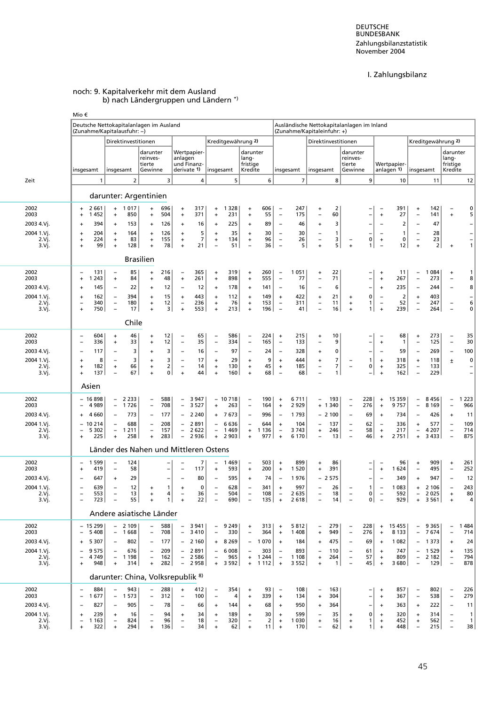|                     | Mio €                                                                   |                                                                            |                                                                                 |                                                                            |                                                                                   |                                                                    |                                                                            |                                                                                          |                                                                    |                                                             |                                                                            |                                                                           |
|---------------------|-------------------------------------------------------------------------|----------------------------------------------------------------------------|---------------------------------------------------------------------------------|----------------------------------------------------------------------------|-----------------------------------------------------------------------------------|--------------------------------------------------------------------|----------------------------------------------------------------------------|------------------------------------------------------------------------------------------|--------------------------------------------------------------------|-------------------------------------------------------------|----------------------------------------------------------------------------|---------------------------------------------------------------------------|
|                     | (Zunahme/Kapitalausfuhr: -)                                             |                                                                            | Deutsche Nettokapitalanlagen im Ausland                                         |                                                                            |                                                                                   |                                                                    |                                                                            | Ausländische Nettokapitalanlagen im Inland<br>(Zunahme/Kapitaleinfuhr: +)                |                                                                    |                                                             |                                                                            |                                                                           |
|                     |                                                                         | Direktinvestitionen                                                        |                                                                                 |                                                                            | Kreditaewährung 2)                                                                |                                                                    |                                                                            | Direktinvestitionen                                                                      |                                                                    |                                                             | Kreditgewährung 2)                                                         |                                                                           |
|                     | insgesamt                                                               | insgesamt                                                                  | darunter<br>reinves-<br>tierte<br>Gewinne                                       | Wertpapier-<br>anlagen<br>und Finanz-<br>derivate 1)                       | insgesamt                                                                         | darunter<br>lang-<br>fristige<br>Kredite                           | insgesamt                                                                  | insgesamt                                                                                | darunter<br>reinves-<br>tierte<br>Gewinne                          | Wertpapier-<br>anlagen 1)                                   | insgesamt                                                                  | darunter<br>lang-<br>fristige<br>Kredite                                  |
| Zeit                | $\mathbf{1}$                                                            | $\overline{2}$                                                             | 3                                                                               | 4                                                                          | 5                                                                                 | 6                                                                  | 7                                                                          | 8                                                                                        | 9                                                                  | 10                                                          | 11                                                                         | 12                                                                        |
|                     |                                                                         | darunter: Argentinien                                                      |                                                                                 |                                                                            |                                                                                   |                                                                    |                                                                            |                                                                                          |                                                                    |                                                             |                                                                            |                                                                           |
| 2002<br>2003        | 2 6 6 1<br>$\begin{array}{c} + \end{array}$<br>1452<br>$\ddot{}$        | 1017<br>$\ddot{}$<br>850<br>$\ddot{}$                                      | 696<br>$\ddot{}$<br>504<br>$\begin{array}{c} + \end{array}$                     | 317<br>$\ddot{}$<br>371<br>$\ddot{}$                                       | 1 3 2 8<br>$\begin{array}{c} + \end{array}$<br>231<br>$\ddot{}$                   | 606<br>$\begin{array}{c} + \end{array}$<br>55<br>$\ddot{}$         | 247<br>$\qquad \qquad -$<br>175<br>$\overline{\phantom{a}}$                | $\overline{2}$<br>$\ddot{}$<br>60<br>$\overline{\phantom{a}}$                            |                                                                    | 391<br>27<br>$\ddot{}$                                      | 142<br>$\begin{array}{c} + \end{array}$<br>141<br>$\overline{\phantom{a}}$ | 0<br>5<br>$\ddot{}$                                                       |
| 2003 4.Vj.          | 394<br>$\ddot{}$                                                        | 153<br>$\ddot{}$                                                           | 126<br>$\ddot{}$                                                                | 16<br>$\ddot{}$                                                            | 225<br>$\begin{array}{c} + \end{array}$                                           | 89<br>$\ddot{}$                                                    | 46<br>$\overline{\phantom{a}}$                                             | 3<br>$\overline{1}$                                                                      |                                                                    | 2                                                           | 47                                                                         | $\qquad \qquad -$                                                         |
| 2004 1.Vi.<br>2.Vj. | 204<br>$\ddot{}$<br>224<br>$\ddot{}$                                    | 164<br>$\ddot{}$<br>83<br>$\begin{array}{c} + \end{array}$                 | 126<br>$\ddot{}$<br>155<br>$\begin{array}{c} + \end{array}$                     | 5<br>$\ddot{}$<br>7<br>$\ddot{}$                                           | 35<br>$\ddot{}$<br>134<br>$\ddot{}$                                               | 30<br>$\ddot{}$<br>96<br>$\ddot{}$                                 | 30<br>$\overline{\phantom{a}}$<br>26<br>$\overline{\phantom{a}}$           | 1<br>$\overline{\phantom{a}}$<br>3<br>$\overline{\phantom{0}}$                           | $\overline{\phantom{0}}$<br>0<br>$\overline{\phantom{a}}$          | $\mathbf{1}$<br>0<br>$\ddot{}$                              | 28<br>23<br>$\overline{\phantom{a}}$                                       | -<br>$\overline{\phantom{0}}$                                             |
| 3.Vj.               | 99<br>$\ddot{}$                                                         | 128<br>$\ddot{}$                                                           | 78<br>$+$<br><b>Brasilien</b>                                                   | 21<br>$\ddot{}$                                                            | 51<br>$\overline{a}$                                                              | 36 <br>$\overline{\phantom{0}}$                                    | 5<br>$\overline{\phantom{a}}$                                              | 5<br>$\ddot{}$                                                                           | 1 <sup>1</sup><br>$\ddot{}$                                        | 12<br>$\overline{\phantom{0}}$                              | 2 <br>$\ddot{}$                                                            | $\mathbf{1}$<br>$\ddot{}$                                                 |
| 2002                | 131<br>$\qquad \qquad -$                                                | 85<br>$\overline{\phantom{0}}$                                             | 216<br>÷                                                                        | 365<br>$\overline{\phantom{a}}$                                            | 319<br>$\ddot{}$                                                                  | 260<br>$\ddot{}$                                                   | 1051<br>$\overline{\phantom{a}}$                                           | 22<br>$\ddot{}$                                                                          |                                                                    | 11<br>$\ddot{}$                                             | 1 0 8 4<br>$\qquad \qquad -$                                               | 1<br>+                                                                    |
| 2003                | 243<br>$\ddot{}$<br>1                                                   | 84<br>$\ddot{}$                                                            | 48<br>$\ddot{}$                                                                 | 261<br>$\ddot{}$                                                           | 898<br>$\ddot{}$                                                                  | 555<br>$\ddot{}$                                                   | 77<br>$\overline{\phantom{a}}$                                             | 71<br>$\overline{\phantom{0}}$                                                           | ۳                                                                  | 267<br>$\ddot{}$                                            | 273<br>$\qquad \qquad -$                                                   | 8<br>$\overline{\phantom{0}}$                                             |
| 2003 4.Vj.          | 145<br>$\ddot{}$                                                        | 22<br>$\overline{\phantom{a}}$                                             | 12<br>$\ddot{}$                                                                 | 12<br>$\overline{\phantom{0}}$                                             | 178<br>$\ddot{}$                                                                  | 141<br>$\ddot{}$                                                   | 16<br>$\overline{\phantom{0}}$                                             | 6                                                                                        |                                                                    | 235<br>$\ddot{}$                                            | 244<br>$\overline{\phantom{a}}$                                            | 8<br>$\overline{\phantom{0}}$                                             |
| 2004 1.Vj.<br>2.Vj. | 162<br>$\begin{array}{c} + \end{array}$<br>340<br>$\qquad \qquad -$     | 394<br>$\overline{\phantom{a}}$<br>180<br>$\overline{\phantom{a}}$         | 15<br>$\ddot{}$<br>12<br>$\bf{+}$                                               | 443<br>$\ddot{}$<br>236<br>$\overline{\phantom{a}}$                        | 112<br>$\begin{array}{c} + \end{array}$<br>76<br>$\begin{array}{c} + \end{array}$ | 149<br>$\ddot{}$<br>153<br>$\bf{+}$                                | 422<br>$\begin{array}{c} + \end{array}$<br>311<br>$\overline{\phantom{a}}$ | 21<br>$\ddot{}$<br>11<br>$\overline{\phantom{a}}$                                        | 0<br>$\ddot{}$<br>$\bf{+}$<br>1                                    | 2<br>$\overline{\phantom{a}}$<br>52<br>$\qquad \qquad -$    | 403<br>$\begin{array}{c} + \end{array}$<br>247<br>$\overline{\phantom{a}}$ | $\overline{\phantom{a}}$<br>6<br>$\overline{\phantom{0}}$                 |
| 3.Vj.               | 750<br>$\ddot{}$                                                        | 17<br>$\overline{\phantom{a}}$                                             | $\overline{\mathbf{3}}$<br>$\ddot{}$                                            | 553<br>$\ddot{}$                                                           | 213<br>$\ddot{}$                                                                  | 196<br>$+$                                                         | 41<br>$\overline{\phantom{a}}$                                             | 16                                                                                       | $\ddot{}$<br>1 <sup>1</sup>                                        | 239<br>$\ddot{}$                                            | 264                                                                        | 0                                                                         |
|                     |                                                                         | Chile                                                                      |                                                                                 |                                                                            |                                                                                   |                                                                    |                                                                            |                                                                                          |                                                                    |                                                             |                                                                            |                                                                           |
| 2002                | 604<br>$\overline{\phantom{0}}$                                         | 46<br>$\ddot{}$                                                            | 12<br>$\begin{array}{c} + \end{array}$                                          | 65                                                                         | 586<br>$\qquad \qquad -$                                                          | 224<br>$\overline{\phantom{a}}$                                    | 215<br>$\ddot{}$                                                           | 10<br>$\ddot{}$<br>9                                                                     |                                                                    | 68                                                          | 273<br>$\begin{array}{c} + \end{array}$                                    | 35<br>$\overline{\phantom{a}}$                                            |
| 2003<br>2003 4.Vj.  | 336<br>$\qquad \qquad -$<br>117<br>$\overline{\phantom{0}}$             | 33<br>$\begin{array}{c} + \end{array}$<br>3<br>$\overline{\phantom{0}}$    | 12<br>$\ddot{}$<br>3<br>$\ddot{}$                                               | 35<br>$\overline{\phantom{a}}$<br>16<br>$\overline{\phantom{a}}$           | 334<br>$\overline{a}$<br>97<br>$\overline{\phantom{0}}$                           | 165<br>$\overline{\phantom{a}}$<br>24<br>$\overline{\phantom{0}}$  | 133<br>$\overline{\phantom{a}}$<br>328<br>$\overline{\phantom{a}}$         | 0<br>$\overline{1}$                                                                      |                                                                    | $\mathbf{1}$<br>$\ddot{}$<br>59<br>$\overline{\phantom{a}}$ | 125<br>$\overline{\phantom{a}}$<br>269<br>$\overline{\phantom{m}}$         | 30<br>$\overline{\phantom{0}}$<br>100<br>$\overline{\phantom{0}}$         |
| 2004 1.Vj.          | 8<br>$\ddot{}$                                                          | 3<br>$\overline{\phantom{0}}$                                              | 3<br>$\ddot{}$                                                                  | 17<br>$\overline{\phantom{0}}$                                             | 29<br>$\ddot{}$                                                                   | 9<br>$\begin{array}{c} + \end{array}$                              | 444<br>$\begin{array}{c} + \end{array}$                                    | 7<br>$\ddot{}$                                                                           | 1                                                                  | 318<br>$\ddot{}$                                            | 118<br>$\ddot{}$                                                           | 0<br>$\pm$                                                                |
| 2.Vj.<br>3.Vj.      | 182<br>$\ddot{}$<br>137<br>$\ddot{}$                                    | 66<br>$\begin{array}{c} + \end{array}$<br>67<br>$\overline{\phantom{a}}$   | $\overline{2}$<br>$\begin{array}{c} + \end{array}$<br>$\mathbf{0}$<br>$\ddot{}$ | 14<br>$\overline{\phantom{a}}$<br>44<br>$+$                                | 130<br>$\begin{array}{c} + \end{array}$<br>160<br>$\ddot{}$                       | 45<br>$\begin{array}{c} + \end{array}$<br>68<br>$\ddot{}$          | 185<br>$\begin{array}{c} + \end{array}$<br>68<br>$\overline{\phantom{0}}$  | $\overline{7}$<br>$\overline{\phantom{a}}$<br>1 <sup>1</sup><br>$\overline{\phantom{0}}$ | 0<br>$\overline{\phantom{0}}$                                      | 325<br>$\ddot{}$<br>162<br>$\overline{+}$                   | 133<br>$\overline{\phantom{a}}$<br>$\overline{\phantom{0}}$<br>229         | $\qquad \qquad -$<br>$\qquad \qquad -$                                    |
|                     | Asien                                                                   |                                                                            |                                                                                 |                                                                            |                                                                                   |                                                                    |                                                                            |                                                                                          |                                                                    |                                                             |                                                                            |                                                                           |
| 2002                | $-16898$                                                                | 2 2 3 3<br>$\overline{\phantom{0}}$                                        | 588<br>$\overline{\phantom{a}}$                                                 | 3 9 4 7<br>$\overline{\phantom{m}}$                                        | $-10718$                                                                          | 190<br>$\overline{\phantom{a}}$                                    | 6711<br>$\begin{array}{c} + \end{array}$                                   | 193<br>$\overline{\phantom{a}}$                                                          | 228<br>$\overline{\phantom{0}}$                                    | 15 3 5 9<br>$\ddot{}$                                       | 8456<br>$\overline{\phantom{a}}$                                           | 1 2 2 3<br>$\overline{\phantom{a}}$                                       |
| 2003<br>2003 4.Vj.  | 4989<br>$\qquad \qquad -$<br>4660<br>$\ddot{}$                          | 1726<br>$\equiv$<br>773<br>$\overline{\phantom{a}}$                        | 708<br>$\overline{\phantom{a}}$<br>177<br>$\overline{\phantom{0}}$              | 3 5 2 7<br>$\overline{\phantom{a}}$<br>2 2 4 0<br>$\overline{\phantom{a}}$ | 263<br>$\ddot{}$<br>7673<br>$\ddot{}$                                             | 164<br>$\overline{\phantom{a}}$<br>996<br>$\overline{\phantom{a}}$ | 2929<br>$\ddot{}$<br>1793<br>$\overline{\phantom{a}}$                      | 1 3 4 0<br>$+$<br>$-2100$                                                                | 276<br>$\overline{\phantom{a}}$<br>69<br>$\overline{\phantom{0}}$  | 9757<br>$\ddot{}$<br>734<br>$\ddot{}$                       | 8 1 6 9<br>$\overline{\phantom{a}}$<br>426<br>$\overline{\phantom{0}}$     | 966<br>$\overline{\phantom{a}}$<br>11<br>$\begin{array}{c} + \end{array}$ |
| 2004 1.Vj.          | 10 214<br>$\overline{\phantom{a}}$                                      | 688<br>$\overline{\phantom{0}}$                                            | 208<br>$\overline{\phantom{a}}$                                                 | 2891<br>$\overline{\phantom{a}}$                                           | 6636<br>$\qquad \qquad -$                                                         | 644<br>$\overline{\phantom{a}}$                                    | 104<br>$\begin{array}{c} + \end{array}$                                    | 137<br>$\overline{\phantom{0}}$                                                          | 62<br>$\overline{\phantom{a}}$                                     | 336<br>$\overline{\phantom{0}}$                             | 577<br>$\ddot{}$                                                           | 109<br>$\overline{\phantom{a}}$                                           |
| 2.Vj.<br>3.Vj.      | 5 3 0 2<br>$\overline{\phantom{0}}$<br>225<br>$+$                       | 1 2 1 1<br>$\overline{\phantom{a}}$<br>258<br>$\ddot{}$                    | 157<br>$\overline{\phantom{a}}$<br>283<br>$+$                                   | 2622<br>$\overline{\phantom{a}}$<br>$\overline{\phantom{a}}$<br>2936       | $\equiv$<br>1469<br>$\ddot{}$<br>2 9 0 3                                          | 1 1 3 6<br>$\bf{+}$<br>977<br>$\ddot{}$                            | 3743<br>$\overline{\phantom{a}}$<br>$\ddot{}$<br>6 1 7 0                   | 246<br>$\begin{array}{c} + \end{array}$<br>13<br>$\overline{\phantom{0}}$                | 58<br>$\overline{\phantom{a}}$<br>46 <br>$\frac{1}{2}$             | $\ddot{}$<br>217<br>2751<br>$\ddot{}$                       | 4 2 0 7<br>$\overline{\phantom{a}}$<br>3433<br>$\ddot{}$                   | 714<br>$\overline{\phantom{0}}$<br>875<br>$\overline{\phantom{a}}$        |
|                     |                                                                         |                                                                            | Länder des Nahen und Mittleren Ostens                                           |                                                                            |                                                                                   |                                                                    |                                                                            |                                                                                          |                                                                    |                                                             |                                                                            |                                                                           |
| 2002<br>2003        | 1 5 9 9<br>۰<br>419<br>$\ddot{}$                                        | 124<br>58<br>$\overline{\phantom{a}}$                                      | $\overline{\phantom{0}}$                                                        | 7<br>117<br>$\overline{\phantom{0}}$                                       | 1469<br>$\ddot{}$<br>593                                                          | 503<br>$\overline{\phantom{0}}$<br>200<br>$\bf{+}$                 | 899<br>$\begin{array}{c} + \end{array}$<br>1 5 2 0<br>$\bf{+}$             | 86<br>$\ddot{}$<br>391<br>$\ddot{}$                                                      |                                                                    | 96<br>1624<br>$\ddot{}$                                     | 909<br>+<br>495<br>$\overline{\phantom{0}}$                                | 261<br>$\ddot{}$<br>252<br>$\overline{\phantom{0}}$                       |
| 2003 4.Vj.          | 647<br>$\overline{\phantom{0}}$                                         | 29<br>$\ddot{}$                                                            | $\overline{\phantom{0}}$                                                        | 80<br>$\overline{\phantom{0}}$                                             | 595<br>$\overline{\phantom{0}}$                                                   | 74<br>$\ddot{}$                                                    | 1976<br>$\overline{\phantom{a}}$                                           | $-2575$                                                                                  |                                                                    | 349<br>$\overline{\phantom{0}}$                             | 947<br>$\ddot{}$                                                           | 12                                                                        |
| 2004 1.Vj.          | 639<br>$\overline{\phantom{0}}$                                         | $\overline{\phantom{a}}$<br>12                                             | $\begin{array}{c} + \end{array}$<br>1                                           | $\ddot{}$<br>0                                                             | $\qquad \qquad -$<br>628                                                          | 341                                                                | $\ddot{}$<br>997                                                           | 26                                                                                       | $\overline{\phantom{0}}$<br>1                                      | 1083                                                        | $\ddot{}$<br>2 106                                                         | $\overline{\phantom{a}}$<br>243                                           |
| 2.Vj.<br>3.Vj.      | 553<br>$\qquad \qquad -$<br>723<br>$\overline{\phantom{0}}$             | 13<br>$\overline{\phantom{a}}$<br>55<br>$\overline{a}$                     | 4<br>$\ddot{}$<br>1 <br>$\ddot{}$                                               | 36<br>$\qquad \qquad -$<br>$\ddot{}$<br>22                                 | 504<br>$\bar{a}$<br>690                                                           | $\qquad \qquad -$<br>108<br>$\bar{\phantom{a}}$<br>135             | 2 6 3 5<br>$\qquad \qquad -$<br>$\ddot{}$<br>2618                          | 18<br>$\qquad \qquad -$<br>$\overline{a}$<br>14                                          | 0<br>$\bar{a}$<br>0 <sup>1</sup>                                   | $\frac{1}{2}$<br>592<br>929                                 | 2 0 2 5<br>$\qquad \qquad -$<br>$\ddot{}$<br>3561                          | 80<br>$\begin{array}{c} + \end{array}$<br>4<br>$\ddot{}$                  |
|                     |                                                                         |                                                                            | Andere asiatische Länder                                                        |                                                                            |                                                                                   |                                                                    |                                                                            |                                                                                          |                                                                    |                                                             |                                                                            |                                                                           |
| 2002<br>2003        | $-15299$<br>5 4 0 8<br>$\overline{\phantom{a}}$                         | $-2109$<br>1668<br>$\overline{\phantom{0}}$                                | 588<br>$-$<br>$\overline{\phantom{a}}$<br>708                                   | 3 9 4 1<br>$\overline{\phantom{a}}$<br>3 4 1 0<br>$\overline{\phantom{a}}$ | 9 2 4 9<br>$-$<br>$\overline{a}$<br>330                                           | 313<br>$\ddot{}$<br>364<br>$\overline{\phantom{a}}$                | 5812<br>$\pmb{+}$<br>1408<br>$\bf{+}$                                      | 279<br>$\overline{\phantom{a}}$<br>949<br>$\ddot{}$                                      | 228<br>$\overline{\phantom{a}}$<br>276<br>$\overline{\phantom{a}}$ | 15 4 55<br>$\ddot{}$<br>8 1 3 3<br>$\ddot{}$                | 9365<br>$\overline{\phantom{a}}$<br>7674<br>$\overline{\phantom{0}}$       | 1484<br>$\overline{\phantom{a}}$<br>714<br>$\overline{\phantom{a}}$       |
| 2003 4.Vj.          | 5 3 0 7<br>$+$                                                          | 802<br>$\overline{\phantom{0}}$                                            | 177<br>$\overline{\phantom{a}}$                                                 | 2 1 6 0<br>$\overline{\phantom{0}}$                                        | 8 2 6 9<br>$\ddot{}$                                                              | 1070<br>$\overline{\phantom{a}}$                                   | 184<br>$\ddot{}$                                                           | 475<br>$\overline{1}$                                                                    | 69<br>$\overline{\phantom{0}}$                                     | 1 0 8 2<br>$\ddot{}$                                        | 1 3 7 3<br>$\overline{\phantom{0}}$                                        | 24<br>$\begin{array}{c} + \end{array}$                                    |
| 2004 1.Vj.          | 9575                                                                    | 676<br>$\overline{\phantom{a}}$                                            | 209<br>$\overline{\phantom{a}}$                                                 | 2891<br>$\overline{\phantom{a}}$                                           | 6 0 0 8<br>$\overline{\phantom{a}}$                                               | 303                                                                | 893<br>$\overline{\phantom{a}}$                                            | 110<br>$\overline{\phantom{a}}$                                                          | 61<br>$\overline{\phantom{a}}$                                     | 747<br>$\ddot{}$                                            | 1 5 2 9<br>$\overline{\phantom{0}}$                                        | 135<br>$\ddot{}$                                                          |
| 2.Vj.<br>3.Vj.      | 4749<br>$\overline{\phantom{0}}$<br>948<br>$\ddot{}$                    | 1 1 9 8<br>$\overline{\phantom{0}}$<br>314<br>$\ddot{}$                    | 162<br>$\overline{\phantom{a}}$<br>282<br>$\ddot{}$                             | 2 5 8 6<br>$\overline{\phantom{a}}$<br>$\overline{\phantom{a}}$<br>2958    | 965<br>$\equiv$<br>$+$<br>3 5 9 2                                                 | 1 2 4 4<br>$\ddot{}$<br>1 1 1 2  <br>$+$                           | 1 1 0 8<br>$\overline{\phantom{a}}$<br>3 5 5 2<br>$\ddot{}$                | 264<br>$\ddot{}$<br>$\mathbf{1}$<br>$\ddot{}$                                            | 57<br>$\overline{\phantom{0}}$<br>45<br>$\overline{\phantom{0}}$   | 809<br>$\ddot{}$<br>3680<br>$\ddot{}$                       | 2 1 8 2<br>$\overline{\phantom{0}}$<br>129<br>$\overline{\phantom{a}}$     | 794<br>$\overline{\phantom{a}}$<br>878<br>$\equiv$                        |
|                     |                                                                         |                                                                            | darunter: China, Volksrepublik 8)                                               |                                                                            |                                                                                   |                                                                    |                                                                            |                                                                                          |                                                                    |                                                             |                                                                            |                                                                           |
| 2002<br>2003        | 884<br>$\overline{\phantom{a}}$<br>$\overline{\phantom{a}}$<br>677<br>1 | 943<br>$\overline{\phantom{a}}$<br>1 5 7 3<br>$\overline{\phantom{a}}$     | 288<br>$\overline{\phantom{a}}$<br>312<br>$\equiv$                              | 412<br>$\begin{array}{c} + \end{array}$<br>100<br>$\overline{\phantom{a}}$ | 354<br>$\qquad \qquad -$<br>4<br>$\overline{\phantom{a}}$                         | 93<br>$\ddot{}$<br>339<br>$\bf{+}$                                 | 108<br>$\overline{\phantom{a}}$<br>134<br>$\ddot{}$                        | 163<br>$\qquad \qquad -$<br>304<br>$\ddot{}$                                             | - 1                                                                | 857<br>$\ddot{}$<br>367<br>$\ddot{}$                        | 802<br>$\overline{\phantom{a}}$<br>538<br>$\overline{\phantom{a}}$         | 226<br>$\overline{\phantom{a}}$<br>279<br>$\overline{\phantom{a}}$        |
| 2003 4.Vj.          | 827<br>$\overline{\phantom{0}}$                                         | 905<br>$\overline{\phantom{0}}$                                            | 78                                                                              | 66                                                                         | 144<br>$\ddot{}$                                                                  | 68<br>$\ddot{}$                                                    | 950<br>$\begin{array}{c} + \end{array}$                                    | 364<br>$\overline{1}$                                                                    |                                                                    | 363<br>$\overline{+}$                                       | 222<br>$\begin{array}{c} + \end{array}$                                    | 11                                                                        |
| 2004 1.Vj.          | 239<br>$\begin{array}{c} + \end{array}$                                 | 16<br>$\ddot{}$                                                            | 94<br>$\overline{\phantom{a}}$                                                  | 34<br>$\ddot{}$                                                            | 189<br>$\ddot{}$                                                                  | 30<br>$\ddot{}$                                                    | 599<br>$\begin{array}{c} + \end{array}$                                    | 35<br>$\overline{\phantom{0}}$                                                           | 0<br>$\ddot{}$                                                     | 320<br>$\overline{+}$                                       | 314<br>$\begin{array}{c} + \end{array}$                                    | $\mathbf{1}$<br>$\overline{\phantom{0}}$                                  |
| 2.Vj.<br>3.Vj.      | 1 1 6 3<br>$\overline{\phantom{0}}$<br>322<br>$\ddot{}$                 | 824<br>$\overline{\phantom{a}}$<br>294<br>$\begin{array}{c} + \end{array}$ | 96<br>$\overline{\phantom{a}}$<br>136<br>$\ddot{}$                              | 18<br>$\overline{\phantom{0}}$<br>34 <br>$\overline{\phantom{a}}$          | 320<br>$\overline{\phantom{0}}$<br>$\ddot{}$<br>62                                | 2<br>$\overline{\phantom{0}}$<br>11<br>$\ddot{}$                   | 1 0 3 0<br>$\ddot{}$<br>170 <br>$\pm$                                      | 16<br>$\begin{array}{c} + \end{array}$<br>62<br>$\overline{\phantom{0}}$                 | 1<br>$\ddot{}$<br>1 <br>$\ddot{}$                                  | 452<br>$\ddot{}$<br>448<br>$\ddot{}$                        | 562<br>$\begin{array}{c} + \end{array}$<br>215<br>$\overline{\phantom{a}}$ | $\mathbf{1}$<br>$\overline{\phantom{a}}$<br>38 <br>$\qquad \qquad -$      |
|                     |                                                                         |                                                                            |                                                                                 |                                                                            |                                                                                   |                                                                    |                                                                            |                                                                                          |                                                                    |                                                             |                                                                            |                                                                           |

#### noch: 9. Kapitalverkehr mit dem Ausland b) nach Ländergruppen und Ländern \*)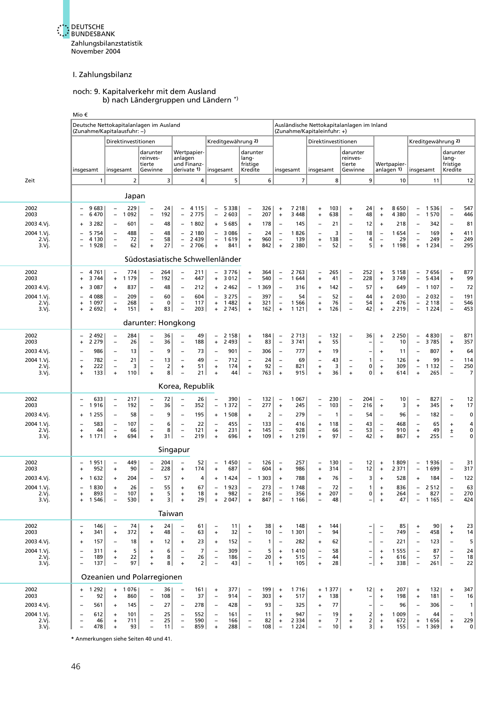

### noch: 9. Kapitalverkehr mit dem Ausland b) nach Ländergruppen und Ländern \*)

|                     | Mio €                                                                                                                                                                                                                                                                                              |                                                                           |                                                                    |                                                                            |                                                                            |                                                                    |                                                                           |                                                                           |                                                       |                                                                    |                                                                            |                                                                    |
|---------------------|----------------------------------------------------------------------------------------------------------------------------------------------------------------------------------------------------------------------------------------------------------------------------------------------------|---------------------------------------------------------------------------|--------------------------------------------------------------------|----------------------------------------------------------------------------|----------------------------------------------------------------------------|--------------------------------------------------------------------|---------------------------------------------------------------------------|---------------------------------------------------------------------------|-------------------------------------------------------|--------------------------------------------------------------------|----------------------------------------------------------------------------|--------------------------------------------------------------------|
|                     | Deutsche Nettokapitalanlagen im Ausland<br>(Zunahme/Kapitalausfuhr: -)                                                                                                                                                                                                                             |                                                                           |                                                                    |                                                                            |                                                                            |                                                                    | Ausländische Nettokapitalanlagen im Inland<br>(Zunahme/Kapitaleinfuhr: +) |                                                                           |                                                       |                                                                    |                                                                            |                                                                    |
|                     |                                                                                                                                                                                                                                                                                                    | Direktinvestitionen                                                       |                                                                    | Kreditgewährung 2)                                                         |                                                                            |                                                                    |                                                                           | Direktinvestitionen                                                       |                                                       |                                                                    | Kreditgewährung 2)                                                         |                                                                    |
|                     | insgesamt                                                                                                                                                                                                                                                                                          | insgesamt                                                                 | darunter<br>reinves-<br>tierte<br>Gewinne                          | Wertpapier-<br>anlagen<br>und Finanz-<br>derivate 1)                       | insgesamt                                                                  | darunter<br>lang-<br>fristige<br>Kredite                           | insgesamt                                                                 | insgesamt                                                                 | darunter<br>reinves-<br>tierte<br>Gewinne             | Wertpapier-<br>anlagen 1)                                          | insgesamt                                                                  | darunter<br>lang-<br>fristige<br>Kredite                           |
| Zeit                | 1                                                                                                                                                                                                                                                                                                  | 2                                                                         | 3                                                                  | 4                                                                          | 5                                                                          | 6                                                                  | 7                                                                         | 8                                                                         | 9                                                     | 10                                                                 | 11                                                                         | 12                                                                 |
|                     |                                                                                                                                                                                                                                                                                                    | Japan                                                                     |                                                                    |                                                                            |                                                                            |                                                                    |                                                                           |                                                                           |                                                       |                                                                    |                                                                            |                                                                    |
| 2002<br>2003        | 9683<br>$\overline{\phantom{a}}$<br>6470<br>$\overline{\phantom{0}}$                                                                                                                                                                                                                               | 229<br>$\overline{\phantom{0}}$<br>092<br>$\overline{\phantom{0}}$        | 24<br>$\overline{\phantom{a}}$<br>192<br>$\overline{\phantom{a}}$  | 4 1 1 5<br>$\overline{\phantom{a}}$<br>2 7 7 5<br>$\overline{\phantom{0}}$ | 5 3 3 8<br>$\overline{\phantom{a}}$<br>2 603<br>$\qquad \qquad -$          | 326<br>$\overline{\phantom{0}}$<br>207<br>$\overline{\phantom{a}}$ | 7 2 1 8<br>$\ddot{}$<br>3 4 4 8<br>$\ddot{}$                              | 103<br>$\ddot{}$<br>638<br>$\ddot{}$                                      | 24<br>$\ddot{}$<br>48<br>$\overline{\phantom{0}}$     | 8650<br>$\ddot{}$<br>4 3 8 0<br>$\ddot{}$                          | $\overline{\phantom{a}}$<br>1 5 3 6<br>1 5 7 0<br>$\overline{\phantom{a}}$ | 547<br>$\overline{\phantom{0}}$<br>446<br>$\overline{\phantom{0}}$ |
| 2003 4.Vj.          | 3 2 8 2<br>$\ddot{}$                                                                                                                                                                                                                                                                               | 601<br>$\overline{\phantom{a}}$                                           | 48                                                                 | 1802<br>$\overline{\phantom{0}}$                                           | 5 6 8 5<br>$\pmb{+}$                                                       | 178<br>$\pmb{+}$                                                   | 145<br>$\overline{\phantom{0}}$                                           | 21<br>$\overline{\phantom{0}}$                                            | 12<br>$\overline{\phantom{0}}$                        | 218<br>$\ddot{}$                                                   | 342<br>$\overline{\phantom{0}}$                                            | 81                                                                 |
| 2004 1.Vj.<br>2.Vj. | 5 7 5 4<br>$\overline{\phantom{a}}$<br>4 1 3 0<br>$\overline{\phantom{0}}$                                                                                                                                                                                                                         | 488<br>$\overline{\phantom{0}}$<br>72<br>$\overline{\phantom{a}}$         | 48<br>$\overline{\phantom{a}}$<br>58<br>$\overline{\phantom{a}}$   | 2 1 8 0<br>$\overline{\phantom{0}}$<br>2 4 3 9<br>$\overline{\phantom{0}}$ | 3 0 8 6<br>$\overline{\phantom{0}}$<br>1619<br>$\overline{\phantom{a}}$    | 24<br>$\overline{\phantom{a}}$<br>960<br>$\ddot{}$                 | 1826<br>$\overline{\phantom{0}}$<br>139<br>$\overline{\phantom{0}}$       | 3<br>$\overline{\phantom{0}}$<br>138<br>$\ddot{}$                         | 18<br>$\overline{a}$<br>4<br>$\overline{\phantom{0}}$ | 1654<br>$\overline{\phantom{a}}$<br>29<br>$\overline{\phantom{0}}$ | 169<br>$\overline{\phantom{0}}$<br>249<br>$\overline{\phantom{a}}$         | 411<br>$\ddot{}$<br>249<br>$\overline{\phantom{0}}$                |
| 3.Vj.               | 1928<br>$\overline{\phantom{a}}$                                                                                                                                                                                                                                                                   | 62<br>$\overline{\phantom{0}}$                                            | 27<br>$\ddot{}$                                                    | 2706<br>$\qquad \qquad -$                                                  | 841<br>$\ddot{}$                                                           | 842<br>$\ddot{}$                                                   | 2 3 8 0<br>$\ddot{}$                                                      | 52<br>$\overline{\phantom{0}}$                                            | 5 <sup>1</sup><br>$\overline{a}$                      | 1 1 9 8<br>$\ddot{}$                                               | 1234<br>$\ddot{}$                                                          | 295                                                                |
|                     | Südostasiatische Schwellenländer                                                                                                                                                                                                                                                                   |                                                                           |                                                                    |                                                                            |                                                                            |                                                                    |                                                                           |                                                                           |                                                       |                                                                    |                                                                            |                                                                    |
| 2002<br>2003        | 4761<br>$\overline{\phantom{0}}$<br>3744<br>$+$                                                                                                                                                                                                                                                    | 774<br>$\overline{\phantom{a}}$<br>$\pmb{+}$<br>179<br>-1                 | 264<br>$\overline{\phantom{0}}$<br>$\overline{\phantom{0}}$<br>192 | 211<br>$\overline{\phantom{0}}$<br>447                                     | 3776<br>$\overline{\phantom{0}}$<br>$\ddot{}$<br>3 0 1 2                   | 364<br>$\pmb{+}$<br>540<br>$\overline{\phantom{0}}$                | 2763<br>$\overline{\phantom{0}}$<br>1644<br>$\qquad \qquad -$             | 265<br>$\ddot{}$<br>41                                                    | 252<br>228<br>$\overline{a}$                          | 5 1 5 8<br>$\ddot{}$<br>3749<br>$\ddot{}$                          | 7656<br>$\overline{\phantom{0}}$<br>$\overline{a}$<br>5 4 3 4              | 877<br>99<br>$\ddot{}$                                             |
| 2003 4.Vj.          | 3087<br>+                                                                                                                                                                                                                                                                                          | 837<br>$\ddot{}$                                                          | 48                                                                 | 212<br>$\overline{\phantom{a}}$                                            | 2 4 6 2<br>$\ddot{}$                                                       | 1 3 6 9<br>$\qquad \qquad -$                                       | 316<br>$\overline{\phantom{0}}$                                           | 142<br>$\ddot{}$                                                          | 57<br>$\overline{\phantom{0}}$                        | 649<br>$\ddot{}$                                                   | 1 1 0 7<br>$\overline{\phantom{0}}$                                        | 72<br>$\overline{\phantom{a}}$                                     |
| 2004 1.Vj.          | 4088                                                                                                                                                                                                                                                                                               | 209<br>$\overline{\phantom{a}}$                                           | 60<br>$\qquad \qquad -$                                            | 604<br>$\qquad \qquad -$                                                   | 3 2 7 5<br>$\overline{\phantom{m}}$                                        | 397<br>$\qquad \qquad -$                                           | 54<br>$\overline{\phantom{0}}$                                            | 52<br>$\overline{\phantom{0}}$                                            | 44<br>$\overline{\phantom{0}}$                        | 2 0 3 0<br>$\ddot{}$                                               | 2 0 3 2<br>$\overline{\phantom{0}}$                                        | 191<br>$\overline{\phantom{a}}$                                    |
| 2.Vj.<br>3.Vj.      | 097<br>1<br>$\ddot{}$<br>2692<br>$\ddot{}$                                                                                                                                                                                                                                                         | $\overline{\phantom{a}}$<br>268<br>151<br>$\ddot{}$                       | $\overline{\phantom{0}}$<br>0<br>83<br>$\ddot{}$                   | $\overline{a}$<br>117<br>203<br>$\overline{a}$                             | 1 4 8 2<br>$\ddot{}$<br>2 7 4 5<br>$\ddot{}$                               | 321<br>$\ddot{}$<br>162<br>$\ddot{}$                               | 1 5 6 6<br>$\qquad \qquad -$<br>1 1 2 1<br>$\ddot{}$                      | 76<br>$\ddot{}$<br>126<br>$\ddot{}$                                       | 54<br>$\overline{a}$<br>42<br>$\overline{a}$          | 476<br>$\ddot{}$<br>2 2 1 9<br>$\ddot{}$                           | 2 1 1 8<br>$\qquad \qquad -$<br>1 2 2 4<br>$\overline{\phantom{0}}$        | 546<br>$\overline{\phantom{a}}$<br>453<br>$\overline{\phantom{a}}$ |
|                     | darunter: Hongkong                                                                                                                                                                                                                                                                                 |                                                                           |                                                                    |                                                                            |                                                                            |                                                                    |                                                                           |                                                                           |                                                       |                                                                    |                                                                            |                                                                    |
| 2002                | 2 4 9 2                                                                                                                                                                                                                                                                                            | 284<br>$\overline{\phantom{a}}$                                           | 36<br>$\overline{\phantom{0}}$                                     | 49<br>$\overline{\phantom{0}}$                                             | 2 1 5 8<br>$\overline{\phantom{a}}$                                        | 184<br>$\ddot{}$                                                   | 2713                                                                      | 132<br>$\overline{\phantom{0}}$                                           | 36                                                    | 2 2 5 0<br>$\ddot{}$                                               | 4830<br>$\overline{\phantom{0}}$                                           | 871<br>$\overline{\phantom{0}}$                                    |
| 2003<br>2003 4.Vj.  | 2 2 7 9<br>$\ddot{}$<br>986<br>$\overline{\phantom{a}}$                                                                                                                                                                                                                                            | 26<br>$\overline{\phantom{a}}$<br>13<br>$\overline{\phantom{0}}$          | 36<br>$\overline{\phantom{a}}$<br>9<br>$\overline{\phantom{0}}$    | 188<br>$\overline{\phantom{a}}$<br>73<br>$\overline{\phantom{0}}$          | 2 4 9 3<br>$\ddot{}$<br>901<br>$\overline{\phantom{0}}$                    | 83<br>$\overline{\phantom{0}}$<br>306<br>$\qquad \qquad -$         | 3741<br>$\qquad \qquad -$<br>777<br>$\overline{\phantom{a}}$              | 55<br>$\ddot{}$<br>19<br>$\ddot{}$                                        | $\overline{\phantom{0}}$                              | 10<br>$\overline{\phantom{0}}$<br>11<br>$\ddot{}$                  | 3785<br>$\overline{\phantom{a}}$<br>807<br>$\overline{\phantom{0}}$        | 357<br>$\begin{array}{c} + \end{array}$<br>64<br>$\ddot{}$         |
| 2004 1.Vj.          | 782<br>$\overline{\phantom{0}}$                                                                                                                                                                                                                                                                    | 21<br>$\overline{\phantom{a}}$                                            | 13<br>$\qquad \qquad -$                                            | 49<br>$\overline{\phantom{0}}$                                             | 712<br>$\overline{\phantom{0}}$                                            | 24<br>$\overline{\phantom{a}}$                                     | 69<br>$\overline{\phantom{0}}$                                            | 43<br>$\overline{\phantom{0}}$                                            | 1<br>۰                                                | 126<br>$\overline{\phantom{0}}$                                    | 99<br>$\ddot{}$                                                            | 114<br>$\overline{\phantom{a}}$                                    |
| 2.Vj.               | 222<br>$\ddot{}$                                                                                                                                                                                                                                                                                   | 3<br>$\overline{\phantom{a}}$                                             | 2<br>$\overline{\phantom{a}}$<br>8                                 | 51<br>$\ddot{}$<br>$\overline{a}$                                          | 174<br>$\ddot{}$                                                           | 92<br>$\ddot{}$<br>$\overline{a}$                                  | 821<br>$\overline{\phantom{a}}$                                           | 3<br>$\ddot{}$                                                            | 0<br>$\overline{\phantom{0}}$                         | 309<br>$\ddot{}$                                                   | 1 1 3 2<br>$\qquad \qquad -$                                               | 250<br>$\overline{\phantom{a}}$<br>7<br>$\overline{\phantom{a}}$   |
| 3.Vj.               | 133<br>$\ddot{}$                                                                                                                                                                                                                                                                                   | 110<br>$\ddot{}$                                                          | $\ddot{}$                                                          | 21<br>Korea, Republik                                                      | 44<br>$\ddot{}$                                                            | 763                                                                | 915<br>$\ddot{}$                                                          | 36<br>$\ddot{}$                                                           | 0<br>$\ddot{}$                                        | 614<br>$\ddot{}$                                                   | 265<br>$\ddot{}$                                                           |                                                                    |
| 2002                | 633                                                                                                                                                                                                                                                                                                | 217<br>$\overline{\phantom{a}}$                                           | 72                                                                 | 26                                                                         | 390                                                                        | 132<br>$\overline{\phantom{0}}$                                    | 067<br>1<br>$\overline{\phantom{0}}$                                      | 230<br>۰                                                                  | 204<br>$\overline{\phantom{0}}$                       | 10<br>$\overline{\phantom{0}}$                                     | 827                                                                        | 12<br>$\overline{\phantom{0}}$                                     |
| 2003                | 916                                                                                                                                                                                                                                                                                                | 192<br>$\overline{\phantom{a}}$                                           | 36<br>$\overline{\phantom{0}}$                                     | 352<br>$\overline{\phantom{0}}$                                            | 1 3 7 2<br>$\overline{\phantom{0}}$                                        | 277<br>$\qquad \qquad -$                                           | 245<br>$\ddot{}$                                                          | 103<br>$\overline{\phantom{a}}$                                           | 216<br>$\overline{\phantom{0}}$                       | 3<br>$\ddot{}$                                                     | 345<br>$\ddot{}$                                                           | 17<br>$\ddot{}$                                                    |
| 2003 4.Vj.          | 255<br>$\ddot{}$                                                                                                                                                                                                                                                                                   | 58<br>$\overline{\phantom{a}}$                                            | 9                                                                  | 195<br>$\qquad \qquad -$                                                   | 1 508<br>$\ddot{}$                                                         | 2<br>$\ddot{}$                                                     | 279<br>$\qquad \qquad -$                                                  | 1<br>$\overline{\phantom{0}}$                                             | 54<br>$\overline{\phantom{0}}$                        | 96<br>$\overline{\phantom{a}}$                                     | 182<br>$\overline{\phantom{0}}$                                            | 0<br>$\overline{\phantom{0}}$                                      |
| 2004 1.Vi.<br>2.Vj. | 583<br>$\overline{\phantom{0}}$<br>44<br>$\ddot{}$                                                                                                                                                                                                                                                 | 107<br>$\overline{\phantom{a}}$<br>$\overline{\phantom{0}}$<br>66         | 6<br>$\overline{\phantom{0}}$<br>8<br>$\overline{\phantom{a}}$     | 22<br>$\overline{\phantom{0}}$<br>121<br>$\overline{\phantom{0}}$          | 455<br>$\overline{\phantom{0}}$<br>231<br>$\begin{array}{c} + \end{array}$ | 133<br>$\overline{\phantom{a}}$<br>145<br>$\ddot{}$                | 416<br>$\qquad \qquad -$<br>928<br>$\qquad \qquad -$                      | 118<br>$\begin{array}{c} + \end{array}$<br>66<br>$\overline{\phantom{a}}$ | 43<br>$\overline{a}$<br>53<br>$\overline{a}$          | 468<br>$\overline{\phantom{a}}$<br>910<br>$\overline{\phantom{0}}$ | 65<br>$\overline{\phantom{a}}$<br>49<br>$\begin{array}{c} + \end{array}$   | 4<br>$\ddot{}$<br>0<br>$\pm$                                       |
| 3.Vj.               | 1171<br>$\ddot{}$                                                                                                                                                                                                                                                                                  | 694<br>$\ddot{}$                                                          | 31<br>$+$                                                          | 219<br>$\overline{\phantom{0}}$                                            | 696<br>$\ddot{}$                                                           | 109<br>$\ddot{}$                                                   | 219<br>$\ddot{}$<br>1                                                     | 97<br>$\ddot{}$                                                           | 42<br>$\overline{a}$                                  | 867<br>$\ddot{}$                                                   | 255<br>$\ddot{}$                                                           | 0<br>$\overline{\phantom{0}}$                                      |
|                     |                                                                                                                                                                                                                                                                                                    |                                                                           |                                                                    | Singapur                                                                   |                                                                            |                                                                    |                                                                           |                                                                           |                                                       |                                                                    |                                                                            |                                                                    |
| 2002<br>2003        | 1951<br>952<br>$\ddot{}$                                                                                                                                                                                                                                                                           | 449<br>90<br>$\ddot{}$                                                    | 204<br>228<br>$\overline{\phantom{a}}$                             | 52<br>174<br>$\ddot{}$                                                     | 450<br>687<br>$\ddot{}$                                                    | 126<br>604<br>$\overline{\phantom{0}}$                             | 257<br>$\overline{\phantom{0}}$<br>986<br>$\ddot{}$                       | 130<br>314<br>$\overline{1}$                                              | 12<br>12<br>$\overline{\phantom{0}}$                  | 1809<br>$\ddot{}$<br>2 3 7 1<br>$\ddot{}$                          | 1936<br>1699                                                               | 31<br>317<br>$\overline{\phantom{0}}$                              |
| 2003 4.Vj.          | 1632<br>$\ddot{}$                                                                                                                                                                                                                                                                                  | 204<br>$\ddot{}$                                                          | 57<br>$\overline{\phantom{0}}$                                     | 4<br>$\ddot{}$                                                             | 1424<br>÷                                                                  | 1 3 0 3<br>$\overline{\phantom{0}}$                                | 788<br>$\ddot{}$                                                          | 76<br>$\overline{1}$                                                      | 3<br>$\overline{\phantom{0}}$                         | 528<br>$\ddot{}$                                                   | 184<br>$\ddot{}$                                                           | 122                                                                |
| 2004 1.Vj.          | $\overline{\phantom{a}}$<br>1830                                                                                                                                                                                                                                                                   | $^{+}$<br>26                                                              | $\qquad \qquad -$<br>55                                            | +<br>67                                                                    | $\overline{\phantom{a}}$<br>1 923                                          | 273                                                                | 1 748                                                                     | $\overline{a}$<br>72                                                      | $\mathbf{1}$                                          | 836<br>$\ddot{}$                                                   | -<br>2512                                                                  | $\qquad \qquad -$<br>63                                            |
| 2.Vj.<br>3.Vj.      | 893<br>$\bf{+}$<br>1 5 4 6<br>$\ddot{}$                                                                                                                                                                                                                                                            | 107<br>$\bar{a}$<br>530                                                   | 5<br>$\ddot{}$<br>3<br>$\ddot{}$                                   | 18<br>$\ddot{}$<br>29<br>$\ddot{}$                                         | 982<br>$\pmb{+}$<br>2 0 4 7<br>$\pmb{+}$                                   | 216<br>$\overline{\phantom{0}}$<br>847<br>$\ddot{}$                | 356<br>$\overline{\phantom{0}}$<br>$\overline{a}$<br>1 1 6 6              | 207<br>$\pmb{+}$<br>48<br>$\overline{\phantom{0}}$                        | $\overline{\phantom{0}}$<br>0<br>$-1$                 | 264<br>$^{+}$<br>47 <br>$\ddot{}$                                  | 827<br>$\overline{\phantom{0}}$<br>$\overline{\phantom{a}}$<br>1165        | 270<br>$\qquad \qquad -$<br>$\overline{\phantom{0}}$<br>424        |
|                     | Taiwan                                                                                                                                                                                                                                                                                             |                                                                           |                                                                    |                                                                            |                                                                            |                                                                    |                                                                           |                                                                           |                                                       |                                                                    |                                                                            |                                                                    |
| 2002                | 146<br>$\overline{\phantom{a}}$                                                                                                                                                                                                                                                                    | 74<br>$\overline{\phantom{a}}$                                            | 24<br>$\ddot{}$                                                    | 61<br>$\overline{\phantom{a}}$                                             | 11                                                                         | 38<br>$\ddot{}$                                                    | 148<br>$\begin{array}{c} + \end{array}$                                   | 144<br>$\ddot{}$                                                          |                                                       | 85                                                                 | 90<br>$\ddot{}$                                                            | $\frac{23}{14}$<br>$\begin{array}{c} + \end{array}$                |
| 2003<br>2003 4.Vj.  | 341<br>$\ddot{}$<br>157<br>$\begin{array}{c} + \end{array}$                                                                                                                                                                                                                                        | 372<br>$\begin{array}{c} + \end{array}$<br>18<br>$\overline{\phantom{a}}$ | 48<br>$\begin{array}{c} + \end{array}$<br>12                       | 63<br>$\overline{\phantom{a}}$<br>23<br>$\ddot{}$                          | 32<br>$\ddot{}$<br>152<br>$\begin{array}{c} + \end{array}$                 | 10<br>$\overline{\phantom{a}}$<br>1<br>$\overline{\phantom{a}}$    | 1 3 0 1<br>$\overline{\phantom{a}}$<br>282<br>$\overline{\phantom{0}}$    | 94<br>$\qquad \qquad -$<br>62<br>$\overline{1}$                           | $\overline{\phantom{0}}$                              | 749<br>$\overline{\phantom{a}}$<br>221<br>$\overline{\phantom{a}}$ | 458<br>$\overline{\phantom{a}}$<br>123<br>$\qquad \qquad -$                | $\ddot{}$<br>5<br>$\overline{\phantom{a}}$                         |
| 2004 1.Vj.          | 311<br>$\overline{\phantom{a}}$                                                                                                                                                                                                                                                                    | 5<br>$\bf{+}$                                                             | $\begin{array}{c} + \end{array}$<br>6<br>$\ddot{}$                 | $\overline{7}$<br>$\overline{\phantom{0}}$                                 | 309<br>$\overline{\phantom{a}}$                                            | 5<br>$\overline{\phantom{0}}$                                      | 1410<br>$\pm$                                                             | 58<br>$\overline{\phantom{0}}$                                            | -<br>$\overline{\phantom{0}}$                         | 1 5 5 5<br>$\ddot{}$                                               | 87<br>$\overline{\phantom{0}}$                                             | 24<br>$\overline{a}$                                               |
| 2.Vj.               | 189<br>$\overline{\phantom{a}}$                                                                                                                                                                                                                                                                    | 22<br>$\begin{array}{c} + \end{array}$                                    | 8<br>$\ddot{}$                                                     | 26<br>$\overline{\phantom{0}}$                                             | 186<br>$\equiv$                                                            | 20<br>$\overline{\phantom{0}}$                                     | 515<br>$\pm$                                                              | 44<br>$\overline{\phantom{0}}$                                            | $\left\vert -\right\rangle$                           | 616<br>$\ddot{}$                                                   | 57<br>$\overline{\phantom{a}}$                                             | 18<br>$\overline{\phantom{a}}$                                     |
| 3.Vj.               | 137<br>$\overline{\phantom{a}}$                                                                                                                                                                                                                                                                    | 97                                                                        | 8<br>$\ddot{}$                                                     | 2<br>$\ddot{}$                                                             | 43                                                                         | 1 <sup>1</sup><br>$\overline{a}$                                   | 105<br>$\ddot{}$                                                          | 28<br>$\ddot{}$                                                           | $\overline{\phantom{a}}$                              | 338 <br>$\ddot{}$                                                  | 261<br>$\equiv$                                                            | 22<br>$\equiv$                                                     |
| 2002                | Ozeanien und Polarregionen<br>1 2 9 2<br>1076<br>347<br>$\ddot{}$<br>36<br>161 <br>377<br>199<br>1716<br>1 3 7 7<br>12<br>207<br>132 <br>$\overline{\phantom{0}}$<br>$\overline{\phantom{a}}$<br>$\bf{+}$<br>$\bf{+}$<br>$+$<br>$\ddot{}$<br>$+$<br>$\bf{+}$<br>$\ddot{}$<br>$+$<br>$\overline{a}$ |                                                                           |                                                                    |                                                                            |                                                                            |                                                                    |                                                                           |                                                                           |                                                       |                                                                    |                                                                            |                                                                    |
| 2003                | 92<br>$\overline{\phantom{0}}$                                                                                                                                                                                                                                                                     | 860<br>$\ddot{}$                                                          | 108<br>$\overline{\phantom{a}}$                                    | 37<br>$\overline{\phantom{a}}$                                             | 914<br>$\overline{\phantom{a}}$                                            | 303<br>$\overline{\phantom{m}}$                                    | 517<br>$\bf{+}$                                                           | 138<br>$\ddot{}$                                                          | $\overline{\phantom{0}}$                              | 198<br>$\ddot{}$                                                   | 181<br>$\pmb{+}$                                                           | 16<br>$\overline{\phantom{0}}$                                     |
| 2003 4.Vj.          | 561<br>$\overline{\phantom{a}}$                                                                                                                                                                                                                                                                    | 145<br>$\ddot{}$                                                          | 27<br>$\overline{\phantom{a}}$                                     | 278<br>$\overline{\phantom{a}}$                                            | 428<br>$\overline{\phantom{0}}$                                            | 93                                                                 | 325<br>$\overline{\phantom{0}}$                                           | 77<br>$\ddot{}$                                                           | $\overline{\phantom{0}}$                              | 96<br>$\overline{\phantom{0}}$                                     | 306<br>$\overline{\phantom{a}}$                                            | $\mathbf{1}$<br>$\overline{\phantom{a}}$                           |
| 2004 1.Vj.<br>2.Vj. | 612<br>$\overline{\phantom{a}}$<br>46<br>$\overline{\phantom{a}}$                                                                                                                                                                                                                                  | 101<br>$\ddot{}$<br>711<br>$\ddot{}$                                      | 25<br>$\overline{\phantom{a}}$<br>25<br>$\overline{\phantom{0}}$   | 552<br>$\overline{\phantom{a}}$<br>590<br>$\qquad \qquad -$                | 161<br>166<br>$\overline{\phantom{a}}$                                     | 11<br>$\qquad \qquad -$<br>82<br>$\overline{\phantom{0}}$          | 947<br>$\ddot{}$<br>2 3 3 4<br>$\ddot{}$                                  | 19<br>$\overline{a}$<br>7<br>$\begin{array}{c} + \end{array}$             | 2<br>$\ddot{}$<br>2<br>$\ddot{}$                      | 1 0 0 9<br>$\overline{+}$<br>672<br>$\ddot{}$                      | 44<br>$\qquad \qquad -$<br>1656<br>$\begin{array}{c} + \end{array}$        | $\mathbf{1}$<br>229<br>$\begin{array}{c} + \end{array}$            |
| 3.Vj.               | 478  <br>$\overline{\phantom{a}}$                                                                                                                                                                                                                                                                  | 93 <br>$\ddot{}$                                                          | 11<br>$\overline{\phantom{0}}$                                     | 859<br>$\overline{\phantom{m}}$                                            | 288<br>$\begin{array}{c} + \end{array}$                                    | 108                                                                | 1 2 2 4<br>$\overline{\phantom{a}}$                                       | 10 <br>$\qquad \qquad -$                                                  | 3  <br>$\begin{array}{c} + \end{array}$               | 155<br>$+$                                                         | 1369<br>$\overline{\phantom{a}}$                                           | $\mathbf{0}$<br>$\begin{array}{c} + \end{array}$                   |

**\*** Anmerkungen siehe Seiten 40 und 41.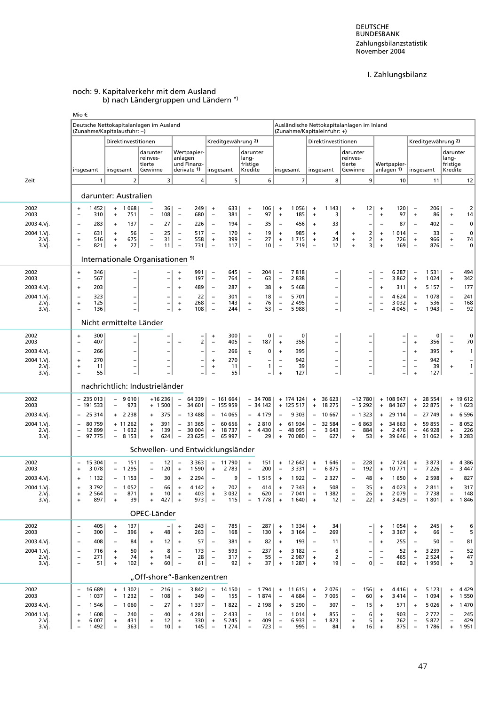|                          | Mio €                                                                     |                                                                 |                                                                                       |                                                                            |                                                                       |                                                                                      |                                                                                   |                                                                           |                                                             |                                                                 |                                                                      |                                                                            |
|--------------------------|---------------------------------------------------------------------------|-----------------------------------------------------------------|---------------------------------------------------------------------------------------|----------------------------------------------------------------------------|-----------------------------------------------------------------------|--------------------------------------------------------------------------------------|-----------------------------------------------------------------------------------|---------------------------------------------------------------------------|-------------------------------------------------------------|-----------------------------------------------------------------|----------------------------------------------------------------------|----------------------------------------------------------------------------|
|                          |                                                                           | (Zunahme/Kapitalausfuhr: -)                                     | Deutsche Nettokapitalanlagen im Ausland                                               |                                                                            |                                                                       |                                                                                      |                                                                                   | (Zunahme/Kapitaleinfuhr: +)                                               | Ausländische Nettokapitalanlagen im Inland                  |                                                                 |                                                                      |                                                                            |
|                          |                                                                           | Direktinvestitionen                                             |                                                                                       |                                                                            | Kreditgewährung 2)                                                    |                                                                                      |                                                                                   | Direktinvestitionen                                                       |                                                             |                                                                 | Kreditgewährung 2)                                                   |                                                                            |
|                          | insgesamt                                                                 | insgesamt                                                       | darunter<br>reinves-<br>tierte<br>Gewinne                                             | Wertpapier-<br>anlagen<br>und Finanz-<br>derivate 1)                       | insgesamt                                                             | darunter<br>lang-<br>fristige<br>Kredite                                             | insgesamt                                                                         | insgesamt                                                                 | darunter<br>reinves-<br>tierte<br>Gewinne                   | Wertpapier-<br>anlagen 1)                                       | insgesamt                                                            | darunter<br>lang-<br>fristige<br>Kredite                                   |
| Zeit                     | 1                                                                         | $\overline{2}$                                                  | 3                                                                                     | 4                                                                          | 5                                                                     | 6                                                                                    | $\overline{7}$                                                                    | 8                                                                         | 9                                                           | 10                                                              | 11                                                                   | 12                                                                         |
|                          |                                                                           | darunter: Australien                                            |                                                                                       |                                                                            |                                                                       |                                                                                      |                                                                                   |                                                                           |                                                             |                                                                 |                                                                      |                                                                            |
| 2002<br>2003             | 1452<br>$\ddot{}$<br>310<br>۰                                             | 1068<br>$+$<br>751<br>$\ddot{}$                                 | 36<br>$\overline{\phantom{0}}$<br>108<br>$\overline{\phantom{a}}$                     | 249<br>$\qquad \qquad -$<br>680<br>$\overline{\phantom{0}}$                | 633<br>$\ddot{}$<br>381<br>$\overline{\phantom{a}}$                   | 106<br>$\ddot{}$<br>97<br>$\overline{\phantom{a}}$                                   | 1056<br>$\ddot{}$<br>185<br>$\pm$                                                 | 1 1 4 3<br>$\ddot{}$<br>3<br>$\ddot{}$                                    | 12<br>$\ddot{}$                                             | 120<br>$\ddot{}$<br>97<br>$\ddot{}$                             | 206<br>$\overline{\phantom{a}}$<br>$\ddot{}$<br>86                   | 2<br>14<br>$\begin{array}{c} + \end{array}$                                |
| 2003 4.Vj.               | 283<br>۰                                                                  | 137<br>$\ddot{}$<br>56                                          | 27<br>$\overline{\phantom{0}}$<br>25                                                  | 226<br>$\overline{\phantom{0}}$<br>517                                     | 194<br>$\overline{\phantom{a}}$<br>170                                | 35<br>$\overline{\phantom{a}}$<br>19                                                 | 456<br>$\overline{\phantom{a}}$<br>985                                            | 33<br>$\ddot{}$                                                           |                                                             | 87<br>1014                                                      | 402<br>$\overline{\phantom{a}}$<br>33                                | 0<br>$\overline{\phantom{0}}$<br>$\pmb{0}$<br>$\overline{\phantom{0}}$     |
| 2004 1.Vj.<br>2.Vj.      | 631<br>$\overline{\phantom{0}}$<br>516<br>$\ddot{}$                       | $+$<br>675<br>$\bf{+}$                                          | $\overline{\phantom{a}}$<br>31<br>$\overline{\phantom{a}}$                            | $\overline{\phantom{0}}$<br>558<br>$\overline{\phantom{0}}$                | $\overline{\phantom{a}}$<br>399<br>$\pm$                              | $\begin{array}{c} + \end{array}$<br>27<br>$\overline{\phantom{a}}$<br>$\overline{a}$ | $\ddot{}$<br>1715<br>$\mathbf +$                                                  | 4<br>$\ddot{}$<br>24<br>$\pm$                                             | 2<br>$\ddot{}$<br>2<br>$\boldsymbol{+}$                     | $\ddot{}$<br>726<br>$\ddot{}$                                   | $\overline{\phantom{a}}$<br>$\ddot{}$<br>966                         | 74<br>$\begin{array}{c} + \end{array}$                                     |
| 3.Vj.                    | 821<br>$\overline{\phantom{0}}$                                           | 27<br>$+$                                                       | 11<br>Internationale Organisationen <sup>9)</sup>                                     | 731                                                                        | 117<br>$\overline{\phantom{a}}$                                       | 10 <sup>1</sup>                                                                      | 719<br>$\overline{\phantom{a}}$                                                   | 12<br>$\overline{\phantom{a}}$                                            | 3 <sup>1</sup><br>$\overline{1}$                            | 169<br>$\overline{+}$                                           | 876<br>$\overline{\phantom{a}}$                                      | $\pmb{0}$                                                                  |
| 2002                     | 346<br>$\ddot{}$                                                          |                                                                 |                                                                                       | 991<br>$\ddot{}$                                                           | 645<br>$\overline{\phantom{0}}$                                       | 204<br>$\overline{\phantom{a}}$                                                      | 7818<br>$\overline{\phantom{a}}$                                                  |                                                                           |                                                             | 6 2 8 7                                                         | 1 5 3 1<br>$\overline{\phantom{a}}$                                  | 494<br>$\overline{\phantom{0}}$                                            |
| 2003                     | 567<br>$\qquad \qquad -$                                                  | $\overline{a}$                                                  | —                                                                                     | 197<br>$\ddot{}$                                                           | 764<br>$\overline{\phantom{a}}$                                       | 63<br>$\overline{\phantom{a}}$                                                       | 2838<br>$\overline{\phantom{a}}$                                                  | $\qquad \qquad -$                                                         | $\overline{\phantom{0}}$                                    | 3862<br>$\overline{a}$                                          | $\ddot{}$<br>1 0 2 4                                                 | 342<br>$\ddot{}$                                                           |
| 2003 4.Vj.<br>2004 1.Vj. | 203<br>$\ddot{}$<br>323<br>$\overline{\phantom{0}}$                       | $\overline{a}$                                                  | -<br>-                                                                                | 489<br>$\ddot{}$<br>22                                                     | 287<br>$\overline{\phantom{0}}$<br>301<br>$\overline{\phantom{0}}$    | 38<br>$\ddot{}$<br>18<br>$\overline{\phantom{a}}$                                    | 5468<br>$\ddot{}$<br>5701<br>$\overline{\phantom{a}}$                             |                                                                           |                                                             | 311<br>$\overline{1}$<br>4624                                   | 5 1 5 7<br>$\ddot{}$<br>1078<br>$\overline{\phantom{a}}$             | 177<br>$\overline{\phantom{0}}$<br>241<br>$\qquad \qquad -$                |
| 2.Vj.<br>3.Vj.           | 125<br>$\ddot{}$<br>136<br>$\overline{\phantom{0}}$                       | $\overline{\phantom{0}}$<br>$\overline{\phantom{0}}$            | $\overline{\phantom{0}}$                                                              | 268<br>$\ddot{}$<br>108<br>$\ddot{}$                                       | 143<br>$\overline{\phantom{a}}$<br>244<br>$\equiv$                    | 76<br>$\ddot{}$<br>53<br>$\overline{\phantom{0}}$                                    | 2 4 9 5<br>$\overline{\phantom{a}}$<br>5988<br>$\equiv$                           | $\overline{\phantom{a}}$<br>$\overline{\phantom{a}}$                      | $\overline{\phantom{0}}$<br>$\overline{\phantom{m}}$        | 3 0 3 2<br>$\overline{a}$<br>4 0 4 5                            | $\ddot{}$<br>536<br>1943<br>$\overline{\phantom{a}}$                 | 168<br>$\overline{\phantom{0}}$<br>92<br>$\overline{a}$                    |
|                          |                                                                           | Nicht ermittelte Länder                                         |                                                                                       |                                                                            |                                                                       |                                                                                      |                                                                                   |                                                                           |                                                             |                                                                 |                                                                      |                                                                            |
| 2002<br>2003             | 300<br>$\ddot{}$<br>407<br>$\overline{\phantom{0}}$                       | $\overline{\phantom{0}}$                                        | $\overline{\phantom{0}}$                                                              | 2<br>$\overline{\phantom{0}}$                                              | 300<br>$\ddot{}$<br>405<br>$\overline{\phantom{0}}$                   | 0<br>187<br>$\overline{\phantom{a}}$                                                 | 0<br>356<br>$\ddot{}$                                                             | $\overline{\phantom{0}}$                                                  | $\overline{\phantom{0}}$                                    |                                                                 | 0<br>356                                                             | 0<br>70<br>$\overline{\phantom{0}}$                                        |
| 2003 4.Vj.               | 266<br>$\overline{\phantom{a}}$                                           | $\overline{\phantom{0}}$                                        |                                                                                       | -                                                                          | 266<br>$\overline{\phantom{0}}$                                       | 0<br>$\pm$                                                                           | 395<br>$\ddot{}$                                                                  | $\overline{\phantom{a}}$                                                  | $\overline{\phantom{0}}$                                    | $\overline{\phantom{m}}$                                        | $\begin{array}{c} + \end{array}$<br>395<br>$\ddot{}$                 | $\mathbf{1}$<br>$\ddot{}$                                                  |
| 2004 1.Vj.               | 270<br>$\ddot{}$                                                          | $\qquad \qquad -$                                               | -                                                                                     |                                                                            | 270<br>$\overline{1}$                                                 | $\overline{\phantom{0}}$                                                             | 942<br>$\overline{\phantom{a}}$                                                   |                                                                           |                                                             |                                                                 | 942<br>$\overline{\phantom{a}}$                                      |                                                                            |
| 2.Vj.<br>3.Vj.           | 11<br>$\ddot{}$<br>55                                                     | $\qquad \qquad -$                                               | $\overline{\phantom{0}}$                                                              | $\qquad \qquad -$                                                          | 11<br>$\ddot{}$<br>55                                                 | 1<br>$\overline{\phantom{0}}$<br>$\overline{\phantom{0}}$                            | 39<br>$\overline{\phantom{a}}$<br>127<br>$\ddot{}$                                | $\qquad \qquad -$                                                         | $\qquad \qquad -$                                           | $\overline{\phantom{a}}$                                        | 39<br>$\overline{\phantom{a}}$<br>$\ddot{+}$<br>127                  | $\mathbf{1}$<br>$\ddot{}$<br>$\overline{\phantom{0}}$                      |
|                          |                                                                           |                                                                 | nachrichtlich: Industrieländer                                                        |                                                                            |                                                                       |                                                                                      |                                                                                   |                                                                           |                                                             |                                                                 |                                                                      |                                                                            |
| 2002<br>2003             | $-235013$<br>$-191533$                                                    | 9010<br>973<br>$\equiv$                                         | +16 236<br>$+ 1500$                                                                   | 64 3 3 9<br>$\overline{\phantom{a}}$<br>34 601<br>$\overline{\phantom{a}}$ | $-161664$<br>$-155959$                                                | $-34708$<br>$-34142$                                                                 | + 174 124<br>+ 125 517                                                            | 36 623<br>$\ddot{}$<br>18 275<br>$+$                                      | $-12780$<br>$-5292$                                         | + 108 947<br>84 367<br>$+$                                      | 28 5 54<br>$\bf{+}$<br>22 875<br>$\begin{array}{c} + \end{array}$    | $+ 19612$<br>1623<br>$+$                                                   |
| 2003 4.Vj.               | 25 3 14<br>$\overline{\phantom{a}}$                                       | $+ 2238$                                                        | 375<br>$\ddot{}$                                                                      | 13 488<br>$\overline{\phantom{a}}$                                         | $-14065$                                                              | 4 179<br>$\overline{\phantom{a}}$                                                    | 9 3 0 3<br>$\overline{\phantom{a}}$                                               | 10 667<br>$\overline{\phantom{a}}$                                        | $-1323$                                                     | 29 114<br>$\ddot{}$                                             | 27 749<br>$\overline{\phantom{m}}$                                   | 6 5 9 6<br>$+$                                                             |
| 2004 1.Vj.               | 80759<br>12 899                                                           | $+ 11262$<br>1 6 3 2                                            | 391<br>$\ddot{}$<br>139                                                               | 31 365<br>$\overline{\phantom{a}}$<br>30 004<br>$\overline{\phantom{a}}$   | 60 656<br>$\overline{\phantom{a}}$<br>18737                           | 2810<br>$\ddot{}$<br>4430                                                            | 61934<br>$\ddot{}$<br>48 095                                                      | 32 584<br>$\overline{\phantom{a}}$<br>3 6 4 3<br>$\overline{\phantom{a}}$ | $-6863$<br>884<br>$\overline{\phantom{a}}$                  | 34 663<br>$\ddot{}$<br>2 4 7 6                                  | 59 855<br>$+$<br>46 928                                              | 8 0 5 2<br>226                                                             |
| 2.Vj.<br>3.Vj.           | $\qquad \qquad -$<br>97 775<br>$\overline{\phantom{a}}$                   | $\qquad \qquad -$<br>$\overline{\phantom{a}}$<br>8 1 5 3        | $\ddot{}$<br>624<br>$+$                                                               | $\overline{\phantom{m}}$<br>23 6 25                                        | $\ddot{}$<br>65 997<br>$\overline{\phantom{a}}$                       | $\ddot{}$<br>29<br>$\overline{\phantom{a}}$                                          | $\overline{\phantom{a}}$<br>70 080<br>$+$                                         | $\overline{\phantom{a}}$<br>627                                           | 53 <br>$\ddot{}$                                            | $\bf{+}$<br>39 646<br>$\ddot{}$                                 | $\overline{\phantom{a}}$<br>$\ddot{}$<br>31 062                      | $\ddot{}$<br>3 2 8 3<br>$+$                                                |
|                          |                                                                           |                                                                 |                                                                                       | Schwellen- und Entwicklungsländer                                          |                                                                       |                                                                                      |                                                                                   |                                                                           |                                                             |                                                                 |                                                                      |                                                                            |
| 2002<br>2003             | 15 304<br>$\overline{\phantom{a}}$<br>3 0 7 8<br>$\ddot{}$                | 151<br>$\qquad \qquad -$<br>1 2 9 5<br>$\overline{\phantom{a}}$ | 12<br>120                                                                             | 3 3 6 3<br>1 5 9 0<br>$\ddot{}$                                            | 11 790<br>2 7 8 3<br>$\ddot{}$                                        | 151<br>$\ddot{}$<br>200<br>$\qquad \qquad -$                                         | 12 642<br>$\begin{array}{c} + \end{array}$<br>3 3 3 1<br>$\overline{\phantom{a}}$ | 1646<br>$\ddot{}$<br>6875<br>$\overline{\phantom{0}}$                     | 228<br>$\qquad \qquad -$<br>192<br>$\overline{\phantom{0}}$ | 7 1 2 4<br>$\ddot{}$<br>10 771<br>$\ddot{}$                     | 3873<br>$\overline{+}$<br>7 2 2 6<br>$\overline{\phantom{a}}$        | 4 3 8 6<br>$\ddot{}$<br>3 4 4 7<br>$\qquad \qquad -$                       |
| 2003 4.Vj.               | 1 1 3 2<br>$\ddot{}$                                                      | 1 1 5 3<br>$\overline{\phantom{0}}$                             | 30<br>$\overline{\phantom{0}}$                                                        | 2 2 9 4<br>$\ddot{}$                                                       | 9<br>$\overline{\phantom{0}}$                                         | 1515<br>$\overline{\phantom{a}}$                                                     | 1922<br>$\ddot{}$                                                                 | 2 3 2 7                                                                   | 48                                                          | 1650<br>$\ddot{}$                                               | 2 5 9 8<br>$\overline{+}$                                            | 827<br>$\ddot{}$                                                           |
| 2004 1.Vj.<br>2.Vj.      | 3792<br>$\ddot{}$<br>2 5 6 4<br>$\ddot{}$                                 | $\overline{\phantom{0}}$<br>1 0 5 2<br>$\qquad \qquad -$<br>871 | 66<br>$\overline{\phantom{0}}$<br>10<br>$\begin{array}{c} + \end{array}$              | 4 142<br>$\ddot{}$<br>403<br>$\overline{+}$                                | 702<br>$\ddot{}$<br>3 0 3 2<br>$\,$ + $\,$                            | 414<br>$\ddot{}$<br>620<br>$\ddot{}$                                                 | 7 3 4 3<br>$\ddot{}$<br>7 0 4 1<br>$\overline{\phantom{a}}$                       | 508<br>$\ddot{}$<br>1 3 8 2<br>$\qquad \qquad -$                          | 35<br>$\overline{a}$<br>26<br>$\overline{\phantom{0}}$      | 4 0 23<br>$\ddot{}$<br>2079<br>$\begin{array}{c} + \end{array}$ | $\ddot{}$<br>2811<br>7738                                            | 317<br>$\begin{array}{c} + \end{array}$<br>148<br>$\overline{\phantom{0}}$ |
| 3.Vj.                    | 897<br>$\ddot{}$                                                          | 39 <br>$\pm$                                                    | 427<br>$\ddot{}$                                                                      | 973 <br>$+$                                                                | 115<br>$\overline{a}$                                                 | 1778<br>$\overline{\phantom{a}}$                                                     | $1640$ +<br>$\ddot{+}$                                                            | 12                                                                        | 22<br>$\overline{a}$                                        | 3429<br>$\ddot{}$                                               | $\frac{1}{2}$<br>1801                                                | 1846<br>$+$                                                                |
|                          |                                                                           |                                                                 | OPEC-Länder                                                                           |                                                                            |                                                                       |                                                                                      |                                                                                   |                                                                           |                                                             |                                                                 |                                                                      |                                                                            |
| 2002<br>2003             | 405<br>$\qquad \qquad -$<br>300<br>$\overline{\phantom{a}}$               | 137<br>$\ddot{}$<br>396<br>$\overline{\phantom{a}}$             | $\overline{\phantom{a}}$<br>48<br>$\ddot{}$                                           | 243<br>$\ddot{}$<br>263<br>$\ddot{}$                                       | 785<br>$\overline{\phantom{m}}$<br>$\overline{\phantom{a}}$<br>168    | 287<br>$\overline{\phantom{a}}$<br>$\equiv$<br>130                                   | $1334$ +<br>$\pm$<br>3 1 6 4<br>$\ddot{}$                                         | 34<br>269<br>$\overline{\phantom{a}}$                                     | $\overline{\phantom{a}}$<br>$\overline{\phantom{0}}$        | 1054<br>$\ddot{}$<br>3 3 6 7<br>$\ddot{}$                       | 245<br>$+$<br>66<br>$\bf{+}$                                         | 6<br>$\ddot{}$<br>5<br>$\overline{\phantom{0}}$                            |
| 2003 4.Vj.               | 408<br>$\qquad \qquad -$                                                  | 84<br>$\qquad \qquad -$                                         | 12<br>$\ddot{}$                                                                       | 57<br>$\ddot{}$                                                            | 381<br>$\overline{\phantom{0}}$                                       | 82<br>$\ddot{}$                                                                      | 193<br>$\ddot{}$                                                                  | 11<br>$\overline{\phantom{0}}$                                            |                                                             | 255<br>$\ddot{}$                                                | 50<br>$\overline{\phantom{a}}$                                       | 81<br>$\overline{\phantom{0}}$                                             |
| 2004 1.Vj.<br>2.Vj.      | 716<br>$\overline{\phantom{0}}$<br>271 <br>$\overline{\phantom{a}}$       | 50<br>$\ddot{}$<br>74                                           | 8<br>$\ddot{}$<br>14                                                                  | 173<br>$\overline{\phantom{0}}$<br>28<br>$\overline{\phantom{0}}$          | 593<br>$\overline{\phantom{0}}$<br>317<br>$\overline{\phantom{a}}$    | 237<br>$\overline{\phantom{a}}$<br>55                                                | 3 1 8 2<br>$\overline{+}$<br>2 9 8 7<br>$\overline{\phantom{a}}$                  | 6<br>$\mathbf 2$<br>$\ddot{}$                                             |                                                             | 52<br>465                                                       | 3 2 3 9<br>$\bf{+}$<br>2 5 2 4                                       | 52<br>$\overline{\phantom{0}}$<br>47                                       |
| 3.Vj.                    | 51<br>$\qquad \qquad -$                                                   | $\ddot{}$<br>102<br>$\ddot{}$                                   | $\ddot{}$<br>60 <br>$\ddot{}$                                                         | 61<br>$\overline{a}$                                                       | $\overline{a}$<br>92                                                  | $\, +$<br>37 <br>$\ddot{}$                                                           | $1287$ +<br>$\ddot{}$                                                             | 19                                                                        | $\overline{\phantom{a}}$<br>0 <sup>1</sup>                  | $\qquad \qquad -$<br>682                                        | $\overline{\phantom{a}}$<br>$\ddot{\phantom{1}}$<br>1950             | $\ddot{}$<br>3<br>$\ddot{}$                                                |
|                          |                                                                           |                                                                 |                                                                                       | "Off-shore"-Bankenzentren                                                  |                                                                       |                                                                                      |                                                                                   |                                                                           |                                                             |                                                                 |                                                                      |                                                                            |
| 2002<br>2003             | 16 689<br>$\overline{\phantom{a}}$<br>1 0 3 7<br>$\overline{\phantom{a}}$ | $+ 1302$<br>1 2 3 2<br>$-$                                      | 216<br>$\qquad \qquad -$<br>108<br>$\overline{\phantom{a}}$                           | 3842<br>$\overline{\phantom{a}}$<br>349<br>$\ddot{}$                       | 14 150<br>$\overline{\phantom{a}}$<br>$\overline{\phantom{a}}$<br>155 | $- 1794$<br>$\equiv$<br>1874                                                         | 11615<br>$\ddot{}$<br>4684<br>$\overline{\phantom{a}}$                            | 2076<br>$\ddot{}$<br>7 0 0 5<br>$\overline{\phantom{a}}$                  | 156<br>$\overline{\phantom{a}}$<br>60<br>$\overline{a}$     | 4416<br>$\ddot{}$<br>3414<br>$\ddot{}$                          | 5123<br>$\ddot{}$<br>1 0 9 4<br>$\overline{\phantom{a}}$             | 4429<br>$+$<br>1 5 5 0<br>$+$                                              |
| 2003 4.Vj.               | 1 5 4 6<br>$\overline{\phantom{a}}$                                       | 1 0 6 0<br>$\overline{\phantom{m}}$                             | 27<br>$\overline{\phantom{a}}$                                                        | 1 3 3 7<br>$\ddot{}$                                                       | 1822<br>$\overline{\phantom{a}}$                                      | 2 1 9 8<br>$\overline{\phantom{a}}$                                                  | 5290<br>$\ddot{}$                                                                 | 307<br>$\overline{\phantom{a}}$                                           | 15<br>$\overline{\phantom{0}}$                              | 571<br>$\ddot{}$                                                | 5 0 2 6<br>$\ddot{}$                                                 | 1470<br>$+$                                                                |
| 2004 1.Vj.               | 1608<br>$\ddot{}$                                                         | 240<br>$\overline{\phantom{a}}$                                 | 40<br>$\qquad \qquad -$                                                               | 4 281<br>$\ddot{}$                                                         | 2 4 3 3<br>$\overline{\phantom{a}}$                                   | 14<br>$\overline{\phantom{a}}$                                                       | 1014<br>$\overline{\phantom{a}}$                                                  | 855<br>$\ddot{}$                                                          | 6<br>$\overline{a}$                                         | 903<br>$\ddot{}$                                                | 2772<br>$\overline{\phantom{a}}$                                     | 245<br>$\qquad \qquad -$                                                   |
| 2.Vj.<br>3.Vj.           | 6 0 0 7<br>$\ddot{}$<br>1492<br>$\qquad \qquad -$                         | 431<br>$\pmb{+}$<br>363<br>$\overline{\phantom{a}}$             | 12<br>$\begin{array}{c} + \end{array}$<br>10 <sup>1</sup><br>$\overline{\phantom{a}}$ | 330<br>$\ddot{}$<br>145<br>$+$                                             | 5 2 4 5<br>$\ddot{}$<br>1274<br>$\overline{\phantom{a}}$              | 409<br>$\pmb{+}$<br>723<br>$\overline{\phantom{a}}$                                  | 6933<br>$\overline{\phantom{a}}$<br>$\overline{\phantom{0}}$<br>995               | 1823<br>$\overline{\phantom{a}}$<br>$\qquad \qquad -$<br>84               | 5<br>$\boldsymbol{+}$<br>16 <br>$\ddot{}$                   | 762<br>$\ddot{}$<br>875<br>$\ddot{}$                            | $\overline{\phantom{0}}$<br>5872<br>$\overline{\phantom{a}}$<br>1786 | 429<br>$\qquad \qquad -$<br>$+ 1951$                                       |

#### noch: 9. Kapitalverkehr mit dem Ausland b) nach Ländergruppen und Ländern \*)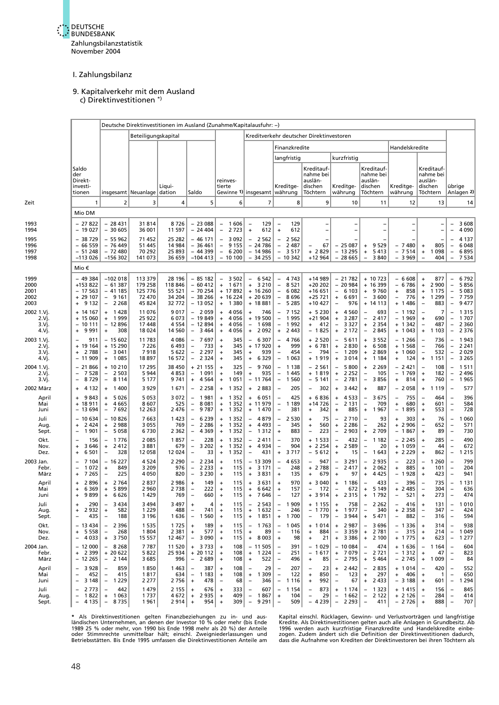

#### 9. Kapitalverkehr mit dem Ausland c) Direktinvestitionen \*)

|                                       |                                                                                               |                                                                                                           |                                                   | Deutsche Direktinvestitionen im Ausland (Zunahme/Kapitalausfuhr: -) |                                                                                                                       |                                                                                            |                                                                                                     |                                                                                                                                                               |                                                                    |                                                                                                                        |                                                                                                                                                 |                                                                                  |                                                                                                                               |                                                                                                                                                         |
|---------------------------------------|-----------------------------------------------------------------------------------------------|-----------------------------------------------------------------------------------------------------------|---------------------------------------------------|---------------------------------------------------------------------|-----------------------------------------------------------------------------------------------------------------------|--------------------------------------------------------------------------------------------|-----------------------------------------------------------------------------------------------------|---------------------------------------------------------------------------------------------------------------------------------------------------------------|--------------------------------------------------------------------|------------------------------------------------------------------------------------------------------------------------|-------------------------------------------------------------------------------------------------------------------------------------------------|----------------------------------------------------------------------------------|-------------------------------------------------------------------------------------------------------------------------------|---------------------------------------------------------------------------------------------------------------------------------------------------------|
|                                       |                                                                                               |                                                                                                           | Beteiligungskapital                               |                                                                     |                                                                                                                       |                                                                                            |                                                                                                     |                                                                                                                                                               | Kreditverkehr deutscher Direktinvestoren                           |                                                                                                                        |                                                                                                                                                 |                                                                                  |                                                                                                                               |                                                                                                                                                         |
|                                       |                                                                                               |                                                                                                           |                                                   |                                                                     |                                                                                                                       |                                                                                            |                                                                                                     | Finanzkredite                                                                                                                                                 |                                                                    |                                                                                                                        |                                                                                                                                                 | Handelskredite                                                                   |                                                                                                                               |                                                                                                                                                         |
|                                       |                                                                                               |                                                                                                           |                                                   |                                                                     |                                                                                                                       |                                                                                            |                                                                                                     | langfristig                                                                                                                                                   |                                                                    | kurzfristig                                                                                                            |                                                                                                                                                 |                                                                                  |                                                                                                                               |                                                                                                                                                         |
|                                       | Saldo<br>der<br>Direkt-<br>investi-<br>tionen                                                 |                                                                                                           |                                                   | Liqui-                                                              | Saldo                                                                                                                 | reinves-<br>tierte                                                                         | Gewinne 1) insgesamt   währung                                                                      | Kreditge-                                                                                                                                                     | Kreditauf-<br>nahme bei<br>auslän-<br>dischen                      | Kreditge-                                                                                                              | Kreditauf-<br>nahme bei<br>auslän-<br>dischen                                                                                                   | Kreditge-<br>währung                                                             | Kreditauf-<br>nahme bei<br>auslän-<br>dischen                                                                                 | übrige<br>Anlagen 2)                                                                                                                                    |
|                                       | 1                                                                                             | $\overline{2}$                                                                                            | insgesamt   Neuanlage   dation<br>3               | 4                                                                   | 5                                                                                                                     | 6                                                                                          | 7                                                                                                   | 8                                                                                                                                                             | Töchtern<br>9                                                      | währung<br>10                                                                                                          | Töchtern                                                                                                                                        | 12                                                                               | Töchtern<br>13                                                                                                                | 14                                                                                                                                                      |
| Zeit                                  |                                                                                               |                                                                                                           |                                                   |                                                                     |                                                                                                                       |                                                                                            |                                                                                                     |                                                                                                                                                               |                                                                    |                                                                                                                        | 11                                                                                                                                              |                                                                                  |                                                                                                                               |                                                                                                                                                         |
|                                       | Mio DM                                                                                        |                                                                                                           |                                                   |                                                                     |                                                                                                                       |                                                                                            |                                                                                                     |                                                                                                                                                               |                                                                    |                                                                                                                        |                                                                                                                                                 |                                                                                  |                                                                                                                               |                                                                                                                                                         |
| 1993<br>1994                          | - 27 822<br>$-19027$                                                                          | $-28431$<br>$-30605$                                                                                      | 31814<br>36 001                                   | 8726<br>11 597                                                      | - 23 088<br>$-24404$                                                                                                  | 1606<br>2723<br>$\qquad \qquad -$                                                          | 129<br>612<br>$\ddot{}$                                                                             | 129<br>612<br>$\ddot{}$                                                                                                                                       |                                                                    |                                                                                                                        |                                                                                                                                                 |                                                                                  |                                                                                                                               | 3 6 0 8<br>4 0 9 0<br>$\overline{\phantom{0}}$                                                                                                          |
| 1995<br>1996<br>1997<br>1998          | 38729<br>- 66 559<br>- 51 248<br>$-113026$                                                    | $-55962$<br>$-76449$<br>$-72480$<br>$-156302$                                                             | 71 452<br>51 445<br>70 292<br>141 073             | 25 282<br>14 984<br>25 893<br>36 659                                | $-46171$<br>$-36461$<br>$-44399$<br>$-104413$                                                                         | 3 0 9 2<br>$\qquad \qquad -$<br>9 1 5 5<br>$\overline{\phantom{a}}$<br>$-6200$<br>$-10100$ | $-2562$<br>$-24786$<br>$-14986$<br>$-34255$                                                         | 2 5 6 2<br>$\overline{\phantom{a}}$<br>2 4 8 7<br>$\overline{\phantom{a}}$<br>$\overline{\phantom{0}}$<br>3 5 1 7<br>$-10342$                                 | 67<br>$+ 2829$<br>$+12964$                                         | $-25087$<br>$-13295$<br>$-28665$                                                                                       | 9 5 2 9<br>$\ddot{}$<br>5413<br>$\ddot{}$<br>3840<br>$\overline{\phantom{a}}$                                                                   | $-7480$<br>$-7514$<br>$-3969$                                                    | 805<br>$\ddot{}$<br>1 0 9 8<br>$\ddot{}$<br>404<br>$\overline{\phantom{0}}$                                                   | 4 1 3 7<br>6 0 4 8<br>$\overline{\phantom{a}}$<br>$\overline{\phantom{a}}$<br>6895<br>$\overline{\phantom{a}}$<br>7 5 3 4                               |
|                                       | Mio €                                                                                         |                                                                                                           |                                                   |                                                                     |                                                                                                                       |                                                                                            |                                                                                                     |                                                                                                                                                               |                                                                    |                                                                                                                        |                                                                                                                                                 |                                                                                  |                                                                                                                               |                                                                                                                                                         |
| 1999<br>2000<br>2001<br>2002<br>2003  | - 49 384<br>+153 822<br>$-17563$<br>$+29107$<br>9 1 3 2<br>$\ddot{}$                          | $-102018$<br>$-61387$<br>$-41185$<br>$-9161$<br>$-2268$                                                   | 113 379<br>179 258<br>125 776<br>72 470<br>45 824 | 28 196<br>118 846<br>55 521<br>34 204<br>32772                      | $-85182$<br>$-60412$<br>$-70254$<br>$-38266$<br>$-13052$                                                              | 3 5 0 2<br>1671<br>$\ddot{}$<br>+ 17 892<br>$+ 16224$<br>1 3 8 0<br>$+$                    | 6 5 4 2<br>$\overline{\phantom{a}}$<br>3 2 1 0<br>$+$<br>$+ 16260$<br>$+20639$<br>+ 18 881          | 4743<br>$\overline{\phantom{a}}$<br>8521<br>$\overline{\phantom{a}}$<br>6 0 8 2<br>8 6 9 6<br>$\overline{\phantom{a}}$<br>5 2 8 5<br>$\overline{\phantom{0}}$ | +14 989<br>$+20202$<br>$+16651$<br>+25 721<br>+10 427              | $-21782$<br>$-20984$<br>$-6103$<br>6691<br>$+$<br>976                                                                  | $+ 10723$<br>+ 16 399<br>9 7 6 0<br>$+$<br>3 600<br>$\qquad \qquad -$<br>$+ 14113$                                                              | $-6608$<br>$-6786$<br>858<br>$+$<br>776<br>$\qquad \qquad -$<br>$+ 1486$         | 877<br>$\ddot{}$<br>2 9 0 0<br>$\ddot{}$<br>1 1 7 5<br>$\ddot{}$<br>1 2 9 9<br>$\ddot{}$<br>883<br>$\overline{\phantom{a}}$   | 6792<br>5856<br>$\overline{\phantom{0}}$<br>5 0 8 3<br>$\overline{\phantom{0}}$<br>$\overline{\phantom{0}}$<br>7759<br>9477<br>$\overline{\phantom{0}}$ |
| 2002 1.Vj.<br>2.Vj.<br>3.Vj.<br>4.Vj. | $+ 14167$<br>$+ 15060$<br>10 111<br>-<br>9 9 9 1<br>$\ddot{}$                                 | 1428<br>$+$<br>1999<br>$+$<br>$-12896$<br>308<br>$\ddot{}$                                                | 11 076<br>25 9 22<br>17448<br>18 0 24             | 9017<br>6073<br>4554<br>14 560                                      | $-2059$<br>$-19849$<br>$-12894$<br>3464<br>$\overline{\phantom{a}}$                                                   | 4056<br>$\ddot{}$<br>4056<br>$\ddot{}$<br>4056<br>$\ddot{}$<br>4056<br>$\ddot{}$           | $\ddot{}$<br>746<br>$+ 19500$<br>1698<br>$\overline{\phantom{a}}$<br>2092<br>$+$                    | 7 152<br>$\overline{\phantom{a}}$<br>1995<br>$\overline{\phantom{0}}$<br>1992<br>$\overline{\phantom{a}}$<br>2 4 4 3<br>$\ddot{}$                             | $+ 5230$<br>$+21904$<br>412<br>$\ddot{}$<br>$-1825$                | 4560<br>$\ddot{}$<br>3 2 8 7<br>$\ddot{}$<br>3 3 2 7<br>$\overline{\phantom{a}}$<br>2 1 7 2<br>$\ddot{}$               | 693<br>$\overline{\phantom{0}}$<br>2417<br>$\overline{\phantom{0}}$<br>2 3 5 4<br>$\begin{array}{c} + \end{array}$<br>2845<br>$\qquad \qquad -$ | $-1192$<br>$-1969$<br>+ 1342<br>+ 1043                                           | 7<br>$\overline{\phantom{0}}$<br>690<br>$\ddot{}$<br>487<br>$\overline{\phantom{a}}$<br>$\ddot{}$<br>1 1 0 3                  | 1 3 1 5<br>$\overline{\phantom{0}}$<br>1707<br>$\overline{\phantom{0}}$<br>2 3 6 0<br>$\overline{\phantom{0}}$<br>2 3 7 6<br>$\qquad \qquad -$          |
| 2003 1.Vi.<br>2.Vj.<br>3.Vj.<br>4.Vj. | 911<br>+ 19 164<br>2 7 8 8<br>$\ddot{}$<br>$-11909$                                           | $-15602$<br>$+ 15290$<br>3 0 4 1<br>$\qquad \qquad -$<br>$+ 1085$                                         | 11 783<br>7 2 2 6<br>7918<br>18897                | 4086<br>6493<br>5 6 2 2<br>16 572                                   | 7697<br>$\overline{\phantom{a}}$<br>733<br>2 2 9 7<br>$\overline{\phantom{a}}$<br>2 3 2 4<br>$\overline{\phantom{a}}$ | 345<br>$\ddot{}$<br>345<br>$\ddot{}$<br>345<br>$\ddot{}$<br>345<br>$\ddot{}$               | 6 307<br>$-$<br>+ 17 920<br>939<br>$\ddot{}$<br>6 3 2 9<br>$\ddot{}$                                | 4766<br>$\overline{\phantom{a}}$<br>999<br>$\ddot{}$<br>454<br>$\qquad \qquad -$<br>$\overline{\phantom{a}}$<br>1 0 6 3                                       | $+ 2520$<br>$+ 6781$<br>794<br>$\qquad \qquad -$<br>$+ 1919$       | 5611<br>2830<br>$\ddot{}$<br>1 2 0 9<br>$\overline{\phantom{a}}$<br>3014<br>$\ddot{}$                                  | 3 5 5 2<br>$\ddot{}$<br>6 5 0 8<br>$\ddot{}$<br>2869<br>$\ddot{}$<br>1 1 8 4<br>$\ddot{}$                                                       | $-1266$<br>+ 1568<br>$+ 1060$<br>124<br>÷                                        | $\overline{\phantom{a}}$<br>736<br>766<br>$\overline{\phantom{a}}$<br>532<br>$\overline{\phantom{a}}$<br>1 1 5 1<br>$\ddot{}$ | 1943<br>$\overline{\phantom{0}}$<br>2 2 4 1<br>$\overline{\phantom{a}}$<br>2 0 2 9<br>$\overline{\phantom{0}}$<br>3 2 6 5<br>$\overline{\phantom{0}}$   |
| 2004 1.Vi.<br>2.Vj.<br>3.Vj.          | $-21866$<br>7 528<br>8 7 2 9<br>$\qquad \qquad -$                                             | $+ 10210$<br>2 503<br>$\overline{\phantom{a}}$<br>$\overline{\phantom{a}}$<br>8 1 1 4                     | 17 295<br>5 9 4 4<br>5 1 7 7                      | 38 450<br>4853<br>9 741                                             | + 21 155<br>1 0 9 1<br>$\overline{\phantom{a}}$<br>4 5 6 4<br>$\ddot{}$                                               | 325<br>$\ddot{}$<br>149<br>$\ddot{}$<br>1051<br>$\overline{+}$                             | 9760<br>$\overline{\phantom{a}}$<br>935<br>$\ddot{}$<br>$-11764$                                    | 1 1 3 8<br>$\overline{\phantom{a}}$<br>1445<br>$\overline{\phantom{a}}$<br>$\overline{\phantom{a}}$<br>1 5 6 0                                                | $-2561$<br>$+ 1819$<br>5 1 4 1<br>$\overline{\phantom{a}}$         | 5800<br>$\overline{\phantom{0}}$<br>2 2 5 2<br>$\begin{array}{c} + \end{array}$<br>2 7 8 1<br>$\overline{\phantom{a}}$ | 2 2 6 9<br>$\ddot{}$<br>105<br>$\overline{\phantom{0}}$<br>$\overline{\phantom{0}}$<br>3856                                                     | - 2421<br>$-1769$<br>814<br>$+$                                                  | 108<br>$\overline{\phantom{a}}$<br>182<br>$\ddot{}$<br>760<br>$\ddot{}$                                                       | 1511<br>$\qquad \qquad -$<br>2 4 9 6<br>$\overline{\phantom{0}}$<br>$\overline{\phantom{a}}$<br>1965                                                    |
| 2002 März                             | 4 1 3 2<br>$\ddot{}$                                                                          | 1 400<br>$\ddot{}$                                                                                        | 3 9 2 9                                           | 1671                                                                | 2 2 5 8                                                                                                               | 1 3 5 2<br>$\ddot{}$                                                                       | 2 8 8 3<br>$\ddot{}$                                                                                | 205<br>$\overline{\phantom{0}}$                                                                                                                               | 302<br>$\overline{\phantom{0}}$                                    | 3 4 4 2<br>$\ddot{}$                                                                                                   | 887<br>$\ddot{}$                                                                                                                                | $-2058$                                                                          | 1 1 1 9<br>$\ddot{}$                                                                                                          | 577<br>$\overline{\phantom{0}}$                                                                                                                         |
| April<br>Mai<br>Juni                  | 9843<br>$+$<br>$+ 18911$<br>13 694<br>$\qquad \qquad -$                                       | 5 0 2 6<br>$+$<br>4 665<br>$\ddot{}$<br>7692<br>$\overline{\phantom{a}}$                                  | 5 0 5 3<br>8607<br>12 2 63                        | 3072<br>525<br>2476                                                 | 1981<br>$\overline{\phantom{0}}$<br>8 0 8 1<br>$\overline{\phantom{a}}$<br>9787<br>$\overline{\phantom{a}}$           | 1 3 5 2<br>$\ddot{}$<br>1 3 5 2<br>$\ddot{}$<br>1 3 5 2<br>$\ddot{}$                       | 6051<br>$+$<br>+ 11 979<br>1470<br>$\ddot{}$                                                        | 425<br>$\qquad \qquad -$<br>1 1 8 9<br>$\overline{\phantom{a}}$<br>381<br>$\overline{\phantom{a}}$                                                            | $+ 6836$<br>+14 726<br>342<br>$\ddot{}$                            | 4 5 3 3<br>$\ddot{}$<br>2 1 3 1<br>885<br>$\ddot{}$                                                                    | 3675<br>$\overline{\phantom{0}}$<br>709<br>$\overline{a}$<br>1967<br>$\overline{+}$                                                             | 755<br>$\overline{\phantom{0}}$<br>680<br>$\ddot{}$<br>1895<br>$\qquad \qquad -$ | 464<br>$\overline{\phantom{0}}$<br>601<br>$\ddot{}$<br>553<br>$\ddot{}$                                                       | 396<br>$\overline{\phantom{a}}$<br>584<br>$\overline{\phantom{a}}$<br>728<br>$\overline{\phantom{a}}$                                                   |
| Juli<br>Aug.<br>Sept.                 | $-10634$<br>2424<br>+<br>1901                                                                 | $-10826$<br>2 9 8 8<br>$+$<br>5058<br>$\overline{\phantom{a}}$                                            | 7663<br>3 0 5 5<br>6730                           | 1423<br>769<br>2 3 6 2                                              | 6 2 3 9<br>$\overline{\phantom{0}}$<br>2 2 8 6<br>$\overline{\phantom{a}}$<br>4 3 6 9<br>$\overline{\phantom{a}}$     | 1 3 5 2<br>$\ddot{}$<br>1 3 5 2<br>$\ddot{}$<br>1 3 5 2<br>$\ddot{}$                       | 4879<br>$\overline{\phantom{a}}$<br>4 4 9 3<br>$\ddot{}$<br>1 3 1 2<br>$\overline{\phantom{a}}$     | 2 5 3 0<br>$\overline{\phantom{a}}$<br>345<br>$\overline{\phantom{a}}$<br>883<br>$\ddot{}$                                                                    | 75<br>$\ddot{}$<br>560<br>$\ddot{}$<br>223<br>$\qquad \qquad -$    | 2710<br>$\overline{\phantom{a}}$<br>2 2 8 6<br>$\ddot{}$<br>2 9 0 3<br>$\overline{\phantom{a}}$                        | 93<br>$\overline{a}$<br>262<br>$\ddot{}$<br>2 7 0 9                                                                                             | 303<br>$\ddot{}$<br>$+ 2906$<br>$-1867$                                          | 76<br>$\ddot{}$<br>652<br>$\overline{\phantom{a}}$<br>89<br>$\ddot{}$                                                         | 1 060<br>$\overline{\phantom{a}}$<br>$\overline{\phantom{0}}$<br>571<br>$\overline{\phantom{a}}$<br>730                                                 |
| Okt.<br>Nov.<br>Dez.                  | 156<br>3646<br>$\ddot{}$<br>6 5 0 1<br>$\ddot{}$                                              | $\overline{\phantom{a}}$<br>1 7 7 6<br>2412<br>$+$<br>328<br>$\overline{\phantom{0}}$                     | 2 0 8 5<br>3881<br>12 058                         | 1857<br>679<br>12 0 24                                              | 228<br>$\overline{\phantom{0}}$<br>3 2 0 2<br>$\overline{\phantom{a}}$<br>33                                          | 1 3 5 2<br>$\ddot{}$<br>1 3 5 2<br>$\ddot{}$<br>1 3 5 2<br>$\ddot{}$                       | 2 4 1 1<br>$\overline{\phantom{a}}$<br>4 9 3 4<br>$\ddot{}$<br>431<br>$\qquad \qquad -$             | 370<br>$\qquad \qquad -$<br>904<br>$\overline{\phantom{a}}$<br>3717<br>$\ddot{}$                                                                              | 1 5 3 3<br>$+$<br>$+ 2254$<br>5 6 1 2<br>$\overline{\phantom{0}}$  | 432<br>2 5 8 9<br>$\begin{array}{c} + \end{array}$<br>15<br>$\ddot{}$                                                  | 1 1 8 2<br>$\qquad \qquad -$<br>20<br>$\overline{\phantom{0}}$<br>$\overline{\phantom{0}}$<br>1 643                                             | $-2245$<br>+ 1059<br>$+2229$                                                     | 285<br>$\ddot{}$<br>44<br>$\overline{\phantom{0}}$<br>862<br>$\ddot{}$                                                        | 490<br>$\overline{\phantom{a}}$<br>672<br>$\overline{\phantom{a}}$<br>$\overline{\phantom{0}}$<br>1 2 1 5                                               |
| 2003 Jan.<br>Febr.<br>März            | 7 104<br>1072<br>$\qquad \qquad -$<br>7 2 6 5<br>$\ddot{}$                                    | $-16227$<br>849<br>$\begin{array}{c} + \end{array}$<br>225<br>$\overline{\phantom{0}}$                    | 4 5 2 4<br>3 2 0 9<br>4 0 5 0                     | 2 2 9 0<br>976<br>820                                               | 2 2 3 4<br>$\overline{\phantom{a}}$<br>2 2 3 3<br>$\overline{\phantom{a}}$<br>3 2 3 0<br>$\overline{\phantom{a}}$     | 115<br>$\ddot{}$<br>115<br>$\ddot{}$<br>115<br>$\overline{+}$                              | $-13309$<br>3 1 7 1<br>$\ddot{}$<br>3831<br>$\ddot{}$                                               | 4653<br>$\overline{\phantom{a}}$<br>248<br>$\overline{\phantom{a}}$<br>$\ddot{}$<br>135                                                                       | 947<br>$\overline{\phantom{0}}$<br>$+ 2788$<br>679<br>$\ddot{}$    | 3 2 9 1<br>$\overline{\phantom{0}}$<br>2417<br>$\overline{\phantom{a}}$<br>97<br>$\ddot{}$                             | 2935<br>$\qquad \qquad -$<br>2 0 6 2<br>$\ddot{}$<br>4 4 2 5<br>$\ddot{}$                                                                       | 223<br>885<br>$+$<br>$-1928$                                                     | 1 2 6 0<br>$\overline{\phantom{a}}$<br>$\ddot{}$<br>101<br>423<br>$\ddot{}$                                                   | 799<br>$\overline{\phantom{a}}$<br>204<br>$\overline{\phantom{0}}$<br>941<br>$\overline{\phantom{0}}$                                                   |
| April<br>Mai<br>Juni                  | 2896<br>$\ddot{}$<br>6 3 6 9<br>$\ddot{}$<br>9899                                             | 2 7 6 4<br>$\ddot{}$<br>5899<br>$\ddot{}$<br>626<br>6                                                     | 2837<br>2 9 6 0<br>1 4 2 9                        | 2986<br>2738<br>769                                                 | 149<br>$\ddot{}$<br>222<br>660                                                                                        | 115<br>$\overline{+}$<br>115<br>$\ddot{}$<br>115                                           | $+$<br>3 6 3 1<br>6 6 4 2<br>$\ddot{}$<br>7 646                                                     | 970<br>$\ddot{}$<br>157<br>$\ddot{}$<br>127                                                                                                                   | 3 0 4 0<br>$+$<br>172<br>3914                                      | 1 1 8 6<br>$+$<br>672<br>2 3 1 5                                                                                       | 433<br>$\overline{\phantom{0}}$<br>5 1 4 9<br>$\ddot{}$<br>1792<br>+                                                                            | 396<br>$+ 2485$<br>521                                                           | 735<br>$\overline{\phantom{a}}$<br>304<br>$\overline{\phantom{0}}$<br>273                                                     | 1 1 3 1<br>$\overline{\phantom{a}}$<br>636<br>$\overline{\phantom{a}}$<br>474                                                                           |
| Juli<br>Aug.<br>Sept.                 | 290<br>÷<br>2 9 3 2<br>$\ddot{}$<br>435<br>$\overline{a}$                                     | 3 4 3 4<br>$\overline{\phantom{a}}$<br>582<br>$\mathbf +$<br>188<br>$\overline{\phantom{a}}$              | 3 4 9 4<br>1 2 2 9<br>3 1 9 6                     | 3 4 9 7<br>488<br>1636                                              | 4<br>$\ddot{}$<br>741<br>1 5 6 0<br>$\overline{\phantom{a}}$                                                          | 115<br>$\ddot{}$<br>115<br>$\ddot{}$<br>115<br>$+$                                         | $-2543$<br>$+$<br>1 632<br>$+$<br>1851                                                              | 1909<br>$\overline{\phantom{a}}$<br>$\overline{\phantom{0}}$<br>246<br>$\ddot{}$<br>1 700                                                                     | $+ 1155$<br>$-1770$<br>179<br>$\overline{\phantom{a}}$             | 758<br>$\begin{array}{c} + \end{array}$<br>1977<br>$\bf{+}$<br>3 9 4 4<br>$\overline{\phantom{a}}$                     | 2 2 6 2<br>$\qquad \qquad -$<br>$\overline{\phantom{0}}$<br>340<br>$+$<br>5 471                                                                 | 416<br>$\overline{\phantom{a}}$<br>$+ 2358$<br>882<br>$\overline{\phantom{a}}$   | 131<br>$\ddot{}$<br>347<br>$\qquad \qquad -$<br>$\overline{\phantom{a}}$<br>316                                               | 1010<br>$\overline{\phantom{a}}$<br>424<br>$\qquad \qquad -$<br>594<br>$\overline{\phantom{a}}$                                                         |
| Okt.<br>Nov.<br>Dez.                  | - 13 434<br>5 5 5 8<br>$\ddot{}$<br>4 0 3 3                                                   | 2 3 9 6<br>$-$<br>268<br>$\overline{\phantom{a}}$<br>$+ 3750$                                             | 1 5 3 5<br>1804<br>15 557                         | 1725<br>2 3 8 1<br>12 467                                           | 189<br>$\ddot{}$<br>577<br>$\ddot{}$<br>3 0 9 0<br>$\overline{\phantom{a}}$                                           | 115<br>$\overline{1}$<br>115<br>$\ddot{}$<br>115<br>$\overline{+}$                         | $\overline{\phantom{a}}$<br>1763<br>$\begin{array}{c} + \end{array}$<br>89<br>8 0 0 3<br>$+$        | 1 0 4 5<br>$\qquad \qquad -$<br>$\qquad \qquad -$<br>116<br>98<br>$\ddot{}$                                                                                   | $+ 1014$<br>884<br>$\ddot{}$<br>21<br>$\ddot{}$                    | 2987<br>$+$<br>3 3 5 9<br>$+ 3386$                                                                                     | 3696<br>$\qquad \qquad -$<br>2 781<br>$+$<br>$+ 2100$                                                                                           | $-1336$<br>315<br>$\sim$<br>$+ 1775$                                             | 314<br>$\ddot{}$<br>214<br>$\ddot{}$<br>623<br>$\ddot{}$                                                                      | 938<br>$\overline{\phantom{a}}$<br>1 0 4 9<br>$\qquad \qquad -$<br>$\overline{\phantom{a}}$<br>1 277                                                    |
| 2004 Jan.<br>Febr.<br>März            | $-12000$<br>2 3 9 9<br>$\ddot{}$<br>- 12 265                                                  | $-8268$<br>$+20622$<br>$-2144$                                                                            | 7787<br>5822<br>3 6 8 5                           | 11520<br>25 934<br>996                                              | $+ 3733$<br>$+20112$<br>$-2689$                                                                                       | 108<br>$+$<br>108<br>$\ddot{}$<br>108<br>$+$                                               | $-11505$<br>$\begin{array}{c} + \end{array}$<br>1 2 2 4<br>522<br>$\ddot{}$                         | 391<br>$\qquad \qquad -$<br>$\overline{\phantom{a}}$<br>251<br>$\overline{\phantom{a}}$<br>496                                                                | $-1029$<br>1617<br>$\overline{\phantom{a}}$<br>85<br>$\ddot{}$     | $-10084$<br>+ 7079<br>$-2795$                                                                                          | 474<br>$\qquad \qquad -$<br>2721<br>$\overline{\phantom{a}}$<br>$+$<br>5464                                                                     | + 1636<br>- 1312<br>- 2745                                                       | 1 1 6 4<br>$\overline{\phantom{a}}$<br>$\ddot{}$<br>47<br>1 0 0 9<br>$\ddot{}$                                                | 604<br>$\overline{\phantom{0}}$<br>823<br>$\qquad \qquad -$<br>84<br>$\overline{\phantom{a}}$                                                           |
| April<br>Mai<br>Juni                  | 3928<br>-<br>452<br>3 148<br>$\qquad \qquad -$                                                | 859<br>$\overline{\phantom{a}}$<br>$\overline{\phantom{a}}$<br>415<br>$\overline{\phantom{a}}$<br>1 2 2 9 | 1850<br>1817<br>2 277                             | 1463<br>634 <br>$2756$ +                                            | $\qquad \qquad -$<br>387<br>$\overline{\phantom{a}}$<br>1 1 8 3<br>478                                                | 108<br>$\overline{+}$<br>108<br>$\overline{+}$<br>68                                       | 29<br>$\overline{\phantom{0}}$<br>1 3 0 9<br>$+$<br>346<br>$\overline{\phantom{a}}$                 | 207<br>$\overline{\phantom{0}}$<br>$\qquad \qquad -$<br>122<br>$\overline{\phantom{a}}$<br>1 1 1 6                                                            | 23<br>$\overline{a}$<br>850<br>$\ddot{}$<br>992<br>$\ddot{}$       | 2 4 4 2<br>$+$<br>123<br>$\overline{\phantom{a}}$<br>67                                                                | 2835<br>$\overline{\phantom{a}}$<br>$\begin{array}{c} + \end{array}$<br>297<br>2 433<br>$+$                                                     | $+ 1014$<br>406<br>$+$<br>$-3188$                                                | 420<br>$\qquad \qquad -$<br>$\ddot{}$<br>1<br>601<br>$\ddot{}$                                                                | 552<br>$\overline{\phantom{a}}$<br>650<br>$\overline{\phantom{a}}$<br>$\overline{\phantom{a}}$<br>1 2 9 4                                               |
| Juli<br>Aug.<br>Sept.                 | 2773<br>$\qquad \qquad -$<br>1822<br>$\overline{\phantom{0}}$<br>4 1 3 5<br>$\qquad \qquad -$ | 442<br>$\overline{\phantom{a}}$<br>$+ 1063$<br>$-8735$                                                    | 1479<br>1737<br>1961                              | 2155<br>4 6 7 2  <br>2914                                           | 676<br>$\overline{+}$<br>2935<br>$\ddot{}$<br>954<br>$\ddot{}$                                                        | 333<br>$\overline{1}$<br>409<br>$\overline{+}$<br>309<br>$\ddot{}$                         | 607<br>$\qquad \qquad -$<br>$\overline{\phantom{a}}$<br>1867<br>$\overline{\phantom{a}}$<br>9 2 9 1 | 1 1 5 4<br>$\overline{\phantom{a}}$<br>104<br>$\begin{array}{c} + \end{array}$<br>509<br>$\overline{\phantom{a}}$                                             | 873<br>$\overline{a}$<br>29<br>$\overline{\phantom{a}}$<br>$-4239$ | 1 1 7 4<br>$+$<br>$-1662$<br>$-2293$                                                                                   | 1 3 2 3<br>$\overline{\phantom{a}}$<br>2 1 2 2<br>$\overline{\phantom{a}}$<br>$\overline{\phantom{a}}$<br>411                                   | $+ 1415$<br>$+ 2126$<br>$-2726$                                                  | 156<br>$\ddot{}$<br>284<br>888<br>$\ddot{}$                                                                                   | 845<br>$\overline{\phantom{a}}$<br>414<br>$\overline{\phantom{a}}$<br>$\overline{\phantom{a}}$<br>707                                                   |

kapital einschl. Rücklagen, Gewinn- und Purlatischer Als Direktinvestitionen gelten und Derlustvorträgen und langfristiget and ingfristiget in die Anlagen in Grundbesitz. Ab andischen Unternehmen, an denen der Investor 10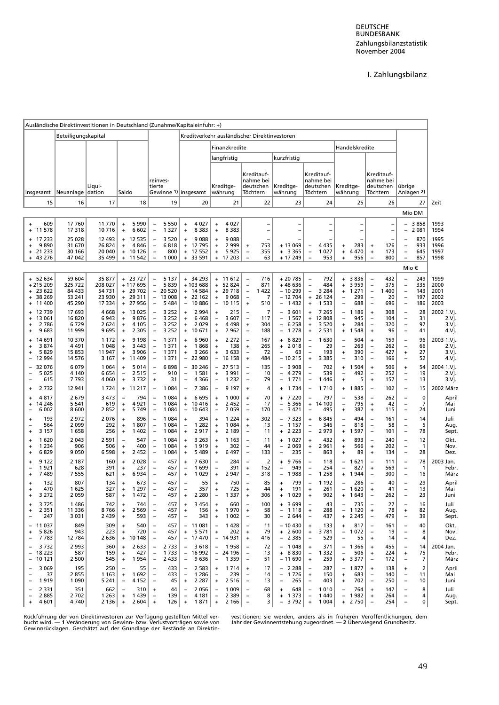#### DEUTSCHE BUNDESBANK Zahlungsbilanzstatistik November 2004

### I. Zahlungsbilanz

|                                                                                               |                                                 |                                                 |                                                                                               |                                                                                                                                                           | Ausländische Direktinvestitionen in Deutschland (Zunahme/Kapitaleinfuhr: +)                                         |                                                                                                                        |                                                                                                                                                  |                                                                                                          |                                                                                                                                    |                                                                                                                                                                |                                                                                                                                                                |                                                                                                                                          |                                       |
|-----------------------------------------------------------------------------------------------|-------------------------------------------------|-------------------------------------------------|-----------------------------------------------------------------------------------------------|-----------------------------------------------------------------------------------------------------------------------------------------------------------|---------------------------------------------------------------------------------------------------------------------|------------------------------------------------------------------------------------------------------------------------|--------------------------------------------------------------------------------------------------------------------------------------------------|----------------------------------------------------------------------------------------------------------|------------------------------------------------------------------------------------------------------------------------------------|----------------------------------------------------------------------------------------------------------------------------------------------------------------|----------------------------------------------------------------------------------------------------------------------------------------------------------------|------------------------------------------------------------------------------------------------------------------------------------------|---------------------------------------|
|                                                                                               | Beteiligungskapital                             |                                                 |                                                                                               |                                                                                                                                                           |                                                                                                                     | Kreditverkehr ausländischer Direktinvestoren                                                                           |                                                                                                                                                  |                                                                                                          |                                                                                                                                    |                                                                                                                                                                |                                                                                                                                                                |                                                                                                                                          |                                       |
|                                                                                               |                                                 |                                                 |                                                                                               |                                                                                                                                                           |                                                                                                                     | Finanzkredite                                                                                                          |                                                                                                                                                  |                                                                                                          |                                                                                                                                    | Handelskredite                                                                                                                                                 |                                                                                                                                                                |                                                                                                                                          |                                       |
|                                                                                               |                                                 |                                                 |                                                                                               |                                                                                                                                                           |                                                                                                                     | langfristig                                                                                                            |                                                                                                                                                  | kurzfristig                                                                                              |                                                                                                                                    |                                                                                                                                                                |                                                                                                                                                                |                                                                                                                                          |                                       |
| insgesamt                                                                                     | Neuanlage dation                                | Ligui-                                          | Saldo                                                                                         | reinves-<br>tierte                                                                                                                                        | Gewinne 1) insgesamt                                                                                                | Kreditge-<br>währung                                                                                                   | Kreditauf-<br>nahme bei<br>deutschen<br>Töchtern                                                                                                 | Kreditge-<br>währung                                                                                     | Kreditauf-<br>nahme bei<br>deutschen<br>Töchtern                                                                                   | Kreditge-<br>währung                                                                                                                                           | Kreditauf-<br>nahme bei<br>deutschen<br>Töchtern                                                                                                               | übrige<br>Anlagen 2)                                                                                                                     |                                       |
| 15                                                                                            | 16                                              | 17                                              | 18                                                                                            | 19                                                                                                                                                        | 20                                                                                                                  | 21                                                                                                                     | 22                                                                                                                                               | 23                                                                                                       | 24                                                                                                                                 | 25                                                                                                                                                             | 26                                                                                                                                                             | 27                                                                                                                                       | Zeit                                  |
|                                                                                               |                                                 |                                                 |                                                                                               |                                                                                                                                                           |                                                                                                                     |                                                                                                                        |                                                                                                                                                  |                                                                                                          |                                                                                                                                    |                                                                                                                                                                |                                                                                                                                                                | Mio DM                                                                                                                                   |                                       |
| 609<br>$\ddot{}$<br>11 578<br>$\ddot{}$                                                       | 17 760<br>17 318                                | 11 770<br>10716                                 | 5 9 9 0<br>$\ddot{}$<br>6 6 0 2<br>$\ddot{}$                                                  | 5 5 5 0<br>1 3 2 7<br>$\overline{\phantom{0}}$                                                                                                            | 4 0 27<br>$\ddot{}$<br>8 3 8 3<br>$\ddot{}$                                                                         | 4 0 2 7<br>$\ddot{}$<br>8 3 8 3<br>$\ddot{}$                                                                           | $\overline{\phantom{0}}$<br>$\overline{\phantom{a}}$                                                                                             | -                                                                                                        |                                                                                                                                    | $\overline{\phantom{0}}$                                                                                                                                       | ٠<br>Ē,                                                                                                                                                        | 3858<br>2 0 8 1<br>-                                                                                                                     | 1993<br>1994                          |
| 17 233<br>$\ddot{}$<br>9890<br>$\begin{array}{c} + \end{array}$<br>21 233<br>$+$<br>$+ 43276$ | 25 028<br>31 670<br>30 166<br>47 042            | 12 493<br>26 824<br>20 040<br>35 499            | 12 535<br>$\ddot{}$<br>4 8 4 6<br>$\ddot{}$<br>10 126<br>$+$<br>$+ 11542$                     | 3 5 2 0<br>$\qquad \qquad -$<br>6818<br>$\overline{\phantom{a}}$<br>800<br>$\overline{\phantom{a}}$<br>1 0 0 0<br>$\overline{\phantom{a}}$                | 9088<br>$\ddot{}$<br>12795<br>$+$<br>12 5 52<br>$\ddot{}$<br>33 591<br>$+$                                          | 9088<br>$\ddot{}$<br>2 9 9 9<br>$\ddot{}$<br>5925<br>$\ddot{}$<br>$+ 17203$                                            | 753<br>$\ddot{}$<br>355<br>$\overline{\phantom{a}}$<br>$\frac{1}{2}$<br>63                                                                       | + 13 069<br>3 3 6 5<br>$+$<br>+ 17 249                                                                   | 4 4 3 5<br>$\qquad \qquad -$<br>1 0 2 7<br>$\qquad \qquad -$<br>953<br>$\equiv$                                                    | 283<br>$\ddot{}$<br>4470<br>$\ddot{}$<br>956<br>$\ddot{}$                                                                                                      | ٠<br>126<br>$\ddot{}$<br>173<br>$\ddot{}$<br>800<br>$\overline{\phantom{0}}$                                                                                   | 870<br>$\overline{\phantom{0}}$<br>933<br>$\qquad \qquad -$<br>645<br>$\qquad \qquad -$<br>$\equiv$<br>857                               | 1995<br>1996<br>1997<br>1998          |
|                                                                                               |                                                 |                                                 |                                                                                               |                                                                                                                                                           |                                                                                                                     |                                                                                                                        |                                                                                                                                                  |                                                                                                          |                                                                                                                                    |                                                                                                                                                                |                                                                                                                                                                | Mio €                                                                                                                                    |                                       |
| + 52 634<br>$+215209$<br>23 622<br>$^+$<br>38 269<br>$\ddot{}$<br>11 400<br>$\ddot{}$         | 59 604<br>325 722<br>84 433<br>53 241<br>45 290 | 35 877<br>208 027<br>54 731<br>23 930<br>17 334 | $+ 23727$<br>+117695<br>$+ 29702$<br>29 311<br>$\ddot{}$<br>27 956<br>$+$                     | 5 1 3 7<br>$\qquad \qquad -$<br>$\overline{\phantom{0}}$<br>5839<br>$-20520$<br>13 008<br>$\overline{\phantom{a}}$<br>5 4 8 4<br>$\overline{\phantom{a}}$ | $+ 34293$<br>+103688<br>$+ 14584$<br>22 162<br>$+$<br>10886<br>$\overline{\phantom{0}}$                             | $+ 11612$<br>52 824<br>$\ddot{}$<br>29 7 18<br>$\ddot{}$<br>9 0 6 8<br>$\ddot{}$<br>10 115<br>$\overline{\phantom{0}}$ | 716<br>871<br>$\overline{\phantom{a}}$<br>$\overline{\phantom{0}}$<br>1422<br>$\overline{\phantom{a}}$<br>7<br>510<br>$\bf{+}$                   | +20785<br>$+48636$<br>$-10299$<br>$-12704$<br>$-1432$                                                    | 792<br>Ē,<br>484<br>$\overline{\phantom{0}}$<br>$\overline{\phantom{a}}$<br>3 2 8 4<br>26 124<br>$\ddot{}$<br>1 5 3 3<br>$\ddot{}$ | 3836<br>$\ddot{}$<br>3 9 5 9<br>$\begin{array}{c} + \end{array}$<br>1 2 7 1<br>$\ddot{}$<br>299<br>$\overline{\phantom{a}}$<br>688<br>$\overline{\phantom{0}}$ | 432<br>$\overline{\phantom{0}}$<br>$\overline{\phantom{0}}$<br>375<br>1 4 0 0<br>$\overline{\phantom{0}}$<br>$\overline{\phantom{0}}$<br>20<br>$\equiv$<br>696 | 249<br>335<br>$\qquad \qquad -$<br>143<br>$\overline{\phantom{0}}$<br>197<br>$\overline{\phantom{0}}$<br>186<br>$\overline{\phantom{0}}$ | 1999<br>2000<br>2001<br>2002<br>2003  |
| $+ 12739$<br>13 061<br>$\ddot{}$<br>2786<br>+<br>9683<br>÷                                    | 17 693<br>16820<br>6729<br>11 999               | 4668<br>6943<br>2624<br>9695                    | 13 025<br>$\ddot{}$<br>9876<br>$\ddot{}$<br>4 1 0 5<br>$\ddot{}$<br>2 3 0 5<br>$\ddot{}$      | 3 2 5 2<br>$\qquad \qquad -$<br>3 2 5 2<br>$\qquad \qquad -$<br>3 2 5 2<br>$\overline{\phantom{a}}$<br>3 2 5 2<br>$\overline{\phantom{a}}$                | 2 9 9 4<br>$\ddot{}$<br>6468<br>$\begin{array}{c} + \end{array}$<br>2 0 2 9<br>$\ddot{}$<br>$\ddot{}$<br>10 671     | 215<br>$\ddot{}$<br>3 607<br>$\overline{\phantom{0}}$<br>4 4 9 8<br>$\ddot{}$<br>7962<br>$\ddot{}$                     | $\overline{7}$<br>$\overline{\phantom{0}}$<br>$\frac{1}{2}$<br>117<br>304<br>$\begin{array}{c} + \end{array}$<br>188<br>$\overline{\phantom{0}}$ | $-3601$<br>$-1567$<br>6 2 5 8<br>$\qquad \qquad -$<br>$-1278$                                            | 7 2 6 5<br>$\ddot{}$<br>12 808<br>$+$<br>3 5 20<br>$\ddot{}$<br>2 5 3 1<br>$\begin{array}{c} + \end{array}$                        | 1 1 8 6<br>$\overline{\phantom{a}}$<br>$\equiv$<br>945<br>284<br>$\begin{array}{c} + \end{array}$<br>548<br>$\ddot{}$<br>1                                     | 308<br>$\begin{array}{c} + \end{array}$<br>104<br>$\qquad \qquad -$<br>$\overline{\phantom{0}}$<br>320<br>$\ddot{}$<br>96                                      | 28<br>$\overline{\phantom{0}}$<br>31<br>$\overline{\phantom{0}}$<br>97<br>$\qquad \qquad -$<br>41<br>$\overline{\phantom{0}}$            | 2002 1.Vj.<br>2.Vj.<br>3.Vj.<br>4.Vj. |
| 14 691<br>+<br>3874<br>+<br>5 8 2 9<br>$\ddot{}$<br>12 994                                    | 10 370<br>4491<br>15853<br>14 576               | 1 1 7 2<br>1 0 4 8<br>11 947<br>3 1 6 7         | 9 1 9 8<br>$\ddot{}$<br>3 4 4 3<br>$\ddot{}$<br>3 9 0 6<br>$\ddot{}$<br>11 409<br>$\ddot{}$   | 1 3 7 1<br>$\qquad \qquad -$<br>1 3 7 1<br>$\overline{\phantom{a}}$<br>1 3 7 1<br>$\overline{\phantom{0}}$<br>1 3 7 1<br>$\overline{a}$                   | 6960<br>$\ddot{}$<br>1868<br>$\ddot{}$<br>3 2 6 6<br>$+$<br>22 980<br>$\overline{\phantom{0}}$                      | 2 2 7 2<br>$\ddot{}$<br>138<br>$\ddot{}$<br>3 6 3 3<br>$\ddot{}$<br>16 158<br>$\overline{\phantom{a}}$                 | 167<br>$\overline{\phantom{a}}$<br>265<br>$\begin{array}{c} + \end{array}$<br>72<br>$\overline{\phantom{a}}$<br>484<br>$\ddot{}$                 | 6829<br>$+$<br>2018<br>$\ddot{}$<br>63<br>$\overline{\phantom{0}}$<br>$-10215$                           | 1 630<br>$\qquad \qquad -$<br>29<br>$\overline{\phantom{0}}$<br>193<br>$\qquad \qquad -$<br>3 3 8 5<br>$\ddot{}$                   | 504<br>$\overline{\phantom{a}}$<br>263<br>$\overline{\phantom{a}}$<br>390<br>$\begin{array}{c} + \end{array}$<br>310<br>$\overline{\phantom{0}}$               | 159<br>$\ddot{}$<br>262<br>$\qquad \qquad -$<br>$\overline{a}$<br>427<br>$\overline{a}$<br>166                                                                 | 96<br>$\overline{\phantom{0}}$<br>66<br>$\qquad \qquad -$<br>27<br>$+$<br>52<br>$\overline{\phantom{0}}$                                 | 2003 1.Vj.<br>2.Vj.<br>3.Vj.<br>4.Vj. |
| 32 076<br>$-$<br>5 0 2 5<br>$\qquad \qquad -$<br>615                                          | 6079<br>4 1 4 0<br>7793                         | 1 0 6 4<br>6654<br>4 0 6 0                      | 5014<br>$\ddot{}$<br>2 5 1 5<br>$\qquad \qquad -$<br>3732<br>$\ddot{}$                        | 6898<br>$\qquad \qquad -$<br>910<br>$\overline{\phantom{a}}$<br>31<br>$\ddot{}$                                                                           | 30 246<br>$\overline{\phantom{a}}$<br>1 5 8 1<br>$\overline{\phantom{a}}$<br>$\overline{\phantom{0}}$<br>4 3 6 6    | 27 513<br>$\overline{\phantom{a}}$<br>3 9 9 1<br>$\ddot{}$<br>1 2 3 2                                                  | 135<br>$\overline{\phantom{0}}$<br>$\overline{\phantom{0}}$<br>10<br>79<br>$\overline{\phantom{0}}$                                              | $-3908$<br>4 2 7 9<br>$\equiv$<br>1771<br>$\qquad \qquad -$                                              | 702<br>Ē,<br>539<br>Ē,<br>446<br>$\overline{\phantom{0}}$<br>1                                                                     | 1 504<br>$\ddot{}$<br>492<br>$\overline{\phantom{0}}$<br>5<br>$\ddot{}$                                                                                        | 506<br>$\ddot{}$<br>252<br>$\qquad \qquad -$<br>$\ddot{}$<br>157                                                                                               | 54<br>$\ddot{}$<br>19<br>$\qquad \qquad -$<br>$\overline{\phantom{0}}$<br>13                                                             | 2004 1.Vj.<br>2.Vj.<br>3.Vj.          |
| 2732<br>$\ddot{}$                                                                             | 12 941                                          | 1724                                            | 11 217<br>$\ddot{}$                                                                           | 1 0 8 4<br>$\overline{\phantom{0}}$                                                                                                                       | 7 3 8 6                                                                                                             | 9 1 9 7<br>$\overline{\phantom{0}}$                                                                                    | 4<br>$\ddot{}$                                                                                                                                   | 1734<br>$\ddot{}$                                                                                        | 1 7 1 0<br>$\qquad \qquad -$                                                                                                       | 1885<br>$\ddot{}$                                                                                                                                              | 102<br>$\overline{\phantom{0}}$                                                                                                                                | 15<br>$\overline{\phantom{0}}$                                                                                                           | 2002 März                             |
| 4817<br>$\ddot{}$<br>14 246<br>$\ddot{}$<br>6 0 0 2                                           | 2679<br>5 5 4 1<br>8600                         | 3 4 7 3<br>619<br>2852                          | 794<br>$\overline{\phantom{0}}$<br>4921<br>$\ddot{}$<br>5 7 4 9<br>$\ddot{}$                  | 1 0 8 4<br>$\overline{a}$<br>1 0 8 4<br>$\overline{a}$<br>1 0 8 4<br>$\overline{\phantom{a}}$                                                             | 6695<br>$+$<br>10416<br>$\ddot{}$<br>10 643<br>$\overline{\phantom{a}}$                                             | 1 0 0 0<br>$\ddot{}$<br>2 4 5 2<br>$\ddot{}$<br>7059<br>$\overline{\phantom{a}}$                                       | 70<br>$\ddot{}$<br>17<br>$\overline{\phantom{0}}$<br>170<br>$\overline{\phantom{a}}$                                                             | 7 2 2 0<br>$+$<br>5 3 6 6<br>3 4 2 1<br>$\qquad \qquad -$                                                | 797<br>$\overline{\phantom{0}}$<br>14 100<br>$\begin{array}{c} + \end{array}$<br>495<br>$\qquad \qquad -$                          | 538<br>$\overline{\phantom{a}}$<br>795<br>$\overline{\phantom{a}}$<br>387<br>$\ddot{}$                                                                         | 262<br>$\qquad \qquad -$<br>$\ddot{}$<br>42<br>115<br>$\ddot{}$                                                                                                | $\mathbf 0$<br>$\overline{\phantom{0}}$<br>$\overline{7}$<br>$\qquad \qquad -$<br>24<br>$\overline{\phantom{0}}$                         | April<br>Mai<br>Juni                  |
| 193<br>+<br>564<br>3 1 5 7<br>$\ddot{}$                                                       | 2972<br>2099<br>1658                            | 2076<br>292<br>256                              | 896<br>$\ddot{}$<br>1807<br>$\ddot{}$<br>1 4 0 2<br>$\ddot{}$                                 | 1 0 8 4<br>$\overline{a}$<br>1 0 8 4<br>$\qquad \qquad -$<br>1 0 8 4<br>$\overline{a}$                                                                    | 394<br>$\ddot{}$<br>1 2 8 2<br>$\overline{\phantom{a}}$<br>2917<br>$\ddot{}$                                        | 1 2 2 4<br>$\ddot{}$<br>1 0 8 4<br>$\ddot{}$<br>2 189<br>$\ddot{}$                                                     | 302<br>$\ddot{}$<br>13<br>$\begin{array}{c} + \end{array}$<br>11<br>$\overline{\phantom{0}}$                                                     | $-7323$<br>1 1 5 7<br>$\overline{\phantom{0}}$<br>$+ 2223$                                               | 6845<br>$\begin{array}{c} + \end{array}$<br>346<br>$\qquad \qquad -$<br>2 9 7 9<br>$\overline{\phantom{0}}$                        | 494<br>$\overline{\phantom{a}}$<br>818<br>$\overline{\phantom{a}}$<br>$\begin{array}{c} + \end{array}$<br>597<br>1                                             | 161<br>$\qquad \qquad -$<br>58<br>$\qquad \qquad -$<br>$\overline{\phantom{0}}$<br>101                                                                         | 14<br>$\overline{\phantom{0}}$<br>5<br>$\qquad \qquad -$<br>78<br>$\overline{\phantom{0}}$                                               | Juli<br>Aug.<br>Sept.                 |
| 1620<br>+<br>1 2 3 4<br>$\ddot{}$<br>6829<br>$\ddot{}$                                        | 2043<br>906<br>9050                             | 2 5 9 1<br>506<br>6 5 9 8                       | 547<br>$\overline{\phantom{0}}$<br>400<br>$\ddot{}$<br>2 4 5 2<br>$\ddot{}$                   | 1 0 8 4<br>$\overline{a}$<br>1 0 8 4<br>$\overline{a}$<br>1 0 8 4<br>$\overline{\phantom{a}}$                                                             | 3 2 6 3<br>$\ddot{}$<br>1919<br>$\ddot{}$<br>5 4 8 9<br>$\ddot{}$                                                   | 1 1 6 3<br>$\ddot{}$<br>302<br>$\ddot{}$<br>6 4 9 7<br>$\ddot{}$                                                       | 11<br>$\overline{\phantom{a}}$<br>44<br>$\overline{\phantom{0}}$<br>133<br>$\overline{\phantom{0}}$                                              | 1027<br>$+$<br>2 0 6 9<br>$\overline{\phantom{0}}$<br>235<br>$\overline{\phantom{a}}$                    | 432<br>$\ddot{}$<br>2 9 6 1<br>$\ddot{}$<br>863<br>$\qquad \qquad -$                                                               | 893<br>$\begin{array}{c} + \end{array}$<br>566<br>$\ddot{}$<br>89<br>$\ddot{}$                                                                                 | 240<br>$\overline{\phantom{0}}$<br>202<br>$\ddot{}$<br>134<br>$\ddot{}$                                                                                        | 12<br>$\overline{\phantom{0}}$<br>$\qquad \qquad -$<br>1<br>28<br>$\qquad \qquad -$                                                      | Okt.<br>Nov.<br>Dez.                  |
| 9 1 2 2<br>$\ddot{}$<br>1921<br>7489<br>$\ddot{}$                                             | 2 187<br>628<br>7 5 5 5                         | 160<br>391<br>621                               | 2 0 2 8<br>$\begin{array}{c} + \end{array}$<br>237<br>$\ddot{}$<br>6934<br>$\ddot{}$          | 457<br>$\overline{\phantom{a}}$<br>457<br>$\overline{\phantom{a}}$<br>457<br>$\overline{\phantom{0}}$                                                     | 7630<br>$\ddot{}$<br>1699<br>$\overline{\phantom{0}}$<br>1 0 2 9<br>$\ddot{}$                                       | 284<br>$\overline{\phantom{0}}$<br>391<br>$\overline{\phantom{0}}$<br>2 9 4 7<br>$\ddot{}$                             | $\overline{2}$<br>$\overline{\phantom{a}}$<br>152<br>$\ddot{}$<br>318<br>$\overline{\phantom{a}}$                                                | 9766<br>$\begin{array}{c} + \end{array}$<br>949<br>$\overline{\phantom{a}}$<br>1988<br>$\qquad \qquad -$ | 118<br>$\qquad \qquad -$<br>254<br>$\overline{\phantom{0}}$<br>1 2 5 8<br>$\qquad \qquad -$                                        | 621<br>1<br>$\overline{\phantom{a}}$<br>$\overline{a}$<br>827<br>$+$<br>1944                                                                                   | 111<br>$\qquad \qquad -$<br>569<br>$\ddot{}$<br>300<br>$\qquad \qquad -$                                                                                       | 78<br>$\qquad \qquad -$<br>$\mathbf{1}$<br>$\overline{\phantom{0}}$<br>16<br>$\overline{\phantom{0}}$                                    | 2003 Jan.<br>Febr.<br>März            |
| 132<br>$\ddot{}$<br>470<br>$\ddot{}$<br>3 272                                                 | 807<br>1625<br>2059                             | 134<br>327<br>587                               | 673<br>$\ddot{}$<br>1 2 9 7<br>$\ddot{}$<br>472                                               | 457<br>$\overline{\phantom{0}}$<br>457<br>$\overline{\phantom{0}}$<br>457                                                                                 | 55<br>357<br>2 280                                                                                                  | 750<br>$\ddot{}$<br>725<br>$\ddot{}$<br>337                                                                            | 85<br>$\overline{\phantom{a}}$<br>$\ddot{}$<br>44<br>306                                                                                         | 799<br>$\ddot{}$<br>191<br>$\ddot{}$<br>1 0 2 9                                                          | 1 1 9 2<br>$\overline{\phantom{0}}$<br>261<br>$\ddot{}$<br>902                                                                     | 286<br>$\overline{\phantom{0}}$<br>1 6 2 0<br>$\overline{\phantom{a}}$<br>643                                                                                  | 40<br>$\qquad \qquad -$<br>41<br>$\ddot{}$<br>262                                                                                                              | 29<br>13<br>23                                                                                                                           | April<br>Mai<br>Juni                  |
| 3725<br>$\ddot{}$<br>2 3 5 1<br>+<br>247                                                      | 1486<br>11 336<br>3 0 3 1                       | 742<br>8766<br>2439                             | 744<br>$\ddot{}$<br>2 5 6 9<br>$\ddot{}$<br>593<br>$\ddot{}$                                  | 457<br>$\overline{\phantom{0}}$<br>457<br>$\overline{\phantom{a}}$<br>457<br>$\overline{a}$                                                               | 3 4 5 4<br>$\ddot{}$<br>156<br>$\ddot{}$<br>343<br>$\overline{\phantom{0}}$                                         | $\begin{array}{c} + \end{array}$<br>660<br>1970<br>$\ddot{}$<br>1 0 0 2<br>$\begin{array}{c} + \end{array}$            | 100<br>58<br>$\ddot{}$<br>30<br>$\overline{\phantom{a}}$                                                                                         | $+ 3699$<br>1 1 1 8<br>$-2644$                                                                           | 43<br>$\overline{\phantom{0}}$<br>288<br>$\ddot{}$<br>437<br>$\qquad \qquad -$                                                     | 735<br>$\overline{\phantom{a}}$<br>1 1 2 0<br>$\qquad \qquad -$<br>2 2 4 5<br>$+$                                                                              | 27<br>78<br>$\ddot{}$<br>479<br>$\qquad \qquad -$                                                                                                              | 16<br>82<br>$\ddot{}$<br>39<br>$\overline{\phantom{0}}$                                                                                  | Juli<br>Aug.<br>Sept.                 |
| 11 037<br>$\qquad \qquad -$<br>5826<br>$\ddot{}$<br>7783                                      | 849<br>943<br>12 784                            | 309<br>223<br>2 636                             | 540<br>$\ddot{}$<br>720<br>$\ddot{}$<br>10 148<br>$+$                                         | 457<br>$\overline{\phantom{0}}$<br>457<br>$\overline{\phantom{0}}$<br>$\overline{\phantom{0}}$<br>457                                                     | 11 081<br>$\overline{\phantom{a}}$<br>5 5 7 1<br>$\ddot{}$<br>17470<br>$\overline{\phantom{a}}$                     | 1428<br>$\qquad \qquad -$<br>202<br>$\ddot{}$<br>14 931<br>$\qquad \qquad -$                                           | 11<br>$\overline{\phantom{a}}$<br>79<br>$\ddot{}$<br>416<br>$\begin{array}{c} + \end{array}$                                                     | $-10430$<br>$+ 2600$<br>$-2385$                                                                          | 133<br>$\begin{array}{c} + \end{array}$<br>3781<br>$\ddot{}$<br>529<br>$\overline{\phantom{0}}$                                    | $\begin{array}{c} + \end{array}$<br>817<br>1072<br>$\qquad \qquad -$<br>$\overline{\phantom{0}}$<br>55                                                         | 161<br><sup>-</sup><br>$\qquad \qquad -$<br>19<br>14<br>$\begin{array}{c} + \end{array}$                                                                       | 40<br>$\overline{\phantom{0}}$<br>8<br>$\qquad \qquad -$<br>$\overline{\phantom{0}}$<br>4                                                | Okt.<br>Nov.<br>Dez.                  |
| 3732<br>18 2 23<br>$\overline{\phantom{a}}$<br>$-10121$                                       | 2 9 9 3<br>587<br>2 500                         | 360<br>159<br>545                               | 2 6 3 3<br>$\begin{array}{c} + \end{array}$<br>427<br>$\ddot{}$<br>1954<br>$\ddot{}$          | 2 7 3 3<br>$\overline{\phantom{a}}$<br>1733<br>$\overline{a}$<br>2 4 3 3<br>$\overline{\phantom{a}}$                                                      | 3618<br>$\overline{\phantom{a}}$<br>16 992<br>$\overline{\phantom{0}}$<br>$\overline{\phantom{m}}$<br>9636          | 1958<br>$\overline{\phantom{a}}$<br>24 196<br>$\overline{\phantom{a}}$<br>1 3 5 9<br>$\overline{\phantom{a}}$          | 72<br>13<br>$\overline{\phantom{a}}$<br>51<br>$\overline{\phantom{0}}$                                                                           | $-1048$<br>$+ 8830$<br>$-11690$                                                                          | 371<br>$\begin{array}{c} + \end{array}$<br>1 3 3 2<br>$\overline{\phantom{a}}$<br>259<br>$\begin{array}{c} + \end{array}$          | 1 3 6 6<br>$\equiv$<br>$\qquad \qquad -$<br>506<br>$+ 3377$                                                                                                    | 455<br>$\begin{array}{c} + \end{array}$<br>224<br>$\ddot{}$<br>172<br>$\qquad \qquad -$                                                                        | 14<br>$\qquad \qquad -$<br>75<br>$\ddot{}$<br>7<br>-                                                                                     | 2004 Jan.<br>Febr.<br>März            |
| 3 0 6 9<br>-<br>37<br>$\qquad \qquad -$<br>1919<br>-                                          | 195<br>2855<br>1 0 9 0                          | 250<br>1 1 6 3<br>5 241                         | 55<br>$\overline{\phantom{a}}$<br>1 6 9 2<br>$\ddot{}$<br>4 1 5 2<br>$\overline{\phantom{a}}$ | 433<br>$\overline{\phantom{0}}$<br>433<br>$\overline{\phantom{a}}$<br>45<br>$\overline{\phantom{0}}$                                                      | 2 5 8 3<br>$\overline{\phantom{a}}$<br>1 2 8 6<br>$\overline{\phantom{a}}$<br>2 2 8 7<br>$\ddot{}$                  | 1 7 1 4<br>$\begin{array}{c} + \end{array}$<br>239<br>$\qquad \qquad -$<br>2 5 1 6<br>$\ddot{}$                        | 17<br>$\ddot{}$<br>14<br>$\qquad \qquad -$<br>13<br>$\overline{\phantom{a}}$                                                                     | $-2288$<br>$-1726$<br>265<br>$\overline{\phantom{a}}$                                                    | 287<br>$\qquad \qquad -$<br>150<br>$\begin{array}{c} + \end{array}$<br>403<br>$\overline{\phantom{0}}$                             | $-1877$<br>$\pmb{+}$<br>683<br>702<br>$\ddot{}$                                                                                                                | $\begin{array}{c} + \end{array}$<br>138<br>140<br>$\qquad \qquad -$<br>$\overline{\phantom{a}}$<br>250                                                         | 2<br>$\ddot{}$<br>11<br>$\qquad \qquad -$<br>10<br>-                                                                                     | April<br>Mai<br>Juni                  |
| 2 3 3 1<br>$\overline{\phantom{a}}$<br>2885<br>$\overline{\phantom{a}}$<br>4 601<br>$\ddot{}$ | 351<br>2702<br>4740                             | 662<br>1 2 6 3<br>2 1 3 6                       | 310<br>$\overline{\phantom{a}}$<br>1439<br>$\pmb{+}$<br>2 604<br>$\bf{+}$                     | 44<br>$\overline{+}$<br>139<br>$\overline{\phantom{a}}$<br>126<br>$\ddot{}$                                                                               | 2056<br>$\overline{\phantom{a}}$<br>4 1 8 1<br>$\overline{\phantom{a}}$<br>1871<br>$\begin{array}{c} + \end{array}$ | 1 0 0 9<br>$\qquad \qquad -$<br>2 3 8 9<br>$\overline{\phantom{a}}$<br>2 1 6 6<br>$+$                                  | 68<br>$\overline{\phantom{a}}$<br>8<br>$\overline{\phantom{a}}$<br>3<br>$\overline{\phantom{a}}$                                                 | 648<br>$\begin{array}{c} + \end{array}$<br>1 3 7 3<br>$\ddot{}$<br>3792<br>$\overline{\phantom{0}}$      | 1 0 1 0<br>$\overline{\phantom{0}}$<br>1 4 4 0<br>$\overline{\phantom{a}}$<br>$\bf{+}$<br>1 0 0 4                                  | 764<br>$\overline{\phantom{a}}$<br>1982<br>$\overline{\phantom{a}}$<br>$+ 2750$                                                                                | 147<br>$\ddot{}$<br>264<br>$\begin{array}{c} + \end{array}$<br>254<br>$\overline{\phantom{a}}$                                                                 | 8<br>4<br>$\qquad \qquad -$<br>0                                                                                                         | Juli<br>Aug.<br>Sept.                 |

Rückführung der von Direktinvestoren zur Verfügung gestellten Mittel ver-westitionen; sie werden, anders als in früheren Veröffentlichungen, dem<br>bucht wird.— 1 Veränderung von Gewinn- bzw. Verlustvorträgen sowie von Wahr d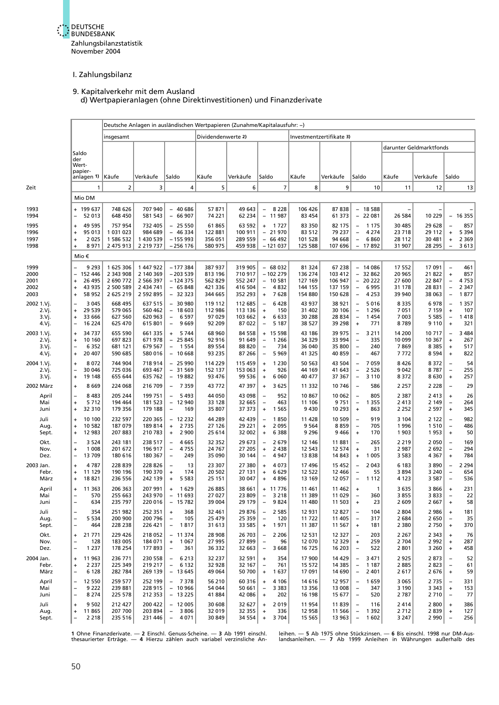

#### 9. Kapitalverkehr mit dem Ausland

d) Wertpapieranlagen (ohne Direktinvestitionen) und Finanzderivate

|                     |                                                            |                        | Deutsche Anlagen in ausländischen Wertpapieren (Zunahme/Kapitalausfuhr: -) |                                                                         |                    |                    |                                                                   |                    |                          |                                                                                |                    |                         |                                                      |                 |
|---------------------|------------------------------------------------------------|------------------------|----------------------------------------------------------------------------|-------------------------------------------------------------------------|--------------------|--------------------|-------------------------------------------------------------------|--------------------|--------------------------|--------------------------------------------------------------------------------|--------------------|-------------------------|------------------------------------------------------|-----------------|
|                     |                                                            | insgesamt              |                                                                            |                                                                         | Dividendenwerte 2) |                    |                                                                   |                    | Investmentzertifikate 3) |                                                                                |                    |                         |                                                      |                 |
|                     |                                                            |                        |                                                                            |                                                                         |                    |                    |                                                                   |                    |                          |                                                                                |                    | darunter Geldmarktfonds |                                                      |                 |
|                     | Saldo<br>der<br>Wert-                                      |                        |                                                                            |                                                                         |                    |                    |                                                                   |                    |                          |                                                                                |                    |                         |                                                      |                 |
|                     | papier-<br>anlagen 1)                                      | Käufe                  | Verkäufe                                                                   | Saldo                                                                   | Käufe              | Verkäufe           | Saldo                                                             | Käufe              | Verkäufe                 | Saldo                                                                          | Käufe              | Verkäufe                | Saldo                                                |                 |
| Zeit                | 1                                                          | $\overline{2}$         | 3                                                                          | 4                                                                       | 5                  | 6                  | 7                                                                 | 8                  | 9                        | 10                                                                             | 11                 | 12                      |                                                      | 13              |
|                     | Mio DM                                                     |                        |                                                                            |                                                                         |                    |                    |                                                                   |                    |                          |                                                                                |                    |                         |                                                      |                 |
| 1993<br>1994        | + 199 637<br>52 013                                        | 748 626<br>648 450     | 707 940<br>581 543                                                         | $-40686$<br>$-66907$                                                    | 57871<br>74 221    | 49 643<br>62 234   | 8 2 2 8<br>$\qquad \qquad -$<br>11987<br>$\overline{\phantom{m}}$ | 106 426<br>83 454  | 87838<br>61 373          | $-18588$<br>$-22081$                                                           | 26 584             | 10 229                  | $\overline{\phantom{a}}$                             | 16 3 5 5        |
| 1995                | 49 595<br>$\ddot{}$                                        | 757 954                | 732 405                                                                    | $-25550$                                                                | 61865              | 63 592             | 1 7 2 7<br>$\ddot{}$                                              | 83 350             | 82 175                   | 1 1 7 5<br>$\overline{\phantom{a}}$                                            | 30 485             | 29 628                  |                                                      | 857             |
| 1996                | 95 013<br>$\ddot{}$                                        | 1 031 023              | 984 689                                                                    | $-46334$                                                                | 122 881            | 100 911<br>289 559 | $-21970$                                                          | 83 512             | 79 237                   | 4 2 7 4<br>$\overline{\phantom{a}}$                                            | 23718              | 29 112                  | $\bf{+}$                                             | 5 3 9 4         |
| 1997<br>1998        | 2 0 2 5<br>$\ddot{}$<br>8971<br>$\ddot{}$                  | 1 586 532<br>2 475 913 | 1 430 539<br>2 2 1 9 7 3 7                                                 | $-155993$<br>$-256$ 176                                                 | 356 051<br>580 975 | 459 938            | $-66492$<br>$-121037$                                             | 101 528<br>125 588 | 94 668<br>107 696        | $\overline{\phantom{a}}$<br>6860<br>$-17892$                                   | 28 112<br>31 907   | 30 481<br>28 29 5       | $\pmb{+}$<br>$\overline{\phantom{a}}$                | 2 3 6 9<br>3613 |
|                     | Mio €                                                      |                        |                                                                            |                                                                         |                    |                    |                                                                   |                    |                          |                                                                                |                    |                         |                                                      |                 |
| 1999                | 9 2 9 3                                                    | 1 625 306              | 1 447 922                                                                  | $-177384$                                                               | 387 937            | 319 905            | $-68032$                                                          | 81 324             | 67 238                   | $-14086$                                                                       | 17 552             | 17 091                  |                                                      | 461             |
| 2000                | $-152446$                                                  | 2 343 908              | 2 140 369                                                                  | $-203539$                                                               | 813 196            | 710 917            | $-102279$                                                         | 136 274            | 103 412                  | $-32862$                                                                       | 20 965             | 21822                   | $\pm$                                                | 857             |
| 2001                | 26 495<br>$\ddot{}$                                        | 2 690 772              | 2 566 397                                                                  | $-124375$                                                               | 562 829            | 552 247            | $-10581$                                                          | 127 169            | 106 947                  | $-20222$                                                                       | 27 600             | 22 847                  | $\overline{\phantom{a}}$                             | 4753            |
| 2002                | 43 935<br>$\ddot{}$                                        | 2 500 589              | 2 434 741                                                                  | $-65848$                                                                | 421 336            | 416 504            | 4832<br>$\qquad \qquad -$                                         | 144 155            | 137 159                  | 6995<br>$\overline{\phantom{a}}$                                               | 31 178             | 28 831                  | $\qquad \qquad -$                                    | 2 3 4 7         |
| 2003                | 58 952<br>$\ddot{}$                                        | 2 625 219              | 2 592 895                                                                  | $-32323$<br>$-30980$                                                    | 344 665            | 352 293            | 7628<br>$\ddot{}$                                                 | 154 880            | 150 628                  | 4 2 5 3<br>$\overline{\phantom{a}}$                                            | 39 940             | 38 063                  | $\overline{\phantom{a}}$                             | 1877            |
| 2002 1.Vj.<br>2.Vj. | 3 0 4 5<br>29 539<br>$\ddot{}$                             | 668 495<br>579 065     | 637 515<br>560 462                                                         | $-18603$                                                                | 119 112<br>112 986 | 112 685<br>113 136 | 6428<br>$\qquad \qquad -$<br>150<br>$\ddot{}$                     | 43 937<br>31 402   | 38 921<br>30 106         | 5016<br>$\overline{\phantom{a}}$<br>1 2 9 6<br>$\qquad \qquad -$               | 8 3 3 5<br>7051    | 6978<br>7 1 5 9         | $\overline{\phantom{a}}$<br>$\ddot{}$                | 1357<br>107     |
| 3.Vj.               | 33 666<br>$\ddot{}$                                        | 627 560                | 620 963                                                                    | 6 5 9 7<br>$\overline{\phantom{a}}$                                     | 97 029             | 103 662            | 6633<br>$\ddot{}$                                                 | 30 288             | 28 8 34                  | 1454<br>$\overline{\phantom{a}}$                                               | 7 0 0 3            | 5 5 8 5                 | $\overline{\phantom{a}}$                             | 1418            |
| 4.Vj.               | 16 2 24<br>$\qquad \qquad -$                               | 625 470                | 615 801                                                                    | 9669<br>$\qquad \qquad -$                                               | 92 209             | 87 022             | 5 1 8 7<br>$\overline{\phantom{a}}$                               | 38 527             | 39 298                   | 771<br>$\ddot{}$                                                               | 8789               | 9 1 1 0                 | $\overline{+}$                                       | 321             |
| 2003 1.Vj.          | 34737<br>÷                                                 | 655 590                | 661 335                                                                    | 5 7 4 4<br>$\ddot{}$                                                    | 68 960             | 84 558             | $+ 15598$                                                         | 43 186             | 39 975                   | 3 2 1 1<br>$\qquad \qquad -$                                                   | 14 200             | 10 717                  | $\overline{\phantom{0}}$                             | 3 4 8 4         |
| 2.Vj.               | 10 160<br>$\ddot{}$                                        | 697 823                | 671 978                                                                    | $-25845$                                                                | 92 916             | 91 649             | 1 2 6 6<br>$\overline{a}$                                         | 34 329             | 33 994                   | $\overline{a}$<br>335                                                          | 10 099             | 10 367                  | $\pm$                                                | 267             |
| 3.Vj.               | 6 3 5 2<br>L,                                              | 681 121                | 679 567                                                                    | $\qquad \qquad -$<br>1 5 5 4                                            | 89 554             | 88 820             | 734<br>$\overline{\phantom{0}}$                                   | 36 040             | 35 800                   | 240<br>$\qquad \qquad -$<br>$\overline{a}$                                     | 7869               | 8 3 8 5                 | $\ddot{}$                                            | 517             |
| 4.Vj.               | 20 407<br>$\ddot{}$                                        | 590 685                | 580 016                                                                    | $-10668$                                                                | 93 235             | 87 266             | 5969<br>$\overline{\phantom{a}}$                                  | 41 325             | 40 859                   | 467                                                                            | 7772               | 8 5 9 4                 | $+$                                                  | 822             |
| 2004 1.Vi.<br>2.Vj. | 8 0 7 2<br>$\ddot{}$<br>30 046<br>$\overline{\phantom{0}}$ | 744 904<br>725 036     | 718 914<br>693 467                                                         | $-2590$<br>$-31569$                                                     | 114 229<br>152 137 | 115 459<br>153 063 | 1 2 3 0<br>$\ddot{}$<br>926<br>$\ddot{}$                          | 50 563<br>44 169   | 43 504<br>41 643         | 7 0 5 9<br>$\overline{\phantom{a}}$<br>$\qquad \qquad -$<br>2 5 2 6            | 8426<br>9 0 4 2    | 8 3 7 2<br>8787         | $\overline{\phantom{a}}$<br>$\overline{\phantom{a}}$ | 54<br>255       |
| 3.Vj.               | 19 148<br>$\ddot{}$                                        | 655 644                | 635 762                                                                    | $-19882$                                                                | 93 476             | 99 536             | 6 0 6 0<br>$\ddot{}$                                              | 40 477             | 37 367                   | $\qquad \qquad -$<br>3 1 1 0                                                   | 8372               | 8630                    | $\ddot{}$                                            | 257             |
| 2002 März           | 8669<br>$\begin{array}{c} + \end{array}$                   | 224 068                | 216 709                                                                    | 7 3 5 9<br>$\overline{\phantom{a}}$                                     | 43772              | 47 397             | 3 6 2 5<br>$\ddot{}$                                              | 11 3 32            | 10 746                   | 586<br>$\overline{\phantom{a}}$                                                | 2 2 5 7            | 2 2 2 8                 | $\overline{\phantom{0}}$                             | 29              |
| April               | 8 4 8 3<br>$\overline{\phantom{0}}$                        | 205 244                | 199 751                                                                    | 5 4 9 3<br>$\overline{\phantom{a}}$                                     | 44 050             | 43 098             | 952<br>$\overline{\phantom{a}}$                                   | 10867              | 10 062                   | 805<br>$\overline{\phantom{a}}$                                                | 2 3 8 7            | 2 4 1 3                 | $+$                                                  | 26              |
| Mai<br>Juni         | 5712<br>$\ddot{}$<br>32 310<br>$\ddot{}$                   | 194 464<br>179 356     | 181 523<br>179 188                                                         | $-12940$<br>169<br>$\overline{\phantom{a}}$                             | 33 128<br>35 807   | 32 665<br>37 373   | 463<br>$\overline{\phantom{0}}$<br>1 5 6 5<br>$\ddot{}$           | 11 106<br>9430     | 9 7 5 1<br>10 293        | 1 3 5 5<br>$\overline{\phantom{a}}$<br>863<br>$\begin{array}{c} + \end{array}$ | 2413<br>2 2 5 2    | 2 1 4 9<br>2 5 9 7      | $\overline{\phantom{0}}$<br>$\pm$                    | 264<br>345      |
| Juli                | 10 100<br>$\ddot{}$                                        | 232 597                | 220 365                                                                    | $-12232$                                                                | 44 289             | 42 439             | 1850<br>$\overline{a}$                                            | 11 428             | 10 509                   | 919<br>$\overline{\phantom{0}}$                                                | 3 1 0 4            | 2 1 2 2                 | $\overline{\phantom{a}}$                             | 982             |
| Aug.                | 10 582<br>$\ddot{}$                                        | 187 079                | 189 814                                                                    | 2735<br>$\ddot{}$                                                       | 27 126             | 29 221             | 2 0 9 5<br>$\begin{array}{c} + \end{array}$                       | 9 5 6 4            | 8859                     | 705<br>$\overline{\phantom{a}}$                                                | 1996               | 1 5 1 0                 | $\overline{\phantom{a}}$                             | 486             |
| Sept.               | 12 983<br>$\begin{array}{c} + \end{array}$                 | 207 883                | 210 783                                                                    | 2 9 0 0<br>$\begin{array}{c} + \end{array}$                             | 25 614             | 32 002             | 6 3 8 8<br>$\ddot{\phantom{1}}$                                   | 9 2 9 6            | 9466                     | 170<br>$\bf{+}$                                                                | 1903               | 1953                    | $\overline{+}$                                       | 50              |
| Okt.                | 3 5 2 4                                                    | 243 181                | 238 517                                                                    | 4665<br>$\overline{\phantom{a}}$                                        | 32 352             | 29 673             | 2679<br>$\qquad \qquad -$                                         | 12 14 6            | 11881                    | 265<br>$\overline{\phantom{0}}$                                                | 2 2 1 9            | 2 0 5 0                 | $\overline{\phantom{a}}$                             | 169             |
| Nov.                | 1 0 0 8<br>$\ddot{}$                                       | 201 672                | 196 917                                                                    | 4755<br>$\overline{\phantom{a}}$                                        | 24 7 67            | 27 205             | 2 4 3 8<br>$\ddot{}$                                              | 12 543             | 12 574                   | 31<br>$\ddot{}$                                                                | 2 9 8 7            | 2 6 9 2                 | $\overline{\phantom{0}}$                             | 294             |
| Dez.                | 13709<br>$\overline{\phantom{0}}$                          | 180 616                | 180 367                                                                    | $\overline{\phantom{a}}$<br>249                                         | 35 090             | 30 144             | 4 9 4 7<br>$\overline{\phantom{0}}$                               | 13838              | 14 843                   | 1 0 0 5<br>$\ddot{}$                                                           | 3 5 8 3            | 4 3 6 7                 | $\ddot{}$                                            | 784             |
| 2003 Jan.<br>Febr.  | 4787<br>$\ddot{}$<br>11 129                                | 228 839<br>190 196     | 228 826<br>190 370                                                         | 13<br>$\overline{\phantom{a}}$<br>174<br>$\ddot{}$                      | 23 307<br>20 502   | 27 380<br>27 131   | 4 0 7 3<br>$\ddot{}$<br>6629                                      | 17 49 6<br>12 522  | 15 4 52<br>12 4 66       | 2 0 4 3<br>$\overline{\phantom{a}}$<br>55<br>$\qquad \qquad -$                 | 6 183<br>3894      | 3890<br>3 2 4 0         | $\overline{\phantom{0}}$                             | 2 2 9 4<br>654  |
| März                | $\ddot{}$<br>18821<br>$\ddot{}$                            | 236 556                | 242 139                                                                    | 5 5 8 3<br>$\ddot{}$                                                    | 25 151             | 30 047             | $\ddot{}$<br>4896<br>$\bf{+}$                                     | 13 169             | 12 057                   | $\qquad \qquad -$<br>1 1 1 2                                                   | 4 1 2 3            | 3 5 8 7                 | $\overline{\phantom{a}}$                             | 536             |
| April               | 11 3 63<br>$\ddot{}$                                       | 206 363                | 207 991                                                                    | 1 629<br>$+$                                                            | 26 885             | 38 661             | + 11 776                                                          | 11 4 61            | 11 4 62                  | $\mathbf{1}$<br>$\ddot{}$                                                      | 3635               | 3866                    | $\overline{+}$                                       | 231             |
| Mai                 | 570                                                        | 255 663                | 243 970                                                                    | $-11693$                                                                | 27 027             | 23 809             | 3 2 1 8<br>$\qquad \qquad -$                                      | 11 389             | 11 0 29                  | 360<br>$\qquad \qquad -$                                                       | 3855               | 3 8 3 3                 | $\qquad \qquad -$                                    | 22              |
| Juni                | 634                                                        | 235 797                | 220 016                                                                    | $-15782$                                                                | 39 004             | 29 179             | 9824<br>$\overline{a}$                                            | 11 480             | 11 503                   | 23<br>$\overline{+}$                                                           | 2 609              | 2 6 6 7                 | $\ddot{}$                                            | 58              |
| Juli                | 354<br>$\overline{\phantom{0}}$                            | 251 982                | 252 351                                                                    | 368<br>$\ddot{}$                                                        | 32 461             | 29 876             | 2 5 8 5<br>$\overline{a}$                                         | 12 931             | 12 827                   | 104<br>$\qquad \qquad -$                                                       | 2 8 0 4            | 2 9 8 6                 | $\ddot{}$                                            | 181             |
| Aug.<br>Sept.       | 5 534<br>$\overline{a}$<br>$\overline{a}$<br>464           | 200 900<br>228 238     | 200 796<br>226 421                                                         | 105<br>$\overline{\phantom{0}}$<br>$\overline{\phantom{a}}$<br>1817     | 25 4 7 9<br>31 613 | 25 359<br>33 585   | 120<br>1971<br>$\ddot{}$                                          | 11722<br>11 387    | 11 405<br>11 567         | 317<br>$\qquad \qquad -$<br>$\begin{array}{c} + \end{array}$<br>181            | 2684<br>2 3 8 0    | 2 650<br>2 7 5 0        | $\ddot{}$                                            | 35<br>370       |
|                     |                                                            |                        |                                                                            |                                                                         |                    |                    |                                                                   |                    |                          |                                                                                |                    |                         |                                                      |                 |
| Okt.<br>Nov.        | 21 771<br>$\ddot{}$<br>128                                 | 229 426<br>183 005     | 218 052<br>184 071                                                         | $-11374$<br>$\pmb{+}$<br>1 0 6 7                                        | 28 908<br>27 995   | 26 703<br>27 899   | 2 2 0 6<br>$\overline{a}$<br>$\overline{a}$<br>96                 | 12 531<br>12 070   | 12 3 27<br>12 3 29       | 203<br>$\overline{\phantom{0}}$<br>$\ddot{}$<br>259                            | 2 2 6 7<br>2 7 0 4 | 2 3 4 3<br>2 9 9 2      | $\overline{+}$<br>$\pm$                              | 76<br>287       |
| Dez.                | 1 2 3 7<br><sup>-</sup>                                    | 178 254                | 177 893                                                                    | 361<br>$\overline{\phantom{0}}$                                         | 36 332             | 32 663             | $\overline{\phantom{a}}$<br>3 6 6 8                               | 16725              | 16 203                   | 522<br>$\overline{a}$                                                          | 2801               | 3 2 6 0                 | $\pm$                                                | 458             |
| 2004 Jan.           | 11 963<br><sup>+</sup>                                     | 236 771                | 230 558                                                                    | 6 2 1 3<br>$\qquad \qquad -$                                            | 32 237             | 32 591             | 354<br>$\ddot{}$                                                  | 17 900             | 14 4 29                  | 3 4 7 1<br>$\overline{\phantom{0}}$                                            | 2925               | 2873                    | $\overline{\phantom{0}}$                             | 52              |
| Febr.               | 2 2 3 7<br>$\ddot{}$                                       | 225 349                | 219 217                                                                    | $\qquad \qquad -$<br>6 1 3 2                                            | 32 928             | 32 167             | 761<br>$\overline{\phantom{0}}$                                   | 15 572             | 14 3 8 5                 | $\overline{\phantom{0}}$<br>1 1 8 7                                            | 2885               | 2 8 2 3                 | $\overline{a}$                                       | 61              |
| März                | 6 1 2 8<br>$\overline{a}$                                  | 282 784                | 269 139                                                                    | $-13645$                                                                | 49 064             | 50 700             | 1637<br>$\ddot{\phantom{1}}$                                      | 17 091             | 14 690                   | $\overline{\phantom{0}}$<br>2 4 0 1                                            | 2617               | 2676                    | $\ddot{}$                                            | 59              |
| April               | 12 550<br>$\overline{\phantom{0}}$                         | 259 577                | 252 199                                                                    | 7378<br>$\qquad \qquad -$                                               | 56 210             | 60 316             | 4 1 0 6<br>$\ddot{}$                                              | 14 6 16            | 12 957                   | 1659<br>$\overline{\phantom{0}}$                                               | 3 0 6 5            | 2 7 3 5                 |                                                      | 331             |
| Mai                 | 9 2 2 2                                                    | 239 881                | 228 915                                                                    | $-10966$                                                                | 54 044             | 50 661             | 3 3 8 3<br>$\overline{a}$                                         | 13 3 5 6           | 13 008                   | $\qquad \qquad -$<br>347                                                       | 3 1 9 0            | 3 3 4 3                 | $\ddot{}$                                            | 153             |
| Juni                | 8 2 7 4<br>$\overline{a}$                                  | 225 578                | 212 353                                                                    | $-13225$                                                                | 41884              | 42 086             | 202<br>$\ddot{}$                                                  | 16 198             | 15 677                   | $\overline{a}$<br>520                                                          | 2787               | 2710                    | $\overline{\phantom{a}}$                             | 77              |
| Juli                | 9 5 0 2<br><sup>+</sup>                                    | 212 427                | 200 422                                                                    | $-12005$                                                                | 30 608             | 32 627             | 2019<br>$\ddot{}$                                                 | 11954              | 11839                    | 116<br>$\overline{\phantom{0}}$                                                | 2414               | 2800                    | $\overline{+}$                                       | 386             |
| Aug.<br>Sept.       | 11865<br>$\ddot{}$<br>2 2 1 8                              | 207 700<br>235 516     | 203 894<br>231 446                                                         | $\overline{\phantom{a}}$<br>3806<br>$\overline{\phantom{a}}$<br>4 0 7 1 | 32 019<br>30 849   | 32 355<br>34 554   | 336<br>$\begin{array}{c} + \end{array}$<br>3704<br>$\ddot{}$      | 12 958<br>15 5 65  | 11 566<br>13 963         | $\qquad \qquad -$<br>1 3 9 2<br>$\qquad \qquad -$<br>1602                      | 2712<br>3 2 4 7    | 2839<br>2 9 9 0         | $\mathbf +$                                          | 127<br>256      |
|                     |                                                            |                        |                                                                            |                                                                         |                    |                    |                                                                   |                    |                          |                                                                                |                    |                         |                                                      |                 |

1 Ohne Finanzderivate. — 2 Einschl. Genuss-Scheine. — 3 Ab 1991 einschl. — leihen. — 5 Ab 1975 ohne Stückzinsen. — 6 Bis einschl. 1998 nur DM-Aus-<br>thesaurierter Erträge. — 4 Hierzu zählen auch variabel verzinsliche An- — l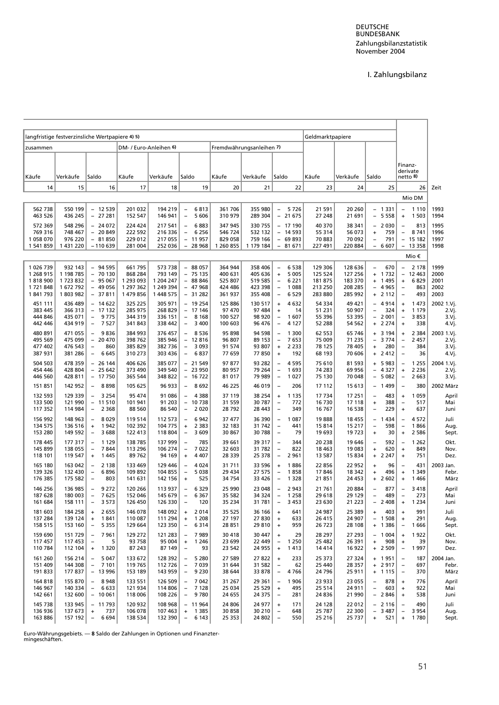#### DEUTSCHE BUNDESBANK Zahlungsbilanzstatistik November 2004

### I. Zahlungsbilanz

|                      | langfristige festverzinsliche Wertpapiere 4) 5) |                                                                  |                        |                        |                                                                          |                      |                          |                                                                         | Geldmarktpapiere       |                    |                                                              |                                                                                |                     |
|----------------------|-------------------------------------------------|------------------------------------------------------------------|------------------------|------------------------|--------------------------------------------------------------------------|----------------------|--------------------------|-------------------------------------------------------------------------|------------------------|--------------------|--------------------------------------------------------------|--------------------------------------------------------------------------------|---------------------|
|                      |                                                 |                                                                  |                        |                        |                                                                          |                      |                          |                                                                         |                        |                    |                                                              |                                                                                |                     |
| zusammen             |                                                 |                                                                  | DM- / Euro-Anleihen 6) |                        |                                                                          |                      | Fremdwährungsanleihen 7) |                                                                         |                        |                    |                                                              |                                                                                |                     |
|                      |                                                 |                                                                  |                        |                        |                                                                          |                      |                          |                                                                         |                        |                    |                                                              |                                                                                |                     |
|                      |                                                 |                                                                  |                        |                        |                                                                          |                      |                          |                                                                         |                        |                    |                                                              | Finanz-<br>derivate                                                            |                     |
| Käufe                | Verkäufe                                        | Saldo                                                            | Käufe                  | Verkäufe               | Saldo                                                                    | Käufe                | Verkäufe                 | Saldo                                                                   | Käufe                  | Verkäufe           | Saldo                                                        | netto 8)                                                                       |                     |
| 14                   | 15                                              | 16                                                               | 17                     | 18                     | 19                                                                       | 20                   | 21                       |                                                                         | 23<br>22               | 24                 | 25                                                           | 26                                                                             | Zeit                |
|                      |                                                 |                                                                  |                        |                        |                                                                          |                      |                          |                                                                         |                        |                    |                                                              |                                                                                |                     |
|                      |                                                 |                                                                  |                        |                        |                                                                          |                      |                          |                                                                         |                        |                    |                                                              | Mio DM                                                                         |                     |
| 562 738              | 550 199                                         | $-12539$                                                         | 201 032                | 194 219                | 6813<br>$\overline{\phantom{a}}$                                         | 361 706              | 355 980                  | 5726<br>$\qquad \qquad -$                                               | 21 591                 | 20 260             | - 1331                                                       | 1 1 1 0                                                                        | 1993                |
| 463 526              | 436 245                                         | $-27281$                                                         | 152 547                | 146 941                | $\bar{ }$<br>5 6 0 6                                                     | 310 979              | 289 304                  | $-21675$                                                                | 27 248                 | 21 691             | $-5558$                                                      | 1 503<br>$\bf{+}$                                                              | 1994                |
| 572 369              | 548 296                                         | $-24072$                                                         | 224 424                | 217 541                | 6883<br>$\overline{\phantom{a}}$                                         | 347 945              | 330 755                  | $-17190$                                                                | 40 370                 | 38 341             | $-2030$                                                      | 813<br>$\overline{\phantom{a}}$                                                | 1995                |
| 769 316              | 748 467                                         | 20849<br>$-$                                                     | 222 592                | 216 336                | 6 2 5 6<br>$\overline{\phantom{a}}$                                      | 546 724              | 532 132                  | $-14593$                                                                | 55 314                 | 56 073             | $\ddot{}$<br>759                                             | 8741<br>$\overline{\phantom{a}}$                                               | 1996                |
| 1058070<br>1 541 859 | 976 220<br>1431220                              | $-81850$<br>$-110639$                                            | 229 012<br>281 004     | 217 055<br>252 036     | $-11957$<br>28 9 68<br>$\overline{\phantom{a}}$                          | 829 058<br>1 260 855 | 759 166<br>1 179 184     | $-69893$<br>$-81671$                                                    | 70 883<br>227 491      | 70 092<br>220 884  | 791<br>$\qquad \qquad -$<br>$-6607$                          | 15 182<br>$\overline{\phantom{a}}$<br>$-13358$                                 | 1997<br>1998        |
|                      |                                                 |                                                                  |                        |                        |                                                                          |                      |                          |                                                                         |                        |                    |                                                              |                                                                                |                     |
|                      |                                                 |                                                                  |                        |                        |                                                                          |                      |                          |                                                                         |                        |                    |                                                              | Mio €                                                                          |                     |
| 1026739              | 932 143                                         | $-94595$                                                         | 661 795                | 573 738                | 88 057<br>$-$                                                            | 364 944              | 358 406                  | 6538<br>$\overline{\phantom{0}}$                                        | 129 306                | 128 636            | 670<br>$\overline{\phantom{0}}$                              | 2 1 7 8<br>$\overline{\phantom{0}}$                                            | 1999                |
| 1 268 915            | 1 198 785                                       | $-70130$                                                         | 868 284                | 793 149                | $-75135$                                                                 | 400 631              | 405 636                  | 5 0 0 5<br>$\ddot{}$                                                    | 125 524                | 127 256            | $+ 1732$                                                     | $\equiv$<br>12 4 63                                                            | 2000                |
| 1818900<br>1721848   | 1723832                                         | $-95067$                                                         | 1 293 093              | 1 204 247<br>1 249 394 | $-88846$<br>$-47968$                                                     | 525 807<br>424 486   | 519 585                  | 6 2 2 1<br>$\overline{\phantom{a}}$<br>$\overline{\phantom{a}}$<br>1088 | 181 875                | 183 370            | 1495<br>$+$<br>$\overline{\phantom{0}}$                      | 6829<br>$\ddot{}$                                                              | 2001<br>2002        |
| 1841793              | 1672792<br>1803982                              | $-49056$<br>$-37811$                                             | 1 297 362<br>1 479 856 | 1 448 575              | $-31282$                                                                 | 361 937              | 423 398<br>355 408       | 6 5 2 9<br>$\overline{\phantom{a}}$                                     | 213 250<br>283 880     | 208 285<br>285 992 | 4 9 6 5<br>$+ 2112$                                          | 863<br>$\overline{\phantom{a}}$<br>493<br>$\overline{\phantom{a}}$             | 2003                |
|                      |                                                 |                                                                  |                        |                        |                                                                          |                      |                          |                                                                         |                        |                    |                                                              |                                                                                |                     |
| 451 111<br>383 445   | 436 489<br>366 313                              | $-14622$<br>$-17132$                                             | 325 225<br>285 975     | 305 971<br>268 829     | $-19254$<br>$-17146$                                                     | 125 886<br>97 470    | 130 517<br>97 484        | 4632<br>$\ddot{}$<br>$\begin{array}{c} + \end{array}$                   | 54 334<br>14<br>51 231 | 49 421<br>50 907   | 4914<br>$\overline{\phantom{0}}$<br>$\qquad \qquad -$<br>324 | 1 4 7 3<br>$\bf{+}$<br>1 1 7 9<br>$\ddot{}$                                    | 2002 1.Vj.<br>2.Vj. |
| 444 846              | 435 071                                         | 9775<br>$\overline{\phantom{a}}$                                 | 344 319                | 336 151                | $\overline{\phantom{a}}$<br>8 1 6 8                                      | 100 527              | 98 920                   | 1607<br>$\qquad \qquad -$                                               | 55 396                 | 53 395             | $-2001$                                                      | 3853<br>$\overline{\phantom{a}}$                                               | 3.Vj.               |
| 442 446              | 434 919                                         | 7 5 2 7<br>$\overline{\phantom{a}}$                              | 341 843                | 338 442                | $\overline{\phantom{a}}$<br>3 4 0 0                                      | 100 603              | 96 476                   | $\overline{\phantom{a}}$<br>4 1 2 7                                     | 52 288                 | 54 562             | 2 2 7 4<br>$\ddot{}$                                         | 338<br>$\ddot{}$                                                               | 4.Vj.               |
| 480 891              | 471 055                                         | 9836                                                             | 384 993                | 376 457                | 8 5 3 6<br>$\overline{\phantom{a}}$                                      | 95 898               | 94 598                   | 1 300<br>$\qquad \qquad -$                                              | 62 553                 | 65 746             | $+ 3194$                                                     | 2 3 8 4<br>$\ddot{}$                                                           | 2003 1.Vj.          |
| 495 569              | 475 099                                         | 20 470<br>$\equiv$                                               | 398 762                | 385 946                | $-12816$                                                                 | 96 807               | 89 153                   | $\overline{\phantom{a}}$<br>7653                                        | 75 009                 | 71 235             | $-3774$                                                      | 2 4 5 7<br>$\overline{\phantom{a}}$                                            | 2.Vj.               |
| 477 402              | 476 543                                         | 860<br>$\overline{\phantom{0}}$                                  | 385 829                | 382 736                | $\overline{\phantom{a}}$<br>3 0 9 3                                      | 91 574               | 93 807                   | 2 2 3 3<br>$\ddot{}$                                                    | 78 125                 | 78 405             | $\ddot{}$<br>280                                             | 384<br>$\overline{\phantom{a}}$                                                | 3.Vj.               |
| 387 931              | 381 286                                         | 6 6 4 5<br>$\overline{\phantom{a}}$                              | 310 273                | 303 436                | $\overline{\phantom{a}}$<br>6837                                         | 77 659               | 77850                    | 192<br>$\ddot{}$                                                        | 68 193                 | 70 606             | 2412<br>$+$                                                  | 36<br>$\overline{\phantom{0}}$                                                 | 4.Vj.               |
| 504 503              | 478 359                                         | $-26144$                                                         | 406 626                | 385 077                | $-21549$                                                                 | 97 877               | 93 282                   | 4 5 9 5<br>$\overline{\phantom{a}}$                                     | 75 610                 | 81 593             | $+ 5983$                                                     | 1 2 5 5<br>$\overline{\phantom{a}}$                                            | 2004 1.Vj.          |
| 454 446              | 428 804                                         | $-25642$<br>$-17750$                                             | 373 490<br>365 544     | 349 540                | $-23950$                                                                 | 80 957               | 79 264                   | $\overline{\phantom{0}}$<br>1693                                        | 74 283                 | 69 956             | $-4327$<br>$-5082$                                           | 2 2 3 6<br>$\bf{+}$                                                            | 2.Vj.               |
| 446 560              | 428 811                                         |                                                                  |                        | 348 822                | $-16722$                                                                 | 81 017               | 79 989                   | $\overline{\phantom{a}}$<br>1 0 2 7                                     | 75 130                 | 70 048             |                                                              | 2 6 63<br>$\overline{\phantom{a}}$                                             | 3.Vj.               |
| 151 851              | 142 952                                         | 8898<br>$\overline{\phantom{a}}$                                 | 105 625                | 96 933                 | 8692<br>$\overline{\phantom{a}}$                                         | 46 225               | 46 019                   | 206<br>$\overline{\phantom{a}}$                                         | 17 112                 | 15 613             | 1499<br>$\overline{\phantom{a}}$                             | 380<br>$\overline{\phantom{0}}$                                                | 2002 März           |
| 132 593              | 129 339                                         | 3 2 5 4<br>$\overline{\phantom{a}}$                              | 95 474                 | 91 086                 | 4 3 8 8<br>$\overline{\phantom{a}}$                                      | 37 119               | 38 254                   | 1 1 3 5<br>$\ddot{}$                                                    | 17 734                 | 17 251             | 483<br>$\overline{\phantom{0}}$                              | 1 0 5 9<br>$\ddot{}$                                                           | April               |
| 133 500              | 121 990                                         | $\overline{\phantom{a}}$<br>11 510                               | 101 941                | 91 203                 | $-10738$                                                                 | 31 559               | 30 787                   | $\overline{a}$<br>772<br>$\overline{\phantom{a}}$                       | 16 730<br>16 767       | 17 118<br>16 538   | 388<br>$\begin{array}{c} + \end{array}$                      | 517<br>$\overline{\phantom{0}}$<br>637                                         | Mai                 |
| 117 352              | 114 984                                         | 2 3 6 8<br>$\overline{\phantom{a}}$                              | 88 560                 | 86 540                 | $\overline{\phantom{a}}$<br>2020                                         | 28 7 92              | 28 443                   | 349                                                                     |                        |                    | 229<br>$\overline{\phantom{a}}$                              | $\bf{+}$                                                                       | Juni                |
| 156 992              | 148 963                                         | 8 0 2 9<br>$\overline{\phantom{0}}$                              | 119 514                | 112 573                | 6942<br>$\overline{\phantom{a}}$                                         | 37 477               | 36 390                   | 1 0 8 7<br>$\overline{\phantom{a}}$                                     | 19888                  | 18 455             | 434<br>$\overline{\phantom{a}}$<br>$\mathbf{1}$              | 4 5 7 2<br>$\overline{\phantom{a}}$                                            | Juli                |
| 134 575<br>153 280   | 136 516<br>149 592                              | 1942<br>$\ddot{}$<br>3688<br>$\overline{\phantom{a}}$            | 102 392<br>122 413     | 104 775<br>118 804     | $\bf{+}$<br>2 3 8 3<br>3 6 0 9<br>$\overline{\phantom{a}}$               | 32 183<br>30 867     | 31742<br>30 788          | $\overline{\phantom{a}}$<br>441<br>$\equiv$                             | 15814<br>79<br>19 693  | 15 217<br>19723    | 598<br>$\overline{\phantom{a}}$<br>30<br>$\ddot{}$           | 1866<br>$\overline{\phantom{a}}$<br>2 5 8 6<br>$\ddot{}$                       | Aug.<br>Sept.       |
|                      |                                                 |                                                                  |                        |                        |                                                                          |                      |                          |                                                                         |                        |                    |                                                              |                                                                                |                     |
| 178 445<br>145 899   | 177 317<br>138 055                              | 1 1 2 9<br>$\overline{\phantom{a}}$<br>7844<br>$\qquad \qquad -$ | 138 785<br>113 296     | 137 999<br>106 274     | 785<br>$\qquad \qquad -$<br>7022<br>$\overline{\phantom{a}}$             | 39 661<br>32 603     | 39 317<br>31782          | 344<br>$\overline{\phantom{a}}$<br>822<br>$\overline{a}$                | 20 238<br>18 4 63      | 19 646<br>19 083   | 592<br>$\qquad \qquad -$<br>620<br>$\ddot{}$                 | 1 2 6 2<br>$\overline{\phantom{a}}$<br>849<br>$\begin{array}{c} + \end{array}$ | Okt.<br>Nov.        |
| 118 101              | 119 547                                         | 1445<br>$\ddot{}$                                                | 89 762                 | 94 169                 | 4 4 0 7<br>$\ddot{}$                                                     | 28 339               | 25 378                   | $\overline{\phantom{a}}$<br>2 9 6 1                                     | 13 587                 | 15 834             | 2 2 4 7<br>$+$                                               | 751<br>$\bf{+}$                                                                | Dez.                |
| 165 180              | 163 042                                         | 2 1 3 8<br>$\overline{\phantom{a}}$                              | 133 469                | 129 446                | 4 0 2 4<br>$\overline{\phantom{a}}$                                      | 31 7 11              | 33 596                   | 1886<br>$\bf{+}$                                                        | 22 856                 | 22 952             | 96<br>$\ddot{}$                                              | 431<br>$\overline{\phantom{0}}$                                                | 2003 Jan.           |
| 139 326              | 132 430                                         | 6896<br>$\overline{\phantom{a}}$                                 | 109 892                | 104 855                | $\overline{\phantom{m}}$<br>5 0 3 8                                      | 29 434               | 27 575                   | 1858<br>$\overline{\phantom{a}}$                                        | 17846                  | 18 342             | 496<br>$\ddot{}$                                             | 1 3 4 9<br>$\ddot{}$                                                           | Febr.               |
| 176 385              | 175 582                                         | 803<br>$\overline{\phantom{a}}$                                  | 141 631                | 142 156                | 525<br>$\ddot{}$                                                         | 34 754               | 33 4 26                  | 1 3 2 8<br>$\overline{\phantom{a}}$                                     | 21851                  | 24 453             | 2 6 0 2<br>$\ddot{}$                                         | 1 4 6 6<br>$\ddot{}$                                                           | März                |
| 146 256              | 136 985                                         | 9 2 7 2<br>$\overline{\phantom{0}}$                              | 120 266                | 113 937                | 6 3 2 9<br>$\overline{\phantom{a}}$                                      | 25 990               | 23 048                   | 2 9 4 3<br>$\overline{\phantom{a}}$                                     | 21 761                 | 20884              | 877<br>$\overline{\phantom{0}}$                              | 3 4 1 8<br>$\overline{\phantom{0}}$                                            | April               |
| 187 628              | 180 003                                         | 7625<br>$\overline{\phantom{a}}$                                 | 152 046                | 145 679                | 6 3 6 7<br>$\overline{\phantom{a}}$                                      | 35 582               | 34 324                   | 1 2 5 8<br>$\overline{\phantom{a}}$                                     | 29 618                 | 29 129             | 489<br>$\qquad \qquad -$                                     | 273<br>$\overline{\phantom{0}}$                                                | Mai                 |
| 161 684              | 158 111                                         | $\overline{\phantom{a}}$<br>3 5 7 3                              | 126 450                | 126 330                | 120                                                                      | 35 234               | 31 781                   | $\overline{a}$<br>3453                                                  | 23 630                 | 21 223             | $-2408$                                                      | 1 2 3 4<br>$\ddot{}$                                                           | Juni                |
| 181 603              | 184 258                                         | 2 6 5 5<br>$\ddot{}$                                             | 146 078                | 148 092                | 2014<br>$\ddot{}$                                                        | 35 525               | 36 166                   | 641<br>$\ddot{}$                                                        | 24 987                 | 25 389             | 403<br>$\begin{array}{c} + \end{array}$                      | 991<br>$\ddot{}$                                                               | Juli                |
| 137 284              | 139 124                                         | 1841<br>$\pmb{+}$                                                | 110 087                | 111 294                | $\pmb{+}$<br>1 2 0 8                                                     | 27 197               | 27 830                   | $\pm$<br>633                                                            | 26 415                 | 24 907             | $-1508$                                                      | 291<br>$\bf{+}$                                                                | Aug.                |
| 158 515              | 153 160                                         | 5 3 5 5<br>$\overline{\phantom{a}}$                              | 129 664                | 123 350                | 6314<br>$\overline{\phantom{a}}$                                         | 28 851               | 29 810                   | 959<br>$\ddot{}$                                                        | 26 723                 | 28 108             | $+ 1386$                                                     | 1666<br>$\qquad \qquad -$                                                      | Sept.               |
| 159 690              | 151 729                                         | 7961<br>$\overline{\phantom{a}}$                                 | 129 272                | 121 283                | 7989<br>$\overline{\phantom{a}}$                                         | 30 418               | 30 447                   | $\ddot{}$                                                               | 29<br>28 297           | 27 293             | $-1004$                                                      | 1922<br>$\bf{+}$                                                               | Okt.                |
| 117 457              | 117 453                                         | 5<br>$\qquad \qquad -$                                           | 93 758                 | 95 004                 | $\pmb{+}$<br>1 2 4 6                                                     | 23 699               | 22 449                   | $\overline{\phantom{a}}$<br>1 2 5 0                                     | 25 482                 | 26 391             | 908<br>$\ddot{}$                                             | 39<br>$\pmb{+}$                                                                | Nov.                |
| 110 784              | 112 104                                         | $\bf{+}$<br>1 3 2 0                                              | 87 243                 | 87 149                 | $\overline{\phantom{m}}$<br>93                                           | 23 542               | 24 955                   | $\pm$<br>1413                                                           | 14 4 14                | 16922              | $+ 2509$                                                     | 1997<br>$\overline{\phantom{a}}$                                               | Dez.                |
| 161 260              | 156 214                                         | 5 0 4 7<br>$\overline{\phantom{a}}$                              | 133 672                | 128 392                | 5 2 8 0<br>$\overline{\phantom{a}}$                                      | 27 589               | 27822                    | 233<br>$\bf{+}$                                                         | 25 373                 | 27 324             | $+ 1951$                                                     | $\overline{\phantom{a}}$<br>187                                                | 2004 Jan.           |
| 151 409              | 144 308                                         | 7 101<br>$\overline{\phantom{a}}$                                | 119 765                | 112726                 | 7039<br>$\overline{\phantom{a}}$<br>$\overline{\phantom{a}}$             | 31 644<br>38 644     | 31 582                   | $\overline{\phantom{0}}$                                                | 25 440<br>62           | 28 3 5 7           | $+ 2917$                                                     | 697<br>$\overline{\phantom{a}}$                                                | Febr.               |
| 191 833              | 177837                                          | $-1396$                                                          | 153 189                | 143 959                | 9 2 3 0                                                                  |                      | 33 878                   | $\overline{\phantom{a}}$<br>4766                                        | 24 796                 | 25 911             | $+ 1115$                                                     | 370<br>$\overline{\phantom{a}}$                                                | März                |
| 164 818              | 155 870                                         | 8948<br>$\overline{\phantom{a}}$                                 | 133 551                | 126 509                | 7042<br>$\overline{\phantom{a}}$                                         | 31 267               | 29 361                   | 1 9 0 6<br>$\overline{\phantom{a}}$                                     | 23 933                 | 23 055             | 878<br>$\qquad \qquad -$<br>$\qquad \qquad -$                | 776<br>$\ddot{}$                                                               | April               |
| 146 967<br>142 661   | 140 334<br>132 600                              | $\overline{\phantom{a}}$<br>6633<br>$-10061$                     | 121 934<br>118 006     | 114 806<br>108 226     | $\overline{\phantom{a}}$<br>7 1 2 8<br>$\overline{\phantom{a}}$<br>9 780 | 25 034<br>24 655     | 25 5 29<br>24 375        | 495<br>$\bf{+}$<br>$\overline{\phantom{a}}$<br>281                      | 25 514<br>24 836       | 24 911<br>21 990   | 603<br>$-2846$                                               | 922<br>$\ddot{}$<br>538<br>$\ddot{}$                                           | Mai<br>Juni         |
|                      |                                                 |                                                                  |                        |                        | $-11964$                                                                 |                      |                          |                                                                         |                        |                    |                                                              | 490                                                                            |                     |
| 145 738<br>136 936   | 133 945<br>137 673                              | $-11793$<br>737<br>$\bf{+}$                                      | 120 932<br>106 078     | 108 968<br>107 463     | $\pmb{+}$<br>1 3 8 5                                                     | 24 806<br>30 858     | 24 977<br>30 210         | 171<br>$\ddot{}$<br>$\overline{\phantom{a}}$<br>648                     | 24 128<br>25 787       | 22 012<br>22 300   | $-2116$<br>$-3487$                                           | $\overline{\phantom{a}}$<br>3 9 5 4<br>$\overline{\phantom{m}}$                | Juli<br>Aug.        |
| 163 886              | 157 192                                         | 6694<br>$\overline{\phantom{a}}$                                 | 138 534                | 132 390                | $\overline{\phantom{a}}$<br>6 1 4 3                                      | 25 353               | 24 802                   | $\overline{\phantom{a}}$<br>550                                         | 25 216                 | 25 7 37            | 521<br>$+$                                                   | $\bf{+}$<br>1780                                                               | Sept.               |

Euro-Währungsgebiets. — **8** Saldo der Zahlungen in Optionen und Finanzter-mingeschäften.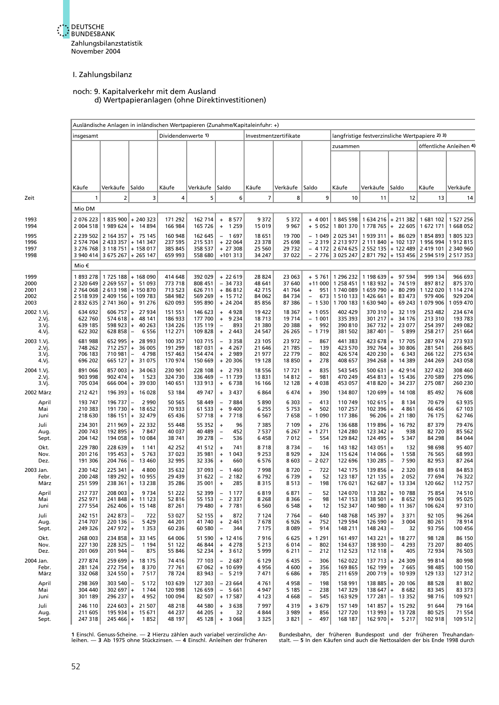

#### noch: 9. Kapitalverkehr mit dem Ausland d) Wertpapieranlagen (ohne Direktinvestitionen)

|                                       |                                          |                                                                                                                                     |                                                                                                                         | Ausländische Anlagen in inländischen Wertpapieren (Zunahme/Kapitaleinfuhr: +) |                                                     |                                                                                                    |                                                 |                                               |                                                                                                                                                  |                                                                                                                                                                                                                   |                                                         |                                                                     |                                                       |                                                         |
|---------------------------------------|------------------------------------------|-------------------------------------------------------------------------------------------------------------------------------------|-------------------------------------------------------------------------------------------------------------------------|-------------------------------------------------------------------------------|-----------------------------------------------------|----------------------------------------------------------------------------------------------------|-------------------------------------------------|-----------------------------------------------|--------------------------------------------------------------------------------------------------------------------------------------------------|-------------------------------------------------------------------------------------------------------------------------------------------------------------------------------------------------------------------|---------------------------------------------------------|---------------------------------------------------------------------|-------------------------------------------------------|---------------------------------------------------------|
|                                       | insgesamt                                |                                                                                                                                     |                                                                                                                         | Dividendenwerte 1)                                                            |                                                     |                                                                                                    |                                                 | Investmentzertifikate                         |                                                                                                                                                  |                                                                                                                                                                                                                   |                                                         |                                                                     | langfristige festverzinsliche Wertpapiere 2) 3)       |                                                         |
|                                       |                                          |                                                                                                                                     |                                                                                                                         |                                                                               |                                                     |                                                                                                    |                                                 |                                               |                                                                                                                                                  | zusammen                                                                                                                                                                                                          |                                                         |                                                                     |                                                       | öffentliche Anleihen 4)                                 |
|                                       | Käufe                                    | Verkäufe                                                                                                                            | Saldo                                                                                                                   | Käufe                                                                         | Verkäufe  Saldo                                     |                                                                                                    | Käufe                                           | Verkäufe                                      | Saldo                                                                                                                                            | Käufe                                                                                                                                                                                                             | Verkäufe                                                | Saldo                                                               | Käufe                                                 | Verkäufe                                                |
| Zeit                                  | $\mathbf{1}$                             | $\overline{2}$                                                                                                                      | 3                                                                                                                       | 4                                                                             | 5                                                   | 6                                                                                                  | $\overline{7}$                                  | 8                                             | 9                                                                                                                                                | 10                                                                                                                                                                                                                | 11                                                      | 12                                                                  | 13                                                    | 14                                                      |
|                                       | Mio DM                                   |                                                                                                                                     |                                                                                                                         |                                                                               |                                                     |                                                                                                    |                                                 |                                               |                                                                                                                                                  |                                                                                                                                                                                                                   |                                                         |                                                                     |                                                       |                                                         |
| 1993<br>1994                          | 2 076 223                                | 1835900<br>2 004 518   1 989 624   + 14 894                                                                                         | $+ 240323$                                                                                                              | 171 292<br>166 984                                                            | 162 714<br>165 726                                  | 8 5 7 7<br>$+$<br>1 2 5 9<br>$\begin{array}{c} + \end{array}$                                      | 9 3 7 2<br>15 0 19                              | 5 3 7 2<br>9 9 67                             | $+4001$                                                                                                                                          | + 5 052   1 801 370   1 778 765   + 22 605                                                                                                                                                                        |                                                         | 1845 598 1634 216 + 211 382                                         |                                                       | 1681 102 1 527 256<br>1672 171   1668 052               |
| 1995<br>1996<br>1997<br>1998          |                                          | 2 239 502 2 164 357 + 75 145<br>2 574 704   2 433 357   + 141 347<br>3 276 768 3 118 751 + 158 017<br>3 940 414 3 675 267 + 265 147 |                                                                                                                         | 160 948<br>237 595<br>385 845<br>659 993                                      | 162 645<br>215 531<br>358 537<br>558 680            | $-1697$<br>$+22064$<br>$+27308$<br>+101 313                                                        | 18 651<br>23 378<br>25 560<br>34 247            | 19 700<br>25 698<br>29 7 32<br>37 022         | $-1049$                                                                                                                                          | 2 025 341   1 939 311   + 86 029<br>$-2319$   2 213 977   2 111 840   + 102 137  <br>$-4172$   2674 625   2552 135   + 122 489   2419 101   2340 960<br>- 2 776 3 025 247 2 871 792 + 153 456 2 594 519 2 517 353 |                                                         |                                                                     | 1854893 1805323<br>1956 994   1912 815                |                                                         |
|                                       | Mio €                                    |                                                                                                                                     |                                                                                                                         |                                                                               |                                                     |                                                                                                    |                                                 |                                               |                                                                                                                                                  |                                                                                                                                                                                                                   |                                                         |                                                                     |                                                       |                                                         |
| 1999<br>2000<br>2001<br>2002<br>2003  | 1893278<br>2 320 649                     | 1725 188<br>2 2 69 5 57<br>2 764 068   2 613 198   + 150 870<br>2 518 939 2 409 156 + 109 783<br>2 832 635   2 741 360   + 91 276   | $+ 168090$<br>$+ 51093$                                                                                                 | 414 648<br>773 718<br>713 523<br>584 982<br>620 093                           | 392 029<br>808 451<br>626 711<br>569 269<br>595 890 | $+22619$<br>$-34733$<br>$+86812$<br>$+ 15712$<br>$+24204$                                          | 28 8 24<br>48 641<br>42 715<br>84 062<br>85 856 | 23 063<br>37 640<br>41764<br>84 734<br>87 386 | $+ 5761$<br>$+11000$<br>951<br>$+$<br>673<br>$\qquad \qquad -$<br>$-1530$                                                                        | 1 296 232<br>  1 258 451<br>1740 089<br>  1 510 133<br>  1 700 183                                                                                                                                                | 1 198 639<br>1 183 932<br>$1426661$ +<br>1 630 940 $ +$ | 97 594<br>$+$<br>$+ 74519$<br>$1659790 + 80299$<br>83 473<br>69 243 | 999 134<br>897 812<br>1 122 020<br>979 406<br>1079906 | 966 693<br>875 370<br>1 114 274<br>929 204<br>1 059 470 |
| 2002 1.Vj.<br>2.Vj.<br>3.Vj.<br>4.Vj. | 634 692<br>622 760<br>639 185<br>622 302 | 606 757<br>574 618<br>598 923<br>$628858$ -                                                                                         | $+$<br>27 934<br>$+ 48141$<br>$+ 40263$<br>6 5 5 6                                                                      | 151 551<br>186 933<br>134 226<br>112 271                                      | 146 623<br>177 700<br>135 119<br>109 828            | 4 9 2 8<br>$\ddot{}$<br>9 2 3 4<br>$+$<br>893<br>$\overline{\phantom{a}}$<br>$\pmb{+}$<br>2 4 4 3  | 19 422<br>18713<br>21 380<br>24 547             | 18 3 67<br>19714<br>20 388<br>26 265          | + 1055<br>$-1001$<br>992<br>$\ddot{}$<br>$-1719$                                                                                                 | 402 429<br>335 393<br>390 810<br>381 502                                                                                                                                                                          | 301 217<br>$387401$ -                                   | $370310 + 32119$<br>$ + $<br>34 176<br>367 732 + 23 077<br>5899     | 253 482<br>213 310<br>254 397<br>258 217              | 234 674<br>193 783<br>249 082<br>251 664                |
| 2003 1.Vj.<br>2.Vj.<br>3.Vj.<br>4.Vj. | 681988<br>748 262<br>706 183<br>696 202  | 652 995<br>712 257<br>710 981                                                                                                       | 28 993<br>$\begin{array}{c} + \end{array}$<br>$+$<br>36 005<br>$\overline{\phantom{a}}$<br>4 7 9 8<br>$665127$ + 31 075 | 100 357<br>191 299<br>157 463<br>170 974                                      | 103 715<br>187 031<br>154 474<br>150 669            | 3 3 5 8<br>$\overline{\phantom{a}}$<br>$+ 4267$<br>$+ 2989$<br>$+20306$                            | 23 105<br>21 646<br>21 977<br>19 128            | 23 972<br>21 785<br>22 779<br>18850           | 867<br>$\overline{\phantom{a}}$<br>139<br>$\overline{\phantom{a}}$<br>802<br>$\overline{\phantom{a}}$<br>278<br>$\begin{array}{c} + \end{array}$ | 441 383<br>423 570<br>426 574<br>408 657                                                                                                                                                                          | 392 764   +<br>$420230 +$<br>$394268$ +                 | 423 678 + 17 705<br>30 806<br>6 3 4 3<br>14 389                     | 287 974<br>281 541<br>266 122<br>244 269              | 273 933<br>266 845<br>275 634<br>243 058                |
| 2004 1.Vj.<br>2.Vj.<br>3.Vj.          | 891 066<br>903 998<br>705 034            | 857 003<br>902 474                                                                                                                  | $+ 34063$<br>1 5 2 3<br>$\ddot{}$<br>$666004$ + 39 030                                                                  | 230 901<br>324 730<br>140 651                                                 | 228 108<br>336 469<br>133 913                       | $+ 2793$<br>$-11739$<br>$+ 6738$                                                                   | 18 5 5 6<br>13831<br>16 16 6                    | 17721<br>14812<br>12 128                      | 835<br>$\ddot{}$<br>981<br>$\overline{\phantom{a}}$<br>$+4038$                                                                                   | 543 545<br>470 249<br>453 057                                                                                                                                                                                     | $454813 +$                                              | $500631$ + 42 914<br>15 4 36<br>$418820 \mid + 34237$               | 327 432<br>270 589<br>275 087                         | 308 460<br>275 096<br>260 230                           |
| 2002 März<br>April<br>Mai<br>Juni     | 212 421<br>193 747<br>210 383<br>218 630 | $196393 +$<br>196 737<br>191 730                                                                                                    | 16 028<br>2 9 9 0<br>$\overline{\phantom{a}}$<br>$+ 18652$<br>$186$ 151 + 32 479                                        | 53 184<br>50 565<br>70 933<br>65 436                                          | 49 747<br>58 449<br>61 533<br>57 718                | 3 4 3 7<br>$\ddot{}$<br>7884<br>$\overline{\phantom{a}}$<br>$+$<br>9 4 0 0<br>7 7 1 8<br>$+$       | 6864<br>5890<br>6 2 5 5<br>6 5 6 7              | 6474<br>6 3 0 3<br>5753<br>7658               | 390<br>$\ddot{}$<br>413<br>$\overline{\phantom{a}}$<br>502<br>$\begin{array}{c} + \end{array}$<br>$-1090$                                        | 134 807<br>110 749<br>107 257<br>117 386                                                                                                                                                                          | $120699$ +<br>$102615$ +<br>102 396                     | 14 108<br>8 1 3 4<br>4861<br>$\vert + \vert$<br>$96\,206$ + 21 180  | 85 492<br>70 679<br>66 456<br>76 175                  | 76 608<br>63 935<br>67 103<br>62 746                    |
| Juli<br>Aug.<br>Sept.                 | 234 301<br>200 743<br>204 142            | 211 969<br>192 895<br>$194058$ +                                                                                                    | $+$<br>22 332<br>7847<br>$\ddot{}$<br>10 084                                                                            | 55 4 48<br>40 037<br>38 741                                                   | 55 352<br>40 489<br>39 278                          | 96<br>$\overline{+}$<br>452<br>$\qquad \qquad -$<br>536<br>$\overline{\phantom{a}}$                | 7 3 8 5<br>7 5 3 7<br>6458                      | 7 109<br>6 2 6 7<br>7012                      | 276<br>$\ddot{}$<br>$+ 1271$<br>554<br>$\overline{\phantom{a}}$                                                                                  | 136 688<br>124 280<br>129 842                                                                                                                                                                                     | 123 342<br>$124495$ +                                   | 119 896 + 16 792<br>938<br>$\vert +$<br>5 3 4 7                     | 87 379<br>82720<br>84 298                             | 79 476<br>85 562<br>84 044                              |
| Okt.<br>Nov.<br>Dez.                  | 229 780<br>201 216<br>191 306            | $228639+$<br>195 453<br>204 766                                                                                                     | 1 1 4 1<br>5763<br>$\ddot{}$<br>$\overline{\phantom{a}}$<br>13 460                                                      | 42 252<br>37 023<br>32 995                                                    | 41 512<br>35 981<br>32 336                          | 741<br>$\overline{+}$<br>1 0 4 3<br>$\begin{array}{c} + \end{array}$<br>660<br>$\ddot{}$           | 8718<br>9 2 5 3<br>6 5 7 6                      | 8734<br>8929<br>8 6 0 3                       | 16<br>$\overline{\phantom{a}}$<br>324<br>$\begin{array}{c} + \end{array}$<br>$-2027$                                                             | 143 182<br>115 624<br>122 696                                                                                                                                                                                     | $143051 +$<br>$114066$ +<br>130 285                     | 132<br>1 5 5 8<br>7 5 9 0<br>$\overline{\phantom{a}}$               | 98 698<br>76 565<br>82 953                            | 95 407<br>68 993<br>87 264                              |
| 2003 Jan.<br>Febr.<br>März            | 230 142<br>200 248<br>251 599            | 225 341<br>189 292<br>$238361+$                                                                                                     | 4800<br>$\ddot{}$<br>10 955<br>$\bf{+}$<br>13 238                                                                       | 35 632<br>29 439<br>35 286                                                    | 37 093<br>31 622<br>35 001                          | 1460<br>$\overline{\phantom{a}}$<br>2 1 8 2<br>$\overline{\phantom{a}}$<br>285<br>$\ddot{}$        | 7998<br>6792<br>8 3 1 5                         | 8720<br>6739<br>8513                          | 722<br>$\overline{\phantom{a}}$<br>52<br>$\begin{array}{c} + \end{array}$<br>198<br>$\overline{\phantom{a}}$                                     | 142 175<br>123 187<br>176 021                                                                                                                                                                                     | 139 856<br>121 135                                      | 2 3 2 0<br>$+$<br>2052<br>$\vert +$<br>$162687$ + 13 334            | 89 618<br>77 694<br>120 662                           | 84 853<br>76 322<br>112 757                             |
| April<br>Mai<br>Juni                  | 217 737<br>252 971<br>277 554            | $208003$ +                                                                                                                          | 9734<br>241 848 + 11 123<br>262 406 + 15 148                                                                            | 51 222<br>52 816<br>87 261                                                    | 52 399<br>55 153<br>79 480                          | $-1177$<br>2 3 3 7<br>$\overline{\phantom{a}}$<br>7 781<br>$+$                                     | 6819<br>8 2 6 8<br>6 5 6 0                      | 6871<br>8 3 6 6<br>6 5 4 8                    | 52<br>$\overline{\phantom{a}}$<br>98<br>$\qquad \qquad -$<br>12<br>$\pm$                                                                         | 124 070<br>147 153<br>152 347                                                                                                                                                                                     | $138501$ +                                              | $113282$ + 10788<br>8 6 5 2<br>$140980 + 11367$                     | 75 854<br>99 063<br>106 624                           | 74 510<br>95 025<br>97 310                              |
| Juli<br>Aug.<br>Sept.                 | 242 151<br>214 707<br>249 326            | 242 873<br>$220136$ -<br>$247972$ +                                                                                                 | $\overline{\phantom{a}}$<br>722<br>5429<br>1 3 5 3                                                                      | 53 027<br>44 201<br>60 236                                                    | 52 155<br>41740<br>60 580                           | 872<br>$\ddot{}$<br>2 4 6 1<br>$\begin{array}{c} + \end{array}$<br>$\overline{\phantom{a}}$<br>344 | 7 1 2 4<br>7678<br>7 1 7 5                      | 7764<br>6926<br>8 0 8 9                       | 640<br>$\overline{\phantom{a}}$<br>752<br>$\bf{+}$<br>914<br>$\overline{\phantom{a}}$                                                            | 148 768<br>129 594<br>148 211                                                                                                                                                                                     | $145397 +$<br>$126590 +$<br>$148243$ -                  | 3 3 7 1<br>3 0 0 4<br>32                                            | 92 105<br>80 261<br>93 756                            | 96 264<br>78 914<br>100 456                             |
| Okt.<br>Nov.<br>Dez.                  | 268 003<br>227 130<br>201 069            | 234 858 +<br>$228325$ -<br>$201944$ -                                                                                               | 33 145<br>1 1 9 4<br>875                                                                                                | 64 006<br>51 122<br>55 846                                                    | 51 590<br>46 844<br>52 234                          | $+ 12416$<br>$+ 4278$<br>$+ 3612$                                                                  | 7916<br>5 2 1 3<br>5999                         | 6 6 2 5<br>6014<br>6 2 1 1                    | $+ 1291$<br>802<br>$\qquad \qquad -$<br>$\qquad \qquad -$<br>212                                                                                 | 161 497<br>134 637<br>112 523                                                                                                                                                                                     | $138930 -$<br>$112118$ +                                | $143221$ + 18277<br>4 2 9 3<br>405                                  | 98 128<br>73 207<br>72 934                            | 86 150<br>80 40 5<br>76 503                             |
| 2004 Jan.<br>Febr.<br>März            | 277 874<br>281 124<br>332 068            | $272754$ +<br>$324550 +$                                                                                                            | 259 699 + 18 175<br>8 3 7 0<br>7517                                                                                     | 74 416<br>77 761<br>78 724                                                    | 77 103<br>67 062<br>83 943                          | $-2687$<br>$+ 10699$<br>$-5219$                                                                    | 6 1 2 9<br>4956<br>7471                         | 6435<br>4 600<br>6 686                        | 306<br>$\overline{\phantom{a}}$<br>356<br>$\bf{+}$<br>785<br>$\begin{array}{c} + \end{array}$                                                    | 162 022<br>169 865<br>211 659                                                                                                                                                                                     | $162199$ +                                              | $137713$ + 24 309<br>7 665<br>200 719 + 10 939                      | 99 814<br>98 485<br>129 133                           | 80 998<br>100 150<br>127 312                            |
| April<br>Mai<br>Juni                  | 298 369<br>304 440<br>301 189            | $303540$ -<br>$302697 +$<br>$296237 +$                                                                                              | 5 1 7 2<br>1744<br>4952                                                                                                 | 103 639<br>120 998<br>100 094                                                 | 127 303<br>126 659<br>82 507                        | $-23664$<br>$-5661$<br>+ 17 587                                                                    | 4761<br>4 9 4 7<br>4 1 2 3                      | 4958<br>5 1 8 5<br>4668                       | 198<br>$\qquad \qquad -$<br>238<br>$\qquad \qquad -$<br>$\qquad \qquad -$<br>545                                                                 | 158 991<br>147 329<br>163 929                                                                                                                                                                                     |                                                         | $138885$ + 20 106<br>$138647$ + 8682<br>177 281 - 13 352            | 88 528<br>83 345<br>98 716                            | 81 802<br>83 373<br>109 921                             |
| Juli<br>Aug.<br>Sept.                 | 246 110<br>211 605<br>247 318            | $245466 +$                                                                                                                          | $224603$ + 21507<br>$195934 + 15671$<br>1852                                                                            | 48 218<br>44 237<br>48 197                                                    | 44 580<br>44 205<br>45 128                          | $+ 3638$<br>32<br>$\bf{+}$<br>$+ 3068$                                                             | 7997<br>4 8 4 4<br>3 3 2 5                      | 4319<br>3 9 8 9<br>3821                       | $+3679$<br>856<br>$+$<br>497<br>$\overline{\phantom{a}}$                                                                                         | 157 149<br>127 720<br>168 187                                                                                                                                                                                     |                                                         | $141857$ + 15 292<br>113 993 + 13 728<br>$162970$ + 5217            | 91 644<br>80 525<br>102 918                           | 79 164<br>71 554<br>109 512                             |

1 Einschl. Genuss-Scheine. — 2 Hierzu zählen auch variabel verzinsliche An-<br>leihen. — 3 Ab 1975 ohne Stückzinsen. — 4 Einschl. Anleihen der früheren bitalt. — 5 In den Käufen sind auch die Nettosalden der bis Ende 1998 dur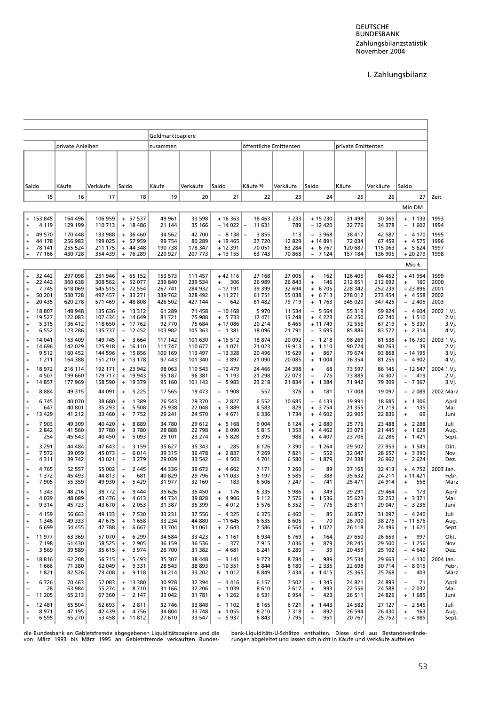#### DEUTSCHE BUNDESBANK Zahlungsbilanzstatistik November 2004

### I. Zahlungsbilanz

|                                                                                                                                                          |                                              | private Anleihen                                    |                                                     |                                                                                                                                           | Geldmarktpapiere<br>zusammen                        |                                                     |                                                                     | öffentliche Emittenten                                        |                                                |                                                                                               | private Emittenten                                  |                                                    |                                                                                          |                                          |
|----------------------------------------------------------------------------------------------------------------------------------------------------------|----------------------------------------------|-----------------------------------------------------|-----------------------------------------------------|-------------------------------------------------------------------------------------------------------------------------------------------|-----------------------------------------------------|-----------------------------------------------------|---------------------------------------------------------------------|---------------------------------------------------------------|------------------------------------------------|-----------------------------------------------------------------------------------------------|-----------------------------------------------------|----------------------------------------------------|------------------------------------------------------------------------------------------|------------------------------------------|
|                                                                                                                                                          |                                              |                                                     |                                                     |                                                                                                                                           |                                                     |                                                     |                                                                     |                                                               |                                                |                                                                                               |                                                     |                                                    |                                                                                          |                                          |
|                                                                                                                                                          | Saldo                                        | Käufe                                               | Verkäufe                                            | Saldo                                                                                                                                     | Käufe                                               | Verkäufe                                            | Saldo                                                               | Käufe 5)                                                      | Verkäufe                                       | Saldo                                                                                         | Käufe                                               | Verkäufe                                           | Saldo                                                                                    |                                          |
|                                                                                                                                                          | 15                                           | 16                                                  | 17                                                  | 18                                                                                                                                        | 19                                                  | 20                                                  | 21                                                                  | 22                                                            | 23                                             | 24                                                                                            | 25                                                  | 26                                                 | 27<br>Mio DM                                                                             | Zeit                                     |
| $\ddot{}$                                                                                                                                                | + 153 845<br>4 1 1 9                         | 164 496<br>129 199                                  | 106 959<br>110 713                                  | $+ 57537$<br>$+ 18486$                                                                                                                    | 49 961<br>21 144                                    | 33 598<br>35 166                                    | $+16363$<br>$-14022$                                                | 18 4 63<br>$\overline{\phantom{a}}$<br>11 631                 | 3 2 3 3<br>789                                 | $+15230$<br>$-12420$                                                                          | 31 4 98<br>32776                                    | 30 365<br>34 378                                   | $+ 1133$<br>$-1602$                                                                      | 1993<br>1994                             |
| $\begin{array}{c} + \end{array}$<br>$\ddot{}$<br>$\ddot{}$<br>$\ddot{}$                                                                                  | 49 570<br>44 178<br>78 141<br>77 166         | 170 448<br>256 983<br>255 524<br>430 728            | 133 988<br>199 025<br>211 175<br>354 439            | $+ 36460$<br>+ 57 959<br>$+ 44348$<br>+ 76 289                                                                                            | 34 562<br>99 754<br>190 738<br>220 927              | 42 700<br>80 289<br>178 347<br>207 773              | $-8138$<br>+ 19 465<br>+ 12 391<br>+ 13 155                         | 3855<br>$\overline{\phantom{a}}$<br>27720<br>70 051<br>63 743 | 113<br>12829<br>63 284<br>70868                | $-3968$<br>+ 14 891<br>$+ 6767$<br>$-7124$                                                    | 38 417<br>72 034<br>120 687<br>157 184              | 42 587<br>67 459<br>115 063<br>136 905             | $-4170$<br>$+ 4575$<br>$+ 5624$<br>$+20279$                                              | 1995<br>1996<br>1997<br>1998             |
|                                                                                                                                                          |                                              |                                                     |                                                     |                                                                                                                                           |                                                     |                                                     |                                                                     |                                                               |                                                |                                                                                               |                                                     |                                                    | Mio €                                                                                    |                                          |
| $\begin{array}{c} + \end{array}$<br>$\begin{array}{c} + \end{array}$<br>$\bf{+}$<br>$\begin{array}{c} + \end{array}$<br>$\begin{array}{c} + \end{array}$ | 32 442<br>22 442<br>7745<br>50 201<br>20 435 | 297 098<br>360 638<br>618 069<br>530 728<br>620 278 | 231 946<br>308 562<br>545 515<br>497 457<br>571 469 | $+ 65152$<br>$+ 52077$<br>+ 72 554<br>$+ 33271$<br>$+ 48808$                                                                              | 153 573<br>239 840<br>267 741<br>339 762<br>426 502 | 111 457<br>239 534<br>284 932<br>328 492<br>427 144 | $+42116$<br>306<br>$+$<br>$-17191$<br>$+11271$<br>642<br>$-$        | 27 168<br>26 989<br>39 399<br>61751<br>81 482                 | 27 005<br>26 843<br>32 694<br>55 038<br>79 719 | 162<br>$+$<br>146<br>$\ddot{}$<br>$+ 6705$<br>$+ 6713$<br>1763<br>$+$                         | 126 405<br>212 851<br>228 342<br>278 012<br>345 020 | 84 452<br>212 692<br>252 239<br>273 454<br>347 425 | $+41954$<br>160<br>$+$<br>$-23896$<br>$+ 4558$<br>$-2405$                                | 1999<br>2000<br>2001<br>2002<br>2003     |
| $\begin{array}{c} + \end{array}$<br>$\bf{+}$<br>$\begin{array}{c} + \end{array}$<br>$\begin{array}{c} + \end{array}$                                     | 18 807<br>19 527<br>5 3 1 5<br>6 5 5 2       | 148 948<br>122 083<br>136 412<br>123 286            | 135 636<br>107 434<br>118 650<br>135 737            | $+ 13312$<br>$+ 14649$<br>+ 17 762<br>12 452<br>$\overline{\phantom{a}}$                                                                  | 61 289<br>81721<br>92 770<br>103 982                | 71 458<br>75 988<br>75 684<br>105 363               | $-10168$<br>$+ 5733$<br>$+17086$<br>$-1381$                         | 5970<br>17471<br>20 214<br>18 0 96                            | 11 534<br>13 248<br>8 4 6 5<br>21 791          | 5 5 6 4<br>$+ 4223$<br>+ 11 749<br>$-3695$                                                    | 55 319<br>64 250<br>72 556<br>85 886                | 59 924<br>62 740<br>67 219<br>83 572               | $-4604$<br>$+ 1510$<br>$+ 5337$<br>$+ 2314$                                              | 2002 1.Vj.<br>$2.V$ j.<br>3.Vj.<br>4.Vj. |
| $\begin{array}{c} + \end{array}$<br>$\ddot{}$<br>$\ddot{}$                                                                                               | 14 041<br>14 696<br>9 5 1 2<br>1 2 1 1       | 153 409<br>142 029<br>160 452<br>164 388            | 149 745<br>125 918<br>144 596<br>151 210            | 3 6 6 4<br>$\ddot{}$<br>$+ 16110$<br>+ 15 856<br>$+ 13178$                                                                                | 117 142<br>111 747<br>100 169<br>97 443             | 101 630<br>110 677<br>113 497<br>101 340            | $+15512$<br>$+ 1071$<br>$-13328$<br>$-3897$                         | 18874<br>21 0 23<br>20 4 96<br>21 090                         | 20 092<br>19 913<br>19 629<br>20 085           | $-1218$<br>$+ 1110$<br>867<br>$\ddot{}$<br>1 0 0 4<br>$\ddot{}$                               | 98 269<br>90 724<br>79 674<br>76 354                | 81 538<br>90 763<br>93 868<br>81 255               | + 16 730<br>39<br>$\overline{\phantom{0}}$<br>$-14195$<br>$-4902$                        | 2003 1.Vj.<br>2.Vj.<br>3.Vj.<br>4.Vj.    |
| $\ddot{}$<br>$\ddot{}$                                                                                                                                   | 18 972<br>4 5 0 7<br>14 857                  | 216 114<br>199 660<br>177 969                       | 192 171<br>179 717<br>158 590                       | $+ 23942$<br>19 943<br>$\ddot{}$<br>+ 19 379                                                                                              | 98 063<br>95 187<br>95 160                          | 110 543<br>96 381<br>101 143                        | $-12479$<br>$-1193$<br>$-5983$                                      | 24 4 66<br>21 298<br>23 218                                   | 24 3 98<br>22 073<br>21834                     | 68<br>$\ddot{}$<br>775<br>1 3 8 4<br>$\ddot{}$                                                | 73 597<br>73 889<br>71942                           | 86 145<br>74 307<br>79 309                         | $-12547$<br>419<br>$\overline{\phantom{0}}$<br>- 7367                                    | 2004 1.Vj.<br>$2.V$ j.<br>3.Vj.          |
| $\ddot{}$<br>$\begin{array}{c} + \end{array}$<br>$\ddot{}$                                                                                               | 8884<br>6745<br>647<br>13 4 29               | 49 315<br>40 070<br>40 801<br>41 212                | 44 091<br>38 680<br>35 293<br>33 460                | 5 2 2 5<br>$\ddot{}$<br>1 3 8 9<br>$\ddot{}$<br>5 5 0 8<br>$\begin{array}{c} + \end{array}$<br>7752<br>$\ddot{}$                          | 17 565<br>26 543<br>25 938<br>29 241                | 19 473<br>29 370<br>22 048<br>24 570                | $-1908$<br>2827<br>$\overline{\phantom{0}}$<br>+ 3889<br>$+ 4671$   | 557<br>6 5 5 2<br>4583<br>6 3 3 6                             | 376<br>10 685<br>829<br>1734                   | 181<br>$\ddot{}$<br>4 1 3 3<br>+ 3754<br>$+ 4602$                                             | 17 008<br>19 991<br>21 3 5 5<br>22 905              | 19 097<br>18 685<br>21 219<br>22 836               | $-2089$<br>$+ 1306$<br>135<br>$\ddot{}$<br>69<br>$\ddot{}$                               | 2002 März<br>April<br>Mai<br>Juni        |
| $\ddot{}$<br>$\overline{\phantom{0}}$<br>$\ddot{}$                                                                                                       | 7 9 0 3<br>2 8 4 2<br>254                    | 49 309<br>41 560<br>45 543                          | 40 4 20<br>37 780<br>40 450                         | 8889<br>$\ddot{}$<br>3780<br>$\bf{+}$<br>5 0 9 3<br>$\ddot{}$                                                                             | 34 780<br>28 8 88<br>29 101                         | 29 612<br>22 798<br>23 274                          | $+ 5168$<br>$+ 6090$<br>$+ 5828$                                    | 9 0 0 4<br>5815<br>5 3 9 5                                    | 6 1 2 4<br>1 3 5 3<br>988                      | $+ 2880$<br>$+ 4462$<br>$+ 4407$                                                              | 25 7 7 6<br>23 073<br>23 706                        | 23 488<br>21 4 45<br>22 286                        | $+ 2288$<br>1 628<br>$+$<br>$+ 1421$                                                     | Juli<br>Aug.<br>Sept.                    |
| $\begin{array}{c} + \end{array}$<br>$\begin{array}{c} + \end{array}$<br>$\overline{\phantom{0}}$                                                         | 3 2 9 1<br>7 5 7 2<br>4 3 1 1                | 44 484<br>39 059<br>39 742                          | 47 643<br>45 073<br>43 0 21                         | 3 1 5 9<br>$\overline{\phantom{a}}$<br>$\overline{\phantom{a}}$<br>6014<br>3 2 7 9<br>$\overline{\phantom{a}}$                            | 35 627<br>39 315<br>29 0 39                         | 35 343<br>36 478<br>33 542                          | 285<br>$+$<br>$+ 2837$<br>4 5 0 3<br>$\overline{\phantom{0}}$       | 6 1 2 6<br>7 2 6 9<br>4701                                    | 7390<br>7821<br>6 5 8 0                        | $-1264$<br>552<br>$\overline{\phantom{0}}$<br>- 1879                                          | 29 502<br>32 047<br>24 3 38                         | 27 953<br>28 657<br>26 962                         | $+ 1549$<br>$+ 3390$<br>$-2624$                                                          | Okt.<br>Nov.<br>Dez.                     |
| $\begin{array}{c} + \end{array}$<br>$\ddot{}$<br>$\begin{array}{c} + \end{array}$                                                                        | 4765<br>1 3 7 2<br>7 9 0 5                   | 52 557<br>45 493<br>55 359                          | 55 002<br>44 813<br>49 930                          | 2 4 4 5<br>$\overline{\phantom{a}}$<br>681<br>$\ddot{}$<br>5 4 2 9<br>$\ddot{}$                                                           | 44 336<br>40 829<br>31 977                          | 39 673<br>29 7 96<br>32 160                         | $+ 4662$<br>+ 11 033<br>183<br>$\overline{\phantom{a}}$             | 7 1 7 1<br>5 1 9 7<br>6 5 0 6                                 | 7 2 6 0<br>5 5 8 5<br>7 2 4 7                  | 89<br>$\overline{\phantom{0}}$<br>388<br>$\overline{\phantom{0}}$<br>741<br>$\qquad \qquad -$ | 37 165<br>35 632<br>25 471                          | 32 413<br>24 211<br>24 914                         | $+ 4752$<br>$+ 11 421$<br>558<br>$+$                                                     | 2003 Jan.<br>Febr.<br>März               |
| $\begin{array}{c} + \end{array}$<br>$\ddot{}$<br>$\ddot{}$                                                                                               | 1 3 4 3<br>4 0 3 9<br>9 3 1 4                | 48 216<br>48 089<br>45 723                          | 38772<br>43 476<br>43 670                           | 9 4 4 4<br>$\ddot{}$<br>4613<br>$\ddot{}$<br>2 0 5 3<br>$\begin{array}{c} + \end{array}$                                                  | 35 626<br>44 734<br>31 387                          | 35 450<br>39828<br>35 399                           | 176<br>$\ddot{}$<br>$+ 4906$<br>4 0 1 2<br>$\overline{\phantom{0}}$ | 6 3 3 5<br>9 1 1 2<br>5 5 7 6                                 | 5986<br>7576<br>6352                           | 349<br>$+$<br>1 5 3 6<br>+<br>776<br>L,                                                       | 29 291<br>35 623<br>25 811                          | 29 4 64<br>32 252<br>29 047                        | 173<br>$\overline{\phantom{0}}$<br>3 3 7 1<br>$+$<br>3 2 3 6<br>$\overline{\phantom{0}}$ | April<br>Mai<br>Juni                     |
| $\ddot{}$<br>$\overline{\phantom{0}}$                                                                                                                    | 4 1 5 9<br>1 3 4 6<br>6699                   | 56 663<br>49 333<br>54 455                          | 49 133<br>47 675<br>47788                           | 7 5 3 0<br>$\begin{array}{c} + \end{array}$<br>1658<br>$\begin{array}{c} + \end{array}$<br>6 6 6 7<br>$\bf{+}$                            | 33 231<br>33 2 34<br>33 704                         | 37 556<br>44 880<br>31 061                          | $-4325$<br>$-11645$<br>$+ 2643$                                     | 6375<br>6 5 3 5<br>7 5 8 6                                    | 6460<br>6605<br>6 564                          | 85<br>70<br>$\overline{a}$<br>1 0 2 2<br>$\ddot{}$                                            | 26 857<br>26 700<br>26 118                          | 31 097<br>38 275<br>24 4 96                        | $-4240$<br>$-11576$<br>$+ 1621$                                                          | Juli<br>Aug.<br>Sept.                    |
| $\begin{array}{c} + \end{array}$<br>$\overline{\phantom{0}}$<br>$\overline{\phantom{0}}$                                                                 | 11 977<br>7 1 9 8<br>3 5 6 9                 | 63 369<br>61 430<br>39 589                          | 57 070<br>58 525<br>35 615                          | 6 2 9 9<br>$\bf{+}$<br>2 9 0 5<br>$\begin{array}{c} + \end{array}$<br>3 9 7 4<br>$\begin{array}{c} + \end{array}$                         | 34 584<br>36 159<br>26 700                          | 33 4 23<br>36 536<br>31 382                         | + 1 161<br>377<br>$\overline{\phantom{a}}$<br>$-4681$               | 6934<br>7915<br>6 2 4 1                                       | 6769<br>7036<br>6 2 8 0                        | 164<br>$\ddot{}$<br>879<br>$\ddot{}$<br>39<br>$\overline{a}$                                  | 27 650<br>28 245<br>20 459                          | 26 653<br>29 500<br>25 102                         | 997<br>$+$<br>$-1256$<br>4 6 4 2<br>$\overline{\phantom{0}}$                             | Okt.<br>Nov.<br>Dez.                     |
| $\begin{array}{c} + \end{array}$<br>$\overline{\phantom{0}}$<br>$\begin{array}{c} + \end{array}$                                                         | 18816<br>1666<br>1821                        | 62 208<br>71 380<br>82 526                          | 56 715<br>62 049<br>73 408                          | 5 4 9 3<br>$\begin{array}{c} + \end{array}$<br>9 3 3 1<br>$\begin{array}{c} + \end{array}$<br>9 1 1 8<br>$\begin{array}{c} + \end{array}$ | 35 307<br>28 543<br>34 214                          | 38 4 48<br>38 893<br>33 202                         | $-3141$<br>$-10351$<br>$+ 1012$                                     | 9773<br>5 8 4 4<br>8849                                       | 8784<br>8 1 8 0<br>7434                        | 989<br>$\ddot{}$<br>2 3 3 5<br>$\overline{\phantom{0}}$<br>1415<br>$+$                        | 25 534<br>22 698<br>25 365                          | 29 663<br>30 714<br>25 768                         | - 4130<br>$-8015$<br>$\overline{\phantom{a}}$<br>403                                     | 2004 Jan.<br>Febr.<br>März               |
| $\begin{array}{c} + \end{array}$<br>$\overline{\phantom{0}}$                                                                                             | 6726<br>28<br>11 205                         | 70 463<br>63 984<br>65 213                          | 57 083<br>55 274<br>67 360                          | 13 380<br>$\ddot{}$<br>8710<br>$\begin{array}{c} + \end{array}$<br>2 1 4 7<br>$\overline{\phantom{a}}$                                    | 30 978<br>31 166<br>33 042                          | 32 394<br>32 206<br>31781                           | $-1416$<br>$-1039$<br>$+ 1262$                                      | 6 1 5 7<br>8610<br>6 5 3 1                                    | 7 5 0 2<br>7617<br>6954                        | 1 3 4 5<br>$\overline{\phantom{0}}$<br>$\ddot{}$<br>993<br>423<br>$\overline{\phantom{0}}$    | 24 821<br>22 556<br>26 511                          | 24 893<br>24 5 88<br>24 8 26                       | 71<br>$\overline{\phantom{0}}$<br>$\overline{\phantom{0}}$<br>2 0 3 2<br>$+ 1685$        | April<br>Mai<br>Juni                     |
| $\begin{array}{c} + \end{array}$<br>$\begin{array}{c} + \end{array}$                                                                                     | 12 481<br>8971<br>6 5 9 5                    | 65 504<br>47 195<br>65 270                          | 62 693<br>42 439<br>53 458                          | 2811<br>$\ddot{}$<br>4756<br>$\bf{+}$<br>$+ 11812$                                                                                        | 32 746<br>34 804<br>27 610                          | 33 848<br>33 748<br>33 547                          | $-1102$<br>+ 1055<br>$-5937$                                        | 8 1 6 5<br>8 2 1 0<br>6843                                    | 6721<br>7318<br>7795                           | 443<br>$+$<br>-1<br>892<br>$\ddot{}$<br>951<br>$\overline{a}$                                 | 24 582<br>26 594<br>20 767                          | 27 127<br>26 430<br>25 7 52                        | $-2545$<br>$+$<br>163<br>$-4985$                                                         | Juli<br>Aug.<br>Sept.                    |

die Bundesbank an Gebietsfremde abgegebenen Liquiditätspapiere und die<br>von März 1993 bis März 1995 an Gebietsfremde verkauften Bundes-

bank-Liquiditäts-U-Schätze enthalten. Diese sind aus Bestandsverände-<br>rungen abgeleitet und lassen sich nicht in Käufe und Verkäufe aufteilen.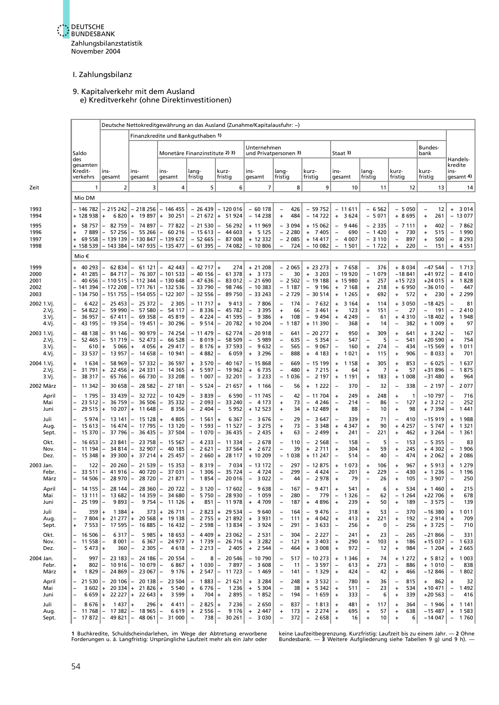

#### 9. Kapitalverkehr mit dem Ausland e) Kreditverkehr (ohne Direktinvestitionen)

|                     |                                                 |                                                                                          | Deutsche Nettokreditgewährung an das Ausland (Zunahme/Kapitalausfuhr: -) |                                       |                                                                         |                                                                          |                                                 |                                                                    |                                                             |                                                                                        |                                                   |                                                     |                                      |                                                                                |
|---------------------|-------------------------------------------------|------------------------------------------------------------------------------------------|--------------------------------------------------------------------------|---------------------------------------|-------------------------------------------------------------------------|--------------------------------------------------------------------------|-------------------------------------------------|--------------------------------------------------------------------|-------------------------------------------------------------|----------------------------------------------------------------------------------------|---------------------------------------------------|-----------------------------------------------------|--------------------------------------|--------------------------------------------------------------------------------|
|                     |                                                 |                                                                                          |                                                                          |                                       | Finanzkredite und Bankguthaben 1)                                       |                                                                          |                                                 |                                                                    |                                                             |                                                                                        |                                                   |                                                     |                                      |                                                                                |
|                     | Saldo<br>des                                    |                                                                                          |                                                                          |                                       | Monetäre Finanzinstitute 2) 3)                                          |                                                                          | Unternehmen                                     | und Privatpersonen 3)                                              |                                                             | Staat 3)                                                                               |                                                   |                                                     | Bundes-<br>bank                      | Handels-                                                                       |
|                     | gesamten<br>Kredit-<br>verkehrs                 | ins-<br>gesamt                                                                           | ins-<br>qesamt                                                           | ins-<br>gesamt                        | lang-<br>fristig                                                        | kurz-<br>fristig                                                         | ins-<br>gesamt                                  | lang-<br>fristig                                                   | kurz-<br>fristig                                            | ins-<br>gesamt                                                                         | lang-<br>fristig                                  | kurz-<br>fristig                                    | kurz-<br>fristig                     | kredite<br>ins-<br>gesamt 4)                                                   |
| Zeit                | 1                                               | 2                                                                                        | 3                                                                        | 4                                     | 5                                                                       | 6                                                                        | 7                                               | 8                                                                  | 9                                                           | 10                                                                                     | 11                                                | 12                                                  | 13                                   | 14                                                                             |
|                     | Mio DM                                          |                                                                                          |                                                                          |                                       |                                                                         |                                                                          |                                                 |                                                                    |                                                             |                                                                                        |                                                   |                                                     |                                      |                                                                                |
|                     |                                                 |                                                                                          |                                                                          |                                       |                                                                         |                                                                          |                                                 |                                                                    |                                                             |                                                                                        |                                                   |                                                     |                                      |                                                                                |
| 1993<br>1994        | $-146782$<br>$+128938+$                         | - 215 242<br>$6820 +$                                                                    | 19 897 $ +$                                                              | $-218256$ - 146 455<br>30 251         | $-21672$ +                                                              | $-26439$ $-120016$<br>51 924                                             | $-60178$<br>$-14238$                            | 426<br>$\qquad \qquad -$<br>484<br>$\ddot{}$                       | $-59752$<br>$-14722$                                        | $-11611$<br>3 6 2 4<br>$+$                                                             | $-6562$<br>$-5071$                                | $-5050$<br>+ 8695                                   | 12<br>261<br>$\ddot{}$               | $+ 3014$<br>13 077<br>$\overline{\phantom{0}}$                                 |
| 1995<br>1996        | 58 757<br>+<br>7889<br>$\ddot{}$                | $-82759$<br>$-57256$                                                                     | $-74897$<br>$-55266$                                                     | $-77822$<br>$-60216$                  | $-21530$<br>$-15613$                                                    | 56 292<br>$\overline{\phantom{a}}$<br>$\overline{\phantom{a}}$<br>44 603 | + 11 969<br>$+ 5125$                            | $-3094$<br>$-2280$                                                 | $+ 15062$<br>$+ 7405$                                       | 9446<br>$\overline{\phantom{a}}$<br>$\overline{\phantom{a}}$<br>690                    | $-2335$<br>$-1420$                                | 7 1 1 1<br>$\qquad \qquad -$<br>730<br>$\ddot{}$    | 402<br>$\ddot{}$<br>515<br>$\ddot{}$ | 7862<br>$\overline{\phantom{a}}$<br>1990                                       |
| 1997                | $+$                                             | $69558 - 139139$                                                                         | $-130847$                                                                | $ -139672$                            | $-5265$                                                                 | $-$<br>87008                                                             | $+ 12332$                                       | $-2085$                                                            | $+ 14417$                                                   | 4 0 0 7<br>$\overline{\phantom{a}}$                                                    | $-3110$                                           | 897<br>$\overline{\phantom{0}}$                     | 500<br>$\ddot{}$                     | 8 2 9 3<br>$-$                                                                 |
| 1998                |                                                 | + 158 539 - 143 384                                                                      | $-147935$                                                                | - 135 477                             | $-61395$                                                                | 74 082<br>$\overline{\phantom{a}}$                                       | $-10806$                                        | 724<br>$-$                                                         | $-10082$                                                    | $\overline{\phantom{m}}$<br>1 501                                                      | $-1722$                                           | 220<br>$\ddot{}$                                    | 151<br>$\overline{\phantom{a}}$      | 4 5 5 1<br>$+$                                                                 |
|                     | Mio €                                           |                                                                                          |                                                                          |                                       |                                                                         |                                                                          |                                                 |                                                                    |                                                             |                                                                                        |                                                   |                                                     |                                      |                                                                                |
| 1999                | 40 293<br>$+$                                   | $-62834$                                                                                 | $-61121$                                                                 | $-4243$                               | $-42717$                                                                | 274<br>$\ddot{}$                                                         | $+21208$                                        | $-2065$                                                            | $+23273$                                                    | $+ 7658$                                                                               | 376                                               | $+8034$                                             | $-47544$                             | 1713                                                                           |
| 2000                | $\ddot{}$                                       | $41\,285$ $\vert$ - 84 717 $\vert$ - 76 307 $\vert$ - 101 533                            |                                                                          |                                       | $-40156$                                                                | 61 378<br>$\overline{\phantom{a}}$                                       | $+ 3173$                                        | 30<br>$\overline{\phantom{0}}$                                     | $+ 3203$                                                    | $-19920$                                                                               | $-1079$                                           | $-18841$                                            | +41 972                              | 8410<br>$\overline{\phantom{a}}$                                               |
| 2001                | $\overline{\phantom{0}}$                        | 40 656 - 110 515 - 112 344 - 130 648                                                     |                                                                          |                                       | $-47636$<br>$-33790$                                                    | 83 012<br>$\overline{\phantom{a}}$                                       | $-21690$<br>$-10383$                            | $-2502$                                                            | $-19188$                                                    | + 15 980                                                                               | 257<br>$\ddot{}$                                  | +15 723                                             | $+24015$                             | 1828<br>$\ddot{}$                                                              |
| 2002<br>2003        |                                                 | - 141 394 - 172 208 - 171 761 - 132 536<br>– 134 750   – 151 755   – 154 055   – 122 307 |                                                                          |                                       | $-32556$                                                                | $\overline{\phantom{a}}$<br>98 746<br>$\overline{\phantom{a}}$<br>89 750 | - 33 243                                        | $-1187$<br>$-2729$                                                 | $-9196$<br>$-30514$                                         | 7 1 6 8<br>$+$<br>1 2 6 5<br>$\ddot{}$                                                 | 218<br>$\ddot{}$<br>692<br>$\ddot{}$              | + 6950<br>572<br>$\ddot{}$                          | $-36010$<br>230<br>$+$               | 447<br>$\overline{\phantom{0}}$<br>2 2 9 9<br>$\begin{array}{c} + \end{array}$ |
|                     |                                                 |                                                                                          |                                                                          |                                       |                                                                         |                                                                          |                                                 |                                                                    |                                                             |                                                                                        |                                                   |                                                     |                                      |                                                                                |
| 2002 1.Vj.<br>2.Vj. | 6422<br>54 822                                  | 25 453<br>59 990                                                                         | $-25372$<br>$-$<br>57 580                                                | 2 3 0 5<br>-<br>$-54117$              | $-11717$<br>8 3 3 6                                                     | 9413<br>$\ddot{}$<br>45 782<br>$\overline{\phantom{a}}$                  | $-7806$<br>3 3 9 5<br>$\overline{\phantom{a}}$  | 174<br>$\qquad \qquad -$<br>66<br>$\ddot{}$                        | 7 632<br>$\overline{\phantom{a}}$<br>3 4 6 1                | 3 1 6 4<br>$\begin{array}{c} + \end{array}$<br>123<br>$\begin{array}{c} + \end{array}$ | 114<br>$\ddot{}$<br>151<br>$\ddot{}$              | $+3050$<br>27                                       | $-18425$<br>191                      | 81<br>2 4 1 0                                                                  |
| 3.Vj.               | $\overline{\phantom{0}}$                        | $36957$ - 67 411 - 69 358 - 45 819                                                       |                                                                          |                                       | $-4224$                                                                 | 41 595<br>$\vert - \vert$                                                | 9 3 8 6<br>$ \,$                                | $\ddot{}$<br>108                                                   | 9 494<br>$\overline{\phantom{0}}$                           | $\begin{array}{c} + \end{array}$<br>4 2 4 9                                            | 61                                                | + 4310                                              | $-18402$                             | 1948<br>$\ddot{}$                                                              |
| 4.Vj.               | $\overline{\phantom{0}}$                        | $43195$ - 19 354 - 19 451 - 30 296                                                       |                                                                          |                                       | $9514$ $-$<br>$\overline{\phantom{a}}$                                  | 20 782                                                                   | $+ 10204$                                       | $-1187$                                                            | $+ 11390$                                                   | 368<br>$\overline{\phantom{m}}$                                                        | 14<br>$\ddot{}$                                   | 382<br>L,                                           | $+ 1009$                             | 97<br>$\ddot{}$                                                                |
| 2003 1.Vj.          | $\qquad \qquad -$<br>48 138                     | 91 146                                                                                   | 90 979                                                                   | $-74254$                              | $-11479$                                                                | 62 774<br>$\overline{\phantom{a}}$                                       | $-20918$                                        | 641<br>$\qquad \qquad -$                                           | $-20277$                                                    | 950<br>$\ddot{}$                                                                       | 309<br>$\overline{1}$                             | 641<br>÷                                            | $+ 3242$                             | 167                                                                            |
| 2.Vj.               | 52 465                                          | 51 7 19                                                                                  | 52 473<br>$\overline{\phantom{a}}$                                       | 66 528<br>$-$                         | 8 0 1 9<br>$\overline{\phantom{a}}$                                     | 58 509<br>$\overline{\phantom{a}}$                                       | $-5989$                                         | 635<br>$\overline{\phantom{a}}$                                    | 5 3 5 4<br>$\overline{\phantom{a}}$                         | 547<br>$\overline{\phantom{a}}$                                                        | 5                                                 | 541<br>$\overline{\phantom{0}}$                     | $+20590$                             | 754<br>$\ddot{}$                                                               |
| 3.Vj.               | $610$ +                                         | $5066$ +                                                                                 |                                                                          | $4056$ + 29 417                       | 8 176   +<br>$\overline{\phantom{a}}$                                   | 37 593                                                                   | 9632<br>$-$                                     | $\qquad \qquad -$<br>565                                           | 9 0 6 7<br>$\overline{\phantom{a}}$                         | 160<br>$\overline{\phantom{0}}$                                                        | 274<br>$\ddot{}$                                  | 434<br>L,                                           | $-15569$                             | 1 0 1 1<br>$\ddot{}$                                                           |
| 4.Vj.               | 33 537                                          |                                                                                          | – 13 957 – 14 658 – 10 941                                               |                                       | 4882<br>$\overline{\phantom{a}}$                                        | $\overline{\phantom{a}}$<br>6059                                         | $+ 3296$                                        | 888<br>$\qquad \qquad -$                                           | $+ 4183$                                                    | 1021<br>$\ddot{}$                                                                      | 115<br>$\ddot{}$                                  | 906<br>$\pmb{+}$                                    | $-8033$                              | 701<br>$\ddot{}$                                                               |
| 2004 1.Vj.          | 1 6 3 4<br>$\ddot{}$                            | 58 969                                                                                   | $-57332$                                                                 | $-36597$                              | $+ 3570$                                                                | 40 167<br>$-$                                                            | $-15868$                                        | 669<br>$\qquad \qquad -$                                           | $-15199$<br>7 2 1 5                                         | 1 1 5 8<br>$\begin{array}{c} + \end{array}$                                            | 305<br>$\overline{1}$<br>7                        | 853<br>$\ddot{}$                                    | $-6025$                              | 1637                                                                           |
| 2.Vj.<br>3.Vj.      | 31 791<br>38 317<br>$\overline{\phantom{a}}$    | $22456$ +<br>$+$<br>65 766<br>$\vert - \vert$                                            | $\vert - \vert$                                                          | 24 331 - 14 365<br>$66730$   - 33 208 | 5 5 9 7<br>$\ddot{}$<br>1 007<br>$\overline{\phantom{a}}$               | 19 962<br>$\overline{\phantom{a}}$<br>$\vert - \vert$<br>32 201          | $+ 6735$<br>3 2 3 3<br>$-$                      | 480<br>$\overline{\phantom{a}}$<br>$-1036$                         | $\ddot{}$<br>2 1 9 7<br>$\overline{\phantom{a}}$            | $\ddot{}$<br>64<br>1 1 9 1<br>$\ddot{}$                                                | $\ddot{}$<br>183<br>$\ddot{}$                     | 57<br>$\ddot{}$<br>1 008<br>$\ddot{}$               | +31 896<br>$-31480$                  | 1875<br>$\qquad \qquad -$<br>964<br>$\ddot{}$                                  |
| 2002 März           | 11 342<br>$\overline{\phantom{0}}$              | 30 658<br>$-$                                                                            | $\overline{\phantom{a}}$                                                 | $28582$ - 27 181                      | 5524<br>$\overline{\phantom{a}}$                                        | 21 657<br>$\vert - \vert$                                                | $+ 1166$                                        | 56<br>$\overline{\phantom{a}}$                                     | 1 2 2 2<br>$\ddot{}$                                        | 370<br>$\overline{\phantom{a}}$                                                        | 32<br>$\overline{\phantom{0}}$                    | 338<br>$\overline{\phantom{0}}$                     | $-2197$                              | 2 0 7 7<br>$\overline{\phantom{a}}$                                            |
| April               | 1795                                            | 33 439                                                                                   | 32722                                                                    | $-10429$                              | 3839<br>$\overline{\phantom{a}}$                                        | 6 5 9 0<br>$\overline{\phantom{a}}$                                      | $-11745$                                        | 42<br>$\overline{\phantom{a}}$                                     | $-11704$                                                    | 249<br>$\ddot{}$                                                                       | 248<br>$\ddot{}$                                  | $\mathbf{1}$<br>÷                                   | $-10797$                             | 716                                                                            |
| Mai                 | $\qquad \qquad -$<br>23 512                     | 36 759<br>$\qquad \qquad -$                                                              | $\overline{\phantom{a}}$<br>36 506                                       | $-35332$                              | 2 0 9 3<br>$\overline{\phantom{a}}$                                     | 33 240<br>$-$                                                            | $-4173$                                         | 73<br>+                                                            | $-4246$                                                     | 214<br>$\overline{\phantom{a}}$                                                        | 86<br>$\overline{\phantom{0}}$                    | 127<br>$\overline{a}$                               | $+ 3212$                             | 252                                                                            |
| Juni                |                                                 | $29\,515$ + 10 207 +                                                                     | 11 648                                                                   | 8 3 5 6<br>$\overline{\phantom{a}}$   | 2 4 0 4<br>$\overline{\phantom{a}}$                                     | 5952<br>$\overline{\phantom{0}}$                                         | $+ 12523$                                       | 34<br>$\ddot{}$                                                    | + 12 489                                                    | 88<br>$\ddot{}$                                                                        | 10<br>$\overline{\phantom{0}}$                    | 98<br>$\ddot{}$                                     | + 7394                               | 1441<br>$\overline{\phantom{a}}$                                               |
| Juli                | 5974                                            | $-13141$                                                                                 | $15128$ +<br>$-$                                                         | 4 8 0 5                               | $-1561$                                                                 | 6 3 6 7<br>$\begin{array}{c} + \end{array}$                              | $-3676$                                         | 29<br>$\overline{\phantom{a}}$                                     | 3 647<br>$\overline{\phantom{a}}$                           | 339<br>$\overline{\phantom{a}}$                                                        | 71<br>$\overline{+}$                              | 410<br>$\overline{\phantom{0}}$                     | $-15919$                             | 1988<br>$\ddot{}$                                                              |
| Aug.                | 15 613                                          | 16 474                                                                                   | 17 795<br>$\overline{\phantom{a}}$                                       | $-13120$                              | 1 5 9 3<br>$\overline{\phantom{a}}$                                     | 11 527<br>$\overline{\phantom{a}}$                                       | 3 2 7 5<br>$\overline{\phantom{a}}$             | 73<br>$\ddot{}$                                                    | 3 3 4 8                                                     | 4 347<br>$\ddot{}$                                                                     | 90<br>$\ddot{}$                                   | 4 2 5 7<br>$\ddot{}$                                | $-5747$                              | 1 3 2 1<br>$\ddot{}$                                                           |
| Sept.               | $-$                                             | 15 370 - 37 796 - 36 435 - 37 504                                                        |                                                                          |                                       | $-1070$ $-$                                                             | 36 435                                                                   | 2 4 3 5<br>$-$                                  | 63<br>$\ddot{}$                                                    | 2 4 9 9<br>$\overline{\phantom{a}}$                         | $\bf{+}$<br>241                                                                        | 221<br>$\overline{\phantom{a}}$                   | 462<br>$\pmb{+}$                                    | $+3264$                              | 1 3 6 1                                                                        |
| Okt.                | 16 653                                          | $\vert -23841 \vert -23758 \vert -15567 \vert$                                           |                                                                          |                                       | $-4233$                                                                 | – 11 334                                                                 | $-2678$                                         | 110<br>$\overline{\phantom{a}}$                                    | 2 5 6 8<br>$\overline{\phantom{a}}$                         | 158<br>$\overline{\phantom{a}}$                                                        | 5                                                 | 153                                                 | $-5355$                              | 83                                                                             |
| Nov.<br>Dez.        | $\overline{\phantom{0}}$<br>11 194<br>$15348$ + | 34 814<br>$\vert - \vert$                                                                | $-32907$<br>$39\,300$ + 37 214 +                                         | $-40185$<br>25 457                    | $-2621$<br>$2660 +$<br>$\overline{\phantom{a}}$                         | 37 564<br>$\overline{\phantom{a}}$<br>28 117                             | $+ 2672$<br>$+ 10209$                           | 39<br>$\overline{\phantom{a}}$<br>$-1038$                          | 2 7 1 1<br>$\ddot{}$<br>$+ 11247$                           | 304<br>$\begin{array}{c} + \end{array}$<br>514<br>$\overline{\phantom{a}}$             | 59<br>$\ddot{}$<br>40<br>$\overline{\phantom{0}}$ | 245<br>$\ddot{}$<br>474<br>$\overline{\phantom{0}}$ | $+ 4302$<br>$+ 2062$                 | 1906<br>$\overline{\phantom{a}}$<br>2 0 8 6<br>$\ddot{}$                       |
|                     |                                                 |                                                                                          |                                                                          |                                       |                                                                         |                                                                          |                                                 |                                                                    |                                                             |                                                                                        |                                                   |                                                     |                                      |                                                                                |
| 2003 Jan.<br>Febr.  | 122<br>33 511                                   | 20 260<br>41 916                                                                         | 21 539<br>$\overline{\phantom{a}}$<br>40 720<br>$\overline{\phantom{a}}$ | $-15353$<br>37 031<br>$-$             | 8319<br>$\overline{\phantom{a}}$<br>1 3 0 6<br>$\overline{\phantom{a}}$ | 7034<br>35 7 24<br>$\overline{\phantom{a}}$                              | $-13172$<br>4 7 2 4<br>$\overline{\phantom{a}}$ | 297<br>$\overline{\phantom{a}}$<br>299<br>$\overline{\phantom{a}}$ | $-12875$<br>4 4 2 4<br>$\overline{\phantom{a}}$             | 1073<br>$\ddot{}$<br>201<br>$\overline{\phantom{0}}$                                   | 106<br>$\ddot{}$<br>229<br>$\ddot{}$              | 967<br>$\ddot{}$<br>430<br>L,                       | $+ 5913$<br>$+ 1236$                 | 1 2 7 9<br>$\ddot{}$<br>1 1 9 6                                                |
| März                | 14 506                                          | 28 970<br>$\overline{\phantom{m}}$                                                       | $-$                                                                      | 28 720 - 21 871                       | $-1854$                                                                 | $\overline{\phantom{a}}$<br>20 016                                       | 3 0 2 2<br>$-$                                  | 44<br>$\qquad \qquad -$                                            | 2978<br>$\overline{\phantom{a}}$                            | 79<br>$\ddot{}$                                                                        | 26                                                | 105<br>$\ddot{}$                                    | $-3907$                              | 250                                                                            |
| April               |                                                 | - 14 155   - 28 144                                                                      |                                                                          | $-28360$ $-20722$                     |                                                                         | $-3120$ $-17602$                                                         | $-9638$                                         | 167<br>$\overline{\phantom{a}}$                                    | $-9471$                                                     | 541<br>$\ddot{}$                                                                       | 6<br>$\ddot{}$                                    | 534<br>$\ddot{}$                                    | $+ 1460$                             | 215<br>$\ddot{}$                                                               |
| Mai                 |                                                 | $13111$ - 13 682 - 14 359 - 34 680                                                       |                                                                          |                                       |                                                                         | $-$ 5 750 $ -$ 28 930                                                    | $-1059$                                         | 280                                                                | 779                                                         | 1 3 2 6                                                                                | 62                                                | 1 2 6 4                                             | +22 706                              | 678                                                                            |
| Juni                | 25 199   –                                      | 9 893 -                                                                                  |                                                                          | $9754$ - 11 126 +                     |                                                                         | $851$   - 11 978   + 4 709                                               |                                                 | 187                                                                | $+ 4896$                                                    | 239<br>$\overline{+}$                                                                  | 50<br>$\ddot{}$                                   | 189<br>$\ddot{}$                                    | $-3575$                              | 139<br>$\overline{\phantom{a}}$                                                |
| Juli                | 359   +                                         | $1384$ +                                                                                 |                                                                          | $373$ + 26 711                        |                                                                         | $-2823$ + 29 534                                                         | $-9640$                                         | 164<br>$\qquad \qquad -$                                           | 9 4 7 6                                                     | 318<br>$\overline{\phantom{a}}$                                                        | 53<br>$\ddot{}$                                   | 370                                                 | $-16380$                             | 1011<br>$\begin{array}{c} + \end{array}$                                       |
| Aug.<br>Sept.       | $7553$ $-$                                      | $7804$ + 21 277 + 20 568 + 19 138                                                        | $17595$ - 16885 - 16432                                                  |                                       |                                                                         | $-2755 + 21892$<br>$-2598$ $-13834$                                      | $+ 3931$<br>$-3924$                             | 111<br>$\overline{\phantom{a}}$<br>$\qquad \qquad -$<br>291        | $+ 4042$<br>3 6 3 3<br>$\overline{\phantom{a}}$             | 413<br>$\ddot{}$<br>256<br>$\overline{\phantom{a}}$                                    | 221<br>$\ddot{}$<br>0<br>$\ddot{}$                | 192<br>$\ddot{}$<br>256<br>L,                       | $-2914$<br>$+ 3725$                  | 709<br>$\begin{array}{c} + \end{array}$<br>710<br>$\qquad \qquad -$            |
|                     |                                                 |                                                                                          |                                                                          |                                       |                                                                         |                                                                          |                                                 |                                                                    |                                                             |                                                                                        |                                                   |                                                     |                                      |                                                                                |
| Okt.<br>Nov.        | $16506$   $-$<br>$11558$ –                      | $6317$ -<br>$8001$   –                                                                   |                                                                          | $5985$ + 18653<br>$6367$ - 24 977     |                                                                         | $-4409$ + 23 062<br>$+ 1739$ - 26 716                                    | $-2531$<br>$+ 3282$                             | 304<br>-<br>121<br>$\qquad \qquad -$                               | 2 2 2 7<br>$\overline{\phantom{a}}$<br>3 4 0 3<br>$\ddot{}$ | 241<br>$\overline{\phantom{a}}$<br>290<br>$\ddot{}$                                    | 23<br>$\ddot{}$<br>103<br>$\ddot{}$               | 265<br>$\overline{\phantom{0}}$<br>186<br>$\ddot{}$ | $-21866$<br>$+15037$                 | 331<br>1633                                                                    |
| Dez.                | $5473+$<br>$\overline{\phantom{a}}$             | $360$ -                                                                                  |                                                                          | $2305$ $- 4618$                       |                                                                         | $-2213$ $-2405$                                                          | $+ 2544$                                        | 464<br>$\qquad \qquad -$                                           | $+ 3008$                                                    | $\ddot{}$<br>972                                                                       | 12<br>$\overline{\phantom{0}}$                    | 984<br>$\begin{array}{c} + \end{array}$             | $-1204$                              | 2665<br>$+$                                                                    |
| 2004 Jan.           |                                                 | $997$ - 23 183 - 24 186 - 20 554                                                         |                                                                          |                                       | $\overline{\phantom{a}}$                                                | $8 - 20546$                                                              | $-10790$                                        | 517<br>$\qquad \qquad -$                                           | $-10273$                                                    | 1 3 4 6<br>$\ddot{}$                                                                   | 74<br>$\ddot{}$                                   | $+ 1272$                                            | $+ 5812$                             | $+ 1003$                                                                       |
| Febr.               |                                                 | $802$   - 10 916   - 10 079   - 6 867                                                    |                                                                          |                                       |                                                                         | $+ 1030$ $- 7897$                                                        | $-3608$                                         | $\qquad \qquad -$<br>11                                            | $-3597$                                                     | 613<br>$\overline{\phantom{a}}$                                                        | 273<br>$\ddot{}$                                  | 886<br>$\overline{\phantom{0}}$                     | $+ 1010$                             | 838<br>$\overline{\phantom{a}}$                                                |
| März                | $\ddot{}$                                       | $1829$ $- 24869$ $- 23067$ $- 9176$                                                      |                                                                          |                                       | $\pmb{+}$                                                               | $2547$ - 11723                                                           | $-1469$                                         | 141<br>$\overline{\phantom{a}}$                                    | $-1329$                                                     | 424<br>$\overline{+}$                                                                  | 42                                                | 466<br>$\begin{array}{c} + \end{array}$             | $-12846$                             | 1802<br>$\overline{\phantom{a}}$                                               |
| April               | $21530$ –                                       |                                                                                          | $20106$ - 20 138 - 23 504                                                |                                       |                                                                         | $-1883$ $-21621$                                                         | $+ 3284$                                        | 248<br>$\qquad \qquad -$                                           | $+ 3532$                                                    | 780<br>$\overline{\phantom{a}}$                                                        | 36<br>$\ddot{}$                                   | 815<br>$\overline{a}$                               | + 862                                | 32<br>$\ddot{}$                                                                |
| Mai                 |                                                 | $3602$ + 20 334 + 21 826 + 5 540                                                         |                                                                          |                                       | $6776$ -<br>$\ddot{}$                                                   | 1 2 3 6                                                                  | $+ 5304$                                        | 38<br>$\overline{\phantom{a}}$                                     | $+ 5342$                                                    | 511<br>$\ddot{}$                                                                       | 23                                                | 534<br>$\pmb{+}$                                    | $+10471$                             | 1492                                                                           |
| Juni                | $\overline{\phantom{a}}$                        | $6659$ + 22 227 + 22 643 +                                                               |                                                                          | 3 5 9 9                               | $704$ +<br>$\begin{array}{c} + \end{array}$                             | 2895                                                                     | $-1852$                                         | 194<br>$\qquad \qquad -$                                           | 1659<br>$\overline{\phantom{a}}$                            | 333<br>$\ddot{}$                                                                       | 6<br>$\overline{\phantom{0}}$                     | 339<br>$\ddot{}$                                    | +20 563                              | 416<br>$\overline{\phantom{a}}$                                                |
| Juli                |                                                 | $8676$ + 1437 +                                                                          | $296$ +                                                                  | 4411                                  | $-2825+$                                                                | 7 2 3 6                                                                  | $-2650$                                         | 837<br>$\qquad \qquad -$                                           | $-1813$                                                     | 481<br>$\overline{+}$                                                                  | 117<br>$\ddot{}$                                  | 364<br><sup>+</sup>                                 | $-1946$                              | $+ 1141$                                                                       |
| Aug.<br>Sept.       |                                                 | $11\,768$ - 17 382 - 18 965 - 6 619<br>$-$ 17872 $ -$ 49821 $ -$ 48061 $ -$ 31000 $ $    |                                                                          |                                       | $+ 2556$ -<br>$\overline{\phantom{a}}$                                  | 9 176  <br>$738$ $- 30261$                                               | + 2447<br>$-3030$                               | 173<br>$\ddot{}$<br>372<br>$\overline{\phantom{a}}$                | $+ 2274$<br>$-2658$                                         | 695<br>$\overline{+}$<br>16<br>$\ddot{}$                                               | 57<br>$\ddot{}$<br>10<br>$\ddot{}$                | 638<br>$\ddot{}$<br>6<br>$\ddot{}$                  | $-15487$<br>$-14047$                 | $+ 1583$<br>$-1760$                                                            |
|                     |                                                 |                                                                                          |                                                                          |                                       |                                                                         |                                                                          |                                                 |                                                                    |                                                             |                                                                                        |                                                   |                                                     |                                      |                                                                                |

1 Buchkredite, Schuldscheindarlehen, im Wege der Abtretung erworbene keine Laufzeitbegrenzung. Kurzfristig: Laufzeit bis zu einem Jahr. — 2 Ohne<br>Forderungen u. ä. Langfristig: Ursprüngliche Laufzeit mehr als ein Jahr oder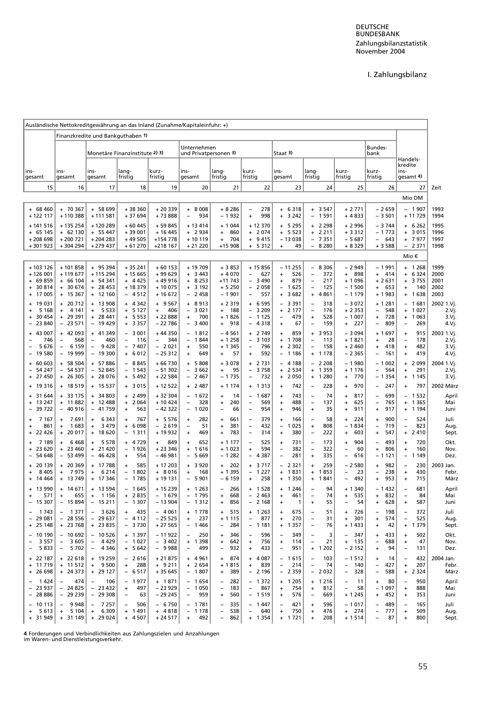DEUTSCHE BUNDESBANK Zahlungsbilanzstatistik November 2004

I. Zahlungsbilanz

|                                       |                                                                           |                                                                        |                                                                      |                                 | Ausländische Nettokreditgewährung an das Inland (Zunahme/Kapitaleinfuhr: +) |                                                                    |                                                                        |                                                                           |                                                                    |                                                                            |                                                                            |                                                                    |                    |
|---------------------------------------|---------------------------------------------------------------------------|------------------------------------------------------------------------|----------------------------------------------------------------------|---------------------------------|-----------------------------------------------------------------------------|--------------------------------------------------------------------|------------------------------------------------------------------------|---------------------------------------------------------------------------|--------------------------------------------------------------------|----------------------------------------------------------------------------|----------------------------------------------------------------------------|--------------------------------------------------------------------|--------------------|
|                                       |                                                                           |                                                                        | Finanzkredite und Bankguthaben 1)                                    |                                 |                                                                             |                                                                    |                                                                        |                                                                           |                                                                    |                                                                            |                                                                            |                                                                    |                    |
|                                       |                                                                           |                                                                        | Monetäre Finanzinstitute 2) 3)                                       |                                 | Unternehmen<br>und Privatpersonen 3)                                        |                                                                    |                                                                        | Staat 3)                                                                  |                                                                    |                                                                            | Bundes-<br>bank                                                            | Handels-                                                           |                    |
| ins-<br>gesamt                        | ins-<br>gesamt                                                            | ins-<br>qesamt                                                         | lang-<br>fristig                                                     | kurz-<br>fristig                | ins-<br>gesamt                                                              | lang-<br>fristig                                                   | kurz-<br>fristig                                                       | ins-<br>gesamt                                                            | lang-<br>fristig                                                   | kurz-<br>fristig                                                           | kurz-<br>fristig                                                           | kredite<br>ins-<br>gesamt 4)                                       |                    |
| 15                                    | 16                                                                        | 17                                                                     | 18                                                                   | 19                              | 20                                                                          | 21                                                                 | 22                                                                     | 23                                                                        | 24                                                                 | 25                                                                         | 26                                                                         | 27                                                                 | Zeit               |
|                                       |                                                                           |                                                                        |                                                                      |                                 |                                                                             |                                                                    |                                                                        |                                                                           |                                                                    |                                                                            |                                                                            | Mio DM                                                             |                    |
| $+ 68460$<br>$+122117$                | $+ 70367$<br>+110388                                                      | + 58 699<br>$+111581$                                                  | +38 360<br>+ 37 694                                                  | +20 339<br>+73888               | $+8008$<br>934<br>$\overline{\phantom{a}}$                                  | $+8286$<br>$-1932$                                                 | 278<br>$\overline{\phantom{0}}$<br>998<br>$\ddot{}$                    | $+ 6318$<br>$+ 3242$                                                      | $+ 3547$<br>$-1591$                                                | $+2771$<br>$+4833$                                                         | - 2 659<br>- 3 501                                                         | - 1907<br>+ 11 729                                                 | 1993<br>1994       |
| + 141 516                             | +135 254                                                                  | +120 289                                                               | $+60445$                                                             | + 59 845                        | + 13 414                                                                    | $+ 1044$                                                           | + 12 370                                                               | $+ 5295$                                                                  | $+ 2298$                                                           | $+2996$                                                                    | $-3744$                                                                    | $+ 6262$                                                           | 1995               |
| $+ 65145$<br>$+208698$                | $+ 62130$<br>$+200721$                                                    | $+ 55447$<br>$+204283$                                                 | $+39001$<br>+ 49 505                                                 | $+16445$<br>+154 778            | $+ 2934$<br>$+10119$                                                        | 860<br>$\ddot{}$<br>704<br>$\ddot{}$                               | $+ 2074$<br>$+9415$                                                    | 5 5 2 3<br>$\ddot{}$<br>$-13038$                                          | + 2 211<br>7 3 5 1<br>$\overline{\phantom{0}}$                     | $+3312$<br>$-5687$                                                         | $-1773$<br>643<br>$\overline{\phantom{0}}$                                 | $+3015$<br>+ 7977                                                  | 1996<br>1997       |
| +301923                               | +304 294                                                                  | +279437                                                                | $+61270$                                                             | +218 167                        | $+21220$                                                                    | $+15908$                                                           | $+ 5312$                                                               | $\ddot{}$<br>49                                                           | $-8280$                                                            | + 8 3 2 9                                                                  | + 3 5 8 8                                                                  | $-2371$                                                            | 1998               |
|                                       |                                                                           |                                                                        |                                                                      |                                 |                                                                             |                                                                    |                                                                        |                                                                           |                                                                    |                                                                            |                                                                            | Mio €                                                              |                    |
| +103 126                              | +101858                                                                   | + 95 394                                                               | $+35241$                                                             | $+60153$                        | + 19 709                                                                    | $+3853$                                                            | +15856                                                                 | $-11255$                                                                  | $-8306$                                                            | $-2949$                                                                    | $-1991$                                                                    | $+ 1268$                                                           | 1999               |
| +126 001<br>+ 69 859                  | $+119677$<br>$+ 66104$                                                    | +115 294<br>$+ 54341$                                                  | $+15665$<br>$+ 4425$                                                 | $+99629$<br>+49916              | $+ 3443$<br>$+ 8253$                                                        | $+4070$<br>+11 743                                                 | 627<br>$\overline{\phantom{0}}$<br>3 4 9 0<br>$\overline{\phantom{0}}$ | 526<br>$\ddot{}$<br>879<br>$\begin{array}{c} + \end{array}$               | 372<br>$\overline{\phantom{0}}$<br>$\overline{\phantom{0}}$<br>217 | 898<br>$\ddot{}$<br>$+ 1096$                                               | $\ddot{}$<br>414<br>+ 2 631                                                | $+ 6324$<br>3755<br>$+$                                            | 2000<br>2001       |
| $+ 30814$<br>17 005                   | $+ 30674$<br>+ 15 367                                                     | $+ 28453$<br>12 160                                                    | + 18 379<br>$-4512$                                                  | +10 075<br>+ 16 672             | $+ 3192$<br>2 458<br>$\overline{\phantom{a}}$                               | $+5250$<br>$-1901$                                                 | 2 0 5 8<br>$\overline{\phantom{0}}$<br>557<br>$\overline{\phantom{0}}$ | 625<br>$\overline{1}$<br>$\overline{\phantom{0}}$<br>3 6 8 2<br>$\ddot{}$ | 125<br>$\overline{\phantom{0}}$<br>861<br>4                        | $-1500$<br>$-1179$                                                         | 653<br>$\ddot{}$<br>$+1983$                                                | 140<br>$\ddot{}$<br>1638                                           | 2002<br>2003       |
| $+$<br>19 031<br>$\ddot{}$            | $+ 20712$                                                                 | $+$<br>13 908<br>$+$                                                   | 4 3 4 2<br>$\ddot{}$                                                 | $+ 9567$                        | $+ 8913$                                                                    | $+2319$                                                            | 6 5 9 5<br>$+$                                                         | 3 3 9 1<br>$\overline{\phantom{0}}$                                       | +<br>318<br>$\overline{\phantom{0}}$                               | $-3072$                                                                    | + 1 281                                                                    | $\ddot{}$<br>1681<br>-                                             | 2002 1.Vj.         |
| 5 1 6 8<br>+                          | 4 14 1<br>$\ddot{}$                                                       | 5 5 3 3<br>$\ddot{}$                                                   | 5 1 2 7<br>$\ddot{}$                                                 | 406<br>$\ddot{}$                | 3021<br>$\overline{\phantom{0}}$                                            | 188<br>$\ddot{}$                                                   | 3 2 0 9<br>$\overline{\phantom{0}}$                                    | 2 1 7 7<br>$\ddot{}$                                                      | 176<br>$\qquad \qquad -$                                           | $+2353$                                                                    | 548<br>$\overline{\phantom{0}}$                                            | $+ 1027$                                                           | 2.Vj.              |
| $+ 30454$<br>$-23840$                 | + 29 391<br>$-23571$                                                      | 28 441<br>$+$<br>19 429<br>$\overline{\phantom{a}}$                    | 5 5 5 3<br>$\ddot{}$<br>3 3 5 7<br>$\ddot{}$                         | + 22 888<br>$-22786$            | 700<br>$\ddot{}$<br>3 4 0 0<br>$\overline{\phantom{a}}$                     | $+1826$<br>918<br>$\ddot{}$                                        | $\overline{\phantom{0}}$<br>1 1 2 5<br>$-$<br>4318                     | 479<br>$\overline{\phantom{a}}$<br>67<br>$\ddot{}$                        | 528<br>$\ddot{}$<br>159                                            | $-1007$<br>227<br>$\ddot{}$                                                | 728<br>$\begin{array}{c} + \end{array}$<br>809<br>$\overline{\phantom{0}}$ | 1 0 6 3<br>$+$<br>269<br>$\overline{\phantom{0}}$                  | 3.Vj.<br>4.Vj.     |
| $+ 43007$                             | $+ 42093$                                                                 | 41 349<br>$+$                                                          | 3 0 0 1<br>$\overline{\phantom{0}}$                                  | +44 350                         | $-1812$                                                                     | $-4561$                                                            | $+ 2749$                                                               | 859<br>$\ddot{}$                                                          | 3 9 5 3<br>$\ddot{}$                                               | $-3094$                                                                    | 697<br>$+1$                                                                | 915<br>+                                                           | 2003 1.Vj.         |
| 746                                   | 568<br>$\overline{\phantom{0}}$                                           | 460<br>$\overline{\phantom{0}}$                                        | 116<br>$\overline{\phantom{0}}$                                      | 344<br>$\overline{\phantom{0}}$ | 1844<br>$-$                                                                 | $+1258$                                                            | 3 1 0 3<br>$\overline{\phantom{0}}$                                    | 1 708<br>$\ddot{}$                                                        | 113<br>$\overline{\phantom{0}}$                                    | $+ 1821$                                                                   | 28<br>$\ddot{}$                                                            | 178<br>$\overline{\phantom{0}}$                                    | 2.Vj.              |
| 5 6 7 6<br>19 580                     | 6 1 5 9<br>$\overline{\phantom{a}}$<br>19 999<br>$\overline{\phantom{a}}$ | 9428<br>$\overline{\phantom{a}}$<br>19 300<br>$\overline{\phantom{a}}$ | 7407<br>$\qquad \qquad -$<br>6012<br>$\ddot{}$                       | $-2021$<br>- 25 312             | 550<br>$\ddot{}$<br>649<br>$\ddot{}$                                        | + 1 345<br>57<br>$\ddot{}$                                         | 796<br>$\overline{\phantom{0}}$<br>592<br>$\ddot{}$                    | 2 3 0 2<br>$\ddot{}$<br>1 186<br>$\overline{\phantom{0}}$                 | 158<br>L,<br>1 178<br>$\ddot{}$                                    | $+2460$<br>$-2365$                                                         | 418<br>$\begin{array}{c} + \end{array}$<br>161<br>-                        | 482<br>$\ddot{}$<br>419<br>$\ddot{}$                               | 3.Vj.<br>4.Vj.     |
| $+ 60603$                             | + 58 504                                                                  | + 57 886                                                               | $-8845$                                                              | $+66730$                        | 5808<br>$\ddot{}$                                                           | $+3078$                                                            | 2 7 3 1<br>$+$                                                         | 4 1 8 8<br>$\overline{\phantom{0}}$                                       | 2 2 0 8<br>$\overline{\phantom{0}}$                                | $-1980$                                                                    | $-1002$                                                                    | 2 0 9 9<br>$\ddot{}$                                               | 2004 1.Vj.         |
| 54 247                                | 54 537<br>$\overline{\phantom{a}}$                                        | 52 845<br>$\overline{\phantom{a}}$                                     | 1 543<br>$\overline{\phantom{a}}$                                    | $-51302$                        | 3 6 6 2<br>$\overline{\phantom{a}}$                                         | 95<br>$\ddot{}$                                                    | 3758<br>$\overline{\phantom{0}}$                                       | 2 5 3 4<br>$\ddot{}$                                                      | 1 3 5 9<br>$\ddot{}$                                               | $+1176$                                                                    | 564<br>$\overline{\phantom{0}}$                                            | 291<br>$\ddot{}$                                                   | 2.Vj.              |
| + 27 450<br>+ 19 316                  | $+ 26305$<br>+ 18 519                                                     | $+ 28076$<br>$+ 15537$                                                 | 5 492<br>$\ddot{}$<br>3 0 1 5<br>$+$                                 | $+22584$<br>+ 12 522            | 2 4 6 7<br>$\overline{\phantom{a}}$<br>$+ 2487$                             | $-1735$<br>$+ 1174$                                                | 732<br>$\overline{\phantom{0}}$<br>1 3 1 3<br>$+$                      | 2 0 5 0<br>$\ddot{}$<br>742<br>$\ddot{}$                                  | $+ 1280$<br>228                                                    | 770<br>$\ddot{}$<br>970<br>$\ddot{}$                                       | 354<br>- 1<br>247<br>-                                                     | 1 1 4 5<br>$+$<br>797<br>$\ddot{}$                                 | 3.Vj.<br>2002 März |
| + 31 644                              | $+ 33175$                                                                 | $+ 34803$                                                              | 2 499<br>$\ddot{}$                                                   | +32 304                         | 1 672                                                                       | 14<br>$\ddot{}$                                                    | 1687<br>$\overline{\phantom{0}}$                                       | 743<br>$\ddot{}$                                                          | 74<br>$\overline{\phantom{0}}$                                     | 817<br>$\ddot{}$                                                           | 699<br>$\qquad \qquad -$                                                   | 1 5 3 2<br>-                                                       | April              |
| + 13 247                              | $+ 11882$                                                                 | 12 488<br>$+$                                                          | 2 0 6 4<br>$\ddot{}$                                                 | + 10 424                        | $\overline{\phantom{a}}$<br>328                                             | 240<br>$\ddot{}$                                                   | 569<br>$\overline{\phantom{0}}$                                        | 488<br>$\begin{array}{c} + \end{array}$                                   | 137<br>$\overline{\phantom{0}}$                                    | $\ddot{}$<br>625                                                           | $\overline{\phantom{0}}$<br>765                                            | 1 3 6 5<br>$+$                                                     | Mai                |
| 39 7 22                               | 40 916<br>$\overline{\phantom{a}}$                                        | 41759<br>$-$                                                           | 563<br>$\ddot{}$                                                     | $-42322$                        | 1020<br>$\overline{\phantom{a}}$                                            | 66<br>$\overline{\phantom{0}}$                                     | 954<br>$\overline{\phantom{0}}$                                        | 946<br>$\ddot{}$                                                          | 35<br>+                                                            | 911<br>+                                                                   | 917<br>$\ddot{}$                                                           | 1 1 9 4<br>$+$                                                     | Juni               |
| 7 1 6 7<br>+<br>861<br>$\ddot{}$      | 7691<br>÷<br>1683<br>$\ddot{}$                                            | 6 3 4 3<br>+<br>3 4 7 9<br>$\ddot{}$                                   | 767<br>$\ddot{}$<br>6 0 9 8<br>$\ddot{}$                             | $+ 5576$<br>$-2619$             | 282<br>+<br>51                                                              | 661<br>$\ddot{}$<br>381<br>$\ddot{}$                               | 379<br>$\overline{\phantom{0}}$<br>432<br>$\overline{\phantom{0}}$     | 166<br>+<br>025<br>$\overline{\phantom{a}}$<br>1                          | 58<br>۰<br>808<br>÷                                                | 224<br>+<br>834<br>$\qquad \qquad -$<br>1                                  | 900<br>+<br>719<br>$\overline{\phantom{0}}$                                | 524<br>$\overline{\phantom{0}}$<br>823<br>$\overline{\phantom{0}}$ | Juli<br>Aug.       |
| + 22 426                              | $+ 20017$                                                                 | 18 620<br>$+$                                                          | 1 3 1 1<br>$\overline{\phantom{a}}$                                  | + 19 932                        | 469<br>$\ddot{}$                                                            | 783<br>$\ddot{}$                                                   | $\overline{a}$<br>314                                                  | 380<br>$\ddot{}$                                                          | 222<br>$\overline{\phantom{0}}$                                    | $\ddot{}$<br>603                                                           | 547<br>$\begin{array}{c} + \end{array}$                                    | 2410<br>$+$                                                        | Sept.              |
| 7 189<br>+<br>23 620<br>$+$           | 6468<br>$\ddot{}$<br>$+ 23460$                                            | 5 5 7 8<br>$\ddot{}$<br>21 420<br>$+$                                  | 4 7 2 9<br>$\ddot{}$<br>1926<br>$\overline{\phantom{a}}$             | 849<br>$\ddot{}$<br>+23 346     | 652<br>$\ddot{}$<br>1616<br>$\ddot{}$                                       | $+1177$<br>$+1023$                                                 | 525<br>$\overline{\phantom{0}}$<br>594<br>$\ddot{}$                    | 731<br>$\ddot{}$<br>382<br>$\overline{\phantom{0}}$                       | 173<br>۰<br>322<br>$\overline{a}$                                  | 904<br>$\ddot{}$<br>60<br>$\overline{\phantom{a}}$                         | 493<br>$\qquad \qquad -$<br>806<br>$\ddot{}$                               | 720<br>÷<br>160<br>$\ddot{}$                                       | Okt.<br>Nov.       |
| 54 648                                | $-53499$                                                                  | 46 428<br>$\overline{\phantom{a}}$                                     | 554<br>$\ddot{}$                                                     | $-46981$                        | 5 6 6 9<br>$\overline{\phantom{0}}$                                         | $-1282$                                                            | 4 3 8 7<br>$\overline{\phantom{0}}$                                    | 281<br>$\overline{\phantom{a}}$                                           | 335<br>$\ddot{}$                                                   | 616<br>$\overline{\phantom{0}}$                                            | 121<br>- 1                                                                 | 1 1 4 9<br>$\qquad \qquad -$                                       | Dez.               |
| 20 139<br>$+$                         | $+ 20369$                                                                 | + 17 788                                                               | 585<br>+                                                             | + 17 203                        | 3920<br>$\ddot{}$                                                           | 202<br>$+$                                                         | 3717<br>$+$                                                            | 2 3 2 1<br>$\overline{\phantom{0}}$                                       | 259<br>÷                                                           | 2 5 8 0                                                                    | 982<br>÷                                                                   | 230<br>$\overline{\phantom{0}}$                                    | 2003 Jan.          |
| 8 4 0 5<br>$\ddot{}$<br>14 464<br>$+$ | 7 975<br>$\ddot{}$<br>+ 13 749                                            | 6 2 1 4<br>$\ddot{}$<br>+ 17 346                                       | 1802<br>$\overline{\phantom{a}}$<br>1785<br>$\overline{\phantom{0}}$ | $+8016$<br>+ 19 131             | 168<br>$\ddot{}$<br>5901<br>$\overline{\phantom{0}}$                        | $+1395$<br>$-6159$                                                 | 1 2 2 7<br>$\qquad \qquad -$<br>258<br>$\ddot{}$                       | 1831<br>$\ddot{}$<br>1 3 5 0<br>$\ddot{}$                                 | 853<br>$\ddot{}$<br>-1<br>1841<br>÷                                | 23<br>$\overline{\phantom{0}}$<br>492                                      | 238<br>$\qquad \qquad -$<br>953<br>$\ddot{}$                               | 430<br>$\ddot{}$<br>715<br>$\ddot{}$                               | Febr.<br>März      |
| $+ 13990$                             | + 14 671                                                                  | $+ 13594$                                                              | - 1645                                                               | + 15 239                        | $+ 1263$                                                                    | 266<br>$\overline{\phantom{0}}$                                    | 1 5 2 8<br>$\ddot{}$                                                   | 1 246<br>$+$                                                              | 94                                                                 | $+ 1340$                                                                   | $-1432$                                                                    | 681                                                                | April              |
| 571                                   | 655                                                                       | 1 1 5 6<br>+                                                           | 2835                                                                 | $-1679$                         | - 1795                                                                      | 668                                                                | - 2463                                                                 | 461                                                                       | 74                                                                 | 535                                                                        | 832                                                                        | 84                                                                 | Mai                |
| $-15307$<br>$-1743$                   | $-15894$<br>1 3 7 1<br>$\overline{\phantom{a}}$                           | $-15211$<br>3626<br>$\overline{\phantom{a}}$                           | $-1307$<br>435<br>$\ddot{}$                                          | $-13904$<br>$-4061$             | - 1312<br>+ 1778                                                            | 856<br>$\ddot{}$<br>515<br>$+$                                     | $-2168$<br>$+ 1263$                                                    | 1<br>+<br>675                                                             | 55<br>51                                                           | 54<br>726                                                                  | 628<br>+<br>198                                                            | 587<br>÷<br>372                                                    | Juni<br>Juli       |
| $-29081$                              | $-28556$                                                                  | $-29637$                                                               | $-4112$                                                              | $-25525$                        | 237<br>$\ddot{}$                                                            | $+1115$                                                            | $\overline{\phantom{0}}$<br>877                                        | $\ddot{}$<br>270<br>$\ddot{}$                                             | 31                                                                 | $\ddot{}$<br>301<br>$\ddot{}$                                              | -<br>574<br>$\begin{array}{c} + \end{array}$                               | 525                                                                | Aug.               |
| $+ 25148$                             | + 23 768                                                                  | $+ 23835$                                                              | $-3730$                                                              | $+27565$                        | $-1466$                                                                     | 284<br>$\overline{\phantom{a}}$                                    | - 1181                                                                 | 1 3 5 7<br>$\ddot{}$                                                      | 76                                                                 | + 1 433                                                                    | 42<br>$\ddot{}$                                                            | 1 3 7 9<br>$\ddot{}$                                               | Sept.              |
| $-10190$<br>$-3557$                   | $-10692$<br>3 605<br>$\overline{\phantom{a}}$                             | $-10526$<br>4429<br>$\overline{\phantom{a}}$                           | $+ 1397$<br>$-1027$                                                  | $-11922$<br>$-3402$             | 250<br>$\overline{\phantom{a}}$<br>$+ 1398$                                 | $\bf{+}$<br>346<br>642<br>$\ddot{}$                                | 596<br>$\overline{\phantom{0}}$<br>756<br>$\ddot{}$                    | 349<br>$\overline{\phantom{a}}$<br>114<br>$\ddot{}$                       | 3<br>21<br>$\qquad \qquad -$                                       | 347<br>$\overline{\phantom{0}}$<br>$\begin{array}{c} + \end{array}$<br>135 | 433<br>$\ddot{}$<br>688<br>-                                               | 502<br>$\ddot{}$<br>47<br>+                                        | Okt.<br>Nov.       |
| $-5833$                               | 5702<br>$\overline{\phantom{a}}$                                          | 4 3 4 6<br>$\overline{\phantom{a}}$                                    | $+ 5642$                                                             | $-9988$                         | 499<br>$\overline{\phantom{a}}$                                             | 932<br>$\qquad \qquad -$                                           | 433<br>$\ddot{}$                                                       | 951<br>$\overline{\phantom{a}}$                                           | 202<br>$\begin{array}{c} + \end{array}$<br>-1                      | $-2152$                                                                    | 94<br>$\begin{array}{c} + \end{array}$                                     | 131                                                                | Dez.               |
| $+ 22187$                             | $+ 22618$                                                                 | $+ 19259$                                                              | $-2616$                                                              | $+21875$                        | $+ 4961$                                                                    | 874<br>$\ddot{}$                                                   | 4 0 8 7<br>$+$                                                         | $-1615$                                                                   | 103                                                                | $-1512$                                                                    | 14<br>$\begin{array}{c} + \end{array}$                                     | 432                                                                | 2004 Jan.          |
| + 11 719<br>$+ 26698$                 | $+ 11512$<br>$+ 24373$                                                    | 9 500<br>$\pmb{+}$<br>+ 29 127                                         | 288<br>$\ddot{}$<br>$-6517$                                          | $+ 9211$<br>+ 35 645            | $+ 2654$<br>$-1807$                                                         | $+1815$<br>389<br>$\begin{array}{c} + \end{array}$                 | 839<br>$\ddot{}$<br>$-2196$                                            | 214<br>$\overline{\phantom{0}}$<br>$-2359$                                | 74<br>$\qquad \qquad -$<br>2 0 3 2<br>$\qquad \qquad -$            | 140<br>$\overline{\phantom{0}}$<br>328<br>$\overline{\phantom{0}}$         | 427<br>-<br>588<br>$\overline{\phantom{a}}$                                | 207<br>$\ddot{}$<br>2 3 2 4<br>$\ddot{}$                           | Febr.<br>März      |
| $- 1424$                              | 474<br>$\overline{\phantom{a}}$                                           | 106<br>$\qquad \qquad -$                                               | 1977<br>$\overline{\phantom{a}}$                                     | $+ 1871$                        | $-1654$                                                                     | 282<br>$\overline{\phantom{a}}$                                    | $-1372$                                                                | $+ 1205$                                                                  | $+ 1216$                                                           | 11<br>$\overline{\phantom{0}}$                                             | 80<br>$\ddot{}$                                                            | 950                                                                | April              |
| $-23937$                              | $-24825$                                                                  | $-23432$                                                               | 497<br>$\begin{array}{c} + \end{array}$                              | - 23 929                        | $-1050$                                                                     | 183<br>$\overline{\phantom{a}}$                                    | $\overline{\phantom{0}}$<br>867                                        | 754<br>$\ddot{}$                                                          | 812<br>$\ddot{}$                                                   | $\overline{a}$<br>58                                                       | $-1097$                                                                    | 888<br>$\ddot{}$                                                   | Mai                |
| $-28886$                              | $-29239$                                                                  | 29 308<br>$\overline{\phantom{a}}$                                     | 63<br>$\qquad \qquad -$                                              | - 29 245                        | 959<br>$\overline{\phantom{a}}$                                             | 560<br>$\bf{+}$                                                    | $-1519$                                                                | 576<br>$\ddot{}$                                                          | 669<br>$\qquad \qquad -$                                           | $+ 1245$                                                                   | 452<br>$\ddot{}$                                                           | 353<br>$\ddot{}$                                                   | Juni               |
| $-10113$<br>$+ 5613$                  | 9948<br>$\overline{\phantom{a}}$<br>5 1 0 4<br>$\ddot{}$                  | 7 2 5 7<br>6 3 0 9<br>$\ddot{}$                                        | 506<br>$\overline{\phantom{a}}$<br>1491<br>$\ddot{}$                 | $-6750$<br>$+ 4818$             | $-1781$<br>$-1178$                                                          | 335<br>$\overline{\phantom{a}}$<br>538<br>$\overline{\phantom{a}}$ | $-1447$<br>640<br>$\overline{\phantom{0}}$                             | 421<br>$\overline{\phantom{a}}$<br>750<br>+                               | 596<br>+<br>476<br>+                                               | $-1017$<br>$+ 274$                                                         | 489<br>$\overline{\phantom{0}}$<br>777<br>$\overline{\phantom{a}}$         | 165<br>509<br>+                                                    | Juli<br>Aug.       |
| + 31 949                              | $+ 31149$                                                                 | $+ 29024$                                                              | $+ 4507$                                                             | + 24 517                        | $\ddot{}$<br>492                                                            | 862<br>$\overline{\phantom{a}}$                                    | + 1354                                                                 | $+ 1721$                                                                  | 208<br>$\ddot{}$                                                   | + 1 514                                                                    | 87<br>$\overline{\phantom{a}}$                                             | 800<br>$\ddot{}$                                                   | Sept.              |

**4** Forderungen und Verbindlichkeiten aus Zahlungszielen und Anzahlungen im Waren- und Dienstleistungsverkehr.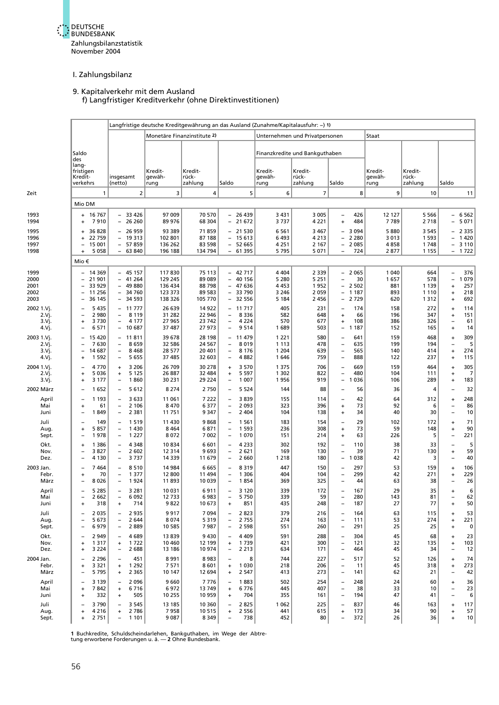

#### 9. Kapitalverkehr mit dem Ausland f) Langfristiger Kreditverkehr (ohne Direktinvestitionen)

|                                               |                                                                                                                                                                       |                                                                                                                                                              | Langfristige deutsche Kreditgewährung an das Ausland (Zunahme/Kapitalausfuhr: -) 1) |                                                  |                                                                                                                                                                   |                                       |                                          |                                                                                                                                                                                                   |                                 |                                       |                                                                                                               |
|-----------------------------------------------|-----------------------------------------------------------------------------------------------------------------------------------------------------------------------|--------------------------------------------------------------------------------------------------------------------------------------------------------------|-------------------------------------------------------------------------------------|--------------------------------------------------|-------------------------------------------------------------------------------------------------------------------------------------------------------------------|---------------------------------------|------------------------------------------|---------------------------------------------------------------------------------------------------------------------------------------------------------------------------------------------------|---------------------------------|---------------------------------------|---------------------------------------------------------------------------------------------------------------|
|                                               |                                                                                                                                                                       |                                                                                                                                                              |                                                                                     | Monetäre Finanzinstitute 2)                      |                                                                                                                                                                   |                                       | Unternehmen und Privatpersonen           |                                                                                                                                                                                                   | Staat                           |                                       |                                                                                                               |
|                                               | Saldo<br>des                                                                                                                                                          |                                                                                                                                                              |                                                                                     |                                                  |                                                                                                                                                                   |                                       | Finanzkredite und Bankguthaben           |                                                                                                                                                                                                   |                                 |                                       |                                                                                                               |
|                                               | lang-<br>fristigen<br>Kredit-<br>verkehrs                                                                                                                             | insgesamt<br>(netto)                                                                                                                                         | Kredit-<br>gewäh-<br>rung                                                           | Kredit-<br>rück-<br>zahlung                      | Saldo                                                                                                                                                             | Kredit-<br>gewäh-<br>rung             | Kredit-<br>rück-<br>zahlung              | Saldo                                                                                                                                                                                             | Kredit-<br>gewäh-<br>rung       | Kredit-<br>rück-<br>zahlung           | Saldo                                                                                                         |
| Zeit                                          | $\mathbf{1}$                                                                                                                                                          | $\overline{2}$                                                                                                                                               | 3                                                                                   | $\overline{4}$                                   | 5                                                                                                                                                                 | 6                                     | $\overline{7}$                           | 8                                                                                                                                                                                                 | 9                               | 10                                    | 11                                                                                                            |
|                                               | Mio DM                                                                                                                                                                |                                                                                                                                                              |                                                                                     |                                                  |                                                                                                                                                                   |                                       |                                          |                                                                                                                                                                                                   |                                 |                                       |                                                                                                               |
| 1993<br>1994                                  | 16 767<br>$\ddot{}$<br>7910<br>$\ddot{}$                                                                                                                              | 33 4 26<br>$\overline{\phantom{0}}$<br>26 260<br>$\overline{\phantom{0}}$                                                                                    | 97 009<br>89 976                                                                    | 70 570<br>68 304                                 | 26 439<br>$\qquad \qquad -$<br>21 672<br>$\overline{\phantom{a}}$                                                                                                 | 3 4 3 1<br>3737                       | 3 0 0 5<br>4 2 2 1                       | 426<br>$\overline{\phantom{a}}$<br>484<br>$\ddot{}$                                                                                                                                               | 12 127<br>7789                  | 5 5 6 6<br>2 7 1 8                    | 6 5 6 2<br>$\overline{\phantom{0}}$<br>5 0 7 1<br>$\qquad \qquad -$                                           |
| 1995<br>1996<br>1997<br>1998                  | 36828<br>$\ddot{}$<br>22 7 5 9<br>$\ddot{}$<br>15 001<br>$\qquad \qquad -$<br>5 0 5 8<br>$+$                                                                          | 26 959<br>$\overline{\phantom{0}}$<br>19 3 13<br>$\overline{\phantom{a}}$<br>57 859<br>$-$<br>$-63840$                                                       | 93 389<br>102 801<br>136 262<br>196 188                                             | 71859<br>87 188<br>83 598<br>134 794             | 21 530<br>15 613<br>$\overline{\phantom{a}}$<br>52 665<br>$\overline{\phantom{a}}$<br>$-61395$                                                                    | 6 5 6 1<br>6493<br>4 2 5 1<br>5795    | 3 4 6 7<br>4 2 1 3<br>2 1 6 7<br>5 0 7 1 | 3 0 9 4<br>$\overline{\phantom{a}}$<br>2 2 8 0<br>$\overline{\phantom{a}}$<br>2 0 8 5<br>$\overline{\phantom{a}}$<br>724<br>$\overline{\phantom{a}}$                                              | 5880<br>3 0 1 3<br>4858<br>2877 | 3 5 4 5<br>1 5 9 3<br>1748<br>1 1 5 5 | 2 3 3 5<br>1420<br>$\overline{\phantom{0}}$<br>3 1 1 0<br>$-1722$                                             |
|                                               | Mio €                                                                                                                                                                 |                                                                                                                                                              |                                                                                     |                                                  |                                                                                                                                                                   |                                       |                                          |                                                                                                                                                                                                   |                                 |                                       |                                                                                                               |
| 1999<br>2000<br>2001<br>2002                  | 14 3 69<br>$\qquad \qquad -$<br>21 901<br>33 929<br>11 256<br>$\overline{\phantom{a}}$                                                                                | $-45157$<br>41 264<br>$\overline{\phantom{0}}$<br>49 880<br>$\overline{\phantom{0}}$<br>34 760<br>$\overline{\phantom{a}}$                                   | 117830<br>129 245<br>136 434<br>123 373                                             | 75 113<br>89 089<br>88798<br>89 583              | $-42717$<br>40 156<br>$\qquad \qquad -$<br>47 636<br>$\qquad \qquad -$<br>$-33790$                                                                                | 4 4 0 4<br>5 2 8 0<br>4453<br>3 2 4 6 | 2 3 3 9<br>5 2 5 1<br>1952<br>2 0 5 9    | $-2065$<br>30<br>$\overline{\phantom{a}}$<br>2 5 0 2<br>$\overline{\phantom{a}}$<br>1 1 8 7<br>$\overline{\phantom{a}}$                                                                           | 1 0 4 0<br>1657<br>881<br>893   | 664<br>578<br>1 1 3 9<br>1 1 1 0      | 376<br>1079<br>257<br>$\ddot{}$<br>218<br>$\ddot{}$                                                           |
| 2003<br>2002 1.Vi.<br>2.Vj.<br>3.Vj.<br>4.Vj. | 36 145<br>$\overline{\phantom{0}}$<br>5 4 3 5<br>$\overline{\phantom{a}}$<br>2 9 8 0<br>$\qquad \qquad -$<br>3730<br>$\ddot{}$<br>6 5 7 1<br>$\overline{\phantom{0}}$ | 34 5 93<br>$\overline{\phantom{0}}$<br>$-11777$<br>8 1 1 9<br>$\qquad \qquad -$<br>4 1 7 7<br>$\overline{\phantom{0}}$<br>10 687<br>$\overline{\phantom{0}}$ | 138 326<br>26 639<br>31 282<br>27 965<br>37 487                                     | 105 770<br>14 9 22<br>22 946<br>23 742<br>27 973 | 32 556<br>$\overline{\phantom{0}}$<br>11 717<br>$\overline{\phantom{a}}$<br>8 3 3 6<br>4 2 2 4<br>$\overline{\phantom{0}}$<br>9 5 1 4<br>$\overline{\phantom{0}}$ | 5 1 8 4<br>405<br>582<br>570<br>1689  | 2 4 5 6<br>231<br>648<br>677<br>503      | 2729<br>$\overline{\phantom{a}}$<br>174<br>$\overline{\phantom{0}}$<br>66<br>$\begin{array}{c} + \end{array}$<br>108<br>$\begin{array}{c} + \end{array}$<br>187<br>-1<br>$\overline{\phantom{a}}$ | 620<br>158<br>196<br>386<br>152 | 1 3 1 2<br>272<br>347<br>326<br>165   | 692<br>$\ddot{}$<br>114<br>$\ddot{}$<br>151<br>$\ddot{}$<br>61<br>$\overline{\phantom{0}}$<br>14<br>$\ddot{}$ |
| 2003 1.Vj.<br>$2.V$ j.<br>3.Vj.<br>4.Vj.      | 15 4 20<br>$\overline{\phantom{a}}$<br>7630<br>$\overline{\phantom{a}}$<br>14 687<br>$\qquad \qquad -$<br>1 5 9 2<br>$\ddot{}$                                        | 11 811<br>$-$<br>8659<br>$\overline{\phantom{a}}$<br>8468<br>$\qquad \qquad -$<br>5 6 5 5<br>$\qquad \qquad -$                                               | 39 678<br>32 586<br>28 577<br>37 485                                                | 28 198<br>24 5 67<br>20 401<br>32 603            | 11 479<br>$\overline{\phantom{a}}$<br>8 0 1 9<br>8 1 7 6<br>4882<br>$\overline{\phantom{0}}$                                                                      | 1 2 2 1<br>1 1 1 3<br>1 2 0 4<br>1646 | 580<br>478<br>639<br>759                 | 641<br>$\overline{\phantom{a}}$<br>635<br>$\overline{\phantom{a}}$<br>565<br>$\overline{\phantom{0}}$<br>888<br>$\overline{\phantom{0}}$                                                          | 159<br>199<br>140<br>122        | 468<br>194<br>414<br>237              | 309<br>$\ddot{}$<br>5<br>$\overline{\phantom{0}}$<br>274<br>$\ddot{}$<br>115<br>$\ddot{}$                     |
| 2004 1.Vj.<br>2.Vj.<br>3.Vj.<br>2002 März     | 4770<br>$\qquad \qquad -$<br>5 0 3 6<br>$\ddot{}$<br>3 1 7 7<br>$\ddot{}$<br>1652<br>۰                                                                                | 3 2 0 6<br>$\ddot{}$<br>5 1 2 5<br>$\ddot{}$<br>1860<br>$\overline{\phantom{a}}$<br>5612<br>$\overline{\phantom{0}}$                                         | 26 709<br>26 887<br>30 231<br>8 2 7 4                                               | 30 278<br>32 484<br>29 224<br>2750               | 3 5 7 0<br>$\ddot{}$<br>5 5 9 7<br>$\ddot{}$<br>1 0 0 7<br>$\overline{\phantom{0}}$<br>5 5 2 4                                                                    | 1 3 7 5<br>1 3 0 2<br>1956<br>144     | 706<br>822<br>919<br>88                  | 669<br>$\overline{a}$<br>480<br>$\overline{\phantom{0}}$<br>036<br>$\overline{\phantom{a}}$<br>1<br>56<br>$\overline{\phantom{a}}$                                                                | 159<br>104<br>106<br>36         | 464<br>111<br>289<br>4                | 305<br>$\ddot{}$<br>7<br>$\ddot{}$<br>183<br>$\ddot{}$<br>32<br>$\overline{\phantom{0}}$                      |
| April<br>Mai<br>Juni                          | 1 1 9 3<br>$\overline{\phantom{0}}$<br>61<br>$\ddot{}$<br>1849                                                                                                        | 3 6 3 3<br>$\overline{\phantom{0}}$<br>2 10 6<br>$\overline{\phantom{0}}$<br>2 3 8 1                                                                         | 11 061<br>8470<br>11 751                                                            | 7 2 2 2<br>6 3 7 7<br>9 3 4 7                    | 3839<br>2 0 9 3<br>$\overline{\phantom{0}}$<br>2 4 0 4                                                                                                            | 155<br>323<br>104                     | 114<br>396<br>138                        | 42<br>$\overline{\phantom{0}}$<br>73<br>$\ddot{}$<br>34<br>$\begin{array}{c} + \end{array}$                                                                                                       | 64<br>92<br>40                  | 312<br>6<br>30                        | 248<br>$\ddot{}$<br>86<br>$\overline{\phantom{0}}$<br>10<br>$\overline{\phantom{0}}$                          |
| Juli<br>Aug.<br>Sept.                         | 149<br>$\overline{\phantom{0}}$<br>5857<br>$\ddot{}$<br>1978<br>$\overline{\phantom{0}}$                                                                              | 1 5 1 9<br>1 4 3 0<br>$\overline{\phantom{a}}$<br>1 2 2 7<br>$\overline{\phantom{a}}$                                                                        | 11 4 30<br>8 4 6 4<br>8072                                                          | 9868<br>6871<br>7 0 0 2                          | 1 5 6 1<br>1 5 9 3<br>$\overline{\phantom{0}}$<br>1 0 7 0<br>$\overline{\phantom{0}}$                                                                             | 183<br>236<br>151                     | 154<br>308<br>214                        | 29<br>$\overline{\phantom{0}}$<br>73<br>$\begin{array}{c} + \end{array}$<br>63<br>$\begin{array}{c} + \end{array}$                                                                                | 102<br>59<br>226                | 172<br>148<br>5                       | 71<br>$\ddot{}$<br>90<br>$\ddot{}$<br>221<br>$\qquad \qquad -$                                                |
| Okt.<br>Nov.<br>Dez.                          | 1 3 8 6<br>$\ddot{}$<br>3827<br>$\overline{\phantom{0}}$<br>4 1 3 0<br>$\overline{\phantom{0}}$                                                                       | 4 3 4 8<br>$\qquad \qquad -$<br>2 6 0 2<br>$\qquad \qquad -$<br>3737<br>$\qquad \qquad -$                                                                    | 10834<br>12 3 14<br>14 3 3 9                                                        | 6 601<br>9693<br>11 679                          | 4 2 3 3<br>2 6 2 1<br>2 6 6 0                                                                                                                                     | 302<br>169<br>1 2 1 8                 | 192<br>130<br>180                        | 110<br>$\overline{\phantom{0}}$<br>39<br>$\overline{\phantom{0}}$<br>038<br>$\overline{\phantom{a}}$<br>1                                                                                         | 38<br>71<br>42                  | 33<br>130<br>3                        | 5<br>59<br>$\ddot{}$<br>40<br>$\overline{\phantom{0}}$                                                        |
| 2003 Jan.<br>Febr.<br>März                    | 7464<br>$\qquad \qquad -$<br>70<br>$\ddot{}$<br>8026<br>$\qquad \qquad -$                                                                                             | 8 5 1 0<br>$\overline{\phantom{a}}$<br>1 3 7 7<br>1924<br>$\overline{\phantom{0}}$                                                                           | 14 984<br>12 800<br>11893                                                           | 6 6 6 5<br>11 494<br>10 0 39                     | 8 3 1 9<br>1 3 0 6<br>1854                                                                                                                                        | 447<br>404<br>369                     | 150<br>104<br>325                        | 297<br>$\overline{\phantom{a}}$<br>299<br>$\overline{\phantom{0}}$<br>44<br>$\overline{\phantom{0}}$                                                                                              | 53<br>42<br>63                  | 159<br>271<br>38                      | 106<br>$\ddot{}$<br>229<br>$\ddot{}$<br>26                                                                    |
| April<br>Mai<br>Juni                          | 5 2 8 5<br>2 662<br>318<br>$\ddot{}$                                                                                                                                  | 3 2 8 1<br>6 0 9 2<br>714<br>$\begin{array}{c} + \end{array}$                                                                                                | 10 031<br>12 733<br>9822                                                            | 6911<br>6983<br>10 673                           | 3 1 2 0<br>5 7 5 0<br>-<br>851<br>$\ddot{}$                                                                                                                       | 339<br>339<br>435                     | 172<br>59<br>248                         | 167<br>$\overline{\phantom{0}}$<br>280<br>$\overline{\phantom{0}}$<br>187<br>$\overline{\phantom{a}}$                                                                                             | 29<br>143<br>27                 | 35<br>81<br>77                        | 6<br>$\ddot{}$<br>62<br>50<br>$\ddot{}$                                                                       |
| Juli<br>Aug.<br>Sept.                         | 2 0 3 5<br>$\overline{\phantom{a}}$<br>5673<br>$\qquad \qquad -$<br>6979<br>$\overline{\phantom{0}}$                                                                  | 2 9 3 5<br>$\qquad \qquad -$<br>2 6 4 4<br>$\overline{\phantom{a}}$<br>2889<br>$\overline{\phantom{0}}$                                                      | 9917<br>8 0 7 4<br>10 585                                                           | 7 0 9 4<br>5 3 1 9<br>7987                       | 2 8 2 3<br>2 7 5 5<br>$\qquad \qquad -$<br>2 5 9 8<br>$\qquad \qquad -$                                                                                           | 379<br>274<br>551                     | 216<br>163<br>260                        | 164<br>$\overline{\phantom{a}}$<br>111<br>$\overline{\phantom{a}}$<br>291<br>$\overline{\phantom{a}}$                                                                                             | 63<br>53<br>25                  | 115<br>274<br>25                      | 53<br>$\ddot{}$<br>221<br>$\ddot{}$<br>$\pmb{0}$<br>$\ddot{}$                                                 |
| Okt.<br>Nov.<br>Dez.                          | 2949<br>$\overline{\phantom{a}}$<br>1317<br>$\ddot{}$<br>3 2 2 4<br>$\ddot{}$                                                                                         | 4689<br>$\qquad \qquad -$<br>1722<br>$\ddot{}$<br>2688<br>$\overline{\phantom{a}}$                                                                           | 13839<br>10 460<br>13 186                                                           | 9430<br>12 199<br>10 974                         | 4 4 0 9<br>$\overline{\phantom{0}}$<br>1739<br>$\begin{array}{c} + \end{array}$<br>2 2 1 3<br>$\overline{\phantom{a}}$                                            | 591<br>421<br>634                     | 288<br>300<br>171                        | 304<br>$\overline{\phantom{a}}$<br>$\qquad \qquad -$<br>121<br>464<br>$\overline{\phantom{a}}$                                                                                                    | 45<br>32<br>45                  | 68<br>135<br>34                       | 23<br>$\ddot{}$<br>103<br>$\ddot{}$<br>12<br>$\overline{\phantom{0}}$                                         |
| 2004 Jan.<br>Febr.<br>März                    | 2 2 9 6<br>$\overline{\phantom{a}}$<br>3 3 2 1<br>$\ddot{}$<br>5795<br>$\overline{\phantom{a}}$                                                                       | 451<br>$\overline{\phantom{a}}$<br>1 2 9 2<br>$\ddot{}$<br>2 3 6 5<br>$\begin{array}{c} + \end{array}$                                                       | 8991<br>7571<br>10 147                                                              | 8983<br>8601<br>12 694                           | 8<br>$\overline{\phantom{a}}$<br>1 0 3 0<br>$\ddot{}$<br>2 5 4 7<br>$\ddot{}$                                                                                     | 744<br>218<br>413                     | 227<br>206<br>273                        | 517<br>$\overline{\phantom{a}}$<br>$\overline{\phantom{a}}$<br>11<br>141<br>$\overline{\phantom{a}}$                                                                                              | 52<br>45<br>62                  | 126<br>318<br>21                      | 74<br>$\ddot{}$<br>273<br>$\ddot{}$<br>42<br>$\overline{\phantom{0}}$                                         |
| April<br>Mai<br>Juni                          | 3 1 3 9<br>$\overline{\phantom{0}}$<br>7842<br>$\begin{array}{c} + \end{array}$<br>332<br>$\begin{array}{c} + \end{array}$                                            | 2 0 9 6<br>$\qquad \qquad -$<br>6716<br>$\begin{array}{c} + \end{array}$<br>505<br>$\ddot{}$                                                                 | 9660<br>6972<br>10 255                                                              | 7776<br>13749<br>10 959                          | 1883<br>$\overline{\phantom{0}}$<br>6776<br>$\begin{array}{c} + \end{array}$<br>704<br>$\begin{array}{c} + \end{array}$                                           | 502<br>445<br>355                     | 254<br>407<br>161                        | 248<br>$\overline{\phantom{a}}$<br>$\overline{\phantom{a}}$<br>38<br>$\overline{\phantom{a}}$<br>194                                                                                              | 24<br>33<br>47                  | 60<br>10<br>41                        | 36<br>$\ddot{}$<br>23<br>$\overline{\phantom{0}}$<br>6<br>$\overline{\phantom{a}}$                            |
| Juli<br>Aug.<br>Sept.                         | 3790<br>$\overline{\phantom{a}}$<br>4 2 1 6<br>$\ddot{}$<br>2751<br>$\ddot{}$                                                                                         | 3 5 4 5<br>$\overline{\phantom{a}}$<br>2786<br>$\ddot{}$<br>1 1 0 1<br>$\qquad \qquad -$                                                                     | 13 185<br>7958<br>9 0 8 7                                                           | 10 360<br>10515<br>8 3 4 9                       | 2825<br>2 5 5 6<br>$\begin{array}{c} + \end{array}$<br>738                                                                                                        | 1 0 6 2<br>441<br>452                 | 225<br>615<br>80                         | 837<br>$\overline{\phantom{a}}$<br>173<br>$\bf{+}$<br>372<br>$\overline{\phantom{a}}$                                                                                                             | 46<br>34<br>26                  | 163<br>90<br>36                       | 117<br>$\ddot{}$<br>57<br>$\ddot{}$<br>10<br>$\ddot{}$                                                        |

**1** Buchkredite, Schuldscheindarlehen, Bankguthaben, im Wege der Abtre-tung erworbene Forderungen u. ä. — **2** Ohne Bundesbank.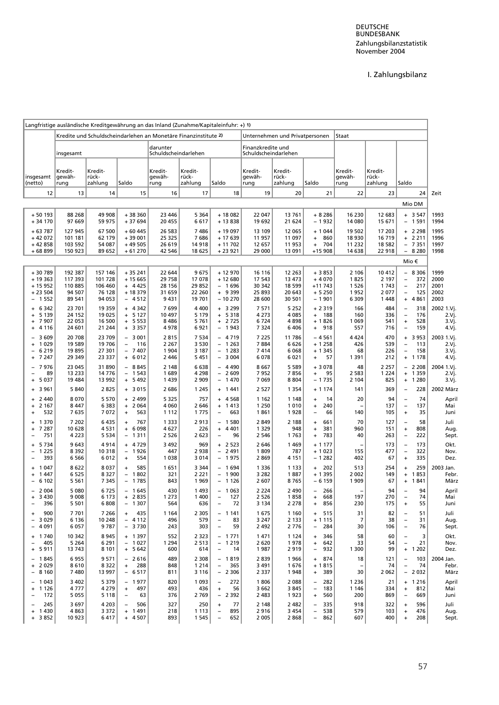#### DEUTSCHE BUNDESBANK Zahlungsbilanzstatistik November 2004

### I. Zahlungsbilanz

|                                                                                                                                         | Langfristige ausländische Kreditgewährung an das Inland (Zunahme/Kapitaleinfuhr: +) 1) |                                                   |                                                                                                         |                                                                 |                                             |                                                                                                   |                                                |                                                 |                                                                                         |                                             |                                         |                                                                                                                               |                                          |
|-----------------------------------------------------------------------------------------------------------------------------------------|----------------------------------------------------------------------------------------|---------------------------------------------------|---------------------------------------------------------------------------------------------------------|-----------------------------------------------------------------|---------------------------------------------|---------------------------------------------------------------------------------------------------|------------------------------------------------|-------------------------------------------------|-----------------------------------------------------------------------------------------|---------------------------------------------|-----------------------------------------|-------------------------------------------------------------------------------------------------------------------------------|------------------------------------------|
|                                                                                                                                         |                                                                                        |                                                   |                                                                                                         | Kredite und Schuldscheindarlehen an Monetäre Finanzinstitute 2) |                                             |                                                                                                   |                                                | Unternehmen und Privatpersonen                  |                                                                                         | Staat                                       |                                         |                                                                                                                               |                                          |
|                                                                                                                                         | insgesamt                                                                              |                                                   |                                                                                                         | darunter<br>Schuldscheindarlehen                                |                                             |                                                                                                   | Finanzkredite und<br>Schuldscheindarlehen      |                                                 |                                                                                         |                                             |                                         |                                                                                                                               |                                          |
| insgesamt<br>(netto)                                                                                                                    | Kredit-<br>gewäh-<br>rung                                                              | Kredit-<br>rück-<br>zahlung                       | Saldo                                                                                                   | Kredit-<br>gewäh-<br>rung                                       | Kredit-<br>rück-<br>zahlung                 | Saldo                                                                                             | Kredit-<br>gewäh-<br>rung                      | Kredit-<br>rück-<br>zahlung                     | Saldo                                                                                   | Kredit-<br>qewäh-<br>rung                   | Kredit-<br>rück-<br>zahlung             | Saldo                                                                                                                         |                                          |
| 12                                                                                                                                      | 13                                                                                     | 14                                                | 15                                                                                                      | 16                                                              | 17                                          | 18                                                                                                | 19                                             | 20                                              | 21                                                                                      | 22                                          | 23                                      | 24                                                                                                                            | Zeit                                     |
| $+50193$                                                                                                                                | 88 268                                                                                 | 49 908                                            | +38 360                                                                                                 | 23 4 46                                                         | 5 3 6 4                                     | $+18082$                                                                                          | 22 047                                         | 13761                                           | + 8 2 8 6                                                                               | 16 230                                      | 12 683                                  | Mio DM<br>$+ 3547$                                                                                                            | 1993                                     |
| + 34 170<br>$+63787$<br>$+42072$                                                                                                        | 97 669<br>127 945<br>101 181                                                           | 59 975<br>67 500<br>62 179                        | + 37 694<br>$+60445$<br>$+39001$                                                                        | 20 455<br>26 583<br>25 3 25                                     | 6617<br>7486<br>7686                        | + 13 838<br>+ 19 097<br>+ 17 639                                                                  | 19 692<br>13 109<br>11 957                     | 21 624<br>12 065<br>11 097                      | $-1932$<br>$+ 1044$<br>860<br>$\ddot{}$                                                 | 14 080<br>19 502<br>18 9 30                 | 15 671<br>17 203<br>16 719              | $-1591$<br>$+ 2298$<br>$+ 2211$                                                                                               | 1994<br>1995<br>1996                     |
| $+42858$<br>$+68899$                                                                                                                    | 103 592<br>150 923                                                                     | 54 087<br>89 652                                  | $+49505$<br>$+61270$                                                                                    | 26 619<br>42 546                                                | 14918<br>18 625                             | $+11702$<br>+23921                                                                                | 12 657<br>29 000                               | 11953<br>13 091                                 | 704<br>$+$<br>+15 908                                                                   | 11 2 3 2<br>14 638                          | 18 5 82<br>22 918                       | $-7351$<br>$-8280$                                                                                                            | 1997<br>1998                             |
|                                                                                                                                         |                                                                                        |                                                   |                                                                                                         |                                                                 |                                             |                                                                                                   |                                                |                                                 |                                                                                         |                                             |                                         | Mio €                                                                                                                         |                                          |
| +30789<br>+ 19 363<br>+ 15 952<br>$+23504$<br>$-1552$                                                                                   | 192 387<br>117 393<br>110885<br>94 507<br>89 541                                       | 157 146<br>101 728<br>106 460<br>76 128<br>94 053 | $+35241$<br>+ 15 665<br>$+ 4425$<br>+18379<br>$-4512$                                                   | 22 644<br>29 7 58<br>28 156<br>31 659<br>9431                   | 9675<br>17 078<br>29852<br>22 260<br>19 701 | + 12 970<br>$+12680$<br>$-1696$<br>$+ 9399$<br>$-10270$                                           | 16 116<br>17 543<br>30 342<br>25 893<br>28 600 | 12 2 63<br>13 473<br>18 599<br>20 643<br>30 501 | + 3 853<br>$+4070$<br>$+11743$<br>$+5250$<br>$-1901$                                    | 2 106<br>1825<br>1 5 2 6<br>1952<br>6 3 0 9 | 10 412<br>2 197<br>1743<br>2077<br>1448 | $-8306$<br>372<br>$\equiv$<br>217<br>$\overline{\phantom{a}}$<br>125<br>4 8 6 1<br>$\ddot{}$                                  | 1999<br>2000<br>2001<br>2002<br>2003     |
| 6 3 4 2<br>$\ddot{}$<br>5 1 3 9<br>$\begin{array}{c} + \end{array}$<br>7907<br>$\ddot{}$<br>4 1 1 6<br>$\begin{array}{c} + \end{array}$ | 23 701<br>24 152<br>22 053<br>24 601                                                   | 19 359<br>19 0 25<br>16 500<br>21 244             | $+ 4342$<br>$+ 5127$<br>$+ 5553$<br>$+ 3357$                                                            | 7699<br>10 497<br>8 4 8 6<br>4978                               | 4 4 0 0<br>5 1 7 9<br>5761<br>6921          | $+ 3299$<br>$+ 5318$<br>$+ 2725$<br>1943<br>$\overline{\phantom{a}}$                              | 7571<br>4 2 7 3<br>6724<br>7 3 2 4             | 5 2 5 2<br>4 0 8 5<br>4898<br>6406              | $+2319$<br>$+ 188$<br>+ 1 826<br>918<br>$+$                                             | 166<br>160<br>1 0 6 9<br>557                | 484<br>336<br>541<br>716                | 318<br>$\overline{\phantom{0}}$<br>176<br>$\overline{\phantom{a}}$<br>$\ddot{}$<br>528<br>159<br>$\overline{\phantom{0}}$     | 2002 1.Vj.<br>$2.Vi$ .<br>3.Vj.<br>4.Vj. |
| 3 609<br>1 0 2 9<br>$\ddot{}$<br>6 2 1 9<br>$\overline{\phantom{a}}$<br>7 247<br>$+$                                                    | 20 708<br>19 589<br>19895<br>29 349                                                    | 23 709<br>19 706<br>27 301<br>23 337              | 3 0 0 1<br>$\qquad \qquad -$<br>116<br>$\overline{\phantom{a}}$<br>$-7407$<br>$+ 6012$                  | 2815<br>2 2 6 7<br>1 9 0 4<br>2 4 4 6                           | 7 5 3 4<br>3 5 3 0<br>3 1 8 7<br>5451       | $-4719$<br>$-1263$<br>$-1283$<br>3 0 0 4<br>$\overline{\phantom{0}}$                              | 7 2 2 5<br>7884<br>7414<br>6078                | 11786<br>6626<br>6068<br>6 0 2 1                | - 4 561<br>$+1258$<br>$+ 1345$<br>57<br>$\ddot{}$                                       | 4424<br>426<br>68<br>1 3 9 1                | 470<br>539<br>226<br>212                | 3 9 5 3<br>$+$<br>113<br>$\overline{\phantom{0}}$<br>$\overline{\phantom{0}}$<br>158<br>1 1 7 8<br>$+$                        | 2003 1.Vj.<br>2.Vj.<br>3.Vj.<br>4.Vj.    |
| 7976<br>89<br>5 0 3 7<br>$+$                                                                                                            | 23 045<br>13 2 3 3<br>19 4 84                                                          | 31890<br>14776<br>13 992                          | 8845<br>$-$<br>1 5 4 3<br>$\overline{\phantom{a}}$<br>$+ 5492$                                          | 2 1 4 8<br>1689<br>1439                                         | 6638<br>4 2 9 8<br>2 9 0 9                  | $-4490$<br>2 609<br>$\overline{\phantom{0}}$<br>$-1470$                                           | 8667<br>7952<br>7 0 6 9                        | 5 5 8 9<br>7856<br>8804                         | $+3078$<br>95<br>$\ddot{}$<br>$-1735$                                                   | 48<br>2 5 8 3<br>2 1 0 4                    | 2 2 5 7<br>1 2 2 4<br>825               | 2 2 0 8<br>$\overline{\phantom{0}}$<br>1 3 5 9<br>$+$<br>$+ 1280$                                                             | 2004 1.Vj.<br>2.Vj.<br>3.Vj.             |
| 3 9 6 1<br>$\ddot{}$<br>2 4 4 0<br>$\ddot{}$                                                                                            | 5 8 4 0<br>8 0 7 0                                                                     | 2825<br>5 5 7 0                                   | $+3015$<br>2 4 9 9<br>$+$                                                                               | 2686<br>5 3 2 5                                                 | 1 2 4 5<br>757                              | $+ 1441$<br>$+ 4568$                                                                              | 2 5 2 7<br>1 1 6 2                             | 1 3 5 4<br>1 1 4 8                              | $+ 1174$<br>14<br>$\ddot{}$                                                             | 141<br>20                                   | 369<br>94                               | 228<br>74<br>$\overline{\phantom{0}}$                                                                                         | 2002 März<br>April                       |
| 2 1 6 7<br>$\begin{array}{c} + \end{array}$<br>532<br>$\begin{array}{c} + \end{array}$                                                  | 8 4 4 7<br>7635                                                                        | 6 3 8 3<br>7072                                   | 2 0 6 4<br>$+$<br>563<br>$\ddot{}$                                                                      | 4 0 6 0<br>1 1 1 2                                              | 2646<br>1775                                | 1413<br>$+$<br>663<br>$\qquad \qquad -$                                                           | 1 2 5 0<br>1861                                | 1010<br>1928                                    | 240<br>$\ddot{}$<br>66<br>$\overline{\phantom{0}}$                                      | 140                                         | 137<br>105                              | 137<br>$\overline{\phantom{0}}$<br>35<br>$\ddot{}$                                                                            | Mai<br>Juni                              |
| 1 3 7 0<br>$\begin{array}{c} + \end{array}$<br>7 2 8 7<br>$\begin{array}{c} + \end{array}$<br>751                                       | 7 202<br>10 628<br>4 2 2 3                                                             | 6435<br>4531<br>5 5 3 4                           | 767<br>$\ddot{}$<br>6098<br>$\ddot{}$<br>1 3 1 1<br>$\overline{\phantom{a}}$                            | 1 3 3 3<br>4627<br>2 5 2 6                                      | 2913<br>226<br>2 6 2 3                      | 1 5 8 0<br>$\overline{\phantom{0}}$<br>4 4 0 1<br>$\ddot{}$<br>96<br>$\qquad \qquad -$            | 2849<br>1 3 2 9<br>2 5 4 6                     | 2 188<br>948<br>1763                            | 661<br>$\ddot{}$<br>381<br>$\ddot{}$<br>783<br>$\ddot{}$                                | 70<br>960<br>40                             | 127<br>151<br>263                       | 58<br>$\overline{\phantom{0}}$<br>808<br>$\ddot{}$<br>222<br>$\qquad \qquad -$                                                | Juli<br>Aug.<br>Sept.                    |
| 5 7 3 4<br>$\ddot{}$<br>1 2 2 5<br>393                                                                                                  | 9643<br>8 3 9 2<br>6 5 6 6                                                             | 4914<br>10 318<br>6012                            | $+ 4729$<br>$-1926$<br>554<br>$\ddot{}$                                                                 | 3 4 9 2<br>447<br>1038                                          | 969<br>2938<br>3014                         | $+ 2523$<br>2 4 9 1<br>$\qquad \qquad -$<br>1975<br>$-$                                           | 2 6 4 6<br>1809<br>2869                        | 1 4 6 9<br>787<br>4 1 5 1                       | $+ 1177$<br>$+ 1023$<br>$-1282$                                                         | 155<br>402                                  | 173<br>477<br>67                        | 173<br>$\overline{\phantom{0}}$<br>322<br>$\overline{\phantom{a}}$<br>335<br>$\ddot{}$                                        | Okt.<br>Nov.<br>Dez.                     |
| 1 0 4 7<br>$\begin{array}{c} + \end{array}$<br>1447<br>$\begin{array}{c} + \end{array}$<br>6 102                                        | 8622<br>6 5 2 5<br>5 5 6 1                                                             | 8 0 3 7<br>8 3 2 7<br>7 3 4 5                     | 585<br>$\ddot{}$<br>1802<br>$\qquad \qquad -$<br>1785<br>$\overline{\phantom{0}}$                       | 1651<br>321<br>843                                              | 3 3 4 4<br>2 2 2 1<br>1969                  | $-1694$<br>1 900<br>$\qquad \qquad -$<br>$-1126$                                                  | 1 3 3 6<br>3 2 8 2<br>2 607                    | 1 1 3 3<br>1887<br>8765                         | 202<br>$+$<br>$+1395$<br>- 6 159                                                        | 513<br>2 0 0 2<br>1 9 0 9                   | 254<br>149<br>67                        | 259<br>$\ddot{}$<br>1853<br>$\ddot{}$<br>1841<br>$\ddot{}$                                                                    | 2003 Jan.<br>Febr.<br>März               |
| 2 0 0 4<br>3 4 3 0<br>$\begin{array}{c} + \end{array}$<br>396                                                                           | 5 0 8 0<br>9 0 0 8<br>5 5 0 1                                                          | 6725<br>6 1 7 3<br>6808                           | $-1645$<br>2835<br>$\ddot{}$<br>1 3 0 7<br>$\overline{\phantom{a}}$                                     | 430<br>1 2 7 3<br>564                                           | 1 4 9 3<br>1 4 0 0<br>636                   | $-1063$<br>127<br>72                                                                              | 2 2 2 4<br>2 5 2 6<br>3 1 3 4                  | 2 4 9 0<br>1858<br>2 2 7 8                      | 266<br>-<br>668<br>$\pmb{+}$<br>856<br>$\ddot{}$                                        | 197<br>230                                  | 94<br>270<br>175                        | 94<br>74<br>55<br>$\ddot{}$                                                                                                   | April<br>Mai<br>Juni                     |
| 900<br>$\ddot{}$<br>3 0 2 9<br>$\overline{\phantom{a}}$<br>4 0 9 1<br>$\overline{\phantom{0}}$                                          | 7701<br>6 1 3 6<br>6 0 5 7                                                             | 7 2 6 6<br>10 248<br>9787                         | 435<br>$\ddot{}$<br>4 1 1 2<br>$\overline{\phantom{a}}$<br>3730<br>$\overline{\phantom{0}}$             | 1 1 6 4<br>496<br>243                                           | 2 3 0 5<br>579<br>303                       | 141<br>1<br>$\qquad \qquad -$<br>83<br>$\overline{\phantom{a}}$<br>59<br>$\overline{\phantom{0}}$ | 1675<br>3 2 4 7<br>2 4 9 2                     | 1 1 6 0<br>2 1 3 3<br>2776                      | 515<br>$\ddot{}$<br>$+1115$<br>284<br>$\overline{\phantom{a}}$                          | 31<br>7<br>30                               | 82<br>38<br>106                         | 51<br>31<br>$\overline{\phantom{0}}$<br>76<br>$\qquad \qquad -$                                                               | Juli<br>Aug.<br>Sept.                    |
| 1740<br>$\ddot{}$<br>405<br>5911<br>$\begin{array}{c} + \end{array}$                                                                    | 10 342<br>5 2 6 4<br>13 743                                                            | 8945<br>6 2 9 1<br>8 1 0 1                        | $+ 1397$<br>1 0 2 7<br>$\qquad \qquad -$<br>5 6 4 2<br>$\begin{array}{c} + \end{array}$                 | 552<br>1 2 9 4<br>600                                           | 2 3 2 3<br>2 5 1 3<br>614                   | $-1771$<br>1 2 1 9<br>$\overline{\phantom{0}}$<br>$\overline{\phantom{0}}$<br>14                  | 1 4 7 1<br>2 6 2 0<br>1987                     | 1 1 2 4<br>1978<br>2919                         | 346<br>$\ddot{}$<br>642<br>$\ddot{}$<br>932<br>$\overline{\phantom{a}}$                 | 58<br>33<br>1 300                           | 60<br>54<br>99                          | 3<br>$\overline{\phantom{a}}$<br>21<br>$\overline{\phantom{a}}$<br>$+ 1202$                                                   | Okt.<br>Nov.<br>Dez.                     |
| 1845<br>$\overline{\phantom{a}}$<br>2029<br>$\ddot{}$<br>8 1 6 0                                                                        | 6955<br>8610<br>7480                                                                   | 9571<br>8 3 2 2<br>13 997                         | 2 6 1 6<br>$\qquad \qquad -$<br>288<br>$\begin{array}{c} + \end{array}$<br>6 5 1 7<br>$\qquad \qquad -$ | 489<br>848<br>811                                               | 2 3 0 8<br>1 2 1 4<br>3 1 1 6               | $-1819$<br>$\overline{\phantom{0}}$<br>365<br>2 3 0 6<br>$\overline{\phantom{a}}$                 | 2839<br>3 4 9 1<br>2 3 3 7                     | 1966<br>1676<br>1948                            | 874<br>$\ddot{}$<br>$+1815$<br>389<br>$\ddot{}$                                         | 18<br>30                                    | 121<br>74<br>2 0 6 2                    | 103<br>$\qquad \qquad -$<br>74<br>$\overline{\phantom{0}}$<br>2 0 3 2<br>$\overline{\phantom{0}}$                             | 2004 Jan.<br>Febr.<br>März               |
| 1 0 4 3<br>$\overline{\phantom{m}}$<br>1 1 2 6<br>$\begin{array}{c} + \end{array}$<br>172                                               | 3 4 0 2<br>4777<br>5 0 5 5                                                             | 5 3 7 9<br>4 2 7 9<br>5 1 1 8                     | $-1977$<br>497<br>$\begin{array}{c} + \end{array}$<br>63<br>$\qquad \qquad -$                           | 820<br>493<br>376                                               | 1 0 9 3<br>436<br>2 769                     | 272<br>$\qquad \qquad -$<br>56<br>$\ddot{}$<br>2 3 9 2<br>$\qquad \qquad -$                       | 1806<br>3 6 6 2<br>2 4 8 3                     | 2 0 8 8<br>3845<br>1923                         | 282<br>$\qquad \qquad -$<br>183<br>$\overline{\phantom{0}}$<br>560<br>$\ddot{}$         | 1 2 3 6<br>1 1 4 6<br>200                   | 21<br>334<br>869                        | $+ 1216$<br>812<br>$\begin{array}{c} + \end{array}$<br>669<br>$\qquad \qquad -$                                               | April<br>Mai<br>Juni                     |
| 245<br>1430<br>$\bf{+}$<br>3852<br>$+$                                                                                                  | 3 6 9 7<br>4863<br>10923                                                               | 4 2 0 3<br>3 3 7 2<br>6417                        | 506<br>$\qquad \qquad -$<br>$+ 1491$<br>$+ 4507$                                                        | 327<br>218<br>893                                               | 250<br>1 1 1 3<br>1 5 4 5                   | 77<br>$\ddot{}$<br>895<br>$\overline{\phantom{a}}$<br>$\overline{\phantom{0}}$<br>652             | 2 1 4 8<br>2916<br>2 0 0 5                     | 2 4 8 2<br>3 4 5 4<br>2868                      | 335<br>$\qquad \qquad -$<br>$\qquad \qquad -$<br>538<br>$\overline{\phantom{0}}$<br>862 | 918<br>579<br>607                           | 322<br>103<br>400                       | 596<br>$\begin{array}{c} + \end{array}$<br>476<br>$\begin{array}{c} + \end{array}$<br>208<br>$\begin{array}{c} + \end{array}$ | Juli<br>Aug.<br>Sept.                    |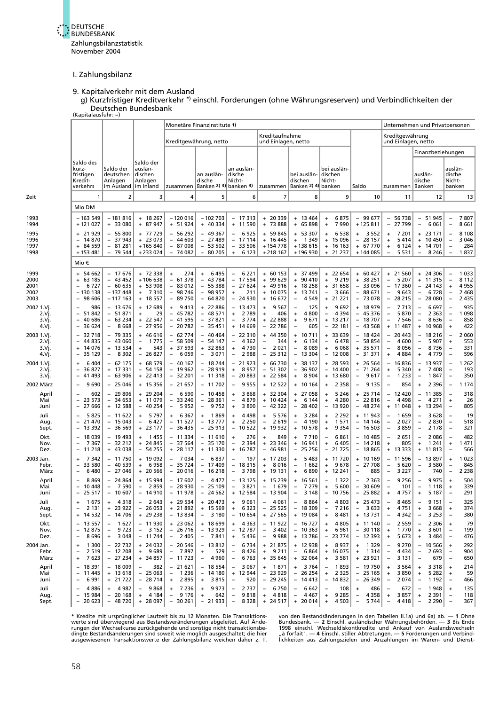

### 9. Kapitalverkehr mit dem Ausland

[g\) Kurzfristiger Kreditverkehr \\*\) einschl. Forderungen \(ohne Währungsreserven\) und Verbindlichkeiten der](#page-15-0) Deutschen Bundesbank

|  | (Kapitalausfuhr: -) |  |
|--|---------------------|--|
|--|---------------------|--|

|                                       |                                                                                                                      |                                                                                              |                                                                                      | Monetäre Finanzinstitute 1)                                                              |                                                                                                                                           |                                                                                                                    |                                                                                                          |                                                                                                      |                                                                                                                                |                                                                                                                          |                                                                                                                                  | Unternehmen und Privatpersonen                                                                                              |                                                                                  |                                                  |
|---------------------------------------|----------------------------------------------------------------------------------------------------------------------|----------------------------------------------------------------------------------------------|--------------------------------------------------------------------------------------|------------------------------------------------------------------------------------------|-------------------------------------------------------------------------------------------------------------------------------------------|--------------------------------------------------------------------------------------------------------------------|----------------------------------------------------------------------------------------------------------|------------------------------------------------------------------------------------------------------|--------------------------------------------------------------------------------------------------------------------------------|--------------------------------------------------------------------------------------------------------------------------|----------------------------------------------------------------------------------------------------------------------------------|-----------------------------------------------------------------------------------------------------------------------------|----------------------------------------------------------------------------------|--------------------------------------------------|
|                                       |                                                                                                                      |                                                                                              |                                                                                      | Kreditgewährung, netto                                                                   |                                                                                                                                           |                                                                                                                    | Kreditaufnahme<br>und Einlagen, netto                                                                    |                                                                                                      |                                                                                                                                |                                                                                                                          | Kreditgewährung<br>und Einlagen, netto                                                                                           |                                                                                                                             |                                                                                  |                                                  |
|                                       | Saldo des<br>kurz-<br>fristigen<br>Kredit-<br>verkehrs                                                               | Saldo der<br>deutschen<br>Anlagen<br>im Ausland   im Inland                                  | Saldo der<br>auslän-<br>dischen<br>Anlagen                                           | zusammen                                                                                 | an auslän-<br>dische<br> Banken 2) 3) banken 3)                                                                                           | an auslän-<br>dische<br>Nicht-                                                                                     | zusammen                                                                                                 | bei auslän-<br>dischen<br> Banken 2) 4)  banken                                                      | bei auslän-<br>l dischen<br>Nicht-                                                                                             | Saldo                                                                                                                    | zusammen                                                                                                                         | Finanzbeziehungen<br>auslän-<br>dische<br>Banken                                                                            | auslän-<br>dische<br>Nicht-<br>banken                                            |                                                  |
| Zeit                                  | $\mathbf{1}$                                                                                                         | 2                                                                                            | 3                                                                                    | 4                                                                                        | 5                                                                                                                                         | 6                                                                                                                  | 7                                                                                                        | 8                                                                                                    | 9                                                                                                                              | 10                                                                                                                       | 11                                                                                                                               | 12                                                                                                                          |                                                                                  | 13                                               |
|                                       | Mio DM                                                                                                               |                                                                                              |                                                                                      |                                                                                          |                                                                                                                                           |                                                                                                                    |                                                                                                          |                                                                                                      |                                                                                                                                |                                                                                                                          |                                                                                                                                  |                                                                                                                             |                                                                                  |                                                  |
| 1993<br>1994                          | $-163549$<br>+121 027                                                                                                | $-181816$<br>$+ 33080$                                                                       | $+ 18267$<br>+ 87 947                                                                | $-120016$<br>+ 51 924                                                                    | $-102703$<br>$+ 40334$                                                                                                                    | $-17313$<br>11 590<br>$\ddot{}$                                                                                    | $+ 20339$<br>73888<br>$\ddot{}$                                                                          | $+ 13464$<br>$+ 65898$                                                                               | 6875<br>$+$<br>7990<br>$\begin{array}{c} + \end{array}$                                                                        | 99 677<br>$+125811$                                                                                                      | $-56738$<br>27 799<br>$\overline{\phantom{a}}$                                                                                   | $-51945$<br>6 0 6 1<br>$\overline{\phantom{0}}$                                                                             |                                                                                  | 7807<br>8661                                     |
| 1995<br>1996<br>1997<br>1998          | + 21 929<br>14 870<br>84 559<br>+<br>+153 481                                                                        | $-55800$<br>$-37943$<br>$-81281$<br>$-79544$                                                 | + 77 729<br>$+ 23073$<br>+165840<br>$+233024$                                        | $-56292$<br>$-44603$<br>$-87008$<br>$-74082$                                             | $-49367$<br>27 489<br>$-$<br>$-$<br>53 502<br>$-80205$                                                                                    | 6925<br>$\overline{\phantom{a}}$<br>$-17114$<br>33 506<br>$\overline{\phantom{a}}$<br>6 1 2 3<br>$\ddot{}$         | + 59 845<br>$+ 16445$<br>+154778<br>$+218167$                                                            | $+ 53307$<br>1 3 4 9<br>$+$<br>+138615<br>+196930                                                    | 6 5 3 8<br>$\ddot{}$<br>$+ 15096$<br>$+ 16163$<br>$+ 21237$                                                                    | 3 5 5 2<br>$\ddot{}$<br>28 157<br>$\overline{\phantom{a}}$<br>67770<br>$+$<br>+144 085                                   | 7 201<br>$\ddot{}$<br>5414<br>$\begin{array}{c} + \end{array}$<br>6 1 2 4<br>$\ddot{}$<br>5 5 3 1<br>$\overline{\phantom{a}}$    | $+ 23111$<br>10 450<br>$\ddot{}$<br>14 701<br>$\ddot{}$<br>8 2 4 6<br>$\qquad \qquad -$                                     | $\overline{\phantom{a}}$<br>$\overline{\phantom{a}}$                             | 8 1 0 8<br>3 0 4 6<br>284<br>1837                |
|                                       | Mio €                                                                                                                |                                                                                              |                                                                                      |                                                                                          |                                                                                                                                           |                                                                                                                    |                                                                                                          |                                                                                                      |                                                                                                                                |                                                                                                                          |                                                                                                                                  |                                                                                                                             |                                                                                  |                                                  |
| 1999<br>2000<br>2001<br>2002<br>2003  | 54 662<br>$+$<br>63 185<br>$+$<br>6727<br>$-130138$<br>$-98606$                                                      | $-17676$<br>$-43452$<br>$-60635$<br>$-137448$<br>$-117163$                                   | $+ 72338$<br>$+106638$<br>$+ 53908$<br>7310<br>$+$<br>$+ 18557$                      | 274<br>$\ddot{}$<br>$-61378$<br>$-83012$<br>$-98746$<br>$-89750$                         | 6495<br>$+$<br>43 784<br>$\overline{\phantom{a}}$<br>$\overline{\phantom{a}}$<br>55 388<br>98 957<br>$\overline{\phantom{a}}$<br>$-64820$ | 6 2 2 1<br>$-17594$<br>27 624<br>$\overline{\phantom{a}}$<br>211<br>$\ddot{}$<br>$-24930$                          | $+ 60153$<br>+ 99 629<br>$+ 49916$<br>10 075<br>$\ddot{}$<br>16 672<br>$+$                               | + 37 499<br>$+ 90410$<br>$+ 18258$<br>13 741<br>$+$<br>4 5 4 9<br>$\qquad \qquad -$                  | + 22 654<br>9 2 1 9<br>$\ddot{}$<br>$+ 31658$<br>3 6 6 6<br>$\qquad \qquad -$<br>$+ 21221$                                     | $+ 60427$<br>38 251<br>$\ddot{}$<br>33 096<br>$\overline{\phantom{a}}$<br>88 671<br>$\overline{\phantom{a}}$<br>$-73078$ | $+ 21560$<br>5 2 0 7<br>$\overline{\phantom{a}}$<br>$-17360$<br>9643<br>$\overline{\phantom{a}}$<br>$-28215$                     | $+ 24306$<br>$+ 11315$<br>24 143<br>$\overline{\phantom{a}}$<br>6728<br>$\overline{\phantom{a}}$<br>$-28080$                | $\begin{array}{c} + \end{array}$<br>$\overline{\phantom{a}}$                     | 1 0 3 3<br>8 1 1 2<br>4955<br>2 4 6 8<br>2 4 3 5 |
| 2002 1.Vj.<br>2.Vi.<br>3.Vi.<br>4.Vj. | 986<br>51842<br>$\overline{\phantom{a}}$<br>40 686<br>$\overline{\phantom{0}}$<br>36 624<br>$\overline{\phantom{0}}$ | $-13676$<br>$-51871$<br>$-63234$<br>8668<br>$\overline{\phantom{m}}$                         | $+ 12689$<br>29<br>$\ddot{}$<br>$+ 22547$<br>$-27956$                                | 9413<br>$\ddot{}$<br>$-45782$<br>$-41595$<br>$-20782$                                    | + 22 886<br>48 571<br>$\overline{\phantom{a}}$<br>37821<br>$\overline{\phantom{a}}$<br>35 4 51<br>$\overline{\phantom{a}}$                | $-13473$<br>2 7 8 9<br>$\ddot{}$<br>3 7 7 4<br>$\overline{\phantom{a}}$<br>$+ 14669$                               | 9 5 6 7<br>$\ddot{}$<br>406<br>$\ddot{}$<br>$+ 22888$<br>22 786<br>$\qquad \qquad -$                     | 125<br>4800<br>$\ddot{}$<br>9671<br>$\ddot{}$<br>605<br>$\overline{\phantom{0}}$                     | 9 6 9 2<br>$\ddot{}$<br>4 3 9 4<br>$\overline{\phantom{a}}$<br>+ 13 217<br>22 181<br>$\overline{\phantom{0}}$                  | 18 979<br>$+$<br>45 376<br>$\overline{\phantom{a}}$<br>18 707<br>$-$<br>43 5 68<br>$\overline{\phantom{a}}$              | 7713<br>$\overline{\phantom{a}}$<br>5870<br>$\overline{\phantom{a}}$<br>7 5 4 6<br>$\overline{\phantom{a}}$<br>$+$<br>11 487     | 6 6 9 7<br>$\overline{\phantom{0}}$<br>2 3 6 3<br>$\overline{a}$<br>$\overline{\phantom{a}}$<br>8636<br>10 968<br>$\ddot{}$ | $\overline{\phantom{a}}$<br>$\overline{\phantom{a}}$<br>$\ddot{}$                | 935<br>1 0 9 8<br>858<br>422                     |
| 2003 1.Vj.<br>2.Vi.<br>3.Vj.<br>4.Vj. | 32718<br>44 835<br>14 076<br>+<br>35 129                                                                             | $-79335$<br>43 060<br>$+ 13534$<br>8 3 0 2<br>$\overline{\phantom{a}}$                       | $+ 46616$<br>1 7 7 5<br>543<br>$\ddot{}$<br>26 827<br>$\overline{\phantom{a}}$       | $-62774$<br>58 509<br>$\overline{\phantom{0}}$<br>$+ 37593$<br>6059<br>$\qquad \qquad -$ | $-40464$<br>54 147<br>$\qquad \qquad -$<br>+ 32 863<br>3 0 7 1<br>$\overline{\phantom{a}}$                                                | $-22310$<br>4 3 6 2<br>4730<br>$\ddot{}$<br>2 9 8 8<br>$\overline{\phantom{a}}$                                    | 44 350<br>$\ddot{}$<br>344<br>2 0 2 1<br>$\overline{\phantom{a}}$<br>25 3 12<br>$\overline{\phantom{a}}$ | 10 711<br>$+$<br>6 1 3 4<br>$\ddot{}$<br>8 0 8 9<br>13 304<br>$\overline{\phantom{0}}$               | + 33 639<br>6478<br>$\qquad \qquad -$<br>$\ddot{}$<br>6 0 6 8<br>$-12008$                                                      | $-18424$<br>58 854<br>$\overline{\phantom{a}}$<br>35 571<br>$+$<br>31 371<br>$\qquad \qquad -$                           | 20 443<br>$\overline{\phantom{a}}$<br>4 600<br>$\overline{\phantom{a}}$<br>8056<br>$\overline{\phantom{a}}$<br>4884<br>$\ddot{}$ | 18 216<br>5 9 0 7<br>$\qquad \qquad -$<br>$\overline{a}$<br>8736<br>4779<br>$\ddot{}$                                       | $\ddot{}$<br>$\overline{\phantom{a}}$<br>$\overline{\phantom{a}}$                | 2 0 6 0<br>553<br>331<br>596                     |
| 2004 1.Vj.<br>2.Vi.<br>3.Vj.          | 6404<br>+<br>36 827<br>41 493                                                                                        | 62 175<br>$\overline{\phantom{0}}$<br>$+ 17331$<br>63 906<br>$\overline{\phantom{a}}$        | + 68 579<br>$-54158$<br>$+ 22413$                                                    | $-40167$<br>$-19962$<br>$-32201$                                                         | $-18244$<br>28 9 19<br>$\overline{\phantom{a}}$<br>$-11318$                                                                               | 21 923<br>$\overline{\phantom{a}}$<br>8957<br>$+$<br>20 883<br>$\overline{\phantom{a}}$                            | $+ 66730$<br>51 302<br>$ \,$<br>$+ 22584$                                                                | $+ 38137$<br>36 902<br>$\overline{\phantom{a}}$<br>8 9 0 4<br>$\begin{array}{c} + \end{array}$       | + 28 593<br>14 400<br>$\overline{\phantom{0}}$<br>$+ 13680$                                                                    | 26 5 64<br>$+$<br>71 264<br>$\overline{\phantom{a}}$<br>9617<br>$\overline{\phantom{0}}$                                 | 16836<br>$\overline{\phantom{m}}$<br>5 3 4 0<br>$\ddot{}$<br>1 2 3 3<br>$\overline{\phantom{a}}$                                 | 13 937<br>7 4 0 8<br>$\ddot{}$<br>1847                                                                                      |                                                                                  | 1 2 6 2<br>193<br>350                            |
| 2002 März<br>April<br>Mai<br>Juni     | 9690<br>$\overline{\phantom{a}}$<br>602<br>23 573<br>$\overline{\phantom{a}}$<br>27 666                              | $-25046$<br>$-29806$<br>34 653<br>$\overline{\phantom{m}}$<br>$+ 12588$                      | $+ 15356$<br>$+ 29204$<br>+ 11 079<br>$-40254$                                       | $-21657$<br>6 5 9 0<br>$\qquad \qquad -$<br>$-33240$<br>5952<br>$\overline{\phantom{a}}$ | $-11702$<br>$-10458$<br>28 3 61<br>$\overline{\phantom{a}}$<br>9752<br>$\overline{\phantom{a}}$                                           | 9955<br>$\overline{\phantom{a}}$<br>3 8 6 8<br>$\ddot{}$<br>4879<br>$\overline{\phantom{a}}$<br>3 800<br>$\ddot{}$ | $+ 12522$<br>$+ 32304$<br>10 424<br>$\ddot{}$<br>$-42322$                                                | $+ 10164$<br>$+ 27058$<br>6 144<br>$+$<br>28 402<br>$\overline{\phantom{a}}$                         | 2 3 5 8<br>+<br>5 2 4 6<br>$\begin{array}{c} + \end{array}$<br>4 2 8 0<br>$\begin{array}{c} + \end{array}$<br>$-13920$         | 9 1 3 5<br>$\qquad \qquad -$<br>25 7 14<br>$\ddot{}$<br>22 8 16<br>$\overline{\phantom{a}}$<br>48 274<br>$-$             | 854<br>$\overline{\phantom{0}}$<br>$-12420$<br>4498<br>$\overline{\phantom{a}}$<br>11 048<br>$+$                                 | 2 3 9 6<br>$\ddot{}$<br>11 385<br>$\overline{\phantom{a}}$<br>4 2 7 1<br>$\qquad \qquad -$<br>13 294<br>$\ddot{}$           | $\ddot{}$<br>$\overline{\phantom{0}}$                                            | 1 1 7 4<br>318<br>26<br>805                      |
| Juli<br>Aug.<br>Sept.                 | 5825<br>$\overline{\phantom{0}}$<br>21 470<br>13 3 9 2                                                               | $-11622$<br>15 043<br>$\overline{\phantom{m}}$<br>$-36569$                                   | 5 7 9 7<br>$\ddot{}$<br>6 4 2 7<br>$+ 23177$                                         | 6 3 6 7<br>$+$<br>11 527<br>$\overline{\phantom{0}}$<br>$-36435$                         | 1869<br>$\ddot{}$<br>13777<br>$\overline{\phantom{a}}$<br>25 913<br>$\overline{\phantom{m}}$                                              | 4 4 9 8<br>$\ddot{}$<br>2 2 5 0<br>$\ddot{}$<br>10 522<br>$\overline{\phantom{m}}$                                 | 5 5 7 6<br>$\ddot{}$<br>2619<br>$\overline{\phantom{0}}$<br>$\ddot{}$<br>19 932                          | 3 2 8 4<br>$\ddot{}$<br>4 1 9 0<br>$\qquad \qquad -$<br>10 578<br>$+$                                | 2 2 9 2<br>$\ddot{}$<br>1 5 7 1<br>$\begin{array}{c} + \end{array}$<br>9 3 5 4<br>$\ddot{}$                                    | + 11 943<br>14 14 6<br>$\overline{\phantom{a}}$<br>16 503<br>$\overline{\phantom{a}}$                                    | 1659<br>$\overline{\phantom{a}}$<br>2027<br>$\overline{\phantom{a}}$<br>3859<br>$\overline{\phantom{a}}$                         | 3 6 2 8<br>$\qquad \qquad -$<br>2830<br>$\overline{a}$<br>2 1 7 8<br>$\overline{\phantom{a}}$                               | $\overline{\phantom{a}}$<br>$\overline{\phantom{a}}$<br>$\overline{\phantom{a}}$ | 19<br>518<br>321                                 |
| Okt.<br>Nov.<br>Dez.                  | 18 039<br>7 3 6 7<br>11 218<br>$\qquad \qquad -$                                                                     | 19 493<br>$-32212$<br>$+ 43038$                                                              | 1455<br>$\ddot{}$<br>$+ 24845$<br>$-54255$                                           | $-11334$<br>$-37564$<br>$+ 28117$                                                        | 11 610<br>$\overline{\phantom{a}}$<br>35 170<br>$\overline{\phantom{a}}$<br>$+ 11330$                                                     | 276<br>$\ddot{}$<br>2 3 9 4<br>$\overline{\phantom{a}}$<br>16 787<br>$\ddot{}$                                     | 849<br>$\ddot{}$<br>$+ 23346$<br>46 981                                                                  | 7710<br>$\ddot{}$<br>16 941<br>$\ddot{}$<br>25 25 6<br>$\overline{\phantom{a}}$                      | 6861<br>$\overline{\phantom{a}}$<br>6 4 0 5<br>$\ddot{}$<br>- 21 725                                                           | 10 485<br>$\overline{\phantom{a}}$<br>14 218<br>$\qquad \qquad -$<br>18865<br>$\qquad \qquad -$                          | 2651<br>$\overline{\phantom{a}}$<br>805<br>$\ddot{}$<br>$+ 13333$                                                                | 2 0 8 6<br>$\ddot{}$<br>1 2 4 1<br>11813<br>$\ddot{}$                                                                       | $\ddot{}$                                                                        | 482<br>1 4 7 1<br>566                            |
| 2003 Jan.<br>Febr.<br>März            | 7 3 4 2<br>+<br>33 580<br>6480<br>$\overline{\phantom{0}}$                                                           | $-11750$<br>$-40539$<br>$-27046$                                                             | $+ 19092$<br>6958<br>$+$<br>$+ 20566$                                                | 7034<br>$\overline{\phantom{0}}$<br>$-35724$<br>$-20016$                                 | 6837<br>$\overline{\phantom{a}}$<br>$-17409$<br>16 218<br>$\overline{\phantom{a}}$                                                        | 197<br>$\overline{\phantom{a}}$<br>$-18315$<br>3798<br>$\overline{\phantom{a}}$                                    | $+ 17203$<br>8016<br>$\ddot{}$<br>19 131<br>$\ddot{}$                                                    | 5 4 8 3<br>$\ddot{}$<br>1662<br>$\overline{\phantom{a}}$<br>6890<br>$\begin{array}{c} + \end{array}$ | + 11 720<br>9678<br>$\ddot{}$<br>$+ 12241$                                                                                     | 10 169<br>$+$<br>27 708<br>$\overline{\phantom{a}}$<br>885<br>$\overline{\phantom{0}}$                                   | 11 596<br>$\overline{\phantom{a}}$<br>5 6 2 0<br>$\overline{\phantom{a}}$<br>3 2 2 7<br>$\overline{\phantom{a}}$                 | $-13897$<br>$\overline{a}$<br>3 5 8 0<br>740                                                                                | $\ddot{}$<br>$\overline{\phantom{a}}$<br>$\qquad \qquad -$                       | 1 0 2 3<br>845<br>2 2 3 8                        |
| April<br>Mai<br>Juni                  | 8869<br>$\overline{\phantom{a}}$<br>10 448<br>25 517<br>$\overline{\phantom{0}}$                                     | $-24864$<br>7 5 9 0<br>$\overline{\phantom{a}}$<br>$-10607$                                  | + 15 994<br>2859<br>$\overline{\phantom{a}}$<br>$-14910$                             | $-17602$<br>$-28930$<br>$-11978$                                                         | 4 4 7 7<br>$\overline{\phantom{a}}$<br>25 109<br>$-$<br>$-24562$                                                                          | $-13125$<br>3821<br>$\overline{\phantom{a}}$<br>$+ 12584$                                                          | 15 239<br>$+$<br>1679<br>$\overline{\phantom{a}}$<br>$-13904$                                            | 16 561<br>$\ddot{}$<br>7 2 7 9<br>$\overline{\phantom{a}}$<br>3 1 4 8<br>$\overline{\phantom{a}}$    | 1 3 2 2<br>$\qquad \qquad -$<br>5 600<br>$\ddot{}$<br>$-10756$                                                                 | 2 3 6 3<br>$\overline{\phantom{m}}$<br>30 609<br>$\overline{\phantom{m}}$<br>25 882<br>$-$                               | 9 2 5 6<br>$\overline{\phantom{a}}$<br>101<br>$\overline{\phantom{a}}$<br>4757<br>$+$                                            | 9 9 7 5<br>$\overline{\phantom{a}}$<br>1 1 1 8<br>$\qquad \qquad -$<br>5 1 8 7<br>$\ddot{}$                                 | $\overline{1}$<br>$\ddot{}$<br>$\overline{\phantom{0}}$                          | 504<br>339<br>291                                |
| Juli<br>Aug.<br>Sept.                 | 1675<br>$\ddot{}$<br>2 1 3 1<br>$+ 14532$                                                                            | 4 3 1 8<br>$\ddot{}$<br>23 922<br>$\ddot{}$<br>14 706<br>$\overline{\phantom{a}}$            | 2 643<br>$\overline{\phantom{a}}$<br>26 053<br>$\overline{\phantom{a}}$<br>$+ 29238$ | $+ 29534$<br>+ 21 892<br>$-13834$                                                        | 20 473<br>$\ddot{}$<br>15 5 69<br>$+$<br>3 1 8 0<br>$\qquad \qquad -$                                                                     | 9 0 6 1<br>$\begin{array}{c} + \end{array}$<br>6 3 2 3<br>$\begin{array}{c} + \end{array}$<br>$-10654$             | 4 0 6 1<br>25 5 25<br>$\overline{\phantom{a}}$<br>+ 27 565                                               | 8 8 6 4<br>$-18309$<br>+ 19 084                                                                      | 4 8 0 3<br>$\begin{array}{c} + \end{array}$<br>$\overline{\phantom{0}}$<br>7 2 1 6<br>$\begin{array}{c} + \end{array}$<br>8481 | 25 473<br>$\ddot{}$<br>3633<br>$\overline{\phantom{a}}$<br>$+ 13731$                                                     | 8465<br>$\overline{\phantom{a}}$<br>4751<br>$\ddot{}$<br>4 3 4 2<br>$\overline{\phantom{a}}$                                     | 9 1 5 1<br>$\begin{array}{c} + \end{array}$<br>3 6 6 8<br>3 2 5 3<br>$\overline{\phantom{0}}$                               | $\qquad \qquad -$<br>$\ddot{}$                                                   | 325<br>374<br>380                                |
| Okt.<br>Nov.<br>Dez.                  | $-13557$<br>12875<br>$\qquad \qquad -$<br>8696<br>$\overline{\phantom{a}}$                                           | 1627<br>$\overline{\phantom{a}}$<br>9723<br>$\overline{\phantom{a}}$<br>$\ddot{}$<br>3 0 4 8 | $-11930$<br>$\overline{\phantom{a}}$<br>3 1 5 2<br>$-11744$                          | $+ 23062$<br>26 7 16<br>$\overline{\phantom{a}}$<br>$\overline{\phantom{0}}$<br>2 4 0 5  | + 18 699<br>13 929<br>$\overline{\phantom{0}}$<br>7841<br>$\overline{\phantom{a}}$                                                        | 4 3 6 3<br>$\ddot{}$<br>$-12787$<br>5436<br>$\ddot{}$                                                              | $-11922$<br>$\qquad \qquad -$<br>3 4 0 2<br>$\overline{\phantom{a}}$<br>9988                             | $-16727$<br>$-10363$<br>+ 13 786                                                                     | 4 8 0 5<br>$\ddot{}$<br>6961<br>$\begin{array}{c} + \end{array}$<br>- 23 774                                                   | + 11 140<br>30 118<br>$\qquad \qquad -$<br>$-12393$                                                                      | 2 5 5 9<br>$\overline{\phantom{a}}$<br>1770<br>$\begin{array}{c} + \end{array}$<br>5 6 7 3<br>$\begin{array}{c} + \end{array}$   | 2 3 0 6<br>3 601<br>$\ddot{}$<br>3 4 8 4<br>$\ddot{}$                                                                       | $\ddot{}$<br>$\overline{\phantom{0}}$                                            | 79<br>199<br>476                                 |
| 2004 Jan.<br>Febr.<br>März            | 1 3 0 0<br>$\ddot{}$<br>2 5 1 9<br>7623<br>$\ddot{}$                                                                 | $-22732$<br>$-12208$<br>27 234<br>$\overline{\phantom{a}}$                                   | $+ 24032$<br>$+ 9689$<br>+ 34 857                                                    | $-20546$<br>$\overline{\phantom{0}}$<br>7 897<br>$-11723$                                | $-13812$<br>529<br>$\bf{+}$<br>4960<br>$\overline{\phantom{a}}$                                                                           | 6 7 3 4<br>$\overline{\phantom{a}}$<br>$\overline{\phantom{a}}$<br>8426<br>$\overline{\phantom{a}}$<br>6763        | + 21 875<br>9 2 1 1<br>$\begin{array}{c} + \end{array}$<br>35 645<br>$\ddot{}$                           | + 12 938<br>6864<br>$+ 32064$                                                                        | 8 937<br>$\ddot{}$<br>$+ 16075$<br>$\begin{array}{c} + \end{array}$<br>3 5 8 1                                                 | 1 3 2 9<br>$\ddot{}$<br>1 3 1 4<br>$\ddot{}$<br>23 921<br>$\ddot{}$                                                      | 9 2 7 0<br>$\overline{\phantom{a}}$<br>4434<br>$\qquad \qquad -$<br>$\overline{\phantom{a}}$<br>3 1 3 1                          | 10 566<br>$\overline{\phantom{a}}$<br>$\overline{a}$<br>2 6 9 3<br>$\overline{a}$<br>679                                    | $\ddot{}$<br>$\overline{\phantom{a}}$                                            | 292<br>904<br>650                                |
| April<br>Mai<br>Juni                  | $-18391$<br>11 445<br>$\overline{\phantom{0}}$<br>6991                                                               | $-18009$<br>$+ 13618$<br>$+ 21722$                                                           | 382<br>$\overline{\phantom{a}}$<br>$-25063$<br>28 7 14<br>$\overline{\phantom{a}}$   | $-21621$<br>1 2 3 6<br>$\overline{\phantom{0}}$<br>2895<br>$+$                           | $-18554$<br>14 180<br>$\qquad \qquad -$<br>3815<br>$+$                                                                                    | 3 0 6 7<br>$\overline{\phantom{a}}$<br>+ 12 944<br>920<br>$\overline{\phantom{0}}$                                 | 1871<br>$\ddot{}$<br>23 929<br>$\overline{\phantom{a}}$<br>$-29245$                                      | 3764<br>$+$<br>$-26254$<br>$-14413$                                                                  | 1893<br>-<br>2 3 2 5<br>$\begin{array}{c} + \end{array}$<br>- 14 832                                                           | $-19750$<br>25 165<br>$\overline{\phantom{a}}$<br>$-$<br>26 349                                                          | 3 5 6 4<br>$\begin{array}{c} + \end{array}$<br>3850<br>$\begin{array}{c} + \end{array}$<br>2074<br>$\qquad \qquad -$             | 3 3 1 8<br>$\ddot{}$<br>5 2 8 2<br>$\ddot{}$<br>1 1 9 2<br>$\overline{a}$                                                   | $\ddot{}$<br>$\ddot{}$                                                           | 214<br>59<br>466                                 |
| Juli<br>Aug.<br>Sept.                 | 4886<br>$\overline{\phantom{0}}$<br>15 984<br>$-20623$                                                               | 4 9 8 2<br>$\ddot{}$<br>$-20168$<br>$-48720$                                                 | 9868<br>$\overline{\phantom{a}}$<br>$+$<br>4 184<br>+ 28 097                         | 7 2 3 6<br>$\begin{array}{c} + \end{array}$<br>9 1 7 6<br>$\qquad \qquad -$<br>$-30261$  | 9973<br>$\begin{array}{c} + \end{array}$<br>642<br>$\ddot{}$<br>$-21933$                                                                  | 2 7 3 7<br>$\overline{\phantom{a}}$<br>$\qquad \qquad -$<br>9818<br>8 3 2 8<br>$\overline{\phantom{a}}$            | 6750<br>$\overline{\phantom{a}}$<br>4818<br>$+$<br>$+ 24517$                                             | 6 6 4 2<br>$\overline{\phantom{a}}$<br>$\overline{\phantom{a}}$<br>4 467<br>$+ 20014$                | 108<br>$\qquad \qquad -$<br>9 2 8 5<br>$\begin{array}{c} + \end{array}$<br>$\bf{+}$<br>4 503                                   | 486<br>$\ddot{}$<br>4 3 5 8<br>$\overline{\phantom{a}}$<br>$\overline{\phantom{a}}$<br>5744                              | 672<br>$\overline{\phantom{a}}$<br>$+$<br>3857<br>4418<br>$\overline{\phantom{a}}$                                               | 1948<br>$\overline{a}$<br>2 3 9 1<br>$\begin{array}{c} + \end{array}$<br>2 2 9 0<br>$\overline{\phantom{a}}$                | $^{+}$<br>$\overline{\phantom{a}}$                                               | 135<br>118<br>367                                |

\* Kredite mit ursprünglicher Laufzeit bis zu 12 Monaten. Die Transaktions-won den Bestandsänderungen in den Tabellen II.1a) und 6a) ab. — 1 Ohne werte sind überwiegend aus Bestandsveränderungen abgeleitet. Auf Ände-Bundsba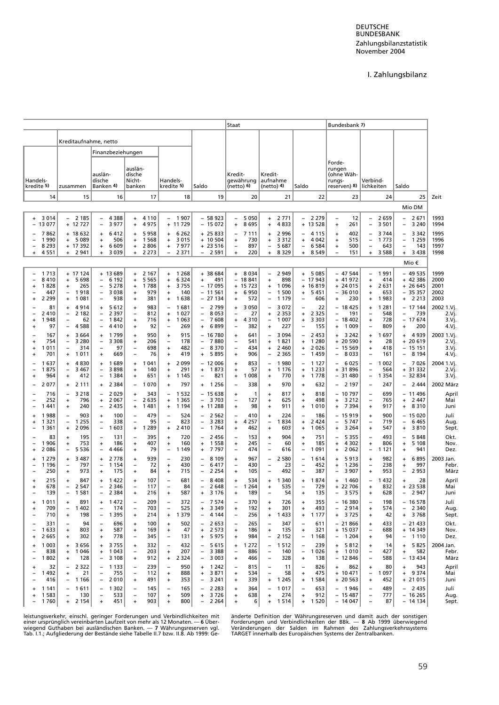#### DEUTSCHE BUNDESBANK Zahlungsbilanzstatistik November 2004

#### I. Zahlungsbilanz

|                                                    |                                        |                                                                              |                                               |                                                                                                |                                                  |                                                                                                                                      |                                          |                                                                                |                                               |                                                                                | Staat                                               |                                                                                   |                                                 |                                                                                        |                                                           |                                                                                          |                                                 | Bundesbank 7)                                                   |                                                     |                                                                                               |                                    |                                                                         |                                                     |                                          |
|----------------------------------------------------|----------------------------------------|------------------------------------------------------------------------------|-----------------------------------------------|------------------------------------------------------------------------------------------------|--------------------------------------------------|--------------------------------------------------------------------------------------------------------------------------------------|------------------------------------------|--------------------------------------------------------------------------------|-----------------------------------------------|--------------------------------------------------------------------------------|-----------------------------------------------------|-----------------------------------------------------------------------------------|-------------------------------------------------|----------------------------------------------------------------------------------------|-----------------------------------------------------------|------------------------------------------------------------------------------------------|-------------------------------------------------|-----------------------------------------------------------------|-----------------------------------------------------|-----------------------------------------------------------------------------------------------|------------------------------------|-------------------------------------------------------------------------|-----------------------------------------------------|------------------------------------------|
|                                                    | Kreditaufnahme, netto                  |                                                                              |                                               |                                                                                                |                                                  |                                                                                                                                      |                                          |                                                                                |                                               |                                                                                |                                                     |                                                                                   |                                                 |                                                                                        |                                                           |                                                                                          |                                                 |                                                                 |                                                     |                                                                                               |                                    |                                                                         |                                                     |                                          |
|                                                    |                                        |                                                                              |                                               |                                                                                                | Finanzbeziehungen                                |                                                                                                                                      |                                          |                                                                                |                                               |                                                                                |                                                     |                                                                                   |                                                 |                                                                                        |                                                           |                                                                                          |                                                 |                                                                 |                                                     |                                                                                               |                                    |                                                                         |                                                     |                                          |
| Handels-<br>kredite 5)                             |                                        | zusammen                                                                     |                                               | auslän-<br>dische                                                                              | Banken 4)                                        | auslän-<br>dische<br>Nicht-<br>banken                                                                                                |                                          | Handels-<br>kredite 5)                                                         |                                               | Saldo                                                                          |                                                     | Kredit-                                                                           | gewährung<br>$(netto)$ 6)                       | Kredit-<br>aufnahme<br>$(netto)$ 4)                                                    |                                                           | Saldo                                                                                    |                                                 | Forde-<br>rungen<br>rungs-                                      | (ohne Wäh-<br>reserven) 8)                          | Verbind-<br>lichkeiten                                                                        |                                    | Saldo                                                                   |                                                     |                                          |
|                                                    | 14                                     |                                                                              | 15                                            |                                                                                                | 16                                               |                                                                                                                                      | 17                                       |                                                                                | 18                                            |                                                                                | 19                                                  |                                                                                   | 20                                              |                                                                                        | 21                                                        |                                                                                          | 22                                              |                                                                 | 23                                                  |                                                                                               | 24                                 |                                                                         | 25                                                  | Zeit                                     |
|                                                    |                                        |                                                                              |                                               |                                                                                                |                                                  |                                                                                                                                      |                                          |                                                                                |                                               |                                                                                |                                                     |                                                                                   |                                                 |                                                                                        |                                                           |                                                                                          |                                                 |                                                                 |                                                     |                                                                                               |                                    |                                                                         | Mio DM                                              |                                          |
| $\ddot{}$<br>$\overline{\phantom{0}}$              | 3 0 1 4<br>13 077                      | $\qquad \qquad -$                                                            | 2 1 8 5<br>+ 12 727                           | $\qquad \qquad -$<br>$\qquad \qquad -$                                                         | 4 3 8 8<br>3977                                  | $\ddot{}$<br>$\ddot{}$                                                                                                               | 4 1 1 0<br>4975                          | $\overline{\phantom{0}}$                                                       | 1907<br>+ 11 729                              |                                                                                | $-58923$<br>$-15072$                                | $\overline{\phantom{0}}$<br>$\ddot{}$                                             | 5 0 5 0<br>8695                                 | $\ddot{}$<br>$\ddot{}$                                                                 | 2 7 7 1<br>4833                                           | $\overline{\phantom{a}}$                                                                 | 2 2 7 9<br>$+ 13528$                            | $\overline{\phantom{0}}$<br>$\ddot{}$                           | 12<br>261                                           | $\overline{\phantom{0}}$<br>$\overline{\phantom{0}}$                                          | 2 6 5 9<br>3 5 0 1                 | -<br>$\overline{a}$                                                     | 2671<br>3 2 4 0                                     | 1993<br>1994                             |
| $\ddot{}$                                          | 7862<br>1990<br>8 2 9 3<br>4551        | $\ddot{}$<br>$\ddot{}$                                                       | $+ 18632$<br>5 0 8 9<br>+ 17 392<br>2 9 4 1   | $\ddot{}$<br>$\ddot{}$<br>$\ddot{}$<br>$+$                                                     | 6412<br>506<br>6 609<br>3 0 3 9                  | $\begin{array}{c} + \end{array}$<br>$\begin{array}{c} + \end{array}$<br>$\ddot{}$<br>$\ddot{}$                                       | 5958<br>1 5 6 8<br>2806<br>2 2 7 3       | $\ddot{}$<br>$\ddot{}$<br>$\ddot{}$<br>$\qquad \qquad -$                       | 6 2 6 2<br>3 0 1 5<br>7977<br>2 3 7 1         | $-$                                                                            | + 25 833<br>+ 10 504<br>$+23516$<br>2 5 9 1         | $\qquad \qquad -$<br>$\ddot{}$<br>$\overline{a}$<br>$\ddot{}$                     | 7 1 1 1<br>730<br>897<br>220                    | $\ddot{}$<br>$\ddot{}$<br>$\qquad \qquad -$<br>$\ddot{}$                               | 2 9 9 6<br>3 3 1 2<br>5 6 8 7<br>8 3 2 9                  | $\ddot{}$<br>$\overline{\phantom{a}}$<br>$+$                                             | 4 1 1 5<br>4 0 4 2<br>6 5 8 4<br>8 5 4 9        | $\ddot{}$<br>$\ddot{}$<br>$\ddot{}$<br>$\overline{\phantom{0}}$ | 402<br>515<br>500<br>151                            | $\overline{\phantom{0}}$<br>$\overline{\phantom{0}}$<br>$\ddot{}$                             | 3744<br>1773<br>643<br>3 5 8 8     | $\overline{a}$<br>$\overline{a}$<br>$\overline{a}$<br>$\ddot{}$         | 3 3 4 2<br>1 2 5 9<br>143<br>3438                   | 1995<br>1996<br>1997<br>1998             |
|                                                    |                                        |                                                                              |                                               |                                                                                                |                                                  |                                                                                                                                      |                                          |                                                                                |                                               |                                                                                |                                                     |                                                                                   |                                                 |                                                                                        |                                                           |                                                                                          |                                                 |                                                                 |                                                     |                                                                                               |                                    |                                                                         | Mio €                                               |                                          |
| $\overline{\phantom{0}}$<br>$\pmb{+}$<br>÷         | 1713<br>8410<br>1828<br>447<br>2 2 9 9 | $\ddot{}$<br>$\ddot{}$<br>$\qquad \qquad -$<br>$\ddot{}$                     | + 17 124<br>5 6 9 8<br>265<br>1918<br>1 0 8 1 | $\qquad \qquad -$<br>$\overline{\phantom{0}}$<br>$\qquad \qquad -$<br>$\overline{\phantom{0}}$ | + 13 689<br>6 1 9 2<br>5 2 7 8<br>3 0 3 8<br>938 | $\ddot{}$<br>$\begin{array}{c} + \end{array}$<br>$\ddot{}$<br>$\begin{array}{c} + \end{array}$<br>+                                  | 2 1 6 7<br>5 5 6 5<br>1788<br>979<br>381 | $\ddot{}$<br>$\ddot{}$<br>$\ddot{}$<br>$\ddot{}$<br>+                          | 1 2 6 8<br>6 3 2 4<br>3755<br>140<br>638<br>1 | $\ddot{}$                                                                      | + 38 684<br>491<br>$-17095$<br>$-11561$<br>- 27 134 | $\ddot{}$<br>$\ddot{}$<br>$\ddot{}$                                               | 8 0 3 4<br>$-18841$<br>$+ 15723$<br>6950<br>572 | -<br>$\ddot{}$<br>$\ddot{}$<br>$\qquad \qquad -$<br>$\overline{\phantom{a}}$           | 2 9 4 9<br>898<br>096<br>$\mathbf{1}$<br>1 500<br>1 1 7 9 | $\ddot{}$<br>$\ddot{}$<br>$\overline{\phantom{0}}$                                       | 5 0 8 5<br>$-17943$<br>$+ 16819$<br>5451<br>606 | $\ddot{}$                                                       | - 47 544<br>+ 41 972<br>$+24015$<br>$-36010$<br>230 | $\ddot{}$<br>$\ddot{}$<br>$\ddot{}$<br>$\ddot{}$                                              | 1991<br>414<br>2631<br>653<br>1983 | -<br>$\ddot{}$                                                          | 49 535<br>+ 42 386<br>+ 26 645<br>35 357<br>2 2 1 3 | 1999<br>2000<br>2001<br>2002<br>2003     |
| ÷<br>÷                                             | 81<br>2410<br>1948<br>97               | $\ddot{}$<br>$\qquad \qquad -$<br>$\overline{\phantom{0}}$<br>$\overline{a}$ | 4914<br>2 1 8 2<br>62<br>4588                 | $\ddot{}$<br>$\qquad \qquad -$<br>$\qquad \qquad -$<br>$\overline{\phantom{0}}$                | 5612<br>2 3 9 7<br>1842<br>4410                  | $\begin{array}{c} + \end{array}$<br>$\overline{\phantom{a}}$<br>$\begin{array}{c} + \end{array}$<br>+                                | 983<br>812<br>716<br>92                  | -<br>$\ddot{}$<br>$\ddot{}$<br>$\overline{\phantom{0}}$                        | 1681<br>1 0 2 7<br>1 0 6 3<br>269             | $-$<br>$\overline{\phantom{0}}$<br>$\overline{\phantom{a}}$<br>$\ddot{}$       | 2799<br>8 0 5 3<br>7608<br>6899                     | $\ddot{}$<br>$\overline{\phantom{0}}$<br>$\ddot{}$<br>$\overline{a}$              | 3 0 5 0<br>27<br>310<br>4<br>382                | $\overline{\phantom{a}}$<br>$\ddot{}$<br>$\qquad \qquad -$<br>$\ddot{}$                | 3 0 7 2<br>2 3 5 3<br>1 0 0 7<br>227                      | $\qquad \qquad -$<br>$\ddot{}$<br>$\bf{+}$<br>$\qquad \qquad -$                          | 22<br>2 3 2 5<br>3 3 0 3<br>155                 | $\overline{\phantom{0}}$<br>-<br>$\ddot{}$                      | $-18425$<br>191<br>18 402<br>1 0 0 9                | $\ddot{}$<br>$\ddot{}$<br>$\overline{\phantom{0}}$                                            | 1 2 8 1<br>548<br>728<br>809       | $\overline{\phantom{0}}$<br>L,<br>$\overline{\phantom{0}}$<br>$\ddot{}$ | 17 144<br>739<br>17674<br>200                       | 2002 1.Vj.<br>2.Vj.<br>3.Vj.<br>4.Vj.    |
| $\ddot{}$<br>÷<br>$\ddot{}$                        | 167<br>754<br>1011<br>701              | $\ddot{}$<br>$\qquad \qquad -$<br>$\overline{\phantom{0}}$<br>$\ddot{}$      | 3 6 6 4<br>3 2 8 0<br>314<br>1011             | $\ddot{}$<br>$\qquad \qquad -$<br>$\qquad \qquad -$<br>$\ddot{}$                               | 1799<br>3 3 0 8<br>97<br>669                     | $\ddot{}$<br>$\ddot{}$<br>$\overline{\phantom{a}}$<br>$\overline{\phantom{a}}$                                                       | 950<br>206<br>698<br>76                  | $\ddot{}$<br>$\qquad \qquad -$<br>$\ddot{}$<br>$\ddot{}$                       | 915<br>178<br>482<br>419                      | $\overline{\phantom{a}}$<br>$\overline{\phantom{0}}$<br>$\ddot{}$              | $-16780$<br>7880<br>8 3 7 0<br>5895                 | $\ddot{}$<br>$\qquad \qquad -$<br>$\overline{a}$<br>$\ddot{}$                     | 641<br>541<br>434<br>906                        | $\overline{\phantom{a}}$<br>$\ddot{}$<br>$\ddot{}$<br>$\overline{\phantom{a}}$         | 3 0 9 4<br>1821<br>2 4 6 0<br>2 3 6 5                     | $\overline{\phantom{a}}$<br>$\ddot{}$<br>$\ddot{}$<br>$\overline{\phantom{a}}$           | 2 4 5 3<br>1 2 8 0<br>2026<br>1459              | $\ddot{}$<br>-                                                  | 3 242<br>+ 20 590<br>- 15 569<br>8 0 3 3            | $\ddot{}$<br>$\ddot{}$<br>$\ddot{}$<br>$\overline{\phantom{0}}$                               | 1697<br>28<br>418<br>161           | $\ddot{}$<br>$+$<br>$\overline{\phantom{0}}$<br>L,                      | 4939<br>20 619<br>15 15 1<br>8 1 9 4                | 2003 1.Vj.<br>2.Vj.<br>3.Vj.<br>$4.V$ j. |
| $\ddot{}$                                          | 1637<br>1875<br>964                    | $\ddot{}$<br>$\qquad \qquad -$<br>$\ddot{}$                                  | 4830<br>3 4 6 7<br>412                        | $\ddot{}$<br>$\qquad \qquad -$                                                                 | 1689<br>3898<br>1 3 8 4                          | $\begin{array}{c} + \end{array}$<br>$\begin{array}{c} + \end{array}$<br>$\begin{array}{c} + \end{array}$<br>$\overline{\phantom{0}}$ | 1 0 4 1<br>140<br>651                    | $\ddot{}$<br>$\ddot{}$<br>$\ddot{}$                                            | 2 0 9 9<br>291<br>1 1 4 5<br>797              | $\ddot{}$                                                                      | $-12006$<br>1873<br>821                             | $\ddot{}$<br>$\begin{array}{c} + \end{array}$<br>$\begin{array}{c} + \end{array}$ | 853<br>57<br>008<br>-1                          | $\qquad \qquad -$<br>$\ddot{}$<br>$\ddot{}$                                            | 1980<br>1 1 7 6<br>770                                    | $\qquad \qquad -$<br>$\ddot{}$<br>$\begin{array}{c} + \end{array}$                       | 1 1 2 7<br>1 2 3 3<br>1778                      | -<br>$\overline{\phantom{0}}$                                   | 6 0 2 5<br>+ 31 896<br>- 31 480                     | $\qquad \qquad -$<br>$\qquad \qquad -$                                                        | 1 0 0 2<br>564<br>1 3 5 4          | L,<br>$\ddot{}$<br>-                                                    | 7026<br>31 332<br>32 834                            | 2004 1.Vj.<br>2.Vj.<br>3.Vj.             |
|                                                    | 2077<br>716<br>252<br>1441             | $\ddot{}$<br>$\overline{\phantom{0}}$<br>$\ddot{}$<br>$\ddot{}$              | 2 1 1 1<br>3 2 1 8<br>796<br>240              | $\ddot{}$<br>$\overline{\phantom{0}}$<br>$\ddot{}$<br>$\qquad \qquad -$                        | 2 3 8 4<br>2029<br>2 0 6 7<br>2 4 3 5            | $\ddot{}$<br>$\overline{\phantom{m}}$<br>$\ddot{}$                                                                                   | 1070<br>343<br>2 6 3 5<br>1481           | $\ddot{}$<br>$\overline{\phantom{0}}$<br>$\ddot{}$<br>$\ddot{}$                | 532<br>1<br>1 3 6 5<br>1 1 9 4                | $+$<br>$\overline{\phantom{0}}$                                                | 1 2 5 6<br>$-15638$<br>3703<br>+ 11 288             | $\overline{\phantom{0}}$<br>$\ddot{}$<br>$\qquad \qquad -$<br>$\ddot{}$           | 338<br>1<br>127<br>98                           | $\ddot{}$<br>+<br>+<br>$\ddot{}$                                                       | 970<br>817<br>625<br>911                                  | $\ddot{}$<br>$\ddot{}$<br>$\begin{array}{c} + \end{array}$<br>$\ddot{}$                  | 632<br>818<br>498<br>1010                       | $\ddot{}$<br>$\ddot{}$                                          | 2 1 9 7<br>$-10797$<br>3 2 1 2<br>7 3 9 4           | $\overline{\phantom{0}}$<br>$\overline{\phantom{0}}$<br>$\overline{\phantom{0}}$<br>$\ddot{}$ | 247<br>699<br>765<br>917           | $\overline{\phantom{0}}$<br>$\overline{\phantom{0}}$<br>÷<br>$\ddot{}$  | 2 4 4 4<br>11 4 9 6<br>2 4 4 7<br>8310              | 2002 März<br>April<br>Mai<br>Juni        |
| $\pmb{+}$                                          | 1988<br>1 3 2 1<br>1 3 6 1             | $\overline{\phantom{0}}$<br>$\overline{a}$<br>$\ddot{}$                      | 903<br>255<br>1<br>2096                       | $\ddot{}$<br>$\qquad \qquad -$<br>$\qquad \qquad -$                                            | 100<br>338<br>603<br>1                           | $\overline{\phantom{0}}$<br>$\overline{\phantom{a}}$<br>$\ddot{}$                                                                    | 479<br>95<br>1 2 8 9                     | -<br>$\overline{a}$<br>$\ddot{}$                                               | 524<br>823<br>2 4 1 0                         | $\qquad \qquad -$<br>$\overline{\phantom{a}}$<br>$\overline{\phantom{0}}$      | 2 5 6 2<br>3 2 8 3<br>1764                          | $\overline{a}$<br>$\ddot{}$<br>$\ddot{}$                                          | 410<br>257<br>4<br>462                          | $\ddot{}$<br>$\overline{\phantom{a}}$<br>$\ddot{}$                                     | 224<br>834<br>1<br>603                                    | $\qquad \qquad -$<br>$\bf{+}$<br>$\ddot{}$                                               | 186<br>2 4 2 4<br>1 0 6 5                       | $\overline{\phantom{0}}$<br>$\ddot{}$                           | $-15919$<br>5 7 4 7<br>3 2 6 4                      | ÷<br>$\qquad \qquad -$<br>$\ddot{}$                                                           | 900<br>719<br>547                  | $\overline{a}$<br>$\overline{a}$<br>÷                                   | 15 0 20<br>6465<br>3810                             | Juli<br>Aug.<br>Sept.                    |
| $\ddot{}$                                          | 83<br>1906<br>2 0 8 6<br>1 2 7 9       | $\ddot{}$<br>$\ddot{}$<br>$\qquad \qquad -$                                  | 195<br>753<br>5 5 3 6<br>3 4 8 7              | $\qquad \qquad -$<br>$\ddot{}$<br>$\qquad \qquad -$                                            | 131<br>186<br>4466<br>2778                       | $\overline{\phantom{a}}$<br>$\ddot{}$<br>$\begin{array}{c} + \end{array}$                                                            | 395<br>407<br>79<br>939                  | $\ddot{}$<br>$\ddot{}$<br>$\overline{\phantom{0}}$<br>$\overline{\phantom{0}}$ | 720<br>160<br>149<br>230                      | $\overline{\phantom{m}}$<br>$\ddot{}$<br>$\ddot{}$<br>$\overline{\phantom{0}}$ | 2456<br>1 5 5 8<br>7797<br>8 1 0 9                  | $\overline{\phantom{0}}$<br>$\ddot{}$<br>$\overline{\phantom{0}}$                 | 153<br>245<br>474<br>967                        | $\ddot{}$<br>$\qquad \qquad -$<br>$\overline{\phantom{a}}$<br>$\overline{\phantom{a}}$ | 904<br>60<br>616<br>2 5 8 0                               | $\ddot{}$<br>$\ddot{}$<br>$\overline{\phantom{a}}$<br>$\qquad \qquad -$                  | 751<br>185<br>1 0 9 1<br>1614                   | $\overline{\phantom{0}}$<br>$\ddot{}$<br>$\ddot{}$              | 5 3 5 5<br>4 3 0 2<br>2 0 6 2<br>5913               | $\overline{\phantom{0}}$<br>$\ddot{}$<br>$\qquad \qquad -$                                    | 493<br>806<br>1 1 2 1<br>982       | L,<br>$\ddot{}$<br>÷                                                    | 5848<br>5 1 0 8<br>941<br>6895                      | Okt.<br>Nov.<br>Dez.<br>2003 Jan.        |
| +                                                  | 1 1 9 6<br>250<br>215                  | $\ddot{}$<br>$\overline{\phantom{0}}$<br>$\ddot{}$<br>$\ddot{}$              | 797<br>973<br>847                             | $\ddot{}$<br>$\overline{\phantom{0}}$<br>$\ddot{}$<br>÷                                        | 1 1 5 4<br>175<br>1422                           | $\begin{array}{c} + \end{array}$<br>$\overline{\phantom{a}}$<br>$\begin{array}{c} + \end{array}$<br>$\ddot{}$                        | 72<br>84<br>107                          | $\ddot{}$<br>$\ddot{}$<br>$\overline{\phantom{0}}$                             | 430<br>715<br>681                             | $\overline{\phantom{0}}$<br>$\overline{\phantom{0}}$                           | 6417<br>2 2 5 4<br>8 4 0 8                          | $\ddot{}$<br>$\overline{\phantom{0}}$<br>$\ddot{}$<br>$\ddot{}$                   | 430<br>105<br>534                               | $\overline{\phantom{a}}$<br>$\overline{\phantom{a}}$<br>÷                              | 23<br>492<br>1 3 4 0                                      | $\overline{\phantom{a}}$<br>$\overline{\phantom{0}}$<br>$\ddot{}$                        | 452<br>387<br>1874                              | $\ddot{}$<br>$\ddot{}$<br>-<br>+                                | 1 2 3 6<br>3 9 0 7<br>1460                          | $\ddot{}$<br>$\overline{\phantom{0}}$<br>$\ddot{}$<br>$\overline{\phantom{0}}$                | 238<br>953<br>432                  | $\ddot{}$<br>$\ddot{}$<br>L,<br>÷                                       | 997<br>2953<br>28                                   | Febr.<br>März<br>April                   |
| $\pmb{+}$<br>÷                                     | 678<br>139<br>1011                     | $\overline{\phantom{a}}$<br>$\qquad \qquad -$<br>$\ddot{}$                   | 2 5 4 7<br>581<br>-1<br>891                   | $\qquad \qquad -$<br>-<br>$\ddot{}$                                                            | 2 3 4 6<br>2 3 8 4<br>1472                       | $\overline{\phantom{a}}$<br>$\ddot{}$                                                                                                | 117<br>216<br>209                        | $\overline{\phantom{0}}$<br>÷                                                  | 84<br>587<br>372                              | $\overline{\phantom{0}}$<br>$+$<br>-                                           | 2 6 4 8<br>3 1 7 6<br>7 5 7 4                       | $\qquad \qquad -$<br>$\ddot{}$<br>$\overline{a}$                                  | 1 2 6 4<br>189<br>370                           | +<br>۰<br>+                                                                            | 535<br>54<br>726                                          | $\overline{\phantom{0}}$<br>$\ddot{}$<br>$\ddot{}$                                       | 729<br>135<br>355                               | -                                                               | + 22 706<br>575<br>3<br>- 16380                     | $\ddot{}$<br>$\ddot{}$                                                                        | 832<br>628<br>198                  | -<br>-                                                                  | + 23 538<br>2 9 4 7<br>16 578                       | Mai<br>Juni<br>Juli                      |
| $\ddot{}$                                          | 709<br>710<br>331                      | $\overline{a}$<br>$\ddot{}$<br>$\overline{\phantom{0}}$                      | 402<br>198<br>94                              | -<br>$\qquad \qquad -$<br>$\qquad \qquad -$                                                    | 174<br>1 3 9 5<br>696                            | $\overline{\phantom{a}}$<br>$\begin{array}{c} + \end{array}$<br>$\ddot{}$                                                            | 703<br>214<br>100                        | -<br>$\ddot{}$<br>$\ddot{}$                                                    | 525<br>1 379<br>502                           | $\ddot{}$<br>$\qquad \qquad -$                                                 | 3 3 4 9<br>4 1 4 4<br>2 6 5 3                       | $\ddot{}$<br>$\overline{\phantom{0}}$<br>$\qquad \qquad -$                        | 192<br>256<br>265                               | $\ddot{}$<br>$\ddot{}$<br>$\overline{\phantom{a}}$                                     | 301<br>1433<br>347                                        | $\ddot{}$<br>$\begin{array}{c} + \end{array}$<br>$\overline{\phantom{a}}$                | 493<br>1 1 7 7<br>611                           | $\overline{\phantom{0}}$<br>$\ddot{}$                           | 2914<br>3725<br>$-21866$                            | $\ddot{}$<br>$\ddot{}$                                                                        | 574<br>42<br>433                   | -<br>$\ddot{}$<br>-                                                     | 2 3 4 0<br>3768<br>21 4 33                          | Aug.<br>Sept.<br>Okt.                    |
| $\pmb{+}$<br>$\pmb{+}$                             | 1633<br>2 665<br>1 0 0 3               | $\ddot{}$<br>$\ddot{}$<br>$\begin{array}{c} + \end{array}$                   | 803<br>302<br>3 6 5 6                         | $\ddot{}$<br>$\ddot{}$<br>$\ddot{}$                                                            | 587<br>778<br>3755                               | $\ddot{}$<br>$\overline{\phantom{a}}$<br>$\ddot{}$                                                                                   | 169<br>345<br>332                        | $\ddot{}$<br>-<br>-                                                            | 47<br>131<br>432                              | $\ddot{}$<br>$\pmb{+}$                                                         | 2 5 7 3<br>5975<br>5615                             | $\ddot{}$<br>$\ddot{}$<br>$\ddot{}$                                               | 186<br>984<br>272<br>-1                         | $\ddot{}$<br>$\overline{\phantom{a}}$<br>$\qquad \qquad -$                             | 135<br>2 1 5 2<br>1512                                    | $\begin{array}{c} + \end{array}$<br>$\overline{\phantom{a}}$<br>$\overline{\phantom{a}}$ | 321<br>1 1 6 8<br>239                           | -<br>$\ddot{}$                                                  | + 15 037<br>1 204<br>5812                           | $\ddot{}$<br>$\overline{\phantom{0}}$<br>$\ddot{}$<br>$\ddot{}$                               | 688<br>94<br>14                    | $^{+}$<br>-<br>$\ddot{}$                                                | 14 349<br>1 1 1 0<br>5825                           | Nov.<br>Dez.<br>2004 Jan.                |
| $\overline{\phantom{0}}$<br>÷                      | 838<br>1802<br>32                      | $\begin{array}{c} + \end{array}$<br>$\ddot{}$<br>$\qquad \qquad -$           | 1 0 4 6<br>128<br>2 3 2 2                     | $\ddot{}$<br>-                                                                                 | 1 0 4 3<br>3 1 0 8<br>1 1 3 3                    | $\overline{\phantom{a}}$<br>$\begin{array}{c} + \end{array}$<br>$\overline{\phantom{a}}$                                             | 203<br>912<br>239                        | $\pmb{+}$<br>÷<br>-                                                            | 207<br>2 3 2 4<br>950                         | $\overline{\phantom{0}}$<br>$\overline{\phantom{0}}$<br>+                      | 3 3 8 8<br>3 0 0 3<br>1 2 4 2                       | $\overline{\phantom{0}}$<br>$\ddot{}$<br>$\overline{a}$                           | 886<br>466<br>815                               | $\qquad \qquad -$<br>$\overline{\phantom{a}}$<br>-                                     | 140<br>328<br>11                                          | $\overline{\phantom{a}}$<br>$\begin{array}{c} + \end{array}$<br>$\overline{a}$           | 1026<br>138<br>826                              | $\ddot{}$                                                       | + 1010<br>- 12 846<br>862                           | $\qquad \qquad -$<br>+                                                                        | 427<br>588<br>80                   | $\ddot{}$<br>÷                                                          | 582<br>- 13 434<br>943                              | Febr.<br>März<br>April                   |
| $\overline{\phantom{0}}$                           | 1492<br>416<br>1 1 4 1                 | $\boldsymbol{+}$<br>$\qquad \qquad -$<br>$\overline{\phantom{0}}$            | 21<br>1 1 6 6<br>1611                         | -<br>$\overline{\phantom{a}}$<br>$\qquad \qquad -$<br>$\overline{\phantom{a}}$                 | 755<br>2010<br>1 3 0 2                           | $\overline{\phantom{a}}$<br>$\begin{array}{c} + \end{array}$<br>$\overline{\phantom{a}}$                                             | 112<br>491<br>145                        | $\pmb{+}$<br>+<br>-                                                            | 888<br>353<br>165                             | $\ddot{}$<br>-<br>$\overline{\phantom{0}}$                                     | 3871<br>3 2 4 1<br>2 2 8 3                          | $\ddot{}$<br>$\ddot{}$                                                            | 534<br>339<br>364                               | $\overline{\phantom{a}}$<br>$\ddot{}$<br>$\overline{\phantom{a}}$                      | 58<br>1 2 4 5<br>1017                                     | $\ddot{}$<br>$\ddot{}$<br>$\qquad \qquad -$                                              | 475<br>1 5 8 4<br>653                           |                                                                 | + 10 471<br>$+20563$<br>- 1946                      | $\qquad \qquad -$<br>$\begin{array}{c} + \end{array}$<br>$\overline{\phantom{0}}$             | 1 0 9 7<br>452<br>489              | $\ddot{}$<br>$^{+}$<br>$\overline{\phantom{0}}$                         | 9 3 7 4<br>21 0 15<br>2 4 3 5                       | Mai<br>Juni<br>Juli                      |
| $\ddot{}$<br>$\ddot{}$<br>$\overline{\phantom{0}}$ | 1 5 8 3<br>1760                        | $\overline{\phantom{0}}$<br>$\ddot{}$                                        | 130<br>2 1 5 4                                | $\overline{\phantom{0}}$<br>$\ddot{}$                                                          | 533<br>451                                       | $\overline{\phantom{a}}$<br>$\ddot{}$                                                                                                | 107<br>903                               | $\pmb{+}$<br>+                                                                 | 509<br>800                                    | $\ddot{}$<br>-                                                                 | 3726<br>2 2 6 4                                     | $\ddot{}$<br>$\ddot{}$<br>$\ddot{}$                                               | 638<br>6                                        | $\ddot{}$<br>$\ddot{}$                                                                 | 274<br>1514                                               | $\begin{array}{c} + \end{array}$<br>$\ddot{}$                                            | 912<br>1 5 2 0                                  |                                                                 | - 15 487<br>$-14047$                                | $\overline{\phantom{0}}$<br>$\qquad \qquad -$                                                 | 777<br>87                          |                                                                         | - 16 265<br>- 14 134                                | Aug.<br>Sept.                            |

leistungsverkehr, einschl. geringer Forderungen und Verbindlichkeiten mit — änderte Definition der Währungsreserven und damit auch der sonstigen<br>einer ursprünglich vereinbarten Laufzeit von mehr als 12 Monaten. — 6 Uber- F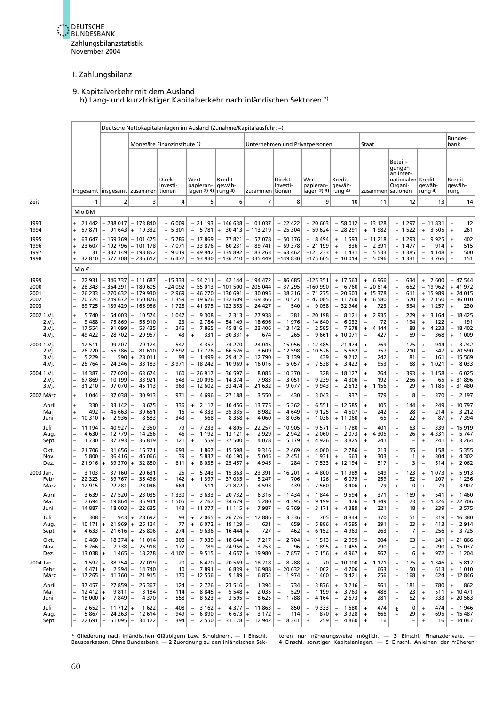

#### 9. Kapitalverkehr mit dem Ausland

h) Lang- und kurzfristiger Kapitalverkehr nach inländischen Sektoren \*)

|                     |                                                                | Deutsche Nettokapitalanlagen im Ausland (Zunahme/Kapitalausfuhr: –) |                                                                          |                                         |                                                         |                                                               |                                                                              |                                             |                                                                        |                                                                      |                                                          |                                                                    |                                                                      |                                             |
|---------------------|----------------------------------------------------------------|---------------------------------------------------------------------|--------------------------------------------------------------------------|-----------------------------------------|---------------------------------------------------------|---------------------------------------------------------------|------------------------------------------------------------------------------|---------------------------------------------|------------------------------------------------------------------------|----------------------------------------------------------------------|----------------------------------------------------------|--------------------------------------------------------------------|----------------------------------------------------------------------|---------------------------------------------|
|                     |                                                                |                                                                     |                                                                          | Monetäre Finanzinstitute 1)             |                                                         |                                                               |                                                                              | Unternehmen und Privatpersonen              |                                                                        |                                                                      | Staat                                                    |                                                                    |                                                                      | Bundes-<br>bank                             |
|                     |                                                                | Insgesamt   insgesamt   zusammen   tionen                           |                                                                          | Direkt-<br>investi-                     | Wert-<br>papieran-<br>lagen 2) 3)   rung 4)             | Kredit-<br> gewäh-                                            | zusammen tionen                                                              | Direkt-<br>investi-                         | Wert-<br>papieran-   gewäh-<br>lagen 2) 3) rung 4)                     | Kredit-                                                              | zusammen sationen                                        | Beteili-<br>gungen<br>an inter-<br>nationalen  Kredit-<br>Organi-  | gewäh-<br>rung 4)                                                    | Kredit-<br>gewäh-<br>rung                   |
| Zeit                | 1                                                              | $\overline{2}$                                                      | 3                                                                        | 4                                       | 5                                                       | 6                                                             | 7                                                                            | 8                                           | 9                                                                      | 10                                                                   | 11                                                       | 12                                                                 | 13                                                                   | 14                                          |
|                     | Mio DM                                                         |                                                                     |                                                                          |                                         |                                                         |                                                               |                                                                              |                                             |                                                                        |                                                                      |                                                          |                                                                    |                                                                      |                                             |
| 1993                | 21 442<br>÷.                                                   | $-288017$                                                           | $-173840$                                                                | $-6009$                                 | $-21193$                                                | $-146638$                                                     | $-101037$                                                                    | $-22422$                                    | $-20603$                                                               | $-58012$                                                             | $-13128$                                                 | $-1297$                                                            | $-11831$                                                             | 12                                          |
| 1994                | $\ddot{}$<br>57871                                             |                                                                     | $-91643 + 19332$                                                         | $-5301$                                 | $-5781$                                                 | 30 413<br>$+$                                                 | $-113219$                                                                    | $-25304$                                    | $-59624$                                                               | $-28291$                                                             | $+ 1982$                                                 | $-1522$                                                            | 3 5 0 5<br>$+$                                                       | 261<br>$\ddot{}$                            |
| 1995                | 63 647<br>+                                                    | $-169369$                                                           | $-101475$                                                                | $-5786$                                 | - 17 869                                                | $-77821$ $-57078$                                             |                                                                              | $-50176$                                    | $-8494$                                                                | 1 593<br>$\ddot{}$                                                   | $-11218$                                                 | $-1293$                                                            | 9925<br>$\overline{\phantom{0}}$                                     | 402<br>$\ddot{}$                            |
| 1996<br>1997        | 23 607<br>+<br>31                                              | - 192 796<br>  - 387 149                                            | $-101178$<br>$-198852$                                                   | - 7071<br>- 9019                        | $-33876$                                                | $-60231$<br>$-49942$ $-139892$                                | $-89741$<br>$-183263$                                                        | $-69378$<br>- 63 462                        | $-21199$<br>$-121233$                                                  | 836<br>$\ddot{}$<br>1 4 3 1                                          | $-2391$<br>5 5 3 3<br>$\overline{\phantom{a}}$           | $-1477$<br>$-1385$                                                 | 914<br>$\overline{\phantom{a}}$<br>4 148<br>$\overline{\phantom{a}}$ | 515<br>$\ddot{}$<br>500                     |
| 1998                | ÷<br>$\ddot{}$                                                 | $32810$ - 577 308                                                   | $-236612$                                                                | $-6472$                                 |                                                         | $-93930$   $-136210$                                          | - 335 449                                                                    | $-149830$                                   | $-175605$                                                              | $\ddot{}$<br>$-10014$                                                | $\overline{\phantom{a}}$<br>5096                         | $-1331$                                                            | 3766<br>$\overline{\phantom{a}}$                                     | $\ddot{}$<br>151                            |
|                     | Mio €                                                          |                                                                     |                                                                          |                                         |                                                         |                                                               |                                                                              |                                             |                                                                        |                                                                      |                                                          |                                                                    |                                                                      |                                             |
| 1999                | 22 931<br>-                                                    | $-346737$                                                           | $-111687$                                                                | -15 333                                 | - 54 211                                                | $-42144$                                                      | $-194472$                                                                    | $-86685$                                    | $-125351$                                                              | + 17 563                                                             | $+ 6966$                                                 | 634                                                                | 7600<br>$+$                                                          | $-47544$                                    |
| 2000                | $\ddot{}$                                                      | 28 343 - 364 291                                                    | $-180605$                                                                | -24 092                                 |                                                         | $-55013$ $-101500$ $-205044$                                  |                                                                              | $-37295$                                    | $-160990$                                                              | 6 7 6 0<br>$\overline{\phantom{a}}$                                  | $-20614$                                                 | 652<br>$\overline{\phantom{0}}$                                    | - 19 962                                                             | $+41972$                                    |
| 2001                | 26 233                                                         | $-270632$                                                           | $-179930$                                                                | $-2969$                                 |                                                         | $-46270$ $-130691$                                            | $-130095$                                                                    | $-38216$                                    | $-71275$                                                               | $-20603$                                                             | $+ 15378$                                                | 611<br>$\qquad \qquad -$                                           | + 15 989                                                             | $+24015$                                    |
| 2002<br>2003        | $\overline{\phantom{0}}$<br>70 724<br>$\overline{\phantom{a}}$ | – 249 672<br>$69725 - 189429$                                       | $-150876$<br>$-165956$                                                   | + 1359<br>- 1728                        |                                                         | $-19626$ $-13269$ $-$<br>$-41875$ $-12235$                    | 69 366<br>$-24427$                                                           | $-10521$<br>540<br>$\overline{\phantom{0}}$ | $-47085$<br>$+ 9058$                                                   | $-11760$<br>$-32946$                                                 | 6 580<br>$\ddot{}$<br>723<br>$\ddot{}$                   | $\overline{\phantom{0}}$<br>570<br>534<br>$\overline{\phantom{0}}$ | $+ 7150$<br>1 2 5 7<br>$\ddot{}$                                     | $-36010$<br>230<br>$\ddot{}$                |
| 2002 1.Vj.          | 5740<br>+                                                      | $-54003$                                                            | $-$<br>10 574                                                            | $+ 1047$                                | 9 3 0 8<br>$\overline{\phantom{a}}$                     | 2 3 1 3<br>$\overline{\phantom{a}}$                           | $-27938$                                                                     | 381<br>$\ddot{}$                            | $-20198$                                                               | 8 1 2 1<br>$\overline{\phantom{a}}$                                  | 2 9 3 5<br>$\ddot{}$                                     | 229<br>$\overline{a}$                                              | 3 1 6 4<br>$\ddot{}$                                                 | $-18425$                                    |
| 2.Vj.               | 9488                                                           | 75 869                                                              | 56 910                                                                   | 23<br>$\ddot{}$                         | 2 7 8 4<br>$\overline{\phantom{a}}$                     | 54 149                                                        | 18 696<br>$\qquad \qquad -$                                                  | $+ 1976$                                    | $-14640$                                                               | 6032<br>$\overline{\phantom{a}}$                                     | 72                                                       | 194<br>$\overline{\phantom{a}}$                                    | 122<br>$\ddot{}$                                                     | 191                                         |
| 3.Vj.               | 17 554                                                         | 91 099                                                              | $\overline{\phantom{a}}$<br>53 435                                       | 246<br>$\ddot{}$                        | 7865<br>$\overline{\phantom{a}}$                        | 45 816<br>$\overline{\phantom{a}}$                            | 23 406<br>$\qquad \qquad -$                                                  | $-13142$                                    | 2 5 8 5<br>$\overline{\phantom{a}}$                                    | 7678<br>$\overline{\phantom{a}}$                                     | 4 144<br>$\ddot{}$                                       | 88<br>$\overline{\phantom{0}}$                                     | 4 2 3 3<br>$\ddot{}$                                                 | $-18402$                                    |
| 4.Vj.               | 49 422<br>$\overline{\phantom{0}}$                             | $-28702$                                                            | $\overline{\phantom{a}}$<br>29 957                                       | 43                                      | 331<br>$\ddot{}$                                        | $-30331$ +                                                    | 674                                                                          | 265<br>$\ddot{}$                            | $-9661$                                                                | $+ 10071$                                                            | 427<br>$\overline{\phantom{a}}$                          | 59<br>$\overline{\phantom{0}}$                                     | $\overline{\phantom{0}}$<br>368                                      | 1 0 0 9<br>$\ddot{}$                        |
| 2003 1.Vj.<br>2.Vj. | 12 5 11<br>$\qquad \qquad -$<br>26 220                         | 99 207<br>65 386<br>$-$                                             | 79 174<br>$\overline{\phantom{a}}$<br>81 610                             | 547<br>$+ 2692$                         | $-4357$<br>$-17776$                                     | $-74270$<br>66 526<br>$\overline{\phantom{a}}$                | 24 045<br>$-$<br>$\qquad \qquad -$<br>3 609                                  | $-15056$<br>$+ 12598$                       | + 12 485<br>$-10526$                                                   | 21 474<br>$\overline{\phantom{a}}$<br>5 682                          | 769<br>$\ddot{}$<br>757<br>$\overline{\phantom{a}}$      | 175<br>210<br>$\overline{\phantom{0}}$                             | 944<br>$\ddot{}$<br>547<br>$\overline{\phantom{0}}$                  | 3 2 4 2<br>$+$<br>$+20590$                  |
| 3.Vj.               | 5 2 2 9                                                        | 590                                                                 | 28 011<br>$+$                                                            | 98<br>$\ddot{}$                         | $-1499$                                                 | $+ 29412$ $-$                                                 | 12 790                                                                       | $-3139$                                     | 439                                                                    | 9 2 1 2<br>$\overline{\phantom{a}}$                                  | 242<br>$\overline{\phantom{a}}$                          | 81<br>$\overline{\phantom{0}}$                                     | $\overline{a}$<br>161                                                | $-15569$                                    |
| 4.Vj.               | 25 7 64<br>$\overline{\phantom{0}}$                            | 24 246<br>$-$                                                       | $\overline{\phantom{a}}$<br>33 183                                       | - 3971                                  | $-18242$                                                | $\vert -10969 \vert +$                                        | 16 016                                                                       | 5 0 5 7<br>$+$                              | $\begin{array}{c} + \end{array}$<br>7 538                              | 3 4 2 2<br>$\bf{+}$                                                  | 953<br>$\ddot{}$                                         | 68<br>$\overline{\phantom{0}}$                                     | 1 0 2 1<br>$\bf{+}$                                                  | 8 0 3 3<br>$\overline{\phantom{a}}$         |
| 2004 1.Vj.          | 14 387                                                         | 77 020                                                              | 63 674<br>$\overline{\phantom{a}}$                                       | 160                                     | $-26917$                                                | 36 597<br>$\overline{\phantom{a}}$                            | 8 0 8 5                                                                      | $+ 10370$                                   | 328                                                                    | $-18127$                                                             | 764<br>$\ddot{}$                                         | 393<br>$\overline{\phantom{0}}$                                    | 1 1 5 8<br>$\ddot{}$                                                 | 6 0 2 5                                     |
| 2.Vj.<br>3.Vj.      | 67869<br>-<br>31 210                                           | 10 199<br>$\overline{a}$<br>$-97070$                                | $\overline{\phantom{a}}$<br>33 921<br>$\overline{\phantom{a}}$<br>45 113 | 548<br>$\ddot{}$<br>963<br>$\ddot{}$    | $-20095$<br>$-12602$                                    | $ -14374 $<br>$-33474$                                        | 7983<br>$\overline{\phantom{0}}$<br>$\overline{\phantom{0}}$<br>21 632       | 3 0 5 1<br>9077<br>$\overline{\phantom{a}}$ | 9 2 3 9<br>9 9 4 3<br>$\overline{\phantom{a}}$                         | 4 3 0 6<br>$\ddot{}$<br>2612<br>$\overline{\phantom{a}}$             | 192<br>1 1 5 6<br>$\ddot{}$                              | 256<br>29<br>$\overline{\phantom{0}}$                              | 65<br>$\ddot{}$<br>$\ddot{}$<br>1 1 8 5                              | + 31 896<br>$-31480$                        |
| 2002 März           | 1044<br>$\ddot{}$                                              | 37 038<br>$\overline{\phantom{0}}$                                  | 30 913<br>$\overline{\phantom{a}}$                                       | 971<br>÷                                | 4696                                                    | 27 188<br>$\overline{\phantom{m}}$                            | 3 5 5 0                                                                      | 430<br>$\ddot{}$                            | 3 043<br>$\overline{\phantom{0}}$                                      | 937                                                                  | 379                                                      | 8                                                                  | 370<br>$\overline{a}$                                                | 2 1 9 7                                     |
| April               | 330<br>$\ddot{}$                                               | 33 142                                                              | 8675                                                                     | 336                                     | 2 1 1 7<br>$\ddot{}$                                    | $\vert -\ 10\,456 \, \vert$                                   | $-13775$                                                                     | 5 3 6 2<br>$+$                              | 6 5 5 1<br>$\overline{\phantom{a}}$                                    | $-12585$                                                             | 105<br>$\ddot{}$                                         | 144<br>۰                                                           | $\ddot{}$<br>249                                                     | $-10797$                                    |
| Mai                 | 492<br>$\ddot{}$                                               | 45 663<br>$\overline{\phantom{0}}$                                  | $\overline{\phantom{a}}$<br>39 651                                       | 16<br>$\ddot{}$                         | 4 3 3 3<br>$\overline{\phantom{a}}$                     | 35 335<br>$\overline{\phantom{a}}$                            | 8982<br>$\overline{\phantom{0}}$                                             | 4 649<br>$+$                                | 9 1 2 5<br>$\overline{\phantom{a}}$                                    | 4 507<br>$\overline{\phantom{a}}$                                    | 242<br>$\overline{\phantom{a}}$                          | 28<br>$\overline{\phantom{0}}$                                     | 214<br>$\overline{\phantom{a}}$                                      | 3 2 1 2<br>$\ddot{}$                        |
| Juni                | $10310$ +                                                      | 2936                                                                | 8 5 8 3<br>$\overline{\phantom{a}}$                                      | 343<br>$\ddot{}$                        | 568<br>$\overline{\phantom{a}}$                         | $8358 +$<br>$\overline{\phantom{0}}$                          | 4 0 6 0                                                                      | 8036<br>$-$                                 | 1 0 3 6<br>$\ddot{}$                                                   | $+ 11060$                                                            | 65<br>$\overline{+}$                                     | 22<br>$\overline{\phantom{0}}$                                     | $\ddot{}$<br>87                                                      | 7 3 9 4<br>$\ddot{}$                        |
| Juli                | 11 194                                                         | 40 927                                                              | 2 3 5 0                                                                  | 79<br>÷                                 | 7 2 3 3<br>$\overline{\phantom{a}}$                     | 4 8 0 5<br>$\vert +$                                          | 22 257<br>$\overline{\phantom{a}}$                                           | $-10905$                                    | 9 5 7 1                                                                | 1780<br>$\overline{\phantom{a}}$                                     | 401<br>$\overline{\phantom{a}}$                          | 63                                                                 | 339<br>$\overline{\phantom{0}}$                                      | $-15919$<br>$\qquad \qquad -$               |
| Aug.<br>Sept.       | 4630<br>1730<br>$\overline{\phantom{0}}$                       | 12 779<br>37 393<br>$-$                                             | 14 26 6<br>$\overline{\phantom{a}}$<br>$\overline{\phantom{a}}$<br>36819 | 46<br>121<br>÷                          | 1 1 9 2<br>$\overline{\phantom{a}}$<br>559<br>$\ddot{}$ | 13121<br>$\overline{\phantom{m}}$<br>37 500<br>$\overline{a}$ | 2929<br>$\begin{array}{c} + \end{array}$<br>4078<br>$\overline{\phantom{0}}$ | $+ 2942$<br>5 1 7 9<br>$-$                  | 2 0 6 0<br>$\ddot{}$<br>4 9 2 6<br>$\ddot{}$                           | 2073<br>$\overline{\phantom{a}}$<br>3825<br>$\overline{\phantom{a}}$ | 4 3 0 5<br>$\ddot{}$<br>241<br>$\ddot{}$                 | 26<br>$\overline{\phantom{0}}$<br>$\qquad \qquad -$                | $\ddot{}$<br>4 331<br>241<br>$\ddot{}$                               | 5 7 4 7<br>3 2 6 4<br>$\ddot{}$             |
| Okt.                | 21 706                                                         | 31 656<br>$-$                                                       | 16 771<br>$\overline{\phantom{a}}$                                       | 693<br>÷                                | 1867<br>$\overline{\phantom{a}}$                        | 15 598<br>$\overline{a}$                                      | 9316                                                                         | 2 4 6 9<br>$-$                              | 4 0 6 0<br>$\overline{\phantom{a}}$                                    | 2786<br>$\overline{\phantom{a}}$                                     | 213<br>$\overline{\phantom{a}}$                          | 55                                                                 | 158<br>$\overline{\phantom{0}}$                                      | 5 3 5 5                                     |
| Nov.                | 5 800                                                          | 36 416<br>$-$                                                       | $\overline{\phantom{a}}$<br>46 066                                       | 39<br>$\qquad \qquad -$                 | 5837<br>$\overline{\phantom{a}}$                        | $\overline{\phantom{a}}$<br>40 190                            | 5 0 4 5<br>$\begin{array}{c} + \end{array}$                                  | 2 4 5 1<br>$+$                              | 1931<br>$\ddot{}$                                                      | $\ddot{}$<br>663                                                     | 303<br>$\ddot{}$                                         | $\mathbf{1}$<br>$\overline{\phantom{0}}$                           | 304<br>$\ddot{}$                                                     | 4 3 0 2<br>$\ddot{}$                        |
| Dez.                | $21916$ +                                                      | $39370$ +                                                           | 32 880                                                                   | 611                                     | 8 0 3 5<br>$\ddot{}$                                    | $\left  + \right $<br>$25457$ +                               | 4 9 4 5                                                                      | 284<br>$\ddot{}$                            | 7 5 3 3<br>$\overline{\phantom{a}}$                                    | + 12 194                                                             | 517<br>$\overline{\phantom{a}}$                          | 3<br>$\overline{\phantom{0}}$                                      | 514<br>$\overline{\phantom{0}}$                                      | 2 0 6 2<br>$\begin{array}{c} + \end{array}$ |
| 2003 Jan.<br>Febr.  | 3 1 0 3<br>22 3 23                                             | 37 160<br>39 767<br>$\qquad \qquad -$                               | 20 631<br>35 4 96<br>$\overline{\phantom{a}}$                            | 25<br>142                               | 5 2 4 3<br>1 3 9 7<br>$\ddot{}$                         | 15 363<br>37 035<br>$\overline{\phantom{a}}$                  | 23 391<br>5 2 4 7                                                            | - 16 201<br>706<br>$\ddot{}$                | 4 800<br>$\ddot{}$<br>126<br>$\ddot{}$                                 | $-11989$<br>6079<br>$\overline{\phantom{0}}$                         | 949<br>$\overline{+}$<br>259<br>$\overline{\phantom{a}}$ | 123<br>$\overline{\phantom{0}}$<br>52<br>$\overline{\phantom{0}}$  | 1073<br>$\ddot{}$<br>207<br>$\overline{\phantom{0}}$                 | 5913<br>$\ddot{}$<br>1 2 3 6<br>$\ddot{}$   |
| März                | $+$                                                            | 12 915 - 22 281                                                     | $-$<br>23 046                                                            | +<br>664                                | $\overline{\phantom{0}}$                                | $511$   - 21 872   +                                          | 4 5 9 3                                                                      | 439<br>$\ddot{}$                            | 7 5 6 0<br>$\ddot{}$                                                   | $\overline{\phantom{a}}$<br>3406                                     | 79<br>$\ddot{}$                                          | 0<br>Ŧ                                                             | 79<br>$\ddot{}$                                                      | 3 9 0 7                                     |
| April               |                                                                | $3639$ - 27 520 - 23 035                                            |                                                                          | $+ 1330$                                |                                                         | $-3633$ $-20732$ $-$                                          |                                                                              | $6316$ + 1434                               | 1844<br>$\ddot{}$                                                      | 9 594  <br>$\overline{\phantom{a}}$                                  | 371<br>$\ddot{}$                                         | 169                                                                | 541<br>$\overline{+}$                                                | 1460<br>$\ddot{}$                           |
| Mai                 | $\overline{\phantom{a}}$                                       | $7694$ - 19864 - 35941                                              |                                                                          |                                         |                                                         | $+ 1505$ - 2767 - 34 679 - 5280                               |                                                                              | $+ 4395$                                    | $-9199$                                                                | 476<br>$\overline{\phantom{a}}$                                      | 1 3 4 9<br>$\overline{\phantom{a}}$                      | 23                                                                 | $\overline{\phantom{a}}$<br>1 3 2 6                                  | $+22706$                                    |
| Juni                | $\overline{\phantom{0}}$                                       | $14887$ - 18 003 - 22 635                                           |                                                                          | $\overline{\phantom{a}}$<br>143         |                                                         | $-11377$ $- 11115$ $+$                                        | 7 987                                                                        | 6769<br>$+$                                 | $-3171$                                                                | $\bf{+}$<br>4 3 8 9                                                  | 221<br>$\ddot{}$                                         | 18                                                                 | 239<br>$\ddot{}$                                                     | $-3575$                                     |
| Juli<br>Aug.        | $308 -$                                                        | $10171$ + 21 969 + 25 124                                           | $943 + 28692$                                                            | 98<br>77                                | $\ddot{}$                                               | $+$ 2 065 $+$ 26 726 $-$ 12 886<br>$6072$ + 19 129 -          | 631                                                                          | 3 3 3 6<br>$-$<br>659<br>$\overline{+}$     | 705<br>5 886<br>$\overline{\phantom{a}}$                               | 8844<br>$\overline{\phantom{a}}$<br>4 5 9 5<br>$\ddot{}$             | 370<br>$\overline{\phantom{0}}$<br>391<br>$\overline{+}$ | 51<br>23                                                           | 319<br>$\overline{\phantom{0}}$<br>413<br>$\overline{+}$             | $-16380$<br>$-2914$                         |
| Sept.               | $\ddot{}$                                                      | $4633$ - 21616 - 25806                                              |                                                                          | 274<br>$\ddot{}$                        | $-$                                                     | $9636$ - 16444 +                                              | 727                                                                          | 462                                         | 6 152<br>$+$                                                           | 4 9 6 3<br>$\overline{\phantom{a}}$                                  | $\overline{a}$<br>263                                    | 7                                                                  | $\overline{\phantom{0}}$<br>256                                      | $+ 3725$                                    |
| Okt.                |                                                                | $6460$ - 18 374 + 11 014                                            |                                                                          | 308<br>$\ddot{}$                        |                                                         | $-7939$ + 18644 -                                             | 7 217                                                                        | $-2704$                                     | $-1513$                                                                | $\overline{\phantom{a}}$<br>2 999                                    | 304<br>$\overline{\phantom{a}}$                          | 63                                                                 | 241<br>$\overline{\phantom{0}}$                                      | $-21866$                                    |
| Nov.                | $6266$ $-$                                                     |                                                                     | 7 338 - 25 918                                                           | 172<br>$\overline{\phantom{0}}$         | $\overline{\phantom{a}}$                                | $789$ - 24 956 +                                              | 3 2 5 3                                                                      | 96<br>$\overline{\phantom{a}}$              | $+ 1895$                                                               | $\ddot{}$<br>1455                                                    | 290<br>$\ddot{}$                                         | $\qquad \qquad -$                                                  | 290<br>$\ddot{}$                                                     | $+ 15037$                                   |
| Dez.                | $13038$ +                                                      |                                                                     | 1 465 - 18 278                                                           | $-4107$                                 | $-$                                                     | $9515$ - 4657 + 19980                                         |                                                                              | $+ 7857$                                    | $+ 7156$                                                               | $\ddot{}$<br>4 967                                                   | 967<br>$\ddot{}$                                         | 6                                                                  | 972<br>$\ddot{}$                                                     | $-1204$                                     |
| 2004 Jan.<br>Febr.  | $4471$ +                                                       | $1592$ - 38 254 - 27 019                                            | $2594 - 14740$                                                           | 20<br>$\ddot{}$<br>10 <sup>1</sup>      | $-7891$ $-$                                             | $-6470$ $-20569$ $-18218$                                     | $6839$ + 16 988                                                              | $-8288$<br>$+20632$                         | 70<br>$\ddot{}$<br>1 0 6 2<br>$+$                                      | $-10000$<br>4706<br>$\overline{\phantom{a}}$                         | $+$<br>1 1 7 1<br>663<br>$\overline{\phantom{a}}$        | 175<br>$\overline{\phantom{0}}$<br>50                              | 1 3 4 6<br>$\ddot{}$<br>613                                          | $+ 5812$<br>$+ 1010$                        |
| März                |                                                                | $17265$ - 41 360 - 21 915                                           |                                                                          | 170<br>$\overline{\phantom{a}}$         | $-12556$ $-$                                            | $9189$ -                                                      | 6854                                                                         | $-1974$                                     | $-1460$                                                                | $\overline{\phantom{a}}$<br>3421                                     | 256<br>$\overline{+}$                                    | 168<br>$\overline{\phantom{0}}$                                    | 424  <br>$\ddot{}$                                                   | $-12846$                                    |
| April               | $\qquad \qquad -$                                              | $37\,457$ $-$ 27 859 $-$                                            | 26 367                                                                   | 124<br>$\overline{\phantom{0}}$         | $-2726$ $-$                                             | $23516$ -                                                     | 1394                                                                         | 734<br>$\overline{\phantom{a}}$             | $-3876$                                                                | 3 2 1 6<br>$+$                                                       | 961<br>$\overline{\phantom{a}}$                          | 181                                                                | 780<br>$\qquad \qquad -$                                             | 862<br>$\ddot{}$                            |
| Mai                 | $\overline{\phantom{0}}$<br>$12412$ +                          | $9811$ $-$                                                          | 3 1 8 4                                                                  | 114<br>$\ddot{}$                        | $-8845+$                                                | $5548$ +                                                      | 2035                                                                         | 529<br>$\overline{\phantom{a}}$             | $\overline{\phantom{a}}$<br>1 1 9 9                                    | 3763<br>$\pmb{+}$                                                    | 488<br>$\ddot{}$                                         | 23                                                                 | 511<br>$\ddot{}$                                                     | $+ 10471$                                   |
| Juni                | $18000 +$<br>$\overline{\phantom{a}}$                          | 7 849   –                                                           | 4 3 7 0                                                                  | 558<br>$\begin{array}{c} + \end{array}$ | $8523+$<br>$ \,$                                        | $3595$ $-$                                                    |                                                                              | $8625$ - 1788                               | 4 1 6 4<br>$\overline{\phantom{a}}$                                    | 2673<br>$\overline{\phantom{a}}$                                     | 281<br>$\overline{+}$                                    | 52                                                                 | 333<br>$\overline{+}$                                                | $+20563$                                    |
| Juli<br>Aug.        |                                                                | $2652$ - 11 712 +<br>$5867$   - 24 263   - 12 614                   | 1 622                                                                    | 408<br>$\ddot{}$<br>949<br>$\ddot{}$    | $-3162$ +                                               | $- 6890$ $- 6673$ $+ 3172$ $+ $                               | $4377$ - 11863                                                               | 850<br>$\overline{\phantom{a}}$<br>114      | 9 3 3 3<br>$\overline{\phantom{a}}$<br>870<br>$\overline{\phantom{a}}$ | 1680<br>$\overline{\phantom{a}}$<br>$+ 3928$                         | 474<br>$+$<br>666<br>$\ddot{}$                           | 0<br>±<br>29                                                       | 474<br>$^{+}$<br>695  <br>$+$                                        | $-1946$<br>$-15487$                         |
| Sept.               |                                                                | $22691$ - 61 095 - 34 122                                           |                                                                          | 394<br>$\qquad \qquad -$                |                                                         | $-$ 2 550 $-$ 31 178 $-$ 12 942 $-$ 8 341                     |                                                                              |                                             | 259<br>$\ddot{}$                                                       | $-4860$                                                              | $+$<br>16                                                |                                                                    | $\ddot{}$<br>16                                                      | $-14047$                                    |

\* Gliederung nach inländischen Gläubigern bzw. Schuldnern. — 1 Einschl. Moren nur näherungsweise möglich. — 3 Einschl. Finanzderivate. —<br>Bausparkassen. Ohne Bundesbank. — 2 Zuordnung zu den inländischen Sek- M4 Einschl. so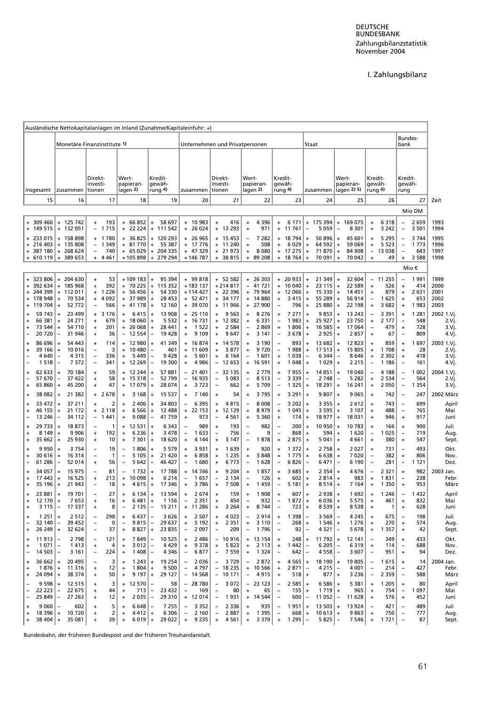| Ausländische Nettokapitalanlagen im Inland (Zunahme/Kapitaleinfuhr: +)<br>Bundes- |                                    |                                                                                                                                            |                                                                                              |                                        |                                                                        |                                                     |                                                                                  |                                                  |                                                                           |                                                        |                                                                           |                                                         |                                                                 |                                                       |                                                                                   |                                                     |                                                                           |                                                |                                                               |                                                 |                                                                           |                                           |                                                                                  |                                       |                                       |
|-----------------------------------------------------------------------------------|------------------------------------|--------------------------------------------------------------------------------------------------------------------------------------------|----------------------------------------------------------------------------------------------|----------------------------------------|------------------------------------------------------------------------|-----------------------------------------------------|----------------------------------------------------------------------------------|--------------------------------------------------|---------------------------------------------------------------------------|--------------------------------------------------------|---------------------------------------------------------------------------|---------------------------------------------------------|-----------------------------------------------------------------|-------------------------------------------------------|-----------------------------------------------------------------------------------|-----------------------------------------------------|---------------------------------------------------------------------------|------------------------------------------------|---------------------------------------------------------------|-------------------------------------------------|---------------------------------------------------------------------------|-------------------------------------------|----------------------------------------------------------------------------------|---------------------------------------|---------------------------------------|
|                                                                                   |                                    | Monetäre Finanzinstitute 1)                                                                                                                |                                                                                              |                                        |                                                                        |                                                     |                                                                                  |                                                  |                                                                           | Unternehmen und Privatpersonen                         |                                                                           |                                                         |                                                                 |                                                       |                                                                                   |                                                     | Staat                                                                     |                                                |                                                               |                                                 |                                                                           |                                           | bank                                                                             |                                       |                                       |
|                                                                                   |                                    |                                                                                                                                            |                                                                                              |                                        |                                                                        |                                                     |                                                                                  |                                                  |                                                                           |                                                        |                                                                           |                                                         |                                                                 |                                                       |                                                                                   |                                                     |                                                                           |                                                |                                                               |                                                 |                                                                           |                                           |                                                                                  |                                       |                                       |
| insgesamt                                                                         |                                    | zusammen                                                                                                                                   | Direkt-<br>investi-<br>∣tionen                                                               |                                        | Wert-                                                                  | papieran-<br>lagen 2)                               |                                                                                  | Kredit-<br>gewäh-<br>rung 4)                     |                                                                           | zusammen                                               | tionen                                                                    | Direkt-<br>investi-                                     | Wert-                                                           | papieran-<br>lagen 2)                                 |                                                                                   | Kredit-<br>gewäh-<br>rung 4)                        |                                                                           | zusammen                                       |                                                               | Wert-<br>papieran-<br>lagen 2) 5)               |                                                                           | Kredit-<br>gewäh-<br>rung $4$ )           | Kredit-<br>gewäh-<br>rung                                                        |                                       |                                       |
|                                                                                   | 15                                 | 16                                                                                                                                         |                                                                                              | 17                                     |                                                                        | 18                                                  |                                                                                  | 19                                               |                                                                           | 20                                                     |                                                                           | 21                                                      |                                                                 | 22                                                    |                                                                                   | 23                                                  |                                                                           | 24                                             |                                                               | 25                                              |                                                                           | 26                                        |                                                                                  | 27                                    | Zeit                                  |
|                                                                                   |                                    |                                                                                                                                            |                                                                                              |                                        |                                                                        |                                                     |                                                                                  |                                                  |                                                                           |                                                        |                                                                           |                                                         |                                                                 |                                                       |                                                                                   |                                                     |                                                                           |                                                |                                                               |                                                 |                                                                           |                                           |                                                                                  | Mio DM                                |                                       |
| + 309 460<br>+ 149 515                                                            |                                    | 125 742<br>$\ddot{}$<br>$\ddot{}$<br>132 051                                                                                               | $\ddot{}$<br>$\overline{\phantom{0}}$                                                        | 193<br>1715                            | $\ddot{}$                                                              | + 66 852<br>22 224                                  | $\ddot{}$<br>$\ddot{}$                                                           | 58 697<br>111 542                                | $+$                                                                       | $+ 10983$<br>26 024                                    | $\ddot{}$<br>$\ddot{}$                                                    | 416<br>13 293                                           | $\ddot{}$<br>$\ddot{}$                                          | 4 3 9 6<br>971                                        | +<br>$\ddot{}$                                                                    | 6 1 7 1<br>11 761                                   | $\qquad \qquad -$                                                         | + 175 394<br>5 0 5 9                           | $+$<br>$\overline{\phantom{a}}$                               | 169 075<br>8 3 0 1                              | $\ddot{}$<br>$\ddot{}$                                                    | 6318<br>3 2 4 2                           | $\qquad \qquad -$<br>$\overline{\phantom{a}}$                                    | 2 6 5 9<br>3 5 0 1                    | 1993<br>1994                          |
| + 233 015<br>+ 216 403                                                            |                                    | + 158 898<br>+ 135 808                                                                                                                     |                                                                                              | $+ 1780$<br>$-1349$                    | $\ddot{}$                                                              | 36 825<br>+ 81 770                                  | $\ddot{}$                                                                        | + 120 293<br>55 387                              |                                                                           | + 26 965<br>+ 17 776                                   | $\ddot{}$<br>$\ddot{}$                                                    | 15 453<br>11 240                                        | $\overline{\phantom{a}}$<br>$\ddot{}$                           | 7 2 8 2<br>508                                        | +<br>$\ddot{}$                                                                    | 18 794<br>6029                                      | $\ddot{}$<br>$\ddot{}$                                                    | 50 896<br>64 592                               | $\ddot{}$<br>$\ddot{}$                                        | 45 601<br>59 069                                | +<br>$\ddot{}$                                                            | 5 2 9 5<br>5 5 2 3                        | $\overline{\phantom{0}}$<br>$\overline{\phantom{a}}$                             | 3 7 4 4<br>1773                       | 1995<br>1996                          |
| + 387 180                                                                         |                                    | $+ 268624$<br>$+ 610119$ + 389 653                                                                                                         | $\qquad \qquad -$                                                                            | 740<br>+ 4461                          |                                                                        | $+ 65029$<br>+ 105 898                              |                                                                                  | + 204 335<br>+ 279 294                           |                                                                           | + 47329<br>+ 146 787                                   | $\ddot{}$<br>$+$                                                          | 21 973<br>38 815                                        | $\ddot{}$<br>$+$                                                | 8 0 8 0<br>89 208                                     | $\ddot{}$                                                                         | 17 275<br>+ 18 764                                  | $\ddot{}$<br>$\ddot{}$                                                    | 71 870<br>70 091                               | $\ddot{}$<br>$\ddot{}$                                        | 84 908<br>70 042                                | $\overline{\phantom{a}}$<br>$\ddot{}$                                     | 13 038<br>49                              | $\overline{\phantom{0}}$<br>$\ddot{}$                                            | 643<br>3 5 8 8                        | 1997<br>1998                          |
|                                                                                   |                                    |                                                                                                                                            |                                                                                              |                                        |                                                                        |                                                     |                                                                                  |                                                  |                                                                           |                                                        |                                                                           |                                                         |                                                                 |                                                       |                                                                                   |                                                     |                                                                           |                                                |                                                               |                                                 |                                                                           |                                           |                                                                                  | Mio €                                 |                                       |
| + 323 806<br>+ 392 634<br>+ 244 399<br>+ 178 948<br>+ 119 704                     |                                    | 204 630<br>$\ddot{}$<br>185 968<br>$+$<br>112 011<br>$\ddot{}$<br>70 534<br>$\ddot{}$<br>52 772<br>$\bf{+}$                                | $\ddot{}$<br>$\begin{array}{c} + \end{array}$<br>$\ddot{}$<br>$\ddot{}$<br>$\qquad \qquad -$ | 53<br>392<br>1 2 2 6<br>4 0 9 2<br>566 | $\ddot{}$<br>$\ddot{}$<br>$\ddot{}$                                    | +109 183<br>$+ 70225$<br>56 456<br>37 989<br>41 178 | $\ddot{}$<br>$+$<br>$\ddot{}$<br>$\ddot{}$<br>$\ddot{}$                          | 95 394<br>115 352<br>54 330<br>28 4 53<br>12 160 |                                                                           | + 99 818<br>+183137<br>+114427<br>+ 52 471<br>+ 39 070 | +<br>$\ddot{}$                                                            | $+ 52582$<br>$+214817$<br>$+ 22396$<br>34 177<br>11 966 | $\ddot{}$<br>$+$                                                | $+ 26303$<br>$-41721$<br>+ 79 964<br>14 880<br>27 900 | +<br>L,                                                                           | + 20 933<br>$+ 10040$<br>+ 12 066<br>3 4 1 5<br>796 | $\ddot{}$<br>$\ddot{}$<br>$\ddot{}$<br>$\ddot{}$<br>$\ddot{}$             | 21 349<br>23 115<br>15 330<br>55 289<br>25 880 | $\ddot{}$<br>$\ddot{}$<br>$\ddot{}$<br>$\ddot{}$<br>$\ddot{}$ | 32 604<br>22 589<br>14 4 51<br>56 914<br>22 198 | $\ddot{}$<br>$\ddot{}$<br>$\overline{a}$<br>$\ddot{}$                     | $-11255$<br>526<br>879<br>1625<br>3 6 8 2 | $\overline{\phantom{0}}$<br>$\ddot{}$<br>$\ddot{}$<br>$\ddot{}$<br>$\ddot{}$     | 1991<br>414<br>2 6 3 1<br>653<br>1983 | 1999<br>2000<br>2001<br>2002<br>2003  |
| 59 743<br>66 381<br>÷<br>73 544<br>20 720                                         |                                    | 23 499<br>$\ddot{}$<br>24 271<br>$\bf{+}$<br>54 710<br>$\ddot{}$<br>31 946<br>$\overline{\phantom{a}}$                                     | $\ddot{}$<br>$\ddot{}$<br>$\ddot{}$<br>$\ddot{}$                                             | 3 1 7 6<br>679<br>201<br>36            | $\ddot{}$<br>$+$<br>$\ddot{}$<br>$\overline{\phantom{0}}$              | 6415<br>18 060<br>26 068<br>12 5 54                 | $\ddot{}$<br>$\ddot{}$<br>$\ddot{}$<br>$\overline{\phantom{a}}$                  | 13 908<br>5 5 3 2<br>28 441<br>19 4 28           | $+$<br>$\ddot{}$<br>+                                                     | 25 110<br>+ 16 731<br>1 5 2 2<br>9 1 0 9               | $\ddot{}$<br>$\ddot{}$<br>$\begin{array}{c} + \end{array}$<br>$\ddot{}$   | 9 5 6 3<br>12 3 8 2<br>2 5 8 4<br>9 6 4 7               | $\ddot{}$<br>$\ddot{}$<br>$\overline{\phantom{a}}$<br>$\ddot{}$ | 8 2 7 6<br>6331<br>2869<br>3 1 4 1                    | $\ddot{}$<br>$\ddot{}$<br>$\overline{\phantom{0}}$                                | 7 2 7 1<br>1983<br>1806<br>3678                     | $\ddot{}$<br>$\ddot{}$<br>$\ddot{}$<br>$\bf{+}$                           | 9853<br>25 927<br>16 585<br>2 9 2 5            | $\ddot{}$<br>$\ddot{}$<br>$\ddot{}$<br>$\overline{+}$         | 13 243<br>23 750<br>17 064<br>2857              | $\ddot{}$<br>$\qquad \qquad -$<br>$\ddot{}$                               | 3 3 9 1<br>2 177<br>479<br>67             | $\ddot{}$<br>$\overline{\phantom{0}}$<br>$\ddot{}$<br>$\overline{\phantom{a}}$   | 1 2 8 1<br>548<br>728<br>809          | 2002 1.Vj.<br>2.Vj.<br>3.Vj.<br>4.Vj. |
| 86 696<br>÷<br>39 166<br>÷                                                        | 4 640<br>1518                      | 54 443<br>$\ddot{}$<br>10 0 16<br>$\begin{array}{c} + \end{array}$<br>4315<br>$\overline{\phantom{0}}$<br>7372<br>$\overline{\phantom{0}}$ | $\ddot{}$<br>$\overline{\phantom{a}}$<br>$\overline{\phantom{a}}$<br>$\qquad \qquad -$       | 114<br>3<br>336<br>341                 | $\ddot{}$<br>$\ddot{}$<br>$\ddot{}$<br>$\ddot{}$                       | 12 980<br>10 480<br>5 4 4 9<br>12 269               | $\ddot{}$<br>$\overline{\phantom{0}}$<br>$\equiv$<br>$\overline{\phantom{0}}$    | 41 349<br>461<br>9428<br>19 300                  | $\ddot{}$<br>$\ddot{}$<br>$\ddot{}$<br>$\ddot{}$                          | 16874<br>11 609<br>5 601<br>4986                       | $\ddot{}$<br>$\ddot{}$<br>$\ddot{}$<br>$\qquad \qquad -$                  | 14 578<br>3877<br>6 1 6 4<br>12 653                     | $\ddot{}$<br>$\ddot{}$<br>$\overline{\phantom{a}}$<br>$\ddot{}$ | 3 1 9 0<br>9720<br>1601<br>16 591                     | $\overline{\phantom{a}}$<br>$\ddot{}$<br>$\ddot{}$                                | 893<br>1988<br>1038<br>1 0 4 8                      | $\ddot{}$<br>$\ddot{}$<br>$\equiv$<br>$\ddot{}$                           | 13 682<br>17 513<br>6 3 4 4<br>1 0 2 9         | $\overline{1}$<br>$\ddot{}$<br>$\overline{a}$<br>$\ddot{}$    | 12823<br>15 805<br>8646<br>2 2 1 5              | $\ddot{}$<br>$\ddot{}$<br>$\ddot{}$<br>$\qquad \qquad -$                  | 859<br>1708<br>2 3 0 2<br>1 1 8 6         | $\ddot{}$<br>$\ddot{}$<br>$\ddot{}$<br>$\overline{\phantom{0}}$                  | 697<br>1<br>28<br>418<br>161          | 2003 1.Vj<br>2.Vj.<br>3.Vj.<br>4.Vj.  |
| 62 633<br>+<br>57 670<br>65 860<br>÷                                              |                                    | $\bf{+}$<br>70 184<br>37 422<br>$\overline{\phantom{0}}$<br>45 200<br>$\bf{+}$                                                             | $\begin{array}{c} + \end{array}$<br>+<br>+                                                   | 59<br>58<br>47                         | $\ddot{}$<br>$\ddot{}$                                                 | $+ 12244$<br>15 3 18<br>17 079                      | $\ddot{}$<br>$\overline{\phantom{a}}$<br>$\ddot{}$                               | 57881<br>52 799<br>28 074                        | $\overline{\phantom{0}}$<br>$\ddot{}$                                     | - 21 401<br>16935<br>3723                              | $\overline{\phantom{a}}$<br>$\qquad \qquad -$<br>$\overline{\phantom{a}}$ | 32 135<br>5 0 8 3<br>662                                | $\ddot{}$<br>$\overline{\phantom{0}}$<br>$\ddot{}$              | 2779<br>8513<br>5709                                  | $\ddot{}$<br>$\overline{\phantom{0}}$<br>$\overline{\phantom{a}}$                 | 7955<br>3 3 3 9<br>1 3 2 5                          | $\begin{array}{c} + \end{array}$<br>$\overline{a}$<br>$\bf{+}$            | 14 851<br>2 7 4 8<br>18 291                    | $\ddot{}$<br>۰<br>$\overline{+}$                              | 19 040<br>5 2 8 2<br>16 241                     | -<br>$\ddot{}$<br>$\ddot{}$                                               | 4 188<br>2 5 3 4<br>2 0 5 0               | $\overline{\phantom{0}}$<br>$\overline{\phantom{0}}$<br>$\overline{\phantom{a}}$ | 002<br>ำ<br>564<br>1 3 5 4            | 2004 1.Vj.<br>2.Vj.<br>3.Vj.          |
| 38 082<br>÷                                                                       |                                    | 21 382<br>$\ddot{}$                                                                                                                        | $\ddot{}$                                                                                    | 2678                                   | $\ddot{}$                                                              | 3<br>168                                            | $\ddot{}$                                                                        | 15 537                                           | $\ddot{}$                                                                 | 7 140                                                  | $\ddot{}$                                                                 | 54                                                      | $\ddot{}$                                                       | 3795                                                  | $\ddot{}$                                                                         | 3 2 9 1                                             | $\ddot{}$                                                                 | 9807                                           | $\overline{+}$                                                | 9065                                            | $\ddot{}$                                                                 | 742                                       | $\overline{\phantom{0}}$                                                         | 247                                   | 2002 März                             |
| 33 472<br>÷<br>46 155<br>$\ddot{}$<br>13 246                                      |                                    | 37 211<br>$\ddot{}$<br>21 172<br>$\bf{+}$<br>34 112<br>$\overline{\phantom{a}}$                                                            | $\ddot{}$<br>$\ddot{}$<br>$\overline{\phantom{0}}$                                           | 2<br>2 1 1 8<br>1441                   | $\ddot{}$<br>$\ddot{}$<br>$\ddot{}$                                    | 2 4 0 6<br>6 5 6 6<br>9088                          | $\ddot{}$<br>$\ddot{}$<br>$\overline{\phantom{a}}$                               | 34 803<br>12 488<br>41759                        | $\ddot{}$<br>$\ddot{}$                                                    | 6 3 9 5<br>22 153<br>973                               | $\ddot{}$<br>$\ddot{}$<br>$\qquad \qquad -$                               | 4815<br>12 129<br>4 5 6 1                               | $\overline{\phantom{a}}$<br>$\ddot{}$<br>$\ddot{}$              | 8 0 0 8<br>8979<br>5 3 6 0                            | $\ddot{}$<br>$\ddot{}$                                                            | 3 2 0 2<br>1 0 4 5<br>174                           | $\ddot{}$<br>$\ddot{}$<br>$\ddot{}$                                       | 3 3 5 5<br>3 5 9 5<br>18 977                   | $\ddot{}$<br>$\overline{+}$<br>$\overline{+}$                 | 2612<br>3 1 0 7<br>18 031                       | $\ddot{}$<br>$\ddot{}$<br>$\ddot{}$                                       | 743<br>488<br>946                         | $\overline{\phantom{a}}$<br>$\overline{\phantom{a}}$<br>$\ddot{}$                | 699<br>765<br>917                     | April<br>Mai<br>Juni                  |
| 29 733<br>$\ddot{}$<br>35 662<br>÷                                                | 8 1 4 9                            | 18873<br>$\ddot{}$<br>9 9 0 6<br>$\ddot{}$<br>25 930<br>$\ddot{}$                                                                          | $\ddot{}$<br>$\ddot{}$                                                                       | 1<br>192<br>10                         | $\ddot{}$<br>$\ddot{}$<br>$\ddot{}$                                    | 12 531<br>6 2 3 6<br>7 301                          | $\ddot{}$<br>$\ddot{}$<br>$\ddot{}$                                              | 6 3 4 3<br>3 4 7 8<br>18 620                     | $\overline{\phantom{0}}$<br>$\qquad \qquad -$<br>$\ddot{}$                | 989<br>1633<br>4 144                                   | $\ddot{}$<br>$\begin{array}{c} + \end{array}$                             | 193<br>756<br>3 1 4 7                                   | $\overline{\phantom{0}}$<br>$\overline{\phantom{0}}$            | 982<br>9<br>1878                                      | ۳<br>$\qquad \qquad -$<br>$\begin{array}{c} + \end{array}$                        | 200<br>868<br>2875                                  | ÷<br>$\ddot{}$<br>$\begin{array}{c} + \end{array}$                        | 10 950<br>594<br>5 0 4 1                       | $\ddot{}$<br>$\ddot{}$<br>$\overline{+}$                      | 10783<br>1620<br>4 661                          | $\ddot{}$<br>$\qquad \qquad -$<br>$\ddot{}$                               | 166<br>1 0 2 5<br>380                     | $\ddot{}$<br>$\overline{\phantom{0}}$<br>$\ddot{}$                               | 900<br>719<br>547                     | Juli<br>Aug.<br>Sept.                 |
| 30 616<br>61 286                                                                  | 9950                               | 3754<br>$\ddot{}$<br>16 3 14<br>$\ddot{}$<br>$\overline{\phantom{0}}$<br>52 014                                                            | $\qquad \qquad -$<br>$\ddot{}$                                                               | 19<br>1<br>56                          | $\overline{\phantom{0}}$<br>$\overline{\phantom{0}}$<br>$\overline{a}$ | 1806<br>5 1 0 5<br>5 6 4 2                          | $\ddot{}$<br>$\ddot{}$<br>$\overline{\phantom{a}}$                               | 5 5 7 9<br>21 4 20<br>46 427                     | +<br>$\ddot{}$<br>$\qquad \qquad -$                                       | 3 9 3 1<br>6858<br>1680                                | $\ddot{}$<br>$\ddot{}$<br>$\ddot{}$                                       | 1 639<br>1 2 3 5<br>6773                                | $\overline{1}$<br>$\ddot{}$<br>$\overline{a}$                   | 920<br>3848<br>1628                                   | $\ddot{}$<br>$\ddot{}$<br>L,                                                      | 1 3 7 2<br>1775<br>6826                             | $\ddot{}$<br>$\ddot{}$<br>$\overline{\phantom{0}}$                        | 2758<br>6638<br>6471                           | $\overline{+}$<br>$\overline{+}$<br>$\overline{\phantom{a}}$  | 2027<br>7020<br>6 1 9 0                         | $\ddot{}$<br>$\overline{\phantom{0}}$<br>$\overline{a}$                   | 731<br>382<br>281                         | $\overline{\phantom{0}}$<br>$\ddot{}$<br>$\overline{\phantom{0}}$                | 493<br>806<br>1 1 2 1                 | Okt.<br>Nov.<br>Dez.                  |
| 34 057<br>17 443<br>÷<br>35 196<br>+                                              |                                    | 15 975<br>$\ddot{}$<br>16 525<br>$\ddot{}$<br>21 943<br>$\ddot{}$                                                                          | $\qquad \qquad -$<br>$\ddot{}$                                                               | 81<br>213<br>18                        | $\overline{\phantom{0}}$<br>$\ddot{}$<br>$\ddot{}$                     | 1732<br>10 098<br>4615                              | $\ddot{}$<br>$\ddot{}$<br>$\ddot{}$                                              | 17 788<br>6 2 1 4<br>17 346                      | $\ddot{}$<br>$\ddot{}$                                                    | 14 746<br>1657<br>3786                                 | $\ddot{}$<br>$\overline{\phantom{0}}$<br>$\ddot{}$                        | 9 2 0 4<br>2 1 3 4<br>7 508                             | $\ddot{}$<br>$\overline{\phantom{a}}$<br>$\ddot{}$              | 1857<br>126<br>1459                                   | +<br>$\ddot{}$                                                                    | 3685<br>602<br>5 1 8 1                              | $\ddot{}$<br>$\ddot{}$<br>$\begin{array}{c} + \end{array}$                | 2 3 5 4<br>2814<br>8514                        | $\overline{+}$<br>$\overline{+}$<br>$\overline{+}$            | 4676<br>983<br>7 164                            | $\qquad \qquad -$<br>$\ddot{}$<br>$\ddot{}$                               | 2 3 2 1<br>1831<br>1 3 5 0                | $\ddot{}$<br>$\overline{\phantom{0}}$<br>$\ddot{}$                               | 982<br>238<br>953                     | 2003 Jan.<br>Febr.<br>März            |
| 23 881<br>+                                                                       | 12 170   +<br>$3115$ –             | 19 701<br>$\ddot{}$<br>7653<br>17 337                                                                                                      | $\overline{\phantom{0}}$<br>$\ddot{}$                                                        | 27<br>16<br>8                          | $\ddot{}$<br>$\qquad \qquad -$                                         | 6134<br>6481 +<br>2 135   –                         | $\ddot{}$                                                                        | 13 5 94<br>1 156<br>15 211                       | $\ddot{}$<br>$\overline{\phantom{m}}$                                     | 2674<br>2351<br>$+ 11286$                              | $\ddot{}$<br>$\ddot{}$                                                    | 159<br>454<br>3 2 6 4                                   | $\overline{ }$<br>$\overline{\phantom{m}}$<br>$\bf{+}$          | 1908<br>932<br>8 744                                  | $\ddot{}$<br>$\overline{a}$                                                       | 607<br>$1872$ +<br>723                              | $\ddot{}$<br>$\pm$                                                        | 2938<br>$6036$   +<br>$8539 +$                 | $\overline{+}$                                                | 1692<br>5 5 7 5<br>8 5 3 8                      | $\ddot{}$<br>$\ddot{}$                                                    | 1 2 4 6<br>461<br>$\mathbf{1}$            | $\overline{\phantom{0}}$<br>$\ddot{}$                                            | 1 4 3 2<br>832<br>628                 | April<br>Mai<br>Juni                  |
|                                                                                   | $1251$ +<br>32 140<br>$26249$ +    | 2512<br>39 452<br>$\overline{\phantom{a}}$<br>32 624                                                                                       | $\qquad \qquad -$<br>$\qquad \qquad -$                                                       | 298<br>0<br>37                         | $\ddot{}$<br>$\overline{\phantom{0}}$<br>$\ddot{}$                     | $6437 -$<br>9815<br>$8827$ +                        | $\overline{\phantom{a}}$                                                         | 3 6 2 6<br>29 637<br>23 835                      | $\begin{array}{c} + \end{array}$<br>$\ddot{}$<br>$\qquad \qquad -$        | 2 5 0 7<br>5 1 9 2<br>2 0 9 7                          | $\ddot{}$<br>$\begin{array}{c} + \end{array}$<br>$\qquad \qquad -$        | 4 0 23<br>2 3 5 1<br>209                                | $\begin{array}{c} + \end{array}$<br>$\overline{\phantom{a}}$    | 2914<br>3 1 1 0<br>1796                               | $\ddot{}$<br>$\overline{\phantom{0}}$<br>$\overline{\phantom{0}}$                 | 1 3 9 8<br>268<br>92                                | $\overline{\phantom{a}}$<br>$\ddot{}$<br>$\overline{\phantom{a}}$         | 3 5 6 9<br>1 5 4 6<br>4 3 2 1                  | $+$                                                           | 4 2 4 5<br>1 2 7 6<br>5678                      | $\ddot{}$<br>$\ddot{}$<br>$\ddot{}$                                       | 675<br>270<br>1 3 5 7                     | $\overline{\phantom{0}}$<br>$\ddot{}$<br>$\ddot{}$                               | 198<br>574<br>42                      | Juli<br>Aug.<br>Sept.                 |
| ÷                                                                                 | 11 913<br>1071<br>14 503           | $\overline{\phantom{a}}$<br>2798<br>$\overline{\phantom{0}}$<br>1413<br>$\overline{\phantom{0}}$<br>3 1 6 1                                | $\overline{\phantom{a}}$<br>$\ddot{}$<br>$\qquad \qquad -$                                   | 121<br>4<br>224                        | $\ddot{}$<br>$\ddot{}$<br>$\ddot{}$                                    | 7849<br>$3012$ –<br>1408                            | $\overline{\phantom{a}}$<br>$\overline{\phantom{a}}$                             | 10 525<br>4429<br>4 3 4 6                        | $\begin{array}{c} + \end{array}$<br>$\pmb{+}$<br>$\overline{\phantom{0}}$ | 2 4 8 6<br>9 3 7 8<br>6877                             | $\ddot{}$<br>$\overline{\phantom{a}}$                                     | $-10916$<br>5823<br>7 5 5 9                             | $\ddot{}$<br>$\begin{array}{c} + \end{array}$                   | $+ 13154$<br>2 1 1 3<br>1 3 2 4                       | $\begin{array}{c} + \end{array}$<br>$\begin{array}{c} + \end{array}$              | 248<br>1442<br>642                                  | $\ddot{}$<br>$\overline{\phantom{a}}$<br>$\overline{\phantom{a}}$         | 11 792<br>6 2 0 5<br>4 5 5 8                   | $^{+}$<br>$\overline{\phantom{0}}$                            | 12 141<br>6319<br>3 607                         | $\ddot{}$                                                                 | 349<br>114<br>951                         | $\ddot{}$<br>$\overline{\phantom{0}}$<br>$\ddot{}$                               | 433<br>688<br>94                      | Okt.<br>Nov.<br>Dez.                  |
| $\ddot{}$<br>+                                                                    | $36662$ +<br>$1876$ +<br>$24094$ + | 20 4 95<br>11 3 16<br>38 374                                                                                                               | $\overline{\phantom{0}}$<br>$\ddot{}$<br>$\begin{array}{c} + \end{array}$                    | 3<br>12<br>50                          | $\ddot{}$<br>$\ddot{}$<br>$\ddot{}$                                    | $1243$ +<br>1804<br>$9197$ +                        | $\ddot{}$                                                                        | 19 254<br>9 500<br>29 127                        | $\overline{\phantom{a}}$<br>$\overline{\phantom{a}}$                      | 2036<br>4 7 9 7<br>$-14568$                            | $\overline{\phantom{a}}$                                                  | 3729<br>$-18235$<br>$-10171$                            | $\overline{\phantom{a}}$<br>$\overline{\phantom{a}}$            | 2872<br>$+ 10566$<br>4915                             | $\ddot{}$<br>$\begin{array}{c} + \end{array}$<br>$\begin{array}{c} + \end{array}$ | $4565$ +<br>2871<br>$518$ +                         | $\overline{\phantom{a}}$                                                  | $18190 +$<br>4 2 1 5<br>$877$   +              | $\overline{\phantom{0}}$                                      | 19 805<br>4 0 0 1<br>3 2 3 6                    | $\qquad \qquad -$<br>$\overline{\phantom{0}}$<br>$\overline{\phantom{a}}$ | 1615<br>214<br>2 3 5 9                    | $\ddot{}$<br>$\overline{\phantom{0}}$<br>$\overline{\phantom{a}}$                | 14<br>427<br>588                      | 2004 Jan.<br>Febr.<br>März            |
|                                                                                   | $9598$ +<br>22 223<br>25 849       | 12 5 15<br>$\overline{\phantom{a}}$<br>22 675<br>$\overline{\phantom{a}}$<br>27 263                                                        | $\begin{array}{c} + \end{array}$<br>+<br>+                                                   | 3<br>44<br>12                          | $\ddot{}$<br>$\ddot{}$<br>$\bf{+}$                                     | 12 570<br>713<br>2035                               | $\overline{\phantom{a}}$<br>$\overline{\phantom{a}}$<br>$\overline{\phantom{a}}$ | 58<br>23 4 32<br>29 310                          | $\overline{\phantom{a}}$                                                  | $-28780$<br>169<br>$+ 12014$                           | $\overline{\phantom{a}}$<br>$\qquad \qquad -$<br>$\overline{\phantom{a}}$ | 3 0 7 2<br>80<br>1931                                   | $\bf{+}$                                                        | $-23123$<br>65<br>$+ 14544$                           | $\overline{\phantom{a}}$<br>$\qquad \qquad -$<br>$\overline{a}$                   | 2 5 8 5<br>155<br>600                               | $\begin{array}{c} + \end{array}$<br>$\ddot{}$<br>$\overline{\phantom{a}}$ | $6586 +$<br>$1719$ +<br>11 052                 | $\overline{\phantom{a}}$                                      | 5 3 8 1<br>965<br>11 628                        | $\ddot{}$<br>$\ddot{}$<br>$\ddot{}$                                       | 1 2 0 5<br>754<br>576                     | $\ddot{}$<br>$\qquad \qquad -$<br>$\begin{array}{c} + \end{array}$               | 80<br>1 0 9 7<br>452                  | April<br>Mai<br>Juni                  |
| +                                                                                 | 9060<br>18 396<br>$38404$ +        | $\overline{\phantom{a}}$<br>602<br>$\pmb{+}$<br>10 720<br>35 081                                                                           | +<br>+                                                                                       | 5<br>2<br>39                           | $\ddot{}$<br>$\ddot{}$<br>$\ddot{}$                                    | $6648$ -<br>$4412$ +<br>$6019$ +                    |                                                                                  | 7 2 5 5<br>6 3 0 6<br>29 0 22                    | $\overline{\phantom{a}}$<br>$\overline{\phantom{a}}$<br>$\ddot{}$         | 3 3 5 2<br>2 1 6 0<br>9 2 3 5                          | $\overline{\phantom{a}}$<br>$\overline{\phantom{a}}$<br>$\ddot{}$         | 2 3 3 6<br>2887<br>4 5 6 1                              | $\ddot{}$<br>$\ddot{}$<br>$\ddot{}$                             | 935<br>1 3 9 5<br>3379                                | $\overline{\phantom{a}}$<br>$\qquad \qquad -$<br>$\pmb{+}$                        | $1951$ +<br>$668$   +<br>$1295$ -                   |                                                                           | $13503$ +<br>10613<br>5825                     | $+$                                                           | 13 9 24<br>9863<br>7 5 4 6                      | $\qquad \qquad -$<br>$\begin{array}{c} + \end{array}$<br>$\pmb{+}$        | 421<br>750<br>1721                        | $\overline{\phantom{a}}$                                                         | 489<br>777<br>87                      | Juli<br>Aug.<br>Sept.                 |

Bundesbahn, der früheren Bundespost und der früheren Treuhandanstalt.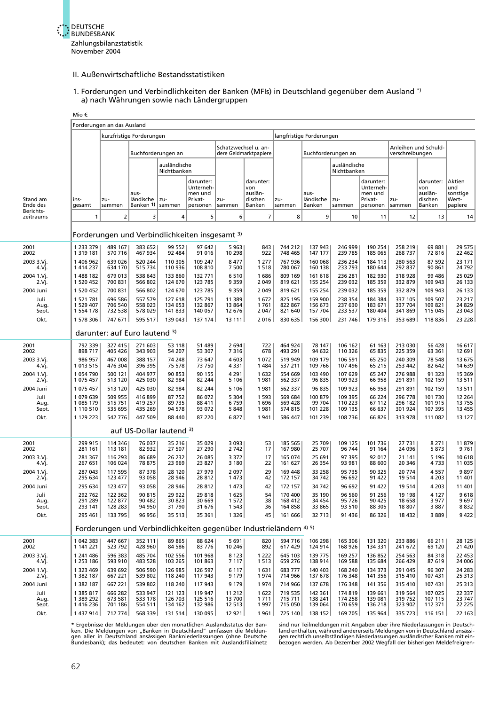

#### 1. Forderungen und Verbindlichkeiten der Banken (MFIs) in Deutschland gegenüber dem Ausland \*) a) nach Währungen sowie nach Ländergruppen

|                       | Mio €                      |                               |                          |                                                                    |                                              |                                               |                                        |                    |                          |                             |                                              |                    |                                                 |                          |
|-----------------------|----------------------------|-------------------------------|--------------------------|--------------------------------------------------------------------|----------------------------------------------|-----------------------------------------------|----------------------------------------|--------------------|--------------------------|-----------------------------|----------------------------------------------|--------------------|-------------------------------------------------|--------------------------|
|                       |                            | Forderungen an das Ausland    |                          |                                                                    |                                              |                                               |                                        |                    |                          |                             |                                              |                    |                                                 |                          |
|                       |                            |                               | kurzfristige Forderungen |                                                                    |                                              |                                               |                                        |                    | langfristige Forderungen |                             |                                              |                    |                                                 |                          |
|                       |                            |                               | Buchforderungen an       |                                                                    |                                              | Schatzwechsel u. an-<br>dere Geldmarktpapiere |                                        |                    | Buchforderungen an       |                             |                                              | verschreibungen    | Anleihen und Schuld-                            |                          |
|                       |                            |                               |                          | ausländische<br>Nichtbanken                                        |                                              |                                               |                                        |                    |                          | ausländische<br>Nichtbanken |                                              |                    |                                                 |                          |
| Stand am              | ins-                       | zu-                           | aus-<br>ländische        | lzu-                                                               | darunter:<br>Unterneh-<br>men und<br>Privat- | zu-                                           | darunter:<br>von<br>auslän-<br>dischen | zu-                | aus-<br>ländische        | zu-                         | darunter:<br>Unterneh-<br>men und<br>Privat- | zu-                | darunter:   Aktien<br>von<br>auslän-<br>dischen | und<br>sonstige<br>Wert- |
| Ende des<br>Berichts- | aesamt                     | sammen                        | Banken 1)                | sammen                                                             | personen                                     | sammen                                        | Banken                                 | sammen             | Banken                   | sammen                      | personen                                     | sammen             | Banken                                          | papiere                  |
| zeitraums             | $\mathbf{1}$               | $\overline{2}$                | 3                        | 4                                                                  | 5                                            | 6                                             | $\overline{7}$                         | 8                  | 9                        | 10                          | 11                                           | 12                 | 13                                              | 14                       |
|                       |                            |                               |                          | Forderungen und Verbindlichkeiten insgesamt 3)                     |                                              |                                               |                                        |                    |                          |                             |                                              |                    |                                                 |                          |
| 2001                  | 1 233 379                  | 489 167                       | 383 652                  | 99 552                                                             | 97 642                                       | 5963                                          | 843                                    | 744 212            | 137 943                  | 246 999                     | 190 254                                      | 258 219            | 69881                                           | 29 575                   |
| 2002<br>2003 3.Vi.    | 1 3 1 9 1 8 1<br>1 406 962 | 570 716<br>639 026            | 467 934<br>520 244       | 92 484<br>110 305                                                  | 91 016<br>109 247                            | 10 298<br>8 4 7 7                             | 922<br>1 2 7 7                         | 748 465<br>767 936 | 147 177<br>160 068       | 239 785<br>236 234          | 185 065<br>184 113                           | 268 737<br>280 563 | 72816<br>87 592                                 | 22 462<br>23 171         |
| 4.Vj.                 | 1 414 237                  | 634 170                       | 515 734                  | 110 936                                                            | 108 810                                      | 7 500                                         | 1518                                   | 780 067            | 160 138                  | 233 793                     | 180 644                                      | 292 837            | 90 861                                          | 24 792                   |
| 2004 1.Vj.<br>2.Vj.   | 1 488 182<br>1 520 452     | 679 013<br>700 831            | 538 643<br>566 802       | 133 860<br>124 670                                                 | 132 771<br>123 785                           | 6510<br>9 3 5 9                               | 1686<br>2 0 4 9                        | 809 169<br>819 621 | 161 618<br>155 254       | 236 281<br>239 032          | 182 930<br>185 359                           | 318 928<br>332 879 | 99 486<br>109 943                               | 25 0 29<br>26 133        |
| 2004 Juni             | 1 520 452                  | 700 831                       | 566 802                  | 124 670                                                            | 123 785                                      | 9 3 5 9                                       | 2 0 4 9                                | 819 621            | 155 254                  | 239 032                     | 185 359                                      | 332 879            | 109 943                                         | 26 133                   |
| Juli<br>Aug.          | 1 521 781<br>1 529 407     | 696 586<br>706 540            | 557 579<br>558 023       | 127 618<br>134 653                                                 | 125 791<br>132 867                           | 11 389<br>13 8 64                             | 1672<br>1761                           | 825 195<br>822 867 | 159 900<br>156 673       | 238 354<br>237 630          | 184 384<br>183 671                           | 337 105<br>337 704 | 109 507<br>109821                               | 23 217<br>24 829         |
| Sept.                 | 1 554 178                  | 732 538                       | 578 029                  | 141833                                                             | 140 057                                      | 12 676                                        | 2 0 4 7                                | 821 640            | 157 704                  | 233 537                     | 180 404                                      | 341 869            | 115 045                                         | 23 043                   |
| Okt.                  | 1578306                    | 747 671                       | 595 517                  | 139 043                                                            | 137 174                                      | 13111                                         | 2016                                   | 830 635            | 156 300                  | 231 746                     | 179 316                                      | 353 689            | 118836                                          | 23 228                   |
|                       |                            | darunter: auf Euro lautend 3) |                          |                                                                    |                                              |                                               |                                        |                    |                          |                             |                                              |                    |                                                 |                          |
| 2001<br>2002          | 792 339<br>898 717         | 327 415<br>405 426            | 271 603<br>343 903       | 53 118<br>54 207                                                   | 51 489<br>53 307                             | 2 6 9 4<br>7316                               | 722<br>678                             | 464 924<br>493 291 | 78 147<br>94 632         | 106 162<br>110 326          | 61 163<br>65 835                             | 213 030<br>225 359 | 56 428<br>63 361                                | 16 617<br>12 691         |
| 2003 3.Vj.            | 986 957<br>1 0 1 3 5 1 5   | 467 008<br>476 304            | 388 157<br>396 395       | 74 248<br>75 578                                                   | 73 647<br>73 750                             | 4 603<br>4 3 3 1                              | 1072<br>1 4 8 4                        | 519 949<br>537 211 | 109 179<br>109 766       | 106 591<br>107 496          | 65 250<br>65 215                             | 240 309<br>253 442 | 78 548<br>82 642                                | 13 675<br>14 639         |
| 4.Vj.<br>2004 1.Vj.   | 1054790                    | 500 121                       | 404 977                  | 90 853                                                             | 90 155                                       | 4 2 9 1                                       | 1 6 3 2                                | 554 669            | 103 490                  | 107 629                     | 65 247                                       | 276 988            | 91 323                                          | 15 3 69                  |
| 2.Vj.                 | 1 075 457                  | 513 120                       | 425 030                  | 82 984                                                             | 82 244                                       | 5 1 0 6                                       | 1981                                   | 562 337            | 96 835                   | 109 923                     | 66 958                                       | 291 891            | 102 159                                         | 13 5 11                  |
| 2004 Juni<br>Juli     | 1 075 457<br>1079639       | 513 120<br>509 955            | 425 030<br>416 899       | 82 984<br>87752                                                    | 82 244<br>86 072                             | 5 1 0 6<br>5 3 0 4                            | 1981<br>1 5 9 3                        | 562 337<br>569 684 | 96 835<br>100 879        | 109 923<br>109 395          | 66 958<br>66 224                             | 291 891<br>296 778 | 102 159<br>101 730                              | 13 5 11<br>12 2 64       |
| Aug.                  | 1 085 179                  | 515 751                       | 419 257                  | 89 735                                                             | 88 411                                       | 6759                                          | 1696                                   | 569 428            | 99 704                   | 110 223                     | 67 112                                       | 296 182            | 101 915                                         | 13 7 55                  |
| Sept.<br>Okt.         | 1 110 510<br>1 129 223     | 535 695<br>542 776            | 435 269<br>447 509       | 94 578<br>88 440                                                   | 93 072<br>87 220                             | 5848<br>6827                                  | 1981<br>1941                           | 574 815<br>586 447 | 101 228<br>101 239       | 109 135<br>108 736          | 66 637<br>66826                              | 301 924<br>313 978 | 107 395<br>111 082                              | 13 4 55<br>13 127        |
|                       |                            |                               |                          | auf US-Dollar lautend 3)                                           |                                              |                                               |                                        |                    |                          |                             |                                              |                    |                                                 |                          |
| 2001<br>2002          | 299 915<br>281 161         | 114 346<br>113 181            | 76 037<br>82 932         | 35 216<br>27 507                                                   | 35 029<br>27 290                             | 3 0 9 3<br>2 7 4 2                            | 53<br>17                               | 185 565<br>167 980 | 25 709<br>25 707         | 109 125<br>96 744           | 101 736<br>91 164                            | 27 731<br>24 096   | 8 2 7 1<br>5873                                 | 11879<br>9761            |
| 2003 3.Vi.            | 281 367<br>267 651         | 116 293                       | 86 689<br>78 875         | 26 232<br>23 969                                                   | 26 085                                       | 3 3 7 2<br>3 1 8 0                            | 17<br>22                               | 165 074            | 25 691                   | 97 395<br>93 981            | 92 017<br>88 600                             | 21 141<br>20 346   | 5 1 9 6                                         | 10 618<br>11 035         |
| 4.Vj.<br>2004 1.Vi.   | 287 043                    | 106 024<br>117 595            | 87 378                   | 28 120                                                             | 23 827<br>27 979                             | 2 0 9 7                                       | 29                                     | 161 627<br>169 448 | 26 354<br>33 258         | 95 735                      | 90 325                                       | 20 774             | 4733<br>4557                                    | 9897                     |
| 2.Vj.                 | 295 634                    | 123 477                       | 93 058                   | 28 946                                                             | 28812                                        | 1473                                          | 42                                     | 172 157            | 34 742                   | 96 692                      | 91 422                                       | 19514              | 4 2 0 3                                         | 11 401                   |
| 2004 Juni<br>Juli     | 295 634<br>292 762         | 123 477<br>122 362            | 93 058<br>90 815         | 28 946<br>29 922                                                   | 28812<br>29818                               | 1 4 7 3<br>1625                               | 42<br>54                               | 172 157<br>170 400 | 34 742<br>35 190         | 96 692<br>96 560            | 91 422<br>91 256                             | 19514<br>19 198    | 4 2 0 3<br>4 1 2 7                              | 11 401<br>9618           |
| Aug.                  | 291 289<br>293 141         | 122 877                       | 90 482                   | 30 823                                                             | 30 669                                       | 1572                                          | 38<br>36                               | 168 412            | 34 454<br>33 865         | 95 7 26                     | 90 425                                       | 18 658             | 3977                                            | 9697<br>8832             |
| Sept.<br>Okt.         | 295 461                    | 128 283<br>133 795            | 94 950<br>96 956         | 31790<br>35 513                                                    | 31 676<br>35 361                             | 1 5 4 3<br>1326                               | 45                                     | 164 858<br>161 666 | 32 713                   | 93 510<br>91 436            | 88 305<br>86 326                             | 18 807<br>18 4 32  | 3887<br>3889                                    | 9422                     |
|                       |                            |                               |                          |                                                                    |                                              |                                               |                                        |                    |                          |                             |                                              |                    |                                                 |                          |
|                       |                            |                               |                          | Forderungen und Verbindlichkeiten gegenüber Industrieländern 4) 5) |                                              |                                               |                                        |                    |                          |                             |                                              |                    |                                                 |                          |
| 2001<br>2002          | 1 042 383<br>1 141 221     | 447 667<br>523 792            | 352 111<br>428 960       | 89 865<br>84 5 86                                                  | 88 624<br>83776                              | 5 6 9 1<br>10 246                             | 820<br>892                             | 594 716<br>617 429 | 106 298<br>124 914       | 165 306<br>168 926          | 131 320<br>134 331                           | 233 886<br>241 672 | 66 211<br>69 120                                | 28 125<br>21 4 20        |
| 2003 3.Vj.            | 1 241 486                  | 596 383                       | 485 704                  | 102 556                                                            | 101 968                                      | 8 1 2 3                                       | 1 2 2 2                                | 645 103            | 139 775                  | 169 257                     | 136 852                                      | 254 563            | 84 318                                          | 22 453                   |
| 4.Vj.<br>2004 1.Vj.   | 1 253 186<br>1 323 469     | 593 910<br>639 692            | 483 528<br>506 590       | 103 265<br>126 985                                                 | 101 863<br>126 597                           | 7 1 1 7<br>6 1 1 7                            | 1 5 1 3<br>1631                        | 659 276<br>683 777 | 138 914<br>140 403       | 169 588<br>168 240          | 135 684<br>134 373                           | 266 429<br>291 045 | 87 619<br>96 307                                | 24 006<br>24 283         |
| 2.Vj.                 | 1 382 187                  | 667 221                       | 539 802                  | 118 240                                                            | 117 943                                      | 9 1 7 9                                       | 1974                                   | 714 966            | 137 678                  | 176 348                     | 141 356                                      | 315 410            | 107 431                                         | 25 313                   |
| 2004 Juni             | 1 382 187<br>1 385 817     | 667 221<br>666 282            | 539 802<br>533 947       | 118 240<br>121 123                                                 | 117 943<br>119 947                           | 9 1 7 9<br>11 212                             | 1974                                   | 714 966<br>719 535 | 137 678<br>142 361       | 176 348<br>174 819          | 141 356<br>139 661                           | 315 410<br>319 564 | 107 431<br>107 025                              | 25 313<br>22 337         |
| Juli<br>Aug.          | 1 389 292                  | 673 581                       | 533 178                  | 126 703                                                            | 125 516                                      | 13 700                                        | 1622<br>1711                           | 715 711            | 138 241                  | 174 258                     | 139 081                                      | 319752             | 107 115                                         | 23 747                   |
| Sept.<br>Okt.         | 1416236<br>1437914         | 701 186<br>712 774            | 554 511<br>568 339       | 134 162<br>131514                                                  | 132 986<br>130 095                           | 12 513<br>12 921                              | 1997<br>1961                           | 715 050<br>725 140 | 139 064<br>138 152       | 170 659<br>169 705          | 136 218<br>135 964                           | 323 902<br>335 723 | 112 371<br>116 151                              | 22 225<br>22 163         |
|                       |                            |                               |                          |                                                                    |                                              |                                               |                                        |                    |                          |                             |                                              |                    |                                                 |                          |

\* Ergebnisse der Meldungen über den monatlichen Auslandsstatus der Ban-cind nur Teilmeldungen mit Angaben über ihre Niederlassungen in Deutsch-<br>ken. Die Meldungen von "Banken in Deutschland" umfassen die Meldun-cland entha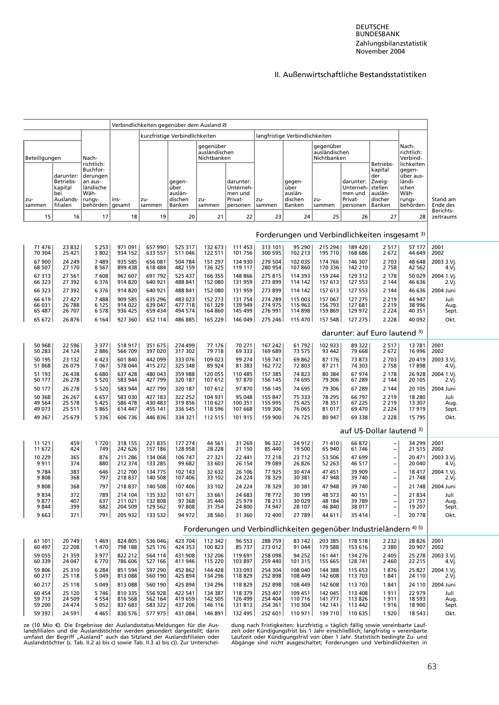|                      |                                                                   |                                                                                     | Verbindlichkeiten gegenüber dem Ausland 2) |                                                                  |                                                |                                                                    |                                                         |                            |                                                |                                                |                                                                           |                                                |                                                                      |                                   |
|----------------------|-------------------------------------------------------------------|-------------------------------------------------------------------------------------|--------------------------------------------|------------------------------------------------------------------|------------------------------------------------|--------------------------------------------------------------------|---------------------------------------------------------|----------------------------|------------------------------------------------|------------------------------------------------|---------------------------------------------------------------------------|------------------------------------------------|----------------------------------------------------------------------|-----------------------------------|
|                      |                                                                   |                                                                                     |                                            | kurzfristige Verbindlichkeiten<br>langfristige Verbindlichkeiten |                                                |                                                                    |                                                         |                            |                                                |                                                |                                                                           |                                                |                                                                      |                                   |
| Beteiligungen        |                                                                   | Nach-<br>richtlich:                                                                 |                                            |                                                                  |                                                | gegenüber<br>ausländischen<br>Nichtbanken                          |                                                         |                            |                                                | gegenüber<br>ausländischen<br>Nichtbanken      |                                                                           | Betriebs-                                      | Nach-<br>richtlich:<br>Verbind-<br>lichkeiten                        |                                   |
| zu-<br>sammen        | darunter:<br>Betriebs-<br>kapital<br>bei<br>Auslands-<br>filialen | Buchfor-<br>derungen<br>an aus-<br>ländische<br>Wäh-<br>rungs-<br>behörden   gesamt | ins-                                       | zu-<br>sammen                                                    | gegen-<br>über<br>auslän-<br>dischen<br>Banken | zu-<br>sammen                                                      | darunter:<br>Unterneh<br>men und<br>Privat-<br>personen | zu-<br>sammen              | gegen-<br>über<br>auslän-<br>dischen<br>Banken | zu-<br>sammen                                  | darunter:<br>Unterneh- stellen<br>men und<br>Privat-<br>personen   Banken | kapital<br>der<br>Zweig-<br>auslän-<br>discher | gegen-<br>über aus-<br>ländi-<br>schen<br>Wäh-<br>rungs-<br>behörden | Stand am<br>Ende des<br>Berichts- |
| 15                   | 16                                                                | 17                                                                                  | 18                                         | 19                                                               | 20                                             | 21                                                                 | 22                                                      | 23                         | 24                                             | 25                                             | 26                                                                        | 27                                             | 28                                                                   | zeitraums                         |
|                      |                                                                   |                                                                                     |                                            |                                                                  |                                                |                                                                    |                                                         |                            |                                                | Forderungen und Verbindlichkeiten insgesamt 3) |                                                                           |                                                |                                                                      |                                   |
| 71 476               | 23 832                                                            | 5 2 5 3                                                                             | 971 091                                    | 657 990                                                          | 525 317                                        | 132 673                                                            | 111 453                                                 | 313 101                    | 95 290                                         | 215 294                                        | 189 420                                                                   | 2 5 1 7                                        | 57 177                                                               | 2001                              |
| 70 304               | 25 4 21                                                           | 3 8 0 2                                                                             | 934 152                                    | 633 557                                                          | 511 046                                        | 122 511                                                            | 101 756                                                 | 300 595                    | 102 213                                        | 195 710                                        | 168 686                                                                   | 2 6 7 2                                        | 44 649                                                               | 2002                              |
| 67 900               | 24 249                                                            | 7489                                                                                | 935 585                                    | 656 081                                                          | 504 784                                        | 151 297                                                            | 134 930                                                 | 279 504                    | 102 035                                        | 174 766                                        | 146 307                                                                   | 2 7 0 3                                        | 48 648                                                               | 2003 3.Vj.                        |
| 68 507               | 27 170                                                            | 8 5 6 7                                                                             | 899 438                                    | 618 484                                                          | 482 159                                        | 136 325                                                            | 119 117                                                 | 280 954                    | 107 860                                        | 170 336                                        | 142 210                                                                   | 2 7 5 8                                        | 42 5 62                                                              | 4.Vj.                             |
| 67 313               | 27 561                                                            | 7608                                                                                | 967 607                                    | 691 792                                                          | 525 437                                        | 166 355                                                            | 148 866                                                 | 275 815                    | 114 393                                        | 159 244                                        | 129 312                                                                   | 2 1 7 8                                        | 50 029                                                               | 2004 1.Vj.                        |
| 66 323               | 27 392                                                            | 6376                                                                                | 914 820                                    | 640 921                                                          | 488 841                                        | 152 080                                                            | 131 959                                                 | 273 899                    | 114 142                                        | 157 613                                        | 127 553                                                                   | 2 1 4 4                                        | 46 636                                                               | 2.Vj.                             |
| 66 323               | 27 392                                                            | 6376                                                                                | 914 820                                    | 640 921                                                          | 488 841                                        | 152 080                                                            | 131 959                                                 | 273 899                    | 114 142                                        | 157 613                                        | 127 553                                                                   | 2 1 4 4                                        | 46 636                                                               | 2004 Juni                         |
| 66 619               | 27 427                                                            | 7488                                                                                | 909 585                                    | 635 296                                                          | 483 023                                        | 152 273                                                            | 131 754                                                 | 274 289                    | 115 003                                        | 157 067                                        | 127 275                                                                   | 2 2 1 9                                        | 44 947                                                               | Juli                              |
| 66 031               | 26 788                                                            | 6 1 2 5                                                                             | 914 022                                    | 639 047                                                          | 477 718                                        | 161 329                                                            | 139 949                                                 | 274 975                    | 115 963                                        | 156 793                                        | 127 681                                                                   | 2 2 1 9                                        | 38 996                                                               | Aug.                              |
| 65 487               | 26 707                                                            | 6578                                                                                | 936 425                                    | 659 434                                                          | 494 574                                        | 164 860                                                            | 145 499                                                 | 276 991                    | 114 898                                        | 159 869                                        | 129 972                                                                   | 2 2 2 4                                        | 40 351                                                               | Sept.                             |
| 65 672               | 26876                                                             | 6 1 6 4                                                                             | 927 360                                    | 652 114                                                          | 486 885                                        | 165 229                                                            | 146 049                                                 | 275 246                    | 115 470                                        | 157 548                                        | 127 275                                                                   | 2 2 2 8                                        | 40 092                                                               | Okt.                              |
|                      |                                                                   |                                                                                     |                                            |                                                                  |                                                |                                                                    |                                                         |                            |                                                |                                                |                                                                           | darunter: auf Euro lautend 3)                  |                                                                      |                                   |
| 50 968               | 22 596                                                            | 3 3 7 7                                                                             | 518 917                                    | 351 675                                                          | 274 499                                        | 77 176                                                             | 70 271                                                  | 167 242                    | 61792                                          | 102 933                                        | 89 322                                                                    | 2 5 1 7                                        | 13781                                                                | 2001                              |
| 50 283               | 24 124                                                            | 2886                                                                                | 566 709                                    | 397 020                                                          | 317 302                                        | 79 718                                                             | 69 333                                                  | 169 689                    | 73 575                                         | 93 442                                         | 79 668                                                                    | 2 6 7 2                                        | 16 996                                                               | 2002                              |
| 50 195               | 23 132                                                            | 6423                                                                                | 601 840                                    | 442 099                                                          | 333 076                                        | 109 023                                                            | 99 274                                                  | 159 741                    | 69862                                          | 87 176                                         | 73 873                                                                    | 2 7 0 3                                        | 20 419                                                               | 2003 3.Vj.                        |
| 51868                | 26 079                                                            | 7 0 6 7                                                                             | 578 044                                    | 415 272                                                          | 325 348                                        | 89 924                                                             | 81 383                                                  | 162 772                    | 72 803                                         | 87 211                                         | 74 303                                                                    | 2 7 5 8                                        | 17898                                                                | 4.Vj.                             |
| 51 193               | 26 438                                                            | 6680                                                                                | 637 428                                    | 480 043                                                          | 359 988                                        | 120 055                                                            | 110 485                                                 | 157 385                    | 74823                                          | 80 384                                         | 67 974                                                                    | 2 1 7 8                                        | 26 928                                                               | 2004 1.Vj.                        |
| 50 177               | 26 278                                                            | 5 5 2 0                                                                             | 583 944                                    | 427 799                                                          | 320 187                                        | 107 612                                                            | 97 870                                                  | 156 145                    | 74 695                                         | 79 306                                         | 67 289                                                                    | 2 1 4 4                                        | 20 10 5                                                              | 2.Vj.                             |
| 50 177               | 26 278                                                            | 5 5 2 0                                                                             | 583 944                                    | 427 799                                                          | 320 187                                        | 107 612                                                            | 97 870                                                  | 156 145                    | 74 695                                         | 79 306                                         | 67 289                                                                    | 2 1 4 4                                        | 20 10 5                                                              | 2004 Juni                         |
| 50 368               | 26 267                                                            | 6657                                                                                | 583 030                                    | 427 183                                                          | 322 252                                        | 104 931                                                            | 95 048                                                  | 155 847                    | 75 333                                         | 78 295                                         | 66 797                                                                    | 2 2 1 9                                        | 18 280                                                               | Juli                              |
| 49 5 64              | 25 578                                                            | 5 4 2 5                                                                             | 586 478                                    | 430 483                                                          | 319 856                                        | 110 627                                                            | 100 351                                                 | 155 995                    | 75 425                                         | 78 351                                         | 67 225                                                                    | 2 2 1 9                                        | 13 307                                                               | Aug.                              |
| 49 073               | 25 511                                                            | 5865                                                                                | 614 447                                    | 455 141                                                          | 336 545                                        | 118 596                                                            | 107 668                                                 | 159 306                    | 76 065                                         | 81 017                                         | 69 470                                                                    | 2 2 2 4                                        | 17919                                                                | Sept.                             |
| 49 367               | 25 679                                                            | 5 3 3 6                                                                             | 606 736                                    | 446 836                                                          | 334 321                                        | 112 515                                                            | 101 915                                                 | 159 900                    | 76 725                                         | 80 947                                         | 69 338                                                                    | 2 2 2 8                                        | 15 7 95                                                              | Okt.                              |
|                      |                                                                   |                                                                                     |                                            |                                                                  |                                                |                                                                    |                                                         |                            |                                                |                                                |                                                                           | auf US-Dollar lautend 3)                       |                                                                      |                                   |
| 11 121               | 459                                                               | 1720                                                                                | 318 155                                    | 221835                                                           | 177 274                                        | 44 561                                                             | 31 269                                                  | 96 322                     | 24 912                                         | 71 410                                         | 66 872                                                                    | $\overline{\phantom{a}}$                       | 34 299                                                               | 2001                              |
| 11 672               | 424                                                               | 749                                                                                 | 242 626                                    | 157 186                                                          | 128 958                                        | 28 2 28                                                            | 21 150                                                  | 85 440                     | 19 500                                         | 65 940                                         | 61 746                                                                    |                                                | 21 5 1 5                                                             | 2002                              |
| 10 229               | 365                                                               | 876                                                                                 | 211 286                                    | 134 068                                                          | 106 747                                        | 27 321                                                             | 22 441                                                  | 77 218                     | 23712                                          | 53 506                                         | 47 699                                                                    | $\overline{\phantom{a}}$                       | 20 471                                                               | 2003 3.Vi.                        |
| 9911                 | 374                                                               | 880                                                                                 | 212 374                                    | 133 285                                                          | 99 682                                         | 33 603                                                             | 26 154                                                  | 79 089                     | 26826                                          | 52 263                                         | 46 517                                                                    |                                                | 20 040                                                               | 4.Vj.                             |
| 9784                 | 383                                                               | 646                                                                                 | 212 700                                    | 134 775                                                          | 102 143                                        | 32 632                                                             | 26 106                                                  | 77 925                     | 30 474                                         | 47 451                                         | 39 909                                                                    | $\overline{\phantom{m}}$                       | 18 4 17                                                              | 2004 1.Vj.                        |
| 9808                 | 368                                                               | 797                                                                                 | 218 837                                    | 140 508                                                          | 107 406                                        | 33 102                                                             | 24 224                                                  | 78 329                     | 30 381                                         | 47 948                                         | 39 740                                                                    | $\overline{\phantom{0}}$                       | 21 748                                                               | 2.Vj.                             |
| 9808                 | 368                                                               | 797                                                                                 | 218 837                                    | 140 508                                                          | 107 406                                        | 33 102                                                             | 24 224                                                  | 78 329                     | 30 381                                         | 47 948                                         | 39 740                                                                    |                                                | 21 748                                                               | 2004 Juni                         |
| 9834<br>9877<br>9844 | 372<br>407<br>399                                                 | 789<br>637<br>682                                                                   | 214 104<br>211 021<br>204 509              | 135 332<br>132 808<br>129 562                                    | 101 671<br>97 368<br>97 808                    | 33 661<br>35 440<br>31 7 54                                        | 24 683<br>25 979<br>24 800                              | 78 772<br>78 213<br>74 947 | 30 199<br>30 029<br>28 107                     | 48 573<br>48 184<br>46 840                     | 40 151<br>39 789<br>38 017                                                | $\qquad \qquad -$<br>$\overline{\phantom{a}}$  | 21 834<br>21 7 5 7<br>19 207                                         | Juli<br>Aug.<br>Sept.             |
| 9663                 | 371                                                               | 791                                                                                 | 205 932                                    | 133 532                                                          | 94 972                                         | 38 560                                                             | 31 360                                                  | 72 400                     | 27 789                                         | 44 611                                         | 35 414                                                                    | $-1$                                           | 20 778                                                               | Okt.                              |
|                      |                                                                   |                                                                                     |                                            |                                                                  |                                                | Forderungen und Verbindlichkeiten gegenüber Industrieländern 4) 5) |                                                         |                            |                                                |                                                |                                                                           |                                                |                                                                      |                                   |
| 61 101               | 20749                                                             | 1469                                                                                | 824 805                                    | 536 046                                                          | 423 704                                        | 112 342                                                            | 96 553                                                  | 288 759                    | 83 142                                         | 203 385                                        | 178 518                                                                   | 2 2 3 2                                        | 28 8 26                                                              | 2001                              |
| 60 497               | 22 208                                                            | 1470                                                                                | 798 188                                    | 525 176                                                          | 424 353                                        | 100 823                                                            | 85 737                                                  | 273 012                    | 91 044                                         | 179 588                                        | 153 616                                                                   | 2 3 8 0                                        | 20 907                                                               | 2002                              |
| 59 055               | 21 359                                                            | 3977                                                                                | 822 212                                    | 564 114                                                          | 431 908                                        | 132 206                                                            | 119 691                                                 | 258 098                    | 94 252                                         | 161 441                                        | 134 276                                                                   | 2 4 0 5                                        | 25 278                                                               | 2003 3.Vj.                        |
| 60 339               | 24 047                                                            | 6770                                                                                | 786 606                                    | 527 166                                                          | 411 946                                        | 115 220                                                            | 103 897                                                 | 259 440                    | 101 315                                        | 155 665                                        | 128 741                                                                   | 2 4 6 0                                        | 22 215                                                               | 4.Vj.                             |
| 59 806               | 25 310                                                            | 6 2 8 4                                                                             | 851 594                                    | 597 290                                                          | 452 862                                        | 144 428                                                            | 133 093                                                 | 254 304                    | 108 040                                        | 144 388                                        | 115 653                                                                   | 1876                                           | 25 827                                                               | 2004 1.Vj.                        |
| 60 217               | 25 118                                                            | 5 0 4 9                                                                             | 813 088                                    | 560 190                                                          | 425 894                                        | 134 296                                                            | 118829                                                  | 252 898                    | 108 449                                        | 142 608                                        | 113 703                                                                   | 1841                                           | 24 110                                                               | 2.Vj.                             |
| 60 217               | 25 118                                                            | 5 0 4 9                                                                             | 813 088                                    | 560 190                                                          | 425 894                                        | 134 296                                                            | 118 829                                                 | 252 898                    | 108 449                                        | 142 608                                        | 113 703                                                                   | 1841                                           | 24 110                                                               | 2004 Juni                         |
| 60 454               | 25 120                                                            | 5746                                                                                | 810 335                                    | 556 928                                                          | 422 541                                        | 134 387                                                            | 118 379                                                 | 253 407                    | 109 451                                        | 142 045                                        | 113 408                                                                   | 1911                                           | 22 979                                                               | Juli                              |
| 59 713               | 24 509                                                            | 4 5 5 4                                                                             | 816 568                                    | 562 164                                                          | 419 659                                        | 142 505                                                            | 126 499                                                 | 254 404                    | 110 716                                        | 141 777                                        | 113 826                                                                   | 1911                                           | 18 5 93                                                              | Aug.                              |
| 59 200               | 24 474                                                            | 5 0 5 2                                                                             | 837 683                                    | 583 322                                                          | 437 206                                        | 146 116                                                            | 131813                                                  | 254 361                    | 110 304                                        | 142 141                                        | 113 442                                                                   | 1916                                           | 18 900                                                               | Sept.                             |
| 59 397               | 24 591                                                            | 4 4 6 5                                                                             | 830 576                                    | 577 975                                                          | 431 084                                        | 146 891                                                            | 132 495                                                 | 252 601                    | 110 971                                        | 139 710                                        | 110 635                                                                   | 1920                                           | 18543                                                                | Okt.                              |

ze (10 Mio €). Die Ergebnisse der Auslandsstatus-Meldungen für die Aus-weing nach Fristigkeiten: kurzfristig = täglich fällig sowie vereinbarte Lauf-<br>landsfilialen und die Auslandstöchter werden gesondert dargestellt; dar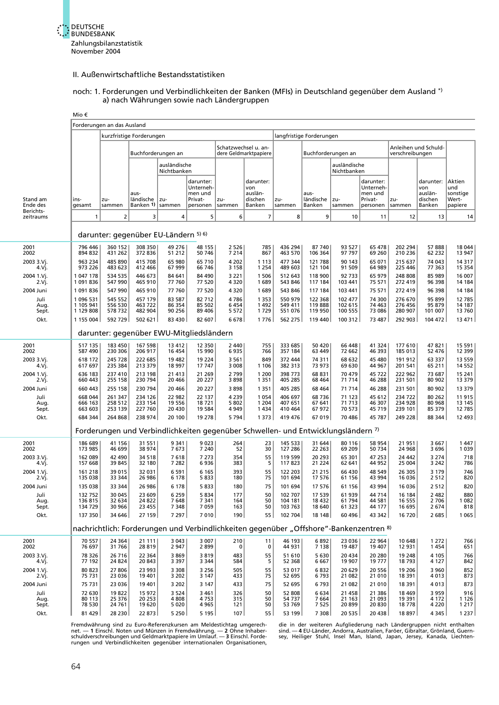

#### noch: 1. Forderungen und Verbindlichkeiten der Banken (MFIs) in Deutschland gegenüber dem Ausland \*) a) nach Währungen sowie nach Ländergruppen

|                        | Mio €<br>Forderungen an das Ausland |                    |                          |                                                                                        |                      |                       |                    |                    |                          |                             |                      |                      |                    |                                             |
|------------------------|-------------------------------------|--------------------|--------------------------|----------------------------------------------------------------------------------------|----------------------|-----------------------|--------------------|--------------------|--------------------------|-----------------------------|----------------------|----------------------|--------------------|---------------------------------------------|
|                        |                                     |                    |                          |                                                                                        |                      |                       |                    |                    |                          |                             |                      |                      |                    |                                             |
|                        |                                     |                    | kurzfristige Forderungen |                                                                                        |                      |                       |                    |                    | langfristige Forderungen |                             |                      |                      |                    |                                             |
|                        |                                     |                    |                          |                                                                                        |                      | Schatzwechsel u. an-  |                    |                    |                          |                             |                      | Anleihen und Schuld- |                    |                                             |
|                        |                                     |                    | Buchforderungen an       |                                                                                        |                      | dere Geldmarktpapiere |                    |                    | Buchforderungen an       |                             |                      | verschreibungen      |                    |                                             |
|                        |                                     |                    |                          | ausländische<br>Nichtbanken                                                            |                      |                       |                    |                    |                          | ausländische<br>Nichtbanken |                      |                      |                    |                                             |
|                        |                                     |                    |                          |                                                                                        | darunter:            |                       | darunter:          |                    |                          |                             | darunter:            |                      | darunter:   Aktien |                                             |
|                        |                                     |                    | aus-                     |                                                                                        | Unterneh-<br>men und |                       | von<br>auslän-     |                    | aus-                     |                             | Unterneh-<br>men und |                      | von<br>auslän-     | und<br>sonstige                             |
| Stand am<br>Ende des   | ins-<br>aesamt                      | zu-<br>sammen      | ländische<br>Banken 1)   | zu-<br>sammen                                                                          | Privat-<br>personen  | zu-<br><b>Isammen</b> | dischen<br>Banken  | zu-<br>sammen      | ländische<br>Banken      | zu-<br>sammen               | Privat-<br>personen  | zu-<br>sammen        | dischen<br>Banken  | Wert-<br>papiere                            |
| Berichts-<br>zeitraums | 1                                   | $\overline{2}$     | 3                        | 4                                                                                      | 5                    | 6                     | $\overline{7}$     | 8                  | 9                        | 10                          | 11                   | 12                   | 13                 | 14                                          |
|                        |                                     |                    |                          |                                                                                        |                      |                       |                    |                    |                          |                             |                      |                      |                    |                                             |
|                        |                                     |                    |                          | darunter: gegenüber EU-Ländern 5) 6)                                                   |                      |                       |                    |                    |                          |                             |                      |                      |                    |                                             |
| 2001<br>2002           | 796 446<br>894 832                  | 360 152<br>431 262 | 308 350<br>372 836       | 49 276<br>51 212                                                                       | 48 155<br>50 746     | 2 5 2 6<br>7 2 1 4    | 785<br>867         | 436 294<br>463 570 | 87 740<br>106 364        | 93 527<br>97 797            | 65 478<br>69 260     | 202 294<br>210 236   | 57888<br>62 232    | 18 044<br>13 947                            |
| 2003 3.Vj.<br>4.Vj.    | 963 234<br>973 226                  | 485 890<br>483 623 | 415 708<br>412 466       | 65 980<br>67 999                                                                       | 65 710<br>66 746     | 4 2 0 2<br>3 1 5 8    | 1 1 1 3<br>1 2 5 4 | 477 344<br>489 603 | 121 788<br>121 104       | 90 143<br>91 509            | 65 071<br>64 989     | 215 637<br>225 446   | 74 043<br>77 363   | 14 3 17<br>15 3 54                          |
| 2004 1.Vj.             | 1 047 178                           | 534 535            | 446 673                  | 84 641                                                                                 | 84 490               | 3 2 2 1               | 1 5 0 6            | 512 643            | 118 900                  | 92 733                      | 65 979               | 248 808              | 85 989             | 16 007                                      |
| 2.Vj.<br>2004 Juni     | 1091836<br>1091836                  | 547 990<br>547 990 | 465 910<br>465 910       | 77 760<br>77 760                                                                       | 77 520<br>77 520     | 4 3 2 0<br>4 3 2 0    | 1689<br>1689       | 543 846<br>543 846 | 117 184<br>117 184       | 103 441<br>103 441          | 75 571<br>75 571     | 272 419<br>272 419   | 96 398<br>96 398   | 14 184<br>14 184                            |
| Juli                   | 1 096 531                           | 545 552            | 457 179                  | 83 587                                                                                 | 82 712               | 4786                  | 1 3 5 3            | 550 979            | 122 368                  | 102 477                     | 74 300               | 276 670              | 95 899             | 12 785                                      |
| Aug.<br>Sept.          | 1 105 941<br>1 129 808              | 556 530<br>578 732 | 463 722<br>482 904       | 86 354<br>90 256                                                                       | 85 502<br>89 40 6    | 6454<br>5 5 7 2       | 1492<br>1729       | 549 411<br>551 076 | 119888<br>119 950        | 102 615<br>100 555          | 74 463<br>73 086     | 276 456<br>280 907   | 95 879<br>101 007  | 14 187<br>13 760                            |
| Okt.                   | 1 155 004                           | 592 729            | 502 621                  | 83 430                                                                                 | 82 607               | 6678                  | 1776               | 562 275            | 119 440                  | 100 312                     | 73 487               | 292 903              | 104 472            | 13 471                                      |
|                        |                                     |                    |                          | darunter: gegenüber EWU-Mitgliedsländern                                               |                      |                       |                    |                    |                          |                             |                      |                      |                    |                                             |
| 2001<br>2002           | 517 135<br>587 490                  | 183 450<br>230 306 | 167 598<br>206 917       | 13 4 12<br>16 454                                                                      | 12 3 50<br>15 990    | 2 4 4 0<br>6935       | 755<br>766         | 333 685<br>357 184 | 50 420<br>63 449         | 66 448<br>72 662            | 41 324<br>46 393     | 177 610<br>185 013   | 47821<br>52 476    | 15 591<br>12 399                            |
| 2003 3.Vj.             | 618 172                             | 245 728            | 222 685                  | 19 482                                                                                 | 19 2 24              | 3 5 6 1               | 849                | 372 444            | 74 311                   | 68 632                      | 45 480               | 191 912              | 63 337             | 13 559                                      |
| 4.Vj.<br>2004 1.Vj.    | 617 697<br>636 183                  | 235 384<br>237 410 | 213 379<br>213 198       | 18 997<br>21 4 13                                                                      | 17 747<br>21 2 69    | 3 0 0 8<br>2799       | 1 1 0 6<br>1 200   | 382 313<br>398 773 | 73 973<br>68 831         | 69 630<br>70 479            | 44 967<br>45 722     | 201 541<br>222 962   | 65 211<br>73 687   | 14 5 52<br>15 241                           |
| 2.Vj.                  | 660 443                             | 255 158            | 230 794                  | 20 4 66                                                                                | 20 227               | 3898                  | 1 3 5 1            | 405 285            | 68 4 64                  | 71714                       | 46 288               | 231 501              | 80 902             | 13 379                                      |
| 2004 Juni<br>Juli      | 660 443<br>668 044                  | 255 158<br>261 347 | 230 794<br>234 126       | 20 46 6<br>22 982                                                                      | 20 227<br>22 137     | 3898<br>4 2 3 9       | 1 3 5 1<br>1 0 5 4 | 405 285<br>406 697 | 68 4 64<br>68 736        | 71714<br>71 123             | 46 288<br>45 612     | 231 501<br>234 722   | 80 902<br>80 26 2  | 13 379<br>11 915                            |
| Aug.                   | 666 163                             | 258 512            | 233 154                  | 19 556                                                                                 | 18721                | 5802                  | 1 2 0 4            | 407 651            | 67 641                   | 71713                       | 46 307               | 234 928              | 80 968             | 13 145                                      |
| Sept.<br>Okt.          | 663 603<br>684 344                  | 253 139<br>264 868 | 227 760<br>238 974       | 20 430<br>20 100                                                                       | 19 5 84<br>19 278    | 4949<br>5794          | 1434<br>1373       | 410 464<br>419 476 | 67 972<br>67 019         | 70 573<br>70 486            | 45 719<br>45 787     | 239 101<br>249 228   | 85 379<br>88 344   | 12 785<br>12 493                            |
|                        |                                     |                    |                          | Forderungen und Verbindlichkeiten gegenüber Schwellen- und Entwicklungsländern 7)      |                      |                       |                    |                    |                          |                             |                      |                      |                    |                                             |
| 2001                   | 186 689                             | 41 156             | 31 551                   | 9 3 4 1                                                                                | 9 0 23               | 264                   | 23                 | 145 533            | 31 644                   | 80 116                      | 58 954               | 21 951               | 3 6 6 7            | 1447                                        |
| 2002                   | 173 985                             | 46 699             | 38 974                   | 7673                                                                                   | 7 2 4 0              | 52                    | 30                 | 127 286            | 22 263                   | 69 209                      | 50 734               | 24 968               | 3696               | 1 0 3 9                                     |
| 2003 3.Vj.<br>4.Vj.    | 162 089<br>157 668                  | 42 490<br>39 845   | 34 518<br>32 180         | 7618<br>7 2 8 2                                                                        | 7 2 7 3<br>6936      | 354<br>383            | 55<br>5            | 119 599<br>117823  | 20 293<br>21 2 24        | 65 301<br>62 641            | 47 253<br>44 952     | 24 442<br>25 004     | 3 2 7 4<br>3 2 4 2 | 718<br>786                                  |
| 2004 1.Vi.<br>2.Vj.    | 161 218<br>135 038                  | 39 015<br>33 344   | 32 031<br>26 986         | 6 5 9 1<br>6 1 7 8                                                                     | 6 1 6 5<br>5833      | 393<br>180            | 55<br>75           | 122 203<br>101 694 | 21 215<br>17 576         | 66 430<br>61 156            | 48 549<br>43 994     | 26 305<br>16 036     | 3 1 7 9<br>2512    | 746<br>820                                  |
| 2004 Juni              | 135 038                             | 33 344             | 26 986                   | 6 1 7 8                                                                                | 5833                 | 180                   | 75                 | 101 694            | 17 576                   | 61 156                      | 43 994               | 16 036               | 2512               | 820                                         |
| Juli                   | 132752                              | 30 045             | 23 609                   | 6 2 5 9                                                                                | 5834                 | 177                   | 50                 | 102 707            | 17 539                   | 61939                       | 44 714               | 16 184               | 2 4 8 2            | 880                                         |
| Aug.<br>Sept.          | 136 815<br>134 729                  | 32 634<br>30 966   | 24 822<br>23 455         | 7648<br>7 3 4 8                                                                        | 7 3 4 1<br>7059      | 164<br>163            | 50<br>50           | 104 181<br>103 763 | 18 4 32<br>18 640        | 61794<br>61 323             | 44 581<br>44 177     | 16 555<br>16 695     | 2 7 0 6<br>2674    | $\begin{array}{c} 1.082 \\ 818 \end{array}$ |
| Okt.                   | 137 350                             | 34 646             | 27 159                   | 7 297                                                                                  | 7 0 1 0              | 190                   | 55                 | 102 704            | 18 148                   | 60 496                      | 43 342               | 16 720               | 2685               | 1065                                        |
|                        |                                     |                    |                          | nachrichtlich: Forderungen und Verbindlichkeiten gegenüber "Offshore"-Bankenzentren 8) |                      |                       |                    |                    |                          |                             |                      |                      |                    |                                             |
| 2001<br>2002           | 70 557<br>76 697                    | 24 3 64<br>31 766  | 21 111<br>28 8 19        | 3 0 4 3<br>2 9 4 7                                                                     | 3 0 0 7<br>2899      | 210<br>$\pmb{0}$      | 11<br>$\mathbf 0$  | 46 193<br>44 931   | 6892<br>7 1 3 8          | 23 0 36<br>19 487           | 22 964<br>19 407     | 10 648<br>12 931     | 1 2 7 2<br>1454    | 766<br>651                                  |
| 2003 3.Vj.             | 78 326                              | 26 716             | 22 364                   | 3869                                                                                   | 3819                 | 483                   | 55                 | 51 610             | 5 6 3 0                  | 20 434                      | 20 280               | 19 248               | 4 1 0 5            | 766                                         |
| 4.Vj.<br>2004 1.Vj.    | 77 192<br>80 823                    | 24 824<br>27 806   | 20 843<br>23 993         | 3 3 9 7<br>3 3 0 8                                                                     | 3 3 4 4<br>3 2 5 6   | 584<br>505            | 5<br>55            | 52 368<br>53 017   | 6 6 6 7<br>6832          | 19 907<br>20 629            | 19 777<br>20 556     | 18793<br>19 20 6     | 4 1 2 7<br>3 9 6 0 | 842<br>852                                  |
| 2.Vj.                  | 75 731                              | 23 036             | 19 401                   | 3 2 0 2                                                                                | 3 1 4 7              | 433                   | 75                 | 52 695             | 6793                     | 21 082                      | 21 010               | 18 391               | 4013               | 873                                         |
| 2004 Juni              | 75 731                              | 23 036             | 19 401                   | 3 2 0 2                                                                                | 3 1 4 7              | 433                   | 75                 | 52 695             | 6793                     | 21 082                      | 21 010               | 18 391               | 4013               | 873                                         |
| Juli<br>Aug.           | 72 630<br>80 113                    | 19822<br>25 376    | 15 972<br>20 253         | 3 5 2 4<br>4808                                                                        | 3 4 6 1<br>4753      | 326<br>315            | 50<br>50           | 52 808<br>54737    | 6 6 3 4<br>7 6 6 4       | 21 458<br>21 163            | 21 386<br>21 093     | 18 4 69<br>19 391    | 3 9 5 9<br>4 1 7 2 | 916<br>1 126<br>1 217                       |
| Sept.<br>Okt.          | 78 530<br>81 4 29                   | 24 761<br>28 230   | 19 620<br>22 873         | 5 0 2 0<br>5 2 5 0                                                                     | 4 9 6 5<br>5 1 9 5   | 121<br>107            | 50<br>55           | 53 769<br>53 199   | 7 5 2 5<br>7 3 0 8       | 20899<br>20 535             | 20830<br>20 438      | 18778<br>18897       | 4 2 2 0<br>4 3 4 5 | 1237                                        |
|                        |                                     |                    |                          |                                                                                        |                      |                       |                    |                    |                          |                             |                      |                      |                    |                                             |

Fremdwährung sind zu Euro-Referenzkursen am Meldestichtag umgerech- die in der weiteren Aufgliederung nach Ländergruppen nicht enthalten<br>net. — 1 Einschl. Noten und Münzen in Fremdwährung. — 2 Ohne Inhaber- sind. — 4 EU-Lä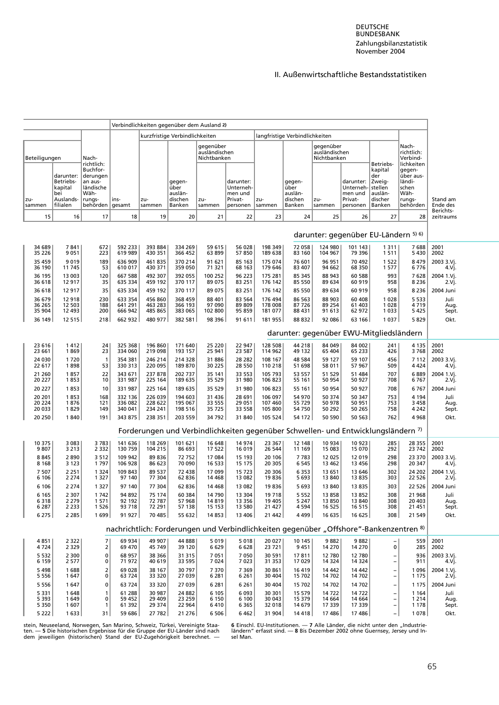|               |                                                                   |                                                                                     | Verbindlichkeiten gegenüber dem Ausland 2) |                                                                                        |                                                |                                           |                                                                 |               |                                                |                                           |                                                          |                                                                     |                                                                      |                        |
|---------------|-------------------------------------------------------------------|-------------------------------------------------------------------------------------|--------------------------------------------|----------------------------------------------------------------------------------------|------------------------------------------------|-------------------------------------------|-----------------------------------------------------------------|---------------|------------------------------------------------|-------------------------------------------|----------------------------------------------------------|---------------------------------------------------------------------|----------------------------------------------------------------------|------------------------|
|               |                                                                   |                                                                                     |                                            |                                                                                        | kurzfristige Verbindlichkeiten                 |                                           |                                                                 |               | langfristige Verbindlichkeiten                 |                                           |                                                          |                                                                     |                                                                      |                        |
| Beteiligungen |                                                                   | Nach-<br>richtlich:                                                                 |                                            |                                                                                        |                                                | gegenüber<br>ausländischen<br>Nichtbanken |                                                                 |               |                                                | gegenüber<br>ausländischen<br>Nichtbanken |                                                          | Betriebs-                                                           | Nach-<br>richtlich:<br>Verbind-<br>lichkeiten                        |                        |
| zu-<br>sammen | darunter:<br>Betriebs-<br>kapital<br>bei<br>Auslands-<br>filialen | Buchfor-<br>derungen<br>an aus-<br>ländische<br>Wäh-<br>rungs-<br>behörden   gesamt | ins-                                       | zu-<br>sammen                                                                          | gegen-<br>über<br>auslän-<br>dischen<br>Banken | zu-<br>sammen                             | darunter:<br><b>Unterneh-</b><br>men und<br>Privat-<br>personen | zu-<br>sammen | gegen-<br>über<br>auslän-<br>dischen<br>Banken | zu-<br>sammen                             | darunter:<br>Unterneh-<br>men und<br>Privat-<br>personen | kapital<br>der<br>Zweig-<br>stellen<br>auslän-<br>discher<br>Banken | gegen-<br>über aus-<br>ländi-<br>schen<br>Wäh-<br>rungs-<br>behörden | Stand am<br>Ende des   |
| 15            | 16                                                                | 17                                                                                  | 18                                         | 19                                                                                     | 20                                             | 21                                        | 22                                                              | 23            | 24                                             | 25                                        | 26                                                       | 27                                                                  | 28                                                                   | Berichts-<br>zeitraums |
|               |                                                                   |                                                                                     |                                            |                                                                                        |                                                |                                           |                                                                 |               |                                                | darunter: gegenüber EU-Ländern 5) 6)      |                                                          |                                                                     |                                                                      |                        |
| 34 689        | 7841                                                              | 672                                                                                 | 592 233                                    | 393 884                                                                                | 334 269                                        | 59 615                                    | 56 028                                                          | 198 349       | 72 058                                         | 124 980                                   | 101 143                                                  | 1 3 1 1                                                             | 7688                                                                 | 2001                   |
| 35 2 26       | 9051                                                              | 223                                                                                 | 619 989                                    | 430 351                                                                                | 366 452                                        | 63 899                                    | 57 850                                                          | 189 638       | 83 160                                         | 104 967                                   | 79 396                                                   | 1511                                                                | 5 4 3 0                                                              | 2002                   |
| 35 459        | 9019                                                              | 189                                                                                 | 636 909                                    | 461835                                                                                 | 370 214                                        | 91 621                                    | 85 163                                                          | 175 074       | 76 601                                         | 96 951                                    | 70 492                                                   | 1 5 2 2                                                             | 8479                                                                 | 2003 3.Vj.             |
| 36 190        | 11745                                                             | 53                                                                                  | 610 017                                    | 430 371                                                                                | 359 050                                        | 71 321                                    | 68 163                                                          | 179 646       | 83 407                                         | 94 662                                    | 68 350                                                   | 1 5 7 7                                                             | 6776                                                                 | 4.Vj.                  |
| 36 195        | 13 003                                                            | 120                                                                                 | 667 588                                    | 492 307                                                                                | 392 055                                        | 100 252                                   | 96 223                                                          | 175 281       | 85 345                                         | 88 943                                    | 60 588                                                   | 993                                                                 | 7628                                                                 | 2004 1.Vj.             |
| 36 618        | 12917                                                             | 35                                                                                  | 635 334                                    | 459 192                                                                                | 370 117                                        | 89 075                                    | 83 251                                                          | 176 142       | 85 550                                         | 89 634                                    | 60 919                                                   | 958                                                                 | 8 2 3 6                                                              | 2.Vj.                  |
| 36 618        | 12917                                                             | 35                                                                                  | 635 334                                    | 459 192                                                                                | 370 117                                        | 89 075                                    | 83 251                                                          | 176 142       | 85 550                                         | 89 634                                    | 60 919                                                   | 958                                                                 | 8 2 3 6                                                              | 2004 Juni              |
| 36 679        | 12918                                                             | 230                                                                                 | 633 354                                    | 456 860                                                                                | 368 459                                        | 88 401                                    | 83 564                                                          | 176 494       | 86 563                                         | 88 903                                    | 60 408                                                   | 1 0 2 8                                                             | 5 5 3 3                                                              | Juli                   |
| 36 265        | 12 503                                                            | 188                                                                                 | 641 291                                    | 463 283                                                                                | 366 193                                        | 97 090                                    | 89 809                                                          | 178 008       | 87726                                          | 89 254                                    | 61 403                                                   | 1 0 2 8                                                             | 4719                                                                 | Aug.                   |
| 35 904        | 12 493                                                            | 200                                                                                 | 666 942                                    | 485 865                                                                                | 383 065                                        | 102 800                                   | 95 859                                                          | 181 077       | 88 431                                         | 91 613                                    | 62 972                                                   | 1 0 3 3                                                             | 5425                                                                 | Sept.                  |
| 36 149        | 12 5 15                                                           | 218                                                                                 | 662 932                                    | 480 977                                                                                | 382 581                                        | 98 396                                    | 91611                                                           | 181 955       | 88 832                                         | 92 086                                    | 63 166                                                   | 1 0 3 7                                                             | 5829                                                                 | Okt.                   |
|               |                                                                   |                                                                                     |                                            |                                                                                        |                                                |                                           |                                                                 |               |                                                | darunter: gegenüber EWU-Mitgliedsländern  |                                                          |                                                                     |                                                                      |                        |
| 23 616        | 1412                                                              | 24                                                                                  | 325 368                                    | 196 860                                                                                | 171 640                                        | 25 220                                    | 22 947                                                          | 128 508       | 44 218                                         | 84 049                                    | 84 002                                                   | 241                                                                 | 4 1 3 5                                                              | 2001                   |
| 23 661        | 1869                                                              | 23                                                                                  | 334 060                                    | 219 098                                                                                | 193 157                                        | 25 941                                    | 23 587                                                          | 114 962       | 49 132                                         | 65 404                                    | 65 233                                                   | 426                                                                 | 3768                                                                 | 2002                   |
| 24 030        | 1720                                                              | $\mathbf{1}$                                                                        | 354 381                                    | 246 214                                                                                | 214 328                                        | 31886                                     | 28 28 2                                                         | 108 167       | 48 5 84                                        | 59 127                                    | 59 107                                                   | 456                                                                 | 7 1 1 2                                                              | 2003 3.Vj.             |
| 22 617        | 1898                                                              | 53                                                                                  | 330 313                                    | 220 095                                                                                | 189 870                                        | 30 225                                    | 28 550                                                          | 110 218       | 51 698                                         | 58 011                                    | 57 967                                                   | 509                                                                 | 4424                                                                 | 4.Vj.                  |
| 21 260        | 1857                                                              | 22                                                                                  | 343 671                                    | 237 878                                                                                | 202 737                                        | 35 141                                    | 33 553                                                          | 105 793       | 53 557                                         | 51 529                                    | 51 484                                                   | 707                                                                 | 6889                                                                 | 2004 1.Vj.             |
| 20 227        | 1853                                                              | 10                                                                                  | 331 987                                    | 225 164                                                                                | 189 635                                        | 35 529                                    | 31 980                                                          | 106 823       | 55 161                                         | 50 954                                    | 50 927                                                   | 708                                                                 | 6 767                                                                | 2.Vj.                  |
| 20 227        | 1853                                                              | 10                                                                                  | 331 987                                    | 225 164                                                                                | 189 635                                        | 35 529                                    | 31 980                                                          | 106 823       | 55 161                                         | 50 954                                    | 50 927                                                   | 708                                                                 | 6767                                                                 | 2004 Juni              |
| 20 201        | 1853                                                              | 168                                                                                 | 332 136                                    | 226 039                                                                                | 194 603                                        | 31 4 36                                   | 28 691                                                          | 106 097       | 54 970                                         | 50 374                                    | 50 347                                                   | 753                                                                 | 4 1 9 4                                                              | Juli                   |
| 20 224        | 1876                                                              | 121                                                                                 | 336 082                                    | 228 622                                                                                | 195 067                                        | 33 555                                    | 29 051                                                          | 107 460       | 55 729                                         | 50 978                                    | 50 951                                                   | 753                                                                 | 3 4 5 8                                                              | Aug.                   |
| 20 033        | 1829                                                              | 149                                                                                 | 340 041                                    | 234 241                                                                                | 198 516                                        | 35 725                                    | 33 558                                                          | 105 800       | 54 750                                         | 50 292                                    | 50 265                                                   | 758                                                                 | 4 2 4 2                                                              | Sept.                  |
| 20 250        | 1840                                                              | 191                                                                                 | 343 875                                    | 238 351                                                                                | 203 559                                        | 34 792                                    | 31 840                                                          | 105524        | 54 172                                         | 50 590                                    | 50563                                                    | 762                                                                 | 4968                                                                 | Okt.                   |
|               |                                                                   |                                                                                     |                                            | Forderungen und Verbindlichkeiten gegenüber Schwellen- und Entwicklungsländern 7)      |                                                |                                           |                                                                 |               |                                                |                                           |                                                          |                                                                     |                                                                      |                        |
| 10 375        | 3 0 8 3                                                           | 3783                                                                                | 141 636                                    | 118 269                                                                                | 101 621                                        | 16 648                                    | 14 974                                                          | 23 367        | 12 148                                         | 10 934                                    | 10 923                                                   | 285                                                                 | 28 3 5 5                                                             | 2001                   |
| 9807          | 3 2 1 3                                                           | 2 3 3 2                                                                             | 130 759                                    | 104 215                                                                                | 86 693                                         | 17 522                                    | 16 019                                                          | 26 544        | 11 169                                         | 15 083                                    | 15 070                                                   | 292                                                                 | 23 742                                                               | 2002                   |
| 8845          | 2890                                                              | 3 5 1 2                                                                             | 109 942                                    | 89 836                                                                                 | 72 752                                         | 17 084                                    | 15 193                                                          | 20 10 6       | 7783                                           | 12 0 25                                   | 12 019                                                   | 298                                                                 | 23 370                                                               | 2003 3.Vj.             |
| 8 1 6 8       | 3 1 2 3                                                           | 1797                                                                                | 106 928                                    | 86 623                                                                                 | 70 090                                         | 16 533                                    | 15 175                                                          | 20 30 5       | 6 5 4 5                                        | 13 4 62                                   | 13 4 5 6                                                 | 298                                                                 | 20 347                                                               | 4.Vj.                  |
| 7 5 0 7       | 2 2 5 1                                                           | 1 3 2 4                                                                             | 109 843                                    | 89 537                                                                                 | 72 438                                         | 17 099                                    | 15 723                                                          | 20 306        | 6 3 5 3                                        | 13 651                                    | 13 646                                                   | 302                                                                 | 24 202                                                               | 2004 1.Vi.             |
| 6 10 6        | 2 2 7 4                                                           | 1 3 2 7                                                                             | 97 140                                     | 77 304                                                                                 | 62 836                                         | 14 4 68                                   | 13 082                                                          | 19836         | 5 6 9 3                                        | 13 840                                    | 13835                                                    | 303                                                                 | 22 5 26                                                              | 2.Vj.                  |
| 6 10 6        | 2 2 7 4                                                           | 1 3 2 7                                                                             | 97 140                                     | 77 304                                                                                 | 62 836                                         | 14 4 68                                   | 13 082                                                          | 19836         | 5 6 9 3                                        | 13 840                                    | 13835                                                    | 303                                                                 |                                                                      | 22 526 2004 Juni       |
| 6 1 6 5       | 2 3 0 7                                                           | 1742                                                                                | 94 892                                     | 75 174                                                                                 | 60 384                                         | 14 790                                    | 13 304                                                          | 19718         | 5 5 5 2                                        | 13858                                     | 13 852                                                   | 308                                                                 | 21 968                                                               | Juli                   |
| 6318          | 2 2 7 9                                                           | 1571                                                                                | 92 192                                     | 72 787                                                                                 | 57 968                                         | 14819                                     | 13 3 5 6                                                        | 19 405        | 5 2 4 7                                        | 13 850                                    | 13 840                                                   | 308                                                                 | 20 403                                                               | Aug.                   |
| 6 2 8 7       | 2 2 3 3                                                           | 1 5 2 6                                                                             | 93 718                                     | 72 291                                                                                 | 57 138                                         | 15 153                                    | 13 580                                                          | 21 4 27       | 4 5 9 4                                        | 16 525                                    | 16 5 15                                                  | 308                                                                 | 21 451                                                               | Sept.                  |
| 6275          | 2 2 8 5                                                           | 1699                                                                                | 91 927                                     | 70 485                                                                                 | 55 632                                         | 14 853                                    | 13 406                                                          | 21 4 42       | 4 4 9 9                                        | 16 635                                    | 16 625                                                   | 308                                                                 | 21 549                                                               | Okt.                   |
|               |                                                                   |                                                                                     |                                            | nachrichtlich: Forderungen und Verbindlichkeiten gegenüber "Offshore"-Bankenzentren 8) |                                                |                                           |                                                                 |               |                                                |                                           |                                                          |                                                                     |                                                                      |                        |
| 4851          | 2 3 2 2                                                           | 7                                                                                   | 69 934                                     | 49 907                                                                                 | 44 888                                         | 5019                                      | 5 0 1 8                                                         | 20 027        | 10 145                                         | 9882                                      | 9882                                                     | $\mathbf 0$                                                         | 559                                                                  | 2001                   |
| 4724          | 2 3 2 9                                                           | $\overline{2}$                                                                      | 69 470                                     | 45 749                                                                                 | 39 120                                         | 6629                                      | 6628                                                            | 23 7 21       | 9451                                           | 14 270                                    | 14 270                                                   |                                                                     | 285                                                                  | 2002                   |
| 5 5 3 2       | 2 3 0 0                                                           | $\pmb{0}$                                                                           | 68 957                                     | 38 366                                                                                 | 31 315                                         | 7051                                      | 7 0 5 0                                                         | 30 591        | 17811                                          | 12 780                                    | 12 780                                                   | $\overline{\phantom{0}}$                                            | 936                                                                  | 2003 3.Vi.             |
| 6 1 5 9       | 2577                                                              | 0                                                                                   | 71972                                      | 40 619                                                                                 | 33 595                                         | 7024                                      | 7 0 23                                                          | 31 353        | 17 029                                         | 14 3 24                                   | 14 3 24                                                  | $\overline{\phantom{0}}$                                            | 911                                                                  | 4.Vj.                  |
| 5 4 9 8       | 1688                                                              | $\overline{2}$                                                                      | 69 028                                     | 38 167                                                                                 | 30 797                                         | 7370                                      | 7 3 6 9                                                         | 30 861        | 16 4 19                                        | 14 4 42                                   | 14 4 42                                                  | $\overline{\phantom{a}}$                                            | 1096                                                                 | 2004 1.Vj.             |
| 5 5 5 6       | 1647                                                              | 0                                                                                   | 63 724                                     | 33 320                                                                                 | 27 039                                         | 6 2 8 1                                   | 6 2 6 1                                                         | 30 404        | 15 702                                         | 14 702                                    | 14 702                                                   | $\overline{\phantom{0}}$                                            | 1 1 7 5                                                              | 2.Vj.                  |
| 5 5 5 6       | 1647                                                              | $\mathbf 0$                                                                         | 63 724                                     | 33 320                                                                                 | 27 039                                         | 6 2 8 1                                   | 6 2 6 1                                                         | 30 40 4       | 15 702                                         | 14 702                                    | 14 702                                                   | $\overline{a}$                                                      | 1 1 7 5                                                              | 2004 Juni              |
| 5 3 3 1       | 1648                                                              | 1                                                                                   | 61 288                                     | 30 987                                                                                 | 24 882                                         | 6 1 0 5                                   | 6 0 9 3                                                         | 30 301        | 15 579                                         | 14 722                                    | 14722                                                    | -                                                                   | 1 1 6 4                                                              | Juli                   |
| 5 3 9 3       | 1649                                                              | 0                                                                                   | 59 452                                     | 29 409                                                                                 | 23 259                                         | 6 1 5 0                                   | 6 100                                                           | 30 043        | 15 379                                         | 14 664                                    | 14 6 64                                                  | -                                                                   | 1 2 1 4                                                              | Aug.                   |
| 5 3 5 0       | 1607                                                              | 1                                                                                   | 61 392                                     | 29 374                                                                                 | 22 964                                         | 6410                                      | 6 3 6 5                                                         | 32 018        | 14 679                                         | 17 339                                    | 17 339                                                   | -                                                                   | 1 1 7 8                                                              | Sept.                  |
| 5222          | 1633                                                              | 31                                                                                  | 59 686                                     | 27 782                                                                                 | 21 276                                         | 6 506                                     | 6462                                                            | 31 904        | 14 4 18                                        | 17 486                                    | 17 48 6                                                  | - 1                                                                 | 1078                                                                 | Okt.                   |

stein, Neuseeland, Norwegen, San Marino, Schweiz, Türkei, Vereinigte Staa-**6 Einschl. EU-Institutionen. — 7** Alle Länder, die nicht unter den "Industrie-<br>ten. — 5 Die historischen Ergebnisse für die Gruppe der EU-Länder si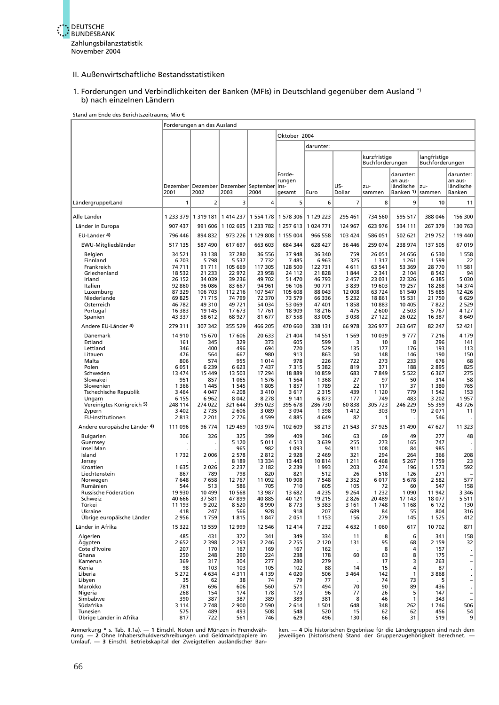

#### [1. Forderungen und Verbindlichkeiten der Banken \(MFIs\) in Deutschland gegenüber dem Ausland \\*\)](#page-16-0) b) nach einzelnen Ländern

Stand am Ende des Berichtszeitraums; Mio €

|                              |                    | Forderungen an das Ausland |                                                           |                    |                                         |                    |                |                   |                        |                   |                     |
|------------------------------|--------------------|----------------------------|-----------------------------------------------------------|--------------------|-----------------------------------------|--------------------|----------------|-------------------|------------------------|-------------------|---------------------|
|                              |                    |                            |                                                           |                    | Oktober 2004                            |                    |                |                   |                        |                   |                     |
|                              |                    |                            |                                                           |                    |                                         | darunter:          |                |                   |                        |                   |                     |
|                              |                    |                            |                                                           |                    |                                         |                    |                | kurzfristige      |                        | langfristige      |                     |
|                              |                    |                            |                                                           |                    |                                         |                    |                | Buchforderungen   |                        | Buchforderungen   |                     |
|                              |                    |                            |                                                           |                    | Forde-                                  |                    |                |                   | darunter:              |                   | darunter:           |
|                              |                    |                            |                                                           |                    | rungen                                  |                    | US-            |                   | an aus-                |                   | an aus-             |
|                              | 2001               | 2002                       | Dezember   Dezember   Dezember   September   ins-<br>2003 | 2004               | gesamt                                  | Euro               | Dollar         | zu-<br>sammen     | ländische<br>Banken 1) | lzu-<br>sammen    | ländische<br>Banken |
| Ländergruppe/Land            | $\mathbf{1}$       | 2                          | 3                                                         | 4                  | 5                                       | 6                  | $\overline{7}$ | 8                 | 9                      | 10                | 11                  |
|                              |                    |                            |                                                           |                    |                                         |                    |                |                   |                        |                   |                     |
| Alle Länder                  | 1 233 379          | 1 3 1 9 1 8 1              |                                                           |                    | 1 414 237 1 554 178 1 578 306 1 129 223 |                    | 295 461        | 734 560           | 595 517                | 388 046           | 156 300             |
| Länder in Europa             | 907 437            | 991 606                    |                                                           |                    | 1 102 695   1 233 782   1 257 613       | 1 0 24 7 7 1       | 124 967        | 623 976           | 534 111                | 267 379           | 130 763             |
| EU-Länder 4)                 | 796 446            | 894 832                    | 973 226                                                   | 1 129 808          | 1 155 004                               | 966 558            | 103 424        | 586 051           | 502 621                | 219 752           | 119 440             |
| EWU-Mitgliedsländer          | 517 135            | 587 490                    | 617 697                                                   | 663 603            | 684 344                                 | 628 427            | 36 446         | 259 074           | 238 974                | 137 505           | 67 019              |
| Belgien                      | 34 521             | 33 138                     | 37 280                                                    | 36 556             | 37 948                                  | 36 340             | 759            | 26 051            | 24 656                 | 6 5 3 0           | 1 5 5 8             |
| Finnland<br>Frankreich       | 6703<br>74 711     | 5798<br>91 711             | 5 5 3 7<br>105 669                                        | 7732<br>117 305    | 7 4 8 5<br>128 500                      | 6963<br>122 731    | 325<br>4611    | 1 3 1 7<br>63 541 | 1 2 6 1<br>53 369      | 1 5 9 9<br>28 770 | 22<br>11 581        |
| Griechenland                 | 18 5 32            | 21 233                     | 22 972                                                    | 23 958             | 24 112                                  | 21828              | 1844           | 2 3 4 1           | 2 1 0 4                | 8 5 4 2           | 94                  |
| Irland                       | 26 152             | 34 039                     | 39 236                                                    | 49 702             | 51 470                                  | 46 793             | 2 4 5 7        | 23 031            | 22 3 26                | 6 3 8 5           | 5 0 3 0             |
| Italien<br>Luxemburg         | 92 860<br>87 329   | 96 086<br>106 703          | 83 667<br>112 216                                         | 94 961<br>107 547  | 96 106<br>105 608                       | 90 771<br>88 043   | 3839<br>12 008 | 19 603<br>63724   | 19 257<br>61 540       | 18 2 68<br>15 685 | 14 374<br>12 4 26   |
| Niederlande                  | 69825              | 71715                      | 74 799                                                    | 72 370             | 73 579                                  | 66 336             | 5 2 3 2        | 18861             | 15 5 31                | 21 750            | 6629                |
| Österreich                   | 46 782             | 49 310                     | 49721                                                     | 54 034             | 53 069                                  | 47 401             | 1858           | 10883             | 10 405                 | 7822              | 2 5 2 9             |
| Portugal<br>Spanien          | 16 383<br>43 337   | 19 145<br>58 612           | 17 673<br>68 927                                          | 17 761<br>81 677   | 18 909<br>87 558                        | 18 216<br>83 005   | 475<br>3 0 3 8 | 2 600<br>27 122   | 2 5 0 3<br>26 022      | 5 7 6 7<br>16 387 | 4 1 2 7<br>8649     |
| Andere EU-Länder 4)          | 279 311            | 307 342                    | 355 529                                                   | 466 205            | 470 660                                 | 338 131            | 66 978         | 326 977           | 263 647                | 82 247            | 52 421              |
| Dänemark                     | 14 9 10            | 15 670                     | 17 606                                                    | 20 633             | 21 404                                  | 14 5 5 1           | 1 5 6 9        | 10 0 39           | 9777                   | 7 2 1 6           | 4 1 7 9             |
| Estland                      | 161                | 345                        | 329                                                       | 373                | 605                                     | 599                | 3              | 10                | 8                      | 296               | 141                 |
| Lettland                     | 346                | 400                        | 496                                                       | 694                | 720                                     | 529                | 135            | 177               | 176                    | 193               | 113                 |
| Litauen<br>Malta             | 476<br>806         | 564<br>574                 | 667<br>955                                                | 980<br>1014        | 913<br>978                              | 863<br>226         | 50<br>722      | 148<br>273        | 146<br>233             | 190<br>676        | 150<br>68           |
| Polen                        | 6051               | 6 2 3 9                    | 6 6 23                                                    | 7437               | 7315                                    | 5 3 8 2            | 819            | 371               | 188                    | 2895              | 825                 |
| Schweden                     | 13 474             | 15 4 49                    | 13 503                                                    | 17 294             | 18889                                   | 10859              | 683            | 7849              | 5 5 2 2                | 6 3 6 7           | 275                 |
| Slowakei<br>Slowenien        | 951<br>1 3 6 6     | 857<br>1 4 4 5             | 1 0 6 5<br>1 5 4 5                                        | 1576<br>1805       | 1 5 6 4<br>1857                         | 1 3 6 8<br>1789    | 27<br>22       | 97<br>117         | 50<br>37               | 314<br>1 3 8 0    | 58<br>765           |
| Tschechische Republik        | 3 4 6 4            | 4 0 4 7                    | 4 2 0 8                                                   | 3 4 1 0            | 3617                                    | 2 3 1 5            | 439            | 1 1 2 0           | 779                    | 1 5 4 2           | 153                 |
| Ungarn                       | 6 1 5 5            | 6962                       | 8 0 4 2                                                   | 8 2 7 8            | 9 1 4 1                                 | 6873               | 177            | 749               | 483                    | 3 2 0 2           | 1957                |
| Vereinigtes Königreich 5)    | 248 114<br>3 4 0 2 | 274 022<br>2735            | 321 644<br>2 606                                          | 395 023<br>3 0 8 9 | 395 678<br>3 0 9 4                      | 286 730<br>1 3 9 8 | 60 838<br>1412 | 305 723<br>303    | 246 229<br>19          | 55 359<br>2 0 7 1 | 43726<br>11         |
| Zypern<br>EU-Institutionen   | 2813               | 2 2 0 1                    | 2776                                                      | 4 5 9 9            | 4885                                    | 4 6 4 9            | 82             | 1                 |                        | 546               |                     |
| Andere europäische Länder 4) | 111 096            | 96 774                     | 129 469                                                   | 103 974            | 102 609                                 | 58 213             | 21 543         | 37 925            | 31 490                 | 47 627            | 11 323              |
| <b>Bulgarien</b>             | 306                | 326                        | 325                                                       | 399                | 409                                     | 346                | 63             | 69                | 49                     | 277               | 48                  |
| Guernsey                     |                    |                            | 5 1 2 0                                                   | 5 0 1 1            | 4513                                    | 3 6 3 9            | 255            | 273               | 165                    | 747               |                     |
| Insel Man                    |                    |                            | 965                                                       | 982                | 1 0 9 3                                 | 94                 | 911            | 108               | 84                     | 985               |                     |
| Island<br>Jersey             | 1732               | 2 0 0 6                    | 2 5 7 8<br>8 1 8 9                                        | 2812<br>13 3 3 4   | 2 9 2 8<br>13 4 43                      | 2 4 6 9<br>10814   | 321<br>1 2 1 1 | 294<br>6468       | 264<br>5 2 6 7         | 366<br>1759       | 208<br>23           |
| Kroatien                     | 1635               | 2 0 2 6                    | 2 2 3 7                                                   | 2 1 8 2            | 2 2 3 9                                 | 1993               | 203            | 274               | 196                    | 1 573             | 592                 |
| Liechtenstein                | 867                | 789                        | 798                                                       | 820<br>11 092      | 821                                     | 512                | 26             | 518               | 126                    | 271               |                     |
| Norwegen<br>Rumänien         | 7648<br>544        | 7658<br>513                | 12 767<br>586                                             | 705                | 10 908<br>710                           | 7 5 4 8<br>605     | 2 3 5 2<br>105 | 6017<br>72        | 5678<br>60             | 2 5 8 2<br>547    | 577<br>158          |
| Russische Föderation         | 19 9 30            | 10 499                     | 10 5 68                                                   | 13 987             | 13 682                                  | 4 2 3 5            | 9 2 6 4        | 1 2 3 2           | 1 0 9 0                | 11 942            | 3 3 4 6             |
| Schweiz                      | 40 666             | 37 581                     | 47 899                                                    | 40 885             | 40 121                                  | 19 215             | 2826           | 20 489            | 17 143                 | 18 O / /          | 5 511               |
| Türkei<br>Ukraine            | 11 193<br>418      | 9 2 0 2<br>247             | 8520<br>566                                               | 8990<br>928        | 8773<br>918                             | 5 3 8 3<br>207     | 3 1 6 1<br>689 | 1748<br>84        | 1 1 6 8<br>55          | 6 172<br>804      | 130<br>316          |
| Übrige europäische Länder    | 2956               | 1759                       | 1815                                                      | 1847               | 2 0 5 1                                 | 1 1 5 3            | 156            | 279               | 145                    | 1 5 2 5           | 412                 |
| Länder in Afrika             | 15 322             | 13 559                     | 12 999                                                    | 12 546             | 12 4 14                                 | 7 2 3 2            | 4 6 3 2        | 1 0 6 0           | 617                    | 10 702            | 871                 |
| Algerien                     | 485                | 431                        | 372                                                       | 341                | 349                                     | 334                | 11             | 8                 | 6                      | 341               | 158                 |
| Ägypten                      | 2652               | 2 3 9 8                    | 2 2 9 3                                                   | 2 2 4 6            | 2 2 5 5                                 | 2 1 2 0            | 131            | 95                | 68                     | 2 1 5 9           | 32                  |
| Cote d'Ivoire<br>Ghana       | 207<br>250         | 170<br>248                 | 167<br>290                                                | 169<br>224         | 167<br>238                              | 162<br>178         | 60             | 8<br>63           | 4<br>8                 | 157<br>175        | $\qquad \qquad -$   |
| Kamerun                      | 369                | 317                        | 304                                                       | 277                | 280                                     | 279                |                | 17                | 3                      | 263               | -                   |
| Kenia                        | 98                 | 103                        | 103<br>4 3 1 1                                            | 105                | 102<br>4 0 2 0                          | 88                 | 14             | 15                | 4<br>1                 | 87<br>3868        | $\bullet$           |
| Liberia<br>Libyen            | 5 2 7 2<br>35      | 4634<br>62                 | 38                                                        | 4 1 3 9<br>74      | 79                                      | 506<br>77          | 3 4 6 4        | 142<br>74         | 73                     | 5                 | $\bullet$<br>-      |
| Marokko                      | 781                | 696                        | 606                                                       | 560                | 571                                     | 494                | 70             | 90                | 89                     | 436               |                     |
| Nigeria<br>Simbabwe          | 268<br>390         | 154<br>387                 | 174<br>387                                                | 178<br>389         | 173<br>389                              | 96<br>381          | 77<br>8        | 26<br>46          | 5<br>$\mathbf{1}$      | 147<br>343        | -                   |
| Südafrika                    | 3 1 1 4            | 2 7 4 8                    | 2 900                                                     | 2 5 9 0            | 2614                                    | 1 5 0 1            | 648            | 348               | 262                    | 1746              | 506                 |
| Tunesien                     | 575                | 489                        | 493                                                       | 508                | 548                                     | 520                | 15             | 62                | 62                     | 456               | 54                  |
| Übrige Länder in Afrika      | 817                | 722                        | 561                                                       | 746                | 629                                     | 496                | 130            | 66                | 31                     | 519               | 9 <sup>1</sup>      |

Anmerkung \* s. Tab. II.1a). — 1 Einschl. Noten und Münzen in Fremdwäh- ken. — 4 Die historischen Ergebnisse für die Ländergruppen sind nach dem<br>rung. — 2 Ohne Inhaberschuldverschreibungen und Geldmarktpapiere im keiweilige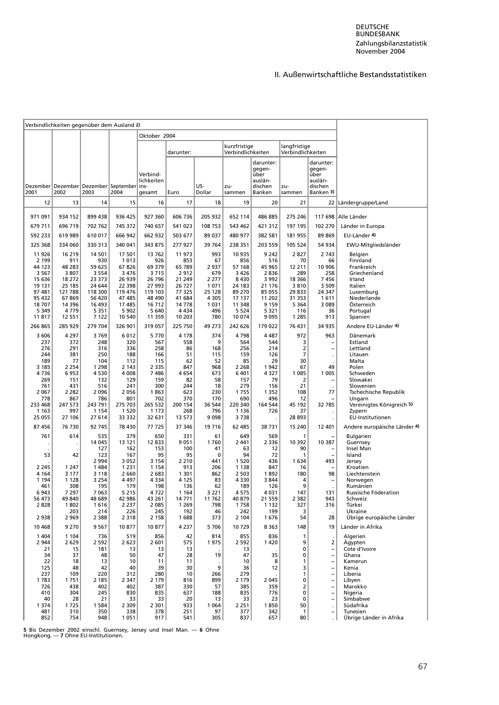|                    | Verbindlichkeiten gegenüber dem Ausland 2)                |                   |                    |                                  |                   |                    |                                   |                                                             |                                   |                                                                |                                     |
|--------------------|-----------------------------------------------------------|-------------------|--------------------|----------------------------------|-------------------|--------------------|-----------------------------------|-------------------------------------------------------------|-----------------------------------|----------------------------------------------------------------|-------------------------------------|
|                    |                                                           |                   |                    | Oktober 2004                     |                   |                    |                                   |                                                             |                                   |                                                                |                                     |
|                    |                                                           |                   |                    |                                  | darunter:         |                    | kurzfristige<br>Verbindlichkeiten |                                                             | langfristige<br>Verbindlichkeiten |                                                                |                                     |
| 2001               | Dezember   Dezember   Dezember   September   ins-<br>2002 | 2003              | 2004               | Verbind-<br>lichkeiten<br>gesamt | Euro              | US-<br>Dollar      | zu-<br>sammen                     | darunter:<br>gegen-<br>über<br>auslän-<br>dischen<br>Banken | zu-<br>sammen                     | darunter:<br>gegen-<br>über<br>auslän-<br>dischen<br>Banken 3) |                                     |
| 12                 | 13                                                        | 14                | 15                 | 16                               | 17                | 18                 | 19                                | 20                                                          | 21                                |                                                                | 22 Ländergruppe/Land                |
| 971 091            | 934 152                                                   | 899 438           | 936 425            | 927 360                          | 606 736           | 205 932            | 652 114                           | 486 885                                                     | 275 246                           |                                                                | 117 698 Alle Länder                 |
| 679 711            | 696 719                                                   | 702 762           | 745 372            | 740 657                          | 541 023           | 108 753            | 543 462                           | 421 312                                                     | 197 195                           | 102 270                                                        | Länder in Europa                    |
| 592 233            | 619 989                                                   | 610 017           | 666 942            | 662 932                          | 503 677           | 89 037             | 480 977                           | 382 581                                                     | 181 955                           | 89 869                                                         | EU-Länder 4)                        |
| 325 368            | 334 060                                                   | 330 313           | 340 041            | 343 875                          | 277 927           | 39 764             | 238 351                           | 203 559                                                     | 105 524                           | 54 934                                                         | EWU-Mitgliedsländer                 |
| 11 926             | 16 219                                                    | 14 501            | 17 501             | 13762                            | 11 973            | 993                | 10 935                            | 9 2 4 2                                                     | 2827                              | 2 7 4 3                                                        | Belgien                             |
| 2 1 9 9<br>44 123  | 911<br>48 283                                             | 930<br>59 625     | 1013<br>67826      | 926<br>69 379                    | 853<br>65 789     | 67<br>2937         | 856<br>57 168                     | 516<br>45 965                                               | 70<br>12 211                      | 66<br>10 906                                                   | Finnland<br>Frankreich              |
| 3 5 6 7            | 3 8 0 7                                                   | 3 5 5 4           | 3 4 7 6            | 3715                             | 2912              | 679                | 3 4 2 6                           | 2836                                                        | 289                               | 258                                                            | Griechenland                        |
| 15 636<br>19 131   | 18 272<br>25 185                                          | 23 373<br>24 644  | 26 939<br>22 3 98  | 26 796<br>27 993                 | 21 249<br>26 727  | 2 2 7 7<br>1 0 7 1 | 8 4 3 0<br>24 183                 | 3 9 9 2<br>21 176                                           | 18 3 66<br>3810                   | 7456<br>3 5 0 9                                                | Irland<br>Italien                   |
| 97 481             | 121 788                                                   | 118 300           | 119 476            | 119 103                          | 77 325            | 25 128             | 89 270                            | 85 055                                                      | 29 833                            | 24 347                                                         | Luxemburg                           |
| 95 432             | 67869                                                     | 56 420            | 47 485             | 48 490                           | 41 684            | 4 3 0 5            | 17 137                            | 11 202                                                      | 31 353                            | 1611                                                           | Niederlande                         |
| 18 707<br>5 3 4 9  | 14 3 96<br>4779                                           | 16 493<br>5 3 5 1 | 17 485<br>5 9 0 2  | 16712<br>5 6 4 0                 | 14 778<br>4 4 3 4 | 1 0 3 1<br>496     | 11 348<br>5 5 2 4                 | 9 1 5 9<br>5 3 2 1                                          | 5 3 6 4<br>116                    | 3 0 8 9<br>36                                                  | Österreich<br>Portugal              |
| 11817              | 12 551                                                    | 7 1 2 2           | 10 540             | 11 359                           | 10 203            | 780                | 10 074                            | 9 0 9 5                                                     | 1 2 8 5                           | 913                                                            | Spanien                             |
| 266 865            | 285 929                                                   | 279 704           | 326 901            | 319 057                          | 225 750           | 49 273             | 242 626                           | 179 022                                                     | 76 431                            | 34 935                                                         | Andere EU-Länder 4)                 |
| 3 606              | 4 2 9 7                                                   | 3769              | 6012               | 5770                             | 4 1 7 8           | 374                | 4798                              | 4 4 8 7                                                     | 972                               | 963                                                            | Dänemark                            |
| 237<br>276         | 372<br>291                                                | 248<br>316        | 320<br>336         | 567<br>258                       | 558<br>86         | 9<br>168           | 564<br>256                        | 544<br>214                                                  | 3<br>2                            | <b>-</b><br>$\overline{a}$                                     | Estland<br>Lettland                 |
| 244                | 381                                                       | 250               | 188                | 166                              | 51                | 115                | 159                               | 126                                                         | $\overline{7}$                    |                                                                | Litauen                             |
| 189                | 77                                                        | 104               | 112                | 115                              | 62                | 52                 | 85                                | 29                                                          | 30                                |                                                                | Malta                               |
| 3 1 8 5            | 2 2 5 4                                                   | 1 2 9 8           | 2 1 4 3            | 2 3 3 5                          | 847               | 968                | 2 2 6 8                           | 1942                                                        | 67                                | 49                                                             | Polen                               |
| 4736<br>269        | 6953<br>151                                               | 4 5 3 0<br>132    | 4 0 0 8<br>129     | 7486<br>159                      | 4 6 5 4<br>82     | 673<br>58          | 6 4 0 1<br>157                    | 4 3 2 7<br>79                                               | 1 0 8 5<br>2                      | 1 0 0 5<br><b>-</b>                                            | Schweden<br>Slowakei                |
| 761                | 431                                                       | 516               | 241                | 300                              | 244               | 18                 | 279                               | 156                                                         | 21                                |                                                                | Slowenien                           |
| 2 0 6 7            | 2 2 8 2                                                   | 2 0 9 6           | 2056               | 1863                             | 623               | 230                | 1755                              | 1 3 5 2                                                     | 108                               | 77                                                             | Tschechische Republik               |
| 778<br>233 468     | 867<br>247 573                                            | 786<br>243 791    | 801<br>275 703     | 702<br>265 532                   | 370<br>200 154    | 170<br>36 544      | 690<br>220 340                    | 496<br>164 544                                              | 12<br>45 192                      | 32 785                                                         | Ungarn<br>Vereinigtes Königreich 5) |
| 1 1 6 3            | 997                                                       | 1 1 5 4           | 1 5 2 0            | 1 1 7 3                          | 268               | 796                | 1 1 3 6                           | 726                                                         | 37                                |                                                                | Zypern                              |
| 25 055             | 27 106                                                    | 27 614            | 33 332             | 32 631                           | 13 573            | 9098               | 3738                              |                                                             | 28 893                            |                                                                | EU-Institutionen                    |
| 87 456             | 76 730                                                    | 92 745            | 78 430             | 77725                            | 37 346            | 19716              | 62 485                            | 38731                                                       | 15 240                            | 12 401                                                         | Andere europäische Länder 4)        |
| 761                | 614                                                       | 535               | 379                | 650                              | 331               | 61                 | 649                               | 569                                                         | 1                                 |                                                                | <b>Bulgarien</b>                    |
|                    |                                                           | 14 045<br>127     | 13 121<br>162      | 12833<br>153                     | 9 0 5 1<br>100    | 1760<br>41         | 2 4 4 1<br>63                     | 2 3 3 6<br>12                                               | 10 392<br>90                      | 10 387                                                         | Guernsey<br>Insel Man               |
| 53                 | 42                                                        | 123               | 167                | 95                               | 95                | $\mathbf 0$        | 94                                | 72                                                          | 1                                 | $\overline{a}$                                                 | Island                              |
|                    |                                                           | 2 9 9 4           | 3 0 5 2            | 3 1 5 4                          | 2 2 1 0           | 441                | 1 5 2 0                           | 436                                                         | 1 6 3 4                           | 493                                                            | Jersey                              |
| 2 2 4 5<br>4 1 6 4 | 1 2 4 7<br>3 1 7 7                                        | 1484<br>3 1 1 8   | 1 2 3 1<br>2 6 6 0 | 1 1 5 4<br>2 6 8 3               | 913<br>1 3 0 1    | 206<br>862         | 1 1 3 8<br>2 5 0 3                | 847<br>1892                                                 | 16<br>180                         | 98                                                             | Kroatien<br>Liechtenstein           |
| 1 1 9 4            | 1 1 2 8                                                   | 3 2 5 4           | 4 4 9 7            | 4 3 3 4                          | 4 1 2 5           | 83                 | 4 3 3 0                           | 3844                                                        | 4                                 |                                                                | Norwegen                            |
| 461                | 308                                                       | 195               | 179                | 198                              | 136               | 62                 | 189                               | 126                                                         | 9                                 |                                                                | Rumänien                            |
| 6 9 43             | 7 297                                                     | 7 0 63            | 5 2 1 5            | 4722                             | 1 1 6 4           | 3 2 2 1            | 4575                              | 4 0 3 1                                                     | 147                               | 131                                                            | Russische Föderation                |
| 56 473<br>2828     | 49 840<br>1802                                            | 48 689<br>1616    | 42 986<br>2 2 3 7  | 43 261<br>2 0 8 5                | 14 771<br>1 2 6 9 | 11762<br>798       | 40 879<br>1758                    | 21 559<br>1 1 3 2                                           | 2 3 8 2<br>327                    | 943<br>316                                                     | Schweiz<br>Türkei                   |
|                    | 203                                                       | 214               | 226                | 245                              | 192               | 46                 | 242                               | 199                                                         | 3                                 |                                                                | Ukraine                             |
| 2 9 3 8            | 2969                                                      | 2 3 8 8           | 2 3 1 8            | 2 1 5 8                          | 1688              | 373                | 2 104                             | 1676                                                        | 54                                | 28                                                             | Übrige europäische Länder           |
| 10 4 68            | 9 2 7 0                                                   | 9 5 6 7           | 10877              | 10877                            | 4 2 3 7           | 5706               | 10729                             | 8 3 6 3                                                     | 148                               | 19                                                             | Länder in Afrika                    |
| 1 4 0 4<br>2 9 4 4 | 1 1 0 4<br>2629                                           | 736<br>2 5 9 2    | 519<br>2 6 2 3     | 856<br>2601                      | 42<br>575         | 814<br>1975        | 855<br>2 5 9 2                    | 836<br>1420                                                 | 1<br>9                            | $\overline{2}$                                                 | Algerien<br>Ägypten                 |
| 21                 | 15                                                        | 181               | 13                 | 13                               | 13                |                    | 13                                |                                                             | 0                                 | $\overline{a}$                                                 | Cote d'Ivoire                       |
| 34                 | 37                                                        | 48                | 50                 | 47                               | 28                | 19                 | 47                                | 35                                                          | 0                                 | $\overline{a}$                                                 | Ghana                               |
| 22<br>125          | 18<br>48                                                  | 13<br>42          | 10<br>40           | 11<br>39                         | 11<br>30          | 9                  | 10<br>36                          | 8<br>12                                                     | 1<br>3                            | $\overline{\phantom{0}}$                                       | Kamerun<br>Kenia                    |
| 237                | 109                                                       | 220               | 312                | 280                              | 10                | 266                | 279                               |                                                             | 1                                 | -<br>$\overline{\phantom{0}}$                                  | Liberia                             |
| 1783               | 1751                                                      | 2 1 8 5           | 2 3 4 7            | 2 1 7 9                          | 816               | 899                | 2 1 7 9                           | 2 0 4 5                                                     | 0                                 | $\overline{a}$                                                 | Libyen                              |
| 726                | 438                                                       | 402               | 402                | 387                              | 330               | 57                 | 385                               | 359                                                         | 2                                 | $\overline{a}$                                                 | Marokko                             |
| 410<br>40          | 304<br>28                                                 | 245<br>21         | 830<br>33          | 835<br>33                        | 637<br>20         | 188<br>13          | 835<br>33                         | 776<br>23                                                   | 0<br>0                            | $\overline{\phantom{0}}$<br>$\overline{\phantom{0}}$           | Nigeria<br>Simbabwe                 |
| 1 3 7 4            | 1725                                                      | 1 5 8 4           | 2 3 0 9            | 2 3 0 1                          | 933               | 1 0 6 4            | 2 2 5 1                           | 1850                                                        | 50                                | $\cdot$                                                        | Südafrika                           |
| 481<br>852         | 310<br>754                                                | 350<br>948        | 338<br>1051        | 378<br>917                       | 251<br>541        | 97<br>305          | 377<br>837                        | 342<br>657                                                  | 1<br>80                           | $\overline{\phantom{0}}$                                       | Tunesien<br>Übrige Länder in Afrika |

**5** Bis Dezember 2002 einschl. Guernsey, Jersey und Insel Man. — **6** Ohne Hongkong. — **7** Ohne EU-Institutionen.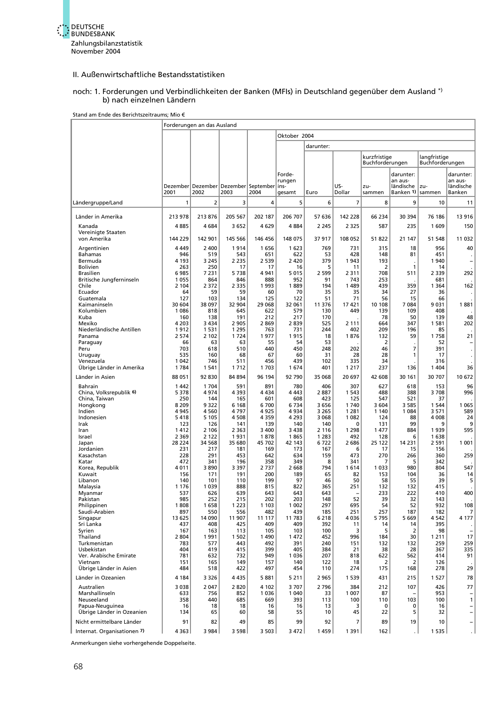

#### [noch: 1. Forderungen und Verbindlichkeiten der Banken \(MFIs\) in Deutschland gegenüber dem Ausland \\*\)](#page-17-0) b) nach einzelnen Ländern

Stand am Ende des Berichtszeitraums; Mio €

|                                              |                 | Forderungen an das Ausland                        |                    |                |                  |                    |                |                       |                      |                 |                        |
|----------------------------------------------|-----------------|---------------------------------------------------|--------------------|----------------|------------------|--------------------|----------------|-----------------------|----------------------|-----------------|------------------------|
|                                              |                 |                                                   |                    |                | Oktober 2004     |                    |                |                       |                      |                 |                        |
|                                              |                 |                                                   |                    |                |                  | darunter:          |                |                       |                      |                 |                        |
|                                              |                 |                                                   |                    |                |                  |                    |                | kurzfristige          |                      | langfristige    |                        |
|                                              |                 |                                                   |                    |                |                  |                    |                | Buchforderungen       |                      | Buchforderungen |                        |
|                                              |                 |                                                   |                    |                |                  |                    |                |                       |                      |                 |                        |
|                                              |                 |                                                   |                    |                | Forde-<br>rungen |                    |                |                       | darunter:<br>an aus- |                 | darunter:<br>an aus-   |
|                                              |                 | Dezember   Dezember   Dezember   September   ins- |                    |                |                  |                    | US-            | zu-                   | ländische            | zu-             | ländische              |
|                                              | 2001            | 2002                                              | 2003               | 2004           | gesamt           | Euro               | Dollar         | sammen                | Banken 1)            | sammen          | Banken                 |
| Ländergruppe/Land                            | $\mathbf{1}$    | $\overline{2}$                                    | 3                  | 4              | 5                | 6                  | $\overline{7}$ | 8                     | 9                    | 10              | 11                     |
|                                              |                 |                                                   |                    |                |                  |                    |                |                       |                      |                 |                        |
| Länder in Amerika                            | 213 978         | 213 876                                           | 205 567            | 202 187        | 206 707          | 57 636             | 142 228        | 66 234                | 30 394               | 76 186          | 13 916                 |
| Kanada<br>Vereinigte Staaten                 | 4885            | 4684                                              | 3 6 5 2            | 4629           | 4884             | 2 2 4 5            | 2 3 2 5        | 587                   | 235                  | 1 609           | 150                    |
| von Amerika                                  | 144 229         | 142 901                                           | 145 566            | 146 456        | 148 075          | 37917              | 108 052        | 51822                 | 21 147               | 51 548          | 11 0 32                |
| Argentinien                                  | 4 4 4 9         | 2 4 0 0                                           | 1914               | 1656           | 1 623            | 769                | 731            | 315                   | 18                   | 956             | 40                     |
| <b>Bahamas</b>                               | 946             | 519                                               | 543                | 651            | 622              | 53                 | 428            | 148                   | 81                   | 451             |                        |
| Bermuda                                      | 4 1 9 3         | 3 2 4 5                                           | 2 2 3 5            | 2 5 3 9        | 2 4 2 0          | 379                | 1943           | 193                   |                      | 1 940           |                        |
| <b>Bolivien</b><br><b>Brasilien</b>          | 263<br>6985     | 250<br>7 2 3 1                                    | 17<br>5738         | 17<br>4 9 4 1  | 16<br>5 0 1 5    | 5<br>2 5 9 9       | 11<br>2 3 1 1  | $\overline{2}$<br>708 | 1<br>511             | 14<br>2 3 3 9   | 292                    |
| Britische Jungferninseln                     | 1 0 5 5         | 864                                               | 846                | 888            | 952              | 91                 | 743            | 253                   |                      | 681             |                        |
| Chile                                        | 2 1 0 4         | 2 3 7 2                                           | 2 3 3 5            | 1993           | 1889             | 194                | 1 4 8 9        | 439                   | 359                  | 1 3 6 4         | 162                    |
| Ecuador                                      | 64<br>127       | 59<br>103                                         | 59                 | 60             | 70               | 35<br>51           | 35<br>71       | 34<br>56              | 27<br>15             | 36<br>66        |                        |
| Guatemala<br>Kaimaninseln                    | 30 604          | 38 097                                            | 134<br>32 904      | 125<br>29 068  | 122<br>32 061    | 11 376             | 17 421         | 10 108                | 7 0 8 4              | 9 0 3 1         | 1881                   |
| Kolumbien                                    | 1086            | 818                                               | 645                | 622            | 579              | 130                | 449            | 139                   | 109                  | 408             |                        |
| Kuba                                         | 160             | 138                                               | 191                | 212            | 217              | 170                |                | 78                    | 50                   | 139             | 48                     |
| Mexiko<br>Niederländische Antillen           | 4 2 0 3<br>1912 | 3 4 3 4<br>1 5 3 1                                | 2 9 0 5<br>1 2 9 5 | 2869<br>763    | 2839<br>731      | 525<br>244         | 2 1 1 1<br>402 | 664<br>209            | 347<br>196           | 1 5 8 1<br>85   | 202                    |
| Panama                                       | 2 5 7 4         | 2 1 0 2                                           | 1724               | 1977           | 1915             | 18                 | 1876           | 132                   | 59                   | 1758            | 21                     |
| Paraguay                                     | 66              | 63                                                | 63                 | 55             | 54               | 53                 |                | $\overline{2}$        |                      | 52              |                        |
| Peru<br>Uruguay                              | 703<br>535      | 618<br>160                                        | 510<br>68          | 440<br>67      | 450<br>60        | 248<br>31          | 202<br>28      | 46<br>28              | 7<br>1               | 391<br>17       |                        |
| Venezuela                                    | 1 0 4 2         | 746                                               | 511                | 456            | 439              | 102                | 335            | 34                    |                      | 316             |                        |
| Ubrige Länder in Amerika                     | 1784            | 1 5 4 1                                           | 1712               | 1703           | 1674             | 401                | 1 2 1 7        | 237                   | 136                  | 1 4 0 4         | 36                     |
| Länder in Asien                              | 88 051          | 92 830                                            | 84 894             | 96 194         | 92 790           | 35 068             | 20 697         | 42 608                | 30 161               | 30 707          | 10 672                 |
| Bahrain                                      | 1442            | 1704                                              | 591                | 891            | 780              | 406                | 307            | 627                   | 618                  | 153             | 96                     |
| China, Volksrepublik 6)                      | 5 3 7 8         | 4974                                              | 4 3 9 3            | 4 4 3 4        | 4 4 4 3          | 2887               | 1 5 4 3        | 488                   | 388                  | 3708            | 996                    |
| China, Taiwan<br>Hongkong                    | 250<br>8 2 0 9  | 144<br>9 3 2 2                                    | 165<br>6 1 6 8     | 601<br>6700    | 608<br>6734      | 423<br>3 6 5 6     | 125<br>1740    | 547<br>3 604          | 521<br>3 5 8 5       | 37<br>1 5 4 4   | 1 0 6 5                |
| Indien                                       | 4 9 4 5         | 4 5 6 0                                           | 4797               | 4925           | 4934             | 3 2 6 5            | 1 2 8 1        | 1 1 4 0               | 1 0 8 4              | 3 5 7 1         | 589                    |
| Indonesien                                   | 5418            | 5 1 0 5                                           | 4508               | 4 3 5 9        | 4 2 9 3          | 3 0 6 8            | 1 0 8 2        | 124                   | 88                   | 4 0 0 8         | 24                     |
| Irak                                         | 123<br>1412     | 126<br>2 10 6                                     | 141                | 139<br>3 4 0 0 | 140<br>3 4 3 8   | 140                | 0<br>1 2 9 8   | 131<br>1 4 7 7        | 99<br>884            | 9<br>1939       | 9<br>595               |
| Iran<br>Israel                               | 2 3 6 9         | 2 1 2 2                                           | 2 3 6 3<br>1931    | 1878           | 1865             | 2 1 1 6<br>1 2 8 3 | 492            | 128                   | 6                    | 1 6 3 8         |                        |
| Japan                                        | 28 2 24         | 34 5 68                                           | 35 680             | 45 702         | 42 143           | 6722               | 2686           | 25 122                | 14 2 31              | 2 5 9 1         | 1 0 0 1                |
| Jordanien                                    | 231             | 217                                               | 181                | 169            | 173              | 167                | 6              | 17                    | 15                   | 156             |                        |
| Kasachstan<br>Katar                          | 228<br>472      | 291<br>341                                        | 453<br>196         | 642<br>358     | 634<br>349       | 159<br>8           | 473<br>341     | 270<br>7              | 266<br>5             | 360<br>342      | 259                    |
| Korea, Republik                              | 4011            | 3890                                              | 3 3 9 7            | 2737           | 2 6 6 8          | 794                | 1614           | 1 0 3 3               | 980                  | 804             | 547                    |
| Kuwait                                       | 156             | 171                                               | 191                | 200            | 189              | 65                 | 82             | 153                   | 104                  | 36              | 14                     |
| Libanon<br>Malaysia                          | 140<br>1 1 7 6  | 101<br>1 0 3 9                                    | 110<br>888         | 199<br>815     | 97<br>822        | 46<br>365          | 50<br>251      | 58<br>132             | 55<br>132            | 39<br>415       | 5                      |
| Myanmar                                      | 537             | 626                                               | 639                | 643            | 643              | 643                |                | 233                   | 222                  | 410             | 400                    |
| Pakistan                                     | 985             | 252                                               | 215                | 202            | 203              | 148                | 52             | 39                    | 32                   | 143             |                        |
| Philippinen<br>Saudi-Arabien                 | 1808<br>897     | 1658<br>550                                       | 1 2 2 3<br>556     | 1 1 0 3<br>482 | 1 0 0 2<br>439   | 297<br>185         | 695<br>251     | 54<br>257             | 52<br>187            | 932<br>182      | 108<br>7               |
| Singapur                                     | 13 625          | 14 090                                            | 11 907             | 11 117         | 11 783           | 6 2 1 8            | 4 0 3 6        | 5795                  | 5 6 6 9              | 4 5 4 2         | 4 1 7 7                |
| Sri Lanka                                    | 437             | 408                                               | 425                | 409            | 409              | 392                | 11             | 14                    | 14                   | 395             |                        |
| Syrien<br>Thailand                           | 167<br>2 8 0 4  | 163<br>1991                                       | 113<br>1 502       | 105<br>1490    | 103<br>1472      | 100<br>452         | 3<br>996       | 5<br>184              | 2<br>30              | 98<br>1 2 1 1   | 17                     |
| Turkmenistan                                 | 783             | 577                                               | 443                | 492            | 391              | 240                | 151            | 132                   | 132                  | 259             | 259                    |
| Usbekistan                                   | 404             | 419                                               | 415                | 399            | 405              | 384                | 21             | 38                    | 28                   | 367             | 335                    |
| Ver. Arabische Emirate<br>Vietnam            | 781<br>151      | 632<br>165                                        | 732<br>149         | 949<br>157     | 1 0 3 6<br>140   | 207<br>122         | 818<br>18      | 622<br>2              | 562<br>2             | 414<br>126      | 91                     |
| Übrige Länder in Asien                       | 484             | 518                                               | 422                | 497            | 454              | 110                | 274            | 175                   | 168                  | 278             | 29                     |
| Länder in Ozeanien                           | 4 1 8 4         | 3 3 2 6                                           | 4 4 3 5            | 5881           | 5 2 1 1          | 2 9 6 5            | 1 5 3 9        | 431                   | 215                  | 1 5 2 7         | 78                     |
| Australien                                   | 3 0 3 8         | 2 0 4 7                                           | 2820               | 4 1 0 2        | 3 7 0 7          | 2796               | 384            | 212                   | 107                  | 426             | 77                     |
| Marshallinseln                               | 633             | 756                                               | 852                | 1036           | 1 0 4 0          | 33                 | 1 0 0 7        | 87                    |                      | 953             |                        |
| Neuseeland                                   | 358             | 440                                               | 685                | 669            | 393              | 113                | 100            | 110                   | 103                  | 100             | $\mathbf{1}$           |
| Papua-Neuguinea<br>Übrige Länder in Ozeanien | 16<br>134       | 18<br>65                                          | 18<br>60           | 16<br>58       | 16<br>55         | 13<br>10           | 3<br>45        | 0<br>22               | 0<br>5               | 16<br>32        | -<br>$\qquad \qquad -$ |
|                                              |                 |                                                   |                    |                |                  |                    |                |                       |                      |                 |                        |
| Nicht ermittelbare Länder                    | 91              | 82                                                | 49                 | 85             | 99               | 92                 | 7              | 89                    | 19                   | 10              | -                      |
| Internat. Organisationen 7)                  | 4 3 6 3         | 3 9 8 4                                           | 3 5 9 8            | 3503           | 3 4 7 2          | 1459               | 1 3 9 1        | 162                   |                      | 1 5 3 5         |                        |

Anmerkungen siehe vorhergehende Doppelseite.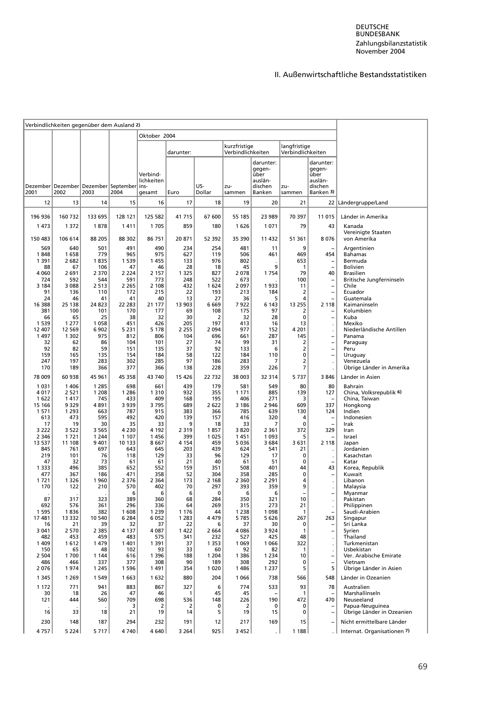|                 | Verbindlichkeiten gegenüber dem Ausland 2)           |                |                |                                          |                     |               |                                   |                                                             |                                   |                                                                |                                          |
|-----------------|------------------------------------------------------|----------------|----------------|------------------------------------------|---------------------|---------------|-----------------------------------|-------------------------------------------------------------|-----------------------------------|----------------------------------------------------------------|------------------------------------------|
|                 |                                                      |                |                | Oktober 2004                             |                     |               |                                   |                                                             |                                   |                                                                |                                          |
|                 |                                                      |                |                |                                          | darunter:           |               | kurzfristige<br>Verbindlichkeiten |                                                             | langfristige<br>Verbindlichkeiten |                                                                |                                          |
| 2001            | Dezember   Dezember   Dezember   September  <br>2002 | 2003           | 2004           | Verbind-<br>lichkeiten<br>ins-<br>gesamt | Euro                | US-<br>Dollar | zu-<br>sammen                     | darunter:<br>gegen-<br>über<br>auslän-<br>dischen<br>Banken | zu-<br>sammen                     | darunter:<br>gegen-<br>über<br>auslän-<br>dischen<br>Banken 3) |                                          |
| 12              | 13                                                   | 14             | 15             | 16                                       | 17                  | 18            | 19                                | 20                                                          | 21                                |                                                                | 22 Ländergruppe/Land                     |
| 196 936         | 160 732                                              | 133 695        | 128 121        | 125 582                                  | 41 715              | 67 600        | 55 185                            | 23 989                                                      | 70 397                            | 11 015                                                         | Länder in Amerika                        |
| 1 4 7 3         | 1 3 7 2                                              | 1878           | 1411           | 1705                                     | 859                 | 180           | 1626                              | 1 0 7 1                                                     | 79                                | 43                                                             | Kanada<br>Vereinigte Staaten             |
| 150 483         | 106 614                                              | 88 205         | 88 302         | 86 751                                   | 20 871              | 52 392        | 35 390                            | 11 4 32                                                     | 51 361                            | 8076                                                           | von Amerika                              |
| 569             | 640                                                  | 501            | 491            | 490                                      | 234                 | 254           | 481                               | 11                                                          | 9                                 | $\overline{\phantom{0}}$                                       | Argentinien                              |
| 1848<br>1 3 9 1 | 1658<br>2 6 8 2                                      | 779<br>1835    | 965<br>1539    | 975<br>1 4 5 5                           | 627<br>133          | 119<br>976    | 506<br>802                        | 461                                                         | 469<br>653                        | 454<br>-                                                       | <b>Bahamas</b><br>Bermuda                |
| 88              | 67                                                   | 106            | 47             | 46                                       | 28                  | 18            | 45                                | 9                                                           | 1                                 | $\overline{\phantom{0}}$                                       | <b>Bolivien</b>                          |
| 4 0 6 0         | 2691                                                 | 2 3 7 0        | 2 2 2 4        | 2 1 5 7                                  | 1 3 2 5             | 827           | 2 0 7 8                           | 1754                                                        | 79                                | 40                                                             | <b>Brasilien</b>                         |
| 724<br>3 1 8 4  | 592<br>3 0 8 8                                       | 544<br>2 5 1 3 | 591<br>2 2 6 5 | 773<br>2 1 0 8                           | 248<br>432          | 522<br>1624   | 673<br>2 0 9 7                    | 1933                                                        | 100<br>11                         | -                                                              | Britische Jungferninseln<br>Chile        |
| 91              | 136                                                  | 110            | 172            | 215                                      | 22                  | 193           | 213                               | 184                                                         | 2                                 | $\overline{\phantom{0}}$<br>$\overline{\phantom{0}}$           | Ecuador                                  |
| 24              | 46                                                   | 41             | 41             | 40                                       | 13                  | 27            | 36                                | 5                                                           | 4                                 | $\overline{\phantom{0}}$                                       | Guatemala                                |
| 16 388          | 25 138                                               | 24 823         | 22 283         | 21 177                                   | 13 903              | 6669          | 7922                              | 6 1 4 3                                                     | 13 255                            | 2 1 1 8                                                        | Kaimaninseln                             |
| 381             | 100<br>65                                            | 101<br>25      | 170            | 177<br>32                                | 69<br>30            | 108           | 175<br>32                         | 97<br>28                                                    | 2<br>$\mathbf 0$                  | -                                                              | Kolumbien                                |
| 66<br>1 5 3 9   | 1 2 7 7                                              | 1 0 5 8        | 38<br>451      | 426                                      | 205                 | 2<br>197      | 413                               | 16                                                          | 13                                | $\overline{\phantom{0}}$<br>÷,                                 | Kuba<br>Mexiko                           |
| 12 407          | 12 5 6 9                                             | 6 9 0 2        | 5 2 3 1        | 5 1 7 8                                  | 2 2 5 5             | 2 0 9 4       | 977                               | 152                                                         | 4 2 0 1                           | $\cdot$                                                        | Niederländische Antillen                 |
| 1 4 9 7         | 1 3 0 2                                              | 975            | 812            | 806                                      | 104                 | 696           | 661                               | 287                                                         | 145                               | $\overline{\phantom{0}}$                                       | Panama                                   |
| 32              | 62                                                   | 86             | 104            | 101                                      | 27                  | 74            | 99                                | 31                                                          | 2                                 | <sup>-</sup>                                                   | Paraguay                                 |
| 92<br>159       | 82<br>165                                            | 59<br>135      | 151<br>154     | 135<br>184                               | 37<br>58            | 92<br>122     | 133<br>184                        | 6<br>110                                                    | 2<br>0                            | $\overline{\phantom{0}}$<br>$\overline{\phantom{0}}$           | Peru<br>Uruguay                          |
| 247             | 197                                                  | 283            | 302            | 285                                      | 97                  | 186           | 283                               | 7                                                           | 2                                 | ÷,                                                             | Venezuela                                |
| 170             | 189                                                  | 366            | 377            | 366                                      | 138                 | 228           | 359                               | 226                                                         | 7                                 |                                                                | Übrige Länder in Amerika                 |
| 78 009          | 60 938                                               | 45 961         | 45 3 58        | 43 740                                   | 15 4 26             | 22732         | 38 003                            | 32 314                                                      | 5737                              | 3846                                                           | Länder in Asien                          |
| 1 0 3 1         | 1 4 0 6                                              | 1 2 8 5        | 698            | 661                                      | 439                 | 179           | 581                               | 549                                                         | 80                                | 80                                                             | Bahrain                                  |
| 4 0 1 7<br>1622 | 2 5 2 1<br>1417                                      | 1 2 0 8<br>745 | 1 2 8 6<br>433 | 1 3 1 0<br>409                           | 932<br>168          | 355<br>195    | 1 1 7 1<br>406                    | 885<br>271                                                  | 139<br>3                          | 127<br>$\overline{\phantom{0}}$                                | China, Volksrepublik 6)<br>China, Taiwan |
| 15 166          | 9 3 2 9                                              | 4891           | 3 9 3 9        | 3795                                     | 689                 | 2 6 2 2       | 3 1 8 6                           | 2 9 4 6                                                     | 609                               | 337                                                            | Hongkong                                 |
| 1 5 7 1         | 1 2 9 3                                              | 663            | 787            | 915                                      | 383                 | 366           | 785                               | 639                                                         | 130                               | 124                                                            | Indien                                   |
| 613             | 473                                                  | 595            | 492            | 420                                      | 139                 | 157           | 416                               | 320                                                         | 4                                 | -                                                              | Indonesien                               |
| 17<br>3 2 2 2   | 19<br>3 5 2 2                                        | 30<br>3 5 6 5  | 35<br>4 2 3 0  | 33<br>4 1 9 2                            | 9<br>2 3 1 9        | 18<br>1857    | 33<br>3820                        | 7<br>2 3 6 1                                                | $\mathbf 0$<br>372                | $\overline{a}$<br>329                                          | Irak<br>Iran                             |
| 2 3 4 6         | 1721                                                 | 1 2 4 4        | 1 1 0 7        | 1456                                     | 399                 | 1 0 2 5       | 1451                              | 1 0 9 3                                                     | 5                                 | $\overline{\phantom{0}}$                                       | Israel                                   |
| 13 537          | 11 108                                               | 9 4 0 1        | 10 133         | 8667                                     | 4 1 5 4             | 459           | 5 0 3 6                           | 3684                                                        | 3 631                             | 2 1 1 8                                                        | Japan                                    |
| 845             | 761                                                  | 697            | 643            | 645                                      | 203                 | 439           | 624                               | 541                                                         | 21                                |                                                                | Jordanien                                |
| 219<br>47       | 101<br>32                                            | 76<br>73       | 118<br>61      | 129<br>61                                | 33<br>21            | 96<br>40      | 129<br>61                         | 17<br>51                                                    | 0<br>0                            | $\cdot$<br>$\qquad \qquad -$                                   | Kasachstan<br>Katar                      |
| 1 3 3 3         | 496                                                  | 385            | 652            | 552                                      | 159                 | 351           | 508                               | 401                                                         | 44                                | 43                                                             | Korea, Republik                          |
| 477             | 367                                                  | 186            | 471            | 358                                      | 52                  | 304           | 358                               | 285                                                         | 0                                 | <b>-</b>                                                       | Kuwait                                   |
| 1721            | 1 3 2 6                                              | 1960           | 2 3 7 6        | 2 3 6 4                                  | 173                 | 2 1 6 8       | 2 3 6 0                           | 2 2 9 1                                                     | 4                                 | $\cdot$                                                        | Libanon                                  |
| 170             | 122                                                  | 210            | 570<br>6       | 402<br>6                                 | 70<br>6             | 297<br>0      | 393<br>6                          | 359<br>6                                                    | 9                                 |                                                                | Malaysia<br>Myanmar                      |
| 87              | 317                                                  | 323            | 389            | 360                                      | 68                  | 284           | 350                               | 321                                                         | 10                                | ×                                                              | Pakistan                                 |
| 692             | 576                                                  | 361            | 296            | 336                                      | 64                  | 269           | 315                               | 273                                                         | 21                                | $\cdot$                                                        | Philippinen                              |
| 1 5 9 5         | 1836                                                 | 382            | 1608           | 1 2 3 9                                  | 1 1 7 6             | 44            | 1 2 3 8                           | 1 0 9 8                                                     | 1                                 | $\overline{\phantom{0}}$                                       | Saudi-Arabien                            |
| 17 481<br>16    | 13 3 32<br>21                                        | 10 540<br>39   | 6 2 8 4<br>32  | 6052<br>37                               | 1 2 8 3<br>22       | 4479<br>6     | 5785<br>37                        | 5 6 2 6<br>30                                               | 267<br>0                          | 263<br>-                                                       | Singapur<br>Sri Lanka                    |
| 3 0 4 1         | 2 5 7 0                                              | 2 3 8 5        | 4 1 3 7        | 4 0 8 7                                  | 1422                | 2 6 6 4       | 4086                              | 3924                                                        | 1                                 | $\overline{\phantom{0}}$                                       | Syrien                                   |
| 482             | 453                                                  | 459            | 483            | 575                                      | 341                 | 232           | 527                               | 425                                                         | 48                                |                                                                | Thailand                                 |
| 1 4 0 9<br>150  | 1612<br>65                                           | 1479<br>48     | 1401<br>102    | 1 3 9 1<br>93                            | 37<br>33            | 1 3 5 3<br>60 | 1 0 6 9<br>92                     | 1066<br>82                                                  | 322<br>$\mathbf{1}$               |                                                                | Turkmenistan<br>Usbekistan               |
| 2 5 0 4         | 1700                                                 | 1 1 4 4        | 616            | 1 3 9 6                                  | 188                 | 1 2 0 4       | 1 3 8 6                           | 1 2 3 4                                                     | 10                                | $\cdot$<br>$\overline{\phantom{0}}$                            | Ver. Arabische Emirate                   |
| 486             | 466                                                  | 337            | 377            | 308                                      | 90                  | 189           | 308                               | 292                                                         | 0                                 | $\qquad \qquad -$                                              | Vietnam                                  |
| 2 0 7 6         | 1974                                                 | 1 2 4 5        | 1 5 9 6        | 1491                                     | 354                 | 1 0 2 0       | 1486                              | 1 2 3 7                                                     | 5                                 | 5                                                              | Übrige Länder in Asien                   |
| 1 3 4 5         | 1 2 6 9                                              | 1 5 4 9        | 1663           | 1632                                     | 880                 | 204           | 1 0 6 6                           | 738                                                         | 566                               | 548                                                            | Länder in Ozeanien                       |
| 1 1 7 2         | 771                                                  | 941            | 883            | 867                                      | 327                 | 6             | 774                               | 533                                                         | 93                                | 78                                                             | Australien                               |
| 30<br>121       | 18<br>444                                            | 26<br>560      | 47<br>709      | 46<br>698                                | $\mathbf{1}$<br>536 | 45<br>148     | 45<br>226                         | 190                                                         | 1<br>472                          | 470                                                            | Marshallinseln<br>Neuseeland             |
|                 |                                                      |                | 3              | 2                                        | 2                   | 0             | 2                                 | 0                                                           | 0                                 |                                                                | Papua-Neuguinea                          |
| 16              | 33                                                   | 18             | 21             | 19                                       | 14                  | 5             | 19                                | 15                                                          | 0                                 | $\overline{\phantom{0}}$                                       | Übrige Länder in Ozeanien                |
| 230             | 148                                                  | 187            | 294            | 232                                      | 191                 | 12            | 217                               | 169                                                         | 15                                |                                                                | Nicht ermittelbare Länder                |
| 4757            | 5224                                                 | 5 7 1 7        | 4740           | 4 640                                    | 3 2 6 4             | 925           | 3 4 5 2                           |                                                             | 1 1 8 8                           |                                                                | Internat. Organisationen 7)              |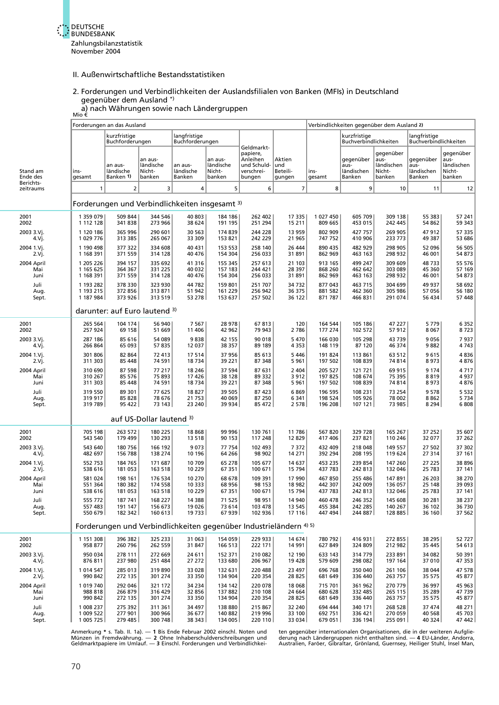

#### 2. Forderungen und Verbindlichkeiten der Auslandsfilialen von Banken (MFIs) in Deutschland gegenüber dem Ausland<sup>\*</sup>

# a) nach Währungen sowie nach Ländergruppen<br><sub>Mio€</sub>

|                        |                               | Forderungen an das Ausland                                         |                               |                                 |                               |                                     |                           |                    | Verbindlichkeiten gegenüber dem Ausland 2) |                                |                                       |                                |
|------------------------|-------------------------------|--------------------------------------------------------------------|-------------------------------|---------------------------------|-------------------------------|-------------------------------------|---------------------------|--------------------|--------------------------------------------|--------------------------------|---------------------------------------|--------------------------------|
|                        |                               | kurzfristige<br>Buchforderungen                                    |                               | langfristige<br>Buchforderungen |                               |                                     |                           |                    | kurzfristige<br>Buchverbindlichkeiten      |                                | langfristige<br>Buchverbindlichkeiten |                                |
|                        |                               |                                                                    | an aus-                       |                                 | an aus-                       | Geldmarkt-<br>papiere,<br>Anleihen  | Aktien                    |                    | gegenüber                                  | gegenüber<br>aus-              | gegenüber                             | gegenüber<br>aus-              |
| Stand am<br>Ende des   | ins-<br>gesamt                | an aus-<br>ländische<br>Banken 1)                                  | ländische<br>Nicht-<br>banken | an aus-<br>ländische<br>Banken  | ländische<br>Nicht-<br>banken | und Schuld-<br>verschrei-<br>bungen | und<br>Beteili-<br>gungen | ins-<br>gesamt     | aus-<br>ländischen<br>Banken               | ländischen<br>Nicht-<br>banken | aus-<br>ländischen<br>Banken          | ländischen<br>Nicht-<br>banken |
| Berichts-<br>zeitraums | $\mathbf{1}$                  | 2                                                                  | 3                             | 4                               | 5                             | 6                                   | $\overline{7}$            | 8                  | 9                                          | 10                             | 11                                    | 12                             |
|                        |                               | Forderungen und Verbindlichkeiten insgesamt 3)                     |                               |                                 |                               |                                     |                           |                    |                                            |                                |                                       |                                |
| 2001                   | 1 359 079                     | 509 844                                                            | 344 546                       | 40 803                          | 184 186                       | 262 402                             | 17 335                    | 1 027 450          | 605 709                                    | 309 138                        | 55 383                                | 57 241                         |
| 2002                   | 1 112 128                     | 341 838                                                            | 273 966                       | 38 624                          | 191 195                       | 251 294                             | 15 211                    | 809 665            | 453 015                                    | 242 445                        | 54 862                                | 59 343                         |
| 2003 3.Vi.             | 1 120 186                     | 365 996                                                            | 290 601                       | 30 563                          | 174 839                       | 244 228                             | 13 959                    | 802 909            | 427 757                                    | 269 905                        | 47 912                                | 57 335                         |
| 4.Vj.                  | 1 029 776                     | 313 385                                                            | 265 067                       | 33 309                          | 153 821                       | 242 229                             | 21 965                    | 747 752            | 410 906                                    | 233 773                        | 49 387                                | 53 686                         |
| 2004 1.Vj.             | 1 190 498                     | 377 322                                                            | 334 608                       | 40 431                          | 153 553                       | 258 140                             | 26 444                    | 890 435            | 482 929                                    | 298 905                        | 52 096                                | 56 505                         |
| 2.Vj.                  | 1 168 391                     | 371 559                                                            | 314 128                       | 40 476                          | 154 304                       | 256 033                             | 31891                     | 862 969            | 463 163                                    | 298 932                        | 46 001                                | 54 873                         |
| 2004 April             | 1 205 226                     | 394 157                                                            | 335 692                       | 41 316                          | 155 345                       | 257 613                             | 21 103                    | 913 165            | 499 247                                    | 309 609                        | 48 733                                | 55 576                         |
| Mai                    | 1 165 625                     | 364 367                                                            | 331 225                       | 40 032                          | 157 183                       | 244 421                             | 28 397                    | 868 260            | 462 642                                    | 303 089                        | 45 360                                | 57 169                         |
| Juni                   | 1 168 391                     | 371 559                                                            | 314 128                       | 40 476                          | 154 304                       | 256 033                             | 31891                     | 862 969            | 463 163                                    | 298 932                        | 46 001                                | 54 873                         |
| Juli                   | 1 193 282                     | 378 330                                                            | 323 930                       | 44 782                          | 159 801                       | 251 707                             | 34 7 32                   | 877 043            | 463 715                                    | 304 699                        | 49 937                                | 58 692                         |
| Aug.                   | 1 193 215                     | 372 856                                                            | 313 871                       | 51 942                          | 161 229                       | 256 942                             | 36 375                    | 881 582            | 462 360                                    | 305 986                        | 57 056                                | 56 180                         |
| Sept.                  | 1 187 984                     | 373 926                                                            | 313 519                       | 53 278                          | 153 637                       | 257 502                             | 36 122                    | 871 787            | 466 831                                    | 291 074                        | 56 434                                | 57 448                         |
|                        |                               | darunter: auf Euro lautend 3)                                      |                               |                                 |                               |                                     |                           |                    |                                            |                                |                                       |                                |
| 2001                   | 265 564                       | 104 174                                                            | 56 940                        | 7 5 6 7                         | 28 978                        | 67813                               | 120                       | 164 544            | 105 186                                    | 47 227                         | 5779                                  | 6 3 5 2                        |
| 2002                   | 257 924                       | 69 158                                                             | 51 669                        | 11 40 6                         | 42 962                        | 79 943                              | 2786                      | 177 274            | 102 572                                    | 57 912                         | 8 0 6 7                               | 8723                           |
| 2003 3.Vj.             | 287 186                       | 85 616                                                             | 54 089                        | 9838                            | 42 155                        | 90 018                              | 5 4 7 0                   | 166 030            | 105 298                                    | 43 739                         | 9 0 5 6                               | 7937                           |
| 4.Vj.                  | 266 864                       | 65 093                                                             | 57 835                        | 12 037                          | 38 357                        | 89 189                              | 4 3 5 3                   | 148 119            | 87 120                                     | 46 374                         | 9882                                  | 4743                           |
| 2004 1.Vj.             | 301 806                       | 82 864                                                             | 72 413                        | 17514                           | 37 956                        | 85 613                              | 5 4 4 6                   | 191 824            | 113 861                                    | 63 512                         | 9615                                  | 4836                           |
| 2.Vj.                  | 311 303                       | 85 448                                                             | 74 591                        | 18734                           | 39 221                        | 87 348                              | 5961                      | 197 502            | 108 839                                    | 74 814                         | 8973                                  | 4876                           |
| 2004 April             | 310 690                       | 87 598                                                             | 77 217                        | 18 24 6                         | 37 594                        | 87 631                              | 2 4 0 4                   | 205 527            | 121 721                                    | 69 915                         | 9 1 7 4                               | 4717                           |
| Mai                    | 310 267                       | 85 576                                                             | 75 893                        | 17 4 26                         | 38 128                        | 89 332                              | 3912                      | 197 825            | 108 674                                    | 75 395                         | 8819                                  | 4937                           |
| Juni                   | 311 303                       | 85 448                                                             | 74 591                        | 18734                           | 39 221                        | 87 348                              | 5961                      | 197 502            | 108 839                                    | 74 814                         | 8973                                  | 4876                           |
| Juli                   | 319 550                       | 89 301                                                             | 77 625                        | 18827                           | 39 505                        | 87 423                              | 6869                      | 196 595            | 108 231                                    | 73 254                         | 9 5 7 8                               | 5 5 3 2                        |
| Aug.                   | 319 917                       | 85 828                                                             | 78 676                        | 21 753                          | 40 069                        | 87 250                              | 6 3 4 1                   | 198 524            | 105 926                                    | 78 002                         | 8862                                  | 5734                           |
| Sept.                  | 319 789                       | 95 422                                                             | 73 143                        | 23 240                          | 39 934                        | 85 472                              | 2578                      | 196 208            | 107 121                                    | 73 985                         | 8 2 9 4                               | 6808                           |
|                        |                               |                                                                    | auf US-Dollar lautend 3)      |                                 |                               |                                     |                           |                    |                                            |                                |                                       |                                |
| 2001                   | 705 198                       | 263 572                                                            | 180 225                       | 18868                           | 99 996                        | 130 761                             | 11786                     | 567 820            | 329 728                                    | 165 267                        | 37 252                                | 35 607                         |
| 2002                   | 543 540                       | 179 499                                                            | 130 293                       | 13 5 18                         | 90 153                        | 117 248                             | 12829                     | 417 406            | 237821                                     | 110 246                        | 32 077                                | 37 262                         |
| 2003 3.Vj.             | 543 640                       | 180 756                                                            | 166 192                       | 9 0 7 3                         | 77 754                        | 102 493                             | 7372                      | 432 409            | 218 048                                    | 149 557                        | 27 502                                | 37 302                         |
| 4.Vj.                  | 482 697                       | 156 788                                                            | 138 274                       | 10 196                          | 64 266                        | 98 902                              | 14 271                    | 392 294            | 208 195                                    | 119 624                        | 27 314                                | 37 161                         |
| 2004 1.Vj.             | 552 753                       | 184 765                                                            | 171 687                       | 10 709                          | 65 278                        | 105 677                             | 14 637                    | 453 235            | 239 854                                    | 147 260                        | 27 225                                | 38 896                         |
| 2.Vj.                  | 538 616                       | 181 053                                                            | 163 518                       | 10 229                          | 67 351                        | 100 671                             | 15 7 94                   | 437 783            | 242 813                                    | 132 046                        | 25 783                                | 37 141                         |
| 2004 April             | 581 024                       | 198 161                                                            | 176 534                       | 10 270                          | 68 678                        | 109 391                             | 17 990                    | 467 850            | 255 486                                    | 147891                         | 26 203                                | 38 270                         |
| Mai                    | 551 364                       | 180 382                                                            | 174 558                       | 10 333                          | 68 956                        | 98 153                              | 18 982                    | 442 307            | 242 009                                    | 136 057                        | 25 148                                | 39 093                         |
| Juni                   | 538 616                       | 181 053                                                            | 163 518                       | 10 229                          | 67 351                        | 100 671                             | 15 7 94                   | 437 783            | 242 813                                    | 132 046                        | 25 783                                | 37 141                         |
| Juli<br>Aug.           | 555 772<br>557 483<br>550 679 | 187 741<br>191 147<br>182 342                                      | 168 227<br>156 673            | 14 3 88<br>19 0 26              | 71 525<br>73 614              | 98 951<br>103 478<br>102 936        | 14 940<br>13 5 45         | 460 478<br>455 384 | 246 352<br>242 285                         | 145 608<br>140 267             | 30 281<br>36 102                      | 38 237<br>36 730               |
| Sept.                  |                               | Forderungen und Verbindlichkeiten gegenüber Industrieländern 4) 5) | 160613                        | 19733                           | 67 939                        |                                     | 17116                     | 447 494            | 244 887                                    | 128 885                        | 36 160                                | 37 562                         |
| 2001                   | 1 151 308                     | 396 382                                                            | 325 233                       | 31 063                          | 154 059                       | 229 933                             | 14 674                    | 780 792            | 416 931                                    | 272 855                        | 38 295                                | 52 727                         |
| 2002                   | 958 877                       | 260 796                                                            | 262 559                       | 31 847                          | 166 513                       | 222 171                             | 14 991                    | 627 849            | 324 809                                    | 212 982                        | 35 445                                | 54 613                         |
| 2003 3.Vj.             | 950 034                       | 278 111                                                            | 272 669                       | 24 611                          | 152 371                       | 210 082                             | 12 190                    | 633 143            | 314779                                     | 233 891                        | 34 082                                | 50 391                         |
| 4.Vj.                  | 876 811                       | 237 980                                                            | 251 484                       | 27 272                          | 133 680                       | 206 967                             | 19 4 28                   | 579 609            | 298 082                                    | 197 164                        | 37 010                                | 47 353                         |
| 2004 1.Vj.             | 1 0 1 4 5 4 7                 | 285 013                                                            | 319 890                       | 33 0 28                         | 132 631                       | 220 488                             | 23 497                    | 696 768            | 350 040                                    | 261 106                        | 38 044                                | 47 578                         |
| 2.Vj.                  | 990 842                       | 272 135                                                            | 301 274                       | 33 350                          | 134 904                       | 220 354                             | 28 8 25                   | 681 649            | 336 440                                    | 263 757                        | 35 575                                | 45 877                         |
| 2004 April             | 1 019 740                     | 292 046                                                            | 321 172                       | 34 2 34                         | 134 142                       | 220 078                             | 18 068                    | 715 701            | 361 962                                    | 270 779                        | 36 997                                | 45 963                         |
| Mai                    | 988 818                       | 266 879                                                            | 316 429                       | 32 856                          | 137 882                       | 210 108                             | 24 6 64                   | 680 628            | 332 485                                    | 265 115                        | 35 289                                | 47 739                         |
| Juni                   | 990 842                       | 272 135                                                            | 301 274                       | 33 350                          | 134 904                       | 220 354                             | 28 8 25                   | 681 649            | 336 440                                    | 263 757                        | 35 575                                | 45 877                         |
| Juli                   | 1 008 237                     | 275 392                                                            | 311 361                       | 34 497                          | 138 880                       | 215 867                             | 32 240                    | 694 444            | 340 171                                    | 268 528                        | 37 474                                | 48 271                         |
| Aug.                   | 1 009 522                     | 277 901                                                            | 300 966                       | 36 677                          | 140 882                       | 219 996                             | 33 100                    | 692 751            | 336 421                                    | 270 059                        | 40 568                                | 45 703                         |
| Sept.                  | 1 005 725                     | 279 485                                                            | 300 748                       | 38 343                          | 134 005                       | 220 110                             | 33 0 34                   | 679 051            | 336 194                                    | 255 091                        | 40 324                                | 47 442                         |

Anmerkung \* s. Tab. II. 1a). — 1 Bis Ende Februar 2002 einschl. Noten und been gegenüber internationalen Organisationen, die in der weiteren Aufglie-<br>Münzen in Fremdwährung. — 2 Ohne Inhaberschuldverschreibungen und berung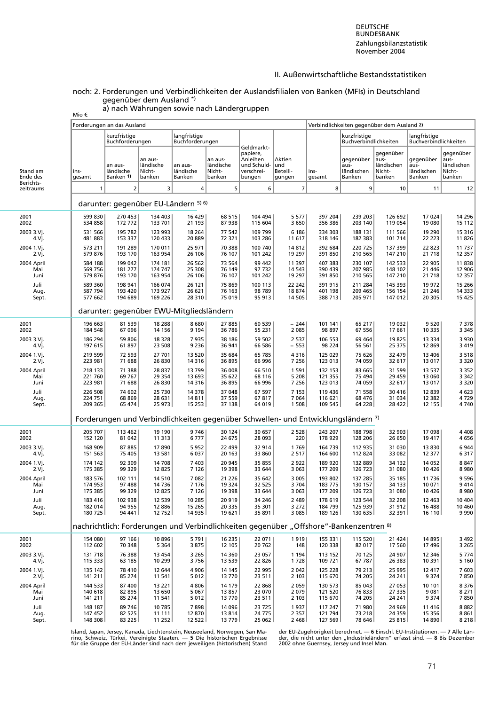#### DEUTSCHE BUNDESBANK Zahlungsbilanzstatistik November 2004

#### II. Außenwirtschaftliche Bestandsstatistiken

#### [noch: 2. Forderungen und Verbindlichkeiten der Auslandsfilialen von Banken \(MFIs\) in Deutschland](#page-17-0) gegenüber dem Ausland \*)

|                        | Mio€           |                                   | a) nach Währungen sowie nach Ländergruppen                                             |                                 |                                          |                                                                           |                                     |                |                                           |                                                     |                                           |                                                     |
|------------------------|----------------|-----------------------------------|----------------------------------------------------------------------------------------|---------------------------------|------------------------------------------|---------------------------------------------------------------------------|-------------------------------------|----------------|-------------------------------------------|-----------------------------------------------------|-------------------------------------------|-----------------------------------------------------|
|                        |                | Forderungen an das Ausland        |                                                                                        |                                 |                                          |                                                                           |                                     |                |                                           | Verbindlichkeiten gegenüber dem Ausland 2)          |                                           |                                                     |
|                        |                | kurzfristige<br>Buchforderungen   |                                                                                        | langfristige<br>Buchforderungen |                                          |                                                                           |                                     |                | kurzfristige<br>Buchverbindlichkeiten     |                                                     | langfristige<br>Buchverbindlichkeiten     |                                                     |
| Stand am<br>Ende des   | ins-<br>gesamt | an aus-<br>ländische<br>Banken 1) | an aus-<br>ländische<br>Nicht-<br>banken                                               | an aus-<br>ländische<br>Banken  | an aus-<br>ländische<br>Nicht-<br>banken | Geldmarkt-<br>papiere,<br>Anleihen<br>und Schuld-<br>verschrei-<br>bungen | Aktien<br>und<br>Beteili-<br>gungen | ins-<br>gesamt | gegenüber<br>aus-<br>ländischen<br>Banken | gegenüber<br>aus-<br>ländischen<br>Nicht-<br>banken | gegenüber<br>aus-<br>ländischen<br>Banken | gegenüber<br>aus-<br>ländischen<br>Nicht-<br>banken |
| Berichts-<br>zeitraums | $\mathbf{1}$   | $\overline{2}$                    | 3                                                                                      | 4                               | 5                                        | 6                                                                         | $\overline{7}$                      | 8              | 9                                         | 10                                                  | 11                                        | 12                                                  |
|                        |                |                                   | darunter: gegenüber EU-Ländern 5) 6)                                                   |                                 |                                          |                                                                           |                                     |                |                                           |                                                     |                                           |                                                     |
| 2001                   | 599 830        | 270 453                           | 134 403                                                                                | 16 429                          | 68 515                                   | 104 494                                                                   | 5 5 7 7                             | 397 204        | 239 203                                   | 126 692                                             | 17 024                                    | 14 296                                              |
| 2002                   | 534 858        | 172 772                           | 133 701                                                                                | 21 193                          | 87 938                                   | 115 604                                                                   | 3650                                | 356 386        | 203 140                                   | 119 054                                             | 19 080                                    | 15 112                                              |
| 2003 3.Vj.             | 531 566        | 195 782                           | 123 993                                                                                | 18 2 64                         | 77 542                                   | 109 799                                                                   | 6 18 6                              | 334 303        | 188 131                                   | 111 566                                             | 19 290                                    | 15 3 16                                             |
| 4.Vj.                  | 481883         | 153 337                           | 120 433                                                                                | 20889                           | 72 321                                   | 103 286                                                                   | 11 617                              | 318 146        | 182 383                                   | 101 714                                             | 22 223                                    | 11826                                               |
| 2004 1.Vj.             | 573 211        | 191 289                           | 170 011                                                                                | 25 971                          | 70 388                                   | 100 740                                                                   | 14812                               | 392 684        | 220 725                                   | 137 399                                             | 22 823                                    | 11 737                                              |
| 2.Vj.                  | 579 876        | 193 170                           | 163 954                                                                                | 26 106                          | 76 107                                   | 101 242                                                                   | 19 297                              | 391 850        | 210 565                                   | 147 210                                             | 21 7 18                                   | 12 3 57                                             |
| 2004 April             | 584 188        | 199 042                           | 174 181                                                                                | 26 5 62                         | 73 564                                   | 99 442                                                                    | 11 397                              | 407 383        | 230 107                                   | 142 533                                             | 22 905                                    | 11838                                               |
| Mai                    | 569 756        | 181 277                           | 174 747                                                                                | 25 308                          | 76 149                                   | 97 732                                                                    | 14 543                              | 390 439        | 207 985                                   | 148 102                                             | 21 4 4 6                                  | 12 906                                              |
| Juni                   | 579 876        | 193 170                           | 163 954                                                                                | 26 106                          | 76 107                                   | 101 242                                                                   | 19 297                              | 391 850        | 210 565                                   | 147 210                                             | 21 7 18                                   | 12 3 5 7                                            |
| Juli                   | 589 360        | 198 941                           | 166 074                                                                                | 26 121                          | 75 869                                   | 100 113                                                                   | 22 242                              | 391 915        | 211 284                                   | 145 393                                             | 19 972                                    | 15 266                                              |
| Aug.                   | 587 794        | 193 420                           | 173 927                                                                                | 26 621                          | 76 163                                   | 98 789                                                                    | 18874                               | 401 198        | 209 465                                   | 156 154                                             | 21 246                                    | 14 3 3 3                                            |
| Sept.                  | 577 662        | 194 689                           | 169 226                                                                                | 28 310                          | 75 019                                   | 95 913                                                                    | 14 505                              | 388 713        | 205 971                                   | 147 012                                             | 20 305                                    | 15 4 25                                             |
|                        |                |                                   | darunter: gegenüber EWU-Mitgliedsländern                                               |                                 |                                          |                                                                           |                                     |                |                                           |                                                     |                                           |                                                     |
| 2001                   | 196 663        | 81 539                            | 18 2 8 8                                                                               | 8680                            | 27 885                                   | 60 539                                                                    | $-244$                              | 101 141        | 65 217                                    | 19 0 32                                             | 9 5 2 0                                   | 7 3 7 8                                             |
| 2002                   | 184 548        | 67 096                            | 14 15 6                                                                                | 9 1 9 4                         | 36 786                                   | 55 231                                                                    | 2 0 8 5                             | 98 897         | 67 556                                    | 17 661                                              | 10 3 35                                   | 3 3 4 5                                             |
| 2003 3.Vj.             | 186 294        | 59 806                            | 18 3 28                                                                                | 7935                            | 38 186                                   | 59 502                                                                    | 2 5 3 7                             | 106 553        | 69 4 64                                   | 19825                                               | 13 3 3 4                                  | 3 9 3 0                                             |
| 4.Vj.                  | 197 615        | 61897                             | 23 508                                                                                 | 9 2 3 6                         | 36 941                                   | 66 586                                                                    | $-553$                              | 98 224         | 56 561                                    | 25 375                                              | 12 869                                    | 3 4 1 9                                             |
| 2004 1.Vj.             | 219 599        | 72 593                            | 27 701                                                                                 | 13 5 20                         | 35 684                                   | 65 785                                                                    | 4316                                | 125 029        | 75 626                                    | 32 479                                              | 13 4 06                                   | 3 5 1 8                                             |
| 2.Vj.                  | 223 981        | 71 688                            | 26 830                                                                                 | 14 3 16                         | 36 895                                   | 66 996                                                                    | 7 2 5 6                             | 123 013        | 74 059                                    | 32 617                                              | 13 017                                    | 3 3 2 0                                             |
| 2004 April             | 218 133        | 71 388                            | 28 837                                                                                 | 13799                           | 36 008                                   | 66 510                                                                    | 1 5 9 1                             | 132 153        | 83 665                                    | 31 599                                              | 13 537                                    | 3 3 5 2                                             |
| Mai                    | 221 760        | 69 767                            | 29 3 54                                                                                | 13 693                          | 35 622                                   | 68 116                                                                    | 5 2 0 8                             | 121 355        | 75 494                                    | 29 459                                              | 13 060                                    | 3 3 4 2                                             |
| Juni                   | 223 981        | 71 688                            | 26 830                                                                                 | 14 3 16                         | 36 895                                   | 66 996                                                                    | 7 2 5 6                             | 123 013        | 74 059                                    | 32 617                                              | 13 017                                    | 3 3 2 0                                             |
| Juli                   | 226 508        | 74 602                            | 25 7 30                                                                                | 14 378                          | 37 048                                   | 67 597                                                                    | 7 1 5 3                             | 119 436        | 71 558                                    | 30 416                                              | 12 839                                    | 4 6 23                                              |
| Aug.                   | 224 751        | 68 869                            | 28 631                                                                                 | 14811                           | 37 559                                   | 67817                                                                     | 7 0 6 4                             | 116 621        | 68 476                                    | 31 0 34                                             | 12 3 82                                   | 4 7 2 9                                             |
| Sept.                  | 209 365        | 65 474                            | 25 973                                                                                 | 15 253                          | 37 138                                   | 64 019                                                                    | 1 5 0 8                             | 109 545        | 64 228                                    | 28 4 22                                             | 12 155                                    | 4 7 4 0                                             |
|                        |                |                                   | Forderungen und Verbindlichkeiten gegenüber Schwellen- und Entwicklungsländern 7)      |                                 |                                          |                                                                           |                                     |                |                                           |                                                     |                                           |                                                     |
| 2001                   | 205 707        | 113 462                           | 19 190                                                                                 | 9746                            | 30 124                                   | 30 657                                                                    | 2 5 2 8                             | 243 207        | 188798                                    | 32 903                                              | 17 098                                    | 4 4 0 8                                             |
| 2002                   | 152 120        | 81 042                            | 11 313                                                                                 | 6777                            | 24 675                                   | 28 093                                                                    | 220                                 | 178 929        | 128 206                                   | 26 650                                              | 19 417                                    | 4 6 5 6                                             |
| 2003 3.Vj.             | 168 909        | 87885                             | 17890                                                                                  | 5952                            | 22 499                                   | 32 914                                                                    | 1769                                | 164 739        | 112 935                                   | 31 030                                              | 13 830                                    | 6 9 4 4                                             |
| 4.Vj.                  | 151 563        | 75 405                            | 13 581                                                                                 | 6 0 3 7                         | 20 163                                   | 33 860                                                                    | 2 5 1 7                             | 164 600        | 112 824                                   | 33 082                                              | 12 377                                    | 6 3 1 7                                             |
| 2004 1.Vj.             | 174 142        | 92 309                            | 14 708                                                                                 | 7 4 0 3                         | 20 945                                   | 35 855                                                                    | 2922                                | 189 920        | 132 889                                   | 34 132                                              | 14 0 52                                   | 8847                                                |
| 2.Vj.                  | 175 385        | 99 329                            | 12 8 25                                                                                | 7 1 2 6                         | 19 398                                   | 33 644                                                                    | 3 0 6 3                             | 177 209        | 126 723                                   | 31 080                                              | 10 4 26                                   | 8 9 8 0                                             |
| 2004 April             | 183 576        | 102 111                           | 14 510                                                                                 | 7 0 8 2                         | 21 226                                   | 35 642                                                                    | 3 0 0 5                             | 193 802        | 137 285                                   | 35 185                                              | 11 736                                    | 9 5 9 6                                             |
| Mai                    | 174 953        | 97 488                            | 14 7 36                                                                                | 7 1 7 6                         | 19 324                                   | 32 525                                                                    | 3704                                | 183 775        | 130 157                                   | 34 133                                              | 10 071                                    | 9414                                                |
| Juni                   | 175 385        | 99 329                            | 12 8 25                                                                                | 7 1 2 6                         | 19 398                                   | 33 644                                                                    | 3 0 6 3                             | 177 209        | 126 723                                   | 31 080                                              | 10 4 26                                   | 8 9 8 0                                             |
| Juli                   | 183 416        | 102 938                           | 12 539                                                                                 | 10 285                          | 20 919                                   | 34 246                                                                    | 2 4 8 9                             | 178 619        | 123 544                                   | 32 208                                              | 12 4 63                                   | 10 404                                              |
| Aug.                   | 182 014        | 94 955                            | 12 8 86                                                                                | 15 2 65                         | 20 335                                   | 35 301                                                                    | 3 2 7 2                             | 184 799        | 125 939                                   | 31912                                               | 16 488                                    | 10 460                                              |
| Sept.                  | 180 725        | 94 441                            | 12 752                                                                                 | 14 9 35                         | 19621                                    | 35 891                                                                    | 3 0 8 5                             | 189 126        | 130 635                                   | 32 391                                              | 16 110                                    | 9 9 9 0                                             |
|                        |                |                                   | nachrichtlich: Forderungen und Verbindlichkeiten gegenüber "Offshore"-Bankenzentren 8) |                                 |                                          |                                                                           |                                     |                |                                           |                                                     |                                           |                                                     |
| 2001                   | 154 080        | 97 166                            | 10896                                                                                  | 5791                            | 16 235                                   | 22 071                                                                    | 1919                                | 155 331        | 115 520                                   | 21 4 24                                             | 14 8 95                                   | 3 4 9 2                                             |
| 2002                   | 112 602        | 70 348                            | 5 3 6 4                                                                                | 3875                            | 12 105                                   | 20762                                                                     | 148                                 | 120 338        | 82 017                                    | 17 560                                              | 17 49 6                                   | 3 2 6 5                                             |
| 2003 3.Vj.             | 131 718        | 76 388                            | 13 4 54                                                                                | 3 2 6 5                         | 14 360                                   | 23 057                                                                    | 1 1 9 4                             | 113 152        | 70 125                                    | 24 907                                              | 12 346                                    | 5 7 7 4                                             |
| 4.Vj.                  | 115 333        | 63 185                            | 10 299                                                                                 | 3756                            | 13 539                                   | 22826                                                                     | 1728                                | 109 721        | 67 787                                    | 26 383                                              | 10 391                                    | 5 1 6 0                                             |
| 2004 1.Vj.             | 135 142        | 78 410                            | 12 644                                                                                 | 4 9 0 6                         | 14 145                                   | 22 995                                                                    | 2 0 4 2                             | 125 228        | 79 213                                    | 25 995                                              | 12 417                                    | 7 603                                               |
| 2.Vj.                  | 141 211        | 85 274                            | 11 541                                                                                 | 5012                            | 13770                                    | 23 511                                                                    | 2 1 0 3                             | 115 670        | 74 205                                    | 24 241                                              | 9 3 7 4                                   | 7850                                                |
| 2004 April             | 144 533        | 87 400                            | 13 221                                                                                 | 4806                            | 14 179                                   | 22 868                                                                    | 2059                                | 130 573        | 85 043                                    | 27 053                                              | 10 101                                    | 8 3 7 6                                             |
| Mai                    | 140 618        | 82 895                            | 13 650                                                                                 | 5 0 6 7                         | 13 857                                   | 23 070                                                                    | 2079                                | 121 520        | 76833                                     | 27 335                                              | 9 0 8 1                                   | 8 2 7 1                                             |
| Juni                   | 141 211        | 85 274                            | 11 541                                                                                 | 5012                            | 13 770                                   | 23 511                                                                    | 2 1 0 3                             | 115 670        | 74 205                                    | 24 241                                              | 9 3 7 4                                   | 7850                                                |
| Juli                   | 148 187        | 89 746                            | 10 785                                                                                 | 7898                            | 14 096                                   | 23725                                                                     | 1937                                | 117 247        | 71 980                                    | 24 969                                              | 11 4 16                                   | 8882                                                |
| Aug.                   | 147 452        | 82 525                            | 11 111                                                                                 | 12870                           | 13814                                    | 24 775                                                                    | 2 3 5 7                             | 121 794        | 73 218                                    | 24 3 5 9                                            | 15 3 5 6                                  | 8861                                                |
| Sept.                  | 148 308        | 83 225                            | 11 252                                                                                 | 12 5 22                         | 13779                                    | 25 062                                                                    | 2 4 6 8                             | 127 569        | 78 646                                    | 25 815                                              | 14 8 90                                   | 8 2 1 8                                             |

Island, Japan, Jersey, Kanada, Liechtenstein, Neuseeland, Norwegen, San Ma-cler EU-Zugehörigkeit berechnet. — 6 Einschl. EU-Institutionen. — 7 Alle Län-<br>rino, Schweiz, Türkei, Vereinigte Staaten. — 5 Die historischen Ergeb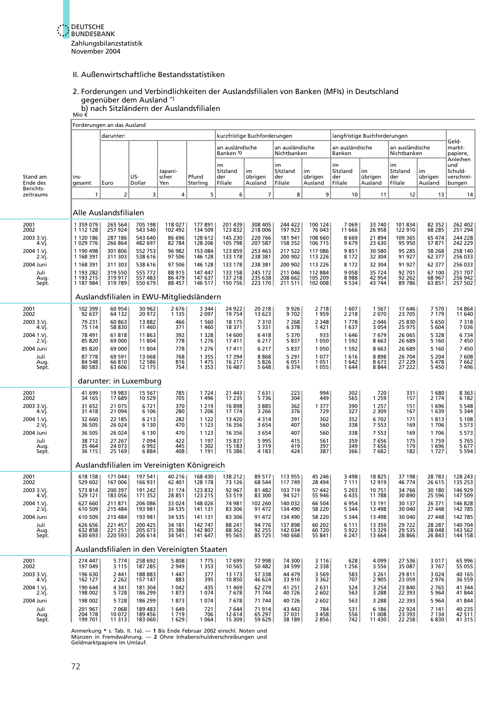

#### [2. Forderungen und Verbindlichkeiten der Auslandsfilialen von Banken \(MFIs\) in Deutschland](#page-18-0) gegenüber dem Ausland \*)

b) nach Sitzländern der Auslandsfilialen Mio €

|                        |                               | Forderungen an das Ausland    |                               |                            |                                             |                                  |                              |                                  |                            |                                  |                               |                                  |                            |                                                    |
|------------------------|-------------------------------|-------------------------------|-------------------------------|----------------------------|---------------------------------------------|----------------------------------|------------------------------|----------------------------------|----------------------------|----------------------------------|-------------------------------|----------------------------------|----------------------------|----------------------------------------------------|
|                        |                               | darunter:                     |                               |                            |                                             |                                  | kurzfristige Buchforderungen |                                  |                            |                                  | langfristige Buchforderungen  |                                  |                            | Geld-                                              |
|                        |                               |                               |                               |                            |                                             | an ausländische<br>Banken 1)     |                              | an ausländische<br>Nichtbanken   |                            | an ausländische<br>Banken        |                               | an ausländische<br>Nichtbanken   |                            | markt-<br>papiere,                                 |
| Stand am<br>Ende des   | ins-<br>gesamt                | Euro                          | US-<br>Dollar                 | Japani-<br>scher<br>Yen    | Pfund<br>Sterling                           | im<br>Sitzland<br>der<br>Filiale | im<br>übrigen<br>Ausland     | im<br>Sitzland<br>der<br>Filiale | im<br>übrigen<br>Ausland   | im<br>Sitzland<br>der<br>Filiale | im<br>übrigen<br>Ausland      | im<br>Sitzland<br>der<br>Filiale | im<br>übrigen<br>Ausland   | Anleihen<br>und<br>Schuld-<br>verschrei-<br>bungen |
| Berichts-<br>zeitraums | $\mathbf{1}$                  | $\overline{2}$                | 3                             | 4                          | 5                                           | 6                                | $\overline{7}$               | 8                                | 9                          | 10                               | 11                            | 12                               | 13                         | 14                                                 |
|                        |                               | Alle Auslandsfilialen         |                               |                            |                                             |                                  |                              |                                  |                            |                                  |                               |                                  |                            |                                                    |
| 2001                   | 1 359 079                     | 265 564                       | 705 198                       | 118 027                    | 177891                                      | 201 439                          | 308 405                      | 244 422                          | 100 124                    | 7069                             | 33 740                        | 101834                           | 82 352                     | 262 402                                            |
| 2002<br>2003 3.Vj.     | 1 1 1 2 1 2 8<br>1 120 186    | 257 924<br>287 186            | 543 540<br>543 640            | 102 492<br>86 696          | 134 509<br>128 612                          | 123 832<br>145 230               | 218 006<br>220 766           | 197 923<br>181 941               | 76 043<br>108 660          | 11 666<br>8669                   | 26 958<br>21894               | 122 910<br>109 365               | 68 285<br>65 474           | 251 294<br>244 228<br>242 229                      |
| $4.V$ j.<br>2004 1.Vj. | 1 029 776<br>1 190 498        | 266 864<br>301 806            | 482 697<br>552 753            | 82 784<br>96 982           | 128 206<br>153 084                          | 105 798<br>123 859               | 207 587<br>253 463           | 158 352<br>217 522               | 106 715<br>117 086         | 9679<br>9851                     | 23 630<br>30 580              | 95 950<br>95 285                 | 57871<br>58 268            |                                                    |
| 2.Vj.<br>2004 Juni     | 1 168 391<br>1 168 391        | 311 303<br>311 303            | 538 616<br>538 616            | 97 506<br>97 506           | 146 128<br>146 128                          | 133 178<br>133 178               | 238 381<br>238 381           | 200 902<br>200 902               | 113 226<br>113 226         | 8 1 7 2<br>8 1 7 2               | 32 304<br>32 304              | 91 927<br>91 927                 | 62 377<br>62 377           | 258 140<br>256 033<br>256 033                      |
| Juli                   | 1 193 282                     | 319 550                       | 555 772                       | 88 915                     | 147 447                                     | 133 158                          | 245 172                      | 211 046                          | 112 884                    | 9058                             | 35 7 24                       | 92 701                           | 67 100                     |                                                    |
| Aug.<br>Sept.          | 1 193 215<br>1 187 984        | 319 917<br>319 789            | 557 483<br>550 679            | 86 479<br>88 457           | 147 637<br>146 517                          | 137 218<br>150 756               | 235 638<br>223 170           | 208 662<br>211 511               | 105 209<br>102 008         | 8988<br>9534                     | 42 954<br>43 744              | 92 262<br>89 786                 | 68 967<br>63 851           | 251 707<br>256 942<br>257 502                      |
|                        |                               |                               |                               |                            | Auslandsfilialen in EWU-Mitgliedsländern    |                                  |                              |                                  |                            |                                  |                               |                                  |                            |                                                    |
| 2001<br>2002           | 102 399<br>92 637             | 60 954<br>64 132              | 30 962<br>20 972              | 2 676<br>1 135             | 3 3 4 4<br>2 097                            | 24 922<br>19 754                 | 20 218<br>13 623             | 9926<br>9702                     | 2 7 1 8<br>1959            | 1607<br>2 2 1 8                  | 1 5 6 7<br>2070               | 17 646<br>23 705                 | 7570<br>7 1 7 9            | 14 864<br>11 640                                   |
| 2003 3.Vj.<br>4.Vj.    | 79 231<br>75 114              | 60 863<br>58 830              | 13882<br>11 460               | 466<br>371                 | 1 5 6 0<br>1460                             | 18 175<br>18 371                 | 7310<br>5 3 3 1              | 7 2 6 8<br>6 3 7 8               | 2 3 4 8<br>1421            | 1778<br>1637                     | 2046<br>3 0 5 4               | 25 830<br>25 975                 | 5 6 5 0<br>5 604           | 7318<br>7 0 3 6                                    |
| 2004 1.Vj.             | 78 491                        | 61818                         | 11863                         | 392                        | 1 3 2 8                                     | 14 600                           | 6418                         | 5 3 7 0                          | 933                        | 1646                             | 7679                          | 26 065                           | 5 3 2 8                    | 6734<br>7 4 5 0                                    |
| 2.Vj.<br>2004 Juni     | 85 820<br>85 820              | 69 000<br>69 000              | 11 804<br>11 804              | 778<br>778                 | 1 2 7 6<br>1 2 7 6                          | 17411<br>17411                   | 6 2 1 7<br>6 2 1 7           | 5837<br>5837                     | 1 0 5 0<br>1 0 5 0         | 1 5 9 2<br>1 5 9 2               | 8663<br>8 6 6 3               | 26 689<br>26 689                 | 5 1 6 0<br>5 1 6 0         | 7 4 5 0                                            |
| Juli<br>Aug.           | 87778<br>84 548               | 69 591<br>66 810              | 13 068<br>12 5 8 6            | 768<br>816                 | 1 3 5 5<br>1475                             | 17 394<br>16 217                 | 8868<br>5826                 | 5 2 9 1<br>6 0 5 1               | 1 0 7 7<br>1 0 5 1         | 1616<br>1642                     | 8898<br>8673                  | 26 704<br>27 229                 | 5 2 0 4<br>5478            | 7608<br>7 6 6 2                                    |
| Sept.                  | 80 583                        | 63 606                        | 12 175                        | 754                        | 1 3 5 3                                     | 16 487                           | 5 6 4 8                      | 6 3 7 4                          | 1 0 5 5                    | 1644                             | 8844                          | 27 222                           | 5 4 5 0                    | 7 4 9 6                                            |
|                        |                               |                               | darunter: in Luxemburg        |                            |                                             |                                  |                              |                                  |                            |                                  |                               |                                  |                            |                                                    |
| 2001<br>2002           | 41 699<br>34 165              | 19 983<br>17 689              | 15 567<br>10 529              | 785<br>705                 | 1724<br>1496                                | 21 4 43<br>17 235                | 7631<br>5736                 | 223<br>304                       | 994<br>449                 | 302<br>565                       | 720<br>1 2 5 9                | 331<br>157                       | 1680<br>2 1 7 4            | 8 363<br>6 182                                     |
| 2003 3.Vj.<br>4.Vj.    | 31 652<br>31 418              | 21 075<br>21 094              | 6721<br>6 10 6                | 370<br>280                 | 1 2 1 9<br>1 2 0 6                          | 16898<br>17 174                  | 3885<br>3 2 6 6              | 362<br>376                       | 1 3 7 7<br>729             | 390<br>327                       | 1 2 5 7<br>2 3 0 9            | 151<br>167                       | 1696<br>1639               | 5 5 4 8<br>5 3 4 4                                 |
| 2004 1.Vi.<br>2.Vj.    | 32 660<br>36 505              | 22 185<br>26 0 24             | 6 2 1 3<br>6 1 3 0            | 282<br>470                 | 1 1 2 2<br>1 1 2 3                          | 13 4 20<br>16 356                | 4 3 1 4<br>3 6 5 4           | 391<br>407                       | 302<br>560                 | 352<br>338                       | 6702<br>7 5 5 3               | 171<br>169                       | 1813<br>1706               | 5 1 0 8<br>5 5 7 3                                 |
| 2004 Juni              | 36 505                        | 26 0 24                       | 6 1 3 0                       | 470                        | 1 1 2 3                                     | 16 356                           | 3 6 5 4                      | 407                              | 560                        | 338                              | 7 5 5 3                       | 169                              | 1706                       | 5 5 7 3                                            |
| Juli<br>Aug.           | 38712<br>35 4 64              | 27 267<br>24 073              | 7094<br>6992                  | 422<br>445                 | 1 1 9 7<br>1 3 0 2                          | 15837<br>15 183                  | 5995<br>3719                 | 415<br>419                       | 561<br>397                 | 359<br>349                       | 7656<br>7656                  | 175<br>179                       | 1759<br>1696               | 5765<br>5 6 7 7                                    |
| Sept.                  | 36 115                        | 25 169                        | 6884                          | 408                        | 1 1 9 1                                     | 15 3 86                          | 4 1 8 3                      | 424                              | 387                        | 366                              | 7682                          | 182                              | 1727                       | 5 5 9 4                                            |
|                        |                               |                               |                               |                            | Auslandsfilialen im Vereinigten Königreich  |                                  |                              |                                  |                            |                                  |                               |                                  |                            |                                                    |
| 2001<br>2002           | 618 158<br>529 602            | 171 044<br>167 006            | 197 541<br>166 931            | 40 216<br>42 401           | 168 430<br>128 178                          | 138 212<br>73 126                | 89 517<br>68 544             | 113 955<br>117 749               | 45 246<br>28 4 94          | 3 4 9 8<br>7 1 1 1               | 18825<br>12 919               | 37 198<br>46 774                 | 28783<br>26 615            | 128 243<br>135 253                                 |
| 2003 3.Vj.<br>4.Vj     | 573 814<br>529 121            | 200 397<br>183 056            | 191 242<br>171 352            | 31 174<br>28 851           | 123 832<br>123 215                          | 92 967<br>53 519                 | 81 482<br>83 300             | 103 719<br>94 521                | 57 442<br>55 946           | 5 2 0 3<br>6435                  | 10751<br>11788                | 34 766<br>30 890                 | 30 180<br>25 596           | 146 929<br>147 509                                 |
| 2004 1.Vj.<br>2.Vj.    | 627 660<br>610 509            | 211 871<br>215 484            | 206 086<br>193 981            | 33 0 24<br>34 535          | 148 026<br>141 131                          | 74 981<br>83 306                 | 102 260<br>91 472            | 140 032<br>134 490               | 66 504<br>58 220           | 6954<br>5 3 4 4                  | 13 191<br>13 4 98             | 30 137<br>30 040                 | 26 371<br>27 448           | 146 828<br>142 785                                 |
| 2004 Juni              | 610 509                       | 215 484                       | 193 981                       | 34 5 35                    | 141 131                                     | 83 306                           | 91 472                       | 134 490                          | 58 220                     | 5 3 4 4                          | 13 4 98                       | 30 040                           | 27 448                     | 142 785                                            |
| Juli<br>Aug.<br>Sept.  | 626 656<br>632 858<br>630 693 | 221 457<br>221 251<br>220 593 | 200 425<br>205 073<br>206 614 | 34 181<br>35 386<br>34 541 | 142 747<br>142 807<br>141 647               | 88 241<br>88 362<br>95 565       | 94 776<br>92 255<br>85 725   | 137898<br>142 034<br>140 668     | 60 202<br>60 720<br>55 841 | 6 1 1 1<br>5922<br>6 2 4 7       | 13 3 5 9<br>13 3 29<br>13 664 | 29722<br>29 535<br>28 866        | 28 287<br>28 048<br>26 843 | 140 704<br>143 562<br>144 158                      |
|                        |                               |                               |                               |                            | Auslandsfilialen in den Vereinigten Staaten |                                  |                              |                                  |                            |                                  |                               |                                  |                            |                                                    |
| 2001<br>2002           | 274 447<br>197 049            | 5 774<br>3 115                | 258 692<br>187 285            | 5808<br>2 9 4 9            | 1775<br>1 3 5 3                             | 17 699<br>10 5 65                | 77 998<br>50 482             | 74 300<br>34 599                 | 3 1 1 6<br>2 3 3 8         | 628<br>1 2 5 6                   | 4099<br>3 5 5 6               | 27 536<br>35 087                 | 3017<br>3767               | 65 996<br>55 055                                   |
| 2003 3.Vj.<br>$4.V$ j. | 196 630<br>162 127            | 2 4 4 1<br>2 2 6 2            | 188 883<br>157 147            | 1447<br>883                | 377<br>395                                  | 13 173<br>10850                  | 57 338<br>46 624             | 44 479<br>33 910                 | 3 5 6 9<br>3 3 6 2         | 583<br>707                       | 3 2 6 1<br>2 9 0 5            | 29 811<br>23 059                 | 3 0 2 4<br>2976            | 40 165<br>36 559                                   |
| 2004 1.Vi.             | 190 644                       | 4 3 4 1                       | 181 304                       | 1 0 4 2                    | 435                                         | 11 4 69                          | 62 279                       | 41 251                           | 2 6 3 1                    | 524                              | 3 2 5 4                       | 23 840                           | 2765                       | 41 344                                             |
| 2.Vj.<br>2004 Juni     | 198 002<br>198 002            | 5728<br>5728                  | 186 299<br>186 299            | 1873<br>1873               | 1074<br>1074                                | 7678<br>7678                     | 71 744<br>71 744             | 40726<br>40 726                  | 2 602<br>2 602             | 563<br>563                       | 3 2 8 8<br>3 2 8 8            | 22 393<br>22 3 9 3               | 5964<br>5964               | 41 844<br>41 844                                   |
| Juli<br>Aug.           | 201 967<br>204 178            | 7 0 6 8<br>10 072             | 189 483<br>189 456            | 1649<br>1719               | 721<br>706                                  | 7644<br>12 614                   | 71914<br>65 297              | 43 443<br>37 031                 | 784<br>3 4 5 8             | 531<br>556                       | 6 18 6<br>11 008              | 22 9 24<br>23 393                | 7 1 4 1<br>7 1 3 4         | 40 235<br>42 511<br>41 315                         |
| Sept.                  | 199 701                       | 11 313                        | 183 060                       | 1629                       | 1 0 6 4                                     | 15 309                           | 59 629                       | 38 189                           | 2856                       | 742                              | 11 430                        | 22 258                           | 6830                       |                                                    |

Anmerkung \* s. Tab. II. 1a). — 1 Bis Ende Februar 2002 einschl. Noten und<br>Münzen in Fremdwährung. — 2 Ohne Inhaberschuldverschreibungen und<br>Geldmarktpapiere im Umlauf.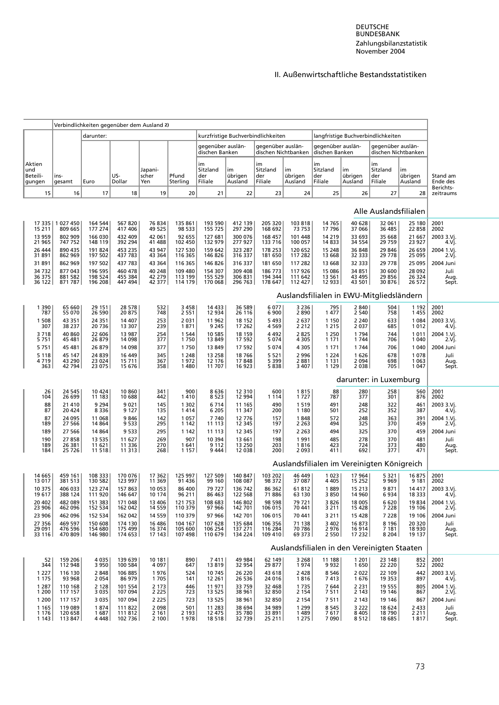|                                     |                            | Verbindlichkeiten gegenüber dem Ausland 2) |                               |                         |                         |                                                                          |                            |                                          |                          |                                                                |                          |                                                    |                            |                        |
|-------------------------------------|----------------------------|--------------------------------------------|-------------------------------|-------------------------|-------------------------|--------------------------------------------------------------------------|----------------------------|------------------------------------------|--------------------------|----------------------------------------------------------------|--------------------------|----------------------------------------------------|----------------------------|------------------------|
|                                     |                            | darunter:                                  |                               |                         |                         | kurzfristige Buchverbindlichkeiten<br>langfristige Buchverbindlichkeiten |                            |                                          |                          |                                                                |                          |                                                    |                            |                        |
|                                     |                            |                                            |                               |                         |                         | gegenüber auslän-<br>dischen Banken                                      |                            | gegenüber auslän-<br>dischen Nichtbanken |                          | gegenüber auslän-<br>dischen Banken                            |                          | gegenüber auslän-<br>dischen Nichtbanken           |                            |                        |
| Aktien<br>und<br>Beteili-<br>gungen | ins-<br>gesamt             | Euro                                       | US-<br>Dollar                 | Japani-<br>scher<br>Yen | Pfund<br>Sterling       | im<br>Sitzland<br>der<br>Filiale                                         | im<br>übrigen<br>Ausland   | im<br>Sitzland<br>der<br>Filiale         | im<br>übrigen<br>Ausland | im<br>Sitzland<br>der<br>Filiale                               | im<br>übrigen<br>Ausland | im<br>Sitzland<br>der<br>Filiale                   | im<br>übrigen<br>Ausland   | Stand am<br>Ende des   |
| 15                                  | 16                         | 17                                         | 18                            | 19                      | 20                      | 21                                                                       | 22                         | 23                                       | 24                       | 25                                                             | 26                       | 27                                                 | 28                         | Berichts-<br>zeitraums |
|                                     |                            |                                            |                               |                         |                         |                                                                          |                            |                                          |                          |                                                                |                          | Alle Auslandsfilialen                              |                            |                        |
| 17 335<br>15 211                    | 027 450<br>809 665         | 164 544<br>177 274                         | 567 820<br>417 406            | 76834<br>49 525         | 135 861<br>98 533       | 193 590<br>155 725                                                       | 412 139<br>297 290         | 205 320<br>168 692                       | 103 818<br>73753         | 14 7 65<br>17 796                                              | 40 628<br>37 066         | 32 061<br>36 485                                   | 25 180<br>22858            | 2001<br>2002           |
| 13 959<br>21 965                    | 802 909<br>747 752         | 166 030<br>148 119                         | 432 409<br>392 294            | 42 061<br>41 488        | 92 655<br>102 450       | 127 681<br>132 979                                                       | 300 076                    | 168 457<br>133 716                       | 101 448<br>100 057       | 14 219<br>14 833                                               | 33 693<br>34 554         | 35 668<br>29 759                                   | 21 667<br>23 927           | 2003 3.Vj.             |
| 26 444                              | 890 435                    | 191 824                                    | 453 235                       | 43 947                  | 127 530                 | 159 642                                                                  | 277 927<br>323 287         | 178 253                                  | 120 652                  | 15 248                                                         | 36 848                   | 29 846                                             | 26 659                     | 4.Vj.<br>2004 1.Vj.    |
| 31891<br>31891                      | 862 969<br>862 969         | 197 502<br>197 502                         | 437 783<br>437 783            | 43 3 64<br>43 3 64      | 116 365<br>116 365      | 146 826<br>146 826                                                       | 316 337<br>316 337         | 181 650<br>181 650                       | 117 282<br>117 282       | 13 668<br>13 668                                               | 32 333<br>32 333         | 29 7 78<br>29 7 78                                 | 25 095<br>25 095           | 2.Vj.<br>2004 Juni     |
| 34732<br>36 375                     | 877 043<br>881 582         | 196 595<br>198 524                         | 460 478<br>455 384            | 40 248<br>42 279        | 109 480<br>113 199      | 154 307<br>155 529                                                       | 309 408<br>306 831         | 186 773<br>194 344                       | 117 926<br>111 642       | 15 086<br>13 5 61                                              | 34 851<br>43 495         | 30 600<br>29 856                                   | 28 092<br>26 324           | Juli<br>Aug.           |
| 36 122                              | 871 787                    | 196 208                                    | 447 494                       | 42 377                  | 114 179                 | 170 068                                                                  | 296 763                    | 178 647                                  | 112 427                  | 12 933                                                         | 43 501                   | 30 876                                             | 26 572                     | Sept.                  |
|                                     |                            |                                            |                               |                         |                         |                                                                          |                            |                                          |                          | Auslandsfilialen in EWU-Mitgliedsländern                       |                          |                                                    |                            |                        |
| 1 3 9 0<br>787                      | 65 660<br>55 070           | 29 151<br>26 590                           | 28 578<br>20875               | 532<br>748              | 3 4 5 8<br>2 5 5 1      | 14 4 33<br>12 9 34                                                       | 36 589<br>26 116           | 6077<br>6 900                            | 3 2 3 6<br>2890          | 795<br>1 477                                                   | 2840<br>2 5 4 0          | 504<br>758                                         | 1 1 9 2<br>1455            | 2001<br>2002           |
| 1 5 0 8<br>307                      | 43 351<br>38 237           | 24 351<br>20736                            | 14 407<br>13 307              | 253<br>239              | 2 0 3 1<br>1871         | 11 962<br>9 2 4 5                                                        | 18 152<br>17 262           | 5 4 9 3<br>4569                          | 2637<br>2 2 1 2          | 1 1 5 0<br>1 2 1 5                                             | 2 2 4 0<br>2 0 3 7       | 633<br>685                                         | 1 0 8 4<br>1012            | 2003 3.Vj.<br>4.Vj.    |
| 3718<br>5751                        | 40 860<br>45 481           | 22 606<br>26 879                           | 13 987<br>14 098              | 254<br>377              | 1 5 4 4<br>1750         | 10 585<br>13 849                                                         | 18 159<br>17 592           | 4 4 9 2<br>5074                          | 2825<br>4 3 0 5          | 1 2 5 0<br>1 1 7 1                                             | 1794<br>1744             | 744<br>706                                         | 1011<br>1 0 4 0            | 2004 1.Vi.<br>2.Vj.    |
| 5751                                | 45 481                     | 26 879                                     | 14 098                        | 377                     | 1750                    | 13849                                                                    | 17 592                     | 5074                                     | 4 3 0 5                  | 1 1 7 1                                                        | 1744                     | 706                                                | 1 0 4 0                    | 2004 Juni              |
| 5 1 1 8<br>4719                     | 45 147<br>43 290<br>42 794 | 24 839<br>23 0 24                          | 16 449<br>15 7 11             | 345<br>367<br>358       | 1 2 4 8<br>1972<br>1480 | 13 258<br>12 176                                                         | 18766<br>17848             | 5 5 2 1<br>5 3 9 9<br>5838               | 2 9 9 6<br>2881<br>3 407 | 1 2 2 4<br>1 1 3 1<br>1 1 2 9                                  | 1626<br>2 0 9 4          | 678<br>698<br>705                                  | 1078<br>1 0 6 3<br>1 0 4 7 | Juli<br>Aug.           |
| 363                                 |                            | 23 075                                     | 15 676                        |                         |                         | 11 707                                                                   | 16 923                     |                                          |                          |                                                                | 2038                     |                                                    |                            | Sept.                  |
|                                     |                            |                                            |                               |                         |                         |                                                                          |                            |                                          |                          |                                                                |                          | darunter: in Luxemburg                             |                            |                        |
| 26                                  | 24 545                     | 10 4 24                                    | 10 860                        | 341                     | 900                     | 8636                                                                     | 12 310                     | 600                                      | 1815                     | 88                                                             |                          |                                                    | 560                        | 2001                   |
| 104<br>88                           | 26 699<br>21 4 10          | 11 183<br>9 2 9 4                          | 10 688<br>9 0 21              | 442<br>145              | 1410<br>1 3 0 2         | 8 5 2 3<br>6714                                                          | 12 994<br>11 165           | 1 1 1 4<br>490                           | 1727<br>1519             | 787<br>491                                                     | 280<br>377<br>248        | 258<br>301<br>322                                  | 876<br>461                 | 2002<br>2003 3.Vj.     |
| 87<br>87                            | 20 4 24<br>24 095          | 8 3 3 6<br>11 068                          | 9 1 2 7<br>9846               | 135<br>142              | 1414<br>1 0 5 7         | 6 2 0 5<br>7740                                                          | 11 347<br>12 776           | 200<br>157                               | 1 1 8 0<br>1848          | 501<br>572                                                     | 252<br>248               | 352<br>363                                         | 387<br>391                 | 4.Vj.<br>2004 1.Vj.    |
| 189                                 | 27 566                     | 14 864                                     | 9 5 3 3                       | 295                     | 1 1 4 2                 | 11 113                                                                   | 12 345                     | 197                                      | 2 2 6 3                  | 494                                                            | 325                      | 370                                                | 459                        | 2.Vj.                  |
| 189<br>190                          | 27 566<br>27858            | 14 8 64<br>13 5 35                         | 9 5 3 3<br>11 627             | 295<br>269              | 1 1 4 2<br>907          | 11 113<br>10 394                                                         | 12 345<br>13 661           | 197<br>198                               | 2 2 6 3<br>1991          | 494<br>485                                                     | 325<br>278               | 370<br>370                                         | 459<br>481                 | 2004 Juni<br>Juli      |
| 189<br>184                          | 26 381<br>25 7 26          | 11 621<br>11 518                           | 11 336<br>11313               | 270<br>268              | 1641<br>1 1 5 7         | 9 1 1 2<br>9444                                                          | 13 250<br>12 038           | 203<br>200                               | 1816<br>2093             | 423<br>411                                                     | 724<br>692               | 373<br>377                                         | 480<br>471                 | Aug.<br>Sept.          |
|                                     |                            |                                            |                               |                         |                         |                                                                          |                            |                                          |                          | Auslandsfilialen im Vereinigten Königreich                     |                          |                                                    |                            |                        |
| 14 665<br>13 017                    | 459 161<br>381 513         | 108 333<br>130 582                         | 170 076<br>123 997            | 17 362<br>11 369        | 125 997<br>91 436       | 127 509<br>99 160                                                        | 140 847<br>108 087         | 103 202<br>98 372                        | 46 449<br>37 087         | 1 0 2 3<br>4 4 0 5                                             | 17964<br>15 2 5 2        | 5 3 2 1<br>9 9 6 9                                 | 16875<br>9 1 8 1           | 2001<br>2002           |
| 10 375<br>19617                     | 406 033<br>388 124         | 123 274<br>111 920                         | 157 863<br>146 647            | 10 053<br>10 174        | 86 400<br>96 211        | 79 727<br>86 463                                                         | 136 742<br>122 568         | 86 362<br>71886                          | 61812<br>63 130          | 1889<br>3850                                                   | 15 213<br>14 960         | 9871<br>6934                                       | 14 4 17<br>18 3 33         | 2003 3.Vj.             |
| 20 402                              | 482 089                    | 151 383                                    | 171 048                       | 13 406                  | 121 753                 | 108 683                                                                  | 146 802                    | 98 598                                   | 79 721                   | 3826                                                           | 18 005                   | 6620                                               | 19834                      | 4.Vj.<br>2004 1.Vi.    |
| 23 906<br>23 906                    | 462 096<br>462 096         | 152 534<br>152 534                         | 162 042<br>162 042            | 14 559<br>14 5 5 9      | 110 379<br>110 379      | 97 966<br>97 966                                                         | 142 701<br>142 701         | 106 015<br>106 015                       | 70 441<br>70 441         | 3 2 1 1<br>3 2 1 1                                             | 15 4 28<br>15 4 28       | 7 2 2 8<br>7 2 2 8                                 | 19 106<br>19 106           | 2.Vj.<br>2004 Juni     |
| 27 356<br>29 091                    | 469 597                    | 150 608<br>154 680                         | 174 130                       | 16 48 6<br>16 374       | 104 167                 | 107 628<br>106 254                                                       | 135 684<br>137 271         |                                          | 71 138<br>70 786         | 3 4 0 2                                                        | 16873                    | 8 1 9 6                                            | 20 320                     | Juli<br>Aug.           |
| 33 116                              | 476 596<br>470 809         | 146 980                                    | 175 499<br>174 653            | 17143                   | 105 600<br>107 498      | 110 679                                                                  | 134 224                    | 106 356<br>116 284<br>109 410            | 69 373                   | $\left[\begin{array}{c} 2 & 976 \\ 2 & 550 \end{array}\right]$ | 16 914<br>17 232         | $\begin{array}{ c} 7 & 181 \\ 8 & 204 \end{array}$ | 18 930<br>19 137           | Sept.                  |
|                                     |                            |                                            |                               |                         |                         |                                                                          |                            |                                          |                          | Auslandsfilialen in den Vereinigten Staaten                    |                          |                                                    |                            |                        |
| 52<br>344                           | 159 206<br>112 948         | 4 0 3 5<br>3 9 5 0                         | 139 639<br>100 584            | 10 181<br>4 0 9 7       | 890<br>647              | 7411<br>13819                                                            | 49 984<br>32 954           | 62 149<br>29 877                         | 3 2 6 8<br>1974          | 11 188<br>9932                                                 | 1 201<br>1650            | 23 148<br>22 2 20                                  | 852<br>522                 | 2001<br>2002           |
| 1 2 2 7<br>1 1 7 5                  | 116 130<br>93 968          | 2848<br>2054                               | 106 885<br>86 979             | 1976<br>1705            | 524<br>141              | 10745<br>12 2 61                                                         | 26 220<br>26 536           | 43 618<br>24 016                         | 2 4 2 8<br>1816          | 8 5 4 6<br>7413                                                | 2 0 2 2<br>1676          | 22 109<br>19 3 5 3                                 | 442<br>897                 | 2003 3.Vj.<br>4.Vj.    |
| 1 2 8 7<br>1 200                    | 110 168<br>117 157         | 2 1 2 8<br>3 0 3 5                         | 101 554<br>107 094            | 2 173<br>2 2 2 5        | 446<br>723              | 11971<br>13 525                                                          | 33 759<br>38 961           | 32 468<br>32 850                         | 1735<br>2 154            | 7 6 4 4<br>7511                                                | 2 2 3 1<br>2 1 4 3       | 19 555<br>19 146                                   | 805<br>867                 | 2004 1.Vj.<br>2.Vj.    |
| 1 200<br>1 165<br>1 176             | 117 157<br>119 089         | 3 0 3 5<br>1874                            | 107 094<br>111 822<br>111 812 | 2 2 2 5<br>2 0 9 8      | 723<br>501              | 13 525<br>11 283<br>12 475                                               | 38 961<br>38 694<br>35 780 | 32 850<br>34 989                         | 2 1 5 4<br>1 2 9 9       | 7511<br>8 5 4 5                                                | 2 1 4 3<br>3 2 2 2       | 19 14 6<br>18 624                                  | 867<br>$2433$<br>$2211$    | 2004 Juni<br>Juli      |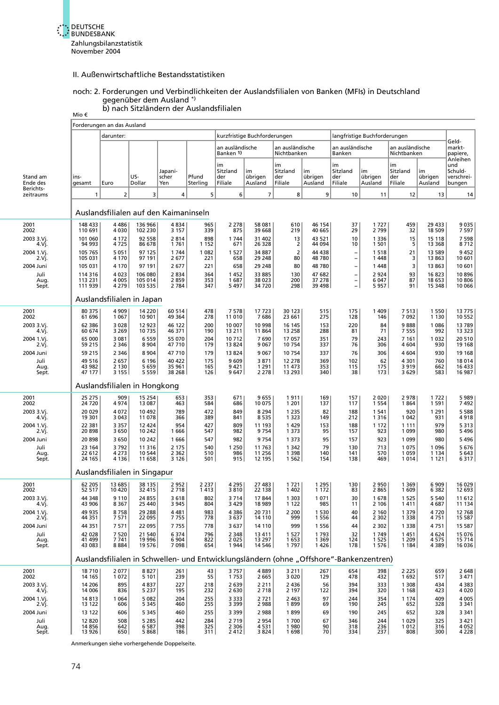

#### [noch: 2. Forderungen und Verbindlichkeiten der Auslandsfilialen von Banken \(MFIs\) in Deutschland](#page-18-0) gegenüber dem Ausland \*)

### b) nach Sitzländern der Auslandsfilialen

| Mio € | ~, ~ |  |
|-------|------|--|
|       |      |  |

|                        |                               | Forderungen an das Ausland    |                                       |                               |                                         |                                  |                                                                                        |                                        |                             |                                  |                              |                                  |                               |                                                    |
|------------------------|-------------------------------|-------------------------------|---------------------------------------|-------------------------------|-----------------------------------------|----------------------------------|----------------------------------------------------------------------------------------|----------------------------------------|-----------------------------|----------------------------------|------------------------------|----------------------------------|-------------------------------|----------------------------------------------------|
|                        |                               | darunter:                     |                                       |                               |                                         |                                  | kurzfristige Buchforderungen                                                           |                                        |                             |                                  | langfristige Buchforderungen |                                  |                               |                                                    |
|                        |                               |                               |                                       |                               |                                         | an ausländische<br>Banken 1)     |                                                                                        | an ausländische<br>Nichtbanken         |                             | an ausländische<br>Banken        |                              | an ausländische<br>Nichtbanken   |                               | Geld-<br>markt-<br>papiere,                        |
| Stand am<br>Ende des   | ins-<br>gesamt                | Euro                          | US-<br>Dollar                         | Japani-<br>scher<br>Yen       | Pfund<br>Sterling                       | im<br>Sitzland<br>der<br>Filiale | im<br>übrigen<br>Ausland                                                               | im<br>Sitzland<br>der<br>Filiale       | im<br>übrigen<br>Ausland    | im<br>Sitzland<br>der<br>Filiale | im<br>übrigen<br>Ausland     | im<br>Sitzland<br>der<br>Filiale | im<br>übrigen<br>Ausland      | Anleihen<br>und<br>Schuld-<br>verschrei-<br>bungen |
| Berichts-<br>zeitraums | $\mathbf{1}$                  | $\overline{2}$                | 3                                     | 4                             | 5                                       | 6                                | $\overline{7}$                                                                         | 8                                      | 9                           | 10                               | 11                           | 12                               | 13                            | 14                                                 |
|                        |                               |                               | Auslandsfilialen auf den Kaimaninseln |                               |                                         |                                  |                                                                                        |                                        |                             |                                  |                              |                                  |                               |                                                    |
| 2001<br>2002           | 148 433<br>110 691            | 4 4 8 6<br>4 0 3 0            | 136 966<br>102 230                    | 4 834<br>3 157                | 965<br>339                              | 2 2 7 8<br>875                   | 58 081<br>39 668                                                                       | 610<br>219                             | 46 154<br>40 665            | 37<br>29                         | 1727<br>2799                 | 459<br>32                        | 29 433<br>18 509              | 9 035<br>7 597                                     |
| 2003 3.Vj.             | 101 060<br>94 993             | 4 1 7 2<br>4725               | 92 558<br>86 678                      | 2814<br>1761                  | 898                                     | 1744<br>671                      | 31 402<br>26 328                                                                       | $\begin{array}{c} 13 \\ 2 \end{array}$ | 43 521<br>44 094            | 10                               | 1 3 3 6<br>1 501             | 15<br>5                          | 15 118<br>13 3 68             | 7 5 9 8<br>8712                                    |
| 4.Vj.<br>2004 1.Vi.    | 105 765                       | 5 0 5 1                       | 97 125                                | 1 7 4 4                       | 1 1 5 2<br>1 0 8 2                      | 1 5 2 7                          | 34 887                                                                                 | $\overline{2}$                         | 44 438                      | 10<br>$\overline{\phantom{0}}$   | 1518                         | 21                               | 13 589                        | 9 4 5 2                                            |
| 2.Vj.<br>2004 Juni     | 105 031<br>105 031            | 4 1 7 0<br>4 1 7 0            | 97 191<br>97 191                      | 2677<br>2677                  | 221<br>221                              | 658<br>658                       | 29 248<br>29 248                                                                       | 80<br>80                               | 48 780<br>48 780            | -<br>$\qquad \qquad -$           | 1448<br>1448                 | 3<br>3                           | 13 863<br>13 863              | 10 601<br>10 601                                   |
| Juli<br>Aug.<br>Sept.  | 114 316<br>113 231<br>111 939 | 4 0 23<br>4 0 0 5<br>4 2 7 9  | 106 080<br>105 014<br>103 535         | 2 8 3 4<br>2859<br>2 7 8 4    | 364<br>353<br>347                       | 1 4 5 2<br>1687<br>5497          | 33 885<br>38 023<br>34 7 20                                                            | 130<br>200<br>298                      | 47 682<br>37 278<br>39 4 98 | $\frac{1}{1}$                    | 2924<br>6 0 4 7<br>5957      | 93<br>87<br>91                   | 16823<br>18 653<br>15 348     | 10896<br>10 806<br>10 066                          |
|                        |                               |                               | Auslandsfilialen in Japan             |                               |                                         |                                  |                                                                                        |                                        |                             |                                  |                              |                                  |                               |                                                    |
| 2001<br>2002           | 80 375<br>61 696              | 4 9 0 9<br>1 0 6 7            | 14 2 20<br>10 901                     | 60 514<br>49 3 64             | 478<br>278                              | 7578<br>11 010                   | 17723<br>7686                                                                          | 30 123<br>23 661                       | 515<br>275                  | 175<br>128                       | 1 4 0 9<br>146               | 7513<br>7092                     | 1 5 5 0<br>1 1 3 0            | 13 775<br>10 552                                   |
| 2003 3.Vj.<br>4.Vj.    | 62 386<br>60 674              | 3 0 28<br>3 2 6 9             | 12 923<br>10735                       | 46 122<br>46 371              | 200<br>190                              | 10 007<br>13 211                 | 10 998<br>11 864                                                                       | 16 145<br>13 2 58                      | 153<br>288                  | 220<br>81                        | 84<br>71                     | 9888<br>7 5 5 5                  | 1086<br>992                   | 13 789<br>13 3 23                                  |
| 2004 1.Vj.             | 65 000                        | 3 0 8 1                       | 6 5 5 9                               | 55 070                        | 204                                     | 10712                            | 7690                                                                                   | 17 057                                 | 351                         | 79                               | 243                          | 7 1 6 1                          | 1 0 3 2                       | 20 510                                             |
| 2.Vj.<br>2004 Juni     | 59 215<br>59 215              | 2 3 4 6<br>2 3 4 6            | 8 9 0 4<br>8 9 0 4                    | 47710<br>47 710               | 179<br>179                              | 13824<br>13824                   | 9 0 6 7<br>9 0 67                                                                      | 10 754<br>10754                        | 337<br>337                  | 76<br>76                         | 306<br>306                   | 4 6 0 4<br>4604                  | 930<br>930                    | 19 168<br>19 168                                   |
| Juli<br>Aug.<br>Sept.  | 49 516<br>43 982<br>47 177    | 2 6 5 7<br>2 1 3 0<br>3 1 5 5 | 6 196<br>5659<br>5 5 5 9              | 40 422<br>35 961<br>38 268    | 175<br>165<br>126                       | 9609<br>9421<br>9647             | 3871<br>1 2 9 1<br>2 2 7 8                                                             | 12 278<br>11 473<br>13 29 3            | 369<br>353<br>340           | 102<br>115<br>38                 | 62<br>175<br>173             | 4 3 0 1<br>3919<br>3 6 2 9       | 760<br>662<br>583             | 18 014<br>16 433<br>16 987                         |
|                        |                               |                               | Auslandsfilialen in Hongkong          |                               |                                         |                                  |                                                                                        |                                        |                             |                                  |                              |                                  |                               |                                                    |
| 2001<br>2002           | 25 275<br>24 7 20             | 909<br>4974                   | 15 2 54<br>13 087                     | 653<br>463                    | 353<br>584                              | 671<br>686                       | 9655<br>10 075                                                                         | 1911<br>1 2 0 1                        | 169<br>137                  | 157<br>117                       | 2020<br>1 5 5 4              | 2978<br>1864                     | 1722<br>1 5 9 1               | 5 9 8 9<br>7492                                    |
| 2003 3.Vj.<br>4.Vj.    | 20 0 29<br>19 301             | 4 0 7 2<br>3 0 4 3            | 10 4 9 2<br>11 078                    | 789<br>366                    | 472<br>389                              | 849<br>841                       | 8 2 9 4<br>8 5 3 5                                                                     | 1 2 3 5<br>1 3 2 3                     | 82<br>149                   | 188<br>212                       | 1 5 4 1<br>1316              | 920<br>1 0 4 2                   | 1 2 9 1<br>931                | 5 5 8 8<br>4918                                    |
| 2004 1.Vj.             | 22 381                        | 3 3 5 7                       | 12 4 24                               | 954                           | 427                                     | 809                              | 11 193                                                                                 | 1429                                   | 153                         | 188                              | 1 1 7 2                      | 1 1 1 1                          | 979                           | 5 3 1 3                                            |
| 2.Vj.<br>2004 Juni     | 20898<br>20898                | 3 6 5 0<br>3 6 5 0            | 10 242<br>10 242                      | 1666<br>1666                  | 547<br>547                              | 982<br>982                       | 9 7 5 4<br>9754                                                                        | 1 3 7 3<br>1 3 7 3                     | 95<br>95                    | 157<br>157                       | 923<br>923                   | 1 0 9 9<br>1 0 9 9               | 980<br>980                    | 5 4 9 6<br>5 4 9 6                                 |
| Juli<br>Aug.<br>Sept.  | 23 164<br>22 612<br>24 165    | 3792<br>4 2 7 3<br>4 1 3 6    | 11 3 16<br>10 544<br>11 658           | 2 1 7 5<br>2 3 6 2<br>3 1 2 6 | 540<br>510<br>501                       | 1 2 5 0<br>986<br>915            | 11 763<br>11 256<br>12 195                                                             | 1 3 4 2<br>1 3 9 8<br>1 5 6 2          | 79<br>140<br>154            | 130<br>141<br>138                | 713<br>570<br>469            | 1075<br>1059<br>1014             | 1 0 9 6<br>1 1 3 4<br>1 1 2 1 | 5 6 7 6<br>5 6 4 3<br>6317                         |
|                        |                               |                               | Auslandsfilialen in Singapur          |                               |                                         |                                  |                                                                                        |                                        |                             |                                  |                              |                                  |                               |                                                    |
| 2001<br>2002           | 62 205<br>52 517              | 13 685<br>10 4 20             | 38 135<br>32 415                      | 2952<br>2 7 1 8               | 2 2 3 7<br>1413                         | 4 2 9 5<br>3810                  | 27 483<br>22 138                                                                       | 1721<br>1402                           | 1 2 9 5<br>1 1 7 2          | 130<br>83                        | 2950<br>2865                 | 1 3 6 9<br>1609                  | 6909<br>6 3 8 2               | 16 029<br>12 693                                   |
| 2003 3.Vi.<br>4.Vj.    | 44 348<br>43 906              | 9 1 1 0<br>8 3 6 7            | 24 855<br>25 440                      | 3618<br>3 9 4 5               | 802<br>804                              | 3 7 1 4<br>3 4 2 9               | 17844<br>18 989                                                                        | 1 3 0 3<br>1 1 2 2                     | 1 0 7 1<br>985              | 30<br>11                         | 1678<br>2 106                | 1525<br>1411                     | 5540<br>4687                  | 11 612<br>11 134                                   |
| 2004 1.Vj.             | 49 935                        | 8758                          | 29 288                                | 4 4 8 1                       | 983                                     | 4386                             | 20 731                                                                                 | 2 2 0 0                                | 1 5 3 0                     | 40                               | 2 1 6 0                      | 1 3 7 9                          | 4720                          | 12 768                                             |
| 2.Vj.<br>2004 Juni     | 44 3 51<br>44 351             | 7 5 7 1<br>7571               | 22 095<br>22 095                      | 7755<br>7755                  | 778<br>778                              | 3637<br>3637                     | 14 110<br>14 110                                                                       | 999<br>999                             | 1 5 5 6<br>1 5 5 6          | 44<br>44                         | 2 3 0 2<br>2 3 0 2           | 1 3 3 8<br>1 3 3 8               | 4751<br>4751                  | 15 587<br>15 587                                   |
| Juli<br>Aug.<br>Sept.  | 42 028<br>41 499<br>43 083    | 7 520<br>7 741<br>8 8 8 4     | 21 540<br>19 996<br>19 576            | 6 374<br>6 904<br>7 0 9 8     | 796<br>822<br>654                       | 2 348<br>2 025<br>1944           | 13 4 11<br>13 297<br>14 546                                                            | 1 527<br>1 653<br>1797                 | 1793<br>1 3 6 9<br>1426     | $\frac{32}{124}$<br>178          | 1749<br>1525<br>1576         | 1451<br>1209<br>1184             | 4624<br>4575<br>4 3 8 9       | 15 076<br>15 714<br>16 036                         |
|                        |                               |                               |                                       |                               |                                         |                                  | Auslandsfilialen in Schwellen- und Entwicklungsländern (ohne "Offshore"-Bankenzentren) |                                        |                             |                                  |                              |                                  |                               |                                                    |
| 2001<br>2002           | 18710<br>14 165               | 2 077<br>1 072                | 8827<br>5101                          | 261<br>239                    | $\begin{array}{c} 43 \\ 55 \end{array}$ | 3 757<br>1 753                   | 4 889<br>2 665                                                                         | 3 211<br>3 020                         | 267<br>129                  | 654<br>478                       | 398<br>432                   | 2 2 2 5<br>1692                  | 659<br>517                    | 2 648<br>3 471                                     |
| 2003 3.Vj.<br>4.Vj.    | 14 20 6<br>14 006             | 895<br>836                    | 4837<br>5 2 3 7                       | 227<br>195                    | 218<br>232                              | 2639<br>2 6 3 0                  | 2 2 1 1<br>2718                                                                        | 2 4 3 6<br>2 1 9 7                     | 56<br>122                   | 394<br>394                       | 333<br>320                   | 1 3 0 8<br>1 1 6 8               | 434<br>423                    | 4 383<br>4 0 2 0                                   |
| 2004 1.Vj.             | 14813                         | 1 0 6 4                       | 5 0 8 2                               | 204                           | 255                                     | 3 3 3 3                          | 2721                                                                                   | 2 4 6 3                                | 97                          | 244                              | 354                          | 1 1 7 4                          | 409                           | 4 0 0 5                                            |
| 2.Vj.<br>2004 Juni     | 13 122<br>13 122              | 606<br>606                    | 5 3 4 5<br>5 3 4 5                    | 460<br>460                    | 255<br>255                              | 3 3 9 9<br>3 3 9 9               | 2988<br>2 9 8 8                                                                        | 1899<br>1899                           | 69<br>69                    | 190<br>190                       | 245<br>245                   | 652<br>652                       | 328<br>328                    | 3 3 4 1<br>3 3 4 1                                 |
| Juli<br>Aug.<br>Sept.  | 12 8 20<br>14856<br>13 9 26   | 508<br>642<br>650             | 5 2 8 5<br>6587<br>5868               | 442<br>398<br>186             | 284<br>325<br>311                       | 2719<br>2 3 0 6<br>2412          | 2 9 5 4<br>4 5 3 1<br>3824                                                             | 1700<br>1980<br>1698                   | 67<br>90<br>70              | 346<br>318<br>334                | 244<br>236<br>237            | 1 0 2 9<br>1012<br>808           | 325<br>316<br>300             | 3 421<br>4 052<br>4 2 2 8                          |

Anmerkungen siehe vorhergehende Doppelseite.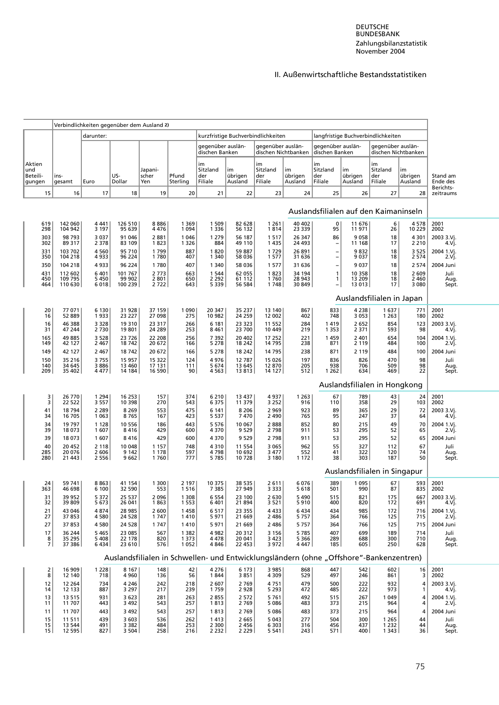|                                               |                            | Verbindlichkeiten gegenüber dem Ausland 2) |                    |                                                  |                                                        |                                                     |                            |                                          |                             |                                                                                        |                          |                                          |                          |                        |
|-----------------------------------------------|----------------------------|--------------------------------------------|--------------------|--------------------------------------------------|--------------------------------------------------------|-----------------------------------------------------|----------------------------|------------------------------------------|-----------------------------|----------------------------------------------------------------------------------------|--------------------------|------------------------------------------|--------------------------|------------------------|
|                                               |                            | darunter:                                  |                    |                                                  |                                                        |                                                     |                            | kurzfristige Buchverbindlichkeiten       |                             |                                                                                        |                          | langfristige Buchverbindlichkeiten       |                          |                        |
|                                               |                            |                                            |                    |                                                  |                                                        | gegenüber auslän-<br>dischen Banken                 |                            | gegenüber auslän-<br>dischen Nichtbanken |                             | gegenüber auslän-<br>dischen Banken                                                    |                          | gegenüber auslän-<br>dischen Nichtbanken |                          |                        |
| Aktien<br>und<br>Beteili-<br>gungen           | ins-<br>gesamt             | Euro                                       | US-<br>Dollar      | Japani-<br>scher<br>Yen                          | Pfund<br>Sterling                                      | im<br>Sitzland<br>der<br>Filiale                    | im<br>übrigen<br>Ausland   | im<br>Sitzland<br>der<br>Filiale         | im<br>übrigen<br>Ausland    | im<br>Sitzland<br>der<br>Filiale                                                       | im<br>übrigen<br>Ausland | im<br>Sitzland<br>der<br>Filiale         | im<br>übrigen<br>Ausland | Stand am<br>Ende des   |
| 15                                            | 16                         | 17                                         | 18                 | 19                                               | 20                                                     | 21                                                  | 22                         | 23                                       | 24                          | 25                                                                                     | 26                       | 27                                       | 28                       | Berichts-<br>zeitraums |
|                                               |                            |                                            |                    |                                                  |                                                        |                                                     |                            |                                          |                             | Auslandsfilialen auf den Kaimaninseln                                                  |                          |                                          |                          |                        |
| 619<br>298                                    | 142 060<br>104 942         | 4 4 4 1<br>3 1 9 7                         | 126 510<br>95 639  | 8886<br>4476                                     | 1 3 6 9<br>1 0 9 4                                     | 1 5 0 9<br>1 3 3 6                                  | 82 628<br>56 132           | 1 2 6 1<br>1814                          | 40 40 2<br>23 339           | 0<br>95                                                                                | 11 676<br>11971          | 6<br>26                                  | 4578<br>10 229           | 2001<br>2002           |
| 303                                           | 98 793                     | 3 0 3 7                                    | 91 046             | 2881                                             | 1 0 4 6                                                | 1 2 7 9                                             | 56 187                     | 1517                                     | 26 347                      | 86                                                                                     | 9058                     | 18                                       | 4 3 0 1                  | 2003 3.Vj.             |
| 302<br>331                                    | 89 317<br>103 702          | 2 3 7 8<br>4 5 6 0                         | 83 109<br>95 710   | 1823<br>1799                                     | 1 3 2 6<br>887                                         | 884<br>1820                                         | 49 110<br>59 887           | 1435<br>1729                             | 24 493<br>26 891            | $\overline{\phantom{a}}$<br>$\overline{\phantom{a}}$                                   | 11 168<br>9832           | 17<br>18                                 | 2 2 1 0<br>3 5 2 5       | 4.Vj.<br>2004 1.Vj.    |
| 350<br>350                                    | 104 218<br>104 218         | 4933<br>4933                               | 96 224<br>96 224   | 1780<br>1780                                     | 407<br>407                                             | 1 3 4 0<br>1 3 4 0                                  | 58 036<br>58 036           | 1577<br>1577                             | 31 636<br>31 636            | $\qquad \qquad -$                                                                      | 9037<br>9 0 3 7          | 18<br>18                                 | 2 5 7 4<br>2 5 7 4       | 2.Vj.<br>2004 Juni     |
| 431                                           | 112 602                    | 6 4 0 1                                    | 101 767            | 2773                                             | 663                                                    | 1 5 4 4                                             | 62 055                     | 1823                                     | 34 194                      | $\qquad \qquad -$<br>1                                                                 | 10 358                   | 18                                       | 2 609                    | Juli                   |
| 450<br>464                                    | 109 795<br>110 630         | 5450<br>6018                               | 99 902<br>100 239  | 2 8 0 1<br>2722                                  | 650<br>643                                             | 2 2 9 2<br>5 3 3 9                                  | 61 112<br>56 584           | 1760<br>1748                             | 28 943<br>30 849            | $\mathbf{1}$<br>$\overline{\phantom{a}}$                                               | 13 209<br>13 013         | 18<br>17                                 | 2 4 6 0<br>3 0 8 0       | Aug.<br>Sept.          |
|                                               |                            |                                            |                    |                                                  |                                                        |                                                     |                            |                                          |                             |                                                                                        |                          | Auslandsfilialen in Japan                |                          |                        |
| 20<br>16                                      | 77 071<br>52 889           | 6 1 3 0<br>1933                            | 31 928<br>23 227   | 37 159<br>27 098                                 | 1 0 9 0<br>275                                         | 20 347<br>10 982                                    | 35 237<br>24 259           | 13 140<br>12 002                         | 867<br>402                  | 833<br>748                                                                             | 4 2 3 8<br>3 0 5 3       | 1637<br>1 2 6 3                          | 771<br>180               | 2001<br>2002           |
| 16<br>31                                      | 46 388<br>47 244           | 3 3 2 8<br>2730                            | 19 310<br>19 801   | 23 317<br>24 289                                 | 266<br>253                                             | 6 181<br>8461                                       | 23 323<br>23 700           | 11 552<br>10 449                         | 284<br>219                  | 1419<br>1 3 5 3                                                                        | 2652<br>2 3 7 1          | 854<br>593                               | 123<br>98                | 2003 3.Vi.<br>4.Vj.    |
| 165                                           | 49 885                     | 3 5 2 8                                    | 23 7 26            | 22 208                                           | 256                                                    | 7 3 9 2                                             | 20 402                     | 17 252                                   | 221                         | 1459                                                                                   | 2 4 0 1                  | 654                                      | 104                      | 2004 1.Vj.             |
| 149<br>149                                    | 42 127<br>42 127           | 2 4 6 7<br>2 4 6 7                         | 18742<br>18742     | 20 672<br>20 672                                 | 166<br>166                                             | 5 2 7 8<br>5 2 7 8                                  | 18 242<br>18 24 2          | 14 795<br>14 7 95                        | 238<br>238                  | 871<br>871                                                                             | 2 1 1 9<br>2 1 1 9       | 484<br>484                               | 100<br>100               | 2.Vj.<br>2004 Juni     |
| 150<br>140                                    | 35 216<br>34 645           | 3755<br>3886                               | 15 957<br>13 460   | 15 3 22<br>17 131                                | 124<br>111                                             | 4976<br>5674                                        | 12 787<br>13 645           | 15 0 26<br>12870                         | 197<br>205                  | 836<br>938                                                                             | 826<br>706               | 470<br>509                               | 98<br>98                 | Juli<br>Aug.           |
| 209                                           | 35 402                     | 4477                                       | 14 184             | 16 590                                           | 90                                                     | 4 5 6 3                                             | 13 813                     | 14 127                                   | 512                         | 1 2 6 2                                                                                | 634                      | 469                                      | 22                       | Sept.                  |
|                                               |                            |                                            |                    |                                                  |                                                        |                                                     |                            |                                          |                             |                                                                                        |                          | Auslandsfilialen in Hongkong             |                          |                        |
| 3<br>3                                        | 26 770<br>22 5 22          | 1 2 9 4<br>3 5 5 7                         | 16 253<br>10 398   | 157<br>270                                       | 374<br>543                                             | 6 2 1 0<br>6375                                     | 13 437<br>11 379           | 4937<br>3 2 5 2                          | 1 2 6 3<br>916              | 67<br>110                                                                              | 789<br>358               | 43<br>29                                 | 24<br>103                | 2001<br>2002           |
| 41<br>34                                      | 18794<br>16 705            | 2 2 8 9<br>1 0 6 3                         | 8 2 6 9<br>8765    | 553<br>167                                       | 475<br>423                                             | 6 1 4 1<br>5 5 3 7                                  | 8 2 0 6<br>7470            | 2969<br>2 4 9 0                          | 923<br>765                  | 89<br>95                                                                               | 365<br>247               | 29<br>37                                 | 72<br>64                 | 2003 3.Vj.<br>4.Vj.    |
| 34<br>39                                      | 19 7 9 7<br>18 073         | 1 1 2 8<br>1607                            | 10 556<br>8416     | 186<br>429                                       | 443<br>600                                             | 5 5 7 6<br>4 3 7 0                                  | 10 067<br>9 5 2 9          | 2888<br>2798                             | 852<br>911                  | 80<br>53                                                                               | 215<br>295               | 49<br>52                                 | 70<br>65                 | 2004 1.Vj.<br>2.Vj.    |
| 39                                            | 18 073                     | 1607                                       | 8416               | 429                                              | 600                                                    | 4 3 7 0                                             | 9 5 2 9                    | 2798                                     | 911                         | 53                                                                                     | 295                      | 52                                       | 65                       | 2004 Juni              |
| 40<br>285                                     | 20 452<br>20 076           | 2 1 1 8<br>2 606                           | 10 048<br>9 1 4 2  | 1 1 5 7<br>1 1 7 8                               | 748<br>597                                             | 4310<br>4798                                        | 11 554<br>10 692           | 3 0 6 5<br>3 4 7 7                       | 962<br>552                  | 55<br>41                                                                               | 327<br>322               | 112<br>120                               | 67<br>74                 | Juli<br>Aug.           |
| 280                                           | 21 4 43                    | 2 5 5 6                                    | 9662               | 1760                                             | 777                                                    | 5785                                                | 10 728                     | 3 1 8 0                                  | 1172                        | 38                                                                                     | 303                      | 187                                      | 50                       | Sept.                  |
| 24                                            | 59 741                     | 8863                                       | 41 154             | 1 300                                            | 2 197                                                  | 10 375                                              | 38 535                     | 2611                                     | 6076                        | 389                                                                                    | 1 0 9 5                  | Auslandsfilialen in Singapur<br>67       | 593                      | 2001                   |
| 363                                           | 46 698                     | 6 100                                      | 32 590             | 553                                              | 1516                                                   | 7 3 8 5                                             | 27 949                     | 3 3 3 3                                  | 5618                        | 501                                                                                    | 990                      | 87                                       | 835                      | 2002                   |
| 31<br>32                                      | 39 952<br>39 809           | 5 3 7 2<br>5 6 7 3                         | 25 537<br>26 041   | 2096<br>1863                                     | 1 3 0 8<br>1 5 5 3                                     | 6 5 5 4<br>6 4 0 1                                  | 23 100<br>21 894           | 2630<br>3 5 2 1                          | 5 4 9 0<br>5910             | 515<br>400                                                                             | 821<br>820               | 175<br>172                               | 667<br>691               | 2003 3.Vj.<br>4.Vj.    |
| 21<br>27                                      | 43 046<br>37853            | 4874<br>4580                               | 28 985<br>24 5 28  | 2 600<br>1747                                    | 1458<br>1 4 1 0                                        | 6517<br>5971                                        | 23 355<br>21 669           | 4 4 3 3<br>2 4 8 6                       | 6434<br>5757                | 434<br>364                                                                             | 985<br>766               | 172<br>125                               | 716<br>715               | 2004 1.Vj.<br>2.Vj.    |
| 27                                            | 37853                      | 4580                                       | 24 5 28            | 1747                                             | 1410                                                   | 5971                                                | 21 669                     | 2 4 8 6                                  | 5757                        | 364                                                                                    | 766                      | 125                                      | 715                      | 2004 Juni              |
| 17<br>$\frac{8}{7}$                           | 36 244<br>35 295<br>37 386 | 5 4 6 5<br>5 4 0 8                         | 23 085<br>22 178   | 567<br>$\begin{array}{c} 820 \\ 576 \end{array}$ | 1 3 8 2<br>$\begin{array}{c} 1373 \\ 1052 \end{array}$ | 4982<br>$\begin{array}{c} 4478 \\ 4846 \end{array}$ | 20 312<br>20 041<br>22 453 | 3 1 5 6<br>3 423<br>3 972                | 5785<br>$\frac{5366}{4447}$ | 407<br>289                                                                             | 699<br>688               | 189<br>300<br>250                        | 714<br>710               | Juli<br>Aug.<br>Sept.  |
|                                               |                            | 6434                                       | 23 610             |                                                  |                                                        |                                                     |                            |                                          |                             | 185                                                                                    | 605                      |                                          | 628                      |                        |
|                                               |                            |                                            |                    |                                                  |                                                        |                                                     |                            |                                          |                             | Auslandsfilialen in Schwellen- und Entwicklungsländern (ohne "Offshore"-Bankenzentren) |                          |                                          |                          |                        |
| $_{\rm 8}^2$                                  | 16 909<br>12 140           | 1 2 2 8<br>718                             | 8 1 6 7<br>4 9 6 0 | $\begin{array}{c} 148 \\ 136 \end{array}$        | 42<br>56                                               | 4 2 7 6<br>1844                                     | 6 173<br>3851              | 3985<br>4 3 0 9                          | 868<br>529                  | 447<br>497                                                                             | 542<br>246               | 602<br>861                               | 16<br>3                  | 2001<br>2002           |
| 12<br>14                                      | 12 2 64<br>12 133          | 734<br>887                                 | 4 2 4 6<br>3 2 9 7 | 242<br>217                                       | 218<br>239                                             | 2 607<br>1759                                       | 2 7 6 9<br>2 9 2 8         | 4751<br>5 2 9 3                          | 479<br>472                  | 500<br>485                                                                             | 222<br>222               | 932<br>973                               | 4<br>1                   | 2003 3.Vj.<br>4.Vj.    |
|                                               |                            |                                            |                    |                                                  |                                                        |                                                     | 2 5 7 2                    | 5761                                     | 492                         | 515                                                                                    | 267                      | 1 0 4 9                                  | 4                        | 2004 1.Vj.             |
| 13                                            | 13 5 15                    | 931                                        | 3 6 2 3            | 281                                              | 263                                                    | 2855                                                |                            |                                          |                             |                                                                                        |                          |                                          |                          |                        |
| 11<br>11                                      | 11 707<br>11 707           | 443<br>443                                 | 3 4 9 2<br>3 4 9 2 | 543<br>543                                       | 257<br>257                                             | 1813<br>1813                                        | 2 7 6 9<br>2 7 6 9         | 5 0 8 6<br>5 0 8 6                       | 483<br>483                  | 373<br>373                                                                             | 215<br>215               | 964<br>964                               | 4<br>4                   | 2.Vj.<br>2004 Juni     |
| $\begin{array}{c} 15 \\ 15 \end{array}$<br>15 | 11 511<br>13 544<br>12 595 | 439<br>491                                 | 3 6 0 3<br>3 3 8 2 | 536<br>484                                       | 262<br>253                                             | 1413<br>2 3 0 0                                     | 2 6 6 5<br>2 4 5 6         | 5 0 4 3<br>6303                          | 277<br>316                  | 504<br>456                                                                             | 300<br>437               | 1 2 6 5<br>1 2 3 2                       | 44<br>44<br>36           | Juli<br>Aug.           |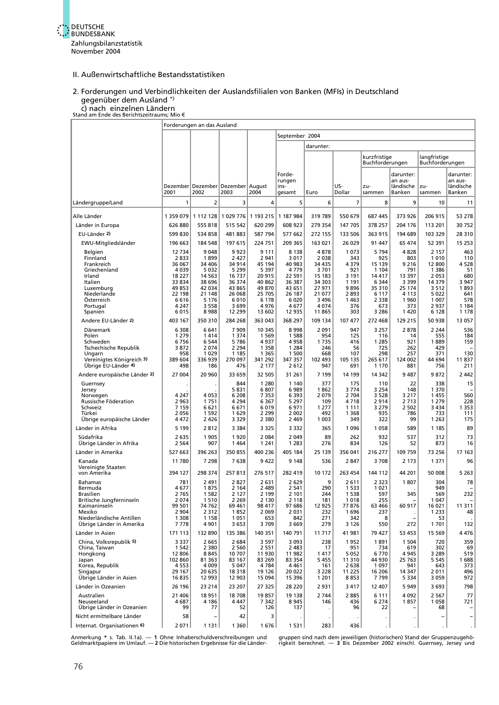

#### [2. Forderungen und Verbindlichkeiten der Auslandsfilialen von Banken \(MFIs\) in Deutschland](#page-18-0) gegenüber dem Ausland \*)

c) nach einzelnen Ländern Stand am Ende des Berichtszeitraums; Mio €

T

|                                                                                                                                                             |                                                                        | Forderungen an das Ausland                                                    |                                                                        |                                                                           |                                                                               |                                                        |                                                                       |                                                               |                                                              |                                                               |                                               |
|-------------------------------------------------------------------------------------------------------------------------------------------------------------|------------------------------------------------------------------------|-------------------------------------------------------------------------------|------------------------------------------------------------------------|---------------------------------------------------------------------------|-------------------------------------------------------------------------------|--------------------------------------------------------|-----------------------------------------------------------------------|---------------------------------------------------------------|--------------------------------------------------------------|---------------------------------------------------------------|-----------------------------------------------|
|                                                                                                                                                             |                                                                        |                                                                               |                                                                        |                                                                           | September 2004                                                                |                                                        |                                                                       |                                                               |                                                              |                                                               |                                               |
|                                                                                                                                                             |                                                                        |                                                                               |                                                                        |                                                                           |                                                                               | darunter:                                              |                                                                       |                                                               |                                                              |                                                               |                                               |
|                                                                                                                                                             |                                                                        |                                                                               |                                                                        |                                                                           |                                                                               |                                                        |                                                                       | kurzfristige<br>Buchforderungen                               |                                                              | langfristige<br>Buchforderungen                               |                                               |
|                                                                                                                                                             |                                                                        |                                                                               | Dezember   Dezember   Dezember   August                                |                                                                           | Forde-<br>rungen<br>ins-                                                      |                                                        | US-                                                                   | zu-                                                           | darunter:<br>an aus-<br>ländische                            | zu-                                                           | darunter:<br>an aus-<br>ländische             |
|                                                                                                                                                             | 2001                                                                   | 2002                                                                          | 2003                                                                   | 2004                                                                      | gesamt                                                                        | Euro                                                   | Dollar                                                                | sammen                                                        | Banken                                                       | sammen                                                        | Banken                                        |
| Ländergruppe/Land                                                                                                                                           | $\mathbf{1}$                                                           | $\overline{2}$                                                                | 3                                                                      | $\overline{4}$                                                            | 5                                                                             | 6                                                      | $\overline{7}$                                                        | 8                                                             | 9                                                            | 10                                                            | 11                                            |
| Alle Länder                                                                                                                                                 | 1 359 079                                                              | 1 1 1 2 1 2 8                                                                 | 1 029 776                                                              | 1 193 215                                                                 | 1 187 984                                                                     | 319 789                                                | 550 679                                                               | 687 445                                                       | 373 926                                                      | 206 915                                                       | 53 278                                        |
| Länder in Europa                                                                                                                                            | 626880                                                                 | 555 818                                                                       | 515 542                                                                | 620 299                                                                   | 608 923                                                                       | 279 354                                                | 147 705                                                               | 378 257                                                       | 204 176                                                      | 113 201                                                       | 30752                                         |
| EU-Länder 2)                                                                                                                                                | 599 830                                                                | 534 858                                                                       | 481883                                                                 | 587 794                                                                   | 577 662                                                                       | 272 155                                                | 133 506                                                               | 363 915                                                       | 194 689                                                      | 103 329                                                       | 28 310                                        |
| EWU-Mitgliedsländer                                                                                                                                         | 196 663                                                                | 184 548                                                                       | 197 615                                                                | 224 751                                                                   | 209 365                                                                       | 163 021                                                | 26 029                                                                | 91 447                                                        | 65 474                                                       | 52 391                                                        | 15 2 5 3                                      |
| Belgien<br>Finnland<br>Frankreich<br>Griechenland<br>Irland<br>Italien                                                                                      | 12734<br>2833<br>36 067<br>4 0 3 9<br>18 227<br>33 834                 | 9 0 4 8<br>1899<br>34 406<br>5 0 3 2<br>14 5 63<br>38 696                     | 9923<br>2 4 2 7<br>34 914<br>5 2 9 9<br>16 737<br>36 374               | 9 1 1 1<br>2 9 4 1<br>45 194<br>5 3 9 7<br>20 915<br>40 862               | 8 1 3 8<br>3 0 1 7<br>40 983<br>4779<br>22 591<br>36 387                      | 4878<br>2 0 3 8<br>34 435<br>3701<br>15 183<br>34 303  | 1 0 7 3<br>343<br>4 3 7 9<br>921<br>3 1 9 1<br>1 1 9 1                | 5794<br>925<br>15 139<br>1 1 0 4<br>14 4 17<br>6 3 4 4        | 4828<br>803<br>9 2 1 6<br>791<br>13 397<br>3 3 9 9           | 2 1 5 7<br>1 0 1 0<br>12 800<br>1 3 8 6<br>2 0 5 3<br>14 379  | 463<br>110<br>4528<br>51<br>680<br>3 947      |
| Luxemburg<br>Niederlande<br>Österreich<br>Portugal<br>Spanien                                                                                               | 49853<br>22 198<br>6616<br>4 2 4 7<br>6015                             | 42 034<br>21 148<br>5 1 7 6<br>3 5 5 8<br>8988                                | 43 865<br>26 068<br>6010<br>3699<br>12 299                             | 49 870<br>25 705<br>6 1 7 8<br>4976<br>13 602                             | 43 651<br>26 187<br>6 0 2 0<br>4677<br>12 935                                 | 27 971<br>21 077<br>3 4 9 6<br>4 0 7 4<br>11865        | 9896<br>2893<br>1 4 6 3<br>376<br>303                                 | 35 310<br>6 1 1 7<br>2 3 3 8<br>673<br>3 2 8 6                | 25 174<br>4 1 1 3<br>1960<br>373<br>1420                     | 3 5 1 2<br>5 0 2 2<br>1 0 0 7<br>2 9 3 7<br>6 1 2 8           | 1893<br>641<br>578<br>1 1 8 4<br>1 1 7 8      |
| Andere EU-Länder 2)                                                                                                                                         | 403 167                                                                | 350 310                                                                       | 284 268                                                                | 363 043                                                                   | 368 297                                                                       | 109 134                                                | 107 477                                                               | 272 468                                                       | 129 215                                                      | 50 938                                                        | 13 057                                        |
| Dänemark<br>Polen<br>Schweden<br>Tschechische Republik<br>Ungarn<br>Vereinigtes Königreich 3)<br>Übrige EU-Länder 4)                                        | 6 3 0 8<br>1 2 7 9<br>6756<br>3872<br>958<br>389 604<br>498            | 6 6 4 1<br>1414<br>6 5 4 4<br>2074<br>1 0 2 9<br>336 939<br>186               | 7 9 0 9<br>1 3 7 4<br>5786<br>2 2 9 4<br>1 1 8 5<br>270 097<br>476     | 10 345<br>1 5 6 9<br>4937<br>1 3 5 8<br>1 3 6 5<br>341 292<br>2 1 7 7     | 8998<br>1588<br>4958<br>1 2 8 4<br>1 500<br>347 357<br>2612                   | 2 0 9 1<br>954<br>1735<br>246<br>668<br>102 493<br>947 | 947<br>125<br>416<br>56<br>107<br>105 135<br>691                      | 3 2 5 7<br>116<br>1 2 8 5<br>725<br>298<br>265 617<br>1 1 7 0 | 2878<br>14<br>921<br>262<br>257<br>124 002<br>881            | 2 2 4 4<br>555<br>1889<br>429<br>371<br>44 694<br>756         | 536<br>184<br>159<br>130<br>11837<br>211      |
| Andere europäische Länder 2)                                                                                                                                | 27 004                                                                 | 20 960                                                                        | 33 659                                                                 | 32 505                                                                    | 31 261                                                                        | 7 1 9 9                                                | 14 199                                                                | 14 342                                                        | 9 4 8 7                                                      | 9872                                                          | 2 4 4 2                                       |
| Guernsey<br>Jersey<br>Norwegen<br>Russische Föderation<br>Schweiz<br>Türkei<br>Übrige europäische Länder                                                    | 4 2 4 7<br>2 9 6 3<br>7 1 5 9<br>2056<br>4472                          | 4 0 5 3<br>1751<br>6621<br>1 5 9 2<br>2 4 2 6                                 | 844<br>5831<br>6 2 0 8<br>4 2 9 4<br>6671<br>1629<br>3 3 2 9           | 1 2 8 0<br>6807<br>7 3 5 3<br>6 3 6 7<br>6019<br>2 2 9 9<br>2 3 8 0       | 1 1 4 0<br>6989<br>6 3 9 3<br>5 2 9 7<br>6971<br>2 0 0 2<br>2 4 6 9           | 377<br>1862<br>2079<br>109<br>1 277<br>492<br>1 0 0 3  | 175<br>3774<br>2 7 0 4<br>4718<br>1 1 1 1<br>1 3 6 8<br>349           | 110<br>3 2 5 4<br>3 5 2 8<br>2914<br>3 2 7 9<br>935<br>322    | 22<br>148<br>3 2 1 7<br>2713<br>2 5 0 2<br>786<br>99         | 338<br>1 370<br>1455<br>1 2 7 9<br>3 4 3 4<br>733<br>1 2 6 3  | 15<br>560<br>228<br>1 3 5 3<br>111<br>175     |
| Länder in Afrika                                                                                                                                            | 5 1 9 9                                                                | 2812                                                                          | 3 3 8 4                                                                | 3 3 2 5                                                                   | 3 3 3 2                                                                       | 365                                                    | 1 0 9 6                                                               | 1058                                                          | 589                                                          | 1 1 8 5                                                       | 89                                            |
| Südafrika<br>Ubrige Länder in Afrika                                                                                                                        | 2 6 3 5<br>2 5 6 4                                                     | 1 9 0 5<br>907                                                                | 1920<br>1464                                                           | 2 0 8 4<br>1 2 4 1                                                        | 2 0 4 9<br>1 2 8 3                                                            | 89<br>276                                              | 262<br>834                                                            | 932<br>126                                                    | 537<br>52                                                    | 312<br>873                                                    | 73<br>16                                      |
| Länder in Amerika                                                                                                                                           | 527 663                                                                | 396 263                                                                       | 350 855                                                                | 400 236                                                                   | 405 184                                                                       | 25 139                                                 | 356 041                                                               | 216 277                                                       | 109 759                                                      | 73 256                                                        | 17 163                                        |
| Kanada<br>Vereinigte Staaten                                                                                                                                | 11 780                                                                 | 7 2 9 8                                                                       | 7638                                                                   | 9422                                                                      | 9 1 4 8                                                                       | 536                                                    | 2 8 4 7                                                               | 3708                                                          | 2 1 7 3                                                      | 1 3 7 1                                                       | 96                                            |
| von Amerika                                                                                                                                                 | 394 127                                                                | 298 374                                                                       | 257813                                                                 | 276 517                                                                   | 282 419                                                                       | 10 172                                                 | 263 454                                                               | 144 112                                                       | 44 201                                                       | 50 008                                                        | 5 2 6 3                                       |
| <b>Bahamas</b><br>Bermuda<br><b>Brasilien</b><br>Britische Jungferninseln<br>Kaimaninseln<br>Mexiko<br>Niederländische Antillen<br>Übrige Länder in Amerika | 781<br>4677<br>2765<br>2 U / 4<br>99 501<br>2 9 0 4<br>1 3 0 8<br>7778 | 2 4 9 1<br>1875<br>1 5 8 2<br>1510<br>74 762<br>2 3 1 2<br>1 1 5 8<br>4 9 0 1 | 2827<br>2 1 6 4<br>2 1 2 7<br>2 269<br>69 461<br>1852<br>1051<br>3653  | 2631<br>2 4 8 9<br>2 1 9 9<br>2 1 3 0<br>98 417<br>2 0 6 9<br>653<br>3709 | 2 6 2 9<br>2 5 4 1<br>2 1 0 1<br>2 118<br>97 686<br>2 0 3 1<br>842<br>3 6 6 9 | 9<br>290<br>244<br>181<br>12 925<br>232<br>271<br>279  | 2611<br>1 5 3 3<br>1 5 3 8<br>1018<br>77876<br>1696<br>342<br>3 1 2 6 | 2 3 2 3<br>1 0 2 1<br>597<br>255<br>63 466<br>237<br>8<br>550 | 1807<br>345<br>60 917<br>272                                 | 304<br>949<br>569<br>1047<br>16 021<br>1 2 3 3<br>53<br>1701  | 78<br>232<br>11 311<br>48<br>132              |
| Länder in Asien                                                                                                                                             | 171 113                                                                | 132 890                                                                       | 135 386                                                                | 140 351                                                                   | 140 791                                                                       | 11 7 17                                                | 41 981                                                                | 79 427                                                        | 53 453                                                       | 15 5 69                                                       | 4 476                                         |
| China, Volksrepublik 5)<br>China, Taiwan<br>Hongkong<br>Japan<br>Korea, Republik<br>Singapur<br>Übrige Länder in Asien                                      | 3 3 3 7<br>1 5 4 2<br>12 806<br>102 860<br>4 5 5 3<br>29 167<br>16835  | 2 6 6 5<br>2 3 8 0<br>8845<br>81 363<br>4 0 0 9<br>20 635<br>12 993           | 2 6 8 4<br>2 5 6 0<br>10 707<br>83 167<br>5 0 4 7<br>18 3 18<br>12 903 | 3 5 9 7<br>2 5 5 1<br>11 930<br>83 269<br>4784<br>19 126<br>15 0 94       | 3 0 9 3<br>2 4 8 3<br>11 982<br>83 354<br>4 4 6 1<br>20 022<br>15 3 96        | 238<br>17<br>1417<br>5455<br>161<br>3 2 2 8<br>1 2 0 1 | 1952<br>951<br>5 0 5 2<br>11 310<br>2 6 3 8<br>11 2 2 5<br>8853       | 1891<br>734<br>6770<br>44 930<br>1 0 9 7<br>16 206<br>7799    | 1 5 0 4<br>619<br>4945<br>25 763<br>941<br>14 347<br>5 3 3 4 | 720<br>302<br>3 2 8 9<br>5 5 4 5<br>643<br>2 0 1 1<br>3 0 5 9 | 359<br>69<br>519<br>1688<br>373<br>496<br>972 |
| Länder in Ozeanien                                                                                                                                          | 26 196                                                                 | 23 214                                                                        | 23 207                                                                 | 27 325                                                                    | 28 2 20                                                                       | 2931                                                   | 3417                                                                  | 12 407                                                        | 5949                                                         | 3 6 9 3                                                       | 798                                           |
| Australien<br>Neuseeland<br>Ubrige Länder in Ozeanien                                                                                                       | 21 40 6<br>4687<br>99                                                  | 18 9 51<br>4 1 8 6<br>77                                                      | 18708<br>4447<br>52                                                    | 19857<br>7 3 4 2<br>126                                                   | 19 138<br>8 9 4 5<br>137                                                      | 2 7 4 4<br>146                                         | 2885<br>436<br>96                                                     | 6 1 1 1<br>6 2 7 4<br>22                                      | 4 0 9 2<br>1857<br>-                                         | 2 5 6 7<br>1 0 5 8<br>68                                      | 77<br>721<br>-                                |
| Nicht ermittelbare Länder                                                                                                                                   | 58                                                                     |                                                                               | 42                                                                     | 3                                                                         |                                                                               |                                                        |                                                                       |                                                               |                                                              |                                                               |                                               |
| Internat. Organisationen 6)                                                                                                                                 | 2071                                                                   | 1131                                                                          | 1360                                                                   | 1676                                                                      | 1531                                                                          | 283                                                    | 436                                                                   |                                                               |                                                              |                                                               |                                               |

Anmerkung \* s. Tab. II.1a). — 1 Ohne Inhaberschuldverschreibungen und yruppen sind nach dem jeweiligen (historischen) Stand der Gruppenzugehö-<br>Geldmarktpapiere im Umlauf. — 2 Die historischen Ergebnisse für die Länder- vig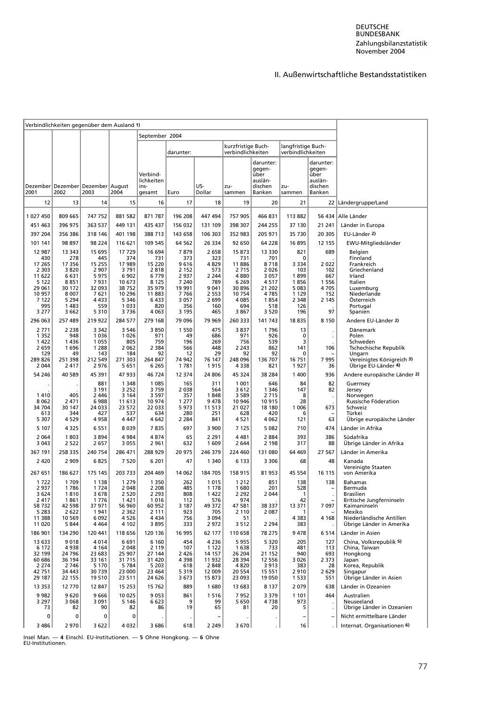|                                                                               | Verbindlichkeiten gegenüber dem Ausland 1)                          |                                                                         |                                                                               |                                                                               |                                                             |                                                                    |                                                                         |                                                                    |                                                         |                                                             |                                                                                                                                                             |
|-------------------------------------------------------------------------------|---------------------------------------------------------------------|-------------------------------------------------------------------------|-------------------------------------------------------------------------------|-------------------------------------------------------------------------------|-------------------------------------------------------------|--------------------------------------------------------------------|-------------------------------------------------------------------------|--------------------------------------------------------------------|---------------------------------------------------------|-------------------------------------------------------------|-------------------------------------------------------------------------------------------------------------------------------------------------------------|
|                                                                               |                                                                     |                                                                         |                                                                               | September 2004                                                                |                                                             |                                                                    |                                                                         |                                                                    |                                                         |                                                             |                                                                                                                                                             |
|                                                                               |                                                                     |                                                                         |                                                                               |                                                                               | darunter:                                                   |                                                                    | kurzfristige Buch-<br>verbindlichkeiten                                 |                                                                    | langfristige Buch-<br>verbindlichkeiten                 |                                                             |                                                                                                                                                             |
| 2001                                                                          | Dezember   Dezember   Dezember   August<br>2002                     | 2003                                                                    | 2004                                                                          | Verbind-<br>lichkeiten<br>ins-<br>gesamt                                      | Euro                                                        | US-<br>Dollar                                                      | zu-<br>sammen                                                           | darunter:<br>gegen-<br>über<br>auslän-<br>dischen<br>Banken        | zu-<br>sammen                                           | darunter:<br>gegen-<br>über<br>auslän-<br>dischen<br>Banken |                                                                                                                                                             |
| 12                                                                            | 13                                                                  | 14                                                                      | 15                                                                            | 16                                                                            | 17                                                          | 18                                                                 | 19                                                                      | 20                                                                 | 21                                                      |                                                             | 22 Ländergruppe/Land                                                                                                                                        |
| 1 027 450                                                                     | 809 665                                                             | 747 752                                                                 | 881 582                                                                       | 871787                                                                        | 196 208                                                     | 447 494                                                            | 757 905                                                                 | 466 831                                                            | 113 882                                                 |                                                             | 56 434   Alle Länder                                                                                                                                        |
| 451 463<br>397 204                                                            | 396 975                                                             | 363 537                                                                 | 449 131                                                                       | 435 437                                                                       | 156 032                                                     | 131 109                                                            | 398 307                                                                 | 244 255<br>205 971                                                 | 37 130                                                  | 21 241                                                      | Länder in Europa                                                                                                                                            |
| 101 141                                                                       | 356 386<br>98 897                                                   | 318 146<br>98 224                                                       | 401 198<br>116 621                                                            | 388713<br>109 545                                                             | 143 658<br>64 562                                           | 106 303<br>26 334                                                  | 352 983<br>92 650                                                       | 64 228                                                             | 35 730<br>16 895                                        | 20 305<br>12 155                                            | EU-Länder 2)<br>EWU-Mitgliedsländer                                                                                                                         |
| 12 987<br>430<br>17 265<br>2 3 0 3<br>11 622<br>5 1 2 2                       | 13 343<br>278<br>17 356<br>3820<br>6 6 3 1<br>8851                  | 15 695<br>445<br>15 255<br>2 9 0 7<br>5975<br>7931                      | 17729<br>374<br>17 989<br>3791<br>6 9 0 2<br>10 673                           | 16 694<br>731<br>15 2 20<br>2818<br>6779<br>8 1 2 5                           | 7879<br>373<br>9616<br>2 1 5 2<br>2 9 3 7<br>7 240          | 2 6 5 8<br>323<br>4829<br>573<br>2 2 4 4<br>789                    | 15 873<br>731<br>11886<br>2 7 1 5<br>4880<br>6 2 6 9                    | 13 3 3 0<br>701<br>8718<br>2026<br>3 0 5 7<br>4517                 | 821<br>0<br>3 3 3 4<br>103<br>1899<br>1856              | 689<br>2022<br>102<br>667<br>1 5 5 6                        | Belgien<br>Finnland<br>Frankreich<br>Griechenland<br>Irland<br>Italien                                                                                      |
| 29 061<br>10 957<br>7 1 2 2<br>995<br>3 2 7 7                                 | 30 172<br>8 0 0 7<br>5 2 9 4<br>1483<br>3 6 6 2                     | 32 093<br>7621<br>4 4 3 3<br>559<br>5 3 1 0                             | 38752<br>10 296<br>5 3 4 6<br>1 0 3 3<br>3736                                 | 35 979<br>11883<br>6433<br>820<br>4 0 6 3                                     | 19 991<br>7766<br>3 0 5 7<br>356<br>3 1 9 5                 | 9 0 4 1<br>2 5 5 3<br>2 6 9 9<br>160<br>465                        | 30 896<br>10 754<br>4 0 8 5<br>694<br>3867                              | 21 202<br>4785<br>1854<br>518<br>3 5 2 0                           | 5 0 8 3<br>1 1 2 9<br>2 3 4 8<br>126<br>196             | 4705<br>152<br>2 1 4 5<br>97                                | Luxemburg<br>Niederlande<br>Österreich<br>Portugal<br>Spanien                                                                                               |
| 296 063                                                                       | 257 489                                                             | 219 922                                                                 | 284 577                                                                       | 279 168                                                                       | 79 096                                                      | 79 969                                                             | 260 333                                                                 | 141 743                                                            | 18835                                                   | 8 1 5 0                                                     | Andere EU-Länder 2)                                                                                                                                         |
| 2 7 7 1<br>1 3 5 2<br>1 4 2 2<br>2 6 5 9<br>129<br>289 826                    | 2 2 3 8<br>948<br>1436<br>1696<br>49<br>251 398                     | 3 3 4 2<br>1 0 3 6<br>1 0 5 5<br>1 2 8 8<br>143<br>212 549              | 3 5 4 6<br>1 0 2 6<br>805<br>2 0 6 2<br>184<br>271 303                        | 3850<br>971<br>759<br>2 3 8 4<br>92<br>264 847                                | 1 5 5 0<br>49<br>196<br>566<br>12<br>74 942                 | 475<br>686<br>269<br>448<br>29<br>76 147                           | 3837<br>971<br>756<br>2 2 4 3<br>92<br>248 096                          | 1796<br>926<br>539<br>862<br>92<br>136 707                         | 13<br>0<br>3<br>141<br>$\Omega$<br>16 751               | $\cdot$<br>106<br>7995                                      | Dänemark<br>Polen<br>Schweden<br><b>Tschechische Republik</b><br>Ungarn<br>Vereinigtes Königreich 3)                                                        |
| 2 0 4 4<br>54 246                                                             | 2417<br>40 589                                                      | 2976<br>45 391                                                          | 5651<br>47 933                                                                | 6 2 6 5<br>46 724                                                             | 1781<br>12 374                                              | 1915<br>24 806                                                     | 4 3 3 8<br>45 324                                                       | 821<br>38 284                                                      | 1927<br>1 400                                           | 36<br>936                                                   | Übrige EU-Länder 4)                                                                                                                                         |
| 1410<br>8 0 6 2                                                               | 405<br>2 4 7 1                                                      | 881<br>3 1 9 1<br>2 4 4 6<br>6988                                       | 1 3 4 8<br>3 2 5 2<br>3 1 6 4<br>11 613                                       | 1 0 8 5<br>3759<br>3 5 9 7<br>10 974                                          | 165<br>2 0 3 8<br>357<br>1 2 7 7                            | 311<br>564<br>1848<br>9478                                         | 1 0 0 1<br>3612<br>3 5 8 9<br>10 946                                    | 646<br>1 3 4 6<br>2715<br>10915                                    | 84<br>147<br>8<br>28                                    | 82<br>82                                                    | Andere europäische Länder 2)<br>Guernsey<br>Jersey<br>Norwegen<br>Russische Föderation                                                                      |
| 34 704<br>613<br>5 3 0 7                                                      | 30 147<br>344<br>4529                                               | 24 033<br>427<br>4958                                                   | 23 572<br>537<br>4 4 4 7                                                      | 22 033<br>634<br>4642                                                         | 5973<br>280<br>2 2 8 4                                      | 11 513<br>251<br>841                                               | 21 027<br>628<br>4521                                                   | 18 180<br>420<br>4 0 6 2                                           | 1 0 0 6<br>6<br>121                                     | 673<br>63                                                   | Schweiz<br>Türkei<br>Übrige europäische Länder                                                                                                              |
| 5 107<br>2 0 6 4                                                              | 4 3 2 5<br>1803                                                     | 6 5 5 1<br>3894                                                         | 8 0 3 9<br>4984                                                               | 7835<br>4874                                                                  | 697<br>65                                                   | 3 900<br>2 2 9 1                                                   | 7 1 2 5<br>4 4 8 1                                                      | 5 0 8 2<br>2884                                                    | 710<br>393                                              | 474<br>386                                                  | Länder in Afrika<br>Südafrika                                                                                                                               |
| 3 0 4 3                                                                       | 2 5 2 2                                                             | 2 6 5 7                                                                 | 3 0 5 5                                                                       | 2961                                                                          | 632                                                         | 1 609                                                              | 2 6 4 4                                                                 | 2 1 9 8                                                            | 317                                                     | 88                                                          | Übrige Länder in Afrika                                                                                                                                     |
| 367 191<br>2 4 2 0                                                            | 258 335<br>2 9 0 9                                                  | 240 754<br>6825                                                         | 286 471<br>7 5 20                                                             | 288 929<br>6 2 0 1                                                            | 20 975<br>47                                                | 246 379<br>1 3 4 0                                                 | 224 460<br>6 1 3 3                                                      | 131 080<br>3 3 0 6                                                 | 64 469<br>68                                            | 27 567<br>48                                                | Länder in Amerika<br>Kanada                                                                                                                                 |
| 267 651                                                                       | 186 627                                                             | 175 145                                                                 | 203 733                                                                       | 204 469                                                                       | 14 062                                                      | 184 705                                                            | 158 915                                                                 | 81953                                                              | 45 554                                                  | 16 115                                                      | Vereinigte Staaten<br>von Amerika                                                                                                                           |
| 1722<br>2 9 3 7<br>3 624<br>2 4 1 7<br>58 732<br>5 2 8 3<br>11 388<br>11 0 20 | 1709<br>1786<br>1810<br>1861<br>42 598<br>2 6 2 2<br>10 569<br>5844 | 1 1 3 8<br>1724<br>3678<br>1776<br>37 971<br>1941<br>6 0 9 2<br>4 4 6 4 | 1 2 7 9<br>2 0 4 8<br>2 5 2 0<br>1421<br>56 960<br>2 3 6 2<br>4526<br>4 1 0 2 | 1 3 5 0<br>2 2 0 8<br>2 2 9 3<br>1016<br>60 952<br>2 1 1 1<br>4 4 3 4<br>3895 | 262<br>485<br>808<br>112<br>3 187<br>923<br>756<br>333      | 1015<br>1 1 7 8<br>1422<br>576<br>49 372<br>705<br>3 0 9 4<br>2972 | 1 2 1 2<br>1680<br>2 2 9 2<br>974<br>47 581<br>2 1 1 0<br>51<br>3 5 1 2 | 851<br>201<br>2044<br>38 337<br>2 0 8 7<br>2 2 9 4                 | 138<br>528<br>-1<br>42<br>13 371<br>1<br>4 3 8 3<br>383 | 138<br><b>-</b><br>$\cdot$<br>7097<br>4 1 6 8               | <b>Bahamas</b><br>Bermuda<br><b>Brasilien</b><br>Britische Jungferninseln<br>Kaimaninseln<br>Mexiko<br>Niederländische Antillen<br>Übrige Länder in Amerika |
| 186 901                                                                       | 134 290                                                             | 120 441                                                                 | 118 656                                                                       | 120 136                                                                       | 16 995                                                      | 62 177                                                             | 110 658                                                                 | 78 275                                                             | 9478                                                    | 6514                                                        | Länder in Asien                                                                                                                                             |
| 13 633<br>6 1 7 2<br>32 199<br>60 686<br>2 2 7 4<br>42 751<br>29 187          | 9018<br>4938<br>24 796<br>36 194<br>2746<br>34 443<br>22 155        | 4014<br>4 1 6 4<br>23 683<br>33 161<br>5 1 7 0<br>30 739<br>19 510      | 6691<br>2 0 4 8<br>25 907<br>31715<br>5784<br>23 000<br>23 511                | 6 1 6 0<br>2 1 1 9<br>27 144<br>31 4 20<br>5 2 0 3<br>23 4 64<br>24 626       | 454<br>107<br>2 4 2 6<br>4 3 9 8<br>618<br>5 3 1 9<br>3 673 | 4 2 3 6<br>1 1 2 2<br>14 157<br>11932<br>2848<br>12 009<br>15873   | 5955<br>1638<br>26 204<br>28 394<br>4 8 2 0<br>20 554<br>23 093         | 5 3 2 0<br>733<br>21 152<br>12 5 5 6<br>3913<br>15 5 5 1<br>19 050 | 205<br>481<br>940<br>3 0 2 6<br>383<br>2910<br>1 5 3 3  | 127<br>113<br>693<br>2 3 7 3<br>28<br>2629<br>551           | China, Volksrepublik 5)<br>China, Taiwan<br>Hongkong<br>Japan<br>Korea, Republik<br>Singapur<br>Ubrige Länder in Asien                                      |
| 13 3 5 3                                                                      | 12 770                                                              | 12 847                                                                  | 15 2 5 3                                                                      | 15 762                                                                        | 889                                                         | 1680                                                               | 13 683                                                                  | 8 1 3 7                                                            | 2 0 7 9                                                 | 638                                                         | Länder in Ozeanien                                                                                                                                          |
| 9982<br>3 2 9 7<br>73                                                         | 9620<br>3 0 6 8<br>82                                               | 9666<br>3 0 9 1<br>90                                                   | 10 025<br>5 1 4 6<br>82                                                       | 9053<br>6 6 23<br>86                                                          | 861<br>9<br>19                                              | 1516<br>99<br>65                                                   | 7952<br>5 6 5 0<br>81                                                   | 3 3 7 9<br>4738<br>20                                              | 1 1 0 1<br>973<br>5                                     | 464                                                         | Australien<br>Neuseeland<br>Ubrige Länder in Ozeanien                                                                                                       |
| 0<br>3 4 8 6                                                                  | 0<br>2970                                                           | 0<br>3622                                                               | 0<br>4 0 3 2                                                                  | 3686                                                                          | 618                                                         | 2249                                                               | 3 670                                                                   |                                                                    | 16                                                      |                                                             | Nicht ermittelbare Länder<br>Internat. Organisationen 6)                                                                                                    |

Insel Man. — **4** Einschl. EU-Institutionen. — **5** Ohne Hongkong. — **6** Ohne EU-Institutionen.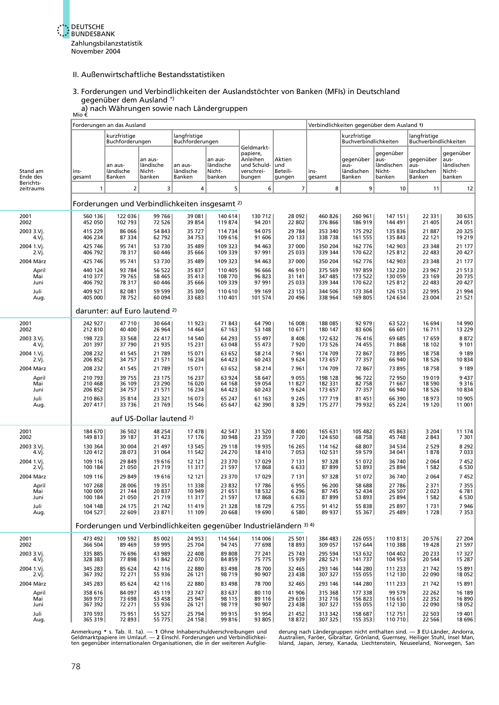

#### [3. Forderungen und Verbindlichkeiten der Auslandstöchter von Banken \(MFIs\) in Deutschland](#page-19-0) gegenüber dem Ausland<sup>\*</sup>

# a) nach Währungen sowie nach Ländergruppen<br><sub>Mio€</sub>

|                        |                | Forderungen an das Ausland                                         |                                          |                                 |                                          |                                                                           |                                     |                | Verbindlichkeiten gegenüber dem Ausland 1) |                                                     |                                           |                                                     |
|------------------------|----------------|--------------------------------------------------------------------|------------------------------------------|---------------------------------|------------------------------------------|---------------------------------------------------------------------------|-------------------------------------|----------------|--------------------------------------------|-----------------------------------------------------|-------------------------------------------|-----------------------------------------------------|
|                        |                | kurzfristige<br>Buchforderungen                                    |                                          | langfristige<br>Buchforderungen |                                          |                                                                           |                                     |                | kurzfristige<br>Buchverbindlichkeiten      |                                                     | langfristige<br>Buchverbindlichkeiten     |                                                     |
| Stand am<br>Ende des   | ins-<br>gesamt | an aus-<br>ländische<br>Banken                                     | an aus-<br>ländische<br>Nicht-<br>banken | an aus-<br>ländische<br>Banken  | an aus-<br>ländische<br>Nicht-<br>banken | Geldmarkt-<br>papiere,<br>Anleihen<br>und Schuld-<br>verschrei-<br>bungen | Aktien<br>und<br>Beteili-<br>gungen | ins-<br>gesamt | gegenüber<br>aus-<br>ländischen<br>Banken  | gegenüber<br>aus-<br>ländischen<br>Nicht-<br>banken | gegenüber<br>aus-<br>ländischen<br>Banken | gegenüber<br>aus-<br>ländischen<br>Nicht-<br>banken |
| Berichts-<br>zeitraums | 1              | $\overline{2}$                                                     | 3                                        | 4                               | 5 <sup>1</sup>                           | 6                                                                         | $\overline{7}$                      | 8              | 9                                          | 10                                                  | 11                                        | 12                                                  |
|                        |                | Forderungen und Verbindlichkeiten insgesamt <sup>2)</sup>          |                                          |                                 |                                          |                                                                           |                                     |                |                                            |                                                     |                                           |                                                     |
| 2001                   | 560 136        | 122 036                                                            | 99 766                                   | 39 081                          | 140 614                                  | 130 712                                                                   | 28 092                              | 460 826        | 260 961                                    | 147 151                                             | 22 331                                    | 30 635                                              |
| 2002                   | 452 050        | 102 793                                                            | 72 526                                   | 39 854                          | 119 874                                  | 94 201                                                                    | 22 802                              | 376 866        | 186 919                                    | 144 491                                             | 21 405                                    | 24 051                                              |
| 2003 3.Vj.             | 415 229        | 86 066                                                             | 54 843                                   | 35 7 27                         | 114 734                                  | 94 075                                                                    | 29 7 84                             | 353 340        | 175 292                                    | 135 836                                             | 21 887                                    | 20 325                                              |
| 4.Vj.                  | 406 234        | 87 334                                                             | 62 792                                   | 34 7 53                         | 109 616                                  | 91 606                                                                    | 20 133                              | 338 738        | 161 555                                    | 135 843                                             | 22 121                                    | 19 219                                              |
| 2004 1.Vj.             | 425 746        | 95 741                                                             | 53 730                                   | 35 489                          | 109 323                                  | 94 4 63                                                                   | 37 000                              | 350 204        | 162 776                                    | 142 903                                             | 23 348                                    | 21 177                                              |
| 2.Vj.                  | 406 792        | 78 317                                                             | 60 44 6                                  | 35 666                          | 109 339                                  | 97 991                                                                    | 25 033                              | 339 344        | 170 622                                    | 125 812                                             | 22 483                                    | 20 427                                              |
| 2004 März              | 425 746        | 95 741                                                             | 53 730                                   | 35 489                          | 109 323                                  | 94 4 63                                                                   | 37 000                              | 350 204        | 162 776                                    | 142 903                                             | 23 348                                    | 21 177                                              |
| April                  | 440 124        | 93 784                                                             | 56 522                                   | 35 837                          | 110 405                                  | 96 666                                                                    | 46 910                              | 375 569        | 197 859                                    | 132 230                                             | 23 967                                    | 21 5 13                                             |
| Mai                    | 410 377        | 79 765                                                             | 58 465                                   | 35 413                          | 108 770                                  | 96 823                                                                    | 31 141                              | 347 485        | 173 522                                    | 130 059                                             | 23 169                                    | 20735                                               |
| Juni                   | 406 792        | 78 317                                                             | 60 44 6                                  | 35 666                          | 109 339                                  | 97 991                                                                    | 25 033                              | 339 344        | 170 622                                    | 125 812                                             | 22 483                                    | 20 427                                              |
| Juli                   | 409 921        | 82 081                                                             | 59 599                                   | 35 309                          | 110 610                                  | 99 169                                                                    | 23 153                              | 344 506        | 173 364                                    | 126 153                                             | 22 995                                    | 21 994                                              |
| Aug.                   | 405 000        | 78752                                                              | 60 094                                   | 33 683                          | 110 401                                  | 101 574                                                                   | 20 49 6                             | 338 964        | 169 805                                    | 124 634                                             | 23 004                                    | 21 5 21                                             |
|                        |                | darunter: auf Euro lautend <sup>2)</sup>                           |                                          |                                 |                                          |                                                                           |                                     |                |                                            |                                                     |                                           |                                                     |
| 2001                   | 242 927        | 47710                                                              | 30 664                                   | 11923                           | 71843                                    | 64 790                                                                    | 16 008                              | 188 085        | 92 979                                     | 63 522                                              | 16 694                                    | 14 990                                              |
| 2002                   | 212810         | 40 400                                                             | 26 964                                   | 14 4 64                         | 67 163                                   | 53 148                                                                    | 10 671                              | 180 147        | 83 606                                     | 66 601                                              | 16 711                                    | 13 2 2 9                                            |
| 2003 3.Vj.             | 198723         | 33 568                                                             | 22 417                                   | 14 540                          | 64 293                                   | 55 497                                                                    | 8 4 0 8                             | 172 632        | 76 416                                     | 69 685                                              | 17 659                                    | 8872                                                |
| 4.Vj.                  | 201 397        | 37 790                                                             | 21 935                                   | 15 2 31                         | 63 048                                   | 55 473                                                                    | 7920                                | 173 526        | 74 455                                     | 71868                                               | 18 102                                    | 9 1 0 1                                             |
| 2004 1.Vj.             | 208 232        | 41 545                                                             | 21 789                                   | 15 071                          | 63 652                                   | 58 214                                                                    | 7961                                | 174 709        | 72 867                                     | 73 895                                              | 18 758                                    | 9 1 8 9                                             |
| 2.Vj.                  | 206 852        | 34 7 5 7                                                           | 21 571                                   | 16 234                          | 64 423                                   | 60 243                                                                    | 9624                                | 173 657        | 77 357                                     | 66 940                                              | 18 5 26                                   | 10834                                               |
| 2004 März              | 208 232        | 41 545                                                             | 21 789                                   | 15 071                          | 63 652                                   | 58 214                                                                    | 7961                                | 174 709        | 72 867                                     | 73 895                                              | 18 758                                    | 9 1 8 9                                             |
| April                  | 210 793        | 39 755                                                             | 23 175                                   | 16 237                          | 63 924                                   | 58 647                                                                    | 9055                                | 198 128        | 96 722                                     | 72 950                                              | 19 0 19                                   | 9 4 3 7                                             |
| Mai                    | 210 468        | 36 109                                                             | 23 290                                   | 16 0 20                         | 64 168                                   | 59 054                                                                    | 11827                               | 182 331        | 82758                                      | 71 667                                              | 18 590                                    | 9 3 1 6                                             |
| Juni                   | 206 852        | 34 7 57                                                            | 21 571                                   | 16 2 34                         | 64 423                                   | 60 243                                                                    | 9624                                | 173 657        | 77 357                                     | 66 940                                              | 18 5 26                                   | 10834                                               |
| Juli                   | 210 863        | 35 814                                                             | 23 321                                   | 16 073                          | 65 247                                   | 61 163                                                                    | 9 2 4 5                             | 177 719        | 81 451                                     | 66 390                                              | 18 973                                    | 10 905                                              |
| Aug.                   | 207 417        | 33 736                                                             | 21 769                                   | 15 546                          | 65 647                                   | 62 390                                                                    | 8 3 2 9                             | 175 277        | 79 932                                     | 65 224                                              | 19 120                                    | 11 001                                              |
|                        |                |                                                                    | auf US-Dollar lautend <sup>2)</sup>      |                                 |                                          |                                                                           |                                     |                |                                            |                                                     |                                           |                                                     |
| 2001                   | 184 670        | 36 502                                                             | 48 254                                   | 17478                           | 42 547                                   | 31 520                                                                    | 8 4 0 0                             | 165 631        | 105 482                                    | 45 863                                              | 3 2 0 4                                   | 11 174                                              |
| 2002                   | 149 813        | 39 187                                                             | 31 423                                   | 17 17 6                         | 30 948                                   | 23 3 5 9                                                                  | 7720                                | 124 650        | 68758                                      | 45 748                                              | 2 8 4 3                                   | 7 3 0 1                                             |
| 2003 3.Vj.             | 130 364        | 30 004                                                             | 21 497                                   | 13 545                          | 29 118                                   | 19 9 35                                                                   | 16 265                              | 114 162        | 68 807                                     | 34 534                                              | 2 5 2 9                                   | 8 2 9 2                                             |
| 4.Vj.                  | 120 412        | 28 073                                                             | 31 064                                   | 11 542                          | 24 270                                   | 18 4 10                                                                   | 7053                                | 102 531        | 59 579                                     | 34 041                                              | 1878                                      | 7 0 3 3                                             |
| 2004 1.Vj.             | 109 116        | 29 849                                                             | 19 616                                   | 12 12 1                         | 23 370                                   | 17 029                                                                    | 7 1 3 1                             | 97 328         | 51 072                                     | 36 740                                              | 2 0 6 4                                   | 7452                                                |
| 2.Vj.                  | 100 184        | 21 050                                                             | 21 7 19                                  | 11 317                          | 21 597                                   | 17868                                                                     | 6633                                | 87 899         | 53 893                                     | 25 894                                              | 1 5 8 2                                   | 6 5 3 0                                             |
| 2004 März              | 109 116        | 29 849                                                             | 19 616                                   | 12 12 1                         | 23 370                                   | 17 029                                                                    | 7 1 3 1                             | 97 328         | 51 072                                     | 36 740                                              | 2 0 6 4                                   | 7452                                                |
| April                  | 107 268        | 28 006                                                             | 19 351                                   | 11 3 38                         | 23 832                                   | 17786                                                                     | 6955                                | 96 200         | 58 688                                     | 27 786                                              | 2 3 7 1                                   | 7 3 5 5                                             |
| Mai                    | 100 009        | 21744                                                              | 20 837                                   | 10 949                          | 21 651                                   | 18 5 32                                                                   | 6 2 9 6                             | 87 745         | 52 434                                     | 26 507                                              | 2 0 2 3                                   | 6781                                                |
| Juni                   | 100 184        | 21 050                                                             | 21 7 19                                  | 11 317                          | 21 597                                   | 17868                                                                     | 6633                                | 87 899         | 53 893                                     | 25 894                                              | 1 5 8 2                                   | 6 5 3 0                                             |
| Juli                   | 104 148        | 24 175                                                             | 21 742                                   | 11 4 19                         | 21 3 28                                  | 18729                                                                     | 6755                                | 91 412         | 55 838                                     | 25 897                                              | 1731                                      | 7946                                                |
| Aug.                   | 104 527        | 22 609                                                             | 23 871                                   | 11 109                          | 20 668                                   | 19 690                                                                    | 6580                                | 89 937         | 55 367                                     | 25 4 89                                             | 1728                                      | 7 3 5 3                                             |
|                        |                | Forderungen und Verbindlichkeiten gegenüber Industrieländern 3) 4) |                                          |                                 |                                          |                                                                           |                                     |                |                                            |                                                     |                                           |                                                     |
| 2001                   | 473 492        | 109 592                                                            | 85 002                                   | 24 953                          | 114 564                                  | 114 006                                                                   | 25 501                              | 384 483        | 226 055                                    | 110813                                              | 20 576                                    | 27 204                                              |
| 2002                   | 366 504        | 89 4 69                                                            | 59 995                                   | 25 704                          | 94 745                                   | 77 698                                                                    | 18893                               | 309 057        | 157 644                                    | 110 388                                             | 19 4 28                                   | 21 597                                              |
| 2003 3.Vj.             | 335 885        | 76 696                                                             | 43 989                                   | 22 408                          | 89 808                                   | 77 241                                                                    | 25 743                              | 295 594        | 153 632                                    | 104 402                                             | 20 233                                    | 17 327                                              |
| 4.Vj.                  | 328 383        | 77898                                                              | 51 842                                   | 22 070                          | 84 859                                   | 75 775                                                                    | 15 939                              | 282 521        | 141 737                                    | 104 953                                             | 20 544                                    | 15 287                                              |
| 2004 1.Vj.             | 345 283        | 85 624                                                             | 42 116                                   | 22 880                          | 83 498                                   | 78 700                                                                    | 32 465                              | 293 146        | 144 280                                    | 111 233                                             | 21 742                                    | 15 891                                              |
| 2.Vj.                  | 367 392        | 72 271                                                             | 55 936                                   | 26 121                          | 98 719                                   | 90 907                                                                    | 23 4 38                             | 307 327        | 155 055                                    | 112 130                                             | 22 090                                    | 18 0 52                                             |
| 2004 März              | 345 283        | 85 624                                                             | 42 116                                   | 22 880                          | 83 498                                   | 78 700                                                                    | 32 465                              | 293 146        | 144 280                                    | 111 233                                             | 21 742                                    | 15 891                                              |
| April                  | 358 616        | 84 097                                                             | 45 119                                   | 23 747                          | 83 637                                   | 80 110                                                                    | 41 906                              | 315 368        | 177 338                                    | 99 579                                              | 22 262                                    | 16 189                                              |
| Mai                    | 369 973        | 73 698                                                             | 53 458                                   | 25 947                          | 98 115                                   | 89 116                                                                    | 29 639                              | 312 716        | 156 823                                    | 116 651                                             | 22 3 52                                   | 16890                                               |
| Juni                   | 367 392        | 72 271                                                             | 55 936                                   | 26 121                          | 98 719                                   | 90 907                                                                    | 23 4 38                             | 307 327        | 155 055                                    | 112 130                                             | 22 090                                    | 18 0 52                                             |
| Juli                   | 370 593        | 75 951                                                             | 55 527                                   | 25 7 94                         | 99 915                                   | 91 954                                                                    | 21 4 52                             | 313 342        | 158 687                                    | 112 751                                             | 22 503                                    | 19 401                                              |
| Aug.                   | 365 319        | 72 893                                                             | 55 775                                   | 24 158                          | 99 816                                   | 93 805                                                                    | 18872                               | 307 325        | 155 353                                    | 110 710                                             | 22 5 66                                   | 18 6 96                                             |

Anmerkung \* s. Tab. II. 1a). — 1 Ohne Inhaberschuldverschreibungen und berung nach Ländergruppen nicht enthalten sind. — 3 EU-Länder, Andorra,<br>Geldmarktpapiere im Umlauf. — 2 Einschl. Forderungen und Verbindlichkei- – Aust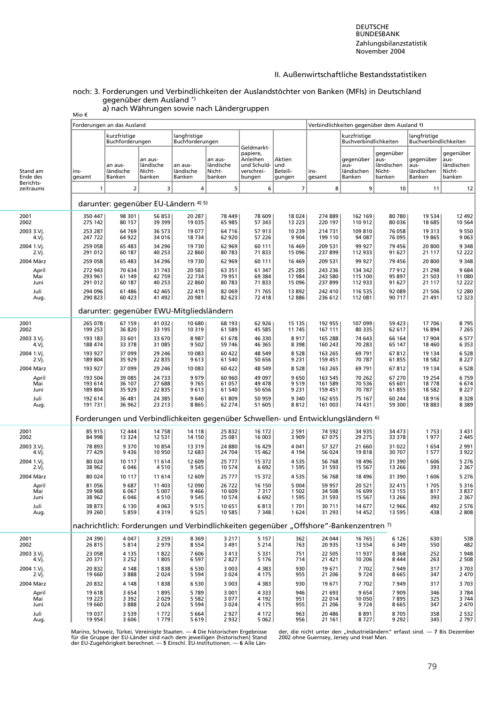### [noch: 3. Forderungen und Verbindlichkeiten der Auslandstöchter von Banken \(MFIs\) in Deutschland](#page-19-0) gegenüber dem Ausland \*)

|                        | a) nach Währungen sowie nach Ländergruppen<br>Mio € |                                 |                                                                                        |                                 |                                          |                                                                           |                                                |                  |                                           |                                                     |                                           |                                                     |
|------------------------|-----------------------------------------------------|---------------------------------|----------------------------------------------------------------------------------------|---------------------------------|------------------------------------------|---------------------------------------------------------------------------|------------------------------------------------|------------------|-------------------------------------------|-----------------------------------------------------|-------------------------------------------|-----------------------------------------------------|
|                        |                                                     | Forderungen an das Ausland      |                                                                                        |                                 |                                          |                                                                           |                                                |                  |                                           | Verbindlichkeiten gegenüber dem Ausland 1)          |                                           |                                                     |
|                        |                                                     | kurzfristige<br>Buchforderungen |                                                                                        | langfristige<br>Buchforderungen |                                          |                                                                           |                                                |                  | kurzfristige<br>Buchverbindlichkeiten     |                                                     | langfristige<br>Buchverbindlichkeiten     |                                                     |
| Stand am<br>Ende des   | ins-<br>gesamt                                      | an aus-<br>ländische<br>Banken  | an aus-<br>ländische<br>Nicht-<br>banken                                               | an aus-<br>ländische<br>Banken  | an aus-<br>ländische<br>Nicht-<br>banken | Geldmarkt-<br>papiere,<br>Anleihen<br>und Schuld-<br>verschrei-<br>bungen | Aktien<br>l und<br>Beteili-<br>gungen          | ins-<br>gesamt   | gegenüber<br>aus-<br>ländischen<br>Banken | gegenüber<br>aus-<br>ländischen<br>Nicht-<br>banken | gegenüber<br>aus-<br>ländischen<br>Banken | gegenüber<br>aus-<br>ländischen<br>Nicht-<br>banken |
| Berichts-<br>zeitraums | $\mathbf{1}$                                        | $\overline{2}$                  | 3                                                                                      | $\overline{4}$                  | 5                                        | 6                                                                         | $\overline{7}$                                 | 8                | 9                                         | 10                                                  | 11                                        | 12                                                  |
|                        |                                                     |                                 | darunter: gegenüber EU-Ländern 4) 5)                                                   |                                 |                                          |                                                                           |                                                |                  |                                           |                                                     |                                           |                                                     |
| 2001                   | 350 447                                             | 98 301                          | 56 853                                                                                 | 20 287                          | 78 449                                   | 78 609                                                                    | 18 0 24                                        | 274 889          | 162 169                                   | 80 780                                              | 19 534                                    | 12 492                                              |
| 2002                   | 275 142                                             | 80 157                          | 39 399                                                                                 | 19 0 35                         | 65 985                                   | 57 343                                                                    | 13 2 23                                        | 220 197          | 110 912                                   | 80 036                                              | 18 685                                    | 10 5 64                                             |
| 2003 3.Vj.             | 253 287                                             | 64 769                          | 36 573                                                                                 | 19 077                          | 64 716                                   | 57 913                                                                    | 10 239                                         | 214 731          | 109 810                                   | 76 058                                              | 19 313                                    | 9 5 5 0                                             |
| 4.Vj.                  | 247 722                                             | 64 922                          | 34 016                                                                                 | 18734                           | 62 920                                   | 57 226                                                                    | 9 9 0 4                                        | 199 110          | 94 087                                    | 76 095                                              | 19 865                                    | 9 0 63                                              |
| 2004 1.Vj.             | 259 058                                             | 65 483                          | 34 296                                                                                 | 19730                           | 62 969                                   | 60 111                                                                    | 16 4 69                                        | 209 531          | 99 927                                    | 79 456                                              | 20 800                                    | 9 3 4 8                                             |
| 2.Vj.                  | 291 012                                             | 60 187                          | 40 253                                                                                 | 22 860                          | 80 783                                   | 71833                                                                     | 15 0 96                                        | 237 899          | 112 933                                   | 91 627                                              | 21 117                                    | 12 2 2 2                                            |
| 2004 März              | 259 058                                             | 65 483                          | 34 296                                                                                 | 19730                           | 62 969                                   | 60 111                                                                    | 16 4 69                                        | 209 531          | 99 927                                    | 79 45 6                                             | 20 800                                    | 9 3 4 8                                             |
| April                  | 272 943                                             | 70 634                          | 31 743                                                                                 | 20 583                          | 63 351                                   | 61 347                                                                    | 25 285                                         | 243 236          | 134 342                                   | 77912                                               | 21 298                                    | 9684                                                |
| Mai                    | 293 961                                             | 61 149                          | 42 759                                                                                 | 22 7 34                         | 79 951                                   | 69 384                                                                    | 17 984                                         | 243 580          | 115 100                                   | 95 897                                              | 21 503                                    | 11 080                                              |
| Juni                   | 291 012                                             | 60 187                          | 40 253                                                                                 | 22 860                          | 80 783                                   | 71833                                                                     | 15 0 96                                        | 237 899          | 112 933                                   | 91 627                                              | 21 117                                    | 12 222                                              |
| Juli                   | 294 096                                             | 61 48 6                         | 42 465                                                                                 | 22 419                          | 82 069                                   | 71765                                                                     | 13892                                          | 242 410          | 116 535                                   | 92 089                                              | 21 506                                    | 12 280                                              |
| Aug.                   | 290 823                                             | 60 423                          | 41 492                                                                                 | 20 981                          | 82 623                                   | 72 418                                                                    | 12 8 86                                        | 236 612          | 112 081                                   | 90 717                                              | 21 491                                    | 12 3 23                                             |
|                        |                                                     |                                 | darunter: gegenüber EWU-Mitgliedsländern                                               |                                 |                                          |                                                                           |                                                |                  |                                           |                                                     |                                           |                                                     |
| 2001                   | 265 078                                             | 67 159                          | 41 0 32                                                                                | 10 680                          | 68 193                                   | 62 926                                                                    | 15 135                                         | 192 955          | 107 099                                   | 59 423                                              | 17 706                                    | 8795                                                |
| 2002                   | 199 253                                             | 36 820                          | 33 195                                                                                 | 10 319                          | 61 589                                   | 45 585                                                                    | 11 745                                         | 167 111          | 80 335                                    | 62 617                                              | 16 894                                    | 7 2 6 5                                             |
| 2003 3.Vj.             | 193 183                                             | 33 601                          | 33 670                                                                                 | 8987                            | 61 678                                   | 46 330                                                                    | 8917                                           | 165 288          | 74 643                                    | 66 164                                              | 17 904                                    | 6577                                                |
| 4.Vj.                  | 188 474                                             | 33 378                          | 31 085                                                                                 | 9 5 0 2                         | 59 746                                   | 46 365                                                                    | 8 3 9 8                                        | 160 243          | 70 283                                    | 65 147                                              | 18 4 60                                   | 6 3 5 3                                             |
| 2004 1.Vj.             | 193 927                                             | 37 099                          | 29 24 6                                                                                | 10 083                          | 60 422                                   | 48 549                                                                    | 8528                                           | 163 265          | 69 791                                    | 67812                                               | 19 134                                    | 6528                                                |
| 2.Vj.                  | 189 804                                             | 35 929                          | 22 835                                                                                 | 9613                            | 61 540                                   | 50 656                                                                    | 9 2 3 1                                        | 159 451          | 70 787                                    | 61855                                               | 18 5 82                                   | 8 2 2 7                                             |
| 2004 März              | 193 927                                             | 37 099                          | 29 24 6                                                                                | 10 083                          | 60 422                                   | 48 549                                                                    | 8528                                           | 163 265          | 69 791                                    | 67812                                               | 19 134                                    | 6528                                                |
| April                  | 193 504                                             | 39 085                          | 24 7 33                                                                                | 9979                            | 60 960                                   | 49 097                                                                    | 9650                                           | 163 545          | 70 262                                    | 67 270                                              | 19 254                                    | 6759                                                |
|                        | 193 614                                             | 36 107                          | 27 688                                                                                 | 9765                            | 61 057                                   | 49 478                                                                    | 9519                                           | 161 589          | 70 536                                    | 65 601                                              | 18778                                     | 6674                                                |
| Mai<br>Juni            | 189 804                                             | 35 929                          | 22 835                                                                                 | 9613                            | 61 540                                   | 50 656                                                                    | 9 2 3 1                                        | 159 451          | 70 787                                    | 61855                                               | 18 5 82                                   | 8 2 2 7                                             |
| Juli                   | 192 614                                             | 36 481                          | 24 3 8 5                                                                               | 9640                            | 61 809                                   | 50 959                                                                    | 9 3 4 0                                        | 162 655          | 75 167                                    | 60 244                                              | 18 9 16                                   | 8 3 2 8                                             |
| Aug.                   | 191 731                                             | 36 962                          | 23 213                                                                                 | 8865                            | 62 274                                   | 51 605                                                                    | 8812                                           | 161 003          | 74 431                                    | 59 300                                              | 18883                                     | 8 3 8 9                                             |
|                        |                                                     |                                 | Forderungen und Verbindlichkeiten gegenüber Schwellen- und Entwicklungsländern 6)      |                                 |                                          |                                                                           |                                                |                  |                                           |                                                     |                                           |                                                     |
| 2001                   | 85 915                                              | 12 444                          | 14 7 58                                                                                | 14 118                          | 25 832                                   | 16 172                                                                    | 2 5 9 1                                        | 74 592           | 34 935                                    | 34 473                                              | 1753                                      | 3 4 3 1                                             |
| 2002                   | 84 998                                              | 13 3 24                         | 12 531                                                                                 | 14 150                          | 25 081                                   | 16 003                                                                    | 3 9 0 9                                        | 67 075           | 29 275                                    | 33 378                                              | 1977                                      | 2 4 4 5                                             |
| 2003 3.Vj.             | 78 893                                              | 9 3 7 0                         | 10854                                                                                  | 13 3 19                         | 24 880                                   | 16 429                                                                    | 4 0 4 1                                        | 57 327           | 21 660                                    | 31 022                                              | 1654                                      | 2 9 9 1                                             |
| 4.Vj.                  | 77 429                                              | 9436                            | 10 950                                                                                 | 12 683                          | 24 704                                   | 15 4 62                                                                   | 4 1 9 4                                        | 56 024           | 19818                                     | 30 707                                              | 1577                                      | 3 9 2 2                                             |
| 2004 1.Vj.             | 80 0 24                                             | 10 117                          | 11 614                                                                                 | 12 609                          | 25 777                                   | 15 372                                                                    | 4535                                           | 56 768           | 18 4 9 6                                  | 31 390                                              | 1 606                                     | 5 2 7 6                                             |
| 2.Vj.                  | 38 962                                              | 6 0 4 6                         | 4510                                                                                   | 9 5 4 5                         | 10 574                                   | 6692                                                                      | 1 5 9 5                                        | 31 593           | 15 5 67                                   | 13 266                                              | 393                                       | 2 3 6 7                                             |
| 2004 März              | 80 0 24                                             | 10 117                          | 11 614                                                                                 | 12 609                          | 25 777                                   | 15 372                                                                    | 4535                                           | 56 768           | 18 4 9 6                                  | 31 390                                              | 1606                                      | 5 2 7 6                                             |
| April                  | 81 056                                              | 9687                            | 11 403                                                                                 | 12 090                          | 26 722                                   | 16 150                                                                    | 5 0 0 4                                        | 59 957           | 20 521                                    | 32 415                                              | 1705                                      | 5 3 1 6                                             |
| Mai                    | 39 968                                              | 6 0 67                          | 5 0 0 7                                                                                | 9466                            | 10 609                                   | 7317                                                                      | 1 5 0 2                                        | 34 508           | 16 699                                    | 13 155                                              | 817                                       | 3837                                                |
| Juni                   | 38 962                                              | 6 0 4 6                         | 4510                                                                                   | 9 5 4 5                         | 10 574                                   | 6692                                                                      | 1 5 9 5                                        | 31 593           | 15 5 67                                   | 13 26 6                                             | 393                                       | 2 3 6 7                                             |
| Juli                   | 38 873                                              | 6 1 3 0                         | 4 0 63                                                                                 | 9515                            | 10 651                                   | 6813                                                                      | $\begin{array}{ c} 1 701 \\ 1 624 \end{array}$ | 30 711           | 14 677                                    | 12 966                                              | 492                                       | 2 5 7 6                                             |
| Aug.                   | 39 260                                              | 5859                            | 4 3 1 9                                                                                | 9525                            | 10 585                                   | 7 3 4 8                                                                   |                                                | 31 293           | 14 4 52                                   | 13 595                                              | 438                                       | 2808                                                |
|                        |                                                     |                                 | nachrichtlich: Forderungen und Verbindlichkeiten gegenüber "Offshore"-Bankenzentren 7) |                                 |                                          |                                                                           |                                                |                  |                                           |                                                     |                                           |                                                     |
| 2001                   | 24 390                                              | 4 0 4 7                         | 3 2 5 9                                                                                | 8 3 6 9                         | 3 2 1 7                                  | 5 1 5 7                                                                   | 362                                            | 24 044           | 16 765                                    | 6 1 2 6                                             | 630                                       | 538                                                 |
| 2002                   | 26 815                                              | 5814                            | 2 9 7 9                                                                                | 8 5 5 4                         | 3 4 9 1                                  | 5 2 1 4                                                                   | 763                                            | 20 935           | 13 5 54                                   | 6 3 4 9                                             | 550                                       | 482                                                 |
| 2003 3.Vj.             | 23 058                                              | 4 1 3 5                         | 1822                                                                                   | 7606                            | 3 4 1 3                                  | 5 3 3 1                                                                   | 751                                            | 22 505           | 11937                                     | 8 3 6 8                                             | 252                                       | 1948<br>2508                                        |
| 4.Vj.                  | 20 371                                              | 3 2 5 2                         | 1805                                                                                   | 6 5 9 7                         | 2827                                     | 5 1 7 6                                                                   | 714                                            | 21 4 21          | 10 20 6                                   | 8 4 4 4                                             | 263                                       |                                                     |
| 2004 1.Vj.             | 20 832                                              | 4 1 4 8                         | 1838                                                                                   | 6 5 3 0                         | 3 0 0 3                                  | 4 3 8 3                                                                   | 930                                            | 19 671           | 7702                                      | 7949                                                | 317                                       | 3703                                                |
| 2.Vj.                  | 19 660                                              | 3888                            | 2 0 2 4                                                                                | 5 5 9 4                         | 3 0 2 4                                  | 4 1 7 5                                                                   | 955                                            | 21 206           | 9724                                      | 8665                                                | 347                                       | 2 4 7 0                                             |
| 2004 März              | 20 832                                              | 4 1 4 8                         | 1838                                                                                   | 6 5 3 0                         | 3 0 0 3                                  | 4 3 8 3                                                                   | 930                                            | 19 671           | 7702                                      | 7949                                                | 317                                       | 3703                                                |
| April                  | 19618                                               | 3 6 5 4                         | 1895                                                                                   | 5789                            | 3 0 0 1                                  | 4 3 3 3                                                                   | 946                                            | 21 693           | 9654                                      | 7 9 0 9                                             | 346                                       | 3 784<br>3 744<br>2 470                             |
| Mai                    | 19 2 23                                             | 3 3 9 2                         | 2 0 2 9                                                                                | 5 5 8 2                         | 3 0 7 7                                  | 4 1 9 2                                                                   | 951                                            | 22 014           | 10 050                                    | 7895                                                | 325                                       |                                                     |
| Juni                   | 19 660                                              | 3888                            | 2 0 2 4                                                                                | 5 5 9 4                         | 3 0 2 4                                  | 4 1 7 5                                                                   | 955                                            | 21 206           | 9724                                      | 8665                                                | 347                                       |                                                     |
| Juli<br>Aug.           | 19 037<br>19 9 54                                   | 3 5 3 9<br>3 6 0 6              | 1772<br>1779                                                                           | 5 6 6 4<br>5619                 | 2927<br>2 9 3 2                          | 4 1 7 2<br>5 0 6 2                                                        | 963<br>956                                     | 20 486<br>21 161 | 8891<br>8727                              | 8705<br>9 2 9 2                                     | 358<br>345                                | 2 532<br>2 797                                      |

Marino, Schweiz, Türkei, Vereinigte Staaten. — 4 Die historischen Ergebnisse oder, die nicht unter den "Industrieländern" erfasst sind. — 7 Bis Dezember<br>für die Gruppe der EU-Länder sind nach dem jeweiligen (historischen)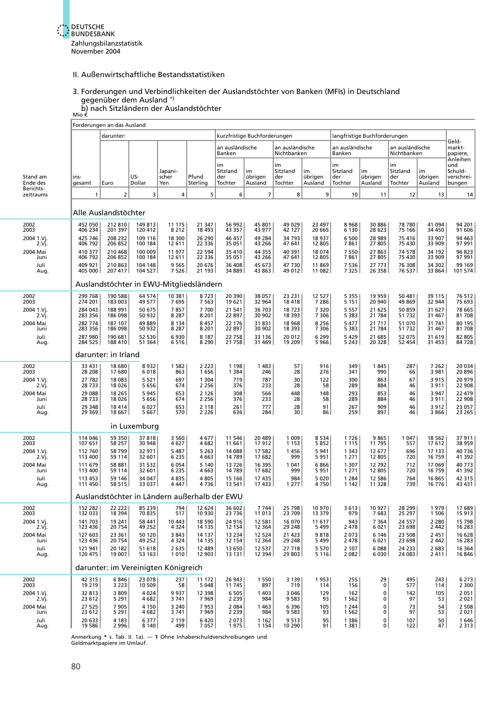

#### [3. Forderungen und Verbindlichkeiten der Auslandstöchter von Banken \(MFIs\) in Deutschland](#page-19-0) gegenüber dem Ausland \*)

# b) nach Sitzländern der Auslandstöchter Mio €

|                        |                    | Forderungen an das Ausland                   |                    |                         |                    |                                  |                              |                                  |                          |                                  |                              |                                  |                          |                                                    |
|------------------------|--------------------|----------------------------------------------|--------------------|-------------------------|--------------------|----------------------------------|------------------------------|----------------------------------|--------------------------|----------------------------------|------------------------------|----------------------------------|--------------------------|----------------------------------------------------|
|                        |                    | darunter:                                    |                    |                         |                    |                                  | kurzfristige Buchforderungen |                                  |                          |                                  | langfristige Buchforderungen |                                  |                          |                                                    |
|                        |                    |                                              |                    |                         |                    | an ausländische<br>Banken        |                              | an ausländische<br>Nichtbanken   |                          | an ausländische<br>Banken        |                              | an ausländische<br>Nichtbanken   |                          | Geld-<br>markt-<br>papiere,                        |
| Stand am<br>Ende des   | ins-<br>gesamt     | Euro                                         | US-<br>Dollar      | Japani-<br>scher<br>Yen | Pfund<br>Sterling  | im<br>Sitzland<br>der<br>Tochter | im<br>übrigen<br>Ausland     | im<br>Sitzland<br>der<br>Tochter | im<br>übrigen<br>Ausland | im<br>Sitzland<br>der<br>Tochter | im<br>übrigen<br>Ausland     | im<br>Sitzland<br>der<br>Tochter | im<br>übrigen<br>Ausland | Anleihen<br>und<br>Schuld-<br>verschrei-<br>bungen |
| Berichts-<br>zeitraums | $\mathbf{1}$       | $\overline{2}$                               | 3                  | 4                       | 5                  | 6                                | $\overline{7}$               | 8                                | 9                        | 10                               | 11                           | 12                               | 13                       | 14                                                 |
|                        |                    | Alle Auslandstöchter                         |                    |                         |                    |                                  |                              |                                  |                          |                                  |                              |                                  |                          |                                                    |
| 2002                   | 452 050            | 212 810                                      | 149 813            | 11 175                  | 21 347             | 56 992                           | 45 801                       | 49 0 29                          | 23 497                   | 8968                             | 30 886                       | 78 780                           | 41 094                   | 94 201                                             |
| 2003<br>2004 1.Vj.     | 406 234<br>425 746 | 201 397<br>208 232                           | 120 412<br>109 116 | 8 2 1 2<br>18 300       | 18 4 93<br>26 290  | 43 357<br>46 457                 | 43 977<br>49 284             | 42 127<br>34 793                 | 20 665<br>18 937         | 6 1 3 0<br>6 500                 | 28 623<br>28 989             | 75 166<br>75 416                 | 34 450<br>33 907         | 91 606                                             |
| 2.Vj.                  | 406 792            | 206 852                                      | 100 184            | 12 611                  | 22 3 36            | 35 051                           | 43 266                       | 47 641                           | 12 805                   | 7861                             | 27 805                       | 75 430                           | 33 909                   | 94 463<br>97 991                                   |
| 2004 Mai<br>Juni       | 410 377<br>406 792 | 210 468<br>206 852                           | 100 009<br>100 184 | 11 977<br>12 611        | 22 594<br>22 3 36  | 35 410<br>35 051                 | 44 355<br>43 266             | 40 391<br>47 641                 | 18 074<br>12 805         | 7 5 5 0<br>7861                  | 27863<br>27 805              | 74 578<br>75 430                 | 34 192<br>33 909         | 96 823<br>97 991                                   |
| Juli<br>Aug.           | 409 921<br>405 000 | 210 863<br>207 417                           | 104 148<br>104 527 | 9 5 6 5<br>7 5 2 6      | 20 676<br>21 193   | 36 408<br>34 889                 | 45 673<br>43 863             | 47730<br>49 012                  | 11 869<br>11 082         | 7 5 3 6<br>7 3 2 5               | 27 773<br>26 358             | 76 308<br>76 537                 | 34 302<br>33 864         | 99 169<br>101 574                                  |
|                        |                    | Auslandstöchter in EWU-Mitgliedsländern      |                    |                         |                    |                                  |                              |                                  |                          |                                  |                              |                                  |                          |                                                    |
| 2002<br>2003           | 299 768<br>274 201 | 190 588<br>183 003                           | 64 574<br>49 577   | 10 381<br>7695          | 8723<br>7 5 6 3    | 20 390<br>19 621                 | 38 057<br>32 964             | 23 231<br>18418                  | 12 527<br>7 2 8 6        | 5 3 5 5<br>5 1 5 1               | 19 959<br>20 940             | 50 481<br>49 869                 | 39 115<br>32 944         | 76 512<br>75 693                                   |
| 2004 1.Vj.             | 284 043<br>283 356 | 188 991<br>186 098                           | 50 675<br>50 932   | 7857<br>8 2 8 7         | 7700<br>8 2 0 1    | 21 541<br>22 897                 | 36 703<br>30 902             | 18723<br>18 3 9 3                | 7 3 2 0<br>7 3 0 6       | 5 5 5 7<br>5 3 8 3               | 21 625<br>21 784             | 50 859<br>51732                  | 31 627<br>31 4 67        | 78 665<br>81 708                                   |
| 2.Vj.<br>2004 Mai      | 282 774            | 187 107                                      | 49 889             | 8 1 3 4                 | 8 4 5 7            | 22 176                           | 31831                        | 18 9 68                          | 8 2 5 6                  | 5 4 7 7                          | 21 7 1 7                     | 51 070                           | 31 741                   | 80 195<br>81 708                                   |
| Juni<br>Juli           | 283 356<br>287 980 | 186 098<br>190 681                           | 50 932<br>52 530   | 8 2 8 7<br>6930         | 8 2 0 1<br>8 1 8 7 | 22 897<br>22 758                 | 30 902<br>33 136             | 18 3 9 3<br>20 012               | 7 3 0 6<br>6 2 9 9       | 5 3 8 3<br>5 4 2 9               | 21 784<br>21 685             | 51732<br>52 075                  | 31 467<br>31 619         |                                                    |
| Aug.                   | 284 525            | 188 410<br>darunter: in Irland               | 51 364             | 6516                    | 8 2 9 0            | 21758                            | 31 469                       | 19 209                           | 5966                     | 5 2 4 3                          | 20 328                       | 52 454                           | 31 4 53                  | 82 805<br>84 728                                   |
| 2002                   | 33 4 31            | 18 680                                       | 8932               | 1582                    | 2 2 2 3            | 1 1 9 8                          | 1483                         | 57                               | 916                      | 349                              | 1845                         | 287                              | 7 2 6 2                  |                                                    |
| 2003                   | 28 208             | 17 680                                       | 6018               | 863                     | 1656               | 1 3 8 4                          | 246                          | 28                               | 276                      | 341                              | 990                          | 66                               | 3 9 8 1                  | 20 034<br>20 896                                   |
| 2004 1.Vj.<br>2.Vj.    | 27 782<br>28733    | 18 083<br>18 0 26                            | 5 5 2 1<br>5656    | 697<br>674              | 1 3 0 4<br>2 2 5 6 | 719<br>376                       | 787<br>233                   | 30<br>28                         | 122<br>58                | 300<br>289                       | 863<br>884                   | 67<br>46                         | 3915<br>3911             | 20 979<br>22 908                                   |
| 2004 Mai<br>Juni       | 29 088<br>28733    | 18 265<br>18 0 26                            | 5945<br>5656       | 653<br>674              | 2 126<br>2 256     | 308<br>376                       | 566<br>233                   | 448<br>28                        | 148<br>58                | 293<br>289                       | 853<br>884                   | 46<br>46                         | 3 9 4 7<br>3911          | 22 479<br>22 908                                   |
| Juli<br>Aug.           | 29 348<br>29 3 69  | 18 4 14<br>18 667                            | 6 0 27<br>5 6 6 7  | 653<br>570              | 2 1 1 8<br>2 2 2 6 | 261<br>636                       | 777<br>284                   | 28<br>30                         | 91<br>86                 | 267<br>259                       | 909<br>897                   | 46<br>46                         | 3912<br>3866             | 23 057<br>23 265                                   |
|                        |                    |                                              | in Luxemburg       |                         |                    |                                  |                              |                                  |                          |                                  |                              |                                  |                          |                                                    |
| 2002                   | 114 046            | 59 350<br>58 257                             | 37818              | 3 5 6 0                 | 4677               | 11 546                           | 20 489                       | 1 0 0 9                          | 8 5 3 4                  | 1726                             | 9865                         | 1 0 4 7                          | 18 5 62                  | 37 911<br>38 959                                   |
| 2003<br>2004 1.Vj.     | 107 651<br>112 760 | 58 799                                       | 30 948<br>32 971   | 4627<br>5 4 8 7         | 4682<br>5 2 6 3    | 11 661<br>14 088                 | 17912<br>17 582              | 1 1 5 3<br>1456<br>999           | 5 8 5 2<br>5 9 4 1       | 1 1 1 5<br>1 3 4 3               | 11 795<br>12 677             | 557<br>696                       | 17612<br>17 133          | 40 736<br>41 392                                   |
| 2.Vj.<br>2004 Mai      | 113 400<br>111 679 | 59 114<br>58 881                             | 32 601<br>31 532   | 6 2 3 5<br>6054         | 4 6 63<br>5 1 4 0  | 14789<br>13726                   | 17 682<br>16 395             | 1 0 4 1                          | 5951<br>6866             | 1 2 7 1<br>1 3 0 7               | 12 805<br>12 792             | 720<br>712                       | 16 759<br>17 069         |                                                    |
| Juni                   | 113 400            | 59 114                                       | 32 601             | 6 2 3 5                 | 4 6 63             | 14 789                           | 17 682                       | 999                              | 5951                     | 1 2 7 1                          | 12 805                       | 720                              | 16 759                   | 40 773<br>41 392                                   |
| Juli<br>Aug.           | 113 453<br>111 450 | 59 146<br>58 515                             | 34 047<br>33 037   | 4835<br>4 4 4 7         | 4805<br>4736       | 15 16 6<br>13 541                | 17 435<br>17 433             | 984<br>1 2 7 7                   | 5 0 2 0<br>4750          | 1 2 8 4<br>1 1 4 2               | 12 586<br>11 3 28            | 764<br>739                       | 16865<br>16 776          | 42 315<br>43 431                                   |
|                        |                    | Auslandstöchter in Ländern außerhalb der EWU |                    |                         |                    |                                  |                              |                                  |                          |                                  |                              |                                  |                          |                                                    |
| 2002<br>2003           | 152 282<br>132 033 | 22 222<br>18 394                             | 85 239<br>70 835   | 794<br>517              | 12 624<br>10 930   | 36 602<br>23 7 36                | 7 7 4 4<br>11 013            | 25 798<br>23 709                 | 10 970<br>13 379         | 3613<br>979                      | 10 927<br>7683               | 28 299<br>25 297                 | 1979<br>1 5 0 6          | 17 689<br>15 913                                   |
| 2004 1.Vj.             | 141 703            | 19 241<br>20 754                             | 58 441             | 10 443                  | 18 5 90            | 24 916                           | 12 581                       | 16 070                           | 11 617                   | 943                              | 7 3 6 4                      | 24 557                           | 2 2 8 0                  | 15 798<br>16 283                                   |
| 2.Vj.<br>2004 Mai      | 123 436<br>127 603 | 23 361                                       | 49 252<br>50 120   | 4 3 2 4<br>3843         | 14 135<br>14 137   | 12 154<br>13 2 34                | 12 3 64<br>12 5 24           | 29 248<br>21 4 23                | 5 4 9 9<br>9818          | 2 4 7 8<br>2073                  | 6 0 21<br>6 1 4 6            | 23 698<br>23 508                 | 2 4 4 2<br>2 4 5 1       | 16 628                                             |
| Juni                   | 123 436<br>121 941 | 20 754<br>20 182                             | 49 252             | 4 3 2 4<br>2635         | 14 135<br>12 489   | 12 154<br>13 650                 | 12 3 64<br>12 537            | 29 248<br>27 718                 | 5 4 9 9<br>5 5 7 0       | 2 4 7 8<br>2 107                 | 6021<br>6088                 | 23 698<br>24 233                 | 2 4 4 2<br>2 6 8 3       | 16 283                                             |
| Juli<br>Aug.           | 120 475            | 19 007                                       | 51 618<br>53 163   | 1010                    | 12 903             | 13 131                           | 12 394                       | 29 803                           | 5 1 1 6                  | 2 0 8 2                          | 6 0 3 0                      | 24 083                           | 2 4 1 1                  | 16 364<br>16 846                                   |
|                        |                    | darunter: im Vereinigten Königreich          |                    |                         |                    |                                  |                              |                                  |                          |                                  |                              |                                  |                          |                                                    |
| 2002<br>2003           | 42 315<br>19 219   | 6846<br>3223                                 | 23 078<br>10 509   | 237<br>58               | 11 172<br>5 048    | 26 943<br>11 745                 | 1 5 5 0<br>897               | 3 139<br>719                     | 1953<br>114              | 255<br>156                       | $_{\rm 20}^{\rm 29}$         | 495<br>577                       | 243<br>114               | 6 273<br>2 300                                     |
| 2004 1.Vj.<br>2.Vj.    | 32 813<br>23 612   | 3 8 0 9<br>5 2 9 1                           | 4 0 2 4<br>4682    | 9937<br>3741            | 12 3 98<br>7969    | 6 5 0 5<br>2 2 3 9               | 1 4 0 3<br>984               | 3 0 4 6<br>9 5 8 3               | 129<br>93                | 162<br>1 5 6 2                   | 0<br>0                       | 142<br>97                        | 105<br>53                | 2 0 5 1<br>2021                                    |
| 2004 Mai               | 27 525             | 7 9 0 5                                      | 4 1 5 0            | 3 2 4 0                 | 7953               | 2 0 8 4                          | 1 4 6 3                      | 6 3 9 6                          | 105                      | 1 2 4 4                          | $\mathbf 0$                  | 73                               | 54                       | 2 5 0 8                                            |
| Juni<br>Juli           | 23 612<br>20 633   | 5 2 9 1<br>4 1 8 3                           | 4682<br>6 3 7 7    | 3741<br>2 1 1 9         | 7969<br>6 4 20     | 2 2 3 9<br>2073                  | 984<br>1 1 6 2               | 9 5 8 3<br>9513                  | 93<br>95                 | 1 5 6 2<br>1 3 8 6               | 0<br>0                       | 97<br>107                        | 53<br>50                 | 2021<br>1646                                       |
| Aug.                   | 19 5 86            | 2 9 9 6                                      | 8 1 4 0            | 499                     | 7057               | 1975                             | 1 1 5 4                      | 10 290                           | 91                       | 1 3 8 1                          | 0                            | 122                              | 47                       | 2 3 1 3                                            |

Anmerkung **\*** s. Tab. II. 1a). — **1** Ohne Inhaberschuldverschreibungen und Geldmarktpapiere im Umlauf.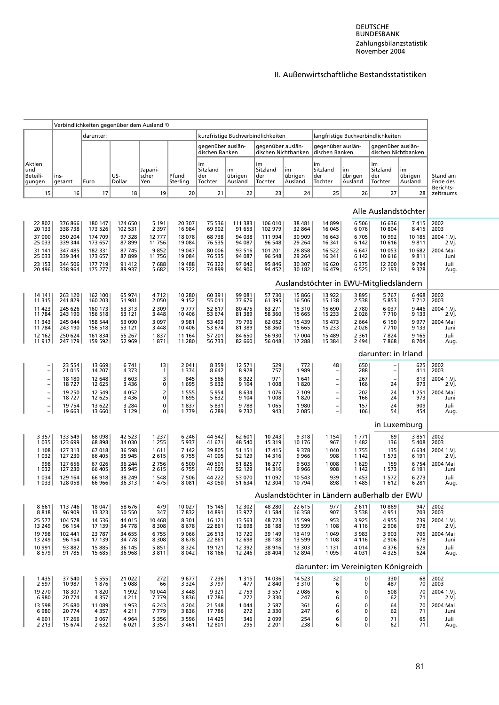|                                     | Verbindlichkeiten gegenüber dem Ausland 1)                                                                                    |                                                                                       |                    |                                |                    |                                                                                 |                          |                                  |                                     |                                                      |                                          |                                  |                          |                        |
|-------------------------------------|-------------------------------------------------------------------------------------------------------------------------------|---------------------------------------------------------------------------------------|--------------------|--------------------------------|--------------------|---------------------------------------------------------------------------------|--------------------------|----------------------------------|-------------------------------------|------------------------------------------------------|------------------------------------------|----------------------------------|--------------------------|------------------------|
|                                     |                                                                                                                               | kurzfristige Buchverbindlichkeiten<br>langfristige Buchverbindlichkeiten<br>darunter: |                    |                                |                    |                                                                                 |                          |                                  |                                     |                                                      |                                          |                                  |                          |                        |
|                                     |                                                                                                                               |                                                                                       |                    |                                |                    | gegenüber auslän-<br>gegenüber auslän-<br>dischen Banken<br>dischen Nichtbanken |                          |                                  | gegenüber auslän-<br>dischen Banken |                                                      | gegenüber auslän-<br>dischen Nichtbanken |                                  |                          |                        |
| Aktien<br>und<br>Beteili-<br>gungen | ins-<br>gesamt                                                                                                                | Euro                                                                                  | US-<br>Dollar      | Japani-<br>scher<br>Yen        | Pfund<br>Sterling  | im<br>Sitzland<br>der<br>Tochter                                                | im<br>übrigen<br>Ausland | im<br>Sitzland<br>der<br>Tochter | im<br>übrigen<br>Ausland            | im<br>Sitzland<br>der<br>Tochter                     | im<br>übrigen<br>Ausland                 | im<br>Sitzland<br>der<br>Tochter | im<br>übrigen<br>Ausland | Stand am<br>Ende des   |
| 15                                  | 16                                                                                                                            | 17                                                                                    | 18                 | 19                             | 20                 | 21                                                                              | 22                       | 23                               | 24                                  | 25                                                   | 26                                       | 27                               | 28                       | Berichts-<br>zeitraums |
|                                     | Alle Auslandstöchter                                                                                                          |                                                                                       |                    |                                |                    |                                                                                 |                          |                                  |                                     |                                                      |                                          |                                  |                          |                        |
| 22 802<br>20 133                    | 376 866<br>338738                                                                                                             | 180 147<br>173 526                                                                    | 124 650<br>102 531 | 5 1 9 1<br>2 3 9 7             | 20 307<br>16 984   | 75 536<br>69 902                                                                | 111 383<br>91 653        | 106 010<br>102 979               | 38481<br>32 864                     | 14 899<br>16 045                                     | 6 5 0 6<br>6076                          | 16 636<br>10 804                 | 7415<br>8415             | 2002<br>2003           |
| 37 000                              | 350 204                                                                                                                       | 174 709                                                                               | 97 328             | 12777                          | 18 078             | 68738                                                                           | 94 038                   | 111 994                          | 30 909                              | 16 643                                               | 6705                                     | 10 992                           | 10 185                   | 2004 1.Vj.             |
| 25 033<br>31 141                    | 339 344<br>347 485                                                                                                            | 173 657<br>182 331                                                                    | 87 899<br>87 745   | 11756<br>9852                  | 19 084<br>19 047   | 76 535<br>80 006                                                                | 94 087<br>93 516         | 96 548<br>101 201                | 29 264<br>28 858                    | 16 341<br>16 522                                     | 6 1 4 2<br>6 6 4 7                       | 10 616<br>10 053                 | 9811<br>10 682           | 2.Vj.<br>2004 Mai      |
| 25 033                              | 339 344                                                                                                                       | 173 657                                                                               | 87899              | 11756                          | 19 0 84            | 76 535                                                                          | 94 087                   | 96 548                           | 29 264                              | 16 341                                               | 6 1 4 2                                  | 10 616                           | 9811<br>9794             | Juni<br>Juli           |
| 23 153<br>20 4 96                   | 344 506<br>338 964                                                                                                            | 177 719<br>175 277                                                                    | 91 412<br>89 937   | 7688<br>5 6 8 2                | 19 488<br>19 322   | 76 322<br>74 899                                                                | 97 042<br>94 906         | 95 846<br>94 452                 | 30 307<br>30 182                    | 16 620<br>16 479                                     | 6 3 7 5<br>6525                          | 12 200<br>12 193                 | 9 3 2 8                  | Aug.                   |
|                                     |                                                                                                                               | Auslandstöchter in EWU-Mitgliedsländern                                               |                    |                                |                    |                                                                                 |                          |                                  |                                     |                                                      |                                          |                                  |                          |                        |
| 14 14 1<br>11 3 15                  | 263 120<br>241 829                                                                                                            | 162 100<br>160 203                                                                    | 65 974<br>51 981   | 4712<br>2050                   | 10 280<br>9 1 5 2  | 60 391<br>55 011                                                                | 99 081<br>77 676         | 57 730<br>61 395                 | 15 8 66<br>16 506                   | 13 922<br>15 138                                     | 3895<br>2 5 3 8                          | 5767<br>5853                     | 6468<br>7712             | 2002<br>2003           |
| 11 423<br>11 784                    | 245 626<br>243 190                                                                                                            | 160 173<br>156 518                                                                    | 53 313<br>53 121   | 2 3 0 9<br>3 4 4 8             | 9777<br>10 40 6    | 52 617<br>53 674                                                                | 80 475<br>81 389         | 63 271<br>58 360                 | 15 3 10<br>15 6 65                  | 15 690<br>15 2 33                                    | 2780<br>2026                             | 6 0 3 7<br>7710                  | 9 4 4 6<br>9 1 3 3       | 2004 1.Vj.<br>2.Vj.    |
| 11 3 43<br>11784                    | 245 044<br>243 190                                                                                                            | 158 544<br>156 518                                                                    | 53 090<br>53 121   | 3 0 9 7<br>3 4 4 8             | 9 9 8 1<br>10 40 6 | 53 493<br>53 674                                                                | 79 796<br>81 389         | 62 052<br>58 360                 | 15 4 39<br>15 6 65                  | 15 473<br>15 2 33                                    | 2 6 6 4<br>2026                          | 6 150<br>7710                    | 9977<br>9 1 3 3          | 2004 Mai<br>Juni       |
| 12 162                              | 250 624                                                                                                                       | 161834                                                                                | 55 267             | 1837                           | 11 164             | 57 201                                                                          | 84 650                   | 56 930                           | 17 004                              | 15 489                                               | 2 3 6 1                                  | 7824                             | 9 1 6 5                  | Juli                   |
| 11917                               | 247 179                                                                                                                       | 159 592                                                                               | 52 969             | 1871                           | 11 280             | 56 733                                                                          | 82 660                   | 56 048                           | 17 288                              | 15 3 84                                              | 2494                                     | 7868<br>darunter: in Irland      | 8704                     | Aug.                   |
| $\overline{\phantom{0}}$            | 23 554                                                                                                                        | 13 669                                                                                | 6741               | 13                             | 2 0 4 1            | 8 3 5 9                                                                         | 12 571                   | 529                              | 772                                 | 48                                                   | 650                                      |                                  | 625                      | 2002                   |
| $\overline{\phantom{0}}$            | 21 015                                                                                                                        | 14 207                                                                                | 4 3 7 3            | $\mathbf{1}$                   | 1 3 7 4            | 8642                                                                            | 8928                     | 757                              | 1989                                | $\overline{\phantom{a}}$                             | 288                                      | $\overline{\phantom{a}}$         | 411                      | 2003                   |
| $\bar{z}$                           | 18 180<br>18727                                                                                                               | 12 648<br>12 625                                                                      | 3 603<br>3 4 3 6   | 3<br>0                         | 845<br>1695        | 5 5 6 6<br>5 6 3 2                                                              | 8922<br>9 1 0 4          | 971<br>1 0 0 8                   | 1641<br>1820                        | -<br>$\overline{\phantom{0}}$                        | 267<br>166                               | 24                               | 813<br>973               | 2004 1.Vj.<br>2.Vj.    |
| $\overline{a}$<br>$\qquad \qquad -$ | 19 250<br>18727                                                                                                               | 12 549<br>12 625                                                                      | 4 0 5 2<br>3 4 3 6 | $\overline{2}$<br>$\mathbf 0$  | 1 5 5 5<br>1695    | 5954<br>5 6 3 2                                                                 | 8 6 3 4<br>9 1 0 4       | 1076<br>1 0 0 8                  | 2 1 0 9<br>1820                     | $\overline{\phantom{a}}$<br>$\overline{\phantom{a}}$ | 202<br>166                               | 24<br>24                         | 1 2 5 1<br>973           | 2004 Mai<br>Juni       |
| $\bar{a}$                           | 19 7 54<br>19 663                                                                                                             | 13 622<br>13 660                                                                      | 3 2 8 4<br>3 1 2 9 | $\mathbf{0}$<br>0 <sup>1</sup> | 1837<br>1779       | 5831<br>6 2 8 9                                                                 | 9788<br>9732             | 1 0 6 5<br>943                   | 1980<br>2 0 8 5                     | $\bar{\mathbb{I}}$                                   | 157<br>106                               | 24<br>54                         | 909<br>454               | Juli<br>Aug.           |
|                                     |                                                                                                                               |                                                                                       |                    |                                |                    |                                                                                 |                          |                                  |                                     |                                                      |                                          |                                  | in Luxemburg             |                        |
| 3 3 5 7<br>1 0 3 5                  | 133 549<br>123 699                                                                                                            | 68 098<br>68898                                                                       | 42 523<br>34 030   | 1 2 3 7<br>1 2 5 5             | 6 2 4 6<br>5 9 3 7 | 44 542<br>41 671                                                                | 62 601<br>48 540         | 10 243<br>15 3 19                | 9318<br>10 176                      | 1 1 5 4<br>967                                       | 1771<br>1482                             | 69<br>136                        | 3851<br>5 4 0 8          | 2002<br>2003           |
| 1 1 0 8                             | 127 313                                                                                                                       | 67 018                                                                                | 36 598             | 1611                           | 7 1 4 2            | 39 805                                                                          | 51 151                   | 17415                            | 9 3 7 8                             | 1 0 4 0                                              | 1755                                     | 135                              | 6634                     | 2004 1.Vi.             |
| 1 0 3 2<br>998                      | 127 230<br>127 656                                                                                                            | 66 405<br>67 026                                                                      | 35 945<br>36 244   | 2615<br>2756                   | 6755<br>6 500      | 41 005<br>40 501                                                                | 52 129<br>51 825         | 14 3 16<br>16 277                | 9966<br>9 5 0 3                     | 908<br>1 0 0 8                                       | 1 1 4 2<br>1629                          | 1 573<br>159                     | 6 1 9 1<br>6754          | 2.Vj.<br>2004 Mai      |
| 1 0 3 2<br>1 0 3 4                  | 127 230<br>129 164                                                                                                            | 66 405<br>66 918                                                                      | 35 945<br>38 249   | 2615<br>1 5 4 8                | 6755<br>7 5 0 6    | 41 005<br>44 222                                                                | 52 129<br>53 070         | 14 3 16<br>11 092                | 9966<br>10 543                      | 908<br>939                                           | 1 1 4 2<br>1 4 5 3                       | 1 5 7 3<br>1 572                 | 6 1 9 1<br>6 2 7 3       | Juni<br>Juli           |
| 1 0 3 3                             | 128 058                                                                                                                       | 66 966                                                                                | 36 313             | 1475                           | 8 0 8 1            | 43 050                                                                          | 51634                    | 12 304                           | 10794                               | 898                                                  | 1 4 8 5                                  | 1612                             | 6 2 8 1                  | Aug.                   |
|                                     |                                                                                                                               |                                                                                       |                    |                                |                    |                                                                                 |                          |                                  |                                     | Auslandstöchter in Ländern außerhalb der EWU         |                                          |                                  |                          |                        |
| 8 6 6 1<br>8818                     | 113 746<br>96 909                                                                                                             | 18 047<br>13 3 23                                                                     | 58 676<br>50 550   | 479<br>347                     | 10 027<br>7832     | 15 145<br>14 891                                                                | 12 302<br>13 977         | 48 280<br>41 584                 | 22 615<br>16 3 58                   | 977<br>907                                           | 2611<br>3 5 3 8                          | 10 869<br>4951                   | 947<br>703               | 2002<br>2003           |
| 25 577<br>13 249                    | 104 578<br>96 154                                                                                                             | 14 5 36<br>17 139                                                                     | 44 015<br>34 778   | 10 4 68<br>8 3 0 8             | 8 3 0 1<br>8678    | 16 121<br>22 861                                                                | 13 5 63<br>12 698        | 48723<br>38 188                  | 15 5 9 9<br>13 599                  | 953<br>1 1 0 8                                       | 3 9 2 5<br>4 1 1 6                       | 4955<br>2 9 0 6                  | 739<br>678               | 2004 1.Vj.<br>2.Vj.    |
| 19 798                              | 102 441                                                                                                                       | 23 787                                                                                | 34 655             | 6755                           | 9 0 6 6            | 26 513                                                                          | 13720                    | 39 149                           | 13 4 19                             | 1 0 4 9                                              | 3 9 8 3                                  | 3 9 0 3                          | 705                      | 2004 Mai               |
| 13 249<br>10 991                    | 96 154<br>93 882                                                                                                              | 17 139<br>15 885                                                                      | 34 778<br>36 145   | 8 3 0 8<br>5851                | 8678<br>8 3 2 4    | 22 861<br>19 121                                                                | 12 698<br>12 392         | 38 188<br>38 916                 | 13 599<br>13 303                    | 1 1 0 8<br>1 1 3 1                                   | 4 1 1 6<br>4014                          | 2 9 0 6<br>4 3 7 6               | 678<br>629               | Juni<br>Juli           |
| 8579                                | 91 785<br>15 685<br>36 968<br>3811<br>8 0 4 2<br>18 166<br>12 246<br>38 404<br>12 894<br>1 0 9 5<br>4 3 2 5<br>624<br>4 0 3 1 |                                                                                       |                    |                                |                    |                                                                                 |                          |                                  |                                     |                                                      |                                          | Aug.                             |                          |                        |
|                                     | darunter: im Vereinigten Königreich<br>272<br>68<br>37 540<br>9677<br>14 0 36                                                 |                                                                                       |                    |                                |                    |                                                                                 |                          |                                  |                                     |                                                      |                                          |                                  |                          |                        |
| 1435<br>2 5 9 7                     | 10 987                                                                                                                        | 5 5 5 5<br>1876                                                                       | 21 022<br>5 0 8 8  | 66                             | 3 3 2 4            | 7 236<br>3797                                                                   | 1 3 1 5<br>477           | 2 8 4 0                          | 14 523<br>3 3 1 0                   | 32<br>6                                              | $\mathbf{0}$<br>0                        | 330<br>487                       | 70                       | 2002<br>2003           |
| 19 270<br>6980                      | 18 307<br>20 774                                                                                                              | 1820<br>4 3 5 7                                                                       | 1992<br>4 2 1 1    | 10 044<br>7779                 | 3 4 4 8<br>3 8 3 6 | 9 3 2 1<br>17 786                                                               | 2 7 5 9<br>272           | 3 5 5 7<br>2 3 3 0               | 2 0 8 6<br>247                      | 6<br>6                                               | $\bf{0}$<br>0                            | 508<br>62                        | 70<br>71                 | 2004 1.Vj.<br>2.Vj.    |
| 13 5 98<br>6980                     | 25 680<br>20 774                                                                                                              | 11 089<br>4 3 5 7                                                                     | 1953<br>4 2 1 1    | 6 2 4 3<br>7779                | 4 2 0 4<br>3 8 3 6 | 21 548<br>17 786                                                                | 1 0 4 4<br>272           | 2 5 8 7<br>2 3 3 0               | 361<br>247                          | 6<br>6                                               | $\mathbf 0$<br>0                         | 64<br>62                         | 70<br>71                 | 2004 Mai<br>Juni       |
| 4 601<br>2 2 1 3                    | 17 266<br>15 674                                                                                                              | 3 0 6 7<br>2 6 3 2                                                                    | 4 9 6 4<br>6 0 21  | 5 3 5 6<br>3 3 5 7             | 3 5 9 6<br>3 4 6 1 | 14 4 25<br>12 801                                                               | 346<br>295               | 2099<br>2 2 0 1                  | 254<br>238                          | 6<br>6                                               | 0<br>0                                   | 71<br>62                         | 65<br>71                 | Juli<br>Aug.           |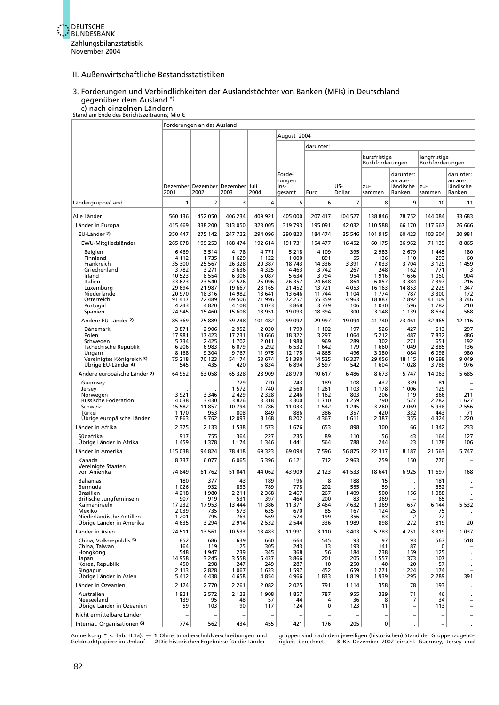

#### [3. Forderungen und Verbindlichkeiten der Auslandstöchter von Banken \(MFIs\) in Deutschland](#page-20-0) gegenüber dem Ausland<sup>\*</sup>

c) nach einzelnen Ländern Stand am Ende des Berichtszeitraums; Mio €

| August 2004<br>darunter:<br>langfristige<br>kurzfristige<br>Buchforderungen<br>Buchforderungen<br>Forde-<br>darunter:<br>darunter:<br>rungen<br>an aus-<br>an aus-<br>Dezember   Dezember   Dezember   Juli<br>US-<br>ins-<br>ländische<br>ländische<br>zu-<br>lzu-<br>2002<br>2004<br>Dollar<br>2001<br>2003<br>Euro<br>Banken<br>Banken<br>sammen<br>sammen<br>gesamt<br>$\mathbf{1}$<br>3<br>5<br>$\overline{7}$<br>9<br>$\overline{2}$<br>4<br>6<br>8<br>10<br>11<br>Ländergruppe/Land<br>560 136<br>452 050<br>406 234<br>409 921<br>405 000<br>207 417<br>104 527<br>138 846<br>144 084<br>33 683<br>Alle Länder<br>78752<br>415 469<br>338 200<br>313 050<br>323 005<br>319 793<br>195 091<br>42 032<br>110 588<br>117 667<br>26 666<br>66 170<br>Länder in Europa<br>275 142<br>247 722<br>294 096<br>290 823<br>184 474<br>35 546<br>101 915<br>60 423<br>103 604<br>20 981<br>EU-Länder 2)<br>350 447<br>265 078<br>199 253<br>188 474<br>192 614<br>191 731<br>8865<br>EWU-Mitgliedsländer<br>154 477<br>16 452<br>60 175<br>36 962<br>71 139<br>4 1 7 8<br>4 109<br>2 9 8 3<br>180<br>6469<br>3 5 1 4<br>4771<br>5 2 1 8<br>395<br>2679<br>1 4 4 5<br>Belgien<br>Finnland<br>1735<br>1629<br>1 1 2 2<br>1 000<br>891<br>55<br>136<br>293<br>4 1 1 2<br>110<br>60<br>20 387<br>7 0 3 3<br>3 1 2 9<br>1459<br>Frankreich<br>35 300<br>25 5 67<br>26 328<br>18743<br>14 3 36<br>3 3 9 1<br>3704<br>Griechenland<br>3782<br>3 2 7 1<br>3 6 3 6<br>4 3 2 5<br>4 4 6 3<br>3742<br>248<br>162<br>771<br>3<br>267<br>8 5 5 4<br>6 3 0 6<br>5 0 8 7<br>5 6 3 4<br>3794<br>1 0 5 0<br>904<br>Irland<br>10 523<br>954<br>1916<br>1656<br>Italien<br>22 5 26<br>25 096<br>24 648<br>864<br>6857<br>216<br>33 623<br>23 540<br>26 357<br>3 3 8 4<br>7 3 9 7<br>Luxemburg<br>29 694<br>21 987<br>19 667<br>23 165<br>21 4 52<br>13721<br>4053<br>16 163<br>14853<br>2 2 2 9<br>1 3 4 7<br>Niederlande<br>20 970<br>18 3 16<br>14 982<br>13 641<br>13 646<br>11 744<br>1 1 0 4<br>1774<br>787<br>3 3 0 0<br>172<br>69 506<br>71 996<br>3746<br>Österreich<br>91 417<br>72 489<br>72 257<br>55 359<br>4963<br>18887<br>7892<br>41 109<br>4820<br>4 1 0 8<br>4 0 7 3<br>3739<br>210<br>Portugal<br>4 2 4 3<br>3868<br>106<br>1 0 3 0<br>596<br>1782<br>Spanien<br>24 945<br>15 4 60<br>15 608<br>18 951<br>19 093<br>18 3 9 4<br>300<br>3 1 4 8<br>1 1 3 9<br>8 6 3 4<br>568<br>75 889<br>59 248<br>99 092<br>29 997<br>19 094<br>41 740<br>12 116<br>Andere EU-Länder 2)<br>85 369<br>101 482<br>23 4 61<br>32 465<br>3871<br>2 9 0 6<br>2952<br>2 0 3 0<br>1799<br>1 1 0 2<br>197<br>526<br>427<br>297<br>Dänemark<br>513<br>17 231<br>3 2 9 7<br>1 4 8 7<br>486<br>Polen<br>17981<br>17 423<br>18 6 66<br>18 322<br>1 0 6 4<br>5 2 1 2<br>7832<br>1702<br>192<br>Schweden<br>5734<br>2 4 2 5<br>2011<br>1980<br>969<br>289<br>302<br>271<br>651<br>136<br>Tschechische Republik<br>6 206<br>6983<br>6079<br>6 2 9 2<br>6 5 3 2<br>1642<br>179<br>1660<br>1 0 4 9<br>2885<br>980<br>8 1 6 8<br>9 3 0 4<br>9767<br>11 975<br>12 175<br>4865<br>496<br>3 3 8 0<br>1 0 8 4<br>6 0 9 8<br>Ungarn<br>9049<br>Vereinigtes Königreich 3)<br>75 218<br>70 123<br>54 174<br>53 674<br>51 390<br>14 5 25<br>16 327<br>29 056<br>18 115<br>10 698<br>Übrige EU-Länder 4)<br>545<br>435<br>420<br>6834<br>6894<br>3 5 9 7<br>1604<br>1028<br>3788<br>976<br>542<br>64 952<br>5685<br>Andere europäische Länder 2)<br>63 058<br>65 328<br>28 909<br>28 970<br>10617<br>6486<br>8673<br>5747<br>14 063<br>729<br>720<br>743<br>189<br>432<br>108<br>339<br>81<br>Guernsey<br>1572<br>1 2 6 1<br>1740<br>2 5 6 0<br>1 1 0 3<br>1 1 7 8<br>1 0 0 6<br>129<br>Jersey<br>2 4 2 9<br>803<br>866<br>211<br>3921<br>3 3 4 6<br>2 3 2 8<br>2 2 4 6<br>1 1 6 2<br>206<br>119<br>Norwegen<br>790<br>1627<br>Russische Föderation<br>4038<br>3 4 3 0<br>3826<br>3 3 1 8<br>3 3 0 0<br>1710<br>1 2 5 9<br>527<br>2 2 8 2<br>10794<br>1 5 4 2<br>2 0 6 9<br>2 5 5 6<br>Schweiz<br>15 582<br>11857<br>11 786<br>11 033<br>1 2 4 5<br>3 2 6 0<br>5938<br>1 1 7 0<br>953<br>808<br>849<br>886<br>386<br>357<br>420<br>443<br>Türkei<br>332<br>71<br>1 2 2 0<br>7863<br>9762<br>12 093<br>8 1 6 8<br>8 2 0 2<br>4 3 6 7<br>1611<br>2 3 8 7<br>1 3 5 5<br>4 3 2 4<br>Ubrige europäische Länder<br>Länder in Afrika<br>2 3 7 5<br>1538<br>1676<br>653<br>898<br>300<br>233<br>2 1 3 3<br>1 5 7 3<br>66<br>1 3 4 2<br>127<br>917<br>755<br>364<br>227<br>235<br>89<br>43<br>Südafrika<br>110<br>56<br>164<br>23<br>1459<br>1 3 7 8<br>1 1 7 4<br>1 3 4 6<br>564<br>788<br>244<br>1 1 7 8<br>106<br>Ubrige Länder in Afrika<br>1441<br>5747<br>115 038<br>94 824<br>78 418<br>69 094<br>7 5 9 6<br>56 875<br>22 317<br>8 1 8 7<br>Länder in Amerika<br>69 323<br>21 5 63<br>8737<br>6 0 7 7<br>6 0 65<br>259<br>770<br>6 3 9 6<br>6 1 2 1<br>712<br>2 9 63<br>150<br>Kanada<br>Vereinigte Staaten<br>von Amerika<br>74 849<br>61762<br>51 041<br>44 062<br>43 909<br>2 1 2 3<br>41 533<br>18 641<br>6925<br>11 697<br>168<br><b>Bahamas</b><br>180<br>377<br>43<br>189<br>196<br>8<br>188<br>15<br>181<br>1026<br>932<br>833<br>789<br>778<br>202<br>555<br>59<br>652<br>Bermuda<br>1 0 8 8<br>1980<br>2 2 1 1<br>2 3 6 8<br>2 4 6 7<br>267<br>1 4 0 9<br>500<br><b>Brasilien</b><br>4 218<br>156<br>Britische Jungferninseln<br>907<br>919<br>531<br>397<br>464<br>200<br>83<br>369<br>65<br>657<br>5 5 3 2<br>17 232<br>17953<br>13 444<br>11 386<br>11 371<br>3 4 6 4<br>7632<br>1 3 6 9<br>6 144<br>Kaimaninseln<br>Mexiko<br>2 0 3 9<br>735<br>573<br>635<br>670<br>167<br>124<br>25<br>85<br>75<br>795<br>Niederländische Antillen<br>1 2 0 1<br>763<br>569<br>574<br>199<br>356<br>83<br>2<br>72<br>20<br>Übrige Länder in Amerika<br>4635<br>3 2 9 4<br>2914<br>2 5 3 2<br>2 5 4 4<br>336<br>1989<br>898<br>819<br>272<br>1037<br>10 533<br>5 2 8 3<br>4 2 5 1<br>3 3 1 9<br>Länder in Asien<br>24 5 11<br>13 5 61<br>13 4 83<br>11 991<br>3 1 1 0<br>3 4 0 3<br>852<br>686<br>639<br>660<br>545<br>93<br>97<br>518<br>China, Volksrepublik 5)<br>664<br>93<br>567<br>125<br>China, Taiwan<br>164<br>119<br>305<br>243<br>13<br>193<br>141<br>87<br>0<br>1947<br>Hongkong<br>548<br>239<br>345<br>368<br>56<br>184<br>238<br>159<br>125<br>14 958<br>3 2 4 5<br>3 5 5 8<br>5437<br>3866<br>201<br>205<br>1 5 5 7<br>1 3 7 3<br>107<br>Japan<br>450<br>298<br>247<br>250<br>57<br>Korea, Republik<br>249<br>287<br>10<br>40<br>20<br>Singapur<br>2828<br>1 0 6 7<br>1633<br>1 5 9 7<br>452<br>659<br>1 2 7 1<br>1 2 2 4<br>174<br>2 1 1 3<br>391<br>Übrige Länder in Asien<br>4438<br>4658<br>4854<br>1833<br>1819<br>1939<br>1 2 9 5<br>2 2 8 9<br>5412<br>4966<br>2 0 2 5<br>791<br>193<br>Länder in Ozeanien<br>2 1 2 4<br>2770<br>2 2 6 1<br>2 0 8 2<br>1 1 1 4<br>358<br>78<br>1921<br>2 1 2 3<br>1908<br>787<br>955<br>339<br>71<br>Australien<br>2 5 7 2<br>1857<br>46<br>Neuseeland<br>139<br>95<br>48<br>57<br>44<br>36<br>34<br>4<br>8<br>7<br>$\overline{\phantom{a}}$<br>59<br>90<br>117<br>$\mathbf 0$<br>123<br>11<br>113<br>Ubrige Länder in Ozeanien<br>103<br>124<br>-<br>Nicht ermittelbare Länder<br>$\overline{\phantom{0}}$<br>$\overline{\phantom{0}}$<br>-<br>$\qquad \qquad -$<br>434<br>455 <br>205<br>0 <sup>1</sup><br>Internat. Organisationen 6)<br>774<br>562 <br>421<br>176 <br>$\overline{\phantom{0}}$ | Forderungen an das Ausland |  |  |  |  |  |  |  |  |  |  |  |
|----------------------------------------------------------------------------------------------------------------------------------------------------------------------------------------------------------------------------------------------------------------------------------------------------------------------------------------------------------------------------------------------------------------------------------------------------------------------------------------------------------------------------------------------------------------------------------------------------------------------------------------------------------------------------------------------------------------------------------------------------------------------------------------------------------------------------------------------------------------------------------------------------------------------------------------------------------------------------------------------------------------------------------------------------------------------------------------------------------------------------------------------------------------------------------------------------------------------------------------------------------------------------------------------------------------------------------------------------------------------------------------------------------------------------------------------------------------------------------------------------------------------------------------------------------------------------------------------------------------------------------------------------------------------------------------------------------------------------------------------------------------------------------------------------------------------------------------------------------------------------------------------------------------------------------------------------------------------------------------------------------------------------------------------------------------------------------------------------------------------------------------------------------------------------------------------------------------------------------------------------------------------------------------------------------------------------------------------------------------------------------------------------------------------------------------------------------------------------------------------------------------------------------------------------------------------------------------------------------------------------------------------------------------------------------------------------------------------------------------------------------------------------------------------------------------------------------------------------------------------------------------------------------------------------------------------------------------------------------------------------------------------------------------------------------------------------------------------------------------------------------------------------------------------------------------------------------------------------------------------------------------------------------------------------------------------------------------------------------------------------------------------------------------------------------------------------------------------------------------------------------------------------------------------------------------------------------------------------------------------------------------------------------------------------------------------------------------------------------------------------------------------------------------------------------------------------------------------------------------------------------------------------------------------------------------------------------------------------------------------------------------------------------------------------------------------------------------------------------------------------------------------------------------------------------------------------------------------------------------------------------------------------------------------------------------------------------------------------------------------------------------------------------------------------------------------------------------------------------------------------------------------------------------------------------------------------------------------------------------------------------------------------------------------------------------------------------------------------------------------------------------------------------------------------------------------------------------------------------------------------------------------------------------------------------------------------------------------------------------------------------------------------------------------------------------------------------------------------------------------------------------------------------------------------------------------------------------------------------------------------------------------------------------------------------------------------------------------------------------------------------------------------------------------------------------------------------------------------------------------------------------------------------------------------------------------------------------------------------------------------------------------------------------------------------------------------------------------------------------------------------------------------------------------------------------------------------------------------------------------------------------------------------------------------------------------------------------------------------------------------------------------------------------------------------------------------------------------------------------------------------------------------------------------------------------------------------------------------------------------------------------------------------------------------------------------------------------------------------------------------------------------------------------------------------------------------------------------------------------------------------------------------------------------------------------------------------------------------------------------------------------------------------------------------------------------------------------------------------------------------------------------------------------------------------------------------------------------------------------------------------------------------------------------------------------------------------------------------------------------------------------------------------------------------------------------------------------------------------------------------------------------------------------------------------------------------------------------------------------------------------------------------------------------------------|----------------------------|--|--|--|--|--|--|--|--|--|--|--|
|                                                                                                                                                                                                                                                                                                                                                                                                                                                                                                                                                                                                                                                                                                                                                                                                                                                                                                                                                                                                                                                                                                                                                                                                                                                                                                                                                                                                                                                                                                                                                                                                                                                                                                                                                                                                                                                                                                                                                                                                                                                                                                                                                                                                                                                                                                                                                                                                                                                                                                                                                                                                                                                                                                                                                                                                                                                                                                                                                                                                                                                                                                                                                                                                                                                                                                                                                                                                                                                                                                                                                                                                                                                                                                                                                                                                                                                                                                                                                                                                                                                                                                                                                                                                                                                                                                                                                                                                                                                                                                                                                                                                                                                                                                                                                                                                                                                                                                                                                                                                                                                                                                                                                                                                                                                                                                                                                                                                                                                                                                                                                                                                                                                                                                                                                                                                                                                                                                                                                                                                                                                                                                                                                                                                                                                                                                                                                                                                                                                                                                                                                                                                                                                                                                                                                                                                                                                                                                                                                                                                                                                                                                                                                                                                                                                                                                          |                            |  |  |  |  |  |  |  |  |  |  |  |
|                                                                                                                                                                                                                                                                                                                                                                                                                                                                                                                                                                                                                                                                                                                                                                                                                                                                                                                                                                                                                                                                                                                                                                                                                                                                                                                                                                                                                                                                                                                                                                                                                                                                                                                                                                                                                                                                                                                                                                                                                                                                                                                                                                                                                                                                                                                                                                                                                                                                                                                                                                                                                                                                                                                                                                                                                                                                                                                                                                                                                                                                                                                                                                                                                                                                                                                                                                                                                                                                                                                                                                                                                                                                                                                                                                                                                                                                                                                                                                                                                                                                                                                                                                                                                                                                                                                                                                                                                                                                                                                                                                                                                                                                                                                                                                                                                                                                                                                                                                                                                                                                                                                                                                                                                                                                                                                                                                                                                                                                                                                                                                                                                                                                                                                                                                                                                                                                                                                                                                                                                                                                                                                                                                                                                                                                                                                                                                                                                                                                                                                                                                                                                                                                                                                                                                                                                                                                                                                                                                                                                                                                                                                                                                                                                                                                                                          |                            |  |  |  |  |  |  |  |  |  |  |  |
|                                                                                                                                                                                                                                                                                                                                                                                                                                                                                                                                                                                                                                                                                                                                                                                                                                                                                                                                                                                                                                                                                                                                                                                                                                                                                                                                                                                                                                                                                                                                                                                                                                                                                                                                                                                                                                                                                                                                                                                                                                                                                                                                                                                                                                                                                                                                                                                                                                                                                                                                                                                                                                                                                                                                                                                                                                                                                                                                                                                                                                                                                                                                                                                                                                                                                                                                                                                                                                                                                                                                                                                                                                                                                                                                                                                                                                                                                                                                                                                                                                                                                                                                                                                                                                                                                                                                                                                                                                                                                                                                                                                                                                                                                                                                                                                                                                                                                                                                                                                                                                                                                                                                                                                                                                                                                                                                                                                                                                                                                                                                                                                                                                                                                                                                                                                                                                                                                                                                                                                                                                                                                                                                                                                                                                                                                                                                                                                                                                                                                                                                                                                                                                                                                                                                                                                                                                                                                                                                                                                                                                                                                                                                                                                                                                                                                                          |                            |  |  |  |  |  |  |  |  |  |  |  |
|                                                                                                                                                                                                                                                                                                                                                                                                                                                                                                                                                                                                                                                                                                                                                                                                                                                                                                                                                                                                                                                                                                                                                                                                                                                                                                                                                                                                                                                                                                                                                                                                                                                                                                                                                                                                                                                                                                                                                                                                                                                                                                                                                                                                                                                                                                                                                                                                                                                                                                                                                                                                                                                                                                                                                                                                                                                                                                                                                                                                                                                                                                                                                                                                                                                                                                                                                                                                                                                                                                                                                                                                                                                                                                                                                                                                                                                                                                                                                                                                                                                                                                                                                                                                                                                                                                                                                                                                                                                                                                                                                                                                                                                                                                                                                                                                                                                                                                                                                                                                                                                                                                                                                                                                                                                                                                                                                                                                                                                                                                                                                                                                                                                                                                                                                                                                                                                                                                                                                                                                                                                                                                                                                                                                                                                                                                                                                                                                                                                                                                                                                                                                                                                                                                                                                                                                                                                                                                                                                                                                                                                                                                                                                                                                                                                                                                          |                            |  |  |  |  |  |  |  |  |  |  |  |
|                                                                                                                                                                                                                                                                                                                                                                                                                                                                                                                                                                                                                                                                                                                                                                                                                                                                                                                                                                                                                                                                                                                                                                                                                                                                                                                                                                                                                                                                                                                                                                                                                                                                                                                                                                                                                                                                                                                                                                                                                                                                                                                                                                                                                                                                                                                                                                                                                                                                                                                                                                                                                                                                                                                                                                                                                                                                                                                                                                                                                                                                                                                                                                                                                                                                                                                                                                                                                                                                                                                                                                                                                                                                                                                                                                                                                                                                                                                                                                                                                                                                                                                                                                                                                                                                                                                                                                                                                                                                                                                                                                                                                                                                                                                                                                                                                                                                                                                                                                                                                                                                                                                                                                                                                                                                                                                                                                                                                                                                                                                                                                                                                                                                                                                                                                                                                                                                                                                                                                                                                                                                                                                                                                                                                                                                                                                                                                                                                                                                                                                                                                                                                                                                                                                                                                                                                                                                                                                                                                                                                                                                                                                                                                                                                                                                                                          |                            |  |  |  |  |  |  |  |  |  |  |  |
|                                                                                                                                                                                                                                                                                                                                                                                                                                                                                                                                                                                                                                                                                                                                                                                                                                                                                                                                                                                                                                                                                                                                                                                                                                                                                                                                                                                                                                                                                                                                                                                                                                                                                                                                                                                                                                                                                                                                                                                                                                                                                                                                                                                                                                                                                                                                                                                                                                                                                                                                                                                                                                                                                                                                                                                                                                                                                                                                                                                                                                                                                                                                                                                                                                                                                                                                                                                                                                                                                                                                                                                                                                                                                                                                                                                                                                                                                                                                                                                                                                                                                                                                                                                                                                                                                                                                                                                                                                                                                                                                                                                                                                                                                                                                                                                                                                                                                                                                                                                                                                                                                                                                                                                                                                                                                                                                                                                                                                                                                                                                                                                                                                                                                                                                                                                                                                                                                                                                                                                                                                                                                                                                                                                                                                                                                                                                                                                                                                                                                                                                                                                                                                                                                                                                                                                                                                                                                                                                                                                                                                                                                                                                                                                                                                                                                                          |                            |  |  |  |  |  |  |  |  |  |  |  |
|                                                                                                                                                                                                                                                                                                                                                                                                                                                                                                                                                                                                                                                                                                                                                                                                                                                                                                                                                                                                                                                                                                                                                                                                                                                                                                                                                                                                                                                                                                                                                                                                                                                                                                                                                                                                                                                                                                                                                                                                                                                                                                                                                                                                                                                                                                                                                                                                                                                                                                                                                                                                                                                                                                                                                                                                                                                                                                                                                                                                                                                                                                                                                                                                                                                                                                                                                                                                                                                                                                                                                                                                                                                                                                                                                                                                                                                                                                                                                                                                                                                                                                                                                                                                                                                                                                                                                                                                                                                                                                                                                                                                                                                                                                                                                                                                                                                                                                                                                                                                                                                                                                                                                                                                                                                                                                                                                                                                                                                                                                                                                                                                                                                                                                                                                                                                                                                                                                                                                                                                                                                                                                                                                                                                                                                                                                                                                                                                                                                                                                                                                                                                                                                                                                                                                                                                                                                                                                                                                                                                                                                                                                                                                                                                                                                                                                          |                            |  |  |  |  |  |  |  |  |  |  |  |
|                                                                                                                                                                                                                                                                                                                                                                                                                                                                                                                                                                                                                                                                                                                                                                                                                                                                                                                                                                                                                                                                                                                                                                                                                                                                                                                                                                                                                                                                                                                                                                                                                                                                                                                                                                                                                                                                                                                                                                                                                                                                                                                                                                                                                                                                                                                                                                                                                                                                                                                                                                                                                                                                                                                                                                                                                                                                                                                                                                                                                                                                                                                                                                                                                                                                                                                                                                                                                                                                                                                                                                                                                                                                                                                                                                                                                                                                                                                                                                                                                                                                                                                                                                                                                                                                                                                                                                                                                                                                                                                                                                                                                                                                                                                                                                                                                                                                                                                                                                                                                                                                                                                                                                                                                                                                                                                                                                                                                                                                                                                                                                                                                                                                                                                                                                                                                                                                                                                                                                                                                                                                                                                                                                                                                                                                                                                                                                                                                                                                                                                                                                                                                                                                                                                                                                                                                                                                                                                                                                                                                                                                                                                                                                                                                                                                                                          |                            |  |  |  |  |  |  |  |  |  |  |  |
|                                                                                                                                                                                                                                                                                                                                                                                                                                                                                                                                                                                                                                                                                                                                                                                                                                                                                                                                                                                                                                                                                                                                                                                                                                                                                                                                                                                                                                                                                                                                                                                                                                                                                                                                                                                                                                                                                                                                                                                                                                                                                                                                                                                                                                                                                                                                                                                                                                                                                                                                                                                                                                                                                                                                                                                                                                                                                                                                                                                                                                                                                                                                                                                                                                                                                                                                                                                                                                                                                                                                                                                                                                                                                                                                                                                                                                                                                                                                                                                                                                                                                                                                                                                                                                                                                                                                                                                                                                                                                                                                                                                                                                                                                                                                                                                                                                                                                                                                                                                                                                                                                                                                                                                                                                                                                                                                                                                                                                                                                                                                                                                                                                                                                                                                                                                                                                                                                                                                                                                                                                                                                                                                                                                                                                                                                                                                                                                                                                                                                                                                                                                                                                                                                                                                                                                                                                                                                                                                                                                                                                                                                                                                                                                                                                                                                                          |                            |  |  |  |  |  |  |  |  |  |  |  |
|                                                                                                                                                                                                                                                                                                                                                                                                                                                                                                                                                                                                                                                                                                                                                                                                                                                                                                                                                                                                                                                                                                                                                                                                                                                                                                                                                                                                                                                                                                                                                                                                                                                                                                                                                                                                                                                                                                                                                                                                                                                                                                                                                                                                                                                                                                                                                                                                                                                                                                                                                                                                                                                                                                                                                                                                                                                                                                                                                                                                                                                                                                                                                                                                                                                                                                                                                                                                                                                                                                                                                                                                                                                                                                                                                                                                                                                                                                                                                                                                                                                                                                                                                                                                                                                                                                                                                                                                                                                                                                                                                                                                                                                                                                                                                                                                                                                                                                                                                                                                                                                                                                                                                                                                                                                                                                                                                                                                                                                                                                                                                                                                                                                                                                                                                                                                                                                                                                                                                                                                                                                                                                                                                                                                                                                                                                                                                                                                                                                                                                                                                                                                                                                                                                                                                                                                                                                                                                                                                                                                                                                                                                                                                                                                                                                                                                          |                            |  |  |  |  |  |  |  |  |  |  |  |
|                                                                                                                                                                                                                                                                                                                                                                                                                                                                                                                                                                                                                                                                                                                                                                                                                                                                                                                                                                                                                                                                                                                                                                                                                                                                                                                                                                                                                                                                                                                                                                                                                                                                                                                                                                                                                                                                                                                                                                                                                                                                                                                                                                                                                                                                                                                                                                                                                                                                                                                                                                                                                                                                                                                                                                                                                                                                                                                                                                                                                                                                                                                                                                                                                                                                                                                                                                                                                                                                                                                                                                                                                                                                                                                                                                                                                                                                                                                                                                                                                                                                                                                                                                                                                                                                                                                                                                                                                                                                                                                                                                                                                                                                                                                                                                                                                                                                                                                                                                                                                                                                                                                                                                                                                                                                                                                                                                                                                                                                                                                                                                                                                                                                                                                                                                                                                                                                                                                                                                                                                                                                                                                                                                                                                                                                                                                                                                                                                                                                                                                                                                                                                                                                                                                                                                                                                                                                                                                                                                                                                                                                                                                                                                                                                                                                                                          |                            |  |  |  |  |  |  |  |  |  |  |  |
|                                                                                                                                                                                                                                                                                                                                                                                                                                                                                                                                                                                                                                                                                                                                                                                                                                                                                                                                                                                                                                                                                                                                                                                                                                                                                                                                                                                                                                                                                                                                                                                                                                                                                                                                                                                                                                                                                                                                                                                                                                                                                                                                                                                                                                                                                                                                                                                                                                                                                                                                                                                                                                                                                                                                                                                                                                                                                                                                                                                                                                                                                                                                                                                                                                                                                                                                                                                                                                                                                                                                                                                                                                                                                                                                                                                                                                                                                                                                                                                                                                                                                                                                                                                                                                                                                                                                                                                                                                                                                                                                                                                                                                                                                                                                                                                                                                                                                                                                                                                                                                                                                                                                                                                                                                                                                                                                                                                                                                                                                                                                                                                                                                                                                                                                                                                                                                                                                                                                                                                                                                                                                                                                                                                                                                                                                                                                                                                                                                                                                                                                                                                                                                                                                                                                                                                                                                                                                                                                                                                                                                                                                                                                                                                                                                                                                                          |                            |  |  |  |  |  |  |  |  |  |  |  |
|                                                                                                                                                                                                                                                                                                                                                                                                                                                                                                                                                                                                                                                                                                                                                                                                                                                                                                                                                                                                                                                                                                                                                                                                                                                                                                                                                                                                                                                                                                                                                                                                                                                                                                                                                                                                                                                                                                                                                                                                                                                                                                                                                                                                                                                                                                                                                                                                                                                                                                                                                                                                                                                                                                                                                                                                                                                                                                                                                                                                                                                                                                                                                                                                                                                                                                                                                                                                                                                                                                                                                                                                                                                                                                                                                                                                                                                                                                                                                                                                                                                                                                                                                                                                                                                                                                                                                                                                                                                                                                                                                                                                                                                                                                                                                                                                                                                                                                                                                                                                                                                                                                                                                                                                                                                                                                                                                                                                                                                                                                                                                                                                                                                                                                                                                                                                                                                                                                                                                                                                                                                                                                                                                                                                                                                                                                                                                                                                                                                                                                                                                                                                                                                                                                                                                                                                                                                                                                                                                                                                                                                                                                                                                                                                                                                                                                          |                            |  |  |  |  |  |  |  |  |  |  |  |
|                                                                                                                                                                                                                                                                                                                                                                                                                                                                                                                                                                                                                                                                                                                                                                                                                                                                                                                                                                                                                                                                                                                                                                                                                                                                                                                                                                                                                                                                                                                                                                                                                                                                                                                                                                                                                                                                                                                                                                                                                                                                                                                                                                                                                                                                                                                                                                                                                                                                                                                                                                                                                                                                                                                                                                                                                                                                                                                                                                                                                                                                                                                                                                                                                                                                                                                                                                                                                                                                                                                                                                                                                                                                                                                                                                                                                                                                                                                                                                                                                                                                                                                                                                                                                                                                                                                                                                                                                                                                                                                                                                                                                                                                                                                                                                                                                                                                                                                                                                                                                                                                                                                                                                                                                                                                                                                                                                                                                                                                                                                                                                                                                                                                                                                                                                                                                                                                                                                                                                                                                                                                                                                                                                                                                                                                                                                                                                                                                                                                                                                                                                                                                                                                                                                                                                                                                                                                                                                                                                                                                                                                                                                                                                                                                                                                                                          |                            |  |  |  |  |  |  |  |  |  |  |  |
|                                                                                                                                                                                                                                                                                                                                                                                                                                                                                                                                                                                                                                                                                                                                                                                                                                                                                                                                                                                                                                                                                                                                                                                                                                                                                                                                                                                                                                                                                                                                                                                                                                                                                                                                                                                                                                                                                                                                                                                                                                                                                                                                                                                                                                                                                                                                                                                                                                                                                                                                                                                                                                                                                                                                                                                                                                                                                                                                                                                                                                                                                                                                                                                                                                                                                                                                                                                                                                                                                                                                                                                                                                                                                                                                                                                                                                                                                                                                                                                                                                                                                                                                                                                                                                                                                                                                                                                                                                                                                                                                                                                                                                                                                                                                                                                                                                                                                                                                                                                                                                                                                                                                                                                                                                                                                                                                                                                                                                                                                                                                                                                                                                                                                                                                                                                                                                                                                                                                                                                                                                                                                                                                                                                                                                                                                                                                                                                                                                                                                                                                                                                                                                                                                                                                                                                                                                                                                                                                                                                                                                                                                                                                                                                                                                                                                                          |                            |  |  |  |  |  |  |  |  |  |  |  |
|                                                                                                                                                                                                                                                                                                                                                                                                                                                                                                                                                                                                                                                                                                                                                                                                                                                                                                                                                                                                                                                                                                                                                                                                                                                                                                                                                                                                                                                                                                                                                                                                                                                                                                                                                                                                                                                                                                                                                                                                                                                                                                                                                                                                                                                                                                                                                                                                                                                                                                                                                                                                                                                                                                                                                                                                                                                                                                                                                                                                                                                                                                                                                                                                                                                                                                                                                                                                                                                                                                                                                                                                                                                                                                                                                                                                                                                                                                                                                                                                                                                                                                                                                                                                                                                                                                                                                                                                                                                                                                                                                                                                                                                                                                                                                                                                                                                                                                                                                                                                                                                                                                                                                                                                                                                                                                                                                                                                                                                                                                                                                                                                                                                                                                                                                                                                                                                                                                                                                                                                                                                                                                                                                                                                                                                                                                                                                                                                                                                                                                                                                                                                                                                                                                                                                                                                                                                                                                                                                                                                                                                                                                                                                                                                                                                                                                          |                            |  |  |  |  |  |  |  |  |  |  |  |
|                                                                                                                                                                                                                                                                                                                                                                                                                                                                                                                                                                                                                                                                                                                                                                                                                                                                                                                                                                                                                                                                                                                                                                                                                                                                                                                                                                                                                                                                                                                                                                                                                                                                                                                                                                                                                                                                                                                                                                                                                                                                                                                                                                                                                                                                                                                                                                                                                                                                                                                                                                                                                                                                                                                                                                                                                                                                                                                                                                                                                                                                                                                                                                                                                                                                                                                                                                                                                                                                                                                                                                                                                                                                                                                                                                                                                                                                                                                                                                                                                                                                                                                                                                                                                                                                                                                                                                                                                                                                                                                                                                                                                                                                                                                                                                                                                                                                                                                                                                                                                                                                                                                                                                                                                                                                                                                                                                                                                                                                                                                                                                                                                                                                                                                                                                                                                                                                                                                                                                                                                                                                                                                                                                                                                                                                                                                                                                                                                                                                                                                                                                                                                                                                                                                                                                                                                                                                                                                                                                                                                                                                                                                                                                                                                                                                                                          |                            |  |  |  |  |  |  |  |  |  |  |  |
|                                                                                                                                                                                                                                                                                                                                                                                                                                                                                                                                                                                                                                                                                                                                                                                                                                                                                                                                                                                                                                                                                                                                                                                                                                                                                                                                                                                                                                                                                                                                                                                                                                                                                                                                                                                                                                                                                                                                                                                                                                                                                                                                                                                                                                                                                                                                                                                                                                                                                                                                                                                                                                                                                                                                                                                                                                                                                                                                                                                                                                                                                                                                                                                                                                                                                                                                                                                                                                                                                                                                                                                                                                                                                                                                                                                                                                                                                                                                                                                                                                                                                                                                                                                                                                                                                                                                                                                                                                                                                                                                                                                                                                                                                                                                                                                                                                                                                                                                                                                                                                                                                                                                                                                                                                                                                                                                                                                                                                                                                                                                                                                                                                                                                                                                                                                                                                                                                                                                                                                                                                                                                                                                                                                                                                                                                                                                                                                                                                                                                                                                                                                                                                                                                                                                                                                                                                                                                                                                                                                                                                                                                                                                                                                                                                                                                                          |                            |  |  |  |  |  |  |  |  |  |  |  |
|                                                                                                                                                                                                                                                                                                                                                                                                                                                                                                                                                                                                                                                                                                                                                                                                                                                                                                                                                                                                                                                                                                                                                                                                                                                                                                                                                                                                                                                                                                                                                                                                                                                                                                                                                                                                                                                                                                                                                                                                                                                                                                                                                                                                                                                                                                                                                                                                                                                                                                                                                                                                                                                                                                                                                                                                                                                                                                                                                                                                                                                                                                                                                                                                                                                                                                                                                                                                                                                                                                                                                                                                                                                                                                                                                                                                                                                                                                                                                                                                                                                                                                                                                                                                                                                                                                                                                                                                                                                                                                                                                                                                                                                                                                                                                                                                                                                                                                                                                                                                                                                                                                                                                                                                                                                                                                                                                                                                                                                                                                                                                                                                                                                                                                                                                                                                                                                                                                                                                                                                                                                                                                                                                                                                                                                                                                                                                                                                                                                                                                                                                                                                                                                                                                                                                                                                                                                                                                                                                                                                                                                                                                                                                                                                                                                                                                          |                            |  |  |  |  |  |  |  |  |  |  |  |
|                                                                                                                                                                                                                                                                                                                                                                                                                                                                                                                                                                                                                                                                                                                                                                                                                                                                                                                                                                                                                                                                                                                                                                                                                                                                                                                                                                                                                                                                                                                                                                                                                                                                                                                                                                                                                                                                                                                                                                                                                                                                                                                                                                                                                                                                                                                                                                                                                                                                                                                                                                                                                                                                                                                                                                                                                                                                                                                                                                                                                                                                                                                                                                                                                                                                                                                                                                                                                                                                                                                                                                                                                                                                                                                                                                                                                                                                                                                                                                                                                                                                                                                                                                                                                                                                                                                                                                                                                                                                                                                                                                                                                                                                                                                                                                                                                                                                                                                                                                                                                                                                                                                                                                                                                                                                                                                                                                                                                                                                                                                                                                                                                                                                                                                                                                                                                                                                                                                                                                                                                                                                                                                                                                                                                                                                                                                                                                                                                                                                                                                                                                                                                                                                                                                                                                                                                                                                                                                                                                                                                                                                                                                                                                                                                                                                                                          |                            |  |  |  |  |  |  |  |  |  |  |  |
|                                                                                                                                                                                                                                                                                                                                                                                                                                                                                                                                                                                                                                                                                                                                                                                                                                                                                                                                                                                                                                                                                                                                                                                                                                                                                                                                                                                                                                                                                                                                                                                                                                                                                                                                                                                                                                                                                                                                                                                                                                                                                                                                                                                                                                                                                                                                                                                                                                                                                                                                                                                                                                                                                                                                                                                                                                                                                                                                                                                                                                                                                                                                                                                                                                                                                                                                                                                                                                                                                                                                                                                                                                                                                                                                                                                                                                                                                                                                                                                                                                                                                                                                                                                                                                                                                                                                                                                                                                                                                                                                                                                                                                                                                                                                                                                                                                                                                                                                                                                                                                                                                                                                                                                                                                                                                                                                                                                                                                                                                                                                                                                                                                                                                                                                                                                                                                                                                                                                                                                                                                                                                                                                                                                                                                                                                                                                                                                                                                                                                                                                                                                                                                                                                                                                                                                                                                                                                                                                                                                                                                                                                                                                                                                                                                                                                                          |                            |  |  |  |  |  |  |  |  |  |  |  |
|                                                                                                                                                                                                                                                                                                                                                                                                                                                                                                                                                                                                                                                                                                                                                                                                                                                                                                                                                                                                                                                                                                                                                                                                                                                                                                                                                                                                                                                                                                                                                                                                                                                                                                                                                                                                                                                                                                                                                                                                                                                                                                                                                                                                                                                                                                                                                                                                                                                                                                                                                                                                                                                                                                                                                                                                                                                                                                                                                                                                                                                                                                                                                                                                                                                                                                                                                                                                                                                                                                                                                                                                                                                                                                                                                                                                                                                                                                                                                                                                                                                                                                                                                                                                                                                                                                                                                                                                                                                                                                                                                                                                                                                                                                                                                                                                                                                                                                                                                                                                                                                                                                                                                                                                                                                                                                                                                                                                                                                                                                                                                                                                                                                                                                                                                                                                                                                                                                                                                                                                                                                                                                                                                                                                                                                                                                                                                                                                                                                                                                                                                                                                                                                                                                                                                                                                                                                                                                                                                                                                                                                                                                                                                                                                                                                                                                          |                            |  |  |  |  |  |  |  |  |  |  |  |
|                                                                                                                                                                                                                                                                                                                                                                                                                                                                                                                                                                                                                                                                                                                                                                                                                                                                                                                                                                                                                                                                                                                                                                                                                                                                                                                                                                                                                                                                                                                                                                                                                                                                                                                                                                                                                                                                                                                                                                                                                                                                                                                                                                                                                                                                                                                                                                                                                                                                                                                                                                                                                                                                                                                                                                                                                                                                                                                                                                                                                                                                                                                                                                                                                                                                                                                                                                                                                                                                                                                                                                                                                                                                                                                                                                                                                                                                                                                                                                                                                                                                                                                                                                                                                                                                                                                                                                                                                                                                                                                                                                                                                                                                                                                                                                                                                                                                                                                                                                                                                                                                                                                                                                                                                                                                                                                                                                                                                                                                                                                                                                                                                                                                                                                                                                                                                                                                                                                                                                                                                                                                                                                                                                                                                                                                                                                                                                                                                                                                                                                                                                                                                                                                                                                                                                                                                                                                                                                                                                                                                                                                                                                                                                                                                                                                                                          |                            |  |  |  |  |  |  |  |  |  |  |  |
|                                                                                                                                                                                                                                                                                                                                                                                                                                                                                                                                                                                                                                                                                                                                                                                                                                                                                                                                                                                                                                                                                                                                                                                                                                                                                                                                                                                                                                                                                                                                                                                                                                                                                                                                                                                                                                                                                                                                                                                                                                                                                                                                                                                                                                                                                                                                                                                                                                                                                                                                                                                                                                                                                                                                                                                                                                                                                                                                                                                                                                                                                                                                                                                                                                                                                                                                                                                                                                                                                                                                                                                                                                                                                                                                                                                                                                                                                                                                                                                                                                                                                                                                                                                                                                                                                                                                                                                                                                                                                                                                                                                                                                                                                                                                                                                                                                                                                                                                                                                                                                                                                                                                                                                                                                                                                                                                                                                                                                                                                                                                                                                                                                                                                                                                                                                                                                                                                                                                                                                                                                                                                                                                                                                                                                                                                                                                                                                                                                                                                                                                                                                                                                                                                                                                                                                                                                                                                                                                                                                                                                                                                                                                                                                                                                                                                                          |                            |  |  |  |  |  |  |  |  |  |  |  |
|                                                                                                                                                                                                                                                                                                                                                                                                                                                                                                                                                                                                                                                                                                                                                                                                                                                                                                                                                                                                                                                                                                                                                                                                                                                                                                                                                                                                                                                                                                                                                                                                                                                                                                                                                                                                                                                                                                                                                                                                                                                                                                                                                                                                                                                                                                                                                                                                                                                                                                                                                                                                                                                                                                                                                                                                                                                                                                                                                                                                                                                                                                                                                                                                                                                                                                                                                                                                                                                                                                                                                                                                                                                                                                                                                                                                                                                                                                                                                                                                                                                                                                                                                                                                                                                                                                                                                                                                                                                                                                                                                                                                                                                                                                                                                                                                                                                                                                                                                                                                                                                                                                                                                                                                                                                                                                                                                                                                                                                                                                                                                                                                                                                                                                                                                                                                                                                                                                                                                                                                                                                                                                                                                                                                                                                                                                                                                                                                                                                                                                                                                                                                                                                                                                                                                                                                                                                                                                                                                                                                                                                                                                                                                                                                                                                                                                          |                            |  |  |  |  |  |  |  |  |  |  |  |
|                                                                                                                                                                                                                                                                                                                                                                                                                                                                                                                                                                                                                                                                                                                                                                                                                                                                                                                                                                                                                                                                                                                                                                                                                                                                                                                                                                                                                                                                                                                                                                                                                                                                                                                                                                                                                                                                                                                                                                                                                                                                                                                                                                                                                                                                                                                                                                                                                                                                                                                                                                                                                                                                                                                                                                                                                                                                                                                                                                                                                                                                                                                                                                                                                                                                                                                                                                                                                                                                                                                                                                                                                                                                                                                                                                                                                                                                                                                                                                                                                                                                                                                                                                                                                                                                                                                                                                                                                                                                                                                                                                                                                                                                                                                                                                                                                                                                                                                                                                                                                                                                                                                                                                                                                                                                                                                                                                                                                                                                                                                                                                                                                                                                                                                                                                                                                                                                                                                                                                                                                                                                                                                                                                                                                                                                                                                                                                                                                                                                                                                                                                                                                                                                                                                                                                                                                                                                                                                                                                                                                                                                                                                                                                                                                                                                                                          |                            |  |  |  |  |  |  |  |  |  |  |  |
|                                                                                                                                                                                                                                                                                                                                                                                                                                                                                                                                                                                                                                                                                                                                                                                                                                                                                                                                                                                                                                                                                                                                                                                                                                                                                                                                                                                                                                                                                                                                                                                                                                                                                                                                                                                                                                                                                                                                                                                                                                                                                                                                                                                                                                                                                                                                                                                                                                                                                                                                                                                                                                                                                                                                                                                                                                                                                                                                                                                                                                                                                                                                                                                                                                                                                                                                                                                                                                                                                                                                                                                                                                                                                                                                                                                                                                                                                                                                                                                                                                                                                                                                                                                                                                                                                                                                                                                                                                                                                                                                                                                                                                                                                                                                                                                                                                                                                                                                                                                                                                                                                                                                                                                                                                                                                                                                                                                                                                                                                                                                                                                                                                                                                                                                                                                                                                                                                                                                                                                                                                                                                                                                                                                                                                                                                                                                                                                                                                                                                                                                                                                                                                                                                                                                                                                                                                                                                                                                                                                                                                                                                                                                                                                                                                                                                                          |                            |  |  |  |  |  |  |  |  |  |  |  |
|                                                                                                                                                                                                                                                                                                                                                                                                                                                                                                                                                                                                                                                                                                                                                                                                                                                                                                                                                                                                                                                                                                                                                                                                                                                                                                                                                                                                                                                                                                                                                                                                                                                                                                                                                                                                                                                                                                                                                                                                                                                                                                                                                                                                                                                                                                                                                                                                                                                                                                                                                                                                                                                                                                                                                                                                                                                                                                                                                                                                                                                                                                                                                                                                                                                                                                                                                                                                                                                                                                                                                                                                                                                                                                                                                                                                                                                                                                                                                                                                                                                                                                                                                                                                                                                                                                                                                                                                                                                                                                                                                                                                                                                                                                                                                                                                                                                                                                                                                                                                                                                                                                                                                                                                                                                                                                                                                                                                                                                                                                                                                                                                                                                                                                                                                                                                                                                                                                                                                                                                                                                                                                                                                                                                                                                                                                                                                                                                                                                                                                                                                                                                                                                                                                                                                                                                                                                                                                                                                                                                                                                                                                                                                                                                                                                                                                          |                            |  |  |  |  |  |  |  |  |  |  |  |
|                                                                                                                                                                                                                                                                                                                                                                                                                                                                                                                                                                                                                                                                                                                                                                                                                                                                                                                                                                                                                                                                                                                                                                                                                                                                                                                                                                                                                                                                                                                                                                                                                                                                                                                                                                                                                                                                                                                                                                                                                                                                                                                                                                                                                                                                                                                                                                                                                                                                                                                                                                                                                                                                                                                                                                                                                                                                                                                                                                                                                                                                                                                                                                                                                                                                                                                                                                                                                                                                                                                                                                                                                                                                                                                                                                                                                                                                                                                                                                                                                                                                                                                                                                                                                                                                                                                                                                                                                                                                                                                                                                                                                                                                                                                                                                                                                                                                                                                                                                                                                                                                                                                                                                                                                                                                                                                                                                                                                                                                                                                                                                                                                                                                                                                                                                                                                                                                                                                                                                                                                                                                                                                                                                                                                                                                                                                                                                                                                                                                                                                                                                                                                                                                                                                                                                                                                                                                                                                                                                                                                                                                                                                                                                                                                                                                                                          |                            |  |  |  |  |  |  |  |  |  |  |  |
|                                                                                                                                                                                                                                                                                                                                                                                                                                                                                                                                                                                                                                                                                                                                                                                                                                                                                                                                                                                                                                                                                                                                                                                                                                                                                                                                                                                                                                                                                                                                                                                                                                                                                                                                                                                                                                                                                                                                                                                                                                                                                                                                                                                                                                                                                                                                                                                                                                                                                                                                                                                                                                                                                                                                                                                                                                                                                                                                                                                                                                                                                                                                                                                                                                                                                                                                                                                                                                                                                                                                                                                                                                                                                                                                                                                                                                                                                                                                                                                                                                                                                                                                                                                                                                                                                                                                                                                                                                                                                                                                                                                                                                                                                                                                                                                                                                                                                                                                                                                                                                                                                                                                                                                                                                                                                                                                                                                                                                                                                                                                                                                                                                                                                                                                                                                                                                                                                                                                                                                                                                                                                                                                                                                                                                                                                                                                                                                                                                                                                                                                                                                                                                                                                                                                                                                                                                                                                                                                                                                                                                                                                                                                                                                                                                                                                                          |                            |  |  |  |  |  |  |  |  |  |  |  |
|                                                                                                                                                                                                                                                                                                                                                                                                                                                                                                                                                                                                                                                                                                                                                                                                                                                                                                                                                                                                                                                                                                                                                                                                                                                                                                                                                                                                                                                                                                                                                                                                                                                                                                                                                                                                                                                                                                                                                                                                                                                                                                                                                                                                                                                                                                                                                                                                                                                                                                                                                                                                                                                                                                                                                                                                                                                                                                                                                                                                                                                                                                                                                                                                                                                                                                                                                                                                                                                                                                                                                                                                                                                                                                                                                                                                                                                                                                                                                                                                                                                                                                                                                                                                                                                                                                                                                                                                                                                                                                                                                                                                                                                                                                                                                                                                                                                                                                                                                                                                                                                                                                                                                                                                                                                                                                                                                                                                                                                                                                                                                                                                                                                                                                                                                                                                                                                                                                                                                                                                                                                                                                                                                                                                                                                                                                                                                                                                                                                                                                                                                                                                                                                                                                                                                                                                                                                                                                                                                                                                                                                                                                                                                                                                                                                                                                          |                            |  |  |  |  |  |  |  |  |  |  |  |
|                                                                                                                                                                                                                                                                                                                                                                                                                                                                                                                                                                                                                                                                                                                                                                                                                                                                                                                                                                                                                                                                                                                                                                                                                                                                                                                                                                                                                                                                                                                                                                                                                                                                                                                                                                                                                                                                                                                                                                                                                                                                                                                                                                                                                                                                                                                                                                                                                                                                                                                                                                                                                                                                                                                                                                                                                                                                                                                                                                                                                                                                                                                                                                                                                                                                                                                                                                                                                                                                                                                                                                                                                                                                                                                                                                                                                                                                                                                                                                                                                                                                                                                                                                                                                                                                                                                                                                                                                                                                                                                                                                                                                                                                                                                                                                                                                                                                                                                                                                                                                                                                                                                                                                                                                                                                                                                                                                                                                                                                                                                                                                                                                                                                                                                                                                                                                                                                                                                                                                                                                                                                                                                                                                                                                                                                                                                                                                                                                                                                                                                                                                                                                                                                                                                                                                                                                                                                                                                                                                                                                                                                                                                                                                                                                                                                                                          |                            |  |  |  |  |  |  |  |  |  |  |  |
|                                                                                                                                                                                                                                                                                                                                                                                                                                                                                                                                                                                                                                                                                                                                                                                                                                                                                                                                                                                                                                                                                                                                                                                                                                                                                                                                                                                                                                                                                                                                                                                                                                                                                                                                                                                                                                                                                                                                                                                                                                                                                                                                                                                                                                                                                                                                                                                                                                                                                                                                                                                                                                                                                                                                                                                                                                                                                                                                                                                                                                                                                                                                                                                                                                                                                                                                                                                                                                                                                                                                                                                                                                                                                                                                                                                                                                                                                                                                                                                                                                                                                                                                                                                                                                                                                                                                                                                                                                                                                                                                                                                                                                                                                                                                                                                                                                                                                                                                                                                                                                                                                                                                                                                                                                                                                                                                                                                                                                                                                                                                                                                                                                                                                                                                                                                                                                                                                                                                                                                                                                                                                                                                                                                                                                                                                                                                                                                                                                                                                                                                                                                                                                                                                                                                                                                                                                                                                                                                                                                                                                                                                                                                                                                                                                                                                                          |                            |  |  |  |  |  |  |  |  |  |  |  |
|                                                                                                                                                                                                                                                                                                                                                                                                                                                                                                                                                                                                                                                                                                                                                                                                                                                                                                                                                                                                                                                                                                                                                                                                                                                                                                                                                                                                                                                                                                                                                                                                                                                                                                                                                                                                                                                                                                                                                                                                                                                                                                                                                                                                                                                                                                                                                                                                                                                                                                                                                                                                                                                                                                                                                                                                                                                                                                                                                                                                                                                                                                                                                                                                                                                                                                                                                                                                                                                                                                                                                                                                                                                                                                                                                                                                                                                                                                                                                                                                                                                                                                                                                                                                                                                                                                                                                                                                                                                                                                                                                                                                                                                                                                                                                                                                                                                                                                                                                                                                                                                                                                                                                                                                                                                                                                                                                                                                                                                                                                                                                                                                                                                                                                                                                                                                                                                                                                                                                                                                                                                                                                                                                                                                                                                                                                                                                                                                                                                                                                                                                                                                                                                                                                                                                                                                                                                                                                                                                                                                                                                                                                                                                                                                                                                                                                          |                            |  |  |  |  |  |  |  |  |  |  |  |
|                                                                                                                                                                                                                                                                                                                                                                                                                                                                                                                                                                                                                                                                                                                                                                                                                                                                                                                                                                                                                                                                                                                                                                                                                                                                                                                                                                                                                                                                                                                                                                                                                                                                                                                                                                                                                                                                                                                                                                                                                                                                                                                                                                                                                                                                                                                                                                                                                                                                                                                                                                                                                                                                                                                                                                                                                                                                                                                                                                                                                                                                                                                                                                                                                                                                                                                                                                                                                                                                                                                                                                                                                                                                                                                                                                                                                                                                                                                                                                                                                                                                                                                                                                                                                                                                                                                                                                                                                                                                                                                                                                                                                                                                                                                                                                                                                                                                                                                                                                                                                                                                                                                                                                                                                                                                                                                                                                                                                                                                                                                                                                                                                                                                                                                                                                                                                                                                                                                                                                                                                                                                                                                                                                                                                                                                                                                                                                                                                                                                                                                                                                                                                                                                                                                                                                                                                                                                                                                                                                                                                                                                                                                                                                                                                                                                                                          |                            |  |  |  |  |  |  |  |  |  |  |  |
|                                                                                                                                                                                                                                                                                                                                                                                                                                                                                                                                                                                                                                                                                                                                                                                                                                                                                                                                                                                                                                                                                                                                                                                                                                                                                                                                                                                                                                                                                                                                                                                                                                                                                                                                                                                                                                                                                                                                                                                                                                                                                                                                                                                                                                                                                                                                                                                                                                                                                                                                                                                                                                                                                                                                                                                                                                                                                                                                                                                                                                                                                                                                                                                                                                                                                                                                                                                                                                                                                                                                                                                                                                                                                                                                                                                                                                                                                                                                                                                                                                                                                                                                                                                                                                                                                                                                                                                                                                                                                                                                                                                                                                                                                                                                                                                                                                                                                                                                                                                                                                                                                                                                                                                                                                                                                                                                                                                                                                                                                                                                                                                                                                                                                                                                                                                                                                                                                                                                                                                                                                                                                                                                                                                                                                                                                                                                                                                                                                                                                                                                                                                                                                                                                                                                                                                                                                                                                                                                                                                                                                                                                                                                                                                                                                                                                                          |                            |  |  |  |  |  |  |  |  |  |  |  |
|                                                                                                                                                                                                                                                                                                                                                                                                                                                                                                                                                                                                                                                                                                                                                                                                                                                                                                                                                                                                                                                                                                                                                                                                                                                                                                                                                                                                                                                                                                                                                                                                                                                                                                                                                                                                                                                                                                                                                                                                                                                                                                                                                                                                                                                                                                                                                                                                                                                                                                                                                                                                                                                                                                                                                                                                                                                                                                                                                                                                                                                                                                                                                                                                                                                                                                                                                                                                                                                                                                                                                                                                                                                                                                                                                                                                                                                                                                                                                                                                                                                                                                                                                                                                                                                                                                                                                                                                                                                                                                                                                                                                                                                                                                                                                                                                                                                                                                                                                                                                                                                                                                                                                                                                                                                                                                                                                                                                                                                                                                                                                                                                                                                                                                                                                                                                                                                                                                                                                                                                                                                                                                                                                                                                                                                                                                                                                                                                                                                                                                                                                                                                                                                                                                                                                                                                                                                                                                                                                                                                                                                                                                                                                                                                                                                                                                          |                            |  |  |  |  |  |  |  |  |  |  |  |
|                                                                                                                                                                                                                                                                                                                                                                                                                                                                                                                                                                                                                                                                                                                                                                                                                                                                                                                                                                                                                                                                                                                                                                                                                                                                                                                                                                                                                                                                                                                                                                                                                                                                                                                                                                                                                                                                                                                                                                                                                                                                                                                                                                                                                                                                                                                                                                                                                                                                                                                                                                                                                                                                                                                                                                                                                                                                                                                                                                                                                                                                                                                                                                                                                                                                                                                                                                                                                                                                                                                                                                                                                                                                                                                                                                                                                                                                                                                                                                                                                                                                                                                                                                                                                                                                                                                                                                                                                                                                                                                                                                                                                                                                                                                                                                                                                                                                                                                                                                                                                                                                                                                                                                                                                                                                                                                                                                                                                                                                                                                                                                                                                                                                                                                                                                                                                                                                                                                                                                                                                                                                                                                                                                                                                                                                                                                                                                                                                                                                                                                                                                                                                                                                                                                                                                                                                                                                                                                                                                                                                                                                                                                                                                                                                                                                                                          |                            |  |  |  |  |  |  |  |  |  |  |  |
|                                                                                                                                                                                                                                                                                                                                                                                                                                                                                                                                                                                                                                                                                                                                                                                                                                                                                                                                                                                                                                                                                                                                                                                                                                                                                                                                                                                                                                                                                                                                                                                                                                                                                                                                                                                                                                                                                                                                                                                                                                                                                                                                                                                                                                                                                                                                                                                                                                                                                                                                                                                                                                                                                                                                                                                                                                                                                                                                                                                                                                                                                                                                                                                                                                                                                                                                                                                                                                                                                                                                                                                                                                                                                                                                                                                                                                                                                                                                                                                                                                                                                                                                                                                                                                                                                                                                                                                                                                                                                                                                                                                                                                                                                                                                                                                                                                                                                                                                                                                                                                                                                                                                                                                                                                                                                                                                                                                                                                                                                                                                                                                                                                                                                                                                                                                                                                                                                                                                                                                                                                                                                                                                                                                                                                                                                                                                                                                                                                                                                                                                                                                                                                                                                                                                                                                                                                                                                                                                                                                                                                                                                                                                                                                                                                                                                                          |                            |  |  |  |  |  |  |  |  |  |  |  |
|                                                                                                                                                                                                                                                                                                                                                                                                                                                                                                                                                                                                                                                                                                                                                                                                                                                                                                                                                                                                                                                                                                                                                                                                                                                                                                                                                                                                                                                                                                                                                                                                                                                                                                                                                                                                                                                                                                                                                                                                                                                                                                                                                                                                                                                                                                                                                                                                                                                                                                                                                                                                                                                                                                                                                                                                                                                                                                                                                                                                                                                                                                                                                                                                                                                                                                                                                                                                                                                                                                                                                                                                                                                                                                                                                                                                                                                                                                                                                                                                                                                                                                                                                                                                                                                                                                                                                                                                                                                                                                                                                                                                                                                                                                                                                                                                                                                                                                                                                                                                                                                                                                                                                                                                                                                                                                                                                                                                                                                                                                                                                                                                                                                                                                                                                                                                                                                                                                                                                                                                                                                                                                                                                                                                                                                                                                                                                                                                                                                                                                                                                                                                                                                                                                                                                                                                                                                                                                                                                                                                                                                                                                                                                                                                                                                                                                          |                            |  |  |  |  |  |  |  |  |  |  |  |
|                                                                                                                                                                                                                                                                                                                                                                                                                                                                                                                                                                                                                                                                                                                                                                                                                                                                                                                                                                                                                                                                                                                                                                                                                                                                                                                                                                                                                                                                                                                                                                                                                                                                                                                                                                                                                                                                                                                                                                                                                                                                                                                                                                                                                                                                                                                                                                                                                                                                                                                                                                                                                                                                                                                                                                                                                                                                                                                                                                                                                                                                                                                                                                                                                                                                                                                                                                                                                                                                                                                                                                                                                                                                                                                                                                                                                                                                                                                                                                                                                                                                                                                                                                                                                                                                                                                                                                                                                                                                                                                                                                                                                                                                                                                                                                                                                                                                                                                                                                                                                                                                                                                                                                                                                                                                                                                                                                                                                                                                                                                                                                                                                                                                                                                                                                                                                                                                                                                                                                                                                                                                                                                                                                                                                                                                                                                                                                                                                                                                                                                                                                                                                                                                                                                                                                                                                                                                                                                                                                                                                                                                                                                                                                                                                                                                                                          |                            |  |  |  |  |  |  |  |  |  |  |  |
|                                                                                                                                                                                                                                                                                                                                                                                                                                                                                                                                                                                                                                                                                                                                                                                                                                                                                                                                                                                                                                                                                                                                                                                                                                                                                                                                                                                                                                                                                                                                                                                                                                                                                                                                                                                                                                                                                                                                                                                                                                                                                                                                                                                                                                                                                                                                                                                                                                                                                                                                                                                                                                                                                                                                                                                                                                                                                                                                                                                                                                                                                                                                                                                                                                                                                                                                                                                                                                                                                                                                                                                                                                                                                                                                                                                                                                                                                                                                                                                                                                                                                                                                                                                                                                                                                                                                                                                                                                                                                                                                                                                                                                                                                                                                                                                                                                                                                                                                                                                                                                                                                                                                                                                                                                                                                                                                                                                                                                                                                                                                                                                                                                                                                                                                                                                                                                                                                                                                                                                                                                                                                                                                                                                                                                                                                                                                                                                                                                                                                                                                                                                                                                                                                                                                                                                                                                                                                                                                                                                                                                                                                                                                                                                                                                                                                                          |                            |  |  |  |  |  |  |  |  |  |  |  |
|                                                                                                                                                                                                                                                                                                                                                                                                                                                                                                                                                                                                                                                                                                                                                                                                                                                                                                                                                                                                                                                                                                                                                                                                                                                                                                                                                                                                                                                                                                                                                                                                                                                                                                                                                                                                                                                                                                                                                                                                                                                                                                                                                                                                                                                                                                                                                                                                                                                                                                                                                                                                                                                                                                                                                                                                                                                                                                                                                                                                                                                                                                                                                                                                                                                                                                                                                                                                                                                                                                                                                                                                                                                                                                                                                                                                                                                                                                                                                                                                                                                                                                                                                                                                                                                                                                                                                                                                                                                                                                                                                                                                                                                                                                                                                                                                                                                                                                                                                                                                                                                                                                                                                                                                                                                                                                                                                                                                                                                                                                                                                                                                                                                                                                                                                                                                                                                                                                                                                                                                                                                                                                                                                                                                                                                                                                                                                                                                                                                                                                                                                                                                                                                                                                                                                                                                                                                                                                                                                                                                                                                                                                                                                                                                                                                                                                          |                            |  |  |  |  |  |  |  |  |  |  |  |
|                                                                                                                                                                                                                                                                                                                                                                                                                                                                                                                                                                                                                                                                                                                                                                                                                                                                                                                                                                                                                                                                                                                                                                                                                                                                                                                                                                                                                                                                                                                                                                                                                                                                                                                                                                                                                                                                                                                                                                                                                                                                                                                                                                                                                                                                                                                                                                                                                                                                                                                                                                                                                                                                                                                                                                                                                                                                                                                                                                                                                                                                                                                                                                                                                                                                                                                                                                                                                                                                                                                                                                                                                                                                                                                                                                                                                                                                                                                                                                                                                                                                                                                                                                                                                                                                                                                                                                                                                                                                                                                                                                                                                                                                                                                                                                                                                                                                                                                                                                                                                                                                                                                                                                                                                                                                                                                                                                                                                                                                                                                                                                                                                                                                                                                                                                                                                                                                                                                                                                                                                                                                                                                                                                                                                                                                                                                                                                                                                                                                                                                                                                                                                                                                                                                                                                                                                                                                                                                                                                                                                                                                                                                                                                                                                                                                                                          |                            |  |  |  |  |  |  |  |  |  |  |  |
|                                                                                                                                                                                                                                                                                                                                                                                                                                                                                                                                                                                                                                                                                                                                                                                                                                                                                                                                                                                                                                                                                                                                                                                                                                                                                                                                                                                                                                                                                                                                                                                                                                                                                                                                                                                                                                                                                                                                                                                                                                                                                                                                                                                                                                                                                                                                                                                                                                                                                                                                                                                                                                                                                                                                                                                                                                                                                                                                                                                                                                                                                                                                                                                                                                                                                                                                                                                                                                                                                                                                                                                                                                                                                                                                                                                                                                                                                                                                                                                                                                                                                                                                                                                                                                                                                                                                                                                                                                                                                                                                                                                                                                                                                                                                                                                                                                                                                                                                                                                                                                                                                                                                                                                                                                                                                                                                                                                                                                                                                                                                                                                                                                                                                                                                                                                                                                                                                                                                                                                                                                                                                                                                                                                                                                                                                                                                                                                                                                                                                                                                                                                                                                                                                                                                                                                                                                                                                                                                                                                                                                                                                                                                                                                                                                                                                                          |                            |  |  |  |  |  |  |  |  |  |  |  |
|                                                                                                                                                                                                                                                                                                                                                                                                                                                                                                                                                                                                                                                                                                                                                                                                                                                                                                                                                                                                                                                                                                                                                                                                                                                                                                                                                                                                                                                                                                                                                                                                                                                                                                                                                                                                                                                                                                                                                                                                                                                                                                                                                                                                                                                                                                                                                                                                                                                                                                                                                                                                                                                                                                                                                                                                                                                                                                                                                                                                                                                                                                                                                                                                                                                                                                                                                                                                                                                                                                                                                                                                                                                                                                                                                                                                                                                                                                                                                                                                                                                                                                                                                                                                                                                                                                                                                                                                                                                                                                                                                                                                                                                                                                                                                                                                                                                                                                                                                                                                                                                                                                                                                                                                                                                                                                                                                                                                                                                                                                                                                                                                                                                                                                                                                                                                                                                                                                                                                                                                                                                                                                                                                                                                                                                                                                                                                                                                                                                                                                                                                                                                                                                                                                                                                                                                                                                                                                                                                                                                                                                                                                                                                                                                                                                                                                          |                            |  |  |  |  |  |  |  |  |  |  |  |
|                                                                                                                                                                                                                                                                                                                                                                                                                                                                                                                                                                                                                                                                                                                                                                                                                                                                                                                                                                                                                                                                                                                                                                                                                                                                                                                                                                                                                                                                                                                                                                                                                                                                                                                                                                                                                                                                                                                                                                                                                                                                                                                                                                                                                                                                                                                                                                                                                                                                                                                                                                                                                                                                                                                                                                                                                                                                                                                                                                                                                                                                                                                                                                                                                                                                                                                                                                                                                                                                                                                                                                                                                                                                                                                                                                                                                                                                                                                                                                                                                                                                                                                                                                                                                                                                                                                                                                                                                                                                                                                                                                                                                                                                                                                                                                                                                                                                                                                                                                                                                                                                                                                                                                                                                                                                                                                                                                                                                                                                                                                                                                                                                                                                                                                                                                                                                                                                                                                                                                                                                                                                                                                                                                                                                                                                                                                                                                                                                                                                                                                                                                                                                                                                                                                                                                                                                                                                                                                                                                                                                                                                                                                                                                                                                                                                                                          |                            |  |  |  |  |  |  |  |  |  |  |  |
|                                                                                                                                                                                                                                                                                                                                                                                                                                                                                                                                                                                                                                                                                                                                                                                                                                                                                                                                                                                                                                                                                                                                                                                                                                                                                                                                                                                                                                                                                                                                                                                                                                                                                                                                                                                                                                                                                                                                                                                                                                                                                                                                                                                                                                                                                                                                                                                                                                                                                                                                                                                                                                                                                                                                                                                                                                                                                                                                                                                                                                                                                                                                                                                                                                                                                                                                                                                                                                                                                                                                                                                                                                                                                                                                                                                                                                                                                                                                                                                                                                                                                                                                                                                                                                                                                                                                                                                                                                                                                                                                                                                                                                                                                                                                                                                                                                                                                                                                                                                                                                                                                                                                                                                                                                                                                                                                                                                                                                                                                                                                                                                                                                                                                                                                                                                                                                                                                                                                                                                                                                                                                                                                                                                                                                                                                                                                                                                                                                                                                                                                                                                                                                                                                                                                                                                                                                                                                                                                                                                                                                                                                                                                                                                                                                                                                                          |                            |  |  |  |  |  |  |  |  |  |  |  |
|                                                                                                                                                                                                                                                                                                                                                                                                                                                                                                                                                                                                                                                                                                                                                                                                                                                                                                                                                                                                                                                                                                                                                                                                                                                                                                                                                                                                                                                                                                                                                                                                                                                                                                                                                                                                                                                                                                                                                                                                                                                                                                                                                                                                                                                                                                                                                                                                                                                                                                                                                                                                                                                                                                                                                                                                                                                                                                                                                                                                                                                                                                                                                                                                                                                                                                                                                                                                                                                                                                                                                                                                                                                                                                                                                                                                                                                                                                                                                                                                                                                                                                                                                                                                                                                                                                                                                                                                                                                                                                                                                                                                                                                                                                                                                                                                                                                                                                                                                                                                                                                                                                                                                                                                                                                                                                                                                                                                                                                                                                                                                                                                                                                                                                                                                                                                                                                                                                                                                                                                                                                                                                                                                                                                                                                                                                                                                                                                                                                                                                                                                                                                                                                                                                                                                                                                                                                                                                                                                                                                                                                                                                                                                                                                                                                                                                          |                            |  |  |  |  |  |  |  |  |  |  |  |
|                                                                                                                                                                                                                                                                                                                                                                                                                                                                                                                                                                                                                                                                                                                                                                                                                                                                                                                                                                                                                                                                                                                                                                                                                                                                                                                                                                                                                                                                                                                                                                                                                                                                                                                                                                                                                                                                                                                                                                                                                                                                                                                                                                                                                                                                                                                                                                                                                                                                                                                                                                                                                                                                                                                                                                                                                                                                                                                                                                                                                                                                                                                                                                                                                                                                                                                                                                                                                                                                                                                                                                                                                                                                                                                                                                                                                                                                                                                                                                                                                                                                                                                                                                                                                                                                                                                                                                                                                                                                                                                                                                                                                                                                                                                                                                                                                                                                                                                                                                                                                                                                                                                                                                                                                                                                                                                                                                                                                                                                                                                                                                                                                                                                                                                                                                                                                                                                                                                                                                                                                                                                                                                                                                                                                                                                                                                                                                                                                                                                                                                                                                                                                                                                                                                                                                                                                                                                                                                                                                                                                                                                                                                                                                                                                                                                                                          |                            |  |  |  |  |  |  |  |  |  |  |  |

Anmerkung \* s. Tab. II.1a). — 1 Ohne Inhaberschuldverschreibungen und yruppen sind nach dem jeweiligen (historischen) Stand der Gruppenzugehö-<br>Geldmarktpapiere im Umlauf. — 2 Die historischen Ergebnisse für die Länder- vig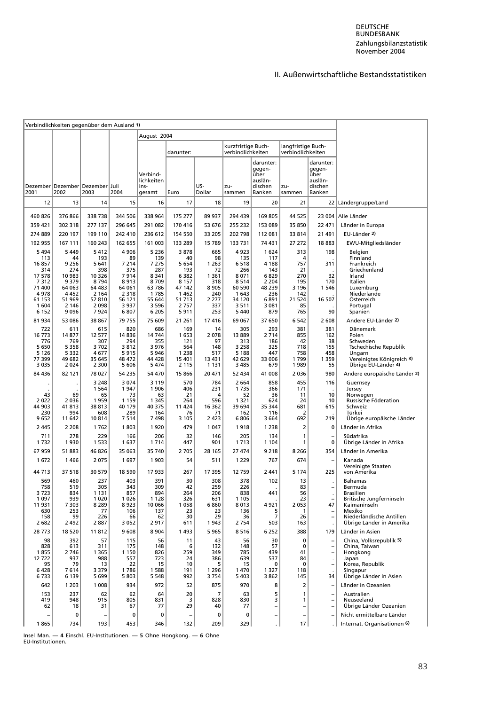|                                                                              | Verbindlichkeiten gegenüber dem Ausland 1)                                          |                                                                                |                                                                                |                                                                                |                                                                                   |                                                                           |                                                                              |                                                                           |                                                                  |                                                                                                       |                                                                                                                                                             |
|------------------------------------------------------------------------------|-------------------------------------------------------------------------------------|--------------------------------------------------------------------------------|--------------------------------------------------------------------------------|--------------------------------------------------------------------------------|-----------------------------------------------------------------------------------|---------------------------------------------------------------------------|------------------------------------------------------------------------------|---------------------------------------------------------------------------|------------------------------------------------------------------|-------------------------------------------------------------------------------------------------------|-------------------------------------------------------------------------------------------------------------------------------------------------------------|
|                                                                              |                                                                                     |                                                                                |                                                                                | August 2004                                                                    |                                                                                   |                                                                           |                                                                              |                                                                           |                                                                  |                                                                                                       |                                                                                                                                                             |
|                                                                              |                                                                                     |                                                                                |                                                                                |                                                                                | darunter:                                                                         |                                                                           | kurzfristige Buch-<br>verbindlichkeiten                                      |                                                                           | langfristige Buch-<br>verbindlichkeiten                          |                                                                                                       |                                                                                                                                                             |
| 2001<br>12                                                                   | Dezember   Dezember   Dezember   Juli<br>2002<br>13                                 | 2003<br>14                                                                     | 2004<br>15                                                                     | Verbind-<br>lichkeiten<br>ins-<br>gesamt<br>16                                 | Euro<br>17                                                                        | US-<br>Dollar<br>18                                                       | zu-<br>sammen<br>19                                                          | darunter:<br>gegen-<br>über<br>auslän-<br>dischen<br>Banken<br>20         | zu-<br>sammen<br>21                                              | darunter:<br>gegen-<br>über<br>auslän-<br>dischen<br>Banken                                           | 22 Ländergruppe/Land                                                                                                                                        |
|                                                                              |                                                                                     |                                                                                |                                                                                |                                                                                |                                                                                   |                                                                           |                                                                              |                                                                           |                                                                  |                                                                                                       |                                                                                                                                                             |
| 460 826                                                                      | 376 866                                                                             | 338 738                                                                        | 344 506                                                                        | 338 964                                                                        | 175 277                                                                           | 89 937                                                                    | 294 439                                                                      | 169 805                                                                   | 44 525                                                           |                                                                                                       | 23 004 Alle Länder                                                                                                                                          |
| 359 421<br>274 889                                                           | 302 318<br>220 197                                                                  | 277 137<br>199 110                                                             | 296 645<br>242 410                                                             | 291 082<br>236 612                                                             | 170 416<br>154 550                                                                | 53 676<br>33 205                                                          | 255 232<br>202 798                                                           | 153 089<br>112 081                                                        | 35 850<br>33 814                                                 | 22 471<br>21 491                                                                                      | Länder in Europa<br>EU-Länder 2)                                                                                                                            |
| 192 955                                                                      | 167 111                                                                             | 160 243                                                                        | 162 655                                                                        | 161 003                                                                        | 133 289                                                                           | 15 789                                                                    | 133 731                                                                      | 74 431                                                                    | 27 272                                                           | 18883                                                                                                 | EWU-Mitgliedsländer                                                                                                                                         |
| 5 4 9 4<br>113<br>16857<br>314<br>17 578<br>7312<br>71 400<br>4978<br>61 153 | 5 4 4 9<br>44<br>9 2 5 6<br>274<br>10 983<br>9 3 7 9<br>64 063<br>4 4 5 2<br>51 969 | 5412<br>193<br>5 6 4 1<br>398<br>10 326<br>8794<br>64 483<br>2 1 6 4<br>52 810 | 4 9 0 6<br>89<br>7 2 1 4<br>375<br>7914<br>8913<br>64 061<br>2 3 1 8<br>56 121 | 5 2 3 6<br>139<br>7 2 7 5<br>287<br>8 3 4 1<br>8709<br>63786<br>1785<br>55 644 | 3878<br>40<br>5 6 5 4<br>193<br>6 3 8 2<br>8 1 5 7<br>47 142<br>1 4 6 2<br>51 713 | 665<br>98<br>1 2 6 3<br>72<br>1 3 6 1<br>318<br>8 9 0 5<br>240<br>2 2 7 7 | 4923<br>135<br>6518<br>266<br>8 0 7 1<br>8514<br>60 590<br>1 6 4 3<br>34 120 | 1624<br>117<br>4 1 8 8<br>143<br>6829<br>2 2 0 4<br>48 239<br>236<br>6891 | 313<br>4<br>757<br>21<br>270<br>195<br>3 1 9 6<br>142<br>21 5 24 | 198<br>311<br>32<br>170<br>1 5 4 6<br>16 507                                                          | Belgien<br>Finnland<br>Frankreich<br>Griechenland<br>Irland<br>Italien<br>Luxemburg<br>Niederlande<br>Österreich                                            |
| 1 604<br>6 1 5 2                                                             | 2 1 4 6<br>9096                                                                     | 2 0 9 8<br>7924                                                                | 3 9 3 7<br>6807                                                                | 3 5 9 6<br>6 2 0 5                                                             | 2 7 5 7<br>5911                                                                   | 337<br>253                                                                | 3 5 1 1<br>5 4 4 0                                                           | 3 0 8 1<br>879                                                            | 85<br>765                                                        | 90                                                                                                    | Portugal<br>Spanien                                                                                                                                         |
| 81 934                                                                       | 53 086                                                                              | 38 867                                                                         | 79 755                                                                         | 75 609                                                                         | 21 261                                                                            | 17416                                                                     | 69 067                                                                       | 37 650                                                                    | 6 5 42                                                           | 2 608                                                                                                 | Andere EU-Länder 2)                                                                                                                                         |
| 722<br>16 773<br>776<br>5 6 5 0<br>5 1 2 6<br>77 399<br>3 0 3 5              | 611<br>14 877<br>769<br>5 3 5 8<br>5 3 3 2<br>49 682<br>2 0 2 4                     | 615<br>12 577<br>307<br>3702<br>4677<br>35 645<br>2 3 0 0                      | 820<br>14836<br>294<br>3812<br>5915<br>48 472<br>5 6 0 6                       | 686<br>14 744<br>355<br>3976<br>5946<br>44 428<br>5474                         | 169<br>1653<br>121<br>564<br>1 2 3 8<br>15 401<br>2 1 1 5                         | 14<br>2078<br>97<br>148<br>517<br>13 4 31<br>1 1 3 1                      | 305<br>13 889<br>313<br>3 2 5 8<br>5 1 8 8<br>42 629<br>3 4 8 5              | 293<br>2714<br>186<br>325<br>447<br>33 006<br>679                         | 381<br>855<br>42<br>718<br>758<br>1799<br>1989                   | 381<br>162<br>38<br>155<br>458<br>1 3 5 9<br>55                                                       | Dänemark<br>Polen<br>Schweden<br>Tschechische Republik<br>Ungarn<br>Vereinigtes Königreich 3)<br>Übrige EU-Länder 4)                                        |
| 84 436                                                                       | 82 121                                                                              | 78 027                                                                         | 54 235                                                                         | 54 470                                                                         | 15 866                                                                            | 20 471                                                                    | 52 434                                                                       | 41 008                                                                    | 2 0 3 6                                                          | 980                                                                                                   | Andere europäische Länder 2)                                                                                                                                |
| 43<br>2 0 2 2<br>44 903<br>230                                               | 69<br>2 0 3 6<br>41813<br>994                                                       | 3 2 4 8<br>1 5 6 4<br>65<br>1959<br>38 813<br>608                              | 3 0 7 4<br>1947<br>73<br>1 1 5 9<br>40 179<br>289                              | 3 1 1 9<br>1906<br>63<br>1 3 4 5<br>40 375<br>164                              | 570<br>406<br>21<br>264<br>11 424<br>76                                           | 784<br>231<br>4<br>596<br>16 362<br>71                                    | 2 6 6 4<br>1735<br>52<br>1 3 2 1<br>39 694<br>162                            | 858<br>366<br>36<br>624<br>35 344<br>116                                  | 455<br>171<br>11<br>24<br>681<br>2                               | 116<br>10<br>10<br>615                                                                                | Guernsey<br>Jersey<br>Norwegen<br>Russische Föderation<br>Schweiz<br>Türkei                                                                                 |
| 9652<br>2 4 4 5                                                              | 11 642<br>2 2 0 8                                                                   | 10814<br>1762                                                                  | 7514<br>1803                                                                   | 7498<br>1920                                                                   | 3 1 0 5<br>479                                                                    | 2423<br>1 0 4 7                                                           | 6806<br>1918                                                                 | 3 6 6 4<br>1 2 3 8                                                        | 692<br>2                                                         | 219<br>$\mathbf 0$                                                                                    | Übrige europäische Länder<br>Länder in Afrika                                                                                                               |
| 711                                                                          | 278                                                                                 | 229                                                                            | 166                                                                            | 206                                                                            | 32                                                                                | 146                                                                       | 205                                                                          | 134                                                                       | 1                                                                |                                                                                                       | Südafrika                                                                                                                                                   |
| 1732<br>67 959                                                               | 1930<br>51883                                                                       | 1 5 3 3<br>46 826                                                              | 1637<br>35 063                                                                 | 1714<br>35 740                                                                 | 447<br>2 7 0 5                                                                    | 901                                                                       | 1713<br>27 474                                                               | 1 1 0 4                                                                   | 1<br>8 2 6 6                                                     | $\mathbf 0$<br>354                                                                                    | Übrige Länder in Afrika                                                                                                                                     |
| 1672                                                                         | 1466                                                                                | 2 0 7 5                                                                        | 1697                                                                           | 1 9 0 3                                                                        | 54                                                                                | 28 165<br>511                                                             | 1 2 2 9                                                                      | 9 2 1 8<br>767                                                            | 674                                                              | $\overline{\phantom{0}}$                                                                              | Länder in Amerika<br>Kanada                                                                                                                                 |
| 44 713                                                                       | 37 518                                                                              | 30 579                                                                         | 18 590                                                                         | 17 933                                                                         | 267                                                                               | 17 395                                                                    | 12 759                                                                       | 2 4 4 1                                                                   | 5 1 7 4                                                          | 225                                                                                                   | Vereinigte Staaten<br>von Amerika                                                                                                                           |
| 569<br>758<br>3723<br>1 0 9 7<br>11931<br>630<br>158<br>2 6 8 2              | 460<br>519<br>834<br>939<br>7 3 0 3<br>253<br>99<br>2 4 9 2                         | 237<br>305<br>1 1 3 1<br>1 0 2 0<br>8 2 8 9<br>77<br>226<br>2887               | 403<br>343<br>857<br>1026<br>8923<br>106<br>66<br>3 0 5 2                      | 391<br>309<br>894<br>1 1 2 8<br>10 066<br>137<br>62<br>2917                    | 30<br>42<br>264<br>326<br>1 0 5 8<br>23<br>30<br>611                              | 308<br>259<br>206<br>631<br>6860<br>23<br>29<br>1943                      | 378<br>226<br>838<br>1 1 0 5<br>8 0 1 3<br>136<br>36<br>2 7 5 4              | 102<br>441<br>4921<br>5<br>7<br>503                                       | 13<br>83<br>56<br>23<br>2053<br>1<br>26<br>163                   | ۰<br>$\overline{\phantom{0}}$<br>47<br>$\overline{\phantom{0}}$<br>$\overline{\phantom{0}}$           | <b>Bahamas</b><br>Bermuda<br><b>Brasilien</b><br>Britische Jungferninseln<br>Kaimaninseln<br>Mexiko<br>Niederländische Antillen<br>Übrige Länder in Amerika |
| 28 773                                                                       | 18 5 20                                                                             | 11812                                                                          | 9608                                                                           | 8 9 0 4                                                                        | 1 4 9 3                                                                           | 5965                                                                      | 8516                                                                         | 6 2 5 2                                                                   | 388                                                              | 179                                                                                                   | Länder in Asien                                                                                                                                             |
| 98<br>828<br>1855<br>12722<br>95<br>6428<br>6733                             | 392<br>613<br>2746<br>937<br>79<br>7614<br>6 1 3 9                                  | 57<br>311<br>1 3 6 5<br>988<br>13<br>3 3 7 9<br>5 6 9 9                        | 115<br>175<br>1 1 5 0<br>557<br>22<br>1786<br>5 8 0 3                          | 56<br>148<br>826<br>723<br>15<br>1588<br>5 5 4 8                               | 11<br>6<br>259<br>24<br>10<br>191<br>992                                          | 43<br>132<br>349<br>386<br>5<br>1 2 9 6<br>3754                           | 56<br>148<br>785<br>639<br>15<br>1470<br>5 4 0 3                             | 30<br>57<br>439<br>537<br>0<br>1 3 2 7<br>3862                            | 0<br>0<br>41<br>84<br>0<br>118<br>145                            | $\overline{\phantom{0}}$<br>$\qquad \qquad -$<br>$\overline{a}$<br>$\cdot$<br>$\qquad \qquad -$<br>34 | China, Volksrepublik 5)<br>China, Taiwan<br>Hongkong<br>Japan<br>Korea, Republik<br>Singapur<br>Übrige Länder in Asien                                      |
| 642                                                                          | 1 2 0 3                                                                             | 1 0 0 8                                                                        | 934                                                                            | 972                                                                            | 52                                                                                | 875                                                                       | 970                                                                          | 8                                                                         | 2                                                                |                                                                                                       | Länder in Ozeanien                                                                                                                                          |
| 153<br>419<br>62                                                             | 237<br>948<br>18                                                                    | 62<br>915<br>31                                                                | 62<br>805<br>67                                                                | 64<br>831<br>77                                                                | 20<br>3<br>29                                                                     | $\overline{7}$<br>828<br>40                                               | 63<br>830<br>77                                                              | 5<br>3<br>$\overline{\phantom{0}}$                                        | $\mathbf{1}$<br>1<br>$\overline{\phantom{a}}$                    | $\overline{\phantom{a}}$<br>$\qquad \qquad -$<br>$\overline{\phantom{a}}$                             | Australien<br>Neuseeland<br>Übrige Länder Ozeanien                                                                                                          |
| 1865                                                                         | 0<br>734                                                                            | $\overline{\phantom{0}}$<br>193                                                | 0<br>453                                                                       | 0<br>346                                                                       | $\overline{\phantom{m}}$<br>132                                                   | 0<br>209                                                                  | $\pmb{0}$<br>329                                                             | $\overline{\phantom{a}}$<br>. .                                           | $\overline{\phantom{a}}$<br>17 <sup>1</sup>                      | $\overline{\phantom{0}}$                                                                              | Nicht ermittelbare Länder<br>Internat. Organisationen 6)                                                                                                    |

Insel Man. — **4** Einschl. EU-Institutionen. — **5** Ohne Hongkong. — **6** Ohne EU-Institutionen.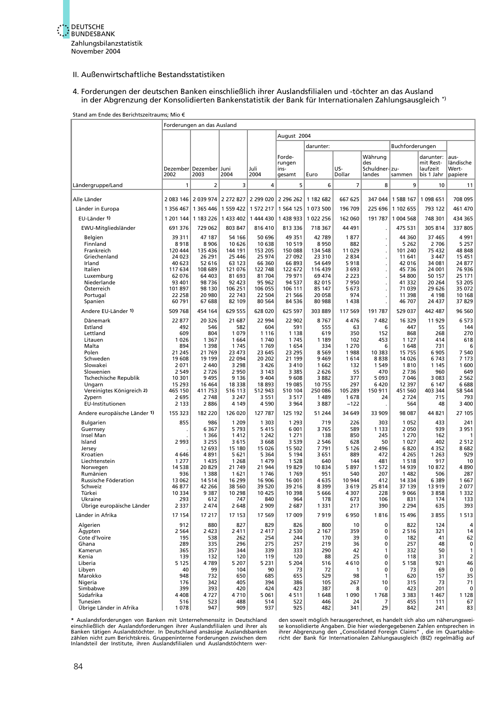

### 4. Forderungen der deutschen Banken einschließlich ihrer Auslandsfilialen und -töchter an das Ausland [in der Abgrenzung der Konsolidierten Bankenstatistik der Bank für Internationalen Zahlungsausgleich \\*\)](#page-21-0)

Stand am Ende des Berichtszeitraums; Mio €

|                                               |                    | Forderungen an das Ausland |                    |                     |                                         |                  |                 |                       |                    |                       |                    |
|-----------------------------------------------|--------------------|----------------------------|--------------------|---------------------|-----------------------------------------|------------------|-----------------|-----------------------|--------------------|-----------------------|--------------------|
|                                               |                    |                            |                    |                     | August 2004                             |                  |                 |                       |                    |                       |                    |
|                                               |                    |                            |                    |                     |                                         | darunter:        |                 |                       | Buchforderungen    |                       |                    |
|                                               |                    |                            |                    |                     | Forde-                                  |                  |                 | Währung               |                    | darunter:             | aus-               |
|                                               |                    | Dezember   Dezember   Juni |                    | Juli                | rungen<br>ins-                          |                  | US-             | des<br>Schuldner- zu- |                    | mit Rest-<br>laufzeit | ländische<br>Wert- |
|                                               | 2002               | 2003                       | 2004               | 2004                | gesamt                                  | Euro             | Dollar          | landes                | sammen             | bis 1 Jahr            | papiere            |
| Ländergruppe/Land                             | $\mathbf{1}$       | $\overline{2}$             | 3                  | 4                   | 5                                       | 6                | $\overline{7}$  | 8                     | 9                  | 10                    | 11                 |
| Alle Länder                                   | 2 083 146          |                            |                    |                     | 2 039 974 2 272 827 2 299 020 2 296 262 | 1 182 682        | 667 625         | 347 044               | 1 588 167          | 1 098 651             | 708 095            |
| Länder in Europa                              | 1 356 467          | 1 365 446                  | 1 559 422          | 1 572 217           | 1 564 125                               | 1073500          | 196 709         | 225 696               | 1 102 655          | 793 122               | 461 470            |
| EU-Länder 1)                                  | 1 201 144          | 1 183 226                  |                    | 1 433 402 1 444 430 | 1 438 933                               | 1 022 256        | 162 060         | 191 787               | 1 004 568          | 748 301               | 434 365            |
| EWU-Mitgliedsländer                           | 691 376            | 729 062                    | 803 847            | 816 410             | 813 336                                 | 718 367          | 44 491          |                       | 475 531            | 305 814               | 337 805            |
| Belgien                                       | 39 311             | 47 187                     | 54 166             | 50 696              | 49 351                                  | 42 789           | 1877            |                       | 44 360             | 37 465                | 4991               |
| Finnland                                      | 8918               | 8 9 0 6                    | 10 626             | 10 638              | 10 519                                  | 8950             | 882             |                       | 5 2 6 2            | 2 7 0 6               | 5 2 5 7            |
| Frankreich                                    | 120 444            | 135 436                    | 144 191            | 153 205             | 150 088                                 | 134 548          | 11 0 29         |                       | 101 240            | 75 432                | 48 848             |
| Griechenland<br>Irland                        | 24 0 23<br>40 623  | 26 291<br>52 616           | 25 4 46<br>63 123  | 25 974<br>66 360    | 27 092<br>66 893                        | 23 310<br>54 649 | 2 8 3 4<br>5918 |                       | 11 641<br>42 016   | 3 4 4 7<br>34 081     | 15 4 51<br>24 877  |
| Italien                                       | 117 634            | 108 689                    | 121 076            | 122 748             | 122 672                                 | 116 439          | 3 6 9 3         |                       | 45 7 36            | 24 001                | 76 936             |
| Luxemburg                                     | 62 076             | 64 403                     | 81 693             | 81 704              | 79 971                                  | 69 474           | 2 2 2 3         |                       | 54 800             | 50 157                | 25 171             |
| Niederlande                                   | 93 401             | 98 736                     | 92 423             | 95 962              | 94 537                                  | 82 015           | 7950            |                       | 41 332             | 20 264                | 53 205             |
| Österreich                                    | 101 897            | 98 130                     | 106 251            | 106 055             | 106 111                                 | 85 147           | 5 6 7 3         |                       | 71 039             | 29 6 26               | 35 072             |
| Portugal<br>Spanien                           | 22 258<br>60791    | 20 980<br>67 688           | 22 743<br>82 109   | 22 504<br>80 564    | 21 5 66<br>84 536                       | 20 058<br>80 988 | 974<br>1438     | $\cdot$               | 11 398<br>46 707   | 4 1 9 8<br>24 437     | 10 168<br>37829    |
| Andere EU-Länder 1)                           | 509 768            | 454 164                    | 629 555            | 628 020             | 625 597                                 | 303 889          | 117 569         | ÷,<br>191 787         | 529 037            | 442 487               | 96 560             |
| Dänemark                                      | 22 877             | 20 3 26                    | 21 687             | 22 994              | 22 902                                  | 8767             | 4 4 7 6         | 7482                  | 16 329             | 11 929                | 6 573              |
| Estland                                       | 492                | 546                        | 582                | 604                 | 591                                     | 555              | 63              | 6                     | 447                | 55                    | 144                |
| Lettland                                      | 609                | 804                        | 1079               | 1 1 1 6             | 1 1 3 8                                 | 619              | 350             | 152                   | 868                | 268                   | 270                |
| Litauen                                       | 1026               | 1 3 6 7                    | 1664               | 1740                | 1745                                    | 1 1 8 9          | 102             | 453                   | 1 1 2 7            | 414                   | 618                |
| Malta<br>Polen                                | 894                | 1 3 9 8<br>21 7 69         | 1745<br>23 473     | 1769<br>23 645      | 1654<br>23 295                          | 334<br>8 5 6 9   | 1 2 7 0<br>1988 | 6<br>10 383           | 1648<br>15 7 5 5   | 731<br>6 9 0 5        | 6<br>7 5 4 0       |
| Schweden                                      | 21 245<br>19 608   | 19 199                     | 22 094             | 20 20 2             | 21 199                                  | 9 4 6 9          | 1614            | 8838                  | 14 0 26            | 6 7 4 3               | 7 1 7 3            |
| Slowakei                                      | 2 0 7 1            | 2 4 4 0                    | 3 2 9 8            | 3 4 2 6             | 3 4 1 0                                 | 1662             | 132             | 1 5 4 9               | 1810               | 1 1 4 5               | 1600               |
| Slowenien                                     | 2 5 4 9            | 2726                       | 2 9 5 0            | 3 1 4 3             | 3 3 8 5                                 | 2 6 2 6          | 55              | 470                   | 2736               | 960                   | 649                |
| Tschechische Republik                         | 10 301             | 9 4 9 5                    | 9 1 3 6            | 9 4 0 4             | 9 6 0 8                                 | 3882             | 377             | 5 0 9 3               | 7046               | 3 0 8 3               | 2 5 6 2            |
| Ungarn                                        | 15 2 93            | 16 4 64                    | 18 3 38            | 18893               | 19 085                                  | 10 755           | 297             | 6420                  | 12 397             | 6 147                 | 6688               |
| Vereinigtes Königreich 2)<br>Zypern           | 465 150<br>2 6 9 5 | 411 753<br>2 7 4 8         | 516 113<br>3 2 4 7 | 512 943<br>3 5 5 1  | 510 104<br>3 5 1 7                      | 250 086<br>1489  | 105 289<br>1678 | 150 911<br>24         | 451 560<br>2724    | 403 344<br>715        | 58 544<br>793      |
| EU-Institutionen                              | 2 1 3 3            | 2886                       | 4 1 4 9            | 4590                | 3 9 6 4                                 | 3887             | $-122$          |                       | 564                | 48                    | 3 4 0 0            |
| Andere europäische Länder 1)                  | 155 323            | 182 220                    | 126 020            | 127 787             | 125 192                                 | 51 244           | 34 649          | 33 909                | 98 087             | 44 821                | 27 105             |
| <b>Bulgarien</b>                              | 855                | 986                        | 1 2 0 9            | 1 3 0 3             | 1 2 9 3                                 | 719              | 226             | 303                   | 1052               | 433                   | 241                |
| Guernsey<br>Insel Man                         |                    | 6 3 6 7<br>1 3 6 6         | 5793<br>1412       | 5415<br>1 2 4 2     | 6 0 0 1<br>1 2 7 1                      | 3765<br>138      | 589<br>850      | 1 1 3 3<br>245        | 2 0 5 0<br>1 2 7 0 | 939<br>162            | 3951<br>1          |
| Island                                        | 2993               | 3 2 5 5                    | 3615               | 3 6 6 8             | 3 5 3 9                                 | 2 5 4 6          | 628             | 50                    | 1 0 2 7            | 402                   | 2512               |
| Jersey                                        |                    | 12 693                     | 15 180             | 15 0 26             | 15 502                                  | 7791             | 5 1 2 6         | 2 4 9 6               | 6820               | 4 3 5 2               | 8682               |
| Kroatien                                      | 4646               | 4891                       | 5 6 2 1            | 5 3 6 4             | 5 1 9 4                                 | 3 6 5 1          | 889             | 472                   | 4 2 6 5            | 1 2 6 3               | 929                |
| Liechtenstein                                 | 1 2 7 7            | 1 4 3 5                    | 1 2 6 8            | 1 4 7 9             | 1 5 2 8                                 | 640              | 144             | 481                   | 1518               | 917                   | 10                 |
| Norwegen                                      | 14 5 38<br>936     | 20829<br>1 3 8 8           | 21749<br>1621      | 21 944              | 19829<br>1769                           | 10834<br>951     | 5897            | 1572<br>207           | 14 9 39            | 10872                 | 4890<br>287        |
| Rumänien<br>Russische Föderation              | 13 062             | 14 5 14                    | 16 299             | 1746<br>16 906      | 16 001                                  | 4635             | 540<br>10 944   | 412                   | 1482<br>14 3 34    | 506<br>6 3 8 9        | 1667               |
| Schweiz                                       | 46 877             | 42 266                     | 38 560             | 39 5 20             | 39 216                                  | 8 3 9 9          | 3619            | 25814                 | 37 139             | 13 919                | 2077               |
| Türkei                                        | 10 3 34            | 9 3 8 7                    | 10 298             | 10 4 25             | 10 398                                  | 5 6 6 6          | 4 3 0 7         | 228                   | 9066               | 3858                  | 1 3 3 2            |
| Ukraine                                       | 293                | 612                        | 747                | 840                 | 964                                     | 178              | 673             | 106                   | 831                | 174                   | 133                |
| Übrige europäische Länder<br>Länder in Afrika | 2 3 3 7<br>17 154  | 2 4 7 4<br>17 217          | 2 6 4 8<br>17 153  | 2 9 0 9<br>17 569   | 2 6 8 7<br>17 009                       | 1 3 3 1<br>7919  | 217<br>6950     | 390<br>1816           | 2 2 9 4<br>15 4 96 | 635<br>3855           | 393                |
| Algerien                                      | 912                | 880                        | 827                | 829                 | 826                                     | 800              | 10              | 0                     | 822                | 124                   | 1513<br>4          |
| Ägypten                                       | 2 5 6 4            | 2 4 2 3                    | 2 4 1 1            | 2 4 1 7             | 2 5 3 0                                 | 2 1 6 7          | 359             | 0                     | 2516               | 321                   | 14                 |
| Cote d'Ivoire                                 | 195                | 538                        | 262                | 254                 | 244                                     | 170              | 39              | 0                     | 182                | 41                    | 62                 |
| Ghana                                         | 289                | 335                        | 296                | 275                 | 257                                     | 219              | 36              | 0                     | 257                | 48                    | $\mathbf 0$        |
| Kamerun                                       | 365                | 357                        | 344                | 339                 | 333                                     | 290              | 42              | $\mathbf{1}$          | 332                | 50                    | $\mathbf{1}$       |
| Kenia                                         | 139                | 132                        | 120                | 119                 | 120                                     | 88               | 25              | 0<br>0                | 118                | 31                    | 2                  |
| Liberia<br>Libyen                             | 5 1 2 5<br>40      | 4789<br>99                 | 5 2 0 7<br>104     | 5 2 3 1<br>90       | 5 2 0 4<br>73                           | 516<br>72        | 4610<br>1       | 0                     | 5 1 5 8<br>73      | 921<br>69             | 46<br>$\pmb{0}$    |
| Marokko                                       | 948                | 732                        | 650                | 685                 | 655                                     | 529              | 98              | $\mathbf{1}$          | 620                | 157                   | 35                 |
| Nigeria                                       | 176                | 342                        | 405                | 394                 | 386                                     | 105              | 267             | 10                    | 315                | 73                    | 71                 |
| Simbabwe                                      | 399                | 393                        | 420                | 424                 | 423                                     | 387              | 8               | 0                     | 423                | 201                   | 0                  |
| Südafrika<br>Tunesien                         | 4 4 0 8            | 4727                       | 4710               | 5 0 6 1             | 4511                                    | 1648             | 1 0 9 0         | 1768                  | 3 3 8 3            | 1 4 6 7               | 1 1 2 8            |
| Übrige Länder in Afrika                       | 516<br>1078        | 523<br>947                 | 488<br>909         | 514<br>937          | 522<br>925                              | 446<br>482       | 24<br>341       | 7<br>29               | 455<br>842         | 111<br>241            | 67<br>83           |

\* Auslandsforderungen von Banken mit Unternehmenssitz in Deutschland den soweit möglich herausgerechnet, es handelt sich also um näherungswei-<br>einschließlich der Auslandsforderungen ihrer Auslandsfilialen und ihrer als se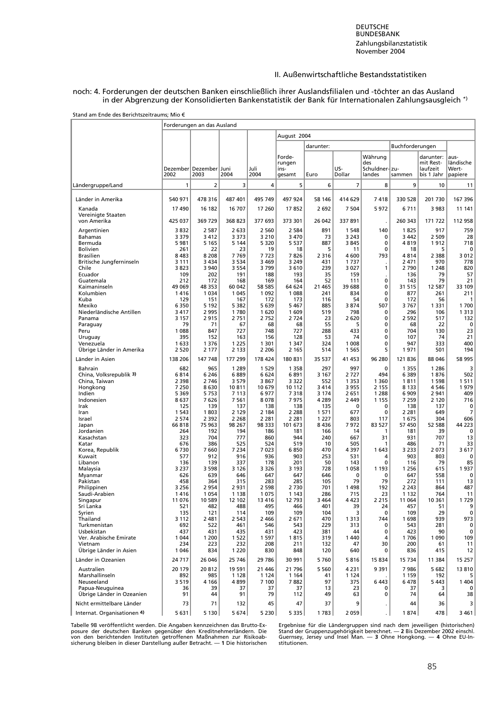### DEUTSCHE **BUNDESBANK** Zahlungsbilanzstatistik November 2004

### II. Außenwirtschaftliche Bestandsstatistiken

### noch: 4. Forderungen der deutschen Banken einschließlich ihrer Auslandsfilialen und -töchter an das Ausland [in der Abgrenzung der Konsolidierten Bankenstatistik der Bank für Internationalen Zahlungsausgleich \\*\)](#page-21-0)

| $3$ tariu anii Enue des bentiniszeni aunis, ivilo $\epsilon$ |                 |                                    |                    |                   |                                    |                    |                    |                                            |                    |                                                  |                                       |
|--------------------------------------------------------------|-----------------|------------------------------------|--------------------|-------------------|------------------------------------|--------------------|--------------------|--------------------------------------------|--------------------|--------------------------------------------------|---------------------------------------|
|                                                              |                 | Forderungen an das Ausland         |                    |                   |                                    |                    |                    |                                            |                    |                                                  |                                       |
|                                                              |                 |                                    |                    |                   | August 2004                        |                    |                    |                                            |                    |                                                  |                                       |
|                                                              |                 |                                    |                    |                   |                                    | darunter:          |                    |                                            | Buchforderungen    |                                                  |                                       |
|                                                              | 2002            | Dezember   Dezember   Juni<br>2003 | 2004               | Juli<br>2004      | Forde-<br>rungen<br>ins-<br>gesamt | Euro               | US-<br>Dollar      | Währung<br>des<br>Schuldner- zu-<br>landes | sammen             | darunter:<br>mit Rest-<br>laufzeit<br>bis 1 Jahr | aus-<br>ländische<br>Wert-<br>papiere |
| Ländergruppe/Land                                            | $\mathbf{1}$    | $\overline{2}$                     | 3                  | 4                 | 5                                  | 6                  | $\overline{7}$     | 8                                          | 9                  | 10                                               | 11                                    |
| Länder in Amerika                                            | 540 971         | 478 316                            | 487 401            | 495 749           | 497 924                            | 58 146             | 414 629            | 7418                                       | 330 528            | 201 730                                          | 167 396                               |
| Kanada                                                       | 17 490          | 16 182                             | 16 707             | 17 260            | 17852                              | 2 6 9 2            | 7 5 0 4            | 5972                                       | 6711               | 3 9 8 3                                          | 11 141                                |
| Vereinigte Staaten<br>von Amerika                            | 425 037         | 369 729                            | 368 823            | 377 693           | 373 301                            | 26 042             | 337 891            |                                            | 260 343            | 171 722                                          | 112 958                               |
| Argentinien                                                  | 3832            | 2 5 8 7                            | 2 6 3 3            | 2 5 6 0           | 2 5 8 4                            | 891                | 1 5 4 8            | 140                                        | 1825               | 917                                              | 759                                   |
| <b>Bahamas</b>                                               | 3 3 7 9         | 3412                               | 3 3 7 3            | 3 2 1 0           | 3 4 7 0                            | 73                 | 3 2 4 3            | 0                                          | 3 4 4 2            | 2 5 0 9                                          | 28                                    |
| Bermuda                                                      | 5981            | 5 1 6 5                            | 5 1 4 4            | 5 3 2 0           | 5 5 3 7                            | 887                | 3845               | 0<br>0                                     | 4819               | 1912                                             | 718                                   |
| <b>Bolivien</b><br><b>Brasilien</b>                          | 261<br>8 4 8 3  | 22<br>8 2 0 8                      | 23<br>7 7 6 9      | 19<br>7723        | 18<br>7826                         | 5<br>2316          | 11<br>4 600        | 793                                        | 18<br>4814         | 5<br>2 3 8 8                                     | 0<br>3012                             |
| Britische Jungferninseln                                     | 3 1 1 1         | 3 4 3 4                            | 3 5 3 4            | 3 4 6 9           | 3 2 4 9                            | 431                | 1737               |                                            | 2 4 7 1            | 970                                              | 778                                   |
| Chile                                                        | 3823            | 3 9 4 0                            | 3 5 5 4            | 3799              | 3610                               | 239                | 3 0 2 7            | 1                                          | 2790               | 1 2 4 8                                          | 820                                   |
| Ecuador                                                      | 109             | 202                                | 191                | 188               | 193                                | 35                 | 159                |                                            | 136                | 79                                               | 57                                    |
| Guatemala                                                    | 212             | 172                                | 168                | 169               | 164                                | 52                 | 111                | 0                                          | 143                | 79                                               | 21                                    |
| Kaimaninseln<br>Kolumbien                                    | 49 069<br>1416  | 48 353<br>1 0 3 4                  | 60 042<br>1 0 4 5  | 58 585<br>1 0 9 2 | 64 624<br>1 0 8 8                  | 21 4 65<br>241     | 39 688<br>834      | 0<br>0                                     | 31 515<br>877      | 12 587<br>261                                    | 33 109<br>211                         |
| Kuba                                                         | 129             | 151                                | 167                | 172               | 173                                | 116                | 54                 | 0                                          | 172                | 56                                               | -1                                    |
| Mexiko                                                       | 6 3 5 0         | 5 1 9 2                            | 5 3 8 2            | 5 6 3 9           | 5 4 6 7                            | 885                | 3874               | 507                                        | 3767               | 1 3 3 1                                          | 1700                                  |
| Niederländische Antillen                                     | 3 4 1 7         | 2 9 9 5                            | 1780               | 1620              | 1 609                              | 519                | 798                | 0                                          | 296                | 106                                              | 1 3 1 3                               |
| Panama                                                       | 3 1 5 7         | 2915                               | 2 7 5 1            | 2752              | 2 7 2 4                            | 23                 | 2 6 2 0            | 0                                          | 2 5 9 2            | 517                                              | 132                                   |
| Paraguay                                                     | 79<br>1 0 8 8   | 71<br>847                          | 67                 | 68<br>748         | 68                                 | 55<br>288          | 5<br>433           | 0<br>0                                     | 68<br>704          | 22<br>130                                        | 0<br>23                               |
| Peru<br>Uruguay                                              | 395             | 152                                | 727<br>163         | 156               | 727<br>128                         | 53                 | 74                 | 0                                          | 107                | 74                                               | 21                                    |
| Venezuela                                                    | 1633            | 1 3 7 6                            | 1 2 2 5            | 1 3 0 1           | 1 3 4 7                            | 324                | 1 0 0 8            | 0                                          | 947                | 333                                              | 400                                   |
| Übrige Länder in Amerika                                     | 2 5 2 0         | 2 1 7 7                            | 2 1 3 3            | 2 2 0 6           | 2 1 6 5                            | 514                | 1 5 6 5            | 5                                          | 1971               | 501                                              | 194                                   |
| Länder in Asien                                              | 138 206         | 147 748                            | 177 299            | 178 424           | 180 831                            | 35 537             | 41 453             | 96 280                                     | 121 836            | 88 046                                           | 58 995                                |
| Bahrain                                                      | 682             | 965                                | 1 2 8 9            | 1 5 2 9           | 1 3 5 8                            | 297                | 997                | $\mathbf 0$                                | 1 3 5 5            | 1 2 8 6                                          | 3                                     |
| China, Volksrepublik 3)                                      | 6814            | 6 2 4 6                            | 6889               | 6624              | 6891                               | 3 1 6 7            | 2727               | 494                                        | 6 3 8 9            | 1876                                             | 502                                   |
| China, Taiwan                                                | 2 3 9 8         | 2746                               | 3 5 7 9            | 3867              | 3 3 2 2                            | 552                | 1 3 5 3            | 1 3 6 0                                    | 1811               | 1 5 9 8                                          | 1511                                  |
| Hongkong                                                     | 7 2 5 0         | 8630                               | 10811              | 10 679            | 10 112                             | 3414               | 3 9 5 5            | 2 1 5 5                                    | 8 1 3 3            | 4 5 4 6                                          | 1979                                  |
| Indien<br>Indonesien                                         | 5 3 6 9<br>8637 | 5753<br>7626                       | 7 1 1 3<br>7 5 6 1 | 6977<br>8078      | 7318<br>7975                       | 3 1 7 4<br>4 2 8 9 | 2 6 5 1<br>2 4 4 9 | 1 2 8 8<br>1 1 5 5                         | 6 9 0 9<br>7 2 5 9 | 2 9 4 1<br>2 1 2 0                               | 409<br>716                            |
| Irak                                                         | 125             | 139                                | 137                | 138               | 138                                | 135                | 0                  | 0                                          | 138                | 137                                              | 0                                     |
| Iran                                                         | 1 5 4 3         | 1803                               | 2 1 2 9            | 2 1 8 4           | 2 2 8 8                            | 1571               | 677                | 0                                          | 2 2 8 1            | 649                                              | 7                                     |
| Israel                                                       | 2 5 7 4         | 2 3 9 2                            | 2 2 6 8            | 2 2 8 1           | 2 2 8 1                            | 1 2 2 7            | 803                | 117                                        | 1675               | 304                                              | 606                                   |
| Japan                                                        | 66818           | 75 963                             | 98 267             | 98 333            | 101 673                            | 8 4 3 6            | 7972               | 83 527                                     | 57 450             | 52 588                                           | 44 223                                |
| Jordanien<br>Kasachstan                                      | 264<br>323      | 192<br>704                         | 194<br>777         | 186<br>860        | 181<br>944                         | 166<br>240         | 14<br>667          | 1<br>31                                    | 181<br>931         | 39<br>707                                        | 0<br>13                               |
| Katar                                                        | 676             | 386                                | 525                | 524               | 519                                | 10                 | 505                | 1                                          | 486                | 71                                               | 33                                    |
| Korea, Republik                                              | 6730            | 7660                               | 7 2 3 4            | 7023              | 6850                               | 470                | 4 3 9 7            | 1643                                       | 3 2 3 3            | 2 0 7 3                                          | 3617                                  |
| Kuwait                                                       | 577             | 912                                | 916                | 936               | 903                                | 253                | 531                | 4                                          | 903                | 803                                              | 0                                     |
| Libanon                                                      | 136             | 139<br>3 5 9 8                     | 337<br>3 1 2 6     | 178               | 201                                | 50                 | 143<br>1 0 5 8     | 0<br>1 1 9 3                               | 116                | 79                                               | 85<br>1937                            |
| Malaysia<br>Myanmar                                          | 3 2 3 7<br>626  | 639                                | 646                | 3 3 2 6<br>647    | 3 1 9 3<br>647                     | 728<br>646         | $\mathbf 0$        | 0                                          | 1 2 5 6<br>647     | 615<br>558                                       | 0                                     |
| Pakistan                                                     | 458             | 364                                | 315                | 283               | 285                                | 105                | 79                 | 79                                         | 272                | 111                                              | 13                                    |
| Philippinen                                                  | 3 2 5 6         | 2954                               | 2931               | 2 5 9 8           | 2 7 3 0                            | 701                | 1498               | 192                                        | 2 2 4 3            | 864                                              | 487                                   |
| Saudi-Arabien                                                | 1416            | 1 0 5 4                            | 1 1 3 8            | 1 0 7 5           | 1 1 4 3                            | 286                | 715                | 23                                         | 1 1 3 2            | 764                                              | 11                                    |
| Singapur                                                     | 11 076<br>521   | 10 589                             | 12 102             | 13 4 16           | 12 793                             | 3464               | 4 4 2 3            | 2 2 1 5                                    | 11 064             | 10 361                                           | 1729<br>9                             |
| Sri Lanka<br>Syrien                                          | 135             | 482<br>121                         | 488<br>114         | 495<br>109        | 466<br>109                         | 401<br>104         | 39<br>3            | 24<br>0                                    | 457<br>109         | 51<br>29                                         | 0                                     |
| Thailand                                                     | 3 1 1 2         | 2481                               | 2 5 4 3            | 2466              | 2671                               | 470                | 1 3 1 3            | 744                                        | 1698               | 939                                              | 973                                   |
| Turkmenistan                                                 | 692             | 522                                | 461                | 546               | 543                                | 229                | 313                | 0                                          | 543                | 281                                              | 0                                     |
| Usbekistan                                                   | 437             | 431                                | 435                | 431               | 423                                | 381                | 44                 | 0                                          | 423                | 90                                               | 0                                     |
| Ver. Arabische Emirate                                       | 1 0 4 4         | 1 200                              | 1 5 2 2            | 1 5 9 7           | 1815                               | 319                | 1440               | 4                                          | 1706               | 1 0 9 0                                          | 109                                   |
| Vietnam<br>Übrige Länder in Asien                            | 234<br>1046     | 223<br>834                         | 232<br>1 2 2 0     | 208<br>830        | 211<br>848                         | 132<br>120         | 47<br>640          | 30<br>0                                    | 200<br>836         | 61<br>415                                        | 11<br>12                              |
| Länder in Ozeanien                                           | 24 7 1 7        | 26 046                             | 25 746             | 29 786            | 30 991                             | 5760               | 5816               | 15 834                                     | 15 7 34            | 11 384                                           | 15 2 5 7                              |
| Australien                                                   | 20 179          | 20812                              | 19 591             | 21 4 46           | 21 796                             | 5 5 6 0            | 4 2 3 1            | 9 3 9 1                                    | 7986               | 5 6 8 2                                          | 13810                                 |
| Marshallinseln                                               | 892             | 985                                | 1 1 2 8            | 1 1 2 4           | 1 1 6 4                            | 41                 | 1 1 2 4            |                                            | 1 1 5 9            | 192                                              | 5                                     |
| Neuseeland                                                   | 3519            | 4 1 6 6                            | 4899               | 7 100             | 7882                               | 97                 | 375                | 6443                                       | 6478               | 5 4 4 3                                          | 1 4 0 4                               |
| Papua-Neuguinea                                              | 36              | 39                                 | 37                 | 37                | 37                                 | 13                 | 23                 | 0                                          | 37                 | 3                                                | O                                     |
| Übrige Länder in Ozeanien                                    | 91              | 44                                 | 91                 | 79                | 112                                | 49                 | 63                 | 0                                          | 74                 | 64                                               | 38                                    |
| Nicht ermittelbare Länder<br>Internat. Organisationen 4)     | 73<br>5 6 3 1   | 71<br>5 1 3 0                      | 132<br>5674        | 45<br>5 2 3 0     | 47<br>5 3 3 5                      | 37<br>1783         | 9<br>2 0 5 9       |                                            | 44<br>1874         | 36<br>478                                        | 3<br>3 4 6 1                          |
|                                                              |                 |                                    |                    |                   |                                    |                    |                    |                                            |                    |                                                  |                                       |

Stand am Ende des Berichtszeitraums; Mio €

Tabelle 9B veröffentlicht werden. Die Angaben kennzeichnen das Brutto-Ex-<br>
posure der deutschen Banken gegenüber den Kreditnehmerländern. Die Stand der Gruppenzugehörigkeit berechnet. — 2 Bis Dezember 2002 einschl.<br>
von de posure der deutschen Banken gegenüber den Kreditnehmerländern. Die Stand der Gruppenzugehörigkeit berechnet. — 2 Bis Dezember 2002 einschl.<br>von den berichtenden Instituten getroffenen Maßnahmen zur Risikoab- Guernsey, Jers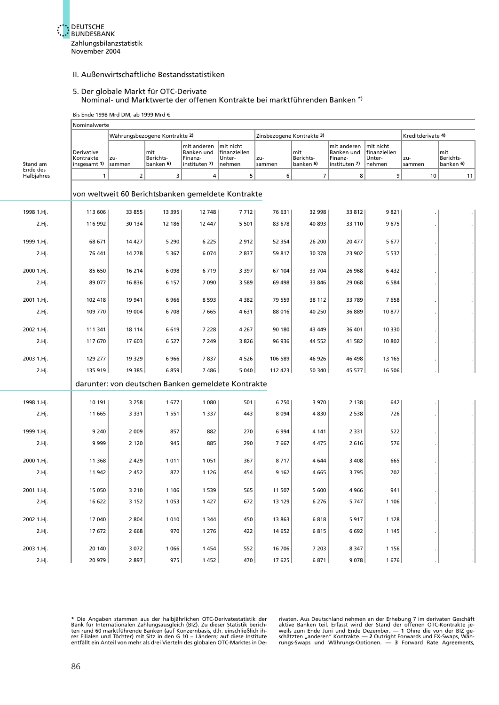

### 5. Der globale Markt für OTC-Derivate Nominal- und Marktwerte der offenen Kontrakte bei marktführenden Banken \*)

|                        |                                         | Bis Ende 1998 Mrd DM, ab 1999 Mrd $\in$            |                               |                                                       |                                                |                           |                               |                                                       |                                                    |                   |                               |  |
|------------------------|-----------------------------------------|----------------------------------------------------|-------------------------------|-------------------------------------------------------|------------------------------------------------|---------------------------|-------------------------------|-------------------------------------------------------|----------------------------------------------------|-------------------|-------------------------------|--|
|                        | Nominalwerte                            |                                                    |                               |                                                       |                                                |                           |                               |                                                       |                                                    |                   |                               |  |
|                        |                                         |                                                    | Währungsbezogene Kontrakte 2) |                                                       |                                                | Zinsbezogene Kontrakte 3) |                               |                                                       |                                                    | Kreditderivate 4) |                               |  |
| Stand am               | Derivative<br>Kontrakte<br>insgesamt 1) | $ZU-$<br>sammen                                    | mit<br>Berichts-<br>banken 6) | mit anderen<br>Banken und<br>Finanz-<br>instituten 7) | mit nicht<br>finanziellen<br>Unter-<br> nehmen | zu-<br>sammen             | mit<br>Berichts-<br>banken 6) | mit anderen<br>Banken und<br>Finanz-<br>instituten 7) | $ $ mit nicht<br>finanziellen<br>Unter-<br>∣nehmen | zu-<br>sammen     | mit<br>Berichts-<br>banken 6) |  |
| Ende des<br>Halbjahres |                                         |                                                    |                               |                                                       |                                                | 6                         |                               | 8                                                     | 9                                                  | 10                | 11                            |  |
|                        |                                         | von weltweit 60 Berichtsbanken gemeldete Kontrakte |                               |                                                       |                                                |                           |                               |                                                       |                                                    |                   |                               |  |
| 1998 1.Hj.             | 113 606                                 | 33 855                                             | 13 3 95                       | 12 748                                                | 7712                                           | 76 631                    | 32 998                        | 33 812                                                | 9821                                               |                   |                               |  |
| 2.Hj.                  | 116 992                                 | 30 134                                             | 12 18 6                       | 12 447                                                | 5 5 0 1                                        | 83 678                    | 40 893                        | 33 110                                                | 9675                                               |                   |                               |  |
| 1999 1.Hj.             | 68 671                                  | 14 427                                             | 5 2 9 0                       | 6 2 2 5                                               | 2912                                           | 52 354                    | 26 200                        | 20 477                                                | 5677                                               |                   |                               |  |
|                        |                                         |                                                    |                               |                                                       |                                                |                           |                               |                                                       |                                                    |                   |                               |  |

| 1998 1.Hj. | 113 606 | 33 855  | 13 3 95 | 12 748                                             | 7712    | 76 631  | 32 998  | 33 812  | 9821    |  |
|------------|---------|---------|---------|----------------------------------------------------|---------|---------|---------|---------|---------|--|
| 2.Hj.      | 116 992 | 30 134  | 12 186  | 12 447                                             | 5 5 0 1 | 83 678  | 40 893  | 33 110  | 9675    |  |
| 1999 1.Hj. | 68 671  | 14 4 27 | 5 2 9 0 | 6 2 2 5                                            | 2912    | 52 354  | 26 200  | 20 477  | 5 6 7 7 |  |
| 2.Hj.      | 76 441  | 14 278  | 5 3 6 7 | 6074                                               | 2837    | 59 817  | 30 378  | 23 902  | 5 5 3 7 |  |
|            |         |         |         |                                                    |         |         |         |         |         |  |
| 2000 1.Hj. | 85 650  | 16 214  | 6098    | 6719                                               | 3 3 9 7 | 67 104  | 33 704  | 26 968  | 6432    |  |
| 2.Hj.      | 89 077  | 16836   | 6 1 5 7 | 7 0 9 0                                            | 3 5 8 9 | 69 498  | 33 846  | 29 0 68 | 6 5 8 4 |  |
| 2001 1.Hj. | 102 418 | 19 941  | 6966    | 8 5 9 3                                            | 4 3 8 2 | 79 559  | 38 112  | 33 789  | 7658    |  |
| 2.Hj.      | 109 770 | 19 004  | 6708    | 7665                                               | 4 6 3 1 | 88 016  | 40 250  | 36 889  | 10877   |  |
|            |         |         |         |                                                    |         |         |         |         |         |  |
| 2002 1.Hj. | 111 341 | 18 114  | 6619    | 7 2 2 8                                            | 4 2 6 7 | 90 180  | 43 449  | 36 401  | 10 3 30 |  |
| 2.Hj.      | 117 670 | 17 603  | 6 5 2 7 | 7 2 4 9                                            | 3826    | 96 936  | 44 5 52 | 41 582  | 10 802  |  |
| 2003 1.Hj. | 129 277 | 19 3 29 | 6966    | 7837                                               | 4 5 2 6 | 106 589 | 46 926  | 46 498  | 13 165  |  |
| 2.Hj.      | 135 919 | 19 385  | 6859    | 7486                                               | 5040    | 112 423 | 50 340  | 45 577  | 16 506  |  |
|            |         |         |         | darunter: von deutschen Banken gemeldete Kontrakte |         |         |         |         |         |  |
|            |         |         |         |                                                    |         |         |         |         |         |  |
| 1998 1.Hj. | 10 191  | 3 2 5 8 | 1677    | 1080                                               | 501     | 6750    | 3 9 7 0 | 2 1 3 8 | 642     |  |
| 2.Hj.      | 11 665  | 3 3 3 1 | 1 5 5 1 | 1 3 3 7                                            | 443     | 8 0 9 4 | 4830    | 2 5 3 8 | 726     |  |
| 1999 1.Hj. | 9 2 4 0 | 2 0 0 9 | 857     | 882                                                | 270     | 6994    | 4 1 4 1 | 2 3 3 1 | 522     |  |
| 2.Hj.      | 9999    | 2 1 2 0 | 945     | 885                                                | 290     | 7667    | 4 4 7 5 | 2616    | 576     |  |
|            |         |         |         |                                                    |         |         |         |         |         |  |
| 2000 1.Hj. | 11 3 68 | 2 4 2 9 | 1011    | 1051                                               | 367     | 8717    | 4 6 4 4 | 3 4 0 8 | 665     |  |
| 2.Hj.      | 11 942  | 2 4 5 2 | 872     | 1 1 2 6                                            | 454     | 9 1 6 2 | 4 6 6 5 | 3795    | 702     |  |
| 2001 1.Hj. | 15 0 50 | 3 2 1 0 | 1 1 0 6 | 1539                                               | 565     | 11 507  | 5 600   | 4966    | 941     |  |
| 2.Hj.      | 16 622  | 3 1 5 2 | 1053    | 1427                                               | 672     | 13 129  | 6 2 7 6 | 5747    | 1 1 0 6 |  |
|            |         |         |         |                                                    |         |         |         |         |         |  |
| 2002 1.Hj. | 17 040  | 2 8 0 4 | 1010    | 1 3 4 4                                            | 450     | 13 863  | 6818    | 5917    | 1 1 2 8 |  |
| 2.Hj.      | 17672   | 2 6 6 8 | 970     | 1 2 7 6                                            | 422     | 14 652  | 6815    | 6 6 9 2 | 1 1 4 5 |  |
| 2003 1.Hj. | 20 140  | 3 0 7 2 | 1066    | 1454                                               | 552     | 16 706  | 7 2 0 3 | 8 3 4 7 | 1 1 5 6 |  |
| 2.Hj.      | 20 979  | 2897    | 975     | 1 4 5 2                                            | 470     | 17 625  | 6871    | 9078    | 1676    |  |

\* Die Angaben stammen aus der halbjährlichen OTC-Derivatestatistik der krivaten. Aus Deutschland nehmen an der Erhebung 7 im derivaten Geschäft –<br>Bank für Internationalen Zahlungsausgleich (BIZ). Zu dieser Statistik berich

\* Die Angaben stammen aus der halbjährlichen OTC-Derivatestatistik der ivaten. Aus Deutschland nehmen an der Erhebung 7 im derivaten Geschäft<br>Bank für Internationalen Zahlungsausgleich (BIZ). Zu dieser Statistik berich- ak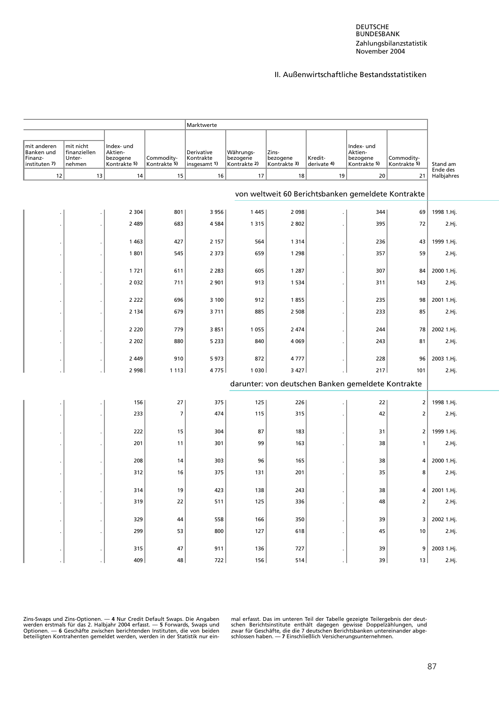|                                                             |                                                     |                                                         |                                  | Marktwerte                                    |                                             |                                         |                              |                                                         |                                              |                                    |
|-------------------------------------------------------------|-----------------------------------------------------|---------------------------------------------------------|----------------------------------|-----------------------------------------------|---------------------------------------------|-----------------------------------------|------------------------------|---------------------------------------------------------|----------------------------------------------|------------------------------------|
| mit anderen<br>Banken und<br>Finanz-<br>instituten 7)<br>12 | mit nicht<br>finanziellen<br>Unter-<br>nehmen<br>13 | Index- und<br>Aktien-<br>bezogene<br>Kontrakte 5)<br>14 | Commodity-<br>Kontrakte 5)<br>15 | Derivative<br>Kontrakte<br>insgesamt 1)<br>16 | Währungs-<br>bezogene<br>Kontrakte 2)<br>17 | Zins-<br>bezogene<br>Kontrakte 3)<br>18 | Kredit-<br>derivate 4)<br>19 | Index- und<br>Aktien-<br>bezogene<br>Kontrakte 5)<br>20 | Commodity-<br>Kontrakte <sup>5</sup> )<br>21 | Stand am<br>Ende des<br>Halbjahres |
|                                                             |                                                     |                                                         |                                  |                                               |                                             |                                         |                              | von weltweit 60 Berichtsbanken gemeldete Kontrakte      |                                              |                                    |
|                                                             |                                                     | 2304                                                    | 801                              | 3956                                          | 1445                                        | 2 0 9 8                                 |                              | 344                                                     | 69                                           | 1998 1.Hj.                         |
|                                                             |                                                     | 2 4 8 9                                                 | 683                              | 4584                                          | 1 3 1 5                                     | 2 8 0 2                                 |                              | 395                                                     | 72                                           | 2.Hj.                              |
|                                                             |                                                     | 1463                                                    | 427                              | 2 1 5 7                                       | 564                                         | 1 3 1 4                                 |                              | 236                                                     | 43                                           | 1999 1.Hj.                         |
|                                                             |                                                     | 1801                                                    | 545                              | 2 3 7 3                                       | 659                                         | 1 2 9 8                                 |                              | 357                                                     | 59                                           | 2.Hj.                              |
|                                                             |                                                     | 1721                                                    | 611                              | 2 2 8 3                                       | 605                                         | 1 2 8 7                                 |                              | 307                                                     | 84                                           | 2000 1.Hj.                         |
|                                                             |                                                     | 2 0 3 2                                                 | 711                              | 2 9 0 1                                       | 913                                         | 1 5 3 4                                 |                              | 311                                                     | 143                                          | 2.Hj.                              |
|                                                             |                                                     | 2 2 2 2                                                 | 696                              | 3 100                                         | 912                                         | 1855                                    |                              | 235                                                     | 98                                           | 2001 1.Hj.                         |
|                                                             |                                                     | 2 1 3 4                                                 | 679                              | 3711                                          | 885                                         | 2 5 0 8                                 |                              | 233                                                     | 85                                           | 2.Hj.                              |
|                                                             |                                                     | 2 2 2 0                                                 | 779                              | 3851                                          | 1 0 5 5                                     | 2 4 7 4                                 |                              | 244                                                     | 78                                           | 2002 1.Hj.                         |
|                                                             |                                                     | 2 2 0 2                                                 | 880                              | 5 2 3 3                                       | 840                                         | 4 0 6 9                                 |                              | 243                                                     | 81                                           | 2.Hj.                              |
|                                                             |                                                     | 2 4 4 9                                                 | 910                              | 5973                                          | 872                                         | 4777                                    |                              | 228                                                     | 96                                           | 2003 1.Hj.                         |
|                                                             |                                                     | 2998                                                    | 1113                             | 4775                                          | 1030                                        | 3 4 2 7                                 |                              | 217                                                     | 101                                          | 2.Hj.                              |
|                                                             |                                                     |                                                         |                                  |                                               |                                             |                                         |                              | darunter: von deutschen Banken gemeldete Kontrakte      |                                              |                                    |
|                                                             |                                                     | 156                                                     | 27                               | 375                                           | 125                                         | 226                                     |                              | 22                                                      | $\overline{2}$                               | 1998 1.Hj.                         |
|                                                             |                                                     | 233                                                     | $\overline{7}$                   | 474                                           | 115                                         | 315                                     |                              | 42                                                      | $\overline{2}$                               | 2.Hj.                              |
|                                                             |                                                     | 222                                                     | 15                               | 304                                           | 87                                          | 183                                     |                              | 31                                                      | $\overline{2}$                               | 1999 1.Hj.                         |
|                                                             |                                                     | 201                                                     | 11                               | 301                                           | 99                                          | 163                                     |                              | 38                                                      | 1                                            | 2.Hj.                              |
|                                                             |                                                     | 208                                                     | 14                               | 303                                           | 96                                          | 165                                     |                              | 38                                                      | 4                                            | 2000 1.Hj.                         |
|                                                             |                                                     | 312                                                     | 16                               | 375                                           | 131                                         | 201                                     |                              | 35                                                      | 8                                            | 2.Hj.                              |
|                                                             |                                                     | 314                                                     | $19$                             | 423                                           | 138                                         | 243                                     |                              | 38                                                      | 4 <sup>1</sup>                               | 2001 1.Hj.                         |
|                                                             |                                                     | 319                                                     | 22                               | 511                                           | 125                                         | 336                                     |                              | 48                                                      | 2                                            | 2.Hj.                              |
|                                                             |                                                     | 329                                                     | 44                               | 558                                           | 166                                         | 350                                     |                              | 39                                                      | 3                                            | 2002 1.Hj.                         |
|                                                             |                                                     | 299                                                     | 53                               | 800                                           | 127                                         | 618                                     |                              | 45                                                      | 10 <sup>1</sup>                              | 2.Hj.                              |
|                                                             |                                                     | 315                                                     | 47                               | 911                                           | 136                                         | 727                                     |                              | 39                                                      | 9                                            | 2003 1.Hj.                         |
|                                                             |                                                     | 409                                                     | 48                               | 722                                           | 156                                         | 514                                     |                              | 39                                                      | 13                                           | 2.Hj.                              |

Zins-Swaps und Zins-Optionen. — 4 Nur Credit Default Swaps. Die Angaben — mal erfasst. Das im unteren Teil der Tabelle gezeigte Teilergebnis der deut-<br>werden erstmals für das 2. Halbjahr 2004 erfasst. — 5 Forwards, Swaps u Zins-Swaps und Zins-Optionen. — 4 Nur Credit Default Swaps. Die Angaben werden erstmals für das 2. Halbjahr 2004 erfasst. — 5 Forwards, Swaps und Optionen. — 6 Geschäfte zwischen berichtenden Instituten, die von beiden bet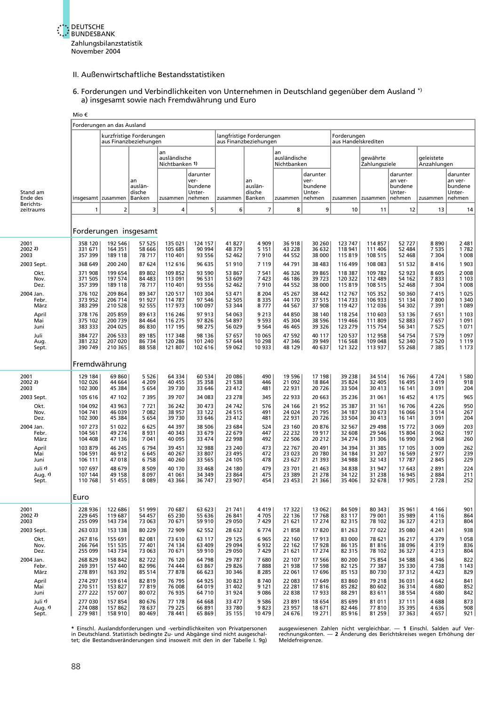

### [6. Forderungen und Verbindlichkeiten von Unternehmen in Deutschland gegenüber dem Ausland \\*\)](#page-24-0) a) insgesamt sowie nach Fremdwährung und Euro

|                        | Mio €              |                            |                                                   |                                      |                                                  |          |                                                   |                                   |                                                 |                                    |                           |                                                    |                           |                                                    |
|------------------------|--------------------|----------------------------|---------------------------------------------------|--------------------------------------|--------------------------------------------------|----------|---------------------------------------------------|-----------------------------------|-------------------------------------------------|------------------------------------|---------------------------|----------------------------------------------------|---------------------------|----------------------------------------------------|
|                        |                    | Forderungen an das Ausland |                                                   |                                      |                                                  |          |                                                   |                                   |                                                 |                                    |                           |                                                    |                           |                                                    |
|                        |                    |                            | kurzfristige Forderungen<br>aus Finanzbeziehungen |                                      |                                                  |          | langfristige Forderungen<br>aus Finanzbeziehungen |                                   |                                                 | Forderungen<br>aus Handelskrediten |                           |                                                    |                           |                                                    |
|                        |                    |                            |                                                   | an<br>ausländische<br>Nichtbanken 1) |                                                  |          |                                                   | an<br>ausländische<br>Nichtbanken |                                                 |                                    | gewährte<br>Zahlungsziele |                                                    | geleistete<br>Anzahlungen |                                                    |
| Stand am<br>Ende des   | insgesamt zusammen |                            | an<br>auslän-<br>dische<br>Banken                 | zusammen                             | darunter<br>ver-<br>bundene<br>Unter-<br> nehmen | zusammen | an<br>auslän-<br>dische<br>Banken                 | zusammen                          | darunter<br>ver-<br>bundene<br>Unter-<br>nehmen | zusammen   zusammen                |                           | darunter<br>an ver-<br>bundene<br>Unter-<br>nehmen | zusammen                  | darunter<br>an ver-<br>bundene<br>Unter-<br>nehmen |
| Berichts-<br>zeitraums | 1                  | $\overline{2}$             | 3                                                 | 4                                    | 5                                                | 6        | $\overline{7}$                                    | 8                                 | 9                                               | 10                                 | 11                        | 12                                                 | 13                        | 14                                                 |
|                        |                    | Forderungen insgesamt      |                                                   |                                      |                                                  |          |                                                   |                                   |                                                 |                                    |                           |                                                    |                           |                                                    |
| 2001                   | 358 120            | 192 546                    | 57 525                                            | 135 021                              | 124 157                                          | 41827    | 4 9 0 9                                           | 36918                             | 30 260                                          | 123 747                            | 114 857                   | 52727                                              | 8890                      | 2481                                               |
| 20022                  | 331 671            | 164 351                    | 58 666                                            | 105 685                              | 90 994                                           | 48 379   | 5 1 5 1                                           | 43 228                            | 36 632                                          | 118 941                            | 111 406                   | 52 484                                             | 7535                      | 1782                                               |
| 2003                   | 357 399            | 189 118                    | 78 717                                            | 110 401                              | 93 556                                           | 52 462   | 7910                                              | 44 552                            | 38 000                                          | 115819                             | 108 515                   | 52 468                                             | 7 3 0 4                   | 1 0 0 8                                            |
| 2003 Sept.             | 368 649            | 200 240                    | 87 624                                            | 112 616                              | 96 635                                           | 51910    | 7 1 1 9                                           | 44 791                            | 38 483                                          | 116 499                            | 108 083                   | 51 532                                             | 8416                      | 1 9 0 3                                            |
| Okt.                   | 371 908            | 199 654                    | 89 802                                            | 109 852                              | 93 590                                           | 53 867   | 7 5 4 1                                           | 46 326                            | 39 865                                          | 118 387                            | 109 782                   | 52 923                                             | 8605                      | 2 0 0 8                                            |
| Nov.                   | 371 505            | 197 574                    | 84 483                                            | 113 091                              | 96 531                                           | 53 609   | 7423                                              | 46 186                            | 39 723                                          | 120 322                            | 112 489                   | 54 162                                             | 7833                      | 1 1 0 3                                            |
| Dez.                   | 357 399            | 189 118                    | 78717                                             | 110 401                              | 93 556                                           | 52 462   | 7910                                              | 44 552                            | 38 000                                          | 115819                             | 108 515                   | 52 468                                             | 7 3 0 4                   | 1 0 0 8                                            |
| 2004 Jan.              | 376 102            | 209 864                    | 89 347                                            | 120 517                              | 103 304                                          | 53 471   | 8 2 0 4                                           | 45 267                            | 38 442                                          | 112 767                            | 105 352                   | 50 360                                             | 7415                      | 1 0 2 5                                            |
| Febr.                  | 373 952            | 206 714                    | 91 927                                            | 114 787                              | 97 546                                           | 52 505   | 8 3 3 5                                           | 44 170                            | 37 515                                          | 114 733                            | 106 933                   | 51 134                                             | 7800                      | 1 3 4 0                                            |
| März                   | 383 299            | 210 528                    | 92 555                                            | 117 973                              | 100 097                                          | 53 344   | 8777                                              | 44 567                            | 37 908                                          | 119 427                            | 112 036                   | 54 302                                             | 7 3 9 1                   | 1 0 8 9                                            |
| April                  | 378 176            | 205 859                    | 89 613                                            | 116 246                              | 97 913                                           | 54 063   | 9 2 1 3                                           | 44 850                            | 38 140                                          | 118 254                            | 110 603                   | 53 136                                             | 7651                      | 1 1 0 3                                            |
| Mai                    | 375 102            | 200 739                    | 84 4 64                                           | 116 275                              | 97826                                            | 54 897   | 9 5 9 3                                           | 45 304                            | 38 596                                          | 119 466                            | 111 809                   | 52 883                                             | 7657                      | 1 0 9 1                                            |
| Juni                   | 383 333            | 204 025                    | 86 830                                            | 117 195                              | 98 275                                           | 56 029   | 9 5 6 4                                           | 46 4 65                           | 39 326                                          | 123 279                            | 115 754                   | 56 341                                             | 7 5 2 5                   | 1 0 7 1                                            |
| Juli                   | 384727             | 206 533                    | 89 185                                            | 117 348                              | 98 136                                           | 57 657   | 10 065                                            | 47 592                            | 40 117                                          | 120 537                            | 112 958                   | 54 754                                             | 7579                      | 1 0 9 7                                            |
| Aug.                   | 381 232            | 207 020                    | 86 734                                            | 120 286                              | 101 240                                          | 57 644   | 10 298                                            | 47 346                            | 39 949                                          | 116 568                            | 109 048                   | 52 340                                             | 7 5 20                    | 1 1 1 9                                            |
| Sept.                  | 390 749            | 210 365                    | 88 558                                            | 121 807                              | 102 616                                          | 59 062   | 10 933                                            | 48 129                            | 40 637                                          | 121 322                            | 113 937                   | 55 268                                             | 7 3 8 5                   | 1 1 7 3                                            |
|                        | Fremdwährung       |                            |                                                   |                                      |                                                  |          |                                                   |                                   |                                                 |                                    |                           |                                                    |                           |                                                    |
| 2001                   | 129 184            | 69 860                     | 5 5 2 6                                           | 64 3 34                              | 60 534                                           | 20 086   | 490                                               | 19 596                            | 17 198                                          | 39 238                             | 34 514                    | 16 766                                             | 4724                      | 1 580                                              |
| 2002 2)                | 102 026            | 44 664                     | 4 2 0 9                                           | 40 455                               | 35 358                                           | 21 538   | 446                                               | 21 092                            | 18 8 64                                         | 35 824                             | 32 405                    | 16 495                                             | 3419                      | 918                                                |
| 2003                   | 102 300            | 45 384                     | 5 6 5 4                                           | 39 730                               | 33 646                                           | 23 412   | 481                                               | 22 931                            | 20 726                                          | 33 504                             | 30 413                    | 16 141                                             | 3 0 9 1                   | 204                                                |
| 2003 Sept.             | 105 616            | 47 102                     | 7 3 9 5                                           | 39 707                               | 34 083                                           | 23 278   | 345                                               | 22 933                            | 20 663                                          | 35 236                             | 31 061                    | 16 452                                             | 4 1 7 5                   | 965                                                |
| Okt.                   | 104 092            | 43 963                     | 7721                                              | 36 242                               | 30 473                                           | 24 742   | 576                                               | 24 166                            | 21 952                                          | 35 387                             | 31 161                    | 16 706                                             | 4 2 2 6                   | 950                                                |
| Nov.                   | 104 741            | 46 039                     | 7 0 8 2                                           | 38 957                               | 33 122                                           | 24 5 1 5 | 491                                               | 24 0 24                           | 21 7 95                                         | 34 187                             | 30 673                    | 16 066                                             | 3514                      | 267                                                |
| Dez.                   | 102 300            | 45 384                     | 5 6 5 4                                           | 39 7 30                              | 33 646                                           | 23 412   | 481                                               | 22 931                            | 20 7 26                                         | 33 504                             | 30 413                    | 16 141                                             | 3 0 9 1                   | 204                                                |
| 2004 Jan.              | 107 273            | 51 022                     | 6 6 2 5                                           | 44 397                               | 38 506                                           | 23 684   | 524                                               | 23 160                            | 20 876                                          | 32 567                             | 29 4 98                   | 15772                                              | 3 0 6 9                   | 203                                                |
| Febr.                  | 104 561            | 49 274                     | 8931                                              | 40 343                               | 33 679                                           | 22 679   | 447                                               | 22 232                            | 19 917                                          | 32 608                             | 29 546                    | 15 804                                             | 3 0 6 2                   | 197                                                |
| März                   | 104 408            | 47 136                     | 7 0 4 1                                           | 40 095                               | 33 474                                           | 22 998   | 492                                               | 22 506                            | 20 212                                          | 34 274                             | 31 30 6                   | 16 990                                             | 2 9 6 8                   | 260                                                |
| April                  | 103 879            | 46 245                     | 6794                                              | 39 451                               | 32 988                                           | 23 240   | 473                                               | 22 767                            | 20 491                                          | 34 394                             | 31 385                    | 17 105                                             | 3 0 0 9                   | 262                                                |
| Mai                    | 104 591            | 46 912                     | 6 6 4 5                                           | 40 267                               | 33 807                                           | 23 495   | 472                                               | 23 023                            | 20 780                                          | 34 184                             | 31 207                    | 16 569                                             | 2977                      | 239                                                |
| Juni                   | 106 111            | 47 018                     | 6758                                              | 40 260                               | 33 565                                           | 24 105   | 478                                               | 23 627                            | 21 3 9 3                                        | 34 988                             | 32 143                    | 17787                                              | 2845                      | 229                                                |
| Juli r)                | 107 697            | 48 679                     | 8 5 0 9                                           | 40 170                               | 33 468                                           | 24 180   | 479                                               | 23 701                            | 21 4 63                                         | 34 838                             | 31 947                    | 17 643                                             | 2891                      | 224                                                |
| Aug. r)                | 107 144            | 49 158                     | 8 0 9 7                                           | 41 061                               | 34 349                                           | 23 864   | 475                                               | 23 389                            | 21 278                                          | 34 122                             | 31 238                    | 16 945                                             | 2884                      | 211                                                |
| Sept.                  | 110 768            | 51 455                     | 8 0 8 9                                           | 43 366                               | 36 747                                           | 23 907   | 454                                               | 23 453                            | 21 3 66                                         | 35 406                             | 32 678                    | 17 905                                             | 2728                      | 252                                                |
|                        | Euro               |                            |                                                   |                                      |                                                  |          |                                                   |                                   |                                                 |                                    |                           |                                                    |                           |                                                    |
| 2001                   | 228 936            | 122 686                    | 51 999                                            | 70 687                               | 63 623                                           | 21 741   | 4419                                              | 17 322                            | 13 062                                          | 84 509                             | 80 343                    | 35 961                                             | 4 1 6 6                   | 901                                                |
| 2002 2)                | 229 645            | 119 687                    | 54 457                                            | 65 230                               | 55 636                                           | 26 841   | 4705                                              | 22 136                            | 17 768                                          | 83 117                             | 79 001                    | 35 989                                             | 4 1 1 6                   | 864                                                |
| 2003                   | 255 099            | 143 734                    | 73 063                                            | 70 671                               | 59 910                                           | 29 050   | 7429                                              | 21 621                            | 17 274                                          | 82 315                             | 78 102                    | 36 327                                             | 4 2 1 3                   | 804                                                |
| 2003 Sept.             | 263 033            | 153 138                    | 80 229                                            | 72 909                               | 62 552                                           | 28 632   | 6774                                              | 21858                             | 17820                                           | 81 263                             | 77 022                    | 35 080                                             | 4 2 4 1                   | 938                                                |
| Okt.                   | 267816             | 155 691                    | 82 081                                            | 73 610                               | 63 117                                           | 29 125   | 6965                                              | 22 160                            | 17913                                           | 83 000                             | 78 621                    | 36 217                                             | 4 3 7 9                   | 1 0 5 8                                            |
| Nov.                   | 266 764            | 151 535                    | 77 401                                            | 74 134                               | 63 409                                           | 29 0 94  | 6932                                              | 22 162                            | 17928                                           | 86 135                             | 81816                     | 38 0 96                                            | 4319                      | 836                                                |
| Dez.                   | 255 099            | 143 734                    | 73 063                                            | 70 671                               | 59 910                                           | 29 050   | 7429                                              | 21 621                            | 17 274                                          | 82 315                             | 78 102                    | 36 327                                             | 4 2 1 3                   | 804                                                |
| 2004 Jan.              | 268 829            | 158 842                    | 82722                                             | 76 120                               | 64798                                            | 29 787   | 7680                                              | 22 107                            | 17 566                                          | 80 200                             | 75 854                    | 34 588                                             | 4 3 4 6                   | 822                                                |
| Febr.                  | 269 391            | 157 440                    | 82 996                                            | 74 444                               | 63 867                                           | 29826    | 7888                                              | 21 938                            | 17 598                                          | 82 125                             | 77 387                    | 35 330                                             | 4738                      | 1 1 4 3                                            |
| März                   | 278 891            | 163 392                    | 85 514                                            | 77878                                | 66 623                                           | 30 346   | 8 2 8 5                                           | 22 061                            | 17 696                                          | 85 153                             | 80 730                    | 37 312                                             | 4423                      | 829                                                |
| April                  | 274 297            | 159 614                    | 82 819                                            | 76 795                               | 64 925                                           | 30823    | 8740                                              | 22 083                            | 17 649                                          | 83 860                             | 79 218                    | 36 031                                             | 4642                      | 841                                                |
| Mai                    | 270 511            | 153 827                    | 77819                                             | 76 008                               | 64 019                                           | 31 402   | 9 1 2 1                                           | 22 281                            | 17816                                           | 85 282                             | 80 602                    | 36 314                                             | 4680                      | 852                                                |
| Juni                   | 277 222            | 157 007                    | 80 072                                            | 76 935                               | 64 710                                           | 31924    | 9086                                              | 22 8 38                           | 17 933                                          | 88 291                             | 83 611                    | 38 5 54                                            | 4680                      | 842                                                |
| Juli r)                | 277 030            | 157 854                    | 80 676                                            | 77 178                               | 64 668                                           | 33 477   | 9 5 8 6                                           | 23 891                            | 18 654                                          | 85 699                             | 81 011                    | 37 111                                             | 4688                      | 873                                                |
| Aug. r)                | 274 088            | 157 862                    | 78 637                                            | 79 225                               | 66891                                            | 33 780   | 9823                                              | 23 957                            | 18 671                                          | 82 446                             | 77810                     | 35 395                                             | 4636                      | 908                                                |
| Sept.                  | 279 981            | 158 910                    | 80 469                                            | 78 441                               | 65 869                                           | 35 155   | 10 479                                            | 24 676                            | 19 271                                          | 85 916                             | 81 259                    | 37 363                                             | 4 657                     | 921                                                |

\* Einschl. Auslandsforderungen und -verbindlichkeiten von Privatpersonen zusgewiesenen Zahlen nicht vergleichbar. — 1 Einschl. Salden auf Ver-<br>in Deutschland. Statistisch bedingte Zu- und Abgänge sind nicht ausgeschal- vec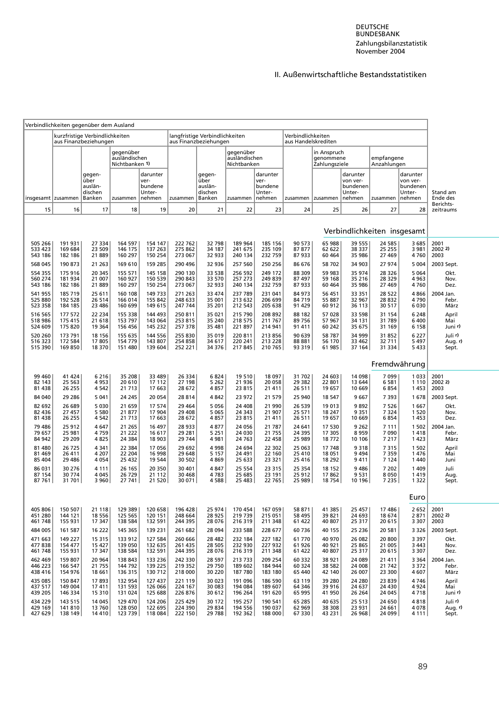| Verbindlichkeiten gegenüber dem Ausland |         |                                                                                                                                                                |                                      |                                              |                                       |          |                                      |                                           |                                       |                   |                                           |                                            |                             |                                            |                       |
|-----------------------------------------|---------|----------------------------------------------------------------------------------------------------------------------------------------------------------------|--------------------------------------|----------------------------------------------|---------------------------------------|----------|--------------------------------------|-------------------------------------------|---------------------------------------|-------------------|-------------------------------------------|--------------------------------------------|-----------------------------|--------------------------------------------|-----------------------|
|                                         |         | kurzfristige Verbindlichkeiten<br>langfristige Verbindlichkeiten<br>Verbindlichkeiten<br>aus Finanzbeziehungen<br>aus Finanzbeziehungen<br>aus Handelskrediten |                                      |                                              |                                       |          |                                      |                                           |                                       |                   |                                           |                                            |                             |                                            |                       |
|                                         |         |                                                                                                                                                                |                                      | gegenüber<br>ausländischen<br>Nichtbanken 1) |                                       |          |                                      | gegenüber<br>ausländischen<br>Nichtbanken |                                       |                   | in Anspruch<br>genommene<br>Zahlungsziele |                                            | empfangene<br>Anzahlungen   |                                            |                       |
|                                         |         |                                                                                                                                                                | gegen-<br>über<br>auslän-<br>dischen |                                              | darunter<br>ver-<br>bundene<br>Unter- |          | gegen-<br>über<br>auslän-<br>dischen |                                           | darunter<br>ver-<br>bundene<br>Unter- |                   |                                           | darunter<br>von ver-<br>bundenen<br>Unter- |                             | darunter<br>von ver-<br>bundenen<br>Unter- | Stand am              |
|                                         |         | insgesamt   zusammen                                                                                                                                           | Banken                               | zusammen                                     | nehmen                                | zusammen | Banken                               | zusammen                                  | nehmen                                | zusammen zusammen |                                           | nehmen                                     | zusammen                    | nehmen                                     | Ende des<br>Berichts- |
|                                         | 15      | 16                                                                                                                                                             | 17                                   | 18                                           | 19                                    | 20       | 21                                   | 22                                        | 23                                    | 24                | 25                                        | 26                                         | 27                          | 28                                         | zeitraums             |
|                                         |         |                                                                                                                                                                |                                      |                                              |                                       |          |                                      |                                           |                                       |                   |                                           |                                            | Verbindlichkeiten insgesamt |                                            |                       |
|                                         | 505 266 | 191 931                                                                                                                                                        | 27 334                               | 164 597                                      | 154 147                               | 222 762  | 32 798                               | 189 964                                   | 185 156                               | 90 573            | 65 988                                    | 39 555                                     | 24 5 85                     | 3 6 8 5                                    | 2001                  |
|                                         | 533 423 | 169 684                                                                                                                                                        | 23 509                               | 146 175                                      | 137 263                               | 275 862  | 34 187                               | 241 675                                   | 235 109                               | 87 877            | 62 622                                    | 38 337                                     | 25 25 5                     | 3 9 8 1                                    | 2002 2)               |
|                                         | 543 186 | 182 186                                                                                                                                                        | 21889                                | 160 297                                      | 150 254                               | 273 067  | 32 933                               | 240 134                                   | 232 759                               | 87 933            | 60 4 64                                   | 35 986                                     | 27 469                      | 4760                                       | 2003                  |
|                                         | 568 045 | 190 873                                                                                                                                                        | 21 263                               | 169 610                                      | 159 285                               | 290 496  | 32 936                               | 257 560                                   | 250 256                               | 86 676            | 58 702                                    | 34 903                                     | 27 974                      | 5 0 0 4                                    | 2003 Sept.            |
|                                         | 554 355 | 175 916                                                                                                                                                        | 20 345                               | 155 571                                      | 145 158                               | 290 130  | 33 538                               | 256 592                                   | 249 172                               | 88 309            | 59 983                                    | 35 974                                     | 28 3 26                     | 5 0 6 4                                    | Okt.                  |
|                                         | 560 274 | 181 934                                                                                                                                                        | 21 007                               | 160 927                                      | 150 539                               | 290 843  | 33 570                               | 257 273                                   | 249839                                | 87 497            | 59 168                                    | 35 216                                     | 28 3 29                     | 4 9 6 3                                    | Nov.                  |
|                                         | 543 186 | 182 186                                                                                                                                                        | 21889                                | 160 297                                      | 150 254                               | 273 067  | 32 933                               | 240 134                                   | 232 759                               | 87 933            | 60 4 64                                   | 35 986                                     | 27 469                      | 4760                                       | Dez.                  |
|                                         | 541 955 | 185 719                                                                                                                                                        | 25 611                               | 160 108                                      | 149 733                               | 271 263  | 33 4 74                              | 237 789                                   | 231 041                               | 84 973            | 56 451                                    | 33 351                                     | 28 5 22                     | 4866                                       | 2004 Jan.             |
|                                         | 525 880 | 192 528                                                                                                                                                        | 26 5 14                              | 166 014                                      | 155 842                               | 248 633  | 35 001                               | 213 632                                   | 206 699                               | 84 719            | 55 887                                    | 32 967                                     | 28 832                      | 4790                                       | Febr.                 |
|                                         | 523 358 | 184 185                                                                                                                                                        | 23 4 86                              | 160 699                                      | 149 615                               | 247 744  | 35 201                               | 212 543                                   | 205 638                               | 91 429            | 60 912                                    | 36 113                                     | 30 517                      | 6030                                       | März                  |
|                                         | 516 565 | 177 572                                                                                                                                                        | 22 234                               | 155 338                                      | 144 493                               | 250 811  | 35 021                               | 215 790                                   | 208 892                               | 88 182            | 57 028                                    | 33 598                                     | 31 154                      | 6 2 4 8                                    | April                 |
|                                         | 518 986 | 175 415                                                                                                                                                        | 21 618                               | 153 797                                      | 143 064                               | 253 815  | 35 240                               | 218 575                                   | 211 767                               | 89 756            | 57 967                                    | 34 131                                     | 31 789                      | 6400                                       | Mai                   |
|                                         | 524 609 | 175 820                                                                                                                                                        | 19 3 64                              | 156 456                                      | 145 232                               | 257 378  | 35 481                               | 221 897                                   | 214 941                               | 91 411            | 60 242                                    | 35 675                                     | 31 169                      | 6 1 5 8                                    | Juni r)               |
|                                         | 520 260 | 173 791                                                                                                                                                        | 18 15 6                              | 155 635                                      | 144 556                               | 255 830  | 35 019                               | 220 811                                   | 213 856                               | 90 639            | 58 787                                    | 34 999                                     | 31852                       | 6 2 2 7                                    | Juli r)               |
|                                         | 516 323 | 172 584                                                                                                                                                        | 17805                                | 154 779                                      | 143 807                               | 254 858  | 34 617                               | 220 241                                   | 213 228                               | 88 881            | 56 170                                    | 33 462                                     | 32 711                      | 5 4 9 7                                    | Aug. r)               |
|                                         | 515 390 | 169 850                                                                                                                                                        | 18 370                               | 151 480                                      | 139 604                               | 252 221  | 34 376                               | 217 845                                   | 210 765                               | 93 319            | 61 985                                    | 37 164                                     | 31 334                      | 5 4 3 3                                    | Sept.                 |
|                                         |         |                                                                                                                                                                |                                      |                                              |                                       |          |                                      |                                           |                                       |                   |                                           |                                            |                             | Fremdwährung                               |                       |
|                                         | 99 460  | 41 424                                                                                                                                                         | 6 2 1 6                              | 35 208                                       | 33 489                                | 26 334   | 6824                                 | 19 510                                    | 18 097                                | 31 702            | 24 603                                    | 14 098                                     | 7 0 9 9                     | 1 0 3 3                                    | 2001                  |
|                                         | 82 143  | 25 5 63                                                                                                                                                        | 4953                                 | 20 610                                       | 17 112                                | 27 198   | 5 2 6 2                              | 21 936                                    | 20 058                                | 29 3 82           | 22 801                                    | 13 644                                     | 6 5 8 1                     | 1 1 1 0                                    | 2002 2)               |
|                                         | 81 438  | 26 255                                                                                                                                                         | 4 5 4 2                              | 21 7 13                                      | 17 663                                | 28 672   | 4857                                 | 23 815                                    | 21 4 11                               | 26 511            | 19 657                                    | 10 669                                     | 6854                        | 1453                                       | 2003                  |
|                                         | 84 040  | 29 28 6                                                                                                                                                        | 5 0 4 1                              | 24 245                                       | 20 054                                | 28 8 14  | 4 8 4 2                              | 23 972                                    | 21 579                                | 25 940            | 18 547                                    | 9667                                       | 7 3 9 3                     | 1678                                       | 2003 Sept.            |
|                                         | 82 692  | 26 689                                                                                                                                                         | 5 0 3 0                              | 21 659                                       | 17 574                                | 29 4 64  | 5056                                 | 24 408                                    | 21 990                                | 26 539            | 19 013                                    | 9892                                       | 7 5 2 6                     | 1667                                       | Okt.                  |
|                                         | 82 436  | 27 457                                                                                                                                                         | 5 5 8 0                              | 21 877                                       | 17 904                                | 29 408   | 5 0 6 5                              | 24 343                                    | 21 907                                | 25 571            | 18 247                                    | 9 3 5 1                                    | 7 3 2 4                     | 1 5 2 0                                    | Nov.                  |
|                                         | 81 438  | 26 255                                                                                                                                                         | 4 5 4 2                              | 21 7 13                                      | 17 663                                | 28 672   | 4857                                 | 23 815                                    | 21 4 11                               | 26 511            | 19 657                                    | 10 669                                     | 6854                        | 1 4 5 3                                    | Dez.                  |
|                                         | 79 486  | 25 912                                                                                                                                                         | 4 6 4 7                              | 21 265                                       | 16 497                                | 28 933   | 4877                                 | 24 056                                    | 21 787                                | 24 641            | 17 530                                    | 9 2 6 2                                    | 7 1 1 1                     | 1 5 0 2                                    | 2004 Jan.             |
|                                         | 79 657  | 25 981                                                                                                                                                         | 4759                                 | 21 222                                       | 16 617                                | 29 281   | 5 2 5 1                              | 24 030                                    | 21 7 5 5                              | 24 3 95           | 17 305                                    | 8959                                       | 7 0 9 0                     | 1418                                       | Febr.                 |
|                                         | 84 942  | 29 209                                                                                                                                                         | 4825                                 | 24 384                                       | 18 903                                | 29 744   | 4 9 8 1                              | 24 763                                    | 22 458                                | 25 989            | 18772                                     | 10 10 6                                    | 7 2 1 7                     | 1 4 2 3                                    | März                  |
|                                         | 81 480  | 26 725                                                                                                                                                         | 4 3 4 1                              | 22 384                                       | 17 056                                | 29 692   | 4 9 9 8                              | 24 694                                    | 22 302                                | 25 063            | 17 748                                    | 9318                                       | 7315                        | 1 5 0 2                                    | April                 |
|                                         | 81 469  | 26 411                                                                                                                                                         | 4 2 0 7                              | 22 204                                       | 16 998                                | 29 648   | 5 1 5 7                              | 24 491                                    | 22 160                                | 25 410            | 18 051                                    | 9494                                       | 7 3 5 9                     | 1476                                       | Mai                   |
|                                         | 85 404  | 29 4 86                                                                                                                                                        | 4 0 5 4                              | 25 4 32                                      | 19 544                                | 30 502   | 4869                                 | 25 633                                    | 23 321                                | 25 4 16           | 18 29 2                                   | 9411                                       | 7 1 2 4                     | 1440                                       | Juni                  |
|                                         | 86 031  | 30 276                                                                                                                                                         | 4 1 1 1                              | 26 165                                       | 20 350                                | 30 401   | 4847                                 | 25 554                                    | 23 3 15                               | 25 3 54           | 18 152                                    | 9486                                       | 7 202                       | 1 4 0 9                                    | Juli                  |
|                                         | 87 154  | 30774                                                                                                                                                          | 4 0 4 5                              | 26 729                                       | 21 1 12                               | 30 4 68  | 4783                                 | 25 685                                    | 23 191                                | 25 912            | 17862                                     | 9531                                       | 8 0 5 0                     | 1419                                       | Aug.                  |
|                                         | 87 761  | 31 701                                                                                                                                                         | 3 9 6 0                              | 27 741                                       | 21 5 20                               | 30 071   | 4588                                 | 25 483                                    | 22 765                                | 25 989            | 18 7 54                                   | 10 196                                     | 7 2 3 5                     | 1 3 2 2                                    | Sept.                 |
|                                         |         |                                                                                                                                                                |                                      |                                              |                                       |          |                                      |                                           |                                       |                   |                                           |                                            |                             | Euro                                       |                       |
|                                         | 405 806 | 150 507                                                                                                                                                        | 21 1 18                              | 129 389                                      | 120 658                               | 196 428  | 25 974                               | 170 454                                   | 167 059                               | 58 871            | 41 385                                    | 25 457                                     | 17486                       | 2652                                       | 2001                  |
|                                         | 451 280 | 144 121                                                                                                                                                        | 18 5 5 6                             | 125 565                                      | 120 151                               | 248 664  | 28 9 25                              | 219 739                                   | 215 051                               | 58 495            | 39 821                                    | 24 693                                     | 18 674                      | 2871                                       | 2002 2)               |
|                                         | 461748  | 155 931                                                                                                                                                        | 17 347                               | 138 584                                      | 132 591                               | 244 395  | 28 0 76                              | 216 319                                   | 211 348                               | 61 422            | 40 807                                    | 25 317                                     | 20 615                      | 3 3 0 7                                    | 2003                  |
|                                         | 484 005 | 161 587                                                                                                                                                        | 16 222                               | 145 365                                      | 139 231                               | 261 682  | 28 0 94                              | 233 588                                   | 228 677                               | 60736             | 40 155                                    | 25 236                                     | 20 581                      | 3 3 2 6                                    | 2003 Sept.            |
|                                         | 471 663 | 149 227                                                                                                                                                        | 15 3 15                              | 133 912                                      | 127 584                               | 260 666  | 28 4 82                              | 232 184                                   | 227 182                               | 61 770            | 40 970                                    | 26 082                                     | 20 800                      | 3 3 9 7                                    | Okt.                  |
|                                         | 477838  | 154 477                                                                                                                                                        | 15 427                               | 139 050                                      | 132 635                               | 261 435  | 28 5 05                              | 232 930                                   | 227 932                               | 61926             | 40 921                                    | 25 865                                     | 21 005                      | 3 4 4 3                                    | Nov.                  |
|                                         | 461748  | 155 931                                                                                                                                                        | 17 347                               | 138 584                                      | 132 591                               | 244 395  | 28 0 76                              | 216 319                                   | 211 348                               | 61 422            | 40 807                                    | 25 317                                     | 20 615                      | 3 3 0 7                                    | Dez.                  |
|                                         | 462 469 | 159 807                                                                                                                                                        | 20 964                               | 138 843                                      | 133 236                               | 242 330  | 28 597                               | 213 733                                   | 209 254                               | 60 332            | 38 921                                    | 24 089                                     | 21 4 11                     | 3 3 6 4                                    | 2004 Jan.             |
|                                         | 446 223 | 166 547                                                                                                                                                        | 21 7 5 5                             | 144 792                                      | 139 225                               | 219 352  | 29 750                               | 189 602                                   | 184 944                               | 60 324            | 38 582                                    | 24 008                                     | 21 742                      | 3 3 7 2                                    | Febr.                 |
|                                         | 438 416 | 154 976                                                                                                                                                        | 18 661                               | 136 315                                      | 130 712                               | 218 000  | 30 220                               | 187 780                                   | 183 180                               | 65 440            | 42 140                                    | 26 007                                     | 23 300                      | 4607                                       | März                  |
|                                         | 435 085 | 150 847                                                                                                                                                        | 17893                                | 132 954                                      | 127 437                               | 221 119  | 30 023                               | 191 096                                   | 186 590                               | 63 119            | 39 280                                    | 24 280                                     | 23 839                      | 4746                                       | April                 |
|                                         | 437 517 | 149 004                                                                                                                                                        | 17411                                | 131 593                                      | 126 066                               | 224 167  | 30 083                               | 194 084                                   | 189 607                               | 64 34 6           | 39 916                                    | 24 637                                     | 24 430                      | 4924                                       | Mai                   |
|                                         | 439 205 | 146 334                                                                                                                                                        | 15 3 10                              | 131 024                                      | 125 688                               | 226 876  | 30 612                               | 196 264                                   | 191 620                               | 65 995            | 41 950                                    | 26 264                                     | 24 045                      | 4718                                       | Juni r)               |
|                                         | 434 229 | 143 515                                                                                                                                                        | 14 045                               | 129 470                                      | 124 206                               | 225 429  | 30 172                               | 195 257                                   | 190 541                               | 65 285            | 40 635                                    | 25 513                                     | 24 650                      | 4818                                       | Juli r)               |
|                                         | 429 169 | 141 810                                                                                                                                                        | 13760                                | 128 050                                      | 122 695                               | 224 390  | 29 8 34                              | 194 556                                   | 190 037                               | 62 969            | 38 308                                    | 23 931                                     | 24 661                      | 4078                                       | Aug. r)               |
|                                         | 427 629 | 138 149                                                                                                                                                        | 14 4 10                              | 123 739                                      | 118 084                               | 222 150  | 29 788                               | 192 362                                   | 188 000                               | 67 330            | 43 231                                    | 26 968                                     | 24 099                      | 4 1 1 1                                    | Sept.                 |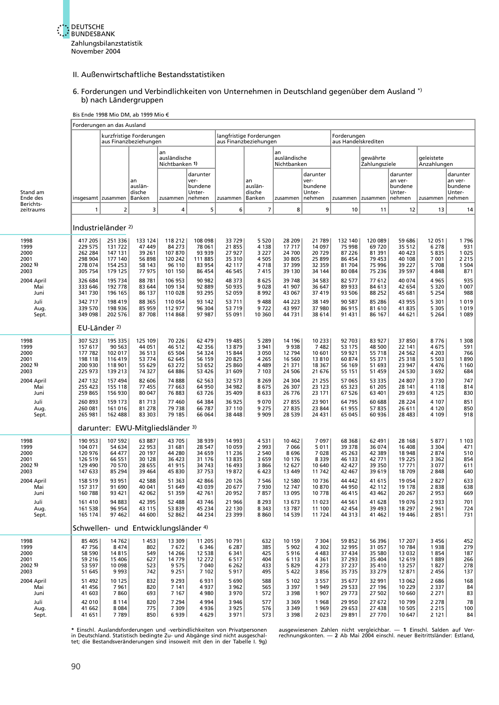

### [6. Forderungen und Verbindlichkeiten von Unternehmen in Deutschland gegenüber dem Ausland \\*\)](#page-23-0) b) nach Ländergruppen

### Bis Ende 1998 Mio DM, ab 1999 Mio €

|                                                 |                                                                | Forderungen an das Ausland                                     |                                                           |                                                             |                                                              |                                                          |                                                              |                                                           |                                                             |                                                           |                                                           |                                                          |                                                       |                                                     |
|-------------------------------------------------|----------------------------------------------------------------|----------------------------------------------------------------|-----------------------------------------------------------|-------------------------------------------------------------|--------------------------------------------------------------|----------------------------------------------------------|--------------------------------------------------------------|-----------------------------------------------------------|-------------------------------------------------------------|-----------------------------------------------------------|-----------------------------------------------------------|----------------------------------------------------------|-------------------------------------------------------|-----------------------------------------------------|
|                                                 |                                                                |                                                                | kurzfristige Forderungen<br>aus Finanzbeziehungen         |                                                             |                                                              |                                                          | langfristige Forderungen<br>aus Finanzbeziehungen            |                                                           |                                                             | Forderungen<br>aus Handelskrediten                        |                                                           |                                                          |                                                       |                                                     |
|                                                 |                                                                |                                                                |                                                           | an<br>ausländische<br>Nichtbanken 1)                        |                                                              |                                                          |                                                              | an<br>ausländische<br>Nichtbanken                         |                                                             |                                                           | gewährte<br>Zahlungsziele                                 |                                                          | geleistete<br>Anzahlungen                             |                                                     |
| Stand am<br>Ende des                            | insgesamt zusammen                                             |                                                                | an<br>auslän-<br>dische<br>Banken                         | zusammen                                                    | darunter<br>ver-<br>bundene<br>Unter-<br>nehmen              | zusammen                                                 | an<br>auslän-<br>dische<br>Banken                            | zusammen                                                  | darunter<br>ver-<br>bundene<br>Unter-<br>nehmen             | zusammen                                                  | zusammen                                                  | darunter<br>an ver-<br>bundene<br>Unter-<br>nehmen       | zusammen                                              | darunter<br>an ver-<br>bundene<br>Unter-<br>nehmen  |
| Berichts-<br>zeitraums                          | $\mathbf{1}$                                                   | $\mathbf 2$                                                    | 3                                                         | 4                                                           | 5                                                            | 6                                                        | $\overline{7}$                                               | 8                                                         | 9                                                           | 10                                                        | 11                                                        | 12                                                       | 13                                                    | 14                                                  |
|                                                 |                                                                | Industrieländer <sup>2)</sup>                                  |                                                           |                                                             |                                                              |                                                          |                                                              |                                                           |                                                             |                                                           |                                                           |                                                          |                                                       |                                                     |
| 1998<br>1999<br>2000<br>2001<br>20025<br>2003   | 417 205<br>229 575<br>262 284<br>298 904<br>278 074<br>305 754 | 251 336<br>131 722<br>147 131<br>177 140<br>154 253<br>179 125 | 133 124<br>47 449<br>39 261<br>56 898<br>58 143<br>77975  | 118 212<br>84 273<br>107870<br>120 242<br>96 110<br>101 150 | 108 098<br>78 061<br>93 939<br>111 885<br>83 954<br>86 454   | 33729<br>21855<br>27 927<br>35 310<br>42 117<br>46 545   | 5 5 2 0<br>4 1 3 8<br>3 2 2 7<br>4 5 0 5<br>4718<br>7415     | 28 209<br>17717<br>24 700<br>30 805<br>37 399<br>39 130   | 21 789<br>14 097<br>20 729<br>25 899<br>32 359<br>34 144    | 132 140<br>75 998<br>87 226<br>86 454<br>81 704<br>80 084 | 120 089<br>69 720<br>81 391<br>79 453<br>75 996<br>75 236 | 59 686<br>35 512<br>40 423<br>40 108<br>39 227<br>39 597 | 12 051<br>6 2 7 8<br>5835<br>7 0 0 1<br>5708<br>4848  | 1796<br>931<br>1 0 2 5<br>2 2 1 5<br>1 5 0 4<br>871 |
| 2004 April<br>Mai<br>Juni                       | 326 684<br>333 646<br>341 730                                  | 195 734<br>192 778<br>196 165                                  | 88 781<br>83 644<br>86 137                                | 106 953<br>109 134<br>110 028                               | 90 982<br>92 889<br>93 295                                   | 48 373<br>50 935<br>52 059                               | 8625<br>9 0 28<br>8992                                       | 39 748<br>41 907<br>43 067                                | 34 583<br>36 647<br>37 419                                  | 82 577<br>89 933<br>93 506                                | 77 612<br>84 613<br>88 252                                | 40 074<br>42 654<br>45 681                               | 4 9 6 5<br>5 3 2 0<br>5 2 5 4                         | 935<br>1 0 0 7<br>988                               |
| Juli<br>Aug<br>Sept.                            | 342 717<br>339 570<br>349 098                                  | 198 419<br>198 936<br>202 576                                  | 88 365<br>85 959<br>87 708                                | 110 054<br>112 977<br>114 868                               | 93 142<br>96 304<br>97 987                                   | 53 711<br>53 719<br>55 091                               | 9 4 8 8<br>9722<br>10 360                                    | 44 223<br>43 997<br>44 731                                | 38 149<br>37 980<br>38 614                                  | 90 587<br>86 915<br>91 431                                | 85 286<br>81 610<br>86 167                                | 43 955<br>41835<br>44 621                                | 5 3 0 1<br>5 3 0 5<br>5 2 6 4                         | 1019<br>1019<br>1 0 8 9                             |
|                                                 | $EU$ -Länder $2)$                                              |                                                                |                                                           |                                                             |                                                              |                                                          |                                                              |                                                           |                                                             |                                                           |                                                           |                                                          |                                                       |                                                     |
| 1998<br>1999<br>2000<br>2001<br>2002 5)<br>2003 | 307 523<br>157 617<br>177 782<br>198 118<br>200 930<br>225 973 | 195 335<br>90 563<br>102 017<br>116 419<br>118 901<br>139 213  | 125 109<br>44 051<br>36 513<br>53 774<br>55 629<br>74 327 | 70 226<br>46 512<br>65 504<br>62 645<br>63 272<br>64 886    | 62 479<br>42 356<br>54 324<br>56 159<br>53 652<br>53 4 26    | 19 485<br>13879<br>15 844<br>20 825<br>25 860<br>31 609  | 5 2 8 9<br>3 9 4 1<br>3 0 5 0<br>4 2 6 5<br>4 4 8 9<br>7 103 | 14 196<br>9938<br>12 794<br>16 560<br>21 371<br>24 506    | 10 233<br>7 4 8 2<br>10 601<br>13810<br>18 3 67<br>21 676   | 92 703<br>53 175<br>59 921<br>60874<br>56 169<br>55 151   | 83 927<br>48 500<br>55 718<br>55 371<br>51 693<br>51 459  | 37850<br>22 141<br>24 5 62<br>25 318<br>23 947<br>24 530 | 8776<br>4675<br>4 2 0 3<br>5 5 0 3<br>4476<br>3 6 9 2 | 1 3 0 8<br>591<br>766<br>1890<br>1 1 6 0<br>684     |
| 2004 April<br>Mai<br>Juni                       | 247 132<br>255 423<br>259 865                                  | 157 494<br>155 118<br>156 930                                  | 82 606<br>77 455<br>80 047                                | 74 888<br>77 663<br>76 883                                  | 62 563<br>64 950<br>63726                                    | 32 573<br>34 982<br>35 409                               | 8 2 6 9<br>8675<br>8633                                      | 24 304<br>26 307<br>26 776                                | 21 255<br>23 123<br>23 171                                  | 57 065<br>65 323<br>67 526                                | 53 335<br>61 205<br>63 401                                | 24 807<br>28 14 1<br>29 693                              | 3730<br>4 1 1 8<br>4 1 2 5                            | 747<br>814<br>830                                   |
| Juli<br>Aug<br>Sept.                            | 260 893<br>260 081<br>265 981                                  | 159 173<br>161 016<br>162 488                                  | 81 713<br>81 278<br>83 303                                | 77 460<br>79 738<br>79 185                                  | 64 384<br>66 787<br>66 064                                   | 36 925<br>37 110<br>38 448                               | 9 0 7 0<br>9 2 7 5<br>9 9 0 9                                | 27855<br>27 835<br>28 539                                 | 23 901<br>23 844<br>24 431                                  | 64 795<br>61 955<br>65 045                                | 60 688<br>57 835<br>60 936                                | 28 2 24<br>26 611<br>28 4 83                             | 4 107<br>4 1 2 0<br>4 1 0 9                           | 851<br>850<br>918                                   |
|                                                 |                                                                |                                                                |                                                           | darunter: EWU-Mitgliedsländer 3)                            |                                                              |                                                          |                                                              |                                                           |                                                             |                                                           |                                                           |                                                          |                                                       |                                                     |
| 1998<br>1999<br>2000<br>2001<br>2002 5)<br>2003 | 190 953<br>104 071<br>120 976<br>126 519<br>129 490<br>147 633 | 107 592<br>54 634<br>64 477<br>66 551<br>70 570<br>85 294      | 63 887<br>22 953<br>20 197<br>30 128<br>28 655<br>39 4 64 | 43 705<br>31 681<br>44 280<br>36 423<br>41 915<br>45 830    | 38 939<br>28 547<br>34 659<br>31 176<br>34 743<br>37 753     | 14 993<br>10 0 59<br>11 2 36<br>13835<br>16 493<br>19872 | 4 5 3 1<br>2 9 9 3<br>2 5 4 0<br>3 6 5 9<br>3866<br>6423     | 10 4 62<br>7 0 6 6<br>8696<br>10 176<br>12 627<br>13 4 49 | 7 0 9 7<br>5 0 1 1<br>7 0 28<br>8 3 3 9<br>10 640<br>11 742 | 68 3 68<br>39 378<br>45 263<br>46 133<br>42 427<br>42 467 | 62 491<br>36 074<br>42 389<br>42 771<br>39 350<br>39 619  | 28 168<br>16 408<br>18 948<br>19 2 25<br>17771<br>18709  | 5877<br>3 3 0 4<br>2874<br>3 3 6 2<br>3 0 7 7<br>2848 | 1 1 0 3<br>471<br>510<br>854<br>611<br>640          |
| 2004 April<br>Mai<br>Juni                       | 158 519<br>157 317<br>160 788                                  | 93 951<br>91 690<br>93 421                                     | 42 588<br>40 041<br>42 062                                | 51 363<br>51 649<br>51 359                                  | 42 866<br>43 039<br>42761                                    | 20 126<br>20 677<br>20 952                               | 7 5 4 6<br>7930<br>7857                                      | 12 580<br>12747<br>13 095                                 | 10 736<br>10 870<br>10 778                                  | 44 442<br>44 950<br>46 415                                | 41 615<br>42 112<br>43 462                                | 19 0 54<br>19 178<br>20 267                              | 2827<br>2838<br>2953                                  | 633<br>638<br>669                                   |
| Juli<br>Aug.<br>Sept.                           | 161 410<br>161 538<br>165 174                                  | 94 883<br>96 954<br>97 462                                     | 42 395<br>43 115<br>44 600                                | 52 488<br>53 839<br>52 862                                  | 43 746<br>45 234<br>44 234                                   | 21 966<br>22 130<br>23 399                               | 8 2 9 3<br>8 3 4 3<br>8860                                   | 13 673<br>13787<br>14 539                                 | 11 023<br>11 100<br>11 724                                  | 44 561<br>42 454<br>44 313                                | 41 628<br>39 493<br>41 462                                | 19 0 76<br>18 297<br>19 4 46                             | 2933<br>2961<br>2851                                  | 701<br>724<br>731                                   |
|                                                 |                                                                |                                                                |                                                           | Schwellen- und Entwicklungsländer 4)                        |                                                              |                                                          |                                                              |                                                           |                                                             |                                                           |                                                           |                                                          |                                                       |                                                     |
| 1998<br>1999<br>2000<br>2001<br>2002 5)<br>2003 | 85 405<br>47756<br>58 590<br>59 216<br>53 597<br>51 645        | 14 762<br>8 4 7 4<br>14 8 15<br>15 4 06<br>10 098<br>9 9 9 3   | 1453<br>802<br>549<br>627<br>523<br>742                   | 13 309<br>7672<br>14 2 66<br>14779<br>9575<br>9 2 5 1       | 11 205<br>6 3 4 6<br>12 5 38<br>12 272<br>7 0 4 0<br>7 1 0 2 | 10 791<br>6 2 8 7<br>6 3 4 1<br>6517<br>6 2 6 2<br>5917  | 632<br>385<br>425<br>404<br>433<br>495                       | 10 159<br>5 9 0 2<br>5916<br>6 1 1 3<br>5829<br>5422      | 7 3 0 4<br>4 3 0 2<br>4 4 8 3<br>4 3 6 1<br>4 2 7 3<br>3856 | 59 852<br>32 995<br>37 434<br>37 293<br>37 237<br>35 7 35 | 56 396<br>31 057<br>35 580<br>35 404<br>35 410<br>33 279  | 17 207<br>10784<br>13 0 32<br>12 619<br>13 257<br>12871  | 3 4 5 6<br>1938<br>1854<br>1889<br>1827<br>2 4 5 6    | 452<br>279<br>187<br>266<br>278<br>137              |
| 2004 April<br>Mai<br>Juni                       | 51 492<br>41 456<br>41 603                                     | 10 125<br>7961<br>7860                                         | 832<br>820<br>693                                         | 9 2 9 3<br>7 1 4 1<br>7 1 6 7                               | 6931<br>4937<br>4980                                         | 5 6 9 0<br>3 9 6 2<br>3970                               | 588<br>565<br>572                                            | 5 1 0 2<br>3 3 9 7<br>3 3 9 8                             | 3 5 5 7<br>1 9 4 9<br>1 907                                 | 35 677<br>29 533<br>29 773                                | 32 991<br>27 196<br>27 502                                | 13 062<br>10 229<br>10 660                               | 2686<br>2 3 3 7<br>2 2 7 1                            | 168<br>84<br>83                                     |
| Juli<br>Aug.<br>Sept.                           | 42 010<br>41 662<br>41 651                                     | 8 1 1 4<br>8 0 8 4<br>7789                                     | 820<br>775<br>850                                         | 7 2 9 4<br>7 3 0 9<br>6939                                  | 4994<br>4936<br>4629                                         | 3 9 4 6<br>3 9 2 5<br>3 9 7 1                            | 577<br>576<br>573                                            | 3 3 6 9<br>3 3 4 9<br>3 3 9 8                             | 1968<br>1969<br>2 0 2 3                                     | 29 950<br>29 653<br>29 891                                | 27 672<br>27 438<br>27 770                                | 10 799<br>10 505<br>10 647                               | 2 2 7 8<br>2 2 1 5<br>2 1 2 1                         | 78<br>100<br>84                                     |

tetissuit. Auslandsvorderungen und speelt mit den bestandsveränder von Frivalpersonen in Deutschland. Statistisch bedingte Zu- und Abgänge sind nicht ausgeschaltet; die Bestandsveränderungen sind insoweit mit den in der Ta

\* Einschl. Auslandsforderungen und -verbindlichkeiten von Privatpersonen zusgewiesenen Zahlen nicht vergleichbar. — 1 Einschl. Salden auf Ver-<br>in Deutschland. Statistisch bedingte Zu- und Abgänge sind nicht ausgeschal- rec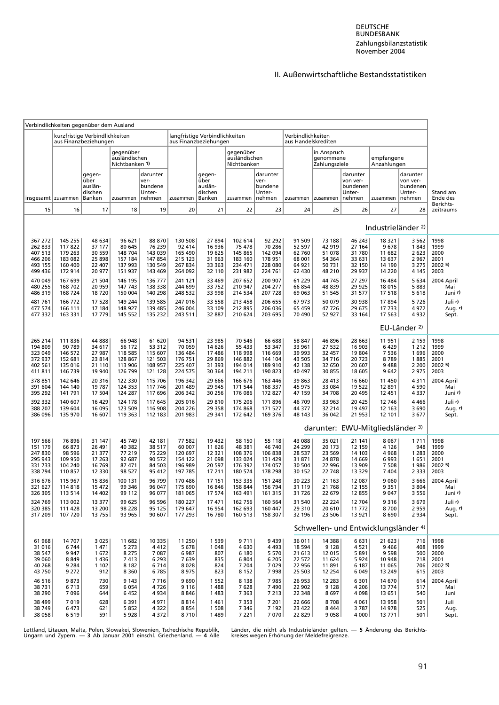|                                                         | Verbindlichkeiten gegenüber dem Ausland                 |                                                         |                                                            |                                                       |                                                         |                                                         |                                                         |                                                       |                                                           |                                                            |                                               |                                                            |                                               |                                                 |
|---------------------------------------------------------|---------------------------------------------------------|---------------------------------------------------------|------------------------------------------------------------|-------------------------------------------------------|---------------------------------------------------------|---------------------------------------------------------|---------------------------------------------------------|-------------------------------------------------------|-----------------------------------------------------------|------------------------------------------------------------|-----------------------------------------------|------------------------------------------------------------|-----------------------------------------------|-------------------------------------------------|
|                                                         |                                                         | kurzfristige Verbindlichkeiten<br>aus Finanzbeziehungen |                                                            |                                                       |                                                         | langfristige Verbindlichkeiten<br>aus Finanzbeziehungen |                                                         |                                                       | Verbindlichkeiten<br>aus Handelskrediten                  |                                                            |                                               |                                                            |                                               |                                                 |
|                                                         |                                                         |                                                         | gegenüber<br>ausländischen<br>Nichtbanken 1)               |                                                       |                                                         |                                                         | gegenüber<br>ausländischen<br>Nichtbanken               |                                                       |                                                           | in Anspruch<br>genommene<br>Zahlungsziele                  |                                               | empfangene<br>Anzahlungen                                  |                                               |                                                 |
|                                                         |                                                         | gegen-<br>über<br>auslän-<br>dischen                    |                                                            | darunter<br>ver-<br>bundene<br>Unter-                 |                                                         | gegen-<br>über<br>auslän-<br>dischen                    |                                                         | darunter<br>ver-<br>bundene<br>Unter-                 |                                                           |                                                            | darunter<br>von ver-<br>bundenen<br>Unter-    |                                                            | darunter<br>von ver-<br>bundenen<br>Unter-    | Stand am                                        |
| insgesamt zusammen                                      |                                                         | Banken                                                  | zusammen                                                   | nehmen                                                | zusammen                                                | Banken                                                  | zusammen                                                | Inehmen                                               | zusammen   zusammen                                       |                                                            | nehmen                                        | zusammen   nehmen                                          |                                               | Ende des<br>Berichts-                           |
| 15                                                      | 16                                                      | 17                                                      | 18                                                         | 19                                                    | 20                                                      | 21                                                      | 22                                                      | 23                                                    | 24                                                        | 25                                                         | 26                                            | 27                                                         | 28                                            | zeitraums                                       |
|                                                         |                                                         |                                                         |                                                            |                                                       |                                                         |                                                         |                                                         |                                                       |                                                           |                                                            |                                               | Industrieländer <sup>2)</sup>                              |                                               |                                                 |
| 367 272<br>262 833<br>407 513                           | 145 255<br>117822<br>179 263                            | 48 634<br>37 177<br>30 559                              | 96 621<br>80 645<br>148 704                                | 88 870<br>76 239<br>143 039                           | 130 508<br>92 414<br>165 490                            | 27 894<br>16 936<br>19 625                              | 102 614<br>75 478<br>145 865                            | 92 292<br>70 286<br>142 094                           | 91 509<br>52 597<br>62760                                 | 73 188<br>42 919<br>51 078                                 | 46 243<br>27 164<br>31780                     | 18 321<br>9678<br>11 682                                   | 3 5 6 2<br>1843<br>2 6 2 3                    | 1998<br>1999<br>2000                            |
| 466 206                                                 | 183 082                                                 | 25 898                                                  | 157 184                                                    | 147 854                                               | 215 123                                                 | 31 963                                                  | 183 160                                                 | 178 951                                               | 68 001                                                    | 54 364                                                     | 33 631                                        | 13 637                                                     | 2 9 6 7                                       | 2001                                            |
| 493 155<br>499 436                                      | 160 400<br>172 914                                      | 22 407<br>20 977                                        | 137 993<br>151 937                                         | 130 549<br>143 469                                    | 267 834<br>264 092                                      | 33 363<br>32 110                                        | 234 471<br>231 982                                      | 228 080<br>224 761                                    | 64 921<br>62 430                                          | 50 731<br>48 210                                           | 32 150<br>29 937                              | 14 190<br>14 2 20                                          | 3 2 7 5<br>4 1 4 5                            | 20025<br>2003                                   |
| 470 049<br>480 255<br>486 319                           | 167 699<br>168 702<br>168 724                           | 21 504<br>20 959<br>18720                               | 146 195<br>147 743<br>150 004                              | 136 777<br>138 338<br>140 298                         | 241 121<br>244 699<br>248 532                           | 33 469<br>33 752<br>33 998                              | 207 652<br>210 947<br>214 534                           | 200 907<br>204 277<br>207 728                         | 61 229<br>66 854<br>69 063                                | 44 745<br>48 839<br>51 545                                 | 27 297<br>29 9 25<br>31 577                   | 16 484<br>18 015<br>17 518                                 | 5 6 3 4<br>5883<br>5618                       | 2004 April<br>Mai<br>Juni r)                    |
| 481 761                                                 | 166 772                                                 | 17 528                                                  | 149 244                                                    | 139 585                                               | 247 016                                                 | 33 558                                                  | 213 458                                                 | 206 655                                               | 67 973                                                    | 50 079                                                     | 30 938                                        | 17894                                                      | 5726                                          | Juli r)                                         |
| 477 574<br>477 332                                      | 166 111<br>163 331                                      | 17 184<br>17779                                         | 148 927<br>145 552                                         | 139 485<br>135 232                                    | 246 004<br>243 511                                      | 33 109<br>32 887                                        | 212 895<br>210 624                                      | 206 036<br>203 695                                    | 65 459<br>70 490                                          | 47 726<br>52 927                                           | 29 675<br>33 164                              | 17 733<br>17 563                                           | 4972<br>4932                                  | Aug. r)<br>Sept.                                |
|                                                         |                                                         |                                                         |                                                            |                                                       |                                                         |                                                         |                                                         |                                                       |                                                           |                                                            |                                               |                                                            | EU-Länder <sup>2)</sup>                       |                                                 |
| 265 214<br>194 809<br>323 049<br>372 937<br>402 561     | 111836<br>90 789<br>146 572<br>152 681<br>135 016       | 44 888<br>34 617<br>27 987<br>23 814<br>21 110          | 66 948<br>56 172<br>118 585<br>128 867<br>113 906          | 61 620<br>53 312<br>115 607<br>121 503<br>108 957     | 94 531<br>70 059<br>136 484<br>176 751<br>225 407       | 23 985<br>14 626<br>17486<br>29 869<br>31 393           | 70 546<br>55 433<br>118 998<br>146 882<br>194 014       | 66 688<br>53 347<br>116 669<br>144 104<br>189 910     | 58 847<br>33 961<br>39 993<br>43 505<br>42 138            | 46 896<br>27 532<br>32 457<br>34 716<br>32 650             | 28 663<br>16 903<br>19804<br>20723<br>20 607  | 11951<br>6 4 2 9<br>7 5 3 6<br>8789<br>9488                | 2 1 5 9<br>1 2 1 2<br>1696<br>1885<br>2 2 0 0 | 1998<br>1999<br>2000<br>2001<br>20025           |
| 411811                                                  | 146 739                                                 | 19 940                                                  | 126 799                                                    | 121 128                                               | 224 575                                                 | 30 364                                                  | 194 211                                                 | 190 823                                               | 40 497                                                    | 30 855                                                     | 18 605                                        | 9642                                                       | 2975                                          | 2003                                            |
| 378 851<br>391 604<br>395 292                           | 142 646<br>144 140<br>141 791                           | 20 316<br>19 787<br>17 504                              | 122 330<br>124 353<br>124 287                              | 115 706<br>117 746<br>117 696                         | 196 342<br>201 489<br>206 342                           | 29 6 66<br>29 945<br>30 256                             | 166 676<br>171 544<br>176 086                           | 163 446<br>168 337<br>172 827                         | 39 863<br>45 975<br>47 159                                | 28 413<br>33 084<br>34 708                                 | 16 660<br>19 522<br>20 4 95                   | 11 450<br>12 891<br>12 451                                 | 4311<br>4590<br>4 3 3 7                       | 2004 April<br>Mai<br>Juni r)                    |
| 392 332<br>388 207                                      | 140 607<br>139 604                                      | 16 429<br>16 095                                        | 124 178<br>123 509                                         | 117 645<br>116 908                                    | 205 016<br>204 226                                      | 29 810<br>29 3 58                                       | 175 206<br>174 868                                      | 171896<br>171 527                                     | 46 709<br>44 377                                          | 33 963<br>32 214                                           | 20 4 25<br>19 497                             | 12 746<br>12 163                                           | 4 4 6 6<br>3690                               | Juli r)<br>Aug. r)                              |
| 386 096                                                 | 135 970                                                 | 16 607                                                  | 119 363                                                    | 112 183                                               | 201 983                                                 | 29 341                                                  | 172 642                                                 | 169 376                                               | 48 143                                                    | 36 042                                                     | 21 953<br>darunter: EWU-Mitgliedsländer 3)    | 12 101                                                     | 3677                                          | Sept.                                           |
| 197 566                                                 | 76896                                                   | 31 147                                                  | 45 749                                                     | 42 181                                                | 77 582                                                  | 19 432                                                  | 58 150                                                  | 55 118                                                | 43 088                                                    | 35 021                                                     | 21 141                                        | 8 0 6 7                                                    | 1711                                          | 1998                                            |
| 151 179<br>247 830<br>295 943<br>331 733                | 66 873<br>98 596<br>109 950<br>104 240                  | 26 491<br>21 377<br>17 263<br>16 769                    | 40 382<br>77 219<br>92 687<br>87 471                       | 38 517<br>75 229<br>90 572<br>84 503                  | 60 007<br>120 697<br>154 122<br>196 989                 | 11 626<br>12 3 21<br>21 098<br>20 597                   | 48 381<br>108 376<br>133 024<br>176 392                 | 46 740<br>106838<br>131 429<br>174 057                | 24 299<br>28 537<br>31871<br>30 504                       | 20 173<br>23 5 69<br>24 878<br>22 996                      | 12 159<br>14 103<br>14 6 69<br>13 909         | 4 1 2 6<br>4968<br>6993<br>7 508                           | 948<br>1 2 8 3<br>1651<br>1986                | 1999<br>2000<br>2001<br>20025                   |
| 338 794                                                 | 110857                                                  | 12 3 30                                                 | 98 527                                                     | 95 412                                                | 197 785                                                 | 17 211                                                  | 180 574                                                 | 178 298<br>151 248                                    | 30 152                                                    | 22 748                                                     | 13 3 29                                       | 7404                                                       | 2 3 3 3                                       | 2003                                            |
| 316 676<br>321 627<br>326 305                           | 115 967<br>114818<br>113 514                            | 15836<br>15 472<br>14 402                               | 100 131<br>99 346<br>99 112                                | 96 799<br>96 047<br>96 077                            | 170 486<br>175 690<br>181 065                           | 17 151<br>16846<br>17 574                               | 153 335<br>158 844<br>163 491                           | 156 794<br>161 315                                    | 30 223<br>31 119<br>31726                                 | 21 163<br>21 768<br>22 679                                 | 12 087<br>12 155<br>12855                     | 9060<br>9 3 5 1<br>9 0 4 7                                 | 3 6 6 6<br>3 8 0 4<br>3 5 5 6                 | 2004 April<br>Mai<br>Juni r)                    |
| 324 769<br>320 385                                      | 113 002<br>111 428                                      | 13 377<br>13 200                                        | 99 625<br>98 228                                           | 96 596<br>95 125                                      | 180 227<br>179 647                                      | 17 471<br>16 954                                        | 162 756<br>162 693                                      | 160 564<br>160 447                                    | 31 540<br>29 310                                          | 22 224<br>20 610                                           | 12 704<br>11 772                              | 9316<br>8700                                               | 3679<br>2 9 5 9                               | Juli r)<br>Aug. r)                              |
| 317 209                                                 | 107 720                                                 | 13 755                                                  | 93 965                                                     | 90 607                                                | 177 293                                                 | 16 780                                                  | 160 513                                                 | 158 307                                               | 32 196                                                    | 23 506                                                     | 13 9 21                                       | 8690                                                       | 2934                                          | Sept.                                           |
|                                                         |                                                         |                                                         |                                                            |                                                       |                                                         |                                                         |                                                         |                                                       |                                                           |                                                            | Schwellen- und Entwicklungsländer 4)          |                                                            |                                               |                                                 |
| 61968<br>31 016<br>38 547<br>39 060<br>40 268<br>43 750 | 14 707<br>6744<br>9 9 4 7<br>8849<br>9 2 8 4<br>9 2 7 2 | 3 0 2 5<br>1471<br>1672<br>1436<br>1 1 0 2<br>912       | 11 682<br>5 2 7 3<br>8 2 7 5<br>7413<br>8 1 8 2<br>8 3 6 0 | 10 3 35<br>4412<br>7 0 8 7<br>6 2 9 3<br>6714<br>6785 | 11 250<br>5 6 7 8<br>6 9 8 7<br>7639<br>8 0 2 8<br>8975 | 1 5 3 9<br>1 0 4 8<br>807<br>835<br>824<br>823          | 9711<br>4 6 3 0<br>6 180<br>6 8 0 4<br>7 204<br>8 1 5 2 | 9439<br>4 4 9 3<br>5 5 7 0<br>6 2 0 5<br>7029<br>7998 | 36 011<br>18 5 94<br>21 613<br>22 572<br>22 956<br>25 503 | 14 388<br>9 1 2 8<br>12 015<br>11 624<br>11891<br>12 2 5 4 | 6631<br>4521<br>5891<br>5924<br>6 187<br>6049 | 21 623<br>9 4 6 6<br>9 5 9 8<br>10 948<br>11 065<br>13 249 | 716<br>408<br>500<br>718<br>706<br>615        | 1998<br>1999<br>2000<br>2001<br>2002 5)<br>2003 |
| 46 516<br>38731                                         | 9873<br>6713                                            | 730<br>659                                              | 9 1 4 3<br>6 0 5 4                                         | 7716<br>4726                                          | 9690<br>9 1 1 6                                         | 1 5 5 2<br>1488                                         | 8 1 3 8<br>7628                                         | 7985<br>7490                                          | 26 953<br>22 902                                          | 12 2 8 3<br>9 1 2 8                                        | 6 3 0 1<br>4 2 0 6                            | 14 670<br>13 774                                           | 614<br>517                                    | 2004 April<br>Mai                               |
| 38 290<br>38 499                                        | 7096                                                    | 644                                                     | 6 4 5 2                                                    | 4934                                                  | 8 8 4 6                                                 | 1 4 8 3<br>1 4 6 1                                      | 7 3 6 3                                                 | 7 2 1 3                                               | 22 348                                                    | 8697<br>8708                                               | 4 0 9 8                                       | 13 651                                                     | 540                                           | Juni<br>Juli                                    |
| 38 749<br>38 058                                        | 7019<br>6473<br>6519                                    | 628<br>621<br>591 l                                     | 6 3 9 1<br>5852<br>5928                                    | 4971<br>4 3 2 2<br>4 3 7 2                            | 8814<br>8854<br>8710                                    | 1 5 0 8<br>1489                                         | 7 3 5 3<br>7 3 4 6<br>7 2 2 1                           | 7 201<br>7 1 9 2<br>7070                              | 22 666<br>23 4 22<br>22 829                               | 8 4 4 4<br>9058                                            | 4 0 6 1<br>3787<br>4 000                      | 13 958<br>14 978<br>13 771                                 | 501<br>525<br>501                             | Aug.<br>Sept.                                   |

Lettland, Litauen, Malta, Polen, Slowakei, Slowenien, Tschechische Republik,<br>Ungarn und Zypern. — 3 Ab Januar 2001 einschl. Griechenland. — 4 Alle

Länder, die nicht als Industrieländer gelten. — **5** Änderung des Berichts-<br>kreises wegen Erhöhung der Meldefreigrenze.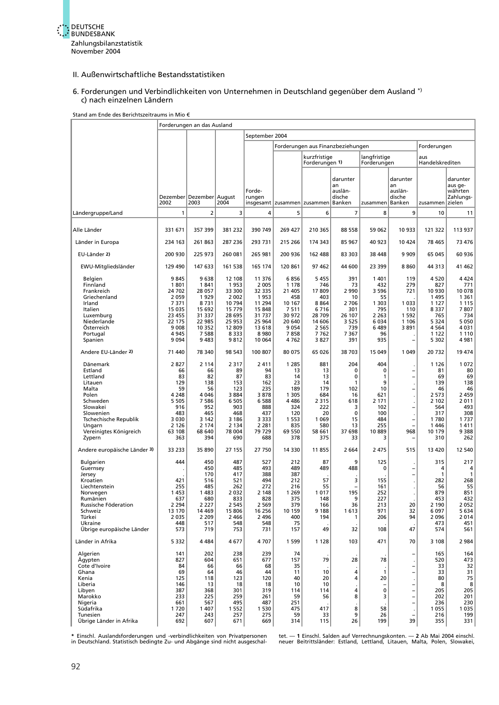

### [6. Forderungen und Verbindlichkeiten von Unternehmen in Deutschland gegenüber dem Ausland \\*\)](#page-23-0) c) nach einzelnen Ländern

Stand am Ende des Berichtszeitraums in Mio €

|                                                                                                                                                                                  |                                                                                                             | Forderungen an das Ausland                                                                               |                                                                                                           |                                                                                                           |                                                                                                      |                                                                                                |                                                                                         |                                                                                                 |                                                                                                                                                                                              |                                                                                                       |                                                                                                     |
|----------------------------------------------------------------------------------------------------------------------------------------------------------------------------------|-------------------------------------------------------------------------------------------------------------|----------------------------------------------------------------------------------------------------------|-----------------------------------------------------------------------------------------------------------|-----------------------------------------------------------------------------------------------------------|------------------------------------------------------------------------------------------------------|------------------------------------------------------------------------------------------------|-----------------------------------------------------------------------------------------|-------------------------------------------------------------------------------------------------|----------------------------------------------------------------------------------------------------------------------------------------------------------------------------------------------|-------------------------------------------------------------------------------------------------------|-----------------------------------------------------------------------------------------------------|
|                                                                                                                                                                                  |                                                                                                             |                                                                                                          |                                                                                                           | September 2004                                                                                            |                                                                                                      |                                                                                                |                                                                                         |                                                                                                 |                                                                                                                                                                                              |                                                                                                       |                                                                                                     |
|                                                                                                                                                                                  |                                                                                                             |                                                                                                          |                                                                                                           |                                                                                                           |                                                                                                      | Forderungen aus Finanzbeziehungen                                                              |                                                                                         |                                                                                                 |                                                                                                                                                                                              | Forderungen                                                                                           |                                                                                                     |
|                                                                                                                                                                                  |                                                                                                             |                                                                                                          |                                                                                                           |                                                                                                           |                                                                                                      | kurzfristige<br>Forderungen 1)                                                                 |                                                                                         | langfristige<br>Forderungen                                                                     |                                                                                                                                                                                              | aus<br>Handelskrediten                                                                                |                                                                                                     |
|                                                                                                                                                                                  | 2002                                                                                                        | Dezember Dezember   August<br>2003                                                                       | 2004                                                                                                      | Forde-<br>rungen                                                                                          | insgesamt   zusammen   zusammen   Banken                                                             |                                                                                                | darunter<br>an<br>auslän-<br>dische                                                     | zusammen   Banken                                                                               | darunter<br>an<br>auslän-<br>dische                                                                                                                                                          | zusammen   zielen                                                                                     | darunter<br>aus ge-<br>währten<br>Zahlungs-                                                         |
| Ländergruppe/Land                                                                                                                                                                | $\mathbf{1}$                                                                                                | 2                                                                                                        | 3                                                                                                         | 4                                                                                                         | 5                                                                                                    | 6                                                                                              | $\overline{7}$                                                                          | 8                                                                                               | 9                                                                                                                                                                                            | 10                                                                                                    | 11                                                                                                  |
| Alle Länder                                                                                                                                                                      | 331 671                                                                                                     | 357 399                                                                                                  | 381 232                                                                                                   | 390 749                                                                                                   | 269 427                                                                                              | 210 365                                                                                        | 88 558                                                                                  | 59 062                                                                                          | 10 933                                                                                                                                                                                       | 121 322                                                                                               | 113 937                                                                                             |
| Länder in Europa                                                                                                                                                                 | 234 163                                                                                                     | 261863                                                                                                   | 287 236                                                                                                   | 293 731                                                                                                   | 215 266                                                                                              | 174 343                                                                                        | 85 967                                                                                  | 40 923                                                                                          | 10 4 24                                                                                                                                                                                      | 78 4 65                                                                                               | 73 476                                                                                              |
| EU-Länder 2)                                                                                                                                                                     | 200 930                                                                                                     | 225 973                                                                                                  | 260 081                                                                                                   | 265 981                                                                                                   | 200 936                                                                                              | 162 488                                                                                        | 83 303                                                                                  | 38 448                                                                                          | 9 9 0 9                                                                                                                                                                                      | 65 045                                                                                                | 60 936                                                                                              |
| EWU-Mitgliedsländer                                                                                                                                                              | 129 490                                                                                                     | 147 633                                                                                                  | 161 538                                                                                                   | 165 174                                                                                                   | 120 861                                                                                              | 97 462                                                                                         | 44 600                                                                                  | 23 399                                                                                          | 8860                                                                                                                                                                                         | 44 313                                                                                                | 41 462                                                                                              |
| Belgien<br>Finnland<br>Frankreich<br>Griechenland<br>Irland<br>Italien<br>Luxemburg<br>Niederlande<br>Österreich<br>Portugal<br>Spanien                                          | 9845<br>1801<br>24 702<br>2 0 5 9<br>7 3 7 1<br>15 035<br>23 455<br>22 175<br>9 0 0 8<br>4 9 4 5<br>9 0 9 4 | 9638<br>1841<br>28 057<br>1929<br>8731<br>15 692<br>31 337<br>22 985<br>10 352<br>7588<br>9483           | 12 108<br>1953<br>33 300<br>2 0 0 2<br>10794<br>15 7 7 9<br>28 695<br>25 953<br>12 809<br>8 3 3 3<br>9812 | 11 376<br>2 0 0 5<br>32 335<br>1953<br>11 294<br>15 848<br>31 737<br>25 964<br>13 618<br>8980<br>10 064   | 6856<br>1 1 7 8<br>21 4 05<br>458<br>10 167<br>7511<br>30 972<br>20 640<br>9 0 5 4<br>7858<br>4762   | 5 4 5 5<br>746<br>17809<br>403<br>8864<br>6716<br>28 709<br>14 606<br>2 5 6 5<br>7762<br>3827  | 391<br>73<br>2 9 9 0<br>10<br>2706<br>301<br>26 107<br>3 5 2 5<br>739<br>7 3 6 7<br>391 | 1 4 0 1<br>432<br>3 5 9 6<br>55<br>1 3 0 3<br>795<br>2 2 6 3<br>6 0 3 4<br>6 4 8 9<br>96<br>935 | 119<br>279<br>721<br>1 0 3 3<br>110<br>1 5 9 2<br>1 1 0 6<br>3891<br>$\overline{\phantom{0}}$                                                                                                | 4520<br>827<br>10 930<br>1495<br>1 1 2 7<br>8 3 3 7<br>765<br>5 3 2 4<br>4564<br>1 1 2 2<br>5 3 0 2   | 4424<br>771<br>10 078<br>1 3 6 1<br>1 1 1 5<br>7807<br>734<br>5 0 5 0<br>4 0 3 1<br>1 1 1 0<br>4981 |
| Andere EU-Länder 2)                                                                                                                                                              | 71 440                                                                                                      | 78 340                                                                                                   | 98 543                                                                                                    | 100 807                                                                                                   | 80 075                                                                                               | 65 026                                                                                         | 38 703                                                                                  | 15 049                                                                                          | 1 0 4 9                                                                                                                                                                                      | 20732                                                                                                 | 19 474                                                                                              |
| Dänemark<br>Estland<br>Lettland<br>Litauen<br>Malta<br>Polen<br>Schweden<br>Slowakei<br>Slowenien<br>Tschechische Republik<br>Ungarn<br>Vereinigtes Königreich<br>Zypern         | 2 8 2 7<br>66<br>83<br>129<br>59<br>4 2 4 8<br>5 5 0 5<br>916<br>483<br>3 0 3 0<br>2 1 2 6<br>63 108<br>363 | 2 1 1 4<br>66<br>82<br>138<br>56<br>4 0 4 6<br>7586<br>952<br>465<br>3 1 4 2<br>2 1 7 4<br>68 640<br>394 | 2 3 1 7<br>89<br>87<br>153<br>123<br>3884<br>6 5 0 5<br>903<br>468<br>3 1 8 6<br>2 1 3 4<br>78 004<br>690 | 2 4 1 1<br>94<br>83<br>162<br>235<br>3878<br>6 5 8 8<br>888<br>437<br>3 3 3 3<br>2 2 8 1<br>79 729<br>688 | 1 2 8 5<br>13<br>14<br>23<br>189<br>1 3 0 5<br>4486<br>324<br>120<br>1 5 5 3<br>835<br>69 550<br>378 | 881<br>13<br>13<br>14<br>179<br>684<br>2 3 1 5<br>222<br>20<br>1 0 6 9<br>580<br>58 661<br>375 | 204<br>0<br>0<br>$\mathbf{1}$<br>102<br>16<br>618<br>3<br>0<br>15<br>13<br>37 698<br>33 | 404<br>0<br>1<br>9<br>10<br>621<br>2 171<br>102<br>100<br>484<br>255<br>10889<br>3              | -<br>$\overline{\phantom{0}}$<br>$\qquad \qquad -$<br>968                                                                                                                                    | 1 1 2 6<br>81<br>69<br>139<br>46<br>2 5 7 3<br>2 1 0 2<br>564<br>317<br>1780<br>1446<br>10 179<br>310 | 1072<br>80<br>69<br>138<br>46<br>2459<br>2011<br>493<br>308<br>1737<br>1411<br>9 3 8 8<br>262       |
| Andere europäische Länder 3)                                                                                                                                                     | 33 233                                                                                                      | 35 890                                                                                                   | 27 155                                                                                                    | 27 750                                                                                                    | 14 3 30                                                                                              | 11855                                                                                          | 2 6 6 4                                                                                 | 2 4 7 5                                                                                         | 515                                                                                                                                                                                          | 13 4 20                                                                                               | 12 540                                                                                              |
| <b>Bulgarien</b><br>Guernsey<br>Jersey<br>Kroatien<br>Liechtenstein<br>Norwegen<br>Rumänien<br>Russische Föderation<br>Schweiz<br>Türkei<br>Ukraine<br>Übrige europäische Länder | 444<br>421<br>255<br>1 4 5 3<br>637<br>2 2 9 4<br>13 170<br>2 0 3 5<br>448<br>573                           | 450<br>450<br>170<br>516<br>485<br>1 4 8 3<br>680<br>2 2 2 7<br>14 4 69<br>2 2 0 9<br>517<br>719         | 487<br>485<br>417<br>521<br>262<br>2032<br>833<br>2 5 4 5<br>15 806<br>2 4 6 6<br>548<br>753              | 527<br>493<br>388<br>494<br>272<br>2 1 4 8<br>828<br>2 5 6 9<br>16 25 6<br>2 4 9 6<br>548<br>731          | 212<br>489<br>387<br>212<br>216<br>1 2 6 9<br>375<br>379<br>10 159<br>400<br>75<br>157               | 87<br>489<br>57<br>55<br>1017<br>148<br>166<br>9 1 8 8<br>194<br>49                            | 9<br>488<br>3<br>195<br>9<br>36<br>1613<br>1<br>32                                      | 125<br>0<br>155<br>161<br>252<br>227<br>213<br>971<br>206<br>108                                | 20<br>32<br>94<br>47                                                                                                                                                                         | 315<br>4<br>1<br>282<br>56<br>879<br>453<br>2 1 9 0<br>6 0 9 7<br>2096<br>473<br>574                  | 217<br>4<br>1<br>268<br>55<br>851<br>432<br>2 0 5 2<br>5 634<br>2014<br>451<br>561                  |
| Länder in Afrika                                                                                                                                                                 | 5 3 3 2                                                                                                     | 4 4 8 4                                                                                                  | 4677                                                                                                      | 4707                                                                                                      | 1 5 9 9                                                                                              | 1 1 2 8                                                                                        | 103                                                                                     | 471                                                                                             | 70                                                                                                                                                                                           | 3 1 0 8                                                                                               | 2 9 8 4                                                                                             |
| Algerien<br>Ägypten<br>Cote d'Ivoire<br>Ghana<br>Kenia<br>Liberia<br>Libyen<br>Marokko<br>Nigeria<br>Südafrika<br>Tunesien<br>Übrige Länder in Afrika                            | 141<br>827<br>84<br>69<br>125<br>146<br>387<br>233<br>661<br>1720<br>247<br>692                             | 202<br>604<br>66<br>64<br>118<br>13<br>368<br>225<br>567<br>1 407<br>243<br>607                          | 238<br>651<br>66<br>46<br>123<br>18<br>301<br>259<br>495<br>1 5 5 2<br>257<br>671                         | 239<br>677<br>68<br>44<br>120<br>18<br>319<br>261<br>487<br>1 5 3 0<br>275<br>669                         | 74<br>157<br>35<br>11<br>40<br>10<br>114<br>59<br>251<br>475<br>59<br>314                            | 79<br>10<br>20<br>10<br>114<br>56<br>417<br>33<br>115                                          | 28<br>4<br>4<br>4<br>8<br>8<br>9<br>26                                                  | 78<br>$\mathbf{1}$<br>20<br>0<br>3<br>58<br>26<br>199                                           | $\overline{\phantom{0}}$<br>$\overline{\phantom{a}}$<br>$\overline{a}$<br>$\overline{\phantom{0}}$<br>$\overline{\phantom{0}}$<br>$\overline{\phantom{a}}$<br>$\overline{\phantom{0}}$<br>39 | 165<br>520<br>33<br>33<br>80<br>8<br>205<br>202<br>236<br>1 0 5 5<br>216<br>355                       | 164<br>473<br>32<br>31<br>75<br>8<br>205<br>201<br>230<br>1 0 3 5<br>199<br>331                     |

\* Einschl. Auslandsforderungen und -verbindlichkeiten von Privatpersonen tet. — 1 Einschl. Salden auf Verrechnungskonten. — 2 Ab Mai 2004 einschl.<br>in Deutschland. Statistisch bedingte Zu- und Abgänge sind nicht ausgeschal-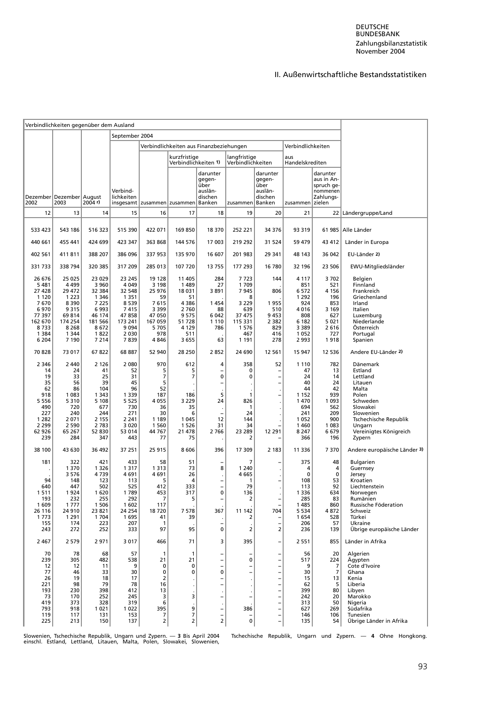|                   |                                      | Verbindlichkeiten gegenüber dem Ausland |                        |                                          |                                         |                                                      |                                   |                                                            |                        |                                                               |                                     |
|-------------------|--------------------------------------|-----------------------------------------|------------------------|------------------------------------------|-----------------------------------------|------------------------------------------------------|-----------------------------------|------------------------------------------------------------|------------------------|---------------------------------------------------------------|-------------------------------------|
|                   |                                      |                                         | September 2004         |                                          |                                         |                                                      |                                   |                                                            |                        |                                                               |                                     |
|                   |                                      |                                         |                        |                                          | Verbindlichkeiten aus Finanzbeziehungen |                                                      |                                   |                                                            | Verbindlichkeiten      |                                                               |                                     |
|                   |                                      |                                         |                        |                                          | kurzfristige<br>Verbindlichkeiten 1)    |                                                      | langfristige<br>Verbindlichkeiten |                                                            | aus<br>Handelskrediten |                                                               |                                     |
| 2002              | Dezember   Dezember   August<br>2003 | 2004 r                                  | Verbind-<br>lichkeiten | insgesamt   zusammen   zusammen   Banken |                                         | darunter<br>gegen-<br>über<br>auslän-<br>dischen     | zusammen                          | darunter<br>gegen-<br>über<br>auslän-<br>dischen<br>Banken | zusammen zielen        | darunter<br>aus in An-<br>spruch ge-<br>nommenen<br>Zahlungs- |                                     |
| 12                | 13                                   | 14                                      | 15                     | 16                                       | 17                                      | 18                                                   | 19                                | 20                                                         | 21                     | 22                                                            | Ländergruppe/Land                   |
| 533 423           | 543 186                              | 516 323                                 | 515 390                | 422 071                                  | 169 850                                 | 18 370                                               | 252 221                           | 34 376                                                     | 93 319                 |                                                               | 61 985 Alle Länder                  |
| 440 661           | 455 441                              | 424 699                                 | 423 347                | 363 868                                  | 144 576                                 | 17 003                                               | 219 292                           | 31 524                                                     | 59 479                 | 43 412                                                        | Länder in Europa                    |
| 402 561           | 411811                               | 388 207                                 | 386 096                | 337 953                                  | 135 970                                 | 16 607                                               | 201 983                           | 29 341                                                     | 48 143                 | 36 042                                                        | EU-Länder 2)                        |
| 331733            | 338 794                              | 320 385                                 | 317 209                | 285 013                                  | 107 720                                 | 13755                                                | 177 293                           | 16 780                                                     | 32 196                 | 23 506                                                        | EWU-Mitgliedsländer                 |
| 26 676<br>5 4 8 1 | 25 0 25<br>4 4 9 9                   | 23 0 29<br>3 9 6 0                      | 23 245<br>4 0 4 9      | 19 128<br>3 1 9 8                        | 11 405<br>1489                          | 284<br>27                                            | 7723<br>1709                      | 144                                                        | 4 1 1 7<br>851         | 3702<br>521                                                   | Belgien<br>Finnland                 |
| 27 428<br>1 1 2 0 | 29 472<br>1 2 2 3                    | 32 384<br>1 3 4 6                       | 32 548<br>1 3 5 1      | 25 976<br>59                             | 18 031<br>51                            | 3891                                                 | 7945<br>8                         | 806                                                        | 6 5 7 2<br>1 2 9 2     | 4 1 5 6<br>196                                                | Frankreich<br>Griechenland          |
| 7670              | 8 3 9 0                              | 7 2 2 5                                 | 8 5 3 9                | 7615                                     | 4 3 8 6                                 | 1454                                                 | 3 2 2 9                           | 1955                                                       | 924                    | 853                                                           | Irland                              |
| 6970<br>77 397    | 9315<br>69814                        | 6993<br>46 174                          | 7415<br>47858          | 3 3 9 9<br>47 050                        | 2 7 6 0<br>9 5 7 5                      | 88<br>6 0 4 2                                        | 639<br>37 475                     | 510<br>9453                                                | 4016<br>808            | 3 1 6 9<br>627                                                | Italien<br>Luxemburg                |
| 162 670           | 174 254                              | 181 566                                 | 173 241                | 167 059                                  | 51 728                                  | 1 1 1 0                                              | 115 331                           | 2 3 8 2                                                    | 6 182                  | 5 0 2 1                                                       | Niederlande                         |
| 8733<br>1 3 8 4   | 8 2 6 8<br>1 3 4 4                   | 8672<br>1822                            | 9 0 9 4<br>2 0 3 0     | 5705<br>978                              | 4 1 2 9<br>511                          | 786                                                  | 1576<br>467                       | 829<br>416                                                 | 3 3 8 9<br>1052        | 2616<br>727                                                   | Österreich<br>Portugal              |
| 6 2 0 4           | 7 1 9 0                              | 7 2 1 4                                 | 7839                   | 4846                                     | 3 6 5 5                                 | 63                                                   | 1 1 9 1                           | 278                                                        | 2 9 9 3                | 1918                                                          | Spanien                             |
| 70828             | 73 017                               | 67822                                   | 68887                  | 52 940                                   | 28 250                                  | 2852                                                 | 24 690                            | 12 5 61                                                    | 15 947                 | 12 536                                                        | Andere EU-Länder 2)                 |
| 2 3 4 6<br>14     | 2 4 4 0<br>24                        | 2 1 2 6<br>41                           | 2 0 8 0<br>52          | 970<br>5                                 | 612<br>5                                | 4<br>۰                                               | 358<br>0                          | 52<br>$\overline{\phantom{0}}$                             | 1 1 1 0<br>47          | 782<br>13                                                     | Dänemark<br>Estland                 |
| 19                | 33                                   | 25                                      | 31                     | 7                                        | $\overline{7}$                          | 0                                                    | 0                                 | $\overline{\phantom{0}}$                                   | 24                     | 14                                                            | Lettland                            |
| 35<br>62          | 56<br>86                             | 39<br>104                               | 45<br>96               | 5<br>52                                  |                                         | <b>-</b>                                             |                                   | $\overline{\phantom{0}}$                                   | 40<br>44               | 24<br>42                                                      | Litauen<br>Malta                    |
| 918               | 1 0 8 3                              | 1 3 4 3                                 | 1 3 3 9                | 187                                      | 186                                     | 5                                                    | 1                                 | $\overline{\phantom{0}}$                                   | 1 1 5 2                | 939                                                           | Polen                               |
| 5 5 5 6           | 5310                                 | 5 1 0 8                                 | 5 5 2 5                | 4055                                     | 3 2 2 9                                 | 24                                                   | 826                               |                                                            | 1470                   | 1 0 9 3                                                       | Schweden                            |
| 490<br>227        | 720<br>240                           | 677<br>244                              | 730<br>271             | 36<br>30                                 | 35<br>6                                 | $\overline{\phantom{0}}$                             | 1<br>24                           |                                                            | 694<br>241             | 562<br>209                                                    | Slowakei<br>Slowenien               |
| 1 2 8 2           | 2 0 7 1                              | 2 1 5 5                                 | 2 2 4 1                | 1 1 8 9                                  | 1 0 4 5                                 | 12                                                   | 144                               |                                                            | 1052                   | 900                                                           | Tschechische Republik               |
| 2 2 9 9<br>62 926 | 2 5 9 0<br>65 267                    | 2783<br>52 830                          | 3 0 2 0<br>53 014      | 1 5 6 0<br>44 767                        | 1 5 2 6<br>21 478                       | 31<br>2766                                           | 34<br>23 289                      | 12 291                                                     | 1460<br>8 2 4 7        | 1 0 8 3<br>6679                                               | Ungarn<br>Vereinigtes Königreich    |
| 239               | 284                                  | 347                                     | 443                    | 77                                       | 75                                      |                                                      | 2                                 |                                                            | 366                    | 196                                                           | Zypern                              |
| 38 100            | 43 630                               | 36 492                                  | 37 251                 | 25 915                                   | 8 6 0 6                                 | 396                                                  | 17 309                            | 2 183                                                      | 11 3 36                | 7370                                                          | Andere europäische Länder 3)        |
| 181               | 322<br>1 3 7 0                       | 421<br>1 3 2 6                          | 433<br>1 3 1 7         | 58<br>1313                               | 51<br>73                                | 8                                                    | 7<br>1 2 4 0                      |                                                            | 375<br>4               | 48<br>4                                                       | <b>Bulgarien</b><br>Guernsey        |
|                   | 3 5 7 6                              | 4739                                    | 4691                   | 4691<br>5                                | 26<br>4                                 |                                                      | 4 6 6 5                           |                                                            | 0                      | $\mathbf 0$<br>53                                             | Jersey                              |
| 94<br>640         | 148<br>447                           | 123<br>502                              | 113<br>525             | 412                                      | 333                                     | -<br>$\qquad \qquad -$                               | 1<br>79                           | $\overline{\phantom{0}}$                                   | 108<br>113             | 92                                                            | Kroatien<br>Liechtenstein           |
| 1511              | 1924                                 | 1620                                    | 1789                   | 453                                      | 317                                     | 0                                                    | 136                               |                                                            | 1 3 3 6                | 634                                                           | Norwegen                            |
| 193<br>1609       | 232<br>1777                          | 255<br>1 5 0 6                          | 292<br>1602            | 7<br>117                                 | 5                                       | $\overline{\phantom{0}}$                             | 2                                 | $\qquad \qquad -$<br>$\overline{\phantom{a}}$              | 285<br>1485            | 83<br>860                                                     | Rumänien<br>Russische Föderation    |
| 26 116            | 24 910                               | 23 821                                  | 24 254                 | 18720                                    | 7 5 7 8                                 | 367                                                  | 11 142                            | 704                                                        | 5 5 3 4                | 4872                                                          | Schweiz                             |
| 1773<br>155       | 1 2 9 1<br>174                       | 1704<br>223                             | 1695<br>207            | 41<br>$\mathbf{1}$                       | 39                                      |                                                      | 2                                 |                                                            | 1654<br>206            | 528<br>57                                                     | Türkei<br>Ukraine                   |
| 243               | 272                                  | 252                                     | 333                    | 97                                       | 95                                      | 0                                                    | $\overline{2}$                    | 2                                                          | 236                    | 139                                                           | Übrige europäische Länder           |
| 2 4 6 7           | 2 5 7 9                              | 2971                                    | 3 0 1 7                | 466                                      | 71                                      | 3                                                    | 395                               |                                                            | 2 5 5 1                | 855                                                           | Länder in Afrika                    |
| 70<br>239         | 78<br>305                            | 68<br>482                               | 57<br>538              | $\mathbf{1}$<br>21                       | 1<br>21                                 | -                                                    | 0                                 | $\overline{\phantom{0}}$<br>$\overline{\phantom{0}}$       | 56<br>517              | 20<br>224                                                     | Algerien<br>Ägypten                 |
| 12                | 12                                   | 11                                      | 9                      | $\mathbf 0$                              | $\mathbf 0$                             | -<br>$\overline{\phantom{0}}$                        |                                   | $\overline{\phantom{0}}$                                   | 9                      | 7                                                             | Cote d'Ivoire                       |
| 77                | 46                                   | 33                                      | 30                     | $\pmb{0}$                                | 0                                       | 0                                                    |                                   |                                                            | 30                     | $\overline{7}$                                                | Ghana                               |
| 26<br>221         | 19<br>98                             | 18<br>79                                | 17<br>78               | $\overline{2}$<br>16                     |                                         | $\overline{\phantom{0}}$<br>$\overline{\phantom{0}}$ |                                   | $\overline{\phantom{0}}$<br>$\overline{a}$                 | 15<br>62               | 13<br>5                                                       | Kenia<br>Liberia                    |
| 193               | 230                                  | 398                                     | 412                    | 13                                       |                                         |                                                      |                                   | $\overline{a}$                                             | 399                    | 80                                                            | Libven                              |
| 73<br>419         | 170<br>373                           | 252<br>328                              | 245<br>319             | 3<br>6                                   | 3                                       | $\overline{\phantom{0}}$                             | $\overline{\phantom{0}}$          | $\overline{\phantom{0}}$                                   | 242<br>313             | 20<br>50                                                      | Marokko<br>Nigeria                  |
| 793               | 918                                  | 1021                                    | 1 0 2 2                | 395                                      | 9                                       |                                                      | 386                               | $\overline{\phantom{a}}$                                   | 627                    | 269                                                           | Südafrika                           |
| 119<br>225        | 117<br>213                           | 131<br>150                              | 153<br>137             | 7<br>2                                   | $\overline{7}$<br>2                     | $\frac{-}{2}$                                        | 0                                 | $\overline{\phantom{0}}$                                   | 146<br>135             | 106<br>54                                                     | Tunesien<br>Übrige Länder in Afrika |
|                   |                                      |                                         |                        |                                          |                                         |                                                      |                                   |                                                            |                        |                                                               |                                     |

Slowenien, Tschechische Republik, Ungarn und Zypern. - 3 Bis April 2004<br>einschl. Estland, Lettland, Litauen, Malta, Polen, Slowakei, Slowenien,

Tschechische Republik, Ungarn und Zypern. — 4 Ohne Hongkong.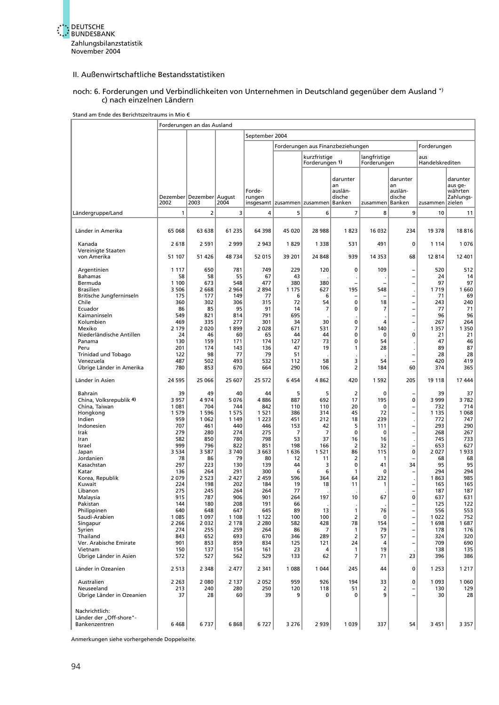

### noch: 6. Forderungen und Verbindlichkeiten von Unternehmen in Deutschland gegenüber dem Ausland \*) c) nach einzelnen Ländern

Stand am Ende des Berichtszeitraums in Mio €

|                                                            | Forderungen an das Ausland |                              |             |                |                                          |                                   |                                     |                             |                                                      |                        |                                |
|------------------------------------------------------------|----------------------------|------------------------------|-------------|----------------|------------------------------------------|-----------------------------------|-------------------------------------|-----------------------------|------------------------------------------------------|------------------------|--------------------------------|
|                                                            |                            |                              |             | September 2004 |                                          |                                   |                                     |                             |                                                      |                        |                                |
|                                                            |                            |                              |             |                |                                          | Forderungen aus Finanzbeziehungen |                                     |                             |                                                      | Forderungen            |                                |
|                                                            |                            |                              |             |                |                                          | kurzfristige<br>Forderungen 1)    |                                     | langfristige<br>Forderungen |                                                      | aus<br>Handelskrediten |                                |
|                                                            |                            | Dezember   Dezember   August |             | Forde-         |                                          |                                   | darunter<br>an<br>auslän-<br>dische |                             | darunter<br>an<br>auslän-<br>dische                  |                        | darunter<br>aus ge-<br>währten |
|                                                            | 2002                       | 2003                         | 2004        | rungen         | insgesamt   zusammen   zusammen   Banken |                                   |                                     | zusammen                    | Banken                                               | zusammen               | Zahlungs-<br>zielen            |
| Ländergruppe/Land                                          | $\mathbf{1}$               | 2                            | 3           | 4              | 5                                        | 6                                 | 7                                   | 8                           | 9                                                    | 10                     | 11                             |
| Länder in Amerika                                          | 65 068                     | 63 638                       | 61 235      | 64 398         | 45 0 20                                  | 28 988                            | 1823                                | 16 032                      | 234                                                  | 19 378                 | 18816                          |
| Kanada<br>Vereinigte Staaten                               | 2 6 1 8                    | 2 5 9 1                      | 2 9 9 9     | 2 9 4 3        | 1829                                     | 1 3 3 8                           | 531                                 | 491                         | $\mathbf 0$                                          | 1 1 1 4                | 1076                           |
| von Amerika                                                | 51 107                     | 51 4 26                      | 48734       | 52 015         | 39 201                                   | 24 848                            | 939                                 | 14 3 5 3                    | 68                                                   | 12814                  | 12 401                         |
| Argentinien<br>Bahamas                                     | 1 1 1 7<br>58              | 650<br>58                    | 781<br>55   | 749<br>67      | 229<br>43                                | 120                               | 0                                   | 109                         | $\overline{\phantom{a}}$<br>$\overline{\phantom{a}}$ | 520<br>24              | 512<br>14                      |
| Bermuda                                                    | 1 100                      | 673                          | 548         | 477            | 380                                      | 380                               |                                     |                             |                                                      | 97                     | 97                             |
| <b>Brasilien</b>                                           | 3 5 0 6                    | 2 6 6 8                      | 2 9 6 4     | 2 8 9 4        | 1 1 7 5                                  | 627                               | 195                                 | 548                         | $\cdot$                                              | 1719                   | 1660                           |
| Britische Jungferninseln                                   | 175                        | 177                          | 149         | 77             | 6                                        | 6                                 | -                                   |                             | $\overline{\phantom{a}}$                             | 71                     | 69                             |
| Chile                                                      | 360                        | 302                          | 306         | 315            | 72                                       | 54                                | 0                                   | 18                          | $\overline{\phantom{0}}$                             | 243                    | 240                            |
| Ecuador                                                    | 86                         | 85                           | 95          | 91             | 14                                       | 7                                 | 0                                   | 7                           | $\overline{\phantom{a}}$                             | 77                     | 71                             |
| Kaimaninseln<br>Kolumbien                                  | 549<br>469                 | 821<br>335                   | 814<br>277  | 791<br>301     | 695<br>34                                | 30                                | 0                                   | 4                           | $\overline{\phantom{a}}$<br>$\overline{\phantom{a}}$ | 96<br>267              | 96<br>264                      |
| Mexiko                                                     | 2 1 7 9                    | 2020                         | 1899        | 2 0 2 8        | 671                                      | 531                               | $\overline{7}$                      | 140                         |                                                      | 1 3 5 7                | 1 3 5 0                        |
| Niederländische Antillen                                   | 24                         | 46                           | 60          | 65             | 44                                       | 44                                | 0                                   | 0                           | $\mathbf 0$                                          | 21                     | 21                             |
| Panama                                                     | 130                        | 159                          | 171         | 174            | 127                                      | 73                                | 0                                   | 54                          |                                                      | 47                     | 46                             |
| Peru                                                       | 201                        | 174                          | 143         | 136            | 47                                       | 19                                | 1                                   | 28                          |                                                      | 89                     | 87                             |
| Trinidad und Tobago                                        | 122                        | 98                           | 77          | 79             | 51                                       |                                   |                                     |                             | $\overline{\phantom{0}}$                             | 28                     | 28                             |
| Venezuela<br>Übrige Länder in Amerika                      | 487<br>780                 | 502<br>853                   | 493<br>670  | 532<br>664     | 112<br>290                               | 58<br>106                         | 3<br>$\overline{2}$                 | 54<br>184                   | 60                                                   | 420<br>374             | 419<br>365                     |
| Länder in Asien                                            | 24 595                     | 25 066                       | 25 607      | 25 572         | 6454                                     | 4862                              | 420                                 | 1 5 9 2                     | 205                                                  | 19 118                 | 17 444                         |
| Bahrain                                                    | 39                         | 49                           | 40          | 44             | 5                                        | 5                                 | 2                                   | $\mathbf 0$                 |                                                      | 39                     | 37                             |
| China, Volksrepublik 4)                                    | 3 9 5 7                    | 4974                         | 5076        | 4886           | 887                                      | 692                               | 17                                  | 195                         | $\mathbf 0$                                          | 3999                   | 3782                           |
| China, Taiwan<br>Hongkong                                  | 1 0 8 1<br>1 5 7 9         | 704<br>1 5 9 6               | 744<br>1575 | 842<br>1 5 2 1 | 110<br>386                               | 110<br>314                        | 20<br>45                            | 0<br>72                     | $\overline{\phantom{a}}$<br>$\overline{\phantom{a}}$ | 732<br>1 1 3 5         | 714<br>1 0 6 8                 |
| Indien                                                     | 959                        | 1 0 6 2                      | 1 1 4 9     | 1 2 2 3        | 451                                      | 212                               | 18                                  | 239                         |                                                      | 772                    | 747                            |
| Indonesien                                                 | 707                        | 461                          | 440         | 446            | 153                                      | 42                                | 5                                   | 111                         | $\overline{\phantom{a}}$                             | 293                    | 290                            |
| Irak                                                       | 279                        | 280                          | 274         | 275            | 7                                        | 7                                 | 0                                   | $\mathbf 0$                 | $\overline{\phantom{a}}$                             | 268                    | 267                            |
| Iran                                                       | 582                        | 850                          | 780         | 798            | 53                                       | 37                                | 16                                  | 16                          |                                                      | 745                    | 733                            |
| Israel                                                     | 999                        | 796<br>3 5 8 7               | 822         | 851            | 198                                      | 166                               | $\overline{2}$                      | 32<br>115                   | $\overline{\phantom{0}}$<br>$\mathbf 0$              | 653                    | 627                            |
| Japan<br>Jordanien                                         | 3 5 3 4<br>78              | 86                           | 3740<br>79  | 3 6 6 3<br>80  | 1636<br>12                               | 1 5 2 1<br>11                     | 86<br>2                             | 1                           | $\overline{\phantom{a}}$                             | 2027<br>68             | 1933<br>68                     |
| Kasachstan                                                 | 297                        | 223                          | 130         | 139            | 44                                       | 3                                 | 0                                   | 41                          | 34                                                   | 95                     | 95                             |
| Katar                                                      | 136                        | 264                          | 291         | 300            | 6                                        | 6                                 | 1                                   | 0                           |                                                      | 294                    | 294                            |
| Korea, Republik                                            | 2 0 7 9                    | 2 5 2 3                      | 2 4 2 7     | 2 4 5 9        | 596                                      | 364                               | 64                                  | 232                         |                                                      | 1863                   | 985                            |
| Kuwait                                                     | 224                        | 198                          | 202         | 184            | 19                                       | 18                                | 11                                  | 1                           | $\overline{\phantom{0}}$                             | 165                    | 165                            |
| Libanon                                                    | 275                        | 245                          | 264         | 264            | 77                                       | 197                               | 10                                  | 67                          | 0                                                    | 187                    | 187<br>631                     |
| Malaysia<br>Pakistan                                       | 915<br>144                 | 787<br>180                   | 906<br>208  | 901<br>191     | 264<br>66                                |                                   |                                     |                             |                                                      | 637<br>125             | 122                            |
| Philippinen                                                | 640                        | 648                          | 647         | 645            | 89                                       | 13                                | 1                                   | 76                          | $\overline{\phantom{0}}$                             | 556                    | 553                            |
| Saudi-Arabien                                              | 1 0 8 5                    | 1 0 9 7                      | 1 1 0 8     | 1 1 2 2        | 100                                      | 100                               | 2                                   | 0                           | $\overline{\phantom{a}}$                             | 1 0 2 2                | 752                            |
| Singapur                                                   | 2 2 6 6                    | 2032                         | 2 1 7 8     | 2 2 8 0        | 582                                      | 428                               | 78                                  | 154                         | $\qquad \qquad -$                                    | 1698                   | 1687                           |
| Syrien<br>Thailand                                         | 274<br>843                 | 255<br>652                   | 259<br>693  | 264<br>670     | 86<br>346                                | 7<br>289                          | 1<br>$\overline{2}$                 | 79<br>57                    | $\overline{\phantom{a}}$                             | 178<br>324             | 176<br>320                     |
| Ver. Arabische Emirate                                     | 901                        | 853                          | 859         | 834            | 125                                      | 121                               | 24                                  | 4                           | $\qquad \qquad -$<br>$\overline{\phantom{a}}$        | 709                    | 690                            |
| Vietnam                                                    | 150                        | 137                          | 154         | 161            | 23                                       | 4                                 | 1                                   | 19                          |                                                      | 138                    | 135                            |
| Übrige Länder in Asien                                     | 572                        | 527                          | 562         | 529            | 133                                      | 62                                | $\overline{7}$                      | 71                          | 23                                                   | 396                    | 386                            |
| Länder in Ozeanien                                         | 2 5 1 3                    | 2 3 4 8                      | 2 4 7 7     | 2 3 4 1        | 1 0 8 8                                  | 1 0 4 4                           | 245                                 | 44                          | $\mathbf 0$                                          | 1 2 5 3                | 1 2 1 7                        |
| Australien                                                 | 2 2 6 3                    | 2 0 8 0                      | 2 1 3 7     | 2 0 5 2        | 959                                      | 926                               | 194                                 | 33                          | $\mathbf 0$                                          | 1 0 9 3                | 1 0 6 0                        |
| Neuseeland<br>Übrige Länder in Ozeanien                    | 213<br>37                  | 240<br>28                    | 280<br>60   | 250<br>39      | 120<br>9                                 | 118<br>0                          | 51<br>$\Omega$                      | 2<br>9                      | $\overline{\phantom{a}}$<br>$\overline{\phantom{0}}$ | 130<br>30              | 129<br>28                      |
| Nachrichtlich:<br>Länder der "Off-shore"-<br>Bankenzentren | 6468                       | 6737                         | 6868        | 6727           | 3 2 7 6                                  | 2939                              | 1 0 3 9                             | 337                         | 54                                                   | 3 4 5 1                | 3 3 5 7                        |
|                                                            |                            |                              |             |                |                                          |                                   |                                     |                             |                                                      |                        |                                |

Anmerkungen siehe vorhergehende Doppelseite.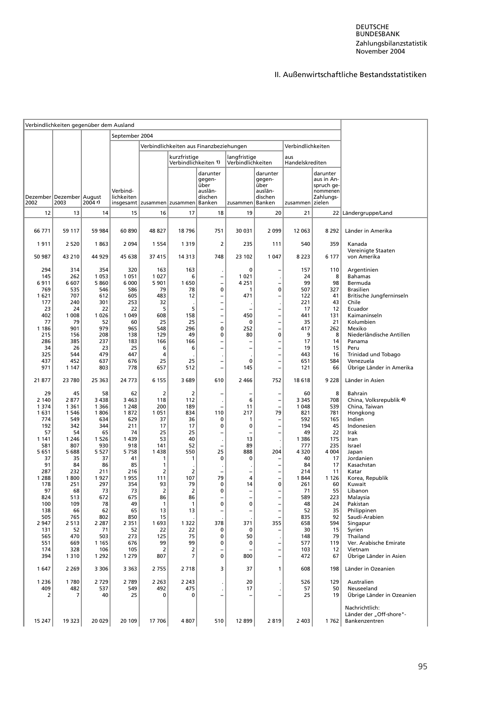|                                                                                                                                                                                                | Verbindlichkeiten gegenüber dem Ausland                                                                                                                                                         |                                                                                                                                                                                                          |                                                                                                                                                                                                   |                                                                                                                                                                                                                                                                                                                 |                                                                                                                                                                                                                  |                                                                                                                                                                                                                                                                                             |                                                                                                                                                                                                                            |                                                                                                                                                                                                                                                                                                                                             |                                                                                                                                                                                             |                                                                                                                                                                            |                                                                                                                                                                                                                                                                                                                                                                 |
|------------------------------------------------------------------------------------------------------------------------------------------------------------------------------------------------|-------------------------------------------------------------------------------------------------------------------------------------------------------------------------------------------------|----------------------------------------------------------------------------------------------------------------------------------------------------------------------------------------------------------|---------------------------------------------------------------------------------------------------------------------------------------------------------------------------------------------------|-----------------------------------------------------------------------------------------------------------------------------------------------------------------------------------------------------------------------------------------------------------------------------------------------------------------|------------------------------------------------------------------------------------------------------------------------------------------------------------------------------------------------------------------|---------------------------------------------------------------------------------------------------------------------------------------------------------------------------------------------------------------------------------------------------------------------------------------------|----------------------------------------------------------------------------------------------------------------------------------------------------------------------------------------------------------------------------|---------------------------------------------------------------------------------------------------------------------------------------------------------------------------------------------------------------------------------------------------------------------------------------------------------------------------------------------|---------------------------------------------------------------------------------------------------------------------------------------------------------------------------------------------|----------------------------------------------------------------------------------------------------------------------------------------------------------------------------|-----------------------------------------------------------------------------------------------------------------------------------------------------------------------------------------------------------------------------------------------------------------------------------------------------------------------------------------------------------------|
|                                                                                                                                                                                                |                                                                                                                                                                                                 |                                                                                                                                                                                                          | September 2004                                                                                                                                                                                    |                                                                                                                                                                                                                                                                                                                 |                                                                                                                                                                                                                  |                                                                                                                                                                                                                                                                                             |                                                                                                                                                                                                                            |                                                                                                                                                                                                                                                                                                                                             |                                                                                                                                                                                             |                                                                                                                                                                            |                                                                                                                                                                                                                                                                                                                                                                 |
|                                                                                                                                                                                                |                                                                                                                                                                                                 |                                                                                                                                                                                                          |                                                                                                                                                                                                   |                                                                                                                                                                                                                                                                                                                 | Verbindlichkeiten aus Finanzbeziehungen                                                                                                                                                                          |                                                                                                                                                                                                                                                                                             |                                                                                                                                                                                                                            |                                                                                                                                                                                                                                                                                                                                             | Verbindlichkeiten                                                                                                                                                                           |                                                                                                                                                                            |                                                                                                                                                                                                                                                                                                                                                                 |
|                                                                                                                                                                                                |                                                                                                                                                                                                 |                                                                                                                                                                                                          |                                                                                                                                                                                                   |                                                                                                                                                                                                                                                                                                                 | kurzfristige<br>Verbindlichkeiten 1)                                                                                                                                                                             |                                                                                                                                                                                                                                                                                             | langfristige<br>Verbindlichkeiten                                                                                                                                                                                          |                                                                                                                                                                                                                                                                                                                                             | aus<br>Handelskrediten                                                                                                                                                                      |                                                                                                                                                                            |                                                                                                                                                                                                                                                                                                                                                                 |
| 2002                                                                                                                                                                                           | Dezember   Dezember   August<br>2003                                                                                                                                                            | 2004 r)                                                                                                                                                                                                  | Verbind-<br>lichkeiten                                                                                                                                                                            | insgesamt   zusammen   zusammen   Banken                                                                                                                                                                                                                                                                        |                                                                                                                                                                                                                  | darunter<br>gegen-<br>über<br>auslän-<br>dischen                                                                                                                                                                                                                                            | zusammen   Banken                                                                                                                                                                                                          | darunter<br>gegen-<br>über<br>auslän-<br>dischen                                                                                                                                                                                                                                                                                            | zusammen zielen                                                                                                                                                                             | darunter<br>aus in An-<br>spruch ge-<br>nommenen<br>Zahlungs-                                                                                                              |                                                                                                                                                                                                                                                                                                                                                                 |
| 12                                                                                                                                                                                             | 13                                                                                                                                                                                              | 14                                                                                                                                                                                                       | 15                                                                                                                                                                                                | 16                                                                                                                                                                                                                                                                                                              | 17                                                                                                                                                                                                               | 18                                                                                                                                                                                                                                                                                          | 19                                                                                                                                                                                                                         | 20                                                                                                                                                                                                                                                                                                                                          | 21                                                                                                                                                                                          |                                                                                                                                                                            | 22 Ländergruppe/Land                                                                                                                                                                                                                                                                                                                                            |
| 66 771                                                                                                                                                                                         | 59 117                                                                                                                                                                                          | 59 984                                                                                                                                                                                                   | 60 890                                                                                                                                                                                            | 48 827                                                                                                                                                                                                                                                                                                          | 18 796                                                                                                                                                                                                           | 751                                                                                                                                                                                                                                                                                         | 30 031                                                                                                                                                                                                                     | 2099                                                                                                                                                                                                                                                                                                                                        | 12 063                                                                                                                                                                                      | 8 2 9 2                                                                                                                                                                    | Länder in Amerika                                                                                                                                                                                                                                                                                                                                               |
| 1911                                                                                                                                                                                           | 2 5 2 0                                                                                                                                                                                         | 1863                                                                                                                                                                                                     | 2 0 9 4                                                                                                                                                                                           | 1 5 5 4                                                                                                                                                                                                                                                                                                         | 1 3 1 9                                                                                                                                                                                                          | $\overline{2}$                                                                                                                                                                                                                                                                              | 235                                                                                                                                                                                                                        | 111                                                                                                                                                                                                                                                                                                                                         | 540                                                                                                                                                                                         | 359                                                                                                                                                                        | Kanada                                                                                                                                                                                                                                                                                                                                                          |
| 50 987                                                                                                                                                                                         | 43 210                                                                                                                                                                                          | 44 929                                                                                                                                                                                                   | 45 638                                                                                                                                                                                            | 37 415                                                                                                                                                                                                                                                                                                          | 14 3 13                                                                                                                                                                                                          | 748                                                                                                                                                                                                                                                                                         | 23 102                                                                                                                                                                                                                     | 1 0 4 7                                                                                                                                                                                                                                                                                                                                     | 8 2 2 3                                                                                                                                                                                     | 6 177                                                                                                                                                                      | Vereinigte Staaten<br>von Amerika                                                                                                                                                                                                                                                                                                                               |
| 294                                                                                                                                                                                            | 314                                                                                                                                                                                             | 354                                                                                                                                                                                                      | 320                                                                                                                                                                                               | 163                                                                                                                                                                                                                                                                                                             | 163                                                                                                                                                                                                              |                                                                                                                                                                                                                                                                                             | 0                                                                                                                                                                                                                          |                                                                                                                                                                                                                                                                                                                                             | 157                                                                                                                                                                                         | 110                                                                                                                                                                        | Argentinien                                                                                                                                                                                                                                                                                                                                                     |
| 145                                                                                                                                                                                            | 262                                                                                                                                                                                             | 1 0 5 3                                                                                                                                                                                                  | 1 0 5 1                                                                                                                                                                                           | 1 0 2 7                                                                                                                                                                                                                                                                                                         | 6                                                                                                                                                                                                                | $\overline{\phantom{0}}$                                                                                                                                                                                                                                                                    | 1 0 2 1                                                                                                                                                                                                                    |                                                                                                                                                                                                                                                                                                                                             | 24                                                                                                                                                                                          | 8<br>98                                                                                                                                                                    | <b>Bahamas</b><br>Bermuda                                                                                                                                                                                                                                                                                                                                       |
| 6911<br>769                                                                                                                                                                                    | 6607<br>535                                                                                                                                                                                     | 5860<br>546                                                                                                                                                                                              | 6 0 0 0<br>586                                                                                                                                                                                    | 5 9 0 1<br>79                                                                                                                                                                                                                                                                                                   | 1650<br>78                                                                                                                                                                                                       | $\overline{\phantom{0}}$<br>$\mathbf 0$                                                                                                                                                                                                                                                     | 4 2 5 1<br>1                                                                                                                                                                                                               | —<br>0                                                                                                                                                                                                                                                                                                                                      | 99<br>507                                                                                                                                                                                   | 327                                                                                                                                                                        | <b>Brasilien</b>                                                                                                                                                                                                                                                                                                                                                |
| 1621                                                                                                                                                                                           | 707                                                                                                                                                                                             | 612                                                                                                                                                                                                      | 605                                                                                                                                                                                               | 483                                                                                                                                                                                                                                                                                                             | 12                                                                                                                                                                                                               | $\overline{\phantom{0}}$                                                                                                                                                                                                                                                                    | 471                                                                                                                                                                                                                        | $\overline{a}$                                                                                                                                                                                                                                                                                                                              | 122                                                                                                                                                                                         | 41                                                                                                                                                                         | Britische Jungferninseln                                                                                                                                                                                                                                                                                                                                        |
| 177                                                                                                                                                                                            | 240                                                                                                                                                                                             | 301                                                                                                                                                                                                      | 253                                                                                                                                                                                               | 32                                                                                                                                                                                                                                                                                                              |                                                                                                                                                                                                                  | $\overline{\phantom{0}}$                                                                                                                                                                                                                                                                    |                                                                                                                                                                                                                            |                                                                                                                                                                                                                                                                                                                                             | 221                                                                                                                                                                                         | 43                                                                                                                                                                         | Chile                                                                                                                                                                                                                                                                                                                                                           |
| 23                                                                                                                                                                                             | 24                                                                                                                                                                                              | 22                                                                                                                                                                                                       | 22                                                                                                                                                                                                | 5                                                                                                                                                                                                                                                                                                               | 5                                                                                                                                                                                                                | $\qquad \qquad -$                                                                                                                                                                                                                                                                           |                                                                                                                                                                                                                            |                                                                                                                                                                                                                                                                                                                                             | 17                                                                                                                                                                                          | 12                                                                                                                                                                         | Ecuador                                                                                                                                                                                                                                                                                                                                                         |
| 402                                                                                                                                                                                            | 1 0 0 8                                                                                                                                                                                         | 1026                                                                                                                                                                                                     | 1 0 4 9                                                                                                                                                                                           | 608                                                                                                                                                                                                                                                                                                             | 158                                                                                                                                                                                                              | $\overline{\phantom{0}}$                                                                                                                                                                                                                                                                    | 450                                                                                                                                                                                                                        | $\overline{a}$                                                                                                                                                                                                                                                                                                                              | 441                                                                                                                                                                                         | 131                                                                                                                                                                        | Kaimaninseln                                                                                                                                                                                                                                                                                                                                                    |
| 77                                                                                                                                                                                             | 79                                                                                                                                                                                              | 52                                                                                                                                                                                                       | 60                                                                                                                                                                                                | 25                                                                                                                                                                                                                                                                                                              | 25                                                                                                                                                                                                               | $\overline{\phantom{0}}$                                                                                                                                                                                                                                                                    | $\mathbf 0$                                                                                                                                                                                                                | $\overline{a}$                                                                                                                                                                                                                                                                                                                              | 35                                                                                                                                                                                          | 21                                                                                                                                                                         | Kolumbien                                                                                                                                                                                                                                                                                                                                                       |
| 1 1 8 6<br>215                                                                                                                                                                                 | 901<br>156                                                                                                                                                                                      | 979<br>208                                                                                                                                                                                               | 965<br>138                                                                                                                                                                                        | 548<br>129                                                                                                                                                                                                                                                                                                      | 296<br>49                                                                                                                                                                                                        | 0<br>0                                                                                                                                                                                                                                                                                      | 252<br>80                                                                                                                                                                                                                  | $\overline{\phantom{0}}$<br>0                                                                                                                                                                                                                                                                                                               | 417<br>9                                                                                                                                                                                    | 262<br>8                                                                                                                                                                   | Mexiko<br>Niederländische Antillen                                                                                                                                                                                                                                                                                                                              |
| 286                                                                                                                                                                                            | 385                                                                                                                                                                                             | 237                                                                                                                                                                                                      | 183                                                                                                                                                                                               | 166                                                                                                                                                                                                                                                                                                             | 166                                                                                                                                                                                                              | $\overline{a}$                                                                                                                                                                                                                                                                              | $\overline{\phantom{0}}$                                                                                                                                                                                                   |                                                                                                                                                                                                                                                                                                                                             | 17                                                                                                                                                                                          | 14                                                                                                                                                                         | Panama                                                                                                                                                                                                                                                                                                                                                          |
| 34                                                                                                                                                                                             | 26                                                                                                                                                                                              | 23                                                                                                                                                                                                       | 25                                                                                                                                                                                                | 6                                                                                                                                                                                                                                                                                                               | 6                                                                                                                                                                                                                | $\overline{\phantom{0}}$                                                                                                                                                                                                                                                                    | $\overline{\phantom{0}}$                                                                                                                                                                                                   | $\overline{\phantom{0}}$                                                                                                                                                                                                                                                                                                                    | 19                                                                                                                                                                                          | 15                                                                                                                                                                         | Peru                                                                                                                                                                                                                                                                                                                                                            |
| 325                                                                                                                                                                                            | 544                                                                                                                                                                                             | 479                                                                                                                                                                                                      | 447                                                                                                                                                                                               | 4                                                                                                                                                                                                                                                                                                               |                                                                                                                                                                                                                  |                                                                                                                                                                                                                                                                                             |                                                                                                                                                                                                                            | $\overline{\phantom{0}}$                                                                                                                                                                                                                                                                                                                    | 443                                                                                                                                                                                         | 16                                                                                                                                                                         | Trinidad und Tobago                                                                                                                                                                                                                                                                                                                                             |
| 437                                                                                                                                                                                            | 452                                                                                                                                                                                             | 637                                                                                                                                                                                                      | 676                                                                                                                                                                                               | 25                                                                                                                                                                                                                                                                                                              | 25                                                                                                                                                                                                               | $\overline{\phantom{a}}$                                                                                                                                                                                                                                                                    | $\mathbf 0$                                                                                                                                                                                                                | $\overline{\phantom{0}}$                                                                                                                                                                                                                                                                                                                    | 651                                                                                                                                                                                         | 584                                                                                                                                                                        | Venezuela                                                                                                                                                                                                                                                                                                                                                       |
| 971                                                                                                                                                                                            | 1 1 4 7                                                                                                                                                                                         | 803                                                                                                                                                                                                      | 778                                                                                                                                                                                               | 657                                                                                                                                                                                                                                                                                                             | 512                                                                                                                                                                                                              | $\overline{\phantom{0}}$                                                                                                                                                                                                                                                                    | 145                                                                                                                                                                                                                        | $\overline{\phantom{0}}$                                                                                                                                                                                                                                                                                                                    | 121                                                                                                                                                                                         | 66                                                                                                                                                                         | Übrige Länder in Amerika                                                                                                                                                                                                                                                                                                                                        |
| 21 877                                                                                                                                                                                         | 23 780                                                                                                                                                                                          | 25 363                                                                                                                                                                                                   | 24 773                                                                                                                                                                                            | 6 1 5 5                                                                                                                                                                                                                                                                                                         | 3 6 8 9                                                                                                                                                                                                          | 610                                                                                                                                                                                                                                                                                         | 2 4 6 6                                                                                                                                                                                                                    | 752                                                                                                                                                                                                                                                                                                                                         | 18 6 18                                                                                                                                                                                     | 9 2 2 8                                                                                                                                                                    | Länder in Asien                                                                                                                                                                                                                                                                                                                                                 |
| 29<br>2 140<br>1 3 7 4<br>1631<br>774<br>192<br>57<br>1 1 4 1<br>581<br>5651<br>37<br>91<br>287<br>1 2 8 8<br>178<br>97<br>824<br>100<br>138<br>505<br>2947<br>131<br>565<br>551<br>174<br>394 | 45<br>2877<br>1 3 6 1<br>1 5 4 6<br>549<br>342<br>54<br>1 2 4 6<br>807<br>5688<br>35<br>84<br>232<br>1800<br>251<br>68<br>513<br>109<br>66<br>765<br>2513<br>52<br>470<br>669<br>328<br>1 3 1 0 | 58<br>3 4 3 8<br>1 3 6 6<br>1806<br>634<br>344<br>65<br>1 5 2 6<br>930<br>5 5 2 7<br>37<br>86<br>211<br>1927<br>297<br>73<br>672<br>78<br>62<br>802<br>2 2 8 7<br>71<br>503<br>1 1 6 5<br>106<br>1 2 9 2 | 62<br>3 4 6 3<br>1 2 4 8<br>1872<br>629<br>211<br>74<br>1 4 3 9<br>918<br>5758<br>41<br>85<br>216<br>1955<br>354<br>73<br>675<br>49<br>65<br>850<br>2 3 5 1<br>52<br>273<br>676<br>105<br>1 2 7 9 | $\mathsf{2}\!\!\:\mathsf{1}\!\!\:\mathsf{2}\!\!\:\mathsf{1}\!\!\:\mathsf{3}\mathsf{2}\!\!\:\mathsf{4}\mathsf{3}$<br>118<br>200<br>1051<br>37<br>17<br>25<br>53<br>141<br>1438<br>1<br>$\mathbf{1}$<br>2<br>111<br>93<br>$\overline{2}$<br>86<br>$\mathbf{1}$<br>13<br>15<br>1693<br>22<br>125<br>99<br>2<br>807 | $\overline{2}$<br>112<br>189<br>834<br>36<br>17<br>25<br>40<br>52<br>550<br>1<br>$\overline{2}$<br>107<br>79<br>$\overline{2}$<br>86<br>1<br>13<br>1 3 2 2<br>22<br>75<br>99<br>$\overline{2}$<br>$\overline{7}$ | $\overline{\phantom{0}}$<br>110<br>$\mathbf 0$<br>$\mathbf 0$<br>$\overline{\phantom{0}}$<br>$\overline{a}$<br>25<br>$\mathbf 0$<br>$\overline{\phantom{0}}$<br>79<br>$\mathbf 0$<br>0<br>$\mathbf 0$<br>$\qquad \qquad -$<br>378<br>0<br>0<br>0<br>$\overline{\phantom{0}}$<br>$\mathbf 0$ | $\overline{\phantom{0}}$<br>6<br>11<br>217<br>1<br>$\mathbf 0$<br>13<br>89<br>888<br>0<br>$\overline{\phantom{0}}$<br>4<br>14<br>$\mathbf 0$<br>$\overline{\phantom{0}}$<br>371<br>$\mathbf 0$<br>50<br>$\mathbf 0$<br>800 | ۰<br><b>-</b><br>L.<br>79<br>$\overline{\phantom{0}}$<br>$\overline{\phantom{0}}$<br>$\overline{\phantom{0}}$<br>204<br>$\overline{\phantom{0}}$<br>$\overline{\phantom{0}}$<br>$\overline{\phantom{0}}$<br>0<br>$\qquad \qquad -$<br>$\qquad \qquad -$<br>$\overline{\phantom{0}}$<br>355<br>$\qquad \qquad -$<br>$\overline{\phantom{0}}$ | 60<br>3 3 4 5<br>1 0 4 8<br>821<br>592<br>194<br>49<br>1 3 8 6<br>777<br>4 3 2 0<br>40<br>84<br>214<br>1844<br>261<br>71<br>589<br>48<br>52<br>835<br>658<br>30<br>148<br>577<br>103<br>472 | 8<br>708<br>539<br>781<br>165<br>45<br>22<br>175<br>235<br>4 0 0 4<br>17<br>17<br>11<br>1 1 2 6<br>60<br>55<br>223<br>24<br>35<br>92<br>594<br>15<br>79<br>119<br>12<br>67 | Bahrain<br>China, Volksrepublik 4)<br>China, Taiwan<br>Hongkong<br>Indien<br>Indonesien<br>Irak<br>Iran<br>Israel<br>Japan<br>Jordanien<br>Kasachstan<br>Katar<br>Korea, Republik<br>Kuwait<br>Libanon<br>Malaysia<br>Pakistan<br>Philippinen<br>Saudi-Arabien<br>Singapur<br>Syrien<br>Thailand<br>Ver. Arabische Emirate<br>Vietnam<br>Übrige Länder in Asien |
| 1647                                                                                                                                                                                           | 2 2 6 9                                                                                                                                                                                         | 3 3 0 6                                                                                                                                                                                                  | 3 3 6 3                                                                                                                                                                                           | 2755                                                                                                                                                                                                                                                                                                            | 2 7 1 8                                                                                                                                                                                                          | 3                                                                                                                                                                                                                                                                                           | 37                                                                                                                                                                                                                         | $\mathbf{1}$                                                                                                                                                                                                                                                                                                                                | 608                                                                                                                                                                                         | 198                                                                                                                                                                        | Länder in Ozeanien                                                                                                                                                                                                                                                                                                                                              |
| 1 2 3 6                                                                                                                                                                                        | 1780                                                                                                                                                                                            | 2729                                                                                                                                                                                                     | 2 7 8 9                                                                                                                                                                                           | 2 2 6 3                                                                                                                                                                                                                                                                                                         | 2 2 4 3                                                                                                                                                                                                          |                                                                                                                                                                                                                                                                                             | 20                                                                                                                                                                                                                         |                                                                                                                                                                                                                                                                                                                                             | 526                                                                                                                                                                                         | 129                                                                                                                                                                        | Australien                                                                                                                                                                                                                                                                                                                                                      |
| 409<br>2                                                                                                                                                                                       | 482<br>7                                                                                                                                                                                        | 537<br>40                                                                                                                                                                                                | 549<br>25                                                                                                                                                                                         | 492<br>0                                                                                                                                                                                                                                                                                                        | 475<br>$\mathbf 0$                                                                                                                                                                                               | $\overline{\phantom{a}}$                                                                                                                                                                                                                                                                    | 17<br>$\overline{\phantom{0}}$                                                                                                                                                                                             |                                                                                                                                                                                                                                                                                                                                             | 57<br>25                                                                                                                                                                                    | 50<br>19                                                                                                                                                                   | Neuseeland<br>Übrige Länder in Ozeanien                                                                                                                                                                                                                                                                                                                         |
| 15 247                                                                                                                                                                                         | 19 3 23                                                                                                                                                                                         | 20 0 29                                                                                                                                                                                                  | 20 109                                                                                                                                                                                            | 17 706                                                                                                                                                                                                                                                                                                          | 4 8 0 7                                                                                                                                                                                                          | 510                                                                                                                                                                                                                                                                                         | 12 899                                                                                                                                                                                                                     | 2819                                                                                                                                                                                                                                                                                                                                        | 2 4 0 3                                                                                                                                                                                     | 1762                                                                                                                                                                       | Nachrichtlich:<br>Länder der "Off-shore"-<br>Bankenzentren                                                                                                                                                                                                                                                                                                      |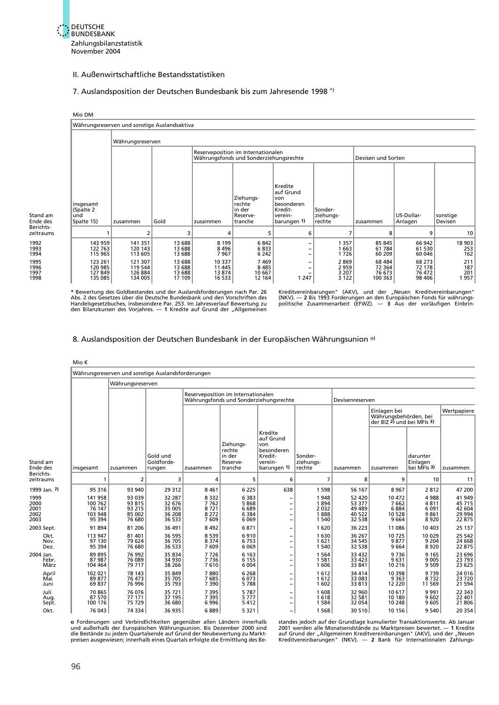

### 7. Auslandsposition der Deutschen Bundesbank bis zum Jahresende 1998 \*)

## Mio DM

|                              |                                             | Währungsreserven und sonstige Auslandsaktiva |                                      |                                       |                                                                              |                                                                                |                                    |                                        |                                      |                          |
|------------------------------|---------------------------------------------|----------------------------------------------|--------------------------------------|---------------------------------------|------------------------------------------------------------------------------|--------------------------------------------------------------------------------|------------------------------------|----------------------------------------|--------------------------------------|--------------------------|
|                              |                                             | Währungsreserven                             |                                      |                                       |                                                                              |                                                                                |                                    |                                        |                                      |                          |
|                              |                                             |                                              |                                      |                                       | Reserveposition im Internationalen<br>Währungsfonds und Sonderziehungsrechte |                                                                                |                                    | Devisen und Sorten                     |                                      |                          |
| Stand am<br>Ende des         | insgesamt<br>(Spalte 2<br>und<br>Spalte 15) | zusammen                                     | Gold                                 | zusammen                              | Ziehungs-<br>rechte<br>in der<br>Reserve-<br>tranche                         | Kredite<br>auf Grund<br>von<br>besonderen<br>Kredit-<br>verein-<br>barungen 1) | Sonder-<br>ziehungs-<br>rechte     | zusammen                               | US-Dollar-<br>Anlagen                | sonstige<br>Devisen      |
| Berichts-<br>zeitraums       |                                             |                                              |                                      |                                       |                                                                              | 6                                                                              |                                    | 8                                      | q                                    | 10                       |
| 1992<br>1993<br>1994         | 143 959<br>122 763<br>115 965               | 141 351<br>120 143<br>113 605                | 13 688<br>13 688<br>13 688           | 8 1 9 9<br>8496<br>7967               | 6842<br>6833<br>6 2 4 2                                                      |                                                                                | 1 3 5 7<br>663<br>1726             | 85 845<br>61 784<br>60 209             | 66 942<br>61 530<br>60 046           | 18 903<br>253<br>162     |
| 1995<br>1996<br>1997<br>1998 | 123 261<br>120 985<br>127 849<br>135 085    | 121 307<br>119 544<br>126 884<br>134 005     | 13 688<br>13 688<br>13 688<br>17 109 | 10 337<br>11 4 45<br>13 874<br>16 533 | 7469<br>8485<br>10 667<br>12 164                                             | 247                                                                            | 2869<br>2959<br>3 2 0 7<br>3 1 2 2 | 68 4 84<br>72 364<br>76 673<br>100 363 | 68 273<br>72 178<br>76 472<br>98 406 | 211<br>187<br>201<br>957 |

\* Bewertung des Goldbestandes und der Auslandsforderungen nach Par. 26 Kreditvereinbarungen" (AKV), und der "Neuen Kreditvereinbarungen" Abs. 2 des Gesetzes über die Deutsche Bundesbank und den Vorschriften des (NKV). — 2 Bis 1993 Forderungen an den Europäischen Fonds für währungs-<br>Handelsgesetzbuches, insbesondere Par. 253. Im Jahresverlauf Bewertun den Bilanzkursen des Vorduestandes und der Austanius und den Vorschriften des Handelsgesetzbuches, insbesondere Par. 253. Im Jahresverlauf Bewertung zu den Bilanzkursen des Vorjahres. — 1 Kredite auf Grund der "Allgemeinen

8. Auslandsposition der Deutschen Bundesbank in der Europäischen Währungsunion <sup>o)</sup>

#### Mio €

|                                      |                                                   |                                                | Währungsreserven und sonstige Auslandsforderungen |                                             |                                                                              |                                                                                  |                                            |                                                |                                                                                   |                                         |                                                 |
|--------------------------------------|---------------------------------------------------|------------------------------------------------|---------------------------------------------------|---------------------------------------------|------------------------------------------------------------------------------|----------------------------------------------------------------------------------|--------------------------------------------|------------------------------------------------|-----------------------------------------------------------------------------------|-----------------------------------------|-------------------------------------------------|
|                                      |                                                   | Währungsreserven                               |                                                   |                                             |                                                                              |                                                                                  |                                            |                                                |                                                                                   |                                         |                                                 |
|                                      |                                                   |                                                |                                                   |                                             | Reserveposition im Internationalen<br>Währungsfonds und Sonderziehungsrechte |                                                                                  |                                            | Devisenreserven                                |                                                                                   |                                         |                                                 |
|                                      |                                                   |                                                |                                                   |                                             |                                                                              |                                                                                  |                                            |                                                | Einlagen bei<br>Währungsbehörden, bei<br>der BIZ $\overline{2}$ ) und bei MFIs 3) |                                         | Wertpapiere                                     |
| Stand am<br>Ende des                 | insgesamt                                         | zusammen                                       | Gold und<br>Goldforde-<br>rungen                  | zusammen                                    | Ziehungs-<br>rechte<br>in der<br>Reserve-<br>tranche                         | Kredite<br>auf Grund<br>von<br>besonderen<br>Kredit-<br>verein-<br>barungen 1)   | Sonder-<br>ziehungs-<br>rechte             | zusammen                                       | zusammen                                                                          | darunter<br>Einlagen<br>bei MFIs 3)     | zusammen                                        |
| Berichts-<br>zeitraums               | $\overline{1}$                                    | 2                                              | 3                                                 | 4                                           | 5                                                                            | 6                                                                                | 7                                          | 8                                              | 9                                                                                 | 10                                      | 11                                              |
| 1999 Jan. 7)                         | 95 316                                            | 93 940                                         | 29 3 12                                           | 8 4 6 1                                     | 6 2 2 5                                                                      | 638                                                                              | 1 5 9 8                                    | 56 167                                         | 8967                                                                              | 2812                                    | 47 200                                          |
| 1999<br>2000<br>2001<br>2002<br>2003 | 141 958<br>100 762<br>76 147<br>103 948<br>95 394 | 93 039<br>93 815<br>93 215<br>85 002<br>76 680 | 32 287<br>32 676<br>35 005<br>36 208<br>36 533    | 8 3 3 2<br>7762<br>8721<br>8 2 7 2<br>7 609 | 6 3 8 3<br>5868<br>6689<br>6 3 8 4<br>6 0 6 9                                | $\overline{\phantom{m}}$<br>$\overline{\phantom{m}}$<br>$\qquad \qquad -$        | 1948<br>1894<br>2 0 3 2<br>1888<br>1 5 4 0 | 52 420<br>53 377<br>49 489<br>40 522<br>32 538 | 10 472<br>7662<br>6884<br>10 528<br>9664                                          | 4988<br>4811<br>6 0 9 1<br>9861<br>8920 | 41 949<br>45 715<br>42 604<br>29 9 94<br>22 875 |
| 2003 Sept.                           | 91894                                             | 81 206                                         | 36 491                                            | 8 4 9 2                                     | 6871                                                                         |                                                                                  | 1620                                       | 36 223                                         | 11 086                                                                            | 10 403                                  | 25 137                                          |
| Okt.<br>Nov.<br>Dez.                 | 113 947<br>97 130<br>95 394                       | 81 401<br>79 624<br>76 680                     | 36 595<br>36 705<br>36 533                        | 8 5 3 9<br>8 3 7 4<br>7 609                 | 6910<br>6753<br>6 0 6 9                                                      | $\overline{\phantom{m}}$<br>$\overline{\phantom{a}}$<br>$\overline{\phantom{0}}$ | 1630<br>1621<br>1 5 4 0                    | 36 267<br>34 545<br>32 538                     | 10725<br>9877<br>9664                                                             | 10 0 29<br>9 2 0 4<br>8920              | 25 542<br>24 6 68<br>22 875                     |
| 2004 Jan.<br>Febr.<br>März           | 89 895<br>87 987<br>104 464                       | 76 992<br>76 089<br>79 717                     | 35 834<br>34 930<br>38 266                        | 7726<br>7736<br>7610                        | 6 1 6 3<br>6 1 5 5<br>6 0 0 4                                                | $\overline{\phantom{m}}$                                                         | 1 5 6 4<br>1 5 8 1<br>1606                 | 33 4 32<br>33 4 23<br>33 841                   | 9736<br>9631<br>10 216                                                            | 9 1 6 5<br>9 0 0 5<br>9 5 0 9           | 23 696<br>23 793<br>23 625                      |
| April<br>Mai<br>Juni                 | 102 021<br>89 877<br>69837                        | 78 143<br>76 473<br>76 996                     | 35 849<br>35 705<br>35 793                        | 7880<br>7685<br>7 3 9 0                     | 6 2 6 8<br>6 0 7 3<br>5788                                                   | $\overline{\phantom{m}}$                                                         | 1612<br>1612<br>1 602                      | 34 4 14<br>33 083<br>33 813                    | 10 398<br>9 3 6 3<br>12 2 2 0                                                     | 9739<br>8732<br>11 569                  | 24 016<br>23720<br>21 5 94                      |
| Juli<br>Aug.<br>Sept.                | 70 865<br>87 570<br>100 176                       | 76 076<br>77 171<br>75 729                     | 35 7 21<br>37 195<br>36 680                       | 7 3 9 5<br>7 3 9 5<br>6996                  | 5 7 8 7<br>5777<br>5 4 1 2                                                   | $\overline{\phantom{0}}$<br>$\overline{\phantom{m}}$                             | 1608<br>1618<br>1 5 8 4                    | 32 960<br>32 581<br>32 054                     | 10 617<br>10 180<br>10 248                                                        | 9 9 9 1<br>9 602<br>9605                | 22 343<br>22 401<br>21806                       |
| Okt.                                 | 76 043                                            | 74 334                                         | 36 935                                            | 6889                                        | 5 3 2 1                                                                      | $\overline{\phantom{0}}$                                                         | 1 5 6 8                                    | 30 510                                         | 10 15 6                                                                           | 9 540                                   | 20 354                                          |

o Forderungen und Verbindlichkeiten gegenüber allen Ländern innerhalb standesjedoch auf der Grundlage kumulierter Transaktionswerte. Ab Januar<br>und außerhalb der Europäischen Währungsunion. Bis Dezember 2000 sind 2001 werde die Bestände zu jedem Quartalsende auf Grund der Neubewertung zu Markt-auf Grund der "Allgemeinen Kreditvereinbarungen" (AKV), und der "Neuen<br>preisen ausgewiesen; innerhalb eines Quartals erfolgte die Ermittlung des Be-Kre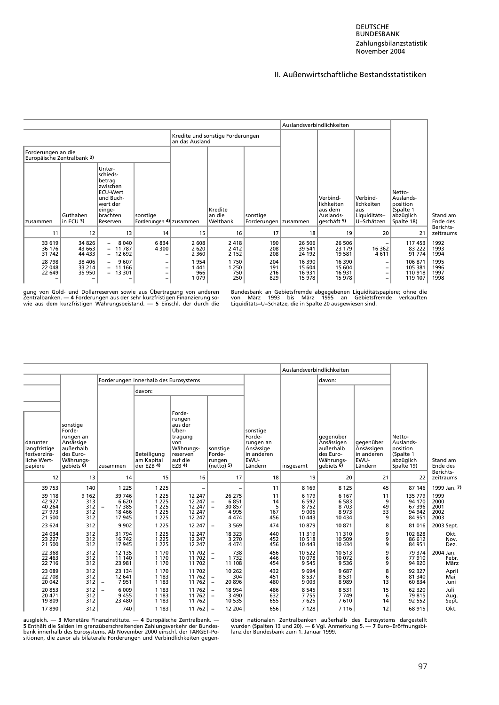|                                                  |                            |                                                                                                                 |                                                       |                               |                                  |                                    | Auslandsverbindlichkeiten            |                                                               |                                                                                            |                                                                         |                              |
|--------------------------------------------------|----------------------------|-----------------------------------------------------------------------------------------------------------------|-------------------------------------------------------|-------------------------------|----------------------------------|------------------------------------|--------------------------------------|---------------------------------------------------------------|--------------------------------------------------------------------------------------------|-------------------------------------------------------------------------|------------------------------|
|                                                  |                            |                                                                                                                 |                                                       | an das Ausland                | Kredite und sonstige Forderungen |                                    |                                      |                                                               |                                                                                            |                                                                         |                              |
| Forderungen an die<br>Europäische Zentralbank 2) |                            |                                                                                                                 |                                                       |                               |                                  |                                    |                                      |                                                               |                                                                                            |                                                                         |                              |
| zusammen                                         | Guthaben<br>in ECU 3)      | Unter-<br>schieds-<br>betrag<br>zwischen<br>ECU-Wert<br>und Buch-<br>wert der<br>einge-<br>brachten<br>Reserven | sonstige<br>Forderungen 4) zusammen                   |                               | Kredite<br>an die<br>Weltbank    | sonstige<br>Forderungen   zusammen |                                      | Verbind-<br>lichkeiten<br>aus dem<br>Auslands-<br>geschäft 5) | Verbind-<br>lichkeiten<br>aus<br>Liquiditäts-<br>U-Schätzen                                | Netto-<br>Auslands-<br>position<br>(Spalte 1<br>abzüglich<br>Spalte 18) | Stand am<br>Ende des         |
| 11                                               | 12                         | 13                                                                                                              | 14                                                    | 15                            | 16                               | 17                                 | 18                                   | 19                                                            | 20                                                                                         | 21                                                                      | Berichts-<br>zeitraums       |
| 33 619<br>36 176<br>31 742                       | 34 826<br>43 663<br>44 433 | 8 0 4 0<br>787<br>11<br>12 692<br>$\overline{\phantom{0}}$                                                      | 6834<br>4 3 0 0                                       | 2 6 0 8<br>2 6 2 0<br>2 3 6 0 | 2 4 1 8<br>2 4 1 2<br>2 1 5 2    | 190<br>208<br>208                  | 26 506<br>39 541<br>24 192           | 26 506<br>23 179<br>19 581                                    | 16 3 62<br>4611                                                                            | 117 453<br>83 222<br>91 774                                             | 1992<br>1993<br>1994         |
| 28 7 98<br>22 048<br>22 649                      | 38 406<br>33 214<br>35 950 | 9607<br>11<br>166<br>13 301                                                                                     | $\qquad \qquad$<br>$\qquad \qquad$<br>$\qquad \qquad$ | 1954<br>441<br>966<br>1079    | 1750<br>250<br>750<br>250        | 204<br>191<br>216<br>829           | 16 390<br>15 604<br>16 931<br>15 978 | 16 390<br>15 604<br>16 9 31<br>15 978                         | $\overline{\phantom{m}}$<br>$\overline{\phantom{m}}$<br>$\qquad \qquad$<br>$\qquad \qquad$ | 106 871<br>105 381<br>110 918<br>119 107                                | 1995<br>1996<br>1997<br>1998 |

gung von Gold- und Dollarreserven sowie aus Übertragung von anderen — Bundesbank an Gebietsfremde abgegebenen Liquiditätspapiere; ohne die<br>Zentralbanken. — 4 Forderungen aus der sehr kurzfristigen Finanzierung so- — von gung von Gold- und Dollarreserven sowie aus Übertragung von anderen<br>Zentralbanken. — 4 Forderungen aus der sehr kurzfristigen Finanzierung so-<br>wie aus dem kurzfristigen Währungsbeistand. — 5 Einschl. der durch die

|                                                                    |                                                                                                   |                                                                             |                                                     |                                                                                                        |                                                                               |                                                                               | Auslandsverbindlichkeiten                     |                                                                              |                                                          |                                                                         |                                      |
|--------------------------------------------------------------------|---------------------------------------------------------------------------------------------------|-----------------------------------------------------------------------------|-----------------------------------------------------|--------------------------------------------------------------------------------------------------------|-------------------------------------------------------------------------------|-------------------------------------------------------------------------------|-----------------------------------------------|------------------------------------------------------------------------------|----------------------------------------------------------|-------------------------------------------------------------------------|--------------------------------------|
|                                                                    |                                                                                                   |                                                                             | Forderungen innerhalb des Eurosystems               |                                                                                                        |                                                                               |                                                                               |                                               | davon:                                                                       |                                                          |                                                                         |                                      |
|                                                                    |                                                                                                   |                                                                             | davon:                                              |                                                                                                        |                                                                               |                                                                               |                                               |                                                                              |                                                          |                                                                         |                                      |
| darunter<br>langfristige<br>festverzins-<br>liche Wert-<br>papiere | sonstige<br>Forde-<br>rungen an<br>Ansässige<br>außerhalb<br>des Euro-<br>Währungs-<br>aebiets 6) | zusammen                                                                    | Beteiligung<br>am Kapital<br>der EZB 4)             | Forde-<br>rungen<br>aus der<br>Über-<br>tragung<br>von<br>Währungs-<br>reserven<br>auf die<br>$EZB$ 4) | sonstige<br>Forde-<br>rungen<br>$(netto)$ 5)                                  | sonstige<br>Forde-<br>rungen an<br>Ansässige<br>in anderen<br>EWU-<br>Ländern | insgesamt                                     | qeqenüber<br>Ansässigen<br>außerhalb<br>des Euro-<br>Währungs-<br>qebiets 6) | gegenüber<br>Ansässigen<br>in anderen<br>EWU-<br>Ländern | Netto-<br>Auslands-<br>position<br>(Spalte 1<br>abzüglich<br>Spalte 19) | Stand am<br>Ende des<br>Berichts-    |
| 12                                                                 | 13                                                                                                | 14                                                                          | 15                                                  | 16                                                                                                     | 17                                                                            | 18                                                                            | 19                                            | 20                                                                           | 21                                                       | 22                                                                      | zeitraums                            |
| 39 753                                                             | 140                                                                                               | 1 2 2 5                                                                     | 1 2 2 5                                             | $\overline{\phantom{m}}$                                                                               | -                                                                             | 11                                                                            | 8 1 6 9                                       | 8 1 2 5                                                                      | 45                                                       | 87 146                                                                  | 1999 Jan. 7                          |
| 39 118<br>42 927<br>40 264<br>27 973<br>21 500                     | 9 1 6 2<br>313<br>312<br>312<br>312                                                               | 39 746<br>6 6 20<br>17 385<br>$\overline{\phantom{a}}$<br>18 4 66<br>17 945 | 1 2 2 5<br>1 2 2 5<br>1 2 2 5<br>1 2 2 5<br>1 2 2 5 | 12 247<br>12 247<br>12 247<br>12 247<br>12 247                                                         | 26 275<br>6851<br>$\overline{\phantom{a}}$<br>30 857<br>4 9 9 5<br>4 4 7 4    | 11<br>14<br>5<br>167<br>456                                                   | 6 179<br>6 5 9 2<br>8752<br>9 0 0 5<br>10 443 | 6 1 6 7<br>6 5 8 3<br>8703<br>8973<br>10 4 34                                | 11<br>9<br>49<br>33<br>9                                 | 135 779<br>94 170<br>67 396<br>94 942<br>84 951                         | 1999<br>2000<br>2001<br>2002<br>2003 |
| 23 624                                                             | 312                                                                                               | 9 9 0 2                                                                     | 1 2 2 5                                             | 12 247                                                                                                 | 3 5 6 9<br>$\overline{\phantom{a}}$                                           | 474                                                                           | 10879                                         | 10871                                                                        | 8                                                        | 81 016                                                                  | 2003 Sept.                           |
| 24 0 34<br>23 227<br>21 500                                        | 312<br>312<br>312                                                                                 | 31 794<br>16 742<br>17 945                                                  | 1 2 2 5<br>1 2 2 5<br>1 2 2 5                       | 12 247<br>12 247<br>12 247                                                                             | 18 3 23<br>3 2 7 0<br>4 4 7 4                                                 | 440<br>452<br>456                                                             | 11 3 19<br>10 5 18<br>10 443                  | 11 310<br>10 509<br>10 4 34                                                  | 9<br>$\overline{9}$<br>9                                 | 102 628<br>86 612<br>84 951                                             | Okt.<br>Nov.<br>Dez.                 |
| 22 3 68<br>22 463<br>22 716                                        | 312<br>312<br>312                                                                                 | 12 135<br>11 140<br>23 981                                                  | 1 1 7 0<br>1 1 7 0<br>1 1 7 0                       | 11 702<br>11 702<br>11 702                                                                             | 738<br>$\overline{\phantom{a}}$<br>1732<br>$\overline{\phantom{a}}$<br>11 108 | 456<br>446<br>454                                                             | 10 522<br>10 078<br>9 5 4 5                   | 10 5 13<br>10 072<br>9536                                                    | 9<br>6<br>9                                              | 79 374<br>77910<br>94 920                                               | 2004 Jan.<br>Febr.<br>März           |
| 23 089<br>22 708<br>20 042                                         | 312<br>312<br>312                                                                                 | 23 134<br>12 641<br>7951<br>$\overline{\phantom{a}}$                        | 1 1 7 0<br>1 1 8 3<br>1 1 8 3                       | 11 702<br>11762<br>11762                                                                               | 10 262<br>304<br>$\overline{\phantom{a}}$<br>$\equiv$<br>20 896               | 432<br>451<br>480                                                             | 9694<br>8 5 3 7<br>9 0 0 3                    | 9687<br>8531<br>8989                                                         | 8<br>6<br>13                                             | 92 327<br>81 340<br>60 834                                              | April<br>Mai<br>Juni                 |
| 20 853<br>20 471<br>19 809                                         | 312<br>312<br>312                                                                                 | 6 0 0 9<br>$\equiv$<br>9 4 5 5<br>23 480                                    | 1 1 8 3<br>1 1 8 3<br>1 1 8 3                       | 11 762<br>11762<br>11762                                                                               | 18 9 54<br>$\overline{\phantom{a}}$<br>3 4 9 0<br>10 535                      | 486<br>632<br>655                                                             | 8 5 4 5<br>7755<br>7625                       | 8531<br>7749<br>7610                                                         | 15<br>6<br>14                                            | 62 3 20<br>79 815<br>92 552                                             | Juli<br>Aug.<br>Sept.                |
| 17 890                                                             | 312                                                                                               | 740                                                                         | 1 1 8 3                                             | $11762$ –                                                                                              | 12 204                                                                        | 656                                                                           | 7 1 2 8                                       | 7 1 1 6                                                                      | 12 <sup>1</sup>                                          | 68 915                                                                  | Okt.                                 |

bank innerhalb des Eurosystems. Ab November 2000 einschl. der TARGET-Po- lanz der Bundesbank zum 1. Januar 1999.<br>sitionen, die zuvor als bilaterale Forderungen und Verbindlichkeiten gegen-

ausgleich. — 3 Monetäre Finanzinstitute. — 4 Europäische Zentralbank. — uüber nationalen Zentralbanken außerhalb des Eurosystems dargestellt<br>5 Enthält die Salden im grenzüberschreitenden Zahlungsverkehr der Bundes- wurden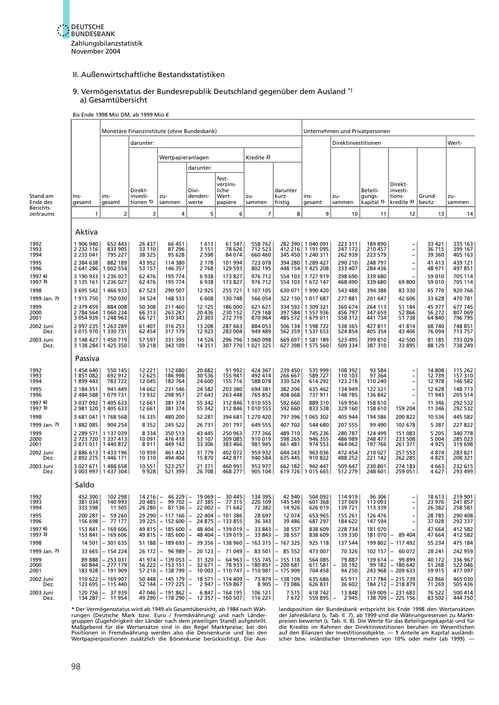

### 9. Vermögensstatus der Bundesrepublik Deutschland gegenüber dem Ausland \*) a) Gesamtübersicht

### Bis Ende 1998 Mio DM, ab 1999 Mio €

|                              |                                           |                                                                     | Monetäre Finanzinstitute (ohne Bundesbank) |                                                                                                                                                                                                                         |                            | Unternehmen und Privatpersonen                 |                                 |                               |                                                        |                                                    |                                  |                                                                           |                            |                                               |
|------------------------------|-------------------------------------------|---------------------------------------------------------------------|--------------------------------------------|-------------------------------------------------------------------------------------------------------------------------------------------------------------------------------------------------------------------------|----------------------------|------------------------------------------------|---------------------------------|-------------------------------|--------------------------------------------------------|----------------------------------------------------|----------------------------------|---------------------------------------------------------------------------|----------------------------|-----------------------------------------------|
|                              |                                           |                                                                     | darunter:                                  |                                                                                                                                                                                                                         |                            |                                                |                                 |                               |                                                        | Direktinvestitionen                                |                                  |                                                                           |                            | Wert-                                         |
|                              |                                           |                                                                     |                                            | Wertpapieranlagen                                                                                                                                                                                                       |                            |                                                | Kredite 2)                      |                               |                                                        |                                                    |                                  |                                                                           |                            |                                               |
|                              |                                           |                                                                     |                                            |                                                                                                                                                                                                                         | darunter:                  |                                                |                                 |                               |                                                        |                                                    |                                  |                                                                           |                            |                                               |
| Stand am<br>Ende des         | Ins-<br>gesamt                            | ins-<br>gesamt                                                      | Direkt-<br>investi-<br>tionen 1)           | zu-<br>sammen                                                                                                                                                                                                           | Divi-<br>denden-<br>werte  | fest-<br>verzins-<br>liche<br>Wert-<br>papiere | zu-<br>sammen                   | darunter<br>kurz-<br>fristig  | ins-<br>gesamt                                         | zu-<br>sammen                                      | Beteili-<br>qungs-<br>kapital 1) | Direkt-<br>investi-<br>tions-<br>kredite 3)                               | Grund-<br>besitz           | zu-<br>sammen                                 |
| Berichts-<br>zeitraums       | 1                                         | $\overline{2}$                                                      | 3                                          | 4                                                                                                                                                                                                                       | 5                          | 6                                              | 7                               | 8                             | 9                                                      | 10                                                 | 11                               | 12                                                                        | 13                         | 14                                            |
|                              | Aktiva                                    |                                                                     |                                            |                                                                                                                                                                                                                         |                            |                                                |                                 |                               |                                                        |                                                    |                                  |                                                                           |                            |                                               |
| 1992<br>1993<br>1994         | 1 906 940<br>2 2 3 2 1 1 6<br>2 2 3 0 4 1 | 652 443<br>833 905<br>795 227                                       | 26 437<br>33 110<br>38 325                 | 66 451<br>87 296<br>95 628                                                                                                                                                                                              | 1613<br>3 1 5 1<br>2 5 9 8 | 61 547<br>78 626<br>84 074                     | 558 762<br>712 523<br>660 460   | 412 216                       | 282 390   1 040 091<br>1 191 095<br>345 450   1240 311 | 223 311<br>247 172<br>262 939                      | 189890<br>210 457<br>223 579     | $\overline{\phantom{0}}$<br>$\overline{\phantom{a}}$                      | 33 421<br>36 715<br>39 360 | 335 163<br>399 167<br>405 163                 |
| 1995<br>1996                 | 2 3 8 4 6 3 8<br>2 641 286                | 882 189<br>1 002 554                                                | 43 952<br>53 157                           | 114 380<br>146 357                                                                                                                                                                                                      | 2 1 7 8<br>2768            | 101 994<br>129 593                             | 723 078<br>802 195              |                               | 394 280 1 289 427<br>448 154 1 425 208                 | 290 210<br>333 407                                 | 248 797<br>284 436               | $\qquad \qquad -$<br>$\qquad \qquad -$                                    | 41 413<br>48 971           | 439 121<br>497 851                            |
| 1997 6)<br>1997 3)           | 3 190 933<br>3 135 161                    | 1 236 027<br>1 236 027                                              | 62 476<br>62 476                           | 195 774<br>195 774                                                                                                                                                                                                      | 6938<br>6938               | 173 827<br>173 827                             | 976 712<br>976 712              | 554 103                       | 554 103 1 727 919<br>1 672 147                         | 398 690<br>468 490                                 | 339 680<br>339 680               | 69 800                                                                    | 59 010<br>59 010           | 705 114<br>705 114                            |
| 1998                         | 3 695 542                                 | 1466933                                                             | 67 523                                     | 290 507                                                                                                                                                                                                                 | 12 925                     | 255 721                                        | 1 107 105                       |                               | 630 071   1 990 420                                    | 543 488                                            | 394 388                          | 83 330                                                                    | 65 770                     | 920 766                                       |
| 1999 Jan. 7)<br>1999<br>2000 | 1915750<br>2 379 459<br>2 784 564         | 750 030<br>884 008<br>1 060 234                                     | 34 5 24<br>50 308<br>66 313                | 148 533<br>211 460<br>263 267                                                                                                                                                                                           | 6 608<br>12 125<br>20 436  | 130 748<br>186 000<br>230 152                  | 566 054<br>621 621<br>729 168   | 334 592<br>397 584            | 322 150   1017 687<br>  1 309 321<br>1 557 936         | 277881<br>360 674<br>456 797                       | 201 647<br>264 113<br>347 659    | 42 606<br>51 184<br>52 866                                                | 33 628<br>45 377<br>56 272 | 470 781<br>677 745<br>807 069                 |
| 2001                         | 3 054 939                                 | 1 248 963                                                           | 66 121                                     | 310 343                                                                                                                                                                                                                 | 23 303                     | 272 719                                        | 870 964                         |                               | 485 572 1 679 011                                      | 558 312                                            | 441 734                          | 51738                                                                     | 64 840                     | 796 795                                       |
| 2002 Juni<br>Dez.            | 2 997 235                                 | 1 263 289<br>3 015 970   1 330 731                                  | 61 407<br>62 454                           | 316 253<br>317 179                                                                                                                                                                                                      | 13 208<br>12 923           | 287 663<br>283 004                             | 884 053<br>949 489              |                               | 506 134   1 598 722<br>562 359   1 537 653             | 538 365<br>524 854                                 | 427811<br>405 354                | 41814<br>43 40 6                                                          | 68740<br>76 094            | 748 851<br>713 757                            |
| 2003 Juni<br>Dez.            |                                           | 3 148 427   1 450 719<br>3 138 284   1 425 350                      | 57 597<br>59 218                           | 331 395<br>343 109                                                                                                                                                                                                      | 14 5 24<br>14 3 5 1        | 296 796                                        | 1 060 098<br>307 770   1021 325 |                               | 669 697   1581 189<br>627 398 1 575 560                | 523 495<br>509 334                                 | 399 810<br>387 310               | 42 500<br>33 895                                                          | 81 185<br>88 129           | 733 029<br>738 249                            |
|                              | Passiva                                   |                                                                     |                                            |                                                                                                                                                                                                                         |                            |                                                |                                 |                               |                                                        |                                                    |                                  |                                                                           |                            |                                               |
| 1992<br>1993<br>1994         | 1454640<br>1851082<br>1899443             | 550 145<br>692 912<br>783 722                                       | 12 221<br>12 625<br>12 045                 | 112 680<br>186 998<br>182 764                                                                                                                                                                                           | 20 682<br>30 536<br>24 600 | 91 992<br>155 941<br>155 716                   | 424 367<br>492 414<br>588 078   | 239 450<br>266 667<br>330 524 | 535 999<br>589 727<br>614 292                          | 108 392<br>110 103<br>123 218                      | 93 584<br>97 364<br>110 240      | $\overline{\phantom{a}}$<br>$\overline{\phantom{a}}$<br>$\qquad \qquad -$ | 14 808<br>12739<br>12 978  | 115 262<br>157 310<br>146 582                 |
| 1995<br>1996                 | 2 184 351<br>2 484 588                    | 941 449<br>1079731                                                  | 14 662<br>13 932                           | 231 546<br>298 957                                                                                                                                                                                                      | 24 5 82<br>27 643          | 203 380<br>263 448                             | 694 381<br>765 852              | 382 206<br>408 668            | 635 462<br>737 911                                     | 134 949<br>148 785                                 | 122 321<br>136 842               | $\overline{\phantom{0}}$<br>$\qquad \qquad -$                             | 12 628<br>11 943           | 148 713<br>205 514                            |
| 1997 6)<br>1997 3)           | 3 037 092<br>2 981 320                    | 1 405 633<br>1 405 633                                              | 12 661<br>12 661                           | 381 374<br>381 374                                                                                                                                                                                                      | 55 342<br>55 342           | 312846<br>312 846                              | 1 010 555<br>1 010 555          | 592 660<br>592 660            | 889 310<br>833 538                                     | 169 956<br>329 160                                 | 158 610<br>158 610               | 159 204                                                                   | 11 346<br>11 346           | 292 532<br>292 532                            |
| 1998                         | 3 681 041                                 | 1768 568                                                            | 16 335                                     | 480 200                                                                                                                                                                                                                 | 52 281                     | 394 681                                        | 1 270 420                       | 797 396                       | 1 065 302                                              | 405 944                                            | 194 586                          | 200 822                                                                   | 10 536                     | 445 582                                       |
| 1999 Jan. 7)<br>1999         | 1882085<br>2 2 8 9 5 7 1                  | 904 254<br>1 137 039                                                | 8 3 5 2<br>8 3 3 4                         | 245 522<br>350 513                                                                                                                                                                                                      | 26 731<br>43 445           | 201 797<br>250 963                             | 649 555<br>777 366              | 407 702<br>489 710            | 544 680<br>745 236                                     | 207 555<br>280 787                                 | 99 490<br>124 499                | 102 678<br>151 083                                                        | 5 3 8 7<br>5 2 0 5         | 227 822<br>340 778                            |
| 2000<br>2001                 | 2723720                                   | 1 337 413<br>2871011 1440872                                        | 10 091<br>8911                             | 416 418<br>449 142                                                                                                                                                                                                      | 53 107<br>33 306           | 309 085<br>383 466                             | 910 019<br>981 945              | 598 265<br>661 481            | 946 355<br>974 553                                     | 486 989<br>464 062                                 | 248 477<br>197 766               | 233 508<br>261 371                                                        | 5 0 0 4<br>4 9 2 5         | 285 023<br>319 698                            |
| 2002 Juni<br>Dez.            | 2886613                                   | 1 433 196<br>2 892 275   1 446 171                                  | 10 959<br>10 310                           | 461 432<br>494 404                                                                                                                                                                                                      | 31 779<br>15 870           | 402 072<br>442 871                             | 959 932<br>940 584              | 644 243<br>635 445            | 963 036<br>910 822                                     | 472 454<br>488 252                                 | 210 027<br>221 142               | 257 553<br>262 285                                                        | 4874<br>4825               | 283 821<br>208 321                            |
| 2003 Juni<br>Dez.            |                                           | 3 027 671   1 488 658<br>3 003 997 1 437 304                        | 10 551<br>9928                             | 523 257<br>521 399                                                                                                                                                                                                      | 21 371<br>26 708           | 460 991<br>468 277                             | 953 977<br>905 104              | 662 182                       | 962 447<br>619 726 1 015 665                           | 509 647<br>512 279                                 | 230 801<br>248 601               | 274 183<br>259 051                                                        | 4663<br>4 627              | 232 615<br>293 499                            |
|                              | Saldo                                     |                                                                     |                                            |                                                                                                                                                                                                                         |                            |                                                |                                 |                               |                                                        |                                                    |                                  |                                                                           |                            |                                               |
| 1992<br>1993<br>1994         | 381 034<br>333 598                        | 140 993<br>11 505                                                   |                                            | 452 300   102 298   14 216   - 46 229   - 19 069   - 30 445   134 395  <br>20 485 - 99 702 - 27 385 - 77 315<br>$26\,280$ - 87 136 - 22 002 - 71 642                                                                    |                            |                                                | 220 109<br>72 382               | 145 549<br>14 9 26            | 601 368<br>626 019                                     | 42 940   504 092   114 919  <br>137 069<br>139 721 | 96 306<br>113 093<br>113 339     | -<br>$\qquad \qquad -$                                                    | 23 976<br>26 382           | $- $ 18 613   219 901  <br>241 857<br>258 581 |
| 1995<br>1996                 | 200 287                                   | $-59260$<br>$156\,698$ - 77 177                                     |                                            | 29 290 - 117 166 - 22 404 - 101 386<br>39 225 - 152 600 - 24 875 - 133 855                                                                                                                                              |                            |                                                | 28 697<br>36 343                | 12 074<br>39 4 86             | 653 965<br>687 297                                     | 155 261<br>184 622                                 | 126 476<br>147 594               | $\overline{\phantom{a}}$                                                  | 28 785<br>37 028           | 290 408<br>292 337                            |
| 1997 6)<br>19973)            |                                           | 153 841 - 169 606<br>153 841   - 169 606                            |                                            | $49815$ - 185 600 - 48 404 - 139 019 -<br>$49815$ - 185 600 - 48 404 - 139 019 - 33 843 -                                                                                                                               |                            |                                                | $33843$ -                       | 38 557<br>38 557              | 838 609<br>838 609                                     | 228 734<br>139 330                                 | 181 070                          | $181070$ - 89 404                                                         | 47 664<br>47 664           | 412 582<br>412 582                            |
| 1998                         |                                           | $14501 - 301635$                                                    |                                            | 51 188   - 189 693   - 39 356   - 138 960   - 163 315   - 167 325                                                                                                                                                       |                            |                                                |                                 |                               | 925 118                                                | 137 544                                            |                                  | 199 802 - 117 492                                                         | 55 234                     | 475 184                                       |
| 1999 Jan. 7)                 |                                           | $33665$ - 154 224                                                   |                                            | 26 172 - 96 989 - 20 123 - 71 049 - 83 501 - 85 552                                                                                                                                                                     |                            |                                                |                                 |                               | 473 007                                                | 70 326                                             |                                  | $102157 - 60072$                                                          | 28 241                     | 242 959                                       |
| 1999<br>2000<br>2001         |                                           | 89 888 - 253 031<br>$60844 - 277179$<br>183 928 - 191 909           |                                            | $41\,974$ - 139 053 - 31 320 - 64 963 - 155 745 - 155 118<br>56 222 - 153 151 - 32 671 - 78 933 - 180 851 - 200 681<br>57 210 - 138 799 - 10 003 - 110 747 - 110 981 - 175 909                                          |                            |                                                |                                 |                               | 564 085<br>611 581<br>704 458                          | 79887<br>30 192<br>94 250                          |                                  | $139614 - 99899$<br>$99182$ - 180 642<br>243 968 - 209 633                | 40 172<br>51 268<br>59 915 | 336 967<br>522 046<br>477 097                 |
| 2002 Juni<br>Dez.            |                                           | $110622$ - 169 907<br>123 695 - 115 440                             |                                            | $\begin{array}{c c c c c c c c c} 50 & 448 & - & 145 & 179 & - & 18 & 571 & - & 114 & 409 & - & 75 & 879 & - & 138 & 109 \\ 52 & 144 & - & 177 & 225 & - & 2947 & - & 159 & 867 & & 8 & 905 & - & 73 & 086 \end{array}$ |                            |                                                |                                 |                               | 635 686<br>626 831                                     | 65 911<br>36 602                                   |                                  | 217 784 - 215 739<br>184 212 - 218 879                                    | 63 866<br>71 269           | 465 030<br>505 436                            |
| 2003 Juni<br>Dez.            |                                           | $\begin{array}{c c} 120756 & -37939 \\ 134287 & -11954 \end{array}$ |                                            | $47046$ - 191 862 -<br>49 290 - 178 290 - 12 357 - 160 507                                                                                                                                                              |                            | $6847 - 164195$                                | 106 121<br>116 221              | 7515<br>7672                  | 618742<br>$559895$ -                                   | 13848<br>2 9 4 5                                   |                                  | $169009$ - 231 683<br>138 709 - 225 156                                   | 76 522<br>83 502           | 500 414<br>444 750                            |

\* Der Vermögensstatus wird ab 1949 als Gesamtübersicht, ab 1984 nach Wäh-landsposition der Bundesbank entspricht bis Ende 1998 den Wertansätzen ungen (Deutsche Mark bzw. Euro / Fremdwährung) und nach Ländsposition der Bund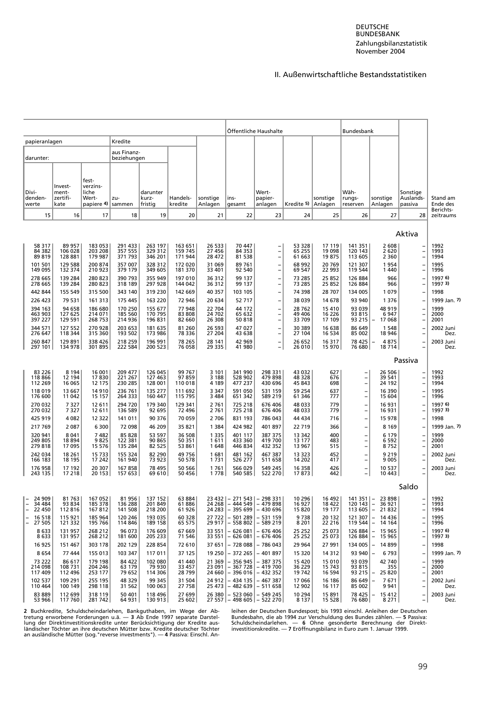|                                                                |                                        |                                                   |                                          |                                          |                                      |                                      |                                                          | Öffentliche Haushalte                                                                                 |                                     |                                      | Bundesbank                                           |                                                                                      |                                                                    |                                      |
|----------------------------------------------------------------|----------------------------------------|---------------------------------------------------|------------------------------------------|------------------------------------------|--------------------------------------|--------------------------------------|----------------------------------------------------------|-------------------------------------------------------------------------------------------------------|-------------------------------------|--------------------------------------|------------------------------------------------------|--------------------------------------------------------------------------------------|--------------------------------------------------------------------|--------------------------------------|
| papieranlagen                                                  |                                        |                                                   | Kredite                                  |                                          |                                      |                                      |                                                          |                                                                                                       |                                     |                                      |                                                      |                                                                                      |                                                                    |                                      |
| darunter:                                                      |                                        |                                                   | aus Finanz-<br>beziehungen               |                                          |                                      |                                      |                                                          |                                                                                                       |                                     |                                      |                                                      |                                                                                      |                                                                    |                                      |
| Divi-<br>denden-<br>werte                                      | Invest-<br>ment-<br>zertifi-<br>kate   | fest-<br>verzins-<br>liche<br>Wert-<br>papiere 4) | zu-<br>sammen                            | darunter<br>kurz-<br>fristig             | Handels-<br>kredite                  | sonstige<br>Anlagen                  | ins-<br>gesamt                                           | Wert-<br>papier-<br>anlagen                                                                           | Kredite 5)                          | sonstige<br>Anlagen                  | Wäh-<br>rungs-<br>reserven                           | sonstige<br>Anlagen                                                                  | Sonstige<br>Auslands-<br>passiva                                   | Stand am<br>Ende des                 |
| 15                                                             | 16                                     | 17                                                | 18                                       | 19                                       | 20                                   | 21                                   | 22                                                       | 23                                                                                                    | 24                                  | 25                                   | 26                                                   | 27                                                                                   | 28                                                                 | Berichts-<br>zeitraums               |
|                                                                |                                        |                                                   |                                          |                                          |                                      |                                      |                                                          |                                                                                                       |                                     |                                      |                                                      |                                                                                      | Aktiva                                                             |                                      |
| 58 317<br>84 382<br>89819                                      | 89 957<br>106 028<br>128 881           | 183 053<br>203 208<br>179 987                     | 291 433<br>357 555<br>371 793            | 263 197<br>329 312<br>346 201            | 163 651<br>159 745<br>171 944        | 26 533<br>27 456<br>28 472           | 70 447<br>84 353<br>81 538                               | $\qquad \qquad -$<br>$\overline{\phantom{0}}$<br>$\overline{\phantom{0}}$                             | 53 328<br>65 255<br>61 663          | 17 119<br>19 098<br>19875            | 141 351<br>120 143<br>113 605                        | 2 608<br>2 6 2 0<br>2 3 6 0                                                          | -<br>$\overline{\phantom{a}}$<br>$\overline{\phantom{0}}$          | 1992<br>1993<br>1994                 |
| 101 501<br>149 095                                             | 129 588<br>132 374                     | 200 874<br>210 923                                | 357 007<br>379 179                       | 328 312<br>349 605                       | 172 020<br>181 370                   | 31 069<br>33 401                     | 89 761<br>92 540                                         | $\overline{a}$<br>$\overline{\phantom{0}}$                                                            | 68 992<br>69 547                    | 20 769<br>22 993                     | 121 307<br>119 544                                   | 1954<br>1 4 4 0                                                                      |                                                                    | 1995<br>1996                         |
| 278 665<br>278 665                                             | 139 284<br>139 284                     | 280 823<br>280 823                                | 390 793<br>318 189                       | 355 949<br>297 928                       | 197 010<br>144 042                   | 36 312<br>36 312                     | 99 137<br>99 137                                         | $\overline{a}$<br>$\overline{\phantom{0}}$                                                            | 73 285<br>73 285                    | 25 852<br>25 852                     | 126 884<br>126 884                                   | 966<br>966                                                                           | $\overline{\phantom{0}}$                                           | 1997 6)<br>1997 3)                   |
| 442 844                                                        | 155 549                                | 315 500                                           | 343 140                                  | 319 230                                  | 142 669                              | 40 357                               | 103 105                                                  | $\overline{\phantom{a}}$                                                                              | 74 398                              | 28 707                               | 134 005                                              | 1 0 7 9                                                                              |                                                                    | 1998                                 |
| 226 423<br>394 163<br>463 903<br>397 227                       | 79 531<br>94 658<br>127 625<br>129 591 | 161 313<br>186 680<br>214 071<br>268 753          | 175 445<br>170 250<br>185 560<br>214 936 | 163 220<br>155 677<br>170 795<br>196 831 | 72 946<br>77 948<br>83 808<br>82 660 | 20 634<br>22 704<br>24 702<br>26 308 | 52 717<br>44 172<br>65 632<br>50 818                     | $\overline{\phantom{a}}$<br>$\qquad \qquad -$<br>$\overline{\phantom{0}}$<br>$\overline{\phantom{0}}$ | 38 039<br>28762<br>49 406<br>33 709 | 14 678<br>15 410<br>16 226<br>17 109 | 93 940<br>93 039<br>93 815<br>93 215                 | 1 3 7 6<br>48 919<br>6 9 4 7<br>17 068                                               | $\qquad \qquad -$<br>$\qquad \qquad -$<br>$\overline{\phantom{a}}$ | 1999 Jan. 7)<br>1999<br>2000<br>2001 |
| 344 571<br>276 647                                             | 127 552<br>118 344                     | 270 928<br>315 360                                | 203 653<br>193 502                       | 181 635<br>173 986                       | 81 260<br>78 336                     | 26 593<br>27 204                     | 47 027<br>43 638                                         | <b>-</b><br>$\overline{\phantom{0}}$                                                                  | 30 389<br>27 104                    | 16 638<br>16 534                     | 86 649<br>85 002                                     | 1 5 4 8<br>18 946                                                                    | $\overline{a}$<br>$\overline{\phantom{a}}$                         | 2002 Juni<br>Dez.                    |
| 260 847                                                        | 129 891                                | 338 426                                           | 218 259                                  | 196 991                                  | 78 265                               | 28 141                               | 42 969                                                   | $\overline{a}$                                                                                        | 26 652                              | 16 317                               | 78 425                                               | 4875<br>$\overline{\phantom{0}}$                                                     |                                                                    | 2003 Juni                            |
| 297 101                                                        | 134 978                                | 301895                                            | 222 584                                  | 200 523                                  | 76 058                               | 29 335                               | 41 980                                                   | $\overline{\phantom{a}}$                                                                              | 26 010                              | 15 970                               | 76 680                                               | 18 7 14                                                                              | $\overline{\phantom{a}}$<br>Passiva                                | Dez.                                 |
| 83 2 26                                                        | 8 1 9 4                                | 16 001                                            | 209 477                                  | 126 045                                  | 99 767                               | 3 1 0 1                              | 341 990                                                  | 298 331                                                                                               | 43 032                              | 627                                  | -                                                    | 26 506                                                                               |                                                                    | 1992                                 |
| 118 866<br>112 269                                             | 12 194<br>16 065                       | 17830<br>12 175                                   | 221 267<br>230 285                       | 127 463<br>128 001                       | 97 859<br>110 018                    | 3 1 8 8<br>4 1 8 9                   | 528 902<br>477 237                                       | 479 898<br>430 696                                                                                    | 48328<br>45 843                     | 676<br>698                           | -<br>$\overline{\phantom{a}}$                        | 39 541<br>24 192                                                                     |                                                                    | 1993<br>1994                         |
| 118 019<br>176 600                                             | 13 667<br>11 042                       | 14 9 10<br>15 157                                 | 236 761<br>264 333                       | 135 277<br>160 447                       | 111 692<br>115 795                   | 3 3 4 7<br>3 4 8 4                   | 591 050<br>651 342                                       | 531 159<br>589 219                                                                                    | 59 254<br>61 346                    | 637<br>777                           | $\qquad \qquad -$<br>$\qquad \qquad -$               | 16 390<br>15 604                                                                     | $\overline{\phantom{0}}$                                           | 1995<br>1996                         |
| 270 032<br>270 032                                             | 7327<br>7327                           | 12 611<br>12 611                                  | 294 720<br>136 589                       | 179 340<br>92 695                        | 129 341<br>72 496                    | 2761<br>2761                         | 725 218<br>725 218                                       | 676 406<br>676 406                                                                                    | 48 033<br>48 033                    | 779<br>779                           | $\overline{a}$<br>$\qquad \qquad -$                  | 16 931<br>16 931                                                                     |                                                                    | 1997 6)<br>1997 3)                   |
| 425 919                                                        | 4 0 8 2                                | 12 3 22                                           | 141 011                                  | 90 376                                   | 70 059                               | 2706                                 | 831 193                                                  | 786 043                                                                                               | 44 434                              | 716                                  | $\overline{\phantom{0}}$                             | 15 978                                                                               |                                                                    | 1998                                 |
| 217 769<br>320 941                                             | 2 0 8 7<br>8 0 4 1                     | 6 300<br>7482                                     | 72 098<br>85 828                         | 46 209<br>53 597                         | 35 821<br>36 508                     | 1 3 8 4<br>1 3 3 5                   | 424 982<br>401 117                                       | 401897<br>387 375                                                                                     | 22 719<br>13 3 42                   | 366<br>400                           | $\qquad \qquad -$<br>-                               | 8 1 6 9<br>6 179                                                                     |                                                                    | 1999 Jan. 7)<br>1999                 |
| 249 805<br>279 818                                             | 18894<br>17 095                        | 9825<br>15 576                                    | 122 381<br>135 284                       | 90 865<br>82 525                         | 50 351<br>53 861                     | 1611<br>1648                         | 433 360<br>446 834                                       | 419 700<br>432 352                                                                                    | 13 177<br>13 967                    | 483<br>515                           | $\overline{\phantom{0}}$<br>$\overline{\phantom{0}}$ | 6 5 9 2<br>8752                                                                      | $\overline{\phantom{0}}$<br>$\overline{\phantom{0}}$               | 2000<br>2001                         |
| 242 034<br>166 183                                             | 18 261<br>18 195                       | 15 7 33<br>17 242                                 | 155 324<br>161 940                       | 82 290<br>73 923                         | 49 756<br>50 578                     | 1681<br>1731                         | 481 162<br>526 277                                       | 467 387<br>511 658                                                                                    | 13 323<br>14 202                    | 452<br>417                           | $\overline{\phantom{a}}$                             | 9 2 1 9<br>9 0 0 5                                                                   | $\overline{\phantom{0}}$<br>$\overline{\phantom{a}}$               | 2002 Juni<br>Dez.                    |
| 176 958                                                        | 17 192                                 | 20 307                                            | 167 858                                  | 78 495                                   | 50 566                               | 1761                                 | 566 029                                                  | 549 245                                                                                               | 16 3 58                             | 426                                  | -                                                    | 10 537                                                                               | -                                                                  | 2003 Juni                            |
| 243 135                                                        | 17 218                                 | 20 153                                            | 157 653                                  | 69 610                                   | 50 456                               | 1778                                 | 540 585                                                  | 522 270                                                                                               | 17873                               | 442                                  | $\overline{\phantom{0}}$                             | 10 443                                                                               | L.<br>Saldo                                                        | Dez.                                 |
| 24 909<br>$\overline{a}$<br>34 484<br>$\overline{\phantom{a}}$ | 81 763<br>93 834                       | 167 052<br>185 378                                | 81 956<br>136 288                        | 137 152<br>201 849                       | 63 884<br>61886                      |                                      | 23 432 - 271 543 - 298 331<br>24 268 - 444 549 - 479 898 |                                                                                                       | 10 296<br>16 927                    | 16 492<br>18 422                     |                                                      | $141351$ - 23 898<br>$\begin{array}{ c} 120 & 143 \\ 113 & 605 \end{array}$ - 36 921 |                                                                    | 1992<br>1993                         |
| 22 450<br>$\overline{\phantom{0}}$<br>16 5 18<br>-             | 112816<br>115 921                      | 167812<br>185 964                                 | 141 508<br>120 246                       | 218 200<br>193 035                       | 61 926<br>60 328                     | 27 722                               | 24 283   - 395 699   - 430 696                           | $-501289$ $-531159$                                                                                   | 15820<br>9738                       | 19 177<br>20 132                     |                                                      | $121307$ - 14 436                                                                    | $\overline{\phantom{0}}$<br>$\overline{\phantom{0}}$               | 1994<br>1995                         |
| $-27505$<br>8633                                               | 121 332<br>131 957                     | 195 766<br>268 212                                | 114 846<br>96 073                        | 189 158<br>176 609                       | 65 575<br>67 669                     |                                      | 29 917 - 558 802 - 589 219<br>33 551 - 626 081 - 676 406 |                                                                                                       | 8 2 0 1<br>25 252                   | 22 216<br>25 073                     |                                                      | $119544 - 14164$<br>$126884$   - 15 965                                              |                                                                    | 1996<br>1997 6)                      |
| 8633                                                           | 131 957                                | 268 212                                           | 181 600                                  | 205 233                                  | 71 546                               |                                      | 33 551 - 626 081 - 676 406                               |                                                                                                       | 25 25 2                             | 25 073                               |                                                      | 126 884 - 15 965                                                                     |                                                                    | 1997 3)                              |
| 16 925<br>8654                                                 | 151 467<br>77 444                      | 303 178<br>155 013                                | 202 129<br>103 347                       | 228 854<br>117 011                       | 72 610<br>37 125                     |                                      | 37 651 - 728 088 - 786 043<br>19 250 - 372 265 - 401 897 |                                                                                                       | 29 964<br>15 3 20                   | 27 991<br>14 3 12                    | $134005$ -<br>93 940                                 | 14 899<br>6793<br>$\overline{\phantom{0}}$                                           | $\overline{\phantom{m}}$                                           | 1998<br>1999 Jan. 7)                 |
| 73 222                                                         | 86 617                                 | 179 198                                           | 84 422                                   | 102 080                                  | 41 440                               | 21 369                               |                                                          | $-356945$ $-387375$                                                                                   | 15 4 20                             | 15 010                               | 93 039                                               | 42 740                                                                               |                                                                    | 1999                                 |
| 214 098<br>117 409                                             | 108 731<br>112 496                     | 204 246<br>253 177                                | 63 179<br>79 652                         | 79 930<br>114 306                        | 33 457<br>28 799                     | 23 091                               | – 367 728   – 419 700<br>24 660 - 396 016 - 432 352      |                                                                                                       | 36 229<br>19742                     | 15 743<br>16 594                     | 93 815<br>$93215$ $-$                                | 355<br>25 8 20                                                                       | $\overline{\phantom{a}}$<br>$\overline{\phantom{a}}$               | 2000<br>2001                         |
| 102 537<br>110 464                                             | 109 291<br>100 149                     | 255 195<br>298 118                                | 48 329<br>31 562                         | 99 345<br>100 063                        | 31 504<br>27 758                     | 24 912                               | 25 473 - 482 639 - 511 658                               | $-434135$ $-467387$                                                                                   | 17 066<br>12 902                    | 16 186<br>16 117                     | 86 649<br>85 002                                     | 7671<br>9 9 4 1                                                                      | $\overline{\phantom{a}}$                                           | 2002 Juni<br>Dez.                    |
| 83 889<br>53 966                                               | 112 699<br>117 760                     | 318 119<br>281 742                                | 50 401<br>64 931                         | 118 496<br>130 913                       | 27 699<br>25 602                     |                                      | 26 380 - 523 060 - 549 245<br>27 557 - 498 605 - 522 270 |                                                                                                       | 10 294<br>8 1 3 7                   | 15 891<br>15 5 28                    | 78 425<br>76 680                                     | 15 412<br>$\overline{\phantom{a}}$<br>8 2 7 1                                        | $\qquad \qquad -$<br>$\overline{\phantom{a}}$                      | 2003 Juni<br>Dez.                    |

2 Buchkredite, Schuldscheindarlehen, Bankguthaben, im Wege der Ab- keihen der Deutschen Bundespost; bis 1993 einschl. Anleihen der Deutschen<br>tretung erworbene Forderungen u.ä. — 3 Ab Ende 1997 separate Darstel- Bundesbahn, ländischer Töchter an ihre deutschen Mütter bzw. Kredite deutscher Töchter künvestitionskredite. — 7 Eröffnungsbilanz in Euro zum 1. Januar 1999.<br>an ausländische Mütter (sog. "reverse investments"). — 4 Passiva: Einschl. A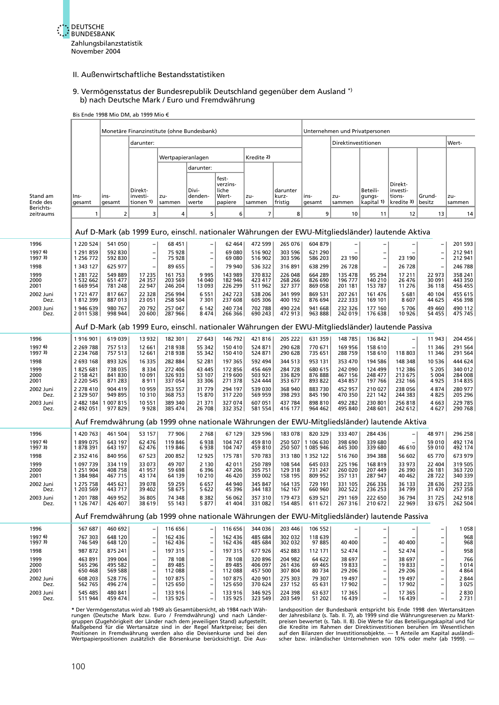

### 9. Vermögensstatus der Bundesrepublik Deutschland gegenüber dem Ausland \*) b) nach Deutsche Mark / Euro und Fremdwährung

|  |  |  | Bis Ende 1998 Mio DM, ab 1999 Mio € |
|--|--|--|-------------------------------------|
|  |  |  |                                     |

|                       |                                         |                                  | Monetäre Finanzinstitute (ohne Bundesbank)           |                            |                                                      |                            |                               |                               |                               | Unternehmen und Privatpersonen                                                                    |                              |                            |                                                      |                               |
|-----------------------|-----------------------------------------|----------------------------------|------------------------------------------------------|----------------------------|------------------------------------------------------|----------------------------|-------------------------------|-------------------------------|-------------------------------|---------------------------------------------------------------------------------------------------|------------------------------|----------------------------|------------------------------------------------------|-------------------------------|
|                       |                                         |                                  | darunter:                                            |                            |                                                      |                            |                               |                               |                               | Direktinvestitionen                                                                               |                              |                            |                                                      | Wert-                         |
|                       |                                         |                                  |                                                      | Wertpapieranlagen          |                                                      |                            | Kredite 2)                    |                               |                               |                                                                                                   |                              |                            |                                                      |                               |
|                       |                                         |                                  |                                                      |                            | darunter:                                            |                            |                               |                               |                               |                                                                                                   |                              |                            |                                                      |                               |
|                       |                                         |                                  |                                                      |                            |                                                      | fest-                      |                               |                               |                               |                                                                                                   |                              |                            |                                                      |                               |
|                       |                                         |                                  |                                                      |                            |                                                      | verzins-                   |                               |                               |                               |                                                                                                   |                              | Direkt-                    |                                                      |                               |
| Stand am              | Ins-                                    | ins-                             | Direkt-<br>investi-                                  | zu-                        | Divi-<br>denden-                                     | liche<br>Wert-             | zu-                           | darunter<br>kurz-             | ins-                          | zu-                                                                                               | Beteili-<br>qungs-           | investi-<br>tions-         | Grund-                                               | zu-                           |
| Ende des<br>Berichts- | gesamt                                  | gesamt                           | tionen 1)                                            | sammen                     | werte                                                | papiere                    | sammen                        | fristig                       | gesamt                        | sammen                                                                                            | kapital 1)                   | kredite 3)                 | besitz                                               | sammen                        |
| zeitraums             | 1                                       | 2                                | 3                                                    | 4                          | 5                                                    | 6                          | $\overline{7}$                | 8                             | 9                             | 10                                                                                                | 11                           | 12                         | 13                                                   | 14                            |
|                       |                                         |                                  |                                                      |                            |                                                      |                            |                               |                               |                               | Auf D-Mark (ab 1999 Euro, einschl. nationaler Währungen der EWU-Mitgliedsländer) lautende Aktiva  |                              |                            |                                                      |                               |
| 1996                  | 1 220 524                               | 541 050                          |                                                      | 68 451                     | $\qquad \qquad -$                                    | 62 464                     | 472 599                       | 265 076                       | 604 879                       |                                                                                                   |                              |                            |                                                      | 201 593                       |
| 1997 6)               | 1 291 859                               | 592 830                          | $\overline{\phantom{0}}$<br>$\overline{\phantom{0}}$ | 75 928                     | $\overline{\phantom{a}}$<br>$\overline{\phantom{a}}$ | 69 080                     | 516 902                       | 303 596                       | 621 290                       |                                                                                                   | $\overline{\phantom{0}}$     | 23 190                     | $\overline{\phantom{a}}$<br>$\overline{\phantom{0}}$ | 212 941                       |
| 1997 3)<br>1998       | 1 256 772<br>1 343 127                  | 592 830<br>625 977               |                                                      | 75 928<br>89 655           | $\overline{\phantom{a}}$                             | 69 080<br>79 940           | 516 902<br>536 322            | 303 596<br>316891             | 586 203<br>638 299            | 23 190<br>26 7 28                                                                                 |                              | 26728                      |                                                      | 212 941<br>246 788            |
| 1999                  | 1 281 722                               | 549 889                          | 17 235                                               | 161 753                    | 9995                                                 | 143 989                    | 370 832                       | 226 048                       | 664 289                       | 135 478                                                                                           | 95 294                       | 17 211                     | 22 973                                               | 358 241                       |
| 2000<br>2001          | 1 532 662<br>1 669 954                  | 651 477<br>781 248               | 24 3 5 7<br>22 947                                   | 203 569<br>246 204         | 14 040<br>13 093                                     | 182 946<br>226 299         | 423 417<br>511 962            | 268 266<br>327 377            | 826 690<br>869 058            | 196 777<br>201 181                                                                                | 140 210<br>153 787           | 26 476<br>11 276           | 30 091<br>36 118                                     | 443 350<br>456 455            |
| 2002 Juni<br>Dez.     | 1721477<br>1812399                      | 817 667<br>887 013               | 22 3 28<br>23 051                                    | 256 994<br>258 504         | 6 5 5 1<br>7 301                                     | 242 723<br>237 608         | 538 206<br>605 306            | 341 999<br>400 192            | 869 531<br>876 694            | 207 261<br>222 333                                                                                | 161 476<br>169 101           | 5681<br>8607               | 40 104<br>44 625                                     | 455 615<br>456 398            |
| 2003 Juni<br>Dez.     | 1946 639<br>2011 538                    | 980 767<br>998 944               | 20792<br>20 600                                      | 257 047<br>287 966         | 6 142<br>8474                                        | 240 734<br>266 366         | 702 788<br>690 243            | 490 224<br>472 913            | 941 668<br>963 888            | 232 326<br>242 019                                                                                | 177 160<br>176 638           | 5706<br>10 926             | 49 460<br>54 455                                     | 490 112<br>475 745            |
|                       |                                         |                                  |                                                      |                            |                                                      |                            |                               |                               |                               | Auf D-Mark (ab 1999 Euro, einschl. nationaler Währungen der EWU-Mitgliedsländer) lautende Passiva |                              |                            |                                                      |                               |
|                       |                                         |                                  |                                                      |                            |                                                      |                            |                               |                               |                               |                                                                                                   |                              |                            |                                                      |                               |
| 1996<br>1997 6)       | 1916901<br>2 2 69 7 88                  | 619 039<br>757 513               | 13 9 32<br>12 661                                    | 182 301<br>218 938         | 27 643<br>55 342                                     | 146 792<br>150 410         | 421816<br>524 871             | 205 222<br>290 628            | 631 359<br>770 671            | 148 785<br>169 956                                                                                | 136 842<br>158 610           |                            | 11 943<br>11 346                                     | 204 456<br>291 564            |
| 1997 3)               | 2 2 3 4 7 6 8                           | 757 513                          | 12 661                                               | 218938                     | 55 342                                               | 150 410                    | 524 871                       | 290 628                       | 735 651                       | 288 759                                                                                           | 158 610                      | 118 803                    | 11 346                                               | 291 564                       |
| 1998<br>1999          | 2 693 168<br>1825681                    | 893 326<br>738 035               | 16 335<br>8 3 3 4                                    | 282 884<br>272 406         | 52 281<br>43 445                                     | 197 365<br>172 856         | 592 494<br>456 469            | 344 513<br>284 728            | 953 131<br>680 615            | 353 470<br>242 090                                                                                | 194 586<br>124 499           | 148 348<br>112 386         | 10 536<br>5 2 0 5                                    | 444 624<br>340 012            |
| 2000<br>2001          | 2 158 421<br>2 2 2 0 5 4 5              | 841 830<br>871 283               | 10 091<br>8911                                       | 326 933<br>337 054         | 53 107<br>33 306                                     | 219 600<br>271 378         | 503 921<br>524 444            | 336 829<br>353 677            | 876 888<br>893 822            | 467 156<br>434 857                                                                                | 248 477<br>197 766           | 213 675<br>232 166         | 5 0 0 4<br>4925                                      | 284 008<br>314 835            |
| 2002 Juni<br>Dez.     | 2 278 410<br>2 3 2 5 5 0 7              | 904 419<br>949 895               | 10 959<br>10 310                                     | 353 557<br>368753          | 31 779<br>15 870                                     | 294 197<br>317 220         | 539 030<br>569 959            | 368 940<br>398 293            | 883 730<br>845 190            | 452 957<br>470 350                                                                                | 210 027<br>221 142           | 238 056<br>244 383         | 4874<br>4825                                         | 280 977<br>205 296            |
| 2003 Juni<br>Dez.     | 2 482 184                               | 1 007 815<br>2 492 051   977 829 | 10 551<br>9928                                       | 389 340<br>385 474         | 21 371<br>26 708                                     | 327 074<br>332 352         | 607 051<br>581 554            | 437 784<br>416 177            | 898 810<br>964 462            | 492 282<br>495 840                                                                                | 230 801<br>248 601           | 256818<br>242 612          | 4 6 63<br>4627                                       | 229 785<br>290 768            |
|                       |                                         |                                  |                                                      |                            |                                                      |                            |                               |                               |                               |                                                                                                   |                              |                            |                                                      |                               |
|                       |                                         |                                  |                                                      |                            |                                                      |                            |                               |                               |                               | Auf Fremdwährung (ab 1999 ohne nationale Währungen der EWU-Mitgliedsländer) lautende Aktiva       |                              |                            |                                                      |                               |
| 1996<br>1997 6)       | 1 420 763<br>1899075                    | 461 504<br>643 197               | 53 157<br>62 476                                     | 77 906<br>119 846          | 2768<br>6938                                         | 67 129<br>104 747          | 329 596<br>459 810            | 183 078<br>250 507            | 820 329<br>1 106 630          | 333 407<br>398 690                                                                                | 284 436<br>339 680           |                            | 48 971<br>59 010                                     | 296 258<br>492 174            |
| 1997 3)               | 1878391                                 | 643 197                          | 62 476                                               | 119 846                    | 6938                                                 | 104 747                    | 459 810                       | 250 507                       | 1 085 946                     | 445 300                                                                                           | 339 680                      | 46 610                     | 59 010                                               | 492 174                       |
| 1998                  | 2 3 5 2 4 1 6                           | 840 956                          | 67 523                                               | 200 852                    | 12 925                                               | 175 781                    | 570 783                       | 313 180                       | 1 352 122                     | 516 760                                                                                           | 394 388                      | 56 602                     | 65 770                                               | 673 979                       |
| 1999<br>2000<br>2001  | 1 097 739<br>1 2 5 1 9 0 4<br>1 384 984 | 334 119<br>408 758<br>467 715    | 33 073<br>41 957<br>43 174                           | 49 707<br>59 698<br>64 139 | 2 1 3 0<br>6 3 9 6<br>10 210                         | 42 011<br>47 206<br>46 420 | 250 789<br>305 751<br>359 002 | 108 544<br>129 318<br>158 195 | 645 033<br>731 247<br>809 952 | 225 196<br>260 020<br>357 131                                                                     | 168819<br>207 449<br>287 947 | 33 973<br>26 390<br>40 462 | 22 404<br>26 181<br>28722                            | 319 505<br>363 720<br>340 339 |
| 2002 Juni             | 1 275 758                               | 445 621                          | 39 078                                               | 59 259                     | 6657                                                 | 44 940                     | 345 847                       | 164 135                       | 729 191                       | 331 105                                                                                           | 266 336                      | 36 133                     | 28 636                                               | 293 235                       |
| Dez.<br>2003 Juni     | 1 203 569<br>1 201 788                  | 443 717<br>469 952               | 39 402<br>36 805                                     | 58 675<br>74 348           | 5 6 2 2<br>8 3 8 2                                   | 45 396                     | 344 183<br>357 310            | 162 167                       | 660 960                       | 302 522<br>291 169                                                                                | 236 253                      | 34 799<br>36 794           | 31 470<br>31725                                      | 257 358<br>242 918            |
| Dez.                  |                                         | 1 126 747   426 407              | 38 619                                               | 55 143                     | 5877                                                 |                            |                               |                               |                               | 56 062 357 310 179 473 639 521 291 169 222 650 41 404 331 082 154 485 611 672 267 316 210 672     |                              | 22969                      | 33 675                                               | 262 504                       |
|                       |                                         |                                  |                                                      |                            |                                                      |                            |                               |                               |                               | Auf Fremdwährung (ab 1999 ohne nationale Währungen der EWU-Mitgliedsländer) lautende Passiva      |                              |                            |                                                      |                               |
| 1996                  | 567 687                                 | 460 692                          |                                                      | 116 656                    | $\overline{\phantom{a}}$                             | 116656                     | 344 036                       | 203 446                       | 106 552                       |                                                                                                   |                              |                            |                                                      | 1058                          |
| 1997 6)<br>1997 3)    | 767 303<br>746 549                      | 648 120<br>648 120               | $\qquad \qquad -$                                    | 162 436<br>162 436         |                                                      | 162 436<br>162 436         | 485 684<br>485 684            | 302 032<br>302 032            | 118 639<br>97 885             | 40 400                                                                                            |                              | 40 400                     |                                                      | 968<br>968                    |
| 1998                  | 987 872                                 | 875 241                          | $\overline{\phantom{0}}$                             | 197 315                    | $\overline{\phantom{0}}$                             | 197 315                    | 677 926                       | 452 883                       | 112 171                       | 52 474                                                                                            | -                            | 52 474                     |                                                      | 958                           |
| 1999<br>2000          | 463 891<br>565 296                      | 399 004<br>495 582               |                                                      | 78 108<br>89 485           |                                                      | 78 108<br>89 485           | 320 896<br>406 097            | 204 982<br>261 436            | 64 622<br>69 4 65             | 38 697<br>19833                                                                                   |                              | 38 697<br>19833            | -                                                    | 766<br>1014                   |
| 2001                  | 650 468                                 | 569 588                          |                                                      | 112 088                    | $\overline{\phantom{a}}$                             | 112 088                    | 457 500                       | 307 804                       | 80 734                        | 29 20 6                                                                                           |                              | 29 20 6                    | $\overline{\phantom{0}}$                             | 4864                          |
| 2002 Juni<br>Dez.     | 608 203<br>562 765                      | 528 776<br>496 274               |                                                      | 107 875<br>125 650         | $\overline{\phantom{a}}$<br>$\overline{\phantom{a}}$ | 107 875<br>125 650         | 420 901<br>370 624            | 275 303<br>237 152            | 79 307<br>65 631              | 19 497<br>17 902                                                                                  | -                            | 19 497<br>17 902           | -                                                    | 2844<br>3 0 2 5               |
| 2003 Juni<br>Dez.     | 545 485<br>511 944                      | 480 841<br>459 474               | - 1                                                  | 133 916<br>135 925         |                                                      | 133 916<br>135 925         | 346 925<br>323 549            | 224 398<br>203 549            | 63 637<br>51 202              | 17 365<br>16 439                                                                                  |                              | 17 365<br>16 439           |                                                      | 2830<br>2731                  |

**\*** Der Vermögensstatus wird ab 1949 als Gesamtübersicht, ab 1984 nach Wäh- landsposition der Bundesbank entspricht bis Ende 1998 den Wertansätzen rungen (Deutsche Mark bzw. Euro / Fremdwährung) und nach Länder-aler Jahresbilanz (s. Tab. II. 7), ab 1999 sind die Währungsreserven zu Markt-<br>Maßgebend für die Wertansätze sind in der Regel Marktpreise; bei den auf die Kr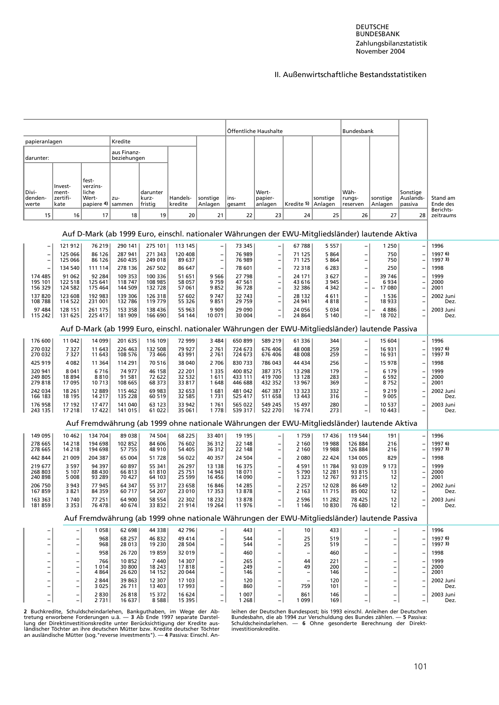|                               |                                          |                                                          |                             |                              |                             |                             |                               | Öffentliche Haushalte                                |                            |                            | Bundesbank                                                                                        |                            |                                            |                        |
|-------------------------------|------------------------------------------|----------------------------------------------------------|-----------------------------|------------------------------|-----------------------------|-----------------------------|-------------------------------|------------------------------------------------------|----------------------------|----------------------------|---------------------------------------------------------------------------------------------------|----------------------------|--------------------------------------------|------------------------|
| papieranlagen                 |                                          |                                                          | Kredite                     |                              |                             |                             |                               |                                                      |                            |                            |                                                                                                   |                            |                                            |                        |
|                               |                                          |                                                          | aus Finanz-                 |                              |                             |                             |                               |                                                      |                            |                            |                                                                                                   |                            |                                            |                        |
| darunter:                     |                                          |                                                          | beziehungen                 |                              |                             |                             |                               |                                                      |                            |                            |                                                                                                   |                            |                                            |                        |
| Divi-<br>denden-<br>werte     | Invest-<br>ment-<br>zertifi-<br>kate     | fest-<br>verzins-<br>liche<br>Wert-<br>papiere 4) sammen | zu-                         | darunter<br>kurz-<br>fristig | Handels-<br>kredite         | sonstige<br>Anlagen         | ins-<br>gesamt                | Wert-<br>papier-<br>anlagen                          | Kredite 5)   Anlagen       | sonstige                   | Wäh-<br>rungs-<br>reserven                                                                        | sonstige<br>Anlagen        | Sonstige<br>Auslands-<br>passiva           | Stand am<br>Ende des   |
| 15                            | 16                                       | 17                                                       | 18                          | 19                           | 20                          | 21                          | 22                            | 23                                                   | 24                         | 25                         | 26                                                                                                | 27                         | 28                                         | Berichts-<br>zeitraums |
|                               |                                          |                                                          |                             |                              |                             |                             |                               |                                                      |                            |                            | Auf D-Mark (ab 1999 Euro, einschl. nationaler Währungen der EWU-Mitgliedsländer) lautende Aktiva  |                            |                                            |                        |
|                               | 121 912                                  | 76 219                                                   | 290 141                     | 275 101                      | 113 145                     |                             | 73 345                        | -                                                    | 67788                      | 5 5 5 7                    | $\overline{\phantom{a}}$                                                                          | 1 2 5 0                    |                                            | 1996                   |
|                               | 125 066<br>125 066                       | 86 126<br>86 126                                         | 287 941<br>260 435          | 271 343<br>249 018           | 120 408<br>89 637           |                             | 76 989<br>76 989              | $\qquad \qquad -$                                    | 71 125<br>71 125           | 5 8 6 4<br>5864            |                                                                                                   | 750<br>750                 |                                            | 1997 6)<br>1997 3)     |
| 174 485                       | 134 540<br>91 062                        | 111 114<br>92 284                                        | 278 136<br>109 353          | 267 502<br>100 336           | 86 647<br>51 651            | 9 5 6 6                     | 78 601<br>27 798              | $\overline{\phantom{0}}$                             | 72 318<br>24 171           | 6 2 8 3<br>3 6 2 7         | ۳                                                                                                 | 250<br>39 746              |                                            | 1998<br>1999           |
| 195 101<br>156 329            | 122 518<br>124 582                       | 125 641<br>175 464                                       | 118 747<br>144 509          | 108 985<br>132 728           | 58 057<br>57 061            | 9759<br>9852                | 47 561<br>36 728              | $\qquad \qquad -$                                    | 43 616<br>32 386           | 3 9 4 5<br>4 3 4 2         |                                                                                                   | 6934<br>17 080             | $\overline{a}$<br>$\overline{\phantom{0}}$ | 2000<br>2001           |
| 137 820<br>108 788            | 123 608<br>114 522                       | 192 983<br>231 001                                       | 139 306<br>132 786          | 126 318<br>119 779           | 57 602<br>55 326            | 9747<br>9851                | 32 743<br>29 759              | $\overline{\phantom{0}}$<br>$\overline{\phantom{0}}$ | 28 132<br>24 941           | 4611<br>4818               | $\qquad \qquad -$                                                                                 | 1 5 3 6<br>18 933          | -<br>$\overline{\phantom{0}}$              | 2002 Juni<br>Dez.      |
| 97 484<br>115 242             | 128 151<br>131 625                       | 261 175<br>225 417                                       | 153 358<br>181 909          | 138 436<br>166 690           | 55 963<br>54 144            | 9 9 0 9<br>10 071           | 29 090<br>30 004              | -                                                    | 24 056<br>24 864           | 5 0 3 4<br>5 1 4 0         |                                                                                                   | 4886<br>18702              | $\overline{\phantom{a}}$                   | 2003 Juni<br>Dez.      |
|                               |                                          |                                                          |                             |                              |                             |                             |                               |                                                      |                            |                            | Auf D-Mark (ab 1999 Euro, einschl. nationaler Währungen der EWU-Mitgliedsländer) lautende Passiva |                            |                                            |                        |
| 176 600                       | 11 042                                   | 14 099                                                   | 201 635                     | 116 109                      | 72 999                      | 3 4 8 4                     | 650 899                       | 589 219                                              | 61 336                     | 344                        |                                                                                                   | 15 604                     |                                            | 1996                   |
| 270 032<br>270 032            | 7 3 2 7<br>7 3 2 7                       | 11 643<br>11 643                                         | 226 463<br>108 576          | 132 508<br>73 466            | 79 927<br>43 991            | 2761<br>2761                | 724 673<br>724 673            | 676 406<br>676 406                                   | 48 008<br>48 008           | 259<br>259                 | $\overline{\phantom{0}}$<br>$\overline{\phantom{0}}$                                              | 16 931<br>16 931           | $\overline{\phantom{a}}$                   | 1997 6)<br>1997 3)     |
| 425 919                       | 4 0 8 2                                  | 11 364                                                   | 114 291                     | 70 516                       | 38 040                      | 2 7 0 6                     | 830 733                       | 786 043                                              | 44 434                     | 256                        |                                                                                                   | 15 978                     |                                            | 1998                   |
| 320 941<br>249 805<br>279818  | 8 0 4 1<br>18894<br>17 095               | 6716<br>8810<br>10713                                    | 74 977<br>91 581<br>108 665 | 46 158<br>72 622<br>68 373   | 22 201<br>32 532<br>33 817  | 1 3 3 5<br>1611<br>1648     | 400 852<br>433 111<br>446 688 | 387 375<br>419 700<br>432 352                        | 13 298<br>13 128<br>13 967 | 179<br>283<br>369          | $\overline{\phantom{0}}$<br>$\overline{\phantom{0}}$                                              | 6 1 7 9<br>6 5 9 2<br>8752 | ÷<br>$\overline{\phantom{0}}$              | 1999<br>2000<br>2001   |
| 242 034<br>166 183            | 18 261<br>18 195                         | 12889<br>14 217                                          | 115 462<br>135 228          | 69 983<br>60 519             | 32 653<br>32 585            | 1681<br>1731                | 481 042<br>525 417            | 467 387<br>511 658                                   | 13 3 23<br>13 443          | 332<br>316                 |                                                                                                   | 9 2 1 9<br>9 0 0 5         | $\overline{\phantom{0}}$                   | 2002 Juni<br>Dez.      |
| 176 958<br>243 135            | 17 192<br>17 218                         | 17 477<br>17 422                                         | 141 040<br>141 015          | 63 123<br>61 022             | 33 942<br>35 061            | 1761<br>1778                | 565 022<br>539 317            | 549 245<br>522 270                                   | 15 497<br>16 774           | 280<br>273                 | ۳                                                                                                 | 10 537<br>10 443           |                                            | 2003 Juni<br>Dez.      |
|                               |                                          |                                                          |                             |                              |                             |                             |                               |                                                      |                            |                            | Auf Fremdwährung (ab 1999 ohne nationale Währungen der EWU-Mitgliedsländer) lautende Aktiva       |                            |                                            |                        |
| 149 095                       | 10 4 62                                  | 134 704                                                  | 89 038                      | 74 504                       | 68 225                      | 33 401                      | 19 195                        |                                                      | 1759                       | 17 436                     | 119 544                                                                                           | 191                        |                                            | 1996                   |
| 278 665<br>278 665            | 14 218<br>14 218                         | 194 698<br>194 698                                       | 102 852<br>57 755           | 84 60 6<br>48 910            | 76 602<br>54 405            | 36 312<br>36312             | 22 148<br>22 148              |                                                      | 2 1 6 0<br>2 160           | 19 988<br>19 988           | 126 884<br>126 884                                                                                | 216<br>216                 |                                            | 1997 6)<br>1997 3)     |
| 442 844                       | 21 009                                   | 204 387                                                  | 65 004                      | 51728                        | 56 022                      | 40 357                      | 24 504                        |                                                      | 2 0 8 0                    | 22 4 24                    | 134 005                                                                                           | 829                        |                                            | 1998                   |
| 219 677<br>268 803<br>240 898 | 3 5 9 7<br>5 1 0 7<br>5 0 0 8            | 94 397<br>88 430<br>93 289                               | 60 897<br>66813<br>70 427   | 55 341<br>61810<br>64 103    | 26 297<br>25 751<br>25 5 99 | 13 138<br>14 943<br>16 45 6 | 16 375<br>18 071<br>14 090    | $\overline{\phantom{0}}$                             | 4591<br>5790<br>1 3 2 3    | 11 784<br>12 281<br>12 767 | 93 039<br>93 815<br>93 215                                                                        | 9 1 7 3<br>13<br>12        | $\overline{a}$<br>$\overline{a}$           | 1999<br>2000<br>2001   |
| 206 750<br>167859             | 3 9 4 3<br>3821                          | 77 945<br>84 359                                         | 64 347<br>60 717            | 55 317<br>54 207             | 23 658<br>23 010            | 16846<br>17 353             | 14 285<br>13878               |                                                      | 2 2 5 7<br>2 1 6 3         | 12 0 28<br>11 7 15         | 86 649<br>85 002                                                                                  | 12<br>12                   |                                            | 2002 Juni<br>Dez.      |
| 163 363<br>181 859            | 1740<br>3353                             | 77 251<br>76 478                                         | 64 900<br>40 674            | 58 554<br>33 832             | 22 302<br>21 914            | 18 2 32<br>19 264           | 13878<br>11 976               | $\qquad \qquad -$<br>- 1                             | 2 5 9 6<br>1146            | 11 282<br>10 830           | 78 425<br>76 680                                                                                  | 12<br>12                   | $\overline{\phantom{0}}$                   | 2003 Juni<br>Dez.      |
|                               |                                          |                                                          |                             |                              |                             |                             |                               |                                                      |                            |                            | Auf Fremdwährung (ab 1999 ohne nationale Währungen der EWU-Mitgliedsländer) lautende Passiva      |                            |                                            |                        |
|                               |                                          | 1058                                                     | 62 698                      | 44 3 38                      | 42 796                      |                             | 443                           |                                                      | 10                         | 433                        |                                                                                                   |                            |                                            | 1996                   |
|                               | <b>-</b><br>$\overline{a}$               | 968<br>968                                               | 68 257<br>28 013            | 46 832<br>19 230             | 49 414<br>28 504            |                             | 544<br>544                    |                                                      | 25<br>25                   | 519<br>519                 |                                                                                                   | $\qquad \qquad -$          |                                            | 1997 6)<br>1997 3)     |
|                               |                                          | 958                                                      | 26 7 20                     | 19859                        | 32 019                      |                             | 460                           |                                                      |                            | 460                        |                                                                                                   |                            |                                            | 1998                   |
|                               | -<br>$\overline{a}$                      | 766<br>1014<br>4864                                      | 10852<br>30 800<br>26 620   | 7440<br>18 243<br>14 152     | 14 307<br>17818<br>20 044   |                             | 265<br>249<br>146             |                                                      | 44<br>49                   | 221<br>200<br>146          |                                                                                                   | -                          | $\overline{a}$                             | 1999<br>2000<br>2001   |
|                               | -                                        | 2844<br>3 0 2 5                                          | 39 863<br>26 711            | 12 307<br>13 403             | 17 103<br>17 993            |                             | 120<br>860                    |                                                      | 759                        | 120<br>101                 |                                                                                                   |                            |                                            | 2002 Juni<br>Dez.      |
|                               | <sup>-</sup><br>$\overline{\phantom{a}}$ | 2830<br>2 7 3 1                                          | 26818<br>16 637             | 15 372<br>8 5 8 8            | 16 624<br>15 395            |                             | 1 007<br>1 2 6 8              |                                                      | 861<br>1 0 9 9             | 146<br>169                 |                                                                                                   | -<br>-                     | -<br>$\overline{\phantom{0}}$              | 2003 Juni<br>Dez.      |
|                               |                                          |                                                          |                             |                              |                             |                             |                               |                                                      |                            |                            |                                                                                                   |                            |                                            |                        |

ländischer Töchter an ihre deutschen Mütter bzw. Kredite deutscher Töchter investitionskredite. an ausländische Mütter (sog."reverse investments"). — **4** Passiva: Einschl. An-

2 Buchkredite, Schuldscheindarlehen, Bankguthaben, im Wege der Ab- keihen der Deutschen Bundespost; bis 1993 einschl. Anleihen der Deutschen<br>tretung erworbene Forderungen u.ä. — 3 Ab Ende 1997 separate Darstel- Bundesbahn,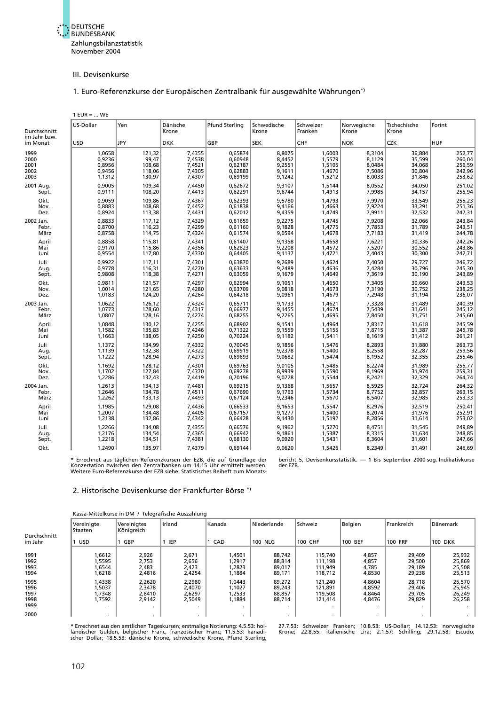

### III. Devisenkurse

## [1. Euro-Referenzkurse der Europäischen Zentralbank für ausgewählte Währungen\\*\)](#page-26-0)

| 1 EUR = $\dots$ WE |  |
|--------------------|--|

| Durchschnitt                         | US-Dollar                                      | Yen                                           | Dänische<br>Krone                              | <b>Pfund Sterling</b>                               | Schwedische<br>Krone                           | Schweizer<br>Franken                           | Norwegische<br>Krone                           | Tschechische<br>Krone                          | Forint                                         |
|--------------------------------------|------------------------------------------------|-----------------------------------------------|------------------------------------------------|-----------------------------------------------------|------------------------------------------------|------------------------------------------------|------------------------------------------------|------------------------------------------------|------------------------------------------------|
| im Jahr bzw.<br>im Monat             | <b>USD</b>                                     | JPY                                           | <b>DKK</b>                                     | GBP                                                 | <b>SEK</b>                                     | CHF                                            | <b>NOK</b>                                     | <b>CZK</b>                                     | <b>HUF</b>                                     |
| 1999<br>2000<br>2001<br>2002<br>2003 | 1,0658<br>0,9236<br>0,8956<br>0,9456<br>1,1312 | 121,32<br>99,47<br>108,68<br>118,06<br>130,97 | 7,4355<br>7,4538<br>7,4521<br>7,4305<br>7,4307 | 0,65874<br>0,60948<br>0,62187<br>0,62883<br>0,69199 | 8,8075<br>8,4452<br>9,2551<br>9,1611<br>9,1242 | 1,6003<br>1,5579<br>1,5105<br>1,4670<br>1,5212 | 8,3104<br>8,1129<br>8,0484<br>7,5086<br>8,0033 | 36,884<br>35,599<br>34,068<br>30,804<br>31,846 | 252,77<br>260,04<br>256,59<br>242,96<br>253,62 |
| 2001 Aug.<br>Sept.                   | 0,9005<br>0,9111                               | 109,34<br>108,20                              | 7,4450<br>7,4413                               | 0,62672<br>0,62291                                  | 9,3107<br>9,6744                               | 1,5144<br>1,4913                               | 8,0552<br>7,9985                               | 34,050<br>34,157                               | 251,02<br>255,94                               |
| Okt.<br>Nov.<br>Dez.                 | 0,9059<br>0,8883<br>0,8924                     | 109,86<br>108,68<br>113,38                    | 7,4367<br>7,4452<br>7,4431                     | 0,62393<br>0,61838<br>0,62012                       | 9,5780<br>9,4166<br>9,4359                     | 1,4793<br>1,4663<br>1,4749                     | 7,9970<br>7,9224<br>7,9911                     | 33,549<br>33,291<br>32,532                     | 255,23<br>251,36<br>247,31                     |
| 2002 Jan.<br>Febr.<br>März           | 0,8833<br>0,8700<br>0,8758                     | 117,12<br>116,23<br>114,75                    | 7.4329<br>7,4299<br>7,4324                     | 0.61659<br>0,61160<br>0,61574                       | 9,2275<br>9,1828<br>9,0594                     | 1.4745<br>1,4775<br>1,4678                     | 7,9208<br>7,7853<br>7,7183                     | 32,066<br>31,789<br>31,419                     | 243,84<br>243,51<br>244,78                     |
| April<br>Mai<br>Juni                 | 0,8858<br>0,9170<br>0,9554                     | 115,81<br>115,86<br>117,80                    | 7,4341<br>7,4356<br>7,4330                     | 0,61407<br>0,62823<br>0,64405                       | 9,1358<br>9,2208<br>9,1137                     | 1,4658<br>1,4572<br>1,4721                     | 7,6221<br>7,5207<br>7,4043                     | 30,336<br>30,552<br>30,300                     | 242,26<br>243,86<br>242,71                     |
| Juli<br>Aug.<br>Sept.                | 0,9922<br>0,9778<br>0,9808                     | 117,11<br>116,31<br>118,38                    | 7,4301<br>7,4270<br>7,4271                     | 0,63870<br>0,63633<br>0,63059                       | 9,2689<br>9,2489<br>9,1679                     | 1,4624<br>1,4636<br>1,4649                     | 7,4050<br>7,4284<br>7,3619                     | 29,727<br>30,796<br>30,190                     | 246,72<br>245,30<br>243,89                     |
| Okt.<br>Nov.<br>Dez.                 | 0,9811<br>1,0014<br>1,0183                     | 121,57<br>121,65<br>124,20                    | 7,4297<br>7,4280<br>7,4264                     | 0,62994<br>0,63709<br>0,64218                       | 9,1051<br>9,0818<br>9,0961                     | 1.4650<br>1,4673<br>1,4679                     | 7,3405<br>7,3190<br>7,2948                     | 30,660<br>30,752<br>31,194                     | 243,53<br>238,25<br>236,07                     |
| 2003 Jan.<br>Febr.<br>März           | 1,0622<br>1,0773<br>1,0807                     | 126,12<br>128,60<br>128,16                    | 7,4324<br>7,4317<br>7,4274                     | 0,65711<br>0,66977<br>0,68255                       | 9,1733<br>9,1455<br>9,2265                     | 1,4621<br>1,4674<br>1,4695                     | 7,3328<br>7,5439<br>7,8450                     | 31,489<br>31,641<br>31,751                     | 240,39<br>245,12<br>245,60                     |
| April<br>Mai<br>Juni                 | 1,0848<br>1,1582<br>1,1663                     | 130,12<br>135,83<br>138,05                    | 7,4255<br>7,4246<br>7,4250                     | 0,68902<br>0,71322<br>0,70224                       | 9,1541<br>9,1559<br>9,1182                     | 1,4964<br>1,5155<br>1,5411                     | 7,8317<br>7,8715<br>8,1619                     | 31,618<br>31,387<br>31,412                     | 245,59<br>245,78<br>261,21                     |
| Juli<br>Aug.<br>Sept.                | 1,1372<br>1,1139<br>1,1222                     | 134,99<br>132,38<br>128,94                    | 7,4332<br>7,4322<br>7,4273                     | 0,70045<br>0,69919<br>0,69693                       | 9,1856<br>9,2378<br>9,0682                     | 1,5476<br>1,5400<br>1,5474                     | 8,2893<br>8,2558<br>8,1952                     | 31,880<br>32,287<br>32,355                     | 263,73<br>259,56<br>255,46                     |
| Okt.<br>Nov.<br>Dez.                 | 1,1692<br>1,1702<br>1,2286                     | 128,12<br>127,84<br>132,43                    | 7,4301<br>7,4370<br>7,4419                     | 0,69763<br>0,69278<br>0,70196                       | 9,0105<br>8,9939<br>9,0228                     | 1,5485<br>1,5590<br>1,5544                     | 8,2274<br>8,1969<br>8,2421                     | 31,989<br>31,974<br>32,329                     | 255,77<br>259,31<br>264,74                     |
| 2004 Jan.<br>Febr.<br>März           | 1,2613<br>1,2646<br>1,2262                     | 134,13<br>134,78<br>133,13                    | 7.4481<br>7,4511<br>7,4493                     | 0,69215<br>0,67690<br>0,67124                       | 9,1368<br>9,1763<br>9,2346                     | 1,5657<br>1,5734<br>1,5670                     | 8,5925<br>8,7752<br>8,5407                     | 32,724<br>32,857<br>32,985                     | 264,32<br>263,15<br>253,33                     |
| April<br>Mai<br>Juni                 | 1,1985<br>1,2007<br>1,2138                     | 129,08<br>134,48<br>132,86                    | 7,4436<br>7,4405<br>7,4342                     | 0,66533<br>0,67157<br>0,66428                       | 9,1653<br>9,1277<br>9,1430                     | 1,5547<br>1,5400<br>1,5192                     | 8,2976<br>8,2074<br>8,2856                     | 32,519<br>31,976<br>31,614                     | 250,41<br>252,91<br>253,02                     |
| Juli<br>Aug.<br>Sept.                | 1,2266<br>1,2176<br>1,2218                     | 134,08<br>134,54<br>134,51                    | 7,4355<br>7,4365<br>7,4381                     | 0,66576<br>0,66942<br>0,68130                       | 9,1962<br>9,1861<br>9,0920                     | 1,5270<br>1,5387<br>1,5431                     | 8,4751<br>8,3315<br>8,3604                     | 31,545<br>31,634<br>31,601                     | 249,89<br>248,85<br>247,66                     |
| Okt.                                 | 1,2490                                         | 135,97                                        | 7,4379                                         | 0,69144                                             | 9,0620                                         | 1,5426                                         | 8,2349                                         | 31,491                                         | 246,69                                         |

\* Errechnet aus täglichen Referenzkursen der EZB, die auf Grundlage der bericht 5, Devisenkursstatistik. — 1 Bis September 2000 sog. Indikativkurse<br>Konzertation zwischen den Zentralbanken um 14.15 Uhr ermittelt werden. Dde

### 2. Historische Devisenkurse der Frankfurter Börse \*)

|                                      | Kassa-Mittelkurse in DM / Telegrafische Auszahlung |                                      |                                      |                                      |                                      |                                          |                                      |                                      |                                      |  |
|--------------------------------------|----------------------------------------------------|--------------------------------------|--------------------------------------|--------------------------------------|--------------------------------------|------------------------------------------|--------------------------------------|--------------------------------------|--------------------------------------|--|
|                                      | Vereiniate<br>Staaten                              | Vereinigtes<br>Königreich            | Irland                               | Kanada                               | Niederlande                          | Schweiz                                  | Belgien                              | Frankreich                           | Dänemark                             |  |
| Durchschnitt<br>im Jahr              | 1 USD                                              | GBP                                  | <b>IEP</b>                           | CAD                                  | 100 NLG                              | 100 CHF                                  | 100 BEF                              | <b>100 FRF</b>                       | <b>100 DKK</b>                       |  |
| 1991<br>1992<br>1993<br>1994         | 1,6612<br>1,5595<br>1,6544<br>1,6218               | 2,926<br>2,753<br>2,483<br>2,4816    | 2,671<br>2,656<br>2,423<br>2,4254    | 1,4501<br>,2917<br>.2823<br>1.1884   | 88,742<br>88,814<br>89,017<br>89,171 | 115,740<br>111.198<br>111.949<br>118,712 | 4,857<br>4,857<br>4,785<br>4,8530    | 29,409<br>29,500<br>29,189<br>29,238 | 25,932<br>25,869<br>25,508<br>25,513 |  |
| 1995<br>1996<br>1997<br>1998<br>1999 | 1,4338<br>1,5037<br>1,7348<br>1,7592               | 2,2620<br>2,3478<br>2.8410<br>2.9142 | 2,2980<br>2.4070<br>2,6297<br>2.5049 | 1.0443<br>1.1027<br>1,2533<br>1.1884 | 89,272<br>89,243<br>88,857<br>88,714 | 121,240<br>121.891<br>119,508<br>121.414 | 4.8604<br>4,8592<br>4.8464<br>4.8476 | 28,718<br>29,406<br>29,705<br>29,829 | 25,570<br>25,945<br>26,249<br>26,258 |  |
| 2000                                 |                                                    |                                      |                                      |                                      |                                      |                                          |                                      |                                      |                                      |  |

\* Errechnet aus den amtlichen Tageskursen; erstmalige Notierung: 4.5.53: hol- 27.7.53: Schweizer Franken; 10.8.53: US-Dollar; 14.12.53: norwegische<br>ländischer Gulden, belgischer Franc, französischer Franc